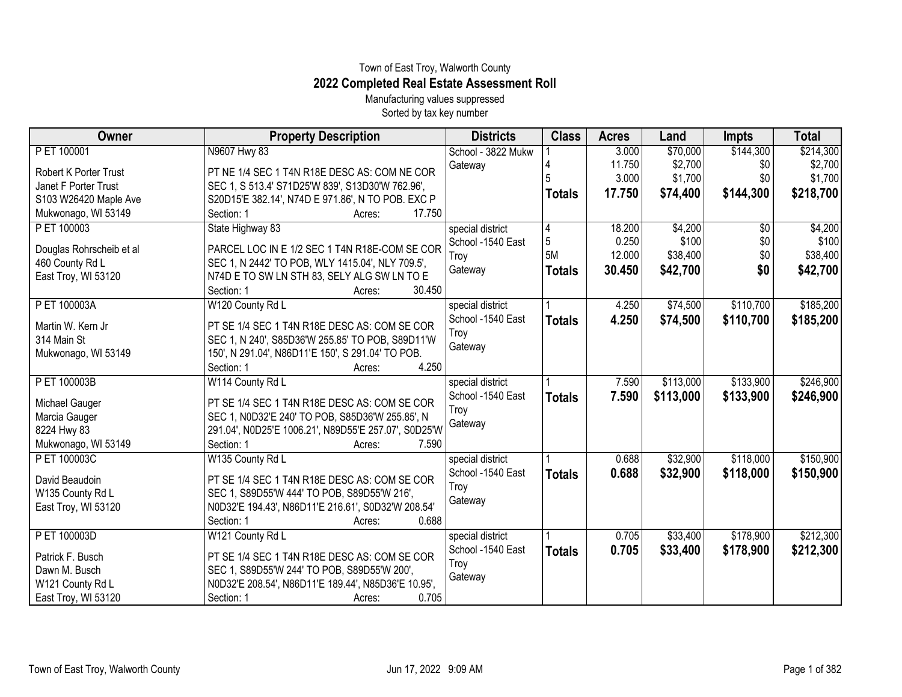## Town of East Troy, Walworth County **2022 Completed Real Estate Assessment Roll**

Manufacturing values suppressed Sorted by tax key number

| Owner                        | <b>Property Description</b>                          | <b>Districts</b>   | <b>Class</b>   | <b>Acres</b> | Land      | <b>Impts</b>    | <b>Total</b> |
|------------------------------|------------------------------------------------------|--------------------|----------------|--------------|-----------|-----------------|--------------|
| P ET 100001                  | N9607 Hwy 83                                         | School - 3822 Mukw |                | 3.000        | \$70,000  | \$144,300       | \$214,300    |
| <b>Robert K Porter Trust</b> | PT NE 1/4 SEC 1 T4N R18E DESC AS: COM NE COR         | Gateway            |                | 11.750       | \$2,700   | \$0             | \$2,700      |
| Janet F Porter Trust         | SEC 1, S 513.4' S71D25'W 839', S13D30'W 762.96',     |                    |                | 3.000        | \$1,700   | \$0             | \$1,700      |
| S103 W26420 Maple Ave        | S20D15'E 382.14', N74D E 971.86', N TO POB. EXC P    |                    | <b>Totals</b>  | 17.750       | \$74,400  | \$144,300       | \$218,700    |
| Mukwonago, WI 53149          | Section: 1<br>17.750<br>Acres:                       |                    |                |              |           |                 |              |
| P ET 100003                  | State Highway 83                                     | special district   |                | 18.200       | \$4,200   | $\overline{30}$ | \$4,200      |
| Douglas Rohrscheib et al     | PARCEL LOC IN E 1/2 SEC 1 T4N R18E-COM SE COR        | School -1540 East  | $\overline{5}$ | 0.250        | \$100     | \$0             | \$100        |
| 460 County Rd L              | SEC 1, N 2442' TO POB, WLY 1415.04', NLY 709.5',     | Troy               | 5M             | 12.000       | \$38,400  | \$0             | \$38,400     |
| East Troy, WI 53120          | N74D E TO SW LN STH 83, SELY ALG SW LN TO E          | Gateway            | <b>Totals</b>  | 30.450       | \$42,700  | \$0             | \$42,700     |
|                              | Section: 1<br>30.450<br>Acres:                       |                    |                |              |           |                 |              |
| P ET 100003A                 | W120 County Rd L                                     | special district   |                | 4.250        | \$74,500  | \$110,700       | \$185,200    |
| Martin W. Kern Jr            | PT SE 1/4 SEC 1 T4N R18E DESC AS: COM SE COR         | School -1540 East  | <b>Totals</b>  | 4.250        | \$74,500  | \$110,700       | \$185,200    |
| 314 Main St                  | SEC 1, N 240', S85D36'W 255.85' TO POB, S89D11'W     | Troy               |                |              |           |                 |              |
| Mukwonago, WI 53149          | 150', N 291.04', N86D11'E 150', S 291.04' TO POB.    | Gateway            |                |              |           |                 |              |
|                              | 4.250<br>Section: 1<br>Acres:                        |                    |                |              |           |                 |              |
| P ET 100003B                 | W114 County Rd L                                     | special district   |                | 7.590        | \$113,000 | \$133,900       | \$246,900    |
|                              |                                                      | School -1540 East  | <b>Totals</b>  | 7.590        | \$113,000 | \$133,900       | \$246,900    |
| Michael Gauger               | PT SE 1/4 SEC 1 T4N R18E DESC AS: COM SE COR         | Troy               |                |              |           |                 |              |
| Marcia Gauger                | SEC 1, N0D32'E 240' TO POB, S85D36'W 255.85', N      | Gateway            |                |              |           |                 |              |
| 8224 Hwy 83                  | 291.04', N0D25'E 1006.21', N89D55'E 257.07', S0D25'W |                    |                |              |           |                 |              |
| Mukwonago, WI 53149          | 7.590<br>Section: 1<br>Acres:                        |                    |                |              |           |                 |              |
| P ET 100003C                 | W135 County Rd L                                     | special district   |                | 0.688        | \$32,900  | \$118,000       | \$150,900    |
| David Beaudoin               | PT SE 1/4 SEC 1 T4N R18E DESC AS: COM SE COR         | School -1540 East  | <b>Totals</b>  | 0.688        | \$32,900  | \$118,000       | \$150,900    |
| W135 County Rd L             | SEC 1, S89D55'W 444' TO POB, S89D55'W 216',          | Troy               |                |              |           |                 |              |
| East Troy, WI 53120          | N0D32'E 194.43', N86D11'E 216.61', S0D32'W 208.54'   | Gateway            |                |              |           |                 |              |
|                              | 0.688<br>Section: 1<br>Acres:                        |                    |                |              |           |                 |              |
| P ET 100003D                 | W121 County Rd L                                     | special district   |                | 0.705        | \$33,400  | \$178,900       | \$212,300    |
| Patrick F. Busch             | PT SE 1/4 SEC 1 T4N R18E DESC AS: COM SE COR         | School -1540 East  | <b>Totals</b>  | 0.705        | \$33,400  | \$178,900       | \$212,300    |
| Dawn M. Busch                | SEC 1, S89D55'W 244' TO POB, S89D55'W 200',          | Troy               |                |              |           |                 |              |
| W121 County Rd L             | N0D32'E 208.54', N86D11'E 189.44', N85D36'E 10.95',  | Gateway            |                |              |           |                 |              |
| East Troy, WI 53120          | Section: 1<br>0.705<br>Acres:                        |                    |                |              |           |                 |              |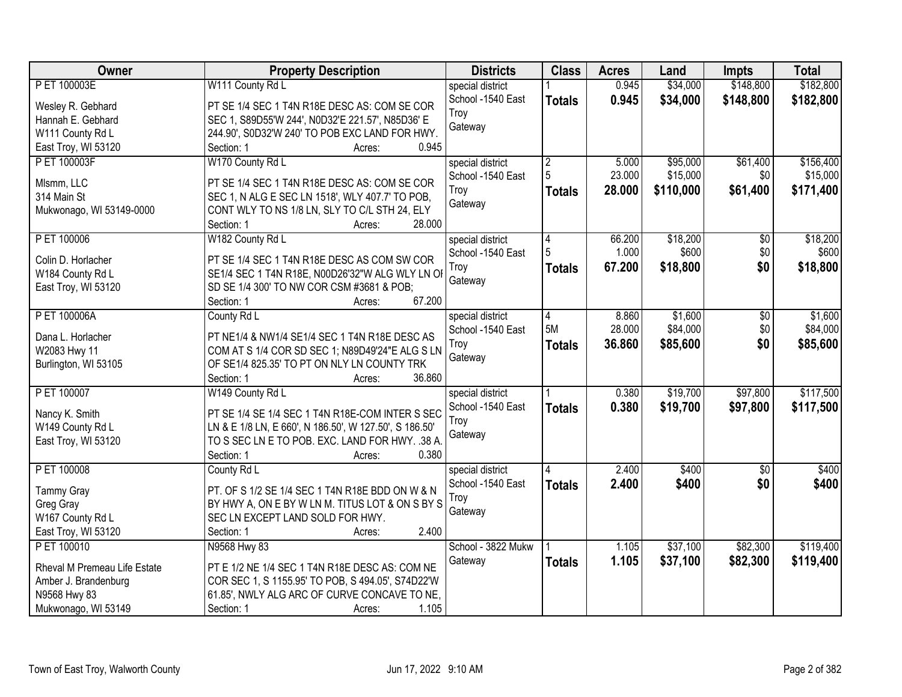| Owner                              | <b>Property Description</b>                            | <b>Districts</b>   | <b>Class</b>    | <b>Acres</b> | Land      | <b>Impts</b>    | <b>Total</b> |
|------------------------------------|--------------------------------------------------------|--------------------|-----------------|--------------|-----------|-----------------|--------------|
| P ET 100003E                       | W111 County Rd L                                       | special district   |                 | 0.945        | \$34,000  | \$148,800       | \$182,800    |
| Wesley R. Gebhard                  | PT SE 1/4 SEC 1 T4N R18E DESC AS: COM SE COR           | School -1540 East  | <b>Totals</b>   | 0.945        | \$34,000  | \$148,800       | \$182,800    |
| Hannah E. Gebhard                  | SEC 1, S89D55'W 244', N0D32'E 221.57', N85D36' E       | Troy               |                 |              |           |                 |              |
| W111 County Rd L                   | 244.90', S0D32'W 240' TO POB EXC LAND FOR HWY.         | Gateway            |                 |              |           |                 |              |
| East Troy, WI 53120                | 0.945<br>Section: 1<br>Acres:                          |                    |                 |              |           |                 |              |
| P ET 100003F                       | W170 County Rd L                                       | special district   | $\overline{2}$  | 5.000        | \$95,000  | \$61,400        | \$156,400    |
|                                    |                                                        | School -1540 East  | 5               | 23.000       | \$15,000  | \$0             | \$15,000     |
| Mlsmm, LLC                         | PT SE 1/4 SEC 1 T4N R18E DESC AS: COM SE COR           | Troy               | <b>Totals</b>   | 28.000       | \$110,000 | \$61,400        | \$171,400    |
| 314 Main St                        | SEC 1, N ALG E SEC LN 1518', WLY 407.7' TO POB,        | Gateway            |                 |              |           |                 |              |
| Mukwonago, WI 53149-0000           | CONT WLY TO NS 1/8 LN, SLY TO C/L STH 24, ELY          |                    |                 |              |           |                 |              |
|                                    | 28.000<br>Section: 1<br>Acres:                         |                    |                 |              |           |                 |              |
| P ET 100006                        | W182 County Rd L                                       | special district   | $\vert 4 \vert$ | 66.200       | \$18,200  | $\overline{50}$ | \$18,200     |
| Colin D. Horlacher                 | PT SE 1/4 SEC 1 T4N R18E DESC AS COM SW COR            | School -1540 East  | 5               | 1.000        | \$600     | \$0             | \$600        |
| W184 County Rd L                   | SE1/4 SEC 1 T4N R18E, N00D26'32"W ALG WLY LN OI        | Troy               | <b>Totals</b>   | 67.200       | \$18,800  | \$0             | \$18,800     |
| East Troy, WI 53120                | SD SE 1/4 300' TO NW COR CSM #3681 & POB;              | Gateway            |                 |              |           |                 |              |
|                                    | 67.200<br>Section: 1<br>Acres:                         |                    |                 |              |           |                 |              |
| P ET 100006A                       | County Rd L                                            | special district   | 4               | 8.860        | \$1,600   | $\sqrt[6]{}$    | \$1,600      |
|                                    |                                                        | School -1540 East  | 5M              | 28.000       | \$84,000  | \$0             | \$84,000     |
| Dana L. Horlacher                  | PT NE1/4 & NW1/4 SE1/4 SEC 1 T4N R18E DESC AS          | Troy               | <b>Totals</b>   | 36.860       | \$85,600  | \$0             | \$85,600     |
| W2083 Hwy 11                       | COM AT S 1/4 COR SD SEC 1; N89D49'24"E ALG S LN        | Gateway            |                 |              |           |                 |              |
| Burlington, WI 53105               | OF SE1/4 825.35' TO PT ON NLY LN COUNTY TRK            |                    |                 |              |           |                 |              |
|                                    | 36.860<br>Section: 1<br>Acres:                         |                    |                 |              |           |                 |              |
| P ET 100007                        | W149 County Rd L                                       | special district   |                 | 0.380        | \$19,700  | \$97,800        | \$117,500    |
| Nancy K. Smith                     | PT SE 1/4 SE 1/4 SEC 1 T4N R18E-COM INTER S SEC        | School -1540 East  | <b>Totals</b>   | 0.380        | \$19,700  | \$97,800        | \$117,500    |
| W149 County Rd L                   | LN & E 1/8 LN, E 660', N 186.50', W 127.50', S 186.50' | Troy               |                 |              |           |                 |              |
| East Troy, WI 53120                | TO S SEC LN E TO POB. EXC. LAND FOR HWY. .38 A.        | Gateway            |                 |              |           |                 |              |
|                                    | 0.380<br>Section: 1<br>Acres:                          |                    |                 |              |           |                 |              |
| P ET 100008                        | County Rd L                                            | special district   |                 | 2.400        | \$400     | $\overline{50}$ | \$400        |
|                                    |                                                        | School -1540 East  | <b>Totals</b>   | 2.400        | \$400     | \$0             | \$400        |
| <b>Tammy Gray</b>                  | PT. OF S 1/2 SE 1/4 SEC 1 T4N R18E BDD ON W & N        | Troy               |                 |              |           |                 |              |
| Greg Gray                          | BY HWY A, ON E BY W LN M. TITUS LOT & ON S BY S        | Gateway            |                 |              |           |                 |              |
| W167 County Rd L                   | SEC LN EXCEPT LAND SOLD FOR HWY.<br>2.400              |                    |                 |              |           |                 |              |
| East Troy, WI 53120<br>P ET 100010 | Section: 1<br>Acres:                                   | School - 3822 Mukw |                 | 1.105        | \$37,100  | \$82,300        | \$119,400    |
|                                    | N9568 Hwy 83                                           |                    |                 |              |           |                 |              |
| Rheval M Premeau Life Estate       | PT E 1/2 NE 1/4 SEC 1 T4N R18E DESC AS: COM NE         | Gateway            | <b>Totals</b>   | 1.105        | \$37,100  | \$82,300        | \$119,400    |
| Amber J. Brandenburg               | COR SEC 1, S 1155.95' TO POB, S 494.05', S74D22'W      |                    |                 |              |           |                 |              |
| N9568 Hwy 83                       | 61.85', NWLY ALG ARC OF CURVE CONCAVE TO NE,           |                    |                 |              |           |                 |              |
| Mukwonago, WI 53149                | 1.105<br>Section: 1<br>Acres:                          |                    |                 |              |           |                 |              |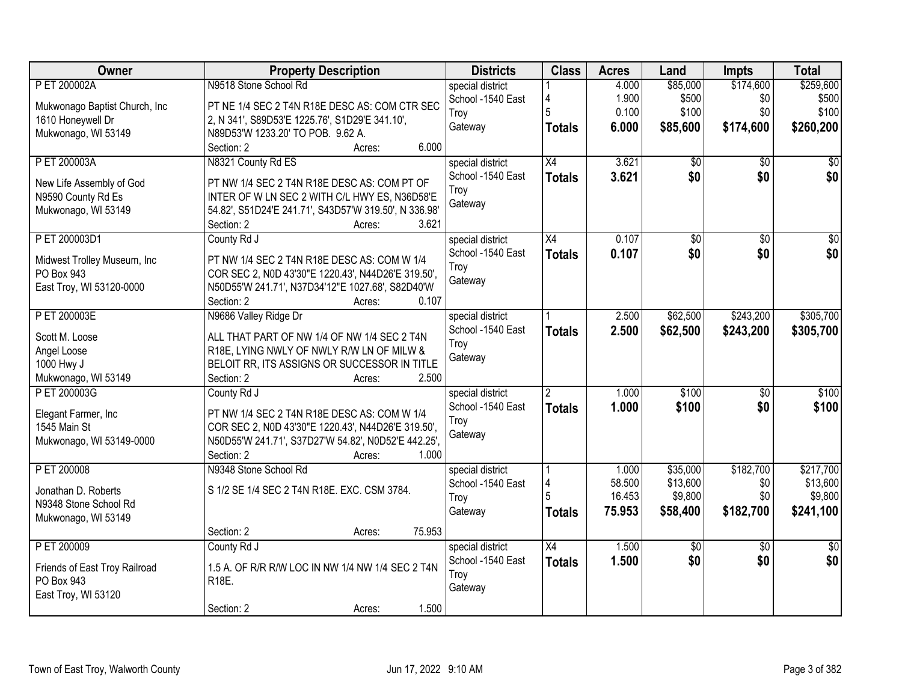| Owner                                                                                  | <b>Property Description</b>                                                                                                                                                                                  | <b>Districts</b>                                         | <b>Class</b>                     | <b>Acres</b>                        | Land                                        | <b>Impts</b>                         | <b>Total</b>                                  |
|----------------------------------------------------------------------------------------|--------------------------------------------------------------------------------------------------------------------------------------------------------------------------------------------------------------|----------------------------------------------------------|----------------------------------|-------------------------------------|---------------------------------------------|--------------------------------------|-----------------------------------------------|
| P ET 200002A<br>Mukwonago Baptist Church, Inc.<br>1610 Honeywell Dr                    | N9518 Stone School Rd<br>PT NE 1/4 SEC 2 T4N R18E DESC AS: COM CTR SEC<br>2, N 341', S89D53'E 1225.76', S1D29'E 341.10',                                                                                     | special district<br>School -1540 East<br>Troy            | 4<br>5                           | 4.000<br>1.900<br>0.100             | \$85,000<br>\$500<br>\$100                  | \$174,600<br>\$0<br>\$0              | \$259,600<br>\$500<br>\$100                   |
| Mukwonago, WI 53149                                                                    | N89D53'W 1233.20' TO POB. 9.62 A.<br>6.000<br>Section: 2<br>Acres:                                                                                                                                           | Gateway                                                  | <b>Totals</b>                    | 6.000                               | \$85,600                                    | \$174,600                            | \$260,200                                     |
| P ET 200003A<br>New Life Assembly of God<br>N9590 County Rd Es<br>Mukwonago, WI 53149  | N8321 County Rd ES<br>PT NW 1/4 SEC 2 T4N R18E DESC AS: COM PT OF<br>INTER OF W LN SEC 2 WITH C/L HWY ES, N36D58'E<br>54.82', S51D24'E 241.71', S43D57'W 319.50', N 336.98'<br>3.621<br>Section: 2<br>Acres: | special district<br>School -1540 East<br>Troy<br>Gateway | X4<br><b>Totals</b>              | 3.621<br>3.621                      | \$0<br>\$0                                  | $\overline{50}$<br>\$0               | \$0<br>\$0                                    |
| P ET 200003D1<br>Midwest Trolley Museum, Inc<br>PO Box 943<br>East Troy, WI 53120-0000 | County Rd J<br>PT NW 1/4 SEC 2 T4N R18E DESC AS: COM W 1/4<br>COR SEC 2, N0D 43'30"E 1220.43', N44D26'E 319.50',<br>N50D55'W 241.71', N37D34'12"E 1027.68', S82D40'W<br>Section: 2<br>0.107<br>Acres:        | special district<br>School -1540 East<br>Troy<br>Gateway | $\overline{X4}$<br><b>Totals</b> | 0.107<br>0.107                      | $\overline{50}$<br>\$0                      | $\overline{50}$<br>\$0               | $\overline{50}$<br>\$0                        |
| P ET 200003E<br>Scott M. Loose<br>Angel Loose<br>1000 Hwy J<br>Mukwonago, WI 53149     | N9686 Valley Ridge Dr<br>ALL THAT PART OF NW 1/4 OF NW 1/4 SEC 2 T4N<br>R18E, LYING NWLY OF NWLY R/W LN OF MILW &<br>BELOIT RR, ITS ASSIGNS OR SUCCESSOR IN TITLE<br>2.500<br>Section: 2<br>Acres:           | special district<br>School -1540 East<br>Troy<br>Gateway | <b>Totals</b>                    | 2.500<br>2.500                      | \$62,500<br>\$62,500                        | \$243,200<br>\$243,200               | \$305,700<br>\$305,700                        |
| P ET 200003G<br>Elegant Farmer, Inc<br>1545 Main St<br>Mukwonago, WI 53149-0000        | County Rd J<br>PT NW 1/4 SEC 2 T4N R18E DESC AS: COM W 1/4<br>COR SEC 2, N0D 43'30"E 1220.43', N44D26'E 319.50',<br>N50D55'W 241.71', S37D27'W 54.82', N0D52'E 442.25',<br>Section: 2<br>1.000<br>Acres:     | special district<br>School -1540 East<br>Troy<br>Gateway | $\overline{2}$<br><b>Totals</b>  | 1.000<br>1.000                      | \$100<br>\$100                              | $\overline{50}$<br>\$0               | \$100<br>\$100                                |
| P ET 200008<br>Jonathan D. Roberts<br>N9348 Stone School Rd<br>Mukwonago, WI 53149     | N9348 Stone School Rd<br>S 1/2 SE 1/4 SEC 2 T4N R18E. EXC. CSM 3784.<br>75.953<br>Section: 2<br>Acres:                                                                                                       | special district<br>School -1540 East<br>Troy<br>Gateway | 4<br><b>Totals</b>               | 1.000<br>58.500<br>16.453<br>75.953 | \$35,000<br>\$13,600<br>\$9,800<br>\$58,400 | \$182,700<br>\$0<br>\$0<br>\$182,700 | \$217,700<br>\$13,600<br>\$9,800<br>\$241,100 |
| P ET 200009<br>Friends of East Troy Railroad<br>PO Box 943<br>East Troy, WI 53120      | County Rd J<br>1.5 A. OF R/R R/W LOC IN NW 1/4 NW 1/4 SEC 2 T4N<br>R <sub>18</sub> E.<br>1.500<br>Section: 2<br>Acres:                                                                                       | special district<br>School -1540 East<br>Troy<br>Gateway | $\overline{X4}$<br><b>Totals</b> | 1.500<br>1.500                      | $\sqrt{6}$<br>\$0                           | $\overline{30}$<br>\$0               | $\overline{50}$<br>\$0                        |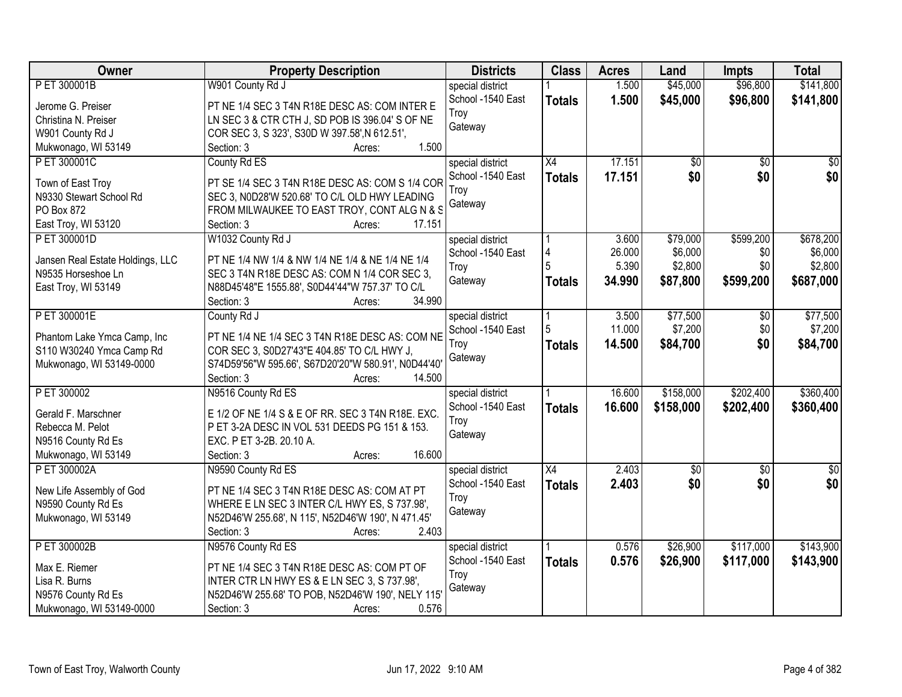| Owner                                                | <b>Property Description</b>                                                                        | <b>Districts</b>  | <b>Class</b>    | <b>Acres</b>    | Land               | <b>Impts</b>    | <b>Total</b>       |
|------------------------------------------------------|----------------------------------------------------------------------------------------------------|-------------------|-----------------|-----------------|--------------------|-----------------|--------------------|
| P ET 300001B                                         | W901 County Rd J                                                                                   | special district  |                 | 1.500           | \$45,000           | \$96,800        | \$141,800          |
| Jerome G. Preiser                                    | PT NE 1/4 SEC 3 T4N R18E DESC AS: COM INTER E                                                      | School -1540 East | <b>Totals</b>   | 1.500           | \$45,000           | \$96,800        | \$141,800          |
| Christina N. Preiser                                 | LN SEC 3 & CTR CTH J, SD POB IS 396.04' S OF NE                                                    | Troy              |                 |                 |                    |                 |                    |
| W901 County Rd J                                     | COR SEC 3, S 323', S30D W 397.58', N 612.51',                                                      | Gateway           |                 |                 |                    |                 |                    |
| Mukwonago, WI 53149                                  | 1.500<br>Section: 3<br>Acres:                                                                      |                   |                 |                 |                    |                 |                    |
| P ET 300001C                                         | County Rd ES                                                                                       | special district  | $\overline{X4}$ | 17.151          | \$0                | $\overline{50}$ | $\overline{50}$    |
|                                                      |                                                                                                    | School -1540 East | <b>Totals</b>   | 17.151          | \$0                | \$0             | \$0                |
| Town of East Troy                                    | PT SE 1/4 SEC 3 T4N R18E DESC AS: COM S 1/4 COR                                                    | Troy              |                 |                 |                    |                 |                    |
| N9330 Stewart School Rd                              | SEC 3, N0D28'W 520.68' TO C/L OLD HWY LEADING                                                      | Gateway           |                 |                 |                    |                 |                    |
| PO Box 872                                           | FROM MILWAUKEE TO EAST TROY, CONT ALG N & S                                                        |                   |                 |                 |                    |                 |                    |
| East Troy, WI 53120                                  | Section: 3<br>17.151<br>Acres:                                                                     |                   |                 |                 |                    |                 |                    |
| P ET 300001D                                         | W1032 County Rd J                                                                                  | special district  |                 | 3.600           | \$79,000           | \$599,200       | \$678,200          |
| Jansen Real Estate Holdings, LLC                     | PT NE 1/4 NW 1/4 & NW 1/4 NE 1/4 & NE 1/4 NE 1/4                                                   | School -1540 East | 4               | 26.000<br>5.390 | \$6,000<br>\$2,800 | \$0<br>\$0      | \$6,000<br>\$2,800 |
| N9535 Horseshoe Ln                                   | SEC 3 T4N R18E DESC AS: COM N 1/4 COR SEC 3,                                                       | Troy              |                 |                 |                    |                 |                    |
| East Troy, WI 53149                                  | N88D45'48"E 1555.88', S0D44'44"W 757.37' TO C/L                                                    | Gateway           | <b>Totals</b>   | 34.990          | \$87,800           | \$599,200       | \$687,000          |
|                                                      | 34.990<br>Section: 3<br>Acres:                                                                     |                   |                 |                 |                    |                 |                    |
| P ET 300001E                                         | County Rd J                                                                                        | special district  |                 | 3.500           | \$77,500           | $\sqrt[6]{}$    | \$77,500           |
|                                                      |                                                                                                    | School -1540 East | 5               | 11.000          | \$7,200            | \$0             | \$7,200            |
| Phantom Lake Ymca Camp, Inc                          | PT NE 1/4 NE 1/4 SEC 3 T4N R18E DESC AS: COM NE                                                    | Troy              | <b>Totals</b>   | 14.500          | \$84,700           | \$0             | \$84,700           |
| S110 W30240 Ymca Camp Rd<br>Mukwonago, WI 53149-0000 | COR SEC 3, S0D27'43"E 404.85' TO C/L HWY J,<br>S74D59'56"W 595.66', S67D20'20"W 580.91', N0D44'40' | Gateway           |                 |                 |                    |                 |                    |
|                                                      | Section: 3<br>14.500                                                                               |                   |                 |                 |                    |                 |                    |
| P ET 300002                                          | Acres:<br>N9516 County Rd ES                                                                       | special district  |                 | 16.600          | \$158,000          | \$202,400       | \$360,400          |
|                                                      |                                                                                                    | School -1540 East |                 |                 |                    |                 |                    |
| Gerald F. Marschner                                  | E 1/2 OF NE 1/4 S & E OF RR. SEC 3 T4N R18E. EXC.                                                  | Troy              | <b>Totals</b>   | 16.600          | \$158,000          | \$202,400       | \$360,400          |
| Rebecca M. Pelot                                     | P ET 3-2A DESC IN VOL 531 DEEDS PG 151 & 153.                                                      | Gateway           |                 |                 |                    |                 |                    |
| N9516 County Rd Es                                   | EXC. P ET 3-2B. 20.10 A.                                                                           |                   |                 |                 |                    |                 |                    |
| Mukwonago, WI 53149                                  | 16.600<br>Section: 3<br>Acres:                                                                     |                   |                 |                 |                    |                 |                    |
| P ET 300002A                                         | N9590 County Rd ES                                                                                 | special district  | $\overline{X4}$ | 2.403           | \$0                | $\overline{50}$ | $\frac{1}{6}$      |
| New Life Assembly of God                             | PT NE 1/4 SEC 3 T4N R18E DESC AS: COM AT PT                                                        | School -1540 East | <b>Totals</b>   | 2.403           | \$0                | \$0             | \$0                |
| N9590 County Rd Es                                   | WHERE E LN SEC 3 INTER C/L HWY ES, S 737.98',                                                      | Troy              |                 |                 |                    |                 |                    |
| Mukwonago, WI 53149                                  | N52D46'W 255.68', N 115', N52D46'W 190', N 471.45'                                                 | Gateway           |                 |                 |                    |                 |                    |
|                                                      | 2.403<br>Section: 3<br>Acres:                                                                      |                   |                 |                 |                    |                 |                    |
| P ET 300002B                                         | N9576 County Rd ES                                                                                 | special district  |                 | 0.576           | \$26,900           | \$117,000       | \$143,900          |
|                                                      |                                                                                                    | School -1540 East | <b>Totals</b>   | 0.576           | \$26,900           | \$117,000       | \$143,900          |
| Max E. Riemer                                        | PT NE 1/4 SEC 3 T4N R18E DESC AS: COM PT OF                                                        | Troy              |                 |                 |                    |                 |                    |
| Lisa R. Burns                                        | INTER CTR LN HWY ES & E LN SEC 3, S 737.98',                                                       | Gateway           |                 |                 |                    |                 |                    |
| N9576 County Rd Es                                   | N52D46'W 255.68' TO POB, N52D46'W 190', NELY 115'                                                  |                   |                 |                 |                    |                 |                    |
| Mukwonago, WI 53149-0000                             | 0.576<br>Section: 3<br>Acres:                                                                      |                   |                 |                 |                    |                 |                    |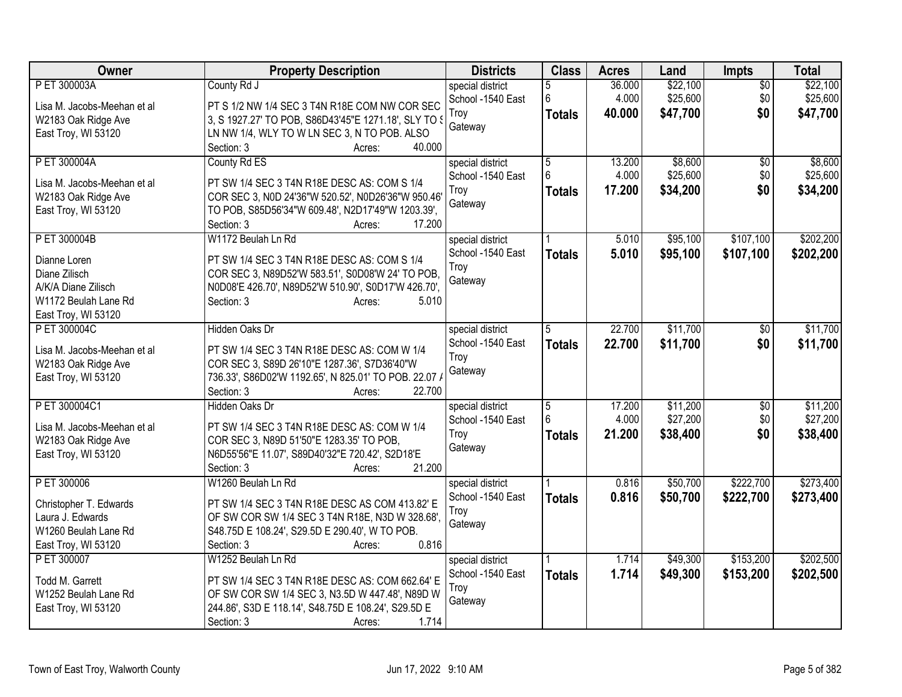| Owner                                | <b>Property Description</b>                                                                             | <b>Districts</b>  | <b>Class</b>    | <b>Acres</b> | Land     | <b>Impts</b>    | <b>Total</b> |
|--------------------------------------|---------------------------------------------------------------------------------------------------------|-------------------|-----------------|--------------|----------|-----------------|--------------|
| P ET 300003A                         | County Rd J                                                                                             | special district  | 5               | 36.000       | \$22,100 | $\overline{50}$ | \$22,100     |
| Lisa M. Jacobs-Meehan et al          | PT S 1/2 NW 1/4 SEC 3 T4N R18E COM NW COR SEC                                                           | School -1540 East | 6               | 4.000        | \$25,600 | \$0             | \$25,600     |
| W2183 Oak Ridge Ave                  | 3, S 1927.27' TO POB, S86D43'45"E 1271.18', SLY TO 3                                                    | Troy              | <b>Totals</b>   | 40.000       | \$47,700 | \$0             | \$47,700     |
| East Troy, WI 53120                  | LN NW 1/4, WLY TO W LN SEC 3, N TO POB. ALSO                                                            | Gateway           |                 |              |          |                 |              |
|                                      | 40.000<br>Section: 3<br>Acres:                                                                          |                   |                 |              |          |                 |              |
| P ET 300004A                         | County Rd ES                                                                                            | special district  | 5               | 13.200       | \$8,600  | \$0             | \$8,600      |
| Lisa M. Jacobs-Meehan et al          | PT SW 1/4 SEC 3 T4N R18E DESC AS: COM S 1/4                                                             | School -1540 East | 6               | 4.000        | \$25,600 | \$0             | \$25,600     |
| W2183 Oak Ridge Ave                  | COR SEC 3, N0D 24'36"W 520.52', N0D26'36"W 950.46'                                                      | Troy              | <b>Totals</b>   | 17.200       | \$34,200 | \$0             | \$34,200     |
| East Troy, WI 53120                  | TO POB, S85D56'34"W 609.48', N2D17'49"W 1203.39',                                                       | Gateway           |                 |              |          |                 |              |
|                                      | Section: 3<br>17.200<br>Acres:                                                                          |                   |                 |              |          |                 |              |
| P ET 300004B                         | W1172 Beulah Ln Rd                                                                                      | special district  |                 | 5.010        | \$95,100 | \$107,100       | \$202,200    |
|                                      |                                                                                                         | School -1540 East | <b>Totals</b>   | 5.010        | \$95,100 | \$107,100       | \$202,200    |
| Dianne Loren                         | PT SW 1/4 SEC 3 T4N R18E DESC AS: COM S 1/4                                                             | Troy              |                 |              |          |                 |              |
| Diane Zilisch<br>A/K/A Diane Zilisch | COR SEC 3, N89D52'W 583.51', S0D08'W 24' TO POB,<br>N0D08'E 426.70', N89D52'W 510.90', S0D17'W 426.70', | Gateway           |                 |              |          |                 |              |
| W1172 Beulah Lane Rd                 | Section: 3<br>5.010<br>Acres:                                                                           |                   |                 |              |          |                 |              |
| East Troy, WI 53120                  |                                                                                                         |                   |                 |              |          |                 |              |
| P ET 300004C                         | Hidden Oaks Dr                                                                                          | special district  | 5               | 22.700       | \$11,700 | \$0             | \$11,700     |
|                                      |                                                                                                         | School -1540 East | <b>Totals</b>   | 22.700       | \$11,700 | \$0             | \$11,700     |
| Lisa M. Jacobs-Meehan et al          | PT SW 1/4 SEC 3 T4N R18E DESC AS: COM W 1/4                                                             | Troy              |                 |              |          |                 |              |
| W2183 Oak Ridge Ave                  | COR SEC 3, S89D 26'10"E 1287.36', S7D36'40"W                                                            | Gateway           |                 |              |          |                 |              |
| East Troy, WI 53120                  | 736.33', S86D02'W 1192.65', N 825.01' TO POB. 22.07 /                                                   |                   |                 |              |          |                 |              |
|                                      | 22.700<br>Section: 3<br>Acres:                                                                          |                   |                 |              |          |                 |              |
| P ET 300004C1                        | Hidden Oaks Dr                                                                                          | special district  | 5               | 17.200       | \$11,200 | \$0             | \$11,200     |
| Lisa M. Jacobs-Meehan et al          | PT SW 1/4 SEC 3 T4N R18E DESC AS: COM W 1/4                                                             | School -1540 East | $6\overline{6}$ | 4.000        | \$27,200 | \$0             | \$27,200     |
| W2183 Oak Ridge Ave                  | COR SEC 3, N89D 51'50"E 1283.35' TO POB,                                                                | Troy              | <b>Totals</b>   | 21.200       | \$38,400 | \$0             | \$38,400     |
| East Troy, WI 53120                  | N6D55'56"E 11.07', S89D40'32"E 720.42', S2D18'E                                                         | Gateway           |                 |              |          |                 |              |
|                                      | 21.200<br>Section: 3<br>Acres:                                                                          |                   |                 |              |          |                 |              |
| P ET 300006                          | W1260 Beulah Ln Rd                                                                                      | special district  |                 | 0.816        | \$50,700 | \$222,700       | \$273,400    |
| Christopher T. Edwards               | PT SW 1/4 SEC 3 T4N R18E DESC AS COM 413.82' E                                                          | School -1540 East | <b>Totals</b>   | 0.816        | \$50,700 | \$222,700       | \$273,400    |
| Laura J. Edwards                     | OF SW COR SW 1/4 SEC 3 T4N R18E, N3D W 328.68',                                                         | Troy              |                 |              |          |                 |              |
| W1260 Beulah Lane Rd                 | S48.75D E 108.24', S29.5D E 290.40', W TO POB.                                                          | Gateway           |                 |              |          |                 |              |
| East Troy, WI 53120                  | 0.816<br>Section: 3<br>Acres:                                                                           |                   |                 |              |          |                 |              |
| P ET 300007                          | W1252 Beulah Ln Rd                                                                                      | special district  |                 | 1.714        | \$49,300 | \$153,200       | \$202,500    |
| Todd M. Garrett                      | PT SW 1/4 SEC 3 T4N R18E DESC AS: COM 662.64' E                                                         | School -1540 East | <b>Totals</b>   | 1.714        | \$49,300 | \$153,200       | \$202,500    |
| W1252 Beulah Lane Rd                 | OF SW COR SW 1/4 SEC 3, N3.5D W 447.48', N89D W                                                         | Troy              |                 |              |          |                 |              |
| East Troy, WI 53120                  | 244.86', S3D E 118.14', S48.75D E 108.24', S29.5D E                                                     | Gateway           |                 |              |          |                 |              |
|                                      | 1.714<br>Section: 3<br>Acres:                                                                           |                   |                 |              |          |                 |              |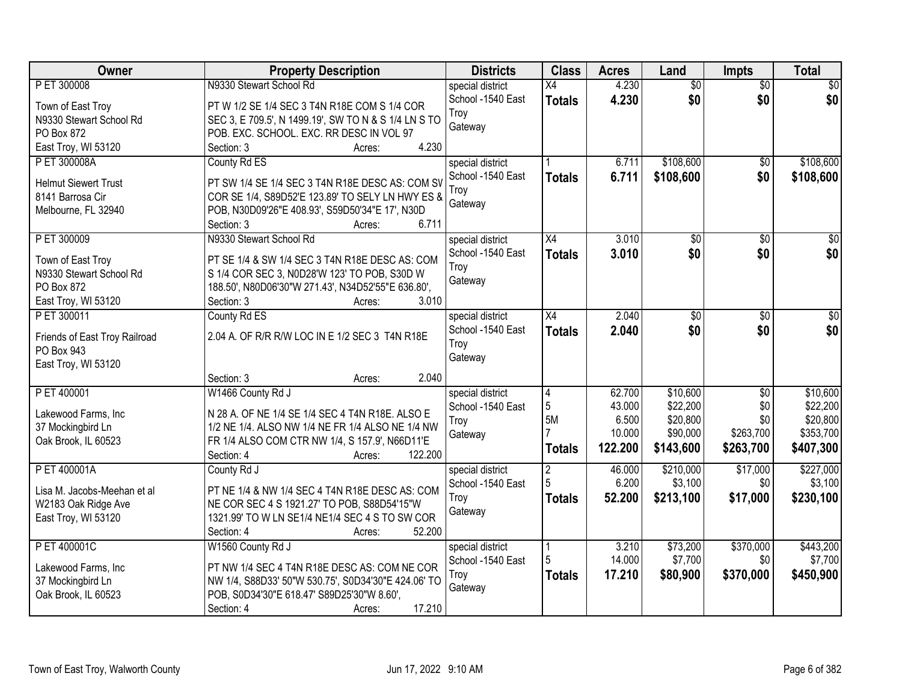| Owner                         | <b>Property Description</b>                                                                   | <b>Districts</b>  | <b>Class</b>    | <b>Acres</b> | Land            | <b>Impts</b>    | <b>Total</b>     |
|-------------------------------|-----------------------------------------------------------------------------------------------|-------------------|-----------------|--------------|-----------------|-----------------|------------------|
| P ET 300008                   | N9330 Stewart School Rd                                                                       | special district  | $\overline{X4}$ | 4.230        | $\overline{50}$ | $\overline{50}$ | $\overline{30}$  |
| Town of East Troy             | PT W 1/2 SE 1/4 SEC 3 T4N R18E COM S 1/4 COR                                                  | School -1540 East | <b>Totals</b>   | 4.230        | \$0             | \$0             | \$0              |
| N9330 Stewart School Rd       | SEC 3, E 709.5', N 1499.19', SW TO N & S 1/4 LN S TO                                          | Troy              |                 |              |                 |                 |                  |
| PO Box 872                    | POB. EXC. SCHOOL. EXC. RR DESC IN VOL 97                                                      | Gateway           |                 |              |                 |                 |                  |
| East Troy, WI 53120           | 4.230<br>Section: 3<br>Acres:                                                                 |                   |                 |              |                 |                 |                  |
| P ET 300008A                  | County Rd ES                                                                                  | special district  |                 | 6.711        | \$108,600       | $\overline{50}$ | \$108,600        |
|                               |                                                                                               | School -1540 East | <b>Totals</b>   | 6.711        | \$108,600       | \$0             | \$108,600        |
| <b>Helmut Siewert Trust</b>   | PT SW 1/4 SE 1/4 SEC 3 T4N R18E DESC AS: COM SV                                               | Troy              |                 |              |                 |                 |                  |
| 8141 Barrosa Cir              | COR SE 1/4, S89D52'E 123.89' TO SELY LN HWY ES &                                              | Gateway           |                 |              |                 |                 |                  |
| Melbourne, FL 32940           | POB, N30D09'26"E 408.93', S59D50'34"E 17', N30D                                               |                   |                 |              |                 |                 |                  |
|                               | 6.711<br>Section: 3<br>Acres:                                                                 |                   |                 |              |                 |                 |                  |
| P ET 300009                   | N9330 Stewart School Rd                                                                       | special district  | X4              | 3.010        | \$0             | \$0             | $\overline{\$0}$ |
| Town of East Troy             | PT SE 1/4 & SW 1/4 SEC 3 T4N R18E DESC AS: COM                                                | School -1540 East | <b>Totals</b>   | 3.010        | \$0             | \$0             | \$0              |
| N9330 Stewart School Rd       | S 1/4 COR SEC 3, N0D28'W 123' TO POB, S30D W                                                  | Troy              |                 |              |                 |                 |                  |
| PO Box 872                    | 188.50', N80D06'30"W 271.43', N34D52'55"E 636.80',                                            | Gateway           |                 |              |                 |                 |                  |
| East Troy, WI 53120           | 3.010<br>Section: 3<br>Acres:                                                                 |                   |                 |              |                 |                 |                  |
| PET 300011                    | County Rd ES                                                                                  | special district  | $\overline{X4}$ | 2.040        | $\overline{50}$ | $\sqrt{6}$      | \$0              |
|                               |                                                                                               | School -1540 East | <b>Totals</b>   | 2.040        | \$0             | \$0             | \$0              |
| Friends of East Troy Railroad | 2.04 A. OF R/R R/W LOC IN E 1/2 SEC 3 T4N R18E                                                | Troy              |                 |              |                 |                 |                  |
| PO Box 943                    |                                                                                               | Gateway           |                 |              |                 |                 |                  |
| East Troy, WI 53120           |                                                                                               |                   |                 |              |                 |                 |                  |
|                               | 2.040<br>Section: 3<br>Acres:                                                                 |                   |                 |              |                 |                 |                  |
| P ET 400001                   | W1466 County Rd J                                                                             | special district  | $\overline{4}$  | 62.700       | \$10,600        | $\overline{50}$ | \$10,600         |
| Lakewood Farms, Inc           | N 28 A. OF NE 1/4 SE 1/4 SEC 4 T4N R18E. ALSO E                                               | School -1540 East | 5               | 43.000       | \$22,200        | \$0             | \$22,200         |
| 37 Mockingbird Ln             | 1/2 NE 1/4. ALSO NW 1/4 NE FR 1/4 ALSO NE 1/4 NW                                              | Troy              | 5M              | 6.500        | \$20,800        | \$0             | \$20,800         |
| Oak Brook, IL 60523           | FR 1/4 ALSO COM CTR NW 1/4, S 157.9', N66D11'E                                                | Gateway           |                 | 10.000       | \$90,000        | \$263,700       | \$353,700        |
|                               | 122.200<br>Section: 4<br>Acres:                                                               |                   | <b>Totals</b>   | 122.200      | \$143,600       | \$263,700       | \$407,300        |
| P ET 400001A                  | County Rd J                                                                                   | special district  | $\overline{2}$  | 46.000       | \$210,000       | \$17,000        | \$227,000        |
| Lisa M. Jacobs-Meehan et al   |                                                                                               | School -1540 East | 5               | 6.200        | \$3,100         | \$0             | \$3,100          |
|                               | PT NE 1/4 & NW 1/4 SEC 4 T4N R18E DESC AS: COM<br>NE COR SEC 4 S 1921.27' TO POB, S88D54'15"W | Troy              | <b>Totals</b>   | 52.200       | \$213,100       | \$17,000        | \$230,100        |
| W2183 Oak Ridge Ave           |                                                                                               | Gateway           |                 |              |                 |                 |                  |
| East Troy, WI 53120           | 1321.99' TO W LN SE1/4 NE1/4 SEC 4 S TO SW COR<br>52.200                                      |                   |                 |              |                 |                 |                  |
|                               | Section: 4<br>Acres:                                                                          |                   |                 |              |                 |                 |                  |
| P ET 400001C                  | W1560 County Rd J                                                                             | special district  | l 1             | 3.210        | \$73,200        | \$370,000       | \$443,200        |
| Lakewood Farms, Inc           | PT NW 1/4 SEC 4 T4N R18E DESC AS: COM NE COR                                                  | School -1540 East | 5               | 14.000       | \$7,700         | \$0             | \$7,700          |
| 37 Mockingbird Ln             | NW 1/4, S88D33' 50"W 530.75', S0D34'30"E 424.06' TO                                           | Troy              | <b>Totals</b>   | 17.210       | \$80,900        | \$370,000       | \$450,900        |
| Oak Brook, IL 60523           | POB, S0D34'30"E 618.47' S89D25'30"W 8.60',                                                    | Gateway           |                 |              |                 |                 |                  |
|                               | 17.210<br>Section: 4<br>Acres:                                                                |                   |                 |              |                 |                 |                  |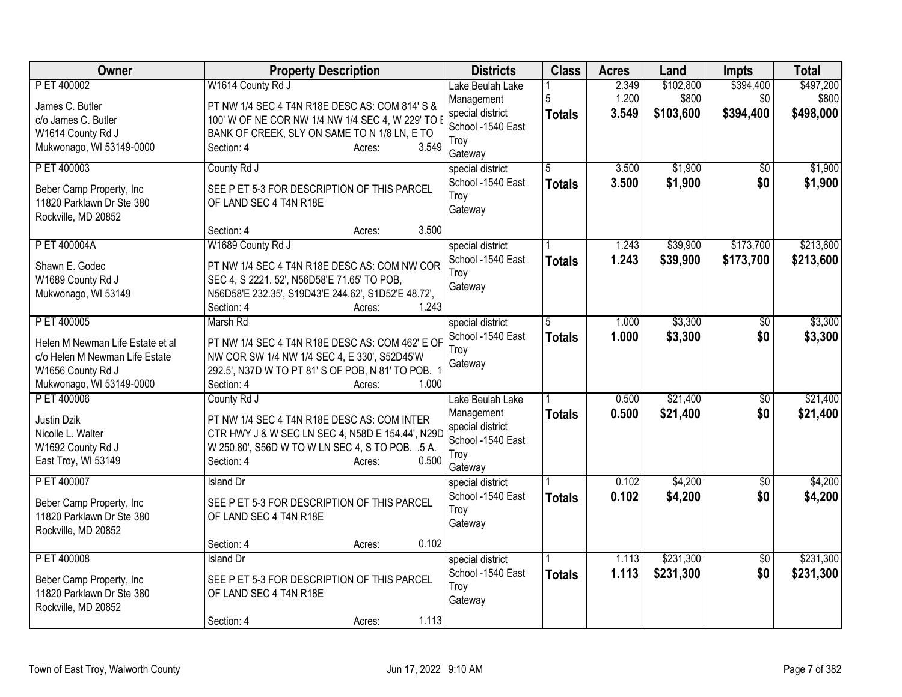| <b>Owner</b>                                                                                                        | <b>Property Description</b>                                                                                                                                                                         | <b>Districts</b>                                                                           | <b>Class</b>       | <b>Acres</b>            | Land                            | Impts                         | <b>Total</b>                    |
|---------------------------------------------------------------------------------------------------------------------|-----------------------------------------------------------------------------------------------------------------------------------------------------------------------------------------------------|--------------------------------------------------------------------------------------------|--------------------|-------------------------|---------------------------------|-------------------------------|---------------------------------|
| P ET 400002<br>James C. Butler                                                                                      | W1614 County Rd J<br>PT NW 1/4 SEC 4 T4N R18E DESC AS: COM 814' S &                                                                                                                                 | Lake Beulah Lake<br>Management<br>special district                                         | 5<br><b>Totals</b> | 2.349<br>1.200<br>3.549 | \$102,800<br>\$800<br>\$103,600 | \$394,400<br>\$0<br>\$394,400 | \$497,200<br>\$800<br>\$498,000 |
| c/o James C. Butler<br>W1614 County Rd J<br>Mukwonago, WI 53149-0000                                                | 100' W OF NE COR NW 1/4 NW 1/4 SEC 4, W 229' TO<br>BANK OF CREEK, SLY ON SAME TO N 1/8 LN, E TO<br>3.549<br>Section: 4<br>Acres:                                                                    | School -1540 East<br>Troy<br>Gateway                                                       |                    |                         |                                 |                               |                                 |
| P ET 400003<br>Beber Camp Property, Inc.<br>11820 Parklawn Dr Ste 380<br>Rockville, MD 20852                        | County Rd J<br>SEE P ET 5-3 FOR DESCRIPTION OF THIS PARCEL<br>OF LAND SEC 4 T4N R18E                                                                                                                | special district<br>School -1540 East<br>Troy<br>Gateway                                   | 5<br><b>Totals</b> | 3.500<br>3.500          | \$1,900<br>\$1,900              | $\overline{50}$<br>\$0        | \$1,900<br>\$1,900              |
| P ET 400004A                                                                                                        | 3.500<br>Section: 4<br>Acres:<br>W1689 County Rd J                                                                                                                                                  | special district                                                                           |                    | 1.243                   | \$39,900                        | \$173,700                     | \$213,600                       |
| Shawn E. Godec<br>W1689 County Rd J<br>Mukwonago, WI 53149                                                          | PT NW 1/4 SEC 4 T4N R18E DESC AS: COM NW COR<br>SEC 4, S 2221. 52', N56D58'E 71.65' TO POB,<br>N56D58'E 232.35', S19D43'E 244.62', S1D52'E 48.72',<br>1.243<br>Section: 4<br>Acres:                 | School -1540 East<br>Troy<br>Gateway                                                       | <b>Totals</b>      | 1.243                   | \$39,900                        | \$173,700                     | \$213,600                       |
| P ET 400005                                                                                                         | Marsh Rd                                                                                                                                                                                            | special district<br>School -1540 East                                                      | 5                  | 1.000                   | \$3,300                         | $\overline{50}$<br>\$0        | \$3,300                         |
| Helen M Newman Life Estate et al<br>c/o Helen M Newman Life Estate<br>W1656 County Rd J<br>Mukwonago, WI 53149-0000 | PT NW 1/4 SEC 4 T4N R18E DESC AS: COM 462' E OF<br>NW COR SW 1/4 NW 1/4 SEC 4, E 330', S52D45'W<br>292.5', N37D W TO PT 81' S OF POB, N 81' TO POB. 1<br>Section: 4<br>1.000<br>Acres:              | Troy<br>Gateway                                                                            | <b>Totals</b>      | 1.000                   | \$3,300                         |                               | \$3,300                         |
| P ET 400006<br>Justin Dzik<br>Nicolle L. Walter<br>W1692 County Rd J<br>East Troy, WI 53149                         | County Rd J<br>PT NW 1/4 SEC 4 T4N R18E DESC AS: COM INTER<br>CTR HWY J & W SEC LN SEC 4, N58D E 154.44', N29D<br>W 250.80', S56D W TO W LN SEC 4, S TO POB. .5 A.<br>0.500<br>Section: 4<br>Acres: | Lake Beulah Lake<br>Management<br>special district<br>School -1540 East<br>Troy<br>Gateway | <b>Totals</b>      | 0.500<br>0.500          | \$21,400<br>\$21,400            | \$0<br>\$0                    | \$21,400<br>\$21,400            |
| P ET 400007<br>Beber Camp Property, Inc<br>11820 Parklawn Dr Ste 380<br>Rockville, MD 20852                         | <b>Island Dr</b><br>SEE P ET 5-3 FOR DESCRIPTION OF THIS PARCEL<br>OF LAND SEC 4 T4N R18E                                                                                                           | special district<br>School -1540 East<br>Troy<br>Gateway                                   | <b>Totals</b>      | 0.102<br>0.102          | \$4,200<br>\$4,200              | $\overline{50}$<br>\$0        | \$4,200<br>\$4,200              |
| P ET 400008                                                                                                         | 0.102<br>Section: 4<br>Acres:                                                                                                                                                                       |                                                                                            |                    |                         | \$231,300                       |                               |                                 |
| Beber Camp Property, Inc<br>11820 Parklawn Dr Ste 380<br>Rockville, MD 20852                                        | <b>Island Dr</b><br>SEE P ET 5-3 FOR DESCRIPTION OF THIS PARCEL<br>OF LAND SEC 4 T4N R18E<br>1.113<br>Section: 4<br>Acres:                                                                          | special district<br>School -1540 East<br>Troy<br>Gateway                                   | <b>Totals</b>      | 1.113<br>1.113          | \$231,300                       | $\overline{50}$<br>\$0        | \$231,300<br>\$231,300          |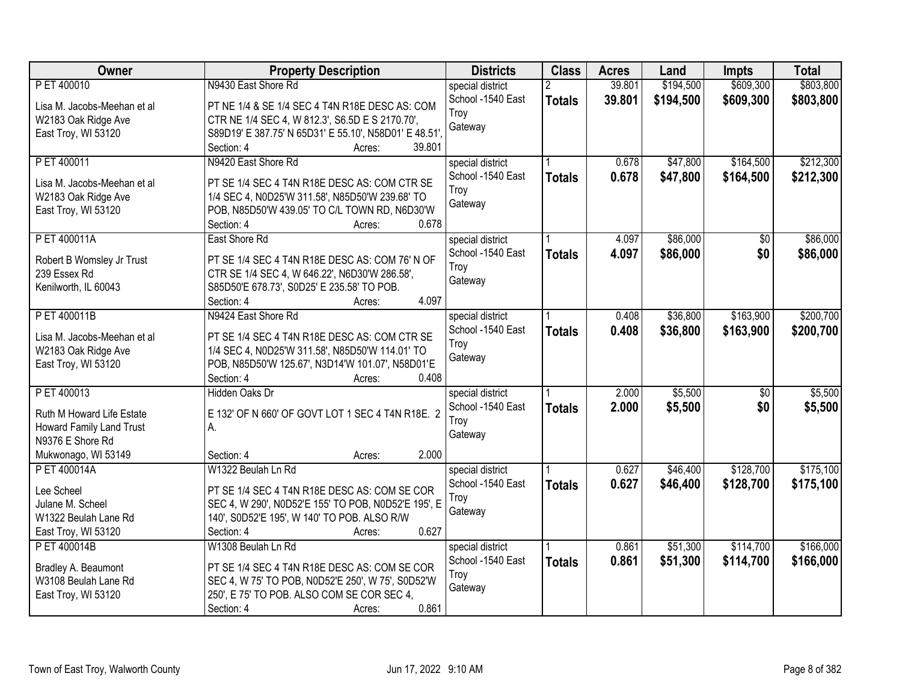| <b>Owner</b>                | <b>Property Description</b>                            | <b>Districts</b>  | <b>Class</b>  | <b>Acres</b> | Land      | <b>Impts</b>    | <b>Total</b> |
|-----------------------------|--------------------------------------------------------|-------------------|---------------|--------------|-----------|-----------------|--------------|
| P ET 400010                 | N9430 East Shore Rd                                    | special district  |               | 39.801       | \$194,500 | \$609,300       | \$803,800    |
| Lisa M. Jacobs-Meehan et al | PT NE 1/4 & SE 1/4 SEC 4 T4N R18E DESC AS: COM         | School -1540 East | <b>Totals</b> | 39.801       | \$194,500 | \$609,300       | \$803,800    |
| W2183 Oak Ridge Ave         | CTR NE 1/4 SEC 4, W 812.3', S6.5D E S 2170.70',        | Troy              |               |              |           |                 |              |
| East Troy, WI 53120         | S89D19' E 387.75' N 65D31' E 55.10', N58D01' E 48.51', | Gateway           |               |              |           |                 |              |
|                             | 39.801<br>Section: 4<br>Acres:                         |                   |               |              |           |                 |              |
| P ET 400011                 | N9420 East Shore Rd                                    | special district  |               | 0.678        | \$47,800  | \$164,500       | \$212,300    |
|                             |                                                        | School -1540 East | <b>Totals</b> | 0.678        | \$47,800  | \$164,500       | \$212,300    |
| Lisa M. Jacobs-Meehan et al | PT SE 1/4 SEC 4 T4N R18E DESC AS: COM CTR SE           | Troy              |               |              |           |                 |              |
| W2183 Oak Ridge Ave         | 1/4 SEC 4, N0D25'W 311.58', N85D50'W 239.68' TO        | Gateway           |               |              |           |                 |              |
| East Troy, WI 53120         | POB, N85D50'W 439.05' TO C/L TOWN RD, N6D30'W<br>0.678 |                   |               |              |           |                 |              |
|                             | Section: 4<br>Acres:                                   |                   |               |              |           |                 |              |
| P ET 400011A                | East Shore Rd                                          | special district  |               | 4.097        | \$86,000  | $\overline{50}$ | \$86,000     |
| Robert B Womsley Jr Trust   | PT SE 1/4 SEC 4 T4N R18E DESC AS: COM 76' N OF         | School -1540 East | <b>Totals</b> | 4.097        | \$86,000  | \$0             | \$86,000     |
| 239 Essex Rd                | CTR SE 1/4 SEC 4, W 646.22', N6D30'W 286.58',          | Troy              |               |              |           |                 |              |
| Kenilworth, IL 60043        | S85D50'E 678.73', S0D25' E 235.58' TO POB.             | Gateway           |               |              |           |                 |              |
|                             | 4.097<br>Section: 4<br>Acres:                          |                   |               |              |           |                 |              |
| P ET 400011B                | N9424 East Shore Rd                                    | special district  |               | 0.408        | \$36,800  | \$163,900       | \$200,700    |
| Lisa M. Jacobs-Meehan et al | PT SE 1/4 SEC 4 T4N R18E DESC AS: COM CTR SE           | School -1540 East | <b>Totals</b> | 0.408        | \$36,800  | \$163,900       | \$200,700    |
| W2183 Oak Ridge Ave         | 1/4 SEC 4, N0D25'W 311.58', N85D50'W 114.01' TO        | Troy              |               |              |           |                 |              |
| East Troy, WI 53120         | POB, N85D50'W 125.67', N3D14'W 101.07', N58D01'E       | Gateway           |               |              |           |                 |              |
|                             | 0.408<br>Section: 4<br>Acres:                          |                   |               |              |           |                 |              |
| PET 400013                  | Hidden Oaks Dr                                         | special district  |               | 2.000        | \$5,500   | $\overline{50}$ | \$5,500      |
|                             |                                                        | School -1540 East | <b>Totals</b> | 2.000        | \$5,500   | \$0             | \$5,500      |
| Ruth M Howard Life Estate   | E 132' OF N 660' OF GOVT LOT 1 SEC 4 T4N R18E. 2       | Troy              |               |              |           |                 |              |
| Howard Family Land Trust    | А.                                                     | Gateway           |               |              |           |                 |              |
| N9376 E Shore Rd            |                                                        |                   |               |              |           |                 |              |
| Mukwonago, WI 53149         | 2.000<br>Section: 4<br>Acres:                          |                   |               |              |           |                 |              |
| P ET 400014A                | W1322 Beulah Ln Rd                                     | special district  |               | 0.627        | \$46,400  | \$128,700       | \$175,100    |
| Lee Scheel                  | PT SE 1/4 SEC 4 T4N R18E DESC AS: COM SE COR           | School -1540 East | <b>Totals</b> | 0.627        | \$46,400  | \$128,700       | \$175,100    |
| Julane M. Scheel            | SEC 4, W 290', N0D52'E 155' TO POB, N0D52'E 195', E    | Troy              |               |              |           |                 |              |
| W1322 Beulah Lane Rd        | 140', S0D52'E 195', W 140' TO POB. ALSO R/W            | Gateway           |               |              |           |                 |              |
| East Troy, WI 53120         | 0.627<br>Section: 4<br>Acres:                          |                   |               |              |           |                 |              |
| P ET 400014B                | W1308 Beulah Ln Rd                                     | special district  |               | 0.861        | \$51,300  | \$114,700       | \$166,000    |
| Bradley A. Beaumont         | PT SE 1/4 SEC 4 T4N R18E DESC AS: COM SE COR           | School -1540 East | <b>Totals</b> | 0.861        | \$51,300  | \$114,700       | \$166,000    |
| W3108 Beulah Lane Rd        | SEC 4, W 75' TO POB, N0D52'E 250', W 75', S0D52'W      | Troy              |               |              |           |                 |              |
| East Troy, WI 53120         | 250', E 75' TO POB. ALSO COM SE COR SEC 4,             | Gateway           |               |              |           |                 |              |
|                             | 0.861<br>Section: 4<br>Acres:                          |                   |               |              |           |                 |              |
|                             |                                                        |                   |               |              |           |                 |              |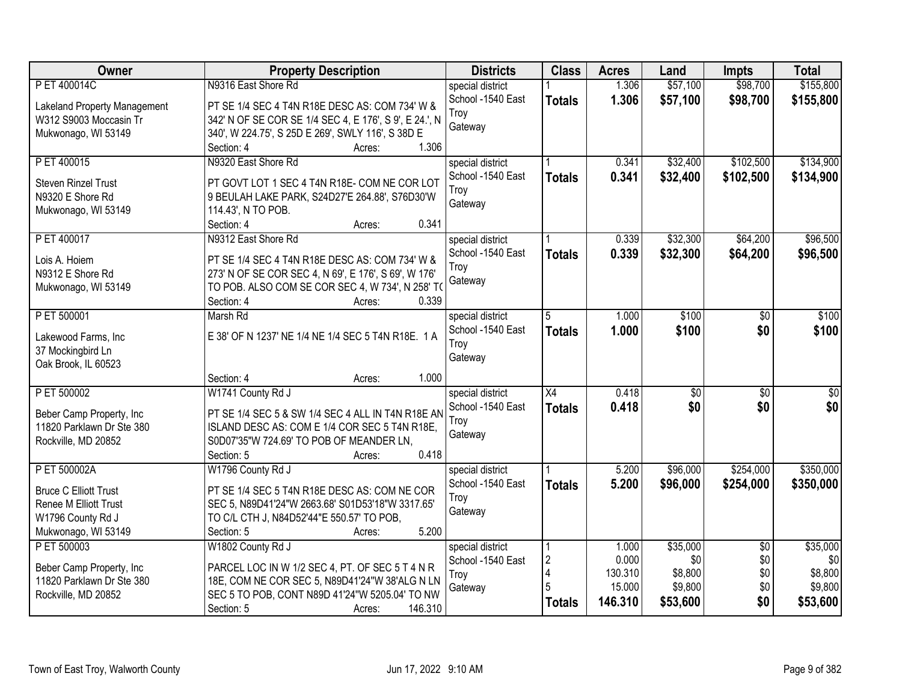| Owner                                          | <b>Property Description</b>                                                                   | <b>Districts</b>  | <b>Class</b>    | <b>Acres</b> | Land            | <b>Impts</b>    | <b>Total</b> |
|------------------------------------------------|-----------------------------------------------------------------------------------------------|-------------------|-----------------|--------------|-----------------|-----------------|--------------|
| P ET 400014C                                   | N9316 East Shore Rd                                                                           | special district  |                 | 1.306        | \$57,100        | \$98,700        | \$155,800    |
| Lakeland Property Management                   | PT SE 1/4 SEC 4 T4N R18E DESC AS: COM 734' W &                                                | School -1540 East | <b>Totals</b>   | 1.306        | \$57,100        | \$98,700        | \$155,800    |
| W312 S9003 Moccasin Tr                         | 342' N OF SE COR SE 1/4 SEC 4, E 176', S 9', E 24.', N                                        | Troy              |                 |              |                 |                 |              |
| Mukwonago, WI 53149                            | 340', W 224.75', S 25D E 269', SWLY 116', S 38D E                                             | Gateway           |                 |              |                 |                 |              |
|                                                | 1.306<br>Section: 4<br>Acres:                                                                 |                   |                 |              |                 |                 |              |
| P ET 400015                                    | N9320 East Shore Rd                                                                           | special district  |                 | 0.341        | \$32,400        | \$102,500       | \$134,900    |
|                                                |                                                                                               | School -1540 East | <b>Totals</b>   | 0.341        | \$32,400        | \$102,500       | \$134,900    |
| <b>Steven Rinzel Trust</b><br>N9320 E Shore Rd | PT GOVT LOT 1 SEC 4 T4N R18E- COM NE COR LOT                                                  | Troy              |                 |              |                 |                 |              |
| Mukwonago, WI 53149                            | 9 BEULAH LAKE PARK, S24D27'E 264.88', S76D30'W<br>114.43', N TO POB.                          | Gateway           |                 |              |                 |                 |              |
|                                                | 0.341<br>Section: 4<br>Acres:                                                                 |                   |                 |              |                 |                 |              |
| P ET 400017                                    | N9312 East Shore Rd                                                                           | special district  |                 | 0.339        | \$32,300        | \$64,200        | \$96,500     |
|                                                |                                                                                               | School -1540 East | <b>Totals</b>   | 0.339        | \$32,300        | \$64,200        | \$96,500     |
| Lois A. Hoiem                                  | PT SE 1/4 SEC 4 T4N R18E DESC AS: COM 734' W &                                                | Troy              |                 |              |                 |                 |              |
| N9312 E Shore Rd                               | 273' N OF SE COR SEC 4, N 69', E 176', S 69', W 176'                                          | Gateway           |                 |              |                 |                 |              |
| Mukwonago, WI 53149                            | TO POB. ALSO COM SE COR SEC 4, W 734', N 258' TO                                              |                   |                 |              |                 |                 |              |
|                                                | Section: 4<br>0.339<br>Acres:                                                                 |                   |                 |              |                 |                 |              |
| P ET 500001                                    | Marsh Rd                                                                                      | special district  | 5               | 1.000        | \$100           | \$0             | \$100        |
| Lakewood Farms, Inc                            | E 38' OF N 1237' NE 1/4 NE 1/4 SEC 5 T4N R18E. 1 A                                            | School -1540 East | <b>Totals</b>   | 1.000        | \$100           | \$0             | \$100        |
| 37 Mockingbird Ln                              |                                                                                               | Troy              |                 |              |                 |                 |              |
| Oak Brook, IL 60523                            |                                                                                               | Gateway           |                 |              |                 |                 |              |
|                                                | Section: 4<br>1.000<br>Acres:                                                                 |                   |                 |              |                 |                 |              |
| P ET 500002                                    | W1741 County Rd J                                                                             | special district  | $\overline{X4}$ | 0.418        | $\overline{50}$ | $\overline{50}$ | \$0          |
| Beber Camp Property, Inc                       | PT SE 1/4 SEC 5 & SW 1/4 SEC 4 ALL IN T4N R18E AN                                             | School -1540 East | <b>Totals</b>   | 0.418        | \$0             | \$0             | \$0          |
| 11820 Parklawn Dr Ste 380                      | ISLAND DESC AS: COM E 1/4 COR SEC 5 T4N R18E,                                                 | Troy              |                 |              |                 |                 |              |
| Rockville, MD 20852                            | S0D07'35"W 724.69' TO POB OF MEANDER LN,                                                      | Gateway           |                 |              |                 |                 |              |
|                                                | 0.418<br>Section: 5<br>Acres:                                                                 |                   |                 |              |                 |                 |              |
| P ET 500002A                                   | W1796 County Rd J                                                                             | special district  |                 | 5.200        | \$96,000        | \$254,000       | \$350,000    |
|                                                |                                                                                               | School -1540 East | <b>Totals</b>   | 5.200        | \$96,000        | \$254,000       | \$350,000    |
| <b>Bruce C Elliott Trust</b>                   | PT SE 1/4 SEC 5 T4N R18E DESC AS: COM NE COR                                                  | Troy              |                 |              |                 |                 |              |
| Renee M Elliott Trust<br>W1796 County Rd J     | SEC 5, N89D41'24"W 2663.68' S01D53'18"W 3317.65'<br>TO C/L CTH J, N84D52'44"E 550.57' TO POB, | Gateway           |                 |              |                 |                 |              |
| Mukwonago, WI 53149                            | 5.200<br>Section: 5                                                                           |                   |                 |              |                 |                 |              |
| P ET 500003                                    | Acres:<br>W1802 County Rd J                                                                   | special district  |                 | 1.000        | \$35,000        | $\overline{50}$ | \$35,000     |
|                                                |                                                                                               | School -1540 East | $\overline{2}$  | 0.000        | \$0             | \$0             | \$0          |
| Beber Camp Property, Inc                       | PARCEL LOC IN W 1/2 SEC 4, PT. OF SEC 5 T 4 N R                                               | Troy              | $\vert 4$       | 130.310      | \$8,800         | \$0             | \$8,800      |
| 11820 Parklawn Dr Ste 380                      | 18E, COM NE COR SEC 5, N89D41'24"W 38'ALG N LN                                                | Gateway           |                 | 15.000       | \$9,800         | \$0             | \$9,800      |
| Rockville, MD 20852                            | SEC 5 TO POB, CONT N89D 41'24"W 5205.04' TO NW                                                |                   | <b>Totals</b>   | 146.310      | \$53,600        | \$0             | \$53,600     |
|                                                | 146.310<br>Section: 5<br>Acres:                                                               |                   |                 |              |                 |                 |              |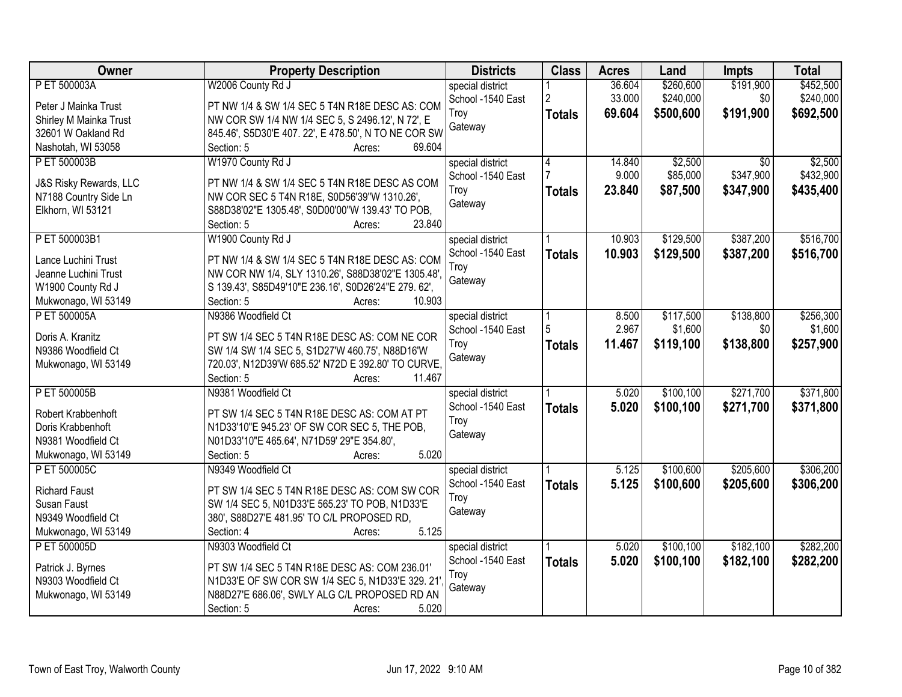| Owner                  | <b>Property Description</b>                          | <b>Districts</b>  | <b>Class</b>   | <b>Acres</b> | Land       | <b>Impts</b> | <b>Total</b> |
|------------------------|------------------------------------------------------|-------------------|----------------|--------------|------------|--------------|--------------|
| P ET 500003A           | W2006 County Rd J                                    | special district  |                | 36.604       | \$260,600  | \$191,900    | \$452,500    |
| Peter J Mainka Trust   | PT NW 1/4 & SW 1/4 SEC 5 T4N R18E DESC AS: COM       | School -1540 East | $\overline{2}$ | 33.000       | \$240,000  | \$0          | \$240,000    |
| Shirley M Mainka Trust | NW COR SW 1/4 NW 1/4 SEC 5, S 2496.12', N 72', E     | Troy              | <b>Totals</b>  | 69.604       | \$500,600  | \$191,900    | \$692,500    |
| 32601 W Oakland Rd     | 845.46', S5D30'E 407. 22', E 478.50', N TO NE COR SW | Gateway           |                |              |            |              |              |
| Nashotah, WI 53058     | 69.604<br>Section: 5<br>Acres:                       |                   |                |              |            |              |              |
| P ET 500003B           | W1970 County Rd J                                    | special district  | $\overline{4}$ | 14.840       | \$2,500    | \$0          | \$2,500      |
|                        |                                                      | School -1540 East |                | 9.000        | \$85,000   | \$347,900    | \$432,900    |
| J&S Risky Rewards, LLC | PT NW 1/4 & SW 1/4 SEC 5 T4N R18E DESC AS COM        | Troy              | <b>Totals</b>  | 23.840       | \$87,500   | \$347,900    | \$435,400    |
| N7188 Country Side Ln  | NW COR SEC 5 T4N R18E, S0D56'39"W 1310.26',          | Gateway           |                |              |            |              |              |
| Elkhorn, WI 53121      | S88D38'02"E 1305.48', S0D00'00"W 139.43' TO POB,     |                   |                |              |            |              |              |
|                        | 23.840<br>Section: 5<br>Acres:                       |                   |                |              |            |              |              |
| P ET 500003B1          | W1900 County Rd J                                    | special district  |                | 10.903       | \$129,500  | \$387,200    | \$516,700    |
| Lance Luchini Trust    | PT NW 1/4 & SW 1/4 SEC 5 T4N R18E DESC AS: COM       | School -1540 East | <b>Totals</b>  | 10.903       | \$129,500  | \$387,200    | \$516,700    |
| Jeanne Luchini Trust   | NW COR NW 1/4, SLY 1310.26', S88D38'02"E 1305.48',   | Troy              |                |              |            |              |              |
| W1900 County Rd J      | S 139.43', S85D49'10"E 236.16', S0D26'24"E 279. 62', | Gateway           |                |              |            |              |              |
| Mukwonago, WI 53149    | 10.903<br>Section: 5<br>Acres:                       |                   |                |              |            |              |              |
| P ET 500005A           | N9386 Woodfield Ct                                   | special district  |                | 8.500        | \$117,500  | \$138,800    | \$256,300    |
|                        |                                                      | School -1540 East | 5              | 2.967        | \$1,600    | \$0          | \$1,600      |
| Doris A. Kranitz       | PT SW 1/4 SEC 5 T4N R18E DESC AS: COM NE COR         | Troy              | <b>Totals</b>  | 11.467       | \$119,100  | \$138,800    | \$257,900    |
| N9386 Woodfield Ct     | SW 1/4 SW 1/4 SEC 5, S1D27'W 460.75', N88D16'W       | Gateway           |                |              |            |              |              |
| Mukwonago, WI 53149    | 720.03', N12D39'W 685.52' N72D E 392.80' TO CURVE,   |                   |                |              |            |              |              |
|                        | 11.467<br>Section: 5<br>Acres:                       |                   |                |              |            |              |              |
| P ET 500005B           | N9381 Woodfield Ct                                   | special district  |                | 5.020        | \$100, 100 | \$271,700    | \$371,800    |
| Robert Krabbenhoft     | PT SW 1/4 SEC 5 T4N R18E DESC AS: COM AT PT          | School -1540 East | <b>Totals</b>  | 5.020        | \$100,100  | \$271,700    | \$371,800    |
| Doris Krabbenhoft      | N1D33'10"E 945.23' OF SW COR SEC 5, THE POB,         | Troy              |                |              |            |              |              |
| N9381 Woodfield Ct     | N01D33'10"E 465.64', N71D59' 29"E 354.80',           | Gateway           |                |              |            |              |              |
| Mukwonago, WI 53149    | 5.020<br>Section: 5<br>Acres:                        |                   |                |              |            |              |              |
| P ET 500005C           | N9349 Woodfield Ct                                   | special district  |                | 5.125        | \$100,600  | \$205,600    | \$306,200    |
| <b>Richard Faust</b>   | PT SW 1/4 SEC 5 T4N R18E DESC AS: COM SW COR         | School -1540 East | <b>Totals</b>  | 5.125        | \$100,600  | \$205,600    | \$306,200    |
| Susan Faust            | SW 1/4 SEC 5, N01D33'E 565.23' TO POB, N1D33'E       | Troy              |                |              |            |              |              |
| N9349 Woodfield Ct     | 380', S88D27'E 481.95' TO C/L PROPOSED RD,           | Gateway           |                |              |            |              |              |
| Mukwonago, WI 53149    | 5.125<br>Section: 4<br>Acres:                        |                   |                |              |            |              |              |
| P ET 500005D           | N9303 Woodfield Ct                                   | special district  |                | 5.020        | \$100,100  | \$182,100    | \$282,200    |
|                        |                                                      | School -1540 East |                | 5.020        | \$100,100  |              |              |
| Patrick J. Byrnes      | PT SW 1/4 SEC 5 T4N R18E DESC AS: COM 236.01'        | Troy              | <b>Totals</b>  |              |            | \$182,100    | \$282,200    |
| N9303 Woodfield Ct     | N1D33'E OF SW COR SW 1/4 SEC 5, N1D33'E 329. 21'     | Gateway           |                |              |            |              |              |
| Mukwonago, WI 53149    | N88D27'E 686.06', SWLY ALG C/L PROPOSED RD AN        |                   |                |              |            |              |              |
|                        | Section: 5<br>5.020<br>Acres:                        |                   |                |              |            |              |              |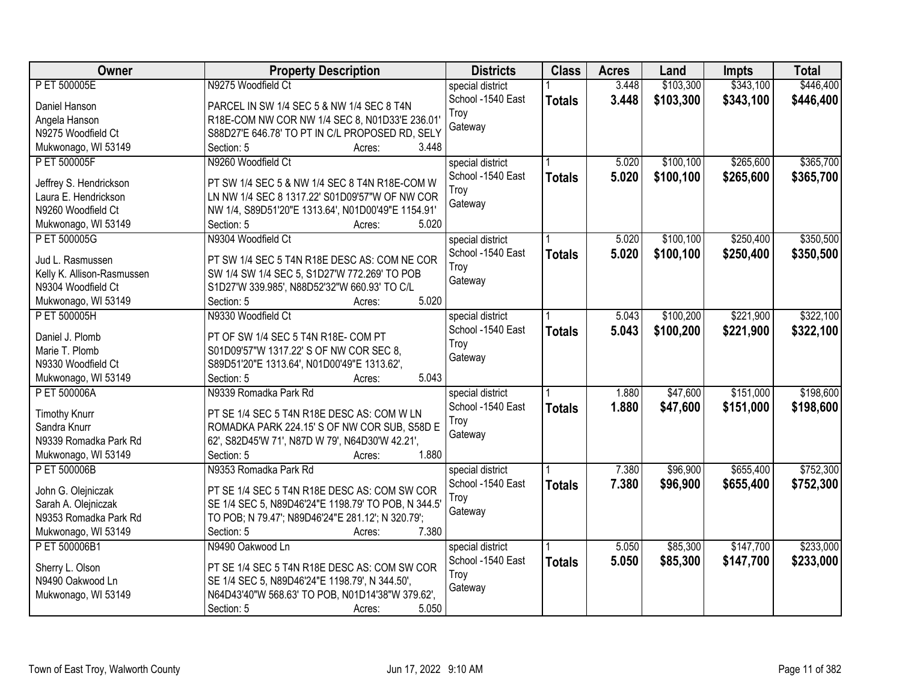| Owner                                | <b>Property Description</b>                              | <b>Districts</b>  | <b>Class</b>  | <b>Acres</b> | Land      | <b>Impts</b> | <b>Total</b> |
|--------------------------------------|----------------------------------------------------------|-------------------|---------------|--------------|-----------|--------------|--------------|
| P ET 500005E                         | N9275 Woodfield Ct                                       | special district  |               | 3.448        | \$103,300 | \$343,100    | \$446,400    |
| Daniel Hanson                        | PARCEL IN SW 1/4 SEC 5 & NW 1/4 SEC 8 T4N                | School -1540 East | <b>Totals</b> | 3.448        | \$103,300 | \$343,100    | \$446,400    |
| Angela Hanson                        | R18E-COM NW COR NW 1/4 SEC 8, N01D33'E 236.01'           | Troy              |               |              |           |              |              |
| N9275 Woodfield Ct                   | S88D27'E 646.78' TO PT IN C/L PROPOSED RD, SELY          | Gateway           |               |              |           |              |              |
| Mukwonago, WI 53149                  | 3.448<br>Section: 5<br>Acres:                            |                   |               |              |           |              |              |
| P ET 500005F                         | N9260 Woodfield Ct                                       | special district  |               | 5.020        | \$100,100 | \$265,600    | \$365,700    |
|                                      |                                                          | School -1540 East | <b>Totals</b> | 5.020        | \$100,100 | \$265,600    | \$365,700    |
| Jeffrey S. Hendrickson               | PT SW 1/4 SEC 5 & NW 1/4 SEC 8 T4N R18E-COM W            | Troy              |               |              |           |              |              |
| Laura E. Hendrickson                 | LN NW 1/4 SEC 8 1317.22' S01D09'57"W OF NW COR           | Gateway           |               |              |           |              |              |
| N9260 Woodfield Ct                   | NW 1/4, S89D51'20"E 1313.64', N01D00'49"E 1154.91'       |                   |               |              |           |              |              |
| Mukwonago, WI 53149                  | 5.020<br>Section: 5<br>Acres:                            |                   |               |              |           |              |              |
| P ET 500005G                         | N9304 Woodfield Ct                                       | special district  |               | 5.020        | \$100,100 | \$250,400    | \$350,500    |
| Jud L. Rasmussen                     | PT SW 1/4 SEC 5 T4N R18E DESC AS: COM NE COR             | School -1540 East | <b>Totals</b> | 5.020        | \$100,100 | \$250,400    | \$350,500    |
| Kelly K. Allison-Rasmussen           | SW 1/4 SW 1/4 SEC 5, S1D27'W 772.269' TO POB             | Troy              |               |              |           |              |              |
| N9304 Woodfield Ct                   | S1D27'W 339.985', N88D52'32"W 660.93' TO C/L             | Gateway           |               |              |           |              |              |
| Mukwonago, WI 53149                  | 5.020<br>Section: 5<br>Acres:                            |                   |               |              |           |              |              |
| P ET 500005H                         | N9330 Woodfield Ct                                       | special district  |               | 5.043        | \$100,200 | \$221,900    | \$322,100    |
|                                      |                                                          | School -1540 East | <b>Totals</b> | 5.043        | \$100,200 | \$221,900    | \$322,100    |
| Daniel J. Plomb                      | PT OF SW 1/4 SEC 5 T4N R18E- COM PT                      | Troy              |               |              |           |              |              |
| Marie T. Plomb                       | S01D09'57"W 1317.22' S OF NW COR SEC 8,                  | Gateway           |               |              |           |              |              |
| N9330 Woodfield Ct                   | S89D51'20"E 1313.64', N01D00'49"E 1313.62',              |                   |               |              |           |              |              |
| Mukwonago, WI 53149                  | 5.043<br>Section: 5<br>Acres:                            |                   |               |              |           |              |              |
| P ET 500006A                         | N9339 Romadka Park Rd                                    | special district  |               | 1.880        | \$47,600  | \$151,000    | \$198,600    |
|                                      | PT SE 1/4 SEC 5 T4N R18E DESC AS: COM W LN               | School -1540 East | <b>Totals</b> | 1.880        | \$47,600  | \$151,000    | \$198,600    |
| <b>Timothy Knurr</b><br>Sandra Knurr | ROMADKA PARK 224.15' S OF NW COR SUB, S58D E             | Troy              |               |              |           |              |              |
| N9339 Romadka Park Rd                |                                                          | Gateway           |               |              |           |              |              |
|                                      | 62', S82D45'W 71', N87D W 79', N64D30'W 42.21',<br>1.880 |                   |               |              |           |              |              |
| Mukwonago, WI 53149                  | Section: 5<br>Acres:                                     |                   |               |              |           |              |              |
| P ET 500006B                         | N9353 Romadka Park Rd                                    | special district  |               | 7.380        | \$96,900  | \$655,400    | \$752,300    |
| John G. Olejniczak                   | PT SE 1/4 SEC 5 T4N R18E DESC AS: COM SW COR             | School -1540 East | <b>Totals</b> | 7.380        | \$96,900  | \$655,400    | \$752,300    |
| Sarah A. Olejniczak                  | SE 1/4 SEC 5, N89D46'24"E 1198.79' TO POB, N 344.5'      | Troy              |               |              |           |              |              |
| N9353 Romadka Park Rd                | TO POB; N 79.47'; N89D46'24"E 281.12'; N 320.79';        | Gateway           |               |              |           |              |              |
| Mukwonago, WI 53149                  | 7.380<br>Section: 5<br>Acres:                            |                   |               |              |           |              |              |
| P ET 500006B1                        | N9490 Oakwood Ln                                         | special district  |               | 5.050        | \$85,300  | \$147,700    | \$233,000    |
|                                      |                                                          | School -1540 East | <b>Totals</b> | 5.050        | \$85,300  | \$147,700    | \$233,000    |
| Sherry L. Olson                      | PT SE 1/4 SEC 5 T4N R18E DESC AS: COM SW COR             | Troy              |               |              |           |              |              |
| N9490 Oakwood Ln                     | SE 1/4 SEC 5, N89D46'24"E 1198.79', N 344.50',           | Gateway           |               |              |           |              |              |
| Mukwonago, WI 53149                  | N64D43'40"W 568.63' TO POB, N01D14'38"W 379.62',         |                   |               |              |           |              |              |
|                                      | 5.050<br>Section: 5<br>Acres:                            |                   |               |              |           |              |              |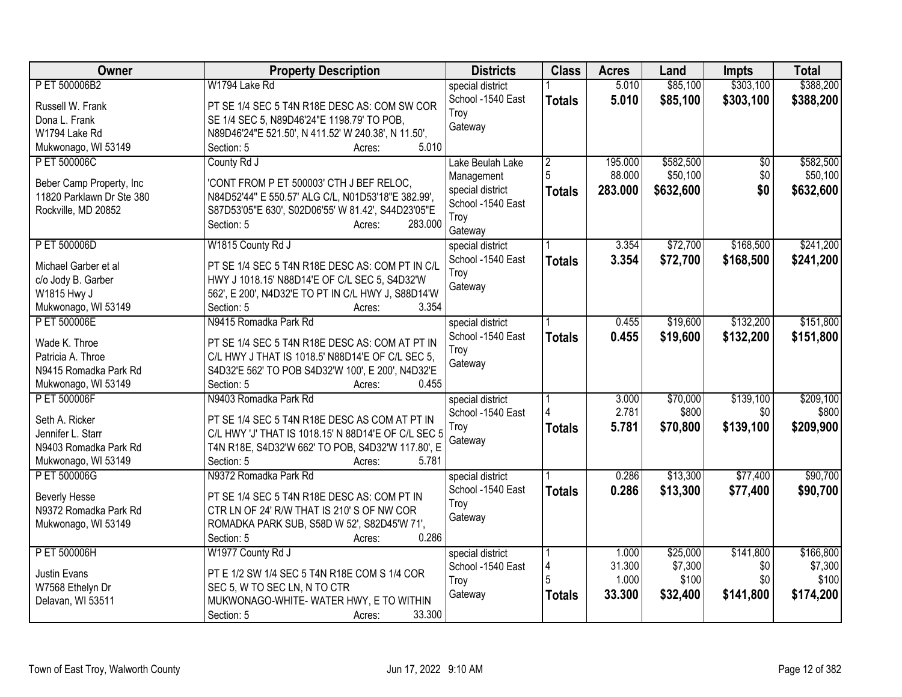| Owner                     | <b>Property Description</b>                          | <b>Districts</b>  | <b>Class</b>   | <b>Acres</b>    | Land             | <b>Impts</b> | <b>Total</b>     |
|---------------------------|------------------------------------------------------|-------------------|----------------|-----------------|------------------|--------------|------------------|
| P ET 500006B2             | W1794 Lake Rd                                        | special district  |                | 5.010           | \$85,100         | \$303,100    | \$388,200        |
| Russell W. Frank          | PT SE 1/4 SEC 5 T4N R18E DESC AS: COM SW COR         | School -1540 East | <b>Totals</b>  | 5.010           | \$85,100         | \$303,100    | \$388,200        |
| Dona L. Frank             | SE 1/4 SEC 5, N89D46'24"E 1198.79' TO POB,           | Troy              |                |                 |                  |              |                  |
| W1794 Lake Rd             | N89D46'24"E 521.50', N 411.52' W 240.38', N 11.50',  | Gateway           |                |                 |                  |              |                  |
| Mukwonago, WI 53149       | 5.010<br>Section: 5<br>Acres:                        |                   |                |                 |                  |              |                  |
| P ET 500006C              | County Rd J                                          | Lake Beulah Lake  | $\overline{2}$ | 195.000         | \$582,500        | \$0          | \$582,500        |
|                           |                                                      | Management        | 5              | 88.000          | \$50,100         | \$0          | \$50,100         |
| Beber Camp Property, Inc. | 'CONT FROM P ET 500003' CTH J BEF RELOC,             | special district  | <b>Totals</b>  | 283.000         | \$632,600        | \$0          | \$632,600        |
| 11820 Parklawn Dr Ste 380 | N84D52'44" E 550.57' ALG C/L, N01D53'18"E 382.99',   | School -1540 East |                |                 |                  |              |                  |
| Rockville, MD 20852       | S87D53'05"E 630', S02D06'55' W 81.42', S44D23'05"E   | Troy              |                |                 |                  |              |                  |
|                           | 283.000<br>Section: 5<br>Acres:                      | Gateway           |                |                 |                  |              |                  |
| P ET 500006D              | W1815 County Rd J                                    | special district  |                | 3.354           | \$72,700         | \$168,500    | \$241,200        |
| Michael Garber et al      | PT SE 1/4 SEC 5 T4N R18E DESC AS: COM PT IN C/L      | School -1540 East | <b>Totals</b>  | 3.354           | \$72,700         | \$168,500    | \$241,200        |
| c/o Jody B. Garber        | HWY J 1018.15' N88D14'E OF C/L SEC 5, S4D32'W        | Troy              |                |                 |                  |              |                  |
| W1815 Hwy J               | 562', E 200', N4D32'E TO PT IN C/L HWY J, S88D14'W   | Gateway           |                |                 |                  |              |                  |
| Mukwonago, WI 53149       | Section: 5<br>3.354<br>Acres:                        |                   |                |                 |                  |              |                  |
| P ET 500006E              | N9415 Romadka Park Rd                                | special district  |                | 0.455           | \$19,600         | \$132,200    | \$151,800        |
|                           |                                                      | School -1540 East |                | 0.455           | \$19,600         | \$132,200    | \$151,800        |
| Wade K. Throe             | PT SE 1/4 SEC 5 T4N R18E DESC AS: COM AT PT IN       | Troy              | <b>Totals</b>  |                 |                  |              |                  |
| Patricia A. Throe         | C/L HWY J THAT IS 1018.5' N88D14'E OF C/L SEC 5,     | Gateway           |                |                 |                  |              |                  |
| N9415 Romadka Park Rd     | S4D32'E 562' TO POB S4D32'W 100', E 200', N4D32'E    |                   |                |                 |                  |              |                  |
| Mukwonago, WI 53149       | Section: 5<br>0.455<br>Acres:                        |                   |                |                 |                  |              |                  |
| P ET 500006F              | N9403 Romadka Park Rd                                | special district  |                | 3.000           | \$70,000         | \$139,100    | \$209,100        |
| Seth A. Ricker            | PT SE 1/4 SEC 5 T4N R18E DESC AS COM AT PT IN        | School -1540 East |                | 2.781           | \$800            | \$0          | \$800            |
| Jennifer L. Starr         | C/L HWY 'J' THAT IS 1018.15' N 88D14'E OF C/L SEC 5  | Troy              | <b>Totals</b>  | 5.781           | \$70,800         | \$139,100    | \$209,900        |
| N9403 Romadka Park Rd     | T4N R18E, S4D32'W 662' TO POB, S4D32'W 117.80', E    | Gateway           |                |                 |                  |              |                  |
| Mukwonago, WI 53149       | Section: 5<br>5.781<br>Acres:                        |                   |                |                 |                  |              |                  |
| P ET 500006G              | N9372 Romadka Park Rd                                | special district  |                | 0.286           | \$13,300         | \$77,400     | \$90,700         |
|                           |                                                      | School -1540 East | <b>Totals</b>  | 0.286           | \$13,300         | \$77,400     | \$90,700         |
| <b>Beverly Hesse</b>      | PT SE 1/4 SEC 5 T4N R18E DESC AS: COM PT IN          | Troy              |                |                 |                  |              |                  |
| N9372 Romadka Park Rd     | CTR LN OF 24' R/W THAT IS 210' S OF NW COR           | Gateway           |                |                 |                  |              |                  |
| Mukwonago, WI 53149       | ROMADKA PARK SUB, S58D W 52', S82D45'W 71',<br>0.286 |                   |                |                 |                  |              |                  |
|                           | Section: 5<br>Acres:                                 |                   |                |                 |                  |              |                  |
| P ET 500006H              | W1977 County Rd J                                    | special district  |                | 1.000<br>31.300 | \$25,000         | \$141,800    | \$166,800        |
| Justin Evans              | PT E 1/2 SW 1/4 SEC 5 T4N R18E COM S 1/4 COR         | School -1540 East | 4              | 1.000           | \$7,300<br>\$100 | \$0<br>\$0   | \$7,300<br>\$100 |
| W7568 Ethelyn Dr          | SEC 5, W TO SEC LN, N TO CTR                         | Troy              |                |                 |                  |              |                  |
| Delavan, WI 53511         | MUKWONAGO-WHITE-WATER HWY, E TO WITHIN               | Gateway           | <b>Totals</b>  | 33.300          | \$32,400         | \$141,800    | \$174,200        |
|                           | 33.300<br>Section: 5<br>Acres:                       |                   |                |                 |                  |              |                  |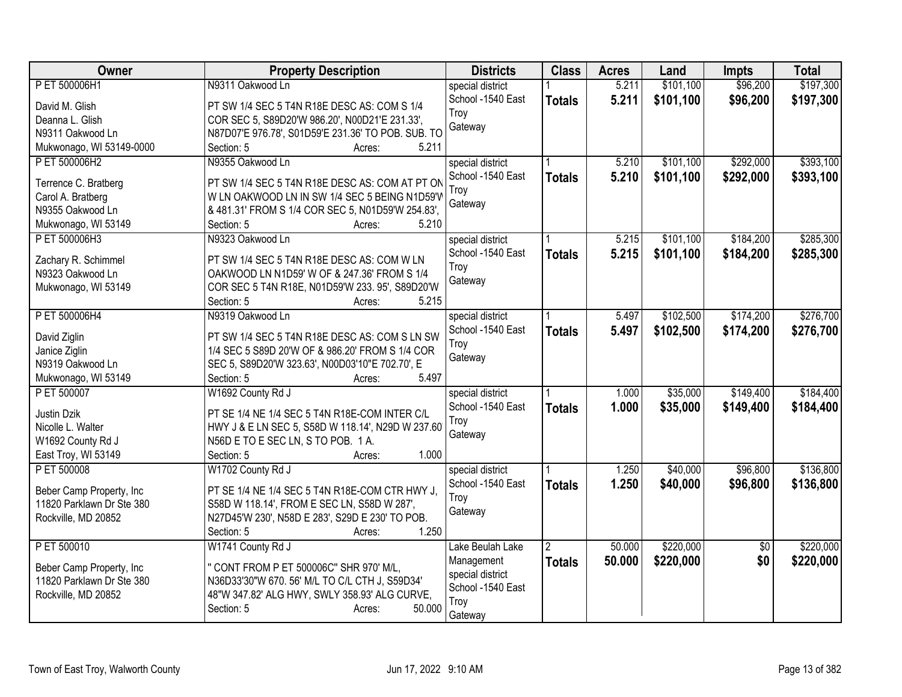| Owner                                 | <b>Property Description</b>                                                        | <b>Districts</b>  | <b>Class</b>   | <b>Acres</b> | Land      | <b>Impts</b>    | <b>Total</b> |
|---------------------------------------|------------------------------------------------------------------------------------|-------------------|----------------|--------------|-----------|-----------------|--------------|
| P ET 500006H1                         | N9311 Oakwood Ln                                                                   | special district  |                | 5.211        | \$101,100 | \$96,200        | \$197,300    |
| David M. Glish                        | PT SW 1/4 SEC 5 T4N R18E DESC AS: COM S 1/4                                        | School -1540 East | <b>Totals</b>  | 5.211        | \$101,100 | \$96,200        | \$197,300    |
| Deanna L. Glish                       | COR SEC 5, S89D20'W 986.20', N00D21'E 231.33',                                     | Troy              |                |              |           |                 |              |
| N9311 Oakwood Ln                      | N87D07'E 976.78', S01D59'E 231.36' TO POB. SUB. TO                                 | Gateway           |                |              |           |                 |              |
| Mukwonago, WI 53149-0000              | 5.211<br>Section: 5<br>Acres:                                                      |                   |                |              |           |                 |              |
| P ET 500006H2                         | N9355 Oakwood Ln                                                                   | special district  |                | 5.210        | \$101,100 | \$292,000       | \$393,100    |
|                                       |                                                                                    | School -1540 East | <b>Totals</b>  | 5.210        | \$101,100 | \$292,000       | \$393,100    |
| Terrence C. Bratberg                  | PT SW 1/4 SEC 5 T4N R18E DESC AS: COM AT PT ON                                     | Trov              |                |              |           |                 |              |
| Carol A. Bratberg<br>N9355 Oakwood Ln | W LN OAKWOOD LN IN SW 1/4 SEC 5 BEING N1D59'W                                      | Gateway           |                |              |           |                 |              |
| Mukwonago, WI 53149                   | & 481.31' FROM S 1/4 COR SEC 5, N01D59'W 254.83',<br>5.210<br>Section: 5<br>Acres: |                   |                |              |           |                 |              |
| P ET 500006H3                         | N9323 Oakwood Ln                                                                   | special district  |                | 5.215        | \$101,100 | \$184,200       | \$285,300    |
|                                       |                                                                                    | School -1540 East |                | 5.215        |           |                 |              |
| Zachary R. Schimmel                   | PT SW 1/4 SEC 5 T4N R18E DESC AS: COM W LN                                         | Troy              | <b>Totals</b>  |              | \$101,100 | \$184,200       | \$285,300    |
| N9323 Oakwood Ln                      | OAKWOOD LN N1D59' W OF & 247.36' FROM S 1/4                                        | Gateway           |                |              |           |                 |              |
| Mukwonago, WI 53149                   | COR SEC 5 T4N R18E, N01D59'W 233. 95', S89D20'W                                    |                   |                |              |           |                 |              |
|                                       | Section: 5<br>5.215<br>Acres:                                                      |                   |                |              |           |                 |              |
| P ET 500006H4                         | N9319 Oakwood Ln                                                                   | special district  |                | 5.497        | \$102,500 | \$174,200       | \$276,700    |
| David Ziglin                          | PT SW 1/4 SEC 5 T4N R18E DESC AS: COM S LN SW                                      | School -1540 East | <b>Totals</b>  | 5.497        | \$102,500 | \$174,200       | \$276,700    |
| Janice Ziglin                         | 1/4 SEC 5 S89D 20'W OF & 986.20' FROM S 1/4 COR                                    | Troy              |                |              |           |                 |              |
| N9319 Oakwood Ln                      | SEC 5, S89D20'W 323.63', N00D03'10"E 702.70', E                                    | Gateway           |                |              |           |                 |              |
| Mukwonago, WI 53149                   | 5.497<br>Section: 5<br>Acres:                                                      |                   |                |              |           |                 |              |
| P ET 500007                           | W1692 County Rd J                                                                  | special district  |                | 1.000        | \$35,000  | \$149,400       | \$184,400    |
|                                       |                                                                                    | School -1540 East | <b>Totals</b>  | 1.000        | \$35,000  | \$149,400       | \$184,400    |
| Justin Dzik                           | PT SE 1/4 NE 1/4 SEC 5 T4N R18E-COM INTER C/L                                      | Troy              |                |              |           |                 |              |
| Nicolle L. Walter                     | HWY J & E LN SEC 5, S58D W 118.14', N29D W 237.60                                  | Gateway           |                |              |           |                 |              |
| W1692 County Rd J                     | N56D E TO E SEC LN, S TO POB. 1 A.                                                 |                   |                |              |           |                 |              |
| East Troy, WI 53149                   | Section: 5<br>1.000<br>Acres:                                                      |                   |                |              |           |                 |              |
| P ET 500008                           | W1702 County Rd J                                                                  | special district  |                | 1.250        | \$40,000  | \$96,800        | \$136,800    |
| Beber Camp Property, Inc.             | PT SE 1/4 NE 1/4 SEC 5 T4N R18E-COM CTR HWY J,                                     | School -1540 East | <b>Totals</b>  | 1.250        | \$40,000  | \$96,800        | \$136,800    |
| 11820 Parklawn Dr Ste 380             | S58D W 118.14', FROM E SEC LN, S58D W 287',                                        | Troy              |                |              |           |                 |              |
| Rockville, MD 20852                   | N27D45'W 230', N58D E 283', S29D E 230' TO POB.                                    | Gateway           |                |              |           |                 |              |
|                                       | 1.250<br>Section: 5<br>Acres:                                                      |                   |                |              |           |                 |              |
| P ET 500010                           | W1741 County Rd J                                                                  | Lake Beulah Lake  | $\mathfrak{D}$ | 50.000       | \$220,000 | $\overline{60}$ | \$220,000    |
|                                       |                                                                                    | Management        | <b>Totals</b>  | 50.000       | \$220,000 | \$0             | \$220,000    |
| Beber Camp Property, Inc              | " CONT FROM P ET 500006C" SHR 970' M/L,                                            | special district  |                |              |           |                 |              |
| 11820 Parklawn Dr Ste 380             | N36D33'30"W 670. 56' M/L TO C/L CTH J, S59D34'                                     | School -1540 East |                |              |           |                 |              |
| Rockville, MD 20852                   | 48"W 347.82' ALG HWY, SWLY 358.93' ALG CURVE,                                      | Troy              |                |              |           |                 |              |
|                                       | 50.000<br>Section: 5<br>Acres:                                                     | Gateway           |                |              |           |                 |              |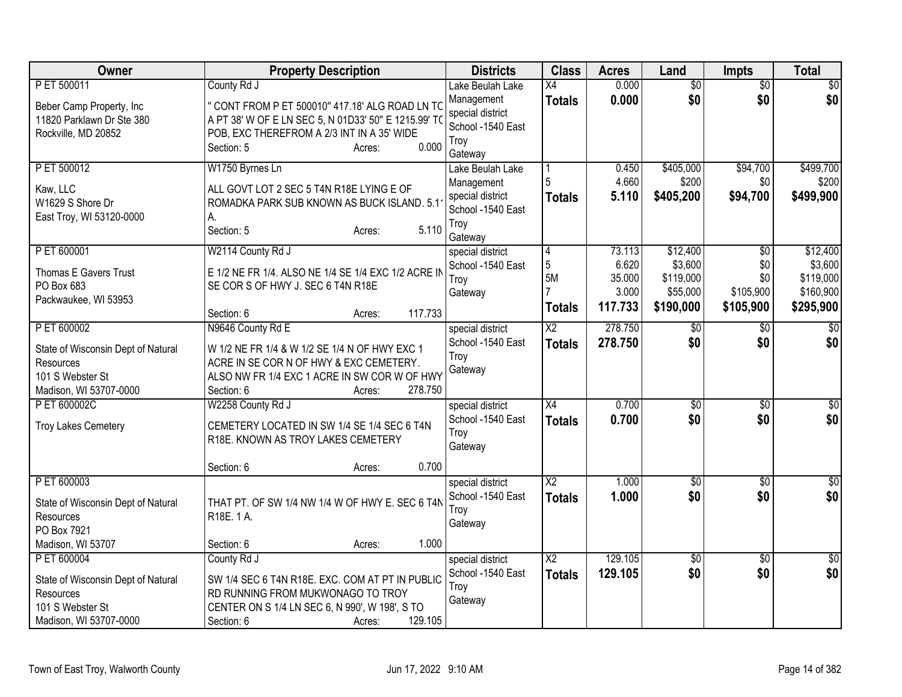| Owner                                                                                                        | <b>Property Description</b>                                                                                                                                                                           | <b>Districts</b>                                                                           | <b>Class</b>                                  | <b>Acres</b>                                  | Land                                                      | <b>Impts</b>                                | <b>Total</b>                                               |
|--------------------------------------------------------------------------------------------------------------|-------------------------------------------------------------------------------------------------------------------------------------------------------------------------------------------------------|--------------------------------------------------------------------------------------------|-----------------------------------------------|-----------------------------------------------|-----------------------------------------------------------|---------------------------------------------|------------------------------------------------------------|
| P ET 500011<br>Beber Camp Property, Inc.<br>11820 Parklawn Dr Ste 380<br>Rockville, MD 20852                 | County Rd J<br>" CONT FROM P ET 500010" 417.18' ALG ROAD LN TO<br>A PT 38' W OF E LN SEC 5, N 01D33' 50" E 1215.99' TO<br>POB, EXC THEREFROM A 2/3 INT IN A 35' WIDE<br>0.000<br>Section: 5<br>Acres: | Lake Beulah Lake<br>Management<br>special district<br>School -1540 East<br>Troy<br>Gateway | $\overline{X4}$<br><b>Totals</b>              | 0.000<br>0.000                                | $\overline{50}$<br>\$0                                    | $\overline{50}$<br>\$0                      | $\sqrt{50}$<br>\$0                                         |
| P ET 500012<br>Kaw, LLC<br>W1629 S Shore Dr<br>East Troy, WI 53120-0000                                      | W1750 Byrnes Ln<br>ALL GOVT LOT 2 SEC 5 T4N R18E LYING E OF<br>ROMADKA PARK SUB KNOWN AS BUCK ISLAND. 5.1<br>А.<br>5.110<br>Section: 5<br>Acres:                                                      | Lake Beulah Lake<br>Management<br>special district<br>School -1540 East<br>Troy<br>Gateway | <b>Totals</b>                                 | 0.450<br>4.660<br>5.110                       | \$405,000<br>\$200<br>\$405,200                           | \$94,700<br>\$0<br>\$94,700                 | \$499,700<br>\$200<br>\$499,900                            |
| P ET 600001<br>Thomas E Gavers Trust<br>PO Box 683<br>Packwaukee, WI 53953                                   | W2114 County Rd J<br>E 1/2 NE FR 1/4, ALSO NE 1/4 SE 1/4 EXC 1/2 ACRE IN<br>SE COR S OF HWY J. SEC 6 T4N R18E<br>117.733<br>Section: 6<br>Acres:                                                      | special district<br>School -1540 East<br>Troy<br>Gateway                                   | 4<br>$\sqrt{5}$<br><b>5M</b><br><b>Totals</b> | 73.113<br>6.620<br>35.000<br>3.000<br>117.733 | \$12,400<br>\$3,600<br>\$119,000<br>\$55,000<br>\$190,000 | \$0<br>\$0<br>\$0<br>\$105,900<br>\$105,900 | \$12,400<br>\$3,600<br>\$119,000<br>\$160,900<br>\$295,900 |
| P ET 600002<br>State of Wisconsin Dept of Natural<br>Resources<br>101 S Webster St<br>Madison, WI 53707-0000 | N9646 County Rd E<br>W 1/2 NE FR 1/4 & W 1/2 SE 1/4 N OF HWY EXC 1<br>ACRE IN SE COR N OF HWY & EXC CEMETERY.<br>ALSO NW FR 1/4 EXC 1 ACRE IN SW COR W OF HWY<br>278.750<br>Section: 6<br>Acres:      | special district<br>School -1540 East<br>Troy<br>Gateway                                   | $\overline{\text{X2}}$<br><b>Totals</b>       | 278.750<br>278.750                            | \$0<br>\$0                                                | $\frac{1}{20}$<br>\$0                       | $\overline{50}$<br>\$0                                     |
| P ET 600002C<br><b>Troy Lakes Cemetery</b>                                                                   | W2258 County Rd J<br>CEMETERY LOCATED IN SW 1/4 SE 1/4 SEC 6 T4N<br>R18E. KNOWN AS TROY LAKES CEMETERY<br>0.700<br>Section: 6<br>Acres:                                                               | special district<br>School -1540 East<br>Troy<br>Gateway                                   | X4<br><b>Totals</b>                           | 0.700<br>0.700                                | $\sqrt{6}$<br>\$0                                         | \$0<br>\$0                                  | $\overline{50}$<br>\$0                                     |
| P ET 600003<br>State of Wisconsin Dept of Natural<br><b>Resources</b><br>PO Box 7921<br>Madison, WI 53707    | THAT PT. OF SW 1/4 NW 1/4 W OF HWY E. SEC 6 T4N<br>R18E. 1 A.<br>1.000<br>Section: 6<br>Acres:                                                                                                        | special district<br>School -1540 East<br>Troy<br>Gateway                                   | $\overline{X2}$<br><b>Totals</b>              | 1.000<br>1.000                                | $\overline{50}$<br>\$0                                    | \$0<br>\$0                                  | $\sqrt{50}$<br>\$0                                         |
| P ET 600004<br>State of Wisconsin Dept of Natural<br>Resources<br>101 S Webster St<br>Madison, WI 53707-0000 | County Rd J<br>SW 1/4 SEC 6 T4N R18E. EXC. COM AT PT IN PUBLIC<br>RD RUNNING FROM MUKWONAGO TO TROY<br>CENTER ON S 1/4 LN SEC 6, N 990', W 198', S TO<br>129.105<br>Section: 6<br>Acres:              | special district<br>School -1540 East<br>Troy<br>Gateway                                   | $\overline{X2}$<br><b>Totals</b>              | 129.105<br>129.105                            | $\overline{50}$<br>\$0                                    | $\overline{50}$<br>\$0                      | $\sqrt{50}$<br>\$0                                         |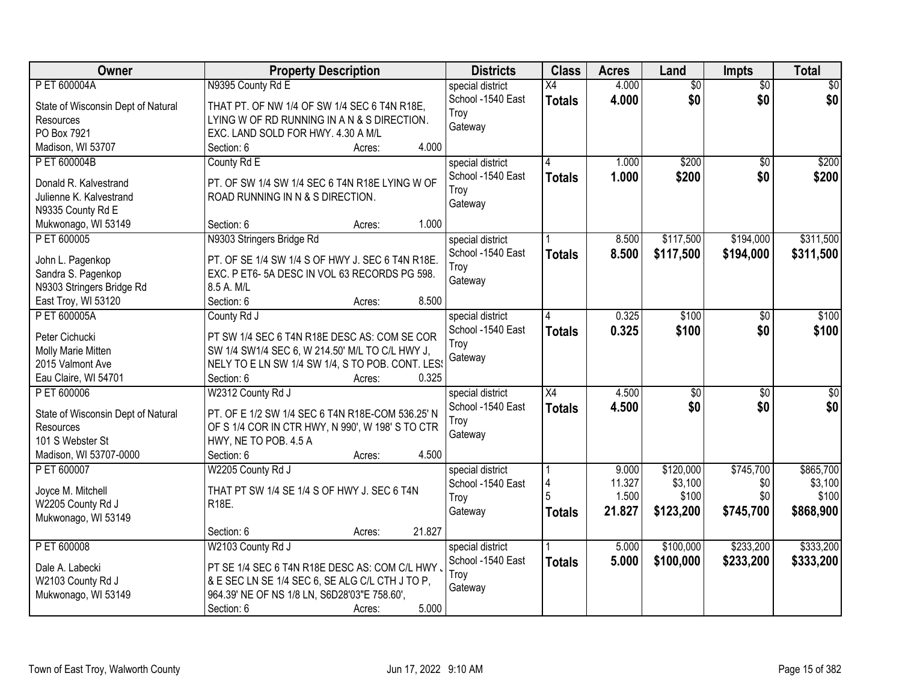| Owner                                  | <b>Property Description</b>                                                                     | <b>Districts</b>  | <b>Class</b>    | <b>Acres</b> | Land            | <b>Impts</b>    | <b>Total</b>     |
|----------------------------------------|-------------------------------------------------------------------------------------------------|-------------------|-----------------|--------------|-----------------|-----------------|------------------|
| P ET 600004A                           | N9395 County Rd E                                                                               | special district  | $\overline{X4}$ | 4.000        | $\overline{50}$ | $\overline{50}$ | $\overline{30}$  |
| State of Wisconsin Dept of Natural     | THAT PT. OF NW 1/4 OF SW 1/4 SEC 6 T4N R18E,                                                    | School -1540 East | <b>Totals</b>   | 4.000        | \$0             | \$0             | \$0              |
| Resources                              | LYING W OF RD RUNNING IN A N & S DIRECTION.                                                     | Troy              |                 |              |                 |                 |                  |
| PO Box 7921                            | EXC. LAND SOLD FOR HWY. 4.30 A M/L                                                              | Gateway           |                 |              |                 |                 |                  |
| Madison, WI 53707                      | 4.000<br>Section: 6<br>Acres:                                                                   |                   |                 |              |                 |                 |                  |
| P ET 600004B                           | County Rd E                                                                                     | special district  | 4               | 1.000        | \$200           | $\overline{50}$ | \$200            |
|                                        |                                                                                                 | School -1540 East | <b>Totals</b>   | 1.000        | \$200           | \$0             | \$200            |
| Donald R. Kalvestrand                  | PT. OF SW 1/4 SW 1/4 SEC 6 T4N R18E LYING W OF                                                  | Troy              |                 |              |                 |                 |                  |
| Julienne K. Kalvestrand                | ROAD RUNNING IN N & S DIRECTION.                                                                | Gateway           |                 |              |                 |                 |                  |
| N9335 County Rd E                      |                                                                                                 |                   |                 |              |                 |                 |                  |
| Mukwonago, WI 53149                    | 1.000<br>Section: 6<br>Acres:                                                                   |                   |                 |              |                 |                 |                  |
| P ET 600005                            | N9303 Stringers Bridge Rd                                                                       | special district  |                 | 8.500        | \$117,500       | \$194,000       | \$311,500        |
| John L. Pagenkop                       | PT. OF SE 1/4 SW 1/4 S OF HWY J. SEC 6 T4N R18E.                                                | School -1540 East | <b>Totals</b>   | 8.500        | \$117,500       | \$194,000       | \$311,500        |
| Sandra S. Pagenkop                     | EXC. P ET6-5A DESC IN VOL 63 RECORDS PG 598.                                                    | Troy              |                 |              |                 |                 |                  |
| N9303 Stringers Bridge Rd              | 8.5 A. M/L                                                                                      | Gateway           |                 |              |                 |                 |                  |
| East Troy, WI 53120                    | 8.500<br>Section: 6<br>Acres:                                                                   |                   |                 |              |                 |                 |                  |
| P ET 600005A                           | County Rd J                                                                                     | special district  | 4               | 0.325        | \$100           | \$0             | \$100            |
|                                        |                                                                                                 | School -1540 East | <b>Totals</b>   | 0.325        | \$100           | \$0             | \$100            |
| Peter Cichucki                         | PT SW 1/4 SEC 6 T4N R18E DESC AS: COM SE COR<br>SW 1/4 SW1/4 SEC 6, W 214.50' M/L TO C/L HWY J, | Troy              |                 |              |                 |                 |                  |
| Molly Marie Mitten<br>2015 Valmont Ave | NELY TO E LN SW 1/4 SW 1/4, S TO POB. CONT. LES!                                                | Gateway           |                 |              |                 |                 |                  |
| Eau Claire, WI 54701                   | 0.325<br>Section: 6<br>Acres:                                                                   |                   |                 |              |                 |                 |                  |
| P ET 600006                            | W2312 County Rd J                                                                               | special district  | $\overline{X4}$ | 4.500        | $\overline{50}$ | $\overline{50}$ | $\overline{\$0}$ |
|                                        |                                                                                                 | School -1540 East |                 | 4.500        | \$0             | \$0             | \$0              |
| State of Wisconsin Dept of Natural     | PT. OF E 1/2 SW 1/4 SEC 6 T4N R18E-COM 536.25' N                                                | Troy              | <b>Totals</b>   |              |                 |                 |                  |
| Resources                              | OF S 1/4 COR IN CTR HWY, N 990', W 198' S TO CTR                                                | Gateway           |                 |              |                 |                 |                  |
| 101 S Webster St                       | HWY, NE TO POB. 4.5 A                                                                           |                   |                 |              |                 |                 |                  |
| Madison, WI 53707-0000                 | 4.500<br>Section: 6<br>Acres:                                                                   |                   |                 |              |                 |                 |                  |
| P ET 600007                            | W2205 County Rd J                                                                               | special district  |                 | 9.000        | \$120,000       | \$745,700       | \$865,700        |
| Joyce M. Mitchell                      | THAT PT SW 1/4 SE 1/4 S OF HWY J. SEC 6 T4N                                                     | School -1540 East |                 | 11.327       | \$3,100         | \$0             | \$3,100          |
| W2205 County Rd J                      | R18E.                                                                                           | Troy              |                 | 1.500        | \$100           | \$0             | \$100            |
| Mukwonago, WI 53149                    |                                                                                                 | Gateway           | Totals          | 21.827       | \$123,200       | \$745,700       | \$868,900        |
|                                        | 21.827<br>Section: 6<br>Acres:                                                                  |                   |                 |              |                 |                 |                  |
| P ET 600008                            | W2103 County Rd J                                                                               | special district  |                 | 5.000        | \$100,000       | \$233,200       | \$333,200        |
|                                        |                                                                                                 | School -1540 East | <b>Totals</b>   | 5.000        | \$100,000       | \$233,200       | \$333,200        |
| Dale A. Labecki                        | PT SE 1/4 SEC 6 T4N R18E DESC AS: COM C/L HWY,                                                  | Troy              |                 |              |                 |                 |                  |
| W2103 County Rd J                      | & E SEC LN SE 1/4 SEC 6, SE ALG C/L CTH J TO P,                                                 | Gateway           |                 |              |                 |                 |                  |
| Mukwonago, WI 53149                    | 964.39' NE OF NS 1/8 LN, S6D28'03"E 758.60',                                                    |                   |                 |              |                 |                 |                  |
|                                        | 5.000<br>Section: 6<br>Acres:                                                                   |                   |                 |              |                 |                 |                  |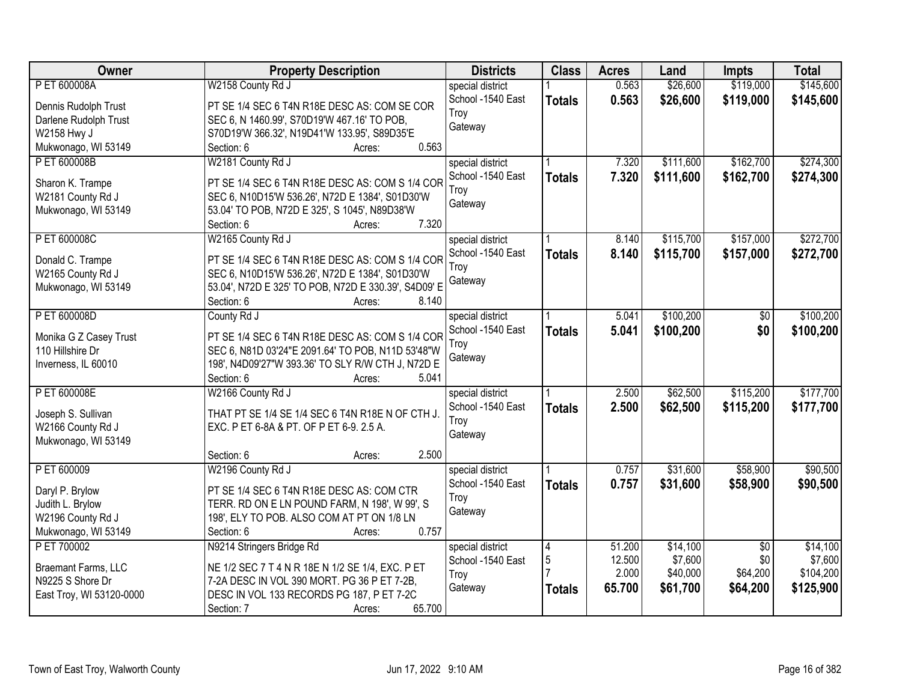| <b>Owner</b>             | <b>Property Description</b>                          | <b>Districts</b>  | <b>Class</b>  | <b>Acres</b> | Land      | <b>Impts</b>    | <b>Total</b> |
|--------------------------|------------------------------------------------------|-------------------|---------------|--------------|-----------|-----------------|--------------|
| P ET 600008A             | W2158 County Rd J                                    | special district  |               | 0.563        | \$26,600  | \$119,000       | \$145,600    |
| Dennis Rudolph Trust     | PT SE 1/4 SEC 6 T4N R18E DESC AS: COM SE COR         | School -1540 East | <b>Totals</b> | 0.563        | \$26,600  | \$119,000       | \$145,600    |
| Darlene Rudolph Trust    | SEC 6, N 1460.99', S70D19'W 467.16' TO POB,          | Troy              |               |              |           |                 |              |
| W2158 Hwy J              | S70D19'W 366.32', N19D41'W 133.95', S89D35'E         | Gateway           |               |              |           |                 |              |
| Mukwonago, WI 53149      | 0.563<br>Section: 6<br>Acres:                        |                   |               |              |           |                 |              |
| P ET 600008B             | W2181 County Rd J                                    | special district  |               | 7.320        | \$111,600 | \$162,700       | \$274,300    |
|                          |                                                      | School -1540 East | <b>Totals</b> | 7.320        | \$111,600 | \$162,700       | \$274,300    |
| Sharon K. Trampe         | PT SE 1/4 SEC 6 T4N R18E DESC AS: COM S 1/4 COR      | Troy              |               |              |           |                 |              |
| W2181 County Rd J        | SEC 6, N10D15'W 536.26', N72D E 1384', S01D30'W      | Gateway           |               |              |           |                 |              |
| Mukwonago, WI 53149      | 53.04' TO POB, N72D E 325', S 1045', N89D38'W        |                   |               |              |           |                 |              |
|                          | 7.320<br>Section: 6<br>Acres:                        |                   |               |              |           |                 |              |
| P ET 600008C             | W2165 County Rd J                                    | special district  |               | 8.140        | \$115,700 | \$157,000       | \$272,700    |
| Donald C. Trampe         | PT SE 1/4 SEC 6 T4N R18E DESC AS: COM S 1/4 COR      | School -1540 East | <b>Totals</b> | 8.140        | \$115,700 | \$157,000       | \$272,700    |
| W2165 County Rd J        | SEC 6, N10D15'W 536.26', N72D E 1384', S01D30'W      | Troy              |               |              |           |                 |              |
| Mukwonago, WI 53149      | 53.04', N72D E 325' TO POB, N72D E 330.39', S4D09' E | Gateway           |               |              |           |                 |              |
|                          | Section: 6<br>8.140<br>Acres:                        |                   |               |              |           |                 |              |
| P ET 600008D             | County Rd J                                          | special district  |               | 5.041        | \$100,200 | \$0             | \$100,200    |
|                          |                                                      | School -1540 East | <b>Totals</b> | 5.041        | \$100,200 | \$0             | \$100,200    |
| Monika G Z Casey Trust   | PT SE 1/4 SEC 6 T4N R18E DESC AS: COM S 1/4 COR      | Troy              |               |              |           |                 |              |
| 110 Hillshire Dr         | SEC 6, N81D 03'24"E 2091.64' TO POB, N11D 53'48"W    | Gateway           |               |              |           |                 |              |
| Inverness, IL 60010      | 198', N4D09'27"W 393.36' TO SLY R/W CTH J, N72D E    |                   |               |              |           |                 |              |
|                          | Section: 6<br>5.041<br>Acres:                        |                   |               |              |           |                 |              |
| P ET 600008E             | W2166 County Rd J                                    | special district  |               | 2.500        | \$62,500  | \$115,200       | \$177,700    |
| Joseph S. Sullivan       | THAT PT SE 1/4 SE 1/4 SEC 6 T4N R18E N OF CTH J.     | School -1540 East | <b>Totals</b> | 2.500        | \$62,500  | \$115,200       | \$177,700    |
| W2166 County Rd J        | EXC. P ET 6-8A & PT. OF P ET 6-9. 2.5 A.             | Troy              |               |              |           |                 |              |
| Mukwonago, WI 53149      |                                                      | Gateway           |               |              |           |                 |              |
|                          | 2.500<br>Section: 6<br>Acres:                        |                   |               |              |           |                 |              |
| P ET 600009              | W2196 County Rd J                                    | special district  |               | 0.757        | \$31,600  | \$58,900        | \$90,500     |
| Daryl P. Brylow          | PT SE 1/4 SEC 6 T4N R18E DESC AS: COM CTR            | School -1540 East | <b>Totals</b> | 0.757        | \$31,600  | \$58,900        | \$90,500     |
| Judith L. Brylow         | TERR. RD ON E LN POUND FARM, N 198', W 99', S        | Troy              |               |              |           |                 |              |
| W2196 County Rd J        | 198', ELY TO POB. ALSO COM AT PT ON 1/8 LN           | Gateway           |               |              |           |                 |              |
| Mukwonago, WI 53149      | 0.757<br>Section: 6<br>Acres:                        |                   |               |              |           |                 |              |
| P ET 700002              | N9214 Stringers Bridge Rd                            | special district  | 4             | 51.200       | \$14,100  | $\overline{50}$ | \$14,100     |
|                          |                                                      | School -1540 East | 5             | 12.500       | \$7,600   | \$0             | \$7,600      |
| Braemant Farms, LLC      | NE 1/2 SEC 7 T 4 N R 18E N 1/2 SE 1/4, EXC. P ET     | Troy              |               | 2.000        | \$40,000  | \$64,200        | \$104,200    |
| N9225 S Shore Dr         | 7-2A DESC IN VOL 390 MORT. PG 36 P ET 7-2B,          | Gateway           | <b>Totals</b> | 65.700       | \$61,700  | \$64,200        | \$125,900    |
| East Troy, WI 53120-0000 | DESC IN VOL 133 RECORDS PG 187, P ET 7-2C            |                   |               |              |           |                 |              |
|                          | 65.700<br>Section: 7<br>Acres:                       |                   |               |              |           |                 |              |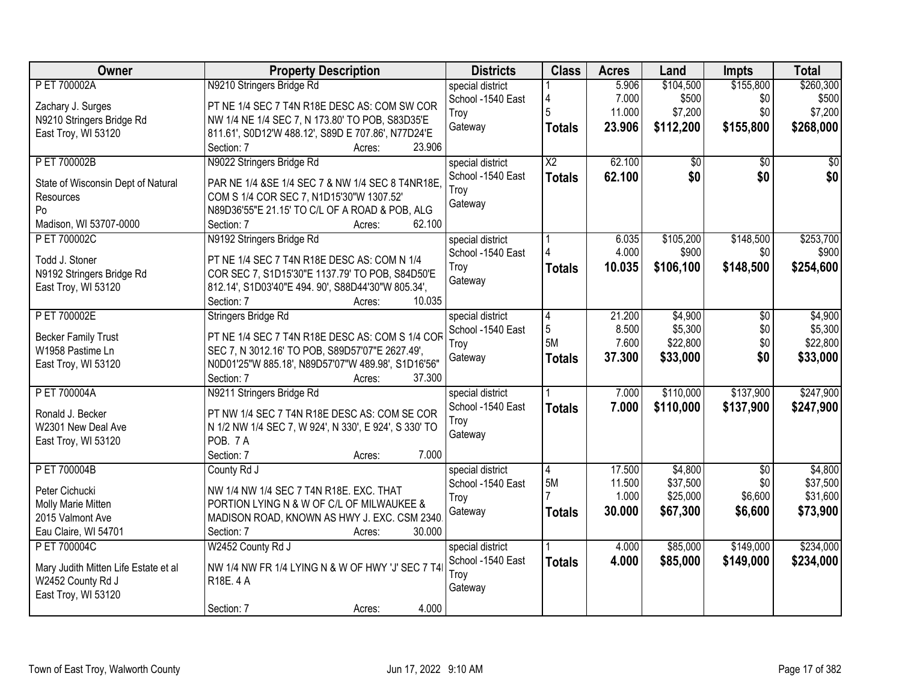| Owner                                | <b>Property Description</b>                                                                | <b>Districts</b>                      | <b>Class</b>    | <b>Acres</b> | Land      | <b>Impts</b>    | <b>Total</b> |
|--------------------------------------|--------------------------------------------------------------------------------------------|---------------------------------------|-----------------|--------------|-----------|-----------------|--------------|
| P ET 700002A                         | N9210 Stringers Bridge Rd                                                                  | special district                      |                 | 5.906        | \$104,500 | \$155,800       | \$260,300    |
| Zachary J. Surges                    | PT NE 1/4 SEC 7 T4N R18E DESC AS: COM SW COR                                               | School -1540 East                     | 4               | 7.000        | \$500     | \$0             | \$500        |
| N9210 Stringers Bridge Rd            | NW 1/4 NE 1/4 SEC 7, N 173.80' TO POB, S83D35'E                                            | Troy                                  | 5               | 11.000       | \$7,200   | \$0             | \$7,200      |
| East Troy, WI 53120                  | 811.61', S0D12'W 488.12', S89D E 707.86', N77D24'E                                         | Gateway                               | <b>Totals</b>   | 23.906       | \$112,200 | \$155,800       | \$268,000    |
|                                      | 23.906<br>Section: 7<br>Acres:                                                             |                                       |                 |              |           |                 |              |
| P ET 700002B                         | N9022 Stringers Bridge Rd                                                                  | special district                      | $\overline{X2}$ | 62.100       | \$0       | $\overline{30}$ | $\sqrt{50}$  |
|                                      |                                                                                            | School -1540 East                     | <b>Totals</b>   | 62.100       | \$0       | \$0             | \$0          |
| State of Wisconsin Dept of Natural   | PAR NE 1/4 &SE 1/4 SEC 7 & NW 1/4 SEC 8 T4NR18E,                                           | Troy                                  |                 |              |           |                 |              |
| Resources<br>Po                      | COM S 1/4 COR SEC 7, N1D15'30"W 1307.52'<br>N89D36'55"E 21.15' TO C/L OF A ROAD & POB, ALG | Gateway                               |                 |              |           |                 |              |
| Madison, WI 53707-0000               | 62.100<br>Section: 7<br>Acres:                                                             |                                       |                 |              |           |                 |              |
| P ET 700002C                         | N9192 Stringers Bridge Rd                                                                  |                                       |                 | 6.035        | \$105,200 | \$148,500       | \$253,700    |
|                                      |                                                                                            | special district<br>School -1540 East |                 | 4.000        | \$900     | \$0             | \$900        |
| Todd J. Stoner                       | PT NE 1/4 SEC 7 T4N R18E DESC AS: COM N 1/4                                                | Troy                                  |                 | 10.035       | \$106,100 | \$148,500       | \$254,600    |
| N9192 Stringers Bridge Rd            | COR SEC 7, S1D15'30"E 1137.79' TO POB, S84D50'E                                            | Gateway                               | <b>Totals</b>   |              |           |                 |              |
| East Troy, WI 53120                  | 812.14', S1D03'40"E 494. 90', S88D44'30"W 805.34',                                         |                                       |                 |              |           |                 |              |
|                                      | 10.035<br>Section: 7<br>Acres:                                                             |                                       |                 |              |           |                 |              |
| P ET 700002E                         | Stringers Bridge Rd                                                                        | special district                      | 4               | 21.200       | \$4,900   | \$0             | \$4,900      |
| <b>Becker Family Trust</b>           | PT NE 1/4 SEC 7 T4N R18E DESC AS: COM S 1/4 COR                                            | School -1540 East                     | $\overline{5}$  | 8.500        | \$5,300   | \$0             | \$5,300      |
| W1958 Pastime Ln                     | SEC 7, N 3012.16' TO POB, S89D57'07"E 2627.49',                                            | Troy                                  | 5M              | 7.600        | \$22,800  | \$0             | \$22,800     |
| East Troy, WI 53120                  | N0D01'25"W 885.18', N89D57'07"W 489.98', S1D16'56"                                         | Gateway                               | <b>Totals</b>   | 37.300       | \$33,000  | \$0             | \$33,000     |
|                                      | Section: 7<br>37.300<br>Acres:                                                             |                                       |                 |              |           |                 |              |
| P ET 700004A                         | N9211 Stringers Bridge Rd                                                                  | special district                      |                 | 7.000        | \$110,000 | \$137,900       | \$247,900    |
|                                      |                                                                                            | School -1540 East                     |                 | 7.000        | \$110,000 | \$137,900       | \$247,900    |
| Ronald J. Becker                     | PT NW 1/4 SEC 7 T4N R18E DESC AS: COM SE COR                                               | Troy                                  | <b>Totals</b>   |              |           |                 |              |
| W2301 New Deal Ave                   | N 1/2 NW 1/4 SEC 7, W 924', N 330', E 924', S 330' TO                                      | Gateway                               |                 |              |           |                 |              |
| East Troy, WI 53120                  | POB. 7 A                                                                                   |                                       |                 |              |           |                 |              |
|                                      | 7.000<br>Section: 7<br>Acres:                                                              |                                       |                 |              |           |                 |              |
| P ET 700004B                         | County Rd J                                                                                | special district                      | 4               | 17.500       | \$4,800   | $\sqrt{6}$      | \$4,800      |
| Peter Cichucki                       | NW 1/4 NW 1/4 SEC 7 T4N R18E. EXC. THAT                                                    | School -1540 East                     | 5M              | 11.500       | \$37,500  | \$0             | \$37,500     |
| Molly Marie Mitten                   | PORTION LYING N & W OF C/L OF MILWAUKEE &                                                  | Troy                                  |                 | 1.000        | \$25,000  | \$6,600         | \$31,600     |
| 2015 Valmont Ave                     | MADISON ROAD, KNOWN AS HWY J. EXC. CSM 2340.                                               | Gateway                               | <b>Totals</b>   | 30.000       | \$67,300  | \$6,600         | \$73,900     |
| Eau Claire, WI 54701                 | 30.000<br>Section: 7<br>Acres:                                                             |                                       |                 |              |           |                 |              |
| P ET 700004C                         | W2452 County Rd J                                                                          | special district                      |                 | 4.000        | \$85,000  | \$149,000       | \$234,000    |
|                                      |                                                                                            | School -1540 East                     | <b>Totals</b>   | 4.000        | \$85,000  | \$149,000       | \$234,000    |
| Mary Judith Mitten Life Estate et al | NW 1/4 NW FR 1/4 LYING N & W OF HWY 'J' SEC 7 T4!                                          | Troy                                  |                 |              |           |                 |              |
| W2452 County Rd J                    | R18E. 4 A                                                                                  | Gateway                               |                 |              |           |                 |              |
| East Troy, WI 53120                  |                                                                                            |                                       |                 |              |           |                 |              |
|                                      | 4.000<br>Section: 7<br>Acres:                                                              |                                       |                 |              |           |                 |              |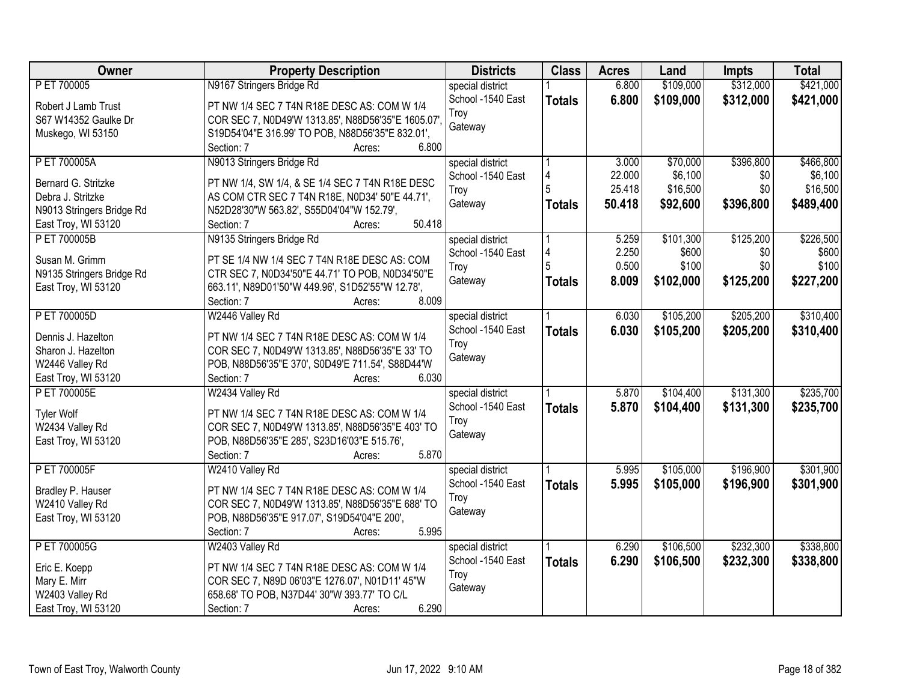| Owner                     | <b>Property Description</b>                        | <b>Districts</b>  | <b>Class</b>  | <b>Acres</b> | Land      | <b>Impts</b> | <b>Total</b> |
|---------------------------|----------------------------------------------------|-------------------|---------------|--------------|-----------|--------------|--------------|
| P ET 700005               | N9167 Stringers Bridge Rd                          | special district  |               | 6.800        | \$109,000 | \$312,000    | \$421,000    |
| Robert J Lamb Trust       | PT NW 1/4 SEC 7 T4N R18E DESC AS: COM W 1/4        | School -1540 East | <b>Totals</b> | 6.800        | \$109,000 | \$312,000    | \$421,000    |
| S67 W14352 Gaulke Dr      | COR SEC 7, N0D49'W 1313.85', N88D56'35"E 1605.07', | Troy              |               |              |           |              |              |
| Muskego, WI 53150         | S19D54'04"E 316.99' TO POB, N88D56'35"E 832.01',   | Gateway           |               |              |           |              |              |
|                           | 6.800<br>Section: 7<br>Acres:                      |                   |               |              |           |              |              |
| P ET 700005A              | N9013 Stringers Bridge Rd                          | special district  |               | 3.000        | \$70,000  | \$396,800    | \$466,800    |
|                           |                                                    | School -1540 East |               | 22.000       | \$6,100   | \$0          | \$6,100      |
| Bernard G. Stritzke       | PT NW 1/4, SW 1/4, & SE 1/4 SEC 7 T4N R18E DESC    | Troy              |               | 25.418       | \$16,500  | \$0          | \$16,500     |
| Debra J. Stritzke         | AS COM CTR SEC 7 T4N R18E, N0D34' 50"E 44.71',     | Gateway           | <b>Totals</b> | 50.418       | \$92,600  | \$396,800    | \$489,400    |
| N9013 Stringers Bridge Rd | N52D28'30"W 563.82', S55D04'04"W 152.79',          |                   |               |              |           |              |              |
| East Troy, WI 53120       | 50.418<br>Section: 7<br>Acres:                     |                   |               |              |           |              |              |
| P ET 700005B              | N9135 Stringers Bridge Rd                          | special district  |               | 5.259        | \$101,300 | \$125,200    | \$226,500    |
| Susan M. Grimm            | PT SE 1/4 NW 1/4 SEC 7 T4N R18E DESC AS: COM       | School -1540 East |               | 2.250        | \$600     | \$0          | \$600        |
| N9135 Stringers Bridge Rd | CTR SEC 7, N0D34'50"E 44.71' TO POB, N0D34'50"E    | Troy              |               | 0.500        | \$100     | \$0          | \$100        |
| East Troy, WI 53120       | 663.11', N89D01'50"W 449.96', S1D52'55"W 12.78',   | Gateway           | Totals        | 8.009        | \$102,000 | \$125,200    | \$227,200    |
|                           | 8.009<br>Section: 7<br>Acres:                      |                   |               |              |           |              |              |
| P ET 700005D              | W2446 Valley Rd                                    | special district  |               | 6.030        | \$105,200 | \$205,200    | \$310,400    |
|                           |                                                    | School -1540 East | <b>Totals</b> | 6.030        | \$105,200 | \$205,200    | \$310,400    |
| Dennis J. Hazelton        | PT NW 1/4 SEC 7 T4N R18E DESC AS: COM W 1/4        | Troy              |               |              |           |              |              |
| Sharon J. Hazelton        | COR SEC 7, N0D49'W 1313.85', N88D56'35"E 33' TO    | Gateway           |               |              |           |              |              |
| W2446 Valley Rd           | POB, N88D56'35"E 370', S0D49'E 711.54', S88D44'W   |                   |               |              |           |              |              |
| East Troy, WI 53120       | 6.030<br>Section: 7<br>Acres:                      |                   |               |              |           |              |              |
| P ET 700005E              | W2434 Valley Rd                                    | special district  |               | 5.870        | \$104,400 | \$131,300    | \$235,700    |
| <b>Tyler Wolf</b>         | PT NW 1/4 SEC 7 T4N R18E DESC AS: COM W 1/4        | School -1540 East | <b>Totals</b> | 5.870        | \$104,400 | \$131,300    | \$235,700    |
| W2434 Valley Rd           | COR SEC 7, N0D49'W 1313.85', N88D56'35"E 403' TO   | Troy              |               |              |           |              |              |
| East Troy, WI 53120       | POB, N88D56'35"E 285', S23D16'03"E 515.76',        | Gateway           |               |              |           |              |              |
|                           | Section: 7<br>5.870<br>Acres:                      |                   |               |              |           |              |              |
| P ET 700005F              | W2410 Valley Rd                                    | special district  |               | 5.995        | \$105,000 | \$196,900    | \$301,900    |
|                           |                                                    | School -1540 East |               | 5.995        | \$105,000 | \$196,900    | \$301,900    |
| Bradley P. Hauser         | PT NW 1/4 SEC 7 T4N R18E DESC AS: COM W 1/4        | Troy              | <b>Totals</b> |              |           |              |              |
| W2410 Valley Rd           | COR SEC 7, N0D49'W 1313.85', N88D56'35"E 688' TO   | Gateway           |               |              |           |              |              |
| East Troy, WI 53120       | POB, N88D56'35"E 917.07', S19D54'04"E 200',        |                   |               |              |           |              |              |
|                           | 5.995<br>Section: 7<br>Acres:                      |                   |               |              |           |              |              |
| P ET 700005G              | W2403 Valley Rd                                    | special district  |               | 6.290        | \$106,500 | \$232,300    | \$338,800    |
| Eric E. Koepp             | PT NW 1/4 SEC 7 T4N R18E DESC AS: COM W 1/4        | School -1540 East | <b>Totals</b> | 6.290        | \$106,500 | \$232,300    | \$338,800    |
| Mary E. Mirr              | COR SEC 7, N89D 06'03"E 1276.07', N01D11' 45"W     | Troy              |               |              |           |              |              |
| W2403 Valley Rd           | 658.68' TO POB, N37D44' 30"W 393.77' TO C/L        | Gateway           |               |              |           |              |              |
| East Troy, WI 53120       | 6.290<br>Section: 7<br>Acres:                      |                   |               |              |           |              |              |
|                           |                                                    |                   |               |              |           |              |              |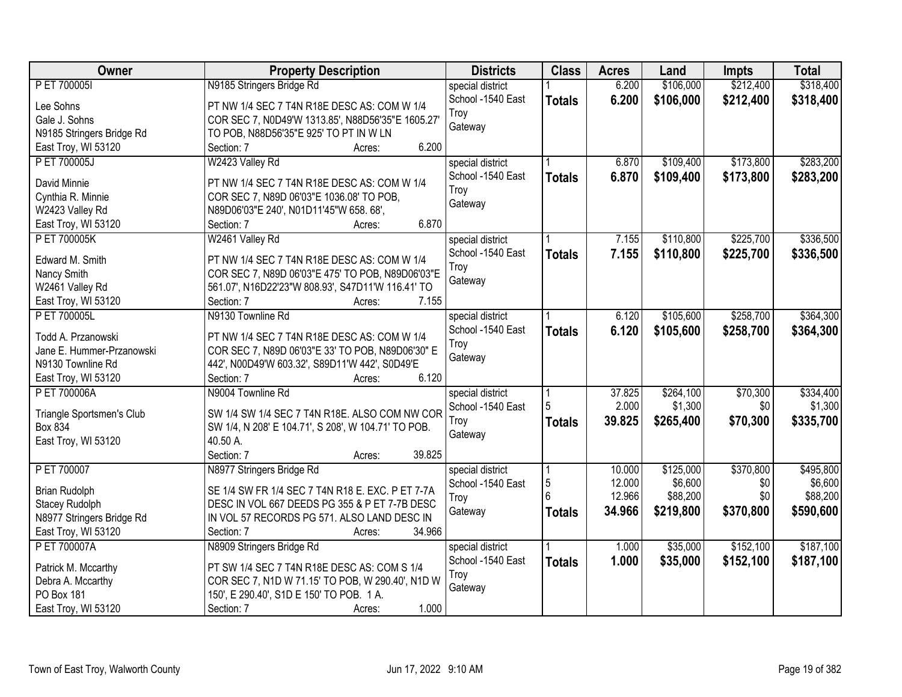| \$106,000<br>\$212,400<br>\$318,400<br>P ET 700005I<br>N9185 Stringers Bridge Rd<br>6.200<br>special district<br>School -1540 East<br>6.200<br>\$106,000<br>\$212,400<br><b>Totals</b><br>Lee Sohns<br>PT NW 1/4 SEC 7 T4N R18E DESC AS: COM W 1/4<br>Troy<br>Gale J. Sohns<br>COR SEC 7, N0D49'W 1313.85', N88D56'35"E 1605.27'<br>Gateway<br>N9185 Stringers Bridge Rd<br>TO POB, N88D56'35"E 925' TO PT IN W LN<br>6.200<br>East Troy, WI 53120<br>Section: 7<br>Acres:<br>\$109,400<br>\$173,800<br>\$283,200<br>P ET 700005J<br>W2423 Valley Rd<br>6.870<br>special district<br>School -1540 East<br>6.870<br>\$109,400<br>\$173,800<br><b>Totals</b><br>David Minnie<br>PT NW 1/4 SEC 7 T4N R18E DESC AS: COM W 1/4<br>Troy<br>COR SEC 7, N89D 06'03"E 1036.08' TO POB,<br>Cynthia R. Minnie<br>Gateway<br>W2423 Valley Rd<br>N89D06'03"E 240', N01D11'45"W 658. 68',<br>6.870<br>East Troy, WI 53120<br>Section: 7<br>Acres:<br>W2461 Valley Rd<br>\$110,800<br>\$225,700<br>\$336,500<br>P ET 700005K<br>special district<br>7.155<br>School -1540 East<br>7.155<br>\$110,800<br>\$225,700<br><b>Totals</b><br>Edward M. Smith<br>PT NW 1/4 SEC 7 T4N R18E DESC AS: COM W 1/4<br>Troy<br>Nancy Smith<br>COR SEC 7, N89D 06'03"E 475' TO POB, N89D06'03"E<br>Gateway<br>561.07', N16D22'23"W 808.93', S47D11'W 116.41' TO<br>W2461 Valley Rd<br>7.155<br>Section: 7<br>East Troy, WI 53120<br>Acres:<br>\$364,300<br>P ET 700005L<br>N9130 Townline Rd<br>\$105,600<br>\$258,700<br>special district<br>6.120<br>School -1540 East<br>6.120<br>\$105,600<br>\$258,700<br>\$364,300<br><b>Totals</b><br>Todd A. Przanowski<br>PT NW 1/4 SEC 7 T4N R18E DESC AS: COM W 1/4<br>Troy<br>Jane E. Hummer-Przanowski<br>COR SEC 7, N89D 06'03"E 33' TO POB, N89D06'30" E<br>Gateway<br>N9130 Townline Rd<br>442', N00D49'W 603.32', S89D11'W 442', S0D49'E<br>6.120<br>East Troy, WI 53120<br>Section: 7<br>Acres:<br>37.825<br>\$264,100<br>\$70,300<br>P ET 700006A<br>N9004 Townline Rd<br>special district<br>5<br>2.000<br>\$1,300<br>\$0<br>School -1540 East<br>SW 1/4 SW 1/4 SEC 7 T4N R18E. ALSO COM NW COR<br>Triangle Sportsmen's Club<br>\$70,300<br>39.825<br>\$265,400<br>\$335,700<br>Troy<br><b>Totals</b><br>Box 834<br>SW 1/4, N 208' E 104.71', S 208', W 104.71' TO POB.<br>Gateway<br>East Troy, WI 53120<br>40.50 A.<br>39.825<br>Section: 7<br>Acres:<br>\$125,000<br>\$370,800<br>P ET 700007<br>N8977 Stringers Bridge Rd<br>special district<br>10.000<br>5<br>\$6,600<br>12.000<br>\$0<br>School -1540 East<br>SE 1/4 SW FR 1/4 SEC 7 T4N R18 E. EXC. P ET 7-7A<br><b>Brian Rudolph</b><br>12.966<br>\$88,200<br>\$0<br>Troy<br><b>Stacey Rudolph</b><br>DESC IN VOL 667 DEEDS PG 355 & P ET 7-7B DESC<br>34.966<br>\$219,800<br>\$370,800<br>\$590,600<br>Gateway<br><b>Totals</b><br>IN VOL 57 RECORDS PG 571. ALSO LAND DESC IN<br>N8977 Stringers Bridge Rd<br>East Troy, WI 53120<br>34.966<br>Section: 7<br>Acres:<br>\$152,100<br>\$187,100<br>P ET 700007A<br>\$35,000<br>N8909 Stringers Bridge Rd<br>1.000<br>special district<br>1.000<br>School -1540 East<br>\$35,000<br>\$152,100<br>\$187,100<br><b>Totals</b><br>PT SW 1/4 SEC 7 T4N R18E DESC AS: COM S 1/4<br>Patrick M. Mccarthy<br>Troy<br>Debra A. Mccarthy<br>COR SEC 7, N1D W 71.15' TO POB, W 290.40', N1D W<br>Gateway<br><b>PO Box 181</b><br>150', E 290.40', S1D E 150' TO POB. 1 A. | Owner | <b>Property Description</b> | <b>Districts</b> | <b>Class</b> | <b>Acres</b> | Land | <b>Impts</b> | <b>Total</b> |
|---------------------------------------------------------------------------------------------------------------------------------------------------------------------------------------------------------------------------------------------------------------------------------------------------------------------------------------------------------------------------------------------------------------------------------------------------------------------------------------------------------------------------------------------------------------------------------------------------------------------------------------------------------------------------------------------------------------------------------------------------------------------------------------------------------------------------------------------------------------------------------------------------------------------------------------------------------------------------------------------------------------------------------------------------------------------------------------------------------------------------------------------------------------------------------------------------------------------------------------------------------------------------------------------------------------------------------------------------------------------------------------------------------------------------------------------------------------------------------------------------------------------------------------------------------------------------------------------------------------------------------------------------------------------------------------------------------------------------------------------------------------------------------------------------------------------------------------------------------------------------------------------------------------------------------------------------------------------------------------------------------------------------------------------------------------------------------------------------------------------------------------------------------------------------------------------------------------------------------------------------------------------------------------------------------------------------------------------------------------------------------------------------------------------------------------------------------------------------------------------------------------------------------------------------------------------------------------------------------------------------------------------------------------------------------------------------------------------------------------------------------------------------------------------------------------------------------------------------------------------------------------------------------------------------------------------------------------------------------------------------------------------------------------------------------------------------------------------------------------------------------------------------------------------------------------------------------------------------------------------------------------------------------------------------------------------------------------------------------------------------------------------|-------|-----------------------------|------------------|--------------|--------------|------|--------------|--------------|
|                                                                                                                                                                                                                                                                                                                                                                                                                                                                                                                                                                                                                                                                                                                                                                                                                                                                                                                                                                                                                                                                                                                                                                                                                                                                                                                                                                                                                                                                                                                                                                                                                                                                                                                                                                                                                                                                                                                                                                                                                                                                                                                                                                                                                                                                                                                                                                                                                                                                                                                                                                                                                                                                                                                                                                                                                                                                                                                                                                                                                                                                                                                                                                                                                                                                                                                                                                                             |       |                             |                  |              |              |      |              |              |
| \$283,200<br>\$336,500<br>\$495,800<br>\$88,200                                                                                                                                                                                                                                                                                                                                                                                                                                                                                                                                                                                                                                                                                                                                                                                                                                                                                                                                                                                                                                                                                                                                                                                                                                                                                                                                                                                                                                                                                                                                                                                                                                                                                                                                                                                                                                                                                                                                                                                                                                                                                                                                                                                                                                                                                                                                                                                                                                                                                                                                                                                                                                                                                                                                                                                                                                                                                                                                                                                                                                                                                                                                                                                                                                                                                                                                             |       |                             |                  |              |              |      |              | \$318,400    |
| \$334,400<br>\$1,300<br>\$6,600                                                                                                                                                                                                                                                                                                                                                                                                                                                                                                                                                                                                                                                                                                                                                                                                                                                                                                                                                                                                                                                                                                                                                                                                                                                                                                                                                                                                                                                                                                                                                                                                                                                                                                                                                                                                                                                                                                                                                                                                                                                                                                                                                                                                                                                                                                                                                                                                                                                                                                                                                                                                                                                                                                                                                                                                                                                                                                                                                                                                                                                                                                                                                                                                                                                                                                                                                             |       |                             |                  |              |              |      |              |              |
|                                                                                                                                                                                                                                                                                                                                                                                                                                                                                                                                                                                                                                                                                                                                                                                                                                                                                                                                                                                                                                                                                                                                                                                                                                                                                                                                                                                                                                                                                                                                                                                                                                                                                                                                                                                                                                                                                                                                                                                                                                                                                                                                                                                                                                                                                                                                                                                                                                                                                                                                                                                                                                                                                                                                                                                                                                                                                                                                                                                                                                                                                                                                                                                                                                                                                                                                                                                             |       |                             |                  |              |              |      |              |              |
|                                                                                                                                                                                                                                                                                                                                                                                                                                                                                                                                                                                                                                                                                                                                                                                                                                                                                                                                                                                                                                                                                                                                                                                                                                                                                                                                                                                                                                                                                                                                                                                                                                                                                                                                                                                                                                                                                                                                                                                                                                                                                                                                                                                                                                                                                                                                                                                                                                                                                                                                                                                                                                                                                                                                                                                                                                                                                                                                                                                                                                                                                                                                                                                                                                                                                                                                                                                             |       |                             |                  |              |              |      |              |              |
|                                                                                                                                                                                                                                                                                                                                                                                                                                                                                                                                                                                                                                                                                                                                                                                                                                                                                                                                                                                                                                                                                                                                                                                                                                                                                                                                                                                                                                                                                                                                                                                                                                                                                                                                                                                                                                                                                                                                                                                                                                                                                                                                                                                                                                                                                                                                                                                                                                                                                                                                                                                                                                                                                                                                                                                                                                                                                                                                                                                                                                                                                                                                                                                                                                                                                                                                                                                             |       |                             |                  |              |              |      |              |              |
|                                                                                                                                                                                                                                                                                                                                                                                                                                                                                                                                                                                                                                                                                                                                                                                                                                                                                                                                                                                                                                                                                                                                                                                                                                                                                                                                                                                                                                                                                                                                                                                                                                                                                                                                                                                                                                                                                                                                                                                                                                                                                                                                                                                                                                                                                                                                                                                                                                                                                                                                                                                                                                                                                                                                                                                                                                                                                                                                                                                                                                                                                                                                                                                                                                                                                                                                                                                             |       |                             |                  |              |              |      |              |              |
|                                                                                                                                                                                                                                                                                                                                                                                                                                                                                                                                                                                                                                                                                                                                                                                                                                                                                                                                                                                                                                                                                                                                                                                                                                                                                                                                                                                                                                                                                                                                                                                                                                                                                                                                                                                                                                                                                                                                                                                                                                                                                                                                                                                                                                                                                                                                                                                                                                                                                                                                                                                                                                                                                                                                                                                                                                                                                                                                                                                                                                                                                                                                                                                                                                                                                                                                                                                             |       |                             |                  |              |              |      |              |              |
|                                                                                                                                                                                                                                                                                                                                                                                                                                                                                                                                                                                                                                                                                                                                                                                                                                                                                                                                                                                                                                                                                                                                                                                                                                                                                                                                                                                                                                                                                                                                                                                                                                                                                                                                                                                                                                                                                                                                                                                                                                                                                                                                                                                                                                                                                                                                                                                                                                                                                                                                                                                                                                                                                                                                                                                                                                                                                                                                                                                                                                                                                                                                                                                                                                                                                                                                                                                             |       |                             |                  |              |              |      |              |              |
|                                                                                                                                                                                                                                                                                                                                                                                                                                                                                                                                                                                                                                                                                                                                                                                                                                                                                                                                                                                                                                                                                                                                                                                                                                                                                                                                                                                                                                                                                                                                                                                                                                                                                                                                                                                                                                                                                                                                                                                                                                                                                                                                                                                                                                                                                                                                                                                                                                                                                                                                                                                                                                                                                                                                                                                                                                                                                                                                                                                                                                                                                                                                                                                                                                                                                                                                                                                             |       |                             |                  |              |              |      |              |              |
|                                                                                                                                                                                                                                                                                                                                                                                                                                                                                                                                                                                                                                                                                                                                                                                                                                                                                                                                                                                                                                                                                                                                                                                                                                                                                                                                                                                                                                                                                                                                                                                                                                                                                                                                                                                                                                                                                                                                                                                                                                                                                                                                                                                                                                                                                                                                                                                                                                                                                                                                                                                                                                                                                                                                                                                                                                                                                                                                                                                                                                                                                                                                                                                                                                                                                                                                                                                             |       |                             |                  |              |              |      |              |              |
|                                                                                                                                                                                                                                                                                                                                                                                                                                                                                                                                                                                                                                                                                                                                                                                                                                                                                                                                                                                                                                                                                                                                                                                                                                                                                                                                                                                                                                                                                                                                                                                                                                                                                                                                                                                                                                                                                                                                                                                                                                                                                                                                                                                                                                                                                                                                                                                                                                                                                                                                                                                                                                                                                                                                                                                                                                                                                                                                                                                                                                                                                                                                                                                                                                                                                                                                                                                             |       |                             |                  |              |              |      |              |              |
|                                                                                                                                                                                                                                                                                                                                                                                                                                                                                                                                                                                                                                                                                                                                                                                                                                                                                                                                                                                                                                                                                                                                                                                                                                                                                                                                                                                                                                                                                                                                                                                                                                                                                                                                                                                                                                                                                                                                                                                                                                                                                                                                                                                                                                                                                                                                                                                                                                                                                                                                                                                                                                                                                                                                                                                                                                                                                                                                                                                                                                                                                                                                                                                                                                                                                                                                                                                             |       |                             |                  |              |              |      |              |              |
|                                                                                                                                                                                                                                                                                                                                                                                                                                                                                                                                                                                                                                                                                                                                                                                                                                                                                                                                                                                                                                                                                                                                                                                                                                                                                                                                                                                                                                                                                                                                                                                                                                                                                                                                                                                                                                                                                                                                                                                                                                                                                                                                                                                                                                                                                                                                                                                                                                                                                                                                                                                                                                                                                                                                                                                                                                                                                                                                                                                                                                                                                                                                                                                                                                                                                                                                                                                             |       |                             |                  |              |              |      |              |              |
|                                                                                                                                                                                                                                                                                                                                                                                                                                                                                                                                                                                                                                                                                                                                                                                                                                                                                                                                                                                                                                                                                                                                                                                                                                                                                                                                                                                                                                                                                                                                                                                                                                                                                                                                                                                                                                                                                                                                                                                                                                                                                                                                                                                                                                                                                                                                                                                                                                                                                                                                                                                                                                                                                                                                                                                                                                                                                                                                                                                                                                                                                                                                                                                                                                                                                                                                                                                             |       |                             |                  |              |              |      |              |              |
|                                                                                                                                                                                                                                                                                                                                                                                                                                                                                                                                                                                                                                                                                                                                                                                                                                                                                                                                                                                                                                                                                                                                                                                                                                                                                                                                                                                                                                                                                                                                                                                                                                                                                                                                                                                                                                                                                                                                                                                                                                                                                                                                                                                                                                                                                                                                                                                                                                                                                                                                                                                                                                                                                                                                                                                                                                                                                                                                                                                                                                                                                                                                                                                                                                                                                                                                                                                             |       |                             |                  |              |              |      |              |              |
|                                                                                                                                                                                                                                                                                                                                                                                                                                                                                                                                                                                                                                                                                                                                                                                                                                                                                                                                                                                                                                                                                                                                                                                                                                                                                                                                                                                                                                                                                                                                                                                                                                                                                                                                                                                                                                                                                                                                                                                                                                                                                                                                                                                                                                                                                                                                                                                                                                                                                                                                                                                                                                                                                                                                                                                                                                                                                                                                                                                                                                                                                                                                                                                                                                                                                                                                                                                             |       |                             |                  |              |              |      |              |              |
|                                                                                                                                                                                                                                                                                                                                                                                                                                                                                                                                                                                                                                                                                                                                                                                                                                                                                                                                                                                                                                                                                                                                                                                                                                                                                                                                                                                                                                                                                                                                                                                                                                                                                                                                                                                                                                                                                                                                                                                                                                                                                                                                                                                                                                                                                                                                                                                                                                                                                                                                                                                                                                                                                                                                                                                                                                                                                                                                                                                                                                                                                                                                                                                                                                                                                                                                                                                             |       |                             |                  |              |              |      |              |              |
|                                                                                                                                                                                                                                                                                                                                                                                                                                                                                                                                                                                                                                                                                                                                                                                                                                                                                                                                                                                                                                                                                                                                                                                                                                                                                                                                                                                                                                                                                                                                                                                                                                                                                                                                                                                                                                                                                                                                                                                                                                                                                                                                                                                                                                                                                                                                                                                                                                                                                                                                                                                                                                                                                                                                                                                                                                                                                                                                                                                                                                                                                                                                                                                                                                                                                                                                                                                             |       |                             |                  |              |              |      |              |              |
|                                                                                                                                                                                                                                                                                                                                                                                                                                                                                                                                                                                                                                                                                                                                                                                                                                                                                                                                                                                                                                                                                                                                                                                                                                                                                                                                                                                                                                                                                                                                                                                                                                                                                                                                                                                                                                                                                                                                                                                                                                                                                                                                                                                                                                                                                                                                                                                                                                                                                                                                                                                                                                                                                                                                                                                                                                                                                                                                                                                                                                                                                                                                                                                                                                                                                                                                                                                             |       |                             |                  |              |              |      |              |              |
|                                                                                                                                                                                                                                                                                                                                                                                                                                                                                                                                                                                                                                                                                                                                                                                                                                                                                                                                                                                                                                                                                                                                                                                                                                                                                                                                                                                                                                                                                                                                                                                                                                                                                                                                                                                                                                                                                                                                                                                                                                                                                                                                                                                                                                                                                                                                                                                                                                                                                                                                                                                                                                                                                                                                                                                                                                                                                                                                                                                                                                                                                                                                                                                                                                                                                                                                                                                             |       |                             |                  |              |              |      |              |              |
|                                                                                                                                                                                                                                                                                                                                                                                                                                                                                                                                                                                                                                                                                                                                                                                                                                                                                                                                                                                                                                                                                                                                                                                                                                                                                                                                                                                                                                                                                                                                                                                                                                                                                                                                                                                                                                                                                                                                                                                                                                                                                                                                                                                                                                                                                                                                                                                                                                                                                                                                                                                                                                                                                                                                                                                                                                                                                                                                                                                                                                                                                                                                                                                                                                                                                                                                                                                             |       |                             |                  |              |              |      |              |              |
|                                                                                                                                                                                                                                                                                                                                                                                                                                                                                                                                                                                                                                                                                                                                                                                                                                                                                                                                                                                                                                                                                                                                                                                                                                                                                                                                                                                                                                                                                                                                                                                                                                                                                                                                                                                                                                                                                                                                                                                                                                                                                                                                                                                                                                                                                                                                                                                                                                                                                                                                                                                                                                                                                                                                                                                                                                                                                                                                                                                                                                                                                                                                                                                                                                                                                                                                                                                             |       |                             |                  |              |              |      |              |              |
|                                                                                                                                                                                                                                                                                                                                                                                                                                                                                                                                                                                                                                                                                                                                                                                                                                                                                                                                                                                                                                                                                                                                                                                                                                                                                                                                                                                                                                                                                                                                                                                                                                                                                                                                                                                                                                                                                                                                                                                                                                                                                                                                                                                                                                                                                                                                                                                                                                                                                                                                                                                                                                                                                                                                                                                                                                                                                                                                                                                                                                                                                                                                                                                                                                                                                                                                                                                             |       |                             |                  |              |              |      |              |              |
|                                                                                                                                                                                                                                                                                                                                                                                                                                                                                                                                                                                                                                                                                                                                                                                                                                                                                                                                                                                                                                                                                                                                                                                                                                                                                                                                                                                                                                                                                                                                                                                                                                                                                                                                                                                                                                                                                                                                                                                                                                                                                                                                                                                                                                                                                                                                                                                                                                                                                                                                                                                                                                                                                                                                                                                                                                                                                                                                                                                                                                                                                                                                                                                                                                                                                                                                                                                             |       |                             |                  |              |              |      |              |              |
|                                                                                                                                                                                                                                                                                                                                                                                                                                                                                                                                                                                                                                                                                                                                                                                                                                                                                                                                                                                                                                                                                                                                                                                                                                                                                                                                                                                                                                                                                                                                                                                                                                                                                                                                                                                                                                                                                                                                                                                                                                                                                                                                                                                                                                                                                                                                                                                                                                                                                                                                                                                                                                                                                                                                                                                                                                                                                                                                                                                                                                                                                                                                                                                                                                                                                                                                                                                             |       |                             |                  |              |              |      |              |              |
|                                                                                                                                                                                                                                                                                                                                                                                                                                                                                                                                                                                                                                                                                                                                                                                                                                                                                                                                                                                                                                                                                                                                                                                                                                                                                                                                                                                                                                                                                                                                                                                                                                                                                                                                                                                                                                                                                                                                                                                                                                                                                                                                                                                                                                                                                                                                                                                                                                                                                                                                                                                                                                                                                                                                                                                                                                                                                                                                                                                                                                                                                                                                                                                                                                                                                                                                                                                             |       |                             |                  |              |              |      |              |              |
|                                                                                                                                                                                                                                                                                                                                                                                                                                                                                                                                                                                                                                                                                                                                                                                                                                                                                                                                                                                                                                                                                                                                                                                                                                                                                                                                                                                                                                                                                                                                                                                                                                                                                                                                                                                                                                                                                                                                                                                                                                                                                                                                                                                                                                                                                                                                                                                                                                                                                                                                                                                                                                                                                                                                                                                                                                                                                                                                                                                                                                                                                                                                                                                                                                                                                                                                                                                             |       |                             |                  |              |              |      |              |              |
|                                                                                                                                                                                                                                                                                                                                                                                                                                                                                                                                                                                                                                                                                                                                                                                                                                                                                                                                                                                                                                                                                                                                                                                                                                                                                                                                                                                                                                                                                                                                                                                                                                                                                                                                                                                                                                                                                                                                                                                                                                                                                                                                                                                                                                                                                                                                                                                                                                                                                                                                                                                                                                                                                                                                                                                                                                                                                                                                                                                                                                                                                                                                                                                                                                                                                                                                                                                             |       |                             |                  |              |              |      |              |              |
|                                                                                                                                                                                                                                                                                                                                                                                                                                                                                                                                                                                                                                                                                                                                                                                                                                                                                                                                                                                                                                                                                                                                                                                                                                                                                                                                                                                                                                                                                                                                                                                                                                                                                                                                                                                                                                                                                                                                                                                                                                                                                                                                                                                                                                                                                                                                                                                                                                                                                                                                                                                                                                                                                                                                                                                                                                                                                                                                                                                                                                                                                                                                                                                                                                                                                                                                                                                             |       |                             |                  |              |              |      |              |              |
|                                                                                                                                                                                                                                                                                                                                                                                                                                                                                                                                                                                                                                                                                                                                                                                                                                                                                                                                                                                                                                                                                                                                                                                                                                                                                                                                                                                                                                                                                                                                                                                                                                                                                                                                                                                                                                                                                                                                                                                                                                                                                                                                                                                                                                                                                                                                                                                                                                                                                                                                                                                                                                                                                                                                                                                                                                                                                                                                                                                                                                                                                                                                                                                                                                                                                                                                                                                             |       |                             |                  |              |              |      |              |              |
|                                                                                                                                                                                                                                                                                                                                                                                                                                                                                                                                                                                                                                                                                                                                                                                                                                                                                                                                                                                                                                                                                                                                                                                                                                                                                                                                                                                                                                                                                                                                                                                                                                                                                                                                                                                                                                                                                                                                                                                                                                                                                                                                                                                                                                                                                                                                                                                                                                                                                                                                                                                                                                                                                                                                                                                                                                                                                                                                                                                                                                                                                                                                                                                                                                                                                                                                                                                             |       |                             |                  |              |              |      |              |              |
|                                                                                                                                                                                                                                                                                                                                                                                                                                                                                                                                                                                                                                                                                                                                                                                                                                                                                                                                                                                                                                                                                                                                                                                                                                                                                                                                                                                                                                                                                                                                                                                                                                                                                                                                                                                                                                                                                                                                                                                                                                                                                                                                                                                                                                                                                                                                                                                                                                                                                                                                                                                                                                                                                                                                                                                                                                                                                                                                                                                                                                                                                                                                                                                                                                                                                                                                                                                             |       |                             |                  |              |              |      |              |              |
|                                                                                                                                                                                                                                                                                                                                                                                                                                                                                                                                                                                                                                                                                                                                                                                                                                                                                                                                                                                                                                                                                                                                                                                                                                                                                                                                                                                                                                                                                                                                                                                                                                                                                                                                                                                                                                                                                                                                                                                                                                                                                                                                                                                                                                                                                                                                                                                                                                                                                                                                                                                                                                                                                                                                                                                                                                                                                                                                                                                                                                                                                                                                                                                                                                                                                                                                                                                             |       |                             |                  |              |              |      |              |              |
|                                                                                                                                                                                                                                                                                                                                                                                                                                                                                                                                                                                                                                                                                                                                                                                                                                                                                                                                                                                                                                                                                                                                                                                                                                                                                                                                                                                                                                                                                                                                                                                                                                                                                                                                                                                                                                                                                                                                                                                                                                                                                                                                                                                                                                                                                                                                                                                                                                                                                                                                                                                                                                                                                                                                                                                                                                                                                                                                                                                                                                                                                                                                                                                                                                                                                                                                                                                             |       |                             |                  |              |              |      |              |              |
|                                                                                                                                                                                                                                                                                                                                                                                                                                                                                                                                                                                                                                                                                                                                                                                                                                                                                                                                                                                                                                                                                                                                                                                                                                                                                                                                                                                                                                                                                                                                                                                                                                                                                                                                                                                                                                                                                                                                                                                                                                                                                                                                                                                                                                                                                                                                                                                                                                                                                                                                                                                                                                                                                                                                                                                                                                                                                                                                                                                                                                                                                                                                                                                                                                                                                                                                                                                             |       |                             |                  |              |              |      |              |              |
|                                                                                                                                                                                                                                                                                                                                                                                                                                                                                                                                                                                                                                                                                                                                                                                                                                                                                                                                                                                                                                                                                                                                                                                                                                                                                                                                                                                                                                                                                                                                                                                                                                                                                                                                                                                                                                                                                                                                                                                                                                                                                                                                                                                                                                                                                                                                                                                                                                                                                                                                                                                                                                                                                                                                                                                                                                                                                                                                                                                                                                                                                                                                                                                                                                                                                                                                                                                             |       |                             |                  |              |              |      |              |              |
| 1.000<br>East Troy, WI 53120<br>Section: 7<br>Acres:                                                                                                                                                                                                                                                                                                                                                                                                                                                                                                                                                                                                                                                                                                                                                                                                                                                                                                                                                                                                                                                                                                                                                                                                                                                                                                                                                                                                                                                                                                                                                                                                                                                                                                                                                                                                                                                                                                                                                                                                                                                                                                                                                                                                                                                                                                                                                                                                                                                                                                                                                                                                                                                                                                                                                                                                                                                                                                                                                                                                                                                                                                                                                                                                                                                                                                                                        |       |                             |                  |              |              |      |              |              |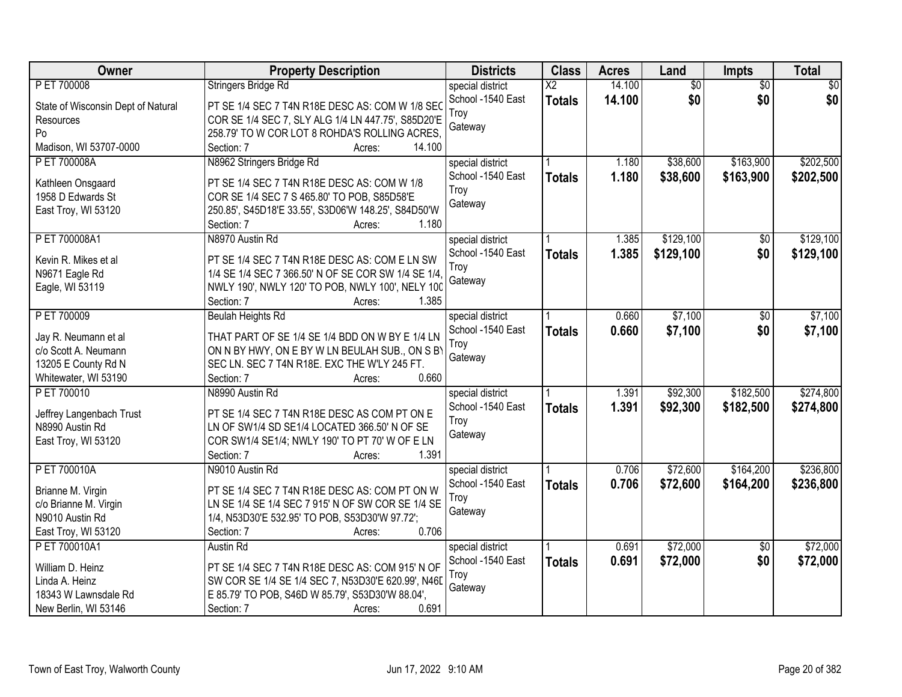| Owner                                       | <b>Property Description</b>                                                                    | <b>Districts</b>  | <b>Class</b>           | <b>Acres</b> | Land            | Impts           | <b>Total</b>    |
|---------------------------------------------|------------------------------------------------------------------------------------------------|-------------------|------------------------|--------------|-----------------|-----------------|-----------------|
| P ET 700008                                 | Stringers Bridge Rd                                                                            | special district  | $\overline{\text{X2}}$ | 14.100       | $\overline{60}$ | $\overline{30}$ | $\overline{50}$ |
| State of Wisconsin Dept of Natural          | PT SE 1/4 SEC 7 T4N R18E DESC AS: COM W 1/8 SEC                                                | School -1540 East | <b>Totals</b>          | 14.100       | \$0             | \$0             | \$0             |
| Resources                                   | COR SE 1/4 SEC 7, SLY ALG 1/4 LN 447.75', S85D20'E                                             | Troy              |                        |              |                 |                 |                 |
| Po                                          | 258.79' TO W COR LOT 8 ROHDA'S ROLLING ACRES.                                                  | Gateway           |                        |              |                 |                 |                 |
| Madison, WI 53707-0000                      | 14.100<br>Section: 7<br>Acres:                                                                 |                   |                        |              |                 |                 |                 |
| P ET 700008A                                | N8962 Stringers Bridge Rd                                                                      | special district  |                        | 1.180        | \$38,600        | \$163,900       | \$202,500       |
|                                             |                                                                                                | School -1540 East | <b>Totals</b>          | 1.180        | \$38,600        | \$163,900       | \$202,500       |
| Kathleen Onsgaard                           | PT SE 1/4 SEC 7 T4N R18E DESC AS: COM W 1/8                                                    | Troy              |                        |              |                 |                 |                 |
| 1958 D Edwards St                           | COR SE 1/4 SEC 7 S 465.80' TO POB, S85D58'E                                                    | Gateway           |                        |              |                 |                 |                 |
| East Troy, WI 53120                         | 250.85', S45D18'E 33.55', S3D06'W 148.25', S84D50'W<br>1.180                                   |                   |                        |              |                 |                 |                 |
|                                             | Section: 7<br>Acres:                                                                           |                   |                        |              |                 |                 | \$129,100       |
| P ET 700008A1                               | N8970 Austin Rd                                                                                | special district  |                        | 1.385        | \$129,100       | $\overline{50}$ |                 |
| Kevin R. Mikes et al                        | PT SE 1/4 SEC 7 T4N R18E DESC AS: COM E LN SW                                                  | School -1540 East | <b>Totals</b>          | 1.385        | \$129,100       | \$0             | \$129,100       |
| N9671 Eagle Rd                              | 1/4 SE 1/4 SEC 7 366.50' N OF SE COR SW 1/4 SE 1/4,                                            | Troy              |                        |              |                 |                 |                 |
| Eagle, WI 53119                             | NWLY 190', NWLY 120' TO POB, NWLY 100', NELY 100                                               | Gateway           |                        |              |                 |                 |                 |
|                                             | Section: 7<br>1.385<br>Acres:                                                                  |                   |                        |              |                 |                 |                 |
| P ET 700009                                 | Beulah Heights Rd                                                                              | special district  |                        | 0.660        | \$7,100         | \$0             | \$7,100         |
|                                             |                                                                                                | School -1540 East | <b>Totals</b>          | 0.660        | \$7,100         | \$0             | \$7,100         |
| Jay R. Neumann et al                        | THAT PART OF SE 1/4 SE 1/4 BDD ON W BY E 1/4 LN                                                | Troy              |                        |              |                 |                 |                 |
| c/o Scott A. Neumann<br>13205 E County Rd N | ON N BY HWY, ON E BY W LN BEULAH SUB., ON S BY<br>SEC LN. SEC 7 T4N R18E. EXC THE W'LY 245 FT. | Gateway           |                        |              |                 |                 |                 |
| Whitewater, WI 53190                        | Section: 7<br>0.660                                                                            |                   |                        |              |                 |                 |                 |
| P ET 700010                                 | Acres:                                                                                         |                   |                        | 1.391        | \$92,300        | \$182,500       | \$274,800       |
|                                             | N8990 Austin Rd                                                                                | special district  |                        |              |                 |                 |                 |
| Jeffrey Langenbach Trust                    | PT SE 1/4 SEC 7 T4N R18E DESC AS COM PT ON E                                                   | School -1540 East | <b>Totals</b>          | 1.391        | \$92,300        | \$182,500       | \$274,800       |
| N8990 Austin Rd                             | LN OF SW1/4 SD SE1/4 LOCATED 366.50' N OF SE                                                   | Troy              |                        |              |                 |                 |                 |
| East Troy, WI 53120                         | COR SW1/4 SE1/4; NWLY 190' TO PT 70' W OF E LN                                                 | Gateway           |                        |              |                 |                 |                 |
|                                             | 1.391<br>Section: 7<br>Acres:                                                                  |                   |                        |              |                 |                 |                 |
| P ET 700010A                                | N9010 Austin Rd                                                                                | special district  |                        | 0.706        | \$72,600        | \$164,200       | \$236,800       |
| Brianne M. Virgin                           | PT SE 1/4 SEC 7 T4N R18E DESC AS: COM PT ON W                                                  | School -1540 East | <b>Totals</b>          | 0.706        | \$72,600        | \$164,200       | \$236,800       |
| c/o Brianne M. Virgin                       | LN SE 1/4 SE 1/4 SEC 7 915' N OF SW COR SE 1/4 SE                                              | Troy              |                        |              |                 |                 |                 |
| N9010 Austin Rd                             | 1/4, N53D30'E 532.95' TO POB, S53D30'W 97.72';                                                 | Gateway           |                        |              |                 |                 |                 |
| East Troy, WI 53120                         | 0.706<br>Section: 7<br>Acres:                                                                  |                   |                        |              |                 |                 |                 |
| P ET 700010A1                               | Austin Rd                                                                                      | special district  |                        | 0.691        | \$72,000        | $\overline{50}$ | \$72,000        |
|                                             |                                                                                                | School -1540 East | <b>Totals</b>          | 0.691        | \$72,000        | \$0             | \$72,000        |
| William D. Heinz                            | PT SE 1/4 SEC 7 T4N R18E DESC AS: COM 915' N OF                                                | Troy              |                        |              |                 |                 |                 |
| Linda A. Heinz                              | SW COR SE 1/4 SE 1/4 SEC 7, N53D30'E 620.99', N46D                                             | Gateway           |                        |              |                 |                 |                 |
| 18343 W Lawnsdale Rd                        | E 85.79' TO POB, S46D W 85.79', S53D30'W 88.04',                                               |                   |                        |              |                 |                 |                 |
| New Berlin, WI 53146                        | 0.691<br>Section: 7<br>Acres:                                                                  |                   |                        |              |                 |                 |                 |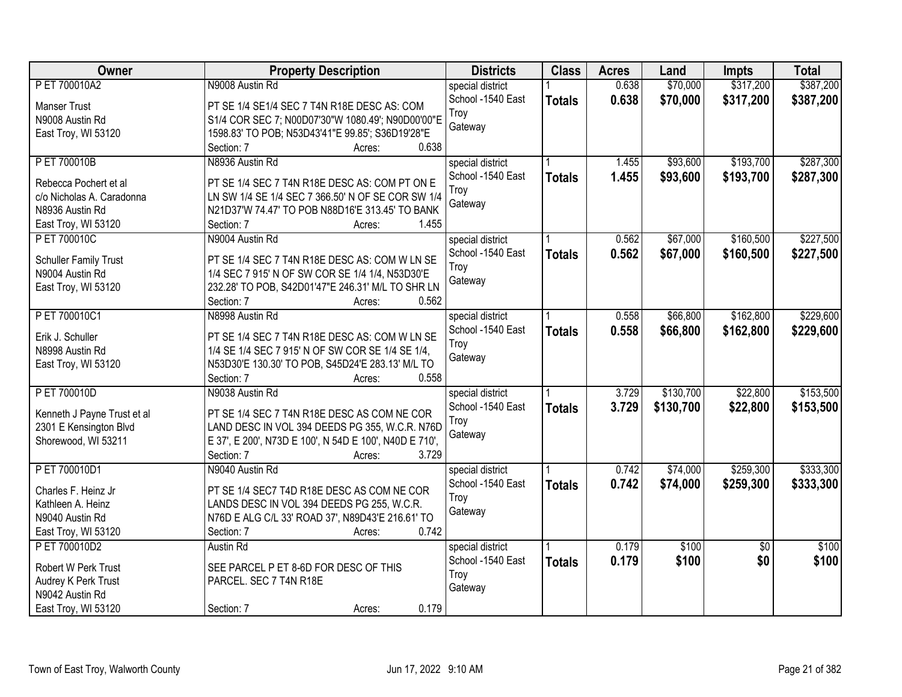| Owner                        | <b>Property Description</b>                                | <b>Districts</b>  | <b>Class</b>  | <b>Acres</b> | Land      | <b>Impts</b>    | <b>Total</b> |
|------------------------------|------------------------------------------------------------|-------------------|---------------|--------------|-----------|-----------------|--------------|
| P ET 700010A2                | N9008 Austin Rd                                            | special district  |               | 0.638        | \$70,000  | \$317,200       | \$387,200    |
| <b>Manser Trust</b>          | PT SE 1/4 SE1/4 SEC 7 T4N R18E DESC AS: COM                | School -1540 East | <b>Totals</b> | 0.638        | \$70,000  | \$317,200       | \$387,200    |
| N9008 Austin Rd              | S1/4 COR SEC 7; N00D07'30"W 1080.49'; N90D00'00"E          | Troy              |               |              |           |                 |              |
| East Troy, WI 53120          | 1598.83' TO POB; N53D43'41"E 99.85'; S36D19'28"E           | Gateway           |               |              |           |                 |              |
|                              | 0.638<br>Section: 7<br>Acres:                              |                   |               |              |           |                 |              |
| P ET 700010B                 | N8936 Austin Rd                                            | special district  |               | 1.455        | \$93,600  | \$193,700       | \$287,300    |
|                              |                                                            | School -1540 East |               | 1.455        |           |                 |              |
| Rebecca Pochert et al        | PT SE 1/4 SEC 7 T4N R18E DESC AS: COM PT ON E              | Troy              | <b>Totals</b> |              | \$93,600  | \$193,700       | \$287,300    |
| c/o Nicholas A. Caradonna    | LN SW 1/4 SE 1/4 SEC 7 366.50' N OF SE COR SW 1/4          |                   |               |              |           |                 |              |
| N8936 Austin Rd              | N21D37'W 74.47' TO POB N88D16'E 313.45' TO BANK            | Gateway           |               |              |           |                 |              |
| East Troy, WI 53120          | 1.455<br>Section: 7<br>Acres:                              |                   |               |              |           |                 |              |
| P ET 700010C                 | N9004 Austin Rd                                            | special district  |               | 0.562        | \$67,000  | \$160,500       | \$227,500    |
|                              |                                                            | School -1540 East | <b>Totals</b> | 0.562        | \$67,000  | \$160,500       | \$227,500    |
| <b>Schuller Family Trust</b> | PT SE 1/4 SEC 7 T4N R18E DESC AS: COM W LN SE              | Troy              |               |              |           |                 |              |
| N9004 Austin Rd              | 1/4 SEC 7 915' N OF SW COR SE 1/4 1/4, N53D30'E            | Gateway           |               |              |           |                 |              |
| East Troy, WI 53120          | 232.28' TO POB, S42D01'47"E 246.31' M/L TO SHR LN<br>0.562 |                   |               |              |           |                 |              |
|                              | Section: 7<br>Acres:                                       |                   |               |              |           |                 |              |
| P ET 700010C1                | N8998 Austin Rd                                            | special district  |               | 0.558        | \$66,800  | \$162,800       | \$229,600    |
| Erik J. Schuller             | PT SE 1/4 SEC 7 T4N R18E DESC AS: COM W LN SE              | School -1540 East | <b>Totals</b> | 0.558        | \$66,800  | \$162,800       | \$229,600    |
| N8998 Austin Rd              | 1/4 SE 1/4 SEC 7 915' N OF SW COR SE 1/4 SE 1/4,           | Troy              |               |              |           |                 |              |
| East Troy, WI 53120          | N53D30'E 130.30' TO POB, S45D24'E 283.13' M/L TO           | Gateway           |               |              |           |                 |              |
|                              | 0.558<br>Section: 7<br>Acres:                              |                   |               |              |           |                 |              |
| P ET 700010D                 | N9038 Austin Rd                                            | special district  |               | 3.729        | \$130,700 | \$22,800        | \$153,500    |
|                              |                                                            | School -1540 East | <b>Totals</b> | 3.729        | \$130,700 | \$22,800        | \$153,500    |
| Kenneth J Payne Trust et al  | PT SE 1/4 SEC 7 T4N R18E DESC AS COM NE COR                | Troy              |               |              |           |                 |              |
| 2301 E Kensington Blvd       | LAND DESC IN VOL 394 DEEDS PG 355, W.C.R. N76D             | Gateway           |               |              |           |                 |              |
| Shorewood, WI 53211          | E 37', E 200', N73D E 100', N 54D E 100', N40D E 710',     |                   |               |              |           |                 |              |
|                              | 3.729<br>Section: 7<br>Acres:                              |                   |               |              |           |                 |              |
| P ET 700010D1                | N9040 Austin Rd                                            | special district  |               | 0.742        | \$74,000  | \$259,300       | \$333,300    |
| Charles F. Heinz Jr          | PT SE 1/4 SEC7 T4D R18E DESC AS COM NE COR                 | School -1540 East | <b>Totals</b> | 0.742        | \$74,000  | \$259,300       | \$333,300    |
| Kathleen A. Heinz            | LANDS DESC IN VOL 394 DEEDS PG 255, W.C.R.                 | Troy              |               |              |           |                 |              |
| N9040 Austin Rd              | N76D E ALG C/L 33' ROAD 37', N89D43'E 216.61' TO           | Gateway           |               |              |           |                 |              |
| East Troy, WI 53120          | 0.742<br>Section: 7<br>Acres:                              |                   |               |              |           |                 |              |
| P ET 700010D2                | Austin Rd                                                  | special district  |               | 0.179        | \$100     | $\overline{50}$ | \$100        |
|                              |                                                            | School -1540 East | <b>Totals</b> | 0.179        | \$100     | \$0             | \$100        |
| Robert W Perk Trust          | SEE PARCEL P ET 8-6D FOR DESC OF THIS                      | Troy              |               |              |           |                 |              |
| Audrey K Perk Trust          | PARCEL. SEC 7 T4N R18E                                     | Gateway           |               |              |           |                 |              |
| N9042 Austin Rd              |                                                            |                   |               |              |           |                 |              |
| East Troy, WI 53120          | 0.179<br>Section: 7<br>Acres:                              |                   |               |              |           |                 |              |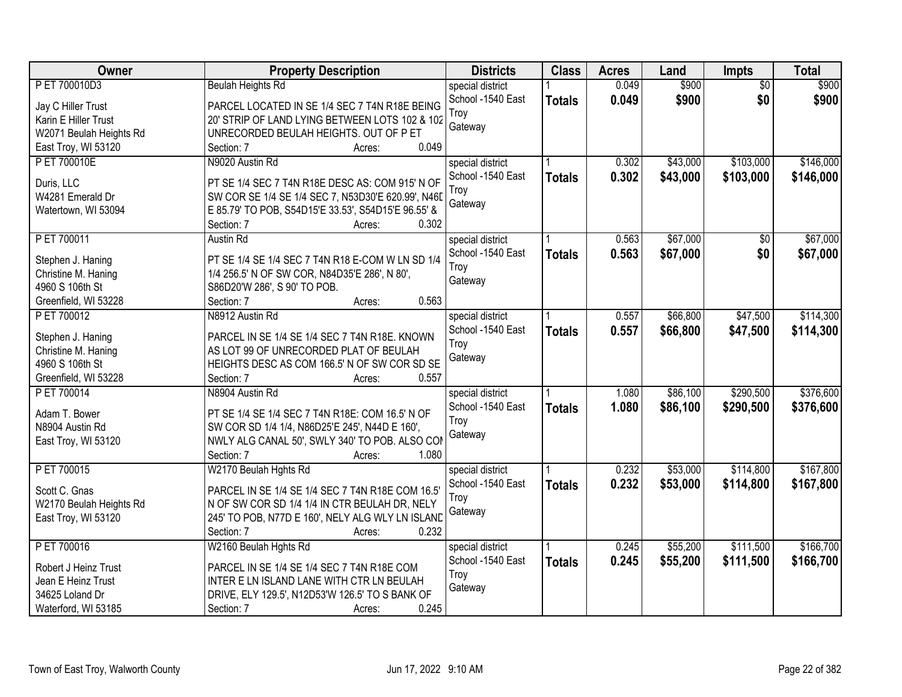| Owner                   | <b>Property Description</b>                         | <b>Districts</b>  | <b>Class</b>  | <b>Acres</b> | Land     | Impts           | <b>Total</b> |
|-------------------------|-----------------------------------------------------|-------------------|---------------|--------------|----------|-----------------|--------------|
| P ET 700010D3           | <b>Beulah Heights Rd</b>                            | special district  |               | 0.049        | \$900    | $\overline{50}$ | \$900        |
| Jay C Hiller Trust      | PARCEL LOCATED IN SE 1/4 SEC 7 T4N R18E BEING       | School -1540 East | <b>Totals</b> | 0.049        | \$900    | \$0             | \$900        |
| Karin E Hiller Trust    | 20' STRIP OF LAND LYING BETWEEN LOTS 102 & 102      | Troy              |               |              |          |                 |              |
| W2071 Beulah Heights Rd | UNRECORDED BEULAH HEIGHTS. OUT OF P ET              | Gateway           |               |              |          |                 |              |
| East Troy, WI 53120     | 0.049<br>Section: 7<br>Acres:                       |                   |               |              |          |                 |              |
| P ET 700010E            | N9020 Austin Rd                                     | special district  |               | 0.302        | \$43,000 | \$103,000       | \$146,000    |
|                         |                                                     | School -1540 East | <b>Totals</b> | 0.302        | \$43,000 | \$103,000       | \$146,000    |
| Duris, LLC              | PT SE 1/4 SEC 7 T4N R18E DESC AS: COM 915' N OF     | Troy              |               |              |          |                 |              |
| W4281 Emerald Dr        | SW COR SE 1/4 SE 1/4 SEC 7, N53D30'E 620.99', N46D  | Gateway           |               |              |          |                 |              |
| Watertown, WI 53094     | E 85.79' TO POB, S54D15'E 33.53', S54D15'E 96.55' & |                   |               |              |          |                 |              |
|                         | 0.302<br>Section: 7<br>Acres:                       |                   |               |              |          |                 |              |
| PET 700011              | Austin Rd                                           | special district  |               | 0.563        | \$67,000 | \$0             | \$67,000     |
| Stephen J. Haning       | PT SE 1/4 SE 1/4 SEC 7 T4N R18 E-COM W LN SD 1/4    | School -1540 East | <b>Totals</b> | 0.563        | \$67,000 | \$0             | \$67,000     |
| Christine M. Haning     | 1/4 256.5' N OF SW COR, N84D35'E 286', N 80',       | Troy              |               |              |          |                 |              |
| 4960 S 106th St         | S86D20'W 286', S 90' TO POB.                        | Gateway           |               |              |          |                 |              |
| Greenfield, WI 53228    | 0.563<br>Section: 7<br>Acres:                       |                   |               |              |          |                 |              |
| PET 700012              | N8912 Austin Rd                                     | special district  |               | 0.557        | \$66,800 | \$47,500        | \$114,300    |
|                         |                                                     | School -1540 East | <b>Totals</b> | 0.557        | \$66,800 | \$47,500        | \$114,300    |
| Stephen J. Haning       | PARCEL IN SE 1/4 SE 1/4 SEC 7 T4N R18E. KNOWN       | Troy              |               |              |          |                 |              |
| Christine M. Haning     | AS LOT 99 OF UNRECORDED PLAT OF BEULAH              | Gateway           |               |              |          |                 |              |
| 4960 S 106th St         | HEIGHTS DESC AS COM 166.5' N OF SW COR SD SE        |                   |               |              |          |                 |              |
| Greenfield, WI 53228    | 0.557<br>Section: 7<br>Acres:                       |                   |               |              |          |                 |              |
| P ET 700014             | N8904 Austin Rd                                     | special district  |               | 1.080        | \$86,100 | \$290,500       | \$376,600    |
| Adam T. Bower           | PT SE 1/4 SE 1/4 SEC 7 T4N R18E: COM 16.5' N OF     | School -1540 East | <b>Totals</b> | 1.080        | \$86,100 | \$290,500       | \$376,600    |
| N8904 Austin Rd         | SW COR SD 1/4 1/4, N86D25'E 245', N44D E 160',      | Troy              |               |              |          |                 |              |
| East Troy, WI 53120     | NWLY ALG CANAL 50', SWLY 340' TO POB. ALSO COM      | Gateway           |               |              |          |                 |              |
|                         | Section: 7<br>1.080<br>Acres:                       |                   |               |              |          |                 |              |
| PET 700015              | W2170 Beulah Hghts Rd                               | special district  |               | 0.232        | \$53,000 | \$114,800       | \$167,800    |
|                         |                                                     | School -1540 East | <b>Totals</b> | 0.232        | \$53,000 | \$114,800       | \$167,800    |
| Scott C. Gnas           | PARCEL IN SE 1/4 SE 1/4 SEC 7 T4N R18E COM 16.5'    | Troy              |               |              |          |                 |              |
| W2170 Beulah Heights Rd | N OF SW COR SD 1/4 1/4 IN CTR BEULAH DR, NELY       | Gateway           |               |              |          |                 |              |
| East Troy, WI 53120     | 245' TO POB, N77D E 160', NELY ALG WLY LN ISLAND    |                   |               |              |          |                 |              |
|                         | 0.232<br>Section: 7<br>Acres:                       |                   |               |              |          |                 |              |
| P ET 700016             | W2160 Beulah Hghts Rd                               | special district  |               | 0.245        | \$55,200 | \$111,500       | \$166,700    |
| Robert J Heinz Trust    | PARCEL IN SE 1/4 SE 1/4 SEC 7 T4N R18E COM          | School -1540 East | <b>Totals</b> | 0.245        | \$55,200 | \$111,500       | \$166,700    |
| Jean E Heinz Trust      | INTER E LN ISLAND LANE WITH CTR LN BEULAH           | Troy              |               |              |          |                 |              |
| 34625 Loland Dr         | DRIVE, ELY 129.5', N12D53'W 126.5' TO S BANK OF     | Gateway           |               |              |          |                 |              |
| Waterford, WI 53185     | 0.245<br>Section: 7<br>Acres:                       |                   |               |              |          |                 |              |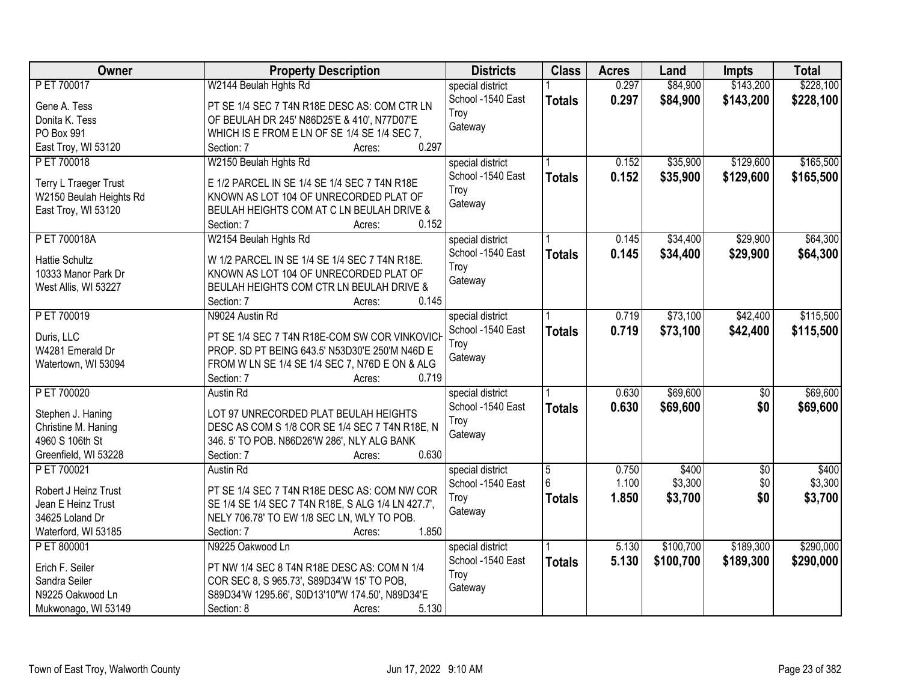| <b>Owner</b>            | <b>Property Description</b>                         | <b>Districts</b>  | <b>Class</b>   | <b>Acres</b> | Land      | <b>Impts</b>    | <b>Total</b> |
|-------------------------|-----------------------------------------------------|-------------------|----------------|--------------|-----------|-----------------|--------------|
| P ET 700017             | W2144 Beulah Hghts Rd                               | special district  |                | 0.297        | \$84,900  | \$143,200       | \$228,100    |
| Gene A. Tess            | PT SE 1/4 SEC 7 T4N R18E DESC AS: COM CTR LN        | School -1540 East | <b>Totals</b>  | 0.297        | \$84,900  | \$143,200       | \$228,100    |
| Donita K. Tess          | OF BEULAH DR 245' N86D25'E & 410', N77D07'E         | Troy              |                |              |           |                 |              |
| PO Box 991              | WHICH IS E FROM E LN OF SE 1/4 SE 1/4 SEC 7,        | Gateway           |                |              |           |                 |              |
| East Troy, WI 53120     | 0.297<br>Section: 7<br>Acres:                       |                   |                |              |           |                 |              |
| P ET 700018             | W2150 Beulah Hghts Rd                               | special district  |                | 0.152        | \$35,900  | \$129,600       | \$165,500    |
|                         |                                                     | School -1540 East | <b>Totals</b>  | 0.152        | \$35,900  | \$129,600       | \$165,500    |
| Terry L Traeger Trust   | E 1/2 PARCEL IN SE 1/4 SE 1/4 SEC 7 T4N R18E        | Troy              |                |              |           |                 |              |
| W2150 Beulah Heights Rd | KNOWN AS LOT 104 OF UNRECORDED PLAT OF              | Gateway           |                |              |           |                 |              |
| East Troy, WI 53120     | BEULAH HEIGHTS COM AT C LN BEULAH DRIVE &           |                   |                |              |           |                 |              |
|                         | 0.152<br>Section: 7<br>Acres:                       |                   |                |              |           |                 |              |
| P ET 700018A            | W2154 Beulah Hghts Rd                               | special district  |                | 0.145        | \$34,400  | \$29,900        | \$64,300     |
| <b>Hattie Schultz</b>   | W 1/2 PARCEL IN SE 1/4 SE 1/4 SEC 7 T4N R18E.       | School -1540 East | <b>Totals</b>  | 0.145        | \$34,400  | \$29,900        | \$64,300     |
| 10333 Manor Park Dr     | KNOWN AS LOT 104 OF UNRECORDED PLAT OF              | Troy              |                |              |           |                 |              |
| West Allis, WI 53227    | BEULAH HEIGHTS COM CTR LN BEULAH DRIVE &            | Gateway           |                |              |           |                 |              |
|                         | 0.145<br>Section: 7<br>Acres:                       |                   |                |              |           |                 |              |
| P ET 700019             | N9024 Austin Rd                                     | special district  |                | 0.719        | \$73,100  | \$42,400        | \$115,500    |
|                         |                                                     | School -1540 East | <b>Totals</b>  | 0.719        | \$73,100  | \$42,400        | \$115,500    |
| Duris, LLC              | PT SE 1/4 SEC 7 T4N R18E-COM SW COR VINKOVICH       | Troy              |                |              |           |                 |              |
| W4281 Emerald Dr        | PROP. SD PT BEING 643.5' N53D30'E 250'M N46D E      | Gateway           |                |              |           |                 |              |
| Watertown, WI 53094     | FROM W LN SE 1/4 SE 1/4 SEC 7, N76D E ON & ALG      |                   |                |              |           |                 |              |
|                         | 0.719<br>Section: 7<br>Acres:                       |                   |                |              |           |                 |              |
| P ET 700020             | Austin Rd                                           | special district  |                | 0.630        | \$69,600  | $\overline{50}$ | \$69,600     |
| Stephen J. Haning       | LOT 97 UNRECORDED PLAT BEULAH HEIGHTS               | School -1540 East | <b>Totals</b>  | 0.630        | \$69,600  | \$0             | \$69,600     |
| Christine M. Haning     | DESC AS COM S 1/8 COR SE 1/4 SEC 7 T4N R18E, N      | Troy              |                |              |           |                 |              |
| 4960 S 106th St         | 346. 5' TO POB. N86D26'W 286', NLY ALG BANK         | Gateway           |                |              |           |                 |              |
| Greenfield, WI 53228    | 0.630<br>Section: 7<br>Acres:                       |                   |                |              |           |                 |              |
| P ET 700021             | Austin Rd                                           | special district  | $\overline{5}$ | 0.750        | \$400     | $\sqrt{6}$      | \$400        |
|                         |                                                     | School -1540 East | 6              | 1.100        | \$3,300   | \$0             | \$3,300      |
| Robert J Heinz Trust    | PT SE 1/4 SEC 7 T4N R18E DESC AS: COM NW COR        | Troy              | <b>Totals</b>  | 1.850        | \$3,700   | \$0             | \$3,700      |
| Jean E Heinz Trust      | SE 1/4 SE 1/4 SEC 7 T4N R18E, S ALG 1/4 LN 427.7',  | Gateway           |                |              |           |                 |              |
| 34625 Loland Dr         | NELY 706.78' TO EW 1/8 SEC LN, WLY TO POB.<br>1.850 |                   |                |              |           |                 |              |
| Waterford, WI 53185     | Section: 7<br>Acres:                                |                   |                |              |           |                 |              |
| P ET 800001             | N9225 Oakwood Ln                                    | special district  |                | 5.130        | \$100,700 | \$189,300       | \$290,000    |
| Erich F. Seiler         | PT NW 1/4 SEC 8 T4N R18E DESC AS: COM N 1/4         | School -1540 East | <b>Totals</b>  | 5.130        | \$100,700 | \$189,300       | \$290,000    |
| Sandra Seiler           | COR SEC 8, S 965.73', S89D34'W 15' TO POB,          | Troy              |                |              |           |                 |              |
| N9225 Oakwood Ln        | S89D34'W 1295.66', S0D13'10"W 174.50', N89D34'E     | Gateway           |                |              |           |                 |              |
| Mukwonago, WI 53149     | 5.130<br>Section: 8<br>Acres:                       |                   |                |              |           |                 |              |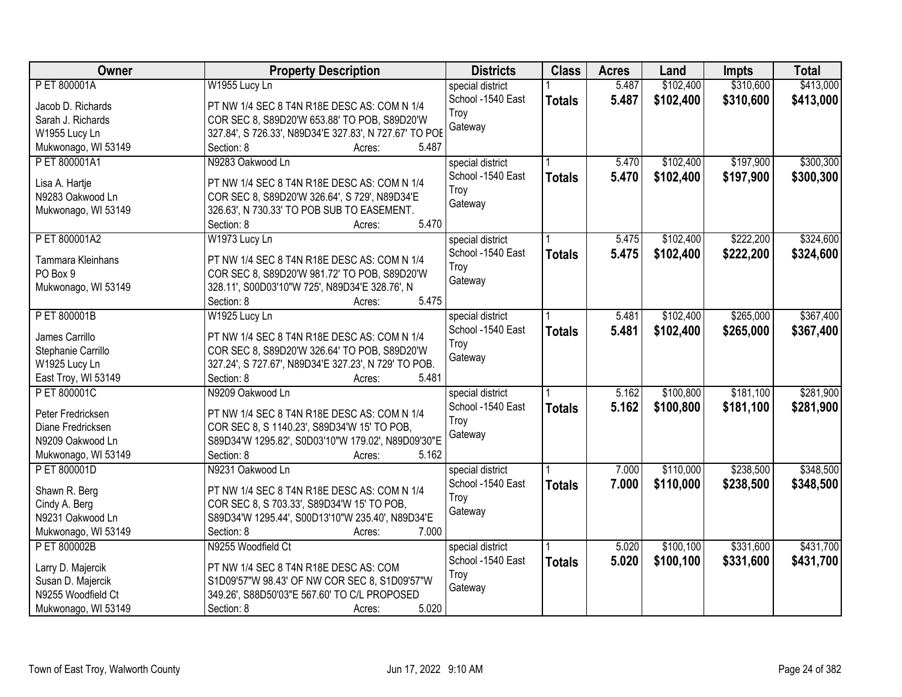| Owner               | <b>Property Description</b>                            | <b>Districts</b>  | <b>Class</b>  | <b>Acres</b> | Land      | <b>Impts</b> | <b>Total</b> |
|---------------------|--------------------------------------------------------|-------------------|---------------|--------------|-----------|--------------|--------------|
| P ET 800001A        | W1955 Lucy Ln                                          | special district  |               | 5.487        | \$102,400 | \$310,600    | \$413,000    |
| Jacob D. Richards   | PT NW 1/4 SEC 8 T4N R18E DESC AS: COM N 1/4            | School -1540 East | <b>Totals</b> | 5.487        | \$102,400 | \$310,600    | \$413,000    |
| Sarah J. Richards   | COR SEC 8, S89D20'W 653.88' TO POB, S89D20'W           | Troy              |               |              |           |              |              |
| W1955 Lucy Ln       | 327.84', S 726.33', N89D34'E 327.83', N 727.67' TO POE | Gateway           |               |              |           |              |              |
| Mukwonago, WI 53149 | Section: 8<br>5.487<br>Acres:                          |                   |               |              |           |              |              |
| P ET 800001A1       | N9283 Oakwood Ln                                       | special district  |               | 5.470        | \$102,400 | \$197,900    | \$300,300    |
|                     |                                                        | School -1540 East | <b>Totals</b> | 5.470        | \$102,400 | \$197,900    | \$300,300    |
| Lisa A. Hartje      | PT NW 1/4 SEC 8 T4N R18E DESC AS: COM N 1/4            | Troy              |               |              |           |              |              |
| N9283 Oakwood Ln    | COR SEC 8, S89D20'W 326.64', S 729', N89D34'E          | Gateway           |               |              |           |              |              |
| Mukwonago, WI 53149 | 326.63', N 730.33' TO POB SUB TO EASEMENT.             |                   |               |              |           |              |              |
|                     | 5.470<br>Section: 8<br>Acres:                          |                   |               |              |           |              |              |
| P ET 800001A2       | W1973 Lucy Ln                                          | special district  |               | 5.475        | \$102,400 | \$222,200    | \$324,600    |
| Tammara Kleinhans   | PT NW 1/4 SEC 8 T4N R18E DESC AS: COM N 1/4            | School -1540 East | <b>Totals</b> | 5.475        | \$102,400 | \$222,200    | \$324,600    |
| PO Box 9            | COR SEC 8, S89D20'W 981.72' TO POB, S89D20'W           | Troy              |               |              |           |              |              |
| Mukwonago, WI 53149 | 328.11', S00D03'10"W 725', N89D34'E 328.76', N         | Gateway           |               |              |           |              |              |
|                     | 5.475<br>Section: 8<br>Acres:                          |                   |               |              |           |              |              |
| P ET 800001B        | W1925 Lucy Ln                                          | special district  |               | 5.481        | \$102,400 | \$265,000    | \$367,400    |
|                     |                                                        | School -1540 East |               | 5.481        | \$102,400 | \$265,000    | \$367,400    |
| James Carrillo      | PT NW 1/4 SEC 8 T4N R18E DESC AS: COM N 1/4            | Troy              | <b>Totals</b> |              |           |              |              |
| Stephanie Carrillo  | COR SEC 8, S89D20'W 326.64' TO POB, S89D20'W           | Gateway           |               |              |           |              |              |
| W1925 Lucy Ln       | 327.24', S 727.67', N89D34'E 327.23', N 729' TO POB.   |                   |               |              |           |              |              |
| East Troy, WI 53149 | 5.481<br>Section: 8<br>Acres:                          |                   |               |              |           |              |              |
| P ET 800001C        | N9209 Oakwood Ln                                       | special district  |               | 5.162        | \$100,800 | \$181,100    | \$281,900    |
| Peter Fredricksen   | PT NW 1/4 SEC 8 T4N R18E DESC AS: COM N 1/4            | School -1540 East | <b>Totals</b> | 5.162        | \$100,800 | \$181,100    | \$281,900    |
| Diane Fredricksen   | COR SEC 8, S 1140.23', S89D34'W 15' TO POB,            | Troy              |               |              |           |              |              |
| N9209 Oakwood Ln    | S89D34'W 1295.82', S0D03'10"W 179.02', N89D09'30"E     | Gateway           |               |              |           |              |              |
| Mukwonago, WI 53149 | Section: 8<br>5.162<br>Acres:                          |                   |               |              |           |              |              |
| P ET 800001D        | N9231 Oakwood Ln                                       | special district  |               | 7.000        | \$110,000 | \$238,500    | \$348,500    |
|                     |                                                        | School -1540 East | <b>Totals</b> | 7.000        | \$110,000 | \$238,500    | \$348,500    |
| Shawn R. Berg       | PT NW 1/4 SEC 8 T4N R18E DESC AS: COM N 1/4            | Troy              |               |              |           |              |              |
| Cindy A. Berg       | COR SEC 8, S 703.33', S89D34'W 15' TO POB,             | Gateway           |               |              |           |              |              |
| N9231 Oakwood Ln    | S89D34'W 1295.44', S00D13'10"W 235.40', N89D34'E       |                   |               |              |           |              |              |
| Mukwonago, WI 53149 | 7.000<br>Section: 8<br>Acres:                          |                   |               |              |           |              |              |
| P ET 800002B        | N9255 Woodfield Ct                                     | special district  |               | 5.020        | \$100,100 | \$331,600    | \$431,700    |
| Larry D. Majercik   | PT NW 1/4 SEC 8 T4N R18E DESC AS: COM                  | School -1540 East | <b>Totals</b> | 5.020        | \$100,100 | \$331,600    | \$431,700    |
| Susan D. Majercik   | S1D09'57"W 98.43' OF NW COR SEC 8, S1D09'57"W          | Troy              |               |              |           |              |              |
| N9255 Woodfield Ct  | 349.26', S88D50'03"E 567.60' TO C/L PROPOSED           | Gateway           |               |              |           |              |              |
| Mukwonago, WI 53149 | 5.020<br>Section: 8<br>Acres:                          |                   |               |              |           |              |              |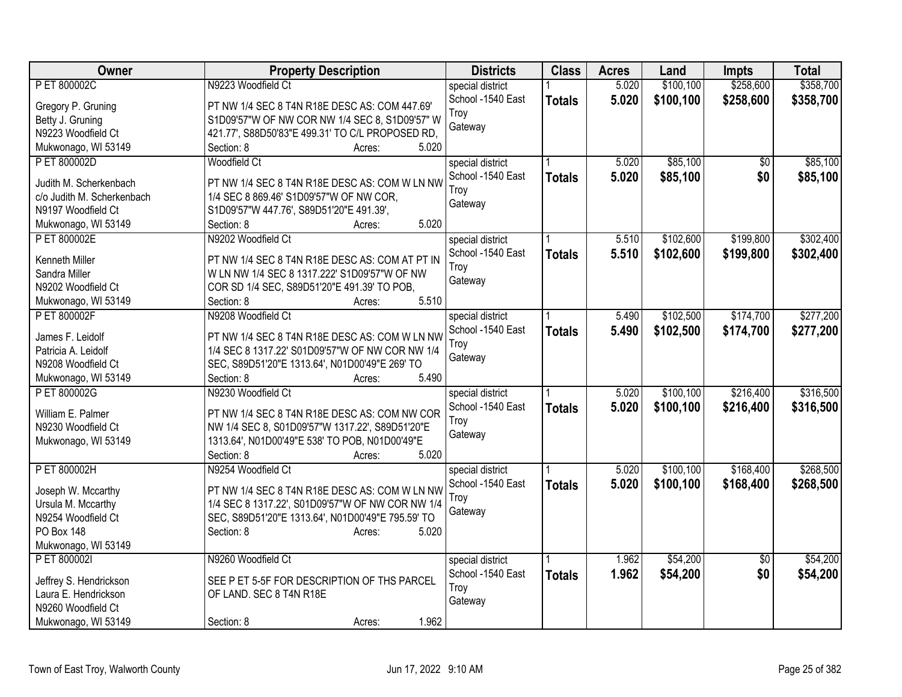| Owner                      | <b>Property Description</b>                       | <b>Districts</b>  | <b>Class</b>  | <b>Acres</b> | Land      | <b>Impts</b>    | <b>Total</b> |
|----------------------------|---------------------------------------------------|-------------------|---------------|--------------|-----------|-----------------|--------------|
| P ET 800002C               | N9223 Woodfield Ct                                | special district  |               | 5.020        | \$100,100 | \$258,600       | \$358,700    |
| Gregory P. Gruning         | PT NW 1/4 SEC 8 T4N R18E DESC AS: COM 447.69'     | School -1540 East | <b>Totals</b> | 5.020        | \$100,100 | \$258,600       | \$358,700    |
| Betty J. Gruning           | S1D09'57"W OF NW COR NW 1/4 SEC 8, S1D09'57" W    | Troy              |               |              |           |                 |              |
| N9223 Woodfield Ct         | 421.77', S88D50'83"E 499.31' TO C/L PROPOSED RD,  | Gateway           |               |              |           |                 |              |
| Mukwonago, WI 53149        | Section: 8<br>5.020<br>Acres:                     |                   |               |              |           |                 |              |
| P ET 800002D               | <b>Woodfield Ct</b>                               | special district  |               | 5.020        | \$85,100  | \$0             | \$85,100     |
|                            |                                                   | School -1540 East | <b>Totals</b> | 5.020        | \$85,100  | \$0             | \$85,100     |
| Judith M. Scherkenbach     | PT NW 1/4 SEC 8 T4N R18E DESC AS: COM W LN NW     | Troy              |               |              |           |                 |              |
| c/o Judith M. Scherkenbach | 1/4 SEC 8 869.46' S1D09'57"W OF NW COR,           | Gateway           |               |              |           |                 |              |
| N9197 Woodfield Ct         | S1D09'57"W 447.76', S89D51'20"E 491.39',          |                   |               |              |           |                 |              |
| Mukwonago, WI 53149        | 5.020<br>Section: 8<br>Acres:                     |                   |               |              |           |                 |              |
| P ET 800002E               | N9202 Woodfield Ct                                | special district  |               | 5.510        | \$102,600 | \$199,800       | \$302,400    |
| Kenneth Miller             | PT NW 1/4 SEC 8 T4N R18E DESC AS: COM AT PT IN    | School -1540 East | <b>Totals</b> | 5.510        | \$102,600 | \$199,800       | \$302,400    |
| Sandra Miller              | W LN NW 1/4 SEC 8 1317.222' S1D09'57"W OF NW      | Troy              |               |              |           |                 |              |
| N9202 Woodfield Ct         | COR SD 1/4 SEC, S89D51'20"E 491.39' TO POB,       | Gateway           |               |              |           |                 |              |
|                            | 5.510<br>Section: 8<br>Acres:                     |                   |               |              |           |                 |              |
| Mukwonago, WI 53149        |                                                   |                   |               |              |           |                 |              |
| P ET 800002F               | N9208 Woodfield Ct                                | special district  |               | 5.490        | \$102,500 | \$174,700       | \$277,200    |
| James F. Leidolf           | PT NW 1/4 SEC 8 T4N R18E DESC AS: COM W LN NW     | School -1540 East | <b>Totals</b> | 5.490        | \$102,500 | \$174,700       | \$277,200    |
| Patricia A. Leidolf        | 1/4 SEC 8 1317.22' S01D09'57"W OF NW COR NW 1/4   | Troy              |               |              |           |                 |              |
| N9208 Woodfield Ct         | SEC, S89D51'20"E 1313.64', N01D00'49"E 269' TO    | Gateway           |               |              |           |                 |              |
| Mukwonago, WI 53149        | 5.490<br>Section: 8<br>Acres:                     |                   |               |              |           |                 |              |
| P ET 800002G               | N9230 Woodfield Ct                                | special district  |               | 5.020        | \$100,100 | \$216,400       | \$316,500    |
|                            |                                                   | School -1540 East | <b>Totals</b> | 5.020        | \$100,100 | \$216,400       | \$316,500    |
| William E. Palmer          | PT NW 1/4 SEC 8 T4N R18E DESC AS: COM NW COR      | Troy              |               |              |           |                 |              |
| N9230 Woodfield Ct         | NW 1/4 SEC 8, S01D09'57"W 1317.22', S89D51'20"E   | Gateway           |               |              |           |                 |              |
| Mukwonago, WI 53149        | 1313.64', N01D00'49"E 538' TO POB, N01D00'49"E    |                   |               |              |           |                 |              |
|                            | 5.020<br>Section: 8<br>Acres:                     |                   |               |              |           |                 |              |
| P ET 800002H               | N9254 Woodfield Ct                                | special district  |               | 5.020        | \$100,100 | \$168,400       | \$268,500    |
| Joseph W. Mccarthy         | PT NW 1/4 SEC 8 T4N R18E DESC AS: COM W LN NW     | School -1540 East | <b>Totals</b> | 5.020        | \$100,100 | \$168,400       | \$268,500    |
| Ursula M. Mccarthy         | 1/4 SEC 8 1317.22', S01D09'57"W OF NW COR NW 1/4  | Troy              |               |              |           |                 |              |
| N9254 Woodfield Ct         | SEC, S89D51'20"E 1313.64', N01D00'49"E 795.59' TO | Gateway           |               |              |           |                 |              |
| PO Box 148                 | Section: 8<br>5.020<br>Acres:                     |                   |               |              |           |                 |              |
| Mukwonago, WI 53149        |                                                   |                   |               |              |           |                 |              |
| P ET 800002I               | N9260 Woodfield Ct                                | special district  |               | 1.962        | \$54,200  | $\overline{50}$ | \$54,200     |
|                            |                                                   | School -1540 East |               | 1.962        | \$54,200  | \$0             | \$54,200     |
| Jeffrey S. Hendrickson     | SEE P ET 5-5F FOR DESCRIPTION OF THS PARCEL       | Troy              | <b>Totals</b> |              |           |                 |              |
| Laura E. Hendrickson       | OF LAND. SEC 8 T4N R18E                           |                   |               |              |           |                 |              |
| N9260 Woodfield Ct         |                                                   | Gateway           |               |              |           |                 |              |
| Mukwonago, WI 53149        | 1.962<br>Section: 8<br>Acres:                     |                   |               |              |           |                 |              |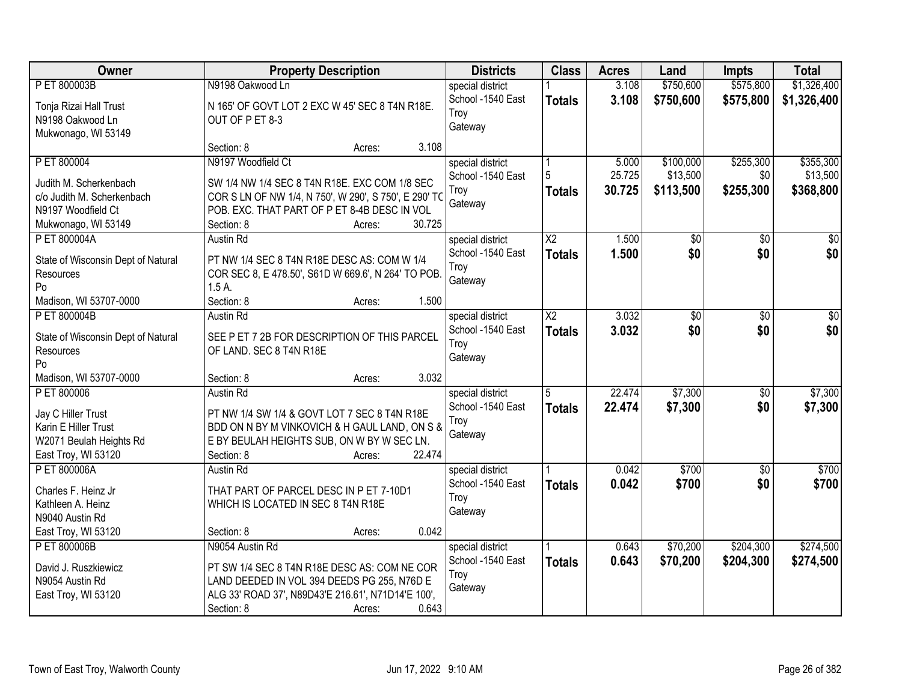| <b>Owner</b>                       |                                                       | <b>Property Description</b> |        | <b>Districts</b>  | <b>Class</b>    | <b>Acres</b> | Land            | <b>Impts</b>    | <b>Total</b>    |
|------------------------------------|-------------------------------------------------------|-----------------------------|--------|-------------------|-----------------|--------------|-----------------|-----------------|-----------------|
| P ET 800003B                       | N9198 Oakwood Ln                                      |                             |        | special district  |                 | 3.108        | \$750,600       | \$575,800       | \$1,326,400     |
| Tonja Rizai Hall Trust             | N 165' OF GOVT LOT 2 EXC W 45' SEC 8 T4N R18E.        |                             |        | School -1540 East | <b>Totals</b>   | 3.108        | \$750,600       | \$575,800       | \$1,326,400     |
| N9198 Oakwood Ln                   | OUT OF P ET 8-3                                       |                             |        | Troy              |                 |              |                 |                 |                 |
| Mukwonago, WI 53149                |                                                       |                             |        | Gateway           |                 |              |                 |                 |                 |
|                                    | Section: 8                                            | Acres:                      | 3.108  |                   |                 |              |                 |                 |                 |
| P ET 800004                        | N9197 Woodfield Ct                                    |                             |        | special district  |                 | 5.000        | \$100,000       | \$255,300       | \$355,300       |
| Judith M. Scherkenbach             | SW 1/4 NW 1/4 SEC 8 T4N R18E. EXC COM 1/8 SEC         |                             |        | School -1540 East | 5               | 25.725       | \$13,500        | \$0             | \$13,500        |
| c/o Judith M. Scherkenbach         | COR S LN OF NW 1/4, N 750', W 290', S 750', E 290' TO |                             |        | Troy              | <b>Totals</b>   | 30.725       | \$113,500       | \$255,300       | \$368,800       |
| N9197 Woodfield Ct                 | POB. EXC. THAT PART OF P ET 8-4B DESC IN VOL          |                             |        | Gateway           |                 |              |                 |                 |                 |
| Mukwonago, WI 53149                | Section: 8                                            | Acres:                      | 30.725 |                   |                 |              |                 |                 |                 |
| P ET 800004A                       | <b>Austin Rd</b>                                      |                             |        | special district  | $\overline{X2}$ | 1.500        | $\overline{50}$ | $\overline{50}$ | $\overline{30}$ |
|                                    |                                                       |                             |        | School -1540 East | <b>Totals</b>   | 1.500        | \$0             | \$0             | \$0             |
| State of Wisconsin Dept of Natural | PT NW 1/4 SEC 8 T4N R18E DESC AS: COM W 1/4           |                             |        | Troy              |                 |              |                 |                 |                 |
| Resources                          | COR SEC 8, E 478.50', S61D W 669.6', N 264' TO POB.   |                             |        | Gateway           |                 |              |                 |                 |                 |
| Po                                 | 1.5A                                                  |                             |        |                   |                 |              |                 |                 |                 |
| Madison, WI 53707-0000             | Section: 8                                            | Acres:                      | 1.500  |                   |                 |              |                 |                 |                 |
| P ET 800004B                       | <b>Austin Rd</b>                                      |                             |        | special district  | $\overline{X2}$ | 3.032        | \$0             | \$0             | \$0             |
| State of Wisconsin Dept of Natural | SEE P ET 7 2B FOR DESCRIPTION OF THIS PARCEL          |                             |        | School -1540 East | <b>Totals</b>   | 3.032        | \$0             | \$0             | \$0             |
| Resources                          | OF LAND. SEC 8 T4N R18E                               |                             |        | Troy<br>Gateway   |                 |              |                 |                 |                 |
| Po                                 |                                                       |                             |        |                   |                 |              |                 |                 |                 |
| Madison, WI 53707-0000             | Section: 8                                            | Acres:                      | 3.032  |                   |                 |              |                 |                 |                 |
| P ET 800006                        | <b>Austin Rd</b>                                      |                             |        | special district  | $\overline{5}$  | 22.474       | \$7,300         | $\overline{50}$ | \$7,300         |
| Jay C Hiller Trust                 | PT NW 1/4 SW 1/4 & GOVT LOT 7 SEC 8 T4N R18E          |                             |        | School -1540 East | <b>Totals</b>   | 22.474       | \$7,300         | \$0             | \$7,300         |
| Karin E Hiller Trust               | BDD ON N BY M VINKOVICH & H GAUL LAND, ON S &         |                             |        | Troy              |                 |              |                 |                 |                 |
| W2071 Beulah Heights Rd            | E BY BEULAH HEIGHTS SUB, ON W BY W SEC LN.            |                             |        | Gateway           |                 |              |                 |                 |                 |
| East Troy, WI 53120                | Section: 8                                            | Acres:                      | 22.474 |                   |                 |              |                 |                 |                 |
| P ET 800006A                       | Austin Rd                                             |                             |        | special district  |                 | 0.042        | \$700           | $\sqrt{6}$      | \$700           |
|                                    |                                                       |                             |        | School -1540 East | <b>Totals</b>   | 0.042        | \$700           | \$0             | \$700           |
| Charles F. Heinz Jr                | THAT PART OF PARCEL DESC IN P ET 7-10D1               |                             |        | Troy              |                 |              |                 |                 |                 |
| Kathleen A. Heinz                  | WHICH IS LOCATED IN SEC 8 T4N R18E                    |                             |        | Gateway           |                 |              |                 |                 |                 |
| N9040 Austin Rd                    |                                                       |                             | 0.042  |                   |                 |              |                 |                 |                 |
| East Troy, WI 53120                | Section: 8                                            | Acres:                      |        |                   |                 |              |                 |                 |                 |
| P ET 800006B                       | N9054 Austin Rd                                       |                             |        | special district  |                 | 0.643        | \$70,200        | \$204,300       | \$274,500       |
| David J. Ruszkiewicz               | PT SW 1/4 SEC 8 T4N R18E DESC AS: COM NE COR          |                             |        | School -1540 East | <b>Totals</b>   | 0.643        | \$70,200        | \$204,300       | \$274,500       |
| N9054 Austin Rd                    | LAND DEEDED IN VOL 394 DEEDS PG 255, N76D E           |                             |        | Troy              |                 |              |                 |                 |                 |
| East Troy, WI 53120                | ALG 33' ROAD 37', N89D43'E 216.61', N71D14'E 100',    |                             |        | Gateway           |                 |              |                 |                 |                 |
|                                    | Section: 8                                            | Acres:                      | 0.643  |                   |                 |              |                 |                 |                 |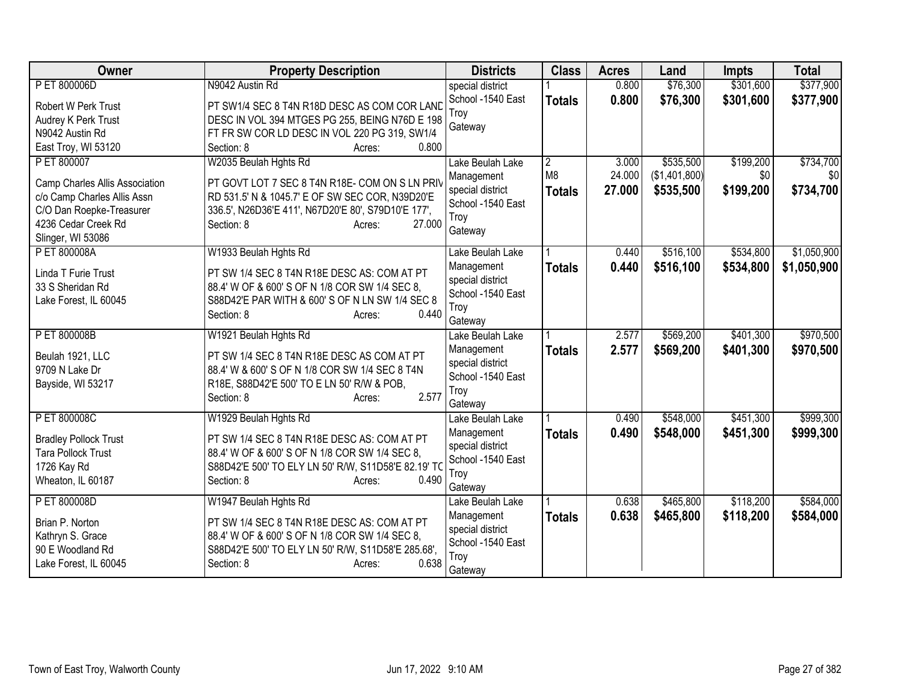| Owner                                                         | <b>Property Description</b>                         | <b>Districts</b>  | <b>Class</b>   | <b>Acres</b> | Land          | <b>Impts</b> | <b>Total</b> |
|---------------------------------------------------------------|-----------------------------------------------------|-------------------|----------------|--------------|---------------|--------------|--------------|
| P ET 800006D                                                  | N9042 Austin Rd                                     | special district  |                | 0.800        | \$76,300      | \$301,600    | \$377,900    |
| Robert W Perk Trust                                           | PT SW1/4 SEC 8 T4N R18D DESC AS COM COR LAND        | School -1540 East | <b>Totals</b>  | 0.800        | \$76,300      | \$301,600    | \$377,900    |
| Audrey K Perk Trust                                           | DESC IN VOL 394 MTGES PG 255, BEING N76D E 198      | Troy              |                |              |               |              |              |
| N9042 Austin Rd                                               | FT FR SW COR LD DESC IN VOL 220 PG 319, SW1/4       | Gateway           |                |              |               |              |              |
| East Troy, WI 53120                                           | Section: 8<br>0.800<br>Acres:                       |                   |                |              |               |              |              |
| P ET 800007                                                   | W2035 Beulah Hghts Rd                               | Lake Beulah Lake  | $\overline{2}$ | 3.000        | \$535,500     | \$199,200    | \$734,700    |
|                                                               | PT GOVT LOT 7 SEC 8 T4N R18E- COM ON S LN PRIV      | Management        | M <sub>8</sub> | 24.000       | (\$1,401,800) | \$0          | \$0          |
| Camp Charles Allis Association<br>c/o Camp Charles Allis Assn | RD 531.5' N & 1045.7' E OF SW SEC COR, N39D20'E     | special district  | <b>Totals</b>  | 27,000       | \$535,500     | \$199,200    | \$734,700    |
| C/O Dan Roepke-Treasurer                                      | 336.5', N26D36'E 411', N67D20'E 80', S79D10'E 177', | School -1540 East |                |              |               |              |              |
| 4236 Cedar Creek Rd                                           | 27,000<br>Section: 8<br>Acres:                      | Troy              |                |              |               |              |              |
| Slinger, WI 53086                                             |                                                     | Gateway           |                |              |               |              |              |
| P ET 800008A                                                  | W1933 Beulah Hghts Rd                               | Lake Beulah Lake  |                | 0.440        | \$516,100     | \$534,800    | \$1,050,900  |
|                                                               |                                                     | Management        | <b>Totals</b>  | 0.440        | \$516,100     | \$534,800    | \$1,050,900  |
| Linda T Furie Trust                                           | PT SW 1/4 SEC 8 T4N R18E DESC AS: COM AT PT         | special district  |                |              |               |              |              |
| 33 S Sheridan Rd                                              | 88.4' W OF & 600' S OF N 1/8 COR SW 1/4 SEC 8,      | School -1540 East |                |              |               |              |              |
| Lake Forest, IL 60045                                         | S88D42'E PAR WITH & 600' S OF N LN SW 1/4 SEC 8     | Troy              |                |              |               |              |              |
|                                                               | 0.440<br>Section: 8<br>Acres:                       | Gateway           |                |              |               |              |              |
| P ET 800008B                                                  | W1921 Beulah Hghts Rd                               | Lake Beulah Lake  |                | 2.577        | \$569,200     | \$401,300    | \$970,500    |
|                                                               | PT SW 1/4 SEC 8 T4N R18E DESC AS COM AT PT          | Management        | <b>Totals</b>  | 2.577        | \$569,200     | \$401,300    | \$970,500    |
| Beulah 1921, LLC<br>9709 N Lake Dr                            | 88.4' W & 600' S OF N 1/8 COR SW 1/4 SEC 8 T4N      | special district  |                |              |               |              |              |
| Bayside, WI 53217                                             | R18E, S88D42'E 500' TO E LN 50' R/W & POB,          | School -1540 East |                |              |               |              |              |
|                                                               | 2.577<br>Section: 8                                 | Troy              |                |              |               |              |              |
|                                                               | Acres:                                              | Gateway           |                |              |               |              |              |
| P ET 800008C                                                  | W1929 Beulah Hghts Rd                               | Lake Beulah Lake  |                | 0.490        | \$548,000     | \$451,300    | \$999,300    |
| <b>Bradley Pollock Trust</b>                                  | PT SW 1/4 SEC 8 T4N R18E DESC AS: COM AT PT         | Management        | <b>Totals</b>  | 0.490        | \$548,000     | \$451,300    | \$999,300    |
| <b>Tara Pollock Trust</b>                                     | 88.4' W OF & 600' S OF N 1/8 COR SW 1/4 SEC 8,      | special district  |                |              |               |              |              |
| 1726 Kay Rd                                                   | S88D42'E 500' TO ELY LN 50' R/W, S11D58'E 82.19' TO | School -1540 East |                |              |               |              |              |
| Wheaton, IL 60187                                             | Section: 8<br>0.490<br>Acres:                       | Troy              |                |              |               |              |              |
|                                                               |                                                     | Gateway           |                |              |               |              |              |
| P ET 800008D                                                  | W1947 Beulah Hghts Rd                               | Lake Beulah Lake  |                | 0.638        | \$465,800     | \$118,200    | \$584,000    |
| Brian P. Norton                                               | PT SW 1/4 SEC 8 T4N R18E DESC AS: COM AT PT         | Management        | <b>Totals</b>  | 0.638        | \$465,800     | \$118,200    | \$584,000    |
| Kathryn S. Grace                                              | 88.4' W OF & 600' S OF N 1/8 COR SW 1/4 SEC 8,      | special district  |                |              |               |              |              |
| 90 E Woodland Rd                                              | S88D42'E 500' TO ELY LN 50' R/W, S11D58'E 285.68',  | School -1540 East |                |              |               |              |              |
| Lake Forest, IL 60045                                         | 0.638<br>Section: 8<br>Acres:                       | Troy              |                |              |               |              |              |
|                                                               |                                                     | Gateway           |                |              |               |              |              |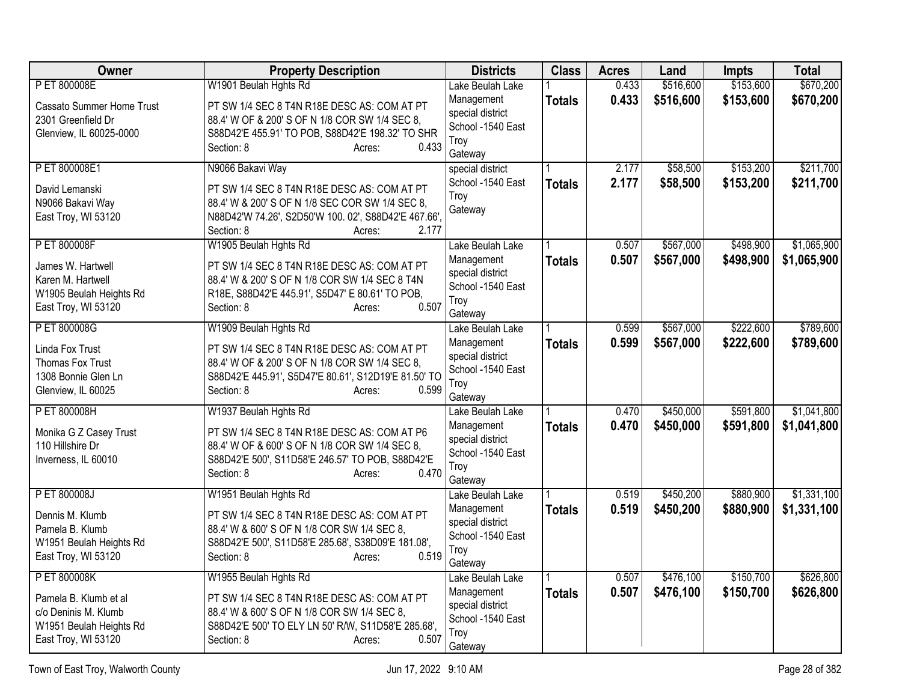| Owner                                         | <b>Property Description</b>                                                                | <b>Districts</b>                      | <b>Class</b>  | <b>Acres</b> | Land      | <b>Impts</b> | <b>Total</b> |
|-----------------------------------------------|--------------------------------------------------------------------------------------------|---------------------------------------|---------------|--------------|-----------|--------------|--------------|
| P ET 800008E                                  | W1901 Beulah Hghts Rd                                                                      | Lake Beulah Lake                      |               | 0.433        | \$516,600 | \$153,600    | \$670,200    |
| Cassato Summer Home Trust                     | PT SW 1/4 SEC 8 T4N R18E DESC AS: COM AT PT                                                | Management                            | <b>Totals</b> | 0.433        | \$516,600 | \$153,600    | \$670,200    |
| 2301 Greenfield Dr                            | 88.4' W OF & 200' S OF N 1/8 COR SW 1/4 SEC 8,                                             | special district                      |               |              |           |              |              |
| Glenview, IL 60025-0000                       | S88D42'E 455.91' TO POB, S88D42'E 198.32' TO SHR                                           | School -1540 East                     |               |              |           |              |              |
|                                               | 0.433<br>Section: 8<br>Acres:                                                              | Troy                                  |               |              |           |              |              |
| P ET 800008E1                                 | N9066 Bakavi Way                                                                           | Gateway                               |               | 2.177        | \$58,500  | \$153,200    | \$211,700    |
|                                               |                                                                                            | special district<br>School -1540 East |               | 2.177        |           |              |              |
| David Lemanski                                | PT SW 1/4 SEC 8 T4N R18E DESC AS: COM AT PT                                                | Troy                                  | <b>Totals</b> |              | \$58,500  | \$153,200    | \$211,700    |
| N9066 Bakavi Way                              | 88.4' W & 200' S OF N 1/8 SEC COR SW 1/4 SEC 8,                                            | Gateway                               |               |              |           |              |              |
| East Troy, WI 53120                           | N88D42'W 74.26', S2D50'W 100. 02', S88D42'E 467.66',                                       |                                       |               |              |           |              |              |
|                                               | 2.177<br>Section: 8<br>Acres:                                                              |                                       |               |              |           |              |              |
| P ET 800008F                                  | W1905 Beulah Hghts Rd                                                                      | Lake Beulah Lake                      |               | 0.507        | \$567,000 | \$498,900    | \$1,065,900  |
| James W. Hartwell                             | PT SW 1/4 SEC 8 T4N R18E DESC AS: COM AT PT                                                | Management                            | <b>Totals</b> | 0.507        | \$567,000 | \$498,900    | \$1,065,900  |
| Karen M. Hartwell                             | 88.4' W & 200' S OF N 1/8 COR SW 1/4 SEC 8 T4N                                             | special district                      |               |              |           |              |              |
| W1905 Beulah Heights Rd                       | R18E, S88D42'E 445.91', S5D47' E 80.61' TO POB,                                            | School -1540 East                     |               |              |           |              |              |
| East Troy, WI 53120                           | 0.507<br>Section: 8<br>Acres:                                                              | Troy<br>Gateway                       |               |              |           |              |              |
| P ET 800008G                                  | W1909 Beulah Hghts Rd                                                                      | Lake Beulah Lake                      |               | 0.599        | \$567,000 | \$222,600    | \$789,600    |
|                                               |                                                                                            | Management                            | <b>Totals</b> | 0.599        | \$567,000 | \$222,600    | \$789,600    |
| Linda Fox Trust                               | PT SW 1/4 SEC 8 T4N R18E DESC AS: COM AT PT                                                | special district                      |               |              |           |              |              |
| Thomas Fox Trust                              | 88.4' W OF & 200' S OF N 1/8 COR SW 1/4 SEC 8,                                             | School -1540 East                     |               |              |           |              |              |
| 1308 Bonnie Glen Ln                           | S88D42'E 445.91', S5D47'E 80.61', S12D19'E 81.50' TO                                       | Troy                                  |               |              |           |              |              |
| Glenview, IL 60025                            | 0.599<br>Section: 8<br>Acres:                                                              | Gateway                               |               |              |           |              |              |
| P ET 800008H                                  | W1937 Beulah Hghts Rd                                                                      | Lake Beulah Lake                      |               | 0.470        | \$450,000 | \$591,800    | \$1,041,800  |
| Monika G Z Casey Trust                        | PT SW 1/4 SEC 8 T4N R18E DESC AS: COM AT P6                                                | Management                            | <b>Totals</b> | 0.470        | \$450,000 | \$591,800    | \$1,041,800  |
| 110 Hillshire Dr                              | 88.4' W OF & 600' S OF N 1/8 COR SW 1/4 SEC 8,                                             | special district                      |               |              |           |              |              |
| Inverness, IL 60010                           | S88D42'E 500', S11D58'E 246.57' TO POB, S88D42'E                                           | School -1540 East                     |               |              |           |              |              |
|                                               | 0.470<br>Section: 8<br>Acres:                                                              | Troy                                  |               |              |           |              |              |
|                                               |                                                                                            | Gateway                               |               |              |           |              |              |
| P ET 800008J                                  | W1951 Beulah Hghts Rd                                                                      | Lake Beulah Lake                      |               | 0.519        | \$450,200 | \$880,900    | \$1,331,100  |
| Dennis M. Klumb                               | PT SW 1/4 SEC 8 T4N R18E DESC AS: COM AT PT                                                | Management<br>special district        | <b>Totals</b> | 0.519        | \$450,200 | \$880,900    | \$1,331,100  |
| Pamela B. Klumb                               | 88.4' W & 600' S OF N 1/8 COR SW 1/4 SEC 8,                                                | School -1540 East                     |               |              |           |              |              |
| W1951 Beulah Heights Rd                       | S88D42'E 500', S11D58'E 285.68', S38D09'E 181.08',                                         | Troy                                  |               |              |           |              |              |
| East Troy, WI 53120                           | 0.519<br>Section: 8<br>Acres:                                                              | Gateway                               |               |              |           |              |              |
| P ET 800008K                                  | W1955 Beulah Hghts Rd                                                                      | Lake Beulah Lake                      |               | 0.507        | \$476,100 | \$150,700    | \$626,800    |
|                                               |                                                                                            | Management                            | <b>Totals</b> | 0.507        | \$476,100 | \$150,700    | \$626,800    |
| Pamela B. Klumb et al<br>c/o Deninis M. Klumb | PT SW 1/4 SEC 8 T4N R18E DESC AS: COM AT PT<br>88.4' W & 600' S OF N 1/8 COR SW 1/4 SEC 8, | special district                      |               |              |           |              |              |
| W1951 Beulah Heights Rd                       | S88D42'E 500' TO ELY LN 50' R/W, S11D58'E 285.68',                                         | School -1540 East                     |               |              |           |              |              |
| East Troy, WI 53120                           | 0.507<br>Section: 8<br>Acres:                                                              | Troy                                  |               |              |           |              |              |
|                                               |                                                                                            | Gateway                               |               |              |           |              |              |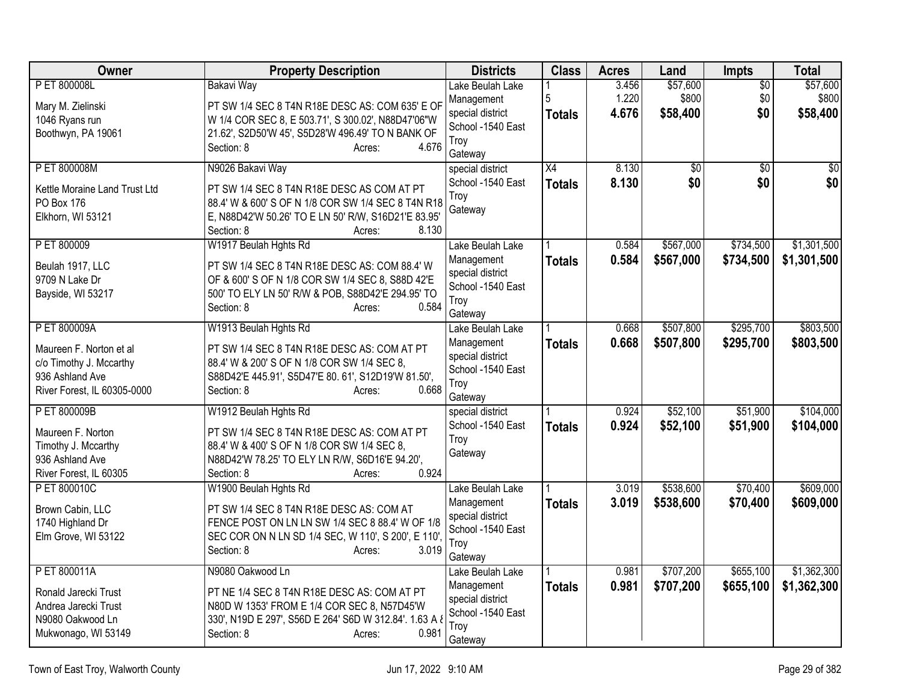| Owner                                    | <b>Property Description</b>                                                                | <b>Districts</b>               | <b>Class</b>    | <b>Acres</b> | Land            | Impts           | <b>Total</b>    |
|------------------------------------------|--------------------------------------------------------------------------------------------|--------------------------------|-----------------|--------------|-----------------|-----------------|-----------------|
| P ET 800008L                             | <b>Bakavi Way</b>                                                                          | Lake Beulah Lake               |                 | 3.456        | \$57,600        | $\overline{60}$ | \$57,600        |
| Mary M. Zielinski                        | PT SW 1/4 SEC 8 T4N R18E DESC AS: COM 635' E OF                                            | Management                     | 5               | 1.220        | \$800           | \$0             | \$800           |
| 1046 Ryans run                           | W 1/4 COR SEC 8, E 503.71', S 300.02', N88D47'06"W                                         | special district               | <b>Totals</b>   | 4.676        | \$58,400        | \$0             | \$58,400        |
| Boothwyn, PA 19061                       | 21.62', S2D50'W 45', S5D28'W 496.49' TO N BANK OF                                          | School -1540 East              |                 |              |                 |                 |                 |
|                                          | 4.676<br>Section: 8<br>Acres:                                                              | Troy                           |                 |              |                 |                 |                 |
|                                          |                                                                                            | Gateway                        |                 |              |                 |                 |                 |
| P ET 800008M                             | N9026 Bakavi Way                                                                           | special district               | $\overline{X4}$ | 8.130        | $\overline{60}$ | $\overline{50}$ | $\overline{50}$ |
| Kettle Moraine Land Trust Ltd            | PT SW 1/4 SEC 8 T4N R18E DESC AS COM AT PT                                                 | School -1540 East              | <b>Totals</b>   | 8.130        | \$0             | \$0             | \$0             |
| PO Box 176                               | 88.4' W & 600' S OF N 1/8 COR SW 1/4 SEC 8 T4N R18                                         | Troy                           |                 |              |                 |                 |                 |
| Elkhorn, WI 53121                        | E, N88D42'W 50.26' TO E LN 50' R/W, S16D21'E 83.95'                                        | Gateway                        |                 |              |                 |                 |                 |
|                                          | 8.130<br>Section: 8<br>Acres:                                                              |                                |                 |              |                 |                 |                 |
| P ET 800009                              | W1917 Beulah Hghts Rd                                                                      | Lake Beulah Lake               |                 | 0.584        | \$567,000       | \$734,500       | \$1,301,500     |
|                                          |                                                                                            | Management                     | <b>Totals</b>   | 0.584        | \$567,000       | \$734,500       | \$1,301,500     |
| Beulah 1917, LLC                         | PT SW 1/4 SEC 8 T4N R18E DESC AS: COM 88.4' W                                              | special district               |                 |              |                 |                 |                 |
| 9709 N Lake Dr                           | OF & 600' S OF N 1/8 COR SW 1/4 SEC 8, S88D 42'E                                           | School -1540 East              |                 |              |                 |                 |                 |
| Bayside, WI 53217                        | 500' TO ELY LN 50' R/W & POB, S88D42'E 294.95' TO                                          | Troy                           |                 |              |                 |                 |                 |
|                                          | 0.584<br>Section: 8<br>Acres:                                                              | Gateway                        |                 |              |                 |                 |                 |
| P ET 800009A                             | W1913 Beulah Hghts Rd                                                                      | Lake Beulah Lake               |                 | 0.668        | \$507,800       | \$295,700       | \$803,500       |
|                                          |                                                                                            | Management                     | <b>Totals</b>   | 0.668        | \$507,800       | \$295,700       | \$803,500       |
| Maureen F. Norton et al                  | PT SW 1/4 SEC 8 T4N R18E DESC AS: COM AT PT                                                | special district               |                 |              |                 |                 |                 |
| c/o Timothy J. Mccarthy                  | 88.4' W & 200' S OF N 1/8 COR SW 1/4 SEC 8,                                                | School -1540 East              |                 |              |                 |                 |                 |
| 936 Ashland Ave                          | S88D42'E 445.91', S5D47'E 80. 61', S12D19'W 81.50',                                        | Troy                           |                 |              |                 |                 |                 |
| River Forest, IL 60305-0000              | 0.668<br>Section: 8<br>Acres:                                                              | Gateway                        |                 |              |                 |                 |                 |
| P ET 800009B                             | W1912 Beulah Hghts Rd                                                                      | special district               |                 | 0.924        | \$52,100        | \$51,900        | \$104,000       |
|                                          |                                                                                            | School -1540 East              | <b>Totals</b>   | 0.924        | \$52,100        | \$51,900        | \$104,000       |
| Maureen F. Norton<br>Timothy J. Mccarthy | PT SW 1/4 SEC 8 T4N R18E DESC AS: COM AT PT<br>88.4' W & 400' S OF N 1/8 COR SW 1/4 SEC 8, | Troy                           |                 |              |                 |                 |                 |
| 936 Ashland Ave                          | N88D42'W 78.25' TO ELY LN R/W, S6D16'E 94.20',                                             | Gateway                        |                 |              |                 |                 |                 |
| River Forest, IL 60305                   | 0.924<br>Section: 8<br>Acres:                                                              |                                |                 |              |                 |                 |                 |
| P ET 800010C                             | W1900 Beulah Hghts Rd                                                                      | Lake Beulah Lake               |                 | 3.019        | \$538,600       | \$70,400        | \$609,000       |
|                                          |                                                                                            |                                |                 |              |                 |                 |                 |
| Brown Cabin, LLC                         | PT SW 1/4 SEC 8 T4N R18E DESC AS: COM AT                                                   | Management<br>special district | <b>Totals</b>   | 3.019        | \$538,600       | \$70,400        | \$609,000       |
| 1740 Highland Dr                         | FENCE POST ON LN LN SW 1/4 SEC 8 88.4' W OF 1/8                                            | School -1540 East              |                 |              |                 |                 |                 |
| Elm Grove, WI 53122                      | SEC COR ON N LN SD 1/4 SEC, W 110', S 200', E 110'                                         | Troy                           |                 |              |                 |                 |                 |
|                                          | Section: 8<br>3.019<br>Acres:                                                              | Gateway                        |                 |              |                 |                 |                 |
| PET 800011A                              | N9080 Oakwood Ln                                                                           | Lake Beulah Lake               |                 | 0.981        | \$707,200       | \$655,100       | \$1,362,300     |
|                                          |                                                                                            | Management                     | <b>Totals</b>   | 0.981        | \$707,200       | \$655,100       | \$1,362,300     |
| Ronald Jarecki Trust                     | PT NE 1/4 SEC 8 T4N R18E DESC AS: COM AT PT                                                | special district               |                 |              |                 |                 |                 |
| Andrea Jarecki Trust                     | N80D W 1353' FROM E 1/4 COR SEC 8, N57D45'W                                                | School -1540 East              |                 |              |                 |                 |                 |
| N9080 Oakwood Ln                         | 330', N19D E 297', S56D E 264' S6D W 312.84'. 1.63 A 8                                     | Troy                           |                 |              |                 |                 |                 |
| Mukwonago, WI 53149                      | 0.981<br>Section: 8<br>Acres:                                                              | Gateway                        |                 |              |                 |                 |                 |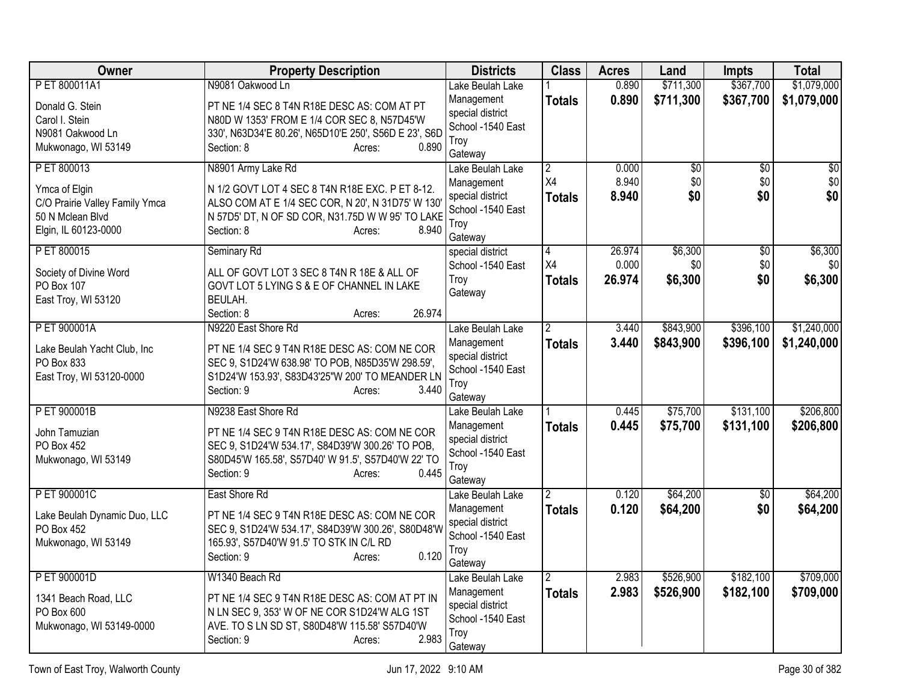| <b>Owner</b>                               | <b>Property Description</b>                                                                    | <b>Districts</b>               | <b>Class</b>   | <b>Acres</b> | Land            | <b>Impts</b>    | <b>Total</b>    |
|--------------------------------------------|------------------------------------------------------------------------------------------------|--------------------------------|----------------|--------------|-----------------|-----------------|-----------------|
| P ET 800011A1                              | N9081 Oakwood Ln                                                                               | Lake Beulah Lake               |                | 0.890        | \$711,300       | \$367,700       | \$1,079,000     |
| Donald G. Stein                            | PT NE 1/4 SEC 8 T4N R18E DESC AS: COM AT PT                                                    | Management<br>special district | <b>Totals</b>  | 0.890        | \$711,300       | \$367,700       | \$1,079,000     |
| Carol I. Stein                             | N80D W 1353' FROM E 1/4 COR SEC 8, N57D45'W                                                    | School -1540 East              |                |              |                 |                 |                 |
| N9081 Oakwood Ln                           | 330', N63D34'E 80.26', N65D10'E 250', S56D E 23', S6D                                          | Troy                           |                |              |                 |                 |                 |
| Mukwonago, WI 53149                        | Section: 8<br>0.890<br>Acres:                                                                  | Gateway                        |                |              |                 |                 |                 |
| PET 800013                                 | N8901 Army Lake Rd                                                                             | Lake Beulah Lake               | $\overline{2}$ | 0.000        | $\overline{60}$ | $\overline{50}$ | $\overline{30}$ |
| Ymca of Elgin                              | N 1/2 GOVT LOT 4 SEC 8 T4N R18E EXC. P ET 8-12.                                                | Management                     | X4             | 8.940        | \$0             | \$0             | \$0             |
| C/O Prairie Valley Family Ymca             | ALSO COM AT E 1/4 SEC COR, N 20', N 31D75' W 130'                                              | special district               | <b>Totals</b>  | 8.940        | \$0             | \$0             | \$0             |
| 50 N Mclean Blvd                           | N 57D5' DT, N OF SD COR, N31.75D W W 95' TO LAKE                                               | School -1540 East<br>Troy      |                |              |                 |                 |                 |
| Elgin, IL 60123-0000                       | 8.940<br>Section: 8<br>Acres:                                                                  | Gateway                        |                |              |                 |                 |                 |
| P ET 800015                                | Seminary Rd                                                                                    | special district               | 14             | 26.974       | \$6,300         | \$0             | \$6,300         |
|                                            |                                                                                                | School -1540 East              | X4             | 0.000        | \$0             | \$0             | \$0             |
| Society of Divine Word                     | ALL OF GOVT LOT 3 SEC 8 T4N R 18E & ALL OF                                                     | Troy                           | <b>Totals</b>  | 26.974       | \$6,300         | \$0             | \$6,300         |
| PO Box 107<br>East Troy, WI 53120          | GOVT LOT 5 LYING S & E OF CHANNEL IN LAKE<br>BEULAH.                                           | Gateway                        |                |              |                 |                 |                 |
|                                            | 26.974<br>Section: 8<br>Acres:                                                                 |                                |                |              |                 |                 |                 |
| P ET 900001A                               | N9220 East Shore Rd                                                                            | Lake Beulah Lake               |                | 3.440        | \$843,900       | \$396,100       | \$1,240,000     |
|                                            |                                                                                                | Management                     | <b>Totals</b>  | 3.440        | \$843,900       | \$396,100       | \$1,240,000     |
| Lake Beulah Yacht Club, Inc                | PT NE 1/4 SEC 9 T4N R18E DESC AS: COM NE COR                                                   | special district               |                |              |                 |                 |                 |
| PO Box 833                                 | SEC 9, S1D24'W 638.98' TO POB, N85D35'W 298.59',                                               | School -1540 East              |                |              |                 |                 |                 |
| East Troy, WI 53120-0000                   | S1D24'W 153.93', S83D43'25"W 200' TO MEANDER LN<br>3.440<br>Section: 9<br>Acres:               | Troy                           |                |              |                 |                 |                 |
|                                            |                                                                                                | Gateway                        |                |              |                 |                 |                 |
| P ET 900001B                               | N9238 East Shore Rd                                                                            | Lake Beulah Lake               |                | 0.445        | \$75,700        | \$131,100       | \$206,800       |
| John Tamuzian                              | PT NE 1/4 SEC 9 T4N R18E DESC AS: COM NE COR                                                   | Management                     | <b>Totals</b>  | 0.445        | \$75,700        | \$131,100       | \$206,800       |
| PO Box 452                                 | SEC 9, S1D24'W 534.17', S84D39'W 300.26' TO POB,                                               | special district               |                |              |                 |                 |                 |
| Mukwonago, WI 53149                        | S80D45'W 165.58', S57D40' W 91.5', S57D40'W 22' TO                                             | School -1540 East<br>Troy      |                |              |                 |                 |                 |
|                                            | 0.445<br>Section: 9<br>Acres:                                                                  | Gateway                        |                |              |                 |                 |                 |
| P ET 900001C                               | East Shore Rd                                                                                  | Lake Beulah Lake               | 12             | 0.120        | \$64,200        | $\overline{50}$ | \$64,200        |
|                                            |                                                                                                | Management                     | <b>Totals</b>  | 0.120        | \$64,200        | \$0             | \$64,200        |
| Lake Beulah Dynamic Duo, LLC<br>PO Box 452 | PT NE 1/4 SEC 9 T4N R18E DESC AS: COM NE COR                                                   | special district               |                |              |                 |                 |                 |
| Mukwonago, WI 53149                        | SEC 9, S1D24'W 534.17', S84D39'W 300.26', S80D48'W<br>165.93', S57D40'W 91.5' TO STK IN C/L RD | School -1540 East              |                |              |                 |                 |                 |
|                                            | 0.120<br>Section: 9<br>Acres:                                                                  | Troy                           |                |              |                 |                 |                 |
|                                            |                                                                                                | Gateway                        |                |              |                 |                 |                 |
| P ET 900001D                               | W1340 Beach Rd                                                                                 | Lake Beulah Lake               | <u>2</u>       | 2.983        | \$526,900       | \$182,100       | \$709,000       |
| 1341 Beach Road, LLC                       | PT NE 1/4 SEC 9 T4N R18E DESC AS: COM AT PT IN                                                 | Management                     | <b>Totals</b>  | 2.983        | \$526,900       | \$182,100       | \$709,000       |
| PO Box 600                                 | N LN SEC 9, 353' W OF NE COR S1D24'W ALG 1ST                                                   | special district               |                |              |                 |                 |                 |
| Mukwonago, WI 53149-0000                   | AVE. TO S LN SD ST, S80D48'W 115.58' S57D40'W                                                  | School -1540 East<br>Troy      |                |              |                 |                 |                 |
|                                            | 2.983<br>Section: 9<br>Acres:                                                                  | Gateway                        |                |              |                 |                 |                 |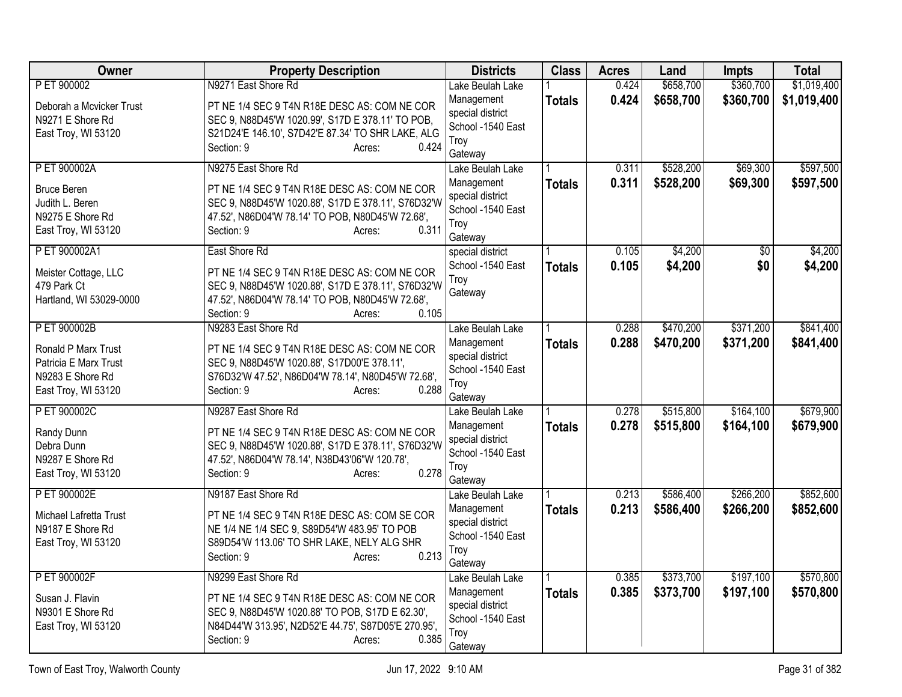| Owner                                                                                   | <b>Property Description</b>                                                                                                                                                             | <b>Districts</b>                                                       | <b>Class</b>  | <b>Acres</b> | Land      | <b>Impts</b> | <b>Total</b> |
|-----------------------------------------------------------------------------------------|-----------------------------------------------------------------------------------------------------------------------------------------------------------------------------------------|------------------------------------------------------------------------|---------------|--------------|-----------|--------------|--------------|
| P ET 900002                                                                             | N9271 East Shore Rd                                                                                                                                                                     | Lake Beulah Lake                                                       |               | 0.424        | \$658,700 | \$360,700    | \$1,019,400  |
| Deborah a Mcvicker Trust<br>N9271 E Shore Rd<br>East Troy, WI 53120                     | PT NE 1/4 SEC 9 T4N R18E DESC AS: COM NE COR<br>SEC 9, N88D45'W 1020.99', S17D E 378.11' TO POB,<br>S21D24'E 146.10', S7D42'E 87.34' TO SHR LAKE, ALG<br>0.424<br>Section: 9<br>Acres:  | Management<br>special district<br>School -1540 East<br>Troy<br>Gateway | <b>Totals</b> | 0.424        | \$658,700 | \$360,700    | \$1,019,400  |
| P ET 900002A                                                                            | N9275 East Shore Rd                                                                                                                                                                     | Lake Beulah Lake                                                       |               | 0.311        | \$528,200 | \$69,300     | \$597,500    |
| <b>Bruce Beren</b><br>Judith L. Beren<br>N9275 E Shore Rd<br>East Troy, WI 53120        | PT NE 1/4 SEC 9 T4N R18E DESC AS: COM NE COR<br>SEC 9, N88D45'W 1020.88', S17D E 378.11', S76D32'W<br>47.52', N86D04'W 78.14' TO POB, N80D45'W 72.68',<br>0.311<br>Section: 9<br>Acres: | Management<br>special district<br>School -1540 East<br>Troy<br>Gateway | <b>Totals</b> | 0.311        | \$528,200 | \$69,300     | \$597,500    |
| P ET 900002A1                                                                           | East Shore Rd                                                                                                                                                                           | special district                                                       |               | 0.105        | \$4,200   | \$0          | \$4,200      |
| Meister Cottage, LLC<br>479 Park Ct<br>Hartland, WI 53029-0000                          | PT NE 1/4 SEC 9 T4N R18E DESC AS: COM NE COR<br>SEC 9, N88D45'W 1020.88', S17D E 378.11', S76D32'W<br>47.52', N86D04'W 78.14' TO POB, N80D45'W 72.68',<br>0.105<br>Section: 9<br>Acres: | School -1540 East<br>Troy<br>Gateway                                   | <b>Totals</b> | 0.105        | \$4,200   | \$0          | \$4,200      |
| P ET 900002B                                                                            | N9283 East Shore Rd                                                                                                                                                                     | Lake Beulah Lake                                                       |               | 0.288        | \$470,200 | \$371,200    | \$841,400    |
| Ronald P Marx Trust<br>Patricia E Marx Trust<br>N9283 E Shore Rd<br>East Troy, WI 53120 | PT NE 1/4 SEC 9 T4N R18E DESC AS: COM NE COR<br>SEC 9, N88D45'W 1020.88', S17D00'E 378.11',<br>S76D32'W 47.52', N86D04'W 78.14', N80D45'W 72.68',<br>0.288<br>Section: 9<br>Acres:      | Management<br>special district<br>School -1540 East<br>Troy<br>Gateway | <b>Totals</b> | 0.288        | \$470,200 | \$371,200    | \$841,400    |
| P ET 900002C                                                                            | N9287 East Shore Rd                                                                                                                                                                     | Lake Beulah Lake                                                       |               | 0.278        | \$515,800 | \$164,100    | \$679,900    |
| Randy Dunn<br>Debra Dunn<br>N9287 E Shore Rd<br>East Troy, WI 53120                     | PT NE 1/4 SEC 9 T4N R18E DESC AS: COM NE COR<br>SEC 9, N88D45'W 1020.88', S17D E 378.11', S76D32'W<br>47.52', N86D04'W 78.14', N38D43'06"W 120.78',<br>0.278<br>Section: 9<br>Acres:    | Management<br>special district<br>School -1540 East<br>Troy<br>Gateway | <b>Totals</b> | 0.278        | \$515,800 | \$164,100    | \$679,900    |
| P ET 900002E                                                                            | N9187 East Shore Rd                                                                                                                                                                     | Lake Beulah Lake                                                       |               | 0.213        | \$586,400 | \$266,200    | \$852,600    |
| Michael Lafretta Trust<br>N9187 E Shore Rd<br>East Troy, WI 53120                       | PT NE 1/4 SEC 9 T4N R18E DESC AS: COM SE COR<br>NE 1/4 NE 1/4 SEC 9, S89D54'W 483.95' TO POB<br>S89D54'W 113.06' TO SHR LAKE, NELY ALG SHR<br>Section: 9<br>0.213<br>Acres:             | Management<br>special district<br>School -1540 East<br>Troy<br>Gateway | <b>Totals</b> | 0.213        | \$586,400 | \$266,200    | \$852,600    |
| P ET 900002F                                                                            | N9299 East Shore Rd                                                                                                                                                                     | Lake Beulah Lake                                                       |               | 0.385        | \$373,700 | \$197,100    | \$570,800    |
| Susan J. Flavin<br>N9301 E Shore Rd<br>East Troy, WI 53120                              | PT NE 1/4 SEC 9 T4N R18E DESC AS: COM NE COR<br>SEC 9, N88D45'W 1020.88' TO POB, S17D E 62.30',<br>N84D44'W 313.95', N2D52'E 44.75', S87D05'E 270.95',<br>Section: 9<br>0.385<br>Acres: | Management<br>special district<br>School -1540 East<br>Troy<br>Gateway | <b>Totals</b> | 0.385        | \$373,700 | \$197,100    | \$570,800    |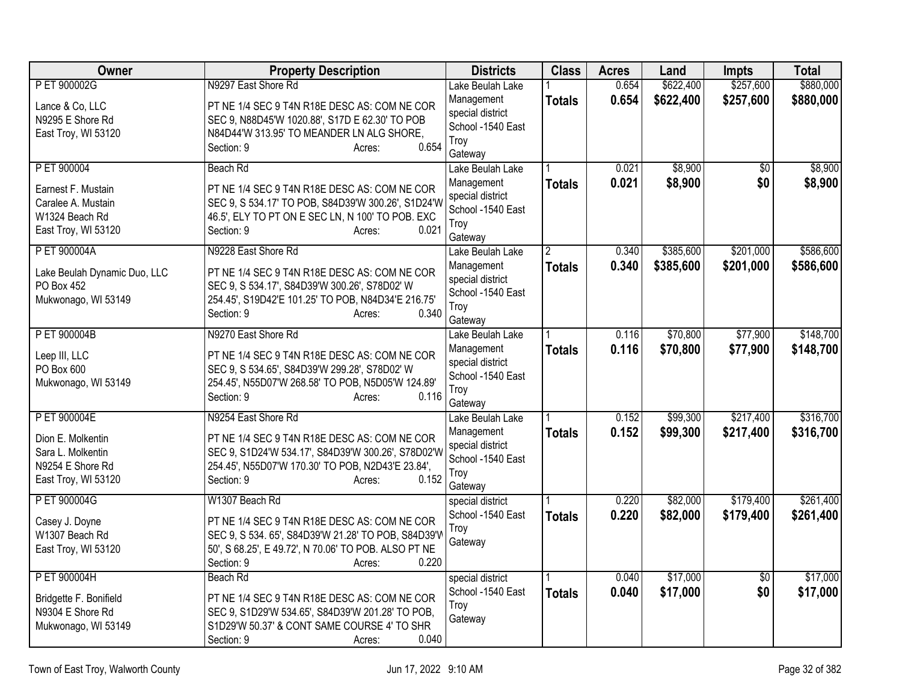| Owner                                 | <b>Property Description</b>                                                                                 | <b>Districts</b>                      | <b>Class</b>  | <b>Acres</b> | Land      | <b>Impts</b>    | <b>Total</b> |
|---------------------------------------|-------------------------------------------------------------------------------------------------------------|---------------------------------------|---------------|--------------|-----------|-----------------|--------------|
| P ET 900002G                          | N9297 East Shore Rd                                                                                         | Lake Beulah Lake                      |               | 0.654        | \$622,400 | \$257,600       | \$880,000    |
| Lance & Co, LLC<br>N9295 E Shore Rd   | PT NE 1/4 SEC 9 T4N R18E DESC AS: COM NE COR<br>SEC 9, N88D45'W 1020.88', S17D E 62.30' TO POB              | Management<br>special district        | <b>Totals</b> | 0.654        | \$622,400 | \$257,600       | \$880,000    |
| East Troy, WI 53120                   | N84D44'W 313.95' TO MEANDER LN ALG SHORE,                                                                   | School -1540 East                     |               |              |           |                 |              |
|                                       | 0.654<br>Section: 9<br>Acres:                                                                               | Troy                                  |               |              |           |                 |              |
|                                       |                                                                                                             | Gateway                               |               |              |           |                 |              |
| P ET 900004                           | Beach Rd                                                                                                    | Lake Beulah Lake                      |               | 0.021        | \$8,900   | $\overline{50}$ | \$8,900      |
| Earnest F. Mustain                    | PT NE 1/4 SEC 9 T4N R18E DESC AS: COM NE COR                                                                | Management                            | <b>Totals</b> | 0.021        | \$8,900   | \$0             | \$8,900      |
| Caralee A. Mustain                    | SEC 9, S 534.17' TO POB, S84D39'W 300.26', S1D24'W                                                          | special district                      |               |              |           |                 |              |
| W1324 Beach Rd                        | 46.5', ELY TO PT ON E SEC LN, N 100' TO POB. EXC                                                            | School -1540 East                     |               |              |           |                 |              |
| East Troy, WI 53120                   | 0.021<br>Section: 9<br>Acres:                                                                               | Troy                                  |               |              |           |                 |              |
| P ET 900004A                          | N9228 East Shore Rd                                                                                         | Gateway<br>Lake Beulah Lake           | 2             | 0.340        | \$385,600 | \$201,000       | \$586,600    |
|                                       |                                                                                                             | Management                            | <b>Totals</b> | 0.340        | \$385,600 | \$201,000       | \$586,600    |
| Lake Beulah Dynamic Duo, LLC          | PT NE 1/4 SEC 9 T4N R18E DESC AS: COM NE COR                                                                | special district                      |               |              |           |                 |              |
| PO Box 452                            | SEC 9, S 534.17', S84D39'W 300.26', S78D02' W                                                               | School -1540 East                     |               |              |           |                 |              |
| Mukwonago, WI 53149                   | 254.45', S19D42'E 101.25' TO POB, N84D34'E 216.75'                                                          | Troy                                  |               |              |           |                 |              |
|                                       | 0.340<br>Section: 9<br>Acres:                                                                               | Gateway                               |               |              |           |                 |              |
| P ET 900004B                          | N9270 East Shore Rd                                                                                         | Lake Beulah Lake                      |               | 0.116        | \$70,800  | \$77,900        | \$148,700    |
| Leep III, LLC                         | PT NE 1/4 SEC 9 T4N R18E DESC AS: COM NE COR                                                                | Management                            | <b>Totals</b> | 0.116        | \$70,800  | \$77,900        | \$148,700    |
| PO Box 600                            | SEC 9, S 534.65', S84D39'W 299.28', S78D02' W                                                               | special district                      |               |              |           |                 |              |
| Mukwonago, WI 53149                   | 254.45', N55D07'W 268.58' TO POB, N5D05'W 124.89'                                                           | School -1540 East                     |               |              |           |                 |              |
|                                       | Section: 9<br>0.116<br>Acres:                                                                               | Troy                                  |               |              |           |                 |              |
|                                       |                                                                                                             | Gateway                               |               |              |           |                 |              |
| P ET 900004E                          | N9254 East Shore Rd                                                                                         | Lake Beulah Lake                      |               | 0.152        | \$99,300  | \$217,400       | \$316,700    |
| Dion E. Molkentin                     | PT NE 1/4 SEC 9 T4N R18E DESC AS: COM NE COR                                                                | Management                            | <b>Totals</b> | 0.152        | \$99,300  | \$217,400       | \$316,700    |
| Sara L. Molkentin                     | SEC 9, S1D24'W 534.17', S84D39'W 300.26', S78D02'W                                                          | special district<br>School -1540 East |               |              |           |                 |              |
| N9254 E Shore Rd                      | 254.45', N55D07'W 170.30' TO POB, N2D43'E 23.84',                                                           | Troy                                  |               |              |           |                 |              |
| East Troy, WI 53120                   | 0.152<br>Section: 9<br>Acres:                                                                               | Gateway                               |               |              |           |                 |              |
| P ET 900004G                          | W1307 Beach Rd                                                                                              | special district                      |               | 0.220        | \$82,000  | \$179,400       | \$261,400    |
|                                       |                                                                                                             | School -1540 East                     | <b>Totals</b> | 0.220        | \$82,000  | \$179,400       | \$261,400    |
| Casey J. Doyne                        | PT NE 1/4 SEC 9 T4N R18E DESC AS: COM NE COR                                                                | Troy                                  |               |              |           |                 |              |
| W1307 Beach Rd<br>East Troy, WI 53120 | SEC 9, S 534. 65', S84D39'W 21.28' TO POB, S84D39'V<br>50', S 68.25', E 49.72', N 70.06' TO POB. ALSO PT NE | Gateway                               |               |              |           |                 |              |
|                                       | 0.220<br>Section: 9<br>Acres:                                                                               |                                       |               |              |           |                 |              |
| P ET 900004H                          | Beach Rd                                                                                                    | special district                      |               | 0.040        | \$17,000  | $\overline{60}$ | \$17,000     |
|                                       |                                                                                                             | School -1540 East                     | <b>Totals</b> | 0.040        | \$17,000  | \$0             | \$17,000     |
| Bridgette F. Bonifield                | PT NE 1/4 SEC 9 T4N R18E DESC AS: COM NE COR                                                                | Troy                                  |               |              |           |                 |              |
| N9304 E Shore Rd                      | SEC 9, S1D29'W 534.65', S84D39'W 201.28' TO POB,                                                            | Gateway                               |               |              |           |                 |              |
| Mukwonago, WI 53149                   | S1D29'W 50.37' & CONT SAME COURSE 4' TO SHR                                                                 |                                       |               |              |           |                 |              |
|                                       | 0.040<br>Section: 9<br>Acres:                                                                               |                                       |               |              |           |                 |              |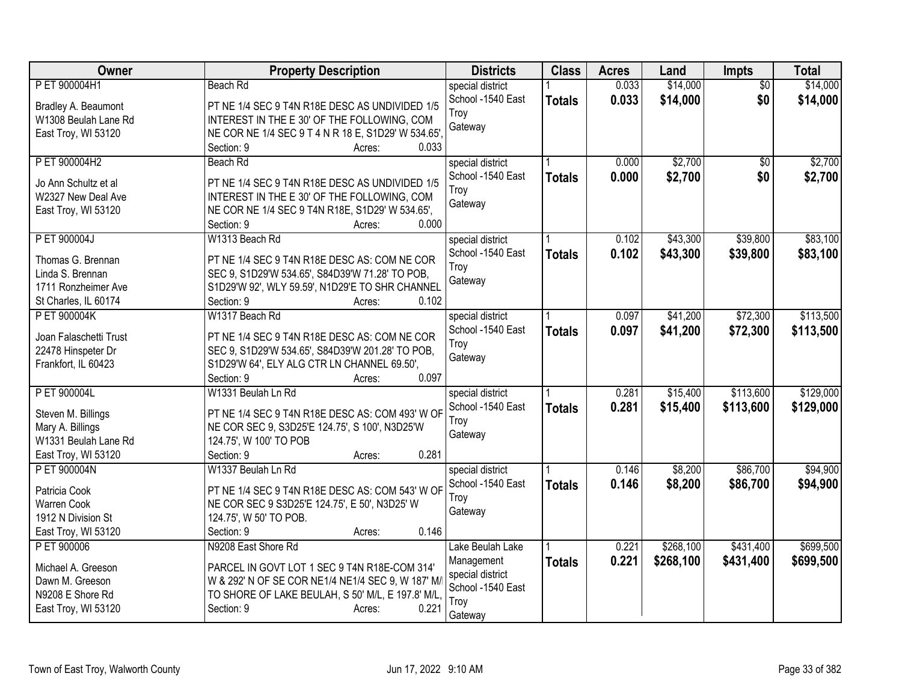| Owner                                      | <b>Property Description</b>                                                                    | <b>Districts</b>          | <b>Class</b>  | <b>Acres</b> | Land      | <b>Impts</b>    | <b>Total</b> |
|--------------------------------------------|------------------------------------------------------------------------------------------------|---------------------------|---------------|--------------|-----------|-----------------|--------------|
| P ET 900004H1                              | Beach Rd                                                                                       | special district          |               | 0.033        | \$14,000  | $\overline{50}$ | \$14,000     |
| Bradley A. Beaumont                        | PT NE 1/4 SEC 9 T4N R18E DESC AS UNDIVIDED 1/5                                                 | School -1540 East         | <b>Totals</b> | 0.033        | \$14,000  | \$0             | \$14,000     |
| W1308 Beulah Lane Rd                       | INTEREST IN THE E 30' OF THE FOLLOWING, COM                                                    | Troy                      |               |              |           |                 |              |
| East Troy, WI 53120                        | NE COR NE 1/4 SEC 9 T 4 N R 18 E, S1D29' W 534.65',                                            | Gateway                   |               |              |           |                 |              |
|                                            | 0.033<br>Section: 9<br>Acres:                                                                  |                           |               |              |           |                 |              |
| P ET 900004H2                              | Beach Rd                                                                                       | special district          |               | 0.000        | \$2,700   | \$0             | \$2,700      |
|                                            |                                                                                                | School -1540 East         | <b>Totals</b> | 0.000        | \$2,700   | \$0             | \$2,700      |
| Jo Ann Schultz et al<br>W2327 New Deal Ave | PT NE 1/4 SEC 9 T4N R18E DESC AS UNDIVIDED 1/5                                                 | Troy                      |               |              |           |                 |              |
| East Troy, WI 53120                        | INTEREST IN THE E 30' OF THE FOLLOWING, COM<br>NE COR NE 1/4 SEC 9 T4N R18E, S1D29' W 534.65', | Gateway                   |               |              |           |                 |              |
|                                            | 0.000<br>Section: 9<br>Acres:                                                                  |                           |               |              |           |                 |              |
| P ET 900004J                               | W1313 Beach Rd                                                                                 | special district          |               | 0.102        | \$43,300  | \$39,800        | \$83,100     |
|                                            |                                                                                                | School -1540 East         | <b>Totals</b> | 0.102        | \$43,300  | \$39,800        | \$83,100     |
| Thomas G. Brennan                          | PT NE 1/4 SEC 9 T4N R18E DESC AS: COM NE COR                                                   | Troy                      |               |              |           |                 |              |
| Linda S. Brennan                           | SEC 9, S1D29'W 534.65', S84D39'W 71.28' TO POB,                                                | Gateway                   |               |              |           |                 |              |
| 1711 Ronzheimer Ave                        | S1D29'W 92', WLY 59.59', N1D29'E TO SHR CHANNEL                                                |                           |               |              |           |                 |              |
| St Charles, IL 60174                       | 0.102<br>Section: 9<br>Acres:                                                                  |                           |               |              |           |                 |              |
| P ET 900004K                               | W1317 Beach Rd                                                                                 | special district          |               | 0.097        | \$41,200  | \$72,300        | \$113,500    |
| Joan Falaschetti Trust                     | PT NE 1/4 SEC 9 T4N R18E DESC AS: COM NE COR                                                   | School -1540 East         | <b>Totals</b> | 0.097        | \$41,200  | \$72,300        | \$113,500    |
| 22478 Hinspeter Dr                         | SEC 9, S1D29'W 534.65', S84D39'W 201.28' TO POB,                                               | Troy                      |               |              |           |                 |              |
| Frankfort, IL 60423                        | S1D29'W 64', ELY ALG CTR LN CHANNEL 69.50',                                                    | Gateway                   |               |              |           |                 |              |
|                                            | 0.097<br>Section: 9<br>Acres:                                                                  |                           |               |              |           |                 |              |
| P ET 900004L                               | W1331 Beulah Ln Rd                                                                             | special district          |               | 0.281        | \$15,400  | \$113,600       | \$129,000    |
| Steven M. Billings                         | PT NE 1/4 SEC 9 T4N R18E DESC AS: COM 493' W OF                                                | School -1540 East         | <b>Totals</b> | 0.281        | \$15,400  | \$113,600       | \$129,000    |
| Mary A. Billings                           | NE COR SEC 9, S3D25'E 124.75', S 100', N3D25'W                                                 | Troy                      |               |              |           |                 |              |
| W1331 Beulah Lane Rd                       | 124.75', W 100' TO POB                                                                         | Gateway                   |               |              |           |                 |              |
| East Troy, WI 53120                        | 0.281<br>Section: 9<br>Acres:                                                                  |                           |               |              |           |                 |              |
| P ET 900004N                               | W1337 Beulah Ln Rd                                                                             | special district          |               | 0.146        | \$8,200   | \$86,700        | \$94,900     |
|                                            |                                                                                                | School -1540 East         | <b>Totals</b> | 0.146        | \$8,200   | \$86,700        | \$94,900     |
| Patricia Cook                              | PT NE 1/4 SEC 9 T4N R18E DESC AS: COM 543' W OF                                                | Troy                      |               |              |           |                 |              |
| Warren Cook                                | NE COR SEC 9 S3D25'E 124.75', E 50', N3D25' W                                                  | Gateway                   |               |              |           |                 |              |
| 1912 N Division St                         | 124.75', W 50' TO POB.                                                                         |                           |               |              |           |                 |              |
| East Troy, WI 53120                        | 0.146<br>Section: 9<br>Acres:                                                                  |                           |               |              |           |                 |              |
| P ET 900006                                | N9208 East Shore Rd                                                                            | Lake Beulah Lake          |               | 0.221        | \$268,100 | \$431,400       | \$699,500    |
| Michael A. Greeson                         | PARCEL IN GOVT LOT 1 SEC 9 T4N R18E-COM 314'                                                   | Management                | <b>Totals</b> | 0.221        | \$268,100 | \$431,400       | \$699,500    |
| Dawn M. Greeson                            | W & 292' N OF SE COR NE1/4 NE1/4 SEC 9, W 187' M/                                              | special district          |               |              |           |                 |              |
| N9208 E Shore Rd                           | TO SHORE OF LAKE BEULAH, S 50' M/L, E 197.8' M/L                                               | School -1540 East<br>Troy |               |              |           |                 |              |
| East Troy, WI 53120                        | Section: 9<br>0.221<br>Acres:                                                                  | Gateway                   |               |              |           |                 |              |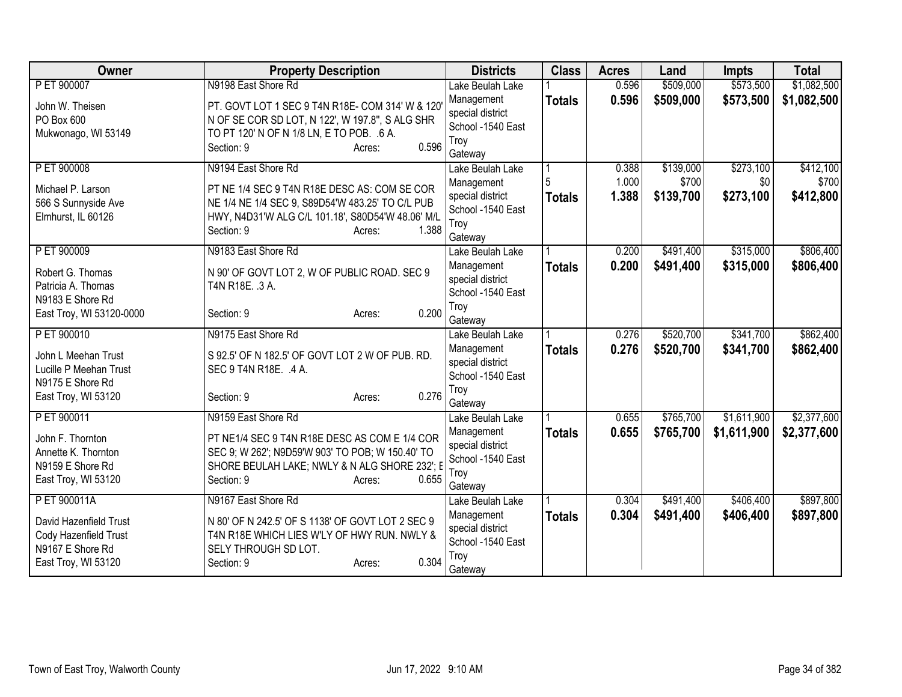| Owner                                         | <b>Property Description</b>                                              | <b>Districts</b>                      | <b>Class</b>  | <b>Acres</b> | Land      | <b>Impts</b> | <b>Total</b> |
|-----------------------------------------------|--------------------------------------------------------------------------|---------------------------------------|---------------|--------------|-----------|--------------|--------------|
| P ET 900007                                   | N9198 East Shore Rd                                                      | Lake Beulah Lake                      |               | 0.596        | \$509,000 | \$573,500    | \$1,082,500  |
| John W. Theisen                               | PT. GOVT LOT 1 SEC 9 T4N R18E- COM 314' W & 120                          | Management                            | <b>Totals</b> | 0.596        | \$509,000 | \$573,500    | \$1,082,500  |
| PO Box 600                                    | N OF SE COR SD LOT, N 122', W 197.8", S ALG SHR                          | special district                      |               |              |           |              |              |
| Mukwonago, WI 53149                           | TO PT 120' N OF N 1/8 LN, E TO POB. .6 A.                                | School -1540 East                     |               |              |           |              |              |
|                                               | 0.596<br>Section: 9<br>Acres:                                            | Troy<br>Gateway                       |               |              |           |              |              |
| P ET 900008                                   | N9194 East Shore Rd                                                      | Lake Beulah Lake                      |               | 0.388        | \$139,000 | \$273,100    | \$412,100    |
|                                               |                                                                          | Management                            |               | 1.000        | \$700     | \$0          | \$700        |
| Michael P. Larson                             | PT NE 1/4 SEC 9 T4N R18E DESC AS: COM SE COR                             | special district                      | <b>Totals</b> | 1.388        | \$139,700 | \$273,100    | \$412,800    |
| 566 S Sunnyside Ave                           | NE 1/4 NE 1/4 SEC 9, S89D54'W 483.25' TO C/L PUB                         | School -1540 East                     |               |              |           |              |              |
| Elmhurst, IL 60126                            | HWY, N4D31'W ALG C/L 101.18', S80D54'W 48.06' M/L<br>Section: 9<br>1.388 | Troy                                  |               |              |           |              |              |
|                                               | Acres:                                                                   | Gateway                               |               |              |           |              |              |
| P ET 900009                                   | N9183 East Shore Rd                                                      | Lake Beulah Lake                      |               | 0.200        | \$491,400 | \$315,000    | \$806,400    |
| Robert G. Thomas                              | N 90' OF GOVT LOT 2, W OF PUBLIC ROAD. SEC 9                             | Management                            | <b>Totals</b> | 0.200        | \$491,400 | \$315,000    | \$806,400    |
| Patricia A. Thomas                            | T4N R18E. .3 A.                                                          | special district                      |               |              |           |              |              |
| N9183 E Shore Rd                              |                                                                          | School -1540 East<br>Troy             |               |              |           |              |              |
| East Troy, WI 53120-0000                      | 0.200<br>Section: 9<br>Acres:                                            | Gateway                               |               |              |           |              |              |
| P ET 900010                                   | N9175 East Shore Rd                                                      | Lake Beulah Lake                      |               | 0.276        | \$520,700 | \$341,700    | \$862,400    |
|                                               |                                                                          | Management                            | <b>Totals</b> | 0.276        | \$520,700 | \$341,700    | \$862,400    |
| John L Meehan Trust<br>Lucille P Meehan Trust | S 92.5' OF N 182.5' OF GOVT LOT 2 W OF PUB. RD.<br>SEC 9 T4N R18E. .4 A. | special district                      |               |              |           |              |              |
| N9175 E Shore Rd                              |                                                                          | School -1540 East                     |               |              |           |              |              |
| East Troy, WI 53120                           | 0.276<br>Section: 9<br>Acres:                                            | Troy                                  |               |              |           |              |              |
|                                               |                                                                          | Gateway                               |               |              |           |              |              |
| P ET 900011                                   | N9159 East Shore Rd                                                      | Lake Beulah Lake                      |               | 0.655        | \$765,700 | \$1,611,900  | \$2,377,600  |
| John F. Thornton                              | PT NE1/4 SEC 9 T4N R18E DESC AS COM E 1/4 COR                            | Management                            | <b>Totals</b> | 0.655        | \$765,700 | \$1,611,900  | \$2,377,600  |
| Annette K. Thornton                           | SEC 9; W 262'; N9D59'W 903' TO POB; W 150.40' TO                         | special district<br>School -1540 East |               |              |           |              |              |
| N9159 E Shore Rd                              | SHORE BEULAH LAKE; NWLY & N ALG SHORE 232'; E                            | Troy                                  |               |              |           |              |              |
| East Troy, WI 53120                           | 0.655<br>Section: 9<br>Acres:                                            | Gateway                               |               |              |           |              |              |
| P ET 900011A                                  | N9167 East Shore Rd                                                      | Lake Beulah Lake                      |               | 0.304        | \$491,400 | \$406,400    | \$897,800    |
| David Hazenfield Trust                        | N 80' OF N 242.5' OF S 1138' OF GOVT LOT 2 SEC 9                         | Management                            | <b>Totals</b> | 0.304        | \$491,400 | \$406,400    | \$897,800    |
| Cody Hazenfield Trust                         | T4N R18E WHICH LIES W'LY OF HWY RUN. NWLY &                              | special district                      |               |              |           |              |              |
| N9167 E Shore Rd                              | SELY THROUGH SD LOT.                                                     | School -1540 East                     |               |              |           |              |              |
| East Troy, WI 53120                           | 0.304<br>Section: 9<br>Acres:                                            | Troy                                  |               |              |           |              |              |
|                                               |                                                                          | Gateway                               |               |              |           |              |              |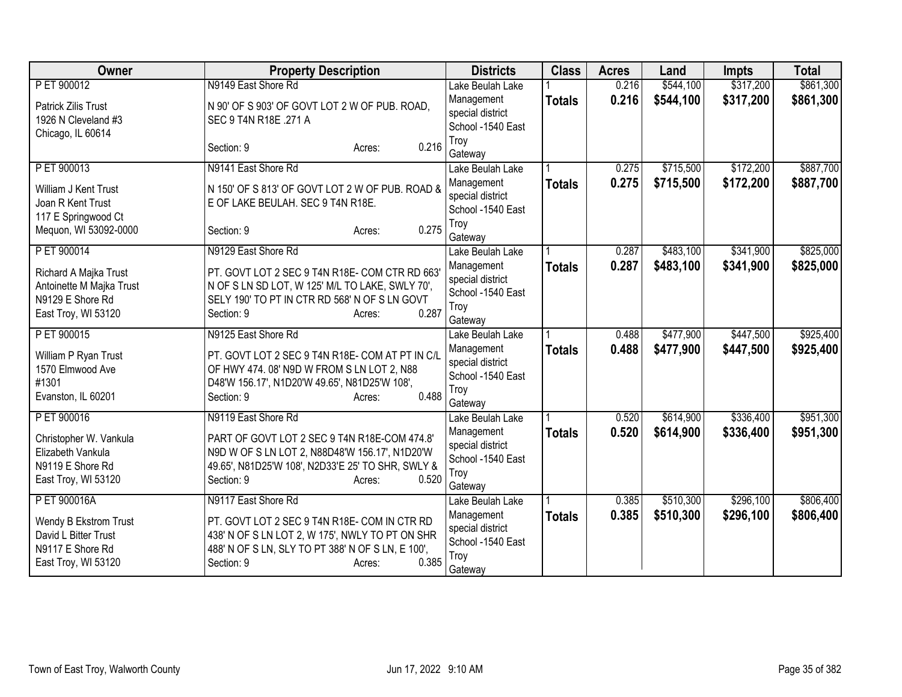| <b>Owner</b>                                                                                 | <b>Property Description</b>                                                                                                                                                           | <b>Districts</b>                                                       | <b>Class</b>  | <b>Acres</b> | Land      | <b>Impts</b> | <b>Total</b> |
|----------------------------------------------------------------------------------------------|---------------------------------------------------------------------------------------------------------------------------------------------------------------------------------------|------------------------------------------------------------------------|---------------|--------------|-----------|--------------|--------------|
| PET 900012                                                                                   | N9149 East Shore Rd                                                                                                                                                                   | Lake Beulah Lake                                                       |               | 0.216        | \$544,100 | \$317,200    | \$861,300    |
| Patrick Zilis Trust<br>1926 N Cleveland #3                                                   | N 90' OF S 903' OF GOVT LOT 2 W OF PUB. ROAD,<br>SEC 9 T4N R18E .271 A                                                                                                                | Management<br>special district<br>School -1540 East                    | <b>Totals</b> | 0.216        | \$544,100 | \$317,200    | \$861,300    |
| Chicago, IL 60614                                                                            | 0.216<br>Section: 9<br>Acres:                                                                                                                                                         | Troy<br>Gateway                                                        |               |              |           |              |              |
| P ET 900013                                                                                  | N9141 East Shore Rd                                                                                                                                                                   | Lake Beulah Lake                                                       |               | 0.275        | \$715,500 | \$172,200    | \$887,700    |
| William J Kent Trust<br>Joan R Kent Trust<br>117 E Springwood Ct                             | N 150' OF S 813' OF GOVT LOT 2 W OF PUB. ROAD &<br>E OF LAKE BEULAH. SEC 9 T4N R18E.                                                                                                  | Management<br>special district<br>School -1540 East                    | <b>Totals</b> | 0.275        | \$715,500 | \$172,200    | \$887,700    |
| Mequon, WI 53092-0000                                                                        | 0.275<br>Section: 9<br>Acres:                                                                                                                                                         | Troy<br>Gateway                                                        |               |              |           |              |              |
| P ET 900014                                                                                  | N9129 East Shore Rd                                                                                                                                                                   | Lake Beulah Lake                                                       |               | 0.287        | \$483,100 | \$341,900    | \$825,000    |
| Richard A Majka Trust<br>Antoinette M Majka Trust<br>N9129 E Shore Rd<br>East Troy, WI 53120 | PT. GOVT LOT 2 SEC 9 T4N R18E- COM CTR RD 663'<br>N OF S LN SD LOT, W 125' M/L TO LAKE, SWLY 70',<br>SELY 190' TO PT IN CTR RD 568' N OF S LN GOVT<br>0.287<br>Section: 9<br>Acres:   | Management<br>special district<br>School -1540 East<br>Troy<br>Gateway | <b>Totals</b> | 0.287        | \$483,100 | \$341,900    | \$825,000    |
| P ET 900015                                                                                  | N9125 East Shore Rd                                                                                                                                                                   | Lake Beulah Lake                                                       |               | 0.488        | \$477,900 | \$447,500    | \$925,400    |
| William P Ryan Trust<br>1570 Elmwood Ave<br>#1301<br>Evanston, IL 60201                      | PT. GOVT LOT 2 SEC 9 T4N R18E- COM AT PT IN C/L<br>OF HWY 474.08' N9D W FROM S LN LOT 2, N88<br>D48'W 156.17', N1D20'W 49.65', N81D25'W 108',<br>0.488<br>Section: 9<br>Acres:        | Management<br>special district<br>School -1540 East<br>Troy<br>Gateway | <b>Totals</b> | 0.488        | \$477,900 | \$447,500    | \$925,400    |
| P ET 900016                                                                                  | N9119 East Shore Rd                                                                                                                                                                   | Lake Beulah Lake                                                       |               | 0.520        | \$614,900 | \$336,400    | \$951,300    |
| Christopher W. Vankula<br>Elizabeth Vankula<br>N9119 E Shore Rd<br>East Troy, WI 53120       | PART OF GOVT LOT 2 SEC 9 T4N R18E-COM 474.8'<br>N9D W OF S LN LOT 2, N88D48'W 156.17', N1D20'W<br>49.65', N81D25'W 108', N2D33'E 25' TO SHR, SWLY &<br>Section: 9<br>0.520<br>Acres:  | Management<br>special district<br>School -1540 East<br>Troy<br>Gateway | <b>Totals</b> | 0.520        | \$614,900 | \$336,400    | \$951,300    |
| P ET 900016A                                                                                 | N9117 East Shore Rd                                                                                                                                                                   | Lake Beulah Lake                                                       |               | 0.385        | \$510,300 | \$296,100    | \$806,400    |
| Wendy B Ekstrom Trust<br>David L Bitter Trust<br>N9117 E Shore Rd<br>East Troy, WI 53120     | PT. GOVT LOT 2 SEC 9 T4N R18E- COM IN CTR RD<br>438' N OF S LN LOT 2, W 175', NWLY TO PT ON SHR<br>488' N OF S LN, SLY TO PT 388' N OF S LN, E 100',<br>0.385<br>Section: 9<br>Acres: | Management<br>special district<br>School -1540 East<br>Troy<br>Gateway | <b>Totals</b> | 0.385        | \$510,300 | \$296,100    | \$806,400    |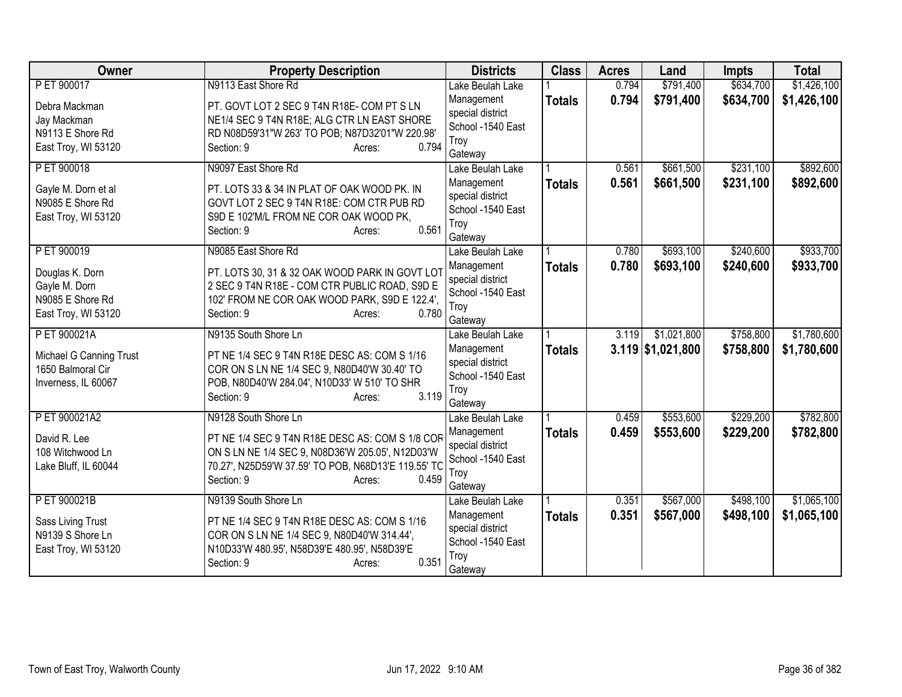| Owner                   | <b>Property Description</b>                         | <b>Districts</b>                      | <b>Class</b>  | <b>Acres</b> | Land                | <b>Impts</b> | <b>Total</b> |
|-------------------------|-----------------------------------------------------|---------------------------------------|---------------|--------------|---------------------|--------------|--------------|
| P ET 900017             | N9113 East Shore Rd                                 | Lake Beulah Lake                      |               | 0.794        | \$791,400           | \$634,700    | \$1,426,100  |
| Debra Mackman           | PT. GOVT LOT 2 SEC 9 T4N R18E-COM PT S LN           | Management                            | <b>Totals</b> | 0.794        | \$791,400           | \$634,700    | \$1,426,100  |
| Jay Mackman             | NE1/4 SEC 9 T4N R18E; ALG CTR LN EAST SHORE         | special district                      |               |              |                     |              |              |
| N9113 E Shore Rd        | RD N08D59'31"W 263' TO POB; N87D32'01"W 220.98'     | School -1540 East                     |               |              |                     |              |              |
| East Troy, WI 53120     | 0.794<br>Section: 9<br>Acres:                       | Troy<br>Gateway                       |               |              |                     |              |              |
| P ET 900018             | N9097 East Shore Rd                                 | Lake Beulah Lake                      |               | 0.561        | \$661,500           | \$231,100    | \$892,600    |
|                         |                                                     | Management                            | <b>Totals</b> | 0.561        | \$661,500           | \$231,100    | \$892,600    |
| Gayle M. Dorn et al     | PT. LOTS 33 & 34 IN PLAT OF OAK WOOD PK. IN         | special district                      |               |              |                     |              |              |
| N9085 E Shore Rd        | GOVT LOT 2 SEC 9 T4N R18E: COM CTR PUB RD           | School -1540 East                     |               |              |                     |              |              |
| East Troy, WI 53120     | S9D E 102'M/L FROM NE COR OAK WOOD PK,              | Troy                                  |               |              |                     |              |              |
|                         | 0.561<br>Section: 9<br>Acres:                       | Gateway                               |               |              |                     |              |              |
| P ET 900019             | N9085 East Shore Rd                                 | Lake Beulah Lake                      |               | 0.780        | \$693,100           | \$240,600    | \$933,700    |
| Douglas K. Dorn         | PT. LOTS 30, 31 & 32 OAK WOOD PARK IN GOVT LOT      | Management                            | <b>Totals</b> | 0.780        | \$693,100           | \$240,600    | \$933,700    |
| Gayle M. Dorn           | 2 SEC 9 T4N R18E - COM CTR PUBLIC ROAD, S9D E       | special district                      |               |              |                     |              |              |
| N9085 E Shore Rd        | 102' FROM NE COR OAK WOOD PARK, S9D E 122.4',       | School -1540 East                     |               |              |                     |              |              |
| East Troy, WI 53120     | 0.780<br>Section: 9<br>Acres:                       | Troy                                  |               |              |                     |              |              |
|                         |                                                     | Gateway                               |               | 3.119        |                     |              |              |
| P ET 900021A            | N9135 South Shore Ln                                | Lake Beulah Lake                      |               |              | \$1,021,800         | \$758,800    | \$1,780,600  |
| Michael G Canning Trust | PT NE 1/4 SEC 9 T4N R18E DESC AS: COM S 1/16        | Management<br>special district        | <b>Totals</b> |              | $3.119$ \$1,021,800 | \$758,800    | \$1,780,600  |
| 1650 Balmoral Cir       | COR ON S LN NE 1/4 SEC 9, N80D40'W 30.40' TO        | School -1540 East                     |               |              |                     |              |              |
| Inverness, IL 60067     | POB, N80D40'W 284.04', N10D33' W 510' TO SHR        | Troy                                  |               |              |                     |              |              |
|                         | 3.119<br>Section: 9<br>Acres:                       | Gateway                               |               |              |                     |              |              |
| P ET 900021A2           | N9128 South Shore Ln                                | Lake Beulah Lake                      |               | 0.459        | \$553,600           | \$229,200    | \$782,800    |
| David R. Lee            | PT NE 1/4 SEC 9 T4N R18E DESC AS: COM S 1/8 COR     | Management                            | <b>Totals</b> | 0.459        | \$553,600           | \$229,200    | \$782,800    |
| 108 Witchwood Ln        | ON S LN NE 1/4 SEC 9, N08D36'W 205.05', N12D03'W    | special district                      |               |              |                     |              |              |
| Lake Bluff, IL 60044    | 70.27', N25D59'W 37.59' TO POB, N68D13'E 119.55' TC | School -1540 East                     |               |              |                     |              |              |
|                         | Section: 9<br>0.459<br>Acres:                       | Troy                                  |               |              |                     |              |              |
|                         |                                                     | Gateway                               |               |              |                     |              |              |
| PET 900021B             | N9139 South Shore Ln                                | Lake Beulah Lake                      |               | 0.351        | \$567,000           | \$498,100    | \$1,065,100  |
| Sass Living Trust       | PT NE 1/4 SEC 9 T4N R18E DESC AS: COM S 1/16        | Management                            | <b>Totals</b> | 0.351        | \$567,000           | \$498,100    | \$1,065,100  |
| N9139 S Shore Ln        | COR ON S LN NE 1/4 SEC 9, N80D40'W 314.44',         | special district<br>School -1540 East |               |              |                     |              |              |
| East Troy, WI 53120     | N10D33'W 480.95', N58D39'E 480.95', N58D39'E        | Troy                                  |               |              |                     |              |              |
|                         | 0.351<br>Section: 9<br>Acres:                       | Gateway                               |               |              |                     |              |              |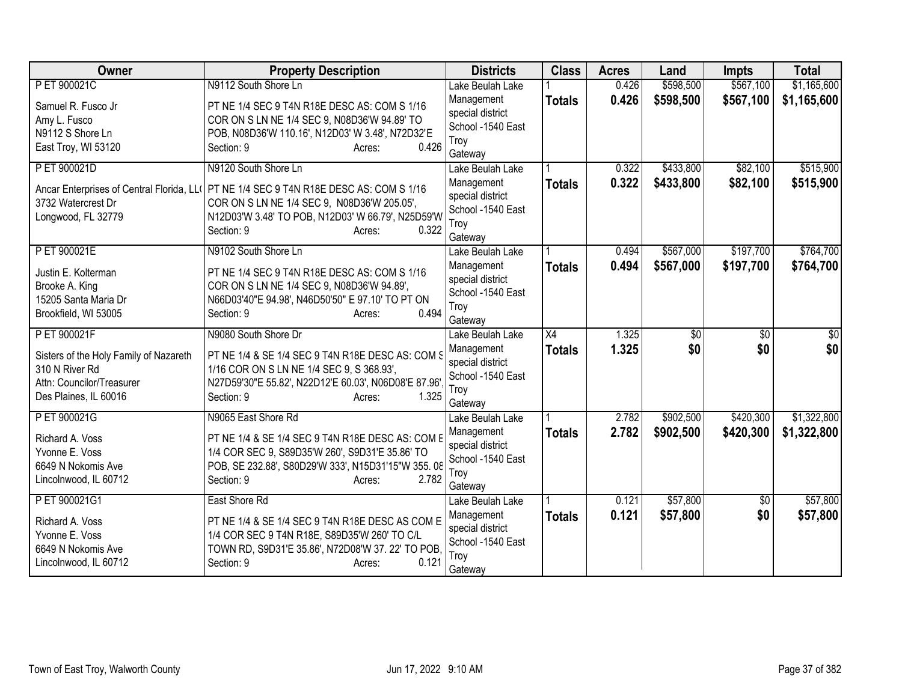| Owner                                     | <b>Property Description</b>                          | <b>Districts</b>                      | <b>Class</b>    | <b>Acres</b>   | Land       | <b>Impts</b>           | <b>Total</b>           |
|-------------------------------------------|------------------------------------------------------|---------------------------------------|-----------------|----------------|------------|------------------------|------------------------|
| P ET 900021C                              | N9112 South Shore Ln                                 | Lake Beulah Lake                      |                 | 0.426          | \$598,500  | \$567,100              | \$1,165,600            |
| Samuel R. Fusco Jr                        | PT NE 1/4 SEC 9 T4N R18E DESC AS: COM S 1/16         | Management                            | <b>Totals</b>   | 0.426          | \$598,500  | \$567,100              | \$1,165,600            |
| Amy L. Fusco                              | COR ON S LN NE 1/4 SEC 9, N08D36'W 94.89' TO         | special district                      |                 |                |            |                        |                        |
| N9112 S Shore Ln                          | POB, N08D36'W 110.16', N12D03' W 3.48', N72D32'E     | School -1540 East                     |                 |                |            |                        |                        |
| East Troy, WI 53120                       | 0.426<br>Section: 9<br>Acres:                        | Troy                                  |                 |                |            |                        |                        |
| P ET 900021D                              | N9120 South Shore Ln                                 | Gateway<br>Lake Beulah Lake           |                 | 0.322          | \$433,800  | \$82,100               | \$515,900              |
|                                           |                                                      | Management                            | <b>Totals</b>   | 0.322          | \$433,800  | \$82,100               | \$515,900              |
| Ancar Enterprises of Central Florida, LLO | PT NE 1/4 SEC 9 T4N R18E DESC AS: COM S 1/16         | special district                      |                 |                |            |                        |                        |
| 3732 Watercrest Dr                        | COR ON S LN NE 1/4 SEC 9, N08D36'W 205.05',          | School -1540 East                     |                 |                |            |                        |                        |
| Longwood, FL 32779                        | N12D03'W 3.48' TO POB, N12D03' W 66.79', N25D59'W    | Troy                                  |                 |                |            |                        |                        |
|                                           | 0.322<br>Section: 9<br>Acres:                        | Gateway                               |                 |                |            |                        |                        |
| P ET 900021E                              | N9102 South Shore Ln                                 | Lake Beulah Lake                      |                 | 0.494          | \$567,000  | \$197,700              | \$764,700              |
| Justin E. Kolterman                       | PT NE 1/4 SEC 9 T4N R18E DESC AS: COM S 1/16         | Management                            | <b>Totals</b>   | 0.494          | \$567,000  | \$197,700              | \$764,700              |
| Brooke A. King                            | COR ON S LN NE 1/4 SEC 9, N08D36'W 94.89',           | special district                      |                 |                |            |                        |                        |
| 15205 Santa Maria Dr                      | N66D03'40"E 94.98', N46D50'50" E 97.10' TO PT ON     | School -1540 East                     |                 |                |            |                        |                        |
| Brookfield, WI 53005                      | 0.494<br>Section: 9<br>Acres:                        | Troy                                  |                 |                |            |                        |                        |
|                                           |                                                      | Gateway                               |                 |                |            |                        |                        |
| P ET 900021F                              | N9080 South Shore Dr                                 | Lake Beulah Lake                      | $\overline{X4}$ | 1.325<br>1.325 | \$0<br>\$0 | $\overline{50}$<br>\$0 | $\overline{50}$<br>\$0 |
| Sisters of the Holy Family of Nazareth    | PT NE 1/4 & SE 1/4 SEC 9 T4N R18E DESC AS: COM S     | Management<br>special district        | <b>Totals</b>   |                |            |                        |                        |
| 310 N River Rd                            | 1/16 COR ON S LN NE 1/4 SEC 9, S 368.93',            | School -1540 East                     |                 |                |            |                        |                        |
| Attn: Councilor/Treasurer                 | N27D59'30"E 55.82', N22D12'E 60.03', N06D08'E 87.96' | Troy                                  |                 |                |            |                        |                        |
| Des Plaines, IL 60016                     | 1.325<br>Section: 9<br>Acres:                        | Gateway                               |                 |                |            |                        |                        |
| P ET 900021G                              | N9065 East Shore Rd                                  | Lake Beulah Lake                      |                 | 2.782          | \$902,500  | \$420,300              | \$1,322,800            |
| Richard A. Voss                           | PT NE 1/4 & SE 1/4 SEC 9 T4N R18E DESC AS: COM E     | Management                            | <b>Totals</b>   | 2.782          | \$902,500  | \$420,300              | \$1,322,800            |
| Yvonne E. Voss                            | 1/4 COR SEC 9, S89D35'W 260', S9D31'E 35.86' TO      | special district                      |                 |                |            |                        |                        |
| 6649 N Nokomis Ave                        | POB, SE 232.88', S80D29'W 333', N15D31'15"W 355.08   | School -1540 East                     |                 |                |            |                        |                        |
| Lincolnwood, IL 60712                     | 2.782<br>Section: 9<br>Acres:                        | Troy                                  |                 |                |            |                        |                        |
|                                           |                                                      | Gateway                               |                 |                |            |                        |                        |
| PET 900021G1                              | East Shore Rd                                        | Lake Beulah Lake                      |                 | 0.121          | \$57,800   | \$0                    | \$57,800               |
| Richard A. Voss                           | PT NE 1/4 & SE 1/4 SEC 9 T4N R18E DESC AS COM E      | Management                            | <b>Totals</b>   | 0.121          | \$57,800   | \$0                    | \$57,800               |
| Yvonne E. Voss                            | 1/4 COR SEC 9 T4N R18E, S89D35'W 260' TO C/L         | special district<br>School -1540 East |                 |                |            |                        |                        |
| 6649 N Nokomis Ave                        | TOWN RD, S9D31'E 35.86', N72D08'W 37. 22' TO POB,    | Troy                                  |                 |                |            |                        |                        |
| Lincolnwood, IL 60712                     | 0.121<br>Section: 9<br>Acres:                        | Gateway                               |                 |                |            |                        |                        |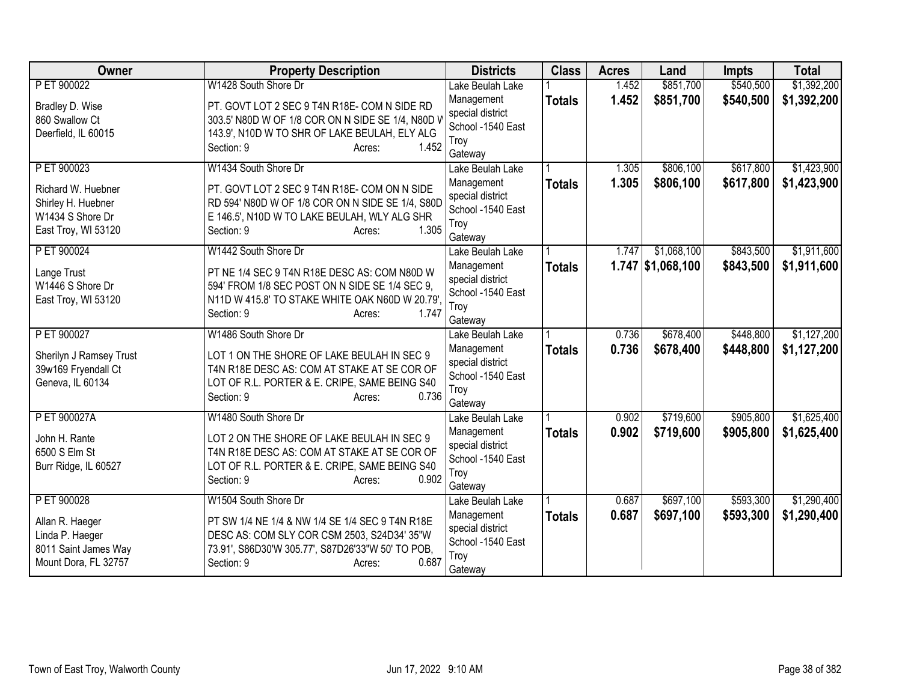| Owner                   | <b>Property Description</b>                                          | <b>Districts</b>                      | <b>Class</b>  | <b>Acres</b> | Land                | <b>Impts</b> | <b>Total</b> |
|-------------------------|----------------------------------------------------------------------|---------------------------------------|---------------|--------------|---------------------|--------------|--------------|
| P ET 900022             | W1428 South Shore Dr                                                 | Lake Beulah Lake                      |               | 1.452        | \$851,700           | \$540,500    | \$1,392,200  |
| Bradley D. Wise         | PT. GOVT LOT 2 SEC 9 T4N R18E- COM N SIDE RD                         | Management                            | <b>Totals</b> | 1.452        | \$851,700           | \$540,500    | \$1,392,200  |
| 860 Swallow Ct          | 303.5' N80D W OF 1/8 COR ON N SIDE SE 1/4, N80D V                    | special district                      |               |              |                     |              |              |
| Deerfield, IL 60015     | 143.9', N10D W TO SHR OF LAKE BEULAH, ELY ALG                        | School -1540 East                     |               |              |                     |              |              |
|                         | 1.452<br>Section: 9<br>Acres:                                        | Troy                                  |               |              |                     |              |              |
| P ET 900023             | W1434 South Shore Dr                                                 | Gateway<br>Lake Beulah Lake           |               | 1.305        | \$806,100           | \$617,800    | \$1,423,900  |
|                         |                                                                      | Management                            | <b>Totals</b> | 1.305        | \$806,100           | \$617,800    | \$1,423,900  |
| Richard W. Huebner      | PT. GOVT LOT 2 SEC 9 T4N R18E- COM ON N SIDE                         | special district                      |               |              |                     |              |              |
| Shirley H. Huebner      | RD 594' N80D W OF 1/8 COR ON N SIDE SE 1/4, S80D                     | School -1540 East                     |               |              |                     |              |              |
| W1434 S Shore Dr        | E 146.5', N10D W TO LAKE BEULAH, WLY ALG SHR                         | Troy                                  |               |              |                     |              |              |
| East Troy, WI 53120     | 1.305<br>Section: 9<br>Acres:                                        | Gateway                               |               |              |                     |              |              |
| P ET 900024             | W1442 South Shore Dr                                                 | Lake Beulah Lake                      |               | 1.747        | \$1,068,100         | \$843,500    | \$1,911,600  |
| Lange Trust             | PT NE 1/4 SEC 9 T4N R18E DESC AS: COM N80D W                         | Management                            | <b>Totals</b> |              | $1.747$ \$1,068,100 | \$843,500    | \$1,911,600  |
| W1446 S Shore Dr        | 594' FROM 1/8 SEC POST ON N SIDE SE 1/4 SEC 9.                       | special district                      |               |              |                     |              |              |
| East Troy, WI 53120     | N11D W 415.8' TO STAKE WHITE OAK N60D W 20.79'                       | School -1540 East                     |               |              |                     |              |              |
|                         | 1.747<br>Section: 9<br>Acres:                                        | Troy                                  |               |              |                     |              |              |
|                         |                                                                      | Gateway                               |               |              |                     |              |              |
| P ET 900027             | W1486 South Shore Dr                                                 | Lake Beulah Lake                      |               | 0.736        | \$678,400           | \$448,800    | \$1,127,200  |
| Sherilyn J Ramsey Trust | LOT 1 ON THE SHORE OF LAKE BEULAH IN SEC 9                           | Management                            | <b>Totals</b> | 0.736        | \$678,400           | \$448,800    | \$1,127,200  |
| 39w169 Fryendall Ct     | T4N R18E DESC AS: COM AT STAKE AT SE COR OF                          | special district<br>School -1540 East |               |              |                     |              |              |
| Geneva, IL 60134        | LOT OF R.L. PORTER & E. CRIPE, SAME BEING S40                        | Troy                                  |               |              |                     |              |              |
|                         | 0.736<br>Section: 9<br>Acres:                                        | Gateway                               |               |              |                     |              |              |
| P ET 900027A            | W1480 South Shore Dr                                                 | Lake Beulah Lake                      |               | 0.902        | \$719,600           | \$905,800    | \$1,625,400  |
|                         |                                                                      | Management                            | <b>Totals</b> | 0.902        | \$719,600           | \$905,800    | \$1,625,400  |
| John H. Rante           | LOT 2 ON THE SHORE OF LAKE BEULAH IN SEC 9                           | special district                      |               |              |                     |              |              |
| 6500 S Elm St           | T4N R18E DESC AS: COM AT STAKE AT SE COR OF                          | School -1540 East                     |               |              |                     |              |              |
| Burr Ridge, IL 60527    | LOT OF R.L. PORTER & E. CRIPE, SAME BEING S40<br>0.902<br>Section: 9 | Troy                                  |               |              |                     |              |              |
|                         | Acres:                                                               | Gateway                               |               |              |                     |              |              |
| P ET 900028             | W1504 South Shore Dr                                                 | Lake Beulah Lake                      |               | 0.687        | \$697,100           | \$593,300    | \$1,290,400  |
| Allan R. Haeger         | PT SW 1/4 NE 1/4 & NW 1/4 SE 1/4 SEC 9 T4N R18E                      | Management                            | <b>Totals</b> | 0.687        | \$697,100           | \$593,300    | \$1,290,400  |
| Linda P. Haeger         | DESC AS: COM SLY COR CSM 2503, S24D34' 35"W                          | special district                      |               |              |                     |              |              |
| 8011 Saint James Way    | 73.91', S86D30'W 305.77', S87D26'33"W 50' TO POB,                    | School -1540 East                     |               |              |                     |              |              |
| Mount Dora, FL 32757    | 0.687<br>Section: 9<br>Acres:                                        | Troy                                  |               |              |                     |              |              |
|                         |                                                                      | Gateway                               |               |              |                     |              |              |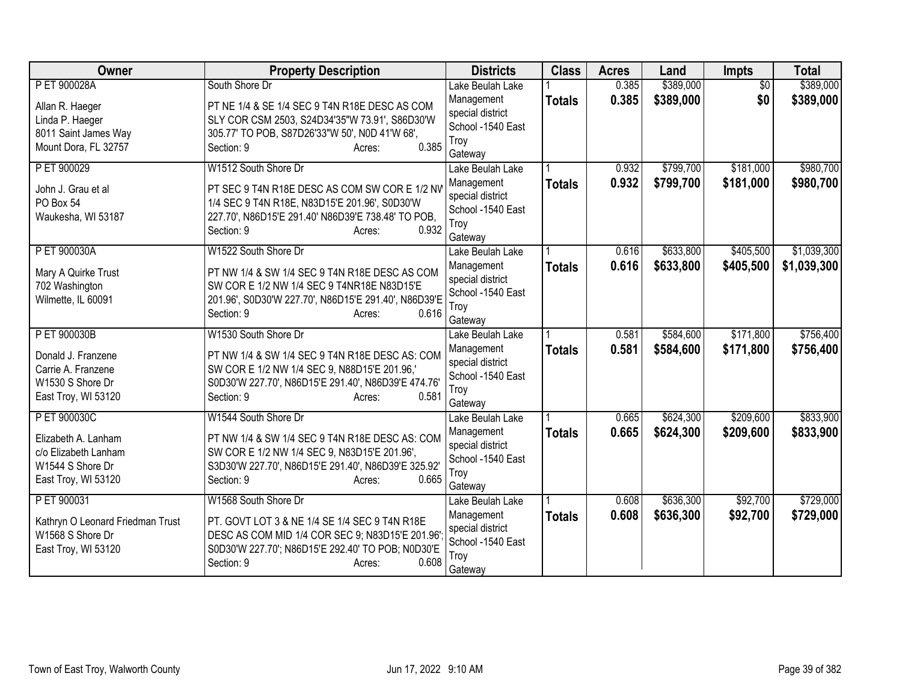| <b>Owner</b>                     | <b>Property Description</b>                          | <b>Districts</b>                      | <b>Class</b>  | <b>Acres</b> | Land      | <b>Impts</b>    | <b>Total</b> |
|----------------------------------|------------------------------------------------------|---------------------------------------|---------------|--------------|-----------|-----------------|--------------|
| P ET 900028A                     | South Shore Dr                                       | Lake Beulah Lake                      |               | 0.385        | \$389,000 | $\overline{50}$ | \$389,000    |
| Allan R. Haeger                  | PT NE 1/4 & SE 1/4 SEC 9 T4N R18E DESC AS COM        | Management                            | <b>Totals</b> | 0.385        | \$389,000 | \$0             | \$389,000    |
| Linda P. Haeger                  | SLY COR CSM 2503, S24D34'35"W 73.91', S86D30'W       | special district                      |               |              |           |                 |              |
| 8011 Saint James Way             | 305.77' TO POB, S87D26'33"W 50', N0D 41'W 68',       | School -1540 East<br>Troy             |               |              |           |                 |              |
| Mount Dora, FL 32757             | 0.385<br>Section: 9<br>Acres:                        | Gateway                               |               |              |           |                 |              |
| P ET 900029                      | W1512 South Shore Dr                                 | Lake Beulah Lake                      |               | 0.932        | \$799,700 | \$181,000       | \$980,700    |
|                                  | PT SEC 9 T4N R18E DESC AS COM SW COR E 1/2 NV        | Management                            | <b>Totals</b> | 0.932        | \$799,700 | \$181,000       | \$980,700    |
| John J. Grau et al<br>PO Box 54  | 1/4 SEC 9 T4N R18E, N83D15'E 201.96', S0D30'W        | special district                      |               |              |           |                 |              |
| Waukesha, WI 53187               | 227.70', N86D15'E 291.40' N86D39'E 738.48' TO POB,   | School -1540 East                     |               |              |           |                 |              |
|                                  | 0.932<br>Section: 9<br>Acres:                        | Troy                                  |               |              |           |                 |              |
|                                  |                                                      | Gateway                               |               |              |           |                 |              |
| P ET 900030A                     | W1522 South Shore Dr                                 | Lake Beulah Lake                      |               | 0.616        | \$633,800 | \$405,500       | \$1,039,300  |
| Mary A Quirke Trust              | PT NW 1/4 & SW 1/4 SEC 9 T4N R18E DESC AS COM        | Management                            | <b>Totals</b> | 0.616        | \$633,800 | \$405,500       | \$1,039,300  |
| 702 Washington                   | SW COR E 1/2 NW 1/4 SEC 9 T4NR18E N83D15'E           | special district<br>School -1540 East |               |              |           |                 |              |
| Wilmette, IL 60091               | 201.96', S0D30'W 227.70', N86D15'E 291.40', N86D39'E | Troy                                  |               |              |           |                 |              |
|                                  | 0.616<br>Section: 9<br>Acres:                        | Gateway                               |               |              |           |                 |              |
| P ET 900030B                     | W1530 South Shore Dr                                 | Lake Beulah Lake                      |               | 0.581        | \$584,600 | \$171,800       | \$756,400    |
| Donald J. Franzene               | PT NW 1/4 & SW 1/4 SEC 9 T4N R18E DESC AS: COM       | Management                            | <b>Totals</b> | 0.581        | \$584,600 | \$171,800       | \$756,400    |
| Carrie A. Franzene               | SW COR E 1/2 NW 1/4 SEC 9, N88D15'E 201.96,'         | special district                      |               |              |           |                 |              |
| W1530 S Shore Dr                 | S0D30'W 227.70', N86D15'E 291.40', N86D39'E 474.76'  | School -1540 East                     |               |              |           |                 |              |
| East Troy, WI 53120              | 0.581<br>Section: 9<br>Acres:                        | Troy                                  |               |              |           |                 |              |
|                                  |                                                      | Gateway                               |               |              |           |                 |              |
| P ET 900030C                     | W1544 South Shore Dr                                 | Lake Beulah Lake                      |               | 0.665        | \$624,300 | \$209,600       | \$833,900    |
| Elizabeth A. Lanham              | PT NW 1/4 & SW 1/4 SEC 9 T4N R18E DESC AS: COM       | Management<br>special district        | <b>Totals</b> | 0.665        | \$624,300 | \$209,600       | \$833,900    |
| c/o Elizabeth Lanham             | SW COR E 1/2 NW 1/4 SEC 9, N83D15'E 201.96',         | School -1540 East                     |               |              |           |                 |              |
| W1544 S Shore Dr                 | S3D30'W 227.70', N86D15'E 291.40', N86D39'E 325.92'  | Troy                                  |               |              |           |                 |              |
| East Troy, WI 53120              | 0.665<br>Section: 9<br>Acres:                        | Gateway                               |               |              |           |                 |              |
| P ET 900031                      | W1568 South Shore Dr                                 | Lake Beulah Lake                      |               | 0.608        | \$636,300 | \$92,700        | \$729,000    |
| Kathryn O Leonard Friedman Trust | PT. GOVT LOT 3 & NE 1/4 SE 1/4 SEC 9 T4N R18E        | Management                            | <b>Totals</b> | 0.608        | \$636,300 | \$92,700        | \$729,000    |
| W1568 S Shore Dr                 | DESC AS COM MID 1/4 COR SEC 9; N83D15'E 201.96'      | special district                      |               |              |           |                 |              |
| East Troy, WI 53120              | S0D30'W 227.70'; N86D15'E 292.40' TO POB; N0D30'E    | School -1540 East                     |               |              |           |                 |              |
|                                  | 0.608<br>Section: 9<br>Acres:                        | Troy                                  |               |              |           |                 |              |
|                                  |                                                      | Gateway                               |               |              |           |                 |              |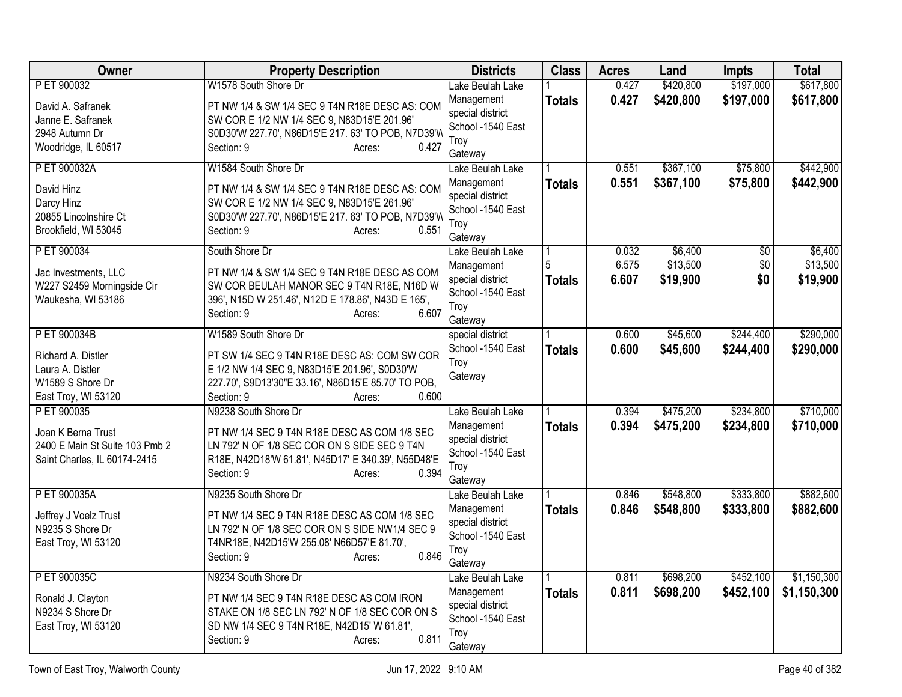| <b>Owner</b>                                     | <b>Property Description</b>                                                                      | <b>Districts</b>                      | <b>Class</b>  | <b>Acres</b> | Land      | <b>Impts</b>   | <b>Total</b> |
|--------------------------------------------------|--------------------------------------------------------------------------------------------------|---------------------------------------|---------------|--------------|-----------|----------------|--------------|
| P ET 900032                                      | W1578 South Shore Dr                                                                             | Lake Beulah Lake                      |               | 0.427        | \$420,800 | \$197,000      | \$617,800    |
| David A. Safranek                                | PT NW 1/4 & SW 1/4 SEC 9 T4N R18E DESC AS: COM                                                   | Management                            | <b>Totals</b> | 0.427        | \$420,800 | \$197,000      | \$617,800    |
| Janne E. Safranek                                | SW COR E 1/2 NW 1/4 SEC 9, N83D15'E 201.96'                                                      | special district                      |               |              |           |                |              |
| 2948 Autumn Dr                                   | S0D30'W 227.70', N86D15'E 217.63' TO POB, N7D39'W                                                | School -1540 East                     |               |              |           |                |              |
| Woodridge, IL 60517                              | Section: 9<br>0.427<br>Acres:                                                                    | Troy                                  |               |              |           |                |              |
| P ET 900032A                                     | W1584 South Shore Dr                                                                             | Gateway                               |               | 0.551        | \$367,100 | \$75,800       | \$442,900    |
|                                                  |                                                                                                  | Lake Beulah Lake<br>Management        |               | 0.551        |           |                |              |
| David Hinz                                       | PT NW 1/4 & SW 1/4 SEC 9 T4N R18E DESC AS: COM                                                   | special district                      | <b>Totals</b> |              | \$367,100 | \$75,800       | \$442,900    |
| Darcy Hinz                                       | SW COR E 1/2 NW 1/4 SEC 9, N83D15'E 261.96'                                                      | School -1540 East                     |               |              |           |                |              |
| 20855 Lincolnshire Ct                            | S0D30'W 227.70', N86D15'E 217.63' TO POB, N7D39'W                                                | Troy                                  |               |              |           |                |              |
| Brookfield, WI 53045                             | 0.551<br>Section: 9<br>Acres:                                                                    | Gateway                               |               |              |           |                |              |
| P ET 900034                                      | South Shore Dr                                                                                   | Lake Beulah Lake                      |               | 0.032        | \$6,400   | $\frac{1}{20}$ | \$6,400      |
|                                                  |                                                                                                  | Management                            |               | 6.575        | \$13,500  | \$0            | \$13,500     |
| Jac Investments, LLC                             | PT NW 1/4 & SW 1/4 SEC 9 T4N R18E DESC AS COM                                                    | special district                      | <b>Totals</b> | 6.607        | \$19,900  | \$0            | \$19,900     |
| W227 S2459 Morningside Cir<br>Waukesha, WI 53186 | SW COR BEULAH MANOR SEC 9 T4N R18E, N16D W<br>396', N15D W 251.46', N12D E 178.86', N43D E 165', | School -1540 East                     |               |              |           |                |              |
|                                                  | 6.607<br>Section: 9<br>Acres:                                                                    | Troy                                  |               |              |           |                |              |
|                                                  |                                                                                                  | Gateway                               |               |              |           |                |              |
| P ET 900034B                                     | W1589 South Shore Dr                                                                             | special district                      |               | 0.600        | \$45,600  | \$244,400      | \$290,000    |
| Richard A. Distler                               | PT SW 1/4 SEC 9 T4N R18E DESC AS: COM SW COR                                                     | School -1540 East                     | <b>Totals</b> | 0.600        | \$45,600  | \$244,400      | \$290,000    |
| Laura A. Distler                                 | E 1/2 NW 1/4 SEC 9, N83D15'E 201.96', S0D30'W                                                    | Troy                                  |               |              |           |                |              |
| W1589 S Shore Dr                                 | 227.70', S9D13'30"E 33.16', N86D15'E 85.70' TO POB,                                              | Gateway                               |               |              |           |                |              |
| East Troy, WI 53120                              | Section: 9<br>0.600<br>Acres:                                                                    |                                       |               |              |           |                |              |
| P ET 900035                                      | N9238 South Shore Dr                                                                             | Lake Beulah Lake                      |               | 0.394        | \$475,200 | \$234,800      | \$710,000    |
| Joan K Berna Trust                               | PT NW 1/4 SEC 9 T4N R18E DESC AS COM 1/8 SEC                                                     | Management                            | <b>Totals</b> | 0.394        | \$475,200 | \$234,800      | \$710,000    |
| 2400 E Main St Suite 103 Pmb 2                   | LN 792' N OF 1/8 SEC COR ON S SIDE SEC 9 T4N                                                     | special district                      |               |              |           |                |              |
| Saint Charles, IL 60174-2415                     | R18E, N42D18'W 61.81', N45D17' E 340.39', N55D48'E                                               | School -1540 East                     |               |              |           |                |              |
|                                                  | 0.394<br>Section: 9<br>Acres:                                                                    | Troy                                  |               |              |           |                |              |
|                                                  |                                                                                                  | Gateway                               |               |              |           |                |              |
| P ET 900035A                                     | N9235 South Shore Dr                                                                             | Lake Beulah Lake                      |               | 0.846        | \$548,800 | \$333,800      | \$882,600    |
| Jeffrey J Voelz Trust                            | PT NW 1/4 SEC 9 T4N R18E DESC AS COM 1/8 SEC                                                     | Management                            | <b>Totals</b> | 0.846        | \$548,800 | \$333,800      | \$882,600    |
| N9235 S Shore Dr                                 | LN 792' N OF 1/8 SEC COR ON S SIDE NW1/4 SEC 9                                                   | special district<br>School -1540 East |               |              |           |                |              |
| East Troy, WI 53120                              | T4NR18E, N42D15'W 255.08' N66D57'E 81.70',                                                       | Troy                                  |               |              |           |                |              |
|                                                  | 0.846<br>Section: 9<br>Acres:                                                                    | Gateway                               |               |              |           |                |              |
| P ET 900035C                                     | N9234 South Shore Dr                                                                             | Lake Beulah Lake                      |               | 0.811        | \$698,200 | \$452,100      | \$1,150,300  |
|                                                  |                                                                                                  | Management                            | <b>Totals</b> | 0.811        | \$698,200 | \$452,100      | \$1,150,300  |
| Ronald J. Clayton                                | PT NW 1/4 SEC 9 T4N R18E DESC AS COM IRON                                                        | special district                      |               |              |           |                |              |
| N9234 S Shore Dr                                 | STAKE ON 1/8 SEC LN 792' N OF 1/8 SEC COR ON S                                                   | School -1540 East                     |               |              |           |                |              |
| East Troy, WI 53120                              | SD NW 1/4 SEC 9 T4N R18E, N42D15' W 61.81',<br>0.811                                             | Troy                                  |               |              |           |                |              |
|                                                  | Section: 9<br>Acres:                                                                             | Gateway                               |               |              |           |                |              |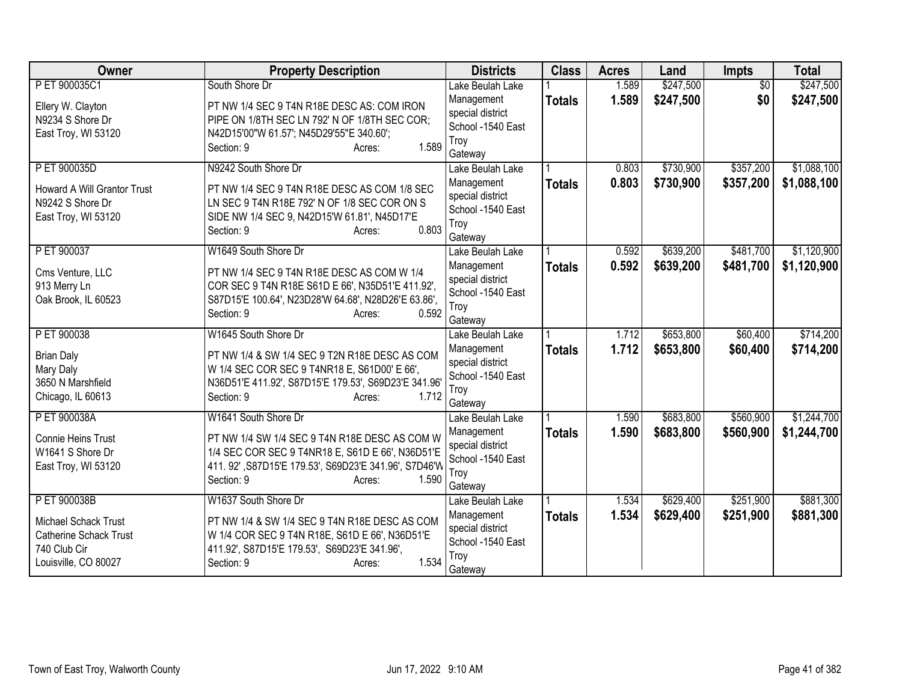| <b>Owner</b>                   | <b>Property Description</b>                                                                          | <b>Districts</b>                      | <b>Class</b>  | <b>Acres</b> | Land      | <b>Impts</b>    | <b>Total</b> |
|--------------------------------|------------------------------------------------------------------------------------------------------|---------------------------------------|---------------|--------------|-----------|-----------------|--------------|
| P ET 900035C1                  | South Shore Dr                                                                                       | Lake Beulah Lake                      |               | 1.589        | \$247,500 | $\overline{50}$ | \$247,500    |
| Ellery W. Clayton              | PT NW 1/4 SEC 9 T4N R18E DESC AS: COM IRON                                                           | Management                            | <b>Totals</b> | 1.589        | \$247,500 | \$0             | \$247,500    |
| N9234 S Shore Dr               | PIPE ON 1/8TH SEC LN 792' N OF 1/8TH SEC COR;                                                        | special district<br>School -1540 East |               |              |           |                 |              |
| East Troy, WI 53120            | N42D15'00"W 61.57'; N45D29'55"E 340.60';                                                             | Troy                                  |               |              |           |                 |              |
|                                | 1.589<br>Section: 9<br>Acres:                                                                        | Gateway                               |               |              |           |                 |              |
| P ET 900035D                   | N9242 South Shore Dr                                                                                 | Lake Beulah Lake                      |               | 0.803        | \$730,900 | \$357,200       | \$1,088,100  |
| Howard A Will Grantor Trust    | PT NW 1/4 SEC 9 T4N R18E DESC AS COM 1/8 SEC                                                         | Management                            | <b>Totals</b> | 0.803        | \$730,900 | \$357,200       | \$1,088,100  |
| N9242 S Shore Dr               | LN SEC 9 T4N R18E 792' N OF 1/8 SEC COR ON S                                                         | special district                      |               |              |           |                 |              |
| East Troy, WI 53120            | SIDE NW 1/4 SEC 9, N42D15'W 61.81', N45D17'E                                                         | School -1540 East                     |               |              |           |                 |              |
|                                | 0.803<br>Section: 9<br>Acres:                                                                        | Troy<br>Gateway                       |               |              |           |                 |              |
| P ET 900037                    | W1649 South Shore Dr                                                                                 | Lake Beulah Lake                      |               | 0.592        | \$639,200 | \$481,700       | \$1,120,900  |
| Cms Venture, LLC               | PT NW 1/4 SEC 9 T4N R18E DESC AS COM W 1/4                                                           | Management                            | <b>Totals</b> | 0.592        | \$639,200 | \$481,700       | \$1,120,900  |
| 913 Merry Ln                   | COR SEC 9 T4N R18E S61D E 66', N35D51'E 411.92',                                                     | special district                      |               |              |           |                 |              |
| Oak Brook, IL 60523            | S87D15'E 100.64', N23D28'W 64.68', N28D26'E 63.86',                                                  | School -1540 East                     |               |              |           |                 |              |
|                                | 0.592<br>Section: 9<br>Acres:                                                                        | Troy<br>Gateway                       |               |              |           |                 |              |
| P ET 900038                    | W1645 South Shore Dr                                                                                 | Lake Beulah Lake                      |               | 1.712        | \$653,800 | \$60,400        | \$714,200    |
|                                |                                                                                                      | Management                            | <b>Totals</b> | 1.712        | \$653,800 | \$60,400        | \$714,200    |
| <b>Brian Daly</b>              | PT NW 1/4 & SW 1/4 SEC 9 T2N R18E DESC AS COM                                                        | special district                      |               |              |           |                 |              |
| Mary Daly<br>3650 N Marshfield | W 1/4 SEC COR SEC 9 T4NR18 E, S61D00' E 66',<br>N36D51'E 411.92', S87D15'E 179.53', S69D23'E 341.96' | School -1540 East                     |               |              |           |                 |              |
| Chicago, IL 60613              | 1.712<br>Section: 9<br>Acres:                                                                        | Troy                                  |               |              |           |                 |              |
|                                |                                                                                                      | Gateway                               |               |              |           |                 |              |
| P ET 900038A                   | W1641 South Shore Dr                                                                                 | Lake Beulah Lake                      |               | 1.590        | \$683,800 | \$560,900       | \$1,244,700  |
| Connie Heins Trust             | PT NW 1/4 SW 1/4 SEC 9 T4N R18E DESC AS COM W                                                        | Management<br>special district        | <b>Totals</b> | 1.590        | \$683,800 | \$560,900       | \$1,244,700  |
| W1641 S Shore Dr               | 1/4 SEC COR SEC 9 T4NR18 E, S61D E 66', N36D51'E                                                     | School -1540 East                     |               |              |           |                 |              |
| East Troy, WI 53120            | 411. 92', S87D15'E 179.53', S69D23'E 341.96', S7D46'W                                                | Troy                                  |               |              |           |                 |              |
|                                | Section: 9<br>1.590<br>Acres:                                                                        | Gateway                               |               |              |           |                 |              |
| P ET 900038B                   | W1637 South Shore Dr                                                                                 | Lake Beulah Lake                      |               | 1.534        | \$629,400 | \$251,900       | \$881,300    |
| Michael Schack Trust           | PT NW 1/4 & SW 1/4 SEC 9 T4N R18E DESC AS COM                                                        | Management                            | <b>Totals</b> | 1.534        | \$629,400 | \$251,900       | \$881,300    |
| <b>Catherine Schack Trust</b>  | W 1/4 COR SEC 9 T4N R18E, S61D E 66', N36D51'E                                                       | special district                      |               |              |           |                 |              |
| 740 Club Cir                   | 411.92', S87D15'E 179.53', S69D23'E 341.96',                                                         | School -1540 East                     |               |              |           |                 |              |
| Louisville, CO 80027           | 1.534<br>Section: 9<br>Acres:                                                                        | Troy<br>Gateway                       |               |              |           |                 |              |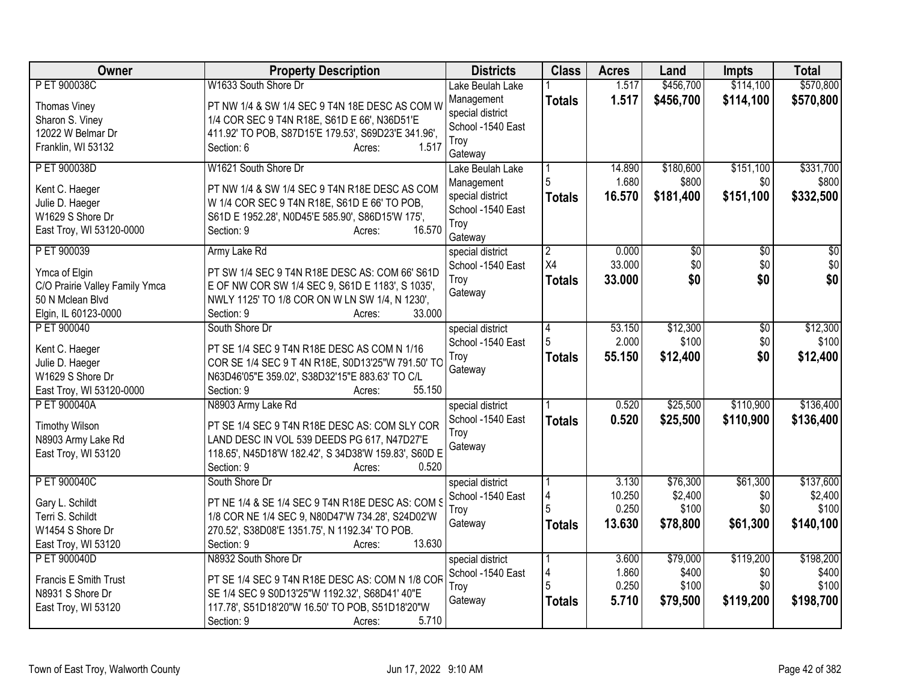| Owner                               | <b>Property Description</b>                                                                      | <b>Districts</b>            | <b>Class</b>   | <b>Acres</b> | Land            | <b>Impts</b>    | <b>Total</b>    |
|-------------------------------------|--------------------------------------------------------------------------------------------------|-----------------------------|----------------|--------------|-----------------|-----------------|-----------------|
| P ET 900038C                        | W1633 South Shore Dr                                                                             | Lake Beulah Lake            |                | 1.517        | \$456,700       | \$114,100       | \$570,800       |
| Thomas Viney                        | PT NW 1/4 & SW 1/4 SEC 9 T4N 18E DESC AS COM W                                                   | Management                  | <b>Totals</b>  | 1.517        | \$456,700       | \$114,100       | \$570,800       |
| Sharon S. Viney                     | 1/4 COR SEC 9 T4N R18E, S61D E 66', N36D51'E                                                     | special district            |                |              |                 |                 |                 |
| 12022 W Belmar Dr                   | 411.92' TO POB, S87D15'E 179.53', S69D23'E 341.96',                                              | School -1540 East           |                |              |                 |                 |                 |
| Franklin, WI 53132                  | 1.517<br>Section: 6<br>Acres:                                                                    | Troy                        |                |              |                 |                 |                 |
| P ET 900038D                        | W1621 South Shore Dr                                                                             | Gateway<br>Lake Beulah Lake |                | 14.890       | \$180,600       | \$151,100       | \$331,700       |
|                                     |                                                                                                  | Management                  |                | 1.680        | \$800           | \$0             | \$800           |
| Kent C. Haeger                      | PT NW 1/4 & SW 1/4 SEC 9 T4N R18E DESC AS COM                                                    | special district            | <b>Totals</b>  | 16.570       | \$181,400       | \$151,100       | \$332,500       |
| Julie D. Haeger<br>W1629 S Shore Dr | W 1/4 COR SEC 9 T4N R18E, S61D E 66' TO POB,<br>S61D E 1952.28', N0D45'E 585.90', S86D15'W 175', | School -1540 East           |                |              |                 |                 |                 |
| East Troy, WI 53120-0000            | 16.570<br>Section: 9<br>Acres:                                                                   | Troy                        |                |              |                 |                 |                 |
|                                     |                                                                                                  | Gateway                     |                |              |                 |                 |                 |
| P ET 900039                         | Army Lake Rd                                                                                     | special district            | $\overline{2}$ | 0.000        | $\overline{50}$ | \$0             | $\overline{50}$ |
| Ymca of Elgin                       | PT SW 1/4 SEC 9 T4N R18E DESC AS: COM 66' S61D                                                   | School -1540 East           | X4             | 33.000       | \$0             | \$0             | \$0             |
| C/O Prairie Valley Family Ymca      | E OF NW COR SW 1/4 SEC 9, S61D E 1183', S 1035',                                                 | Troy                        | Totals         | 33.000       | \$0             | \$0             | \$0             |
| 50 N Mclean Blvd                    | NWLY 1125' TO 1/8 COR ON W LN SW 1/4, N 1230',                                                   | Gateway                     |                |              |                 |                 |                 |
| Elgin, IL 60123-0000                | 33.000<br>Section: 9<br>Acres:                                                                   |                             |                |              |                 |                 |                 |
| P ET 900040                         | South Shore Dr                                                                                   | special district            | $\overline{4}$ | 53.150       | \$12,300        | $\overline{50}$ | \$12,300        |
|                                     | PT SE 1/4 SEC 9 T4N R18E DESC AS COM N 1/16                                                      | School -1540 East           | 5              | 2.000        | \$100           | \$0             | \$100           |
| Kent C. Haeger<br>Julie D. Haeger   | COR SE 1/4 SEC 9 T 4N R18E, S0D13'25"W 791.50' TC                                                | Troy                        | <b>Totals</b>  | 55.150       | \$12,400        | \$0             | \$12,400        |
| W1629 S Shore Dr                    | N63D46'05"E 359.02', S38D32'15"E 883.63' TO C/L                                                  | Gateway                     |                |              |                 |                 |                 |
| East Troy, WI 53120-0000            | 55.150<br>Section: 9<br>Acres:                                                                   |                             |                |              |                 |                 |                 |
| P ET 900040A                        | N8903 Army Lake Rd                                                                               | special district            |                | 0.520        | \$25,500        | \$110,900       | \$136,400       |
|                                     |                                                                                                  | School -1540 East           | <b>Totals</b>  | 0.520        | \$25,500        | \$110,900       | \$136,400       |
| <b>Timothy Wilson</b>               | PT SE 1/4 SEC 9 T4N R18E DESC AS: COM SLY COR                                                    | Troy                        |                |              |                 |                 |                 |
| N8903 Army Lake Rd                  | LAND DESC IN VOL 539 DEEDS PG 617, N47D27'E                                                      | Gateway                     |                |              |                 |                 |                 |
| East Troy, WI 53120                 | 118.65', N45D18'W 182.42', S 34D38'W 159.83', S60D E<br>0.520<br>Section: 9                      |                             |                |              |                 |                 |                 |
| P ET 900040C                        | Acres:<br>South Shore Dr                                                                         | special district            |                | 3.130        | \$76,300        | \$61,300        | \$137,600       |
|                                     |                                                                                                  | School -1540 East           |                | 10.250       | \$2,400         | \$0             | \$2,400         |
| Gary L. Schildt                     | PT NE 1/4 & SE 1/4 SEC 9 T4N R18E DESC AS: COM S                                                 | Troy                        |                | 0.250        | \$100           | \$0             | \$100           |
| Terri S. Schildt                    | 1/8 COR NE 1/4 SEC 9, N80D47'W 734.28', S24D02'W                                                 | Gateway                     | Totals         | 13.630       | \$78,800        | \$61,300        | \$140,100       |
| W1454 S Shore Dr                    | 270.52', S38D08'E 1351.75', N 1192.34' TO POB.                                                   |                             |                |              |                 |                 |                 |
| East Troy, WI 53120                 | 13.630<br>Section: 9<br>Acres:                                                                   |                             |                |              |                 |                 |                 |
| P ET 900040D                        | N8932 South Shore Dr                                                                             | special district            |                | 3.600        | \$79,000        | \$119,200       | \$198,200       |
| Francis E Smith Trust               | PT SE 1/4 SEC 9 T4N R18E DESC AS: COM N 1/8 COR                                                  | School -1540 East           | 4              | 1.860        | \$400           | \$0             | \$400           |
| N8931 S Shore Dr                    | SE 1/4 SEC 9 S0D13'25"W 1192.32', S68D41' 40"E                                                   | Troy                        | 5              | 0.250        | \$100           | \$0             | \$100           |
| East Troy, WI 53120                 | 117.78', S51D18'20"W 16.50' TO POB, S51D18'20"W                                                  | Gateway                     | <b>Totals</b>  | 5.710        | \$79,500        | \$119,200       | \$198,700       |
|                                     | 5.710<br>Section: 9<br>Acres:                                                                    |                             |                |              |                 |                 |                 |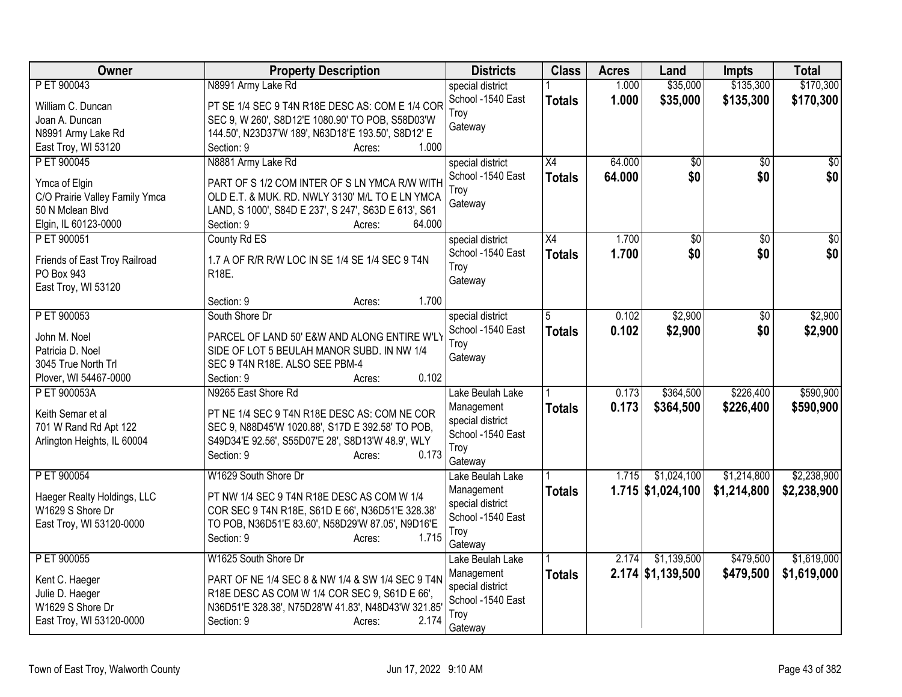| Owner                             | <b>Property Description</b>                          | <b>Districts</b>  | <b>Class</b>    | <b>Acres</b> | Land                | <b>Impts</b> | <b>Total</b>    |
|-----------------------------------|------------------------------------------------------|-------------------|-----------------|--------------|---------------------|--------------|-----------------|
| P ET 900043                       | N8991 Army Lake Rd                                   | special district  |                 | 1.000        | \$35,000            | \$135,300    | \$170,300       |
| William C. Duncan                 | PT SE 1/4 SEC 9 T4N R18E DESC AS: COM E 1/4 COR      | School -1540 East | <b>Totals</b>   | 1.000        | \$35,000            | \$135,300    | \$170,300       |
| Joan A. Duncan                    | SEC 9, W 260', S8D12'E 1080.90' TO POB, S58D03'W     | Trov              |                 |              |                     |              |                 |
| N8991 Army Lake Rd                | 144.50', N23D37'W 189', N63D18'E 193.50', S8D12' E   | Gateway           |                 |              |                     |              |                 |
| East Troy, WI 53120               | Section: 9<br>1.000<br>Acres:                        |                   |                 |              |                     |              |                 |
| P ET 900045                       | N8881 Army Lake Rd                                   | special district  | $\overline{X4}$ | 64.000       | \$0                 | \$0          | $\overline{50}$ |
|                                   |                                                      | School -1540 East | <b>Totals</b>   | 64.000       | \$0                 | \$0          | \$0             |
| Ymca of Elgin                     | PART OF S 1/2 COM INTER OF S LN YMCA R/W WITH        | Troy              |                 |              |                     |              |                 |
| C/O Prairie Valley Family Ymca    | OLD E.T. & MUK. RD. NWLY 3130' M/L TO E LN YMCA      | Gateway           |                 |              |                     |              |                 |
| 50 N Mclean Blvd                  | LAND, S 1000', S84D E 237', S 247', S63D E 613', S61 |                   |                 |              |                     |              |                 |
| Elgin, IL 60123-0000              | Section: 9<br>64.000<br>Acres:                       |                   |                 |              |                     |              |                 |
| P ET 900051                       | County Rd ES                                         | special district  | X4              | 1.700        | \$0                 | \$0          | $\overline{50}$ |
| Friends of East Troy Railroad     | 1.7 A OF R/R R/W LOC IN SE 1/4 SE 1/4 SEC 9 T4N      | School -1540 East | <b>Totals</b>   | 1.700        | \$0                 | \$0          | \$0             |
| PO Box 943                        | R18E.                                                | Troy              |                 |              |                     |              |                 |
| East Troy, WI 53120               |                                                      | Gateway           |                 |              |                     |              |                 |
|                                   | 1.700<br>Section: 9<br>Acres:                        |                   |                 |              |                     |              |                 |
| P ET 900053                       | South Shore Dr                                       | special district  | 5               | 0.102        | \$2,900             | \$0          | \$2,900         |
| John M. Noel                      | PARCEL OF LAND 50' E&W AND ALONG ENTIRE W'LY         | School -1540 East | <b>Totals</b>   | 0.102        | \$2,900             | \$0          | \$2,900         |
| Patricia D. Noel                  | SIDE OF LOT 5 BEULAH MANOR SUBD. IN NW 1/4           | Troy              |                 |              |                     |              |                 |
| 3045 True North Trl               | SEC 9 T4N R18E. ALSO SEE PBM-4                       | Gateway           |                 |              |                     |              |                 |
| Plover, WI 54467-0000             | 0.102<br>Section: 9<br>Acres:                        |                   |                 |              |                     |              |                 |
| P ET 900053A                      | N9265 East Shore Rd                                  | Lake Beulah Lake  |                 | 0.173        | \$364,500           | \$226,400    | \$590,900       |
|                                   |                                                      | Management        |                 | 0.173        | \$364,500           | \$226,400    | \$590,900       |
| Keith Semar et al                 | PT NE 1/4 SEC 9 T4N R18E DESC AS: COM NE COR         | special district  | <b>Totals</b>   |              |                     |              |                 |
| 701 W Rand Rd Apt 122             | SEC 9, N88D45'W 1020.88', S17D E 392.58' TO POB,     | School -1540 East |                 |              |                     |              |                 |
| Arlington Heights, IL 60004       | S49D34'E 92.56', S55D07'E 28', S8D13'W 48.9', WLY    | Troy              |                 |              |                     |              |                 |
|                                   | 0.173<br>Section: 9<br>Acres:                        | Gateway           |                 |              |                     |              |                 |
| P ET 900054                       | W1629 South Shore Dr                                 | Lake Beulah Lake  |                 | 1.715        | \$1,024,100         | \$1,214,800  | \$2,238,900     |
|                                   |                                                      | Management        | <b>Totals</b>   |              | $1.715$ \$1,024,100 | \$1,214,800  | \$2,238,900     |
| Haeger Realty Holdings, LLC       | PT NW 1/4 SEC 9 T4N R18E DESC AS COM W 1/4           | special district  |                 |              |                     |              |                 |
| W1629 S Shore Dr                  | COR SEC 9 T4N R18E, S61D E 66', N36D51'E 328.38'     | School -1540 East |                 |              |                     |              |                 |
| East Troy, WI 53120-0000          | TO POB, N36D51'E 83.60', N58D29'W 87.05', N9D16'E    | Troy              |                 |              |                     |              |                 |
|                                   | 1.715<br>Section: 9<br>Acres:                        | Gateway           |                 |              |                     |              |                 |
| P ET 900055                       | W1625 South Shore Dr                                 | Lake Beulah Lake  |                 | 2.174        | \$1,139,500         | \$479,500    | \$1,619,000     |
|                                   | PART OF NE 1/4 SEC 8 & NW 1/4 & SW 1/4 SEC 9 T4N     | Management        | <b>Totals</b>   |              | $2.174$ \$1,139,500 | \$479,500    | \$1,619,000     |
| Kent C. Haeger<br>Julie D. Haeger | R18E DESC AS COM W 1/4 COR SEC 9, S61D E 66',        | special district  |                 |              |                     |              |                 |
| W1629 S Shore Dr                  | N36D51'E 328.38', N75D28'W 41.83', N48D43'W 321.85'  | School -1540 East |                 |              |                     |              |                 |
| East Troy, WI 53120-0000          | Section: 9<br>2.174<br>Acres:                        | Trov              |                 |              |                     |              |                 |
|                                   |                                                      | Gateway           |                 |              |                     |              |                 |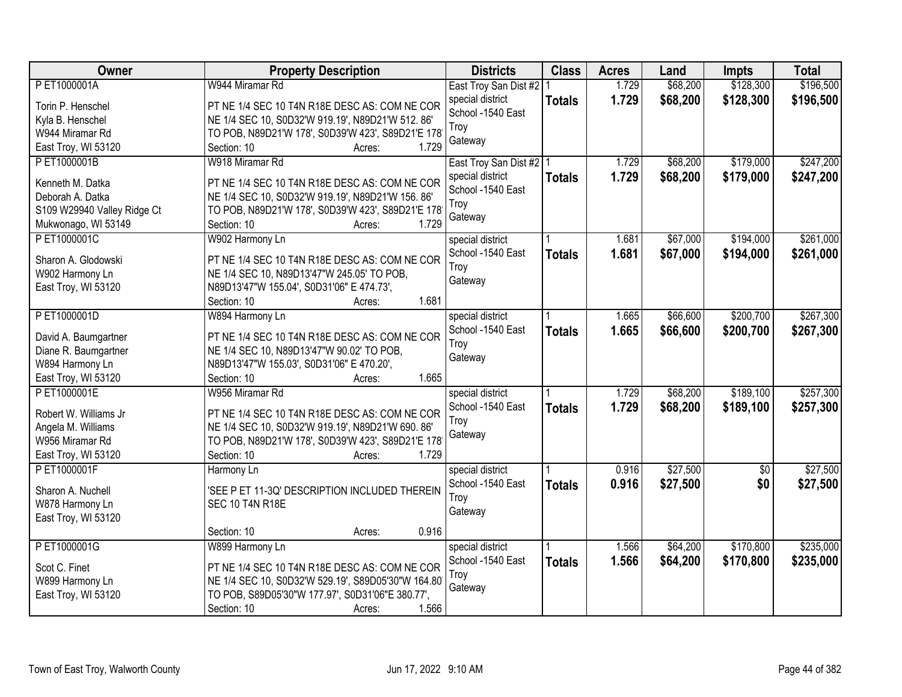| Owner                                   | <b>Property Description</b>                                       | <b>Districts</b>          | <b>Class</b>  | <b>Acres</b> | Land     | <b>Impts</b>    | <b>Total</b> |
|-----------------------------------------|-------------------------------------------------------------------|---------------------------|---------------|--------------|----------|-----------------|--------------|
| P ET1000001A                            | W944 Miramar Rd                                                   | East Troy San Dist #2     |               | 1.729        | \$68,200 | \$128,300       | \$196,500    |
| Torin P. Henschel                       | PT NE 1/4 SEC 10 T4N R18E DESC AS: COM NE COR                     | special district          | <b>Totals</b> | 1.729        | \$68,200 | \$128,300       | \$196,500    |
| Kyla B. Henschel                        | NE 1/4 SEC 10, S0D32'W 919.19', N89D21'W 512.86'                  | School -1540 East         |               |              |          |                 |              |
| W944 Miramar Rd                         | TO POB, N89D21'W 178', S0D39'W 423', S89D21'E 178                 | Troy                      |               |              |          |                 |              |
| East Troy, WI 53120                     | 1.729<br>Section: 10<br>Acres:                                    | Gateway                   |               |              |          |                 |              |
| PET1000001B                             | W918 Miramar Rd                                                   | East Troy San Dist #2   1 |               | 1.729        | \$68,200 | \$179,000       | \$247,200    |
|                                         |                                                                   | special district          | <b>Totals</b> | 1.729        | \$68,200 | \$179,000       | \$247,200    |
| Kenneth M. Datka                        | PT NE 1/4 SEC 10 T4N R18E DESC AS: COM NE COR                     | School -1540 East         |               |              |          |                 |              |
| Deborah A. Datka                        | NE 1/4 SEC 10, S0D32'W 919.19', N89D21'W 156.86'                  | Trov                      |               |              |          |                 |              |
| S109 W29940 Valley Ridge Ct             | TO POB, N89D21'W 178', S0D39'W 423', S89D21'E 178<br>1.729        | Gateway                   |               |              |          |                 |              |
| Mukwonago, WI 53149                     | Section: 10<br>Acres:                                             |                           |               |              |          | \$194,000       |              |
| PET1000001C                             | W902 Harmony Ln                                                   | special district          |               | 1.681        | \$67,000 |                 | \$261,000    |
| Sharon A. Glodowski                     | PT NE 1/4 SEC 10 T4N R18E DESC AS: COM NE COR                     | School -1540 East         | <b>Totals</b> | 1.681        | \$67,000 | \$194,000       | \$261,000    |
| W902 Harmony Ln                         | NE 1/4 SEC 10, N89D13'47"W 245.05' TO POB,                        | Troy                      |               |              |          |                 |              |
| East Troy, WI 53120                     | N89D13'47"W 155.04', S0D31'06" E 474.73',                         | Gateway                   |               |              |          |                 |              |
|                                         | 1.681<br>Section: 10<br>Acres:                                    |                           |               |              |          |                 |              |
| PET1000001D                             | W894 Harmony Ln                                                   | special district          |               | 1.665        | \$66,600 | \$200,700       | \$267,300    |
|                                         |                                                                   | School -1540 East         | <b>Totals</b> | 1.665        | \$66,600 | \$200,700       | \$267,300    |
| David A. Baumgartner                    | PT NE 1/4 SEC 10 T4N R18E DESC AS: COM NE COR                     | Troy                      |               |              |          |                 |              |
| Diane R. Baumgartner<br>W894 Harmony Ln | NE 1/4 SEC 10, N89D13'47"W 90.02' TO POB,                         | Gateway                   |               |              |          |                 |              |
|                                         | N89D13'47"W 155.03', S0D31'06" E 470.20',<br>1.665<br>Section: 10 |                           |               |              |          |                 |              |
| East Troy, WI 53120<br>PET1000001E      | Acres:<br>W956 Miramar Rd                                         |                           |               | 1.729        | \$68,200 | \$189,100       | \$257,300    |
|                                         |                                                                   | special district          |               |              |          |                 |              |
| Robert W. Williams Jr                   | PT NE 1/4 SEC 10 T4N R18E DESC AS: COM NE COR                     | School -1540 East         | <b>Totals</b> | 1.729        | \$68,200 | \$189,100       | \$257,300    |
| Angela M. Williams                      | NE 1/4 SEC 10, S0D32'W 919.19', N89D21'W 690. 86'                 | Troy                      |               |              |          |                 |              |
| W956 Miramar Rd                         | TO POB, N89D21'W 178', S0D39'W 423', S89D21'E 178'                | Gateway                   |               |              |          |                 |              |
| East Troy, WI 53120                     | 1.729<br>Section: 10<br>Acres:                                    |                           |               |              |          |                 |              |
| PET1000001F                             | Harmony Ln                                                        | special district          |               | 0.916        | \$27,500 | $\overline{50}$ | \$27,500     |
| Sharon A. Nuchell                       | 'SEE P ET 11-3Q' DESCRIPTION INCLUDED THEREIN                     | School -1540 East         | <b>Totals</b> | 0.916        | \$27,500 | \$0             | \$27,500     |
| W878 Harmony Ln                         | <b>SEC 10 T4N R18E</b>                                            | Troy                      |               |              |          |                 |              |
|                                         |                                                                   | Gateway                   |               |              |          |                 |              |
| East Troy, WI 53120                     | 0.916<br>Section: 10                                              |                           |               |              |          |                 |              |
| PET1000001G                             | Acres:<br>W899 Harmony Ln                                         | special district          |               | 1.566        | \$64,200 | \$170,800       | \$235,000    |
|                                         |                                                                   | School -1540 East         |               |              |          |                 |              |
| Scot C. Finet                           | PT NE 1/4 SEC 10 T4N R18E DESC AS: COM NE COR                     |                           | <b>Totals</b> | 1.566        | \$64,200 | \$170,800       | \$235,000    |
| W899 Harmony Ln                         | NE 1/4 SEC 10, S0D32'W 529.19', S89D05'30"W 164.80                | Troy                      |               |              |          |                 |              |
| East Troy, WI 53120                     | TO POB, S89D05'30"W 177.97', S0D31'06"E 380.77',                  | Gateway                   |               |              |          |                 |              |
|                                         | 1.566<br>Section: 10<br>Acres:                                    |                           |               |              |          |                 |              |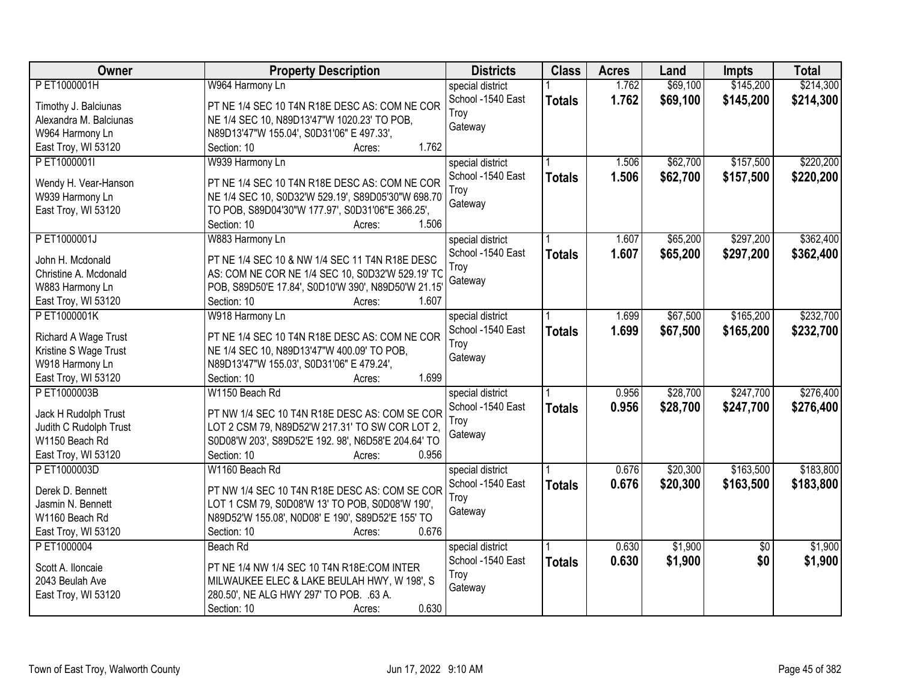| <b>Owner</b>           | <b>Property Description</b>                         | <b>Districts</b>  | <b>Class</b>  | <b>Acres</b> | Land     | <b>Impts</b>    | <b>Total</b> |
|------------------------|-----------------------------------------------------|-------------------|---------------|--------------|----------|-----------------|--------------|
| PET1000001H            | W964 Harmony Ln                                     | special district  |               | 1.762        | \$69,100 | \$145,200       | \$214,300    |
| Timothy J. Balciunas   | PT NE 1/4 SEC 10 T4N R18E DESC AS: COM NE COR       | School -1540 East | <b>Totals</b> | 1.762        | \$69,100 | \$145,200       | \$214,300    |
| Alexandra M. Balciunas | NE 1/4 SEC 10, N89D13'47"W 1020.23' TO POB,         | Troy              |               |              |          |                 |              |
| W964 Harmony Ln        | N89D13'47"W 155.04', S0D31'06" E 497.33',           | Gateway           |               |              |          |                 |              |
| East Troy, WI 53120    | 1.762<br>Section: 10<br>Acres:                      |                   |               |              |          |                 |              |
| PET1000001I            | W939 Harmony Ln                                     | special district  |               | 1.506        | \$62,700 | \$157,500       | \$220,200    |
|                        |                                                     | School -1540 East | <b>Totals</b> | 1.506        | \$62,700 | \$157,500       | \$220,200    |
| Wendy H. Vear-Hanson   | PT NE 1/4 SEC 10 T4N R18E DESC AS: COM NE COR       | Troy              |               |              |          |                 |              |
| W939 Harmony Ln        | NE 1/4 SEC 10, S0D32'W 529.19', S89D05'30"W 698.70  | Gateway           |               |              |          |                 |              |
| East Troy, WI 53120    | TO POB, S89D04'30"W 177.97', S0D31'06"E 366.25',    |                   |               |              |          |                 |              |
|                        | 1.506<br>Section: 10<br>Acres:                      |                   |               |              |          |                 |              |
| P ET1000001J           | W883 Harmony Ln                                     | special district  |               | 1.607        | \$65,200 | \$297,200       | \$362,400    |
| John H. Mcdonald       | PT NE 1/4 SEC 10 & NW 1/4 SEC 11 T4N R18E DESC      | School -1540 East | <b>Totals</b> | 1.607        | \$65,200 | \$297,200       | \$362,400    |
| Christine A. Mcdonald  | AS: COM NE COR NE 1/4 SEC 10, S0D32'W 529.19' TC    | Troy              |               |              |          |                 |              |
| W883 Harmony Ln        | POB, S89D50'E 17.84', S0D10'W 390', N89D50'W 21.15' | Gateway           |               |              |          |                 |              |
| East Troy, WI 53120    | Section: 10<br>1.607<br>Acres:                      |                   |               |              |          |                 |              |
| PET1000001K            | W918 Harmony Ln                                     | special district  |               | 1.699        | \$67,500 | \$165,200       | \$232,700    |
|                        |                                                     | School -1540 East | <b>Totals</b> | 1.699        | \$67,500 | \$165,200       | \$232,700    |
| Richard A Wage Trust   | PT NE 1/4 SEC 10 T4N R18E DESC AS: COM NE COR       | Troy              |               |              |          |                 |              |
| Kristine S Wage Trust  | NE 1/4 SEC 10, N89D13'47"W 400.09' TO POB,          | Gateway           |               |              |          |                 |              |
| W918 Harmony Ln        | N89D13'47"W 155.03', S0D31'06" E 479.24',           |                   |               |              |          |                 |              |
| East Troy, WI 53120    | 1.699<br>Section: 10<br>Acres:                      |                   |               |              |          |                 |              |
| PET1000003B            | W1150 Beach Rd                                      | special district  |               | 0.956        | \$28,700 | \$247,700       | \$276,400    |
| Jack H Rudolph Trust   | PT NW 1/4 SEC 10 T4N R18E DESC AS: COM SE COR       | School -1540 East | <b>Totals</b> | 0.956        | \$28,700 | \$247,700       | \$276,400    |
| Judith C Rudolph Trust | LOT 2 CSM 79, N89D52'W 217.31' TO SW COR LOT 2,     | Troy              |               |              |          |                 |              |
| W1150 Beach Rd         | S0D08'W 203', S89D52'E 192. 98', N6D58'E 204.64' TO | Gateway           |               |              |          |                 |              |
| East Troy, WI 53120    | 0.956<br>Section: 10<br>Acres:                      |                   |               |              |          |                 |              |
| PET1000003D            | W1160 Beach Rd                                      | special district  |               | 0.676        | \$20,300 | \$163,500       | \$183,800    |
|                        |                                                     | School -1540 East | <b>Totals</b> | 0.676        | \$20,300 | \$163,500       | \$183,800    |
| Derek D. Bennett       | PT NW 1/4 SEC 10 T4N R18E DESC AS: COM SE COR       | Troy              |               |              |          |                 |              |
| Jasmin N. Bennett      | LOT 1 CSM 79, S0D08'W 13' TO POB, S0D08'W 190',     | Gateway           |               |              |          |                 |              |
| W1160 Beach Rd         | N89D52'W 155.08', N0D08' E 190', S89D52'E 155' TO   |                   |               |              |          |                 |              |
| East Troy, WI 53120    | 0.676<br>Section: 10<br>Acres:                      |                   |               |              |          |                 |              |
| P ET1000004            | Beach Rd                                            | special district  |               | 0.630        | \$1,900  | $\overline{50}$ | \$1,900      |
| Scott A. Iloncaie      | PT NE 1/4 NW 1/4 SEC 10 T4N R18E:COM INTER          | School -1540 East | <b>Totals</b> | 0.630        | \$1,900  | \$0             | \$1,900      |
| 2043 Beulah Ave        | MILWAUKEE ELEC & LAKE BEULAH HWY, W 198', S         | Troy              |               |              |          |                 |              |
| East Troy, WI 53120    | 280.50', NE ALG HWY 297' TO POB. .63 A.             | Gateway           |               |              |          |                 |              |
|                        | 0.630<br>Section: 10<br>Acres:                      |                   |               |              |          |                 |              |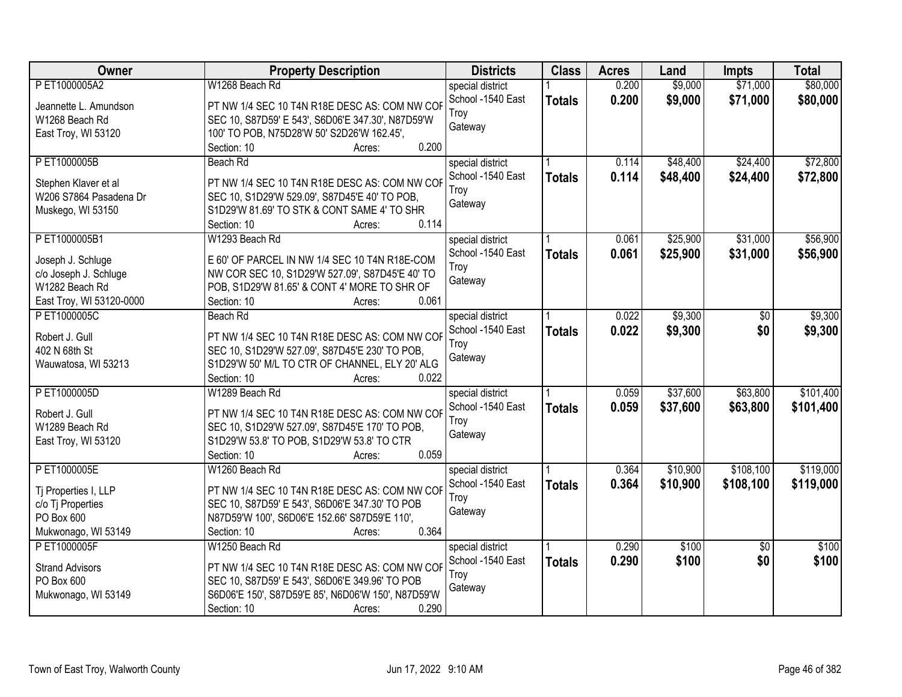| \$9,000<br>\$71,000<br>\$80,000<br>PET1000005A2<br>W1268 Beach Rd<br>0.200<br>special district<br>School -1540 East<br>0.200<br>\$9,000<br>\$71,000<br>\$80,000<br><b>Totals</b><br>PT NW 1/4 SEC 10 T4N R18E DESC AS: COM NW COP<br>Jeannette L. Amundson<br>Trov<br>SEC 10, S87D59' E 543', S6D06'E 347.30', N87D59'W<br>W1268 Beach Rd<br>Gateway<br>100' TO POB, N75D28'W 50' S2D26'W 162.45',<br>East Troy, WI 53120<br>0.200<br>Section: 10<br>Acres:<br>\$48,400<br>\$24,400<br>\$72,800<br>P ET1000005B<br>0.114<br>Beach Rd<br>special district<br>School -1540 East<br>0.114<br>\$48,400<br>\$24,400<br>\$72,800<br><b>Totals</b><br>PT NW 1/4 SEC 10 T4N R18E DESC AS: COM NW COF<br>Stephen Klaver et al<br>Troy |
|------------------------------------------------------------------------------------------------------------------------------------------------------------------------------------------------------------------------------------------------------------------------------------------------------------------------------------------------------------------------------------------------------------------------------------------------------------------------------------------------------------------------------------------------------------------------------------------------------------------------------------------------------------------------------------------------------------------------------|
|                                                                                                                                                                                                                                                                                                                                                                                                                                                                                                                                                                                                                                                                                                                              |
|                                                                                                                                                                                                                                                                                                                                                                                                                                                                                                                                                                                                                                                                                                                              |
|                                                                                                                                                                                                                                                                                                                                                                                                                                                                                                                                                                                                                                                                                                                              |
|                                                                                                                                                                                                                                                                                                                                                                                                                                                                                                                                                                                                                                                                                                                              |
|                                                                                                                                                                                                                                                                                                                                                                                                                                                                                                                                                                                                                                                                                                                              |
|                                                                                                                                                                                                                                                                                                                                                                                                                                                                                                                                                                                                                                                                                                                              |
|                                                                                                                                                                                                                                                                                                                                                                                                                                                                                                                                                                                                                                                                                                                              |
|                                                                                                                                                                                                                                                                                                                                                                                                                                                                                                                                                                                                                                                                                                                              |
| SEC 10, S1D29'W 529.09', S87D45'E 40' TO POB,<br>W206 S7864 Pasadena Dr<br>Gateway                                                                                                                                                                                                                                                                                                                                                                                                                                                                                                                                                                                                                                           |
| Muskego, WI 53150<br>S1D29'W 81.69' TO STK & CONT SAME 4' TO SHR                                                                                                                                                                                                                                                                                                                                                                                                                                                                                                                                                                                                                                                             |
| 0.114<br>Section: 10<br>Acres:                                                                                                                                                                                                                                                                                                                                                                                                                                                                                                                                                                                                                                                                                               |
| \$31,000<br>PET1000005B1<br>\$25,900<br>\$56,900<br>W1293 Beach Rd<br>special district<br>0.061                                                                                                                                                                                                                                                                                                                                                                                                                                                                                                                                                                                                                              |
| School -1540 East<br>\$31,000<br>0.061<br>\$25,900<br>\$56,900<br><b>Totals</b><br>E 60' OF PARCEL IN NW 1/4 SEC 10 T4N R18E-COM<br>Joseph J. Schluge                                                                                                                                                                                                                                                                                                                                                                                                                                                                                                                                                                        |
| Troy<br>NW COR SEC 10, S1D29'W 527.09', S87D45'E 40' TO<br>c/o Joseph J. Schluge                                                                                                                                                                                                                                                                                                                                                                                                                                                                                                                                                                                                                                             |
| Gateway<br>W1282 Beach Rd<br>POB, S1D29'W 81.65' & CONT 4' MORE TO SHR OF                                                                                                                                                                                                                                                                                                                                                                                                                                                                                                                                                                                                                                                    |
| 0.061<br>East Troy, WI 53120-0000<br>Section: 10<br>Acres:                                                                                                                                                                                                                                                                                                                                                                                                                                                                                                                                                                                                                                                                   |
| \$9,300<br>PET1000005C<br>\$9,300<br>Beach Rd<br>special district<br>0.022<br>\$0                                                                                                                                                                                                                                                                                                                                                                                                                                                                                                                                                                                                                                            |
| School -1540 East<br>0.022<br>\$9,300<br>\$0<br>\$9,300                                                                                                                                                                                                                                                                                                                                                                                                                                                                                                                                                                                                                                                                      |
| <b>Totals</b><br>Robert J. Gull<br>PT NW 1/4 SEC 10 T4N R18E DESC AS: COM NW COF<br>Troy                                                                                                                                                                                                                                                                                                                                                                                                                                                                                                                                                                                                                                     |
| 402 N 68th St<br>SEC 10, S1D29'W 527.09', S87D45'E 230' TO POB,<br>Gateway                                                                                                                                                                                                                                                                                                                                                                                                                                                                                                                                                                                                                                                   |
| S1D29'W 50' M/L TO CTR OF CHANNEL, ELY 20' ALG<br>Wauwatosa, WI 53213                                                                                                                                                                                                                                                                                                                                                                                                                                                                                                                                                                                                                                                        |
| Section: 10<br>0.022<br>Acres:                                                                                                                                                                                                                                                                                                                                                                                                                                                                                                                                                                                                                                                                                               |
| \$101,400<br>PET1000005D<br>\$37,600<br>\$63,800<br>W1289 Beach Rd<br>0.059<br>special district                                                                                                                                                                                                                                                                                                                                                                                                                                                                                                                                                                                                                              |
| 0.059<br>School -1540 East<br>\$37,600<br>\$63,800<br>\$101,400<br><b>Totals</b><br>Robert J. Gull<br>PT NW 1/4 SEC 10 T4N R18E DESC AS: COM NW COF                                                                                                                                                                                                                                                                                                                                                                                                                                                                                                                                                                          |
| Troy<br>W1289 Beach Rd<br>SEC 10, S1D29'W 527.09', S87D45'E 170' TO POB,                                                                                                                                                                                                                                                                                                                                                                                                                                                                                                                                                                                                                                                     |
| Gateway<br>East Troy, WI 53120<br>S1D29'W 53.8' TO POB, S1D29'W 53.8' TO CTR                                                                                                                                                                                                                                                                                                                                                                                                                                                                                                                                                                                                                                                 |
| 0.059<br>Section: 10<br>Acres:                                                                                                                                                                                                                                                                                                                                                                                                                                                                                                                                                                                                                                                                                               |
| \$10,900<br>\$108,100<br>\$119,000<br>PET1000005E<br>W1260 Beach Rd<br>0.364<br>special district                                                                                                                                                                                                                                                                                                                                                                                                                                                                                                                                                                                                                             |
| \$10,900<br>\$108,100<br>\$119,000<br>School -1540 East<br>0.364                                                                                                                                                                                                                                                                                                                                                                                                                                                                                                                                                                                                                                                             |
| <b>Totals</b><br>PT NW 1/4 SEC 10 T4N R18E DESC AS: COM NW COF<br>Tj Properties I, LLP<br>Troy                                                                                                                                                                                                                                                                                                                                                                                                                                                                                                                                                                                                                               |
| SEC 10, S87D59' E 543', S6D06'E 347.30' TO POB<br>c/o Tj Properties<br>Gateway                                                                                                                                                                                                                                                                                                                                                                                                                                                                                                                                                                                                                                               |
| PO Box 600<br>N87D59'W 100', S6D06'E 152.66' S87D59'E 110',                                                                                                                                                                                                                                                                                                                                                                                                                                                                                                                                                                                                                                                                  |
| Mukwonago, WI 53149<br>0.364<br>Section: 10<br>Acres:                                                                                                                                                                                                                                                                                                                                                                                                                                                                                                                                                                                                                                                                        |
| P ET1000005F<br>W1250 Beach Rd<br>0.290<br>\$100<br>\$100<br>$\overline{50}$<br>special district                                                                                                                                                                                                                                                                                                                                                                                                                                                                                                                                                                                                                             |
| 0.290<br>\$0<br>\$100<br>School -1540 East<br>\$100<br><b>Totals</b><br>PT NW 1/4 SEC 10 T4N R18E DESC AS: COM NW COF<br><b>Strand Advisors</b>                                                                                                                                                                                                                                                                                                                                                                                                                                                                                                                                                                              |
| Troy<br>PO Box 600<br>SEC 10, S87D59' E 543', S6D06'E 349.96' TO POB                                                                                                                                                                                                                                                                                                                                                                                                                                                                                                                                                                                                                                                         |
| Gateway<br>S6D06'E 150', S87D59'E 85', N6D06'W 150', N87D59'W<br>Mukwonago, WI 53149                                                                                                                                                                                                                                                                                                                                                                                                                                                                                                                                                                                                                                         |
| 0.290<br>Section: 10<br>Acres:                                                                                                                                                                                                                                                                                                                                                                                                                                                                                                                                                                                                                                                                                               |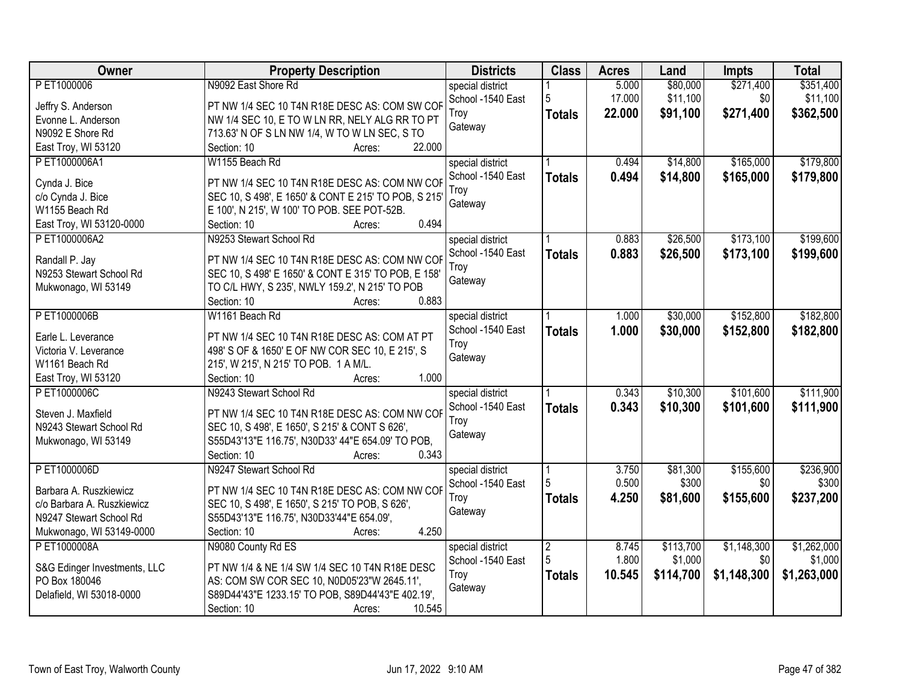| Owner                        | <b>Property Description</b>                          | <b>Districts</b>  | <b>Class</b>   | <b>Acres</b> | Land      | <b>Impts</b> | <b>Total</b> |
|------------------------------|------------------------------------------------------|-------------------|----------------|--------------|-----------|--------------|--------------|
| P ET1000006                  | N9092 East Shore Rd                                  | special district  |                | 5.000        | \$80,000  | \$271,400    | \$351,400    |
| Jeffry S. Anderson           | PT NW 1/4 SEC 10 T4N R18E DESC AS: COM SW COF        | School -1540 East | 5              | 17.000       | \$11,100  | \$0          | \$11,100     |
| Evonne L. Anderson           | NW 1/4 SEC 10, E TO W LN RR, NELY ALG RR TO PT       | Troy              | <b>Totals</b>  | 22.000       | \$91,100  | \$271,400    | \$362,500    |
| N9092 E Shore Rd             | 713.63' N OF S LN NW 1/4, W TO W LN SEC, S TO        | Gateway           |                |              |           |              |              |
| East Troy, WI 53120          | 22.000<br>Section: 10<br>Acres:                      |                   |                |              |           |              |              |
| PET1000006A1                 | W1155 Beach Rd                                       | special district  |                | 0.494        | \$14,800  | \$165,000    | \$179,800    |
|                              |                                                      | School -1540 East | <b>Totals</b>  | 0.494        | \$14,800  | \$165,000    | \$179,800    |
| Cynda J. Bice                | PT NW 1/4 SEC 10 T4N R18E DESC AS: COM NW COF        | Troy              |                |              |           |              |              |
| c/o Cynda J. Bice            | SEC 10, S 498', E 1650' & CONT E 215' TO POB, S 215' | Gateway           |                |              |           |              |              |
| W1155 Beach Rd               | E 100', N 215', W 100' TO POB. SEE POT-52B.          |                   |                |              |           |              |              |
| East Troy, WI 53120-0000     | 0.494<br>Section: 10<br>Acres:                       |                   |                |              |           |              |              |
| PET1000006A2                 | N9253 Stewart School Rd                              | special district  |                | 0.883        | \$26,500  | \$173,100    | \$199,600    |
| Randall P. Jay               | PT NW 1/4 SEC 10 T4N R18E DESC AS: COM NW COF        | School -1540 East | <b>Totals</b>  | 0.883        | \$26,500  | \$173,100    | \$199,600    |
| N9253 Stewart School Rd      | SEC 10, S 498' E 1650' & CONT E 315' TO POB, E 158'  | Troy              |                |              |           |              |              |
| Mukwonago, WI 53149          | TO C/L HWY, S 235', NWLY 159.2', N 215' TO POB       | Gateway           |                |              |           |              |              |
|                              | 0.883<br>Section: 10<br>Acres:                       |                   |                |              |           |              |              |
| PET1000006B                  | W1161 Beach Rd                                       | special district  |                | 1.000        | \$30,000  | \$152,800    | \$182,800    |
|                              |                                                      | School -1540 East | <b>Totals</b>  | 1.000        | \$30,000  | \$152,800    | \$182,800    |
| Earle L. Leverance           | PT NW 1/4 SEC 10 T4N R18E DESC AS: COM AT PT         | Troy              |                |              |           |              |              |
| Victoria V. Leverance        | 498' S OF & 1650' E OF NW COR SEC 10, E 215', S      | Gateway           |                |              |           |              |              |
| W1161 Beach Rd               | 215', W 215', N 215' TO POB. 1 A M/L.                |                   |                |              |           |              |              |
| East Troy, WI 53120          | 1.000<br>Section: 10<br>Acres:                       |                   |                |              |           |              |              |
| PET1000006C                  | N9243 Stewart School Rd                              | special district  |                | 0.343        | \$10,300  | \$101,600    | \$111,900    |
| Steven J. Maxfield           | PT NW 1/4 SEC 10 T4N R18E DESC AS: COM NW COF        | School -1540 East | <b>Totals</b>  | 0.343        | \$10,300  | \$101,600    | \$111,900    |
| N9243 Stewart School Rd      | SEC 10, S 498', E 1650', S 215' & CONT S 626',       | Troy              |                |              |           |              |              |
| Mukwonago, WI 53149          | S55D43'13"E 116.75', N30D33' 44"E 654.09' TO POB,    | Gateway           |                |              |           |              |              |
|                              | 0.343<br>Section: 10<br>Acres:                       |                   |                |              |           |              |              |
| PET1000006D                  | N9247 Stewart School Rd                              | special district  |                | 3.750        | \$81,300  | \$155,600    | \$236,900    |
|                              |                                                      | School -1540 East | 5              | 0.500        | \$300     | \$0          | \$300        |
| Barbara A. Ruszkiewicz       | PT NW 1/4 SEC 10 T4N R18E DESC AS: COM NW COF        | Troy              | <b>Totals</b>  | 4.250        | \$81,600  | \$155,600    | \$237,200    |
| c/o Barbara A. Ruszkiewicz   | SEC 10, S 498', E 1650', S 215' TO POB, S 626',      | Gateway           |                |              |           |              |              |
| N9247 Stewart School Rd      | S55D43'13"E 116.75', N30D33'44"E 654.09',            |                   |                |              |           |              |              |
| Mukwonago, WI 53149-0000     | 4.250<br>Section: 10<br>Acres:                       |                   |                |              |           |              |              |
| P ET1000008A                 | N9080 County Rd ES                                   | special district  | $\overline{2}$ | 8.745        | \$113,700 | \$1,148,300  | \$1,262,000  |
| S&G Edinger Investments, LLC | PT NW 1/4 & NE 1/4 SW 1/4 SEC 10 T4N R18E DESC       | School -1540 East | 5              | 1.800        | \$1,000   | \$0          | \$1,000      |
| PO Box 180046                | AS: COM SW COR SEC 10, N0D05'23"W 2645.11',          | Troy              | <b>Totals</b>  | 10.545       | \$114,700 | \$1,148,300  | \$1,263,000  |
| Delafield, WI 53018-0000     | S89D44'43"E 1233.15' TO POB, S89D44'43"E 402.19',    | Gateway           |                |              |           |              |              |
|                              | 10.545<br>Section: 10<br>Acres:                      |                   |                |              |           |              |              |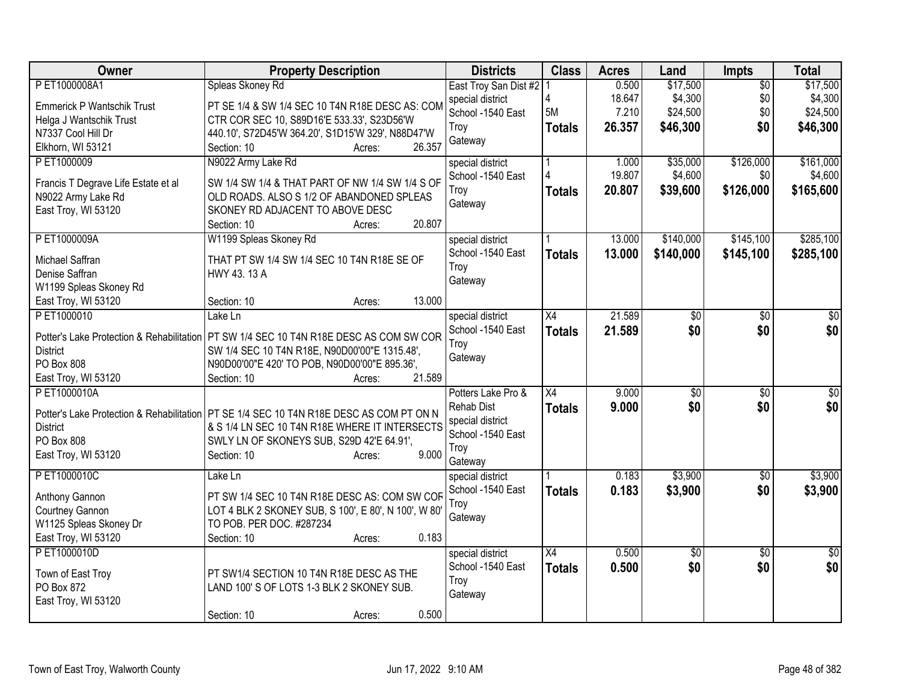| Owner                                     | <b>Property Description</b>                                                               | <b>Districts</b>                      | <b>Class</b>    | <b>Acres</b> | Land      | <b>Impts</b>    | <b>Total</b>    |
|-------------------------------------------|-------------------------------------------------------------------------------------------|---------------------------------------|-----------------|--------------|-----------|-----------------|-----------------|
| P ET1000008A1                             | Spleas Skoney Rd                                                                          | East Troy San Dist #2                 |                 | 0.500        | \$17,500  | $\overline{50}$ | \$17,500        |
| <b>Emmerick P Wantschik Trust</b>         | PT SE 1/4 & SW 1/4 SEC 10 T4N R18E DESC AS: COM                                           | special district                      |                 | 18.647       | \$4,300   | \$0             | \$4,300         |
| Helga J Wantschik Trust                   | CTR COR SEC 10, S89D16'E 533.33', S23D56'W                                                | School -1540 East                     | 5M              | 7.210        | \$24,500  | \$0             | \$24,500        |
| N7337 Cool Hill Dr                        | 440.10', S72D45'W 364.20', S1D15'W 329', N88D47'W                                         | Troy                                  | <b>Totals</b>   | 26.357       | \$46,300  | \$0             | \$46,300        |
| Elkhorn, WI 53121                         | 26.357<br>Section: 10<br>Acres:                                                           | Gateway                               |                 |              |           |                 |                 |
| P ET1000009                               | N9022 Army Lake Rd                                                                        | special district                      |                 | 1.000        | \$35,000  | \$126,000       | \$161,000       |
|                                           |                                                                                           | School -1540 East                     |                 | 19.807       | \$4,600   | \$0             | \$4,600         |
| Francis T Degrave Life Estate et al       | SW 1/4 SW 1/4 & THAT PART OF NW 1/4 SW 1/4 S OF                                           | Troy                                  | <b>Totals</b>   | 20.807       | \$39,600  | \$126,000       | \$165,600       |
| N9022 Army Lake Rd                        | OLD ROADS. ALSO S 1/2 OF ABANDONED SPLEAS                                                 | Gateway                               |                 |              |           |                 |                 |
| East Troy, WI 53120                       | SKONEY RD ADJACENT TO ABOVE DESC<br>20.807<br>Section: 10<br>Acres:                       |                                       |                 |              |           |                 |                 |
| P ET1000009A                              | W1199 Spleas Skoney Rd                                                                    |                                       |                 | 13.000       | \$140,000 | \$145,100       | \$285,100       |
|                                           |                                                                                           | special district<br>School -1540 East |                 |              |           |                 |                 |
| Michael Saffran                           | THAT PT SW 1/4 SW 1/4 SEC 10 T4N R18E SE OF                                               | Troy                                  | <b>Totals</b>   | 13.000       | \$140,000 | \$145,100       | \$285,100       |
| Denise Saffran                            | HWY 43.13 A                                                                               | Gateway                               |                 |              |           |                 |                 |
| W1199 Spleas Skoney Rd                    |                                                                                           |                                       |                 |              |           |                 |                 |
| East Troy, WI 53120                       | 13.000<br>Section: 10<br>Acres:                                                           |                                       |                 |              |           |                 |                 |
| PET1000010                                | Lake Ln                                                                                   | special district                      | $\overline{X4}$ | 21.589       | \$0       | $\overline{50}$ | $\overline{50}$ |
| Potter's Lake Protection & Rehabilitation | PT SW 1/4 SEC 10 T4N R18E DESC AS COM SW COR                                              | School -1540 East                     | <b>Totals</b>   | 21.589       | \$0       | \$0             | \$0             |
| <b>District</b>                           | SW 1/4 SEC 10 T4N R18E, N90D00'00"E 1315.48',                                             | Troy                                  |                 |              |           |                 |                 |
| PO Box 808                                | N90D00'00"E 420' TO POB, N90D00'00"E 895.36',                                             | Gateway                               |                 |              |           |                 |                 |
| East Troy, WI 53120                       | 21.589<br>Section: 10<br>Acres:                                                           |                                       |                 |              |           |                 |                 |
| PET1000010A                               |                                                                                           | Potters Lake Pro &                    | X4              | 9.000        | \$0       | \$0             | \$0             |
|                                           |                                                                                           | <b>Rehab Dist</b>                     | <b>Totals</b>   | 9.000        | \$0       | \$0             | \$0             |
|                                           | Potter's Lake Protection & Rehabilitation   PT SE 1/4 SEC 10 T4N R18E DESC AS COM PT ON N | special district                      |                 |              |           |                 |                 |
| <b>District</b>                           | & S 1/4 LN SEC 10 T4N R18E WHERE IT INTERSECTS                                            | School -1540 East                     |                 |              |           |                 |                 |
| PO Box 808                                | SWLY LN OF SKONEYS SUB, S29D 42'E 64.91',                                                 | Troy                                  |                 |              |           |                 |                 |
| East Troy, WI 53120                       | 9.000<br>Section: 10<br>Acres:                                                            | Gateway                               |                 |              |           |                 |                 |
| PET1000010C                               | Lake Ln                                                                                   | special district                      |                 | 0.183        | \$3,900   | \$0             | \$3,900         |
|                                           |                                                                                           | School -1540 East                     | <b>Totals</b>   | 0.183        | \$3,900   | \$0             | \$3,900         |
| Anthony Gannon                            | PT SW 1/4 SEC 10 T4N R18E DESC AS: COM SW COF                                             | Troy                                  |                 |              |           |                 |                 |
| Courtney Gannon                           | LOT 4 BLK 2 SKONEY SUB, S 100', E 80', N 100', W 80'<br>TO POB. PER DOC. #287234          | Gateway                               |                 |              |           |                 |                 |
| W1125 Spleas Skoney Dr                    | 0.183<br>Section: 10<br>Acres:                                                            |                                       |                 |              |           |                 |                 |
| East Troy, WI 53120<br>PET1000010D        |                                                                                           | special district                      | $\overline{X4}$ | 0.500        | \$0       | $\overline{50}$ | $\overline{50}$ |
|                                           |                                                                                           | School -1540 East                     |                 |              | \$0       |                 | \$0             |
| Town of East Troy                         | PT SW1/4 SECTION 10 T4N R18E DESC AS THE                                                  | Troy                                  | <b>Totals</b>   | 0.500        |           | \$0             |                 |
| PO Box 872                                | LAND 100'S OF LOTS 1-3 BLK 2 SKONEY SUB.                                                  | Gateway                               |                 |              |           |                 |                 |
| East Troy, WI 53120                       |                                                                                           |                                       |                 |              |           |                 |                 |
|                                           | 0.500<br>Section: 10<br>Acres:                                                            |                                       |                 |              |           |                 |                 |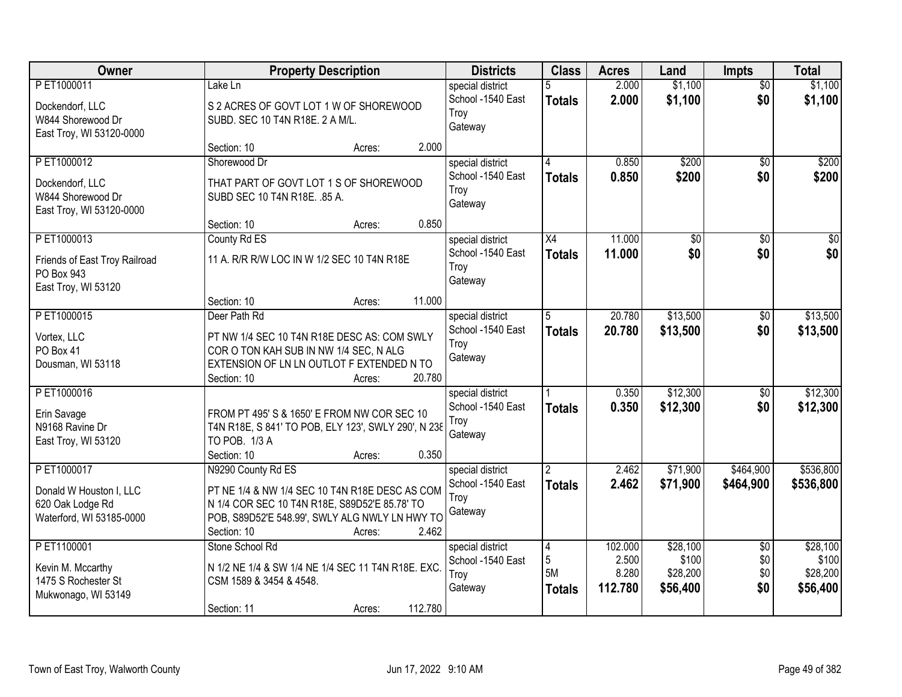| Owner                                                                                 | <b>Property Description</b>                                                                                                                                                                               | <b>Districts</b>                                         | <b>Class</b>                               | <b>Acres</b>                         | Land                                      | Impts                                | <b>Total</b>                              |
|---------------------------------------------------------------------------------------|-----------------------------------------------------------------------------------------------------------------------------------------------------------------------------------------------------------|----------------------------------------------------------|--------------------------------------------|--------------------------------------|-------------------------------------------|--------------------------------------|-------------------------------------------|
| PET1000011<br>Dockendorf, LLC<br>W844 Shorewood Dr<br>East Troy, WI 53120-0000        | Lake Ln<br>S 2 ACRES OF GOVT LOT 1 W OF SHOREWOOD<br>SUBD. SEC 10 T4N R18E. 2 A M/L.                                                                                                                      | special district<br>School -1540 East<br>Troy<br>Gateway | <b>Totals</b>                              | 2.000<br>2.000                       | \$1,100<br>\$1,100                        | $\overline{50}$<br>\$0               | \$1,100<br>\$1,100                        |
|                                                                                       | 2.000<br>Section: 10<br>Acres:                                                                                                                                                                            |                                                          |                                            |                                      |                                           |                                      |                                           |
| PET1000012<br>Dockendorf, LLC<br>W844 Shorewood Dr<br>East Troy, WI 53120-0000        | Shorewood Dr<br>THAT PART OF GOVT LOT 1 S OF SHOREWOOD<br>SUBD SEC 10 T4N R18E. . 85 A.                                                                                                                   | special district<br>School -1540 East<br>Troy<br>Gateway | 4<br><b>Totals</b>                         | 0.850<br>0.850                       | \$200<br>\$200                            | $\overline{50}$<br>\$0               | \$200<br>\$200                            |
|                                                                                       | 0.850<br>Section: 10<br>Acres:                                                                                                                                                                            |                                                          |                                            |                                      |                                           |                                      |                                           |
| PET1000013<br>Friends of East Troy Railroad<br>PO Box 943<br>East Troy, WI 53120      | County Rd ES<br>11 A. R/R R/W LOC IN W 1/2 SEC 10 T4N R18E                                                                                                                                                | special district<br>School -1540 East<br>Troy<br>Gateway | $\overline{X4}$<br><b>Totals</b>           | 11.000<br>11.000                     | $\overline{50}$<br>\$0                    | $\overline{50}$<br>\$0               | $\overline{50}$<br>\$0                    |
|                                                                                       | 11.000<br>Section: 10<br>Acres:                                                                                                                                                                           |                                                          |                                            |                                      |                                           |                                      |                                           |
| PET1000015<br>Vortex, LLC<br>PO Box 41<br>Dousman, WI 53118                           | Deer Path Rd<br>PT NW 1/4 SEC 10 T4N R18E DESC AS: COM SWLY<br>COR O TON KAH SUB IN NW 1/4 SEC, N ALG<br>EXTENSION OF LN LN OUTLOT F EXTENDED N TO<br>20.780<br>Section: 10<br>Acres:                     | special district<br>School -1540 East<br>Troy<br>Gateway | 5<br><b>Totals</b>                         | 20.780<br>20.780                     | \$13,500<br>\$13,500                      | \$0<br>\$0                           | \$13,500<br>\$13,500                      |
| PET1000016<br>Erin Savage<br>N9168 Ravine Dr<br>East Troy, WI 53120                   | FROM PT 495' S & 1650' E FROM NW COR SEC 10<br>T4N R18E, S 841' TO POB, ELY 123', SWLY 290', N 238<br>TO POB. 1/3 A<br>0.350<br>Section: 10<br>Acres:                                                     | special district<br>School -1540 East<br>Troy<br>Gateway | <b>Totals</b>                              | 0.350<br>0.350                       | \$12,300<br>\$12,300                      | $\overline{50}$<br>\$0               | \$12,300<br>\$12,300                      |
| PET1000017<br>Donald W Houston I, LLC<br>620 Oak Lodge Rd<br>Waterford, WI 53185-0000 | N9290 County Rd ES<br>PT NE 1/4 & NW 1/4 SEC 10 T4N R18E DESC AS COM<br>N 1/4 COR SEC 10 T4N R18E, S89D52'E 85.78' TO<br>POB, S89D52'E 548.99', SWLY ALG NWLY LN HWY TO<br>2.462<br>Section: 10<br>Acres: | special district<br>School -1540 East<br>Troy<br>Gateway | $\overline{2}$<br><b>Totals</b>            | 2.462<br>2.462                       | \$71,900<br>\$71,900                      | \$464,900<br>\$464,900               | \$536,800<br>\$536,800                    |
| PET1100001<br>Kevin M. Mccarthy<br>1475 S Rochester St<br>Mukwonago, WI 53149         | Stone School Rd<br>N 1/2 NE 1/4 & SW 1/4 NE 1/4 SEC 11 T4N R18E. EXC.<br>CSM 1589 & 3454 & 4548.<br>112.780<br>Section: 11<br>Acres:                                                                      | special district<br>School -1540 East<br>Troy<br>Gateway | $\overline{4}$<br>5<br>5M<br><b>Totals</b> | 102.000<br>2.500<br>8.280<br>112.780 | \$28,100<br>\$100<br>\$28,200<br>\$56,400 | $\overline{50}$<br>\$0<br>\$0<br>\$0 | \$28,100<br>\$100<br>\$28,200<br>\$56,400 |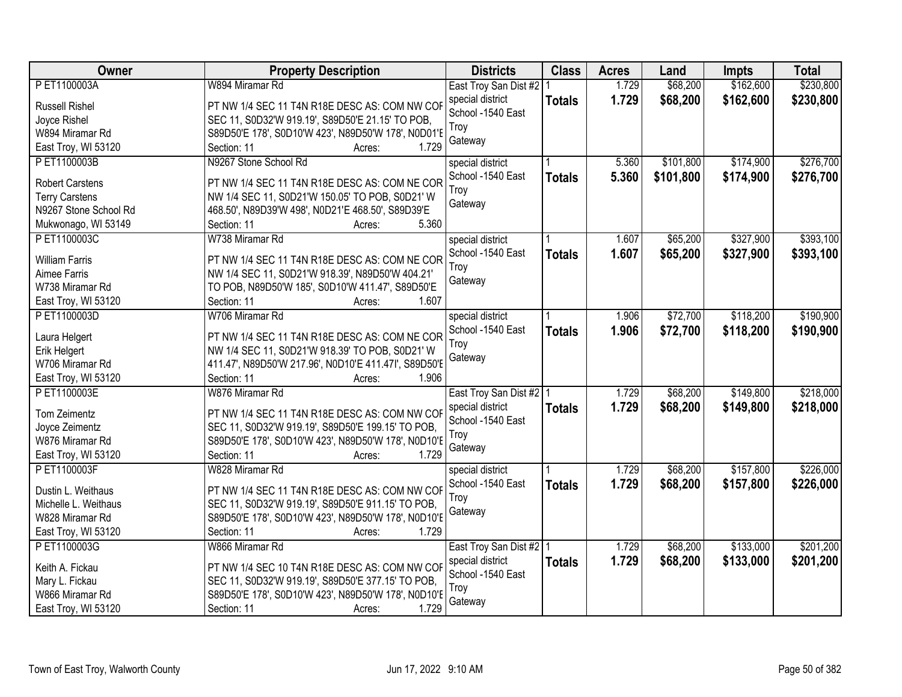| Owner                  | <b>Property Description</b>                           | <b>Districts</b>          | <b>Class</b>  | <b>Acres</b> | Land      | Impts     | <b>Total</b> |
|------------------------|-------------------------------------------------------|---------------------------|---------------|--------------|-----------|-----------|--------------|
| PET1100003A            | W894 Miramar Rd                                       | East Troy San Dist #2 1   |               | 1.729        | \$68,200  | \$162,600 | \$230,800    |
| <b>Russell Rishel</b>  | PT NW 1/4 SEC 11 T4N R18E DESC AS: COM NW COR         | special district          | <b>Totals</b> | 1.729        | \$68,200  | \$162,600 | \$230,800    |
| Joyce Rishel           | SEC 11, S0D32'W 919.19', S89D50'E 21.15' TO POB,      | School -1540 East         |               |              |           |           |              |
| W894 Miramar Rd        | S89D50'E 178', S0D10'W 423', N89D50'W 178', N0D01'E   | Troy                      |               |              |           |           |              |
| East Troy, WI 53120    | 1.729<br>Section: 11<br>Acres:                        | Gateway                   |               |              |           |           |              |
| PET1100003B            | N9267 Stone School Rd                                 | special district          |               | 5.360        | \$101,800 | \$174,900 | \$276,700    |
|                        |                                                       | School -1540 East         | <b>Totals</b> | 5.360        | \$101,800 | \$174,900 | \$276,700    |
| <b>Robert Carstens</b> | PT NW 1/4 SEC 11 T4N R18E DESC AS: COM NE COR         | Troy                      |               |              |           |           |              |
| <b>Terry Carstens</b>  | NW 1/4 SEC 11, S0D21'W 150.05' TO POB, S0D21' W       | Gateway                   |               |              |           |           |              |
| N9267 Stone School Rd  | 468.50', N89D39'W 498', N0D21'E 468.50', S89D39'E     |                           |               |              |           |           |              |
| Mukwonago, WI 53149    | 5.360<br>Section: 11<br>Acres:                        |                           |               |              |           |           |              |
| PET1100003C            | W738 Miramar Rd                                       | special district          |               | 1.607        | \$65,200  | \$327,900 | \$393,100    |
| <b>William Farris</b>  | PT NW 1/4 SEC 11 T4N R18E DESC AS: COM NE COR         | School -1540 East         | <b>Totals</b> | 1.607        | \$65,200  | \$327,900 | \$393,100    |
| Aimee Farris           | NW 1/4 SEC 11, S0D21'W 918.39', N89D50'W 404.21'      | Troy                      |               |              |           |           |              |
| W738 Miramar Rd        | TO POB, N89D50'W 185', S0D10'W 411.47', S89D50'E      | Gateway                   |               |              |           |           |              |
| East Troy, WI 53120    | Section: 11<br>1.607<br>Acres:                        |                           |               |              |           |           |              |
| PET1100003D            | W706 Miramar Rd                                       | special district          |               | 1.906        | \$72,700  | \$118,200 | \$190,900    |
|                        |                                                       | School -1540 East         | <b>Totals</b> | 1.906        | \$72,700  | \$118,200 | \$190,900    |
| Laura Helgert          | PT NW 1/4 SEC 11 T4N R18E DESC AS: COM NE COR         | Troy                      |               |              |           |           |              |
| Erik Helgert           | NW 1/4 SEC 11, S0D21'W 918.39' TO POB, S0D21' W       | Gateway                   |               |              |           |           |              |
| W706 Miramar Rd        | 411.47', N89D50'W 217.96', N0D10'E 411.47I', S89D50'E |                           |               |              |           |           |              |
| East Troy, WI 53120    | 1.906<br>Section: 11<br>Acres:                        |                           |               |              |           |           |              |
| P ET1100003E           | W876 Miramar Rd                                       | East Troy San Dist #2   1 |               | 1.729        | \$68,200  | \$149,800 | \$218,000    |
| Tom Zeimentz           | PT NW 1/4 SEC 11 T4N R18E DESC AS: COM NW COF         | special district          | <b>Totals</b> | 1.729        | \$68,200  | \$149,800 | \$218,000    |
| Joyce Zeimentz         | SEC 11, S0D32'W 919.19', S89D50'E 199.15' TO POB,     | School -1540 East         |               |              |           |           |              |
| W876 Miramar Rd        | S89D50'E 178', S0D10'W 423', N89D50'W 178', N0D10'E   | Troy                      |               |              |           |           |              |
| East Troy, WI 53120    | Section: 11<br>1.729<br>Acres:                        | Gateway                   |               |              |           |           |              |
| PET1100003F            | W828 Miramar Rd                                       | special district          |               | 1.729        | \$68,200  | \$157,800 | \$226,000    |
|                        |                                                       | School -1540 East         | <b>Totals</b> | 1.729        | \$68,200  | \$157,800 | \$226,000    |
| Dustin L. Weithaus     | PT NW 1/4 SEC 11 T4N R18E DESC AS: COM NW COF         | Troy                      |               |              |           |           |              |
| Michelle L. Weithaus   | SEC 11, S0D32'W 919.19', S89D50'E 911.15' TO POB,     | Gateway                   |               |              |           |           |              |
| W828 Miramar Rd        | S89D50'E 178', S0D10'W 423', N89D50'W 178', N0D10'E   |                           |               |              |           |           |              |
| East Troy, WI 53120    | Section: 11<br>1.729<br>Acres:                        |                           |               |              |           |           |              |
| PET1100003G            | W866 Miramar Rd                                       | East Troy San Dist #2 1   |               | 1.729        | \$68,200  | \$133,000 | \$201,200    |
| Keith A. Fickau        | PT NW 1/4 SEC 10 T4N R18E DESC AS: COM NW COF         | special district          | <b>Totals</b> | 1.729        | \$68,200  | \$133,000 | \$201,200    |
| Mary L. Fickau         | SEC 11, S0D32'W 919.19', S89D50'E 377.15' TO POB,     | School -1540 East         |               |              |           |           |              |
| W866 Miramar Rd        | S89D50'E 178', S0D10'W 423', N89D50'W 178', N0D10'I   | Troy                      |               |              |           |           |              |
| East Troy, WI 53120    | 1.729<br>Section: 11<br>Acres:                        | Gateway                   |               |              |           |           |              |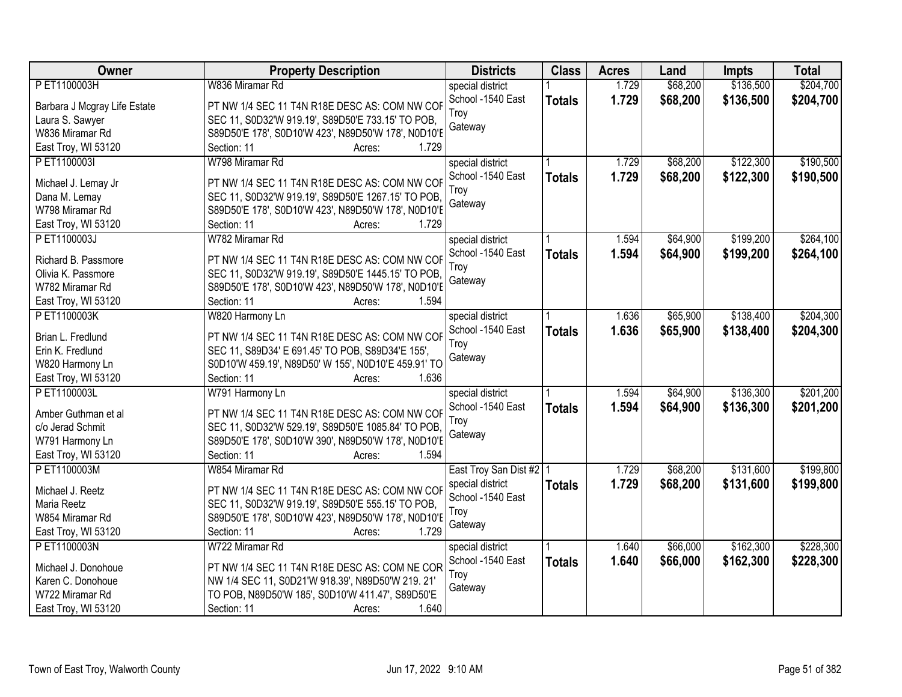| Owner                        | <b>Property Description</b>                         | <b>Districts</b>          | <b>Class</b>  | <b>Acres</b> | Land     | <b>Impts</b> | <b>Total</b> |
|------------------------------|-----------------------------------------------------|---------------------------|---------------|--------------|----------|--------------|--------------|
| PET1100003H                  | W836 Miramar Rd                                     | special district          |               | 1.729        | \$68,200 | \$136,500    | \$204,700    |
| Barbara J Mcgray Life Estate | PT NW 1/4 SEC 11 T4N R18E DESC AS: COM NW COF       | School -1540 East         | <b>Totals</b> | 1.729        | \$68,200 | \$136,500    | \$204,700    |
| Laura S. Sawyer              | SEC 11, S0D32'W 919.19', S89D50'E 733.15' TO POB,   | Troy<br>Gateway           |               |              |          |              |              |
| W836 Miramar Rd              | S89D50'E 178', S0D10'W 423', N89D50'W 178', N0D10'E |                           |               |              |          |              |              |
| East Troy, WI 53120          | Section: 11<br>1.729<br>Acres:                      |                           |               |              |          |              |              |
| PET1100003I                  | W798 Miramar Rd                                     | special district          |               | 1.729        | \$68,200 | \$122,300    | \$190,500    |
| Michael J. Lemay Jr          | PT NW 1/4 SEC 11 T4N R18E DESC AS: COM NW COF       | School -1540 East         | <b>Totals</b> | 1.729        | \$68,200 | \$122,300    | \$190,500    |
| Dana M. Lemay                | SEC 11, S0D32'W 919.19', S89D50'E 1267.15' TO POB.  | Troy                      |               |              |          |              |              |
| W798 Miramar Rd              | S89D50'E 178', S0D10'W 423', N89D50'W 178', N0D10'E | Gateway                   |               |              |          |              |              |
| East Troy, WI 53120          | 1.729<br>Section: 11<br>Acres:                      |                           |               |              |          |              |              |
| PET1100003J                  | W782 Miramar Rd                                     | special district          |               | 1.594        | \$64,900 | \$199,200    | \$264,100    |
|                              |                                                     | School -1540 East         |               | 1.594        | \$64,900 | \$199,200    | \$264,100    |
| Richard B. Passmore          | PT NW 1/4 SEC 11 T4N R18E DESC AS: COM NW COF       | Trov                      | <b>Totals</b> |              |          |              |              |
| Olivia K. Passmore           | SEC 11, S0D32'W 919.19', S89D50'E 1445.15' TO POB,  | Gateway                   |               |              |          |              |              |
| W782 Miramar Rd              | S89D50'E 178', S0D10'W 423', N89D50'W 178', N0D10'E |                           |               |              |          |              |              |
| East Troy, WI 53120          | Section: 11<br>1.594<br>Acres:                      |                           |               |              |          |              |              |
| PET1100003K                  | W820 Harmony Ln                                     | special district          |               | 1.636        | \$65,900 | \$138,400    | \$204,300    |
| Brian L. Fredlund            | PT NW 1/4 SEC 11 T4N R18E DESC AS: COM NW COF       | School -1540 East         | <b>Totals</b> | 1.636        | \$65,900 | \$138,400    | \$204,300    |
| Erin K. Fredlund             | SEC 11, S89D34' E 691.45' TO POB, S89D34'E 155',    | Troy                      |               |              |          |              |              |
| W820 Harmony Ln              | S0D10'W 459.19', N89D50' W 155', N0D10'E 459.91' TO | Gateway                   |               |              |          |              |              |
| East Troy, WI 53120          | Section: 11<br>1.636<br>Acres:                      |                           |               |              |          |              |              |
| P ET1100003L                 | W791 Harmony Ln                                     | special district          |               | 1.594        | \$64,900 | \$136,300    | \$201,200    |
|                              |                                                     | School -1540 East         | <b>Totals</b> | 1.594        | \$64,900 | \$136,300    | \$201,200    |
| Amber Guthman et al          | PT NW 1/4 SEC 11 T4N R18E DESC AS: COM NW COF       | Troy                      |               |              |          |              |              |
| c/o Jerad Schmit             | SEC 11, S0D32'W 529.19', S89D50'E 1085.84' TO POB.  | Gateway                   |               |              |          |              |              |
| W791 Harmony Ln              | S89D50'E 178', S0D10'W 390', N89D50'W 178', N0D10'E |                           |               |              |          |              |              |
| East Troy, WI 53120          | 1.594<br>Section: 11<br>Acres:                      |                           |               |              |          |              |              |
| PET1100003M                  | W854 Miramar Rd                                     | East Troy San Dist #2   1 |               | 1.729        | \$68,200 | \$131,600    | \$199,800    |
| Michael J. Reetz             | PT NW 1/4 SEC 11 T4N R18E DESC AS: COM NW COR       | special district          | <b>Totals</b> | 1.729        | \$68,200 | \$131,600    | \$199,800    |
| Maria Reetz                  | SEC 11, S0D32'W 919.19', S89D50'E 555.15' TO POB,   | School -1540 East         |               |              |          |              |              |
| W854 Miramar Rd              | S89D50'E 178', S0D10'W 423', N89D50'W 178', N0D10'E | Troy                      |               |              |          |              |              |
| East Troy, WI 53120          | Section: 11<br>1.729<br>Acres:                      | Gateway                   |               |              |          |              |              |
| PET1100003N                  | W722 Miramar Rd                                     | special district          |               | 1.640        | \$66,000 | \$162,300    | \$228,300    |
|                              |                                                     | School -1540 East         | <b>Totals</b> | 1.640        | \$66,000 | \$162,300    | \$228,300    |
| Michael J. Donohoue          | PT NW 1/4 SEC 11 T4N R18E DESC AS: COM NE COR       | Troy                      |               |              |          |              |              |
| Karen C. Donohoue            | NW 1/4 SEC 11, S0D21'W 918.39', N89D50'W 219. 21'   | Gateway                   |               |              |          |              |              |
| W722 Miramar Rd              | TO POB, N89D50'W 185', S0D10'W 411.47', S89D50'E    |                           |               |              |          |              |              |
| East Troy, WI 53120          | 1.640<br>Section: 11<br>Acres:                      |                           |               |              |          |              |              |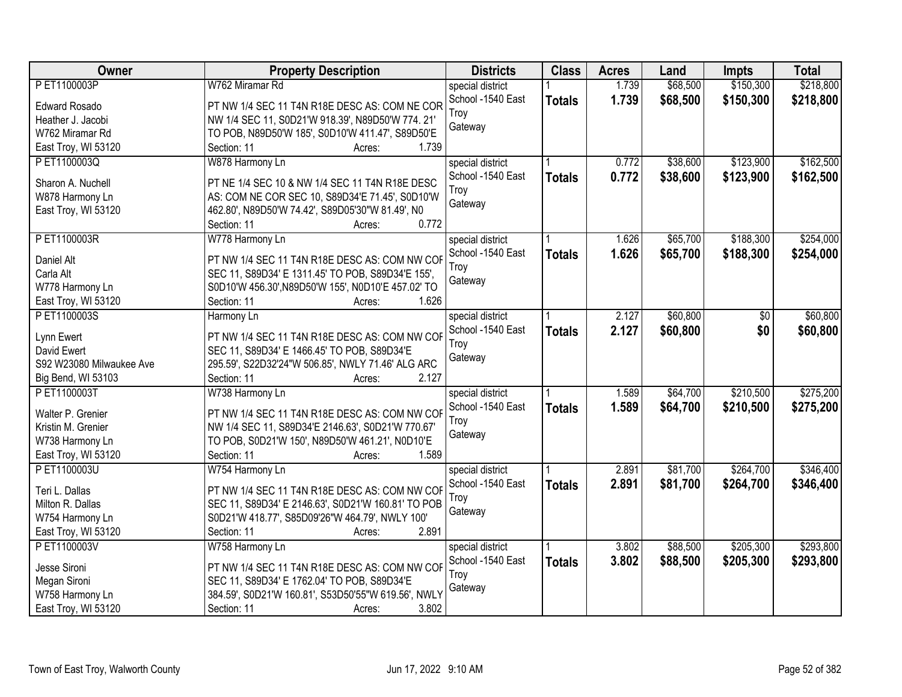| Owner                    | <b>Property Description</b>                               | <b>Districts</b>  | <b>Class</b>  | <b>Acres</b> | Land     | <b>Impts</b> | <b>Total</b> |
|--------------------------|-----------------------------------------------------------|-------------------|---------------|--------------|----------|--------------|--------------|
| PET1100003P              | W762 Miramar Rd                                           | special district  |               | 1.739        | \$68,500 | \$150,300    | \$218,800    |
| <b>Edward Rosado</b>     | PT NW 1/4 SEC 11 T4N R18E DESC AS: COM NE COR             | School -1540 East | <b>Totals</b> | 1.739        | \$68,500 | \$150,300    | \$218,800    |
| Heather J. Jacobi        | NW 1/4 SEC 11, S0D21'W 918.39', N89D50'W 774. 21'         | Trov              |               |              |          |              |              |
| W762 Miramar Rd          | TO POB, N89D50'W 185', S0D10'W 411.47', S89D50'E          | Gateway           |               |              |          |              |              |
| East Troy, WI 53120      | 1.739<br>Section: 11<br>Acres:                            |                   |               |              |          |              |              |
| PET1100003Q              | W878 Harmony Ln                                           | special district  |               | 0.772        | \$38,600 | \$123,900    | \$162,500    |
| Sharon A. Nuchell        | PT NE 1/4 SEC 10 & NW 1/4 SEC 11 T4N R18E DESC            | School -1540 East | <b>Totals</b> | 0.772        | \$38,600 | \$123,900    | \$162,500    |
|                          |                                                           | Troy              |               |              |          |              |              |
| W878 Harmony Ln          | AS: COM NE COR SEC 10, S89D34'E 71.45', S0D10'W           | Gateway           |               |              |          |              |              |
| East Troy, WI 53120      | 462.80', N89D50'W 74.42', S89D05'30"W 81.49', N0<br>0.772 |                   |               |              |          |              |              |
|                          | Section: 11<br>Acres:                                     |                   |               |              |          | \$188,300    |              |
| PET1100003R              | W778 Harmony Ln                                           | special district  |               | 1.626        | \$65,700 |              | \$254,000    |
| Daniel Alt               | PT NW 1/4 SEC 11 T4N R18E DESC AS: COM NW COF             | School -1540 East | <b>Totals</b> | 1.626        | \$65,700 | \$188,300    | \$254,000    |
| Carla Alt                | SEC 11, S89D34' E 1311.45' TO POB, S89D34'E 155',         | Troy              |               |              |          |              |              |
| W778 Harmony Ln          | S0D10'W 456.30', N89D50'W 155', N0D10'E 457.02' TO        | Gateway           |               |              |          |              |              |
| East Troy, WI 53120      | Section: 11<br>1.626<br>Acres:                            |                   |               |              |          |              |              |
| PET1100003S              | Harmony Ln                                                | special district  |               | 2.127        | \$60,800 | $\sqrt[6]{}$ | \$60,800     |
|                          |                                                           | School -1540 East | <b>Totals</b> | 2.127        | \$60,800 | \$0          | \$60,800     |
| Lynn Ewert               | PT NW 1/4 SEC 11 T4N R18E DESC AS: COM NW COF             | Troy              |               |              |          |              |              |
| David Ewert              | SEC 11, S89D34' E 1466.45' TO POB, S89D34'E               | Gateway           |               |              |          |              |              |
| S92 W23080 Milwaukee Ave | 295.59', S22D32'24"W 506.85', NWLY 71.46' ALG ARC         |                   |               |              |          |              |              |
| Big Bend, WI 53103       | Section: 11<br>2.127<br>Acres:                            |                   |               |              |          |              |              |
| PET1100003T              | W738 Harmony Ln                                           | special district  |               | 1.589        | \$64,700 | \$210,500    | \$275,200    |
| Walter P. Grenier        | PT NW 1/4 SEC 11 T4N R18E DESC AS: COM NW COF             | School -1540 East | <b>Totals</b> | 1.589        | \$64,700 | \$210,500    | \$275,200    |
| Kristin M. Grenier       | NW 1/4 SEC 11, S89D34'E 2146.63', S0D21'W 770.67'         | Troy              |               |              |          |              |              |
| W738 Harmony Ln          | TO POB, S0D21'W 150', N89D50'W 461.21', N0D10'E           | Gateway           |               |              |          |              |              |
| East Troy, WI 53120      | 1.589<br>Section: 11<br>Acres:                            |                   |               |              |          |              |              |
| PET1100003U              | W754 Harmony Ln                                           | special district  |               | 2.891        | \$81,700 | \$264,700    | \$346,400    |
|                          |                                                           | School -1540 East | <b>Totals</b> | 2.891        | \$81,700 | \$264,700    | \$346,400    |
| Teri L. Dallas           | PT NW 1/4 SEC 11 T4N R18E DESC AS: COM NW COF             | Troy              |               |              |          |              |              |
| Milton R. Dallas         | SEC 11, S89D34' E 2146.63', S0D21'W 160.81' TO POB        | Gateway           |               |              |          |              |              |
| W754 Harmony Ln          | S0D21'W 418.77', S85D09'26"W 464.79', NWLY 100'           |                   |               |              |          |              |              |
| East Troy, WI 53120      | 2.891<br>Section: 11<br>Acres:                            |                   |               |              |          |              |              |
| PET1100003V              | W758 Harmony Ln                                           | special district  |               | 3.802        | \$88,500 | \$205,300    | \$293,800    |
| Jesse Sironi             | PT NW 1/4 SEC 11 T4N R18E DESC AS: COM NW COF             | School -1540 East | <b>Totals</b> | 3.802        | \$88,500 | \$205,300    | \$293,800    |
| Megan Sironi             | SEC 11, S89D34' E 1762.04' TO POB, S89D34'E               | Troy              |               |              |          |              |              |
| W758 Harmony Ln          | 384.59', S0D21'W 160.81', S53D50'55"W 619.56', NWLY       | Gateway           |               |              |          |              |              |
| East Troy, WI 53120      | 3.802<br>Section: 11<br>Acres:                            |                   |               |              |          |              |              |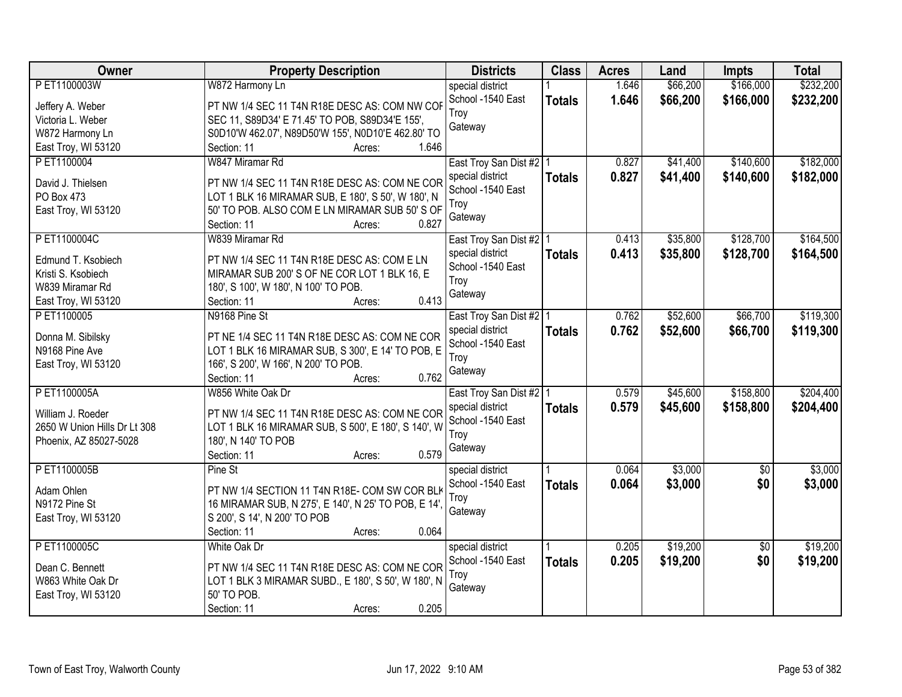| Owner                        | <b>Property Description</b>                                  | <b>Districts</b>                      | <b>Class</b>  | <b>Acres</b> | Land     | <b>Impts</b>    | <b>Total</b> |
|------------------------------|--------------------------------------------------------------|---------------------------------------|---------------|--------------|----------|-----------------|--------------|
| PET1100003W                  | W872 Harmony Ln                                              | special district                      |               | 1.646        | \$66,200 | \$166,000       | \$232,200    |
| Jeffery A. Weber             | PT NW 1/4 SEC 11 T4N R18E DESC AS: COM NW COF                | School -1540 East                     | <b>Totals</b> | 1.646        | \$66,200 | \$166,000       | \$232,200    |
| Victoria L. Weber            | SEC 11, S89D34' E 71.45' TO POB, S89D34'E 155',              | Troy                                  |               |              |          |                 |              |
| W872 Harmony Ln              | S0D10'W 462.07', N89D50'W 155', N0D10'E 462.80' TO           | Gateway                               |               |              |          |                 |              |
| East Troy, WI 53120          | 1.646<br>Section: 11<br>Acres:                               |                                       |               |              |          |                 |              |
| P ET1100004                  | W847 Miramar Rd                                              | East Troy San Dist #2   1             |               | 0.827        | \$41,400 | \$140,600       | \$182,000    |
|                              |                                                              | special district                      | <b>Totals</b> | 0.827        | \$41,400 | \$140,600       | \$182,000    |
| David J. Thielsen            | PT NW 1/4 SEC 11 T4N R18E DESC AS: COM NE COR                | School -1540 East                     |               |              |          |                 |              |
| PO Box 473                   | LOT 1 BLK 16 MIRAMAR SUB, E 180', S 50', W 180', N           | Troy                                  |               |              |          |                 |              |
| East Troy, WI 53120          | 50' TO POB. ALSO COM E LN MIRAMAR SUB 50' S OF               | Gateway                               |               |              |          |                 |              |
|                              | 0.827<br>Section: 11<br>Acres:                               |                                       |               |              |          |                 |              |
| PET1100004C                  | W839 Miramar Rd                                              | East Troy San Dist #2   1             |               | 0.413        | \$35,800 | \$128,700       | \$164,500    |
| Edmund T. Ksobiech           | PT NW 1/4 SEC 11 T4N R18E DESC AS: COM E LN                  | special district                      | <b>Totals</b> | 0.413        | \$35,800 | \$128,700       | \$164,500    |
| Kristi S. Ksobiech           | MIRAMAR SUB 200'S OF NE COR LOT 1 BLK 16, E                  | School -1540 East                     |               |              |          |                 |              |
| W839 Miramar Rd              | 180', S 100', W 180', N 100' TO POB.                         | Troy                                  |               |              |          |                 |              |
| East Troy, WI 53120          | 0.413<br>Section: 11<br>Acres:                               | Gateway                               |               |              |          |                 |              |
| PET1100005                   | N9168 Pine St                                                | East Troy San Dist #2   1             |               | 0.762        | \$52,600 | \$66,700        | \$119,300    |
|                              |                                                              | special district                      | <b>Totals</b> | 0.762        | \$52,600 | \$66,700        | \$119,300    |
| Donna M. Sibilsky            | PT NE 1/4 SEC 11 T4N R18E DESC AS: COM NE COR                | School -1540 East                     |               |              |          |                 |              |
| N9168 Pine Ave               | LOT 1 BLK 16 MIRAMAR SUB, S 300', E 14' TO POB, E            | Troy                                  |               |              |          |                 |              |
| East Troy, WI 53120          | 166', S 200', W 166', N 200' TO POB.<br>0.762<br>Section: 11 | Gateway                               |               |              |          |                 |              |
| P ET1100005A                 | Acres:<br>W856 White Oak Dr                                  |                                       |               | 0.579        | \$45,600 | \$158,800       | \$204,400    |
|                              |                                                              | East Troy San Dist #2   1             |               |              |          |                 |              |
| William J. Roeder            | PT NW 1/4 SEC 11 T4N R18E DESC AS: COM NE COR                | special district<br>School -1540 East | <b>Totals</b> | 0.579        | \$45,600 | \$158,800       | \$204,400    |
| 2650 W Union Hills Dr Lt 308 | LOT 1 BLK 16 MIRAMAR SUB, S 500', E 180', S 140', W          | Troy                                  |               |              |          |                 |              |
| Phoenix, AZ 85027-5028       | 180', N 140' TO POB                                          | Gateway                               |               |              |          |                 |              |
|                              | 0.579<br>Section: 11<br>Acres:                               |                                       |               |              |          |                 |              |
| PET1100005B                  | Pine St                                                      | special district                      |               | 0.064        | \$3,000  | $\overline{50}$ | \$3,000      |
| Adam Ohlen                   | PT NW 1/4 SECTION 11 T4N R18E- COM SW COR BLK                | School -1540 East                     | <b>Totals</b> | 0.064        | \$3,000  | \$0             | \$3,000      |
| N9172 Pine St                | 16 MIRAMAR SUB, N 275', E 140', N 25' TO POB, E 14'          | Troy                                  |               |              |          |                 |              |
| East Troy, WI 53120          | S 200', S 14', N 200' TO POB                                 | Gateway                               |               |              |          |                 |              |
|                              | 0.064<br>Section: 11<br>Acres:                               |                                       |               |              |          |                 |              |
| PET1100005C                  | White Oak Dr                                                 | special district                      |               | 0.205        | \$19,200 | $\overline{50}$ | \$19,200     |
|                              |                                                              | School -1540 East                     | <b>Totals</b> | 0.205        | \$19,200 | \$0             | \$19,200     |
| Dean C. Bennett              | PT NW 1/4 SEC 11 T4N R18E DESC AS: COM NE COR                | Troy                                  |               |              |          |                 |              |
| W863 White Oak Dr            | LOT 1 BLK 3 MIRAMAR SUBD., E 180', S 50', W 180', N          | Gateway                               |               |              |          |                 |              |
| East Troy, WI 53120          | 50' TO POB.                                                  |                                       |               |              |          |                 |              |
|                              | 0.205<br>Section: 11<br>Acres:                               |                                       |               |              |          |                 |              |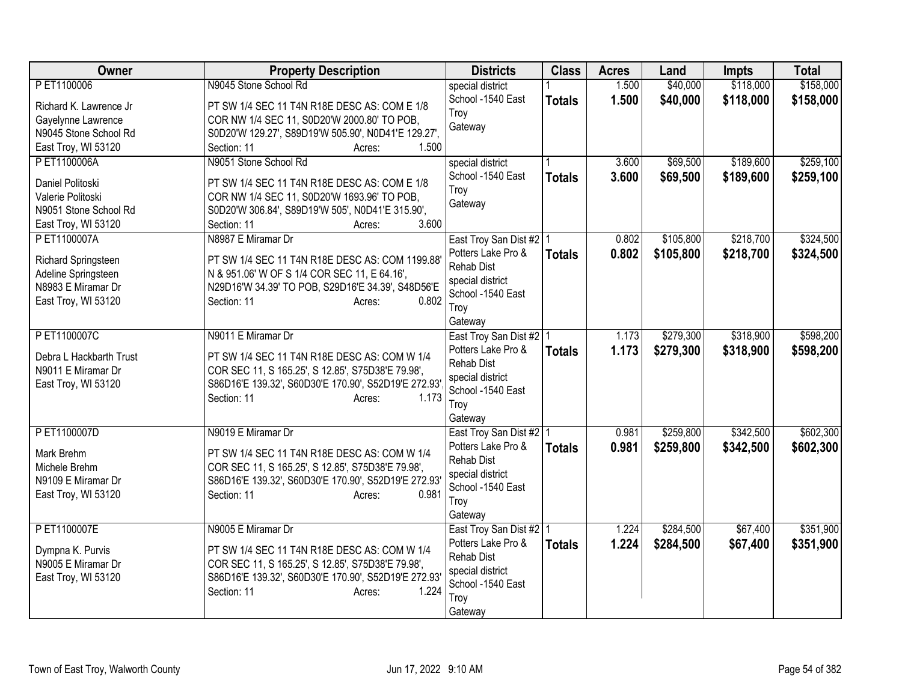| Owner                                                                                                  | <b>Property Description</b>                                                                                                                                                                                       | <b>Districts</b>                                                                                                                 | <b>Class</b>  | <b>Acres</b>   | Land                   | <b>Impts</b>           | <b>Total</b>           |
|--------------------------------------------------------------------------------------------------------|-------------------------------------------------------------------------------------------------------------------------------------------------------------------------------------------------------------------|----------------------------------------------------------------------------------------------------------------------------------|---------------|----------------|------------------------|------------------------|------------------------|
| P ET1100006<br>Richard K. Lawrence Jr                                                                  | N9045 Stone School Rd<br>PT SW 1/4 SEC 11 T4N R18E DESC AS: COM E 1/8                                                                                                                                             | special district<br>School -1540 East<br>Troy                                                                                    | <b>Totals</b> | 1.500<br>1.500 | \$40,000<br>\$40,000   | \$118,000<br>\$118,000 | \$158,000<br>\$158,000 |
| Gayelynne Lawrence<br>N9045 Stone School Rd<br>East Troy, WI 53120                                     | COR NW 1/4 SEC 11, S0D20'W 2000.80' TO POB,<br>S0D20'W 129.27', S89D19'W 505.90', N0D41'E 129.27',<br>1.500<br>Section: 11<br>Acres:                                                                              | Gateway                                                                                                                          |               |                |                        |                        |                        |
| P ET1100006A<br>Daniel Politoski<br>Valerie Politoski<br>N9051 Stone School Rd<br>East Troy, WI 53120  | N9051 Stone School Rd<br>PT SW 1/4 SEC 11 T4N R18E DESC AS: COM E 1/8<br>COR NW 1/4 SEC 11, S0D20'W 1693.96' TO POB,<br>S0D20'W 306.84', S89D19'W 505', N0D41'E 315.90',<br>3.600<br>Section: 11<br>Acres:        | special district<br>School -1540 East<br>Troy<br>Gateway                                                                         | <b>Totals</b> | 3,600<br>3.600 | \$69,500<br>\$69,500   | \$189,600<br>\$189,600 | \$259,100<br>\$259,100 |
| PET1100007A<br>Richard Springsteen<br>Adeline Springsteen<br>N8983 E Miramar Dr<br>East Troy, WI 53120 | N8987 E Miramar Dr<br>PT SW 1/4 SEC 11 T4N R18E DESC AS: COM 1199.88'<br>N & 951.06' W OF S 1/4 COR SEC 11, E 64.16',<br>N29D16'W 34.39' TO POB, S29D16'E 34.39', S48D56'E<br>0.802<br>Section: 11<br>Acres:      | East Troy San Dist #2 1<br>Potters Lake Pro &<br>Rehab Dist<br>special district<br>School -1540 East<br>Troy<br>Gateway          | <b>Totals</b> | 0.802<br>0.802 | \$105,800<br>\$105,800 | \$218,700<br>\$218,700 | \$324,500<br>\$324,500 |
| PET1100007C<br>Debra L Hackbarth Trust<br>N9011 E Miramar Dr<br>East Troy, WI 53120                    | N9011 E Miramar Dr<br>PT SW 1/4 SEC 11 T4N R18E DESC AS: COM W 1/4<br>COR SEC 11, S 165.25', S 12.85', S75D38'E 79.98',<br>S86D16'E 139.32', S60D30'E 170.90', S52D19'E 272.93'<br>1.173<br>Section: 11<br>Acres: | East Troy San Dist #2   1<br>Potters Lake Pro &<br><b>Rehab Dist</b><br>special district<br>School -1540 East<br>Troy<br>Gateway | <b>Totals</b> | 1.173<br>1.173 | \$279,300<br>\$279,300 | \$318,900<br>\$318,900 | \$598,200<br>\$598,200 |
| PET1100007D<br>Mark Brehm<br>Michele Brehm<br>N9109 E Miramar Dr<br>East Troy, WI 53120                | N9019 E Miramar Dr<br>PT SW 1/4 SEC 11 T4N R18E DESC AS: COM W 1/4<br>COR SEC 11, S 165.25', S 12.85', S75D38'E 79.98',<br>S86D16'E 139.32', S60D30'E 170.90', S52D19'E 272.93'<br>0.981<br>Section: 11<br>Acres: | East Troy San Dist #2   1<br>Potters Lake Pro &<br>Rehab Dist<br>special district<br>School -1540 East<br>Troy<br>Gateway        | <b>Totals</b> | 0.981<br>0.981 | \$259,800<br>\$259,800 | \$342,500<br>\$342,500 | \$602,300<br>\$602,300 |
| PET1100007E<br>Dympna K. Purvis<br>N9005 E Miramar Dr<br>East Troy, WI 53120                           | N9005 E Miramar Dr<br>PT SW 1/4 SEC 11 T4N R18E DESC AS: COM W 1/4<br>COR SEC 11, S 165.25', S 12.85', S75D38'E 79.98',<br>S86D16'E 139.32', S60D30'E 170.90', S52D19'E 272.93'<br>Section: 11<br>1.224<br>Acres: | East Troy San Dist #2   1<br>Potters Lake Pro &<br><b>Rehab Dist</b><br>special district<br>School -1540 East<br>Troy<br>Gateway | <b>Totals</b> | 1.224<br>1.224 | \$284,500<br>\$284,500 | \$67,400<br>\$67,400   | \$351,900<br>\$351,900 |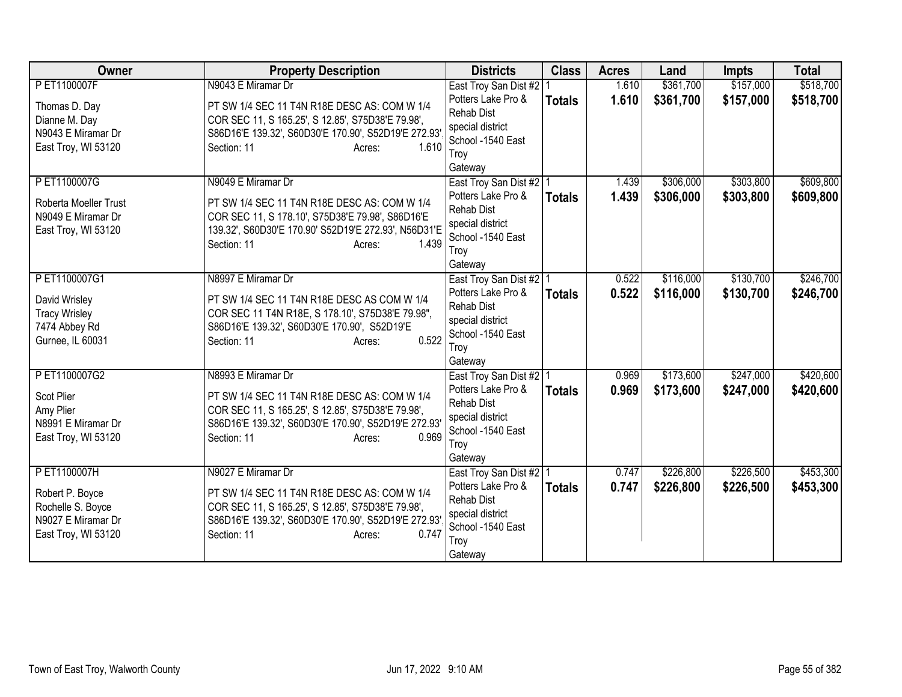| Owner                                                                                             | <b>Property Description</b>                                                                                                                                                                                       | <b>Districts</b>                                                                                                                 | <b>Class</b>  | <b>Acres</b>   | Land                   | <b>Impts</b>           | <b>Total</b>           |
|---------------------------------------------------------------------------------------------------|-------------------------------------------------------------------------------------------------------------------------------------------------------------------------------------------------------------------|----------------------------------------------------------------------------------------------------------------------------------|---------------|----------------|------------------------|------------------------|------------------------|
| PET1100007F<br>Thomas D. Day<br>Dianne M. Day<br>N9043 E Miramar Dr<br>East Troy, WI 53120        | N9043 E Miramar Dr<br>PT SW 1/4 SEC 11 T4N R18E DESC AS: COM W 1/4<br>COR SEC 11, S 165.25', S 12.85', S75D38'E 79.98',<br>S86D16'E 139.32', S60D30'E 170.90', S52D19'E 272.93'<br>1.610<br>Section: 11<br>Acres: | East Troy San Dist #2<br>Potters Lake Pro &<br><b>Rehab Dist</b><br>special district<br>School -1540 East<br>Troy<br>Gateway     | <b>Totals</b> | 1.610<br>1.610 | \$361,700<br>\$361,700 | \$157,000<br>\$157,000 | \$518,700<br>\$518,700 |
| P ET1100007G<br>Roberta Moeller Trust<br>N9049 E Miramar Dr<br>East Troy, WI 53120                | N9049 E Miramar Dr<br>PT SW 1/4 SEC 11 T4N R18E DESC AS: COM W 1/4<br>COR SEC 11, S 178.10', S75D38'E 79.98', S86D16'E<br>139.32', S60D30'E 170.90' S52D19'E 272.93', N56D31'E<br>Section: 11<br>1.439<br>Acres:  | East Troy San Dist #2   1<br>Potters Lake Pro &<br><b>Rehab Dist</b><br>special district<br>School -1540 East<br>Troy<br>Gateway | <b>Totals</b> | 1.439<br>1.439 | \$306,000<br>\$306,000 | \$303,800<br>\$303,800 | \$609,800<br>\$609,800 |
| PET1100007G1<br>David Wrisley<br><b>Tracy Wrisley</b><br>7474 Abbey Rd<br>Gurnee, IL 60031        | N8997 E Miramar Dr<br>PT SW 1/4 SEC 11 T4N R18E DESC AS COM W 1/4<br>COR SEC 11 T4N R18E, S 178.10', S75D38'E 79.98",<br>S86D16'E 139.32', S60D30'E 170.90', S52D19'E<br>0.522<br>Section: 11<br>Acres:           | East Troy San Dist #2   1<br>Potters Lake Pro &<br><b>Rehab Dist</b><br>special district<br>School -1540 East<br>Troy<br>Gateway | <b>Totals</b> | 0.522<br>0.522 | \$116,000<br>\$116,000 | \$130,700<br>\$130,700 | \$246,700<br>\$246,700 |
| PET1100007G2<br>Scot Plier<br>Amy Plier<br>N8991 E Miramar Dr<br>East Troy, WI 53120              | N8993 E Miramar Dr<br>PT SW 1/4 SEC 11 T4N R18E DESC AS: COM W 1/4<br>COR SEC 11, S 165.25', S 12.85', S75D38'E 79.98',<br>S86D16'E 139.32', S60D30'E 170.90', S52D19'E 272.93'<br>0.969<br>Section: 11<br>Acres: | East Troy San Dist #2   1<br>Potters Lake Pro &<br><b>Rehab Dist</b><br>special district<br>School -1540 East<br>Troy<br>Gateway | <b>Totals</b> | 0.969<br>0.969 | \$173,600<br>\$173,600 | \$247,000<br>\$247,000 | \$420,600<br>\$420,600 |
| P ET1100007H<br>Robert P. Boyce<br>Rochelle S. Boyce<br>N9027 E Miramar Dr<br>East Troy, WI 53120 | N9027 E Miramar Dr<br>PT SW 1/4 SEC 11 T4N R18E DESC AS: COM W 1/4<br>COR SEC 11, S 165.25', S 12.85', S75D38'E 79.98',<br>S86D16'E 139.32', S60D30'E 170.90', S52D19'E 272.93'<br>0.747<br>Section: 11<br>Acres: | East Troy San Dist #2   1<br>Potters Lake Pro &<br><b>Rehab Dist</b><br>special district<br>School -1540 East<br>Troy<br>Gateway | <b>Totals</b> | 0.747<br>0.747 | \$226,800<br>\$226,800 | \$226,500<br>\$226,500 | \$453,300<br>\$453,300 |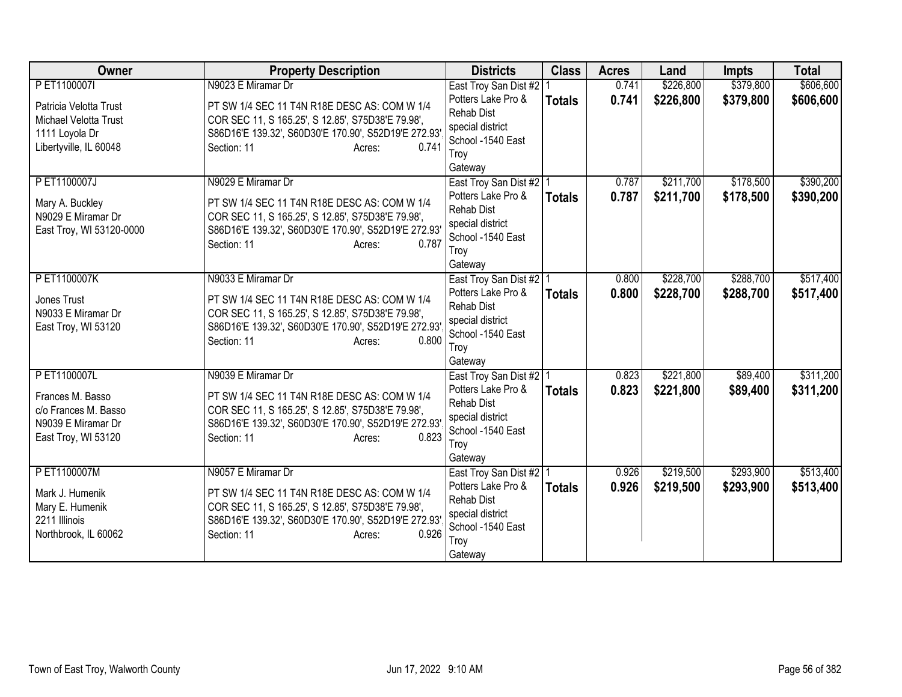| <b>Owner</b>                                                                                                | <b>Property Description</b>                                                                                                                                                                                       | <b>Districts</b>                                                                                                                 | <b>Class</b>  | <b>Acres</b>   | Land                   | <b>Impts</b>           | <b>Total</b>           |
|-------------------------------------------------------------------------------------------------------------|-------------------------------------------------------------------------------------------------------------------------------------------------------------------------------------------------------------------|----------------------------------------------------------------------------------------------------------------------------------|---------------|----------------|------------------------|------------------------|------------------------|
| P ET1100007I<br>Patricia Velotta Trust<br>Michael Velotta Trust<br>1111 Loyola Dr<br>Libertyville, IL 60048 | N9023 E Miramar Dr<br>PT SW 1/4 SEC 11 T4N R18E DESC AS: COM W 1/4<br>COR SEC 11, S 165.25', S 12.85', S75D38'E 79.98',<br>S86D16'E 139.32', S60D30'E 170.90', S52D19'E 272.93'<br>0.741<br>Section: 11<br>Acres: | East Troy San Dist #2   1<br>Potters Lake Pro &<br>Rehab Dist<br>special district<br>School -1540 East<br>Troy<br>Gateway        | <b>Totals</b> | 0.741<br>0.741 | \$226,800<br>\$226,800 | \$379,800<br>\$379,800 | \$606,600<br>\$606,600 |
| PET1100007J<br>Mary A. Buckley<br>N9029 E Miramar Dr<br>East Troy, WI 53120-0000                            | N9029 E Miramar Dr<br>PT SW 1/4 SEC 11 T4N R18E DESC AS: COM W 1/4<br>COR SEC 11, S 165.25', S 12.85', S75D38'E 79.98',<br>S86D16'E 139.32', S60D30'E 170.90', S52D19'E 272.93'<br>0.787<br>Section: 11<br>Acres: | East Troy San Dist #2   1<br>Potters Lake Pro &<br><b>Rehab Dist</b><br>special district<br>School -1540 East<br>Troy<br>Gateway | <b>Totals</b> | 0.787<br>0.787 | \$211,700<br>\$211,700 | \$178,500<br>\$178,500 | \$390,200<br>\$390,200 |
| PET1100007K<br>Jones Trust<br>N9033 E Miramar Dr<br>East Troy, WI 53120                                     | N9033 E Miramar Dr<br>PT SW 1/4 SEC 11 T4N R18E DESC AS: COM W 1/4<br>COR SEC 11, S 165.25', S 12.85', S75D38'E 79.98',<br>S86D16'E 139.32', S60D30'E 170.90', S52D19'E 272.93'<br>0.800<br>Section: 11<br>Acres: | East Troy San Dist #2   1<br>Potters Lake Pro &<br><b>Rehab Dist</b><br>special district<br>School -1540 East<br>Troy<br>Gateway | <b>Totals</b> | 0.800<br>0.800 | \$228,700<br>\$228,700 | \$288,700<br>\$288,700 | \$517,400<br>\$517,400 |
| PET1100007L<br>Frances M. Basso<br>c/o Frances M. Basso<br>N9039 E Miramar Dr<br>East Troy, WI 53120        | N9039 E Miramar Dr<br>PT SW 1/4 SEC 11 T4N R18E DESC AS: COM W 1/4<br>COR SEC 11, S 165.25', S 12.85', S75D38'E 79.98',<br>S86D16'E 139.32', S60D30'E 170.90', S52D19'E 272.93'<br>0.823<br>Section: 11<br>Acres: | East Troy San Dist #2   1<br>Potters Lake Pro &<br>Rehab Dist<br>special district<br>School -1540 East<br>Troy<br>Gateway        | <b>Totals</b> | 0.823<br>0.823 | \$221,800<br>\$221,800 | \$89,400<br>\$89,400   | \$311,200<br>\$311,200 |
| PET1100007M<br>Mark J. Humenik<br>Mary E. Humenik<br>2211 Illinois<br>Northbrook, IL 60062                  | N9057 E Miramar Dr<br>PT SW 1/4 SEC 11 T4N R18E DESC AS: COM W 1/4<br>COR SEC 11, S 165.25', S 12.85', S75D38'E 79.98',<br>S86D16'E 139.32', S60D30'E 170.90', S52D19'E 272.93'<br>0.926<br>Section: 11<br>Acres: | East Troy San Dist #2   1<br>Potters Lake Pro &<br>Rehab Dist<br>special district<br>School -1540 East<br>Troy<br>Gateway        | <b>Totals</b> | 0.926<br>0.926 | \$219,500<br>\$219,500 | \$293,900<br>\$293,900 | \$513,400<br>\$513,400 |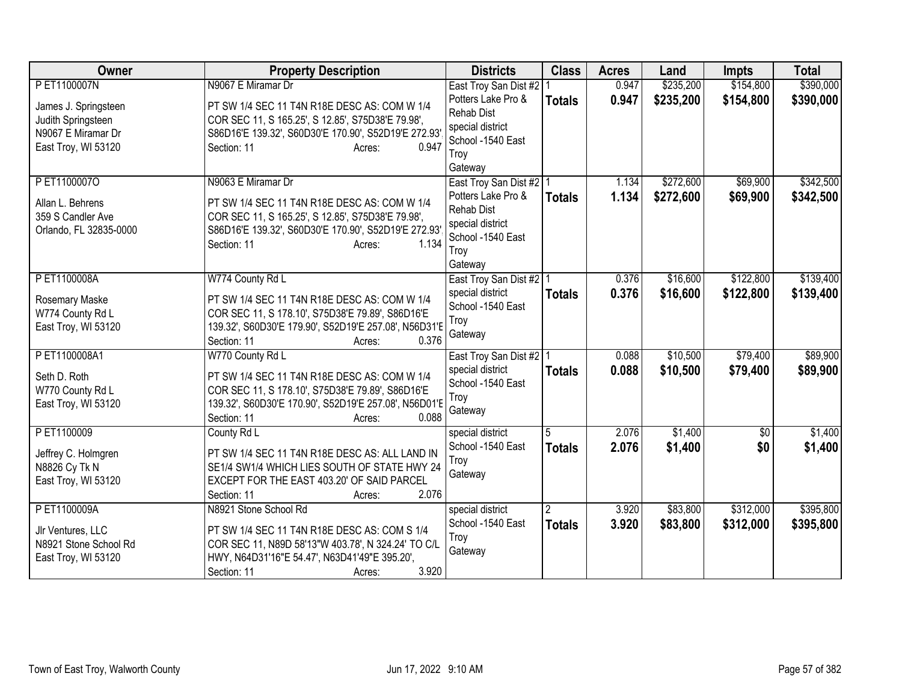| Owner                                                                                                  | <b>Property Description</b>                                                                                                                                                                                       | <b>Districts</b>                                                                                                                            | <b>Class</b>                    | <b>Acres</b>   | Land                   | <b>Impts</b>           | <b>Total</b>           |
|--------------------------------------------------------------------------------------------------------|-------------------------------------------------------------------------------------------------------------------------------------------------------------------------------------------------------------------|---------------------------------------------------------------------------------------------------------------------------------------------|---------------------------------|----------------|------------------------|------------------------|------------------------|
| PET1100007N<br>James J. Springsteen<br>Judith Springsteen<br>N9067 E Miramar Dr<br>East Troy, WI 53120 | N9067 E Miramar Dr<br>PT SW 1/4 SEC 11 T4N R18E DESC AS: COM W 1/4<br>COR SEC 11, S 165.25', S 12.85', S75D38'E 79.98',<br>S86D16'E 139.32', S60D30'E 170.90', S52D19'E 272.93'<br>0.947<br>Section: 11<br>Acres: | East Troy San Dist #2<br>Potters Lake Pro &<br><b>Rehab Dist</b><br>special district<br>School -1540 East<br>Troy                           | <b>Totals</b>                   | 0.947<br>0.947 | \$235,200<br>\$235,200 | \$154,800<br>\$154,800 | \$390,000<br>\$390,000 |
| PET11000070<br>Allan L. Behrens<br>359 S Candler Ave<br>Orlando, FL 32835-0000                         | N9063 E Miramar Dr<br>PT SW 1/4 SEC 11 T4N R18E DESC AS: COM W 1/4<br>COR SEC 11, S 165.25', S 12.85', S75D38'E 79.98',<br>S86D16'E 139.32', S60D30'E 170.90', S52D19'E 272.93'<br>1.134<br>Section: 11<br>Acres: | Gateway<br>East Troy San Dist #2   1<br>Potters Lake Pro &<br><b>Rehab Dist</b><br>special district<br>School -1540 East<br>Troy<br>Gateway | <b>Totals</b>                   | 1.134<br>1.134 | \$272,600<br>\$272,600 | \$69,900<br>\$69,900   | \$342,500<br>\$342,500 |
| PET1100008A<br>Rosemary Maske<br>W774 County Rd L<br>East Troy, WI 53120                               | W774 County Rd L<br>PT SW 1/4 SEC 11 T4N R18E DESC AS: COM W 1/4<br>COR SEC 11, S 178.10', S75D38'E 79.89', S86D16'E<br>139.32', S60D30'E 179.90', S52D19'E 257.08', N56D31'E<br>0.376<br>Section: 11<br>Acres:   | East Troy San Dist #2   1<br>special district<br>School -1540 East<br>Troy<br>Gateway                                                       | <b>Totals</b>                   | 0.376<br>0.376 | \$16,600<br>\$16,600   | \$122,800<br>\$122,800 | \$139,400<br>\$139,400 |
| PET1100008A1<br>Seth D. Roth<br>W770 County Rd L<br>East Troy, WI 53120                                | W770 County Rd L<br>PT SW 1/4 SEC 11 T4N R18E DESC AS: COM W 1/4<br>COR SEC 11, S 178.10', S75D38'E 79.89', S86D16'E<br>139.32', S60D30'E 170.90', S52D19'E 257.08', N56D01'E<br>0.088<br>Section: 11<br>Acres:   | East Troy San Dist #2   1<br>special district<br>School -1540 East<br>Troy<br>Gateway                                                       | <b>Totals</b>                   | 0.088<br>0.088 | \$10,500<br>\$10,500   | \$79,400<br>\$79,400   | \$89,900<br>\$89,900   |
| PET1100009<br>Jeffrey C. Holmgren<br>N8826 Cy Tk N<br>East Troy, WI 53120                              | County Rd L<br>PT SW 1/4 SEC 11 T4N R18E DESC AS: ALL LAND IN<br>SE1/4 SW1/4 WHICH LIES SOUTH OF STATE HWY 24<br>EXCEPT FOR THE EAST 403.20' OF SAID PARCEL<br>2.076<br>Section: 11<br>Acres:                     | special district<br>School -1540 East<br>Troy<br>Gateway                                                                                    | 5<br><b>Totals</b>              | 2.076<br>2.076 | \$1,400<br>\$1,400     | $\sqrt{$0}$<br>\$0     | \$1,400<br>\$1,400     |
| P ET1100009A<br>Jlr Ventures, LLC<br>N8921 Stone School Rd<br>East Troy, WI 53120                      | N8921 Stone School Rd<br>PT SW 1/4 SEC 11 T4N R18E DESC AS: COM S 1/4<br>COR SEC 11, N89D 58'13"W 403.78', N 324.24' TO C/L<br>HWY, N64D31'16"E 54.47', N63D41'49"E 395.20',<br>3.920<br>Section: 11<br>Acres:    | special district<br>School -1540 East<br>Troy<br>Gateway                                                                                    | $\overline{2}$<br><b>Totals</b> | 3.920<br>3.920 | \$83,800<br>\$83,800   | \$312,000<br>\$312,000 | \$395,800<br>\$395,800 |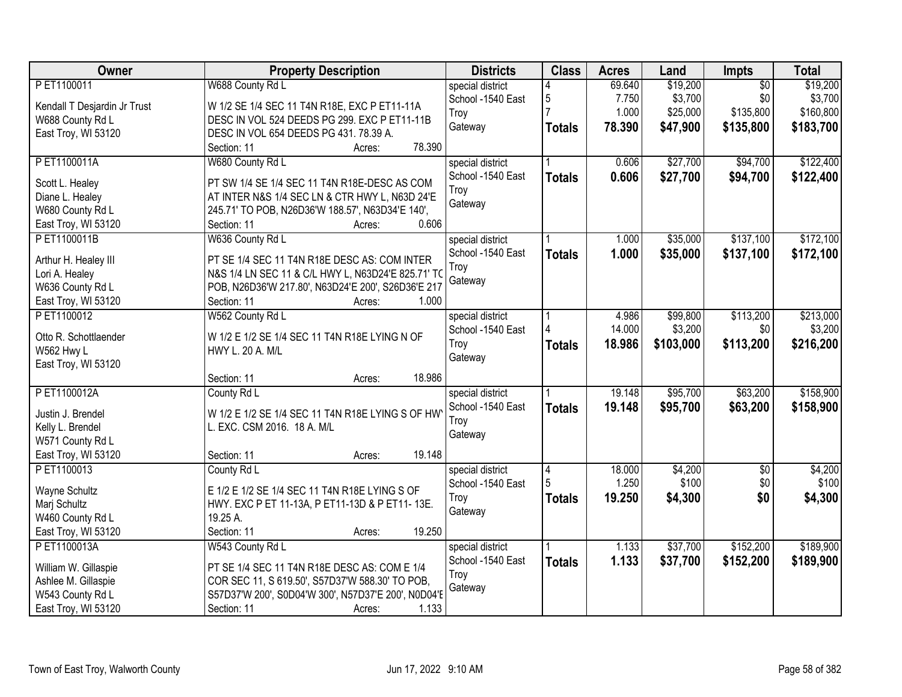| <b>Owner</b>                 | <b>Property Description</b>                         | <b>Districts</b>  | <b>Class</b>  | <b>Acres</b> | Land      | Impts           | <b>Total</b> |
|------------------------------|-----------------------------------------------------|-------------------|---------------|--------------|-----------|-----------------|--------------|
| PET1100011                   | W688 County Rd L                                    | special district  |               | 69.640       | \$19,200  | $\overline{50}$ | \$19,200     |
| Kendall T Desjardin Jr Trust | W 1/2 SE 1/4 SEC 11 T4N R18E, EXC P ET11-11A        | School -1540 East | 5             | 7.750        | \$3,700   | \$0             | \$3,700      |
| W688 County Rd L             | DESC IN VOL 524 DEEDS PG 299. EXC P ET11-11B        | Troy              |               | 1.000        | \$25,000  | \$135,800       | \$160,800    |
| East Troy, WI 53120          | DESC IN VOL 654 DEEDS PG 431. 78.39 A.              | Gateway           | <b>Totals</b> | 78.390       | \$47,900  | \$135,800       | \$183,700    |
|                              | 78.390<br>Section: 11<br>Acres:                     |                   |               |              |           |                 |              |
| PET1100011A                  | W680 County Rd L                                    | special district  |               | 0.606        | \$27,700  | \$94,700        | \$122,400    |
|                              |                                                     | School -1540 East | <b>Totals</b> | 0.606        | \$27,700  | \$94,700        | \$122,400    |
| Scott L. Healey              | PT SW 1/4 SE 1/4 SEC 11 T4N R18E-DESC AS COM        | Troy              |               |              |           |                 |              |
| Diane L. Healey              | AT INTER N&S 1/4 SEC LN & CTR HWY L, N63D 24'E      | Gateway           |               |              |           |                 |              |
| W680 County Rd L             | 245.71' TO POB, N26D36'W 188.57', N63D34'E 140',    |                   |               |              |           |                 |              |
| East Troy, WI 53120          | 0.606<br>Section: 11<br>Acres:                      |                   |               |              |           |                 |              |
| PET1100011B                  | W636 County Rd L                                    | special district  |               | 1.000        | \$35,000  | \$137,100       | \$172,100    |
| Arthur H. Healey III         | PT SE 1/4 SEC 11 T4N R18E DESC AS: COM INTER        | School -1540 East | <b>Totals</b> | 1.000        | \$35,000  | \$137,100       | \$172,100    |
| Lori A. Healey               | N&S 1/4 LN SEC 11 & C/L HWY L, N63D24'E 825.71' TO  | Troy              |               |              |           |                 |              |
| W636 County Rd L             | POB, N26D36'W 217.80', N63D24'E 200', S26D36'E 217  | Gateway           |               |              |           |                 |              |
| East Troy, WI 53120          | Section: 11<br>1.000<br>Acres:                      |                   |               |              |           |                 |              |
| PET1100012                   | W562 County Rd L                                    | special district  |               | 4.986        | \$99,800  | \$113,200       | \$213,000    |
|                              |                                                     | School -1540 East |               | 14.000       | \$3,200   | \$0             | \$3,200      |
| Otto R. Schottlaender        | W 1/2 E 1/2 SE 1/4 SEC 11 T4N R18E LYING N OF       | Troy              | <b>Totals</b> | 18.986       | \$103,000 | \$113,200       | \$216,200    |
| W562 Hwy L                   | HWY L. 20 A. M/L                                    | Gateway           |               |              |           |                 |              |
| East Troy, WI 53120          |                                                     |                   |               |              |           |                 |              |
|                              | 18.986<br>Section: 11<br>Acres:                     |                   |               |              |           |                 |              |
| PET1100012A                  | County Rd L                                         | special district  |               | 19.148       | \$95,700  | \$63,200        | \$158,900    |
| Justin J. Brendel            | W 1/2 E 1/2 SE 1/4 SEC 11 T4N R18E LYING S OF HW    | School -1540 East | <b>Totals</b> | 19.148       | \$95,700  | \$63,200        | \$158,900    |
| Kelly L. Brendel             | L. EXC. CSM 2016. 18 A. M/L                         | Troy              |               |              |           |                 |              |
| W571 County Rd L             |                                                     | Gateway           |               |              |           |                 |              |
| East Troy, WI 53120          | 19.148<br>Section: 11<br>Acres:                     |                   |               |              |           |                 |              |
| PET1100013                   | County Rd L                                         | special district  |               | 18.000       | \$4,200   | $\overline{60}$ | \$4,200      |
|                              |                                                     | School -1540 East | 4             | 1.250        | \$100     | \$0             | \$100        |
| Wayne Schultz                | E 1/2 E 1/2 SE 1/4 SEC 11 T4N R18E LYING S OF       |                   |               |              |           |                 |              |
| Marj Schultz                 | HWY. EXC P ET 11-13A, P ET11-13D & P ET11-13E.      | Troy              | <b>Totals</b> | 19.250       | \$4,300   | \$0             | \$4,300      |
| W460 County Rd L             | 19.25 A.                                            | Gateway           |               |              |           |                 |              |
| East Troy, WI 53120          | 19.250<br>Section: 11<br>Acres:                     |                   |               |              |           |                 |              |
| PET1100013A                  | W543 County Rd L                                    | special district  |               | 1.133        | \$37,700  | \$152,200       | \$189,900    |
|                              |                                                     | School -1540 East | <b>Totals</b> | 1.133        | \$37,700  | \$152,200       | \$189,900    |
| William W. Gillaspie         | PT SE 1/4 SEC 11 T4N R18E DESC AS: COM E 1/4        | Troy              |               |              |           |                 |              |
| Ashlee M. Gillaspie          | COR SEC 11, S 619.50', S57D37'W 588.30' TO POB,     | Gateway           |               |              |           |                 |              |
| W543 County Rd L             | S57D37'W 200', S0D04'W 300', N57D37'E 200', N0D04'E |                   |               |              |           |                 |              |
| East Troy, WI 53120          | 1.133<br>Section: 11<br>Acres:                      |                   |               |              |           |                 |              |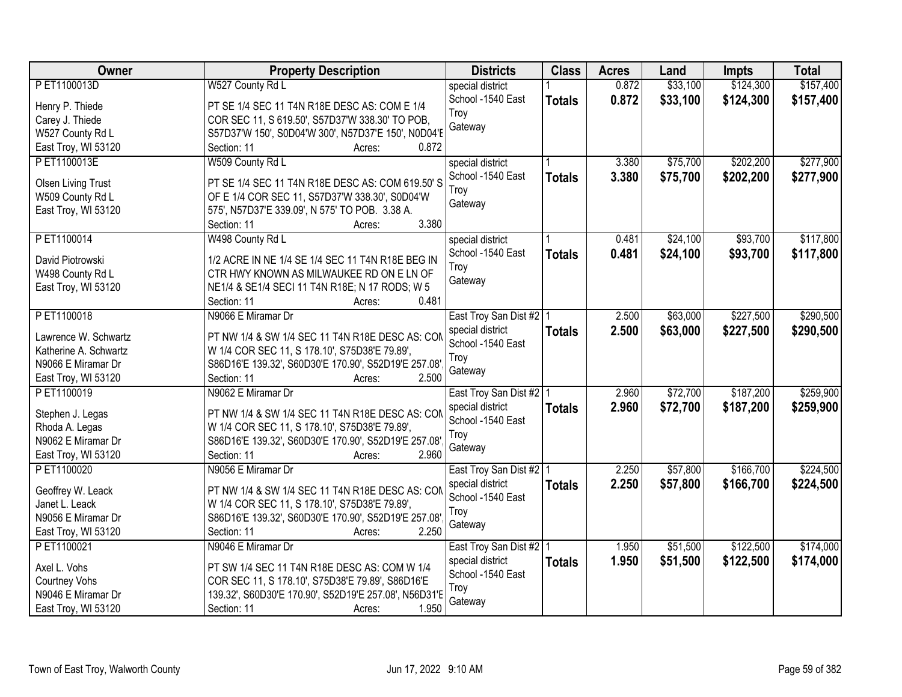| Owner                     | <b>Property Description</b>                             | <b>Districts</b>          | <b>Class</b>  | <b>Acres</b> | Land     | Impts     | <b>Total</b> |
|---------------------------|---------------------------------------------------------|---------------------------|---------------|--------------|----------|-----------|--------------|
| PET1100013D               | W527 County Rd L                                        | special district          |               | 0.872        | \$33,100 | \$124,300 | \$157,400    |
| Henry P. Thiede           | PT SE 1/4 SEC 11 T4N R18E DESC AS: COM E 1/4            | School -1540 East         | <b>Totals</b> | 0.872        | \$33,100 | \$124,300 | \$157,400    |
| Carey J. Thiede           | COR SEC 11, S 619.50', S57D37'W 338.30' TO POB,         | Troy                      |               |              |          |           |              |
| W527 County Rd L          | S57D37'W 150', S0D04'W 300', N57D37'E 150', N0D04'E     | Gateway                   |               |              |          |           |              |
| East Troy, WI 53120       | 0.872<br>Section: 11<br>Acres:                          |                           |               |              |          |           |              |
| PET1100013E               | W509 County Rd L                                        | special district          |               | 3.380        | \$75,700 | \$202,200 | \$277,900    |
|                           |                                                         | School -1540 East         | <b>Totals</b> | 3.380        | \$75,700 | \$202,200 | \$277,900    |
| <b>Olsen Living Trust</b> | PT SE 1/4 SEC 11 T4N R18E DESC AS: COM 619.50' S        | Troy                      |               |              |          |           |              |
| W509 County Rd L          | OF E 1/4 COR SEC 11, S57D37'W 338.30', S0D04'W          | Gateway                   |               |              |          |           |              |
| East Troy, WI 53120       | 575', N57D37'E 339.09', N 575' TO POB. 3.38 A.<br>3.380 |                           |               |              |          |           |              |
|                           | Section: 11<br>Acres:                                   |                           |               |              |          |           |              |
| PET1100014                | W498 County Rd L                                        | special district          |               | 0.481        | \$24,100 | \$93,700  | \$117,800    |
| David Piotrowski          | 1/2 ACRE IN NE 1/4 SE 1/4 SEC 11 T4N R18E BEG IN        | School -1540 East         | <b>Totals</b> | 0.481        | \$24,100 | \$93,700  | \$117,800    |
| W498 County Rd L          | CTR HWY KNOWN AS MILWAUKEE RD ON E LN OF                | Troy                      |               |              |          |           |              |
| East Troy, WI 53120       | NE1/4 & SE1/4 SECI 11 T4N R18E; N 17 RODS; W 5          | Gateway                   |               |              |          |           |              |
|                           | 0.481<br>Section: 11<br>Acres:                          |                           |               |              |          |           |              |
| PET1100018                | N9066 E Miramar Dr                                      | East Troy San Dist #2   1 |               | 2.500        | \$63,000 | \$227,500 | \$290,500    |
|                           |                                                         | special district          | <b>Totals</b> | 2.500        | \$63,000 | \$227,500 | \$290,500    |
| Lawrence W. Schwartz      | PT NW 1/4 & SW 1/4 SEC 11 T4N R18E DESC AS: COM         | School -1540 East         |               |              |          |           |              |
| Katherine A. Schwartz     | W 1/4 COR SEC 11, S 178.10', S75D38'E 79.89',           | Troy                      |               |              |          |           |              |
| N9066 E Miramar Dr        | S86D16'E 139.32', S60D30'E 170.90', S52D19'E 257.08'    | Gateway                   |               |              |          |           |              |
| East Troy, WI 53120       | 2.500<br>Section: 11<br>Acres:                          |                           |               |              |          |           |              |
| PET1100019                | N9062 E Miramar Dr                                      | East Troy San Dist #2   1 |               | 2.960        | \$72,700 | \$187,200 | \$259,900    |
| Stephen J. Legas          | PT NW 1/4 & SW 1/4 SEC 11 T4N R18E DESC AS: CON         | special district          | <b>Totals</b> | 2.960        | \$72,700 | \$187,200 | \$259,900    |
| Rhoda A. Legas            | W 1/4 COR SEC 11, S 178.10', S75D38'E 79.89',           | School -1540 East         |               |              |          |           |              |
| N9062 E Miramar Dr        | S86D16'E 139.32', S60D30'E 170.90', S52D19'E 257.08'    | Troy                      |               |              |          |           |              |
| East Troy, WI 53120       | Section: 11<br>2.960<br>Acres:                          | Gateway                   |               |              |          |           |              |
| PET1100020                | N9056 E Miramar Dr                                      | East Troy San Dist #2   1 |               | 2.250        | \$57,800 | \$166,700 | \$224,500    |
|                           |                                                         | special district          | <b>Totals</b> | 2.250        | \$57,800 | \$166,700 | \$224,500    |
| Geoffrey W. Leack         | PT NW 1/4 & SW 1/4 SEC 11 T4N R18E DESC AS: CON         | School -1540 East         |               |              |          |           |              |
| Janet L. Leack            | W 1/4 COR SEC 11, S 178.10', S75D38'E 79.89',           | Troy                      |               |              |          |           |              |
| N9056 E Miramar Dr        | S86D16'E 139.32', S60D30'E 170.90', S52D19'E 257.08'    | Gateway                   |               |              |          |           |              |
| East Troy, WI 53120       | 2.250<br>Section: 11<br>Acres:                          |                           |               |              |          |           |              |
| PET1100021                | N9046 E Miramar Dr                                      | East Troy San Dist #2   1 |               | 1.950        | \$51,500 | \$122,500 | \$174,000    |
| Axel L. Vohs              | PT SW 1/4 SEC 11 T4N R18E DESC AS: COM W 1/4            | special district          | <b>Totals</b> | 1.950        | \$51,500 | \$122,500 | \$174,000    |
| Courtney Vohs             | COR SEC 11, S 178.10', S75D38'E 79.89', S86D16'E        | School -1540 East         |               |              |          |           |              |
| N9046 E Miramar Dr        | 139.32', S60D30'E 170.90', S52D19'E 257.08', N56D31'E   | Troy                      |               |              |          |           |              |
| East Troy, WI 53120       | 1.950<br>Section: 11<br>Acres:                          | Gateway                   |               |              |          |           |              |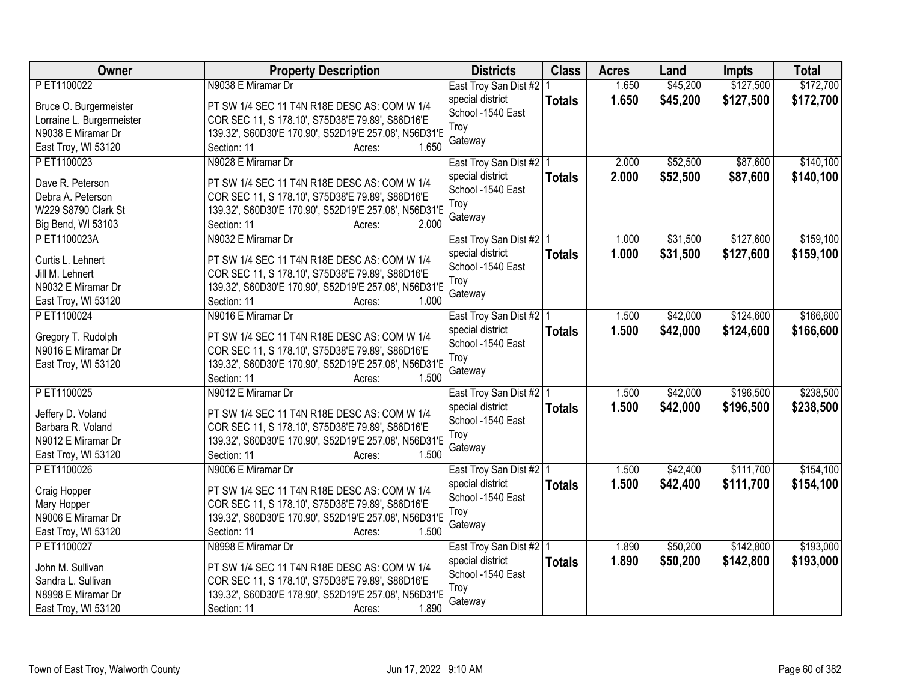| Owner                     | <b>Property Description</b>                                                                               | <b>Districts</b>                      | <b>Class</b>  | <b>Acres</b> | Land     | <b>Impts</b> | <b>Total</b> |
|---------------------------|-----------------------------------------------------------------------------------------------------------|---------------------------------------|---------------|--------------|----------|--------------|--------------|
| PET1100022                | N9038 E Miramar Dr                                                                                        | East Troy San Dist #2                 |               | 1.650        | \$45,200 | \$127,500    | \$172,700    |
| Bruce O. Burgermeister    | PT SW 1/4 SEC 11 T4N R18E DESC AS: COM W 1/4                                                              | special district                      | <b>Totals</b> | 1.650        | \$45,200 | \$127,500    | \$172,700    |
| Lorraine L. Burgermeister | COR SEC 11, S 178.10', S75D38'E 79.89', S86D16'E                                                          | School -1540 East                     |               |              |          |              |              |
| N9038 E Miramar Dr        | 139.32', S60D30'E 170.90', S52D19'E 257.08', N56D31'E                                                     | Troy                                  |               |              |          |              |              |
| East Troy, WI 53120       | 1.650<br>Section: 11<br>Acres:                                                                            | Gateway                               |               |              |          |              |              |
| PET1100023                | N9028 E Miramar Dr                                                                                        | East Troy San Dist #2 1               |               | 2.000        | \$52,500 | \$87,600     | \$140,100    |
|                           |                                                                                                           | special district                      | <b>Totals</b> | 2.000        | \$52,500 | \$87,600     | \$140,100    |
| Dave R. Peterson          | PT SW 1/4 SEC 11 T4N R18E DESC AS: COM W 1/4                                                              | School -1540 East                     |               |              |          |              |              |
| Debra A. Peterson         | COR SEC 11, S 178.10', S75D38'E 79.89', S86D16'E                                                          | Troy                                  |               |              |          |              |              |
| W229 S8790 Clark St       | 139.32', S60D30'E 170.90', S52D19'E 257.08', N56D31'E                                                     | Gateway                               |               |              |          |              |              |
| Big Bend, WI 53103        | 2.000<br>Section: 11<br>Acres:                                                                            |                                       |               |              |          |              |              |
| PET1100023A               | N9032 E Miramar Dr                                                                                        | East Troy San Dist #2   1             |               | 1.000        | \$31,500 | \$127,600    | \$159,100    |
| Curtis L. Lehnert         | PT SW 1/4 SEC 11 T4N R18E DESC AS: COM W 1/4                                                              | special district                      | <b>Totals</b> | 1.000        | \$31,500 | \$127,600    | \$159,100    |
| Jill M. Lehnert           | COR SEC 11, S 178.10', S75D38'E 79.89', S86D16'E                                                          | School -1540 East                     |               |              |          |              |              |
| N9032 E Miramar Dr        | 139.32', S60D30'E 170.90', S52D19'E 257.08', N56D31'E                                                     | Troy                                  |               |              |          |              |              |
| East Troy, WI 53120       | Section: 11<br>1.000<br>Acres:                                                                            | Gateway                               |               |              |          |              |              |
| PET1100024                | N9016 E Miramar Dr                                                                                        | East Troy San Dist #2   1             |               | 1.500        | \$42,000 | \$124,600    | \$166,600    |
|                           |                                                                                                           | special district                      | <b>Totals</b> | 1.500        | \$42,000 | \$124,600    | \$166,600    |
| Gregory T. Rudolph        | PT SW 1/4 SEC 11 T4N R18E DESC AS: COM W 1/4                                                              | School -1540 East                     |               |              |          |              |              |
| N9016 E Miramar Dr        | COR SEC 11, S 178.10', S75D38'E 79.89', S86D16'E<br>139.32', S60D30'E 170.90', S52D19'E 257.08', N56D31'E | Troy                                  |               |              |          |              |              |
| East Troy, WI 53120       | 1.500<br>Section: 11                                                                                      | Gateway                               |               |              |          |              |              |
| PET1100025                | Acres:<br>N9012 E Miramar Dr                                                                              |                                       |               | 1.500        | \$42,000 | \$196,500    | \$238,500    |
|                           |                                                                                                           | East Troy San Dist #2   1             |               | 1.500        |          |              |              |
| Jeffery D. Voland         | PT SW 1/4 SEC 11 T4N R18E DESC AS: COM W 1/4                                                              | special district<br>School -1540 East | <b>Totals</b> |              | \$42,000 | \$196,500    | \$238,500    |
| Barbara R. Voland         | COR SEC 11, S 178.10', S75D38'E 79.89', S86D16'E                                                          | Troy                                  |               |              |          |              |              |
| N9012 E Miramar Dr        | 139.32', S60D30'E 170.90', S52D19'E 257.08', N56D31'E                                                     | Gateway                               |               |              |          |              |              |
| East Troy, WI 53120       | 1.500<br>Section: 11<br>Acres:                                                                            |                                       |               |              |          |              |              |
| PET1100026                | N9006 E Miramar Dr                                                                                        | East Troy San Dist #2   1             |               | 1.500        | \$42,400 | \$111,700    | \$154,100    |
| Craig Hopper              | PT SW 1/4 SEC 11 T4N R18E DESC AS: COM W 1/4                                                              | special district                      | <b>Totals</b> | 1.500        | \$42,400 | \$111,700    | \$154,100    |
| Mary Hopper               | COR SEC 11, S 178.10', S75D38'E 79.89', S86D16'E                                                          | School -1540 East                     |               |              |          |              |              |
| N9006 E Miramar Dr        | 139.32', S60D30'E 170.90', S52D19'E 257.08', N56D31'E                                                     | Troy                                  |               |              |          |              |              |
| East Troy, WI 53120       | Section: 11<br>1.500<br>Acres:                                                                            | Gateway                               |               |              |          |              |              |
| PET1100027                | N8998 E Miramar Dr                                                                                        | East Troy San Dist #2 1               |               | 1.890        | \$50,200 | \$142,800    | \$193,000    |
|                           |                                                                                                           | special district                      | <b>Totals</b> | 1.890        | \$50,200 | \$142,800    | \$193,000    |
| John M. Sullivan          | PT SW 1/4 SEC 11 T4N R18E DESC AS: COM W 1/4                                                              | School -1540 East                     |               |              |          |              |              |
| Sandra L. Sullivan        | COR SEC 11, S 178.10', S75D38'E 79.89', S86D16'E                                                          | Troy                                  |               |              |          |              |              |
| N8998 E Miramar Dr        | 139.32', S60D30'E 178.90', S52D19'E 257.08', N56D31'E                                                     | Gateway                               |               |              |          |              |              |
| East Troy, WI 53120       | 1.890<br>Section: 11<br>Acres:                                                                            |                                       |               |              |          |              |              |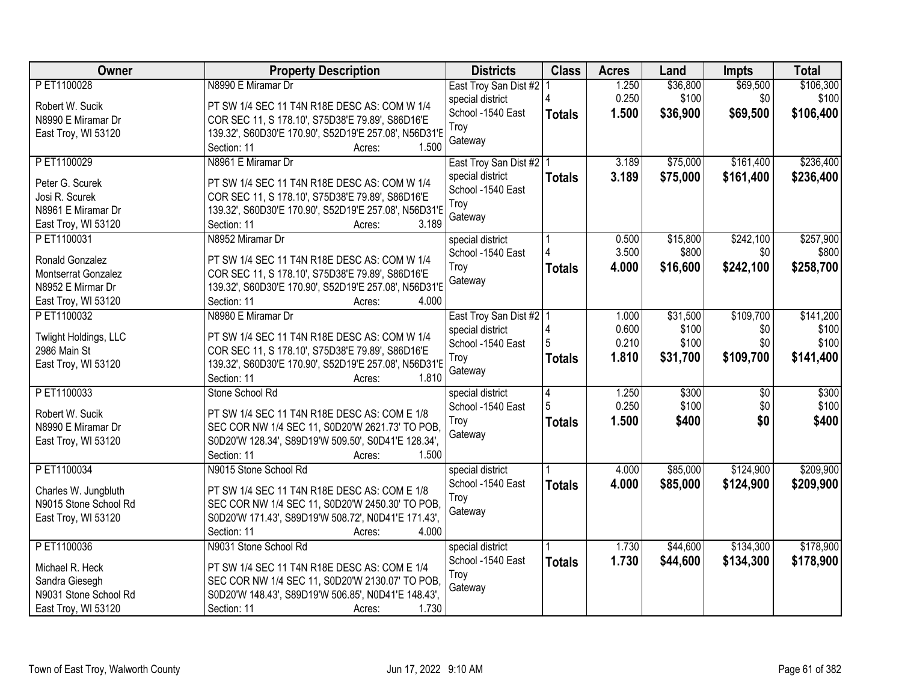| <b>Owner</b>          | <b>Property Description</b>                                    | <b>Districts</b>          | <b>Class</b>  | <b>Acres</b> | Land     | <b>Impts</b>    | <b>Total</b> |
|-----------------------|----------------------------------------------------------------|---------------------------|---------------|--------------|----------|-----------------|--------------|
| P ET1100028           | N8990 E Miramar Dr                                             | East Troy San Dist #2     |               | 1.250        | \$36,800 | \$69,500        | \$106,300    |
| Robert W. Sucik       | PT SW 1/4 SEC 11 T4N R18E DESC AS: COM W 1/4                   | special district          |               | 0.250        | \$100    | \$0             | \$100        |
| N8990 E Miramar Dr    | COR SEC 11, S 178.10', S75D38'E 79.89', S86D16'E               | School -1540 East         | <b>Totals</b> | 1.500        | \$36,900 | \$69,500        | \$106,400    |
| East Troy, WI 53120   | 139.32', S60D30'E 170.90', S52D19'E 257.08', N56D31'E          | Troy                      |               |              |          |                 |              |
|                       | 1.500<br>Section: 11<br>Acres:                                 | Gateway                   |               |              |          |                 |              |
| PET1100029            | N8961 E Miramar Dr                                             | East Troy San Dist #2   1 |               | 3.189        | \$75,000 | \$161,400       | \$236,400    |
|                       |                                                                | special district          | <b>Totals</b> | 3.189        | \$75,000 | \$161,400       | \$236,400    |
| Peter G. Scurek       | PT SW 1/4 SEC 11 T4N R18E DESC AS: COM W 1/4                   | School -1540 East         |               |              |          |                 |              |
| Josi R. Scurek        | COR SEC 11, S 178.10', S75D38'E 79.89', S86D16'E               | Troy                      |               |              |          |                 |              |
| N8961 E Miramar Dr    | 139.32', S60D30'E 170.90', S52D19'E 257.08', N56D31'E<br>3.189 | Gateway                   |               |              |          |                 |              |
| East Troy, WI 53120   | Section: 11<br>Acres:                                          |                           |               |              |          |                 |              |
| PET1100031            | N8952 Miramar Dr                                               | special district          |               | 0.500        | \$15,800 | \$242,100       | \$257,900    |
| Ronald Gonzalez       | PT SW 1/4 SEC 11 T4N R18E DESC AS: COM W 1/4                   | School -1540 East         |               | 3.500        | \$800    | \$0             | \$800        |
| Montserrat Gonzalez   | COR SEC 11, S 178.10', S75D38'E 79.89', S86D16'E               | Troy                      | <b>Totals</b> | 4.000        | \$16,600 | \$242,100       | \$258,700    |
| N8952 E Mirmar Dr     | 139.32', S60D30'E 170.90', S52D19'E 257.08', N56D31'E          | Gateway                   |               |              |          |                 |              |
| East Troy, WI 53120   | Section: 11<br>4.000<br>Acres:                                 |                           |               |              |          |                 |              |
| PET1100032            | N8980 E Miramar Dr                                             | East Troy San Dist #2   1 |               | 1.000        | \$31,500 | \$109,700       | \$141,200    |
|                       |                                                                | special district          |               | 0.600        | \$100    | \$0             | \$100        |
| Twlight Holdings, LLC | PT SW 1/4 SEC 11 T4N R18E DESC AS: COM W 1/4                   | School -1540 East         |               | 0.210        | \$100    | \$0             | \$100        |
| 2986 Main St          | COR SEC 11, S 178.10', S75D38'E 79.89', S86D16'E               | Troy                      | <b>Totals</b> | 1.810        | \$31,700 | \$109,700       | \$141,400    |
| East Troy, WI 53120   | 139.32', S60D30'E 170.90', S52D19'E 257.08', N56D31'E          | Gateway                   |               |              |          |                 |              |
|                       | 1.810<br>Section: 11<br>Acres:                                 |                           |               |              |          |                 |              |
| PET1100033            | Stone School Rd                                                | special district          | 4             | 1.250        | \$300    | $\overline{50}$ | \$300        |
| Robert W. Sucik       | PT SW 1/4 SEC 11 T4N R18E DESC AS: COM E 1/8                   | School -1540 East         | 5             | 0.250        | \$100    | \$0             | \$100        |
|                       |                                                                | Troy                      | <b>Totals</b> | 1.500        | \$400    | \$0             | \$400        |
| N8990 E Miramar Dr    | SEC COR NW 1/4 SEC 11, S0D20'W 2621.73' TO POB,                | Gateway                   |               |              |          |                 |              |
| East Troy, WI 53120   | S0D20'W 128.34', S89D19'W 509.50', S0D41'E 128.34',            |                           |               |              |          |                 |              |
|                       | Section: 11<br>1.500<br>Acres:                                 |                           |               |              |          |                 |              |
| PET1100034            | N9015 Stone School Rd                                          | special district          |               | 4.000        | \$85,000 | \$124,900       | \$209,900    |
| Charles W. Jungbluth  | PT SW 1/4 SEC 11 T4N R18E DESC AS: COM E 1/8                   | School -1540 East         | <b>Totals</b> | 4.000        | \$85,000 | \$124,900       | \$209,900    |
| N9015 Stone School Rd | SEC COR NW 1/4 SEC 11, S0D20'W 2450.30' TO POB,                | Troy                      |               |              |          |                 |              |
| East Troy, WI 53120   | S0D20'W 171.43', S89D19'W 508.72', N0D41'E 171.43',            | Gateway                   |               |              |          |                 |              |
|                       | Section: 11<br>4.000<br>Acres:                                 |                           |               |              |          |                 |              |
| PET1100036            | N9031 Stone School Rd                                          | special district          |               | 1.730        | \$44,600 | \$134,300       | \$178,900    |
|                       |                                                                | School -1540 East         | <b>Totals</b> | 1.730        | \$44,600 | \$134,300       | \$178,900    |
| Michael R. Heck       | PT SW 1/4 SEC 11 T4N R18E DESC AS: COM E 1/4                   | Troy                      |               |              |          |                 |              |
| Sandra Giesegh        | SEC COR NW 1/4 SEC 11, S0D20'W 2130.07' TO POB,                | Gateway                   |               |              |          |                 |              |
| N9031 Stone School Rd | S0D20'W 148.43', S89D19'W 506.85', N0D41'E 148.43',            |                           |               |              |          |                 |              |
| East Troy, WI 53120   | 1.730<br>Section: 11<br>Acres:                                 |                           |               |              |          |                 |              |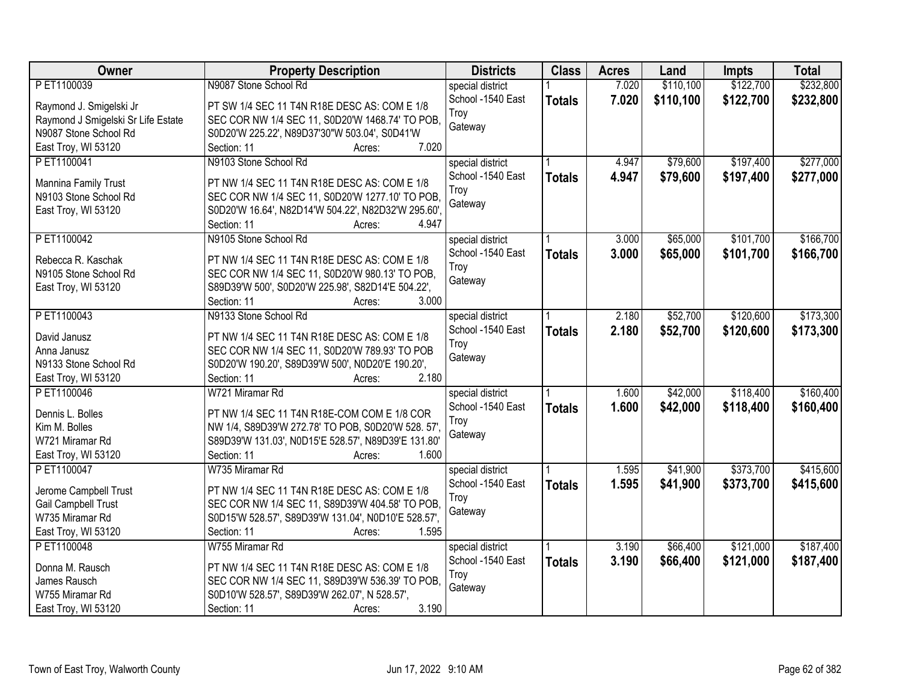| Owner                              | <b>Property Description</b>                         | <b>Districts</b>  | <b>Class</b>  | <b>Acres</b> | Land      | <b>Impts</b> | <b>Total</b> |
|------------------------------------|-----------------------------------------------------|-------------------|---------------|--------------|-----------|--------------|--------------|
| PET1100039                         | N9087 Stone School Rd                               | special district  |               | 7.020        | \$110,100 | \$122,700    | \$232,800    |
| Raymond J. Smigelski Jr            | PT SW 1/4 SEC 11 T4N R18E DESC AS: COM E 1/8        | School -1540 East | <b>Totals</b> | 7.020        | \$110,100 | \$122,700    | \$232,800    |
| Raymond J Smigelski Sr Life Estate | SEC COR NW 1/4 SEC 11, S0D20'W 1468.74' TO POB,     | Troy              |               |              |           |              |              |
| N9087 Stone School Rd              | S0D20'W 225.22', N89D37'30"W 503.04', S0D41'W       | Gateway           |               |              |           |              |              |
| East Troy, WI 53120                | 7.020<br>Section: 11<br>Acres:                      |                   |               |              |           |              |              |
| PET1100041                         | N9103 Stone School Rd                               | special district  |               | 4.947        | \$79,600  | \$197,400    | \$277,000    |
|                                    |                                                     | School -1540 East | <b>Totals</b> | 4.947        | \$79,600  | \$197,400    | \$277,000    |
| Mannina Family Trust               | PT NW 1/4 SEC 11 T4N R18E DESC AS: COM E 1/8        | Troy              |               |              |           |              |              |
| N9103 Stone School Rd              | SEC COR NW 1/4 SEC 11, S0D20'W 1277.10' TO POB,     | Gateway           |               |              |           |              |              |
| East Troy, WI 53120                | S0D20'W 16.64', N82D14'W 504.22', N82D32'W 295.60', |                   |               |              |           |              |              |
|                                    | 4.947<br>Section: 11<br>Acres:                      |                   |               |              |           |              |              |
| PET1100042                         | N9105 Stone School Rd                               | special district  |               | 3.000        | \$65,000  | \$101,700    | \$166,700    |
| Rebecca R. Kaschak                 | PT NW 1/4 SEC 11 T4N R18E DESC AS: COM E 1/8        | School -1540 East | <b>Totals</b> | 3.000        | \$65,000  | \$101,700    | \$166,700    |
| N9105 Stone School Rd              | SEC COR NW 1/4 SEC 11, S0D20'W 980.13' TO POB,      | Troy              |               |              |           |              |              |
| East Troy, WI 53120                | S89D39'W 500', S0D20'W 225.98', S82D14'E 504.22',   | Gateway           |               |              |           |              |              |
|                                    | 3.000<br>Section: 11<br>Acres:                      |                   |               |              |           |              |              |
| PET1100043                         | N9133 Stone School Rd                               | special district  |               | 2.180        | \$52,700  | \$120,600    | \$173,300    |
|                                    |                                                     | School -1540 East | <b>Totals</b> | 2.180        | \$52,700  | \$120,600    | \$173,300    |
| David Janusz                       | PT NW 1/4 SEC 11 T4N R18E DESC AS: COM E 1/8        | Troy              |               |              |           |              |              |
| Anna Janusz                        | SEC COR NW 1/4 SEC 11, S0D20'W 789.93' TO POB       | Gateway           |               |              |           |              |              |
| N9133 Stone School Rd              | S0D20'W 190.20', S89D39'W 500', N0D20'E 190.20',    |                   |               |              |           |              |              |
| East Troy, WI 53120                | Section: 11<br>2.180<br>Acres:                      |                   |               |              |           |              |              |
| PET1100046                         | W721 Miramar Rd                                     | special district  |               | 1.600        | \$42,000  | \$118,400    | \$160,400    |
| Dennis L. Bolles                   | PT NW 1/4 SEC 11 T4N R18E-COM COM E 1/8 COR         | School -1540 East | <b>Totals</b> | 1.600        | \$42,000  | \$118,400    | \$160,400    |
| Kim M. Bolles                      | NW 1/4, S89D39'W 272.78' TO POB, S0D20'W 528. 57'   | Troy              |               |              |           |              |              |
| W721 Miramar Rd                    | S89D39'W 131.03', N0D15'E 528.57', N89D39'E 131.80' | Gateway           |               |              |           |              |              |
| East Troy, WI 53120                | Section: 11<br>1.600<br>Acres:                      |                   |               |              |           |              |              |
| PET1100047                         | W735 Miramar Rd                                     | special district  |               | 1.595        | \$41,900  | \$373,700    | \$415,600    |
|                                    |                                                     | School -1540 East | <b>Totals</b> | 1.595        | \$41,900  | \$373,700    | \$415,600    |
| Jerome Campbell Trust              | PT NW 1/4 SEC 11 T4N R18E DESC AS: COM E 1/8        | Troy              |               |              |           |              |              |
| Gail Campbell Trust                | SEC COR NW 1/4 SEC 11, S89D39'W 404.58' TO POB,     | Gateway           |               |              |           |              |              |
| W735 Miramar Rd                    | S0D15'W 528.57', S89D39'W 131.04', N0D10'E 528.57', |                   |               |              |           |              |              |
| East Troy, WI 53120                | Section: 11<br>1.595<br>Acres:                      |                   |               |              |           |              |              |
| PET1100048                         | W755 Miramar Rd                                     | special district  |               | 3.190        | \$66,400  | \$121,000    | \$187,400    |
| Donna M. Rausch                    | PT NW 1/4 SEC 11 T4N R18E DESC AS: COM E 1/8        | School -1540 East | <b>Totals</b> | 3.190        | \$66,400  | \$121,000    | \$187,400    |
| James Rausch                       | SEC COR NW 1/4 SEC 11, S89D39'W 536.39' TO POB,     | Troy              |               |              |           |              |              |
| W755 Miramar Rd                    | S0D10'W 528.57', S89D39'W 262.07', N 528.57',       | Gateway           |               |              |           |              |              |
| East Troy, WI 53120                | 3.190<br>Section: 11<br>Acres:                      |                   |               |              |           |              |              |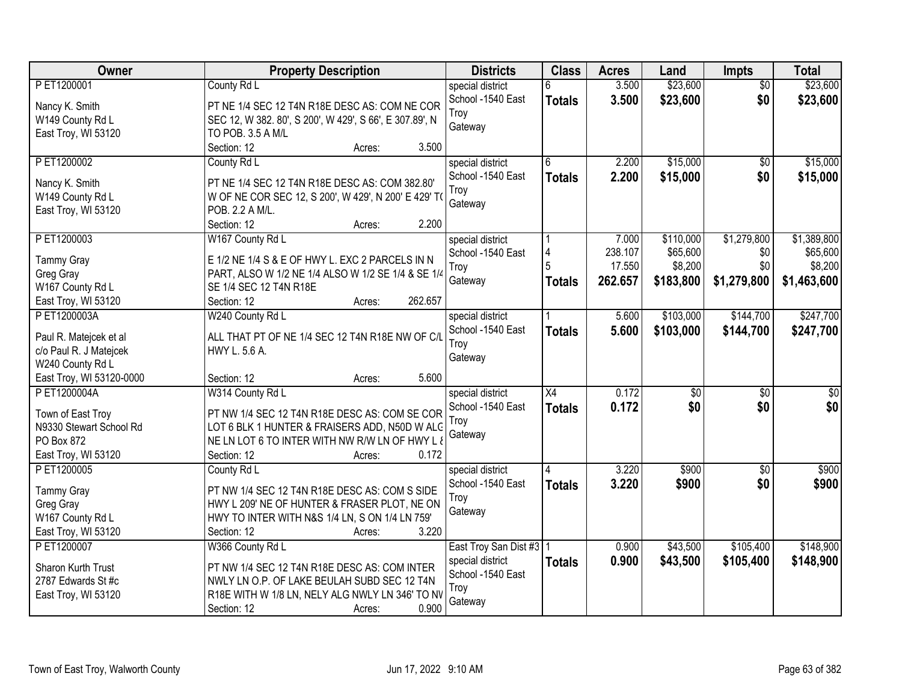| Owner                    | <b>Property Description</b>                             | <b>Districts</b>          | <b>Class</b>  | <b>Acres</b> | Land            | <b>Impts</b>    | <b>Total</b>    |
|--------------------------|---------------------------------------------------------|---------------------------|---------------|--------------|-----------------|-----------------|-----------------|
| PET1200001               | County Rd L                                             | special district          | 6             | 3.500        | \$23,600        | $\overline{50}$ | \$23,600        |
| Nancy K. Smith           | PT NE 1/4 SEC 12 T4N R18E DESC AS: COM NE COR           | School -1540 East         | <b>Totals</b> | 3.500        | \$23,600        | \$0             | \$23,600        |
| W149 County Rd L         | SEC 12, W 382. 80', S 200', W 429', S 66', E 307.89', N | Troy                      |               |              |                 |                 |                 |
| East Troy, WI 53120      | TO POB. 3.5 A M/L                                       | Gateway                   |               |              |                 |                 |                 |
|                          | Section: 12<br>3.500<br>Acres:                          |                           |               |              |                 |                 |                 |
| PET1200002               | County Rd L                                             | special district          |               | 2.200        | \$15,000        | \$0             | \$15,000        |
|                          |                                                         | School -1540 East         | <b>Totals</b> | 2.200        | \$15,000        | \$0             | \$15,000        |
| Nancy K. Smith           | PT NE 1/4 SEC 12 T4N R18E DESC AS: COM 382.80'          | Troy                      |               |              |                 |                 |                 |
| W149 County Rd L         | W OF NE COR SEC 12, S 200', W 429', N 200' E 429' TO    | Gateway                   |               |              |                 |                 |                 |
| East Troy, WI 53120      | POB. 2.2 A M/L.<br>2.200<br>Section: 12<br>Acres:       |                           |               |              |                 |                 |                 |
| PET1200003               | W167 County Rd L                                        | special district          |               | 7.000        | \$110,000       | \$1,279,800     | \$1,389,800     |
|                          |                                                         | School -1540 East         |               | 238.107      | \$65,600        | \$0             | \$65,600        |
| <b>Tammy Gray</b>        | E 1/2 NE 1/4 S & E OF HWY L. EXC 2 PARCELS IN N         | Troy                      |               | 17.550       | \$8,200         | \$0             | \$8,200         |
| Greg Gray                | PART, ALSO W 1/2 NE 1/4 ALSO W 1/2 SE 1/4 & SE 1/4      | Gateway                   |               | 262.657      | \$183,800       | \$1,279,800     | \$1,463,600     |
| W167 County Rd L         | SE 1/4 SEC 12 T4N R18E                                  |                           | <b>Totals</b> |              |                 |                 |                 |
| East Troy, WI 53120      | 262.657<br>Section: 12<br>Acres:                        |                           |               |              |                 |                 |                 |
| PET1200003A              | W240 County Rd L                                        | special district          |               | 5.600        | \$103,000       | \$144,700       | \$247,700       |
| Paul R. Matejcek et al   | ALL THAT PT OF NE 1/4 SEC 12 T4N R18E NW OF C/L         | School -1540 East         | <b>Totals</b> | 5.600        | \$103,000       | \$144,700       | \$247,700       |
| c/o Paul R. J Matejcek   | HWY L. 5.6 A.                                           | Troy                      |               |              |                 |                 |                 |
| W240 County Rd L         |                                                         | Gateway                   |               |              |                 |                 |                 |
| East Troy, WI 53120-0000 | 5.600<br>Section: 12<br>Acres:                          |                           |               |              |                 |                 |                 |
| P ET1200004A             | W314 County Rd L                                        | special district          | X4            | 0.172        | $\overline{50}$ | \$0             | $\overline{50}$ |
|                          |                                                         | School -1540 East         | <b>Totals</b> | 0.172        | \$0             | \$0             | \$0             |
| Town of East Troy        | PT NW 1/4 SEC 12 T4N R18E DESC AS: COM SE COR           | Trov                      |               |              |                 |                 |                 |
| N9330 Stewart School Rd  | LOT 6 BLK 1 HUNTER & FRAISERS ADD, N50D W ALC           | Gateway                   |               |              |                 |                 |                 |
| PO Box 872               | NE LN LOT 6 TO INTER WITH NW R/W LN OF HWY L {          |                           |               |              |                 |                 |                 |
| East Troy, WI 53120      | 0.172<br>Section: 12<br>Acres:                          |                           |               |              |                 |                 |                 |
| PET1200005               | County Rd L                                             | special district          |               | 3.220        | \$900           | \$0             | \$900           |
| <b>Tammy Gray</b>        | PT NW 1/4 SEC 12 T4N R18E DESC AS: COM S SIDE           | School -1540 East         | <b>Totals</b> | 3.220        | \$900           | \$0             | \$900           |
| Greg Gray                | HWY L 209' NE OF HUNTER & FRASER PLOT, NE ON            | Troy                      |               |              |                 |                 |                 |
| W167 County Rd L         | HWY TO INTER WITH N&S 1/4 LN, S ON 1/4 LN 759'          | Gateway                   |               |              |                 |                 |                 |
| East Troy, WI 53120      | 3.220<br>Section: 12<br>Acres:                          |                           |               |              |                 |                 |                 |
| PET1200007               | W366 County Rd L                                        | East Troy San Dist #3   1 |               | 0.900        | \$43,500        | \$105,400       | \$148,900       |
|                          |                                                         | special district          | <b>Totals</b> | 0.900        | \$43,500        | \$105,400       | \$148,900       |
| Sharon Kurth Trust       | PT NW 1/4 SEC 12 T4N R18E DESC AS: COM INTER            | School -1540 East         |               |              |                 |                 |                 |
| 2787 Edwards St #c       | NWLY LN O.P. OF LAKE BEULAH SUBD SEC 12 T4N             | Troy                      |               |              |                 |                 |                 |
| East Troy, WI 53120      | R18E WITH W 1/8 LN, NELY ALG NWLY LN 346' TO NV         | Gateway                   |               |              |                 |                 |                 |
|                          | 0.900<br>Section: 12<br>Acres:                          |                           |               |              |                 |                 |                 |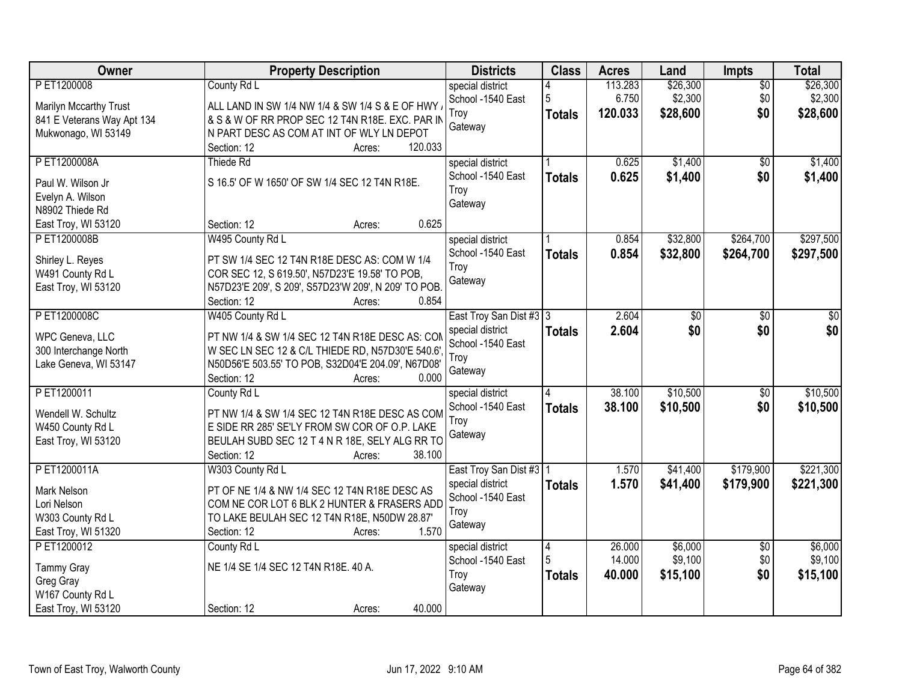| Owner                                | <b>Property Description</b>                                 | <b>Districts</b>                      | <b>Class</b>  | <b>Acres</b> | Land     | Impts           | <b>Total</b> |
|--------------------------------------|-------------------------------------------------------------|---------------------------------------|---------------|--------------|----------|-----------------|--------------|
| PET1200008                           | County Rd L                                                 | special district                      |               | 113.283      | \$26,300 | $\overline{50}$ | \$26,300     |
| Marilyn Mccarthy Trust               | ALL LAND IN SW 1/4 NW 1/4 & SW 1/4 S & E OF HWY.            | School -1540 East                     | 5             | 6.750        | \$2,300  | \$0             | \$2,300      |
| 841 E Veterans Way Apt 134           | & S & W OF RR PROP SEC 12 T4N R18E. EXC. PAR IN             | Troy                                  | <b>Totals</b> | 120.033      | \$28,600 | \$0             | \$28,600     |
| Mukwonago, WI 53149                  | N PART DESC AS COM AT INT OF WLY LN DEPOT                   | Gateway                               |               |              |          |                 |              |
|                                      | 120.033<br>Section: 12<br>Acres:                            |                                       |               |              |          |                 |              |
| PET1200008A                          | Thiede Rd                                                   | special district                      |               | 0.625        | \$1,400  | \$0             | \$1,400      |
| Paul W. Wilson Jr.                   | S 16.5' OF W 1650' OF SW 1/4 SEC 12 T4N R18E.               | School -1540 East                     | <b>Totals</b> | 0.625        | \$1,400  | \$0             | \$1,400      |
| Evelyn A. Wilson                     |                                                             | Troy                                  |               |              |          |                 |              |
| N8902 Thiede Rd                      |                                                             | Gateway                               |               |              |          |                 |              |
| East Troy, WI 53120                  | 0.625<br>Section: 12<br>Acres:                              |                                       |               |              |          |                 |              |
| PET1200008B                          | W495 County Rd L                                            | special district                      |               | 0.854        | \$32,800 | \$264,700       | \$297,500    |
|                                      | PT SW 1/4 SEC 12 T4N R18E DESC AS: COM W 1/4                | School -1540 East                     | <b>Totals</b> | 0.854        | \$32,800 | \$264,700       | \$297,500    |
| Shirley L. Reyes<br>W491 County Rd L | COR SEC 12, S 619.50', N57D23'E 19.58' TO POB,              | Troy                                  |               |              |          |                 |              |
| East Troy, WI 53120                  | N57D23'E 209', S 209', S57D23'W 209', N 209' TO POB.        | Gateway                               |               |              |          |                 |              |
|                                      | Section: 12<br>0.854<br>Acres:                              |                                       |               |              |          |                 |              |
| PET1200008C                          | W405 County Rd L                                            | East Troy San Dist #3 3               |               | 2.604        | \$0      | \$0             | \$0          |
|                                      |                                                             | special district                      | <b>Totals</b> | 2.604        | \$0      | \$0             | \$0          |
| WPC Geneva, LLC                      | PT NW 1/4 & SW 1/4 SEC 12 T4N R18E DESC AS: COM             | School -1540 East                     |               |              |          |                 |              |
| 300 Interchange North                | W SEC LN SEC 12 & C/L THIEDE RD, N57D30'E 540.6'.           | Troy                                  |               |              |          |                 |              |
| Lake Geneva, WI 53147                | N50D56'E 503.55' TO POB, S32D04'E 204.09', N67D08'<br>0.000 | Gateway                               |               |              |          |                 |              |
| PET1200011                           | Section: 12<br>Acres:<br>County Rd L                        |                                       | 4             | 38.100       | \$10,500 | $\overline{50}$ | \$10,500     |
|                                      |                                                             | special district<br>School -1540 East |               |              |          |                 |              |
| Wendell W. Schultz                   | PT NW 1/4 & SW 1/4 SEC 12 T4N R18E DESC AS COM              | Troy                                  | <b>Totals</b> | 38.100       | \$10,500 | \$0             | \$10,500     |
| W450 County Rd L                     | E SIDE RR 285' SE'LY FROM SW COR OF O.P. LAKE               | Gateway                               |               |              |          |                 |              |
| East Troy, WI 53120                  | BEULAH SUBD SEC 12 T 4 N R 18E, SELY ALG RR TO              |                                       |               |              |          |                 |              |
|                                      | Section: 12<br>38.100<br>Acres:                             |                                       |               |              |          |                 |              |
| PET1200011A                          | W303 County Rd L                                            | East Troy San Dist #3   1             |               | 1.570        | \$41,400 | \$179,900       | \$221,300    |
| Mark Nelson                          | PT OF NE 1/4 & NW 1/4 SEC 12 T4N R18E DESC AS               | special district                      | <b>Totals</b> | 1.570        | \$41,400 | \$179,900       | \$221,300    |
| Lori Nelson                          | COM NE COR LOT 6 BLK 2 HUNTER & FRASERS ADD                 | School -1540 East                     |               |              |          |                 |              |
| W303 County Rd L                     | TO LAKE BEULAH SEC 12 T4N R18E, N50DW 28.87'                | Troy                                  |               |              |          |                 |              |
| East Troy, WI 51320                  | 1.570<br>Section: 12<br>Acres:                              | Gateway                               |               |              |          |                 |              |
| PET1200012                           | County Rd L                                                 | special district                      | $\vert 4$     | 26.000       | \$6,000  | $\overline{50}$ | \$6,000      |
| <b>Tammy Gray</b>                    | NE 1/4 SE 1/4 SEC 12 T4N R18E. 40 A.                        | School -1540 East                     | 5             | 14.000       | \$9,100  | \$0             | \$9,100      |
| Greg Gray                            |                                                             | Troy                                  | <b>Totals</b> | 40.000       | \$15,100 | \$0             | \$15,100     |
| W167 County Rd L                     |                                                             | Gateway                               |               |              |          |                 |              |
| East Troy, WI 53120                  | 40.000<br>Section: 12<br>Acres:                             |                                       |               |              |          |                 |              |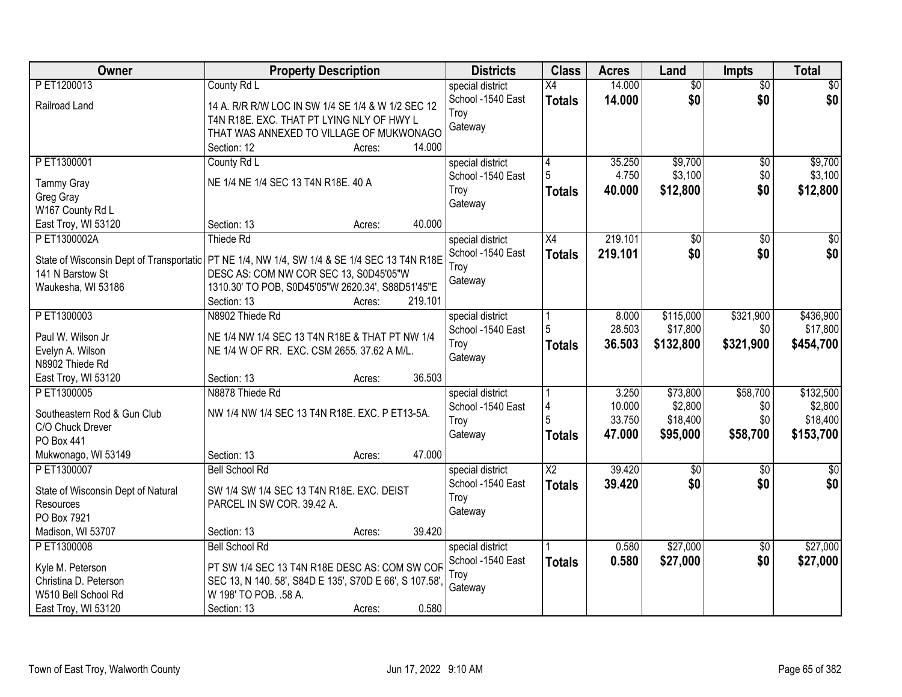| Owner                                     | <b>Property Description</b>                                                                   |         | <b>Districts</b>                      | <b>Class</b>           | <b>Acres</b>    | Land                  | <b>Impts</b>     | <b>Total</b>    |
|-------------------------------------------|-----------------------------------------------------------------------------------------------|---------|---------------------------------------|------------------------|-----------------|-----------------------|------------------|-----------------|
| PET1200013                                | County Rd L                                                                                   |         | special district                      | X4                     | 14.000          | $\overline{50}$       | $\overline{50}$  | $\sqrt{50}$     |
| Railroad Land                             | 14 A. R/R R/W LOC IN SW 1/4 SE 1/4 & W 1/2 SEC 12                                             |         | School -1540 East                     | <b>Totals</b>          | 14.000          | \$0                   | \$0              | \$0             |
|                                           | T4N R18E. EXC. THAT PT LYING NLY OF HWY L                                                     |         | Troy                                  |                        |                 |                       |                  |                 |
|                                           | THAT WAS ANNEXED TO VILLAGE OF MUKWONAGO                                                      |         | Gateway                               |                        |                 |                       |                  |                 |
|                                           | Section: 12<br>Acres:                                                                         | 14.000  |                                       |                        |                 |                       |                  |                 |
| PET1300001                                | County Rd L                                                                                   |         | special district                      | 4                      | 35.250          | \$9,700               | \$0              | \$9,700         |
|                                           | NE 1/4 NE 1/4 SEC 13 T4N R18E. 40 A                                                           |         | School -1540 East                     | 5                      | 4.750           | \$3,100               | \$0              | \$3,100         |
| <b>Tammy Gray</b><br>Greg Gray            |                                                                                               |         | Troy                                  | Totals                 | 40.000          | \$12,800              | \$0              | \$12,800        |
| W167 County Rd L                          |                                                                                               |         | Gateway                               |                        |                 |                       |                  |                 |
| East Troy, WI 53120                       | Section: 13<br>Acres:                                                                         | 40.000  |                                       |                        |                 |                       |                  |                 |
| PET1300002A                               | Thiede Rd                                                                                     |         | special district                      | X4                     | 219.101         | $\overline{50}$       | $\overline{50}$  | $\overline{30}$ |
|                                           |                                                                                               |         | School -1540 East                     | <b>Totals</b>          | 219.101         | \$0                   | \$0              | \$0             |
|                                           | State of Wisconsin Dept of Transportatic   PT NE 1/4, NW 1/4, SW 1/4 & SE 1/4 SEC 13 T4N R18E |         | Troy                                  |                        |                 |                       |                  |                 |
| 141 N Barstow St                          | DESC AS: COM NW COR SEC 13, S0D45'05"W                                                        |         | Gateway                               |                        |                 |                       |                  |                 |
| Waukesha, WI 53186                        | 1310.30' TO POB, S0D45'05"W 2620.34', S88D51'45"E                                             |         |                                       |                        |                 |                       |                  |                 |
| PET1300003                                | Section: 13<br>Acres:<br>N8902 Thiede Rd                                                      | 219.101 |                                       |                        |                 |                       |                  | \$436,900       |
|                                           |                                                                                               |         | special district<br>School -1540 East | 5                      | 8.000<br>28.503 | \$115,000<br>\$17,800 | \$321,900<br>\$0 | \$17,800        |
| Paul W. Wilson Jr                         | NE 1/4 NW 1/4 SEC 13 T4N R18E & THAT PT NW 1/4                                                |         | Troy                                  |                        | 36.503          | \$132,800             | \$321,900        | \$454,700       |
| Evelyn A. Wilson                          | NE 1/4 W OF RR. EXC. CSM 2655. 37.62 A M/L.                                                   |         | Gateway                               | <b>Totals</b>          |                 |                       |                  |                 |
| N8902 Thiede Rd                           |                                                                                               |         |                                       |                        |                 |                       |                  |                 |
| East Troy, WI 53120                       | Section: 13<br>Acres:                                                                         | 36.503  |                                       |                        |                 |                       |                  |                 |
| P ET1300005                               | N8878 Thiede Rd                                                                               |         | special district                      |                        | 3.250           | \$73,800              | \$58,700         | \$132,500       |
| Southeastern Rod & Gun Club               | NW 1/4 NW 1/4 SEC 13 T4N R18E. EXC. P ET13-5A.                                                |         | School -1540 East                     |                        | 10.000          | \$2,800               | \$0              | \$2,800         |
| C/O Chuck Drever                          |                                                                                               |         | Troy                                  |                        | 33.750          | \$18,400              | \$0              | \$18,400        |
| PO Box 441                                |                                                                                               |         | Gateway                               | <b>Totals</b>          | 47.000          | \$95,000              | \$58,700         | \$153,700       |
| Mukwonago, WI 53149                       | Section: 13<br>Acres:                                                                         | 47.000  |                                       |                        |                 |                       |                  |                 |
| PET1300007                                | <b>Bell School Rd</b>                                                                         |         | special district                      | $\overline{\text{X2}}$ | 39.420          | $\overline{50}$       | $\overline{50}$  | $\sqrt{50}$     |
| State of Wisconsin Dept of Natural        | SW 1/4 SW 1/4 SEC 13 T4N R18E. EXC. DEIST                                                     |         | School -1540 East                     | <b>Totals</b>          | 39.420          | \$0                   | \$0              | \$0             |
| Resources                                 | PARCEL IN SW COR. 39.42 A.                                                                    |         | Troy                                  |                        |                 |                       |                  |                 |
| PO Box 7921                               |                                                                                               |         | Gateway                               |                        |                 |                       |                  |                 |
| Madison, WI 53707                         | Section: 13<br>Acres:                                                                         | 39.420  |                                       |                        |                 |                       |                  |                 |
| PET1300008                                | <b>Bell School Rd</b>                                                                         |         | special district                      |                        | 0.580           | \$27,000              | \$0              | \$27,000        |
|                                           | PT SW 1/4 SEC 13 T4N R18E DESC AS: COM SW COF                                                 |         | School -1540 East                     | <b>Totals</b>          | 0.580           | \$27,000              | \$0              | \$27,000        |
| Kyle M. Peterson<br>Christina D. Peterson | SEC 13, N 140. 58', S84D E 135', S70D E 66', S 107.58',                                       |         | Troy                                  |                        |                 |                       |                  |                 |
| W510 Bell School Rd                       | W 198' TO POB. .58 A.                                                                         |         | Gateway                               |                        |                 |                       |                  |                 |
| East Troy, WI 53120                       | Section: 13<br>Acres:                                                                         | 0.580   |                                       |                        |                 |                       |                  |                 |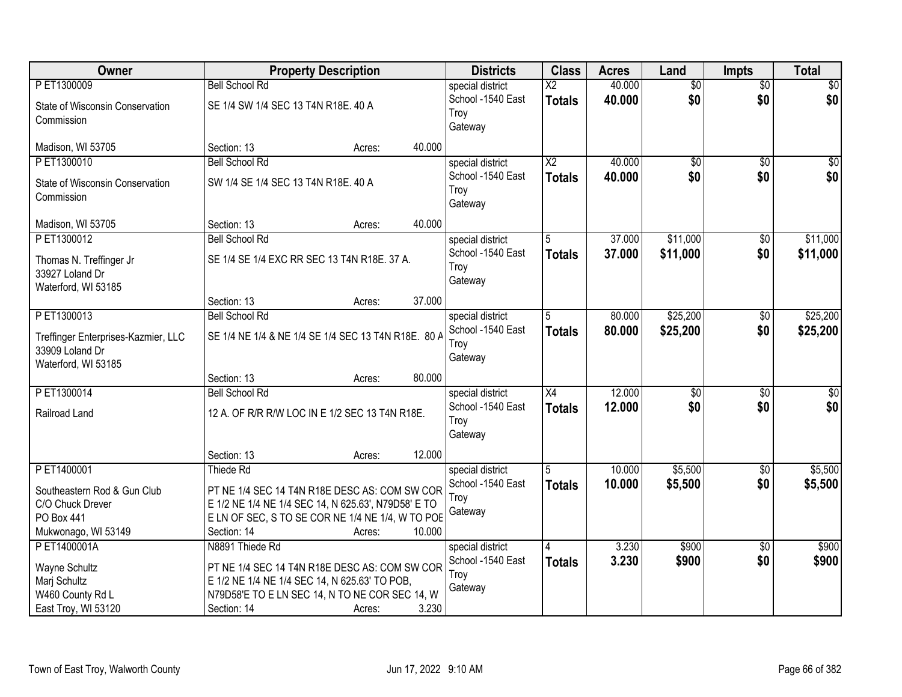| Owner                               |                                                     | <b>Property Description</b> |        | <b>Districts</b>  | <b>Class</b>           | <b>Acres</b> | Land            | <b>Impts</b>    | <b>Total</b>    |
|-------------------------------------|-----------------------------------------------------|-----------------------------|--------|-------------------|------------------------|--------------|-----------------|-----------------|-----------------|
| PET1300009                          | <b>Bell School Rd</b>                               |                             |        | special district  | $\overline{\text{X2}}$ | 40.000       | $\overline{50}$ | $\overline{60}$ | $\overline{30}$ |
| State of Wisconsin Conservation     | SE 1/4 SW 1/4 SEC 13 T4N R18E. 40 A                 |                             |        | School -1540 East | <b>Totals</b>          | 40.000       | \$0             | \$0             | \$0             |
| Commission                          |                                                     |                             |        | Troy              |                        |              |                 |                 |                 |
|                                     |                                                     |                             |        | Gateway           |                        |              |                 |                 |                 |
| Madison, WI 53705                   | Section: 13                                         | Acres:                      | 40.000 |                   |                        |              |                 |                 |                 |
| P ET1300010                         | <b>Bell School Rd</b>                               |                             |        | special district  | $\overline{\text{X2}}$ | 40.000       | \$0             | $\overline{50}$ | \$0             |
| State of Wisconsin Conservation     | SW 1/4 SE 1/4 SEC 13 T4N R18E. 40 A                 |                             |        | School -1540 East | <b>Totals</b>          | 40.000       | \$0             | \$0             | \$0             |
| Commission                          |                                                     |                             |        | Troy              |                        |              |                 |                 |                 |
|                                     |                                                     |                             |        | Gateway           |                        |              |                 |                 |                 |
| Madison, WI 53705                   | Section: 13                                         | Acres:                      | 40.000 |                   |                        |              |                 |                 |                 |
| PET1300012                          | <b>Bell School Rd</b>                               |                             |        | special district  | 5                      | 37.000       | \$11,000        | \$0             | \$11,000        |
| Thomas N. Treffinger Jr             | SE 1/4 SE 1/4 EXC RR SEC 13 T4N R18E. 37 A.         |                             |        | School -1540 East | <b>Totals</b>          | 37.000       | \$11,000        | \$0             | \$11,000        |
| 33927 Loland Dr                     |                                                     |                             |        | Troy              |                        |              |                 |                 |                 |
| Waterford, WI 53185                 |                                                     |                             |        | Gateway           |                        |              |                 |                 |                 |
|                                     | Section: 13                                         | Acres:                      | 37.000 |                   |                        |              |                 |                 |                 |
| PET1300013                          | <b>Bell School Rd</b>                               |                             |        | special district  | 5                      | 80.000       | \$25,200        | $\sqrt[6]{3}$   | \$25,200        |
|                                     |                                                     |                             |        | School -1540 East | <b>Totals</b>          | 80.000       | \$25,200        | \$0             | \$25,200        |
| Treffinger Enterprises-Kazmier, LLC | SE 1/4 NE 1/4 & NE 1/4 SE 1/4 SEC 13 T4N R18E. 80 A |                             |        | Troy              |                        |              |                 |                 |                 |
| 33909 Loland Dr                     |                                                     |                             |        | Gateway           |                        |              |                 |                 |                 |
| Waterford, WI 53185                 | Section: 13                                         | Acres:                      | 80.000 |                   |                        |              |                 |                 |                 |
| PET1300014                          | <b>Bell School Rd</b>                               |                             |        | special district  | $\overline{X4}$        | 12.000       | $\overline{50}$ | \$0             | $\sqrt{50}$     |
|                                     |                                                     |                             |        | School -1540 East |                        | 12.000       | \$0             | \$0             | \$0             |
| Railroad Land                       | 12 A. OF R/R R/W LOC IN E 1/2 SEC 13 T4N R18E.      |                             |        | Troy              | <b>Totals</b>          |              |                 |                 |                 |
|                                     |                                                     |                             |        | Gateway           |                        |              |                 |                 |                 |
|                                     |                                                     |                             |        |                   |                        |              |                 |                 |                 |
|                                     | Section: 13                                         | Acres:                      | 12.000 |                   |                        |              |                 |                 |                 |
| PET1400001                          | Thiede Rd                                           |                             |        | special district  | 5                      | 10.000       | \$5,500         | \$0             | \$5,500         |
| Southeastern Rod & Gun Club         | PT NE 1/4 SEC 14 T4N R18E DESC AS: COM SW COR       |                             |        | School -1540 East | <b>Totals</b>          | 10.000       | \$5,500         | \$0             | \$5,500         |
| C/O Chuck Drever                    | E 1/2 NE 1/4 NE 1/4 SEC 14, N 625.63', N79D58' E TO |                             |        | Trov              |                        |              |                 |                 |                 |
| PO Box 441                          | E LN OF SEC, S TO SE COR NE 1/4 NE 1/4, W TO POE    |                             |        | Gateway           |                        |              |                 |                 |                 |
| Mukwonago, WI 53149                 | Section: 14                                         | Acres:                      | 10.000 |                   |                        |              |                 |                 |                 |
| PET1400001A                         | N8891 Thiede Rd                                     |                             |        | special district  | 14                     | 3.230        | \$900           | $\overline{30}$ | \$900           |
| Wayne Schultz                       | PT NE 1/4 SEC 14 T4N R18E DESC AS: COM SW COR       |                             |        | School -1540 East | <b>Totals</b>          | 3.230        | \$900           | \$0             | \$900           |
| Marj Schultz                        | E 1/2 NE 1/4 NE 1/4 SEC 14, N 625.63' TO POB,       |                             |        | Troy              |                        |              |                 |                 |                 |
| W460 County Rd L                    | N79D58'E TO E LN SEC 14, N TO NE COR SEC 14, W      |                             |        | Gateway           |                        |              |                 |                 |                 |
| East Troy, WI 53120                 | Section: 14                                         | Acres:                      | 3.230  |                   |                        |              |                 |                 |                 |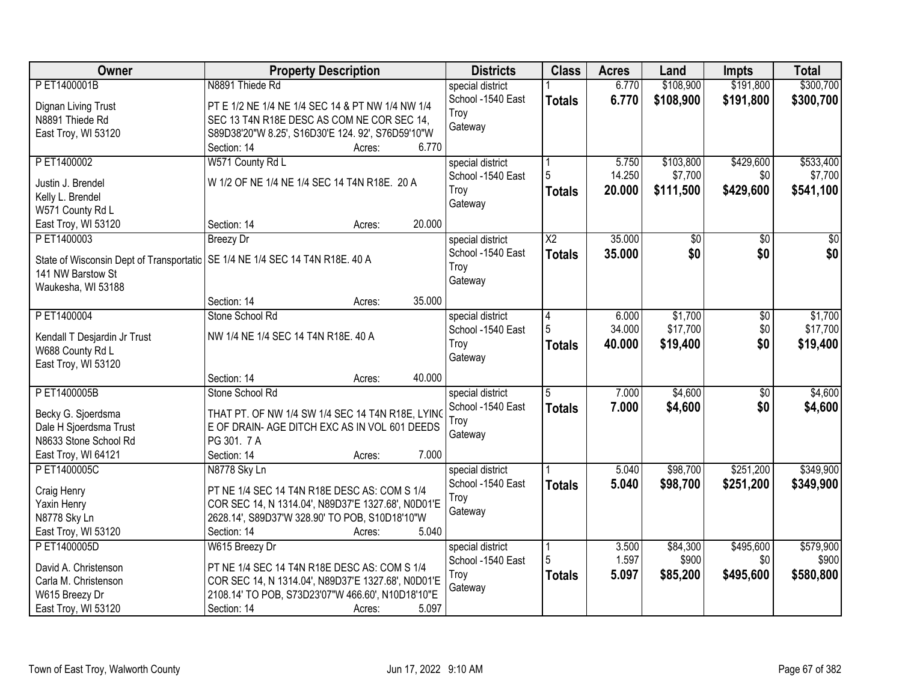| <b>Owner</b>                 | <b>Property Description</b>                                                    | <b>Districts</b>  | <b>Class</b>    | <b>Acres</b> | Land      | <b>Impts</b>    | <b>Total</b>    |
|------------------------------|--------------------------------------------------------------------------------|-------------------|-----------------|--------------|-----------|-----------------|-----------------|
| PET1400001B                  | N8891 Thiede Rd                                                                | special district  |                 | 6.770        | \$108,900 | \$191,800       | \$300,700       |
| Dignan Living Trust          | PT E 1/2 NE 1/4 NE 1/4 SEC 14 & PT NW 1/4 NW 1/4                               | School -1540 East | <b>Totals</b>   | 6.770        | \$108,900 | \$191,800       | \$300,700       |
| N8891 Thiede Rd              | SEC 13 T4N R18E DESC AS COM NE COR SEC 14,                                     | Troy              |                 |              |           |                 |                 |
| East Troy, WI 53120          | S89D38'20"W 8.25', S16D30'E 124. 92', S76D59'10"W                              | Gateway           |                 |              |           |                 |                 |
|                              | 6.770<br>Section: 14<br>Acres:                                                 |                   |                 |              |           |                 |                 |
| P ET1400002                  | W571 County Rd L                                                               | special district  |                 | 5.750        | \$103,800 | \$429,600       | \$533,400       |
|                              |                                                                                | School -1540 East | 5               | 14.250       | \$7,700   | \$0             | \$7,700         |
| Justin J. Brendel            | W 1/2 OF NE 1/4 NE 1/4 SEC 14 T4N R18E. 20 A                                   | Troy              | <b>Totals</b>   | 20.000       | \$111,500 | \$429,600       | \$541,100       |
| Kelly L. Brendel             |                                                                                | Gateway           |                 |              |           |                 |                 |
| W571 County Rd L             |                                                                                |                   |                 |              |           |                 |                 |
| East Troy, WI 53120          | 20.000<br>Section: 14<br>Acres:                                                |                   |                 |              |           |                 |                 |
| PET1400003                   | <b>Breezy Dr</b>                                                               | special district  | $\overline{X2}$ | 35.000       | \$0       | \$0             | $\overline{30}$ |
|                              | State of Wisconsin Dept of Transportatic   SE 1/4 NE 1/4 SEC 14 T4N R18E. 40 A | School -1540 East | <b>Totals</b>   | 35.000       | \$0       | \$0             | \$0             |
| 141 NW Barstow St            |                                                                                | Troy              |                 |              |           |                 |                 |
| Waukesha, WI 53188           |                                                                                | Gateway           |                 |              |           |                 |                 |
|                              | 35.000<br>Section: 14<br>Acres:                                                |                   |                 |              |           |                 |                 |
| PET1400004                   | Stone School Rd                                                                | special district  | 4               | 6.000        | \$1,700   | \$0             | \$1,700         |
|                              |                                                                                | School -1540 East | 5               | 34.000       | \$17,700  | \$0             | \$17,700        |
| Kendall T Desjardin Jr Trust | NW 1/4 NE 1/4 SEC 14 T4N R18E. 40 A                                            | Troy              |                 | 40.000       | \$19,400  | \$0             | \$19,400        |
| W688 County Rd L             |                                                                                | Gateway           | Totals          |              |           |                 |                 |
| East Troy, WI 53120          |                                                                                |                   |                 |              |           |                 |                 |
|                              | 40.000<br>Section: 14<br>Acres:                                                |                   |                 |              |           |                 |                 |
| PET1400005B                  | Stone School Rd                                                                | special district  | $\overline{5}$  | 7.000        | \$4,600   | $\overline{50}$ | \$4,600         |
| Becky G. Sjoerdsma           | THAT PT. OF NW 1/4 SW 1/4 SEC 14 T4N R18E, LYING                               | School -1540 East | <b>Totals</b>   | 7.000        | \$4,600   | \$0             | \$4,600         |
| Dale H Sjoerdsma Trust       | E OF DRAIN- AGE DITCH EXC AS IN VOL 601 DEEDS                                  | Troy              |                 |              |           |                 |                 |
| N8633 Stone School Rd        | PG 301. 7 A                                                                    | Gateway           |                 |              |           |                 |                 |
| East Troy, WI 64121          | 7.000<br>Section: 14<br>Acres:                                                 |                   |                 |              |           |                 |                 |
| PET1400005C                  | N8778 Sky Ln                                                                   | special district  |                 | 5.040        | \$98,700  | \$251,200       | \$349,900       |
|                              |                                                                                | School -1540 East |                 | 5.040        |           |                 |                 |
| Craig Henry                  | PT NE 1/4 SEC 14 T4N R18E DESC AS: COM S 1/4                                   | Troy              | <b>Totals</b>   |              | \$98,700  | \$251,200       | \$349,900       |
| Yaxin Henry                  | COR SEC 14, N 1314.04', N89D37'E 1327.68', N0D01'E                             | Gateway           |                 |              |           |                 |                 |
| N8778 Sky Ln                 | 2628.14', S89D37'W 328.90' TO POB, S10D18'10"W                                 |                   |                 |              |           |                 |                 |
| East Troy, WI 53120          | 5.040<br>Section: 14<br>Acres:                                                 |                   |                 |              |           |                 |                 |
| PET1400005D                  | W615 Breezy Dr                                                                 | special district  |                 | 3.500        | \$84,300  | \$495,600       | \$579,900       |
| David A. Christenson         | PT NE 1/4 SEC 14 T4N R18E DESC AS: COM S 1/4                                   | School -1540 East | 5               | 1.597        | \$900     | \$0             | \$900           |
| Carla M. Christenson         | COR SEC 14, N 1314.04', N89D37'E 1327.68', N0D01'E                             | Troy              | Totals          | 5.097        | \$85,200  | \$495,600       | \$580,800       |
| W615 Breezy Dr               | 2108.14' TO POB, S73D23'07"W 466.60', N10D18'10"E                              | Gateway           |                 |              |           |                 |                 |
|                              | 5.097<br>Section: 14                                                           |                   |                 |              |           |                 |                 |
| East Troy, WI 53120          | Acres:                                                                         |                   |                 |              |           |                 |                 |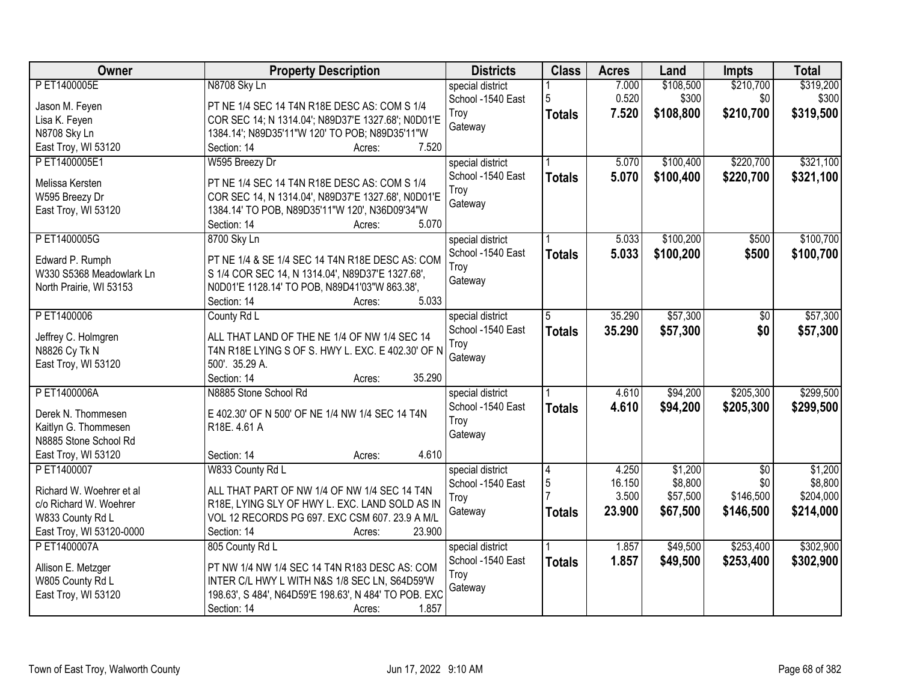| Owner                    | <b>Property Description</b>                            | <b>Districts</b>  | <b>Class</b>   | <b>Acres</b> | Land      | <b>Impts</b>    | <b>Total</b> |
|--------------------------|--------------------------------------------------------|-------------------|----------------|--------------|-----------|-----------------|--------------|
| P ET1400005E             | N8708 Sky Ln                                           | special district  |                | 7.000        | \$108,500 | \$210,700       | \$319,200    |
| Jason M. Feyen           | PT NE 1/4 SEC 14 T4N R18E DESC AS: COM S 1/4           | School -1540 East | 5              | 0.520        | \$300     | \$0             | \$300        |
| Lisa K. Feyen            | COR SEC 14; N 1314.04'; N89D37'E 1327.68'; N0D01'E     | Troy              | <b>Totals</b>  | 7.520        | \$108,800 | \$210,700       | \$319,500    |
| N8708 Sky Ln             | 1384.14'; N89D35'11"W 120' TO POB; N89D35'11"W         | Gateway           |                |              |           |                 |              |
| East Troy, WI 53120      | 7.520<br>Section: 14<br>Acres:                         |                   |                |              |           |                 |              |
| PET1400005E1             | W595 Breezy Dr                                         | special district  |                | 5.070        | \$100,400 | \$220,700       | \$321,100    |
|                          |                                                        | School -1540 East |                | 5.070        |           |                 |              |
| Melissa Kersten          | PT NE 1/4 SEC 14 T4N R18E DESC AS: COM S 1/4           | Troy              | <b>Totals</b>  |              | \$100,400 | \$220,700       | \$321,100    |
| W595 Breezy Dr           | COR SEC 14, N 1314.04', N89D37'E 1327.68', N0D01'E     |                   |                |              |           |                 |              |
| East Troy, WI 53120      | 1384.14' TO POB, N89D35'11"W 120', N36D09'34"W         | Gateway           |                |              |           |                 |              |
|                          | 5.070<br>Section: 14<br>Acres:                         |                   |                |              |           |                 |              |
| PET1400005G              | 8700 Sky Ln                                            | special district  |                | 5.033        | \$100,200 | \$500           | \$100,700    |
|                          |                                                        | School -1540 East | <b>Totals</b>  | 5.033        | \$100,200 | \$500           | \$100,700    |
| Edward P. Rumph          | PT NE 1/4 & SE 1/4 SEC 14 T4N R18E DESC AS: COM        | Troy              |                |              |           |                 |              |
| W330 S5368 Meadowlark Ln | S 1/4 COR SEC 14, N 1314.04', N89D37'E 1327.68',       | Gateway           |                |              |           |                 |              |
| North Prairie, WI 53153  | N0D01'E 1128.14' TO POB, N89D41'03"W 863.38',<br>5.033 |                   |                |              |           |                 |              |
|                          | Section: 14<br>Acres:                                  |                   |                |              |           |                 |              |
| PET1400006               | County Rd L                                            | special district  | 5              | 35.290       | \$57,300  | \$0             | \$57,300     |
| Jeffrey C. Holmgren      | ALL THAT LAND OF THE NE 1/4 OF NW 1/4 SEC 14           | School -1540 East | <b>Totals</b>  | 35.290       | \$57,300  | \$0             | \$57,300     |
| N8826 Cy Tk N            | T4N R18E LYING S OF S. HWY L. EXC. E 402.30' OF N      | Troy              |                |              |           |                 |              |
| East Troy, WI 53120      | 500'. 35.29 A.                                         | Gateway           |                |              |           |                 |              |
|                          | 35.290<br>Section: 14<br>Acres:                        |                   |                |              |           |                 |              |
| P ET1400006A             | N8885 Stone School Rd                                  | special district  |                | 4.610        | \$94,200  | \$205,300       | \$299,500    |
|                          |                                                        | School -1540 East | <b>Totals</b>  | 4.610        | \$94,200  | \$205,300       | \$299,500    |
| Derek N. Thommesen       | E 402.30' OF N 500' OF NE 1/4 NW 1/4 SEC 14 T4N        | Troy              |                |              |           |                 |              |
| Kaitlyn G. Thommesen     | R18E. 4.61 A                                           | Gateway           |                |              |           |                 |              |
| N8885 Stone School Rd    |                                                        |                   |                |              |           |                 |              |
| East Troy, WI 53120      | 4.610<br>Section: 14<br>Acres:                         |                   |                |              |           |                 |              |
| PET1400007               | W833 County Rd L                                       | special district  | $\overline{4}$ | 4.250        | \$1,200   | $\overline{50}$ | \$1,200      |
| Richard W. Woehrer et al | ALL THAT PART OF NW 1/4 OF NW 1/4 SEC 14 T4N           | School -1540 East | 5              | 16.150       | \$8,800   | \$0             | \$8,800      |
| c/o Richard W. Woehrer   | R18E, LYING SLY OF HWY L. EXC. LAND SOLD AS IN         | Troy              |                | 3.500        | \$57,500  | \$146,500       | \$204,000    |
| W833 County Rd L         | VOL 12 RECORDS PG 697. EXC CSM 607. 23.9 A M/L         | Gateway           | <b>Totals</b>  | 23.900       | \$67,500  | \$146,500       | \$214,000    |
| East Troy, WI 53120-0000 | 23.900<br>Section: 14<br>Acres:                        |                   |                |              |           |                 |              |
| P ET1400007A             | 805 County Rd L                                        | special district  |                | 1.857        | \$49,500  | \$253,400       | \$302,900    |
|                          |                                                        | School -1540 East | <b>Totals</b>  | 1.857        | \$49,500  | \$253,400       | \$302,900    |
| Allison E. Metzger       | PT NW 1/4 NW 1/4 SEC 14 T4N R183 DESC AS: COM          | Troy              |                |              |           |                 |              |
| W805 County Rd L         | INTER C/L HWY L WITH N&S 1/8 SEC LN, S64D59'W          | Gateway           |                |              |           |                 |              |
| East Troy, WI 53120      | 198.63', S 484', N64D59'E 198.63', N 484' TO POB. EXC  |                   |                |              |           |                 |              |
|                          | 1.857<br>Section: 14<br>Acres:                         |                   |                |              |           |                 |              |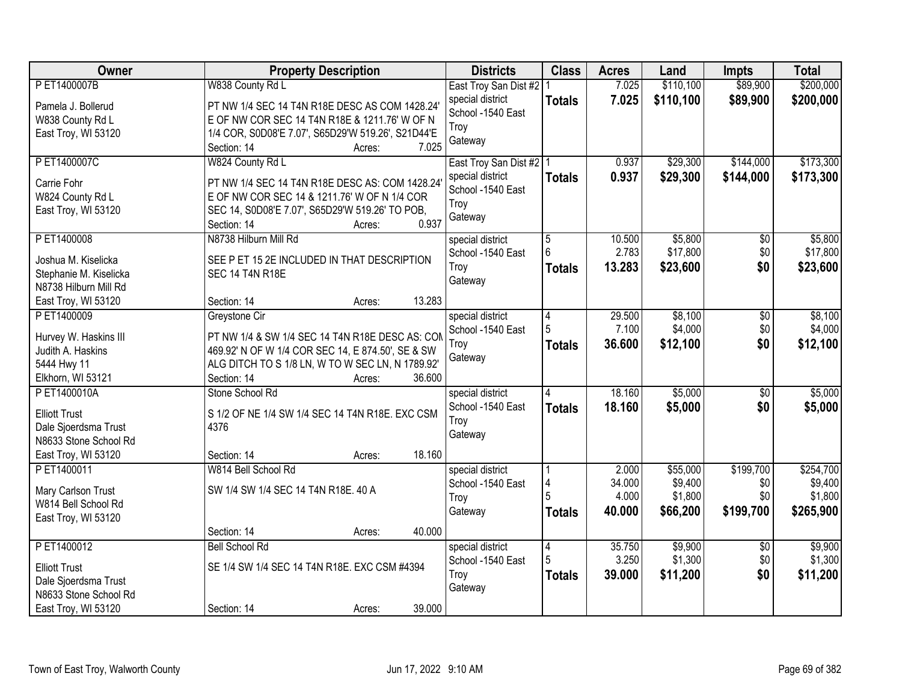| <b>Owner</b>           | <b>Property Description</b>                        | <b>Districts</b>          | <b>Class</b>   | <b>Acres</b> | Land      | <b>Impts</b>    | <b>Total</b> |
|------------------------|----------------------------------------------------|---------------------------|----------------|--------------|-----------|-----------------|--------------|
| PET1400007B            | W838 County Rd L                                   | East Troy San Dist #2     |                | 7.025        | \$110,100 | \$89,900        | \$200,000    |
| Pamela J. Bollerud     | PT NW 1/4 SEC 14 T4N R18E DESC AS COM 1428.24      | special district          | <b>Totals</b>  | 7.025        | \$110,100 | \$89,900        | \$200,000    |
| W838 County Rd L       | E OF NW COR SEC 14 T4N R18E & 1211.76' W OF N      | School -1540 East         |                |              |           |                 |              |
| East Troy, WI 53120    | 1/4 COR, S0D08'E 7.07', S65D29'W 519.26', S21D44'E | Troy                      |                |              |           |                 |              |
|                        | 7.025<br>Section: 14<br>Acres:                     | Gateway                   |                |              |           |                 |              |
| PET1400007C            | W824 County Rd L                                   | East Troy San Dist #2   1 |                | 0.937        | \$29,300  | \$144,000       | \$173,300    |
| Carrie Fohr            | PT NW 1/4 SEC 14 T4N R18E DESC AS: COM 1428.24     | special district          | <b>Totals</b>  | 0.937        | \$29,300  | \$144,000       | \$173,300    |
| W824 County Rd L       | E OF NW COR SEC 14 & 1211.76' W OF N 1/4 COR       | School -1540 East         |                |              |           |                 |              |
| East Troy, WI 53120    | SEC 14, S0D08'E 7.07', S65D29'W 519.26' TO POB,    | Troy                      |                |              |           |                 |              |
|                        | 0.937<br>Section: 14<br>Acres:                     | Gateway                   |                |              |           |                 |              |
| P ET1400008            | N8738 Hilburn Mill Rd                              | special district          | $\overline{5}$ | 10.500       | \$5,800   | $\overline{50}$ | \$5,800      |
|                        |                                                    | School -1540 East         | 6              | 2.783        | \$17,800  | \$0             | \$17,800     |
| Joshua M. Kiselicka    | SEE P ET 15 2E INCLUDED IN THAT DESCRIPTION        | Troy                      | <b>Totals</b>  | 13.283       | \$23,600  | \$0             | \$23,600     |
| Stephanie M. Kiselicka | SEC 14 T4N R18E                                    | Gateway                   |                |              |           |                 |              |
| N8738 Hilburn Mill Rd  |                                                    |                           |                |              |           |                 |              |
| East Troy, WI 53120    | 13.283<br>Section: 14<br>Acres:                    |                           |                |              |           |                 |              |
| PET1400009             | Greystone Cir                                      | special district          | 4              | 29.500       | \$8,100   | \$0             | \$8,100      |
| Hurvey W. Haskins III  | PT NW 1/4 & SW 1/4 SEC 14 T4N R18E DESC AS: COM    | School -1540 East         | 5              | 7.100        | \$4,000   | \$0             | \$4,000      |
| Judith A. Haskins      | 469.92' N OF W 1/4 COR SEC 14, E 874.50', SE & SW  | Troy                      | <b>Totals</b>  | 36.600       | \$12,100  | \$0             | \$12,100     |
| 5444 Hwy 11            | ALG DITCH TO S 1/8 LN, W TO W SEC LN, N 1789.92'   | Gateway                   |                |              |           |                 |              |
| Elkhorn, WI 53121      | Section: 14<br>36.600<br>Acres:                    |                           |                |              |           |                 |              |
| PET1400010A            | Stone School Rd                                    | special district          | 4              | 18.160       | \$5,000   | $\overline{50}$ | \$5,000      |
| <b>Elliott Trust</b>   | S 1/2 OF NE 1/4 SW 1/4 SEC 14 T4N R18E. EXC CSM    | School -1540 East         | <b>Totals</b>  | 18.160       | \$5,000   | \$0             | \$5,000      |
| Dale Sjoerdsma Trust   | 4376                                               | Troy                      |                |              |           |                 |              |
| N8633 Stone School Rd  |                                                    | Gateway                   |                |              |           |                 |              |
| East Troy, WI 53120    | 18.160<br>Section: 14<br>Acres:                    |                           |                |              |           |                 |              |
| PET1400011             | W814 Bell School Rd                                | special district          |                | 2.000        | \$55,000  | \$199,700       | \$254,700    |
|                        |                                                    | School -1540 East         | 4              | 34.000       | \$9,400   | \$0             | \$9,400      |
| Mary Carlson Trust     | SW 1/4 SW 1/4 SEC 14 T4N R18E. 40 A                | Troy                      |                | 4.000        | \$1,800   | \$0             | \$1,800      |
| W814 Bell School Rd    |                                                    | Gateway                   | <b>Totals</b>  | 40.000       | \$66,200  | \$199,700       | \$265,900    |
| East Troy, WI 53120    |                                                    |                           |                |              |           |                 |              |
|                        | 40.000<br>Section: 14<br>Acres:                    |                           |                |              |           |                 |              |
| PET1400012             | <b>Bell School Rd</b>                              | special district          | $\overline{4}$ | 35.750       | \$9,900   | $\overline{50}$ | \$9,900      |
| <b>Elliott Trust</b>   | SE 1/4 SW 1/4 SEC 14 T4N R18E. EXC CSM #4394       | School -1540 East         | 5              | 3.250        | \$1,300   | \$0             | \$1,300      |
| Dale Sjoerdsma Trust   |                                                    | Troy                      | <b>Totals</b>  | 39.000       | \$11,200  | \$0             | \$11,200     |
| N8633 Stone School Rd  |                                                    | Gateway                   |                |              |           |                 |              |
| East Troy, WI 53120    | 39.000<br>Section: 14<br>Acres:                    |                           |                |              |           |                 |              |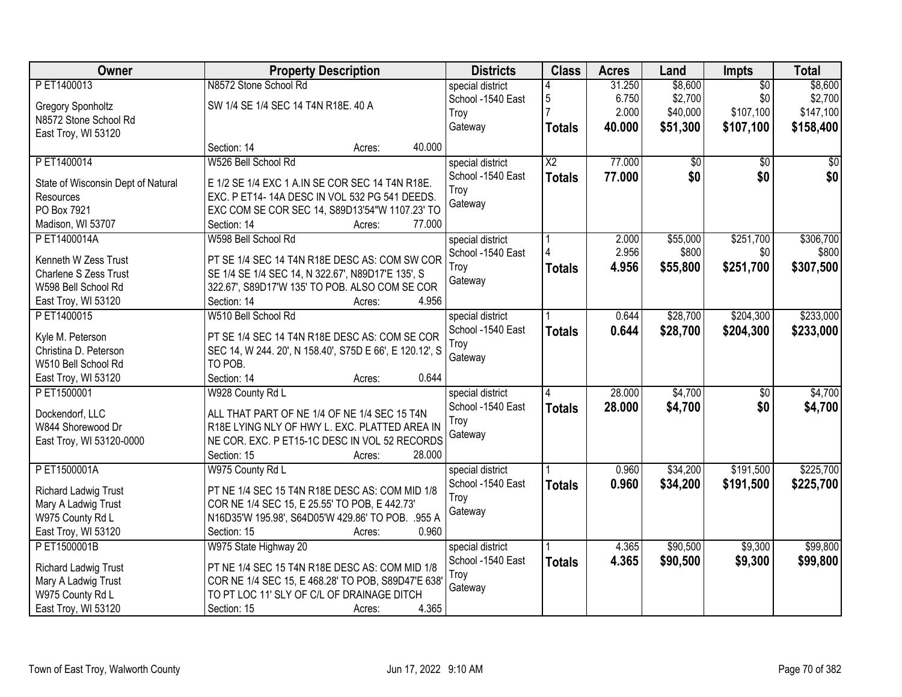| Owner                                        |                                                                                               | <b>Property Description</b> |        | <b>Districts</b>  | <b>Class</b>    | <b>Acres</b> | Land            | Impts           | <b>Total</b> |
|----------------------------------------------|-----------------------------------------------------------------------------------------------|-----------------------------|--------|-------------------|-----------------|--------------|-----------------|-----------------|--------------|
| PET1400013                                   | N8572 Stone School Rd                                                                         |                             |        | special district  |                 | 31.250       | \$8,600         | $\overline{50}$ | \$8,600      |
| <b>Gregory Sponholtz</b>                     | SW 1/4 SE 1/4 SEC 14 T4N R18E. 40 A                                                           |                             |        | School -1540 East | 5               | 6.750        | \$2,700         | \$0             | \$2,700      |
| N8572 Stone School Rd                        |                                                                                               |                             |        | Troy              |                 | 2.000        | \$40,000        | \$107,100       | \$147,100    |
| East Troy, WI 53120                          |                                                                                               |                             |        | Gateway           | <b>Totals</b>   | 40.000       | \$51,300        | \$107,100       | \$158,400    |
|                                              | Section: 14                                                                                   | Acres:                      | 40.000 |                   |                 |              |                 |                 |              |
| PET1400014                                   | W526 Bell School Rd                                                                           |                             |        | special district  | $\overline{X2}$ | 77.000       | $\overline{50}$ | $\overline{50}$ | \$0          |
| State of Wisconsin Dept of Natural           | E 1/2 SE 1/4 EXC 1 A.IN SE COR SEC 14 T4N R18E.                                               |                             |        | School -1540 East | <b>Totals</b>   | 77.000       | \$0             | \$0             | \$0          |
| Resources                                    | EXC. P ET14-14A DESC IN VOL 532 PG 541 DEEDS.                                                 |                             |        | Troy              |                 |              |                 |                 |              |
| PO Box 7921                                  | EXC COM SE COR SEC 14, S89D13'54"W 1107.23' TO                                                |                             |        | Gateway           |                 |              |                 |                 |              |
| Madison, WI 53707                            | Section: 14                                                                                   | Acres:                      | 77.000 |                   |                 |              |                 |                 |              |
| PET1400014A                                  | W598 Bell School Rd                                                                           |                             |        | special district  |                 | 2.000        | \$55,000        | \$251,700       | \$306,700    |
|                                              |                                                                                               |                             |        | School -1540 East |                 | 2.956        | \$800           | \$0             | \$800        |
| Kenneth W Zess Trust                         | PT SE 1/4 SEC 14 T4N R18E DESC AS: COM SW COR                                                 |                             |        | Troy              | <b>Totals</b>   | 4.956        | \$55,800        | \$251,700       | \$307,500    |
| Charlene S Zess Trust<br>W598 Bell School Rd | SE 1/4 SE 1/4 SEC 14, N 322.67', N89D17'E 135', S                                             |                             |        | Gateway           |                 |              |                 |                 |              |
|                                              | 322.67', S89D17'W 135' TO POB. ALSO COM SE COR<br>Section: 14                                 |                             | 4.956  |                   |                 |              |                 |                 |              |
| East Troy, WI 53120                          |                                                                                               | Acres:                      |        |                   |                 |              |                 |                 |              |
| PET1400015                                   | W510 Bell School Rd                                                                           |                             |        | special district  |                 | 0.644        | \$28,700        | \$204,300       | \$233,000    |
| Kyle M. Peterson                             | PT SE 1/4 SEC 14 T4N R18E DESC AS: COM SE COR                                                 |                             |        | School -1540 East | <b>Totals</b>   | 0.644        | \$28,700        | \$204,300       | \$233,000    |
| Christina D. Peterson                        | SEC 14, W 244. 20', N 158.40', S75D E 66', E 120.12', S                                       |                             |        | Troy              |                 |              |                 |                 |              |
| W510 Bell School Rd                          | TO POB.                                                                                       |                             |        | Gateway           |                 |              |                 |                 |              |
| East Troy, WI 53120                          | Section: 14                                                                                   | Acres:                      | 0.644  |                   |                 |              |                 |                 |              |
| PET1500001                                   | W928 County Rd L                                                                              |                             |        | special district  | 4               | 28.000       | \$4,700         | $\overline{50}$ | \$4,700      |
|                                              |                                                                                               |                             |        | School -1540 East | <b>Totals</b>   | 28,000       | \$4,700         | \$0             | \$4,700      |
| Dockendorf, LLC<br>W844 Shorewood Dr         | ALL THAT PART OF NE 1/4 OF NE 1/4 SEC 15 T4N<br>R18E LYING NLY OF HWY L. EXC. PLATTED AREA IN |                             |        | Troy              |                 |              |                 |                 |              |
|                                              | NE COR. EXC. P ET15-1C DESC IN VOL 52 RECORDS                                                 |                             |        | Gateway           |                 |              |                 |                 |              |
| East Troy, WI 53120-0000                     | Section: 15                                                                                   |                             | 28.000 |                   |                 |              |                 |                 |              |
| PET1500001A                                  |                                                                                               | Acres:                      |        |                   |                 | 0.960        | \$34,200        | \$191,500       | \$225,700    |
|                                              | W975 County Rd L                                                                              |                             |        | special district  |                 |              |                 |                 |              |
| Richard Ladwig Trust                         | PT NE 1/4 SEC 15 T4N R18E DESC AS: COM MID 1/8                                                |                             |        | School -1540 East | <b>Totals</b>   | 0.960        | \$34,200        | \$191,500       | \$225,700    |
| Mary A Ladwig Trust                          | COR NE 1/4 SEC 15, E 25.55' TO POB, E 442.73'                                                 |                             |        | Troy              |                 |              |                 |                 |              |
| W975 County Rd L                             | N16D35'W 195.98', S64D05'W 429.86' TO POB. .955 A                                             |                             |        | Gateway           |                 |              |                 |                 |              |
| East Troy, WI 53120                          | Section: 15                                                                                   | Acres:                      | 0.960  |                   |                 |              |                 |                 |              |
| PET1500001B                                  | W975 State Highway 20                                                                         |                             |        | special district  |                 | 4.365        | \$90,500        | \$9,300         | \$99,800     |
| <b>Richard Ladwig Trust</b>                  | PT NE 1/4 SEC 15 T4N R18E DESC AS: COM MID 1/8                                                |                             |        | School -1540 East | <b>Totals</b>   | 4.365        | \$90,500        | \$9,300         | \$99,800     |
| Mary A Ladwig Trust                          | COR NE 1/4 SEC 15, E 468.28' TO POB, S89D47'E 638'                                            |                             |        | Troy              |                 |              |                 |                 |              |
| W975 County Rd L                             | TO PT LOC 11' SLY OF C/L OF DRAINAGE DITCH                                                    |                             |        | Gateway           |                 |              |                 |                 |              |
| East Troy, WI 53120                          | Section: 15                                                                                   | Acres:                      | 4.365  |                   |                 |              |                 |                 |              |
|                                              |                                                                                               |                             |        |                   |                 |              |                 |                 |              |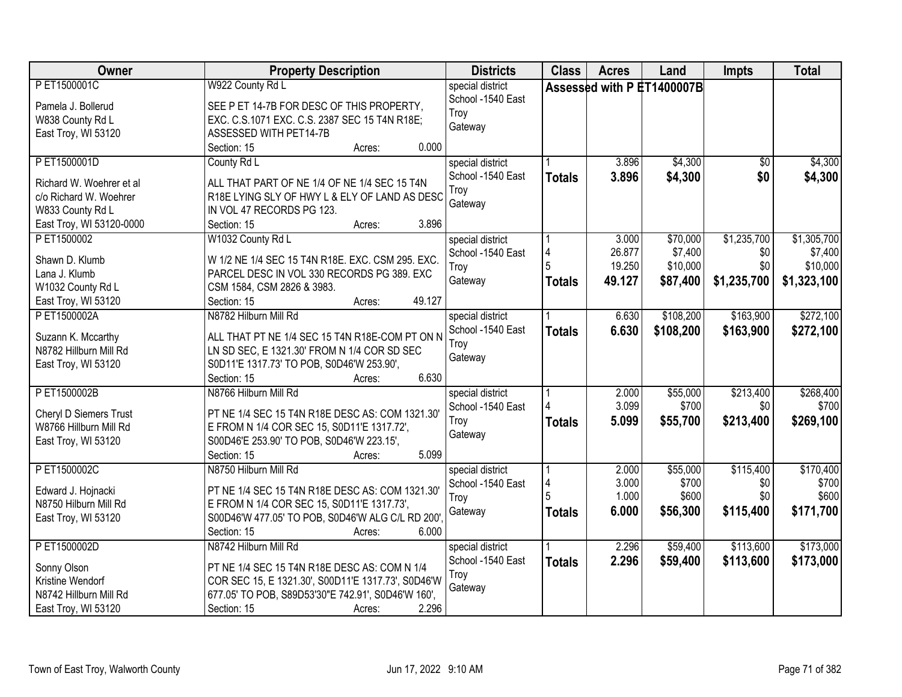| Owner                                                                                                             | <b>Property Description</b>                                                                                                                                                                                         | <b>Districts</b>                                         | <b>Class</b>       | <b>Acres</b>                        | Land                                        | <b>Impts</b>                             | <b>Total</b>                                      |
|-------------------------------------------------------------------------------------------------------------------|---------------------------------------------------------------------------------------------------------------------------------------------------------------------------------------------------------------------|----------------------------------------------------------|--------------------|-------------------------------------|---------------------------------------------|------------------------------------------|---------------------------------------------------|
| PET1500001C<br>Pamela J. Bollerud<br>W838 County Rd L                                                             | W922 County Rd L<br>SEE P ET 14-7B FOR DESC OF THIS PROPERTY,<br>EXC. C.S.1071 EXC. C.S. 2387 SEC 15 T4N R18E;                                                                                                      | special district<br>School -1540 East<br>Troy<br>Gateway |                    |                                     | Assessed with P ET1400007B                  |                                          |                                                   |
| East Troy, WI 53120                                                                                               | ASSESSED WITH PET14-7B<br>0.000<br>Section: 15<br>Acres:                                                                                                                                                            |                                                          |                    |                                     |                                             |                                          |                                                   |
| PET1500001D<br>Richard W. Woehrer et al<br>c/o Richard W. Woehrer<br>W833 County Rd L<br>East Troy, WI 53120-0000 | County Rd L<br>ALL THAT PART OF NE 1/4 OF NE 1/4 SEC 15 T4N<br>R18E LYING SLY OF HWY L & ELY OF LAND AS DESC<br>IN VOL 47 RECORDS PG 123.<br>3.896<br>Section: 15<br>Acres:                                         | special district<br>School -1540 East<br>Troy<br>Gateway | <b>Totals</b>      | 3.896<br>3.896                      | \$4,300<br>\$4,300                          | $\overline{50}$<br>\$0                   | \$4,300<br>\$4,300                                |
| P ET1500002<br>Shawn D. Klumb<br>Lana J. Klumb<br>W1032 County Rd L<br>East Troy, WI 53120                        | W1032 County Rd L<br>W 1/2 NE 1/4 SEC 15 T4N R18E. EXC. CSM 295. EXC.<br>PARCEL DESC IN VOL 330 RECORDS PG 389. EXC<br>CSM 1584, CSM 2826 & 3983.<br>49.127<br>Section: 15<br>Acres:                                | special district<br>School -1540 East<br>Troy<br>Gateway | 4<br><b>Totals</b> | 3.000<br>26.877<br>19.250<br>49.127 | \$70,000<br>\$7,400<br>\$10,000<br>\$87,400 | \$1,235,700<br>\$0<br>\$0<br>\$1,235,700 | \$1,305,700<br>\$7,400<br>\$10,000<br>\$1,323,100 |
| PET1500002A<br>Suzann K. Mccarthy<br>N8782 Hillburn Mill Rd<br>East Troy, WI 53120                                | N8782 Hilburn Mill Rd<br>ALL THAT PT NE 1/4 SEC 15 T4N R18E-COM PT ON N<br>LN SD SEC, E 1321.30' FROM N 1/4 COR SD SEC<br>S0D11'E 1317.73' TO POB, S0D46'W 253.90',<br>6.630<br>Section: 15<br>Acres:               | special district<br>School -1540 East<br>Troy<br>Gateway | <b>Totals</b>      | 6.630<br>6.630                      | \$108,200<br>\$108,200                      | \$163,900<br>\$163,900                   | \$272,100<br>\$272,100                            |
| PET1500002B<br>Cheryl D Siemers Trust<br>W8766 Hillburn Mill Rd<br>East Troy, WI 53120                            | N8766 Hilburn Mill Rd<br>PT NE 1/4 SEC 15 T4N R18E DESC AS: COM 1321.30<br>E FROM N 1/4 COR SEC 15, S0D11'E 1317.72',<br>S00D46'E 253.90' TO POB, S0D46'W 223.15',<br>5.099<br>Section: 15<br>Acres:                | special district<br>School -1540 East<br>Troy<br>Gateway | <b>Totals</b>      | 2.000<br>3.099<br>5.099             | \$55,000<br>\$700<br>\$55,700               | \$213,400<br>\$0<br>\$213,400            | \$268,400<br>\$700<br>\$269,100                   |
| PET1500002C<br>Edward J. Hojnacki<br>N8750 Hilburn Mill Rd<br>East Troy, WI 53120                                 | N8750 Hilburn Mill Rd<br>PT NE 1/4 SEC 15 T4N R18E DESC AS: COM 1321.30'<br>E FROM N 1/4 COR SEC 15, S0D11'E 1317.73',<br>S00D46'W 477.05' TO POB, S0D46'W ALG C/L RD 200'<br>Section: 15<br>6.000<br>Acres:        | special district<br>School -1540 East<br>Troy<br>Gateway | 4<br><b>Totals</b> | 2.000<br>3.000<br>1.000<br>6.000    | \$55,000<br>\$700<br>\$600<br>\$56,300      | \$115,400<br>\$0<br>\$0<br>\$115,400     | \$170,400<br>\$700<br>\$600<br>\$171,700          |
| PET1500002D<br>Sonny Olson<br>Kristine Wendorf<br>N8742 Hillburn Mill Rd<br>East Troy, WI 53120                   | N8742 Hilburn Mill Rd<br>PT NE 1/4 SEC 15 T4N R18E DESC AS: COM N 1/4<br>COR SEC 15, E 1321.30', S00D11'E 1317.73', S0D46'W<br>677.05' TO POB, S89D53'30"E 742.91', S0D46'W 160',<br>2.296<br>Section: 15<br>Acres: | special district<br>School -1540 East<br>Troy<br>Gateway | <b>Totals</b>      | 2.296<br>2.296                      | \$59,400<br>\$59,400                        | \$113,600<br>\$113,600                   | \$173,000<br>\$173,000                            |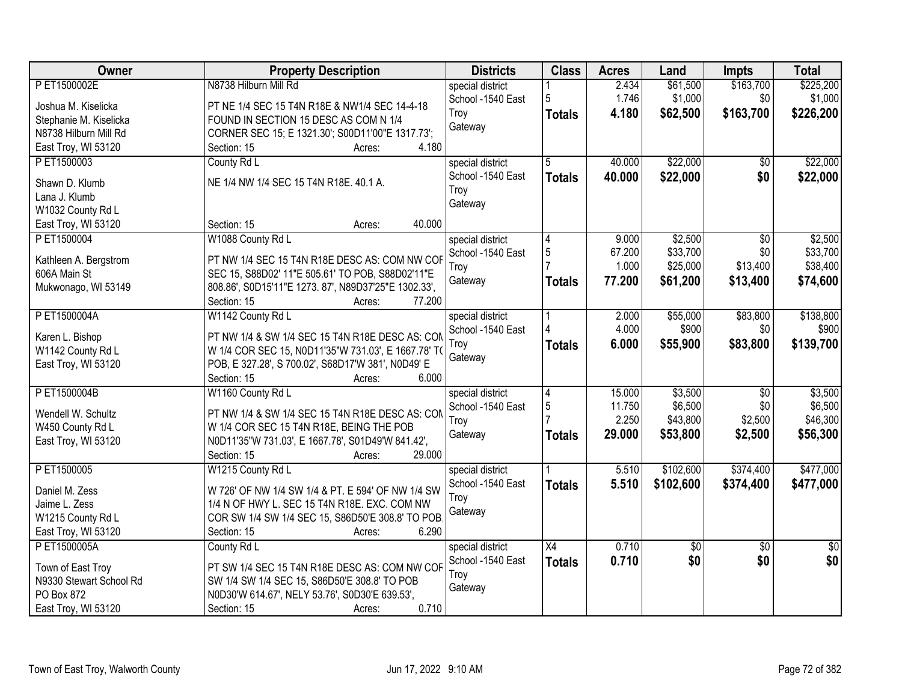| <b>Owner</b>            | <b>Property Description</b>                                                            | <b>Districts</b>  | <b>Class</b>    | <b>Acres</b> | Land       | <b>Impts</b>    | <b>Total</b> |
|-------------------------|----------------------------------------------------------------------------------------|-------------------|-----------------|--------------|------------|-----------------|--------------|
| PET1500002E             | N8738 Hilburn Mill Rd                                                                  | special district  |                 | 2.434        | \$61,500   | \$163,700       | \$225,200    |
| Joshua M. Kiselicka     | PT NE 1/4 SEC 15 T4N R18E & NW1/4 SEC 14-4-18                                          | School -1540 East | 5               | 1.746        | \$1,000    | \$0             | \$1,000      |
| Stephanie M. Kiselicka  | FOUND IN SECTION 15 DESC AS COM N 1/4                                                  | Troy              | <b>Totals</b>   | 4.180        | \$62,500   | \$163,700       | \$226,200    |
| N8738 Hilburn Mill Rd   | CORNER SEC 15; E 1321.30'; S00D11'00"E 1317.73';                                       | Gateway           |                 |              |            |                 |              |
| East Troy, WI 53120     | 4.180<br>Section: 15<br>Acres:                                                         |                   |                 |              |            |                 |              |
| PET1500003              | County Rd L                                                                            | special district  | 5               | 40.000       | \$22,000   | \$0             | \$22,000     |
| Shawn D. Klumb          | NE 1/4 NW 1/4 SEC 15 T4N R18E. 40.1 A.                                                 | School -1540 East | <b>Totals</b>   | 40.000       | \$22,000   | \$0             | \$22,000     |
| Lana J. Klumb           |                                                                                        | Troy              |                 |              |            |                 |              |
| W1032 County Rd L       |                                                                                        | Gateway           |                 |              |            |                 |              |
| East Troy, WI 53120     | 40.000<br>Section: 15<br>Acres:                                                        |                   |                 |              |            |                 |              |
| P ET1500004             | W1088 County Rd L                                                                      | special district  | 4               | 9.000        | \$2,500    | \$0             | \$2,500      |
|                         |                                                                                        | School -1540 East | $\sqrt{5}$      | 67.200       | \$33,700   | \$0             | \$33,700     |
| Kathleen A. Bergstrom   | PT NW 1/4 SEC 15 T4N R18E DESC AS: COM NW COF                                          | Troy              |                 | 1.000        | \$25,000   | \$13,400        | \$38,400     |
| 606A Main St            | SEC 15, S88D02' 11"E 505.61' TO POB, S88D02'11"E                                       | Gateway           | <b>Totals</b>   | 77.200       | \$61,200   | \$13,400        | \$74,600     |
| Mukwonago, WI 53149     | 808.86', S0D15'11"E 1273.87', N89D37'25"E 1302.33',<br>77.200<br>Section: 15<br>Acres: |                   |                 |              |            |                 |              |
| PET1500004A             | W1142 County Rd L                                                                      | special district  |                 | 2.000        | \$55,000   | \$83,800        | \$138,800    |
|                         |                                                                                        | School -1540 East |                 | 4.000        | \$900      | \$0             | \$900        |
| Karen L. Bishop         | PT NW 1/4 & SW 1/4 SEC 15 T4N R18E DESC AS: CON                                        | Troy              | <b>Totals</b>   | 6.000        | \$55,900   | \$83,800        | \$139,700    |
| W1142 County Rd L       | W 1/4 COR SEC 15, N0D11'35"W 731.03', E 1667.78' TO                                    | Gateway           |                 |              |            |                 |              |
| East Troy, WI 53120     | POB, E 327.28', S 700.02', S68D17'W 381', N0D49' E                                     |                   |                 |              |            |                 |              |
|                         | Section: 15<br>6.000<br>Acres:                                                         |                   |                 |              |            |                 |              |
| PET1500004B             | W1160 County Rd L                                                                      | special district  | $\overline{4}$  | 15.000       | \$3,500    | $\overline{50}$ | \$3,500      |
| Wendell W. Schultz      | PT NW 1/4 & SW 1/4 SEC 15 T4N R18E DESC AS: CON                                        | School -1540 East | 5               | 11.750       | \$6,500    | \$0             | \$6,500      |
| W450 County Rd L        | W 1/4 COR SEC 15 T4N R18E, BEING THE POB                                               | Troy              |                 | 2.250        | \$43,800   | \$2,500         | \$46,300     |
| East Troy, WI 53120     | N0D11'35"W 731.03', E 1667.78', S01D49'W 841.42',                                      | Gateway           | <b>Totals</b>   | 29.000       | \$53,800   | \$2,500         | \$56,300     |
|                         | 29.000<br>Section: 15<br>Acres:                                                        |                   |                 |              |            |                 |              |
| P ET1500005             | W1215 County Rd L                                                                      | special district  |                 | 5.510        | \$102,600  | \$374,400       | \$477,000    |
| Daniel M. Zess          | W 726' OF NW 1/4 SW 1/4 & PT. E 594' OF NW 1/4 SW                                      | School -1540 East | <b>Totals</b>   | 5.510        | \$102,600  | \$374,400       | \$477,000    |
| Jaime L. Zess           | 1/4 N OF HWY L. SEC 15 T4N R18E. EXC. COM NW                                           | Troy              |                 |              |            |                 |              |
| W1215 County Rd L       | COR SW 1/4 SW 1/4 SEC 15, S86D50'E 308.8' TO POB.                                      | Gateway           |                 |              |            |                 |              |
| East Troy, WI 53120     | 6.290<br>Section: 15<br>Acres:                                                         |                   |                 |              |            |                 |              |
| P ET1500005A            | County Rd L                                                                            | special district  | $\overline{X4}$ | 0.710        | $\sqrt{6}$ | $\overline{50}$ | $\sqrt{50}$  |
| Town of East Troy       | PT SW 1/4 SEC 15 T4N R18E DESC AS: COM NW COF                                          | School -1540 East | <b>Totals</b>   | 0.710        | \$0        | \$0             | \$0          |
| N9330 Stewart School Rd | SW 1/4 SW 1/4 SEC 15, S86D50'E 308.8' TO POB                                           | Troy              |                 |              |            |                 |              |
| PO Box 872              | N0D30'W 614.67', NELY 53.76', S0D30'E 639.53',                                         | Gateway           |                 |              |            |                 |              |
| East Troy, WI 53120     | 0.710<br>Section: 15<br>Acres:                                                         |                   |                 |              |            |                 |              |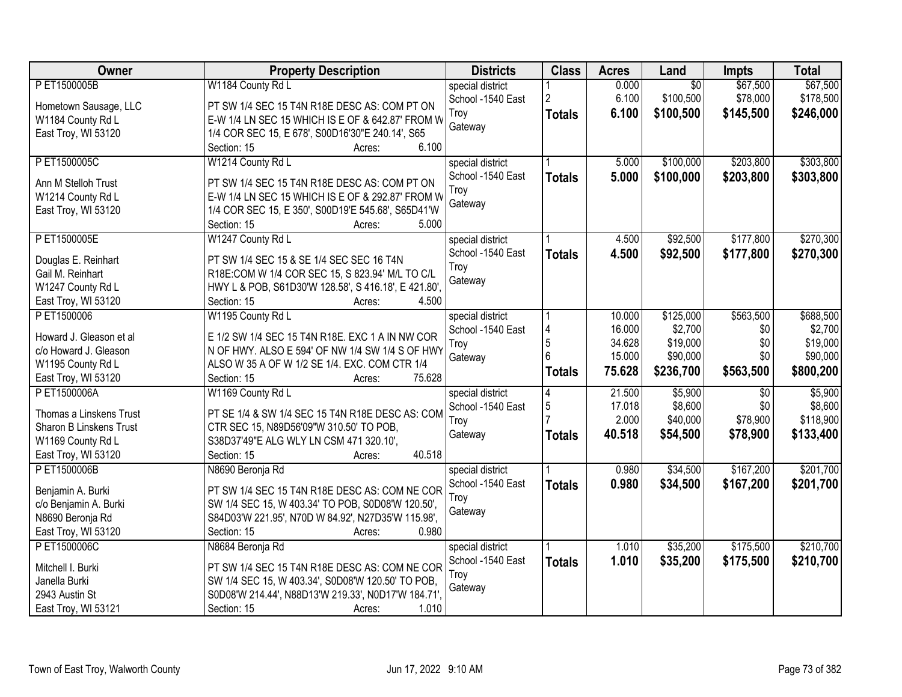| Owner                                   | <b>Property Description</b>                                                | <b>Districts</b>                      | <b>Class</b>   | <b>Acres</b> | Land            | <b>Impts</b>    | <b>Total</b> |
|-----------------------------------------|----------------------------------------------------------------------------|---------------------------------------|----------------|--------------|-----------------|-----------------|--------------|
| PET1500005B                             | W1184 County Rd L                                                          | special district                      |                | 0.000        | $\overline{50}$ | \$67,500        | \$67,500     |
| Hometown Sausage, LLC                   | PT SW 1/4 SEC 15 T4N R18E DESC AS: COM PT ON                               | School -1540 East                     | $\overline{2}$ | 6.100        | \$100,500       | \$78,000        | \$178,500    |
| W1184 County Rd L                       | E-W 1/4 LN SEC 15 WHICH IS E OF & 642.87' FROM W                           | Troy                                  | <b>Totals</b>  | 6.100        | \$100,500       | \$145,500       | \$246,000    |
| East Troy, WI 53120                     | 1/4 COR SEC 15, E 678', S00D16'30"E 240.14', S65                           | Gateway                               |                |              |                 |                 |              |
|                                         | 6.100<br>Section: 15<br>Acres:                                             |                                       |                |              |                 |                 |              |
| PET1500005C                             | W1214 County Rd L                                                          | special district                      |                | 5.000        | \$100,000       | \$203,800       | \$303,800    |
|                                         |                                                                            | School -1540 East                     | <b>Totals</b>  | 5.000        | \$100,000       | \$203,800       | \$303,800    |
| Ann M Stelloh Trust                     | PT SW 1/4 SEC 15 T4N R18E DESC AS: COM PT ON                               | Trov                                  |                |              |                 |                 |              |
| W1214 County Rd L                       | E-W 1/4 LN SEC 15 WHICH IS E OF & 292.87' FROM W                           | Gateway                               |                |              |                 |                 |              |
| East Troy, WI 53120                     | 1/4 COR SEC 15, E 350', S00D19'E 545.68', S65D41'W                         |                                       |                |              |                 |                 |              |
|                                         | 5.000<br>Section: 15<br>Acres:                                             |                                       |                |              |                 |                 |              |
| PET1500005E                             | W1247 County Rd L                                                          | special district                      |                | 4.500        | \$92,500        | \$177,800       | \$270,300    |
| Douglas E. Reinhart                     | PT SW 1/4 SEC 15 & SE 1/4 SEC SEC 16 T4N                                   | School -1540 East                     | <b>Totals</b>  | 4.500        | \$92,500        | \$177,800       | \$270,300    |
| Gail M. Reinhart                        | R18E:COM W 1/4 COR SEC 15, S 823.94' M/L TO C/L                            | Troy                                  |                |              |                 |                 |              |
| W1247 County Rd L                       | HWY L & POB, S61D30'W 128.58', S 416.18', E 421.80',                       | Gateway                               |                |              |                 |                 |              |
| East Troy, WI 53120                     | 4.500<br>Section: 15<br>Acres:                                             |                                       |                |              |                 |                 |              |
| PET1500006                              | W1195 County Rd L                                                          | special district                      |                | 10.000       | \$125,000       | \$563,500       | \$688,500    |
|                                         |                                                                            | School -1540 East                     | 4              | 16.000       | \$2,700         | \$0             | \$2,700      |
| Howard J. Gleason et al                 | E 1/2 SW 1/4 SEC 15 T4N R18E. EXC 1 A IN NW COR                            | Troy                                  | 5              | 34.628       | \$19,000        | \$0             | \$19,000     |
| c/o Howard J. Gleason                   | N OF HWY. ALSO E 594' OF NW 1/4 SW 1/4 S OF HWY                            | Gateway                               | 6              | 15.000       | \$90,000        | \$0             | \$90,000     |
| W1195 County Rd L                       | ALSO W 35 A OF W 1/2 SE 1/4. EXC. COM CTR 1/4                              |                                       | <b>Totals</b>  | 75.628       | \$236,700       | \$563,500       | \$800,200    |
| East Troy, WI 53120                     | Section: 15<br>75.628<br>Acres:                                            |                                       |                |              |                 |                 |              |
| PET1500006A                             | W1169 County Rd L                                                          | special district                      | 5              | 21.500       | \$5,900         | $\overline{50}$ | \$5,900      |
| Thomas a Linskens Trust                 | PT SE 1/4 & SW 1/4 SEC 15 T4N R18E DESC AS: COM                            | School -1540 East                     |                | 17.018       | \$8,600         | \$0             | \$8,600      |
| Sharon B Linskens Trust                 | CTR SEC 15, N89D56'09"W 310.50' TO POB,                                    | Troy                                  |                | 2.000        | \$40,000        | \$78,900        | \$118,900    |
| W1169 County Rd L                       | S38D37'49"E ALG WLY LN CSM 471 320.10',                                    | Gateway                               | <b>Totals</b>  | 40.518       | \$54,500        | \$78,900        | \$133,400    |
| East Troy, WI 53120                     | 40.518<br>Section: 15<br>Acres:                                            |                                       |                |              |                 |                 |              |
| PET1500006B                             | N8690 Beronja Rd                                                           | special district                      |                | 0.980        | \$34,500        | \$167,200       | \$201,700    |
|                                         |                                                                            | School -1540 East                     | <b>Totals</b>  | 0.980        | \$34,500        | \$167,200       | \$201,700    |
| Benjamin A. Burki                       | PT SW 1/4 SEC 15 T4N R18E DESC AS: COM NE COR                              | Troy                                  |                |              |                 |                 |              |
| c/o Benjamin A. Burki                   | SW 1/4 SEC 15, W 403.34' TO POB, S0D08'W 120.50',                          | Gateway                               |                |              |                 |                 |              |
| N8690 Beronja Rd<br>East Troy, WI 53120 | S84D03'W 221.95', N70D W 84.92', N27D35'W 115.98',<br>0.980<br>Section: 15 |                                       |                |              |                 |                 |              |
| PET1500006C                             | Acres:                                                                     |                                       |                | 1.010        | \$35,200        | \$175,500       | \$210,700    |
|                                         | N8684 Beronja Rd                                                           | special district<br>School -1540 East |                |              |                 |                 |              |
| Mitchell I. Burki                       | PT SW 1/4 SEC 15 T4N R18E DESC AS: COM NE COR                              |                                       | <b>Totals</b>  | 1.010        | \$35,200        | \$175,500       | \$210,700    |
| Janella Burki                           | SW 1/4 SEC 15, W 403.34', S0D08'W 120.50' TO POB,                          | Troy<br>Gateway                       |                |              |                 |                 |              |
| 2943 Austin St                          | S0D08'W 214.44', N88D13'W 219.33', N0D17'W 184.71',                        |                                       |                |              |                 |                 |              |
| East Troy, WI 53121                     | Section: 15<br>1.010<br>Acres:                                             |                                       |                |              |                 |                 |              |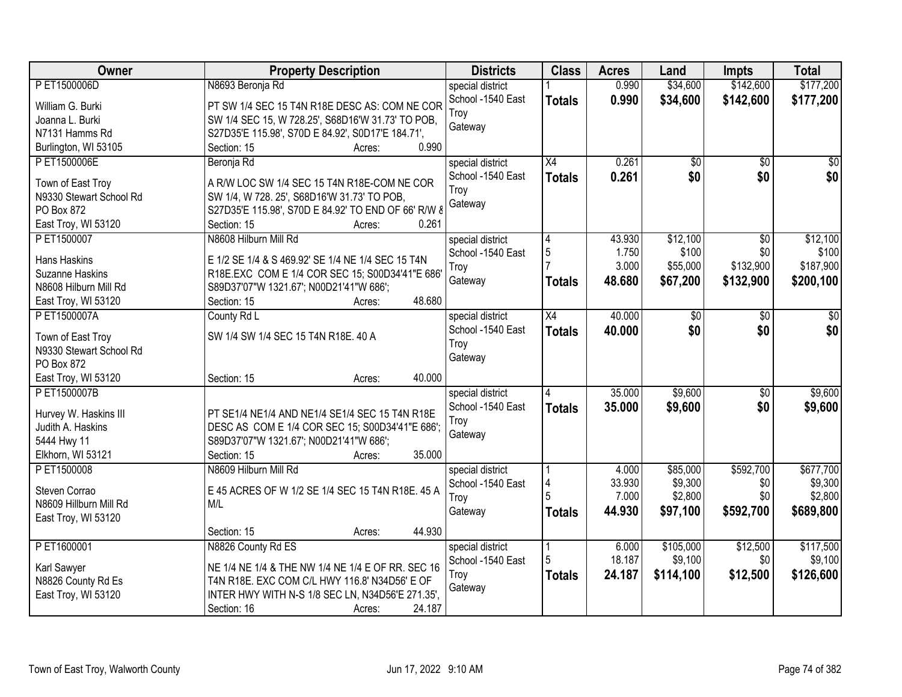| Owner                   | <b>Property Description</b>                         | <b>Districts</b>  | <b>Class</b>    | <b>Acres</b> | Land            | <b>Impts</b>    | <b>Total</b> |
|-------------------------|-----------------------------------------------------|-------------------|-----------------|--------------|-----------------|-----------------|--------------|
| PET1500006D             | N8693 Beronja Rd                                    | special district  |                 | 0.990        | \$34,600        | \$142,600       | \$177,200    |
| William G. Burki        | PT SW 1/4 SEC 15 T4N R18E DESC AS: COM NE COR       | School -1540 East | <b>Totals</b>   | 0.990        | \$34,600        | \$142,600       | \$177,200    |
| Joanna L. Burki         | SW 1/4 SEC 15, W 728.25', S68D16'W 31.73' TO POB,   | Troy              |                 |              |                 |                 |              |
| N7131 Hamms Rd          | S27D35'E 115.98', S70D E 84.92', S0D17'E 184.71',   | Gateway           |                 |              |                 |                 |              |
| Burlington, WI 53105    | 0.990<br>Section: 15<br>Acres:                      |                   |                 |              |                 |                 |              |
| P ET1500006E            | Beronja Rd                                          | special district  | $\overline{X4}$ | 0.261        | $\overline{50}$ | $\overline{50}$ | $\sqrt{50}$  |
|                         |                                                     | School -1540 East | <b>Totals</b>   | 0.261        | \$0             | \$0             | \$0          |
| Town of East Troy       | A R/W LOC SW 1/4 SEC 15 T4N R18E-COM NE COR         | Troy              |                 |              |                 |                 |              |
| N9330 Stewart School Rd | SW 1/4, W 728. 25', S68D16'W 31.73' TO POB,         | Gateway           |                 |              |                 |                 |              |
| PO Box 872              | S27D35'E 115.98', S70D E 84.92' TO END OF 66' R/W 8 |                   |                 |              |                 |                 |              |
| East Troy, WI 53120     | 0.261<br>Section: 15<br>Acres:                      |                   |                 |              |                 |                 |              |
| PET1500007              | N8608 Hilburn Mill Rd                               | special district  | 4               | 43.930       | \$12,100        | $\overline{50}$ | \$12,100     |
| <b>Hans Haskins</b>     | E 1/2 SE 1/4 & S 469.92' SE 1/4 NE 1/4 SEC 15 T4N   | School -1540 East | 5               | 1.750        | \$100           | \$0             | \$100        |
| <b>Suzanne Haskins</b>  | R18E.EXC COM E 1/4 COR SEC 15; S00D34'41"E 686'     | Troy              |                 | 3.000        | \$55,000        | \$132,900       | \$187,900    |
| N8608 Hilburn Mill Rd   | S89D37'07"W 1321.67'; N00D21'41"W 686';             | Gateway           | Totals          | 48.680       | \$67,200        | \$132,900       | \$200,100    |
| East Troy, WI 53120     | 48.680<br>Section: 15<br>Acres:                     |                   |                 |              |                 |                 |              |
| PET1500007A             | County Rd L                                         | special district  | X4              | 40.000       | \$0             | \$0             | \$0          |
|                         |                                                     | School -1540 East | <b>Totals</b>   | 40.000       | \$0             | \$0             | \$0          |
| Town of East Troy       | SW 1/4 SW 1/4 SEC 15 T4N R18E. 40 A                 | Troy              |                 |              |                 |                 |              |
| N9330 Stewart School Rd |                                                     | Gateway           |                 |              |                 |                 |              |
| PO Box 872              |                                                     |                   |                 |              |                 |                 |              |
| East Troy, WI 53120     | 40.000<br>Section: 15<br>Acres:                     |                   |                 |              |                 |                 |              |
| PET1500007B             |                                                     | special district  |                 | 35.000       | \$9,600         | $\overline{50}$ | \$9,600      |
| Hurvey W. Haskins III   | PT SE1/4 NE1/4 AND NE1/4 SE1/4 SEC 15 T4N R18E      | School -1540 East | <b>Totals</b>   | 35,000       | \$9,600         | \$0             | \$9,600      |
| Judith A. Haskins       | DESC AS COM E 1/4 COR SEC 15; S00D34'41"E 686';     | Troy              |                 |              |                 |                 |              |
| 5444 Hwy 11             | S89D37'07"W 1321.67'; N00D21'41"W 686';             | Gateway           |                 |              |                 |                 |              |
| Elkhorn, WI 53121       | Section: 15<br>35.000<br>Acres:                     |                   |                 |              |                 |                 |              |
| PET1500008              | N8609 Hilburn Mill Rd                               | special district  |                 | 4.000        | \$85,000        | \$592,700       | \$677,700    |
|                         |                                                     | School -1540 East |                 | 33.930       | \$9,300         | \$0             | \$9,300      |
| Steven Corrao           | E 45 ACRES OF W 1/2 SE 1/4 SEC 15 T4N R18E. 45 A    | Troy              |                 | 7.000        | \$2,800         | \$0             | \$2,800      |
| N8609 Hillburn Mill Rd  | M/L                                                 | Gateway           | Totals          | 44.930       | \$97,100        | \$592,700       | \$689,800    |
| East Troy, WI 53120     |                                                     |                   |                 |              |                 |                 |              |
|                         | 44.930<br>Section: 15<br>Acres:                     |                   |                 |              |                 |                 |              |
| PET1600001              | N8826 County Rd ES                                  | special district  | l 1             | 6.000        | \$105,000       | \$12,500        | \$117,500    |
| Karl Sawyer             | NE 1/4 NE 1/4 & THE NW 1/4 NE 1/4 E OF RR. SEC 16   | School -1540 East | 5               | 18.187       | \$9,100         | \$0             | \$9,100      |
| N8826 County Rd Es      | T4N R18E. EXC COM C/L HWY 116.8' N34D56' E OF       | Troy              | <b>Totals</b>   | 24.187       | \$114,100       | \$12,500        | \$126,600    |
| East Troy, WI 53120     | INTER HWY WITH N-S 1/8 SEC LN, N34D56'E 271.35',    | Gateway           |                 |              |                 |                 |              |
|                         | 24.187<br>Section: 16<br>Acres:                     |                   |                 |              |                 |                 |              |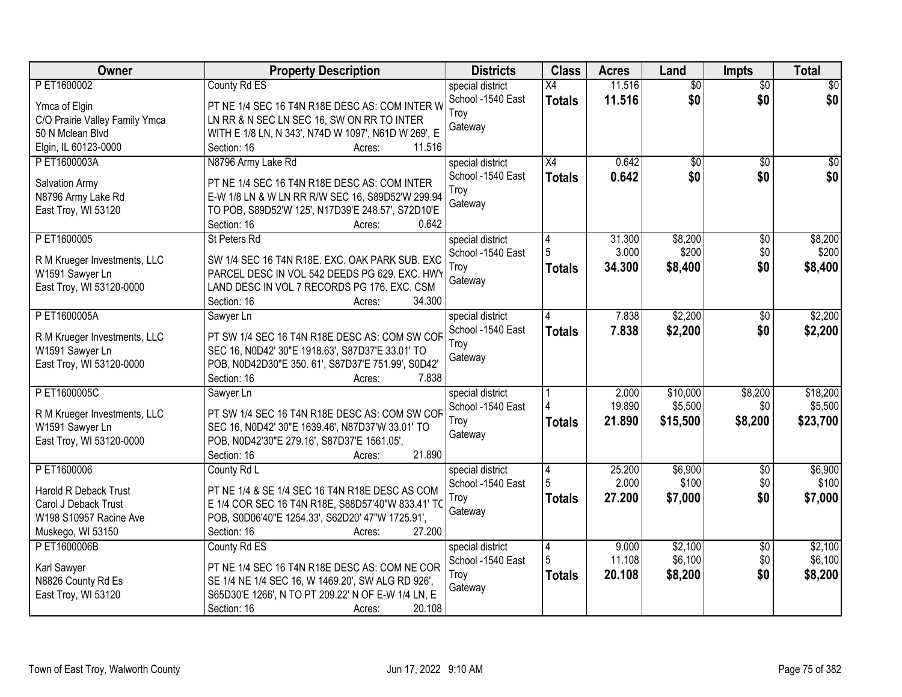| Owner                          | <b>Property Description</b>                                                                  | <b>Districts</b>  | <b>Class</b>    | <b>Acres</b> | Land            | <b>Impts</b>    | <b>Total</b>    |
|--------------------------------|----------------------------------------------------------------------------------------------|-------------------|-----------------|--------------|-----------------|-----------------|-----------------|
| PET1600002                     | County Rd ES                                                                                 | special district  | X4              | 11.516       | $\overline{50}$ | $\overline{50}$ | $\overline{30}$ |
| Ymca of Elgin                  | PT NE 1/4 SEC 16 T4N R18E DESC AS: COM INTER W                                               | School -1540 East | <b>Totals</b>   | 11.516       | \$0             | \$0             | \$0             |
| C/O Prairie Valley Family Ymca | LN RR & N SEC LN SEC 16, SW ON RR TO INTER                                                   | Troy              |                 |              |                 |                 |                 |
| 50 N Mclean Blvd               | WITH E 1/8 LN, N 343', N74D W 1097', N61D W 269', E                                          | Gateway           |                 |              |                 |                 |                 |
| Elgin, IL 60123-0000           | 11.516<br>Section: 16<br>Acres:                                                              |                   |                 |              |                 |                 |                 |
| PET1600003A                    | N8796 Army Lake Rd                                                                           | special district  | $\overline{X4}$ | 0.642        | $\overline{50}$ | $\overline{50}$ | $\overline{50}$ |
| Salvation Army                 | PT NE 1/4 SEC 16 T4N R18E DESC AS: COM INTER                                                 | School -1540 East | <b>Totals</b>   | 0.642        | \$0             | \$0             | \$0             |
| N8796 Army Lake Rd             | E-W 1/8 LN & W LN RR R/W SEC 16, S89D52'W 299.94                                             | Troy              |                 |              |                 |                 |                 |
| East Troy, WI 53120            | TO POB, S89D52'W 125', N17D39'E 248.57', S72D10'E                                            | Gateway           |                 |              |                 |                 |                 |
|                                | 0.642<br>Section: 16<br>Acres:                                                               |                   |                 |              |                 |                 |                 |
| PET1600005                     | St Peters Rd                                                                                 | special district  | 4               | 31.300       | \$8,200         | \$0             | \$8,200         |
|                                |                                                                                              | School -1540 East |                 | 3.000        | \$200           | \$0             | \$200           |
| R M Krueger Investments, LLC   | SW 1/4 SEC 16 T4N R18E. EXC. OAK PARK SUB. EXC                                               | Troy              | <b>Totals</b>   | 34,300       | \$8,400         | \$0             | \$8,400         |
| W1591 Sawyer Ln                | PARCEL DESC IN VOL 542 DEEDS PG 629. EXC. HWY<br>LAND DESC IN VOL 7 RECORDS PG 176. EXC. CSM | Gateway           |                 |              |                 |                 |                 |
| East Troy, WI 53120-0000       | 34.300<br>Section: 16<br>Acres:                                                              |                   |                 |              |                 |                 |                 |
| P ET1600005A                   | Sawyer Ln                                                                                    | special district  | 4               | 7.838        | \$2,200         | \$0             | \$2,200         |
|                                |                                                                                              | School -1540 East | <b>Totals</b>   | 7.838        | \$2,200         | \$0             | \$2,200         |
| R M Krueger Investments, LLC   | PT SW 1/4 SEC 16 T4N R18E DESC AS: COM SW COF                                                | Troy              |                 |              |                 |                 |                 |
| W1591 Sawyer Ln                | SEC 16, N0D42' 30"E 1918.63', S87D37'E 33.01' TO                                             | Gateway           |                 |              |                 |                 |                 |
| East Troy, WI 53120-0000       | POB, N0D42D30"E 350.61', S87D37'E 751.99', S0D42'                                            |                   |                 |              |                 |                 |                 |
|                                | 7.838<br>Section: 16<br>Acres:                                                               |                   |                 |              |                 |                 |                 |
| PET1600005C                    | Sawyer Ln                                                                                    | special district  |                 | 2.000        | \$10,000        | \$8,200         | \$18,200        |
| R M Krueger Investments, LLC   | PT SW 1/4 SEC 16 T4N R18E DESC AS: COM SW COF                                                | School -1540 East |                 | 19.890       | \$5,500         | \$0             | \$5,500         |
| W1591 Sawyer Ln                | SEC 16, N0D42' 30"E 1639.46', N87D37'W 33.01' TO                                             | Troy              | Totals          | 21.890       | \$15,500        | \$8,200         | \$23,700        |
| East Troy, WI 53120-0000       | POB, N0D42'30"E 279.16', S87D37'E 1561.05',                                                  | Gateway           |                 |              |                 |                 |                 |
|                                | 21.890<br>Section: 16<br>Acres:                                                              |                   |                 |              |                 |                 |                 |
| PET1600006                     | County Rd L                                                                                  | special district  | 4               | 25.200       | \$6,900         | $\sqrt{6}$      | \$6,900         |
| Harold R Deback Trust          | PT NE 1/4 & SE 1/4 SEC 16 T4N R18E DESC AS COM                                               | School -1540 East |                 | 2.000        | \$100           | \$0             | \$100           |
| Carol J Deback Trust           | E 1/4 COR SEC 16 T4N R18E, S88D57'40"W 833.41' TO                                            | Troy              | <b>Totals</b>   | 27.200       | \$7,000         | \$0             | \$7,000         |
| W198 S10957 Racine Ave         | POB, S0D06'40"E 1254.33', S62D20' 47"W 1725.91',                                             | Gateway           |                 |              |                 |                 |                 |
| Muskego, WI 53150              | Section: 16<br>27.200<br>Acres:                                                              |                   |                 |              |                 |                 |                 |
| PET1600006B                    | County Rd ES                                                                                 | special district  | 4               | 9.000        | \$2,100         | $\overline{30}$ | \$2,100         |
| Karl Sawyer                    | PT NE 1/4 SEC 16 T4N R18E DESC AS: COM NE COR                                                | School -1540 East | 5               | 11.108       | \$6,100         | \$0             | \$6,100         |
| N8826 County Rd Es             | SE 1/4 NE 1/4 SEC 16, W 1469.20', SW ALG RD 926',                                            | Troy              | <b>Totals</b>   | 20.108       | \$8,200         | \$0             | \$8,200         |
| East Troy, WI 53120            | S65D30'E 1266', N TO PT 209.22' N OF E-W 1/4 LN, E                                           | Gateway           |                 |              |                 |                 |                 |
|                                | 20.108<br>Section: 16<br>Acres:                                                              |                   |                 |              |                 |                 |                 |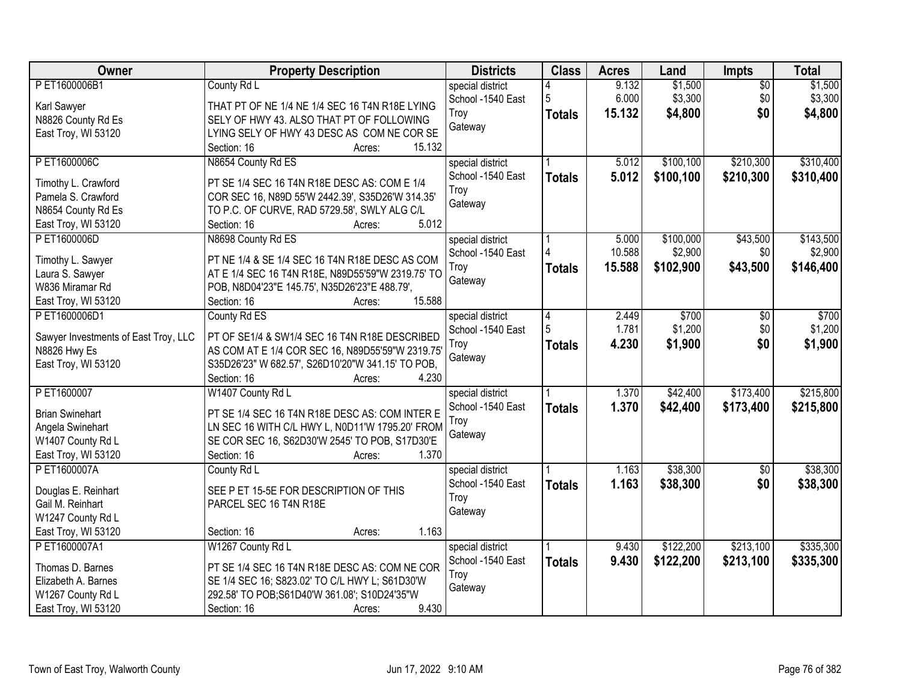| Owner                                | <b>Property Description</b>                       | <b>Districts</b>  | <b>Class</b>  | <b>Acres</b> | Land      | <b>Impts</b>    | <b>Total</b> |
|--------------------------------------|---------------------------------------------------|-------------------|---------------|--------------|-----------|-----------------|--------------|
| PET1600006B1                         | County Rd L                                       | special district  |               | 9.132        | \$1,500   | $\overline{50}$ | \$1,500      |
| Karl Sawyer                          | THAT PT OF NE 1/4 NE 1/4 SEC 16 T4N R18E LYING    | School -1540 East | 5             | 6.000        | \$3,300   | \$0             | \$3,300      |
| N8826 County Rd Es                   | SELY OF HWY 43. ALSO THAT PT OF FOLLOWING         | Troy              | <b>Totals</b> | 15.132       | \$4,800   | \$0             | \$4,800      |
| East Troy, WI 53120                  | LYING SELY OF HWY 43 DESC AS COM NE COR SE        | Gateway           |               |              |           |                 |              |
|                                      | 15.132<br>Section: 16<br>Acres:                   |                   |               |              |           |                 |              |
| PET1600006C                          | N8654 County Rd ES                                | special district  |               | 5.012        | \$100,100 | \$210,300       | \$310,400    |
|                                      |                                                   | School -1540 East | <b>Totals</b> | 5.012        | \$100,100 | \$210,300       | \$310,400    |
| Timothy L. Crawford                  | PT SE 1/4 SEC 16 T4N R18E DESC AS: COM E 1/4      | Troy              |               |              |           |                 |              |
| Pamela S. Crawford                   | COR SEC 16, N89D 55'W 2442.39', S35D26'W 314.35'  | Gateway           |               |              |           |                 |              |
| N8654 County Rd Es                   | TO P.C. OF CURVE, RAD 5729.58', SWLY ALG C/L      |                   |               |              |           |                 |              |
| East Troy, WI 53120                  | 5.012<br>Section: 16<br>Acres:                    |                   |               |              |           |                 |              |
| PET1600006D                          | N8698 County Rd ES                                | special district  |               | 5.000        | \$100,000 | \$43,500        | \$143,500    |
| Timothy L. Sawyer                    | PT NE 1/4 & SE 1/4 SEC 16 T4N R18E DESC AS COM    | School -1540 East |               | 10.588       | \$2,900   | \$0             | \$2,900      |
| Laura S. Sawyer                      | AT E 1/4 SEC 16 T4N R18E, N89D55'59"W 2319.75' TO | Troy              | <b>Totals</b> | 15.588       | \$102,900 | \$43,500        | \$146,400    |
| W836 Miramar Rd                      | POB, N8D04'23"E 145.75', N35D26'23"E 488.79',     | Gateway           |               |              |           |                 |              |
| East Troy, WI 53120                  | 15.588<br>Section: 16<br>Acres:                   |                   |               |              |           |                 |              |
| PET1600006D1                         | County Rd ES                                      | special district  | 4             | 2.449        | \$700     | \$0             | \$700        |
|                                      |                                                   | School -1540 East | 5             | 1.781        | \$1,200   | \$0             | \$1,200      |
| Sawyer Investments of East Troy, LLC | PT OF SE1/4 & SW1/4 SEC 16 T4N R18E DESCRIBED     | Troy              | <b>Totals</b> | 4.230        | \$1,900   | \$0             | \$1,900      |
| N8826 Hwy Es                         | AS COM AT E 1/4 COR SEC 16, N89D55'59"W 2319.75'  | Gateway           |               |              |           |                 |              |
| East Troy, WI 53120                  | S35D26'23" W 682.57', S26D10'20"W 341.15' TO POB, |                   |               |              |           |                 |              |
|                                      | Section: 16<br>4.230<br>Acres:                    |                   |               |              |           |                 |              |
| P ET1600007                          | W1407 County Rd L                                 | special district  |               | 1.370        | \$42,400  | \$173,400       | \$215,800    |
| <b>Brian Swinehart</b>               | PT SE 1/4 SEC 16 T4N R18E DESC AS: COM INTER E    | School -1540 East | <b>Totals</b> | 1.370        | \$42,400  | \$173,400       | \$215,800    |
| Angela Swinehart                     | LN SEC 16 WITH C/L HWY L, N0D11'W 1795.20' FROM   | Troy              |               |              |           |                 |              |
| W1407 County Rd L                    | SE COR SEC 16, S62D30'W 2545' TO POB, S17D30'E    | Gateway           |               |              |           |                 |              |
| East Troy, WI 53120                  | 1.370<br>Section: 16<br>Acres:                    |                   |               |              |           |                 |              |
| PET1600007A                          | County Rd L                                       | special district  |               | 1.163        | \$38,300  | $\overline{60}$ | \$38,300     |
|                                      |                                                   | School -1540 East | <b>Totals</b> | 1.163        | \$38,300  | \$0             | \$38,300     |
| Douglas E. Reinhart                  | SEE P ET 15-5E FOR DESCRIPTION OF THIS            | Troy              |               |              |           |                 |              |
| Gail M. Reinhart                     | PARCEL SEC 16 T4N R18E                            | Gateway           |               |              |           |                 |              |
| W1247 County Rd L                    |                                                   |                   |               |              |           |                 |              |
| East Troy, WI 53120                  | 1.163<br>Section: 16<br>Acres:                    |                   |               |              |           |                 |              |
| PET1600007A1                         | W1267 County Rd L                                 | special district  |               | 9.430        | \$122,200 | \$213,100       | \$335,300    |
| Thomas D. Barnes                     | PT SE 1/4 SEC 16 T4N R18E DESC AS: COM NE COR     | School -1540 East | <b>Totals</b> | 9.430        | \$122,200 | \$213,100       | \$335,300    |
| Elizabeth A. Barnes                  | SE 1/4 SEC 16; S823.02' TO C/L HWY L; S61D30'W    | Troy              |               |              |           |                 |              |
| W1267 County Rd L                    | 292.58' TO POB;S61D40'W 361.08'; S10D24'35"W      | Gateway           |               |              |           |                 |              |
| East Troy, WI 53120                  | 9.430<br>Section: 16<br>Acres:                    |                   |               |              |           |                 |              |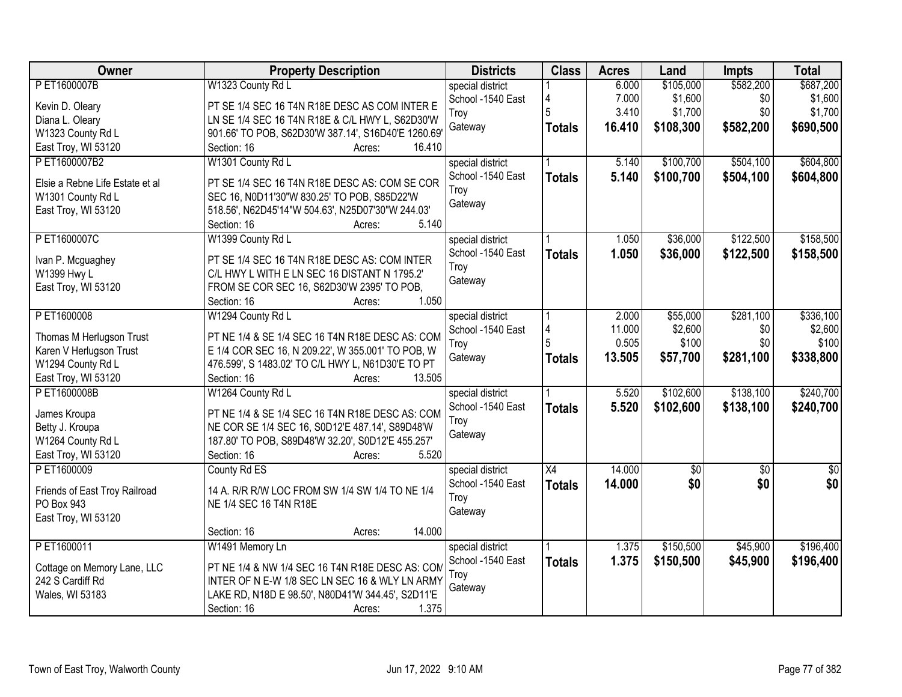| Owner                                        | <b>Property Description</b>                                                                            | <b>Districts</b>  | <b>Class</b>    | <b>Acres</b> | Land        | <b>Impts</b>    | <b>Total</b>    |
|----------------------------------------------|--------------------------------------------------------------------------------------------------------|-------------------|-----------------|--------------|-------------|-----------------|-----------------|
| PET1600007B                                  | W1323 County Rd L                                                                                      | special district  |                 | 6.000        | \$105,000   | \$582,200       | \$687,200       |
| Kevin D. Oleary                              | PT SE 1/4 SEC 16 T4N R18E DESC AS COM INTER E                                                          | School -1540 East | 4               | 7.000        | \$1,600     | \$0             | \$1,600         |
| Diana L. Oleary                              | LN SE 1/4 SEC 16 T4N R18E & C/L HWY L, S62D30'W                                                        | Troy              | 5               | 3.410        | \$1,700     | \$0             | \$1,700         |
| W1323 County Rd L                            | 901.66' TO POB, S62D30'W 387.14', S16D40'E 1260.69'                                                    | Gateway           | <b>Totals</b>   | 16.410       | \$108,300   | \$582,200       | \$690,500       |
| East Troy, WI 53120                          | 16.410<br>Section: 16<br>Acres:                                                                        |                   |                 |              |             |                 |                 |
| PET1600007B2                                 | W1301 County Rd L                                                                                      | special district  |                 | 5.140        | \$100,700   | \$504,100       | \$604,800       |
|                                              |                                                                                                        | School -1540 East | <b>Totals</b>   | 5.140        | \$100,700   | \$504,100       | \$604,800       |
| Elsie a Rebne Life Estate et al              | PT SE 1/4 SEC 16 T4N R18E DESC AS: COM SE COR                                                          | Troy              |                 |              |             |                 |                 |
| W1301 County Rd L                            | SEC 16, N0D11'30"W 830.25' TO POB, S85D22'W                                                            | Gateway           |                 |              |             |                 |                 |
| East Troy, WI 53120                          | 518.56', N62D45'14"W 504.63', N25D07'30"W 244.03'                                                      |                   |                 |              |             |                 |                 |
|                                              | 5.140<br>Section: 16<br>Acres:                                                                         |                   |                 |              |             |                 |                 |
| PET1600007C                                  | W1399 County Rd L                                                                                      | special district  |                 | 1.050        | \$36,000    | \$122,500       | \$158,500       |
| Ivan P. Mcguaghey                            | PT SE 1/4 SEC 16 T4N R18E DESC AS: COM INTER                                                           | School -1540 East | <b>Totals</b>   | 1.050        | \$36,000    | \$122,500       | \$158,500       |
| W1399 Hwy L                                  | C/L HWY L WITH E LN SEC 16 DISTANT N 1795.2'                                                           | Troy              |                 |              |             |                 |                 |
| East Troy, WI 53120                          | FROM SE COR SEC 16, S62D30'W 2395' TO POB,                                                             | Gateway           |                 |              |             |                 |                 |
|                                              | 1.050<br>Section: 16<br>Acres:                                                                         |                   |                 |              |             |                 |                 |
| PET1600008                                   | W1294 County Rd L                                                                                      | special district  |                 | 2.000        | \$55,000    | \$281,100       | \$336,100       |
|                                              |                                                                                                        | School -1540 East | 4               | 11.000       | \$2,600     | \$0             | \$2,600         |
| Thomas M Herlugson Trust                     | PT NE 1/4 & SE 1/4 SEC 16 T4N R18E DESC AS: COM                                                        | Troy              |                 | 0.505        | \$100       | \$0             | \$100           |
| Karen V Herlugson Trust<br>W1294 County Rd L | E 1/4 COR SEC 16, N 209.22', W 355.001' TO POB, W<br>476.599', S 1483.02' TO C/L HWY L, N61D30'E TO PT | Gateway           | <b>Totals</b>   | 13.505       | \$57,700    | \$281,100       | \$338,800       |
| East Troy, WI 53120                          | Section: 16<br>13.505<br>Acres:                                                                        |                   |                 |              |             |                 |                 |
| PET1600008B                                  | W1264 County Rd L                                                                                      | special district  |                 | 5.520        | \$102,600   | \$138,100       | \$240,700       |
|                                              |                                                                                                        | School -1540 East |                 |              |             |                 |                 |
| James Kroupa                                 | PT NE 1/4 & SE 1/4 SEC 16 T4N R18E DESC AS: COM                                                        | Troy              | <b>Totals</b>   | 5.520        | \$102,600   | \$138,100       | \$240,700       |
| Betty J. Kroupa                              | NE COR SE 1/4 SEC 16, S0D12'E 487.14', S89D48'W                                                        | Gateway           |                 |              |             |                 |                 |
| W1264 County Rd L                            | 187.80' TO POB, S89D48'W 32.20', S0D12'E 455.257'                                                      |                   |                 |              |             |                 |                 |
| East Troy, WI 53120                          | 5.520<br>Section: 16<br>Acres:                                                                         |                   |                 |              |             |                 |                 |
| P ET1600009                                  | County Rd ES                                                                                           | special district  | $\overline{X4}$ | 14.000       | $\sqrt{50}$ | $\overline{50}$ | $\overline{50}$ |
| Friends of East Troy Railroad                | 14 A. R/R R/W LOC FROM SW 1/4 SW 1/4 TO NE 1/4                                                         | School -1540 East | <b>Totals</b>   | 14.000       | \$0         | \$0             | \$0             |
| PO Box 943                                   | NE 1/4 SEC 16 T4N R18E                                                                                 | Troy              |                 |              |             |                 |                 |
| East Troy, WI 53120                          |                                                                                                        | Gateway           |                 |              |             |                 |                 |
|                                              | 14.000<br>Section: 16<br>Acres:                                                                        |                   |                 |              |             |                 |                 |
| PET1600011                                   | W1491 Memory Ln                                                                                        | special district  |                 | 1.375        | \$150,500   | \$45,900        | \$196,400       |
|                                              |                                                                                                        | School -1540 East | <b>Totals</b>   | 1.375        | \$150,500   | \$45,900        | \$196,400       |
| Cottage on Memory Lane, LLC                  | PT NE 1/4 & NW 1/4 SEC 16 T4N R18E DESC AS: COM                                                        | Troy              |                 |              |             |                 |                 |
| 242 S Cardiff Rd                             | INTER OF N E-W 1/8 SEC LN SEC 16 & WLY LN ARMY                                                         | Gateway           |                 |              |             |                 |                 |
| Wales, WI 53183                              | LAKE RD, N18D E 98.50', N80D41'W 344.45', S2D11'E                                                      |                   |                 |              |             |                 |                 |
|                                              | 1.375<br>Section: 16<br>Acres:                                                                         |                   |                 |              |             |                 |                 |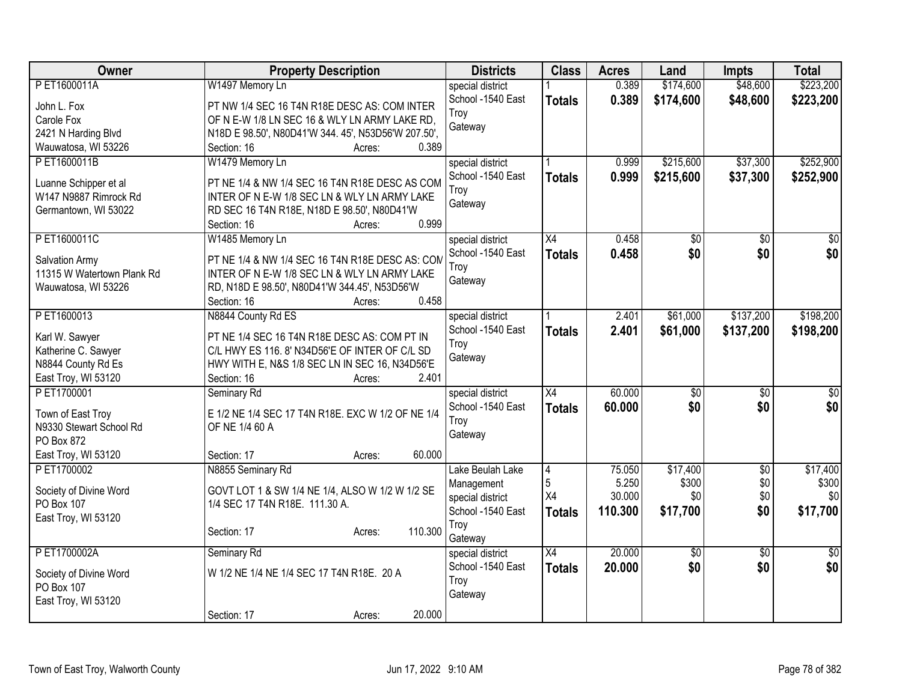| Owner                      | <b>Property Description</b>                         | <b>Districts</b>  | <b>Class</b>    | <b>Acres</b> | Land            | <b>Impts</b>    | <b>Total</b>    |
|----------------------------|-----------------------------------------------------|-------------------|-----------------|--------------|-----------------|-----------------|-----------------|
| PET1600011A                | W1497 Memory Ln                                     | special district  |                 | 0.389        | \$174,600       | \$48,600        | \$223,200       |
| John L. Fox                | PT NW 1/4 SEC 16 T4N R18E DESC AS: COM INTER        | School -1540 East | <b>Totals</b>   | 0.389        | \$174,600       | \$48,600        | \$223,200       |
| Carole Fox                 | OF N E-W 1/8 LN SEC 16 & WLY LN ARMY LAKE RD,       | Troy              |                 |              |                 |                 |                 |
| 2421 N Harding Blvd        | N18D E 98.50', N80D41'W 344. 45', N53D56'W 207.50', | Gateway           |                 |              |                 |                 |                 |
| Wauwatosa, WI 53226        | 0.389<br>Section: 16<br>Acres:                      |                   |                 |              |                 |                 |                 |
| PET1600011B                | W1479 Memory Ln                                     | special district  |                 | 0.999        | \$215,600       | \$37,300        | \$252,900       |
|                            |                                                     | School -1540 East | <b>Totals</b>   | 0.999        | \$215,600       | \$37,300        | \$252,900       |
| Luanne Schipper et al      | PT NE 1/4 & NW 1/4 SEC 16 T4N R18E DESC AS COM      | Troy              |                 |              |                 |                 |                 |
| W147 N9887 Rimrock Rd      | INTER OF N E-W 1/8 SEC LN & WLY LN ARMY LAKE        | Gateway           |                 |              |                 |                 |                 |
| Germantown, WI 53022       | RD SEC 16 T4N R18E, N18D E 98.50', N80D41'W         |                   |                 |              |                 |                 |                 |
|                            | 0.999<br>Section: 16<br>Acres:                      |                   |                 |              |                 |                 |                 |
| PET1600011C                | W1485 Memory Ln                                     | special district  | $\overline{X4}$ | 0.458        | $\overline{50}$ | $\sqrt{50}$     | $\overline{50}$ |
| Salvation Army             | PT NE 1/4 & NW 1/4 SEC 16 T4N R18E DESC AS: COM     | School -1540 East | <b>Totals</b>   | 0.458        | \$0             | \$0             | \$0             |
| 11315 W Watertown Plank Rd | INTER OF N E-W 1/8 SEC LN & WLY LN ARMY LAKE        | Troy              |                 |              |                 |                 |                 |
| Wauwatosa, WI 53226        | RD, N18D E 98.50', N80D41'W 344.45', N53D56'W       | Gateway           |                 |              |                 |                 |                 |
|                            | 0.458<br>Section: 16<br>Acres:                      |                   |                 |              |                 |                 |                 |
| PET1600013                 | N8844 County Rd ES                                  | special district  |                 | 2.401        | \$61,000        | \$137,200       | \$198,200       |
|                            |                                                     | School -1540 East | <b>Totals</b>   | 2.401        | \$61,000        | \$137,200       | \$198,200       |
| Karl W. Sawyer             | PT NE 1/4 SEC 16 T4N R18E DESC AS: COM PT IN        | Troy              |                 |              |                 |                 |                 |
| Katherine C. Sawyer        | C/L HWY ES 116. 8' N34D56'E OF INTER OF C/L SD      | Gateway           |                 |              |                 |                 |                 |
| N8844 County Rd Es         | HWY WITH E, N&S 1/8 SEC LN IN SEC 16, N34D56'E      |                   |                 |              |                 |                 |                 |
| East Troy, WI 53120        | Section: 16<br>2.401<br>Acres:                      |                   |                 |              |                 |                 |                 |
| PET1700001                 | Seminary Rd                                         | special district  | $\overline{X4}$ | 60.000       | \$0             | $\overline{50}$ | $\overline{30}$ |
| Town of East Troy          | E 1/2 NE 1/4 SEC 17 T4N R18E. EXC W 1/2 OF NE 1/4   | School -1540 East | <b>Totals</b>   | 60.000       | \$0             | \$0             | \$0             |
| N9330 Stewart School Rd    | OF NE 1/4 60 A                                      | Troy              |                 |              |                 |                 |                 |
| PO Box 872                 |                                                     | Gateway           |                 |              |                 |                 |                 |
| East Troy, WI 53120        | 60.000<br>Section: 17<br>Acres:                     |                   |                 |              |                 |                 |                 |
| PET1700002                 | N8855 Seminary Rd                                   | Lake Beulah Lake  | 4               | 75.050       | \$17,400        | $\overline{50}$ | \$17,400        |
|                            |                                                     | Management        | $\overline{5}$  | 5.250        | \$300           | \$0             | \$300           |
| Society of Divine Word     | GOVT LOT 1 & SW 1/4 NE 1/4, ALSO W 1/2 W 1/2 SE     | special district  | X4              | 30.000       | \$0             | \$0             | \$0             |
| PO Box 107                 | 1/4 SEC 17 T4N R18E. 111.30 A.                      | School -1540 East | <b>Totals</b>   | 110.300      | \$17,700        | \$0             | \$17,700        |
| East Troy, WI 53120        |                                                     | Troy              |                 |              |                 |                 |                 |
|                            | 110.300<br>Section: 17<br>Acres:                    | Gateway           |                 |              |                 |                 |                 |
| PET1700002A                | Seminary Rd                                         | special district  | $\overline{X4}$ | 20.000       | $\overline{50}$ | $\overline{30}$ | \$0             |
|                            |                                                     | School -1540 East | <b>Totals</b>   | 20.000       | \$0             | \$0             | \$0             |
| Society of Divine Word     | W 1/2 NE 1/4 NE 1/4 SEC 17 T4N R18E. 20 A           | Troy              |                 |              |                 |                 |                 |
| PO Box 107                 |                                                     | Gateway           |                 |              |                 |                 |                 |
| East Troy, WI 53120        | 20.000                                              |                   |                 |              |                 |                 |                 |
|                            | Section: 17<br>Acres:                               |                   |                 |              |                 |                 |                 |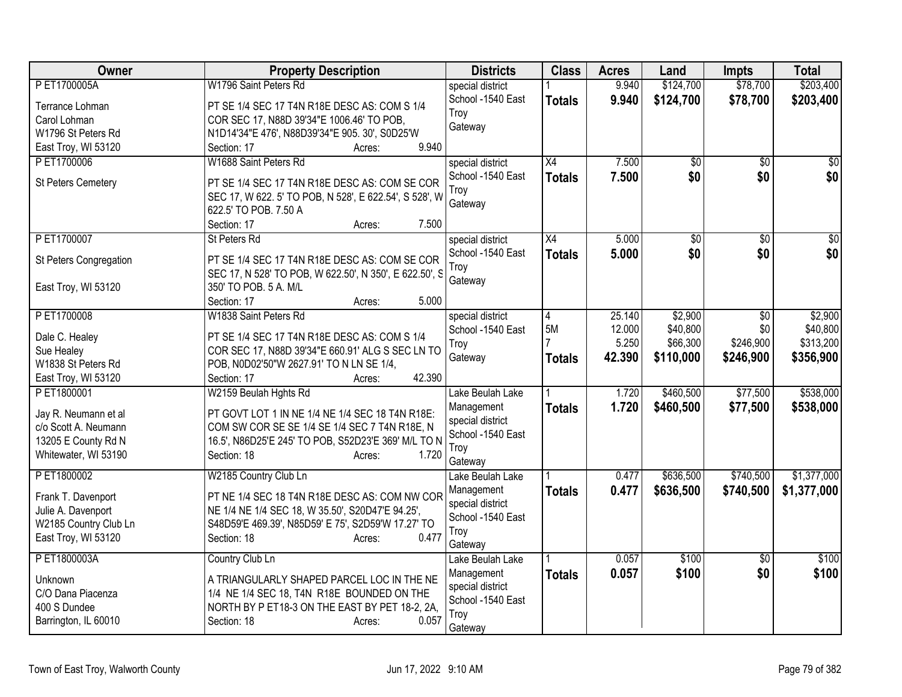| Owner                             | <b>Property Description</b>                                                                             | <b>Districts</b>               | <b>Class</b>    | <b>Acres</b> | Land            | <b>Impts</b>    | <b>Total</b>    |
|-----------------------------------|---------------------------------------------------------------------------------------------------------|--------------------------------|-----------------|--------------|-----------------|-----------------|-----------------|
| P ET1700005A                      | W1796 Saint Peters Rd                                                                                   | special district               |                 | 9.940        | \$124,700       | \$78,700        | \$203,400       |
| Terrance Lohman                   | PT SE 1/4 SEC 17 T4N R18E DESC AS: COM S 1/4                                                            | School -1540 East              | <b>Totals</b>   | 9.940        | \$124,700       | \$78,700        | \$203,400       |
| Carol Lohman                      | COR SEC 17, N88D 39'34"E 1006.46' TO POB,                                                               | Troy                           |                 |              |                 |                 |                 |
| W1796 St Peters Rd                | N1D14'34"E 476', N88D39'34"E 905. 30', S0D25'W                                                          | Gateway                        |                 |              |                 |                 |                 |
| East Troy, WI 53120               | 9.940<br>Section: 17<br>Acres:                                                                          |                                |                 |              |                 |                 |                 |
| PET1700006                        | W1688 Saint Peters Rd                                                                                   | special district               | $\overline{X4}$ | 7.500        | $\overline{50}$ | $\overline{50}$ | $\overline{50}$ |
| St Peters Cemetery                | PT SE 1/4 SEC 17 T4N R18E DESC AS: COM SE COR                                                           | School -1540 East              | <b>Totals</b>   | 7.500        | \$0             | \$0             | \$0             |
|                                   | SEC 17, W 622. 5' TO POB, N 528', E 622.54', S 528', W                                                  | Troy                           |                 |              |                 |                 |                 |
|                                   | 622.5' TO POB. 7.50 A                                                                                   | Gateway                        |                 |              |                 |                 |                 |
|                                   | 7.500<br>Section: 17<br>Acres:                                                                          |                                |                 |              |                 |                 |                 |
| P ET1700007                       | St Peters Rd                                                                                            | special district               | $\overline{X4}$ | 5.000        | $\overline{50}$ | $\overline{50}$ | $\overline{50}$ |
|                                   |                                                                                                         | School -1540 East              | <b>Totals</b>   | 5.000        | \$0             | \$0             | \$0             |
| St Peters Congregation            | PT SE 1/4 SEC 17 T4N R18E DESC AS: COM SE COR<br>SEC 17, N 528' TO POB, W 622.50', N 350', E 622.50', S | Troy                           |                 |              |                 |                 |                 |
| East Troy, WI 53120               | 350' TO POB. 5 A. M/L                                                                                   | Gateway                        |                 |              |                 |                 |                 |
|                                   | 5.000<br>Section: 17<br>Acres:                                                                          |                                |                 |              |                 |                 |                 |
| PET1700008                        | W1838 Saint Peters Rd                                                                                   | special district               | 4               | 25.140       | \$2,900         | \$0             | \$2,900         |
|                                   |                                                                                                         | School -1540 East              | 5M              | 12.000       | \$40,800        | \$0             | \$40,800        |
| Dale C. Healey                    | PT SE 1/4 SEC 17 T4N R18E DESC AS: COM S 1/4                                                            | Troy                           |                 | 5.250        | \$66,300        | \$246,900       | \$313,200       |
| Sue Healey                        | COR SEC 17, N88D 39'34"E 660.91' ALG S SEC LN TO                                                        | Gateway                        | <b>Totals</b>   | 42.390       | \$110,000       | \$246,900       | \$356,900       |
| W1838 St Peters Rd                | POB, N0D02'50"W 2627.91' TO N LN SE 1/4,<br>42.390                                                      |                                |                 |              |                 |                 |                 |
| East Troy, WI 53120<br>PET1800001 | Section: 17<br>Acres:<br>W2159 Beulah Hghts Rd                                                          | Lake Beulah Lake               |                 | 1.720        | \$460,500       | \$77,500        | \$538,000       |
|                                   |                                                                                                         | Management                     |                 | 1.720        | \$460,500       | \$77,500        |                 |
| Jay R. Neumann et al              | PT GOVT LOT 1 IN NE 1/4 NE 1/4 SEC 18 T4N R18E:                                                         | special district               | <b>Totals</b>   |              |                 |                 | \$538,000       |
| c/o Scott A. Neumann              | COM SW COR SE SE 1/4 SE 1/4 SEC 7 T4N R18E, N                                                           | School -1540 East              |                 |              |                 |                 |                 |
| 13205 E County Rd N               | 16.5', N86D25'E 245' TO POB, S52D23'E 369' M/L TO N                                                     | Troy                           |                 |              |                 |                 |                 |
| Whitewater, WI 53190              | 1.720<br>Section: 18<br>Acres:                                                                          | Gateway                        |                 |              |                 |                 |                 |
| PET1800002                        | W2185 Country Club Ln                                                                                   | Lake Beulah Lake               |                 | 0.477        | \$636,500       | \$740,500       | \$1,377,000     |
| Frank T. Davenport                | PT NE 1/4 SEC 18 T4N R18E DESC AS: COM NW COR                                                           | Management                     | <b>Totals</b>   | 0.477        | \$636,500       | \$740,500       | \$1,377,000     |
| Julie A. Davenport                | NE 1/4 NE 1/4 SEC 18, W 35.50', S20D47'E 94.25',                                                        | special district               |                 |              |                 |                 |                 |
| W2185 Country Club Ln             | S48D59'E 469.39', N85D59' E 75', S2D59'W 17.27' TO                                                      | School -1540 East              |                 |              |                 |                 |                 |
| East Troy, WI 53120               | 0.477<br>Section: 18<br>Acres:                                                                          | Troy                           |                 |              |                 |                 |                 |
|                                   |                                                                                                         | Gateway                        |                 |              |                 |                 |                 |
| P ET1800003A                      | Country Club Ln                                                                                         | Lake Beulah Lake               |                 | 0.057        | \$100           | $\overline{50}$ | \$100           |
| Unknown                           | A TRIANGULARLY SHAPED PARCEL LOC IN THE NE                                                              | Management<br>special district | <b>Totals</b>   | 0.057        | \$100           | \$0             | \$100           |
| C/O Dana Piacenza                 | 1/4 NE 1/4 SEC 18, T4N R18E BOUNDED ON THE                                                              | School -1540 East              |                 |              |                 |                 |                 |
| 400 S Dundee                      | NORTH BY P ET18-3 ON THE EAST BY PET 18-2, 2A,                                                          | Troy                           |                 |              |                 |                 |                 |
| Barrington, IL 60010              | 0.057<br>Section: 18<br>Acres:                                                                          | Gateway                        |                 |              |                 |                 |                 |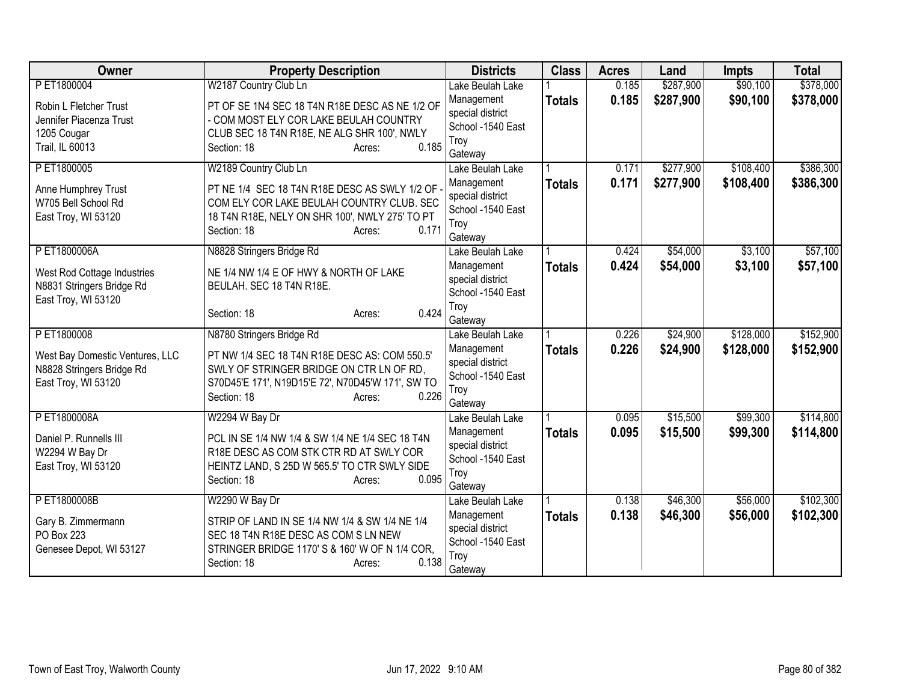| Owner                           | <b>Property Description</b>                       | <b>Districts</b>               | <b>Class</b>  | <b>Acres</b> | Land      | <b>Impts</b> | <b>Total</b> |
|---------------------------------|---------------------------------------------------|--------------------------------|---------------|--------------|-----------|--------------|--------------|
| P ET1800004                     | W2187 Country Club Ln                             | Lake Beulah Lake               |               | 0.185        | \$287,900 | \$90,100     | \$378,000    |
| Robin L Fletcher Trust          | PT OF SE 1N4 SEC 18 T4N R18E DESC AS NE 1/2 OF    | Management                     | <b>Totals</b> | 0.185        | \$287,900 | \$90,100     | \$378,000    |
| Jennifer Piacenza Trust         | - COM MOST ELY COR LAKE BEULAH COUNTRY            | special district               |               |              |           |              |              |
| 1205 Cougar                     | CLUB SEC 18 T4N R18E, NE ALG SHR 100', NWLY       | School -1540 East              |               |              |           |              |              |
| Trail, IL 60013                 | 0.185<br>Section: 18<br>Acres:                    | Troy                           |               |              |           |              |              |
| P ET1800005                     | W2189 Country Club Ln                             | Gateway<br>Lake Beulah Lake    |               | 0.171        | \$277,900 | \$108,400    | \$386,300    |
|                                 |                                                   | Management                     | <b>Totals</b> | 0.171        | \$277,900 | \$108,400    | \$386,300    |
| Anne Humphrey Trust             | PT NE 1/4 SEC 18 T4N R18E DESC AS SWLY 1/2 OF     | special district               |               |              |           |              |              |
| W705 Bell School Rd             | COM ELY COR LAKE BEULAH COUNTRY CLUB. SEC         | School -1540 East              |               |              |           |              |              |
| East Troy, WI 53120             | 18 T4N R18E, NELY ON SHR 100', NWLY 275' TO PT    | Troy                           |               |              |           |              |              |
|                                 | 0.171<br>Section: 18<br>Acres:                    | Gateway                        |               |              |           |              |              |
| PET1800006A                     | N8828 Stringers Bridge Rd                         | Lake Beulah Lake               |               | 0.424        | \$54,000  | \$3,100      | \$57,100     |
| West Rod Cottage Industries     | NE 1/4 NW 1/4 E OF HWY & NORTH OF LAKE            | Management                     | <b>Totals</b> | 0.424        | \$54,000  | \$3,100      | \$57,100     |
| N8831 Stringers Bridge Rd       | BEULAH. SEC 18 T4N R18E.                          | special district               |               |              |           |              |              |
| East Troy, WI 53120             |                                                   | School -1540 East              |               |              |           |              |              |
|                                 | 0.424<br>Section: 18<br>Acres:                    | Troy                           |               |              |           |              |              |
| P ET1800008                     |                                                   | Gateway                        |               | 0.226        | \$24,900  | \$128,000    | \$152,900    |
|                                 | N8780 Stringers Bridge Rd                         | Lake Beulah Lake<br>Management |               | 0.226        | \$24,900  | \$128,000    |              |
| West Bay Domestic Ventures, LLC | PT NW 1/4 SEC 18 T4N R18E DESC AS: COM 550.5'     | special district               | <b>Totals</b> |              |           |              | \$152,900    |
| N8828 Stringers Bridge Rd       | SWLY OF STRINGER BRIDGE ON CTR LN OF RD,          | School -1540 East              |               |              |           |              |              |
| East Troy, WI 53120             | S70D45'E 171', N19D15'E 72', N70D45'W 171', SW TO | Troy                           |               |              |           |              |              |
|                                 | 0.226<br>Section: 18<br>Acres:                    | Gateway                        |               |              |           |              |              |
| PET1800008A                     | W2294 W Bay Dr                                    | Lake Beulah Lake               |               | 0.095        | \$15,500  | \$99,300     | \$114,800    |
| Daniel P. Runnells III          | PCL IN SE 1/4 NW 1/4 & SW 1/4 NE 1/4 SEC 18 T4N   | Management                     | <b>Totals</b> | 0.095        | \$15,500  | \$99,300     | \$114,800    |
| W2294 W Bay Dr                  | R18E DESC AS COM STK CTR RD AT SWLY COR           | special district               |               |              |           |              |              |
| East Troy, WI 53120             | HEINTZ LAND, S 25D W 565.5' TO CTR SWLY SIDE      | School -1540 East              |               |              |           |              |              |
|                                 | 0.095<br>Section: 18<br>Acres:                    | Troy                           |               |              |           |              |              |
| PET1800008B                     | W2290 W Bay Dr                                    | Gateway                        |               | 0.138        | \$46,300  | \$56,000     | \$102,300    |
|                                 |                                                   | Lake Beulah Lake               |               |              |           |              |              |
| Gary B. Zimmermann              | STRIP OF LAND IN SE 1/4 NW 1/4 & SW 1/4 NE 1/4    | Management<br>special district | <b>Totals</b> | 0.138        | \$46,300  | \$56,000     | \$102,300    |
| PO Box 223                      | SEC 18 T4N R18E DESC AS COM S LN NEW              | School -1540 East              |               |              |           |              |              |
| Genesee Depot, WI 53127         | STRINGER BRIDGE 1170' S & 160' W OF N 1/4 COR.    | Troy                           |               |              |           |              |              |
|                                 | 0.138<br>Section: 18<br>Acres:                    | Gateway                        |               |              |           |              |              |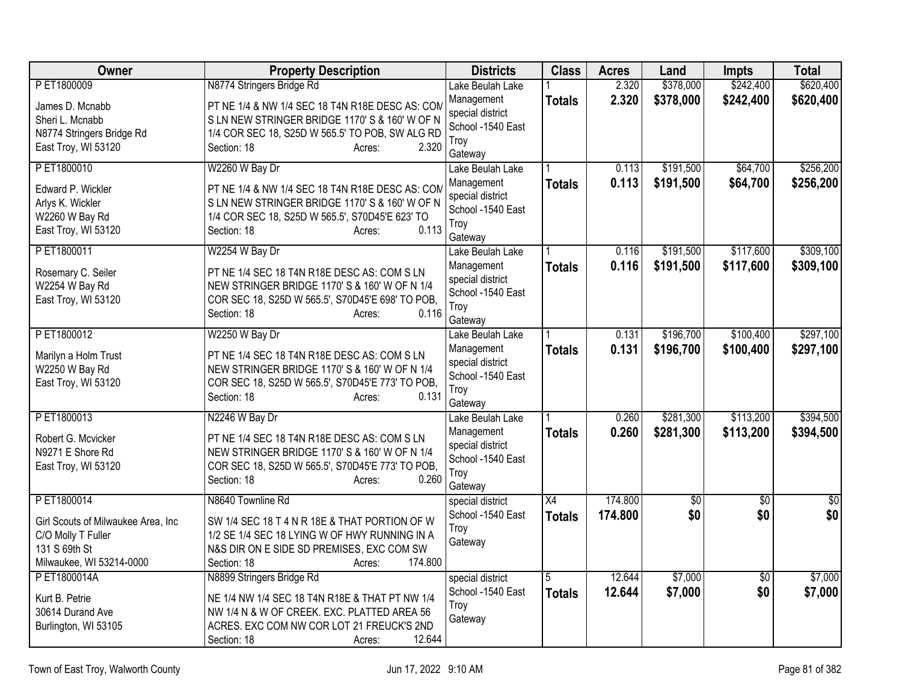| Owner                                                                                                  | <b>Property Description</b>                                                                                                                                                           | <b>Districts</b>                                                       | <b>Class</b>    | <b>Acres</b> | Land      | <b>Impts</b>    | <b>Total</b> |
|--------------------------------------------------------------------------------------------------------|---------------------------------------------------------------------------------------------------------------------------------------------------------------------------------------|------------------------------------------------------------------------|-----------------|--------------|-----------|-----------------|--------------|
| P ET1800009                                                                                            | N8774 Stringers Bridge Rd                                                                                                                                                             | Lake Beulah Lake                                                       |                 | 2.320        | \$378,000 | \$242,400       | \$620,400    |
| James D. Mcnabb<br>Sheri L. Mcnabb<br>N8774 Stringers Bridge Rd<br>East Troy, WI 53120                 | PT NE 1/4 & NW 1/4 SEC 18 T4N R18E DESC AS: COM<br>S LN NEW STRINGER BRIDGE 1170'S & 160' W OF N<br>1/4 COR SEC 18, S25D W 565.5' TO POB, SW ALG RD<br>Section: 18<br>2.320<br>Acres: | Management<br>special district<br>School -1540 East<br>Troy            | <b>Totals</b>   | 2.320        | \$378,000 | \$242,400       | \$620,400    |
|                                                                                                        |                                                                                                                                                                                       | Gateway                                                                |                 |              |           |                 |              |
| PET1800010                                                                                             | W2260 W Bay Dr                                                                                                                                                                        | Lake Beulah Lake                                                       |                 | 0.113        | \$191,500 | \$64,700        | \$256,200    |
| Edward P. Wickler<br>Arlys K. Wickler<br>W2260 W Bay Rd<br>East Troy, WI 53120                         | PT NE 1/4 & NW 1/4 SEC 18 T4N R18E DESC AS: CON<br>S LN NEW STRINGER BRIDGE 1170'S & 160' W OF N<br>1/4 COR SEC 18, S25D W 565.5', S70D45'E 623' TO<br>0.113<br>Section: 18<br>Acres: | Management<br>special district<br>School -1540 East<br>Troy<br>Gateway | <b>Totals</b>   | 0.113        | \$191,500 | \$64,700        | \$256,200    |
| PET1800011                                                                                             | W2254 W Bay Dr                                                                                                                                                                        | Lake Beulah Lake                                                       |                 | 0.116        | \$191,500 | \$117,600       | \$309,100    |
| Rosemary C. Seiler<br>W2254 W Bay Rd<br>East Troy, WI 53120                                            | PT NE 1/4 SEC 18 T4N R18E DESC AS: COM S LN<br>NEW STRINGER BRIDGE 1170'S & 160' W OF N 1/4<br>COR SEC 18, S25D W 565.5', S70D45'E 698' TO POB,<br>0.116<br>Section: 18<br>Acres:     | Management<br>special district<br>School -1540 East<br>Troy<br>Gateway | <b>Totals</b>   | 0.116        | \$191,500 | \$117,600       | \$309,100    |
| PET1800012                                                                                             | W2250 W Bay Dr                                                                                                                                                                        | Lake Beulah Lake                                                       |                 | 0.131        | \$196,700 | \$100,400       | \$297,100    |
| Marilyn a Holm Trust<br>W2250 W Bay Rd<br>East Troy, WI 53120                                          | PT NE 1/4 SEC 18 T4N R18E DESC AS: COM S LN<br>NEW STRINGER BRIDGE 1170' S & 160' W OF N 1/4<br>COR SEC 18, S25D W 565.5', S70D45'E 773' TO POB,<br>Section: 18<br>0.131<br>Acres:    | Management<br>special district<br>School -1540 East<br>Troy<br>Gateway | <b>Totals</b>   | 0.131        | \$196,700 | \$100,400       | \$297,100    |
| PET1800013                                                                                             | N2246 W Bay Dr                                                                                                                                                                        | Lake Beulah Lake                                                       |                 | 0.260        | \$281,300 | \$113,200       | \$394,500    |
| Robert G. Mcvicker<br>N9271 E Shore Rd<br>East Troy, WI 53120                                          | PT NE 1/4 SEC 18 T4N R18E DESC AS: COM S LN<br>NEW STRINGER BRIDGE 1170' S & 160' W OF N 1/4<br>COR SEC 18, S25D W 565.5', S70D45'E 773' TO POB,<br>0.260<br>Section: 18<br>Acres:    | Management<br>special district<br>School -1540 East<br>Troy<br>Gateway | <b>Totals</b>   | 0.260        | \$281,300 | \$113,200       | \$394,500    |
| PET1800014                                                                                             | N8640 Townline Rd                                                                                                                                                                     | special district                                                       | $\overline{X4}$ | 174.800      | \$0       | \$0             | \$0          |
| Girl Scouts of Milwaukee Area, Inc.<br>C/O Molly T Fuller<br>131 S 69th St<br>Milwaukee, WI 53214-0000 | SW 1/4 SEC 18 T 4 N R 18E & THAT PORTION OF W<br>1/2 SE 1/4 SEC 18 LYING W OF HWY RUNNING IN A<br>N&S DIR ON E SIDE SD PREMISES, EXC COM SW<br>174.800<br>Section: 18<br>Acres:       | School -1540 East<br>Troy<br>Gateway                                   | <b>Totals</b>   | 174.800      | \$0       | \$0             | \$0          |
| PET1800014A                                                                                            | N8899 Stringers Bridge Rd                                                                                                                                                             | special district                                                       | $\overline{5}$  | 12.644       | \$7,000   | $\overline{50}$ | \$7,000      |
| Kurt B. Petrie<br>30614 Durand Ave<br>Burlington, WI 53105                                             | NE 1/4 NW 1/4 SEC 18 T4N R18E & THAT PT NW 1/4<br>NW 1/4 N & W OF CREEK. EXC. PLATTED AREA 56<br>ACRES. EXC COM NW COR LOT 21 FREUCK'S 2ND<br>12.644<br>Section: 18<br>Acres:         | School -1540 East<br>Troy<br>Gateway                                   | <b>Totals</b>   | 12.644       | \$7,000   | \$0             | \$7,000      |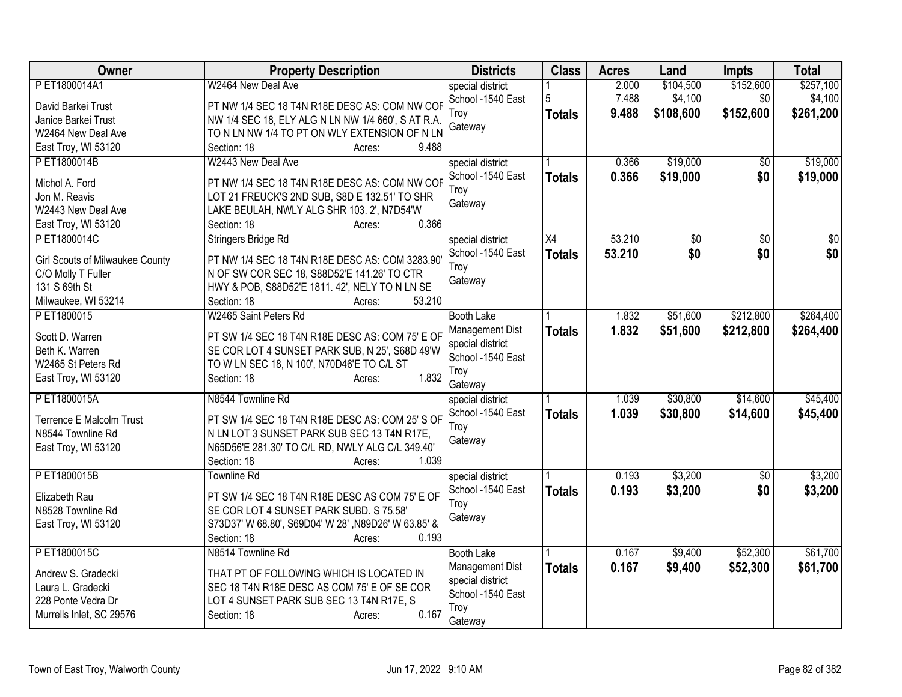| Owner                                  | <b>Property Description</b>                         | <b>Districts</b>  | <b>Class</b>  | <b>Acres</b> | Land      | <b>Impts</b>    | <b>Total</b> |
|----------------------------------------|-----------------------------------------------------|-------------------|---------------|--------------|-----------|-----------------|--------------|
| PET1800014A1                           | W2464 New Deal Ave                                  | special district  |               | 2.000        | \$104,500 | \$152,600       | \$257,100    |
| David Barkei Trust                     | PT NW 1/4 SEC 18 T4N R18E DESC AS: COM NW COF       | School -1540 East | 5             | 7.488        | \$4,100   | \$0             | \$4,100      |
| Janice Barkei Trust                    | NW 1/4 SEC 18, ELY ALG N LN NW 1/4 660', S AT R.A.  | Trov              | <b>Totals</b> | 9.488        | \$108,600 | \$152,600       | \$261,200    |
| W2464 New Deal Ave                     | TO N LN NW 1/4 TO PT ON WLY EXTENSION OF N LN       | Gateway           |               |              |           |                 |              |
| East Troy, WI 53120                    | Section: 18<br>9.488<br>Acres:                      |                   |               |              |           |                 |              |
| PET1800014B                            | W2443 New Deal Ave                                  | special district  |               | 0.366        | \$19,000  | \$0             | \$19,000     |
|                                        |                                                     | School -1540 East | <b>Totals</b> | 0.366        | \$19,000  | \$0             | \$19,000     |
| Michol A. Ford                         | PT NW 1/4 SEC 18 T4N R18E DESC AS: COM NW COF       | Troy              |               |              |           |                 |              |
| Jon M. Reavis                          | LOT 21 FREUCK'S 2ND SUB, S8D E 132.51' TO SHR       | Gateway           |               |              |           |                 |              |
| W2443 New Deal Ave                     | LAKE BEULAH, NWLY ALG SHR 103. 2', N7D54'W<br>0.366 |                   |               |              |           |                 |              |
| East Troy, WI 53120                    | Section: 18<br>Acres:                               |                   |               |              |           |                 |              |
| PET1800014C                            | Stringers Bridge Rd                                 | special district  | X4            | 53.210       | \$0       | \$0             | \$0          |
| <b>Girl Scouts of Milwaukee County</b> | PT NW 1/4 SEC 18 T4N R18E DESC AS: COM 3283.90      | School -1540 East | <b>Totals</b> | 53.210       | \$0       | \$0             | \$0          |
| C/O Molly T Fuller                     | N OF SW COR SEC 18, S88D52'E 141.26' TO CTR         | Troy              |               |              |           |                 |              |
| 131 S 69th St                          | HWY & POB, S88D52'E 1811. 42', NELY TO N LN SE      | Gateway           |               |              |           |                 |              |
| Milwaukee, WI 53214                    | 53.210<br>Section: 18<br>Acres:                     |                   |               |              |           |                 |              |
| PET1800015                             | W2465 Saint Peters Rd                               | <b>Booth Lake</b> |               | 1.832        | \$51,600  | \$212,800       | \$264,400    |
| Scott D. Warren                        | PT SW 1/4 SEC 18 T4N R18E DESC AS: COM 75' E OF     | Management Dist   | <b>Totals</b> | 1.832        | \$51,600  | \$212,800       | \$264,400    |
| Beth K. Warren                         | SE COR LOT 4 SUNSET PARK SUB, N 25', S68D 49'W      | special district  |               |              |           |                 |              |
| W2465 St Peters Rd                     | TO W LN SEC 18, N 100', N70D46'E TO C/L ST          | School -1540 East |               |              |           |                 |              |
| East Troy, WI 53120                    | 1.832<br>Section: 18<br>Acres:                      | Troy              |               |              |           |                 |              |
|                                        |                                                     | Gateway           |               |              |           |                 |              |
| PET1800015A                            | N8544 Townline Rd                                   | special district  |               | 1.039        | \$30,800  | \$14,600        | \$45,400     |
| Terrence E Malcolm Trust               | PT SW 1/4 SEC 18 T4N R18E DESC AS: COM 25'S OF      | School -1540 East | <b>Totals</b> | 1.039        | \$30,800  | \$14,600        | \$45,400     |
| N8544 Townline Rd                      | N LN LOT 3 SUNSET PARK SUB SEC 13 T4N R17E,         | Troy              |               |              |           |                 |              |
| East Troy, WI 53120                    | N65D56'E 281.30' TO C/L RD, NWLY ALG C/L 349.40'    | Gateway           |               |              |           |                 |              |
|                                        | Section: 18<br>1.039<br>Acres:                      |                   |               |              |           |                 |              |
| PET1800015B                            | <b>Townline Rd</b>                                  | special district  |               | 0.193        | \$3,200   | $\overline{50}$ | \$3,200      |
|                                        |                                                     | School -1540 East | <b>Totals</b> | 0.193        | \$3,200   | \$0             | \$3,200      |
| Elizabeth Rau                          | PT SW 1/4 SEC 18 T4N R18E DESC AS COM 75' E OF      | Troy              |               |              |           |                 |              |
| N8528 Townline Rd                      | SE COR LOT 4 SUNSET PARK SUBD. S 75.58'             | Gateway           |               |              |           |                 |              |
| East Troy, WI 53120                    | S73D37' W 68.80', S69D04' W 28', N89D26' W 63.85' & |                   |               |              |           |                 |              |
|                                        | Section: 18<br>0.193<br>Acres:                      |                   |               |              |           |                 |              |
| PET1800015C                            | N8514 Townline Rd                                   | <b>Booth Lake</b> |               | 0.167        | \$9,400   | \$52,300        | \$61,700     |
| Andrew S. Gradecki                     | THAT PT OF FOLLOWING WHICH IS LOCATED IN            | Management Dist   | <b>Totals</b> | 0.167        | \$9,400   | \$52,300        | \$61,700     |
| Laura L. Gradecki                      | SEC 18 T4N R18E DESC AS COM 75' E OF SE COR         | special district  |               |              |           |                 |              |
| 228 Ponte Vedra Dr                     | LOT 4 SUNSET PARK SUB SEC 13 T4N R17E, S            | School -1540 East |               |              |           |                 |              |
| Murrells Inlet, SC 29576               | 0.167<br>Section: 18<br>Acres:                      | Troy<br>Gateway   |               |              |           |                 |              |
|                                        |                                                     |                   |               |              |           |                 |              |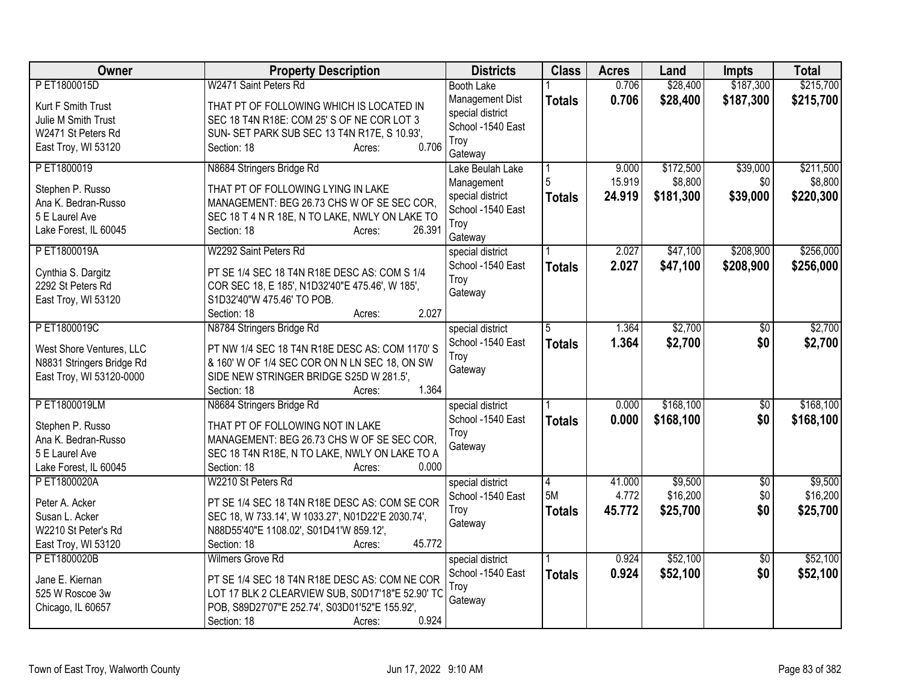| Owner                                                                                              | <b>Property Description</b>                                                                                                                                                                                      | <b>Districts</b>                                                                                      | <b>Class</b>             | <b>Acres</b>              | Land                              | <b>Impts</b>                  | <b>Total</b>                      |
|----------------------------------------------------------------------------------------------------|------------------------------------------------------------------------------------------------------------------------------------------------------------------------------------------------------------------|-------------------------------------------------------------------------------------------------------|--------------------------|---------------------------|-----------------------------------|-------------------------------|-----------------------------------|
| PET1800015D                                                                                        | W2471 Saint Peters Rd                                                                                                                                                                                            | <b>Booth Lake</b>                                                                                     |                          | 0.706                     | \$28,400                          | \$187,300                     | \$215,700                         |
| Kurt F Smith Trust<br>Julie M Smith Trust<br>W2471 St Peters Rd<br>East Troy, WI 53120             | THAT PT OF FOLLOWING WHICH IS LOCATED IN<br>SEC 18 T4N R18E: COM 25' S OF NE COR LOT 3<br>SUN- SET PARK SUB SEC 13 T4N R17E, S 10.93',<br>0.706<br>Section: 18<br>Acres:                                         | Management Dist<br>special district<br>School -1540 East<br>Troy                                      | <b>Totals</b>            | 0.706                     | \$28,400                          | \$187,300                     | \$215,700                         |
| PET1800019<br>Stephen P. Russo<br>Ana K. Bedran-Russo<br>5 E Laurel Ave<br>Lake Forest, IL 60045   | N8684 Stringers Bridge Rd<br>THAT PT OF FOLLOWING LYING IN LAKE<br>MANAGEMENT: BEG 26.73 CHS W OF SE SEC COR,<br>SEC 18 T 4 N R 18E, N TO LAKE, NWLY ON LAKE TO<br>26.391<br>Section: 18<br>Acres:               | Gateway<br>Lake Beulah Lake<br>Management<br>special district<br>School -1540 East<br>Troy<br>Gateway | <b>Totals</b>            | 9.000<br>15.919<br>24.919 | \$172,500<br>\$8,800<br>\$181,300 | \$39,000<br>\$0<br>\$39,000   | \$211,500<br>\$8,800<br>\$220,300 |
| PET1800019A<br>Cynthia S. Dargitz<br>2292 St Peters Rd<br>East Troy, WI 53120                      | W2292 Saint Peters Rd<br>PT SE 1/4 SEC 18 T4N R18E DESC AS: COM S 1/4<br>COR SEC 18, E 185', N1D32'40"E 475.46', W 185',<br>S1D32'40"W 475.46' TO POB.<br>2.027<br>Section: 18<br>Acres:                         | special district<br>School -1540 East<br>Troy<br>Gateway                                              | <b>Totals</b>            | 2.027<br>2.027            | \$47,100<br>\$47,100              | \$208,900<br>\$208,900        | \$256,000<br>\$256,000            |
| PET1800019C<br>West Shore Ventures, LLC<br>N8831 Stringers Bridge Rd<br>East Troy, WI 53120-0000   | N8784 Stringers Bridge Rd<br>PT NW 1/4 SEC 18 T4N R18E DESC AS: COM 1170'S<br>& 160' W OF 1/4 SEC COR ON N LN SEC 18, ON SW<br>SIDE NEW STRINGER BRIDGE S25D W 281.5',<br>1.364<br>Section: 18<br>Acres:         | special district<br>School -1540 East<br>Troy<br>Gateway                                              | 5<br><b>Totals</b>       | 1.364<br>1.364            | \$2,700<br>\$2,700                | \$0<br>\$0                    | \$2,700<br>\$2,700                |
| PET1800019LM<br>Stephen P. Russo<br>Ana K. Bedran-Russo<br>5 E Laurel Ave<br>Lake Forest, IL 60045 | N8684 Stringers Bridge Rd<br>THAT PT OF FOLLOWING NOT IN LAKE<br>MANAGEMENT: BEG 26.73 CHS W OF SE SEC COR,<br>SEC 18 T4N R18E, N TO LAKE, NWLY ON LAKE TO A<br>Section: 18<br>0.000<br>Acres:                   | special district<br>School -1540 East<br>Troy<br>Gateway                                              | <b>Totals</b>            | 0.000<br>0.000            | \$168,100<br>\$168,100            | \$0<br>\$0                    | \$168,100<br>\$168,100            |
| PET1800020A<br>Peter A. Acker<br>Susan L. Acker<br>W2210 St Peter's Rd<br>East Troy, WI 53120      | W2210 St Peters Rd<br>PT SE 1/4 SEC 18 T4N R18E DESC AS: COM SE COR<br>SEC 18, W 733.14', W 1033.27', N01D22'E 2030.74',<br>N88D55'40"E 1108.02', S01D41'W 859.12',<br>Section: 18<br>45.772<br>Acres:           | special district<br>School -1540 East<br>Troy<br>Gateway                                              | 4<br>5M<br><b>Totals</b> | 41.000<br>4.772<br>45.772 | \$9,500<br>\$16,200<br>\$25,700   | $\overline{50}$<br>\$0<br>\$0 | \$9,500<br>\$16,200<br>\$25,700   |
| PET1800020B<br>Jane E. Kiernan<br>525 W Roscoe 3w<br>Chicago, IL 60657                             | <b>Wilmers Grove Rd</b><br>PT SE 1/4 SEC 18 T4N R18E DESC AS: COM NE COR<br>LOT 17 BLK 2 CLEARVIEW SUB, S0D17'18"E 52.90' TC<br>POB, S89D27'07"E 252.74', S03D01'52"E 155.92',<br>0.924<br>Section: 18<br>Acres: | special district<br>School -1540 East<br>Troy<br>Gateway                                              | <b>Totals</b>            | 0.924<br>0.924            | \$52,100<br>\$52,100              | $\overline{50}$<br>\$0        | \$52,100<br>\$52,100              |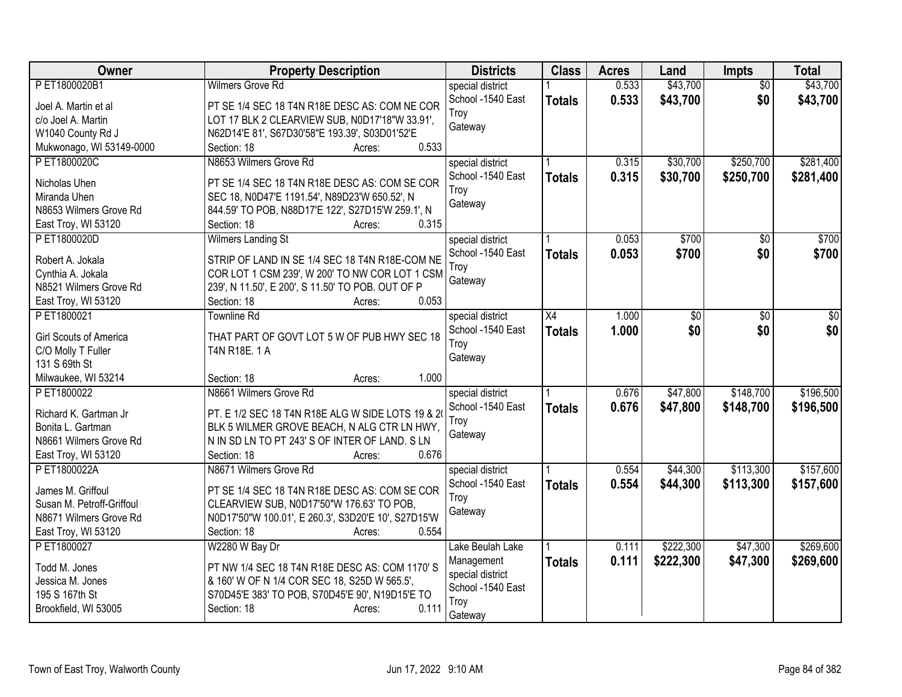| Owner                                  | <b>Property Description</b>                                               | <b>Districts</b>                      | <b>Class</b>  | <b>Acres</b> | Land      | <b>Impts</b>    | <b>Total</b> |
|----------------------------------------|---------------------------------------------------------------------------|---------------------------------------|---------------|--------------|-----------|-----------------|--------------|
| PET1800020B1                           | <b>Wilmers Grove Rd</b>                                                   | special district                      |               | 0.533        | \$43,700  | $\overline{30}$ | \$43,700     |
| Joel A. Martin et al                   | PT SE 1/4 SEC 18 T4N R18E DESC AS: COM NE COR                             | School -1540 East                     | <b>Totals</b> | 0.533        | \$43,700  | \$0             | \$43,700     |
| c/o Joel A. Martin                     | LOT 17 BLK 2 CLEARVIEW SUB, N0D17'18"W 33.91',                            | Troy                                  |               |              |           |                 |              |
| W1040 County Rd J                      | N62D14'E 81', S67D30'58"E 193.39', S03D01'52'E                            | Gateway                               |               |              |           |                 |              |
| Mukwonago, WI 53149-0000               | 0.533<br>Section: 18<br>Acres:                                            |                                       |               |              |           |                 |              |
| PET1800020C                            | N8653 Wilmers Grove Rd                                                    | special district                      |               | 0.315        | \$30,700  | \$250,700       | \$281,400    |
|                                        |                                                                           | School -1540 East                     | <b>Totals</b> | 0.315        | \$30,700  | \$250,700       | \$281,400    |
| Nicholas Uhen                          | PT SE 1/4 SEC 18 T4N R18E DESC AS: COM SE COR                             | Troy                                  |               |              |           |                 |              |
| Miranda Uhen<br>N8653 Wilmers Grove Rd | SEC 18, N0D47'E 1191.54', N89D23'W 650.52', N                             | Gateway                               |               |              |           |                 |              |
|                                        | 844.59' TO POB, N88D17'E 122', S27D15'W 259.1', N<br>0.315<br>Section: 18 |                                       |               |              |           |                 |              |
| East Troy, WI 53120                    | Acres:                                                                    |                                       |               |              |           |                 |              |
| PET1800020D                            | Wilmers Landing St                                                        | special district<br>School -1540 East |               | 0.053        | \$700     | $\sqrt{50}$     | \$700        |
| Robert A. Jokala                       | STRIP OF LAND IN SE 1/4 SEC 18 T4N R18E-COM NE                            | Troy                                  | <b>Totals</b> | 0.053        | \$700     | \$0             | \$700        |
| Cynthia A. Jokala                      | COR LOT 1 CSM 239', W 200' TO NW COR LOT 1 CSM                            |                                       |               |              |           |                 |              |
| N8521 Wilmers Grove Rd                 | 239', N 11.50', E 200', S 11.50' TO POB. OUT OF P                         | Gateway                               |               |              |           |                 |              |
| East Troy, WI 53120                    | 0.053<br>Section: 18<br>Acres:                                            |                                       |               |              |           |                 |              |
| PET1800021                             | <b>Townline Rd</b>                                                        | special district                      | X4            | 1.000        | \$0       | \$0             | \$0          |
|                                        |                                                                           | School -1540 East                     | <b>Totals</b> | 1.000        | \$0       | \$0             | \$0          |
| Girl Scouts of America                 | THAT PART OF GOVT LOT 5 W OF PUB HWY SEC 18                               | Troy                                  |               |              |           |                 |              |
| C/O Molly T Fuller                     | T4N R18E. 1 A                                                             | Gateway                               |               |              |           |                 |              |
| 131 S 69th St                          | 1.000                                                                     |                                       |               |              |           |                 |              |
| Milwaukee, WI 53214<br>PET1800022      | Section: 18<br>Acres:<br>N8661 Wilmers Grove Rd                           |                                       |               |              |           |                 |              |
|                                        |                                                                           | special district                      |               | 0.676        | \$47,800  | \$148,700       | \$196,500    |
| Richard K. Gartman Jr                  | PT. E 1/2 SEC 18 T4N R18E ALG W SIDE LOTS 19 & 2                          | School -1540 East                     | <b>Totals</b> | 0.676        | \$47,800  | \$148,700       | \$196,500    |
| Bonita L. Gartman                      | BLK 5 WILMER GROVE BEACH, N ALG CTR LN HWY,                               | Troy                                  |               |              |           |                 |              |
| N8661 Wilmers Grove Rd                 | N IN SD LN TO PT 243' S OF INTER OF LAND. S LN                            | Gateway                               |               |              |           |                 |              |
| East Troy, WI 53120                    | Section: 18<br>0.676<br>Acres:                                            |                                       |               |              |           |                 |              |
| PET1800022A                            | N8671 Wilmers Grove Rd                                                    | special district                      |               | 0.554        | \$44,300  | \$113,300       | \$157,600    |
| James M. Griffoul                      | PT SE 1/4 SEC 18 T4N R18E DESC AS: COM SE COR                             | School -1540 East                     | <b>Totals</b> | 0.554        | \$44,300  | \$113,300       | \$157,600    |
| Susan M. Petroff-Griffoul              | CLEARVIEW SUB, N0D17'50"W 176.63' TO POB,                                 | Troy                                  |               |              |           |                 |              |
| N8671 Wilmers Grove Rd                 | N0D17'50"W 100.01', E 260.3', S3D20'E 10', S27D15'W                       | Gateway                               |               |              |           |                 |              |
| East Troy, WI 53120                    | Section: 18<br>0.554                                                      |                                       |               |              |           |                 |              |
| PET1800027                             | Acres:                                                                    | Lake Beulah Lake                      |               | 0.111        | \$222,300 | \$47,300        | \$269,600    |
|                                        | W2280 W Bay Dr                                                            |                                       |               |              |           |                 |              |
| Todd M. Jones                          | PT NW 1/4 SEC 18 T4N R18E DESC AS: COM 1170'S                             | Management<br>special district        | Totals        | 0.111        | \$222,300 | \$47,300        | \$269,600    |
| Jessica M. Jones                       | & 160' W OF N 1/4 COR SEC 18, S25D W 565.5',                              | School -1540 East                     |               |              |           |                 |              |
| 195 S 167th St                         | S70D45'E 383' TO POB, S70D45'E 90', N19D15'E TO                           | Troy                                  |               |              |           |                 |              |
| Brookfield, WI 53005                   | 0.111<br>Section: 18<br>Acres:                                            | Gateway                               |               |              |           |                 |              |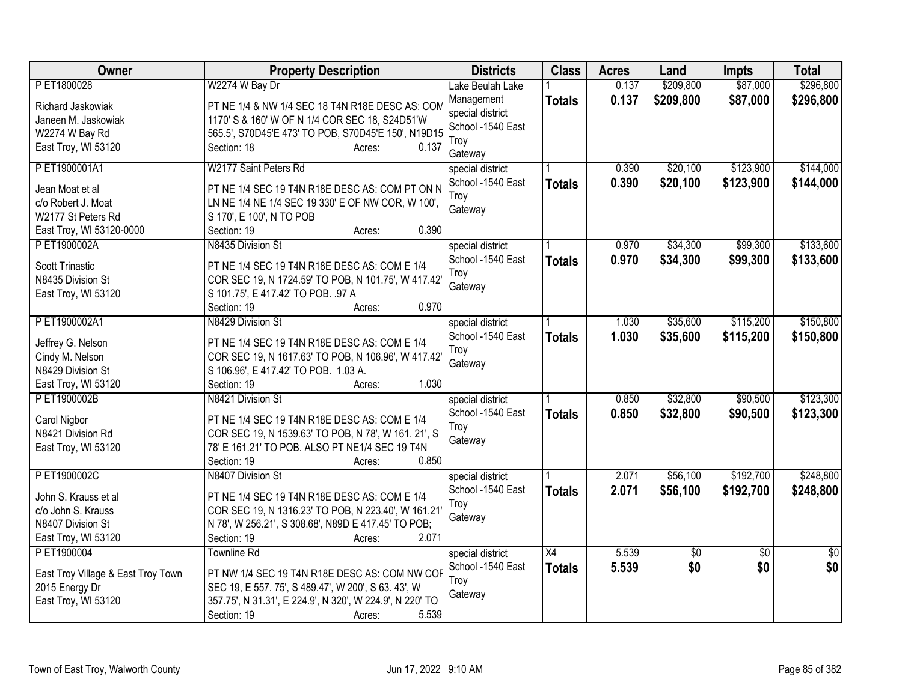| Owner                                                       | <b>Property Description</b>                                                                                                     | <b>Districts</b>                     | <b>Class</b>    | <b>Acres</b> | Land      | <b>Impts</b>    | <b>Total</b>    |
|-------------------------------------------------------------|---------------------------------------------------------------------------------------------------------------------------------|--------------------------------------|-----------------|--------------|-----------|-----------------|-----------------|
| PET1800028                                                  | W2274 W Bay Dr                                                                                                                  | Lake Beulah Lake                     |                 | 0.137        | \$209,800 | \$87,000        | \$296,800       |
| Richard Jaskowiak<br>Janeen M. Jaskowiak                    | PT NE 1/4 & NW 1/4 SEC 18 T4N R18E DESC AS: COM<br>1170' S & 160' W OF N 1/4 COR SEC 18, S24D51'W                               | Management<br>special district       | <b>Totals</b>   | 0.137        | \$209,800 | \$87,000        | \$296,800       |
| W2274 W Bay Rd                                              | 565.5', S70D45'E 473' TO POB, S70D45'E 150', N19D15                                                                             | School -1540 East                    |                 |              |           |                 |                 |
| East Troy, WI 53120                                         | Section: 18<br>0.137<br>Acres:                                                                                                  | Troy<br>Gateway                      |                 |              |           |                 |                 |
| PET1900001A1                                                | W2177 Saint Peters Rd                                                                                                           | special district                     |                 | 0.390        | \$20,100  | \$123,900       | \$144,000       |
| Jean Moat et al<br>c/o Robert J. Moat<br>W2177 St Peters Rd | PT NE 1/4 SEC 19 T4N R18E DESC AS: COM PT ON N<br>LN NE 1/4 NE 1/4 SEC 19 330' E OF NW COR, W 100',<br>S 170', E 100', N TO POB | School -1540 East<br>Troy<br>Gateway | <b>Totals</b>   | 0.390        | \$20,100  | \$123,900       | \$144,000       |
| East Troy, WI 53120-0000                                    | Section: 19<br>0.390<br>Acres:                                                                                                  |                                      |                 |              |           |                 |                 |
| P ET1900002A                                                | N8435 Division St                                                                                                               | special district                     |                 | 0.970        | \$34,300  | \$99,300        | \$133,600       |
| <b>Scott Trinastic</b>                                      | PT NE 1/4 SEC 19 T4N R18E DESC AS: COM E 1/4                                                                                    | School -1540 East                    | <b>Totals</b>   | 0.970        | \$34,300  | \$99,300        | \$133,600       |
| N8435 Division St                                           | COR SEC 19, N 1724.59' TO POB, N 101.75', W 417.42'                                                                             | Troy                                 |                 |              |           |                 |                 |
| East Troy, WI 53120                                         | S 101.75', E 417.42' TO POB. .97 A                                                                                              | Gateway                              |                 |              |           |                 |                 |
|                                                             | 0.970<br>Section: 19<br>Acres:                                                                                                  |                                      |                 |              |           |                 |                 |
| PET1900002A1                                                | N8429 Division St                                                                                                               | special district                     |                 | 1.030        | \$35,600  | \$115,200       | \$150,800       |
| Jeffrey G. Nelson                                           | PT NE 1/4 SEC 19 T4N R18E DESC AS: COM E 1/4                                                                                    | School -1540 East                    | <b>Totals</b>   | 1.030        | \$35,600  | \$115,200       | \$150,800       |
| Cindy M. Nelson                                             | COR SEC 19, N 1617.63' TO POB, N 106.96', W 417.42'                                                                             | Troy                                 |                 |              |           |                 |                 |
| N8429 Division St                                           | S 106.96', E 417.42' TO POB. 1.03 A.                                                                                            | Gateway                              |                 |              |           |                 |                 |
| East Troy, WI 53120                                         | 1.030<br>Section: 19<br>Acres:                                                                                                  |                                      |                 |              |           |                 |                 |
| PET1900002B                                                 | N8421 Division St                                                                                                               | special district                     |                 | 0.850        | \$32,800  | \$90,500        | \$123,300       |
| Carol Nigbor                                                | PT NE 1/4 SEC 19 T4N R18E DESC AS: COM E 1/4                                                                                    | School -1540 East                    | <b>Totals</b>   | 0.850        | \$32,800  | \$90,500        | \$123,300       |
| N8421 Division Rd                                           | COR SEC 19, N 1539.63' TO POB, N 78', W 161. 21', S                                                                             | Troy<br>Gateway                      |                 |              |           |                 |                 |
| East Troy, WI 53120                                         | 78' E 161.21' TO POB. ALSO PT NE1/4 SEC 19 T4N                                                                                  |                                      |                 |              |           |                 |                 |
|                                                             | 0.850<br>Section: 19<br>Acres:                                                                                                  |                                      |                 |              |           |                 |                 |
| PET1900002C                                                 | N8407 Division St                                                                                                               | special district                     |                 | 2.071        | \$56,100  | \$192,700       | \$248,800       |
| John S. Krauss et al                                        | PT NE 1/4 SEC 19 T4N R18E DESC AS: COM E 1/4                                                                                    | School -1540 East<br>Troy            | <b>Totals</b>   | 2.071        | \$56,100  | \$192,700       | \$248,800       |
| c/o John S. Krauss                                          | COR SEC 19, N 1316.23' TO POB, N 223.40', W 161.21                                                                              | Gateway                              |                 |              |           |                 |                 |
| N8407 Division St                                           | N 78', W 256.21', S 308.68', N89D E 417.45' TO POB;                                                                             |                                      |                 |              |           |                 |                 |
| East Troy, WI 53120                                         | Section: 19<br>2.071<br>Acres:                                                                                                  |                                      |                 |              |           |                 |                 |
| P ET1900004                                                 | <b>Townline Rd</b>                                                                                                              | special district                     | $\overline{X4}$ | 5.539        | \$0       | $\overline{50}$ | $\overline{50}$ |
| East Troy Village & East Troy Town                          | PT NW 1/4 SEC 19 T4N R18E DESC AS: COM NW COF                                                                                   | School -1540 East<br>Troy            | <b>Totals</b>   | 5.539        | \$0       | \$0             | \$0             |
| 2015 Energy Dr                                              | SEC 19, E 557. 75', S 489.47', W 200', S 63. 43', W                                                                             | Gateway                              |                 |              |           |                 |                 |
| East Troy, WI 53120                                         | 357.75', N 31.31', E 224.9', N 320', W 224.9', N 220' TO                                                                        |                                      |                 |              |           |                 |                 |
|                                                             | 5.539<br>Section: 19<br>Acres:                                                                                                  |                                      |                 |              |           |                 |                 |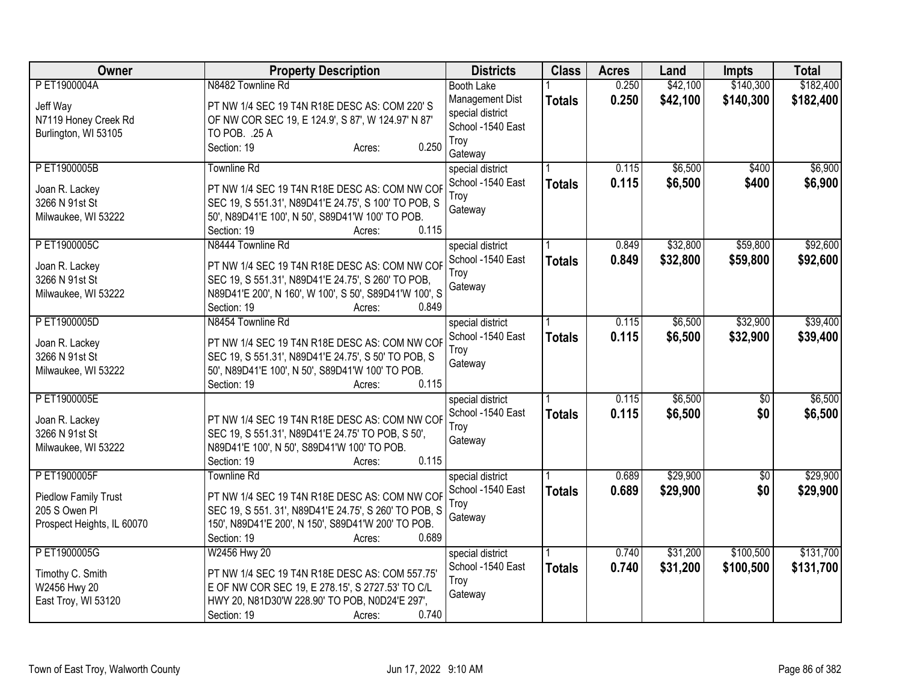| Owner                                                                      | <b>Property Description</b>                                                                                                                                                                     | <b>Districts</b>                                                            | <b>Class</b>  | <b>Acres</b> | Land     | <b>Impts</b> | <b>Total</b> |
|----------------------------------------------------------------------------|-------------------------------------------------------------------------------------------------------------------------------------------------------------------------------------------------|-----------------------------------------------------------------------------|---------------|--------------|----------|--------------|--------------|
| PET1900004A                                                                | N8482 Townline Rd                                                                                                                                                                               | <b>Booth Lake</b>                                                           |               | 0.250        | \$42,100 | \$140,300    | \$182,400    |
| Jeff Way<br>N7119 Honey Creek Rd<br>Burlington, WI 53105                   | PT NW 1/4 SEC 19 T4N R18E DESC AS: COM 220'S<br>OF NW COR SEC 19, E 124.9', S 87', W 124.97' N 87'<br>TO POB. .25 A<br>0.250<br>Section: 19<br>Acres:                                           | Management Dist<br>special district<br>School -1540 East<br>Troy<br>Gateway | <b>Totals</b> | 0.250        | \$42,100 | \$140,300    | \$182,400    |
| PET1900005B                                                                | <b>Townline Rd</b>                                                                                                                                                                              | special district                                                            |               | 0.115        | \$6,500  | \$400        | \$6,900      |
| Joan R. Lackey<br>3266 N 91st St<br>Milwaukee, WI 53222                    | PT NW 1/4 SEC 19 T4N R18E DESC AS: COM NW COF<br>SEC 19, S 551.31', N89D41'E 24.75', S 100' TO POB, S<br>50', N89D41'E 100', N 50', S89D41'W 100' TO POB.<br>Section: 19<br>0.115<br>Acres:     | School -1540 East<br>Troy<br>Gateway                                        | <b>Totals</b> | 0.115        | \$6,500  | \$400        | \$6,900      |
| PET1900005C                                                                | N8444 Townline Rd                                                                                                                                                                               | special district                                                            |               | 0.849        | \$32,800 | \$59,800     | \$92,600     |
| Joan R. Lackey<br>3266 N 91st St<br>Milwaukee, WI 53222                    | PT NW 1/4 SEC 19 T4N R18E DESC AS: COM NW COF<br>SEC 19, S 551.31', N89D41'E 24.75', S 260' TO POB,<br>N89D41'E 200', N 160', W 100', S 50', S89D41'W 100', S<br>Section: 19<br>0.849<br>Acres: | School -1540 East<br>Troy<br>Gateway                                        | <b>Totals</b> | 0.849        | \$32,800 | \$59,800     | \$92,600     |
| PET1900005D                                                                | N8454 Townline Rd                                                                                                                                                                               | special district                                                            |               | 0.115        | \$6,500  | \$32,900     | \$39,400     |
| Joan R. Lackey<br>3266 N 91st St<br>Milwaukee, WI 53222                    | PT NW 1/4 SEC 19 T4N R18E DESC AS: COM NW COF<br>SEC 19, S 551.31', N89D41'E 24.75', S 50' TO POB, S<br>50', N89D41'E 100', N 50', S89D41'W 100' TO POB.<br>0.115<br>Section: 19<br>Acres:      | School -1540 East<br>Troy<br>Gateway                                        | <b>Totals</b> | 0.115        | \$6,500  | \$32,900     | \$39,400     |
| PET1900005E                                                                |                                                                                                                                                                                                 | special district                                                            |               | 0.115        | \$6,500  | \$0          | \$6,500      |
| Joan R. Lackey<br>3266 N 91st St<br>Milwaukee, WI 53222                    | PT NW 1/4 SEC 19 T4N R18E DESC AS: COM NW COF<br>SEC 19, S 551.31', N89D41'E 24.75' TO POB, S 50',<br>N89D41'E 100', N 50', S89D41'W 100' TO POB.<br>0.115<br>Section: 19<br>Acres:             | School -1540 East<br>Troy<br>Gateway                                        | <b>Totals</b> | 0.115        | \$6,500  | \$0          | \$6,500      |
| PET1900005F                                                                | <b>Townline Rd</b>                                                                                                                                                                              | special district                                                            |               | 0.689        | \$29,900 | \$0          | \$29,900     |
| <b>Piedlow Family Trust</b><br>205 S Owen PI<br>Prospect Heights, IL 60070 | PT NW 1/4 SEC 19 T4N R18E DESC AS: COM NW COF<br>SEC 19, S 551. 31', N89D41'E 24.75', S 260' TO POB, S<br>150', N89D41'E 200', N 150', S89D41'W 200' TO POB.<br>Section: 19<br>0.689<br>Acres:  | School -1540 East<br>Troy<br>Gateway                                        | <b>Totals</b> | 0.689        | \$29,900 | \$0          | \$29,900     |
| PET1900005G                                                                | W2456 Hwy 20                                                                                                                                                                                    | special district                                                            |               | 0.740        | \$31,200 | \$100,500    | \$131,700    |
| Timothy C. Smith<br>W2456 Hwy 20<br>East Troy, WI 53120                    | PT NW 1/4 SEC 19 T4N R18E DESC AS: COM 557.75'<br>E OF NW COR SEC 19, E 278.15', S 2727.53' TO C/L<br>HWY 20, N81D30'W 228.90' TO POB, N0D24'E 297',<br>0.740<br>Section: 19<br>Acres:          | School -1540 East<br>Troy<br>Gateway                                        | <b>Totals</b> | 0.740        | \$31,200 | \$100,500    | \$131,700    |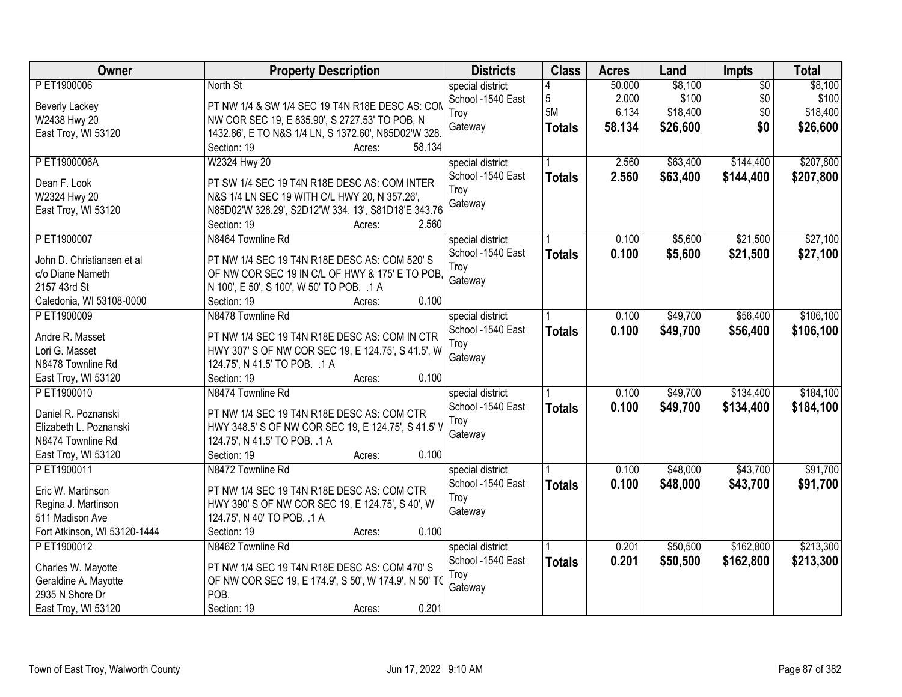| <b>Owner</b>                            | <b>Property Description</b>                                   | <b>Districts</b>  | <b>Class</b>    | <b>Acres</b> | Land     | Impts           | <b>Total</b> |
|-----------------------------------------|---------------------------------------------------------------|-------------------|-----------------|--------------|----------|-----------------|--------------|
| P ET1900006                             | North St                                                      | special district  |                 | 50.000       | \$8,100  | $\overline{50}$ | \$8,100      |
| <b>Beverly Lackey</b>                   | PT NW 1/4 & SW 1/4 SEC 19 T4N R18E DESC AS: CON               | School -1540 East | $5\phantom{.0}$ | 2.000        | \$100    | \$0             | \$100        |
| W2438 Hwy 20                            | NW COR SEC 19, E 835.90', S 2727.53' TO POB, N                | Troy              | 5M              | 6.134        | \$18,400 | \$0             | \$18,400     |
| East Troy, WI 53120                     | 1432.86', E TO N&S 1/4 LN, S 1372.60', N85D02'W 328.          | Gateway           | <b>Totals</b>   | 58.134       | \$26,600 | \$0             | \$26,600     |
|                                         | 58.134<br>Section: 19<br>Acres:                               |                   |                 |              |          |                 |              |
| P ET1900006A                            | W2324 Hwy 20                                                  | special district  |                 | 2.560        | \$63,400 | \$144,400       | \$207,800    |
| Dean F. Look                            | PT SW 1/4 SEC 19 T4N R18E DESC AS: COM INTER                  | School -1540 East | <b>Totals</b>   | 2.560        | \$63,400 | \$144,400       | \$207,800    |
| W2324 Hwy 20                            | N&S 1/4 LN SEC 19 WITH C/L HWY 20, N 357.26',                 | Troy              |                 |              |          |                 |              |
| East Troy, WI 53120                     | N85D02'W 328.29', S2D12'W 334. 13', S81D18'E 343.76           | Gateway           |                 |              |          |                 |              |
|                                         | Section: 19<br>2.560<br>Acres:                                |                   |                 |              |          |                 |              |
| P ET1900007                             | N8464 Townline Rd                                             | special district  |                 | 0.100        | \$5,600  | \$21,500        | \$27,100     |
|                                         |                                                               | School -1540 East | <b>Totals</b>   | 0.100        | \$5,600  | \$21,500        | \$27,100     |
| John D. Christiansen et al              | PT NW 1/4 SEC 19 T4N R18E DESC AS: COM 520'S                  | Troy              |                 |              |          |                 |              |
| c/o Diane Nameth                        | OF NW COR SEC 19 IN C/L OF HWY & 175' E TO POB.               | Gateway           |                 |              |          |                 |              |
| 2157 43rd St                            | N 100', E 50', S 100', W 50' TO POB. .1 A                     |                   |                 |              |          |                 |              |
| Caledonia, WI 53108-0000                | 0.100<br>Section: 19<br>Acres:                                |                   |                 |              |          |                 |              |
| P ET1900009                             | N8478 Townline Rd                                             | special district  |                 | 0.100        | \$49,700 | \$56,400        | \$106,100    |
| Andre R. Masset                         | PT NW 1/4 SEC 19 T4N R18E DESC AS: COM IN CTR                 | School -1540 East | <b>Totals</b>   | 0.100        | \$49,700 | \$56,400        | \$106,100    |
| Lori G. Masset                          | HWY 307' S OF NW COR SEC 19, E 124.75', S 41.5', W            | Troy              |                 |              |          |                 |              |
| N8478 Townline Rd                       | 124.75', N 41.5' TO POB. .1 A                                 | Gateway           |                 |              |          |                 |              |
| East Troy, WI 53120                     | 0.100<br>Section: 19<br>Acres:                                |                   |                 |              |          |                 |              |
| PET1900010                              | N8474 Townline Rd                                             | special district  |                 | 0.100        | \$49,700 | \$134,400       | \$184,100    |
|                                         |                                                               | School -1540 East | <b>Totals</b>   | 0.100        | \$49,700 | \$134,400       | \$184,100    |
| Daniel R. Poznanski                     | PT NW 1/4 SEC 19 T4N R18E DESC AS: COM CTR                    | Troy              |                 |              |          |                 |              |
| Elizabeth L. Poznanski                  | HWY 348.5' S OF NW COR SEC 19, E 124.75', S 41.5' V           | Gateway           |                 |              |          |                 |              |
| N8474 Townline Rd                       | 124.75', N 41.5' TO POB. .1 A                                 |                   |                 |              |          |                 |              |
| East Troy, WI 53120                     | Section: 19<br>0.100<br>Acres:                                |                   |                 |              |          |                 |              |
| PET1900011                              | N8472 Townline Rd                                             | special district  |                 | 0.100        | \$48,000 | \$43,700        | \$91,700     |
| Eric W. Martinson                       | PT NW 1/4 SEC 19 T4N R18E DESC AS: COM CTR                    | School -1540 East | <b>Totals</b>   | 0.100        | \$48,000 | \$43,700        | \$91,700     |
| Regina J. Martinson                     | HWY 390' S OF NW COR SEC 19, E 124.75', S 40', W              | Troy              |                 |              |          |                 |              |
| 511 Madison Ave                         | 124.75', N 40' TO POB. .1 A                                   | Gateway           |                 |              |          |                 |              |
| Fort Atkinson, WI 53120-1444            | 0.100<br>Section: 19<br>Acres:                                |                   |                 |              |          |                 |              |
| PET1900012                              | N8462 Townline Rd                                             | special district  |                 | 0.201        | \$50,500 | \$162,800       | \$213,300    |
|                                         | PT NW 1/4 SEC 19 T4N R18E DESC AS: COM 470'S                  | School -1540 East | <b>Totals</b>   | 0.201        | \$50,500 | \$162,800       | \$213,300    |
| Charles W. Mayotte                      |                                                               | Troy              |                 |              |          |                 |              |
| Geraldine A. Mayotte<br>2935 N Shore Dr | OF NW COR SEC 19, E 174.9', S 50', W 174.9', N 50' TO<br>POB. | Gateway           |                 |              |          |                 |              |
|                                         | 0.201                                                         |                   |                 |              |          |                 |              |
| East Troy, WI 53120                     | Section: 19<br>Acres:                                         |                   |                 |              |          |                 |              |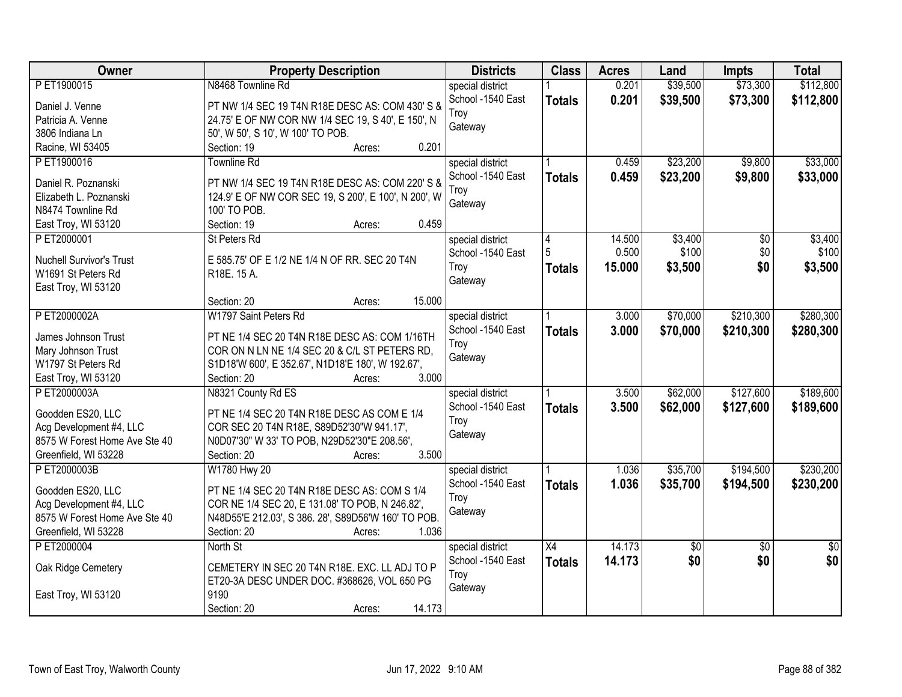| \$39,500<br>PET1900015<br>N8468 Townline Rd<br>0.201<br>\$73,300<br>special district<br>School -1540 East<br>0.201<br>\$39,500<br>\$73,300<br><b>Totals</b><br>PT NW 1/4 SEC 19 T4N R18E DESC AS: COM 430' S &<br>Daniel J. Venne<br>Troy<br>24.75' E OF NW COR NW 1/4 SEC 19, S 40', E 150', N<br>Patricia A. Venne | Owner | <b>Property Description</b>       | <b>Districts</b> | <b>Class</b> | <b>Acres</b> | Land | <b>Impts</b> | <b>Total</b>    |
|----------------------------------------------------------------------------------------------------------------------------------------------------------------------------------------------------------------------------------------------------------------------------------------------------------------------|-------|-----------------------------------|------------------|--------------|--------------|------|--------------|-----------------|
|                                                                                                                                                                                                                                                                                                                      |       |                                   |                  |              |              |      |              | \$112,800       |
|                                                                                                                                                                                                                                                                                                                      |       |                                   |                  |              |              |      |              | \$112,800       |
|                                                                                                                                                                                                                                                                                                                      |       |                                   |                  |              |              |      |              |                 |
| 3806 Indiana Ln                                                                                                                                                                                                                                                                                                      |       | 50', W 50', S 10', W 100' TO POB. | Gateway          |              |              |      |              |                 |
| 0.201<br>Racine, WI 53405<br>Section: 19<br>Acres:                                                                                                                                                                                                                                                                   |       |                                   |                  |              |              |      |              |                 |
| PET1900016<br>\$23,200<br>\$9,800<br><b>Townline Rd</b><br>0.459<br>special district                                                                                                                                                                                                                                 |       |                                   |                  |              |              |      |              | \$33,000        |
| 0.459<br>\$23,200<br>School -1540 East<br>\$9,800<br><b>Totals</b>                                                                                                                                                                                                                                                   |       |                                   |                  |              |              |      |              | \$33,000        |
| PT NW 1/4 SEC 19 T4N R18E DESC AS: COM 220' S &<br>Daniel R. Poznanski<br>Troy                                                                                                                                                                                                                                       |       |                                   |                  |              |              |      |              |                 |
| 124.9' E OF NW COR SEC 19, S 200', E 100', N 200', W<br>Elizabeth L. Poznanski<br>Gateway                                                                                                                                                                                                                            |       |                                   |                  |              |              |      |              |                 |
| 100' TO POB.<br>N8474 Townline Rd                                                                                                                                                                                                                                                                                    |       |                                   |                  |              |              |      |              |                 |
| 0.459<br>East Troy, WI 53120<br>Section: 19<br>Acres:                                                                                                                                                                                                                                                                |       |                                   |                  |              |              |      |              |                 |
| \$3,400<br>$\overline{50}$<br>P ET2000001<br>St Peters Rd<br>special district<br>14.500<br> 4                                                                                                                                                                                                                        |       |                                   |                  |              |              |      |              | \$3,400         |
| \$100<br>0.500<br>\$0<br>School -1540 East<br>E 585.75' OF E 1/2 NE 1/4 N OF RR. SEC 20 T4N<br><b>Nuchell Survivor's Trust</b>                                                                                                                                                                                       |       |                                   |                  |              |              |      |              | \$100           |
| 15.000<br>\$3,500<br>\$0<br>Troy<br><b>Totals</b><br>R18E. 15 A.<br>W1691 St Peters Rd                                                                                                                                                                                                                               |       |                                   |                  |              |              |      |              | \$3,500         |
| Gateway<br>East Troy, WI 53120                                                                                                                                                                                                                                                                                       |       |                                   |                  |              |              |      |              |                 |
| 15.000<br>Section: 20<br>Acres:                                                                                                                                                                                                                                                                                      |       |                                   |                  |              |              |      |              |                 |
| PET2000002A<br>\$70,000<br>\$210,300<br>W1797 Saint Peters Rd<br>3.000<br>special district                                                                                                                                                                                                                           |       |                                   |                  |              |              |      |              | \$280,300       |
| School -1540 East<br>3.000<br>\$70,000<br>\$210,300<br><b>Totals</b>                                                                                                                                                                                                                                                 |       |                                   |                  |              |              |      |              | \$280,300       |
| James Johnson Trust<br>PT NE 1/4 SEC 20 T4N R18E DESC AS: COM 1/16TH<br>Troy                                                                                                                                                                                                                                         |       |                                   |                  |              |              |      |              |                 |
| COR ON N LN NE 1/4 SEC 20 & C/L ST PETERS RD.<br>Mary Johnson Trust<br>Gateway                                                                                                                                                                                                                                       |       |                                   |                  |              |              |      |              |                 |
| W1797 St Peters Rd<br>S1D18'W 600', E 352.67', N1D18'E 180', W 192.67',                                                                                                                                                                                                                                              |       |                                   |                  |              |              |      |              |                 |
| 3.000<br>Section: 20<br>East Troy, WI 53120<br>Acres:                                                                                                                                                                                                                                                                |       |                                   |                  |              |              |      |              |                 |
| \$62,000<br>\$127,600<br>P ET2000003A<br>N8321 County Rd ES<br>3.500<br>special district                                                                                                                                                                                                                             |       |                                   |                  |              |              |      |              | \$189,600       |
| School -1540 East<br>3.500<br>\$62,000<br>\$127,600<br><b>Totals</b><br>Goodden ES20, LLC<br>PT NE 1/4 SEC 20 T4N R18E DESC AS COM E 1/4                                                                                                                                                                             |       |                                   |                  |              |              |      |              | \$189,600       |
| Troy<br>Acg Development #4, LLC<br>COR SEC 20 T4N R18E, S89D52'30"W 941.17',                                                                                                                                                                                                                                         |       |                                   |                  |              |              |      |              |                 |
| Gateway<br>8575 W Forest Home Ave Ste 40<br>N0D07'30" W 33' TO POB, N29D52'30"E 208.56',                                                                                                                                                                                                                             |       |                                   |                  |              |              |      |              |                 |
| 3.500<br>Greenfield, WI 53228<br>Section: 20<br>Acres:                                                                                                                                                                                                                                                               |       |                                   |                  |              |              |      |              |                 |
| \$35,700<br>\$194,500<br>PET2000003B<br>W1780 Hwy 20<br>1.036<br>special district                                                                                                                                                                                                                                    |       |                                   |                  |              |              |      |              | \$230,200       |
| \$35,700<br>School -1540 East<br>1.036<br>\$194,500<br><b>Totals</b>                                                                                                                                                                                                                                                 |       |                                   |                  |              |              |      |              | \$230,200       |
| Goodden ES20, LLC<br>PT NE 1/4 SEC 20 T4N R18E DESC AS: COM S 1/4<br>Troy                                                                                                                                                                                                                                            |       |                                   |                  |              |              |      |              |                 |
| Acg Development #4, LLC<br>COR NE 1/4 SEC 20, E 131.08' TO POB, N 246.82',<br>Gateway                                                                                                                                                                                                                                |       |                                   |                  |              |              |      |              |                 |
| N48D55'E 212.03', S 386. 28', S89D56'W 160' TO POB.<br>8575 W Forest Home Ave Ste 40                                                                                                                                                                                                                                 |       |                                   |                  |              |              |      |              |                 |
| Greenfield, WI 53228<br>Section: 20<br>1.036<br>Acres:                                                                                                                                                                                                                                                               |       |                                   |                  |              |              |      |              |                 |
| 14.173<br>P ET2000004<br>X4<br>North St<br>special district<br>$\sqrt{$0}$<br>$\overline{50}$                                                                                                                                                                                                                        |       |                                   |                  |              |              |      |              | $\overline{50}$ |
| \$0<br>\$0<br>School -1540 East<br>14.173<br><b>Totals</b><br>CEMETERY IN SEC 20 T4N R18E. EXC. LL ADJ TO P<br>Oak Ridge Cemetery                                                                                                                                                                                    |       |                                   |                  |              |              |      |              | \$0             |
| Troy<br>ET20-3A DESC UNDER DOC. #368626, VOL 650 PG                                                                                                                                                                                                                                                                  |       |                                   |                  |              |              |      |              |                 |
| Gateway<br>9190<br>East Troy, WI 53120                                                                                                                                                                                                                                                                               |       |                                   |                  |              |              |      |              |                 |
| 14.173<br>Section: 20<br>Acres:                                                                                                                                                                                                                                                                                      |       |                                   |                  |              |              |      |              |                 |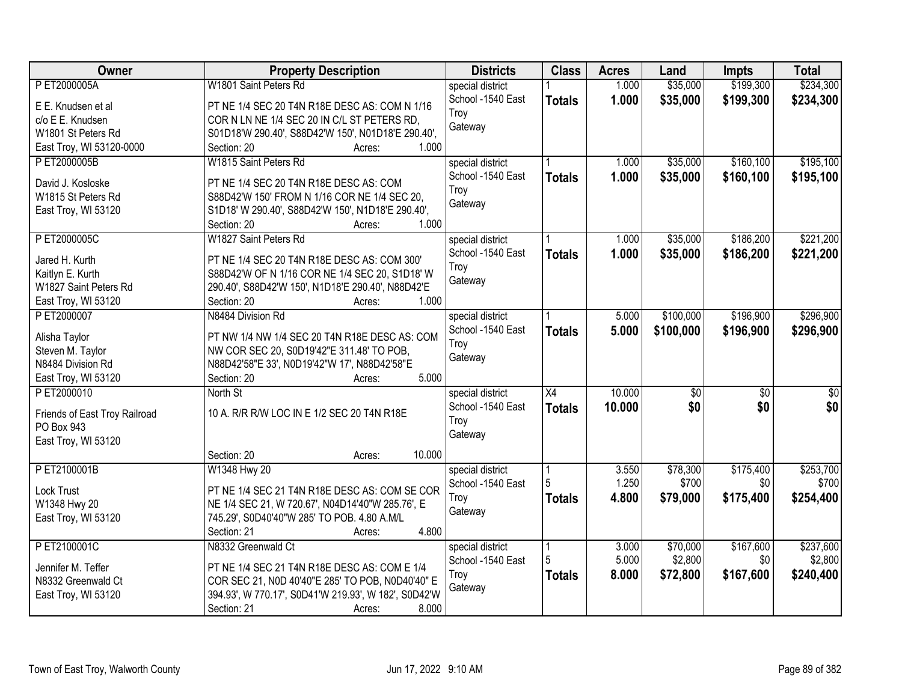| Owner                         | <b>Property Description</b>                          | <b>Districts</b>  | <b>Class</b>    | <b>Acres</b> | Land            | <b>Impts</b>    | <b>Total</b>     |
|-------------------------------|------------------------------------------------------|-------------------|-----------------|--------------|-----------------|-----------------|------------------|
| P ET2000005A                  | W1801 Saint Peters Rd                                | special district  |                 | 1.000        | \$35,000        | \$199,300       | \$234,300        |
| E E. Knudsen et al            | PT NE 1/4 SEC 20 T4N R18E DESC AS: COM N 1/16        | School -1540 East | <b>Totals</b>   | 1.000        | \$35,000        | \$199,300       | \$234,300        |
| c/o E E. Knudsen              | COR N LN NE 1/4 SEC 20 IN C/L ST PETERS RD,          | Troy              |                 |              |                 |                 |                  |
| W1801 St Peters Rd            | S01D18'W 290.40', S88D42'W 150', N01D18'E 290.40',   | Gateway           |                 |              |                 |                 |                  |
| East Troy, WI 53120-0000      | 1.000<br>Section: 20<br>Acres:                       |                   |                 |              |                 |                 |                  |
| P ET2000005B                  | W1815 Saint Peters Rd                                | special district  |                 | 1.000        | \$35,000        | \$160,100       | \$195,100        |
|                               |                                                      | School -1540 East | <b>Totals</b>   | 1.000        | \$35,000        | \$160,100       | \$195,100        |
| David J. Kosloske             | PT NE 1/4 SEC 20 T4N R18E DESC AS: COM               | Troy              |                 |              |                 |                 |                  |
| W1815 St Peters Rd            | S88D42'W 150' FROM N 1/16 COR NE 1/4 SEC 20,         | Gateway           |                 |              |                 |                 |                  |
| East Troy, WI 53120           | S1D18' W 290.40', S88D42'W 150', N1D18'E 290.40',    |                   |                 |              |                 |                 |                  |
|                               | 1.000<br>Section: 20<br>Acres:                       |                   |                 |              |                 |                 |                  |
| PET2000005C                   | W1827 Saint Peters Rd                                | special district  |                 | 1.000        | \$35,000        | \$186,200       | \$221,200        |
| Jared H. Kurth                | PT NE 1/4 SEC 20 T4N R18E DESC AS: COM 300'          | School -1540 East | <b>Totals</b>   | 1.000        | \$35,000        | \$186,200       | \$221,200        |
| Kaitlyn E. Kurth              | S88D42'W OF N 1/16 COR NE 1/4 SEC 20, S1D18' W       | Troy              |                 |              |                 |                 |                  |
| W1827 Saint Peters Rd         | 290.40', S88D42'W 150', N1D18'E 290.40', N88D42'E    | Gateway           |                 |              |                 |                 |                  |
| East Troy, WI 53120           | Section: 20<br>1.000<br>Acres:                       |                   |                 |              |                 |                 |                  |
| PET2000007                    | N8484 Division Rd                                    | special district  |                 | 5.000        | \$100,000       | \$196,900       | \$296,900        |
|                               |                                                      | School -1540 East | <b>Totals</b>   | 5.000        | \$100,000       | \$196,900       | \$296,900        |
| Alisha Taylor                 | PT NW 1/4 NW 1/4 SEC 20 T4N R18E DESC AS: COM        | Troy              |                 |              |                 |                 |                  |
| Steven M. Taylor              | NW COR SEC 20, S0D19'42"E 311.48' TO POB,            | Gateway           |                 |              |                 |                 |                  |
| N8484 Division Rd             | N88D42'58"E 33', N0D19'42"W 17', N88D42'58"E         |                   |                 |              |                 |                 |                  |
| East Troy, WI 53120           | 5.000<br>Section: 20<br>Acres:                       |                   |                 |              |                 |                 |                  |
| PET2000010                    | North St                                             | special district  | $\overline{X4}$ | 10.000       | $\overline{50}$ | $\overline{50}$ | $\overline{\$0}$ |
| Friends of East Troy Railroad | 10 A. R/R R/W LOC IN E 1/2 SEC 20 T4N R18E           | School -1540 East | <b>Totals</b>   | 10.000       | \$0             | \$0             | \$0              |
| PO Box 943                    |                                                      | Troy              |                 |              |                 |                 |                  |
| East Troy, WI 53120           |                                                      | Gateway           |                 |              |                 |                 |                  |
|                               | 10.000<br>Section: 20<br>Acres:                      |                   |                 |              |                 |                 |                  |
| PET2100001B                   | W1348 Hwy 20                                         | special district  |                 | 3.550        | \$78,300        | \$175,400       | \$253,700        |
|                               |                                                      | School -1540 East |                 | 1.250        | \$700           | \$0             | \$700            |
| <b>Lock Trust</b>             | PT NE 1/4 SEC 21 T4N R18E DESC AS: COM SE COR        | Troy              | <b>Totals</b>   | 4.800        | \$79,000        | \$175,400       | \$254,400        |
| W1348 Hwy 20                  | NE 1/4 SEC 21, W 720.67', N04D14'40"W 285.76', E     | Gateway           |                 |              |                 |                 |                  |
| East Troy, WI 53120           | 745.29', S0D40'40"W 285' TO POB. 4.80 A.M/L          |                   |                 |              |                 |                 |                  |
|                               | 4.800<br>Section: 21<br>Acres:                       |                   |                 |              |                 |                 |                  |
| PET2100001C                   | N8332 Greenwald Ct                                   | special district  | 1               | 3.000        | \$70,000        | \$167,600       | \$237,600        |
| Jennifer M. Teffer            | PT NE 1/4 SEC 21 T4N R18E DESC AS: COM E 1/4         | School -1540 East |                 | 5.000        | \$2,800         | \$0             | \$2,800          |
| N8332 Greenwald Ct            | COR SEC 21, N0D 40'40"E 285' TO POB, N0D40'40" E     | Troy              | <b>Totals</b>   | 8.000        | \$72,800        | \$167,600       | \$240,400        |
| East Troy, WI 53120           | 394.93', W 770.17', S0D41'W 219.93', W 182', S0D42'W | Gateway           |                 |              |                 |                 |                  |
|                               | 8.000<br>Section: 21<br>Acres:                       |                   |                 |              |                 |                 |                  |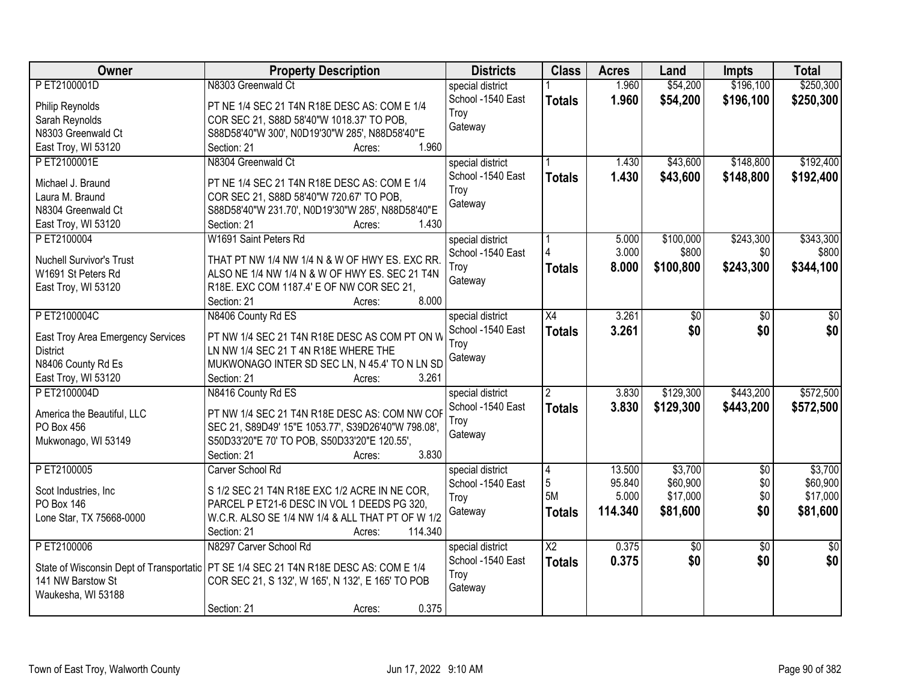| Owner                                    | <b>Property Description</b>                                               | <b>Districts</b>                      | <b>Class</b>    | <b>Acres</b>   | Land      | <b>Impts</b>    | <b>Total</b>    |
|------------------------------------------|---------------------------------------------------------------------------|---------------------------------------|-----------------|----------------|-----------|-----------------|-----------------|
| PET2100001D                              | N8303 Greenwald Ct                                                        | special district                      |                 | 1.960          | \$54,200  | \$196,100       | \$250,300       |
| Philip Reynolds                          | PT NE 1/4 SEC 21 T4N R18E DESC AS: COM E 1/4                              | School -1540 East                     | <b>Totals</b>   | 1.960          | \$54,200  | \$196,100       | \$250,300       |
| Sarah Reynolds                           | COR SEC 21, S88D 58'40"W 1018.37' TO POB,                                 | Troy                                  |                 |                |           |                 |                 |
| N8303 Greenwald Ct                       | S88D58'40"W 300', N0D19'30"W 285', N88D58'40"E                            | Gateway                               |                 |                |           |                 |                 |
| East Troy, WI 53120                      | 1.960<br>Section: 21<br>Acres:                                            |                                       |                 |                |           |                 |                 |
| PET2100001E                              | N8304 Greenwald Ct                                                        | special district                      |                 | 1.430          | \$43,600  | \$148,800       | \$192,400       |
|                                          |                                                                           | School -1540 East                     | <b>Totals</b>   | 1.430          | \$43,600  | \$148,800       | \$192,400       |
| Michael J. Braund                        | PT NE 1/4 SEC 21 T4N R18E DESC AS: COM E 1/4                              | Troy                                  |                 |                |           |                 |                 |
| Laura M. Braund                          | COR SEC 21, S88D 58'40"W 720.67' TO POB,                                  | Gateway                               |                 |                |           |                 |                 |
| N8304 Greenwald Ct                       | S88D58'40"W 231.70', N0D19'30"W 285', N88D58'40"E<br>1.430<br>Section: 21 |                                       |                 |                |           |                 |                 |
| East Troy, WI 53120<br>P ET2100004       | Acres:<br>W1691 Saint Peters Rd                                           |                                       |                 |                | \$100,000 | \$243,300       | \$343,300       |
|                                          |                                                                           | special district<br>School -1540 East |                 | 5.000<br>3.000 | \$800     | \$0             | \$800           |
| <b>Nuchell Survivor's Trust</b>          | THAT PT NW 1/4 NW 1/4 N & W OF HWY ES. EXC RR.                            |                                       |                 |                |           |                 |                 |
| W1691 St Peters Rd                       | ALSO NE 1/4 NW 1/4 N & W OF HWY ES. SEC 21 T4N                            | Troy                                  | <b>Totals</b>   | 8.000          | \$100,800 | \$243,300       | \$344,100       |
| East Troy, WI 53120                      | R18E. EXC COM 1187.4' E OF NW COR SEC 21,                                 | Gateway                               |                 |                |           |                 |                 |
|                                          | 8.000<br>Section: 21<br>Acres:                                            |                                       |                 |                |           |                 |                 |
| PET2100004C                              | N8406 County Rd ES                                                        | special district                      | $\overline{X4}$ | 3.261          | \$0       | \$0             | $\sqrt{6}$      |
| East Troy Area Emergency Services        | PT NW 1/4 SEC 21 T4N R18E DESC AS COM PT ON W                             | School -1540 East                     | <b>Totals</b>   | 3.261          | \$0       | \$0             | \$0             |
| <b>District</b>                          | LN NW 1/4 SEC 21 T 4N R18E WHERE THE                                      | Troy                                  |                 |                |           |                 |                 |
| N8406 County Rd Es                       | MUKWONAGO INTER SD SEC LN, N 45.4' TO N LN SD                             | Gateway                               |                 |                |           |                 |                 |
| East Troy, WI 53120                      | 3.261<br>Section: 21<br>Acres:                                            |                                       |                 |                |           |                 |                 |
| PET2100004D                              | N8416 County Rd ES                                                        | special district                      | $\overline{2}$  | 3.830          | \$129,300 | \$443,200       | \$572,500       |
|                                          |                                                                           | School -1540 East                     | <b>Totals</b>   | 3.830          | \$129,300 | \$443,200       | \$572,500       |
| America the Beautiful, LLC               | PT NW 1/4 SEC 21 T4N R18E DESC AS: COM NW COF                             | Troy                                  |                 |                |           |                 |                 |
| PO Box 456                               | SEC 21, S89D49' 15"E 1053.77', S39D26'40"W 798.08',                       | Gateway                               |                 |                |           |                 |                 |
| Mukwonago, WI 53149                      | S50D33'20"E 70' TO POB, S50D33'20"E 120.55',                              |                                       |                 |                |           |                 |                 |
|                                          | 3.830<br>Section: 21<br>Acres:                                            |                                       |                 |                |           |                 |                 |
| P ET2100005                              | Carver School Rd                                                          | special district                      | $\overline{4}$  | 13.500         | \$3,700   | $\overline{50}$ | \$3,700         |
| Scot Industries, Inc.                    | S 1/2 SEC 21 T4N R18E EXC 1/2 ACRE IN NE COR,                             | School -1540 East                     | 5               | 95.840         | \$60,900  | \$0             | \$60,900        |
| PO Box 146                               | PARCEL P ET21-6 DESC IN VOL 1 DEEDS PG 320,                               | Troy                                  | 5M              | 5.000          | \$17,000  | \$0             | \$17,000        |
| Lone Star, TX 75668-0000                 | W.C.R. ALSO SE 1/4 NW 1/4 & ALL THAT PT OF W 1/2                          | Gateway                               | <b>Totals</b>   | 114.340        | \$81,600  | \$0             | \$81,600        |
|                                          | 114.340<br>Section: 21<br>Acres:                                          |                                       |                 |                |           |                 |                 |
| PET2100006                               | N8297 Carver School Rd                                                    | special district                      | $\overline{X2}$ | 0.375          | \$0       | $\overline{50}$ | $\overline{50}$ |
|                                          |                                                                           | School -1540 East                     | <b>Totals</b>   | 0.375          | \$0       | \$0             | \$0             |
| State of Wisconsin Dept of Transportatic | PT SE 1/4 SEC 21 T4N R18E DESC AS: COM E 1/4                              | Troy                                  |                 |                |           |                 |                 |
| 141 NW Barstow St                        | COR SEC 21, S 132', W 165', N 132', E 165' TO POB                         | Gateway                               |                 |                |           |                 |                 |
| Waukesha, WI 53188                       | 0.375                                                                     |                                       |                 |                |           |                 |                 |
|                                          | Section: 21<br>Acres:                                                     |                                       |                 |                |           |                 |                 |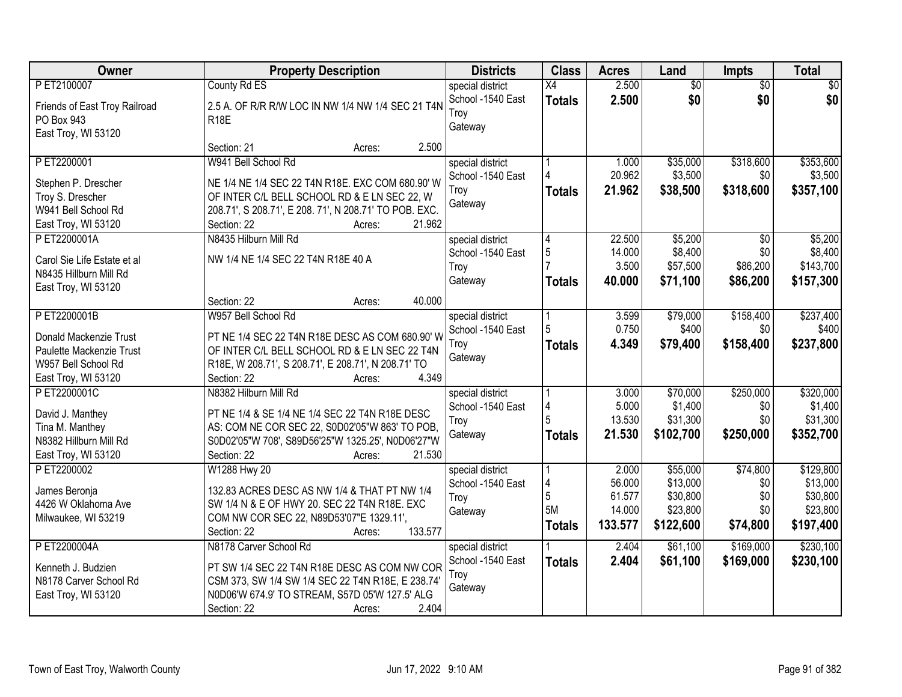| Owner                              | <b>Property Description</b>                                                 | <b>Districts</b>                      | <b>Class</b>  | <b>Acres</b> | Land      | Impts           | <b>Total</b> |
|------------------------------------|-----------------------------------------------------------------------------|---------------------------------------|---------------|--------------|-----------|-----------------|--------------|
| P ET2100007                        | County Rd ES                                                                | special district                      | X4            | 2.500        | \$0       | $\overline{30}$ | \$0          |
| Friends of East Troy Railroad      | 2.5 A. OF R/R R/W LOC IN NW 1/4 NW 1/4 SEC 21 T4N                           | School -1540 East<br>Troy             | <b>Totals</b> | 2.500        | \$0       | \$0             | \$0          |
| PO Box 943                         | <b>R18E</b>                                                                 | Gateway                               |               |              |           |                 |              |
| East Troy, WI 53120                |                                                                             |                                       |               |              |           |                 |              |
|                                    | 2.500<br>Section: 21<br>Acres:                                              |                                       |               |              |           |                 |              |
| PET2200001                         | W941 Bell School Rd                                                         | special district                      |               | 1.000        | \$35,000  | \$318,600       | \$353,600    |
| Stephen P. Drescher                | NE 1/4 NE 1/4 SEC 22 T4N R18E. EXC COM 680.90' W                            | School -1540 East                     |               | 20.962       | \$3,500   | \$0             | \$3,500      |
| Troy S. Drescher                   | OF INTER C/L BELL SCHOOL RD & E LN SEC 22, W                                | Troy                                  | <b>Totals</b> | 21.962       | \$38,500  | \$318,600       | \$357,100    |
| W941 Bell School Rd                | 208.71', S 208.71', E 208. 71', N 208.71' TO POB. EXC.                      | Gateway                               |               |              |           |                 |              |
| East Troy, WI 53120                | 21.962<br>Section: 22<br>Acres:                                             |                                       |               |              |           |                 |              |
| PET2200001A                        | N8435 Hilburn Mill Rd                                                       | special district                      | 4             | 22.500       | \$5,200   | $\overline{50}$ | \$5,200      |
| Carol Sie Life Estate et al        | NW 1/4 NE 1/4 SEC 22 T4N R18E 40 A                                          | School -1540 East                     | $\sqrt{5}$    | 14.000       | \$8,400   | \$0             | \$8,400      |
| N8435 Hillburn Mill Rd             |                                                                             | Troy                                  |               | 3.500        | \$57,500  | \$86,200        | \$143,700    |
| East Troy, WI 53120                |                                                                             | Gateway                               | <b>Totals</b> | 40.000       | \$71,100  | \$86,200        | \$157,300    |
|                                    | 40.000<br>Section: 22<br>Acres:                                             |                                       |               |              |           |                 |              |
| PET2200001B                        | W957 Bell School Rd                                                         | special district                      |               | 3.599        | \$79,000  | \$158,400       | \$237,400    |
|                                    |                                                                             | School -1540 East                     | 5             | 0.750        | \$400     | \$0             | \$400        |
| Donald Mackenzie Trust             | PT NE 1/4 SEC 22 T4N R18E DESC AS COM 680.90' W                             | Troy                                  | <b>Totals</b> | 4.349        | \$79,400  | \$158,400       | \$237,800    |
| Paulette Mackenzie Trust           | OF INTER C/L BELL SCHOOL RD & E LN SEC 22 T4N                               | Gateway                               |               |              |           |                 |              |
| W957 Bell School Rd                | R18E, W 208.71', S 208.71', E 208.71', N 208.71' TO<br>4.349<br>Section: 22 |                                       |               |              |           |                 |              |
| East Troy, WI 53120<br>PET2200001C | Acres:<br>N8382 Hilburn Mill Rd                                             |                                       |               | 3.000        | \$70,000  | \$250,000       | \$320,000    |
|                                    |                                                                             | special district<br>School -1540 East | 4             | 5.000        | \$1,400   | \$0             | \$1,400      |
| David J. Manthey                   | PT NE 1/4 & SE 1/4 NE 1/4 SEC 22 T4N R18E DESC                              | Troy                                  |               | 13.530       | \$31,300  | \$0             | \$31,300     |
| Tina M. Manthey                    | AS: COM NE COR SEC 22, S0D02'05"W 863' TO POB,                              | Gateway                               | <b>Totals</b> | 21.530       | \$102,700 | \$250,000       | \$352,700    |
| N8382 Hillburn Mill Rd             | S0D02'05"W 708', S89D56'25"W 1325.25', N0D06'27"W                           |                                       |               |              |           |                 |              |
| East Troy, WI 53120                | Section: 22<br>21.530<br>Acres:                                             |                                       |               |              |           |                 |              |
| P ET2200002                        | W1288 Hwy 20                                                                | special district                      |               | 2.000        | \$55,000  | \$74,800        | \$129,800    |
| James Beronja                      | 132.83 ACRES DESC AS NW 1/4 & THAT PT NW 1/4                                | School -1540 East                     | 4             | 56.000       | \$13,000  | \$0             | \$13,000     |
| 4426 W Oklahoma Ave                | SW 1/4 N & E OF HWY 20. SEC 22 T4N R18E. EXC                                | Troy                                  | 5             | 61.577       | \$30,800  | \$0             | \$30,800     |
| Milwaukee, WI 53219                | COM NW COR SEC 22, N89D53'07"E 1329.11',                                    | Gateway                               | 5M            | 14.000       | \$23,800  | \$0             | \$23,800     |
|                                    | 133.577<br>Section: 22<br>Acres:                                            |                                       | <b>Totals</b> | 133.577      | \$122,600 | \$74,800        | \$197,400    |
| P ET2200004A                       | N8178 Carver School Rd                                                      | special district                      |               | 2.404        | \$61,100  | \$169,000       | \$230,100    |
| Kenneth J. Budzien                 | PT SW 1/4 SEC 22 T4N R18E DESC AS COM NW COR                                | School -1540 East                     | <b>Totals</b> | 2.404        | \$61,100  | \$169,000       | \$230,100    |
| N8178 Carver School Rd             | CSM 373, SW 1/4 SW 1/4 SEC 22 T4N R18E, E 238.74                            | Troy                                  |               |              |           |                 |              |
| East Troy, WI 53120                | N0D06'W 674.9' TO STREAM, S57D 05'W 127.5' ALG                              | Gateway                               |               |              |           |                 |              |
|                                    | 2.404<br>Section: 22<br>Acres:                                              |                                       |               |              |           |                 |              |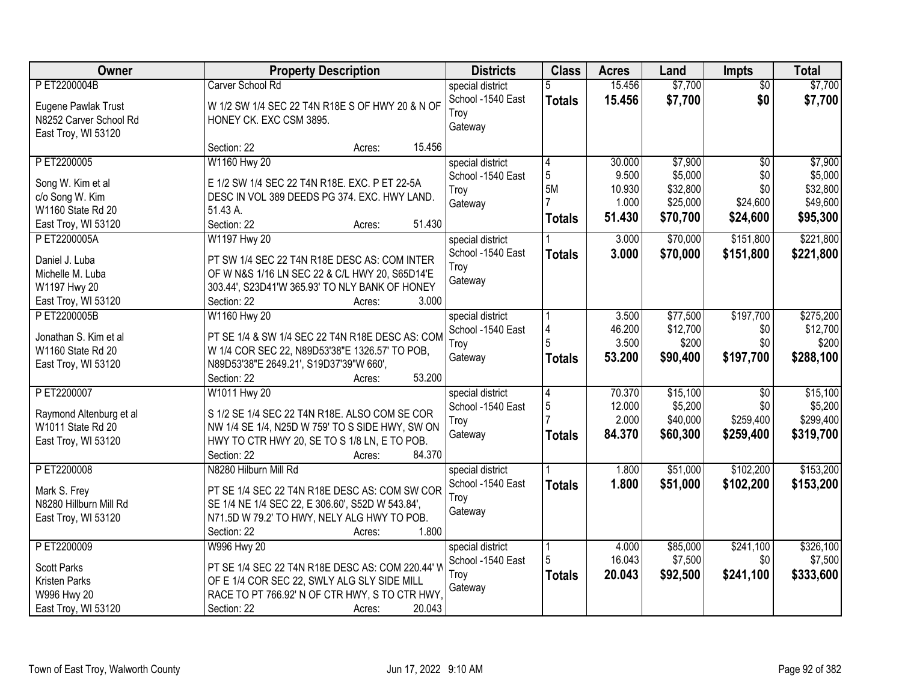| Owner                   | <b>Property Description</b>                      | <b>Districts</b>  | <b>Class</b>   | <b>Acres</b> | Land     | <b>Impts</b>    | <b>Total</b> |
|-------------------------|--------------------------------------------------|-------------------|----------------|--------------|----------|-----------------|--------------|
| PET2200004B             | Carver School Rd                                 | special district  | 5              | 15.456       | \$7,700  | $\overline{50}$ | \$7,700      |
| Eugene Pawlak Trust     | W 1/2 SW 1/4 SEC 22 T4N R18E S OF HWY 20 & N OF  | School -1540 East | <b>Totals</b>  | 15.456       | \$7,700  | \$0             | \$7,700      |
| N8252 Carver School Rd  | HONEY CK. EXC CSM 3895.                          | Troy              |                |              |          |                 |              |
| East Troy, WI 53120     |                                                  | Gateway           |                |              |          |                 |              |
|                         | 15.456<br>Section: 22<br>Acres:                  |                   |                |              |          |                 |              |
| PET2200005              | W1160 Hwy 20                                     | special district  | 4              | 30.000       | \$7,900  | $\overline{30}$ | \$7,900      |
| Song W. Kim et al       | E 1/2 SW 1/4 SEC 22 T4N R18E. EXC. P ET 22-5A    | School -1540 East | 5              | 9.500        | \$5,000  | \$0             | \$5,000      |
| c/o Song W. Kim         | DESC IN VOL 389 DEEDS PG 374. EXC. HWY LAND.     | Troy              | 5M             | 10.930       | \$32,800 | \$0             | \$32,800     |
| W1160 State Rd 20       | 51.43 A.                                         | Gateway           | $\overline{7}$ | 1.000        | \$25,000 | \$24,600        | \$49,600     |
| East Troy, WI 53120     | 51.430<br>Section: 22<br>Acres:                  |                   | <b>Totals</b>  | 51.430       | \$70,700 | \$24,600        | \$95,300     |
| P ET2200005A            | W1197 Hwy 20                                     | special district  |                | 3.000        | \$70,000 | \$151,800       | \$221,800    |
|                         |                                                  | School -1540 East | <b>Totals</b>  | 3.000        | \$70,000 | \$151,800       | \$221,800    |
| Daniel J. Luba          | PT SW 1/4 SEC 22 T4N R18E DESC AS: COM INTER     | Troy              |                |              |          |                 |              |
| Michelle M. Luba        | OF W N&S 1/16 LN SEC 22 & C/L HWY 20, S65D14'E   | Gateway           |                |              |          |                 |              |
| W1197 Hwy 20            | 303.44', S23D41'W 365.93' TO NLY BANK OF HONEY   |                   |                |              |          |                 |              |
| East Troy, WI 53120     | Section: 22<br>3.000<br>Acres:                   |                   |                |              |          |                 |              |
| PET2200005B             | W1160 Hwy 20                                     | special district  |                | 3.500        | \$77,500 | \$197,700       | \$275,200    |
| Jonathan S. Kim et al   | PT SE 1/4 & SW 1/4 SEC 22 T4N R18E DESC AS: COM  | School -1540 East | 4              | 46.200       | \$12,700 | \$0             | \$12,700     |
| W1160 State Rd 20       | W 1/4 COR SEC 22, N89D53'38"E 1326.57' TO POB,   | Troy              | 5              | 3.500        | \$200    | \$0             | \$200        |
| East Troy, WI 53120     | N89D53'38"E 2649.21', S19D37'39"W 660',          | Gateway           | <b>Totals</b>  | 53.200       | \$90,400 | \$197,700       | \$288,100    |
|                         | 53.200<br>Section: 22<br>Acres:                  |                   |                |              |          |                 |              |
| PET2200007              | W1011 Hwy 20                                     | special district  | 4              | 70.370       | \$15,100 | $\overline{30}$ | \$15,100     |
|                         |                                                  | School -1540 East | 5              | 12.000       | \$5,200  | \$0             | \$5,200      |
| Raymond Altenburg et al | S 1/2 SE 1/4 SEC 22 T4N R18E. ALSO COM SE COR    | Troy              |                | 2.000        | \$40,000 | \$259,400       | \$299,400    |
| W1011 State Rd 20       | NW 1/4 SE 1/4, N25D W 759' TO S SIDE HWY, SW ON  | Gateway           | <b>Totals</b>  | 84.370       | \$60,300 | \$259,400       | \$319,700    |
| East Troy, WI 53120     | HWY TO CTR HWY 20, SE TO S 1/8 LN, E TO POB.     |                   |                |              |          |                 |              |
|                         | 84.370<br>Section: 22<br>Acres:                  |                   |                |              |          |                 |              |
| PET2200008              | N8280 Hilburn Mill Rd                            | special district  |                | 1.800        | \$51,000 | \$102,200       | \$153,200    |
| Mark S. Frey            | PT SE 1/4 SEC 22 T4N R18E DESC AS: COM SW COR    | School -1540 East | <b>Totals</b>  | 1.800        | \$51,000 | \$102,200       | \$153,200    |
| N8280 Hillburn Mill Rd  | SE 1/4 NE 1/4 SEC 22, E 306.60', S52D W 543.84', | Troy              |                |              |          |                 |              |
| East Troy, WI 53120     | N71.5D W 79.2' TO HWY, NELY ALG HWY TO POB.      | Gateway           |                |              |          |                 |              |
|                         | 1.800<br>Section: 22<br>Acres:                   |                   |                |              |          |                 |              |
| PET2200009              | <b>W996 Hwy 20</b>                               | special district  |                | 4.000        | \$85,000 | \$241,100       | \$326,100    |
| <b>Scott Parks</b>      | PT SE 1/4 SEC 22 T4N R18E DESC AS: COM 220.44' W | School -1540 East |                | 16.043       | \$7,500  | \$0             | \$7,500      |
| Kristen Parks           | OF E 1/4 COR SEC 22, SWLY ALG SLY SIDE MILL      | Troy              | Totals         | 20.043       | \$92,500 | \$241,100       | \$333,600    |
| W996 Hwy 20             | RACE TO PT 766.92' N OF CTR HWY, S TO CTR HWY,   | Gateway           |                |              |          |                 |              |
| East Troy, WI 53120     | 20.043<br>Section: 22                            |                   |                |              |          |                 |              |
|                         | Acres:                                           |                   |                |              |          |                 |              |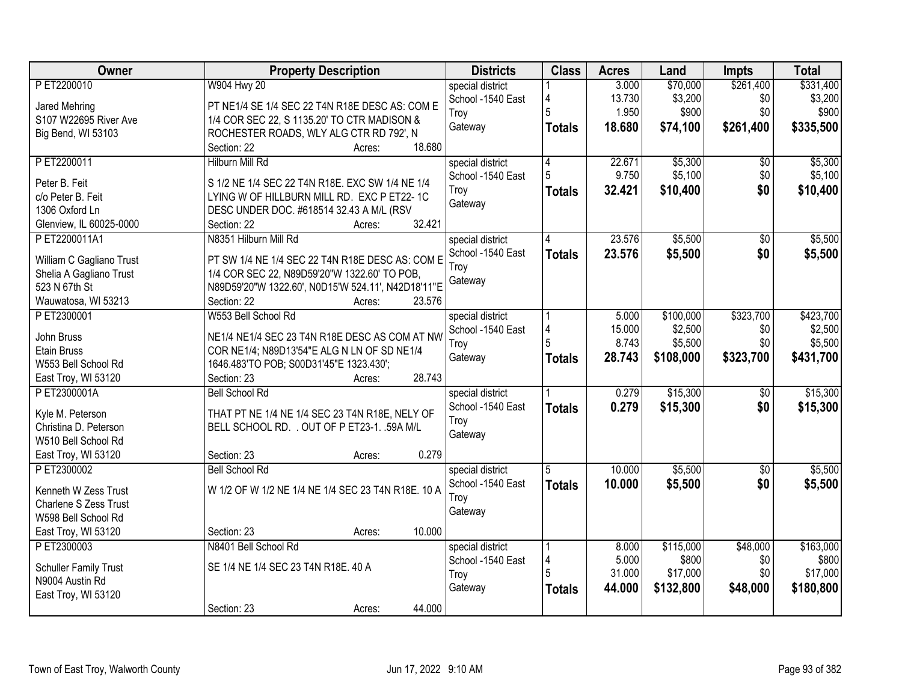| Owner                        | <b>Property Description</b>                        | <b>Districts</b>  | <b>Class</b>  | <b>Acres</b> | Land      | <b>Impts</b>    | <b>Total</b> |
|------------------------------|----------------------------------------------------|-------------------|---------------|--------------|-----------|-----------------|--------------|
| PET2200010                   | <b>W904 Hwy 20</b>                                 | special district  |               | 3.000        | \$70,000  | \$261,400       | \$331,400    |
| Jared Mehring                | PT NE1/4 SE 1/4 SEC 22 T4N R18E DESC AS: COM E     | School -1540 East | 4             | 13.730       | \$3,200   | \$0             | \$3,200      |
| S107 W22695 River Ave        | 1/4 COR SEC 22, S 1135.20' TO CTR MADISON &        | Troy              | 5             | 1.950        | \$900     | \$0             | \$900        |
| Big Bend, WI 53103           | ROCHESTER ROADS, WLY ALG CTR RD 792', N            | Gateway           | <b>Totals</b> | 18.680       | \$74,100  | \$261,400       | \$335,500    |
|                              | 18.680<br>Section: 22<br>Acres:                    |                   |               |              |           |                 |              |
| PET2200011                   | <b>Hilburn Mill Rd</b>                             | special district  | 4             | 22.671       | \$5,300   | \$0             | \$5,300      |
| Peter B. Feit                | S 1/2 NE 1/4 SEC 22 T4N R18E. EXC SW 1/4 NE 1/4    | School -1540 East | 5             | 9.750        | \$5,100   | \$0             | \$5,100      |
| c/o Peter B. Feit            | LYING W OF HILLBURN MILL RD. EXC P ET22-1C         | Troy              | <b>Totals</b> | 32.421       | \$10,400  | \$0             | \$10,400     |
| 1306 Oxford Ln               | DESC UNDER DOC. #618514 32.43 A M/L (RSV           | Gateway           |               |              |           |                 |              |
| Glenview, IL 60025-0000      | 32.421<br>Section: 22<br>Acres:                    |                   |               |              |           |                 |              |
| PET2200011A1                 | N8351 Hilburn Mill Rd                              | special district  | 14            | 23.576       | \$5,500   | \$0             | \$5,500      |
|                              |                                                    | School -1540 East | <b>Totals</b> | 23.576       | \$5,500   | \$0             | \$5,500      |
| William C Gagliano Trust     | PT SW 1/4 NE 1/4 SEC 22 T4N R18E DESC AS: COM E    | Troy              |               |              |           |                 |              |
| Shelia A Gagliano Trust      | 1/4 COR SEC 22, N89D59'20"W 1322.60' TO POB,       | Gateway           |               |              |           |                 |              |
| 523 N 67th St                | N89D59'20"W 1322.60', N0D15'W 524.11', N42D18'11"E |                   |               |              |           |                 |              |
| Wauwatosa, WI 53213          | Section: 22<br>23.576<br>Acres:                    |                   |               |              |           |                 |              |
| P ET2300001                  | W553 Bell School Rd                                | special district  |               | 5.000        | \$100,000 | \$323,700       | \$423,700    |
| John Bruss                   | NE1/4 NE1/4 SEC 23 T4N R18E DESC AS COM AT NW      | School -1540 East | 14            | 15.000       | \$2,500   | \$0             | \$2,500      |
| <b>Etain Bruss</b>           | COR NE1/4; N89D13'54"E ALG N LN OF SD NE1/4        | Troy              | 5             | 8.743        | \$5,500   | \$0             | \$5,500      |
| W553 Bell School Rd          | 1646.483'TO POB; S00D31'45"E 1323.430';            | Gateway           | <b>Totals</b> | 28.743       | \$108,000 | \$323,700       | \$431,700    |
| East Troy, WI 53120          | 28.743<br>Section: 23<br>Acres:                    |                   |               |              |           |                 |              |
| P ET2300001A                 | <b>Bell School Rd</b>                              | special district  |               | 0.279        | \$15,300  | $\overline{50}$ | \$15,300     |
|                              |                                                    | School -1540 East | <b>Totals</b> | 0.279        | \$15,300  | \$0             | \$15,300     |
| Kyle M. Peterson             | THAT PT NE 1/4 NE 1/4 SEC 23 T4N R18E, NELY OF     | Troy              |               |              |           |                 |              |
| Christina D. Peterson        | BELL SCHOOL RD. . OUT OF P ET23-1. .59A M/L        | Gateway           |               |              |           |                 |              |
| W510 Bell School Rd          |                                                    |                   |               |              |           |                 |              |
| East Troy, WI 53120          | 0.279<br>Section: 23<br>Acres:                     |                   |               |              |           |                 |              |
| PET2300002                   | <b>Bell School Rd</b>                              | special district  | 5             | 10.000       | \$5,500   | $\overline{50}$ | \$5,500      |
| Kenneth W Zess Trust         | W 1/2 OF W 1/2 NE 1/4 NE 1/4 SEC 23 T4N R18E. 10 A | School -1540 East | <b>Totals</b> | 10.000       | \$5,500   | \$0             | \$5,500      |
| Charlene S Zess Trust        |                                                    | Troy              |               |              |           |                 |              |
| W598 Bell School Rd          |                                                    | Gateway           |               |              |           |                 |              |
| East Troy, WI 53120          | 10.000<br>Section: 23<br>Acres:                    |                   |               |              |           |                 |              |
| PET2300003                   | N8401 Bell School Rd                               | special district  |               | 8.000        | \$115,000 | \$48,000        | \$163,000    |
|                              | SE 1/4 NE 1/4 SEC 23 T4N R18E. 40 A                | School -1540 East | 4             | 5.000        | \$800     | \$0             | \$800        |
| <b>Schuller Family Trust</b> |                                                    | Troy              |               | 31.000       | \$17,000  | \$0             | \$17,000     |
| N9004 Austin Rd              |                                                    | Gateway           | <b>Totals</b> | 44.000       | \$132,800 | \$48,000        | \$180,800    |
| East Troy, WI 53120          | 44.000<br>Section: 23<br>Acres:                    |                   |               |              |           |                 |              |
|                              |                                                    |                   |               |              |           |                 |              |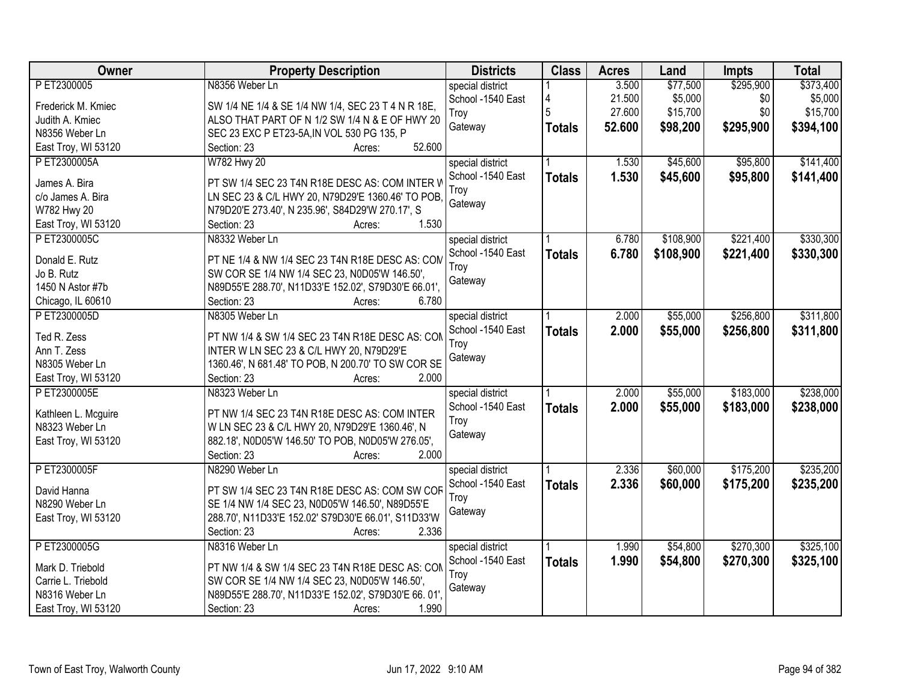| PET2300005<br>N8356 Weber Ln<br>3.500<br>special district<br>21.500<br>\$5,000<br>\$0<br>\$5,000<br>School -1540 East<br>4<br>SW 1/4 NE 1/4 & SE 1/4 NW 1/4, SEC 23 T 4 N R 18E,<br>Frederick M. Kmiec<br>5<br>\$0<br>27.600<br>\$15,700<br>\$15,700<br>Troy<br>Judith A. Kmiec<br>ALSO THAT PART OF N 1/2 SW 1/4 N & E OF HWY 20<br>52.600<br>\$295,900<br>Gateway<br>\$98,200<br>\$394,100<br><b>Totals</b><br>SEC 23 EXC P ET23-5A, IN VOL 530 PG 135, P<br>N8356 Weber Ln<br>52.600<br>East Troy, WI 53120<br>Section: 23<br>Acres:<br>\$45,600<br>\$95,800<br>\$141,400<br>PET2300005A<br>W782 Hwy 20<br>1.530<br>special district<br>School -1540 East<br>1.530<br>\$45,600<br>\$95,800<br><b>Totals</b><br>PT SW 1/4 SEC 23 T4N R18E DESC AS: COM INTER W<br>James A. Bira<br>Trov<br>LN SEC 23 & C/L HWY 20, N79D29'E 1360.46' TO POB,<br>c/o James A. Bira<br>Gateway<br>W782 Hwy 20<br>N79D20'E 273.40', N 235.96', S84D29'W 270.17', S<br>1.530<br>East Troy, WI 53120<br>Section: 23<br>Acres:<br>\$221,400<br>\$330,300<br>\$108,900<br>PET2300005C<br>N8332 Weber Ln<br>special district<br>6.780<br>School -1540 East<br>6.780<br>\$108,900<br>\$221,400<br><b>Totals</b><br>Donald E. Rutz<br>PT NE 1/4 & NW 1/4 SEC 23 T4N R18E DESC AS: COM<br>Troy<br>Jo B. Rutz<br>SW COR SE 1/4 NW 1/4 SEC 23, N0D05'W 146.50',<br>Gateway<br>1450 N Astor #7b<br>N89D55'E 288.70', N11D33'E 152.02', S79D30'E 66.01',<br>Section: 23<br>6.780<br>Chicago, IL 60610<br>Acres:<br>N8305 Weber Ln<br>\$55,000<br>\$256,800<br>PET2300005D<br>special district<br>2.000<br>2.000<br>School -1540 East<br>\$55,000<br>\$256,800<br><b>Totals</b><br>Ted R. Zess<br>PT NW 1/4 & SW 1/4 SEC 23 T4N R18E DESC AS: CON<br>Troy<br>INTER W LN SEC 23 & C/L HWY 20, N79D29'E<br>Ann T. Zess<br>Gateway<br>N8305 Weber Ln<br>1360.46', N 681.48' TO POB, N 200.70' TO SW COR SE<br>Section: 23<br>2.000<br>East Troy, WI 53120<br>Acres:<br>\$55,000<br>\$183,000<br>P ET2300005E<br>N8323 Weber Ln<br>2.000<br>special district<br>\$183,000<br>School -1540 East<br>2.000<br>\$55,000<br>\$238,000<br><b>Totals</b><br>Kathleen L. Mcguire<br>PT NW 1/4 SEC 23 T4N R18E DESC AS: COM INTER<br>Troy<br>N8323 Weber Ln<br>W LN SEC 23 & C/L HWY 20, N79D29'E 1360.46', N<br>Gateway<br>East Troy, WI 53120<br>882.18', N0D05'W 146.50' TO POB, N0D05'W 276.05',<br>2.000<br>Section: 23<br>Acres:<br>\$60,000<br>\$175,200<br>PET2300005F<br>N8290 Weber Ln<br>2.336<br>special district<br>2.336<br>\$60,000<br>School -1540 East<br>\$175,200<br><b>Totals</b><br>David Hanna<br>PT SW 1/4 SEC 23 T4N R18E DESC AS: COM SW COR<br>Troy<br>N8290 Weber Ln<br>SE 1/4 NW 1/4 SEC 23, N0D05'W 146.50', N89D55'E<br>Gateway<br>288.70', N11D33'E 152.02' S79D30'E 66.01', S11D33'W<br>East Troy, WI 53120<br>2.336<br>Section: 23<br>Acres:<br>\$270,300<br>\$325,100<br>PET2300005G<br>\$54,800<br>N8316 Weber Ln<br>1.990<br>special district<br>1.990<br>School -1540 East<br>\$54,800<br>\$270,300<br>\$325,100<br><b>Totals</b><br>Mark D. Triebold<br>PT NW 1/4 & SW 1/4 SEC 23 T4N R18E DESC AS: CON<br>Troy | Owner              | <b>Property Description</b>                   | <b>Districts</b> | <b>Class</b> | <b>Acres</b> | Land     | <b>Impts</b> | <b>Total</b> |
|------------------------------------------------------------------------------------------------------------------------------------------------------------------------------------------------------------------------------------------------------------------------------------------------------------------------------------------------------------------------------------------------------------------------------------------------------------------------------------------------------------------------------------------------------------------------------------------------------------------------------------------------------------------------------------------------------------------------------------------------------------------------------------------------------------------------------------------------------------------------------------------------------------------------------------------------------------------------------------------------------------------------------------------------------------------------------------------------------------------------------------------------------------------------------------------------------------------------------------------------------------------------------------------------------------------------------------------------------------------------------------------------------------------------------------------------------------------------------------------------------------------------------------------------------------------------------------------------------------------------------------------------------------------------------------------------------------------------------------------------------------------------------------------------------------------------------------------------------------------------------------------------------------------------------------------------------------------------------------------------------------------------------------------------------------------------------------------------------------------------------------------------------------------------------------------------------------------------------------------------------------------------------------------------------------------------------------------------------------------------------------------------------------------------------------------------------------------------------------------------------------------------------------------------------------------------------------------------------------------------------------------------------------------------------------------------------------------------------------------------------------------------------------------------------------------------------------------------------------------------------------------------------------------------------------------------------------------------------------------------------------------------------------------------------------------------------------------------------------|--------------------|-----------------------------------------------|------------------|--------------|--------------|----------|--------------|--------------|
|                                                                                                                                                                                                                                                                                                                                                                                                                                                                                                                                                                                                                                                                                                                                                                                                                                                                                                                                                                                                                                                                                                                                                                                                                                                                                                                                                                                                                                                                                                                                                                                                                                                                                                                                                                                                                                                                                                                                                                                                                                                                                                                                                                                                                                                                                                                                                                                                                                                                                                                                                                                                                                                                                                                                                                                                                                                                                                                                                                                                                                                                                                            |                    |                                               |                  |              |              | \$77,500 | \$295,900    | \$373,400    |
|                                                                                                                                                                                                                                                                                                                                                                                                                                                                                                                                                                                                                                                                                                                                                                                                                                                                                                                                                                                                                                                                                                                                                                                                                                                                                                                                                                                                                                                                                                                                                                                                                                                                                                                                                                                                                                                                                                                                                                                                                                                                                                                                                                                                                                                                                                                                                                                                                                                                                                                                                                                                                                                                                                                                                                                                                                                                                                                                                                                                                                                                                                            |                    |                                               |                  |              |              |          |              |              |
|                                                                                                                                                                                                                                                                                                                                                                                                                                                                                                                                                                                                                                                                                                                                                                                                                                                                                                                                                                                                                                                                                                                                                                                                                                                                                                                                                                                                                                                                                                                                                                                                                                                                                                                                                                                                                                                                                                                                                                                                                                                                                                                                                                                                                                                                                                                                                                                                                                                                                                                                                                                                                                                                                                                                                                                                                                                                                                                                                                                                                                                                                                            |                    |                                               |                  |              |              |          |              |              |
|                                                                                                                                                                                                                                                                                                                                                                                                                                                                                                                                                                                                                                                                                                                                                                                                                                                                                                                                                                                                                                                                                                                                                                                                                                                                                                                                                                                                                                                                                                                                                                                                                                                                                                                                                                                                                                                                                                                                                                                                                                                                                                                                                                                                                                                                                                                                                                                                                                                                                                                                                                                                                                                                                                                                                                                                                                                                                                                                                                                                                                                                                                            |                    |                                               |                  |              |              |          |              |              |
| \$141,400<br>\$330,300<br>\$311,800<br>\$311,800<br>\$238,000<br>\$235,200<br>\$235,200                                                                                                                                                                                                                                                                                                                                                                                                                                                                                                                                                                                                                                                                                                                                                                                                                                                                                                                                                                                                                                                                                                                                                                                                                                                                                                                                                                                                                                                                                                                                                                                                                                                                                                                                                                                                                                                                                                                                                                                                                                                                                                                                                                                                                                                                                                                                                                                                                                                                                                                                                                                                                                                                                                                                                                                                                                                                                                                                                                                                                    |                    |                                               |                  |              |              |          |              |              |
|                                                                                                                                                                                                                                                                                                                                                                                                                                                                                                                                                                                                                                                                                                                                                                                                                                                                                                                                                                                                                                                                                                                                                                                                                                                                                                                                                                                                                                                                                                                                                                                                                                                                                                                                                                                                                                                                                                                                                                                                                                                                                                                                                                                                                                                                                                                                                                                                                                                                                                                                                                                                                                                                                                                                                                                                                                                                                                                                                                                                                                                                                                            |                    |                                               |                  |              |              |          |              |              |
|                                                                                                                                                                                                                                                                                                                                                                                                                                                                                                                                                                                                                                                                                                                                                                                                                                                                                                                                                                                                                                                                                                                                                                                                                                                                                                                                                                                                                                                                                                                                                                                                                                                                                                                                                                                                                                                                                                                                                                                                                                                                                                                                                                                                                                                                                                                                                                                                                                                                                                                                                                                                                                                                                                                                                                                                                                                                                                                                                                                                                                                                                                            |                    |                                               |                  |              |              |          |              |              |
|                                                                                                                                                                                                                                                                                                                                                                                                                                                                                                                                                                                                                                                                                                                                                                                                                                                                                                                                                                                                                                                                                                                                                                                                                                                                                                                                                                                                                                                                                                                                                                                                                                                                                                                                                                                                                                                                                                                                                                                                                                                                                                                                                                                                                                                                                                                                                                                                                                                                                                                                                                                                                                                                                                                                                                                                                                                                                                                                                                                                                                                                                                            |                    |                                               |                  |              |              |          |              |              |
|                                                                                                                                                                                                                                                                                                                                                                                                                                                                                                                                                                                                                                                                                                                                                                                                                                                                                                                                                                                                                                                                                                                                                                                                                                                                                                                                                                                                                                                                                                                                                                                                                                                                                                                                                                                                                                                                                                                                                                                                                                                                                                                                                                                                                                                                                                                                                                                                                                                                                                                                                                                                                                                                                                                                                                                                                                                                                                                                                                                                                                                                                                            |                    |                                               |                  |              |              |          |              |              |
|                                                                                                                                                                                                                                                                                                                                                                                                                                                                                                                                                                                                                                                                                                                                                                                                                                                                                                                                                                                                                                                                                                                                                                                                                                                                                                                                                                                                                                                                                                                                                                                                                                                                                                                                                                                                                                                                                                                                                                                                                                                                                                                                                                                                                                                                                                                                                                                                                                                                                                                                                                                                                                                                                                                                                                                                                                                                                                                                                                                                                                                                                                            |                    |                                               |                  |              |              |          |              |              |
|                                                                                                                                                                                                                                                                                                                                                                                                                                                                                                                                                                                                                                                                                                                                                                                                                                                                                                                                                                                                                                                                                                                                                                                                                                                                                                                                                                                                                                                                                                                                                                                                                                                                                                                                                                                                                                                                                                                                                                                                                                                                                                                                                                                                                                                                                                                                                                                                                                                                                                                                                                                                                                                                                                                                                                                                                                                                                                                                                                                                                                                                                                            |                    |                                               |                  |              |              |          |              |              |
|                                                                                                                                                                                                                                                                                                                                                                                                                                                                                                                                                                                                                                                                                                                                                                                                                                                                                                                                                                                                                                                                                                                                                                                                                                                                                                                                                                                                                                                                                                                                                                                                                                                                                                                                                                                                                                                                                                                                                                                                                                                                                                                                                                                                                                                                                                                                                                                                                                                                                                                                                                                                                                                                                                                                                                                                                                                                                                                                                                                                                                                                                                            |                    |                                               |                  |              |              |          |              |              |
|                                                                                                                                                                                                                                                                                                                                                                                                                                                                                                                                                                                                                                                                                                                                                                                                                                                                                                                                                                                                                                                                                                                                                                                                                                                                                                                                                                                                                                                                                                                                                                                                                                                                                                                                                                                                                                                                                                                                                                                                                                                                                                                                                                                                                                                                                                                                                                                                                                                                                                                                                                                                                                                                                                                                                                                                                                                                                                                                                                                                                                                                                                            |                    |                                               |                  |              |              |          |              |              |
|                                                                                                                                                                                                                                                                                                                                                                                                                                                                                                                                                                                                                                                                                                                                                                                                                                                                                                                                                                                                                                                                                                                                                                                                                                                                                                                                                                                                                                                                                                                                                                                                                                                                                                                                                                                                                                                                                                                                                                                                                                                                                                                                                                                                                                                                                                                                                                                                                                                                                                                                                                                                                                                                                                                                                                                                                                                                                                                                                                                                                                                                                                            |                    |                                               |                  |              |              |          |              |              |
|                                                                                                                                                                                                                                                                                                                                                                                                                                                                                                                                                                                                                                                                                                                                                                                                                                                                                                                                                                                                                                                                                                                                                                                                                                                                                                                                                                                                                                                                                                                                                                                                                                                                                                                                                                                                                                                                                                                                                                                                                                                                                                                                                                                                                                                                                                                                                                                                                                                                                                                                                                                                                                                                                                                                                                                                                                                                                                                                                                                                                                                                                                            |                    |                                               |                  |              |              |          |              |              |
|                                                                                                                                                                                                                                                                                                                                                                                                                                                                                                                                                                                                                                                                                                                                                                                                                                                                                                                                                                                                                                                                                                                                                                                                                                                                                                                                                                                                                                                                                                                                                                                                                                                                                                                                                                                                                                                                                                                                                                                                                                                                                                                                                                                                                                                                                                                                                                                                                                                                                                                                                                                                                                                                                                                                                                                                                                                                                                                                                                                                                                                                                                            |                    |                                               |                  |              |              |          |              |              |
|                                                                                                                                                                                                                                                                                                                                                                                                                                                                                                                                                                                                                                                                                                                                                                                                                                                                                                                                                                                                                                                                                                                                                                                                                                                                                                                                                                                                                                                                                                                                                                                                                                                                                                                                                                                                                                                                                                                                                                                                                                                                                                                                                                                                                                                                                                                                                                                                                                                                                                                                                                                                                                                                                                                                                                                                                                                                                                                                                                                                                                                                                                            |                    |                                               |                  |              |              |          |              |              |
|                                                                                                                                                                                                                                                                                                                                                                                                                                                                                                                                                                                                                                                                                                                                                                                                                                                                                                                                                                                                                                                                                                                                                                                                                                                                                                                                                                                                                                                                                                                                                                                                                                                                                                                                                                                                                                                                                                                                                                                                                                                                                                                                                                                                                                                                                                                                                                                                                                                                                                                                                                                                                                                                                                                                                                                                                                                                                                                                                                                                                                                                                                            |                    |                                               |                  |              |              |          |              |              |
|                                                                                                                                                                                                                                                                                                                                                                                                                                                                                                                                                                                                                                                                                                                                                                                                                                                                                                                                                                                                                                                                                                                                                                                                                                                                                                                                                                                                                                                                                                                                                                                                                                                                                                                                                                                                                                                                                                                                                                                                                                                                                                                                                                                                                                                                                                                                                                                                                                                                                                                                                                                                                                                                                                                                                                                                                                                                                                                                                                                                                                                                                                            |                    |                                               |                  |              |              |          |              |              |
|                                                                                                                                                                                                                                                                                                                                                                                                                                                                                                                                                                                                                                                                                                                                                                                                                                                                                                                                                                                                                                                                                                                                                                                                                                                                                                                                                                                                                                                                                                                                                                                                                                                                                                                                                                                                                                                                                                                                                                                                                                                                                                                                                                                                                                                                                                                                                                                                                                                                                                                                                                                                                                                                                                                                                                                                                                                                                                                                                                                                                                                                                                            |                    |                                               |                  |              |              |          |              |              |
|                                                                                                                                                                                                                                                                                                                                                                                                                                                                                                                                                                                                                                                                                                                                                                                                                                                                                                                                                                                                                                                                                                                                                                                                                                                                                                                                                                                                                                                                                                                                                                                                                                                                                                                                                                                                                                                                                                                                                                                                                                                                                                                                                                                                                                                                                                                                                                                                                                                                                                                                                                                                                                                                                                                                                                                                                                                                                                                                                                                                                                                                                                            |                    |                                               |                  |              |              |          |              |              |
|                                                                                                                                                                                                                                                                                                                                                                                                                                                                                                                                                                                                                                                                                                                                                                                                                                                                                                                                                                                                                                                                                                                                                                                                                                                                                                                                                                                                                                                                                                                                                                                                                                                                                                                                                                                                                                                                                                                                                                                                                                                                                                                                                                                                                                                                                                                                                                                                                                                                                                                                                                                                                                                                                                                                                                                                                                                                                                                                                                                                                                                                                                            |                    |                                               |                  |              |              |          |              |              |
|                                                                                                                                                                                                                                                                                                                                                                                                                                                                                                                                                                                                                                                                                                                                                                                                                                                                                                                                                                                                                                                                                                                                                                                                                                                                                                                                                                                                                                                                                                                                                                                                                                                                                                                                                                                                                                                                                                                                                                                                                                                                                                                                                                                                                                                                                                                                                                                                                                                                                                                                                                                                                                                                                                                                                                                                                                                                                                                                                                                                                                                                                                            |                    |                                               |                  |              |              |          |              |              |
|                                                                                                                                                                                                                                                                                                                                                                                                                                                                                                                                                                                                                                                                                                                                                                                                                                                                                                                                                                                                                                                                                                                                                                                                                                                                                                                                                                                                                                                                                                                                                                                                                                                                                                                                                                                                                                                                                                                                                                                                                                                                                                                                                                                                                                                                                                                                                                                                                                                                                                                                                                                                                                                                                                                                                                                                                                                                                                                                                                                                                                                                                                            |                    |                                               |                  |              |              |          |              |              |
|                                                                                                                                                                                                                                                                                                                                                                                                                                                                                                                                                                                                                                                                                                                                                                                                                                                                                                                                                                                                                                                                                                                                                                                                                                                                                                                                                                                                                                                                                                                                                                                                                                                                                                                                                                                                                                                                                                                                                                                                                                                                                                                                                                                                                                                                                                                                                                                                                                                                                                                                                                                                                                                                                                                                                                                                                                                                                                                                                                                                                                                                                                            |                    |                                               |                  |              |              |          |              |              |
|                                                                                                                                                                                                                                                                                                                                                                                                                                                                                                                                                                                                                                                                                                                                                                                                                                                                                                                                                                                                                                                                                                                                                                                                                                                                                                                                                                                                                                                                                                                                                                                                                                                                                                                                                                                                                                                                                                                                                                                                                                                                                                                                                                                                                                                                                                                                                                                                                                                                                                                                                                                                                                                                                                                                                                                                                                                                                                                                                                                                                                                                                                            |                    |                                               |                  |              |              |          |              |              |
|                                                                                                                                                                                                                                                                                                                                                                                                                                                                                                                                                                                                                                                                                                                                                                                                                                                                                                                                                                                                                                                                                                                                                                                                                                                                                                                                                                                                                                                                                                                                                                                                                                                                                                                                                                                                                                                                                                                                                                                                                                                                                                                                                                                                                                                                                                                                                                                                                                                                                                                                                                                                                                                                                                                                                                                                                                                                                                                                                                                                                                                                                                            |                    |                                               |                  |              |              |          |              |              |
|                                                                                                                                                                                                                                                                                                                                                                                                                                                                                                                                                                                                                                                                                                                                                                                                                                                                                                                                                                                                                                                                                                                                                                                                                                                                                                                                                                                                                                                                                                                                                                                                                                                                                                                                                                                                                                                                                                                                                                                                                                                                                                                                                                                                                                                                                                                                                                                                                                                                                                                                                                                                                                                                                                                                                                                                                                                                                                                                                                                                                                                                                                            |                    |                                               |                  |              |              |          |              |              |
|                                                                                                                                                                                                                                                                                                                                                                                                                                                                                                                                                                                                                                                                                                                                                                                                                                                                                                                                                                                                                                                                                                                                                                                                                                                                                                                                                                                                                                                                                                                                                                                                                                                                                                                                                                                                                                                                                                                                                                                                                                                                                                                                                                                                                                                                                                                                                                                                                                                                                                                                                                                                                                                                                                                                                                                                                                                                                                                                                                                                                                                                                                            |                    |                                               |                  |              |              |          |              |              |
|                                                                                                                                                                                                                                                                                                                                                                                                                                                                                                                                                                                                                                                                                                                                                                                                                                                                                                                                                                                                                                                                                                                                                                                                                                                                                                                                                                                                                                                                                                                                                                                                                                                                                                                                                                                                                                                                                                                                                                                                                                                                                                                                                                                                                                                                                                                                                                                                                                                                                                                                                                                                                                                                                                                                                                                                                                                                                                                                                                                                                                                                                                            |                    |                                               |                  |              |              |          |              |              |
|                                                                                                                                                                                                                                                                                                                                                                                                                                                                                                                                                                                                                                                                                                                                                                                                                                                                                                                                                                                                                                                                                                                                                                                                                                                                                                                                                                                                                                                                                                                                                                                                                                                                                                                                                                                                                                                                                                                                                                                                                                                                                                                                                                                                                                                                                                                                                                                                                                                                                                                                                                                                                                                                                                                                                                                                                                                                                                                                                                                                                                                                                                            |                    |                                               |                  |              |              |          |              |              |
|                                                                                                                                                                                                                                                                                                                                                                                                                                                                                                                                                                                                                                                                                                                                                                                                                                                                                                                                                                                                                                                                                                                                                                                                                                                                                                                                                                                                                                                                                                                                                                                                                                                                                                                                                                                                                                                                                                                                                                                                                                                                                                                                                                                                                                                                                                                                                                                                                                                                                                                                                                                                                                                                                                                                                                                                                                                                                                                                                                                                                                                                                                            |                    |                                               |                  |              |              |          |              |              |
|                                                                                                                                                                                                                                                                                                                                                                                                                                                                                                                                                                                                                                                                                                                                                                                                                                                                                                                                                                                                                                                                                                                                                                                                                                                                                                                                                                                                                                                                                                                                                                                                                                                                                                                                                                                                                                                                                                                                                                                                                                                                                                                                                                                                                                                                                                                                                                                                                                                                                                                                                                                                                                                                                                                                                                                                                                                                                                                                                                                                                                                                                                            |                    |                                               |                  |              |              |          |              |              |
|                                                                                                                                                                                                                                                                                                                                                                                                                                                                                                                                                                                                                                                                                                                                                                                                                                                                                                                                                                                                                                                                                                                                                                                                                                                                                                                                                                                                                                                                                                                                                                                                                                                                                                                                                                                                                                                                                                                                                                                                                                                                                                                                                                                                                                                                                                                                                                                                                                                                                                                                                                                                                                                                                                                                                                                                                                                                                                                                                                                                                                                                                                            |                    |                                               |                  |              |              |          |              |              |
|                                                                                                                                                                                                                                                                                                                                                                                                                                                                                                                                                                                                                                                                                                                                                                                                                                                                                                                                                                                                                                                                                                                                                                                                                                                                                                                                                                                                                                                                                                                                                                                                                                                                                                                                                                                                                                                                                                                                                                                                                                                                                                                                                                                                                                                                                                                                                                                                                                                                                                                                                                                                                                                                                                                                                                                                                                                                                                                                                                                                                                                                                                            |                    |                                               |                  |              |              |          |              |              |
|                                                                                                                                                                                                                                                                                                                                                                                                                                                                                                                                                                                                                                                                                                                                                                                                                                                                                                                                                                                                                                                                                                                                                                                                                                                                                                                                                                                                                                                                                                                                                                                                                                                                                                                                                                                                                                                                                                                                                                                                                                                                                                                                                                                                                                                                                                                                                                                                                                                                                                                                                                                                                                                                                                                                                                                                                                                                                                                                                                                                                                                                                                            | Carrie L. Triebold | SW COR SE 1/4 NW 1/4 SEC 23, N0D05'W 146.50', |                  |              |              |          |              |              |
| Gateway<br>N89D55'E 288.70', N11D33'E 152.02', S79D30'E 66.01',<br>N8316 Weber Ln                                                                                                                                                                                                                                                                                                                                                                                                                                                                                                                                                                                                                                                                                                                                                                                                                                                                                                                                                                                                                                                                                                                                                                                                                                                                                                                                                                                                                                                                                                                                                                                                                                                                                                                                                                                                                                                                                                                                                                                                                                                                                                                                                                                                                                                                                                                                                                                                                                                                                                                                                                                                                                                                                                                                                                                                                                                                                                                                                                                                                          |                    |                                               |                  |              |              |          |              |              |
| East Troy, WI 53120<br>Section: 23<br>1.990<br>Acres:                                                                                                                                                                                                                                                                                                                                                                                                                                                                                                                                                                                                                                                                                                                                                                                                                                                                                                                                                                                                                                                                                                                                                                                                                                                                                                                                                                                                                                                                                                                                                                                                                                                                                                                                                                                                                                                                                                                                                                                                                                                                                                                                                                                                                                                                                                                                                                                                                                                                                                                                                                                                                                                                                                                                                                                                                                                                                                                                                                                                                                                      |                    |                                               |                  |              |              |          |              |              |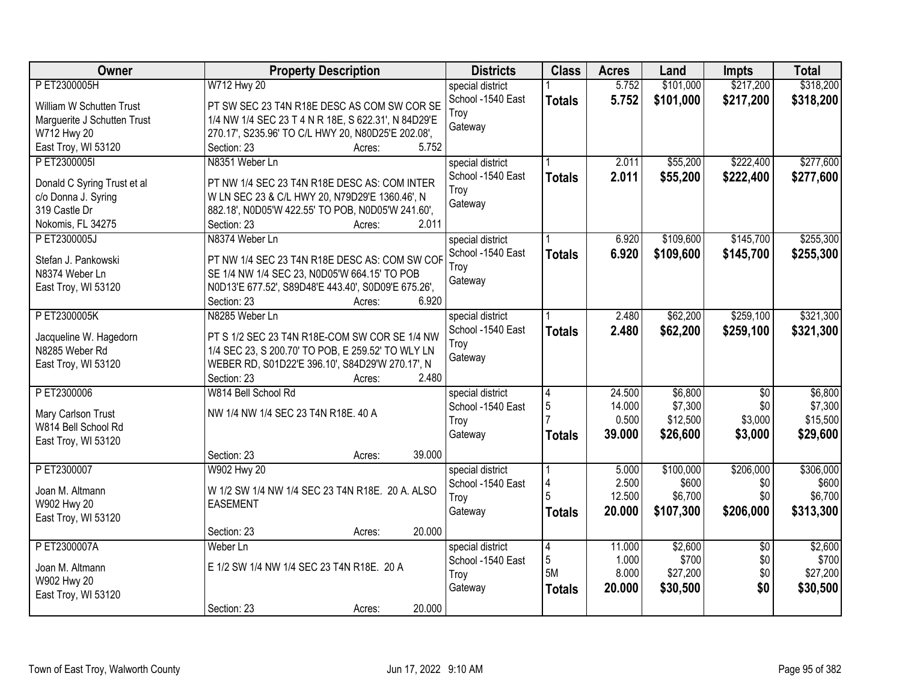| <b>Owner</b>                | <b>Property Description</b>                         | <b>Districts</b>  | <b>Class</b>   | <b>Acres</b> | Land      | <b>Impts</b>    | <b>Total</b> |
|-----------------------------|-----------------------------------------------------|-------------------|----------------|--------------|-----------|-----------------|--------------|
| P ET2300005H                | W712 Hwy 20                                         | special district  |                | 5.752        | \$101,000 | \$217,200       | \$318,200    |
| William W Schutten Trust    | PT SW SEC 23 T4N R18E DESC AS COM SW COR SE         | School -1540 East | <b>Totals</b>  | 5.752        | \$101,000 | \$217,200       | \$318,200    |
| Marguerite J Schutten Trust | 1/4 NW 1/4 SEC 23 T 4 N R 18E, S 622.31', N 84D29'E | Troy              |                |              |           |                 |              |
| W712 Hwy 20                 | 270.17', S235.96' TO C/L HWY 20, N80D25'E 202.08',  | Gateway           |                |              |           |                 |              |
| East Troy, WI 53120         | 5.752<br>Section: 23<br>Acres:                      |                   |                |              |           |                 |              |
| PET2300005I                 | N8351 Weber Ln                                      | special district  |                | 2.011        | \$55,200  | \$222,400       | \$277,600    |
|                             |                                                     | School -1540 East | <b>Totals</b>  | 2.011        | \$55,200  | \$222,400       | \$277,600    |
| Donald C Syring Trust et al | PT NW 1/4 SEC 23 T4N R18E DESC AS: COM INTER        | Troy              |                |              |           |                 |              |
| c/o Donna J. Syring         | W LN SEC 23 & C/L HWY 20, N79D29'E 1360.46', N      | Gateway           |                |              |           |                 |              |
| 319 Castle Dr               | 882.18', N0D05'W 422.55' TO POB, N0D05'W 241.60',   |                   |                |              |           |                 |              |
| Nokomis, FL 34275           | 2.011<br>Section: 23<br>Acres:                      |                   |                |              |           |                 |              |
| P ET2300005J                | N8374 Weber Ln                                      | special district  |                | 6.920        | \$109,600 | \$145,700       | \$255,300    |
| Stefan J. Pankowski         | PT NW 1/4 SEC 23 T4N R18E DESC AS: COM SW COF       | School -1540 East | <b>Totals</b>  | 6.920        | \$109,600 | \$145,700       | \$255,300    |
| N8374 Weber Ln              | SE 1/4 NW 1/4 SEC 23, N0D05'W 664.15' TO POB        | Troy              |                |              |           |                 |              |
| East Troy, WI 53120         | N0D13'E 677.52', S89D48'E 443.40', S0D09'E 675.26', | Gateway           |                |              |           |                 |              |
|                             | 6.920<br>Section: 23<br>Acres:                      |                   |                |              |           |                 |              |
| PET2300005K                 | N8285 Weber Ln                                      | special district  |                | 2.480        | \$62,200  | \$259,100       | \$321,300    |
|                             |                                                     | School -1540 East | <b>Totals</b>  | 2.480        | \$62,200  | \$259,100       | \$321,300    |
| Jacqueline W. Hagedorn      | PT S 1/2 SEC 23 T4N R18E-COM SW COR SE 1/4 NW       | Troy              |                |              |           |                 |              |
| N8285 Weber Rd              | 1/4 SEC 23, S 200.70' TO POB, E 259.52' TO WLY LN   | Gateway           |                |              |           |                 |              |
| East Troy, WI 53120         | WEBER RD, S01D22'E 396.10', S84D29'W 270.17', N     |                   |                |              |           |                 |              |
|                             | 2.480<br>Section: 23<br>Acres:                      |                   |                |              |           |                 |              |
| P ET2300006                 | W814 Bell School Rd                                 | special district  | $\overline{4}$ | 24.500       | \$6,800   | $\overline{50}$ | \$6,800      |
| Mary Carlson Trust          | NW 1/4 NW 1/4 SEC 23 T4N R18E. 40 A                 | School -1540 East | 5              | 14.000       | \$7,300   | \$0             | \$7,300      |
| W814 Bell School Rd         |                                                     | Troy              |                | 0.500        | \$12,500  | \$3,000         | \$15,500     |
| East Troy, WI 53120         |                                                     | Gateway           | <b>Totals</b>  | 39.000       | \$26,600  | \$3,000         | \$29,600     |
|                             | 39.000<br>Section: 23<br>Acres:                     |                   |                |              |           |                 |              |
| PET2300007                  | W902 Hwy 20                                         | special district  |                | 5.000        | \$100,000 | \$206,000       | \$306,000    |
|                             |                                                     | School -1540 East | 4              | 2.500        | \$600     | \$0             | \$600        |
| Joan M. Altmann             | W 1/2 SW 1/4 NW 1/4 SEC 23 T4N R18E. 20 A. ALSO     | Troy              |                | 12.500       | \$6,700   | \$0             | \$6,700      |
| W902 Hwy 20                 | <b>EASEMENT</b>                                     | Gateway           | <b>Totals</b>  | 20,000       | \$107,300 | \$206,000       | \$313,300    |
| East Troy, WI 53120         |                                                     |                   |                |              |           |                 |              |
|                             | 20.000<br>Section: 23<br>Acres:                     |                   |                |              |           |                 |              |
| P ET2300007A                | Weber Ln                                            | special district  | $\overline{4}$ | 11.000       | \$2,600   | $\overline{50}$ | \$2,600      |
| Joan M. Altmann             | E 1/2 SW 1/4 NW 1/4 SEC 23 T4N R18E. 20 A           | School -1540 East | 5              | 1.000        | \$700     | \$0             | \$700        |
| W902 Hwy 20                 |                                                     | Troy              | 5M             | 8.000        | \$27,200  | \$0             | \$27,200     |
| East Troy, WI 53120         |                                                     | Gateway           | <b>Totals</b>  | 20.000       | \$30,500  | \$0             | \$30,500     |
|                             | 20.000<br>Section: 23<br>Acres:                     |                   |                |              |           |                 |              |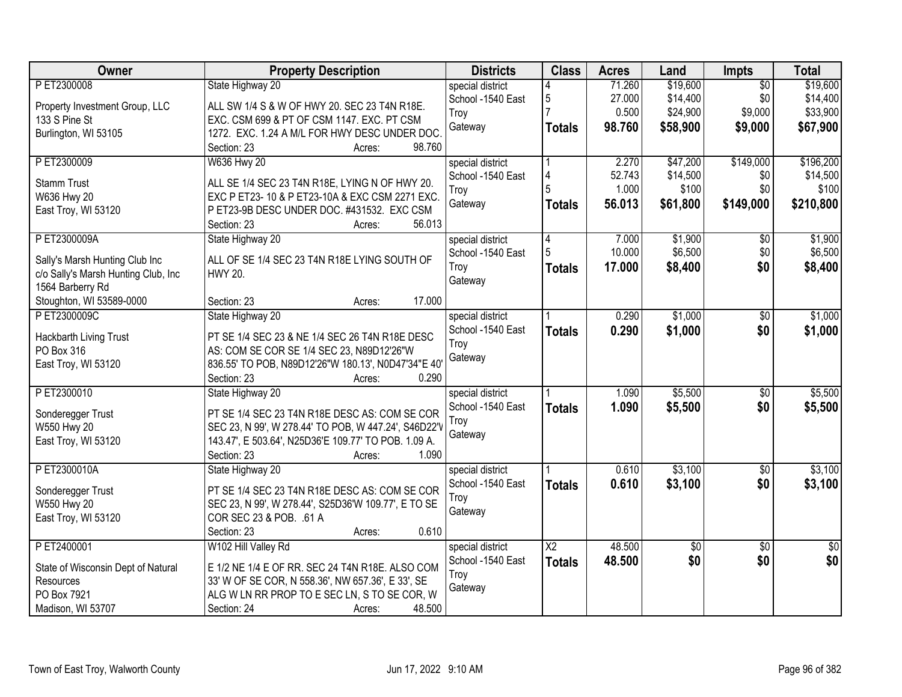| Owner                               | <b>Property Description</b>                                                                                  | <b>Districts</b>  | <b>Class</b>           | <b>Acres</b> | Land     | <b>Impts</b>    | <b>Total</b>    |
|-------------------------------------|--------------------------------------------------------------------------------------------------------------|-------------------|------------------------|--------------|----------|-----------------|-----------------|
| PET2300008                          | State Highway 20                                                                                             | special district  |                        | 71.260       | \$19,600 | $\overline{50}$ | \$19,600        |
| Property Investment Group, LLC      | ALL SW 1/4 S & W OF HWY 20. SEC 23 T4N R18E.                                                                 | School -1540 East | 5                      | 27.000       | \$14,400 | \$0             | \$14,400        |
| 133 S Pine St                       | EXC. CSM 699 & PT OF CSM 1147. EXC. PT CSM                                                                   | Troy              |                        | 0.500        | \$24,900 | \$9,000         | \$33,900        |
| Burlington, WI 53105                | 1272. EXC. 1.24 A M/L FOR HWY DESC UNDER DOC.                                                                | Gateway           | <b>Totals</b>          | 98.760       | \$58,900 | \$9,000         | \$67,900        |
|                                     | 98.760<br>Section: 23<br>Acres:                                                                              |                   |                        |              |          |                 |                 |
| PET2300009                          | <b>W636 Hwy 20</b>                                                                                           | special district  |                        | 2.270        | \$47,200 | \$149,000       | \$196,200       |
| <b>Stamm Trust</b>                  | ALL SE 1/4 SEC 23 T4N R18E, LYING N OF HWY 20.                                                               | School -1540 East | 4                      | 52.743       | \$14,500 | \$0             | \$14,500        |
| W636 Hwy 20                         | EXC P ET23-10 & P ET23-10A & EXC CSM 2271 EXC.                                                               | Troy              | 5                      | 1.000        | \$100    | \$0             | \$100           |
| East Troy, WI 53120                 | P ET23-9B DESC UNDER DOC. #431532. EXC CSM                                                                   | Gateway           | <b>Totals</b>          | 56.013       | \$61,800 | \$149,000       | \$210,800       |
|                                     | 56.013<br>Section: 23<br>Acres:                                                                              |                   |                        |              |          |                 |                 |
| PET2300009A                         | State Highway 20                                                                                             | special district  | 4                      | 7.000        | \$1,900  | $\overline{50}$ | \$1,900         |
| Sally's Marsh Hunting Club Inc      | ALL OF SE 1/4 SEC 23 T4N R18E LYING SOUTH OF                                                                 | School -1540 East | 5                      | 10.000       | \$6,500  | \$0             | \$6,500         |
| c/o Sally's Marsh Hunting Club, Inc | <b>HWY 20.</b>                                                                                               | Troy              | <b>Totals</b>          | 17.000       | \$8,400  | \$0             | \$8,400         |
| 1564 Barberry Rd                    |                                                                                                              | Gateway           |                        |              |          |                 |                 |
| Stoughton, WI 53589-0000            | 17.000<br>Section: 23<br>Acres:                                                                              |                   |                        |              |          |                 |                 |
| PET2300009C                         | State Highway 20                                                                                             | special district  |                        | 0.290        | \$1,000  | \$0             | \$1,000         |
| Hackbarth Living Trust              | PT SE 1/4 SEC 23 & NE 1/4 SEC 26 T4N R18E DESC                                                               | School -1540 East | <b>Totals</b>          | 0.290        | \$1,000  | \$0             | \$1,000         |
| PO Box 316                          | AS: COM SE COR SE 1/4 SEC 23, N89D12'26"W                                                                    | Troy              |                        |              |          |                 |                 |
| East Troy, WI 53120                 | 836.55' TO POB, N89D12'26"W 180.13', N0D47'34"E 40'                                                          | Gateway           |                        |              |          |                 |                 |
|                                     | Section: 23<br>0.290<br>Acres:                                                                               |                   |                        |              |          |                 |                 |
| PET2300010                          | State Highway 20                                                                                             | special district  |                        | 1.090        | \$5,500  | $\overline{50}$ | \$5,500         |
|                                     |                                                                                                              | School -1540 East | <b>Totals</b>          | 1.090        | \$5,500  | \$0             | \$5,500         |
| Sonderegger Trust                   | PT SE 1/4 SEC 23 T4N R18E DESC AS: COM SE COR                                                                | Troy              |                        |              |          |                 |                 |
| W550 Hwy 20<br>East Troy, WI 53120  | SEC 23, N 99', W 278.44' TO POB, W 447.24', S46D22'V<br>143.47', E 503.64', N25D36'E 109.77' TO POB. 1.09 A. | Gateway           |                        |              |          |                 |                 |
|                                     | Section: 23<br>1.090<br>Acres:                                                                               |                   |                        |              |          |                 |                 |
| PET2300010A                         | State Highway 20                                                                                             | special district  |                        | 0.610        | \$3,100  | $\overline{50}$ | \$3,100         |
|                                     |                                                                                                              | School -1540 East | <b>Totals</b>          | 0.610        | \$3,100  | \$0             | \$3,100         |
| Sonderegger Trust                   | PT SE 1/4 SEC 23 T4N R18E DESC AS: COM SE COR                                                                | Troy              |                        |              |          |                 |                 |
| W550 Hwy 20                         | SEC 23, N 99', W 278.44', S25D36'W 109.77', E TO SE                                                          | Gateway           |                        |              |          |                 |                 |
| East Troy, WI 53120                 | COR SEC 23 & POB. . 61 A                                                                                     |                   |                        |              |          |                 |                 |
|                                     | 0.610<br>Section: 23<br>Acres:                                                                               |                   |                        |              |          |                 |                 |
| PET2400001                          | W102 Hill Valley Rd                                                                                          | special district  | $\overline{\text{X2}}$ | 48.500       | \$0      | $\overline{50}$ | $\overline{50}$ |
| State of Wisconsin Dept of Natural  | E 1/2 NE 1/4 E OF RR. SEC 24 T4N R18E. ALSO COM                                                              | School -1540 East | <b>Totals</b>          | 48.500       | \$0      | \$0             | \$0             |
| Resources                           | 33' W OF SE COR, N 558.36', NW 657.36', E 33', SE                                                            | Troy              |                        |              |          |                 |                 |
| PO Box 7921                         | ALG W LN RR PROP TO E SEC LN, S TO SE COR, W                                                                 | Gateway           |                        |              |          |                 |                 |
| Madison, WI 53707                   | 48.500<br>Section: 24<br>Acres:                                                                              |                   |                        |              |          |                 |                 |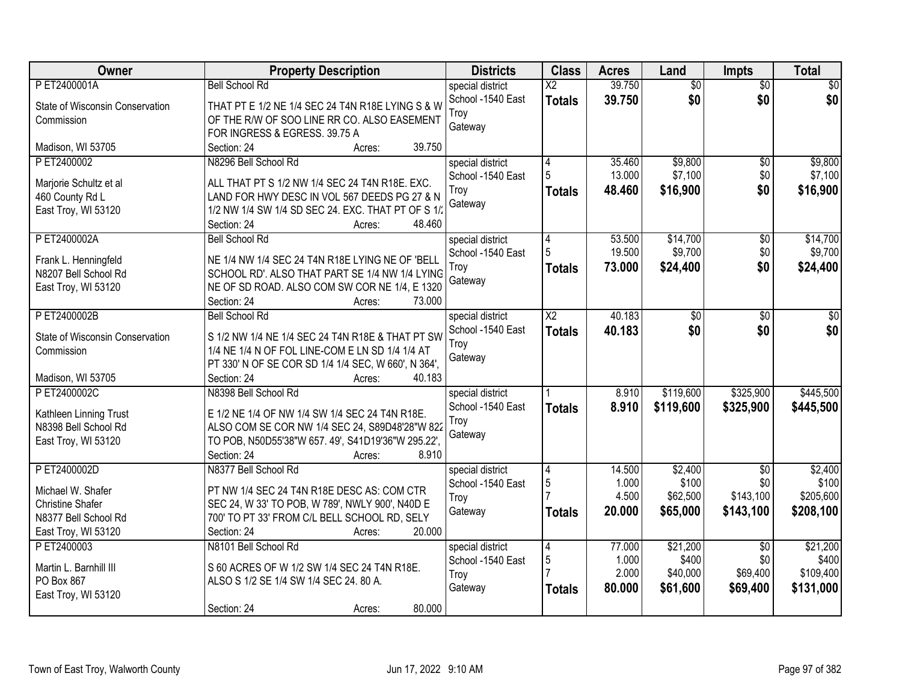| <b>Owner</b>                    | <b>Property Description</b>                                            | <b>Districts</b>  | <b>Class</b>             | <b>Acres</b> | Land            | Impts           | <b>Total</b> |
|---------------------------------|------------------------------------------------------------------------|-------------------|--------------------------|--------------|-----------------|-----------------|--------------|
| P ET2400001A                    | <b>Bell School Rd</b>                                                  | special district  | $\overline{\mathsf{X2}}$ | 39.750       | $\overline{50}$ | $\overline{30}$ | \$0          |
| State of Wisconsin Conservation | THAT PT E 1/2 NE 1/4 SEC 24 T4N R18E LYING S & W                       | School -1540 East | <b>Totals</b>            | 39.750       | \$0             | \$0             | \$0          |
| Commission                      | OF THE R/W OF SOO LINE RR CO. ALSO EASEMENT                            | Trov              |                          |              |                 |                 |              |
|                                 | FOR INGRESS & EGRESS. 39.75 A                                          | Gateway           |                          |              |                 |                 |              |
| Madison, WI 53705               | 39.750<br>Section: 24<br>Acres:                                        |                   |                          |              |                 |                 |              |
| PET2400002                      | N8296 Bell School Rd                                                   | special district  | 4                        | 35.460       | \$9,800         | $\overline{50}$ | \$9,800      |
| Marjorie Schultz et al          | ALL THAT PT S 1/2 NW 1/4 SEC 24 T4N R18E. EXC.                         | School -1540 East | 5                        | 13.000       | \$7,100         | \$0             | \$7,100      |
| 460 County Rd L                 | LAND FOR HWY DESC IN VOL 567 DEEDS PG 27 & N                           | Troy              | <b>Totals</b>            | 48.460       | \$16,900        | \$0             | \$16,900     |
| East Troy, WI 53120             | 1/2 NW 1/4 SW 1/4 SD SEC 24. EXC. THAT PT OF S 1/2                     | Gateway           |                          |              |                 |                 |              |
|                                 | 48.460<br>Section: 24<br>Acres:                                        |                   |                          |              |                 |                 |              |
| PET2400002A                     | <b>Bell School Rd</b>                                                  | special district  | $\vert 4 \vert$          | 53.500       | \$14,700        | \$0             | \$14,700     |
|                                 |                                                                        | School -1540 East |                          | 19.500       | \$9,700         | \$0             | \$9,700      |
| Frank L. Henningfeld            | NE 1/4 NW 1/4 SEC 24 T4N R18E LYING NE OF 'BELL                        | Troy              | <b>Totals</b>            | 73.000       | \$24,400        | \$0             | \$24,400     |
| N8207 Bell School Rd            | SCHOOL RD'. ALSO THAT PART SE 1/4 NW 1/4 LYING                         | Gateway           |                          |              |                 |                 |              |
| East Troy, WI 53120             | NE OF SD ROAD. ALSO COM SW COR NE 1/4, E 1320<br>Section: 24<br>73.000 |                   |                          |              |                 |                 |              |
| PET2400002B                     | Acres:<br><b>Bell School Rd</b>                                        | special district  | $\overline{\text{X2}}$   | 40.183       | \$0             | \$0             | \$0          |
|                                 |                                                                        | School -1540 East |                          | 40.183       | \$0             | \$0             | \$0          |
| State of Wisconsin Conservation | S 1/2 NW 1/4 NE 1/4 SEC 24 T4N R18E & THAT PT SW                       | Troy              | <b>Totals</b>            |              |                 |                 |              |
| Commission                      | 1/4 NE 1/4 N OF FOL LINE-COM E LN SD 1/4 1/4 AT                        | Gateway           |                          |              |                 |                 |              |
|                                 | PT 330' N OF SE COR SD 1/4 1/4 SEC, W 660', N 364',                    |                   |                          |              |                 |                 |              |
| Madison, WI 53705               | 40.183<br>Section: 24<br>Acres:                                        |                   |                          |              |                 |                 |              |
| PET2400002C                     | N8398 Bell School Rd                                                   | special district  |                          | 8.910        | \$119,600       | \$325,900       | \$445,500    |
| Kathleen Linning Trust          | E 1/2 NE 1/4 OF NW 1/4 SW 1/4 SEC 24 T4N R18E.                         | School -1540 East | <b>Totals</b>            | 8.910        | \$119,600       | \$325,900       | \$445,500    |
| N8398 Bell School Rd            | ALSO COM SE COR NW 1/4 SEC 24, S89D48'28"W 822                         | Troy              |                          |              |                 |                 |              |
| East Troy, WI 53120             | TO POB, N50D55'38"W 657.49', S41D19'36"W 295.22',                      | Gateway           |                          |              |                 |                 |              |
|                                 | Section: 24<br>8.910<br>Acres:                                         |                   |                          |              |                 |                 |              |
| PET2400002D                     | N8377 Bell School Rd                                                   | special district  | $\overline{4}$           | 14.500       | \$2,400         | $\overline{50}$ | \$2,400      |
| Michael W. Shafer               | PT NW 1/4 SEC 24 T4N R18E DESC AS: COM CTR                             | School -1540 East | 5                        | 1.000        | \$100           | \$0             | \$100        |
| <b>Christine Shafer</b>         | SEC 24, W 33' TO POB, W 789', NWLY 900', N40D E                        | Troy              |                          | 4.500        | \$62,500        | \$143,100       | \$205,600    |
| N8377 Bell School Rd            | 700' TO PT 33' FROM C/L BELL SCHOOL RD, SELY                           | Gateway           | <b>Totals</b>            | 20.000       | \$65,000        | \$143,100       | \$208,100    |
| East Troy, WI 53120             | 20.000<br>Section: 24<br>Acres:                                        |                   |                          |              |                 |                 |              |
| PET2400003                      | N8101 Bell School Rd                                                   | special district  | 14                       | 77.000       | \$21,200        | $\overline{50}$ | \$21,200     |
| Martin L. Barnhill III          | S 60 ACRES OF W 1/2 SW 1/4 SEC 24 T4N R18E.                            | School -1540 East | 5                        | 1.000        | \$400           | \$0             | \$400        |
| PO Box 867                      | ALSO S 1/2 SE 1/4 SW 1/4 SEC 24.80 A.                                  | Troy              |                          | 2.000        | \$40,000        | \$69,400        | \$109,400    |
| East Troy, WI 53120             |                                                                        | Gateway           | <b>Totals</b>            | 80.000       | \$61,600        | \$69,400        | \$131,000    |
|                                 | 80.000<br>Section: 24<br>Acres:                                        |                   |                          |              |                 |                 |              |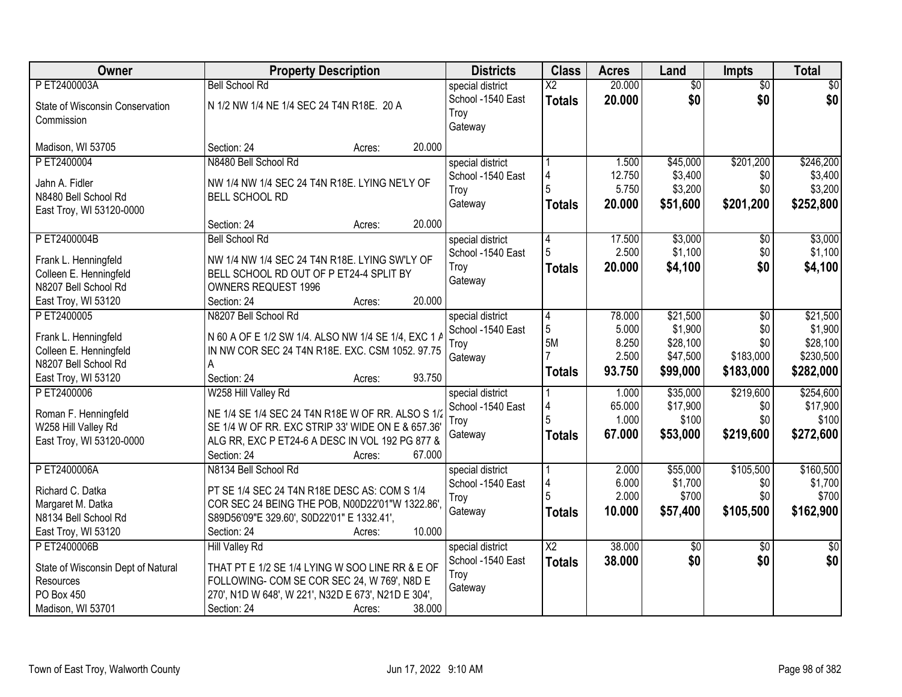| Owner                                          | <b>Property Description</b>                          | <b>Districts</b>  | <b>Class</b>           | <b>Acres</b>   | Land             | <b>Impts</b>    | <b>Total</b>     |
|------------------------------------------------|------------------------------------------------------|-------------------|------------------------|----------------|------------------|-----------------|------------------|
| PET2400003A                                    | <b>Bell School Rd</b>                                | special district  | $\overline{\text{X2}}$ | 20.000         | $\overline{60}$  | $\overline{50}$ | \$0              |
| State of Wisconsin Conservation                | N 1/2 NW 1/4 NE 1/4 SEC 24 T4N R18E. 20 A            | School -1540 East | <b>Totals</b>          | 20.000         | \$0              | \$0             | \$0              |
| Commission                                     |                                                      | Troy              |                        |                |                  |                 |                  |
|                                                |                                                      | Gateway           |                        |                |                  |                 |                  |
| Madison, WI 53705                              | 20.000<br>Section: 24<br>Acres:                      |                   |                        |                |                  |                 |                  |
| PET2400004                                     | N8480 Bell School Rd                                 | special district  |                        | 1.500          | \$45,000         | \$201,200       | \$246,200        |
| Jahn A. Fidler                                 | NW 1/4 NW 1/4 SEC 24 T4N R18E. LYING NE'LY OF        | School -1540 East | 4                      | 12.750         | \$3,400          | \$0             | \$3,400          |
| N8480 Bell School Rd                           | <b>BELL SCHOOL RD</b>                                | Troy              | 5                      | 5.750          | \$3,200          | \$0             | \$3,200          |
| East Troy, WI 53120-0000                       |                                                      | Gateway           | <b>Totals</b>          | 20.000         | \$51,600         | \$201,200       | \$252,800        |
|                                                | 20.000<br>Section: 24<br>Acres:                      |                   |                        |                |                  |                 |                  |
| PET2400004B                                    | <b>Bell School Rd</b>                                | special district  | 4                      | 17.500         | \$3,000          | \$0             | \$3,000          |
| Frank L. Henningfeld                           | NW 1/4 NW 1/4 SEC 24 T4N R18E. LYING SW'LY OF        | School -1540 East |                        | 2.500          | \$1,100          | \$0             | \$1,100          |
| Colleen E. Henningfeld                         | BELL SCHOOL RD OUT OF P ET24-4 SPLIT BY              | Troy              | <b>Totals</b>          | 20,000         | \$4,100          | \$0             | \$4,100          |
| N8207 Bell School Rd                           | <b>OWNERS REQUEST 1996</b>                           | Gateway           |                        |                |                  |                 |                  |
| East Troy, WI 53120                            | 20.000<br>Section: 24<br>Acres:                      |                   |                        |                |                  |                 |                  |
| PET2400005                                     | N8207 Bell School Rd                                 | special district  | $\overline{4}$         | 78.000         | \$21,500         | \$0             | \$21,500         |
|                                                |                                                      | School -1540 East | 5                      | 5.000          | \$1,900          | \$0             | \$1,900          |
| Frank L. Henningfeld                           | N 60 A OF E 1/2 SW 1/4. ALSO NW 1/4 SE 1/4, EXC 1 A  | Troy              | 5M                     | 8.250          | \$28,100         | \$0             | \$28,100         |
| Colleen E. Henningfeld<br>N8207 Bell School Rd | IN NW COR SEC 24 T4N R18E. EXC. CSM 1052. 97.75<br>A | Gateway           |                        | 2.500          | \$47,500         | \$183,000       | \$230,500        |
| East Troy, WI 53120                            | 93.750<br>Section: 24<br>Acres:                      |                   | <b>Totals</b>          | 93.750         | \$99,000         | \$183,000       | \$282,000        |
| P ET2400006                                    | W258 Hill Valley Rd                                  | special district  |                        | 1.000          | \$35,000         | \$219,600       | \$254,600        |
|                                                |                                                      | School -1540 East | 4                      | 65.000         | \$17,900         | \$0             | \$17,900         |
| Roman F. Henningfeld                           | NE 1/4 SE 1/4 SEC 24 T4N R18E W OF RR. ALSO S 1/2    | Troy              | 5                      | 1.000          | \$100            | \$0             | \$100            |
| W258 Hill Valley Rd                            | SE 1/4 W OF RR. EXC STRIP 33' WIDE ON E & 657.36'    | Gateway           | <b>Totals</b>          | 67.000         | \$53,000         | \$219,600       | \$272,600        |
| East Troy, WI 53120-0000                       | ALG RR, EXC P ET24-6 A DESC IN VOL 192 PG 877 &      |                   |                        |                |                  |                 |                  |
|                                                | 67.000<br>Section: 24<br>Acres:                      |                   |                        |                |                  |                 |                  |
| P ET2400006A                                   | N8134 Bell School Rd                                 | special district  |                        | 2.000          | \$55,000         | \$105,500       | \$160,500        |
| Richard C. Datka                               | PT SE 1/4 SEC 24 T4N R18E DESC AS: COM S 1/4         | School -1540 East | 5                      | 6.000<br>2.000 | \$1,700<br>\$700 | \$0<br>\$0      | \$1,700<br>\$700 |
| Margaret M. Datka                              | COR SEC 24 BEING THE POB, N00D22'01"W 1322.86'.      | Troy              |                        | 10.000         | \$57,400         | \$105,500       | \$162,900        |
| N8134 Bell School Rd                           | S89D56'09"E 329.60', S0D22'01" E 1332.41',           | Gateway           | <b>Totals</b>          |                |                  |                 |                  |
| East Troy, WI 53120                            | 10.000<br>Section: 24<br>Acres:                      |                   |                        |                |                  |                 |                  |
| P ET2400006B                                   | <b>Hill Valley Rd</b>                                | special district  | X <sub>2</sub>         | 38.000         | $\overline{50}$  | $\overline{60}$ | $\overline{30}$  |
| State of Wisconsin Dept of Natural             | THAT PT E 1/2 SE 1/4 LYING W SOO LINE RR & E OF      | School -1540 East | <b>Totals</b>          | 38.000         | \$0              | \$0             | \$0              |
| Resources                                      | FOLLOWING- COM SE COR SEC 24, W 769', N8D E          | Troy              |                        |                |                  |                 |                  |
| PO Box 450                                     | 270', N1D W 648', W 221', N32D E 673', N21D E 304',  | Gateway           |                        |                |                  |                 |                  |
| Madison, WI 53701                              | 38.000<br>Section: 24<br>Acres:                      |                   |                        |                |                  |                 |                  |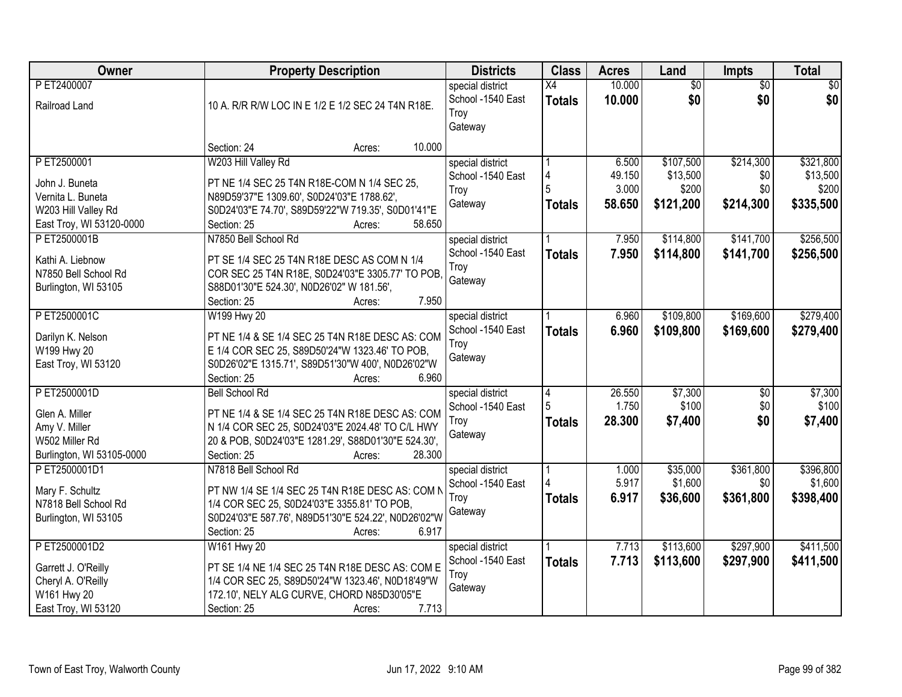| Owner                                                                                                | <b>Property Description</b>                                                                                                                                                                                            | <b>Districts</b>                                         | <b>Class</b>            | <b>Acres</b>                       | Land                                        | <b>Impts</b>                         | <b>Total</b>                                |
|------------------------------------------------------------------------------------------------------|------------------------------------------------------------------------------------------------------------------------------------------------------------------------------------------------------------------------|----------------------------------------------------------|-------------------------|------------------------------------|---------------------------------------------|--------------------------------------|---------------------------------------------|
| P ET2400007<br>Railroad Land                                                                         | 10 A. R/R R/W LOC IN E 1/2 E 1/2 SEC 24 T4N R18E.                                                                                                                                                                      | special district<br>School -1540 East<br>Troy<br>Gateway | X4<br><b>Totals</b>     | 10.000<br>10.000                   | $\overline{50}$<br>\$0                      | $\overline{50}$<br>\$0               | $\overline{30}$<br>\$0                      |
|                                                                                                      | 10.000<br>Section: 24<br>Acres:                                                                                                                                                                                        |                                                          |                         |                                    |                                             |                                      |                                             |
| PET2500001<br>John J. Buneta<br>Vernita L. Buneta<br>W203 Hill Valley Rd<br>East Troy, WI 53120-0000 | W203 Hill Valley Rd<br>PT NE 1/4 SEC 25 T4N R18E-COM N 1/4 SEC 25,<br>N89D59'37"E 1309.60', S0D24'03"E 1788.62',<br>S0D24'03"E 74.70', S89D59'22"W 719.35', S0D01'41"E<br>58.650<br>Section: 25<br>Acres:              | special district<br>School -1540 East<br>Troy<br>Gateway | <b>Totals</b>           | 6.500<br>49.150<br>3.000<br>58.650 | \$107,500<br>\$13,500<br>\$200<br>\$121,200 | \$214,300<br>\$0<br>\$0<br>\$214,300 | \$321,800<br>\$13,500<br>\$200<br>\$335,500 |
| PET2500001B<br>Kathi A. Liebnow<br>N7850 Bell School Rd<br>Burlington, WI 53105                      | N7850 Bell School Rd<br>PT SE 1/4 SEC 25 T4N R18E DESC AS COM N 1/4<br>COR SEC 25 T4N R18E, S0D24'03"E 3305.77' TO POB,<br>S88D01'30"E 524.30', N0D26'02" W 181.56',<br>7.950<br>Section: 25<br>Acres:                 | special district<br>School -1540 East<br>Troy<br>Gateway | <b>Totals</b>           | 7.950<br>7.950                     | \$114,800<br>\$114,800                      | \$141,700<br>\$141,700               | \$256,500<br>\$256,500                      |
| PET2500001C<br>Darilyn K. Nelson<br>W199 Hwy 20<br>East Troy, WI 53120                               | W199 Hwy 20<br>PT NE 1/4 & SE 1/4 SEC 25 T4N R18E DESC AS: COM<br>E 1/4 COR SEC 25, S89D50'24"W 1323.46' TO POB,<br>S0D26'02"E 1315.71', S89D51'30"W 400', N0D26'02"W<br>Section: 25<br>6.960<br>Acres:                | special district<br>School -1540 East<br>Troy<br>Gateway | <b>Totals</b>           | 6.960<br>6.960                     | \$109,800<br>\$109,800                      | \$169,600<br>\$169,600               | \$279,400<br>\$279,400                      |
| PET2500001D<br>Glen A. Miller<br>Amy V. Miller<br>W502 Miller Rd<br>Burlington, WI 53105-0000        | <b>Bell School Rd</b><br>PT NE 1/4 & SE 1/4 SEC 25 T4N R18E DESC AS: COM<br>N 1/4 COR SEC 25, S0D24'03"E 2024.48' TO C/L HWY<br>20 & POB, S0D24'03"E 1281.29', S88D01'30"E 524.30',<br>28.300<br>Section: 25<br>Acres: | special district<br>School -1540 East<br>Troy<br>Gateway | 4<br>5<br><b>Totals</b> | 26.550<br>1.750<br>28.300          | \$7,300<br>\$100<br>\$7,400                 | \$0<br>\$0<br>\$0                    | \$7,300<br>\$100<br>\$7,400                 |
| PET2500001D1<br>Mary F. Schultz<br>N7818 Bell School Rd<br>Burlington, WI 53105                      | N7818 Bell School Rd<br>PT NW 1/4 SE 1/4 SEC 25 T4N R18E DESC AS: COM N<br>1/4 COR SEC 25, S0D24'03"E 3355.81' TO POB,<br>S0D24'03"E 587.76', N89D51'30"E 524.22', N0D26'02"W<br>Section: 25<br>6.917<br>Acres:        | special district<br>School -1540 East<br>Troy<br>Gateway | <b>Totals</b>           | 1.000<br>5.917<br>6.917            | \$35,000<br>\$1,600<br>\$36,600             | \$361,800<br>\$0<br>\$361,800        | \$396,800<br>\$1,600<br>\$398,400           |
| PET2500001D2<br>Garrett J. O'Reilly<br>Cheryl A. O'Reilly<br>W161 Hwy 20<br>East Troy, WI 53120      | W161 Hwy 20<br>PT SE 1/4 NE 1/4 SEC 25 T4N R18E DESC AS: COM E<br>1/4 COR SEC 25, S89D50'24"W 1323.46', N0D18'49"W<br>172.10', NELY ALG CURVE, CHORD N85D30'05"E<br>7.713<br>Section: 25<br>Acres:                     | special district<br>School -1540 East<br>Troy<br>Gateway | <b>Totals</b>           | 7.713<br>7.713                     | \$113,600<br>\$113,600                      | \$297,900<br>\$297,900               | \$411,500<br>\$411,500                      |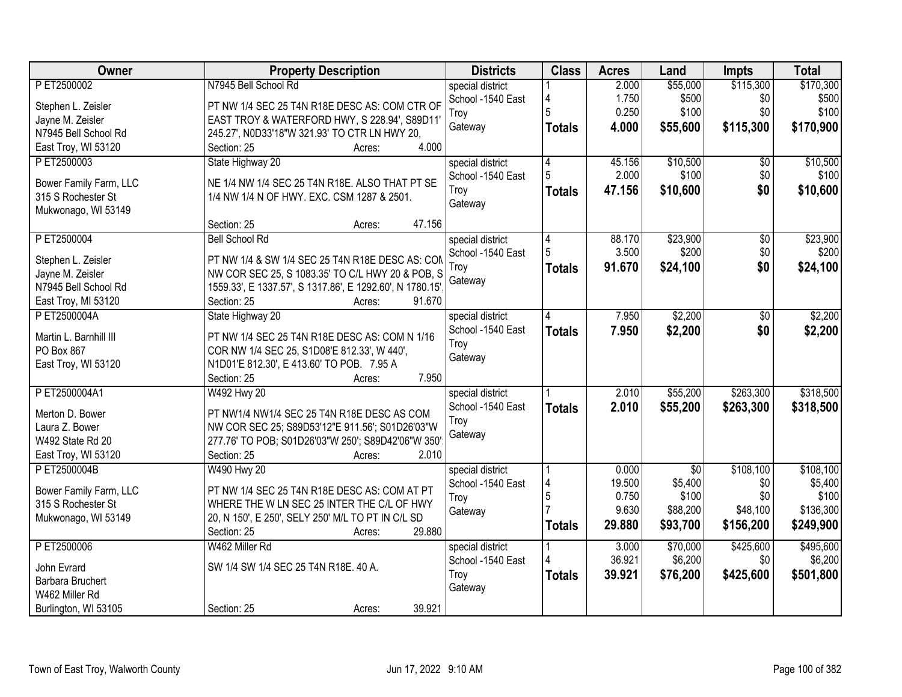| Owner                                    | <b>Property Description</b>                                                                         | <b>Districts</b>  | <b>Class</b>   | <b>Acres</b> | Land        | <b>Impts</b> | <b>Total</b> |
|------------------------------------------|-----------------------------------------------------------------------------------------------------|-------------------|----------------|--------------|-------------|--------------|--------------|
| PET2500002                               | N7945 Bell School Rd                                                                                | special district  |                | 2.000        | \$55,000    | \$115,300    | \$170,300    |
| Stephen L. Zeisler                       | PT NW 1/4 SEC 25 T4N R18E DESC AS: COM CTR OF                                                       | School -1540 East |                | 1.750        | \$500       | \$0          | \$500        |
| Jayne M. Zeisler                         | EAST TROY & WATERFORD HWY, S 228.94', S89D11'                                                       | Troy              | 5              | 0.250        | \$100       | \$0          | \$100        |
| N7945 Bell School Rd                     | 245.27', N0D33'18"W 321.93' TO CTR LN HWY 20,                                                       | Gateway           | <b>Totals</b>  | 4.000        | \$55,600    | \$115,300    | \$170,900    |
| East Troy, WI 53120                      | 4.000<br>Section: 25<br>Acres:                                                                      |                   |                |              |             |              |              |
| PET2500003                               | State Highway 20                                                                                    | special district  | $\overline{4}$ | 45.156       | \$10,500    | \$0          | \$10,500     |
|                                          |                                                                                                     | School -1540 East | 5              | 2.000        | \$100       | \$0          | \$100        |
| Bower Family Farm, LLC                   | NE 1/4 NW 1/4 SEC 25 T4N R18E. ALSO THAT PT SE                                                      | Troy              |                | 47.156       | \$10,600    | \$0          | \$10,600     |
| 315 S Rochester St                       | 1/4 NW 1/4 N OF HWY. EXC. CSM 1287 & 2501.                                                          | Gateway           | <b>Totals</b>  |              |             |              |              |
| Mukwonago, WI 53149                      |                                                                                                     |                   |                |              |             |              |              |
|                                          | 47.156<br>Section: 25<br>Acres:                                                                     |                   |                |              |             |              |              |
| PET2500004                               | <b>Bell School Rd</b>                                                                               | special district  | 4              | 88.170       | \$23,900    | \$0          | \$23,900     |
|                                          |                                                                                                     | School -1540 East |                | 3.500        | \$200       | \$0          | \$200        |
| Stephen L. Zeisler                       | PT NW 1/4 & SW 1/4 SEC 25 T4N R18E DESC AS: COM<br>NW COR SEC 25, S 1083.35' TO C/L HWY 20 & POB, S | Troy              | <b>Totals</b>  | 91.670       | \$24,100    | \$0          | \$24,100     |
| Jayne M. Zeisler<br>N7945 Bell School Rd |                                                                                                     | Gateway           |                |              |             |              |              |
|                                          | 1559.33', E 1337.57', S 1317.86', E 1292.60', N 1780.15'<br>Section: 25<br>91.670                   |                   |                |              |             |              |              |
| East Troy, MI 53120                      | Acres:                                                                                              |                   |                |              |             |              |              |
| P ET2500004A                             | State Highway 20                                                                                    | special district  | 4              | 7.950        | \$2,200     | \$0          | \$2,200      |
| Martin L. Barnhill III                   | PT NW 1/4 SEC 25 T4N R18E DESC AS: COM N 1/16                                                       | School -1540 East | <b>Totals</b>  | 7.950        | \$2,200     | \$0          | \$2,200      |
| PO Box 867                               | COR NW 1/4 SEC 25, S1D08'E 812.33', W 440',                                                         | Troy              |                |              |             |              |              |
| East Troy, WI 53120                      | N1D01'E 812.30', E 413.60' TO POB. 7.95 A                                                           | Gateway           |                |              |             |              |              |
|                                          | 7.950<br>Section: 25<br>Acres:                                                                      |                   |                |              |             |              |              |
| PET2500004A1                             | W492 Hwy 20                                                                                         | special district  |                | 2.010        | \$55,200    | \$263,300    | \$318,500    |
|                                          |                                                                                                     | School -1540 East | <b>Totals</b>  | 2.010        | \$55,200    | \$263,300    | \$318,500    |
| Merton D. Bower                          | PT NW1/4 NW1/4 SEC 25 T4N R18E DESC AS COM                                                          | Troy              |                |              |             |              |              |
| Laura Z. Bower                           | NW COR SEC 25; S89D53'12"E 911.56'; S01D26'03"W                                                     | Gateway           |                |              |             |              |              |
| W492 State Rd 20                         | 277.76' TO POB; S01D26'03"W 250'; S89D42'06"W 350'                                                  |                   |                |              |             |              |              |
| East Troy, WI 53120                      | Section: 25<br>2.010<br>Acres:                                                                      |                   |                |              |             |              |              |
| PET2500004B                              | W490 Hwy 20                                                                                         | special district  |                | 0.000        | $\sqrt{50}$ | \$108,100    | \$108,100    |
| Bower Family Farm, LLC                   | PT NW 1/4 SEC 25 T4N R18E DESC AS: COM AT PT                                                        | School -1540 East | 4              | 19.500       | \$5,400     | \$0          | \$5,400      |
| 315 S Rochester St                       | WHERE THE W LN SEC 25 INTER THE C/L OF HWY                                                          | Troy              | 5              | 0.750        | \$100       | \$0          | \$100        |
| Mukwonago, WI 53149                      | 20, N 150', E 250', SELY 250' M/L TO PT IN C/L SD                                                   | Gateway           |                | 9.630        | \$88,200    | \$48,100     | \$136,300    |
|                                          | 29.880<br>Section: 25<br>Acres:                                                                     |                   | <b>Totals</b>  | 29.880       | \$93,700    | \$156,200    | \$249,900    |
| PET2500006                               | W462 Miller Rd                                                                                      | special district  |                | 3.000        | \$70,000    | \$425,600    | \$495,600    |
|                                          |                                                                                                     | School -1540 East |                | 36.921       | \$6,200     | \$0          | \$6,200      |
| John Evrard                              | SW 1/4 SW 1/4 SEC 25 T4N R18E. 40 A.                                                                | Troy              | <b>Totals</b>  | 39.921       | \$76,200    | \$425,600    | \$501,800    |
| Barbara Bruchert                         |                                                                                                     | Gateway           |                |              |             |              |              |
| W462 Miller Rd                           |                                                                                                     |                   |                |              |             |              |              |
| Burlington, WI 53105                     | 39.921<br>Section: 25<br>Acres:                                                                     |                   |                |              |             |              |              |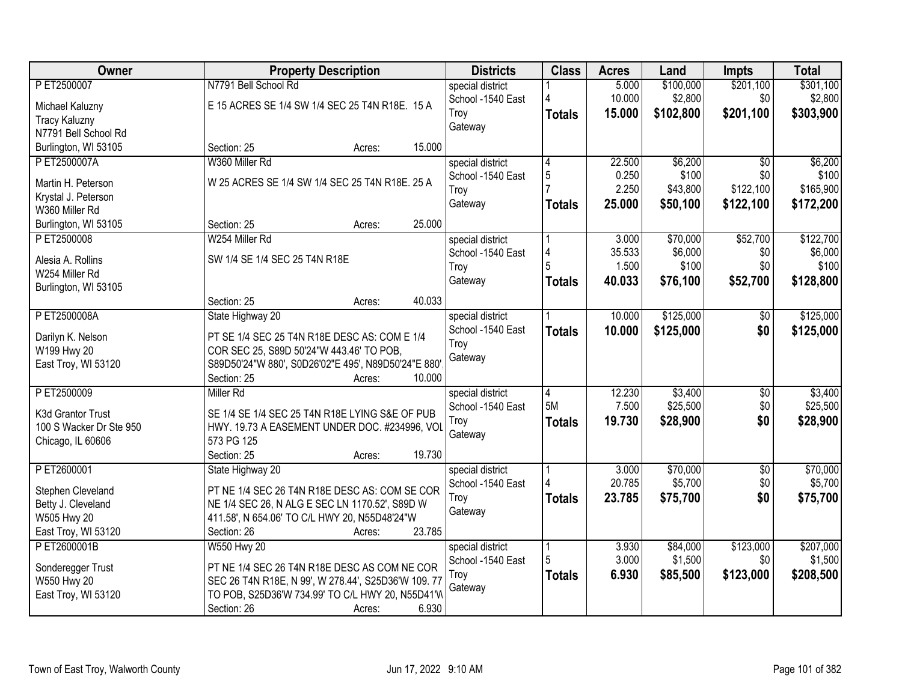| Owner                   | <b>Property Description</b>                                        |        | <b>Districts</b>  | <b>Class</b>         | <b>Acres</b> | Land      | <b>Impts</b>    | <b>Total</b> |
|-------------------------|--------------------------------------------------------------------|--------|-------------------|----------------------|--------------|-----------|-----------------|--------------|
| PET2500007              | N7791 Bell School Rd                                               |        | special district  |                      | 5.000        | \$100,000 | \$201,100       | \$301,100    |
| Michael Kaluzny         | E 15 ACRES SE 1/4 SW 1/4 SEC 25 T4N R18E. 15 A                     |        | School -1540 East |                      | 10.000       | \$2,800   | \$0             | \$2,800      |
| <b>Tracy Kaluzny</b>    |                                                                    |        | Troy              | <b>Totals</b>        | 15.000       | \$102,800 | \$201,100       | \$303,900    |
| N7791 Bell School Rd    |                                                                    |        | Gateway           |                      |              |           |                 |              |
| Burlington, WI 53105    | Section: 25<br>Acres:                                              | 15.000 |                   |                      |              |           |                 |              |
| P ET2500007A            | W360 Miller Rd                                                     |        | special district  | 4                    | 22,500       | \$6,200   | \$0             | \$6,200      |
|                         |                                                                    |        | School -1540 East | 5                    | 0.250        | \$100     | \$0             | \$100        |
| Martin H. Peterson      | W 25 ACRES SE 1/4 SW 1/4 SEC 25 T4N R18E. 25 A                     |        | Troy              |                      | 2.250        | \$43,800  | \$122,100       | \$165,900    |
| Krystal J. Peterson     |                                                                    |        | Gateway           | <b>Totals</b>        | 25.000       | \$50,100  | \$122,100       | \$172,200    |
| W360 Miller Rd          |                                                                    |        |                   |                      |              |           |                 |              |
| Burlington, WI 53105    | Section: 25<br>Acres:                                              | 25.000 |                   |                      |              |           |                 |              |
| PET2500008              | W254 Miller Rd                                                     |        | special district  |                      | 3.000        | \$70,000  | \$52,700        | \$122,700    |
| Alesia A. Rollins       | SW 1/4 SE 1/4 SEC 25 T4N R18E                                      |        | School -1540 East | 4                    | 35.533       | \$6,000   | \$0             | \$6,000      |
| W254 Miller Rd          |                                                                    |        | Troy              | 5                    | 1.500        | \$100     | \$0             | \$100        |
| Burlington, WI 53105    |                                                                    |        | Gateway           | <b>Totals</b>        | 40.033       | \$76,100  | \$52,700        | \$128,800    |
|                         | Section: 25<br>Acres:                                              | 40.033 |                   |                      |              |           |                 |              |
| PET2500008A             | State Highway 20                                                   |        | special district  |                      | 10.000       | \$125,000 | $\sqrt[6]{}$    | \$125,000    |
|                         |                                                                    |        | School -1540 East | <b>Totals</b>        | 10.000       | \$125,000 | \$0             | \$125,000    |
| Darilyn K. Nelson       | PT SE 1/4 SEC 25 T4N R18E DESC AS: COM E 1/4                       |        | Troy              |                      |              |           |                 |              |
| W199 Hwy 20             | COR SEC 25, S89D 50'24"W 443.46' TO POB,                           |        | Gateway           |                      |              |           |                 |              |
| East Troy, WI 53120     | S89D50'24"W 880', S0D26'02"E 495', N89D50'24"E 880'<br>Section: 25 | 10.000 |                   |                      |              |           |                 |              |
| P ET2500009             | Acres:<br><b>Miller Rd</b>                                         |        |                   |                      | 12.230       | \$3,400   |                 | \$3,400      |
|                         |                                                                    |        | special district  | $\overline{4}$<br>5M | 7.500        |           | $\overline{50}$ |              |
| K3d Grantor Trust       | SE 1/4 SE 1/4 SEC 25 T4N R18E LYING S&E OF PUB                     |        | School -1540 East |                      |              | \$25,500  | \$0             | \$25,500     |
| 100 S Wacker Dr Ste 950 | HWY. 19.73 A EASEMENT UNDER DOC. #234996, VOL                      |        | Troy              | <b>Totals</b>        | 19.730       | \$28,900  | \$0             | \$28,900     |
| Chicago, IL 60606       | 573 PG 125                                                         |        | Gateway           |                      |              |           |                 |              |
|                         | Section: 25<br>Acres:                                              | 19.730 |                   |                      |              |           |                 |              |
| PET2600001              | State Highway 20                                                   |        | special district  |                      | 3.000        | \$70,000  | $\overline{50}$ | \$70,000     |
| Stephen Cleveland       | PT NE 1/4 SEC 26 T4N R18E DESC AS: COM SE COR                      |        | School -1540 East |                      | 20.785       | \$5,700   | \$0             | \$5,700      |
| Betty J. Cleveland      | NE 1/4 SEC 26, N ALG E SEC LN 1170.52', S89D W                     |        | Troy              | <b>Totals</b>        | 23.785       | \$75,700  | \$0             | \$75,700     |
| W505 Hwy 20             | 411.58', N 654.06' TO C/L HWY 20, N55D48'24"W                      |        | Gateway           |                      |              |           |                 |              |
| East Troy, WI 53120     | Section: 26<br>Acres:                                              | 23.785 |                   |                      |              |           |                 |              |
| PET2600001B             | W550 Hwy 20                                                        |        | special district  |                      | 3.930        | \$84,000  | \$123,000       | \$207,000    |
|                         |                                                                    |        | School -1540 East | 5                    | 3.000        | \$1,500   | \$0             | \$1,500      |
| Sonderegger Trust       | PT NE 1/4 SEC 26 T4N R18E DESC AS COM NE COR                       |        | Troy              | <b>Totals</b>        | 6.930        | \$85,500  | \$123,000       | \$208,500    |
| W550 Hwy 20             | SEC 26 T4N R18E, N 99', W 278.44', S25D36'W 109.77                 |        | Gateway           |                      |              |           |                 |              |
| East Troy, WI 53120     | TO POB, S25D36'W 734.99' TO C/L HWY 20, N55D41'W                   |        |                   |                      |              |           |                 |              |
|                         | Section: 26<br>Acres:                                              | 6.930  |                   |                      |              |           |                 |              |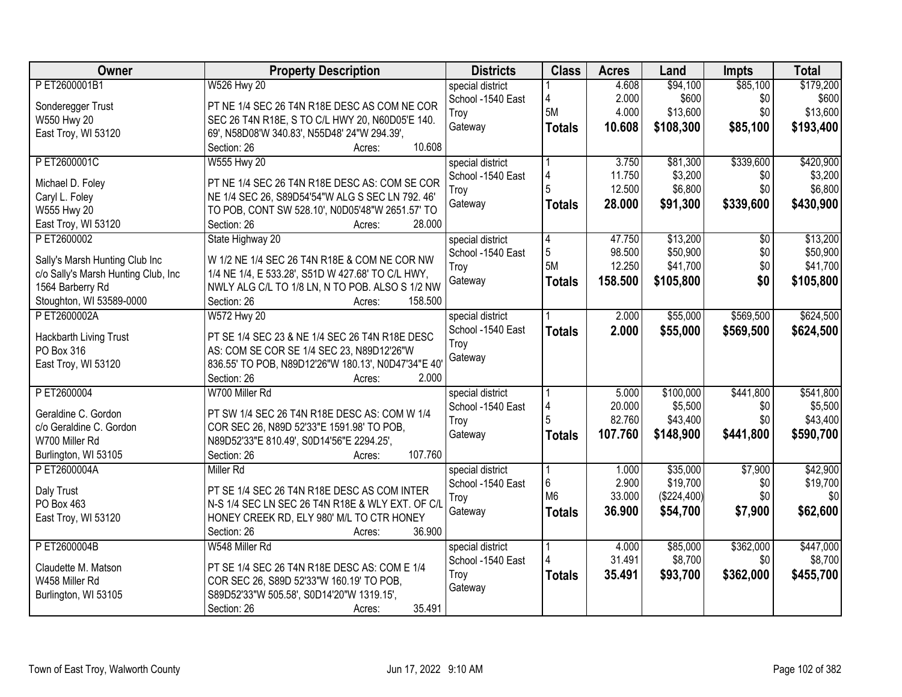| <b>Owner</b>                        | <b>Property Description</b>                                                                         | <b>Districts</b>  | <b>Class</b>         | <b>Acres</b> | Land        | <b>Impts</b> | <b>Total</b> |
|-------------------------------------|-----------------------------------------------------------------------------------------------------|-------------------|----------------------|--------------|-------------|--------------|--------------|
| PET2600001B1                        | W526 Hwy 20                                                                                         | special district  |                      | 4.608        | \$94,100    | \$85,100     | \$179,200    |
| Sonderegger Trust                   | PT NE 1/4 SEC 26 T4N R18E DESC AS COM NE COR                                                        | School -1540 East | 4                    | 2.000        | \$600       | \$0          | \$600        |
| W550 Hwy 20                         | SEC 26 T4N R18E, S TO C/L HWY 20, N60D05'E 140.                                                     | Troy              | 5M                   | 4.000        | \$13,600    | \$0          | \$13,600     |
| East Troy, WI 53120                 | 69', N58D08'W 340.83', N55D48' 24"W 294.39',                                                        | Gateway           | <b>Totals</b>        | 10.608       | \$108,300   | \$85,100     | \$193,400    |
|                                     | 10.608<br>Section: 26<br>Acres:                                                                     |                   |                      |              |             |              |              |
| PET2600001C                         | W555 Hwy 20                                                                                         | special district  |                      | 3.750        | \$81,300    | \$339,600    | \$420,900    |
|                                     |                                                                                                     | School -1540 East | 4                    | 11.750       | \$3,200     | \$0          | \$3,200      |
| Michael D. Foley                    | PT NE 1/4 SEC 26 T4N R18E DESC AS: COM SE COR                                                       | Troy              | 5                    | 12.500       | \$6,800     | \$0          | \$6,800      |
| Caryl L. Foley<br>W555 Hwy 20       | NE 1/4 SEC 26, S89D54'54"W ALG S SEC LN 792. 46'<br>TO POB, CONT SW 528.10', N0D05'48"W 2651.57' TO | Gateway           | <b>Totals</b>        | 28.000       | \$91,300    | \$339,600    | \$430,900    |
| East Troy, WI 53120                 | 28.000<br>Section: 26<br>Acres:                                                                     |                   |                      |              |             |              |              |
| P ET2600002                         | State Highway 20                                                                                    | special district  |                      | 47.750       | \$13,200    | \$0          | \$13,200     |
|                                     |                                                                                                     | School -1540 East | $\vert 4 \vert$<br>5 | 98.500       | \$50,900    | \$0          | \$50,900     |
| Sally's Marsh Hunting Club Inc      | W 1/2 NE 1/4 SEC 26 T4N R18E & COM NE COR NW                                                        | Troy              | 5M                   | 12.250       | \$41,700    | \$0          | \$41,700     |
| c/o Sally's Marsh Hunting Club, Inc | 1/4 NE 1/4, E 533.28', S51D W 427.68' TO C/L HWY,                                                   | Gateway           |                      | 158.500      |             | \$0          |              |
| 1564 Barberry Rd                    | NWLY ALG C/L TO 1/8 LN, N TO POB. ALSO S 1/2 NW                                                     |                   | <b>Totals</b>        |              | \$105,800   |              | \$105,800    |
| Stoughton, WI 53589-0000            | Section: 26<br>158.500<br>Acres:                                                                    |                   |                      |              |             |              |              |
| P ET2600002A                        | <b>W572 Hwy 20</b>                                                                                  | special district  |                      | 2.000        | \$55,000    | \$569,500    | \$624,500    |
| Hackbarth Living Trust              | PT SE 1/4 SEC 23 & NE 1/4 SEC 26 T4N R18E DESC                                                      | School -1540 East | <b>Totals</b>        | 2.000        | \$55,000    | \$569,500    | \$624,500    |
| PO Box 316                          | AS: COM SE COR SE 1/4 SEC 23, N89D12'26"W                                                           | Troy              |                      |              |             |              |              |
| East Troy, WI 53120                 | 836.55' TO POB, N89D12'26"W 180.13', N0D47'34"E 40'                                                 | Gateway           |                      |              |             |              |              |
|                                     | 2.000<br>Section: 26<br>Acres:                                                                      |                   |                      |              |             |              |              |
| PET2600004                          | W700 Miller Rd                                                                                      | special district  |                      | 5.000        | \$100,000   | \$441,800    | \$541,800    |
|                                     |                                                                                                     | School -1540 East | 4                    | 20.000       | \$5,500     | \$0          | \$5,500      |
| Geraldine C. Gordon                 | PT SW 1/4 SEC 26 T4N R18E DESC AS: COM W 1/4                                                        | Troy              |                      | 82.760       | \$43,400    | \$0          | \$43,400     |
| c/o Geraldine C. Gordon             | COR SEC 26, N89D 52'33"E 1591.98' TO POB,                                                           | Gateway           |                      | 107.760      | \$148,900   | \$441,800    | \$590,700    |
| W700 Miller Rd                      | N89D52'33"E 810.49', S0D14'56"E 2294.25',                                                           |                   | <b>Totals</b>        |              |             |              |              |
| Burlington, WI 53105                | 107.760<br>Section: 26<br>Acres:                                                                    |                   |                      |              |             |              |              |
| P ET2600004A                        | Miller Rd                                                                                           | special district  |                      | 1.000        | \$35,000    | \$7,900      | \$42,900     |
| Daly Trust                          | PT SE 1/4 SEC 26 T4N R18E DESC AS COM INTER                                                         | School -1540 East | 6                    | 2.900        | \$19,700    | \$0          | \$19,700     |
| PO Box 463                          | N-S 1/4 SEC LN SEC 26 T4N R18E & WLY EXT. OF C/L                                                    | Troy              | M <sub>6</sub>       | 33.000       | (\$224,400) | \$0          | \$0          |
| East Troy, WI 53120                 | HONEY CREEK RD, ELY 980' M/L TO CTR HONEY                                                           | Gateway           | <b>Totals</b>        | 36.900       | \$54,700    | \$7,900      | \$62,600     |
|                                     | 36.900<br>Section: 26<br>Acres:                                                                     |                   |                      |              |             |              |              |
| P ET2600004B                        | W548 Miller Rd                                                                                      | special district  |                      | 4.000        | \$85,000    | \$362,000    | \$447,000    |
|                                     |                                                                                                     | School -1540 East |                      | 31.491       | \$8,700     | \$0          | \$8,700      |
| Claudette M. Matson                 | PT SE 1/4 SEC 26 T4N R18E DESC AS: COM E 1/4                                                        | Troy              | <b>Totals</b>        | 35.491       | \$93,700    | \$362,000    | \$455,700    |
| W458 Miller Rd                      | COR SEC 26, S89D 52'33"W 160.19' TO POB,                                                            | Gateway           |                      |              |             |              |              |
| Burlington, WI 53105                | S89D52'33"W 505.58', S0D14'20"W 1319.15',                                                           |                   |                      |              |             |              |              |
|                                     | 35.491<br>Section: 26<br>Acres:                                                                     |                   |                      |              |             |              |              |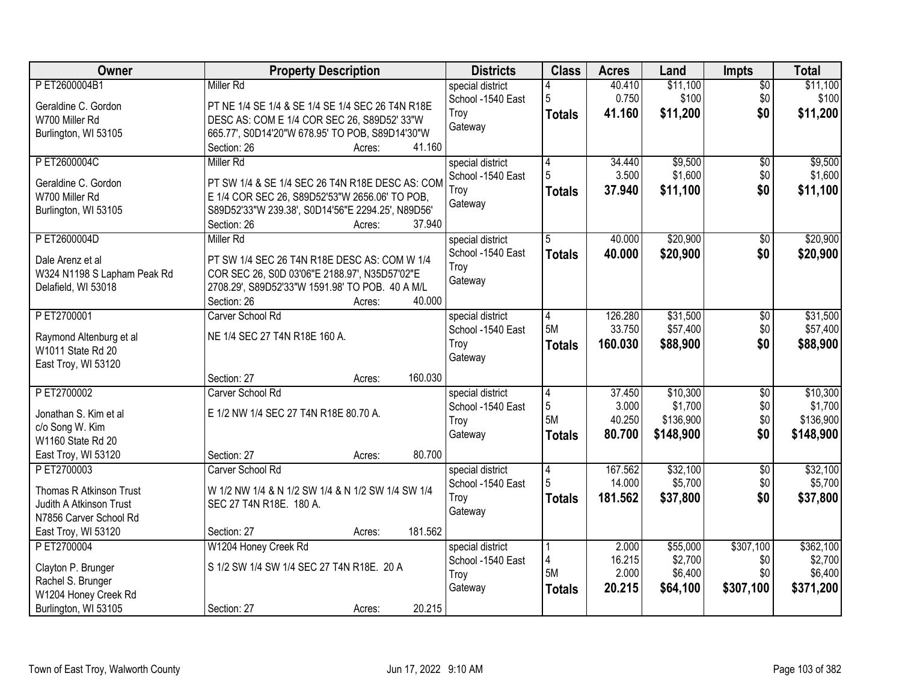| Owner                       | <b>Property Description</b>                       | <b>Districts</b>  | <b>Class</b>   | <b>Acres</b> | Land      | <b>Impts</b>    | <b>Total</b> |
|-----------------------------|---------------------------------------------------|-------------------|----------------|--------------|-----------|-----------------|--------------|
| PET2600004B1                | <b>Miller Rd</b>                                  | special district  |                | 40.410       | \$11,100  | $\overline{50}$ | \$11,100     |
| Geraldine C. Gordon         | PT NE 1/4 SE 1/4 & SE 1/4 SE 1/4 SEC 26 T4N R18E  | School -1540 East | 5              | 0.750        | \$100     | \$0             | \$100        |
| W700 Miller Rd              | DESC AS: COM E 1/4 COR SEC 26, S89D52' 33"W       | Troy              | <b>Totals</b>  | 41.160       | \$11,200  | \$0             | \$11,200     |
| Burlington, WI 53105        | 665.77', S0D14'20"W 678.95' TO POB, S89D14'30"W   | Gateway           |                |              |           |                 |              |
|                             | 41.160<br>Section: 26<br>Acres:                   |                   |                |              |           |                 |              |
| PET2600004C                 | Miller Rd                                         | special district  | 4              | 34.440       | \$9,500   | $\overline{50}$ | \$9,500      |
| Geraldine C. Gordon         | PT SW 1/4 & SE 1/4 SEC 26 T4N R18E DESC AS: COM   | School -1540 East | 5              | 3.500        | \$1,600   | \$0             | \$1,600      |
| W700 Miller Rd              | E 1/4 COR SEC 26, S89D52'53"W 2656.06' TO POB,    | Troy              | <b>Totals</b>  | 37.940       | \$11,100  | \$0             | \$11,100     |
| Burlington, WI 53105        | S89D52'33"W 239.38', S0D14'56"E 2294.25', N89D56' | Gateway           |                |              |           |                 |              |
|                             | Section: 26<br>37.940<br>Acres:                   |                   |                |              |           |                 |              |
| PET2600004D                 | <b>Miller Rd</b>                                  | special district  | 5              | 40.000       | \$20,900  | \$0             | \$20,900     |
| Dale Arenz et al            | PT SW 1/4 SEC 26 T4N R18E DESC AS: COM W 1/4      | School -1540 East | <b>Totals</b>  | 40.000       | \$20,900  | \$0             | \$20,900     |
| W324 N1198 S Lapham Peak Rd | COR SEC 26, S0D 03'06"E 2188.97', N35D57'02"E     | Troy              |                |              |           |                 |              |
| Delafield, WI 53018         | 2708.29', S89D52'33"W 1591.98' TO POB. 40 A M/L   | Gateway           |                |              |           |                 |              |
|                             | 40.000<br>Section: 26<br>Acres:                   |                   |                |              |           |                 |              |
| PET2700001                  | Carver School Rd                                  | special district  | 4              | 126.280      | \$31,500  | \$0             | \$31,500     |
| Raymond Altenburg et al     | NE 1/4 SEC 27 T4N R18E 160 A.                     | School -1540 East | 5M             | 33.750       | \$57,400  | \$0             | \$57,400     |
| W1011 State Rd 20           |                                                   | Troy              | <b>Totals</b>  | 160.030      | \$88,900  | \$0             | \$88,900     |
| East Troy, WI 53120         |                                                   | Gateway           |                |              |           |                 |              |
|                             | 160.030<br>Section: 27<br>Acres:                  |                   |                |              |           |                 |              |
| PET2700002                  | Carver School Rd                                  | special district  | $\overline{4}$ | 37.450       | \$10,300  | $\overline{30}$ | \$10,300     |
| Jonathan S. Kim et al       | E 1/2 NW 1/4 SEC 27 T4N R18E 80.70 A.             | School -1540 East | 5              | 3.000        | \$1,700   | \$0             | \$1,700      |
| c/o Song W. Kim             |                                                   | Troy              | 5M             | 40.250       | \$136,900 | \$0             | \$136,900    |
| W1160 State Rd 20           |                                                   | Gateway           | <b>Totals</b>  | 80.700       | \$148,900 | \$0             | \$148,900    |
| East Troy, WI 53120         | 80.700<br>Section: 27<br>Acres:                   |                   |                |              |           |                 |              |
| PET2700003                  | Carver School Rd                                  | special district  | 4              | 167.562      | \$32,100  | $\sqrt{6}$      | \$32,100     |
| Thomas R Atkinson Trust     | W 1/2 NW 1/4 & N 1/2 SW 1/4 & N 1/2 SW 1/4 SW 1/4 | School -1540 East |                | 14.000       | \$5,700   | \$0             | \$5,700      |
| Judith A Atkinson Trust     | SEC 27 T4N R18E. 180 A.                           | Troy              | <b>Totals</b>  | 181.562      | \$37,800  | \$0             | \$37,800     |
| N7856 Carver School Rd      |                                                   | Gateway           |                |              |           |                 |              |
| East Troy, WI 53120         | 181.562<br>Section: 27<br>Acres:                  |                   |                |              |           |                 |              |
| P ET2700004                 | W1204 Honey Creek Rd                              | special district  |                | 2.000        | \$55,000  | \$307,100       | \$362,100    |
| Clayton P. Brunger          | S 1/2 SW 1/4 SW 1/4 SEC 27 T4N R18E. 20 A         | School -1540 East | 4              | 16.215       | \$2,700   | \$0             | \$2,700      |
| Rachel S. Brunger           |                                                   | Troy              | 5M             | 2.000        | \$6,400   | \$0             | \$6,400      |
| W1204 Honey Creek Rd        |                                                   | Gateway           | <b>Totals</b>  | 20.215       | \$64,100  | \$307,100       | \$371,200    |
| Burlington, WI 53105        | 20.215<br>Section: 27<br>Acres:                   |                   |                |              |           |                 |              |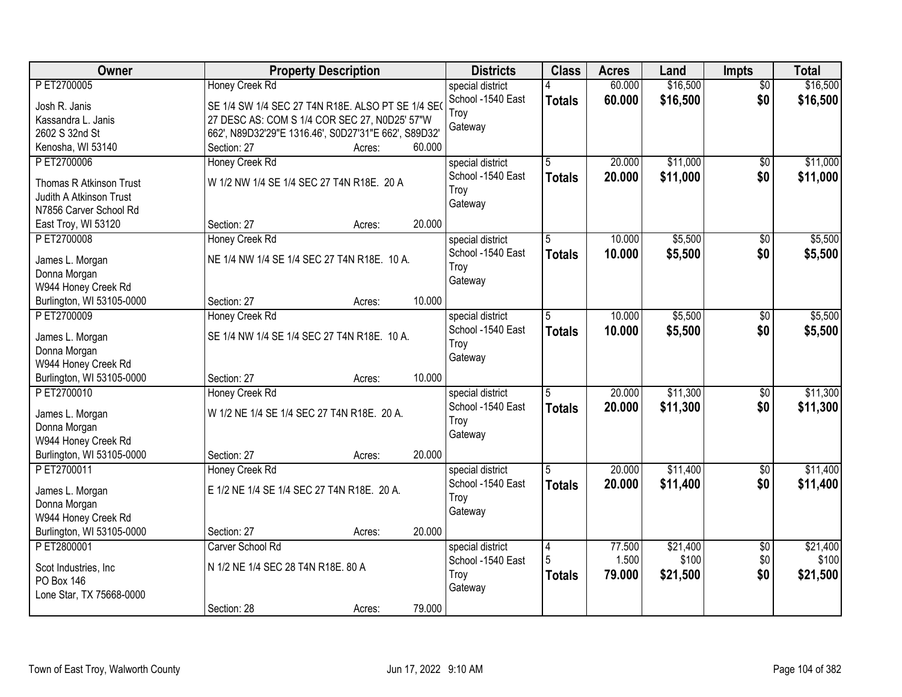| Owner                     | <b>Property Description</b>                          | <b>Districts</b>  | <b>Class</b>  | <b>Acres</b> | Land     | <b>Impts</b>    | <b>Total</b> |
|---------------------------|------------------------------------------------------|-------------------|---------------|--------------|----------|-----------------|--------------|
| P ET2700005               | Honey Creek Rd                                       | special district  |               | 60.000       | \$16,500 | $\overline{50}$ | \$16,500     |
| Josh R. Janis             | SE 1/4 SW 1/4 SEC 27 T4N R18E. ALSO PT SE 1/4 SEO    | School -1540 East | <b>Totals</b> | 60.000       | \$16,500 | \$0             | \$16,500     |
| Kassandra L. Janis        | 27 DESC AS: COM S 1/4 COR SEC 27, N0D25' 57"W        | Troy              |               |              |          |                 |              |
| 2602 S 32nd St            | 662', N89D32'29"E 1316.46', S0D27'31"E 662', S89D32' | Gateway           |               |              |          |                 |              |
| Kenosha, WI 53140         | 60.000<br>Section: 27<br>Acres:                      |                   |               |              |          |                 |              |
| P ET2700006               | Honey Creek Rd                                       | special district  | 5             | 20.000       | \$11,000 | $\overline{50}$ | \$11,000     |
|                           |                                                      | School -1540 East | <b>Totals</b> | 20.000       | \$11,000 | \$0             | \$11,000     |
| Thomas R Atkinson Trust   | W 1/2 NW 1/4 SE 1/4 SEC 27 T4N R18E. 20 A            | Troy              |               |              |          |                 |              |
| Judith A Atkinson Trust   |                                                      | Gateway           |               |              |          |                 |              |
| N7856 Carver School Rd    | 20.000                                               |                   |               |              |          |                 |              |
| East Troy, WI 53120       | Section: 27<br>Acres:                                |                   |               |              |          |                 |              |
| PET2700008                | Honey Creek Rd                                       | special district  | 5             | 10.000       | \$5,500  | \$0             | \$5,500      |
| James L. Morgan           | NE 1/4 NW 1/4 SE 1/4 SEC 27 T4N R18E. 10 A.          | School -1540 East | <b>Totals</b> | 10.000       | \$5,500  | \$0             | \$5,500      |
| Donna Morgan              |                                                      | Troy              |               |              |          |                 |              |
| W944 Honey Creek Rd       |                                                      | Gateway           |               |              |          |                 |              |
| Burlington, WI 53105-0000 | 10.000<br>Section: 27<br>Acres:                      |                   |               |              |          |                 |              |
| PET2700009                | Honey Creek Rd                                       | special district  | 5             | 10.000       | \$5,500  | \$0             | \$5,500      |
| James L. Morgan           | SE 1/4 NW 1/4 SE 1/4 SEC 27 T4N R18E. 10 A.          | School -1540 East | <b>Totals</b> | 10.000       | \$5,500  | \$0             | \$5,500      |
| Donna Morgan              |                                                      | Troy              |               |              |          |                 |              |
| W944 Honey Creek Rd       |                                                      | Gateway           |               |              |          |                 |              |
| Burlington, WI 53105-0000 | 10.000<br>Section: 27<br>Acres:                      |                   |               |              |          |                 |              |
| PET2700010                | Honey Creek Rd                                       | special district  | 5             | 20.000       | \$11,300 | \$0             | \$11,300     |
|                           |                                                      | School -1540 East | <b>Totals</b> | 20,000       | \$11,300 | \$0             | \$11,300     |
| James L. Morgan           | W 1/2 NE 1/4 SE 1/4 SEC 27 T4N R18E. 20 A.           | Troy              |               |              |          |                 |              |
| Donna Morgan              |                                                      | Gateway           |               |              |          |                 |              |
| W944 Honey Creek Rd       |                                                      |                   |               |              |          |                 |              |
| Burlington, WI 53105-0000 | 20.000<br>Section: 27<br>Acres:                      |                   |               |              |          |                 |              |
| PET2700011                | Honey Creek Rd                                       | special district  | 5             | 20.000       | \$11,400 | $\sqrt{$0}$     | \$11,400     |
| James L. Morgan           | E 1/2 NE 1/4 SE 1/4 SEC 27 T4N R18E. 20 A.           | School -1540 East | <b>Totals</b> | 20.000       | \$11,400 | \$0             | \$11,400     |
| Donna Morgan              |                                                      | Troy              |               |              |          |                 |              |
| W944 Honey Creek Rd       |                                                      | Gateway           |               |              |          |                 |              |
| Burlington, WI 53105-0000 | 20.000<br>Section: 27<br>Acres:                      |                   |               |              |          |                 |              |
| PET2800001                | Carver School Rd                                     | special district  | $\vert 4$     | 77.500       | \$21,400 | $\overline{50}$ | \$21,400     |
|                           |                                                      | School -1540 East | 5             | 1.500        | \$100    | \$0             | \$100        |
| Scot Industries, Inc.     | N 1/2 NE 1/4 SEC 28 T4N R18E. 80 A                   | Troy              | <b>Totals</b> | 79.000       | \$21,500 | \$0             | \$21,500     |
| PO Box 146                |                                                      | Gateway           |               |              |          |                 |              |
| Lone Star, TX 75668-0000  | 79.000<br>Section: 28                                |                   |               |              |          |                 |              |
|                           | Acres:                                               |                   |               |              |          |                 |              |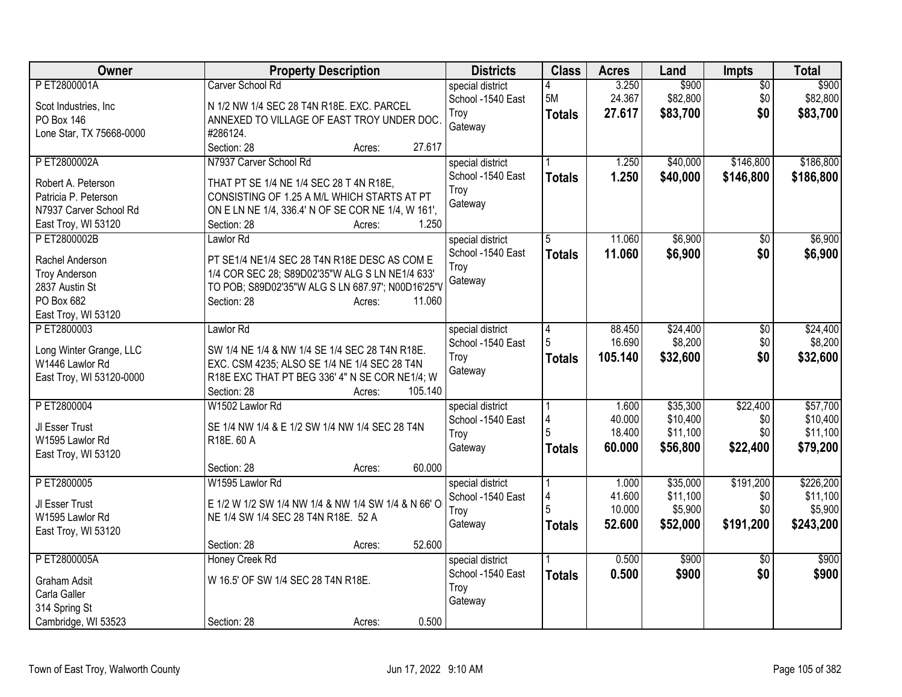| P ET2800001A<br>Carver School Rd<br>3.250<br>$\overline{50}$<br>special district<br>5M<br>24.367<br>\$82,800<br>\$0<br>\$82,800<br>School -1540 East<br>N 1/2 NW 1/4 SEC 28 T4N R18E. EXC. PARCEL<br>Scot Industries, Inc.<br>27.617<br>\$83,700<br>\$0<br>\$83,700<br>Troy<br><b>Totals</b><br>ANNEXED TO VILLAGE OF EAST TROY UNDER DOC.<br>PO Box 146<br>Gateway<br>Lone Star, TX 75668-0000<br>#286124.<br>27.617<br>Section: 28<br>Acres:<br>N7937 Carver School Rd<br>\$40,000<br>\$146,800<br>P ET2800002A<br>1.250<br>special district<br>1.250<br>\$40,000<br>School -1540 East<br>\$146,800<br><b>Totals</b><br>Robert A. Peterson<br>THAT PT SE 1/4 NE 1/4 SEC 28 T 4N R18E,<br>Troy<br>CONSISTING OF 1.25 A M/L WHICH STARTS AT PT<br>Patricia P. Peterson<br>Gateway<br>N7937 Carver School Rd<br>ON E LN NE 1/4, 336.4' N OF SE COR NE 1/4, W 161',<br>1.250<br>East Troy, WI 53120<br>Section: 28<br>Acres:<br>\$6,900<br>PET2800002B<br>Lawlor Rd<br>11.060<br>\$6,900<br>\$0<br>special district<br>5<br>School -1540 East<br>\$6,900<br>\$0<br>11.060<br><b>Totals</b><br>Rachel Anderson<br>PT SE1/4 NE1/4 SEC 28 T4N R18E DESC AS COM E<br>Troy<br>1/4 COR SEC 28; S89D02'35"W ALG S LN NE1/4 633'<br><b>Troy Anderson</b><br>Gateway<br>2837 Austin St<br>TO POB; S89D02'35"W ALG S LN 687.97'; N00D16'25"V<br>PO Box 682<br>Section: 28<br>11.060<br>Acres:<br>East Troy, WI 53120<br>PET2800003<br>\$24,400<br>Lawlor Rd<br>special district<br>88.450<br>\$0<br> 4<br>16.690<br>\$8,200<br>\$0<br>5<br>School -1540 East<br>Long Winter Grange, LLC<br>SW 1/4 NE 1/4 & NW 1/4 SE 1/4 SEC 28 T4N R18E.<br>\$0<br>105.140<br>\$32,600<br>Troy<br><b>Totals</b><br>W1446 Lawlor Rd<br>EXC. CSM 4235; ALSO SE 1/4 NE 1/4 SEC 28 T4N<br>Gateway<br>East Troy, WI 53120-0000<br>R18E EXC THAT PT BEG 336' 4" N SE COR NE1/4; W<br>105.140<br>Section: 28<br>Acres:<br>W1502 Lawlor Rd<br>\$22,400<br>PET2800004<br>\$35,300<br>special district<br>1.600<br>\$10,400<br>School -1540 East<br>40.000<br>\$0<br>4<br>JI Esser Trust<br>SE 1/4 NW 1/4 & E 1/2 SW 1/4 NW 1/4 SEC 28 T4N<br>\$11,100<br>18.400<br>\$0<br>Troy<br>W1595 Lawlor Rd<br>R18E. 60 A<br>60.000<br>\$56,800<br>\$22,400<br>Gateway<br><b>Totals</b><br>East Troy, WI 53120<br>60.000<br>Section: 28<br>Acres:<br>\$191,200<br>P ET2800005<br>W1595 Lawlor Rd<br>\$35,000<br>\$226,200<br>1.000<br>special district<br>41.600<br>\$11,100<br>4<br>\$0<br>School -1540 East<br>E 1/2 W 1/2 SW 1/4 NW 1/4 & NW 1/4 SW 1/4 & N 66' O<br>JI Esser Trust<br>\$5,900<br>\$0<br>10.000<br>Troy<br>W1595 Lawlor Rd<br>NE 1/4 SW 1/4 SEC 28 T4N R18E. 52 A<br>\$191,200<br>52.600<br>\$52,000<br>Gateway<br><b>Totals</b><br>East Troy, WI 53120<br>52.600<br>Section: 28<br>Acres:<br>P ET2800005A<br>Honey Creek Rd<br>0.500<br>\$900<br>special district<br>$\overline{50}$<br>0.500<br>\$900<br>\$0<br>School -1540 East<br><b>Totals</b><br>W 16.5' OF SW 1/4 SEC 28 T4N R18E.<br><b>Graham Adsit</b><br>Troy<br>Carla Galler<br>Gateway<br>314 Spring St | Owner | <b>Property Description</b> | <b>Districts</b> | <b>Class</b> | <b>Acres</b> | Land  | <b>Impts</b> | <b>Total</b> |
|--------------------------------------------------------------------------------------------------------------------------------------------------------------------------------------------------------------------------------------------------------------------------------------------------------------------------------------------------------------------------------------------------------------------------------------------------------------------------------------------------------------------------------------------------------------------------------------------------------------------------------------------------------------------------------------------------------------------------------------------------------------------------------------------------------------------------------------------------------------------------------------------------------------------------------------------------------------------------------------------------------------------------------------------------------------------------------------------------------------------------------------------------------------------------------------------------------------------------------------------------------------------------------------------------------------------------------------------------------------------------------------------------------------------------------------------------------------------------------------------------------------------------------------------------------------------------------------------------------------------------------------------------------------------------------------------------------------------------------------------------------------------------------------------------------------------------------------------------------------------------------------------------------------------------------------------------------------------------------------------------------------------------------------------------------------------------------------------------------------------------------------------------------------------------------------------------------------------------------------------------------------------------------------------------------------------------------------------------------------------------------------------------------------------------------------------------------------------------------------------------------------------------------------------------------------------------------------------------------------------------------------------------------------------------------------------------------------------------------------------------------------------------------------------------------------------------------------------------------------------------------------------------------------------------------------------------------------------------------------------------------------------------------------------|-------|-----------------------------|------------------|--------------|--------------|-------|--------------|--------------|
|                                                                                                                                                                                                                                                                                                                                                                                                                                                                                                                                                                                                                                                                                                                                                                                                                                                                                                                                                                                                                                                                                                                                                                                                                                                                                                                                                                                                                                                                                                                                                                                                                                                                                                                                                                                                                                                                                                                                                                                                                                                                                                                                                                                                                                                                                                                                                                                                                                                                                                                                                                                                                                                                                                                                                                                                                                                                                                                                                                                                                                            |       |                             |                  |              |              | \$900 |              | \$900        |
| \$186,800<br>\$6,900<br>\$79,200<br>\$243,200<br>\$900                                                                                                                                                                                                                                                                                                                                                                                                                                                                                                                                                                                                                                                                                                                                                                                                                                                                                                                                                                                                                                                                                                                                                                                                                                                                                                                                                                                                                                                                                                                                                                                                                                                                                                                                                                                                                                                                                                                                                                                                                                                                                                                                                                                                                                                                                                                                                                                                                                                                                                                                                                                                                                                                                                                                                                                                                                                                                                                                                                                     |       |                             |                  |              |              |       |              |              |
|                                                                                                                                                                                                                                                                                                                                                                                                                                                                                                                                                                                                                                                                                                                                                                                                                                                                                                                                                                                                                                                                                                                                                                                                                                                                                                                                                                                                                                                                                                                                                                                                                                                                                                                                                                                                                                                                                                                                                                                                                                                                                                                                                                                                                                                                                                                                                                                                                                                                                                                                                                                                                                                                                                                                                                                                                                                                                                                                                                                                                                            |       |                             |                  |              |              |       |              |              |
|                                                                                                                                                                                                                                                                                                                                                                                                                                                                                                                                                                                                                                                                                                                                                                                                                                                                                                                                                                                                                                                                                                                                                                                                                                                                                                                                                                                                                                                                                                                                                                                                                                                                                                                                                                                                                                                                                                                                                                                                                                                                                                                                                                                                                                                                                                                                                                                                                                                                                                                                                                                                                                                                                                                                                                                                                                                                                                                                                                                                                                            |       |                             |                  |              |              |       |              |              |
|                                                                                                                                                                                                                                                                                                                                                                                                                                                                                                                                                                                                                                                                                                                                                                                                                                                                                                                                                                                                                                                                                                                                                                                                                                                                                                                                                                                                                                                                                                                                                                                                                                                                                                                                                                                                                                                                                                                                                                                                                                                                                                                                                                                                                                                                                                                                                                                                                                                                                                                                                                                                                                                                                                                                                                                                                                                                                                                                                                                                                                            |       |                             |                  |              |              |       |              |              |
| \$186,800<br>\$24,400<br>\$8,200<br>\$32,600<br>\$57,700<br>\$10,400<br>\$11,100<br>\$11,100<br>\$5,900<br>\$900                                                                                                                                                                                                                                                                                                                                                                                                                                                                                                                                                                                                                                                                                                                                                                                                                                                                                                                                                                                                                                                                                                                                                                                                                                                                                                                                                                                                                                                                                                                                                                                                                                                                                                                                                                                                                                                                                                                                                                                                                                                                                                                                                                                                                                                                                                                                                                                                                                                                                                                                                                                                                                                                                                                                                                                                                                                                                                                           |       |                             |                  |              |              |       |              |              |
|                                                                                                                                                                                                                                                                                                                                                                                                                                                                                                                                                                                                                                                                                                                                                                                                                                                                                                                                                                                                                                                                                                                                                                                                                                                                                                                                                                                                                                                                                                                                                                                                                                                                                                                                                                                                                                                                                                                                                                                                                                                                                                                                                                                                                                                                                                                                                                                                                                                                                                                                                                                                                                                                                                                                                                                                                                                                                                                                                                                                                                            |       |                             |                  |              |              |       |              |              |
|                                                                                                                                                                                                                                                                                                                                                                                                                                                                                                                                                                                                                                                                                                                                                                                                                                                                                                                                                                                                                                                                                                                                                                                                                                                                                                                                                                                                                                                                                                                                                                                                                                                                                                                                                                                                                                                                                                                                                                                                                                                                                                                                                                                                                                                                                                                                                                                                                                                                                                                                                                                                                                                                                                                                                                                                                                                                                                                                                                                                                                            |       |                             |                  |              |              |       |              |              |
|                                                                                                                                                                                                                                                                                                                                                                                                                                                                                                                                                                                                                                                                                                                                                                                                                                                                                                                                                                                                                                                                                                                                                                                                                                                                                                                                                                                                                                                                                                                                                                                                                                                                                                                                                                                                                                                                                                                                                                                                                                                                                                                                                                                                                                                                                                                                                                                                                                                                                                                                                                                                                                                                                                                                                                                                                                                                                                                                                                                                                                            |       |                             |                  |              |              |       |              |              |
|                                                                                                                                                                                                                                                                                                                                                                                                                                                                                                                                                                                                                                                                                                                                                                                                                                                                                                                                                                                                                                                                                                                                                                                                                                                                                                                                                                                                                                                                                                                                                                                                                                                                                                                                                                                                                                                                                                                                                                                                                                                                                                                                                                                                                                                                                                                                                                                                                                                                                                                                                                                                                                                                                                                                                                                                                                                                                                                                                                                                                                            |       |                             |                  |              |              |       |              |              |
|                                                                                                                                                                                                                                                                                                                                                                                                                                                                                                                                                                                                                                                                                                                                                                                                                                                                                                                                                                                                                                                                                                                                                                                                                                                                                                                                                                                                                                                                                                                                                                                                                                                                                                                                                                                                                                                                                                                                                                                                                                                                                                                                                                                                                                                                                                                                                                                                                                                                                                                                                                                                                                                                                                                                                                                                                                                                                                                                                                                                                                            |       |                             |                  |              |              |       |              |              |
|                                                                                                                                                                                                                                                                                                                                                                                                                                                                                                                                                                                                                                                                                                                                                                                                                                                                                                                                                                                                                                                                                                                                                                                                                                                                                                                                                                                                                                                                                                                                                                                                                                                                                                                                                                                                                                                                                                                                                                                                                                                                                                                                                                                                                                                                                                                                                                                                                                                                                                                                                                                                                                                                                                                                                                                                                                                                                                                                                                                                                                            |       |                             |                  |              |              |       |              |              |
|                                                                                                                                                                                                                                                                                                                                                                                                                                                                                                                                                                                                                                                                                                                                                                                                                                                                                                                                                                                                                                                                                                                                                                                                                                                                                                                                                                                                                                                                                                                                                                                                                                                                                                                                                                                                                                                                                                                                                                                                                                                                                                                                                                                                                                                                                                                                                                                                                                                                                                                                                                                                                                                                                                                                                                                                                                                                                                                                                                                                                                            |       |                             |                  |              |              |       |              |              |
|                                                                                                                                                                                                                                                                                                                                                                                                                                                                                                                                                                                                                                                                                                                                                                                                                                                                                                                                                                                                                                                                                                                                                                                                                                                                                                                                                                                                                                                                                                                                                                                                                                                                                                                                                                                                                                                                                                                                                                                                                                                                                                                                                                                                                                                                                                                                                                                                                                                                                                                                                                                                                                                                                                                                                                                                                                                                                                                                                                                                                                            |       |                             |                  |              |              |       |              |              |
|                                                                                                                                                                                                                                                                                                                                                                                                                                                                                                                                                                                                                                                                                                                                                                                                                                                                                                                                                                                                                                                                                                                                                                                                                                                                                                                                                                                                                                                                                                                                                                                                                                                                                                                                                                                                                                                                                                                                                                                                                                                                                                                                                                                                                                                                                                                                                                                                                                                                                                                                                                                                                                                                                                                                                                                                                                                                                                                                                                                                                                            |       |                             |                  |              |              |       |              |              |
|                                                                                                                                                                                                                                                                                                                                                                                                                                                                                                                                                                                                                                                                                                                                                                                                                                                                                                                                                                                                                                                                                                                                                                                                                                                                                                                                                                                                                                                                                                                                                                                                                                                                                                                                                                                                                                                                                                                                                                                                                                                                                                                                                                                                                                                                                                                                                                                                                                                                                                                                                                                                                                                                                                                                                                                                                                                                                                                                                                                                                                            |       |                             |                  |              |              |       |              |              |
|                                                                                                                                                                                                                                                                                                                                                                                                                                                                                                                                                                                                                                                                                                                                                                                                                                                                                                                                                                                                                                                                                                                                                                                                                                                                                                                                                                                                                                                                                                                                                                                                                                                                                                                                                                                                                                                                                                                                                                                                                                                                                                                                                                                                                                                                                                                                                                                                                                                                                                                                                                                                                                                                                                                                                                                                                                                                                                                                                                                                                                            |       |                             |                  |              |              |       |              |              |
|                                                                                                                                                                                                                                                                                                                                                                                                                                                                                                                                                                                                                                                                                                                                                                                                                                                                                                                                                                                                                                                                                                                                                                                                                                                                                                                                                                                                                                                                                                                                                                                                                                                                                                                                                                                                                                                                                                                                                                                                                                                                                                                                                                                                                                                                                                                                                                                                                                                                                                                                                                                                                                                                                                                                                                                                                                                                                                                                                                                                                                            |       |                             |                  |              |              |       |              |              |
|                                                                                                                                                                                                                                                                                                                                                                                                                                                                                                                                                                                                                                                                                                                                                                                                                                                                                                                                                                                                                                                                                                                                                                                                                                                                                                                                                                                                                                                                                                                                                                                                                                                                                                                                                                                                                                                                                                                                                                                                                                                                                                                                                                                                                                                                                                                                                                                                                                                                                                                                                                                                                                                                                                                                                                                                                                                                                                                                                                                                                                            |       |                             |                  |              |              |       |              |              |
|                                                                                                                                                                                                                                                                                                                                                                                                                                                                                                                                                                                                                                                                                                                                                                                                                                                                                                                                                                                                                                                                                                                                                                                                                                                                                                                                                                                                                                                                                                                                                                                                                                                                                                                                                                                                                                                                                                                                                                                                                                                                                                                                                                                                                                                                                                                                                                                                                                                                                                                                                                                                                                                                                                                                                                                                                                                                                                                                                                                                                                            |       |                             |                  |              |              |       |              |              |
|                                                                                                                                                                                                                                                                                                                                                                                                                                                                                                                                                                                                                                                                                                                                                                                                                                                                                                                                                                                                                                                                                                                                                                                                                                                                                                                                                                                                                                                                                                                                                                                                                                                                                                                                                                                                                                                                                                                                                                                                                                                                                                                                                                                                                                                                                                                                                                                                                                                                                                                                                                                                                                                                                                                                                                                                                                                                                                                                                                                                                                            |       |                             |                  |              |              |       |              |              |
|                                                                                                                                                                                                                                                                                                                                                                                                                                                                                                                                                                                                                                                                                                                                                                                                                                                                                                                                                                                                                                                                                                                                                                                                                                                                                                                                                                                                                                                                                                                                                                                                                                                                                                                                                                                                                                                                                                                                                                                                                                                                                                                                                                                                                                                                                                                                                                                                                                                                                                                                                                                                                                                                                                                                                                                                                                                                                                                                                                                                                                            |       |                             |                  |              |              |       |              |              |
|                                                                                                                                                                                                                                                                                                                                                                                                                                                                                                                                                                                                                                                                                                                                                                                                                                                                                                                                                                                                                                                                                                                                                                                                                                                                                                                                                                                                                                                                                                                                                                                                                                                                                                                                                                                                                                                                                                                                                                                                                                                                                                                                                                                                                                                                                                                                                                                                                                                                                                                                                                                                                                                                                                                                                                                                                                                                                                                                                                                                                                            |       |                             |                  |              |              |       |              |              |
|                                                                                                                                                                                                                                                                                                                                                                                                                                                                                                                                                                                                                                                                                                                                                                                                                                                                                                                                                                                                                                                                                                                                                                                                                                                                                                                                                                                                                                                                                                                                                                                                                                                                                                                                                                                                                                                                                                                                                                                                                                                                                                                                                                                                                                                                                                                                                                                                                                                                                                                                                                                                                                                                                                                                                                                                                                                                                                                                                                                                                                            |       |                             |                  |              |              |       |              |              |
|                                                                                                                                                                                                                                                                                                                                                                                                                                                                                                                                                                                                                                                                                                                                                                                                                                                                                                                                                                                                                                                                                                                                                                                                                                                                                                                                                                                                                                                                                                                                                                                                                                                                                                                                                                                                                                                                                                                                                                                                                                                                                                                                                                                                                                                                                                                                                                                                                                                                                                                                                                                                                                                                                                                                                                                                                                                                                                                                                                                                                                            |       |                             |                  |              |              |       |              |              |
|                                                                                                                                                                                                                                                                                                                                                                                                                                                                                                                                                                                                                                                                                                                                                                                                                                                                                                                                                                                                                                                                                                                                                                                                                                                                                                                                                                                                                                                                                                                                                                                                                                                                                                                                                                                                                                                                                                                                                                                                                                                                                                                                                                                                                                                                                                                                                                                                                                                                                                                                                                                                                                                                                                                                                                                                                                                                                                                                                                                                                                            |       |                             |                  |              |              |       |              |              |
|                                                                                                                                                                                                                                                                                                                                                                                                                                                                                                                                                                                                                                                                                                                                                                                                                                                                                                                                                                                                                                                                                                                                                                                                                                                                                                                                                                                                                                                                                                                                                                                                                                                                                                                                                                                                                                                                                                                                                                                                                                                                                                                                                                                                                                                                                                                                                                                                                                                                                                                                                                                                                                                                                                                                                                                                                                                                                                                                                                                                                                            |       |                             |                  |              |              |       |              |              |
|                                                                                                                                                                                                                                                                                                                                                                                                                                                                                                                                                                                                                                                                                                                                                                                                                                                                                                                                                                                                                                                                                                                                                                                                                                                                                                                                                                                                                                                                                                                                                                                                                                                                                                                                                                                                                                                                                                                                                                                                                                                                                                                                                                                                                                                                                                                                                                                                                                                                                                                                                                                                                                                                                                                                                                                                                                                                                                                                                                                                                                            |       |                             |                  |              |              |       |              |              |
|                                                                                                                                                                                                                                                                                                                                                                                                                                                                                                                                                                                                                                                                                                                                                                                                                                                                                                                                                                                                                                                                                                                                                                                                                                                                                                                                                                                                                                                                                                                                                                                                                                                                                                                                                                                                                                                                                                                                                                                                                                                                                                                                                                                                                                                                                                                                                                                                                                                                                                                                                                                                                                                                                                                                                                                                                                                                                                                                                                                                                                            |       |                             |                  |              |              |       |              |              |
|                                                                                                                                                                                                                                                                                                                                                                                                                                                                                                                                                                                                                                                                                                                                                                                                                                                                                                                                                                                                                                                                                                                                                                                                                                                                                                                                                                                                                                                                                                                                                                                                                                                                                                                                                                                                                                                                                                                                                                                                                                                                                                                                                                                                                                                                                                                                                                                                                                                                                                                                                                                                                                                                                                                                                                                                                                                                                                                                                                                                                                            |       |                             |                  |              |              |       |              |              |
|                                                                                                                                                                                                                                                                                                                                                                                                                                                                                                                                                                                                                                                                                                                                                                                                                                                                                                                                                                                                                                                                                                                                                                                                                                                                                                                                                                                                                                                                                                                                                                                                                                                                                                                                                                                                                                                                                                                                                                                                                                                                                                                                                                                                                                                                                                                                                                                                                                                                                                                                                                                                                                                                                                                                                                                                                                                                                                                                                                                                                                            |       |                             |                  |              |              |       |              |              |
|                                                                                                                                                                                                                                                                                                                                                                                                                                                                                                                                                                                                                                                                                                                                                                                                                                                                                                                                                                                                                                                                                                                                                                                                                                                                                                                                                                                                                                                                                                                                                                                                                                                                                                                                                                                                                                                                                                                                                                                                                                                                                                                                                                                                                                                                                                                                                                                                                                                                                                                                                                                                                                                                                                                                                                                                                                                                                                                                                                                                                                            |       |                             |                  |              |              |       |              |              |
|                                                                                                                                                                                                                                                                                                                                                                                                                                                                                                                                                                                                                                                                                                                                                                                                                                                                                                                                                                                                                                                                                                                                                                                                                                                                                                                                                                                                                                                                                                                                                                                                                                                                                                                                                                                                                                                                                                                                                                                                                                                                                                                                                                                                                                                                                                                                                                                                                                                                                                                                                                                                                                                                                                                                                                                                                                                                                                                                                                                                                                            |       |                             |                  |              |              |       |              |              |
|                                                                                                                                                                                                                                                                                                                                                                                                                                                                                                                                                                                                                                                                                                                                                                                                                                                                                                                                                                                                                                                                                                                                                                                                                                                                                                                                                                                                                                                                                                                                                                                                                                                                                                                                                                                                                                                                                                                                                                                                                                                                                                                                                                                                                                                                                                                                                                                                                                                                                                                                                                                                                                                                                                                                                                                                                                                                                                                                                                                                                                            |       |                             |                  |              |              |       |              |              |
|                                                                                                                                                                                                                                                                                                                                                                                                                                                                                                                                                                                                                                                                                                                                                                                                                                                                                                                                                                                                                                                                                                                                                                                                                                                                                                                                                                                                                                                                                                                                                                                                                                                                                                                                                                                                                                                                                                                                                                                                                                                                                                                                                                                                                                                                                                                                                                                                                                                                                                                                                                                                                                                                                                                                                                                                                                                                                                                                                                                                                                            |       |                             |                  |              |              |       |              |              |
|                                                                                                                                                                                                                                                                                                                                                                                                                                                                                                                                                                                                                                                                                                                                                                                                                                                                                                                                                                                                                                                                                                                                                                                                                                                                                                                                                                                                                                                                                                                                                                                                                                                                                                                                                                                                                                                                                                                                                                                                                                                                                                                                                                                                                                                                                                                                                                                                                                                                                                                                                                                                                                                                                                                                                                                                                                                                                                                                                                                                                                            |       |                             |                  |              |              |       |              |              |
|                                                                                                                                                                                                                                                                                                                                                                                                                                                                                                                                                                                                                                                                                                                                                                                                                                                                                                                                                                                                                                                                                                                                                                                                                                                                                                                                                                                                                                                                                                                                                                                                                                                                                                                                                                                                                                                                                                                                                                                                                                                                                                                                                                                                                                                                                                                                                                                                                                                                                                                                                                                                                                                                                                                                                                                                                                                                                                                                                                                                                                            |       |                             |                  |              |              |       |              |              |
|                                                                                                                                                                                                                                                                                                                                                                                                                                                                                                                                                                                                                                                                                                                                                                                                                                                                                                                                                                                                                                                                                                                                                                                                                                                                                                                                                                                                                                                                                                                                                                                                                                                                                                                                                                                                                                                                                                                                                                                                                                                                                                                                                                                                                                                                                                                                                                                                                                                                                                                                                                                                                                                                                                                                                                                                                                                                                                                                                                                                                                            |       |                             |                  |              |              |       |              |              |
| 0.500<br>Cambridge, WI 53523<br>Section: 28<br>Acres:                                                                                                                                                                                                                                                                                                                                                                                                                                                                                                                                                                                                                                                                                                                                                                                                                                                                                                                                                                                                                                                                                                                                                                                                                                                                                                                                                                                                                                                                                                                                                                                                                                                                                                                                                                                                                                                                                                                                                                                                                                                                                                                                                                                                                                                                                                                                                                                                                                                                                                                                                                                                                                                                                                                                                                                                                                                                                                                                                                                      |       |                             |                  |              |              |       |              |              |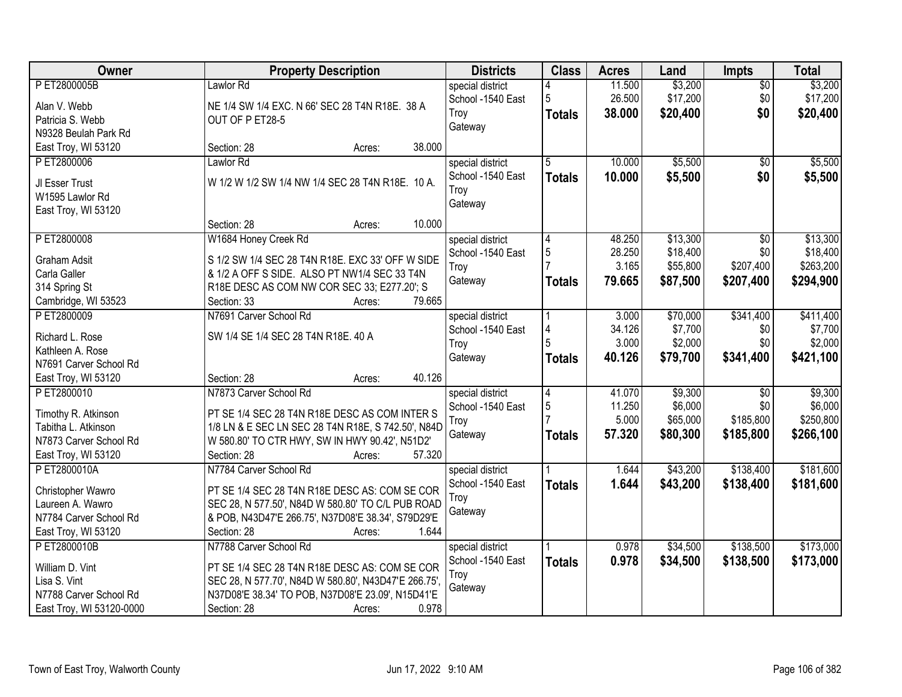| Owner                    | <b>Property Description</b>                          | <b>Districts</b>  | <b>Class</b>   | <b>Acres</b> | Land     | <b>Impts</b>    | <b>Total</b> |
|--------------------------|------------------------------------------------------|-------------------|----------------|--------------|----------|-----------------|--------------|
| P ET2800005B             | Lawlor Rd                                            | special district  |                | 11.500       | \$3,200  | $\overline{50}$ | \$3,200      |
| Alan V. Webb             | NE 1/4 SW 1/4 EXC. N 66' SEC 28 T4N R18E. 38 A       | School -1540 East | 5              | 26.500       | \$17,200 | \$0             | \$17,200     |
| Patricia S. Webb         | OUT OF P ET28-5                                      | Troy              | <b>Totals</b>  | 38.000       | \$20,400 | \$0             | \$20,400     |
| N9328 Beulah Park Rd     |                                                      | Gateway           |                |              |          |                 |              |
| East Troy, WI 53120      | 38.000<br>Section: 28<br>Acres:                      |                   |                |              |          |                 |              |
| P ET2800006              | Lawlor Rd                                            | special district  | 5              | 10.000       | \$5,500  | $\overline{50}$ | \$5,500      |
|                          |                                                      | School -1540 East | <b>Totals</b>  | 10.000       | \$5,500  | \$0             | \$5,500      |
| JI Esser Trust           | W 1/2 W 1/2 SW 1/4 NW 1/4 SEC 28 T4N R18E. 10 A.     | Troy              |                |              |          |                 |              |
| W1595 Lawlor Rd          |                                                      | Gateway           |                |              |          |                 |              |
| East Troy, WI 53120      |                                                      |                   |                |              |          |                 |              |
|                          | 10.000<br>Section: 28<br>Acres:                      |                   |                |              |          |                 |              |
| P ET2800008              | W1684 Honey Creek Rd                                 | special district  | 4              | 48.250       | \$13,300 | \$0             | \$13,300     |
| <b>Graham Adsit</b>      | S 1/2 SW 1/4 SEC 28 T4N R18E. EXC 33' OFF W SIDE     | School -1540 East | $\overline{5}$ | 28.250       | \$18,400 | \$0             | \$18,400     |
| Carla Galler             | & 1/2 A OFF S SIDE. ALSO PT NW1/4 SEC 33 T4N         | Troy              |                | 3.165        | \$55,800 | \$207,400       | \$263,200    |
| 314 Spring St            | R18E DESC AS COM NW COR SEC 33; E277.20'; S          | Gateway           | <b>Totals</b>  | 79.665       | \$87,500 | \$207,400       | \$294,900    |
| Cambridge, WI 53523      | 79.665<br>Section: 33<br>Acres:                      |                   |                |              |          |                 |              |
| PET2800009               | N7691 Carver School Rd                               | special district  |                | 3.000        | \$70,000 | \$341,400       | \$411,400    |
|                          |                                                      | School -1540 East | 4              | 34.126       | \$7,700  | \$0             | \$7,700      |
| Richard L. Rose          | SW 1/4 SE 1/4 SEC 28 T4N R18E. 40 A                  | Troy              | 5              | 3.000        | \$2,000  | \$0             | \$2,000      |
| Kathleen A. Rose         |                                                      | Gateway           | <b>Totals</b>  | 40.126       | \$79,700 | \$341,400       | \$421,100    |
| N7691 Carver School Rd   |                                                      |                   |                |              |          |                 |              |
| East Troy, WI 53120      | 40.126<br>Section: 28<br>Acres:                      |                   |                |              |          |                 |              |
| PET2800010               | N7873 Carver School Rd                               | special district  | $\overline{4}$ | 41.070       | \$9,300  | $\overline{50}$ | \$9,300      |
| Timothy R. Atkinson      | PT SE 1/4 SEC 28 T4N R18E DESC AS COM INTER S        | School -1540 East | 5              | 11.250       | \$6,000  | \$0             | \$6,000      |
| Tabitha L. Atkinson      | 1/8 LN & E SEC LN SEC 28 T4N R18E, S 742.50', N84D   | Troy              |                | 5.000        | \$65,000 | \$185,800       | \$250,800    |
| N7873 Carver School Rd   | W 580.80' TO CTR HWY, SW IN HWY 90.42', N51D2'       | Gateway           | <b>Totals</b>  | 57.320       | \$80,300 | \$185,800       | \$266,100    |
| East Troy, WI 53120      | Section: 28<br>57.320<br>Acres:                      |                   |                |              |          |                 |              |
| P ET2800010A             | N7784 Carver School Rd                               | special district  |                | 1.644        | \$43,200 | \$138,400       | \$181,600    |
|                          |                                                      | School -1540 East | <b>Totals</b>  | 1.644        | \$43,200 | \$138,400       | \$181,600    |
| Christopher Wawro        | PT SE 1/4 SEC 28 T4N R18E DESC AS: COM SE COR        | Troy              |                |              |          |                 |              |
| Laureen A. Wawro         | SEC 28, N 577.50', N84D W 580.80' TO C/L PUB ROAD    | Gateway           |                |              |          |                 |              |
| N7784 Carver School Rd   | & POB, N43D47'E 266.75', N37D08'E 38.34', S79D29'E   |                   |                |              |          |                 |              |
| East Troy, WI 53120      | Section: 28<br>1.644<br>Acres:                       |                   |                |              |          |                 |              |
| PET2800010B              | N7788 Carver School Rd                               | special district  |                | 0.978        | \$34,500 | \$138,500       | \$173,000    |
| William D. Vint          | PT SE 1/4 SEC 28 T4N R18E DESC AS: COM SE COR        | School -1540 East | <b>Totals</b>  | 0.978        | \$34,500 | \$138,500       | \$173,000    |
| Lisa S. Vint             | SEC 28, N 577.70', N84D W 580.80', N43D47'E 266.75', | Troy              |                |              |          |                 |              |
| N7788 Carver School Rd   | N37D08'E 38.34' TO POB, N37D08'E 23.09', N15D41'E    | Gateway           |                |              |          |                 |              |
| East Troy, WI 53120-0000 | 0.978<br>Section: 28<br>Acres:                       |                   |                |              |          |                 |              |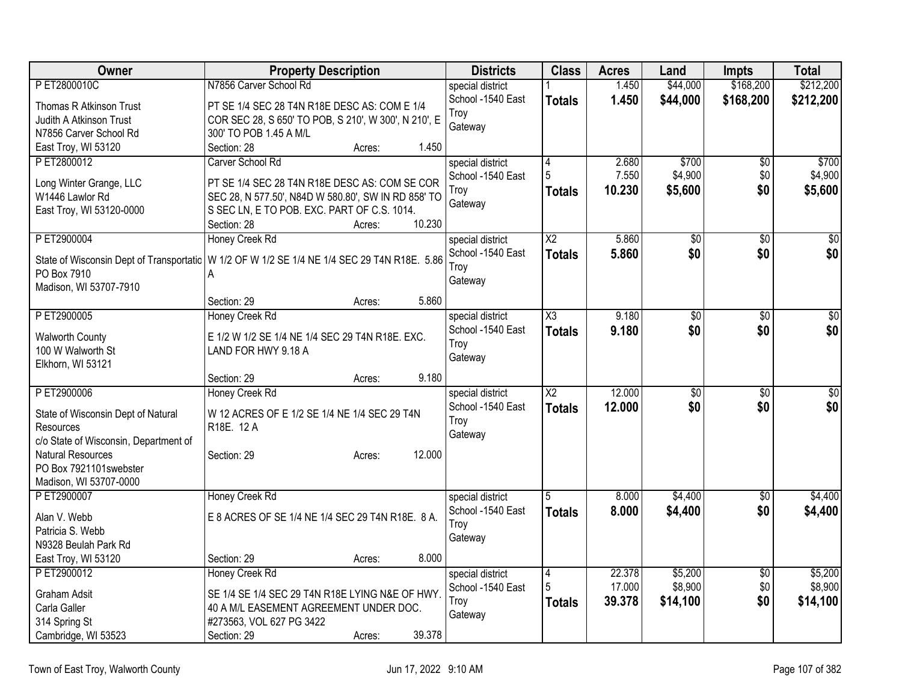| Owner                                 | <b>Property Description</b>                                                                   | <b>Districts</b>  | <b>Class</b>             | <b>Acres</b> | Land            | <b>Impts</b>    | <b>Total</b>    |
|---------------------------------------|-----------------------------------------------------------------------------------------------|-------------------|--------------------------|--------------|-----------------|-----------------|-----------------|
| PET2800010C                           | N7856 Carver School Rd                                                                        | special district  |                          | 1.450        | \$44,000        | \$168,200       | \$212,200       |
| Thomas R Atkinson Trust               | PT SE 1/4 SEC 28 T4N R18E DESC AS: COM E 1/4                                                  | School -1540 East | <b>Totals</b>            | 1.450        | \$44,000        | \$168,200       | \$212,200       |
| Judith A Atkinson Trust               | COR SEC 28, S 650' TO POB, S 210', W 300', N 210', E                                          | Troy              |                          |              |                 |                 |                 |
| N7856 Carver School Rd                | 300' TO POB 1.45 A M/L                                                                        | Gateway           |                          |              |                 |                 |                 |
| East Troy, WI 53120                   | Section: 28<br>1.450<br>Acres:                                                                |                   |                          |              |                 |                 |                 |
| PET2800012                            | Carver School Rd                                                                              | special district  | 4                        | 2.680        | \$700           | \$0             | \$700           |
| Long Winter Grange, LLC               | PT SE 1/4 SEC 28 T4N R18E DESC AS: COM SE COR                                                 | School -1540 East | 5                        | 7.550        | \$4,900         | \$0             | \$4,900         |
| W1446 Lawlor Rd                       | SEC 28, N 577.50', N84D W 580.80', SW IN RD 858' TO                                           | Troy              | Totals                   | 10.230       | \$5,600         | \$0             | \$5,600         |
| East Troy, WI 53120-0000              | S SEC LN, E TO POB. EXC. PART OF C.S. 1014.                                                   | Gateway           |                          |              |                 |                 |                 |
|                                       | 10.230<br>Section: 28<br>Acres:                                                               |                   |                          |              |                 |                 |                 |
| PET2900004                            | Honey Creek Rd                                                                                | special district  | $\overline{\mathsf{X2}}$ | 5.860        | $\overline{50}$ | $\overline{50}$ | $\overline{50}$ |
|                                       |                                                                                               | School -1540 East | <b>Totals</b>            | 5.860        | \$0             | \$0             | \$0             |
| PO Box 7910                           | State of Wisconsin Dept of Transportatic   W 1/2 OF W 1/2 SE 1/4 NE 1/4 SEC 29 T4N R18E. 5.86 | Troy              |                          |              |                 |                 |                 |
| Madison, WI 53707-7910                | A                                                                                             | Gateway           |                          |              |                 |                 |                 |
|                                       | 5.860<br>Section: 29<br>Acres:                                                                |                   |                          |              |                 |                 |                 |
| PET2900005                            | Honey Creek Rd                                                                                | special district  | X3                       | 9.180        | $\overline{50}$ | \$0             | $\sqrt{50}$     |
|                                       |                                                                                               | School -1540 East | <b>Totals</b>            | 9.180        | \$0             | \$0             | \$0             |
| <b>Walworth County</b>                | E 1/2 W 1/2 SE 1/4 NE 1/4 SEC 29 T4N R18E. EXC.                                               | Troy              |                          |              |                 |                 |                 |
| 100 W Walworth St                     | LAND FOR HWY 9.18 A                                                                           | Gateway           |                          |              |                 |                 |                 |
| Elkhorn, WI 53121                     | 9.180<br>Section: 29                                                                          |                   |                          |              |                 |                 |                 |
| PET2900006                            | Acres:<br><b>Honey Creek Rd</b>                                                               | special district  | $\overline{\text{X2}}$   | 12.000       | $\overline{50}$ | $\overline{50}$ | $\sqrt{30}$     |
|                                       |                                                                                               | School -1540 East | <b>Totals</b>            | 12.000       | \$0             | \$0             | \$0             |
| State of Wisconsin Dept of Natural    | W 12 ACRES OF E 1/2 SE 1/4 NE 1/4 SEC 29 T4N                                                  | Troy              |                          |              |                 |                 |                 |
| Resources                             | R18E. 12 A                                                                                    | Gateway           |                          |              |                 |                 |                 |
| c/o State of Wisconsin, Department of |                                                                                               |                   |                          |              |                 |                 |                 |
| <b>Natural Resources</b>              | 12.000<br>Section: 29<br>Acres:                                                               |                   |                          |              |                 |                 |                 |
| PO Box 7921101swebster                |                                                                                               |                   |                          |              |                 |                 |                 |
| Madison, WI 53707-0000<br>P ET2900007 | Honey Creek Rd                                                                                | special district  | 5                        | 8.000        | \$4,400         |                 | \$4,400         |
|                                       |                                                                                               | School -1540 East | <b>Totals</b>            | 8.000        | \$4,400         | \$0<br>\$0      | \$4,400         |
| Alan V. Webb                          | E 8 ACRES OF SE 1/4 NE 1/4 SEC 29 T4N R18E. 8 A.                                              | Troy              |                          |              |                 |                 |                 |
| Patricia S. Webb                      |                                                                                               | Gateway           |                          |              |                 |                 |                 |
| N9328 Beulah Park Rd                  |                                                                                               |                   |                          |              |                 |                 |                 |
| East Troy, WI 53120                   | 8.000<br>Section: 29<br>Acres:                                                                |                   |                          |              |                 |                 |                 |
| PET2900012                            | <b>Honey Creek Rd</b>                                                                         | special district  | $\overline{4}$           | 22.378       | \$5,200         | $\overline{50}$ | \$5,200         |
| <b>Graham Adsit</b>                   | SE 1/4 SE 1/4 SEC 29 T4N R18E LYING N&E OF HWY.                                               | School -1540 East | 5                        | 17.000       | \$8,900         | \$0             | \$8,900         |
| Carla Galler                          | 40 A M/L EASEMENT AGREEMENT UNDER DOC.                                                        | Troy              | <b>Totals</b>            | 39.378       | \$14,100        | \$0             | \$14,100        |
| 314 Spring St                         | #273563, VOL 627 PG 3422                                                                      | Gateway           |                          |              |                 |                 |                 |
| Cambridge, WI 53523                   | 39.378<br>Section: 29<br>Acres:                                                               |                   |                          |              |                 |                 |                 |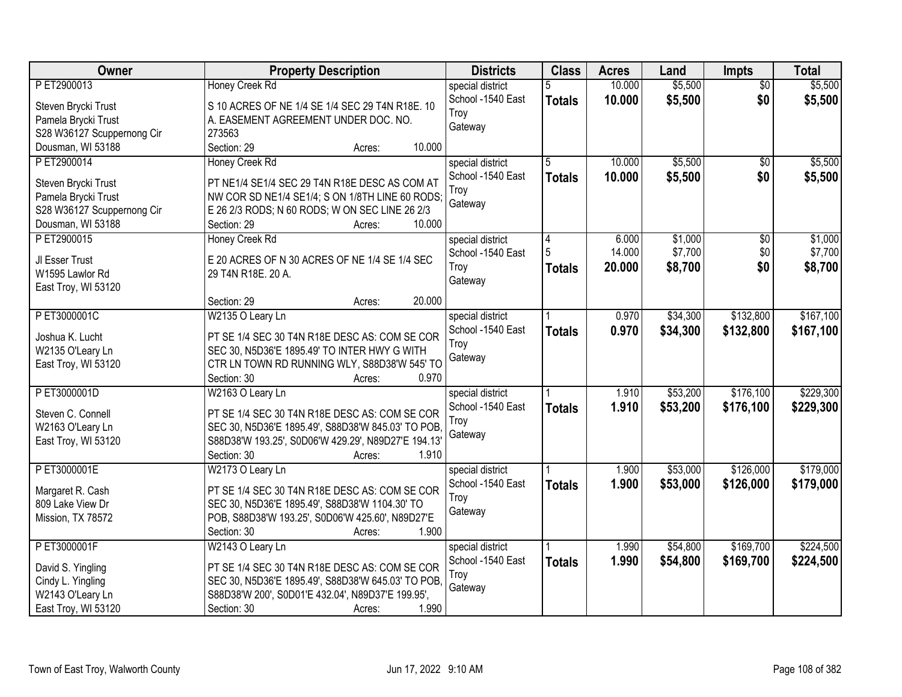| Owner                                | <b>Property Description</b>                           | <b>Districts</b>  | <b>Class</b>  | <b>Acres</b> | Land     | Impts           | <b>Total</b> |
|--------------------------------------|-------------------------------------------------------|-------------------|---------------|--------------|----------|-----------------|--------------|
| PET2900013                           | <b>Honey Creek Rd</b>                                 | special district  | 5             | 10.000       | \$5,500  | $\overline{50}$ | \$5,500      |
| Steven Brycki Trust                  | S 10 ACRES OF NE 1/4 SE 1/4 SEC 29 T4N R18E. 10       | School -1540 East | <b>Totals</b> | 10.000       | \$5,500  | \$0             | \$5,500      |
| Pamela Brycki Trust                  | A. EASEMENT AGREEMENT UNDER DOC. NO.                  | Troy              |               |              |          |                 |              |
| S28 W36127 Scuppernong Cir           | 273563                                                | Gateway           |               |              |          |                 |              |
| Dousman, WI 53188                    | 10.000<br>Section: 29<br>Acres:                       |                   |               |              |          |                 |              |
| PET2900014                           | <b>Honey Creek Rd</b>                                 | special district  | 5             | 10.000       | \$5,500  | $\overline{50}$ | \$5,500      |
|                                      |                                                       | School -1540 East | <b>Totals</b> | 10.000       | \$5,500  | \$0             | \$5,500      |
| Steven Brycki Trust                  | PT NE1/4 SE1/4 SEC 29 T4N R18E DESC AS COM AT         | Troy              |               |              |          |                 |              |
| Pamela Brycki Trust                  | NW COR SD NE1/4 SE1/4; S ON 1/8TH LINE 60 RODS;       | Gateway           |               |              |          |                 |              |
| S28 W36127 Scuppernong Cir           | E 26 2/3 RODS; N 60 RODS; W ON SEC LINE 26 2/3        |                   |               |              |          |                 |              |
| Dousman, WI 53188                    | 10.000<br>Section: 29<br>Acres:                       |                   |               |              |          |                 |              |
| PET2900015                           | Honey Creek Rd                                        | special district  | 4             | 6.000        | \$1,000  | \$0             | \$1,000      |
| JI Esser Trust                       | E 20 ACRES OF N 30 ACRES OF NE 1/4 SE 1/4 SEC         | School -1540 East |               | 14.000       | \$7,700  | \$0             | \$7,700      |
| W1595 Lawlor Rd                      | 29 T4N R18E. 20 A.                                    | Troy              | <b>Totals</b> | 20,000       | \$8,700  | \$0             | \$8,700      |
| East Troy, WI 53120                  |                                                       | Gateway           |               |              |          |                 |              |
|                                      | 20.000<br>Section: 29<br>Acres:                       |                   |               |              |          |                 |              |
| PET3000001C                          | W2135 O Leary Ln                                      | special district  |               | 0.970        | \$34,300 | \$132,800       | \$167,100    |
|                                      |                                                       | School -1540 East | <b>Totals</b> | 0.970        | \$34,300 | \$132,800       | \$167,100    |
| Joshua K. Lucht                      | PT SE 1/4 SEC 30 T4N R18E DESC AS: COM SE COR         | Troy              |               |              |          |                 |              |
| W2135 O'Leary Ln                     | SEC 30, N5D36'E 1895.49' TO INTER HWY G WITH          | Gateway           |               |              |          |                 |              |
| East Troy, WI 53120                  | CTR LN TOWN RD RUNNING WLY, S88D38'W 545' TO<br>0.970 |                   |               |              |          |                 |              |
| PET3000001D                          | Section: 30<br>Acres:                                 |                   |               |              |          |                 | \$229,300    |
|                                      | W2163 O Leary Ln                                      | special district  |               | 1.910        | \$53,200 | \$176,100       |              |
| Steven C. Connell                    | PT SE 1/4 SEC 30 T4N R18E DESC AS: COM SE COR         | School -1540 East | <b>Totals</b> | 1.910        | \$53,200 | \$176,100       | \$229,300    |
| W2163 O'Leary Ln                     | SEC 30, N5D36'E 1895.49', S88D38'W 845.03' TO POB     | Troy              |               |              |          |                 |              |
| East Troy, WI 53120                  | S88D38'W 193.25', S0D06'W 429.29', N89D27'E 194.13'   | Gateway           |               |              |          |                 |              |
|                                      | Section: 30<br>1.910<br>Acres:                        |                   |               |              |          |                 |              |
| PET3000001E                          | W2173 O Leary Ln                                      | special district  |               | 1.900        | \$53,000 | \$126,000       | \$179,000    |
|                                      | PT SE 1/4 SEC 30 T4N R18E DESC AS: COM SE COR         | School -1540 East | <b>Totals</b> | 1.900        | \$53,000 | \$126,000       | \$179,000    |
| Margaret R. Cash<br>809 Lake View Dr | SEC 30, N5D36'E 1895.49', S88D38'W 1104.30' TO        | Troy              |               |              |          |                 |              |
| Mission, TX 78572                    | POB, S88D38'W 193.25', S0D06'W 425.60', N89D27'E      | Gateway           |               |              |          |                 |              |
|                                      | 1.900<br>Section: 30<br>Acres:                        |                   |               |              |          |                 |              |
| PET3000001F                          | W2143 O Leary Ln                                      | special district  |               | 1.990        | \$54,800 | \$169,700       | \$224,500    |
|                                      |                                                       | School -1540 East |               |              |          |                 |              |
| David S. Yingling                    | PT SE 1/4 SEC 30 T4N R18E DESC AS: COM SE COR         |                   | <b>Totals</b> | 1.990        | \$54,800 | \$169,700       | \$224,500    |
| Cindy L. Yingling                    | SEC 30, N5D36'E 1895.49', S88D38'W 645.03' TO POB,    | Troy              |               |              |          |                 |              |
| W2143 O'Leary Ln                     | S88D38'W 200', S0D01'E 432.04', N89D37'E 199.95',     | Gateway           |               |              |          |                 |              |
| East Troy, WI 53120                  | 1.990<br>Section: 30<br>Acres:                        |                   |               |              |          |                 |              |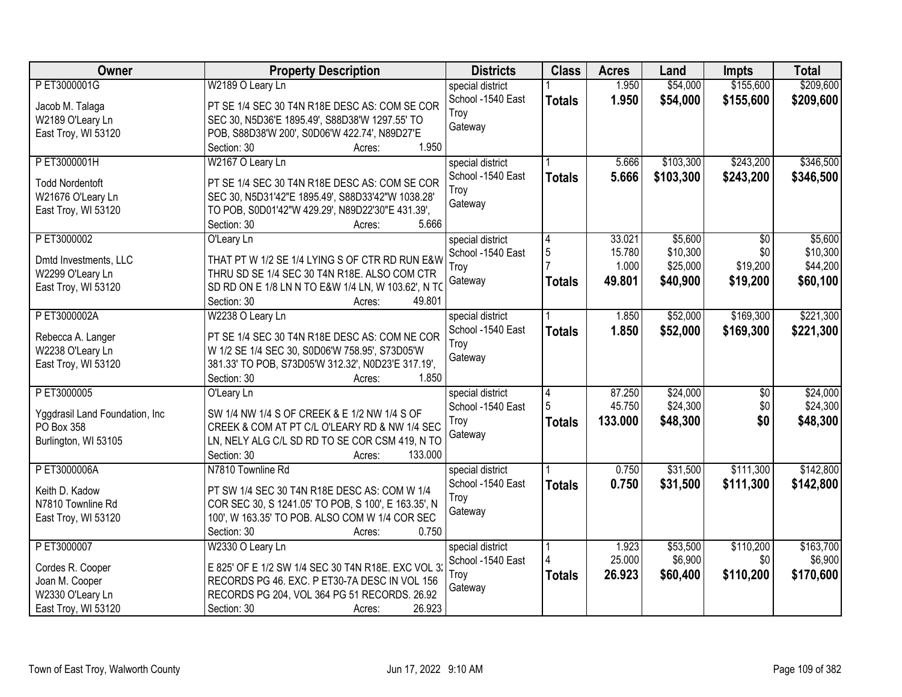| PET3000001G<br>W2189 O Leary Ln<br>1.950<br>\$54,000<br>\$155,600<br>special district<br>School -1540 East<br>1.950<br>\$54,000<br>\$155,600<br>\$209,600<br><b>Totals</b><br>PT SE 1/4 SEC 30 T4N R18E DESC AS: COM SE COR<br>Jacob M. Talaga<br>Troy<br>W2189 O'Leary Ln<br>SEC 30, N5D36'E 1895.49', S88D38'W 1297.55' TO<br>Gateway<br>POB, S88D38'W 200', S0D06'W 422.74', N89D27'E<br>East Troy, WI 53120<br>1.950<br>Section: 30<br>Acres:<br>\$103,300<br>\$243,200<br>\$346,500<br>PET3000001H<br>W2167 O Leary Ln<br>special district<br>5.666<br>School -1540 East<br>5.666<br>\$103,300<br>\$243,200<br>\$346,500<br><b>Totals</b><br><b>Todd Nordentoft</b><br>PT SE 1/4 SEC 30 T4N R18E DESC AS: COM SE COR<br>Troy<br>W21676 O'Leary Ln<br>SEC 30, N5D31'42"E 1895.49', S88D33'42"W 1038.28'<br>Gateway<br>TO POB, S0D01'42"W 429.29', N89D22'30"E 431.39',<br>East Troy, WI 53120<br>5.666<br>Section: 30<br>Acres:<br>\$5,600<br>PET3000002<br>33.021<br>$\overline{50}$<br>\$5,600<br>O'Leary Ln<br>special district<br>4<br>5<br>\$10,300<br>15.780<br>\$0<br>School -1540 East<br>THAT PT W 1/2 SE 1/4 LYING S OF CTR RD RUN E&W<br>Dmtd Investments, LLC<br>\$19,200<br>\$25,000<br>1.000<br>Troy<br>W2299 O'Leary Ln<br>THRU SD SE 1/4 SEC 30 T4N R18E. ALSO COM CTR<br>Gateway<br>49.801<br>\$40,900<br>\$19,200<br>\$60,100<br><b>Totals</b><br>East Troy, WI 53120<br>SD RD ON E 1/8 LN N TO E&W 1/4 LN, W 103.62', N TO<br>Section: 30<br>49.801<br>Acres:<br>\$169,300<br>\$221,300<br>P ET3000002A<br>W2238 O Leary Ln<br>\$52,000<br>special district<br>1.850<br>School -1540 East<br>1.850<br>\$52,000<br>\$169,300<br>\$221,300<br><b>Totals</b><br>PT SE 1/4 SEC 30 T4N R18E DESC AS: COM NE COR<br>Rebecca A. Langer<br>Troy<br>W2238 O'Leary Ln<br>W 1/2 SE 1/4 SEC 30, S0D06'W 758.95', S73D05'W<br>Gateway<br>East Troy, WI 53120<br>381.33' TO POB, S73D05'W 312.32', N0D23'E 317.19',<br>1.850<br>Section: 30<br>Acres:<br>P ET3000005<br>87.250<br>\$24,000<br>\$24,000<br>\$0<br>special district<br>4<br>O'Leary Ln<br>45.750<br>\$24,300<br>\$0<br>5<br>School -1540 East<br>Yggdrasil Land Foundation, Inc.<br>SW 1/4 NW 1/4 S OF CREEK & E 1/2 NW 1/4 S OF<br>\$0<br>133.000<br>\$48,300<br>\$48,300<br>Troy<br><b>Totals</b><br>PO Box 358<br>CREEK & COM AT PT C/L O'LEARY RD & NW 1/4 SEC<br>Gateway<br>LN, NELY ALG C/L SD RD TO SE COR CSM 419, N TO<br>Burlington, WI 53105<br>Section: 30<br>133.000<br>Acres:<br>\$111,300<br>P ET3000006A<br>N7810 Townline Rd<br>0.750<br>\$31,500<br>special district<br>School -1540 East<br>0.750<br>\$31,500<br>\$111,300<br>\$142,800<br><b>Totals</b><br>PT SW 1/4 SEC 30 T4N R18E DESC AS: COM W 1/4<br>Keith D. Kadow<br>Troy<br>N7810 Townline Rd<br>COR SEC 30, S 1241.05' TO POB, S 100', E 163.35', N<br>Gateway<br>100', W 163.35' TO POB. ALSO COM W 1/4 COR SEC<br>East Troy, WI 53120<br>Section: 30<br>0.750<br>Acres:<br>P ET3000007<br>\$53,500<br>\$110,200<br>\$163,700<br>W2330 O Leary Ln<br>special district<br>1.923<br>25.000<br>\$6,900<br>\$0<br>School -1540 East<br>Cordes R. Cooper<br>E 825' OF E 1/2 SW 1/4 SEC 30 T4N R18E. EXC VOL 32<br>26.923<br>\$60,400<br>\$110,200<br>\$170,600<br>Troy<br><b>Totals</b><br>RECORDS PG 46. EXC. P ET30-7A DESC IN VOL 156<br>Joan M. Cooper<br>Gateway<br>W2330 O'Leary Ln<br>RECORDS PG 204, VOL 364 PG 51 RECORDS. 26.92 | Owner               | <b>Property Description</b>     | <b>Districts</b> | <b>Class</b> | <b>Acres</b> | Land | <b>Impts</b> | <b>Total</b> |
|--------------------------------------------------------------------------------------------------------------------------------------------------------------------------------------------------------------------------------------------------------------------------------------------------------------------------------------------------------------------------------------------------------------------------------------------------------------------------------------------------------------------------------------------------------------------------------------------------------------------------------------------------------------------------------------------------------------------------------------------------------------------------------------------------------------------------------------------------------------------------------------------------------------------------------------------------------------------------------------------------------------------------------------------------------------------------------------------------------------------------------------------------------------------------------------------------------------------------------------------------------------------------------------------------------------------------------------------------------------------------------------------------------------------------------------------------------------------------------------------------------------------------------------------------------------------------------------------------------------------------------------------------------------------------------------------------------------------------------------------------------------------------------------------------------------------------------------------------------------------------------------------------------------------------------------------------------------------------------------------------------------------------------------------------------------------------------------------------------------------------------------------------------------------------------------------------------------------------------------------------------------------------------------------------------------------------------------------------------------------------------------------------------------------------------------------------------------------------------------------------------------------------------------------------------------------------------------------------------------------------------------------------------------------------------------------------------------------------------------------------------------------------------------------------------------------------------------------------------------------------------------------------------------------------------------------------------------------------------------------------------------------------------------------------------------------------------------------------------------------------------------------------------------------------------------------------------------------------------------------------------------------------------------------------------------------------------------------------------------------------------------------|---------------------|---------------------------------|------------------|--------------|--------------|------|--------------|--------------|
|                                                                                                                                                                                                                                                                                                                                                                                                                                                                                                                                                                                                                                                                                                                                                                                                                                                                                                                                                                                                                                                                                                                                                                                                                                                                                                                                                                                                                                                                                                                                                                                                                                                                                                                                                                                                                                                                                                                                                                                                                                                                                                                                                                                                                                                                                                                                                                                                                                                                                                                                                                                                                                                                                                                                                                                                                                                                                                                                                                                                                                                                                                                                                                                                                                                                                                                                                                                            |                     |                                 |                  |              |              |      |              | \$209,600    |
|                                                                                                                                                                                                                                                                                                                                                                                                                                                                                                                                                                                                                                                                                                                                                                                                                                                                                                                                                                                                                                                                                                                                                                                                                                                                                                                                                                                                                                                                                                                                                                                                                                                                                                                                                                                                                                                                                                                                                                                                                                                                                                                                                                                                                                                                                                                                                                                                                                                                                                                                                                                                                                                                                                                                                                                                                                                                                                                                                                                                                                                                                                                                                                                                                                                                                                                                                                                            |                     |                                 |                  |              |              |      |              |              |
| \$10,300<br>\$44,200<br>\$24,300<br>\$142,800<br>\$6,900                                                                                                                                                                                                                                                                                                                                                                                                                                                                                                                                                                                                                                                                                                                                                                                                                                                                                                                                                                                                                                                                                                                                                                                                                                                                                                                                                                                                                                                                                                                                                                                                                                                                                                                                                                                                                                                                                                                                                                                                                                                                                                                                                                                                                                                                                                                                                                                                                                                                                                                                                                                                                                                                                                                                                                                                                                                                                                                                                                                                                                                                                                                                                                                                                                                                                                                                   |                     |                                 |                  |              |              |      |              |              |
|                                                                                                                                                                                                                                                                                                                                                                                                                                                                                                                                                                                                                                                                                                                                                                                                                                                                                                                                                                                                                                                                                                                                                                                                                                                                                                                                                                                                                                                                                                                                                                                                                                                                                                                                                                                                                                                                                                                                                                                                                                                                                                                                                                                                                                                                                                                                                                                                                                                                                                                                                                                                                                                                                                                                                                                                                                                                                                                                                                                                                                                                                                                                                                                                                                                                                                                                                                                            |                     |                                 |                  |              |              |      |              |              |
|                                                                                                                                                                                                                                                                                                                                                                                                                                                                                                                                                                                                                                                                                                                                                                                                                                                                                                                                                                                                                                                                                                                                                                                                                                                                                                                                                                                                                                                                                                                                                                                                                                                                                                                                                                                                                                                                                                                                                                                                                                                                                                                                                                                                                                                                                                                                                                                                                                                                                                                                                                                                                                                                                                                                                                                                                                                                                                                                                                                                                                                                                                                                                                                                                                                                                                                                                                                            |                     |                                 |                  |              |              |      |              |              |
|                                                                                                                                                                                                                                                                                                                                                                                                                                                                                                                                                                                                                                                                                                                                                                                                                                                                                                                                                                                                                                                                                                                                                                                                                                                                                                                                                                                                                                                                                                                                                                                                                                                                                                                                                                                                                                                                                                                                                                                                                                                                                                                                                                                                                                                                                                                                                                                                                                                                                                                                                                                                                                                                                                                                                                                                                                                                                                                                                                                                                                                                                                                                                                                                                                                                                                                                                                                            |                     |                                 |                  |              |              |      |              |              |
|                                                                                                                                                                                                                                                                                                                                                                                                                                                                                                                                                                                                                                                                                                                                                                                                                                                                                                                                                                                                                                                                                                                                                                                                                                                                                                                                                                                                                                                                                                                                                                                                                                                                                                                                                                                                                                                                                                                                                                                                                                                                                                                                                                                                                                                                                                                                                                                                                                                                                                                                                                                                                                                                                                                                                                                                                                                                                                                                                                                                                                                                                                                                                                                                                                                                                                                                                                                            |                     |                                 |                  |              |              |      |              |              |
|                                                                                                                                                                                                                                                                                                                                                                                                                                                                                                                                                                                                                                                                                                                                                                                                                                                                                                                                                                                                                                                                                                                                                                                                                                                                                                                                                                                                                                                                                                                                                                                                                                                                                                                                                                                                                                                                                                                                                                                                                                                                                                                                                                                                                                                                                                                                                                                                                                                                                                                                                                                                                                                                                                                                                                                                                                                                                                                                                                                                                                                                                                                                                                                                                                                                                                                                                                                            |                     |                                 |                  |              |              |      |              |              |
|                                                                                                                                                                                                                                                                                                                                                                                                                                                                                                                                                                                                                                                                                                                                                                                                                                                                                                                                                                                                                                                                                                                                                                                                                                                                                                                                                                                                                                                                                                                                                                                                                                                                                                                                                                                                                                                                                                                                                                                                                                                                                                                                                                                                                                                                                                                                                                                                                                                                                                                                                                                                                                                                                                                                                                                                                                                                                                                                                                                                                                                                                                                                                                                                                                                                                                                                                                                            |                     |                                 |                  |              |              |      |              |              |
|                                                                                                                                                                                                                                                                                                                                                                                                                                                                                                                                                                                                                                                                                                                                                                                                                                                                                                                                                                                                                                                                                                                                                                                                                                                                                                                                                                                                                                                                                                                                                                                                                                                                                                                                                                                                                                                                                                                                                                                                                                                                                                                                                                                                                                                                                                                                                                                                                                                                                                                                                                                                                                                                                                                                                                                                                                                                                                                                                                                                                                                                                                                                                                                                                                                                                                                                                                                            |                     |                                 |                  |              |              |      |              |              |
|                                                                                                                                                                                                                                                                                                                                                                                                                                                                                                                                                                                                                                                                                                                                                                                                                                                                                                                                                                                                                                                                                                                                                                                                                                                                                                                                                                                                                                                                                                                                                                                                                                                                                                                                                                                                                                                                                                                                                                                                                                                                                                                                                                                                                                                                                                                                                                                                                                                                                                                                                                                                                                                                                                                                                                                                                                                                                                                                                                                                                                                                                                                                                                                                                                                                                                                                                                                            |                     |                                 |                  |              |              |      |              |              |
|                                                                                                                                                                                                                                                                                                                                                                                                                                                                                                                                                                                                                                                                                                                                                                                                                                                                                                                                                                                                                                                                                                                                                                                                                                                                                                                                                                                                                                                                                                                                                                                                                                                                                                                                                                                                                                                                                                                                                                                                                                                                                                                                                                                                                                                                                                                                                                                                                                                                                                                                                                                                                                                                                                                                                                                                                                                                                                                                                                                                                                                                                                                                                                                                                                                                                                                                                                                            |                     |                                 |                  |              |              |      |              |              |
|                                                                                                                                                                                                                                                                                                                                                                                                                                                                                                                                                                                                                                                                                                                                                                                                                                                                                                                                                                                                                                                                                                                                                                                                                                                                                                                                                                                                                                                                                                                                                                                                                                                                                                                                                                                                                                                                                                                                                                                                                                                                                                                                                                                                                                                                                                                                                                                                                                                                                                                                                                                                                                                                                                                                                                                                                                                                                                                                                                                                                                                                                                                                                                                                                                                                                                                                                                                            |                     |                                 |                  |              |              |      |              |              |
|                                                                                                                                                                                                                                                                                                                                                                                                                                                                                                                                                                                                                                                                                                                                                                                                                                                                                                                                                                                                                                                                                                                                                                                                                                                                                                                                                                                                                                                                                                                                                                                                                                                                                                                                                                                                                                                                                                                                                                                                                                                                                                                                                                                                                                                                                                                                                                                                                                                                                                                                                                                                                                                                                                                                                                                                                                                                                                                                                                                                                                                                                                                                                                                                                                                                                                                                                                                            |                     |                                 |                  |              |              |      |              |              |
|                                                                                                                                                                                                                                                                                                                                                                                                                                                                                                                                                                                                                                                                                                                                                                                                                                                                                                                                                                                                                                                                                                                                                                                                                                                                                                                                                                                                                                                                                                                                                                                                                                                                                                                                                                                                                                                                                                                                                                                                                                                                                                                                                                                                                                                                                                                                                                                                                                                                                                                                                                                                                                                                                                                                                                                                                                                                                                                                                                                                                                                                                                                                                                                                                                                                                                                                                                                            |                     |                                 |                  |              |              |      |              |              |
|                                                                                                                                                                                                                                                                                                                                                                                                                                                                                                                                                                                                                                                                                                                                                                                                                                                                                                                                                                                                                                                                                                                                                                                                                                                                                                                                                                                                                                                                                                                                                                                                                                                                                                                                                                                                                                                                                                                                                                                                                                                                                                                                                                                                                                                                                                                                                                                                                                                                                                                                                                                                                                                                                                                                                                                                                                                                                                                                                                                                                                                                                                                                                                                                                                                                                                                                                                                            |                     |                                 |                  |              |              |      |              |              |
|                                                                                                                                                                                                                                                                                                                                                                                                                                                                                                                                                                                                                                                                                                                                                                                                                                                                                                                                                                                                                                                                                                                                                                                                                                                                                                                                                                                                                                                                                                                                                                                                                                                                                                                                                                                                                                                                                                                                                                                                                                                                                                                                                                                                                                                                                                                                                                                                                                                                                                                                                                                                                                                                                                                                                                                                                                                                                                                                                                                                                                                                                                                                                                                                                                                                                                                                                                                            |                     |                                 |                  |              |              |      |              |              |
|                                                                                                                                                                                                                                                                                                                                                                                                                                                                                                                                                                                                                                                                                                                                                                                                                                                                                                                                                                                                                                                                                                                                                                                                                                                                                                                                                                                                                                                                                                                                                                                                                                                                                                                                                                                                                                                                                                                                                                                                                                                                                                                                                                                                                                                                                                                                                                                                                                                                                                                                                                                                                                                                                                                                                                                                                                                                                                                                                                                                                                                                                                                                                                                                                                                                                                                                                                                            |                     |                                 |                  |              |              |      |              |              |
|                                                                                                                                                                                                                                                                                                                                                                                                                                                                                                                                                                                                                                                                                                                                                                                                                                                                                                                                                                                                                                                                                                                                                                                                                                                                                                                                                                                                                                                                                                                                                                                                                                                                                                                                                                                                                                                                                                                                                                                                                                                                                                                                                                                                                                                                                                                                                                                                                                                                                                                                                                                                                                                                                                                                                                                                                                                                                                                                                                                                                                                                                                                                                                                                                                                                                                                                                                                            |                     |                                 |                  |              |              |      |              |              |
|                                                                                                                                                                                                                                                                                                                                                                                                                                                                                                                                                                                                                                                                                                                                                                                                                                                                                                                                                                                                                                                                                                                                                                                                                                                                                                                                                                                                                                                                                                                                                                                                                                                                                                                                                                                                                                                                                                                                                                                                                                                                                                                                                                                                                                                                                                                                                                                                                                                                                                                                                                                                                                                                                                                                                                                                                                                                                                                                                                                                                                                                                                                                                                                                                                                                                                                                                                                            |                     |                                 |                  |              |              |      |              |              |
|                                                                                                                                                                                                                                                                                                                                                                                                                                                                                                                                                                                                                                                                                                                                                                                                                                                                                                                                                                                                                                                                                                                                                                                                                                                                                                                                                                                                                                                                                                                                                                                                                                                                                                                                                                                                                                                                                                                                                                                                                                                                                                                                                                                                                                                                                                                                                                                                                                                                                                                                                                                                                                                                                                                                                                                                                                                                                                                                                                                                                                                                                                                                                                                                                                                                                                                                                                                            |                     |                                 |                  |              |              |      |              |              |
|                                                                                                                                                                                                                                                                                                                                                                                                                                                                                                                                                                                                                                                                                                                                                                                                                                                                                                                                                                                                                                                                                                                                                                                                                                                                                                                                                                                                                                                                                                                                                                                                                                                                                                                                                                                                                                                                                                                                                                                                                                                                                                                                                                                                                                                                                                                                                                                                                                                                                                                                                                                                                                                                                                                                                                                                                                                                                                                                                                                                                                                                                                                                                                                                                                                                                                                                                                                            |                     |                                 |                  |              |              |      |              |              |
|                                                                                                                                                                                                                                                                                                                                                                                                                                                                                                                                                                                                                                                                                                                                                                                                                                                                                                                                                                                                                                                                                                                                                                                                                                                                                                                                                                                                                                                                                                                                                                                                                                                                                                                                                                                                                                                                                                                                                                                                                                                                                                                                                                                                                                                                                                                                                                                                                                                                                                                                                                                                                                                                                                                                                                                                                                                                                                                                                                                                                                                                                                                                                                                                                                                                                                                                                                                            |                     |                                 |                  |              |              |      |              |              |
|                                                                                                                                                                                                                                                                                                                                                                                                                                                                                                                                                                                                                                                                                                                                                                                                                                                                                                                                                                                                                                                                                                                                                                                                                                                                                                                                                                                                                                                                                                                                                                                                                                                                                                                                                                                                                                                                                                                                                                                                                                                                                                                                                                                                                                                                                                                                                                                                                                                                                                                                                                                                                                                                                                                                                                                                                                                                                                                                                                                                                                                                                                                                                                                                                                                                                                                                                                                            |                     |                                 |                  |              |              |      |              |              |
|                                                                                                                                                                                                                                                                                                                                                                                                                                                                                                                                                                                                                                                                                                                                                                                                                                                                                                                                                                                                                                                                                                                                                                                                                                                                                                                                                                                                                                                                                                                                                                                                                                                                                                                                                                                                                                                                                                                                                                                                                                                                                                                                                                                                                                                                                                                                                                                                                                                                                                                                                                                                                                                                                                                                                                                                                                                                                                                                                                                                                                                                                                                                                                                                                                                                                                                                                                                            |                     |                                 |                  |              |              |      |              |              |
|                                                                                                                                                                                                                                                                                                                                                                                                                                                                                                                                                                                                                                                                                                                                                                                                                                                                                                                                                                                                                                                                                                                                                                                                                                                                                                                                                                                                                                                                                                                                                                                                                                                                                                                                                                                                                                                                                                                                                                                                                                                                                                                                                                                                                                                                                                                                                                                                                                                                                                                                                                                                                                                                                                                                                                                                                                                                                                                                                                                                                                                                                                                                                                                                                                                                                                                                                                                            |                     |                                 |                  |              |              |      |              |              |
|                                                                                                                                                                                                                                                                                                                                                                                                                                                                                                                                                                                                                                                                                                                                                                                                                                                                                                                                                                                                                                                                                                                                                                                                                                                                                                                                                                                                                                                                                                                                                                                                                                                                                                                                                                                                                                                                                                                                                                                                                                                                                                                                                                                                                                                                                                                                                                                                                                                                                                                                                                                                                                                                                                                                                                                                                                                                                                                                                                                                                                                                                                                                                                                                                                                                                                                                                                                            |                     |                                 |                  |              |              |      |              |              |
|                                                                                                                                                                                                                                                                                                                                                                                                                                                                                                                                                                                                                                                                                                                                                                                                                                                                                                                                                                                                                                                                                                                                                                                                                                                                                                                                                                                                                                                                                                                                                                                                                                                                                                                                                                                                                                                                                                                                                                                                                                                                                                                                                                                                                                                                                                                                                                                                                                                                                                                                                                                                                                                                                                                                                                                                                                                                                                                                                                                                                                                                                                                                                                                                                                                                                                                                                                                            |                     |                                 |                  |              |              |      |              |              |
|                                                                                                                                                                                                                                                                                                                                                                                                                                                                                                                                                                                                                                                                                                                                                                                                                                                                                                                                                                                                                                                                                                                                                                                                                                                                                                                                                                                                                                                                                                                                                                                                                                                                                                                                                                                                                                                                                                                                                                                                                                                                                                                                                                                                                                                                                                                                                                                                                                                                                                                                                                                                                                                                                                                                                                                                                                                                                                                                                                                                                                                                                                                                                                                                                                                                                                                                                                                            |                     |                                 |                  |              |              |      |              |              |
|                                                                                                                                                                                                                                                                                                                                                                                                                                                                                                                                                                                                                                                                                                                                                                                                                                                                                                                                                                                                                                                                                                                                                                                                                                                                                                                                                                                                                                                                                                                                                                                                                                                                                                                                                                                                                                                                                                                                                                                                                                                                                                                                                                                                                                                                                                                                                                                                                                                                                                                                                                                                                                                                                                                                                                                                                                                                                                                                                                                                                                                                                                                                                                                                                                                                                                                                                                                            |                     |                                 |                  |              |              |      |              |              |
|                                                                                                                                                                                                                                                                                                                                                                                                                                                                                                                                                                                                                                                                                                                                                                                                                                                                                                                                                                                                                                                                                                                                                                                                                                                                                                                                                                                                                                                                                                                                                                                                                                                                                                                                                                                                                                                                                                                                                                                                                                                                                                                                                                                                                                                                                                                                                                                                                                                                                                                                                                                                                                                                                                                                                                                                                                                                                                                                                                                                                                                                                                                                                                                                                                                                                                                                                                                            |                     |                                 |                  |              |              |      |              |              |
|                                                                                                                                                                                                                                                                                                                                                                                                                                                                                                                                                                                                                                                                                                                                                                                                                                                                                                                                                                                                                                                                                                                                                                                                                                                                                                                                                                                                                                                                                                                                                                                                                                                                                                                                                                                                                                                                                                                                                                                                                                                                                                                                                                                                                                                                                                                                                                                                                                                                                                                                                                                                                                                                                                                                                                                                                                                                                                                                                                                                                                                                                                                                                                                                                                                                                                                                                                                            |                     |                                 |                  |              |              |      |              |              |
|                                                                                                                                                                                                                                                                                                                                                                                                                                                                                                                                                                                                                                                                                                                                                                                                                                                                                                                                                                                                                                                                                                                                                                                                                                                                                                                                                                                                                                                                                                                                                                                                                                                                                                                                                                                                                                                                                                                                                                                                                                                                                                                                                                                                                                                                                                                                                                                                                                                                                                                                                                                                                                                                                                                                                                                                                                                                                                                                                                                                                                                                                                                                                                                                                                                                                                                                                                                            |                     |                                 |                  |              |              |      |              |              |
|                                                                                                                                                                                                                                                                                                                                                                                                                                                                                                                                                                                                                                                                                                                                                                                                                                                                                                                                                                                                                                                                                                                                                                                                                                                                                                                                                                                                                                                                                                                                                                                                                                                                                                                                                                                                                                                                                                                                                                                                                                                                                                                                                                                                                                                                                                                                                                                                                                                                                                                                                                                                                                                                                                                                                                                                                                                                                                                                                                                                                                                                                                                                                                                                                                                                                                                                                                                            |                     |                                 |                  |              |              |      |              |              |
|                                                                                                                                                                                                                                                                                                                                                                                                                                                                                                                                                                                                                                                                                                                                                                                                                                                                                                                                                                                                                                                                                                                                                                                                                                                                                                                                                                                                                                                                                                                                                                                                                                                                                                                                                                                                                                                                                                                                                                                                                                                                                                                                                                                                                                                                                                                                                                                                                                                                                                                                                                                                                                                                                                                                                                                                                                                                                                                                                                                                                                                                                                                                                                                                                                                                                                                                                                                            |                     |                                 |                  |              |              |      |              |              |
|                                                                                                                                                                                                                                                                                                                                                                                                                                                                                                                                                                                                                                                                                                                                                                                                                                                                                                                                                                                                                                                                                                                                                                                                                                                                                                                                                                                                                                                                                                                                                                                                                                                                                                                                                                                                                                                                                                                                                                                                                                                                                                                                                                                                                                                                                                                                                                                                                                                                                                                                                                                                                                                                                                                                                                                                                                                                                                                                                                                                                                                                                                                                                                                                                                                                                                                                                                                            |                     |                                 |                  |              |              |      |              |              |
|                                                                                                                                                                                                                                                                                                                                                                                                                                                                                                                                                                                                                                                                                                                                                                                                                                                                                                                                                                                                                                                                                                                                                                                                                                                                                                                                                                                                                                                                                                                                                                                                                                                                                                                                                                                                                                                                                                                                                                                                                                                                                                                                                                                                                                                                                                                                                                                                                                                                                                                                                                                                                                                                                                                                                                                                                                                                                                                                                                                                                                                                                                                                                                                                                                                                                                                                                                                            | East Troy, WI 53120 | 26.923<br>Section: 30<br>Acres: |                  |              |              |      |              |              |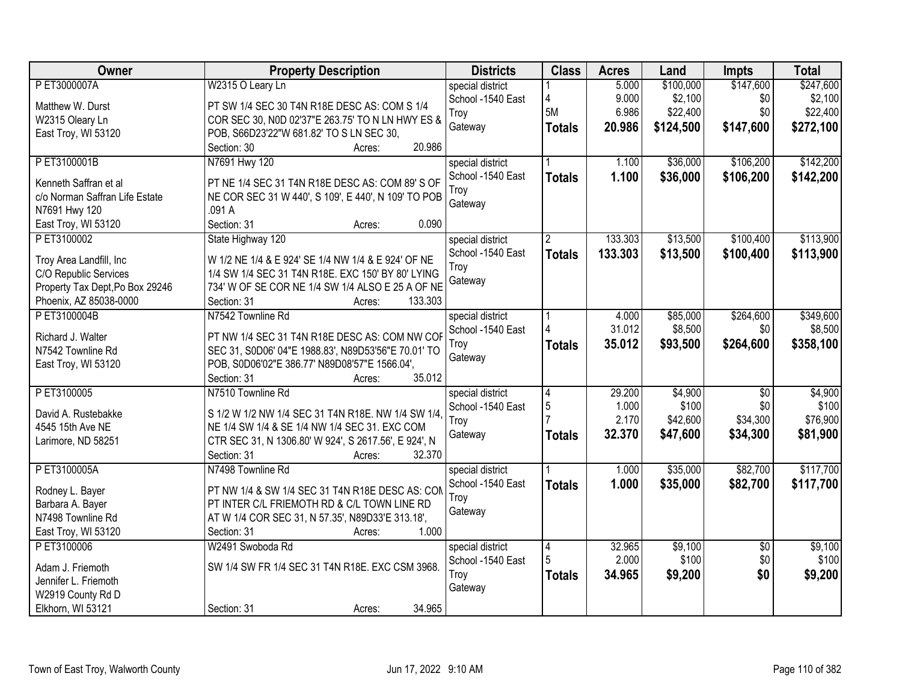| Owner                           | <b>Property Description</b>                          | <b>Districts</b>  | <b>Class</b>   | <b>Acres</b> | Land      | <b>Impts</b>    | <b>Total</b> |
|---------------------------------|------------------------------------------------------|-------------------|----------------|--------------|-----------|-----------------|--------------|
| P ET3000007A                    | W2315 O Leary Ln                                     | special district  |                | 5.000        | \$100,000 | \$147,600       | \$247,600    |
| Matthew W. Durst                | PT SW 1/4 SEC 30 T4N R18E DESC AS: COM S 1/4         | School -1540 East | 4              | 9.000        | \$2,100   | \$0             | \$2,100      |
| W2315 Oleary Ln                 | COR SEC 30, N0D 02'37"E 263.75' TO N LN HWY ES &     | Troy              | 5M             | 6.986        | \$22,400  | \$0             | \$22,400     |
| East Troy, WI 53120             | POB, S66D23'22"W 681.82' TO S LN SEC 30,             | Gateway           | <b>Totals</b>  | 20.986       | \$124,500 | \$147,600       | \$272,100    |
|                                 | 20.986<br>Section: 30<br>Acres:                      |                   |                |              |           |                 |              |
| PET3100001B                     | N7691 Hwy 120                                        | special district  |                | 1.100        | \$36,000  | \$106,200       | \$142,200    |
|                                 |                                                      | School -1540 East | <b>Totals</b>  | 1.100        | \$36,000  | \$106,200       | \$142,200    |
| Kenneth Saffran et al           | PT NE 1/4 SEC 31 T4N R18E DESC AS: COM 89'S OF       | Troy              |                |              |           |                 |              |
| c/o Norman Saffran Life Estate  | NE COR SEC 31 W 440', S 109', E 440', N 109' TO POB  | Gateway           |                |              |           |                 |              |
| N7691 Hwy 120                   | .091 A                                               |                   |                |              |           |                 |              |
| East Troy, WI 53120             | Section: 31<br>0.090<br>Acres:                       |                   |                |              |           |                 |              |
| PET3100002                      | State Highway 120                                    | special district  | $\overline{2}$ | 133.303      | \$13,500  | \$100,400       | \$113,900    |
| Troy Area Landfill, Inc         | W 1/2 NE 1/4 & E 924' SE 1/4 NW 1/4 & E 924' OF NE   | School -1540 East | <b>Totals</b>  | 133.303      | \$13,500  | \$100,400       | \$113,900    |
| C/O Republic Services           | 1/4 SW 1/4 SEC 31 T4N R18E. EXC 150' BY 80' LYING    | Troy              |                |              |           |                 |              |
| Property Tax Dept, Po Box 29246 | 734' W OF SE COR NE 1/4 SW 1/4 ALSO E 25 A OF NE     | Gateway           |                |              |           |                 |              |
| Phoenix, AZ 85038-0000          | 133.303<br>Section: 31<br>Acres:                     |                   |                |              |           |                 |              |
| PET3100004B                     | N7542 Townline Rd                                    | special district  |                | 4.000        | \$85,000  | \$264,600       | \$349,600    |
|                                 |                                                      | School -1540 East |                | 31.012       | \$8,500   | \$0             | \$8,500      |
| Richard J. Walter               | PT NW 1/4 SEC 31 T4N R18E DESC AS: COM NW COF        | Troy              | <b>Totals</b>  | 35.012       | \$93,500  | \$264,600       | \$358,100    |
| N7542 Townline Rd               | SEC 31, S0D06' 04"E 1988.83', N89D53'56"E 70.01' TO  | Gateway           |                |              |           |                 |              |
| East Troy, WI 53120             | POB, S0D06'02"E 386.77' N89D08'57"E 1566.04',        |                   |                |              |           |                 |              |
|                                 | Section: 31<br>35.012<br>Acres:                      |                   |                |              |           |                 |              |
| PET3100005                      | N7510 Townline Rd                                    | special district  | $\overline{4}$ | 29.200       | \$4,900   | $\overline{30}$ | \$4,900      |
| David A. Rustebakke             | S 1/2 W 1/2 NW 1/4 SEC 31 T4N R18E. NW 1/4 SW 1/4,   | School -1540 East | 5              | 1.000        | \$100     | \$0             | \$100        |
| 4545 15th Ave NE                | NE 1/4 SW 1/4 & SE 1/4 NW 1/4 SEC 31. EXC COM        | Troy              |                | 2.170        | \$42,600  | \$34,300        | \$76,900     |
| Larimore, ND 58251              | CTR SEC 31, N 1306.80' W 924', S 2617.56', E 924', N | Gateway           | <b>Totals</b>  | 32.370       | \$47,600  | \$34,300        | \$81,900     |
|                                 | 32.370<br>Section: 31<br>Acres:                      |                   |                |              |           |                 |              |
| PET3100005A                     | N7498 Townline Rd                                    | special district  |                | 1.000        | \$35,000  | \$82,700        | \$117,700    |
|                                 |                                                      | School -1540 East | <b>Totals</b>  | 1.000        | \$35,000  | \$82,700        | \$117,700    |
| Rodney L. Bayer                 | PT NW 1/4 & SW 1/4 SEC 31 T4N R18E DESC AS: CON      | Troy              |                |              |           |                 |              |
| Barbara A. Bayer                | PT INTER C/L FRIEMOTH RD & C/L TOWN LINE RD          | Gateway           |                |              |           |                 |              |
| N7498 Townline Rd               | AT W 1/4 COR SEC 31, N 57.35', N89D33'E 313.18',     |                   |                |              |           |                 |              |
| East Troy, WI 53120             | 1.000<br>Section: 31<br>Acres:                       |                   |                |              |           |                 |              |
| PET3100006                      | W2491 Swoboda Rd                                     | special district  | $\overline{4}$ | 32.965       | \$9,100   | $\overline{50}$ | \$9,100      |
| Adam J. Friemoth                | SW 1/4 SW FR 1/4 SEC 31 T4N R18E. EXC CSM 3968.      | School -1540 East |                | 2.000        | \$100     | \$0             | \$100        |
| Jennifer L. Friemoth            |                                                      | Troy              | <b>Totals</b>  | 34.965       | \$9,200   | \$0             | \$9,200      |
| W2919 County Rd D               |                                                      | Gateway           |                |              |           |                 |              |
| Elkhorn, WI 53121               | 34.965<br>Section: 31<br>Acres:                      |                   |                |              |           |                 |              |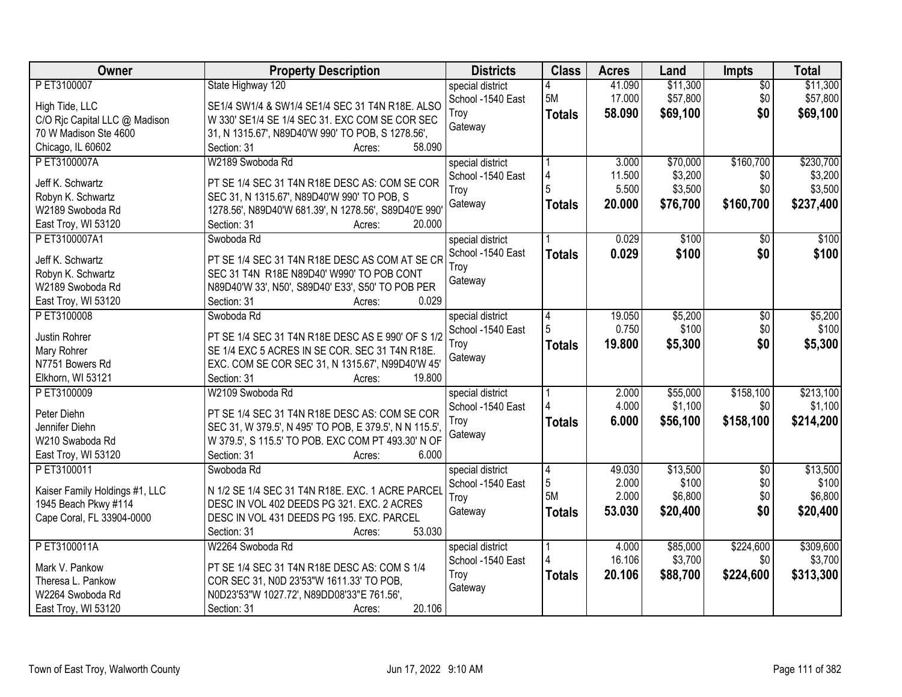| Owner                          | <b>Property Description</b>                                                                         | <b>Districts</b>                      | <b>Class</b>   | <b>Acres</b> | Land     | <b>Impts</b>    | <b>Total</b> |
|--------------------------------|-----------------------------------------------------------------------------------------------------|---------------------------------------|----------------|--------------|----------|-----------------|--------------|
| PET3100007                     | State Highway 120                                                                                   | special district                      |                | 41.090       | \$11,300 | $\overline{50}$ | \$11,300     |
| High Tide, LLC                 | SE1/4 SW1/4 & SW1/4 SE1/4 SEC 31 T4N R18E. ALSO                                                     | School -1540 East                     | 5M             | 17.000       | \$57,800 | \$0             | \$57,800     |
| C/O Rjc Capital LLC @ Madison  | W 330' SE1/4 SE 1/4 SEC 31. EXC COM SE COR SEC                                                      | Troy                                  | <b>Totals</b>  | 58.090       | \$69,100 | \$0             | \$69,100     |
| 70 W Madison Ste 4600          | 31, N 1315.67', N89D40'W 990' TO POB, S 1278.56',                                                   | Gateway                               |                |              |          |                 |              |
| Chicago, IL 60602              | Section: 31<br>58.090<br>Acres:                                                                     |                                       |                |              |          |                 |              |
| PET3100007A                    | W2189 Swoboda Rd                                                                                    | special district                      |                | 3.000        | \$70,000 | \$160,700       | \$230,700    |
|                                |                                                                                                     | School -1540 East                     | 4              | 11.500       | \$3,200  | \$0             | \$3,200      |
| Jeff K. Schwartz               | PT SE 1/4 SEC 31 T4N R18E DESC AS: COM SE COR                                                       | Troy                                  | 5              | 5.500        | \$3,500  | \$0             | \$3,500      |
| Robyn K. Schwartz              | SEC 31, N 1315.67', N89D40'W 990' TO POB, S                                                         | Gateway                               | <b>Totals</b>  | 20.000       | \$76,700 | \$160,700       | \$237,400    |
| W2189 Swoboda Rd               | 1278.56', N89D40'W 681.39', N 1278.56', S89D40'E 990'                                               |                                       |                |              |          |                 |              |
| East Troy, WI 53120            | 20.000<br>Section: 31<br>Acres:                                                                     |                                       |                |              |          |                 |              |
| PET3100007A1                   | Swoboda Rd                                                                                          | special district                      |                | 0.029        | \$100    | $\overline{50}$ | \$100        |
| Jeff K. Schwartz               | PT SE 1/4 SEC 31 T4N R18E DESC AS COM AT SE CR                                                      | School -1540 East                     | <b>Totals</b>  | 0.029        | \$100    | \$0             | \$100        |
| Robyn K. Schwartz              | SEC 31 T4N R18E N89D40' W990' TO POB CONT                                                           | Troy                                  |                |              |          |                 |              |
| W2189 Swoboda Rd               | N89D40'W 33', N50', S89D40' E33', S50' TO POB PER                                                   | Gateway                               |                |              |          |                 |              |
| East Troy, WI 53120            | 0.029<br>Section: 31<br>Acres:                                                                      |                                       |                |              |          |                 |              |
| PET3100008                     | Swoboda Rd                                                                                          | special district                      | 4              | 19.050       | \$5,200  | \$0             | \$5,200      |
|                                |                                                                                                     | School -1540 East                     | 5              | 0.750        | \$100    | \$0             | \$100        |
| Justin Rohrer                  | PT SE 1/4 SEC 31 T4N R18E DESC AS E 990' OF S 1/2<br>SE 1/4 EXC 5 ACRES IN SE COR. SEC 31 T4N R18E. | Troy                                  | <b>Totals</b>  | 19.800       | \$5,300  | \$0             | \$5,300      |
| Mary Rohrer<br>N7751 Bowers Rd |                                                                                                     | Gateway                               |                |              |          |                 |              |
| Elkhorn, WI 53121              | EXC. COM SE COR SEC 31, N 1315.67', N99D40'W 45'<br>Section: 31<br>19.800<br>Acres:                 |                                       |                |              |          |                 |              |
| P ET3100009                    | W2109 Swoboda Rd                                                                                    |                                       |                | 2.000        | \$55,000 | \$158,100       | \$213,100    |
|                                |                                                                                                     | special district<br>School -1540 East |                | 4.000        | \$1,100  | \$0             | \$1,100      |
| Peter Diehn                    | PT SE 1/4 SEC 31 T4N R18E DESC AS: COM SE COR                                                       | Troy                                  |                | 6.000        |          | \$158,100       |              |
| Jennifer Diehn                 | SEC 31, W 379.5', N 495' TO POB, E 379.5', N N 115.5'                                               | Gateway                               | <b>Totals</b>  |              | \$56,100 |                 | \$214,200    |
| W210 Swaboda Rd                | W 379.5', S 115.5' TO POB. EXC COM PT 493.30' N OF                                                  |                                       |                |              |          |                 |              |
| East Troy, WI 53120            | Section: 31<br>6.000<br>Acres:                                                                      |                                       |                |              |          |                 |              |
| PET3100011                     | Swoboda Rd                                                                                          | special district                      | $\overline{4}$ | 49.030       | \$13,500 | $\overline{50}$ | \$13,500     |
| Kaiser Family Holdings #1, LLC | N 1/2 SE 1/4 SEC 31 T4N R18E. EXC. 1 ACRE PARCEL                                                    | School -1540 East                     | 5              | 2.000        | \$100    | \$0             | \$100        |
| 1945 Beach Pkwy #114           | DESC IN VOL 402 DEEDS PG 321. EXC. 2 ACRES                                                          | Troy                                  | 5M             | 2.000        | \$6,800  | \$0             | \$6,800      |
| Cape Coral, FL 33904-0000      | DESC IN VOL 431 DEEDS PG 195. EXC. PARCEL                                                           | Gateway                               | <b>Totals</b>  | 53.030       | \$20,400 | \$0             | \$20,400     |
|                                | 53.030<br>Section: 31<br>Acres:                                                                     |                                       |                |              |          |                 |              |
| PET3100011A                    | W2264 Swoboda Rd                                                                                    | special district                      |                | 4.000        | \$85,000 | \$224,600       | \$309,600    |
|                                |                                                                                                     | School -1540 East                     |                | 16.106       | \$3,700  | \$0             | \$3,700      |
| Mark V. Pankow                 | PT SE 1/4 SEC 31 T4N R18E DESC AS: COM S 1/4                                                        | Troy                                  | <b>Totals</b>  | 20.106       | \$88,700 | \$224,600       | \$313,300    |
| Theresa L. Pankow              | COR SEC 31, N0D 23'53"W 1611.33' TO POB,                                                            | Gateway                               |                |              |          |                 |              |
| W2264 Swoboda Rd               | N0D23'53"W 1027.72', N89DD08'33"E 761.56',                                                          |                                       |                |              |          |                 |              |
| East Troy, WI 53120            | 20.106<br>Section: 31<br>Acres:                                                                     |                                       |                |              |          |                 |              |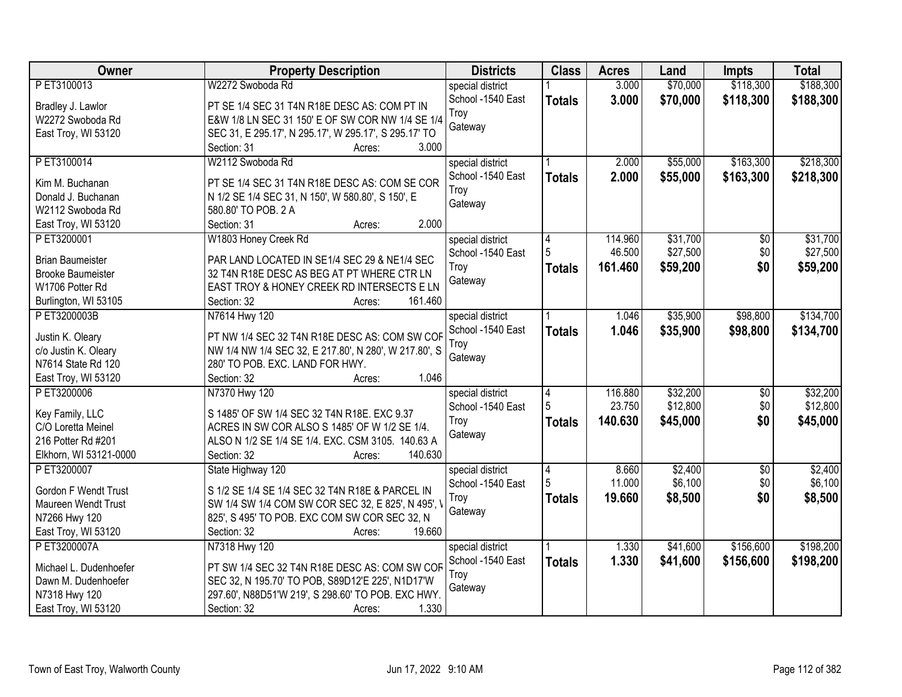| <b>Owner</b>             | <b>Property Description</b>                           | <b>Districts</b>  | <b>Class</b>  | <b>Acres</b> | Land     | <b>Impts</b>    | <b>Total</b> |
|--------------------------|-------------------------------------------------------|-------------------|---------------|--------------|----------|-----------------|--------------|
| PET3100013               | W2272 Swoboda Rd                                      | special district  |               | 3.000        | \$70,000 | \$118,300       | \$188,300    |
| Bradley J. Lawlor        | PT SE 1/4 SEC 31 T4N R18E DESC AS: COM PT IN          | School -1540 East | <b>Totals</b> | 3.000        | \$70,000 | \$118,300       | \$188,300    |
| W2272 Swoboda Rd         | E&W 1/8 LN SEC 31 150' E OF SW COR NW 1/4 SE 1/4      | Troy              |               |              |          |                 |              |
| East Troy, WI 53120      | SEC 31, E 295.17', N 295.17', W 295.17', S 295.17' TO | Gateway           |               |              |          |                 |              |
|                          | 3.000<br>Section: 31<br>Acres:                        |                   |               |              |          |                 |              |
| PET3100014               | W2112 Swoboda Rd                                      | special district  |               | 2.000        | \$55,000 | \$163,300       | \$218,300    |
|                          |                                                       | School -1540 East | <b>Totals</b> | 2.000        | \$55,000 | \$163,300       | \$218,300    |
| Kim M. Buchanan          | PT SE 1/4 SEC 31 T4N R18E DESC AS: COM SE COR         | Troy              |               |              |          |                 |              |
| Donald J. Buchanan       | N 1/2 SE 1/4 SEC 31, N 150', W 580.80', S 150', E     | Gateway           |               |              |          |                 |              |
| W2112 Swoboda Rd         | 580.80' TO POB. 2 A                                   |                   |               |              |          |                 |              |
| East Troy, WI 53120      | 2.000<br>Section: 31<br>Acres:                        |                   |               |              |          |                 |              |
| PET3200001               | W1803 Honey Creek Rd                                  | special district  | 4             | 114.960      | \$31,700 | $\overline{50}$ | \$31,700     |
| <b>Brian Baumeister</b>  | PAR LAND LOCATED IN SE1/4 SEC 29 & NE1/4 SEC          | School -1540 East |               | 46.500       | \$27,500 | \$0             | \$27,500     |
| <b>Brooke Baumeister</b> | 32 T4N R18E DESC AS BEG AT PT WHERE CTR LN            | Troy              | <b>Totals</b> | 161.460      | \$59,200 | \$0             | \$59,200     |
| W1706 Potter Rd          | EAST TROY & HONEY CREEK RD INTERSECTS E LN            | Gateway           |               |              |          |                 |              |
| Burlington, WI 53105     | 161.460<br>Section: 32<br>Acres:                      |                   |               |              |          |                 |              |
| PET3200003B              | N7614 Hwy 120                                         | special district  |               | 1.046        | \$35,900 | \$98,800        | \$134,700    |
|                          |                                                       | School -1540 East | <b>Totals</b> | 1.046        | \$35,900 | \$98,800        | \$134,700    |
| Justin K. Oleary         | PT NW 1/4 SEC 32 T4N R18E DESC AS: COM SW COF         | Troy              |               |              |          |                 |              |
| c/o Justin K. Oleary     | NW 1/4 NW 1/4 SEC 32, E 217.80', N 280', W 217.80', S | Gateway           |               |              |          |                 |              |
| N7614 State Rd 120       | 280' TO POB. EXC. LAND FOR HWY.                       |                   |               |              |          |                 |              |
| East Troy, WI 53120      | 1.046<br>Section: 32<br>Acres:                        |                   |               |              |          |                 |              |
| PET3200006               | N7370 Hwy 120                                         | special district  | 4             | 116.880      | \$32,200 | \$0             | \$32,200     |
| Key Family, LLC          | S 1485' OF SW 1/4 SEC 32 T4N R18E. EXC 9.37           | School -1540 East | 5             | 23.750       | \$12,800 | \$0             | \$12,800     |
| C/O Loretta Meinel       | ACRES IN SW COR ALSO S 1485' OF W 1/2 SE 1/4.         | Troy              | <b>Totals</b> | 140.630      | \$45,000 | \$0             | \$45,000     |
| 216 Potter Rd #201       | ALSO N 1/2 SE 1/4 SE 1/4. EXC. CSM 3105. 140.63 A     | Gateway           |               |              |          |                 |              |
| Elkhorn, WI 53121-0000   | 140.630<br>Section: 32<br>Acres:                      |                   |               |              |          |                 |              |
| P ET3200007              | State Highway 120                                     | special district  | 4             | 8.660        | \$2,400  | $\overline{50}$ | \$2,400      |
|                          |                                                       | School -1540 East | 5             | 11.000       | \$6,100  | \$0             | \$6,100      |
| Gordon F Wendt Trust     | S 1/2 SE 1/4 SE 1/4 SEC 32 T4N R18E & PARCEL IN       | Troy              |               | 19.660       |          | \$0             |              |
| Maureen Wendt Trust      | SW 1/4 SW 1/4 COM SW COR SEC 32, E 825', N 495', '    | Gateway           | <b>Totals</b> |              | \$8,500  |                 | \$8,500      |
| N7266 Hwy 120            | 825', S 495' TO POB. EXC COM SW COR SEC 32, N         |                   |               |              |          |                 |              |
| East Troy, WI 53120      | Section: 32<br>19.660<br>Acres:                       |                   |               |              |          |                 |              |
| P ET3200007A             | N7318 Hwy 120                                         | special district  |               | 1.330        | \$41,600 | \$156,600       | \$198,200    |
| Michael L. Dudenhoefer   | PT SW 1/4 SEC 32 T4N R18E DESC AS: COM SW COF         | School -1540 East | <b>Totals</b> | 1.330        | \$41,600 | \$156,600       | \$198,200    |
| Dawn M. Dudenhoefer      | SEC 32, N 195.70' TO POB, S89D12'E 225', N1D17'W      | Troy              |               |              |          |                 |              |
| N7318 Hwy 120            | 297.60', N88D51'W 219', S 298.60' TO POB. EXC HWY.    | Gateway           |               |              |          |                 |              |
| East Troy, WI 53120      | 1.330<br>Section: 32<br>Acres:                        |                   |               |              |          |                 |              |
|                          |                                                       |                   |               |              |          |                 |              |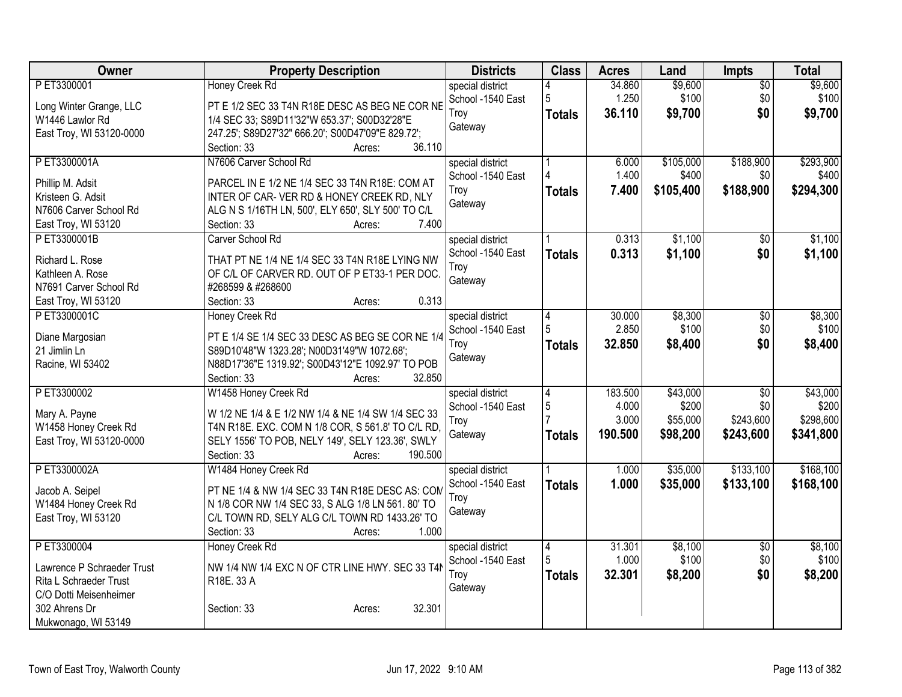| Owner                      | <b>Property Description</b>                                                          | <b>Districts</b>  | <b>Class</b>   | <b>Acres</b> | Land      | <b>Impts</b>    | <b>Total</b> |
|----------------------------|--------------------------------------------------------------------------------------|-------------------|----------------|--------------|-----------|-----------------|--------------|
| PET3300001                 | Honey Creek Rd                                                                       | special district  |                | 34.860       | \$9,600   | $\overline{50}$ | \$9,600      |
| Long Winter Grange, LLC    | PT E 1/2 SEC 33 T4N R18E DESC AS BEG NE COR NE                                       | School -1540 East | 5              | 1.250        | \$100     | \$0             | \$100        |
| W1446 Lawlor Rd            | 1/4 SEC 33; S89D11'32"W 653.37'; S00D32'28"E                                         | Troy              | <b>Totals</b>  | 36.110       | \$9,700   | \$0             | \$9,700      |
| East Troy, WI 53120-0000   | 247.25'; S89D27'32" 666.20'; S00D47'09"E 829.72';                                    | Gateway           |                |              |           |                 |              |
|                            | 36.110<br>Section: 33<br>Acres:                                                      |                   |                |              |           |                 |              |
| PET3300001A                | N7606 Carver School Rd                                                               | special district  |                | 6.000        | \$105,000 | \$188,900       | \$293,900    |
| Phillip M. Adsit           | PARCEL IN E 1/2 NE 1/4 SEC 33 T4N R18E: COM AT                                       | School -1540 East |                | 1.400        | \$400     | \$0             | \$400        |
| Kristeen G. Adsit          | INTER OF CAR-VER RD & HONEY CREEK RD, NLY                                            | Troy              | <b>Totals</b>  | 7.400        | \$105,400 | \$188,900       | \$294,300    |
| N7606 Carver School Rd     | ALG N S 1/16TH LN, 500', ELY 650', SLY 500' TO C/L                                   | Gateway           |                |              |           |                 |              |
| East Troy, WI 53120        | 7.400<br>Section: 33<br>Acres:                                                       |                   |                |              |           |                 |              |
| PET3300001B                | Carver School Rd                                                                     | special district  |                | 0.313        | \$1,100   | \$0             | \$1,100      |
|                            |                                                                                      | School -1540 East | <b>Totals</b>  | 0.313        | \$1,100   | \$0             | \$1,100      |
| Richard L. Rose            | THAT PT NE 1/4 NE 1/4 SEC 33 T4N R18E LYING NW                                       | Troy              |                |              |           |                 |              |
| Kathleen A. Rose           | OF C/L OF CARVER RD. OUT OF P ET33-1 PER DOC.                                        | Gateway           |                |              |           |                 |              |
| N7691 Carver School Rd     | #268599 & #268600                                                                    |                   |                |              |           |                 |              |
| East Troy, WI 53120        | 0.313<br>Section: 33<br>Acres:                                                       |                   |                |              |           |                 |              |
| PET3300001C                | Honey Creek Rd                                                                       | special district  | 4              | 30.000       | \$8,300   | $\overline{50}$ | \$8,300      |
| Diane Margosian            | PT E 1/4 SE 1/4 SEC 33 DESC AS BEG SE COR NE 1/4                                     | School -1540 East | 5              | 2.850        | \$100     | \$0             | \$100        |
| 21 Jimlin Ln               | S89D10'48"W 1323.28'; N00D31'49"W 1072.68';                                          | Troy              | <b>Totals</b>  | 32.850       | \$8,400   | \$0             | \$8,400      |
| Racine, WI 53402           | N88D17'36"E 1319.92'; S00D43'12"E 1092.97' TO POB                                    | Gateway           |                |              |           |                 |              |
|                            | 32.850<br>Section: 33<br>Acres:                                                      |                   |                |              |           |                 |              |
| PET3300002                 | W1458 Honey Creek Rd                                                                 | special district  | 4              | 183.500      | \$43,000  | $\overline{30}$ | \$43,000     |
|                            |                                                                                      | School -1540 East | 5              | 4.000        | \$200     | \$0             | \$200        |
| Mary A. Payne              | W 1/2 NE 1/4 & E 1/2 NW 1/4 & NE 1/4 SW 1/4 SEC 33                                   | Troy              |                | 3.000        | \$55,000  | \$243,600       | \$298,600    |
| W1458 Honey Creek Rd       | T4N R18E. EXC. COM N 1/8 COR, S 561.8' TO C/L RD,                                    | Gateway           | <b>Totals</b>  | 190.500      | \$98,200  | \$243,600       | \$341,800    |
| East Troy, WI 53120-0000   | SELY 1556' TO POB, NELY 149', SELY 123.36', SWLY<br>190.500<br>Section: 33<br>Acres: |                   |                |              |           |                 |              |
| PET3300002A                | W1484 Honey Creek Rd                                                                 | special district  |                | 1.000        | \$35,000  | \$133,100       | \$168,100    |
|                            |                                                                                      | School -1540 East |                | 1.000        |           |                 |              |
| Jacob A. Seipel            | PT NE 1/4 & NW 1/4 SEC 33 T4N R18E DESC AS: COM                                      | Troy              | <b>Totals</b>  |              | \$35,000  | \$133,100       | \$168,100    |
| W1484 Honey Creek Rd       | N 1/8 COR NW 1/4 SEC 33, S ALG 1/8 LN 561. 80' TO                                    | Gateway           |                |              |           |                 |              |
| East Troy, WI 53120        | C/L TOWN RD, SELY ALG C/L TOWN RD 1433.26' TO                                        |                   |                |              |           |                 |              |
|                            | 1.000<br>Section: 33<br>Acres:                                                       |                   |                |              |           |                 |              |
| PET3300004                 | Honey Creek Rd                                                                       | special district  | $\overline{4}$ | 31.301       | \$8,100   | $\overline{50}$ | \$8,100      |
| Lawrence P Schraeder Trust | NW 1/4 NW 1/4 EXC N OF CTR LINE HWY. SEC 33 T4M                                      | School -1540 East | 5              | 1.000        | \$100     | \$0             | \$100        |
| Rita L Schraeder Trust     | R18E. 33 A                                                                           | Troy              | <b>Totals</b>  | 32.301       | \$8,200   | \$0             | \$8,200      |
| C/O Dotti Meisenheimer     |                                                                                      | Gateway           |                |              |           |                 |              |
| 302 Ahrens Dr              | 32.301<br>Section: 33<br>Acres:                                                      |                   |                |              |           |                 |              |
| Mukwonago, WI 53149        |                                                                                      |                   |                |              |           |                 |              |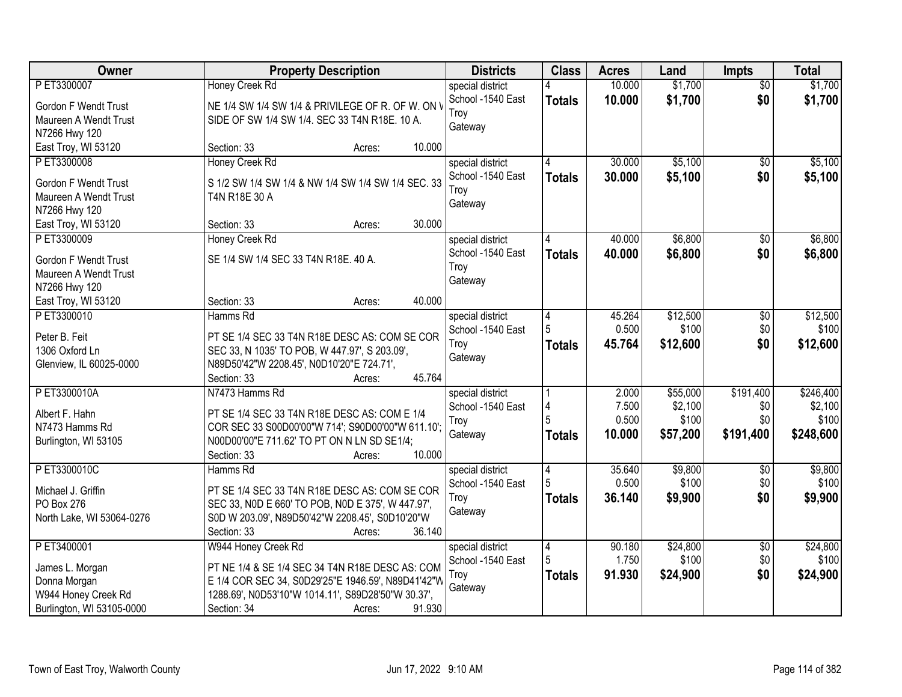| Owner                       | <b>Property Description</b>                        | <b>Districts</b>  | <b>Class</b>  | <b>Acres</b> | Land              | <b>Impts</b>           | <b>Total</b>      |
|-----------------------------|----------------------------------------------------|-------------------|---------------|--------------|-------------------|------------------------|-------------------|
| PET3300007                  | <b>Honey Creek Rd</b>                              | special district  |               | 10.000       | \$1,700           | $\overline{50}$        | \$1,700           |
| <b>Gordon F Wendt Trust</b> | NE 1/4 SW 1/4 SW 1/4 & PRIVILEGE OF R. OF W. ON \  | School -1540 East | <b>Totals</b> | 10.000       | \$1,700           | \$0                    | \$1,700           |
| Maureen A Wendt Trust       | SIDE OF SW 1/4 SW 1/4. SEC 33 T4N R18E. 10 A.      | Troy              |               |              |                   |                        |                   |
| N7266 Hwy 120               |                                                    | Gateway           |               |              |                   |                        |                   |
| East Troy, WI 53120         | 10.000<br>Section: 33<br>Acres:                    |                   |               |              |                   |                        |                   |
| PET3300008                  | Honey Creek Rd                                     | special district  |               | 30.000       | \$5,100           | $\overline{50}$        | \$5,100           |
|                             |                                                    | School -1540 East | <b>Totals</b> | 30.000       | \$5,100           | \$0                    | \$5,100           |
| <b>Gordon F Wendt Trust</b> | S 1/2 SW 1/4 SW 1/4 & NW 1/4 SW 1/4 SW 1/4 SEC. 33 | Troy              |               |              |                   |                        |                   |
| Maureen A Wendt Trust       | T4N R18E 30 A                                      | Gateway           |               |              |                   |                        |                   |
| N7266 Hwy 120               |                                                    |                   |               |              |                   |                        |                   |
| East Troy, WI 53120         | 30.000<br>Section: 33<br>Acres:                    |                   |               |              |                   |                        |                   |
| PET3300009                  | Honey Creek Rd                                     | special district  |               | 40.000       | \$6,800           | \$0                    | \$6,800           |
| <b>Gordon F Wendt Trust</b> | SE 1/4 SW 1/4 SEC 33 T4N R18E. 40 A.               | School -1540 East | <b>Totals</b> | 40.000       | \$6,800           | \$0                    | \$6,800           |
| Maureen A Wendt Trust       |                                                    | Troy              |               |              |                   |                        |                   |
| N7266 Hwy 120               |                                                    | Gateway           |               |              |                   |                        |                   |
| East Troy, WI 53120         | 40.000<br>Section: 33<br>Acres:                    |                   |               |              |                   |                        |                   |
| PET3300010                  | Hamms Rd                                           | special district  | 4             | 45.264       | \$12,500          | \$0                    | \$12,500          |
|                             |                                                    | School -1540 East | 5             | 0.500        | \$100             | \$0                    | \$100             |
| Peter B. Feit               | PT SE 1/4 SEC 33 T4N R18E DESC AS: COM SE COR      | Troy              | Totals        | 45.764       | \$12,600          | \$0                    | \$12,600          |
| 1306 Oxford Ln              | SEC 33, N 1035' TO POB, W 447.97', S 203.09',      | Gateway           |               |              |                   |                        |                   |
| Glenview, IL 60025-0000     | N89D50'42"W 2208.45', N0D10'20"E 724.71',          |                   |               |              |                   |                        |                   |
|                             | 45.764<br>Section: 33<br>Acres:                    |                   |               |              |                   |                        |                   |
| P ET3300010A                | N7473 Hamms Rd                                     | special district  |               | 2.000        | \$55,000          | \$191,400              | \$246,400         |
| Albert F. Hahn              | PT SE 1/4 SEC 33 T4N R18E DESC AS: COM E 1/4       | School -1540 East | 4             | 7.500        | \$2,100           | \$0                    | \$2,100           |
| N7473 Hamms Rd              | COR SEC 33 S00D00'00"W 714'; S90D00'00"W 611.10';  | Troy              |               | 0.500        | \$100             | \$0                    | \$100             |
| Burlington, WI 53105        | N00D00'00"E 711.62' TO PT ON N LN SD SE1/4;        | Gateway           | Totals        | 10.000       | \$57,200          | \$191,400              | \$248,600         |
|                             | 10.000<br>Section: 33<br>Acres:                    |                   |               |              |                   |                        |                   |
| PET3300010C                 | Hamms Rd                                           | special district  | 4             | 35.640       | \$9,800           | \$0                    | \$9,800           |
| Michael J. Griffin          | PT SE 1/4 SEC 33 T4N R18E DESC AS: COM SE COR      | School -1540 East |               | 0.500        | \$100             | \$0                    | \$100             |
| PO Box 276                  | SEC 33, NOD E 660' TO POB, NOD E 375', W 447.97',  | Troy              | <b>Totals</b> | 36.140       | \$9,900           | \$0                    | \$9,900           |
| North Lake, WI 53064-0276   | S0D W 203.09', N89D50'42"W 2208.45', S0D10'20"W    | Gateway           |               |              |                   |                        |                   |
|                             | 36.140<br>Section: 33                              |                   |               |              |                   |                        |                   |
|                             | Acres:                                             |                   |               | 90.180       |                   |                        |                   |
| PET3400001                  | W944 Honey Creek Rd                                | special district  | 4<br>5        | 1.750        | \$24,800<br>\$100 | $\overline{30}$<br>\$0 | \$24,800<br>\$100 |
| James L. Morgan             | PT NE 1/4 & SE 1/4 SEC 34 T4N R18E DESC AS: COM    | School -1540 East |               |              |                   | \$0                    |                   |
| Donna Morgan                | E 1/4 COR SEC 34, S0D29'25"E 1946.59', N89D41'42"W | Troy              | <b>Totals</b> | 91.930       | \$24,900          |                        | \$24,900          |
| W944 Honey Creek Rd         | 1288.69', N0D53'10"W 1014.11', S89D28'50"W 30.37', | Gateway           |               |              |                   |                        |                   |
| Burlington, WI 53105-0000   | 91.930<br>Section: 34<br>Acres:                    |                   |               |              |                   |                        |                   |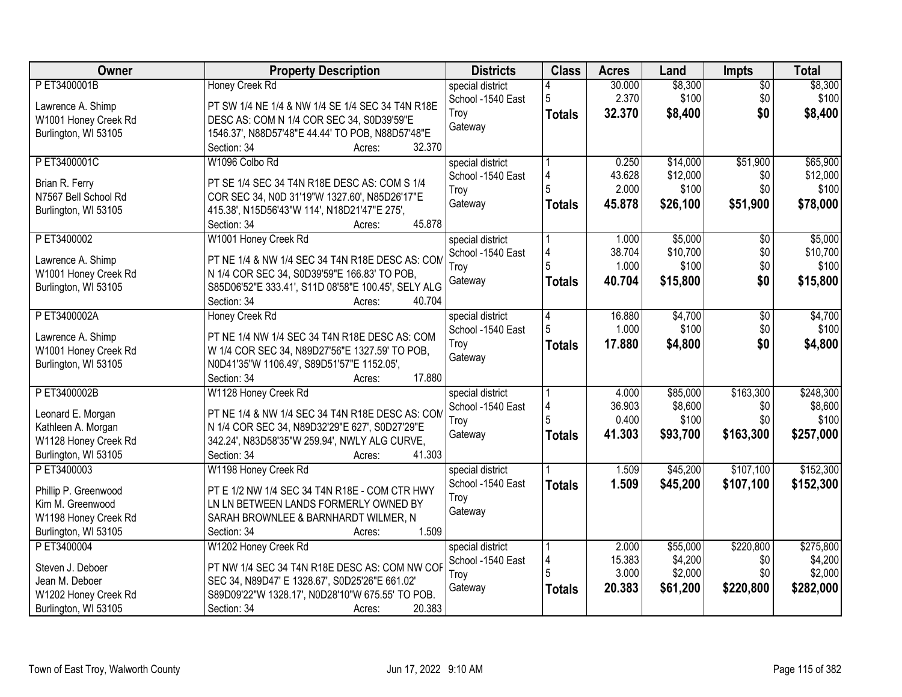| Owner                                        | <b>Property Description</b>                             | <b>Districts</b>  | <b>Class</b>  | <b>Acres</b> | Land     | Impts           | <b>Total</b> |
|----------------------------------------------|---------------------------------------------------------|-------------------|---------------|--------------|----------|-----------------|--------------|
| PET3400001B                                  | <b>Honey Creek Rd</b>                                   | special district  |               | 30.000       | \$8,300  | $\overline{50}$ | \$8,300      |
| Lawrence A. Shimp                            | PT SW 1/4 NE 1/4 & NW 1/4 SE 1/4 SEC 34 T4N R18E        | School -1540 East | 5             | 2.370        | \$100    | \$0             | \$100        |
| W1001 Honey Creek Rd                         | DESC AS: COM N 1/4 COR SEC 34, S0D39'59"E               | Troy              | <b>Totals</b> | 32.370       | \$8,400  | \$0             | \$8,400      |
| Burlington, WI 53105                         | 1546.37', N88D57'48"E 44.44' TO POB, N88D57'48"E        | Gateway           |               |              |          |                 |              |
|                                              | 32.370<br>Section: 34<br>Acres:                         |                   |               |              |          |                 |              |
| PET3400001C                                  | W1096 Colbo Rd                                          | special district  |               | 0.250        | \$14,000 | \$51,900        | \$65,900     |
|                                              |                                                         | School -1540 East | 4             | 43.628       | \$12,000 | \$0             | \$12,000     |
| Brian R. Ferry                               | PT SE 1/4 SEC 34 T4N R18E DESC AS: COM S 1/4            | Troy              |               | 2.000        | \$100    | \$0             | \$100        |
| N7567 Bell School Rd                         | COR SEC 34, N0D 31'19"W 1327.60', N85D26'17"E           | Gateway           |               | 45.878       | \$26,100 | \$51,900        | \$78,000     |
| Burlington, WI 53105                         | 415.38', N15D56'43"W 114', N18D21'47"E 275',            |                   | <b>Totals</b> |              |          |                 |              |
|                                              | 45.878<br>Section: 34<br>Acres:                         |                   |               |              |          |                 |              |
| PET3400002                                   | W1001 Honey Creek Rd                                    | special district  |               | 1.000        | \$5,000  | \$0             | \$5,000      |
|                                              | PT NE 1/4 & NW 1/4 SEC 34 T4N R18E DESC AS: COM         | School -1540 East | 4             | 38.704       | \$10,700 | \$0             | \$10,700     |
| Lawrence A. Shimp                            | N 1/4 COR SEC 34, S0D39'59"E 166.83' TO POB,            | Troy              |               | 1.000        | \$100    | \$0             | \$100        |
| W1001 Honey Creek Rd<br>Burlington, WI 53105 | S85D06'52"E 333.41', S11D 08'58"E 100.45', SELY ALG     | Gateway           | <b>Totals</b> | 40.704       | \$15,800 | \$0             | \$15,800     |
|                                              | 40.704<br>Section: 34<br>Acres:                         |                   |               |              |          |                 |              |
| P ET3400002A                                 |                                                         |                   |               | 16.880       | \$4,700  |                 | \$4,700      |
|                                              | Honey Creek Rd                                          | special district  | 14            | 1.000        | \$100    | \$0<br>\$0      | \$100        |
| Lawrence A. Shimp                            | PT NE 1/4 NW 1/4 SEC 34 T4N R18E DESC AS: COM           | School -1540 East |               |              |          |                 |              |
| W1001 Honey Creek Rd                         | W 1/4 COR SEC 34, N89D27'56"E 1327.59' TO POB,          | Troy              | <b>Totals</b> | 17.880       | \$4,800  | \$0             | \$4,800      |
| Burlington, WI 53105                         | N0D41'35"W 1106.49', S89D51'57"E 1152.05',              | Gateway           |               |              |          |                 |              |
|                                              | 17.880<br>Section: 34<br>Acres:                         |                   |               |              |          |                 |              |
| PET3400002B                                  | W1128 Honey Creek Rd                                    | special district  |               | 4.000        | \$85,000 | \$163,300       | \$248,300    |
|                                              |                                                         | School -1540 East | 4             | 36.903       | \$8,600  | \$0             | \$8,600      |
| Leonard E. Morgan                            | PT NE 1/4 & NW 1/4 SEC 34 T4N R18E DESC AS: COM         | Troy              |               | 0.400        | \$100    | \$0             | \$100        |
| Kathleen A. Morgan                           | N 1/4 COR SEC 34, N89D32'29"E 627', S0D27'29"E          | Gateway           | <b>Totals</b> | 41.303       | \$93,700 | \$163,300       | \$257,000    |
| W1128 Honey Creek Rd                         | 342.24', N83D58'35"W 259.94', NWLY ALG CURVE,<br>41.303 |                   |               |              |          |                 |              |
| Burlington, WI 53105                         | Section: 34<br>Acres:                                   |                   |               |              |          |                 |              |
| P ET3400003                                  | W1198 Honey Creek Rd                                    | special district  |               | 1.509        | \$45,200 | \$107,100       | \$152,300    |
| Phillip P. Greenwood                         | PT E 1/2 NW 1/4 SEC 34 T4N R18E - COM CTR HWY           | School -1540 East | <b>Totals</b> | 1.509        | \$45,200 | \$107,100       | \$152,300    |
| Kim M. Greenwood                             | LN LN BETWEEN LANDS FORMERLY OWNED BY                   | Troy              |               |              |          |                 |              |
| W1198 Honey Creek Rd                         | SARAH BROWNLEE & BARNHARDT WILMER, N                    | Gateway           |               |              |          |                 |              |
| Burlington, WI 53105                         | 1.509<br>Section: 34<br>Acres:                          |                   |               |              |          |                 |              |
| P ET3400004                                  | W1202 Honey Creek Rd                                    | special district  |               | 2.000        | \$55,000 | \$220,800       | \$275,800    |
|                                              |                                                         | School -1540 East | 14            | 15.383       | \$4,200  | \$0             | \$4,200      |
| Steven J. Deboer                             | PT NW 1/4 SEC 34 T4N R18E DESC AS: COM NW COF           | Troy              |               | 3.000        | \$2,000  | \$0             | \$2,000      |
| Jean M. Deboer                               | SEC 34, N89D47' E 1328.67', S0D25'26"E 661.02'          | Gateway           | <b>Totals</b> | 20.383       | \$61,200 | \$220,800       | \$282,000    |
| W1202 Honey Creek Rd                         | S89D09'22"W 1328.17', N0D28'10"W 675.55' TO POB.        |                   |               |              |          |                 |              |
| Burlington, WI 53105                         | 20.383<br>Section: 34<br>Acres:                         |                   |               |              |          |                 |              |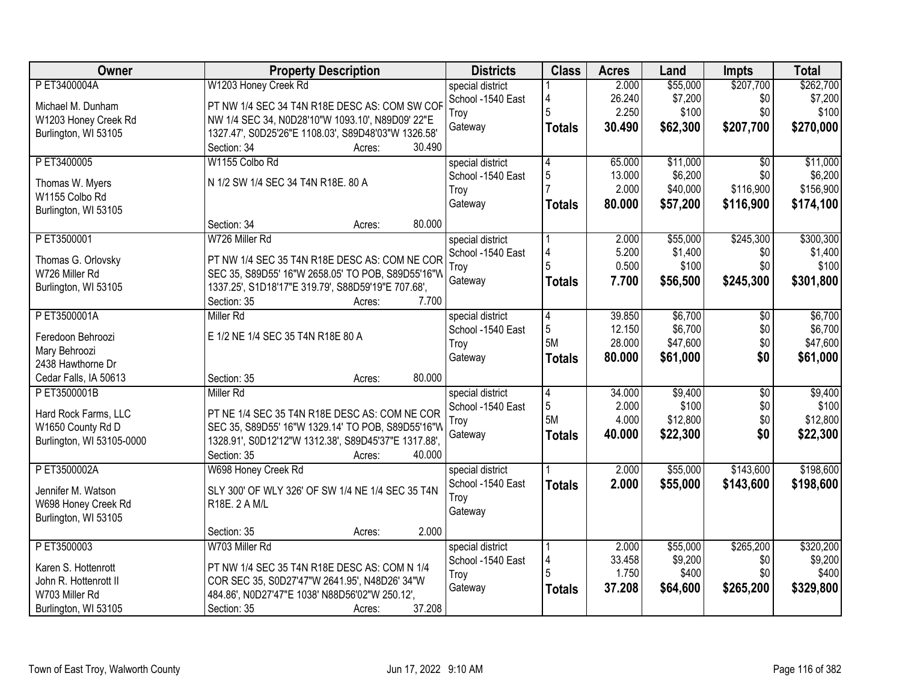| special district<br>\$7,200<br>26.240<br>\$0<br>\$7,200<br>School -1540 East<br>4<br>PT NW 1/4 SEC 34 T4N R18E DESC AS: COM SW COF<br>Michael M. Dunham<br>2.250<br>\$100<br>\$0<br>\$100<br>5<br>Troy<br>W1203 Honey Creek Rd<br>NW 1/4 SEC 34, N0D28'10"W 1093.10', N89D09' 22"E<br>30.490<br>\$62,300<br>\$207,700<br>\$270,000<br>Gateway<br><b>Totals</b><br>1327.47', S0D25'26"E 1108.03', S89D48'03"W 1326.58'<br>Burlington, WI 53105<br>30.490<br>Section: 34<br>Acres:<br>\$11,000<br>P ET3400005<br>W1155 Colbo Rd<br>65.000<br>\$11,000<br>$\overline{50}$<br>special district<br>4<br>5<br>\$6,200<br>\$0<br>\$6,200<br>School -1540 East<br>13.000<br>N 1/2 SW 1/4 SEC 34 T4N R18E. 80 A<br>Thomas W. Myers<br>2.000<br>\$40,000<br>\$116,900<br>\$156,900<br>Troy<br>W1155 Colbo Rd<br>80.000<br>\$57,200<br>\$116,900<br>\$174,100<br>Gateway<br>Totals<br>Burlington, WI 53105<br>80.000<br>Section: 34<br>Acres:<br>\$245,300<br>\$300,300<br>PET3500001<br>W726 Miller Rd<br>\$55,000<br>special district<br>2.000<br>5.200<br>\$1,400<br>\$0<br>\$1,400<br>School -1540 East<br>4<br>PT NW 1/4 SEC 35 T4N R18E DESC AS: COM NE COR<br>Thomas G. Orlovsky<br>\$100<br>0.500<br>\$100<br>\$0<br>Troy<br>W726 Miller Rd<br>SEC 35, S89D55' 16"W 2658.05' TO POB, S89D55'16"W<br>Gateway<br>\$245,300<br>\$301,800<br>7.700<br>\$56,500<br><b>Totals</b><br>1337.25', S1D18'17"E 319.79', S88D59'19"E 707.68',<br>Burlington, WI 53105<br>7.700<br>Section: 35<br>Acres:<br>P ET3500001A<br>Miller Rd<br>\$6,700<br>\$6,700<br>special district<br>39.850<br>\$0<br>4<br>\$6,700<br>\$6,700<br>5<br>12.150<br>\$0<br>School -1540 East<br>Feredoon Behroozi<br>E 1/2 NE 1/4 SEC 35 T4N R18E 80 A<br>5M<br>28.000<br>\$47,600<br>\$0<br>\$47,600<br>Troy<br>Mary Behroozi<br>\$61,000<br>\$0<br>80.000<br>\$61,000<br>Gateway<br><b>Totals</b><br>2438 Hawthorne Dr<br>80.000<br>Cedar Falls, IA 50613<br>Section: 35<br>Acres:<br>34.000<br>\$9,400<br>$\overline{50}$<br>\$9,400<br>PET3500001B<br><b>Miller Rd</b><br>$\overline{4}$<br>special district<br>5<br>2.000<br>\$100<br>\$0<br>\$100<br>School -1540 East<br>Hard Rock Farms, LLC<br>PT NE 1/4 SEC 35 T4N R18E DESC AS: COM NE COR<br>5M<br>\$0<br>\$12,800<br>4.000<br>\$12,800<br>Troy<br>SEC 35, S89D55' 16"W 1329.14' TO POB, S89D55'16"W<br>W1650 County Rd D<br>\$0<br>Gateway<br>40.000<br>\$22,300<br>\$22,300<br><b>Totals</b><br>1328.91', S0D12'12"W 1312.38', S89D45'37"E 1317.88',<br>Burlington, WI 53105-0000<br>40.000<br>Section: 35<br>Acres:<br>\$55,000<br>\$143,600<br>P ET3500002A<br>W698 Honey Creek Rd<br>2.000<br>special district<br>School -1540 East<br>2.000<br>\$55,000<br>\$143,600<br><b>Totals</b><br>SLY 300' OF WLY 326' OF SW 1/4 NE 1/4 SEC 35 T4N<br>Jennifer M. Watson<br>Troy<br>W698 Honey Creek Rd<br>R18E. 2 A M/L<br>Gateway<br>Burlington, WI 53105<br>2.000<br>Section: 35<br>Acres:<br>\$265,200<br>P ET3500003<br>W703 Miller Rd<br>\$55,000<br>\$320,200<br>special district<br>2.000 | Owner        | <b>Property Description</b> | <b>Districts</b>  | <b>Class</b> | <b>Acres</b> | Land     | <b>Impts</b> | <b>Total</b> |
|----------------------------------------------------------------------------------------------------------------------------------------------------------------------------------------------------------------------------------------------------------------------------------------------------------------------------------------------------------------------------------------------------------------------------------------------------------------------------------------------------------------------------------------------------------------------------------------------------------------------------------------------------------------------------------------------------------------------------------------------------------------------------------------------------------------------------------------------------------------------------------------------------------------------------------------------------------------------------------------------------------------------------------------------------------------------------------------------------------------------------------------------------------------------------------------------------------------------------------------------------------------------------------------------------------------------------------------------------------------------------------------------------------------------------------------------------------------------------------------------------------------------------------------------------------------------------------------------------------------------------------------------------------------------------------------------------------------------------------------------------------------------------------------------------------------------------------------------------------------------------------------------------------------------------------------------------------------------------------------------------------------------------------------------------------------------------------------------------------------------------------------------------------------------------------------------------------------------------------------------------------------------------------------------------------------------------------------------------------------------------------------------------------------------------------------------------------------------------------------------------------------------------------------------------------------------------------------------------------------------------------------------------------------------------------------------------------------------------------------------------------------------------------------------------------------------------------------------------------------------------------------------------------------------------------------------------------------------------------------------------------------------|--------------|-----------------------------|-------------------|--------------|--------------|----------|--------------|--------------|
|                                                                                                                                                                                                                                                                                                                                                                                                                                                                                                                                                                                                                                                                                                                                                                                                                                                                                                                                                                                                                                                                                                                                                                                                                                                                                                                                                                                                                                                                                                                                                                                                                                                                                                                                                                                                                                                                                                                                                                                                                                                                                                                                                                                                                                                                                                                                                                                                                                                                                                                                                                                                                                                                                                                                                                                                                                                                                                                                                                                                                      | P ET3400004A | W1203 Honey Creek Rd        |                   |              | 2.000        | \$55,000 | \$207,700    | \$262,700    |
|                                                                                                                                                                                                                                                                                                                                                                                                                                                                                                                                                                                                                                                                                                                                                                                                                                                                                                                                                                                                                                                                                                                                                                                                                                                                                                                                                                                                                                                                                                                                                                                                                                                                                                                                                                                                                                                                                                                                                                                                                                                                                                                                                                                                                                                                                                                                                                                                                                                                                                                                                                                                                                                                                                                                                                                                                                                                                                                                                                                                                      |              |                             |                   |              |              |          |              |              |
|                                                                                                                                                                                                                                                                                                                                                                                                                                                                                                                                                                                                                                                                                                                                                                                                                                                                                                                                                                                                                                                                                                                                                                                                                                                                                                                                                                                                                                                                                                                                                                                                                                                                                                                                                                                                                                                                                                                                                                                                                                                                                                                                                                                                                                                                                                                                                                                                                                                                                                                                                                                                                                                                                                                                                                                                                                                                                                                                                                                                                      |              |                             |                   |              |              |          |              |              |
|                                                                                                                                                                                                                                                                                                                                                                                                                                                                                                                                                                                                                                                                                                                                                                                                                                                                                                                                                                                                                                                                                                                                                                                                                                                                                                                                                                                                                                                                                                                                                                                                                                                                                                                                                                                                                                                                                                                                                                                                                                                                                                                                                                                                                                                                                                                                                                                                                                                                                                                                                                                                                                                                                                                                                                                                                                                                                                                                                                                                                      |              |                             |                   |              |              |          |              |              |
|                                                                                                                                                                                                                                                                                                                                                                                                                                                                                                                                                                                                                                                                                                                                                                                                                                                                                                                                                                                                                                                                                                                                                                                                                                                                                                                                                                                                                                                                                                                                                                                                                                                                                                                                                                                                                                                                                                                                                                                                                                                                                                                                                                                                                                                                                                                                                                                                                                                                                                                                                                                                                                                                                                                                                                                                                                                                                                                                                                                                                      |              |                             |                   |              |              |          |              |              |
|                                                                                                                                                                                                                                                                                                                                                                                                                                                                                                                                                                                                                                                                                                                                                                                                                                                                                                                                                                                                                                                                                                                                                                                                                                                                                                                                                                                                                                                                                                                                                                                                                                                                                                                                                                                                                                                                                                                                                                                                                                                                                                                                                                                                                                                                                                                                                                                                                                                                                                                                                                                                                                                                                                                                                                                                                                                                                                                                                                                                                      |              |                             |                   |              |              |          |              |              |
|                                                                                                                                                                                                                                                                                                                                                                                                                                                                                                                                                                                                                                                                                                                                                                                                                                                                                                                                                                                                                                                                                                                                                                                                                                                                                                                                                                                                                                                                                                                                                                                                                                                                                                                                                                                                                                                                                                                                                                                                                                                                                                                                                                                                                                                                                                                                                                                                                                                                                                                                                                                                                                                                                                                                                                                                                                                                                                                                                                                                                      |              |                             |                   |              |              |          |              |              |
|                                                                                                                                                                                                                                                                                                                                                                                                                                                                                                                                                                                                                                                                                                                                                                                                                                                                                                                                                                                                                                                                                                                                                                                                                                                                                                                                                                                                                                                                                                                                                                                                                                                                                                                                                                                                                                                                                                                                                                                                                                                                                                                                                                                                                                                                                                                                                                                                                                                                                                                                                                                                                                                                                                                                                                                                                                                                                                                                                                                                                      |              |                             |                   |              |              |          |              |              |
|                                                                                                                                                                                                                                                                                                                                                                                                                                                                                                                                                                                                                                                                                                                                                                                                                                                                                                                                                                                                                                                                                                                                                                                                                                                                                                                                                                                                                                                                                                                                                                                                                                                                                                                                                                                                                                                                                                                                                                                                                                                                                                                                                                                                                                                                                                                                                                                                                                                                                                                                                                                                                                                                                                                                                                                                                                                                                                                                                                                                                      |              |                             |                   |              |              |          |              |              |
|                                                                                                                                                                                                                                                                                                                                                                                                                                                                                                                                                                                                                                                                                                                                                                                                                                                                                                                                                                                                                                                                                                                                                                                                                                                                                                                                                                                                                                                                                                                                                                                                                                                                                                                                                                                                                                                                                                                                                                                                                                                                                                                                                                                                                                                                                                                                                                                                                                                                                                                                                                                                                                                                                                                                                                                                                                                                                                                                                                                                                      |              |                             |                   |              |              |          |              |              |
|                                                                                                                                                                                                                                                                                                                                                                                                                                                                                                                                                                                                                                                                                                                                                                                                                                                                                                                                                                                                                                                                                                                                                                                                                                                                                                                                                                                                                                                                                                                                                                                                                                                                                                                                                                                                                                                                                                                                                                                                                                                                                                                                                                                                                                                                                                                                                                                                                                                                                                                                                                                                                                                                                                                                                                                                                                                                                                                                                                                                                      |              |                             |                   |              |              |          |              |              |
|                                                                                                                                                                                                                                                                                                                                                                                                                                                                                                                                                                                                                                                                                                                                                                                                                                                                                                                                                                                                                                                                                                                                                                                                                                                                                                                                                                                                                                                                                                                                                                                                                                                                                                                                                                                                                                                                                                                                                                                                                                                                                                                                                                                                                                                                                                                                                                                                                                                                                                                                                                                                                                                                                                                                                                                                                                                                                                                                                                                                                      |              |                             |                   |              |              |          |              |              |
|                                                                                                                                                                                                                                                                                                                                                                                                                                                                                                                                                                                                                                                                                                                                                                                                                                                                                                                                                                                                                                                                                                                                                                                                                                                                                                                                                                                                                                                                                                                                                                                                                                                                                                                                                                                                                                                                                                                                                                                                                                                                                                                                                                                                                                                                                                                                                                                                                                                                                                                                                                                                                                                                                                                                                                                                                                                                                                                                                                                                                      |              |                             |                   |              |              |          |              |              |
|                                                                                                                                                                                                                                                                                                                                                                                                                                                                                                                                                                                                                                                                                                                                                                                                                                                                                                                                                                                                                                                                                                                                                                                                                                                                                                                                                                                                                                                                                                                                                                                                                                                                                                                                                                                                                                                                                                                                                                                                                                                                                                                                                                                                                                                                                                                                                                                                                                                                                                                                                                                                                                                                                                                                                                                                                                                                                                                                                                                                                      |              |                             |                   |              |              |          |              |              |
|                                                                                                                                                                                                                                                                                                                                                                                                                                                                                                                                                                                                                                                                                                                                                                                                                                                                                                                                                                                                                                                                                                                                                                                                                                                                                                                                                                                                                                                                                                                                                                                                                                                                                                                                                                                                                                                                                                                                                                                                                                                                                                                                                                                                                                                                                                                                                                                                                                                                                                                                                                                                                                                                                                                                                                                                                                                                                                                                                                                                                      |              |                             |                   |              |              |          |              |              |
|                                                                                                                                                                                                                                                                                                                                                                                                                                                                                                                                                                                                                                                                                                                                                                                                                                                                                                                                                                                                                                                                                                                                                                                                                                                                                                                                                                                                                                                                                                                                                                                                                                                                                                                                                                                                                                                                                                                                                                                                                                                                                                                                                                                                                                                                                                                                                                                                                                                                                                                                                                                                                                                                                                                                                                                                                                                                                                                                                                                                                      |              |                             |                   |              |              |          |              |              |
|                                                                                                                                                                                                                                                                                                                                                                                                                                                                                                                                                                                                                                                                                                                                                                                                                                                                                                                                                                                                                                                                                                                                                                                                                                                                                                                                                                                                                                                                                                                                                                                                                                                                                                                                                                                                                                                                                                                                                                                                                                                                                                                                                                                                                                                                                                                                                                                                                                                                                                                                                                                                                                                                                                                                                                                                                                                                                                                                                                                                                      |              |                             |                   |              |              |          |              |              |
|                                                                                                                                                                                                                                                                                                                                                                                                                                                                                                                                                                                                                                                                                                                                                                                                                                                                                                                                                                                                                                                                                                                                                                                                                                                                                                                                                                                                                                                                                                                                                                                                                                                                                                                                                                                                                                                                                                                                                                                                                                                                                                                                                                                                                                                                                                                                                                                                                                                                                                                                                                                                                                                                                                                                                                                                                                                                                                                                                                                                                      |              |                             |                   |              |              |          |              |              |
| \$198,600<br>\$198,600                                                                                                                                                                                                                                                                                                                                                                                                                                                                                                                                                                                                                                                                                                                                                                                                                                                                                                                                                                                                                                                                                                                                                                                                                                                                                                                                                                                                                                                                                                                                                                                                                                                                                                                                                                                                                                                                                                                                                                                                                                                                                                                                                                                                                                                                                                                                                                                                                                                                                                                                                                                                                                                                                                                                                                                                                                                                                                                                                                                               |              |                             |                   |              |              |          |              |              |
|                                                                                                                                                                                                                                                                                                                                                                                                                                                                                                                                                                                                                                                                                                                                                                                                                                                                                                                                                                                                                                                                                                                                                                                                                                                                                                                                                                                                                                                                                                                                                                                                                                                                                                                                                                                                                                                                                                                                                                                                                                                                                                                                                                                                                                                                                                                                                                                                                                                                                                                                                                                                                                                                                                                                                                                                                                                                                                                                                                                                                      |              |                             |                   |              |              |          |              |              |
|                                                                                                                                                                                                                                                                                                                                                                                                                                                                                                                                                                                                                                                                                                                                                                                                                                                                                                                                                                                                                                                                                                                                                                                                                                                                                                                                                                                                                                                                                                                                                                                                                                                                                                                                                                                                                                                                                                                                                                                                                                                                                                                                                                                                                                                                                                                                                                                                                                                                                                                                                                                                                                                                                                                                                                                                                                                                                                                                                                                                                      |              |                             |                   |              |              |          |              |              |
|                                                                                                                                                                                                                                                                                                                                                                                                                                                                                                                                                                                                                                                                                                                                                                                                                                                                                                                                                                                                                                                                                                                                                                                                                                                                                                                                                                                                                                                                                                                                                                                                                                                                                                                                                                                                                                                                                                                                                                                                                                                                                                                                                                                                                                                                                                                                                                                                                                                                                                                                                                                                                                                                                                                                                                                                                                                                                                                                                                                                                      |              |                             |                   |              |              |          |              |              |
|                                                                                                                                                                                                                                                                                                                                                                                                                                                                                                                                                                                                                                                                                                                                                                                                                                                                                                                                                                                                                                                                                                                                                                                                                                                                                                                                                                                                                                                                                                                                                                                                                                                                                                                                                                                                                                                                                                                                                                                                                                                                                                                                                                                                                                                                                                                                                                                                                                                                                                                                                                                                                                                                                                                                                                                                                                                                                                                                                                                                                      |              |                             |                   |              |              |          |              |              |
|                                                                                                                                                                                                                                                                                                                                                                                                                                                                                                                                                                                                                                                                                                                                                                                                                                                                                                                                                                                                                                                                                                                                                                                                                                                                                                                                                                                                                                                                                                                                                                                                                                                                                                                                                                                                                                                                                                                                                                                                                                                                                                                                                                                                                                                                                                                                                                                                                                                                                                                                                                                                                                                                                                                                                                                                                                                                                                                                                                                                                      |              |                             |                   |              |              |          |              |              |
|                                                                                                                                                                                                                                                                                                                                                                                                                                                                                                                                                                                                                                                                                                                                                                                                                                                                                                                                                                                                                                                                                                                                                                                                                                                                                                                                                                                                                                                                                                                                                                                                                                                                                                                                                                                                                                                                                                                                                                                                                                                                                                                                                                                                                                                                                                                                                                                                                                                                                                                                                                                                                                                                                                                                                                                                                                                                                                                                                                                                                      |              |                             |                   |              |              |          |              |              |
|                                                                                                                                                                                                                                                                                                                                                                                                                                                                                                                                                                                                                                                                                                                                                                                                                                                                                                                                                                                                                                                                                                                                                                                                                                                                                                                                                                                                                                                                                                                                                                                                                                                                                                                                                                                                                                                                                                                                                                                                                                                                                                                                                                                                                                                                                                                                                                                                                                                                                                                                                                                                                                                                                                                                                                                                                                                                                                                                                                                                                      |              |                             |                   |              |              |          |              |              |
|                                                                                                                                                                                                                                                                                                                                                                                                                                                                                                                                                                                                                                                                                                                                                                                                                                                                                                                                                                                                                                                                                                                                                                                                                                                                                                                                                                                                                                                                                                                                                                                                                                                                                                                                                                                                                                                                                                                                                                                                                                                                                                                                                                                                                                                                                                                                                                                                                                                                                                                                                                                                                                                                                                                                                                                                                                                                                                                                                                                                                      |              |                             |                   |              |              |          |              |              |
|                                                                                                                                                                                                                                                                                                                                                                                                                                                                                                                                                                                                                                                                                                                                                                                                                                                                                                                                                                                                                                                                                                                                                                                                                                                                                                                                                                                                                                                                                                                                                                                                                                                                                                                                                                                                                                                                                                                                                                                                                                                                                                                                                                                                                                                                                                                                                                                                                                                                                                                                                                                                                                                                                                                                                                                                                                                                                                                                                                                                                      |              |                             |                   |              |              |          |              |              |
|                                                                                                                                                                                                                                                                                                                                                                                                                                                                                                                                                                                                                                                                                                                                                                                                                                                                                                                                                                                                                                                                                                                                                                                                                                                                                                                                                                                                                                                                                                                                                                                                                                                                                                                                                                                                                                                                                                                                                                                                                                                                                                                                                                                                                                                                                                                                                                                                                                                                                                                                                                                                                                                                                                                                                                                                                                                                                                                                                                                                                      |              |                             |                   |              |              |          |              |              |
|                                                                                                                                                                                                                                                                                                                                                                                                                                                                                                                                                                                                                                                                                                                                                                                                                                                                                                                                                                                                                                                                                                                                                                                                                                                                                                                                                                                                                                                                                                                                                                                                                                                                                                                                                                                                                                                                                                                                                                                                                                                                                                                                                                                                                                                                                                                                                                                                                                                                                                                                                                                                                                                                                                                                                                                                                                                                                                                                                                                                                      |              |                             |                   |              |              |          |              |              |
|                                                                                                                                                                                                                                                                                                                                                                                                                                                                                                                                                                                                                                                                                                                                                                                                                                                                                                                                                                                                                                                                                                                                                                                                                                                                                                                                                                                                                                                                                                                                                                                                                                                                                                                                                                                                                                                                                                                                                                                                                                                                                                                                                                                                                                                                                                                                                                                                                                                                                                                                                                                                                                                                                                                                                                                                                                                                                                                                                                                                                      |              |                             |                   |              |              |          |              |              |
|                                                                                                                                                                                                                                                                                                                                                                                                                                                                                                                                                                                                                                                                                                                                                                                                                                                                                                                                                                                                                                                                                                                                                                                                                                                                                                                                                                                                                                                                                                                                                                                                                                                                                                                                                                                                                                                                                                                                                                                                                                                                                                                                                                                                                                                                                                                                                                                                                                                                                                                                                                                                                                                                                                                                                                                                                                                                                                                                                                                                                      |              |                             |                   |              |              |          |              |              |
| Karen S. Hottenrott<br>PT NW 1/4 SEC 35 T4N R18E DESC AS: COM N 1/4                                                                                                                                                                                                                                                                                                                                                                                                                                                                                                                                                                                                                                                                                                                                                                                                                                                                                                                                                                                                                                                                                                                                                                                                                                                                                                                                                                                                                                                                                                                                                                                                                                                                                                                                                                                                                                                                                                                                                                                                                                                                                                                                                                                                                                                                                                                                                                                                                                                                                                                                                                                                                                                                                                                                                                                                                                                                                                                                                  |              |                             | School -1540 East | 4            | 33.458       | \$9,200  | \$0          | \$9,200      |
| \$400<br>1.750<br>\$0<br>\$400<br>Troy<br>John R. Hottenrott II<br>COR SEC 35, S0D27'47"W 2641.95', N48D26' 34"W                                                                                                                                                                                                                                                                                                                                                                                                                                                                                                                                                                                                                                                                                                                                                                                                                                                                                                                                                                                                                                                                                                                                                                                                                                                                                                                                                                                                                                                                                                                                                                                                                                                                                                                                                                                                                                                                                                                                                                                                                                                                                                                                                                                                                                                                                                                                                                                                                                                                                                                                                                                                                                                                                                                                                                                                                                                                                                     |              |                             |                   |              |              |          |              |              |
| 37.208<br>\$329,800<br>\$64,600<br>\$265,200<br>Gateway<br><b>Totals</b><br>484.86', N0D27'47"E 1038' N88D56'02"W 250.12',<br>W703 Miller Rd                                                                                                                                                                                                                                                                                                                                                                                                                                                                                                                                                                                                                                                                                                                                                                                                                                                                                                                                                                                                                                                                                                                                                                                                                                                                                                                                                                                                                                                                                                                                                                                                                                                                                                                                                                                                                                                                                                                                                                                                                                                                                                                                                                                                                                                                                                                                                                                                                                                                                                                                                                                                                                                                                                                                                                                                                                                                         |              |                             |                   |              |              |          |              |              |
| 37.208<br>Burlington, WI 53105<br>Section: 35<br>Acres:                                                                                                                                                                                                                                                                                                                                                                                                                                                                                                                                                                                                                                                                                                                                                                                                                                                                                                                                                                                                                                                                                                                                                                                                                                                                                                                                                                                                                                                                                                                                                                                                                                                                                                                                                                                                                                                                                                                                                                                                                                                                                                                                                                                                                                                                                                                                                                                                                                                                                                                                                                                                                                                                                                                                                                                                                                                                                                                                                              |              |                             |                   |              |              |          |              |              |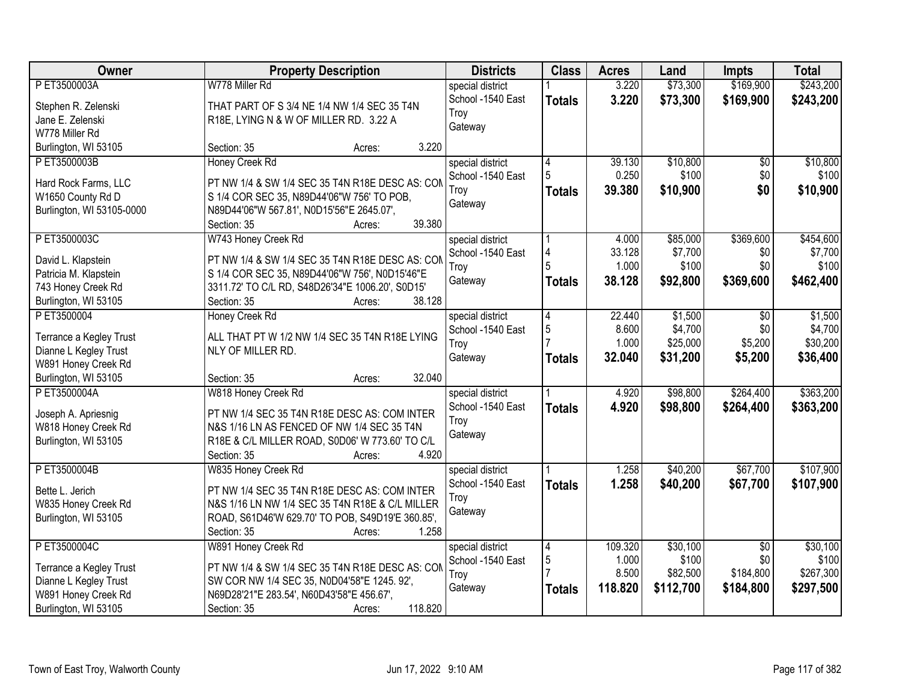| Owner                                       | <b>Property Description</b>                                         | <b>Districts</b>  | <b>Class</b>  | <b>Acres</b>    | Land             | <b>Impts</b>    | <b>Total</b>     |
|---------------------------------------------|---------------------------------------------------------------------|-------------------|---------------|-----------------|------------------|-----------------|------------------|
| PET3500003A                                 | W778 Miller Rd                                                      | special district  |               | 3.220           | \$73,300         | \$169,900       | \$243,200        |
| Stephen R. Zelenski                         | THAT PART OF S 3/4 NE 1/4 NW 1/4 SEC 35 T4N                         | School -1540 East | <b>Totals</b> | 3.220           | \$73,300         | \$169,900       | \$243,200        |
| Jane E. Zelenski                            | R18E, LYING N & W OF MILLER RD. 3.22 A                              | Troy              |               |                 |                  |                 |                  |
| W778 Miller Rd                              |                                                                     | Gateway           |               |                 |                  |                 |                  |
| Burlington, WI 53105                        | 3.220<br>Section: 35<br>Acres:                                      |                   |               |                 |                  |                 |                  |
| PET3500003B                                 | Honey Creek Rd                                                      | special district  | 4             | 39.130          | \$10,800         | $\overline{60}$ | \$10,800         |
|                                             |                                                                     | School -1540 East | 5             | 0.250           | \$100            | \$0             | \$100            |
| Hard Rock Farms, LLC                        | PT NW 1/4 & SW 1/4 SEC 35 T4N R18E DESC AS: CON                     | Troy              | <b>Totals</b> | 39.380          | \$10,900         | \$0             | \$10,900         |
| W1650 County Rd D                           | S 1/4 COR SEC 35, N89D44'06"W 756' TO POB,                          | Gateway           |               |                 |                  |                 |                  |
| Burlington, WI 53105-0000                   | N89D44'06"W 567.81', N0D15'56"E 2645.07',<br>39.380                 |                   |               |                 |                  |                 |                  |
|                                             | Section: 35<br>Acres:                                               |                   |               |                 |                  |                 |                  |
| PET3500003C                                 | W743 Honey Creek Rd                                                 | special district  |               | 4.000           | \$85,000         | \$369,600       | \$454,600        |
| David L. Klapstein                          | PT NW 1/4 & SW 1/4 SEC 35 T4N R18E DESC AS: CON                     | School -1540 East | 4<br>5        | 33.128<br>1.000 | \$7,700<br>\$100 | \$0<br>\$0      | \$7,700<br>\$100 |
| Patricia M. Klapstein                       | S 1/4 COR SEC 35, N89D44'06"W 756', N0D15'46"E                      | Troy              |               |                 |                  |                 |                  |
| 743 Honey Creek Rd                          | 3311.72' TO C/L RD, S48D26'34"E 1006.20', S0D15'                    | Gateway           | <b>Totals</b> | 38.128          | \$92,800         | \$369,600       | \$462,400        |
| Burlington, WI 53105                        | 38.128<br>Section: 35<br>Acres:                                     |                   |               |                 |                  |                 |                  |
| PET3500004                                  | Honey Creek Rd                                                      | special district  | 4             | 22.440          | \$1,500          | $\sqrt{6}$      | \$1,500          |
|                                             |                                                                     | School -1540 East | 5             | 8.600           | \$4,700          | \$0             | \$4,700          |
| Terrance a Kegley Trust                     | ALL THAT PT W 1/2 NW 1/4 SEC 35 T4N R18E LYING<br>NLY OF MILLER RD. | Troy              |               | 1.000           | \$25,000         | \$5,200         | \$30,200         |
| Dianne L Kegley Trust                       |                                                                     | Gateway           | <b>Totals</b> | 32.040          | \$31,200         | \$5,200         | \$36,400         |
| W891 Honey Creek Rd<br>Burlington, WI 53105 | 32.040<br>Section: 35<br>Acres:                                     |                   |               |                 |                  |                 |                  |
| P ET3500004A                                | W818 Honey Creek Rd                                                 | special district  |               | 4.920           | \$98,800         | \$264,400       | \$363,200        |
|                                             |                                                                     | School -1540 East |               |                 |                  |                 |                  |
| Joseph A. Apriesnig                         | PT NW 1/4 SEC 35 T4N R18E DESC AS: COM INTER                        | Troy              | <b>Totals</b> | 4.920           | \$98,800         | \$264,400       | \$363,200        |
| W818 Honey Creek Rd                         | N&S 1/16 LN AS FENCED OF NW 1/4 SEC 35 T4N                          | Gateway           |               |                 |                  |                 |                  |
| Burlington, WI 53105                        | R18E & C/L MILLER ROAD, S0D06' W 773.60' TO C/L                     |                   |               |                 |                  |                 |                  |
|                                             | 4.920<br>Section: 35<br>Acres:                                      |                   |               |                 |                  |                 |                  |
| PET3500004B                                 | W835 Honey Creek Rd                                                 | special district  |               | 1.258           | \$40,200         | \$67,700        | \$107,900        |
| Bette L. Jerich                             | PT NW 1/4 SEC 35 T4N R18E DESC AS: COM INTER                        | School -1540 East | <b>Totals</b> | 1.258           | \$40,200         | \$67,700        | \$107,900        |
| W835 Honey Creek Rd                         | N&S 1/16 LN NW 1/4 SEC 35 T4N R18E & C/L MILLER                     | Troy              |               |                 |                  |                 |                  |
| Burlington, WI 53105                        | ROAD, S61D46'W 629.70' TO POB, S49D19'E 360.85',                    | Gateway           |               |                 |                  |                 |                  |
|                                             | 1.258<br>Section: 35<br>Acres:                                      |                   |               |                 |                  |                 |                  |
| PET3500004C                                 | W891 Honey Creek Rd                                                 | special district  | 4             | 109.320         | \$30,100         | $\overline{50}$ | \$30,100         |
|                                             |                                                                     | School -1540 East | 5             | 1.000           | \$100            | \$0             | \$100            |
| Terrance a Kegley Trust                     | PT NW 1/4 & SW 1/4 SEC 35 T4N R18E DESC AS: CON                     | Troy              |               | 8.500           | \$82,500         | \$184,800       | \$267,300        |
| Dianne L Kegley Trust                       | SW COR NW 1/4 SEC 35, N0D04'58"E 1245. 92',                         | Gateway           | <b>Totals</b> | 118.820         | \$112,700        | \$184,800       | \$297,500        |
| W891 Honey Creek Rd                         | N69D28'21"E 283.54', N60D43'58"E 456.67',                           |                   |               |                 |                  |                 |                  |
| Burlington, WI 53105                        | 118.820<br>Section: 35<br>Acres:                                    |                   |               |                 |                  |                 |                  |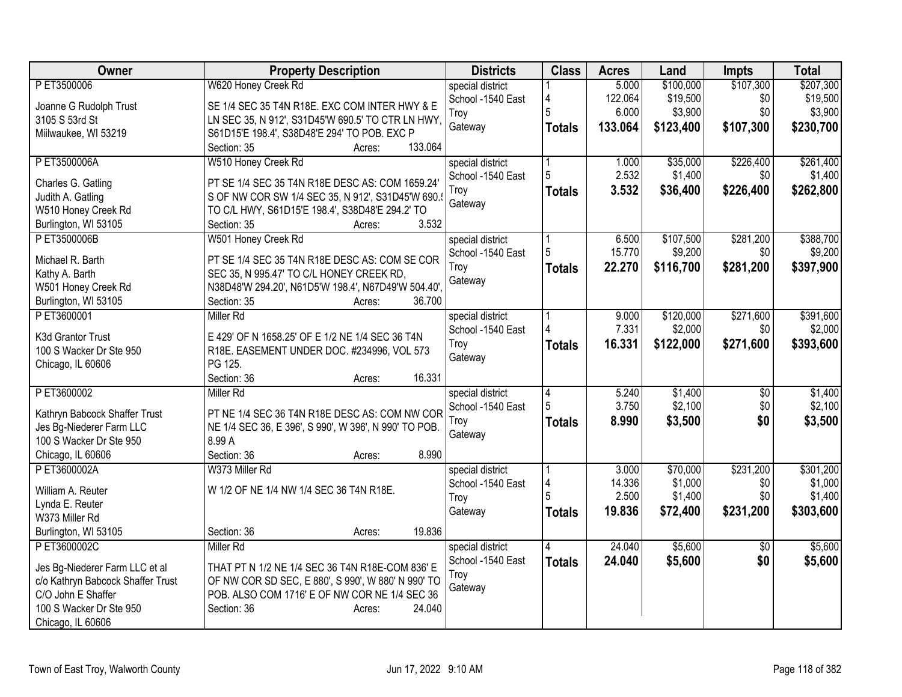| Owner                                                     | <b>Property Description</b>                           | <b>Districts</b>  | <b>Class</b>   | <b>Acres</b> | Land      | Impts           | <b>Total</b> |
|-----------------------------------------------------------|-------------------------------------------------------|-------------------|----------------|--------------|-----------|-----------------|--------------|
| P ET3500006                                               | W620 Honey Creek Rd                                   | special district  |                | 5.000        | \$100,000 | \$107,300       | \$207,300    |
| Joanne G Rudolph Trust                                    | SE 1/4 SEC 35 T4N R18E. EXC COM INTER HWY & E         | School -1540 East | 4              | 122.064      | \$19,500  | \$0             | \$19,500     |
| 3105 S 53rd St                                            | LN SEC 35, N 912', S31D45'W 690.5' TO CTR LN HWY,     | Troy              | 5              | 6.000        | \$3,900   | \$0             | \$3,900      |
| Miilwaukee, WI 53219                                      | S61D15'E 198.4', S38D48'E 294' TO POB. EXC P          | Gateway           | <b>Totals</b>  | 133.064      | \$123,400 | \$107,300       | \$230,700    |
|                                                           | 133.064<br>Section: 35<br>Acres:                      |                   |                |              |           |                 |              |
| P ET3500006A                                              | W510 Honey Creek Rd                                   | special district  |                | 1.000        | \$35,000  | \$226,400       | \$261,400    |
| Charles G. Gatling                                        | PT SE 1/4 SEC 35 T4N R18E DESC AS: COM 1659.24'       | School -1540 East | 5              | 2.532        | \$1,400   | \$0             | \$1,400      |
| Judith A. Gatling                                         | S OF NW COR SW 1/4 SEC 35, N 912', S31D45'W 690.      | Troy              | <b>Totals</b>  | 3.532        | \$36,400  | \$226,400       | \$262,800    |
| W510 Honey Creek Rd                                       | TO C/L HWY, S61D15'E 198.4', S38D48'E 294.2' TO       | Gateway           |                |              |           |                 |              |
| Burlington, WI 53105                                      | 3.532<br>Section: 35<br>Acres:                        |                   |                |              |           |                 |              |
| P ET3500006B                                              | W501 Honey Creek Rd                                   | special district  |                | 6.500        | \$107,500 | \$281,200       | \$388,700    |
|                                                           |                                                       | School -1540 East | 5              | 15.770       | \$9,200   | \$0             | \$9,200      |
| Michael R. Barth                                          | PT SE 1/4 SEC 35 T4N R18E DESC AS: COM SE COR         | Troy              | <b>Totals</b>  | 22.270       | \$116,700 | \$281,200       | \$397,900    |
| Kathy A. Barth                                            | SEC 35, N 995.47' TO C/L HONEY CREEK RD,              | Gateway           |                |              |           |                 |              |
| W501 Honey Creek Rd                                       | N38D48'W 294.20', N61D5'W 198.4', N67D49'W 504.40',   |                   |                |              |           |                 |              |
| Burlington, WI 53105                                      | 36.700<br>Section: 35<br>Acres:                       |                   |                |              |           |                 |              |
| PET3600001                                                | <b>Miller Rd</b>                                      | special district  |                | 9.000        | \$120,000 | \$271,600       | \$391,600    |
| K3d Grantor Trust                                         | E 429' OF N 1658.25' OF E 1/2 NE 1/4 SEC 36 T4N       | School -1540 East |                | 7.331        | \$2,000   | \$0             | \$2,000      |
| 100 S Wacker Dr Ste 950                                   | R18E. EASEMENT UNDER DOC. #234996, VOL 573            | Troy              | <b>Totals</b>  | 16.331       | \$122,000 | \$271,600       | \$393,600    |
| Chicago, IL 60606                                         | PG 125.                                               | Gateway           |                |              |           |                 |              |
|                                                           | Section: 36<br>16.331<br>Acres:                       |                   |                |              |           |                 |              |
| PET3600002                                                | Miller Rd                                             | special district  | $\overline{4}$ | 5.240        | \$1,400   | $\overline{60}$ | \$1,400      |
|                                                           | PT NE 1/4 SEC 36 T4N R18E DESC AS: COM NW COR         | School -1540 East |                | 3.750        | \$2,100   | \$0             | \$2,100      |
| Kathryn Babcock Shaffer Trust<br>Jes Bg-Niederer Farm LLC | NE 1/4 SEC 36, E 396', S 990', W 396', N 990' TO POB. | Troy              | <b>Totals</b>  | 8.990        | \$3,500   | \$0             | \$3,500      |
| 100 S Wacker Dr Ste 950                                   | 8.99 A                                                | Gateway           |                |              |           |                 |              |
| Chicago, IL 60606                                         | 8.990<br>Section: 36<br>Acres:                        |                   |                |              |           |                 |              |
| P ET3600002A                                              | W373 Miller Rd                                        | special district  |                | 3.000        | \$70,000  | \$231,200       | \$301,200    |
|                                                           |                                                       | School -1540 East | 4              | 14.336       | \$1,000   | \$0             | \$1,000      |
| William A. Reuter                                         | W 1/2 OF NE 1/4 NW 1/4 SEC 36 T4N R18E.               | Troy              |                | 2.500        | \$1,400   | \$0             | \$1,400      |
| Lynda E. Reuter                                           |                                                       | Gateway           | <b>Totals</b>  | 19.836       | \$72,400  | \$231,200       | \$303,600    |
| W373 Miller Rd                                            |                                                       |                   |                |              |           |                 |              |
| Burlington, WI 53105                                      | 19.836<br>Section: 36<br>Acres:                       |                   |                |              |           |                 |              |
| PET3600002C                                               | Miller Rd                                             | special district  |                | 24.040       | \$5,600   | $\overline{50}$ | \$5,600      |
| Jes Bg-Niederer Farm LLC et al                            | THAT PT N 1/2 NE 1/4 SEC 36 T4N R18E-COM 836' E       | School -1540 East | <b>Totals</b>  | 24.040       | \$5,600   | \$0             | \$5,600      |
| c/o Kathryn Babcock Shaffer Trust                         | OF NW COR SD SEC, E 880', S 990', W 880' N 990' TO    | Troy              |                |              |           |                 |              |
| C/O John E Shaffer                                        | POB. ALSO COM 1716' E OF NW COR NE 1/4 SEC 36         | Gateway           |                |              |           |                 |              |
| 100 S Wacker Dr Ste 950                                   | Section: 36<br>24.040<br>Acres:                       |                   |                |              |           |                 |              |
| Chicago, IL 60606                                         |                                                       |                   |                |              |           |                 |              |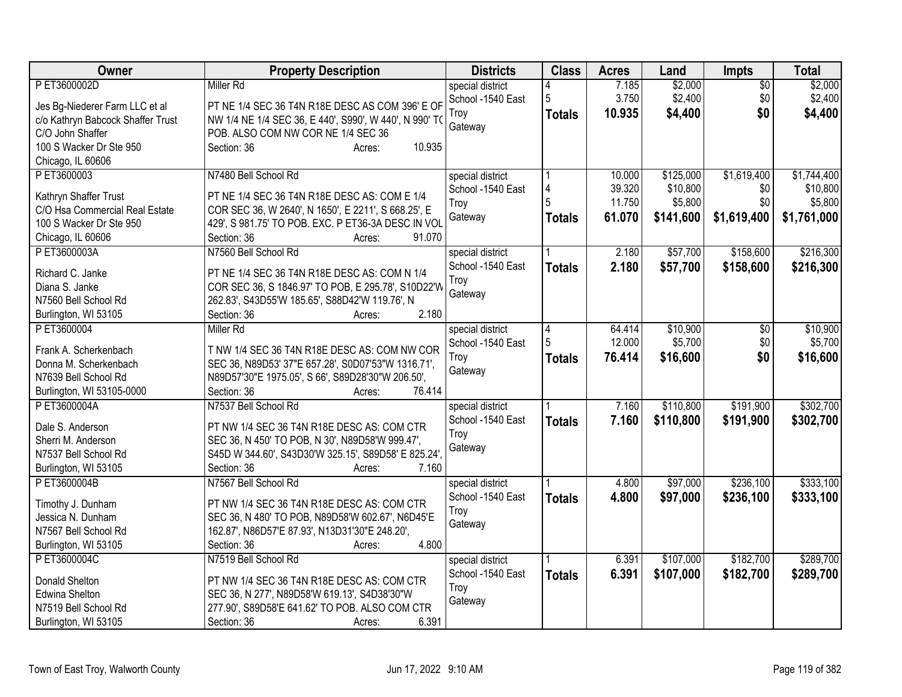| Owner                             | <b>Property Description</b>                            | <b>Districts</b>  | <b>Class</b>  | <b>Acres</b> | Land      | <b>Impts</b>  | <b>Total</b> |
|-----------------------------------|--------------------------------------------------------|-------------------|---------------|--------------|-----------|---------------|--------------|
| P ET3600002D                      | <b>Miller Rd</b>                                       | special district  |               | 7.185        | \$2,000   | \$0           | \$2,000      |
| Jes Bg-Niederer Farm LLC et al    | PT NE 1/4 SEC 36 T4N R18E DESC AS COM 396' E OF        | School -1540 East | 5             | 3.750        | \$2,400   | \$0           | \$2,400      |
| c/o Kathryn Babcock Shaffer Trust | NW 1/4 NE 1/4 SEC 36, E 440', S990', W 440', N 990' TO | Troy              | <b>Totals</b> | 10.935       | \$4,400   | \$0           | \$4,400      |
| C/O John Shaffer                  | POB. ALSO COM NW COR NE 1/4 SEC 36                     | Gateway           |               |              |           |               |              |
| 100 S Wacker Dr Ste 950           | 10.935<br>Section: 36<br>Acres:                        |                   |               |              |           |               |              |
| Chicago, IL 60606                 |                                                        |                   |               |              |           |               |              |
| PET3600003                        | N7480 Bell School Rd                                   | special district  |               | 10.000       | \$125,000 | \$1,619,400   | \$1,744,400  |
|                                   |                                                        | School -1540 East | 4             | 39.320       | \$10,800  | \$0           | \$10,800     |
| Kathryn Shaffer Trust             | PT NE 1/4 SEC 36 T4N R18E DESC AS: COM E 1/4           | Troy              | 5             | 11.750       | \$5,800   | \$0           | \$5,800      |
| C/O Hsa Commercial Real Estate    | COR SEC 36, W 2640', N 1650', E 2211', S 668.25', E    | Gateway           | Totals        | 61.070       | \$141,600 | \$1,619,400   | \$1,761,000  |
| 100 S Wacker Dr Ste 950           | 429', S 981.75' TO POB. EXC. P ET36-3A DESC IN VOL     |                   |               |              |           |               |              |
| Chicago, IL 60606                 | Section: 36<br>91.070<br>Acres:                        |                   |               |              |           |               |              |
| P ET3600003A                      | N7560 Bell School Rd                                   | special district  |               | 2.180        | \$57,700  | \$158,600     | \$216,300    |
| Richard C. Janke                  | PT NE 1/4 SEC 36 T4N R18E DESC AS: COM N 1/4           | School -1540 East | <b>Totals</b> | 2.180        | \$57,700  | \$158,600     | \$216,300    |
| Diana S. Janke                    | COR SEC 36, S 1846.97' TO POB, E 295.78', S10D22'W     | Troy              |               |              |           |               |              |
| N7560 Bell School Rd              | 262.83', S43D55'W 185.65', S88D42'W 119.76', N         | Gateway           |               |              |           |               |              |
| Burlington, WI 53105              | 2.180<br>Section: 36<br>Acres:                         |                   |               |              |           |               |              |
| P ET3600004                       | <b>Miller Rd</b>                                       | special district  | 4             | 64.414       | \$10,900  | $\sqrt[6]{3}$ | \$10,900     |
|                                   |                                                        | School -1540 East | 5             | 12.000       | \$5,700   | \$0           | \$5,700      |
| Frank A. Scherkenbach             | T NW 1/4 SEC 36 T4N R18E DESC AS: COM NW COR           | Troy              | <b>Totals</b> | 76.414       | \$16,600  | \$0           | \$16,600     |
| Donna M. Scherkenbach             | SEC 36, N89D53' 37"E 657.28', S0D07'53"W 1316.71',     | Gateway           |               |              |           |               |              |
| N7639 Bell School Rd              | N89D57'30"E 1975.05', S 66', S89D28'30"W 206.50',      |                   |               |              |           |               |              |
| Burlington, WI 53105-0000         | 76.414<br>Section: 36<br>Acres:                        |                   |               |              |           |               |              |
| P ET3600004A                      | N7537 Bell School Rd                                   | special district  |               | 7.160        | \$110,800 | \$191,900     | \$302,700    |
| Dale S. Anderson                  | PT NW 1/4 SEC 36 T4N R18E DESC AS: COM CTR             | School -1540 East | <b>Totals</b> | 7.160        | \$110,800 | \$191,900     | \$302,700    |
| Sherri M. Anderson                | SEC 36, N 450' TO POB, N 30', N89D58'W 999.47',        | Troy              |               |              |           |               |              |
| N7537 Bell School Rd              | S45D W 344.60', S43D30'W 325.15', S89D58' E 825.24',   | Gateway           |               |              |           |               |              |
| Burlington, WI 53105              | Section: 36<br>7.160<br>Acres:                         |                   |               |              |           |               |              |
| P ET3600004B                      | N7567 Bell School Rd                                   | special district  |               | 4.800        | \$97,000  | \$236,100     | \$333,100    |
|                                   |                                                        | School -1540 East | <b>Totals</b> | 4.800        | \$97,000  | \$236,100     | \$333,100    |
| Timothy J. Dunham                 | PT NW 1/4 SEC 36 T4N R18E DESC AS: COM CTR             | Troy              |               |              |           |               |              |
| Jessica N. Dunham                 | SEC 36, N 480' TO POB, N89D58'W 602.67', N6D45'E       | Gateway           |               |              |           |               |              |
| N7567 Bell School Rd              | 162.87', N86D57'E 87.93', N13D31'30"E 248.20',         |                   |               |              |           |               |              |
| Burlington, WI 53105              | 4.800<br>Section: 36<br>Acres:                         |                   |               |              |           |               |              |
| P ET3600004C                      | N7519 Bell School Rd                                   | special district  |               | 6.391        | \$107,000 | \$182,700     | \$289,700    |
| Donald Shelton                    | PT NW 1/4 SEC 36 T4N R18E DESC AS: COM CTR             | School -1540 East | <b>Totals</b> | 6.391        | \$107,000 | \$182,700     | \$289,700    |
| Edwina Shelton                    | SEC 36, N 277', N89D58'W 619.13', S4D38'30"W           | Troy              |               |              |           |               |              |
| N7519 Bell School Rd              | 277.90', S89D58'E 641.62' TO POB. ALSO COM CTR         | Gateway           |               |              |           |               |              |
| Burlington, WI 53105              | 6.391<br>Section: 36<br>Acres:                         |                   |               |              |           |               |              |
|                                   |                                                        |                   |               |              |           |               |              |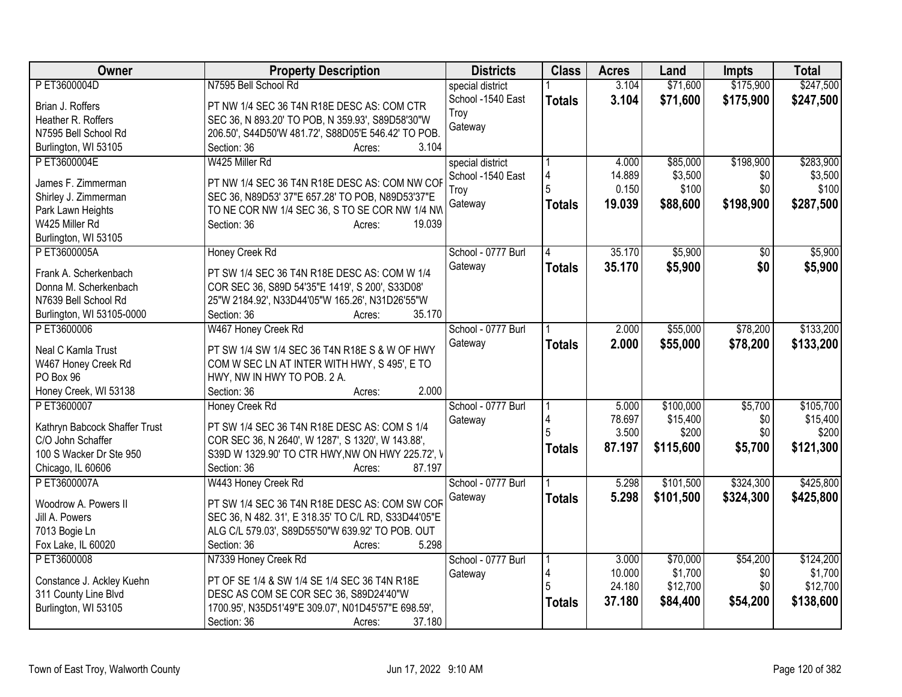| Owner                                  | <b>Property Description</b>                          | <b>Districts</b>   | <b>Class</b>  | <b>Acres</b>    | Land              | <b>Impts</b> | <b>Total</b>      |
|----------------------------------------|------------------------------------------------------|--------------------|---------------|-----------------|-------------------|--------------|-------------------|
| PET3600004D                            | N7595 Bell School Rd                                 | special district   |               | 3.104           | \$71,600          | \$175,900    | \$247,500         |
| Brian J. Roffers                       | PT NW 1/4 SEC 36 T4N R18E DESC AS: COM CTR           | School -1540 East  | <b>Totals</b> | 3.104           | \$71,600          | \$175,900    | \$247,500         |
| Heather R. Roffers                     | SEC 36, N 893.20' TO POB, N 359.93', S89D58'30"W     | Troy               |               |                 |                   |              |                   |
| N7595 Bell School Rd                   | 206.50', S44D50'W 481.72', S88D05'E 546.42' TO POB.  | Gateway            |               |                 |                   |              |                   |
| Burlington, WI 53105                   | Section: 36<br>3.104<br>Acres:                       |                    |               |                 |                   |              |                   |
| PET3600004E                            | W425 Miller Rd                                       | special district   |               | 4.000           | \$85,000          | \$198,900    | \$283,900         |
|                                        |                                                      | School -1540 East  | 4             | 14.889          | \$3,500           | \$0          | \$3,500           |
| James F. Zimmerman                     | PT NW 1/4 SEC 36 T4N R18E DESC AS: COM NW COF        | Troy               | 5             | 0.150           | \$100             | \$0          | \$100             |
| Shirley J. Zimmerman                   | SEC 36, N89D53' 37"E 657.28' TO POB, N89D53'37"E     | Gateway            | <b>Totals</b> | 19.039          | \$88,600          | \$198,900    | \$287,500         |
| Park Lawn Heights                      | TO NE COR NW 1/4 SEC 36, S TO SE COR NW 1/4 NW       |                    |               |                 |                   |              |                   |
| W425 Miller Rd                         | 19.039<br>Section: 36<br>Acres:                      |                    |               |                 |                   |              |                   |
| Burlington, WI 53105                   |                                                      |                    |               |                 |                   |              |                   |
| P ET3600005A                           | Honey Creek Rd                                       | School - 0777 Burl | 14            | 35.170          | \$5,900           | \$0          | \$5,900           |
| Frank A. Scherkenbach                  | PT SW 1/4 SEC 36 T4N R18E DESC AS: COM W 1/4         | Gateway            | <b>Totals</b> | 35.170          | \$5,900           | \$0          | \$5,900           |
| Donna M. Scherkenbach                  | COR SEC 36, S89D 54'35"E 1419', S 200', S33D08'      |                    |               |                 |                   |              |                   |
| N7639 Bell School Rd                   | 25"W 2184.92', N33D44'05"W 165.26', N31D26'55"W      |                    |               |                 |                   |              |                   |
| Burlington, WI 53105-0000              | 35.170<br>Section: 36<br>Acres:                      |                    |               |                 |                   |              |                   |
| PET3600006                             | W467 Honey Creek Rd                                  | School - 0777 Burl |               | 2.000           | \$55,000          | \$78,200     | \$133,200         |
|                                        |                                                      | Gateway            | <b>Totals</b> | 2.000           | \$55,000          | \$78,200     | \$133,200         |
| Neal C Kamla Trust                     | PT SW 1/4 SW 1/4 SEC 36 T4N R18E S & W OF HWY        |                    |               |                 |                   |              |                   |
| W467 Honey Creek Rd                    | COM W SEC LN AT INTER WITH HWY, S 495', E TO         |                    |               |                 |                   |              |                   |
| PO Box 96                              | HWY, NW IN HWY TO POB. 2 A.<br>2.000                 |                    |               |                 |                   |              |                   |
| Honey Creek, WI 53138                  | Section: 36<br>Acres:                                |                    |               |                 |                   |              |                   |
| PET3600007                             | Honey Creek Rd                                       | School - 0777 Burl |               | 5.000           | \$100,000         | \$5,700      | \$105,700         |
| Kathryn Babcock Shaffer Trust          | PT SW 1/4 SEC 36 T4N R18E DESC AS: COM S 1/4         | Gateway            | 4             | 78.697<br>3.500 | \$15,400<br>\$200 | \$0<br>\$0   | \$15,400<br>\$200 |
| C/O John Schaffer                      | COR SEC 36, N 2640', W 1287', S 1320', W 143.88',    |                    |               |                 |                   |              |                   |
| 100 S Wacker Dr Ste 950                | S39D W 1329.90' TO CTR HWY, NW ON HWY 225.72', V     |                    | <b>Totals</b> | 87.197          | \$115,600         | \$5,700      | \$121,300         |
| Chicago, IL 60606                      | 87.197<br>Section: 36<br>Acres:                      |                    |               |                 |                   |              |                   |
| PET3600007A                            | W443 Honey Creek Rd                                  | School - 0777 Burl |               | 5.298           | \$101,500         | \$324,300    | \$425,800         |
|                                        | PT SW 1/4 SEC 36 T4N R18E DESC AS: COM SW COF        | Gateway            | <b>Totals</b> | 5.298           | \$101,500         | \$324,300    | \$425,800         |
| Woodrow A. Powers II<br>Jill A. Powers | SEC 36, N 482. 31', E 318.35' TO C/L RD, S33D44'05"E |                    |               |                 |                   |              |                   |
| 7013 Bogie Ln                          | ALG C/L 579.03', S89D55'50"W 639.92' TO POB. OUT     |                    |               |                 |                   |              |                   |
| Fox Lake, IL 60020                     | 5.298<br>Section: 36<br>Acres:                       |                    |               |                 |                   |              |                   |
| PET3600008                             | N7339 Honey Creek Rd                                 | School - 0777 Burl |               | 3.000           | \$70,000          | \$54,200     | \$124,200         |
|                                        |                                                      |                    | 4             | 10.000          | \$1,700           | \$0          | \$1,700           |
| Constance J. Ackley Kuehn              | PT OF SE 1/4 & SW 1/4 SE 1/4 SEC 36 T4N R18E         | Gateway            | 5             | 24.180          | \$12,700          | \$0          | \$12,700          |
| 311 County Line Blvd                   | DESC AS COM SE COR SEC 36, S89D24'40"W               |                    |               | 37.180          | \$84,400          | \$54,200     | \$138,600         |
| Burlington, WI 53105                   | 1700.95', N35D51'49"E 309.07', N01D45'57"E 698.59',  |                    | <b>Totals</b> |                 |                   |              |                   |
|                                        | Section: 36<br>37.180<br>Acres:                      |                    |               |                 |                   |              |                   |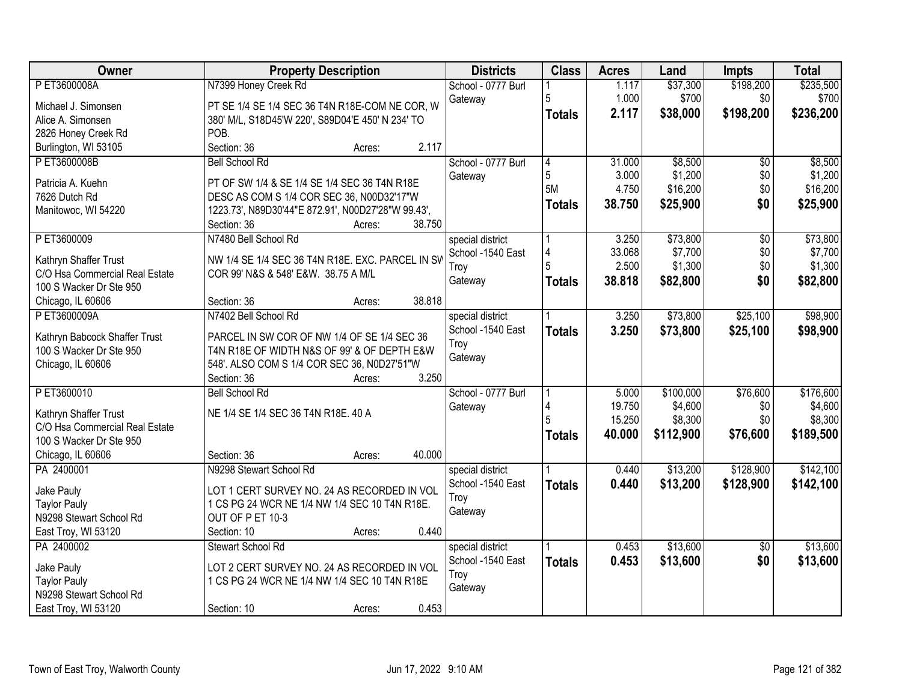| <b>Owner</b>                                   | <b>Property Description</b>                        | <b>Districts</b>   | <b>Class</b>   | <b>Acres</b> | Land      | Impts           | <b>Total</b> |
|------------------------------------------------|----------------------------------------------------|--------------------|----------------|--------------|-----------|-----------------|--------------|
| P ET3600008A                                   | N7399 Honey Creek Rd                               | School - 0777 Burl |                | 1.117        | \$37,300  | \$198,200       | \$235,500    |
| Michael J. Simonsen                            | PT SE 1/4 SE 1/4 SEC 36 T4N R18E-COM NE COR, W     | Gateway            | 5              | 1.000        | \$700     | \$0             | \$700        |
| Alice A. Simonsen                              | 380' M/L, S18D45'W 220', S89D04'E 450' N 234' TO   |                    | <b>Totals</b>  | 2.117        | \$38,000  | \$198,200       | \$236,200    |
| 2826 Honey Creek Rd                            | POB.                                               |                    |                |              |           |                 |              |
| Burlington, WI 53105                           | 2.117<br>Section: 36<br>Acres:                     |                    |                |              |           |                 |              |
| PET3600008B                                    | <b>Bell School Rd</b>                              | School - 0777 Burl | $\overline{4}$ | 31.000       | \$8,500   | \$0             | \$8,500      |
|                                                |                                                    | Gateway            | 5              | 3.000        | \$1,200   | \$0             | \$1,200      |
| Patricia A. Kuehn                              | PT OF SW 1/4 & SE 1/4 SE 1/4 SEC 36 T4N R18E       |                    | 5M             | 4.750        | \$16,200  | \$0             | \$16,200     |
| 7626 Dutch Rd                                  | DESC AS COM S 1/4 COR SEC 36, N00D32'17"W          |                    | <b>Totals</b>  | 38.750       | \$25,900  | \$0             | \$25,900     |
| Manitowoc, WI 54220                            | 1223.73', N89D30'44"E 872.91', N00D27'28"W 99.43', |                    |                |              |           |                 |              |
|                                                | 38.750<br>Section: 36<br>Acres:                    |                    |                |              |           |                 |              |
| PET3600009                                     | N7480 Bell School Rd                               | special district   |                | 3.250        | \$73,800  | $\overline{50}$ | \$73,800     |
| Kathryn Shaffer Trust                          | NW 1/4 SE 1/4 SEC 36 T4N R18E. EXC. PARCEL IN SV   | School -1540 East  | $\overline{4}$ | 33.068       | \$7,700   | \$0             | \$7,700      |
| C/O Hsa Commercial Real Estate                 | COR 99' N&S & 548' E&W. 38.75 A M/L                | Troy               | 5              | 2.500        | \$1,300   | \$0             | \$1,300      |
| 100 S Wacker Dr Ste 950                        |                                                    | Gateway            | <b>Totals</b>  | 38.818       | \$82,800  | \$0             | \$82,800     |
| Chicago, IL 60606                              | 38.818<br>Section: 36<br>Acres:                    |                    |                |              |           |                 |              |
| PET3600009A                                    | N7402 Bell School Rd                               |                    |                | 3.250        | \$73,800  | \$25,100        | \$98,900     |
|                                                |                                                    | special district   |                |              |           |                 |              |
| Kathryn Babcock Shaffer Trust                  | PARCEL IN SW COR OF NW 1/4 OF SE 1/4 SEC 36        | School -1540 East  | <b>Totals</b>  | 3.250        | \$73,800  | \$25,100        | \$98,900     |
| 100 S Wacker Dr Ste 950                        | T4N R18E OF WIDTH N&S OF 99' & OF DEPTH E&W        | Troy               |                |              |           |                 |              |
| Chicago, IL 60606                              | 548'. ALSO COM S 1/4 COR SEC 36, N0D27'51"W        | Gateway            |                |              |           |                 |              |
|                                                | 3.250<br>Section: 36<br>Acres:                     |                    |                |              |           |                 |              |
| PET3600010                                     | <b>Bell School Rd</b>                              | School - 0777 Burl |                | 5.000        | \$100,000 | \$76,600        | \$176,600    |
|                                                |                                                    | Gateway            |                | 19.750       | \$4,600   | \$0             | \$4,600      |
| Kathryn Shaffer Trust                          | NE 1/4 SE 1/4 SEC 36 T4N R18E. 40 A                |                    |                | 15.250       | \$8,300   | \$0             | \$8,300      |
| C/O Hsa Commercial Real Estate                 |                                                    |                    | <b>Totals</b>  | 40.000       | \$112,900 | \$76,600        | \$189,500    |
| 100 S Wacker Dr Ste 950                        | 40.000                                             |                    |                |              |           |                 |              |
| Chicago, IL 60606                              | Section: 36<br>Acres:                              |                    |                |              |           |                 |              |
| PA 2400001                                     | N9298 Stewart School Rd                            | special district   |                | 0.440        | \$13,200  | \$128,900       | \$142,100    |
| Jake Pauly                                     | LOT 1 CERT SURVEY NO. 24 AS RECORDED IN VOL        | School -1540 East  | <b>Totals</b>  | 0.440        | \$13,200  | \$128,900       | \$142,100    |
| <b>Taylor Pauly</b>                            | 1 CS PG 24 WCR NE 1/4 NW 1/4 SEC 10 T4N R18E.      | Troy               |                |              |           |                 |              |
| N9298 Stewart School Rd                        | OUT OF P ET 10-3                                   | Gateway            |                |              |           |                 |              |
| East Troy, WI 53120                            | 0.440<br>Section: 10<br>Acres:                     |                    |                |              |           |                 |              |
| PA 2400002                                     | <b>Stewart School Rd</b>                           | special district   |                | 0.453        | \$13,600  | $\overline{50}$ | \$13,600     |
|                                                | LOT 2 CERT SURVEY NO. 24 AS RECORDED IN VOL        | School -1540 East  | <b>Totals</b>  | 0.453        | \$13,600  | \$0             | \$13,600     |
| Jake Pauly                                     |                                                    | Troy               |                |              |           |                 |              |
| <b>Taylor Pauly</b><br>N9298 Stewart School Rd | 1 CS PG 24 WCR NE 1/4 NW 1/4 SEC 10 T4N R18E       | Gateway            |                |              |           |                 |              |
|                                                | 0.453                                              |                    |                |              |           |                 |              |
| East Troy, WI 53120                            | Section: 10<br>Acres:                              |                    |                |              |           |                 |              |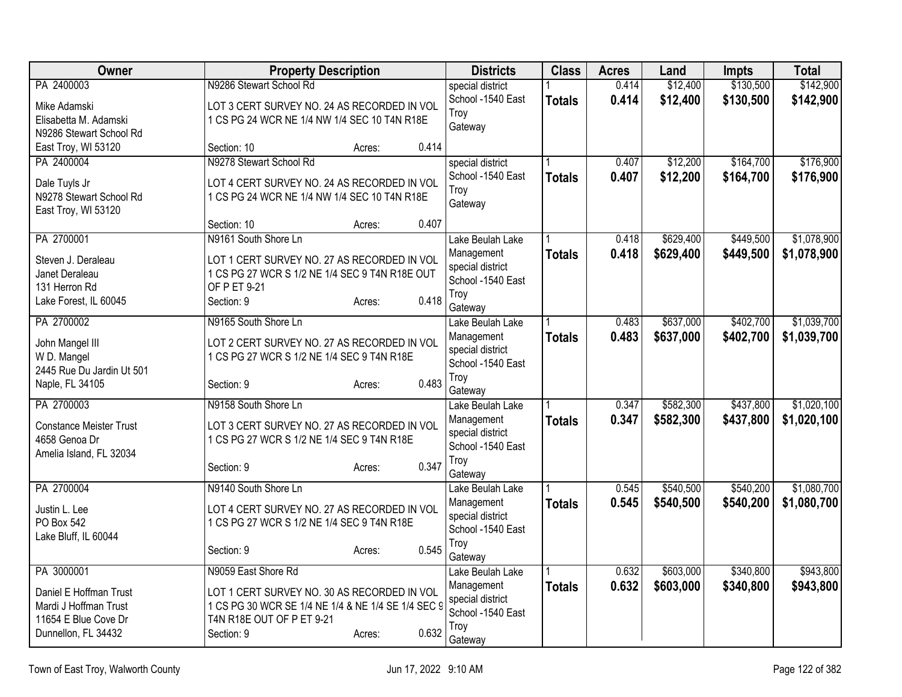| Owner                                           | <b>Property Description</b>                                                               |       | <b>Districts</b>               | <b>Class</b>  | <b>Acres</b> | Land      | <b>Impts</b> | <b>Total</b> |
|-------------------------------------------------|-------------------------------------------------------------------------------------------|-------|--------------------------------|---------------|--------------|-----------|--------------|--------------|
| PA 2400003                                      | N9286 Stewart School Rd                                                                   |       | special district               |               | 0.414        | \$12,400  | \$130,500    | \$142,900    |
| Mike Adamski                                    | LOT 3 CERT SURVEY NO. 24 AS RECORDED IN VOL                                               |       | School -1540 East              | <b>Totals</b> | 0.414        | \$12,400  | \$130,500    | \$142,900    |
| Elisabetta M. Adamski                           | 1 CS PG 24 WCR NE 1/4 NW 1/4 SEC 10 T4N R18E                                              |       | Troy<br>Gateway                |               |              |           |              |              |
| N9286 Stewart School Rd                         |                                                                                           |       |                                |               |              |           |              |              |
| East Troy, WI 53120                             | Section: 10<br>Acres:                                                                     | 0.414 |                                |               |              |           |              |              |
| PA 2400004                                      | N9278 Stewart School Rd                                                                   |       | special district               |               | 0.407        | \$12,200  | \$164,700    | \$176,900    |
| Dale Tuyls Jr                                   | LOT 4 CERT SURVEY NO. 24 AS RECORDED IN VOL                                               |       | School -1540 East              | <b>Totals</b> | 0.407        | \$12,200  | \$164,700    | \$176,900    |
| N9278 Stewart School Rd                         | 1 CS PG 24 WCR NE 1/4 NW 1/4 SEC 10 T4N R18E                                              |       | Troy<br>Gateway                |               |              |           |              |              |
| East Troy, WI 53120                             |                                                                                           |       |                                |               |              |           |              |              |
|                                                 | Section: 10<br>Acres:                                                                     | 0.407 |                                |               |              |           |              |              |
| PA 2700001                                      | N9161 South Shore Ln                                                                      |       | Lake Beulah Lake               |               | 0.418        | \$629,400 | \$449,500    | \$1,078,900  |
| Steven J. Deraleau                              | LOT 1 CERT SURVEY NO. 27 AS RECORDED IN VOL                                               |       | Management<br>special district | <b>Totals</b> | 0.418        | \$629,400 | \$449,500    | \$1,078,900  |
| Janet Deraleau                                  | 1 CS PG 27 WCR S 1/2 NE 1/4 SEC 9 T4N R18E OUT                                            |       | School -1540 East              |               |              |           |              |              |
| 131 Herron Rd                                   | OF P ET 9-21                                                                              |       | Troy                           |               |              |           |              |              |
| Lake Forest, IL 60045                           | Section: 9<br>Acres:                                                                      | 0.418 | Gateway                        |               |              |           |              |              |
| PA 2700002                                      | N9165 South Shore Ln                                                                      |       | Lake Beulah Lake               |               | 0.483        | \$637,000 | \$402,700    | \$1,039,700  |
| John Mangel III                                 | LOT 2 CERT SURVEY NO. 27 AS RECORDED IN VOL                                               |       | Management                     | <b>Totals</b> | 0.483        | \$637,000 | \$402,700    | \$1,039,700  |
| W D. Mangel                                     | 1 CS PG 27 WCR S 1/2 NE 1/4 SEC 9 T4N R18E                                                |       | special district               |               |              |           |              |              |
| 2445 Rue Du Jardin Ut 501                       |                                                                                           |       | School -1540 East              |               |              |           |              |              |
| Naple, FL 34105                                 | Section: 9<br>Acres:                                                                      | 0.483 | Troy<br>Gateway                |               |              |           |              |              |
| PA 2700003                                      | N9158 South Shore Ln                                                                      |       | Lake Beulah Lake               |               | 0.347        | \$582,300 | \$437,800    | \$1,020,100  |
|                                                 |                                                                                           |       | Management                     | <b>Totals</b> | 0.347        | \$582,300 | \$437,800    | \$1,020,100  |
| <b>Constance Meister Trust</b><br>4658 Genoa Dr | LOT 3 CERT SURVEY NO. 27 AS RECORDED IN VOL<br>1 CS PG 27 WCR S 1/2 NE 1/4 SEC 9 T4N R18E |       | special district               |               |              |           |              |              |
| Amelia Island, FL 32034                         |                                                                                           |       | School -1540 East              |               |              |           |              |              |
|                                                 | Section: 9<br>Acres:                                                                      | 0.347 | Troy                           |               |              |           |              |              |
| PA 2700004                                      | N9140 South Shore Ln                                                                      |       | Gateway                        |               | 0.545        | \$540,500 |              | \$1,080,700  |
|                                                 |                                                                                           |       | Lake Beulah Lake<br>Management |               | 0.545        | \$540,500 | \$540,200    |              |
| Justin L. Lee                                   | LOT 4 CERT SURVEY NO. 27 AS RECORDED IN VOL                                               |       | special district               | <b>Totals</b> |              |           | \$540,200    | \$1,080,700  |
| PO Box 542                                      | 1 CS PG 27 WCR S 1/2 NE 1/4 SEC 9 T4N R18E                                                |       | School -1540 East              |               |              |           |              |              |
| Lake Bluff, IL 60044                            |                                                                                           | 0.545 | Troy                           |               |              |           |              |              |
|                                                 | Section: 9<br>Acres:                                                                      |       | Gateway                        |               |              |           |              |              |
| PA 3000001                                      | N9059 East Shore Rd                                                                       |       | Lake Beulah Lake               |               | 0.632        | \$603,000 | \$340,800    | \$943,800    |
| Daniel E Hoffman Trust                          | LOT 1 CERT SURVEY NO. 30 AS RECORDED IN VOL                                               |       | Management                     | <b>Totals</b> | 0.632        | \$603,000 | \$340,800    | \$943,800    |
| Mardi J Hoffman Trust                           | 1 CS PG 30 WCR SE 1/4 NE 1/4 & NE 1/4 SE 1/4 SEC 9                                        |       | special district               |               |              |           |              |              |
| 11654 E Blue Cove Dr                            | T4N R18E OUT OF P ET 9-21                                                                 |       | School -1540 East<br>Troy      |               |              |           |              |              |
| Dunnellon, FL 34432                             | Section: 9<br>Acres:                                                                      | 0.632 | Gateway                        |               |              |           |              |              |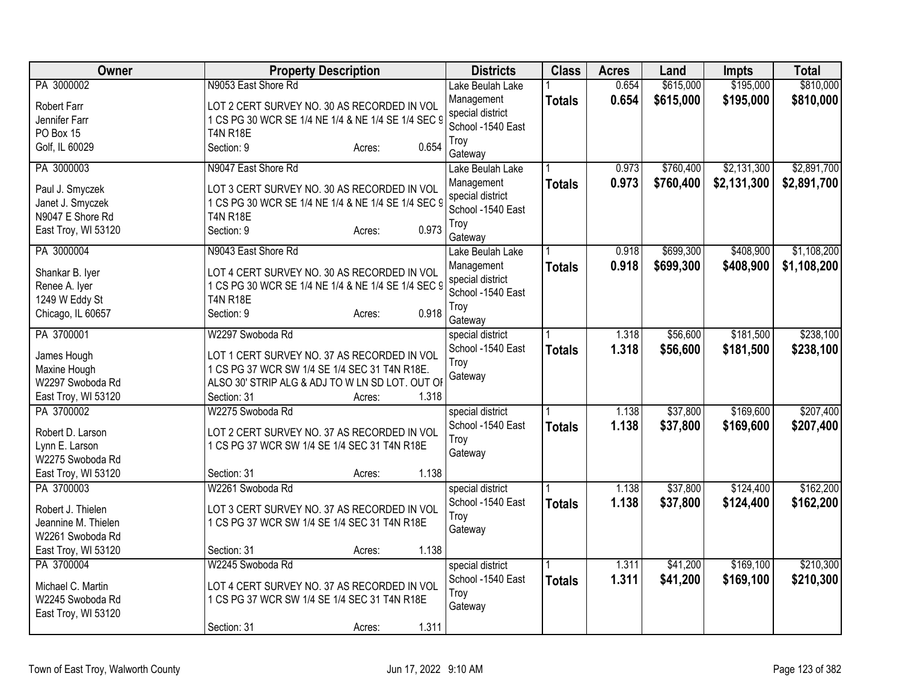| Owner               | <b>Property Description</b>                        | <b>Districts</b>  | <b>Class</b>  | <b>Acres</b> | Land      | <b>Impts</b> | <b>Total</b> |
|---------------------|----------------------------------------------------|-------------------|---------------|--------------|-----------|--------------|--------------|
| PA 3000002          | N9053 East Shore Rd                                | Lake Beulah Lake  |               | 0.654        | \$615,000 | \$195,000    | \$810,000    |
| <b>Robert Farr</b>  | LOT 2 CERT SURVEY NO. 30 AS RECORDED IN VOL        | Management        | <b>Totals</b> | 0.654        | \$615,000 | \$195,000    | \$810,000    |
| Jennifer Farr       | 1 CS PG 30 WCR SE 1/4 NE 1/4 & NE 1/4 SE 1/4 SEC 9 | special district  |               |              |           |              |              |
| PO Box 15           | <b>T4N R18E</b>                                    | School -1540 East |               |              |           |              |              |
| Golf, IL 60029      | 0.654<br>Section: 9<br>Acres:                      | Troy              |               |              |           |              |              |
|                     |                                                    | Gateway           |               |              |           |              |              |
| PA 3000003          | N9047 East Shore Rd                                | Lake Beulah Lake  |               | 0.973        | \$760,400 | \$2,131,300  | \$2,891,700  |
| Paul J. Smyczek     | LOT 3 CERT SURVEY NO. 30 AS RECORDED IN VOL        | Management        | <b>Totals</b> | 0.973        | \$760,400 | \$2,131,300  | \$2,891,700  |
| Janet J. Smyczek    | 1 CS PG 30 WCR SE 1/4 NE 1/4 & NE 1/4 SE 1/4 SEC 9 | special district  |               |              |           |              |              |
| N9047 E Shore Rd    | <b>T4N R18E</b>                                    | School -1540 East |               |              |           |              |              |
| East Troy, WI 53120 | 0.973<br>Section: 9<br>Acres:                      | Troy<br>Gateway   |               |              |           |              |              |
| PA 3000004          | N9043 East Shore Rd                                | Lake Beulah Lake  |               | 0.918        | \$699,300 | \$408,900    | \$1,108,200  |
|                     |                                                    | Management        |               | 0.918        |           | \$408,900    |              |
| Shankar B. Iyer     | LOT 4 CERT SURVEY NO. 30 AS RECORDED IN VOL        | special district  | <b>Totals</b> |              | \$699,300 |              | \$1,108,200  |
| Renee A. Iyer       | 1 CS PG 30 WCR SE 1/4 NE 1/4 & NE 1/4 SE 1/4 SEC 9 | School -1540 East |               |              |           |              |              |
| 1249 W Eddy St      | <b>T4N R18E</b>                                    | Troy              |               |              |           |              |              |
| Chicago, IL 60657   | 0.918<br>Section: 9<br>Acres:                      | Gateway           |               |              |           |              |              |
| PA 3700001          | W2297 Swoboda Rd                                   | special district  |               | 1.318        | \$56,600  | \$181,500    | \$238,100    |
|                     |                                                    | School -1540 East | <b>Totals</b> | 1.318        | \$56,600  | \$181,500    | \$238,100    |
| James Hough         | LOT 1 CERT SURVEY NO. 37 AS RECORDED IN VOL        | Troy              |               |              |           |              |              |
| Maxine Hough        | 1 CS PG 37 WCR SW 1/4 SE 1/4 SEC 31 T4N R18E.      | Gateway           |               |              |           |              |              |
| W2297 Swoboda Rd    | ALSO 30' STRIP ALG & ADJ TO W LN SD LOT. OUT OF    |                   |               |              |           |              |              |
| East Troy, WI 53120 | 1.318<br>Section: 31<br>Acres:                     |                   |               |              |           |              |              |
| PA 3700002          | W2275 Swoboda Rd                                   | special district  |               | 1.138        | \$37,800  | \$169,600    | \$207,400    |
| Robert D. Larson    | LOT 2 CERT SURVEY NO. 37 AS RECORDED IN VOL        | School -1540 East | <b>Totals</b> | 1.138        | \$37,800  | \$169,600    | \$207,400    |
| Lynn E. Larson      | 1 CS PG 37 WCR SW 1/4 SE 1/4 SEC 31 T4N R18E       | Troy              |               |              |           |              |              |
| W2275 Swoboda Rd    |                                                    | Gateway           |               |              |           |              |              |
| East Troy, WI 53120 | 1.138<br>Section: 31<br>Acres:                     |                   |               |              |           |              |              |
| PA 3700003          | W2261 Swoboda Rd                                   | special district  |               | 1.138        | \$37,800  | \$124,400    | \$162,200    |
|                     |                                                    | School -1540 East | <b>Totals</b> | 1.138        | \$37,800  | \$124,400    | \$162,200    |
| Robert J. Thielen   | LOT 3 CERT SURVEY NO. 37 AS RECORDED IN VOL        | Troy              |               |              |           |              |              |
| Jeannine M. Thielen | 1 CS PG 37 WCR SW 1/4 SE 1/4 SEC 31 T4N R18E       | Gateway           |               |              |           |              |              |
| W2261 Swoboda Rd    | 1.138                                              |                   |               |              |           |              |              |
| East Troy, WI 53120 | Section: 31<br>Acres:                              |                   |               |              |           |              |              |
| PA 3700004          | W2245 Swoboda Rd                                   | special district  |               | 1.311        | \$41,200  | \$169,100    | \$210,300    |
| Michael C. Martin   | LOT 4 CERT SURVEY NO. 37 AS RECORDED IN VOL        | School -1540 East | <b>Totals</b> | 1.311        | \$41,200  | \$169,100    | \$210,300    |
| W2245 Swoboda Rd    | 1 CS PG 37 WCR SW 1/4 SE 1/4 SEC 31 T4N R18E       | Troy              |               |              |           |              |              |
| East Troy, WI 53120 |                                                    | Gateway           |               |              |           |              |              |
|                     | 1.311<br>Section: 31<br>Acres:                     |                   |               |              |           |              |              |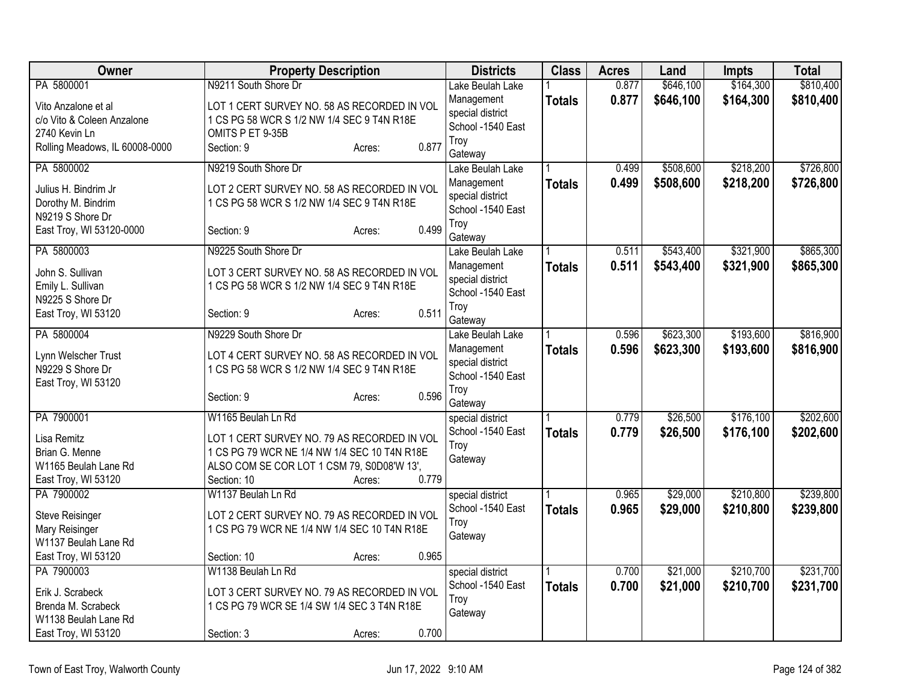| Owner                                                                        | <b>Property Description</b>                                                                                                                                                 | <b>Districts</b>                                         | <b>Class</b>  | <b>Acres</b>   | Land                 | <b>Impts</b>           | <b>Total</b>           |
|------------------------------------------------------------------------------|-----------------------------------------------------------------------------------------------------------------------------------------------------------------------------|----------------------------------------------------------|---------------|----------------|----------------------|------------------------|------------------------|
| PA 5800001                                                                   | N9211 South Shore Dr                                                                                                                                                        | Lake Beulah Lake                                         |               | 0.877          | \$646,100            | \$164,300              | \$810,400              |
| Vito Anzalone et al<br>c/o Vito & Coleen Anzalone<br>2740 Kevin Ln           | LOT 1 CERT SURVEY NO. 58 AS RECORDED IN VOL<br>1 CS PG 58 WCR S 1/2 NW 1/4 SEC 9 T4N R18E<br>OMITS P ET 9-35B                                                               | Management<br>special district<br>School -1540 East      | <b>Totals</b> | 0.877          | \$646,100            | \$164,300              | \$810,400              |
| Rolling Meadows, IL 60008-0000                                               | 0.877<br>Section: 9<br>Acres:                                                                                                                                               | Troy<br>Gateway                                          |               |                |                      |                        |                        |
| PA 5800002                                                                   | N9219 South Shore Dr                                                                                                                                                        | Lake Beulah Lake                                         |               | 0.499          | \$508,600            | \$218,200              | \$726,800              |
| Julius H. Bindrim Jr<br>Dorothy M. Bindrim<br>N9219 S Shore Dr               | LOT 2 CERT SURVEY NO. 58 AS RECORDED IN VOL<br>1 CS PG 58 WCR S 1/2 NW 1/4 SEC 9 T4N R18E                                                                                   | Management<br>special district<br>School -1540 East      | <b>Totals</b> | 0.499          | \$508,600            | \$218,200              | \$726,800              |
| East Troy, WI 53120-0000                                                     | 0.499<br>Section: 9<br>Acres:                                                                                                                                               | Troy<br>Gateway                                          |               |                |                      |                        |                        |
| PA 5800003                                                                   | N9225 South Shore Dr                                                                                                                                                        | Lake Beulah Lake                                         |               | 0.511          | \$543,400            | \$321,900              | \$865,300              |
| John S. Sullivan<br>Emily L. Sullivan<br>N9225 S Shore Dr                    | LOT 3 CERT SURVEY NO. 58 AS RECORDED IN VOL<br>1 CS PG 58 WCR S 1/2 NW 1/4 SEC 9 T4N R18E                                                                                   | Management<br>special district<br>School -1540 East      | <b>Totals</b> | 0.511          | \$543,400            | \$321,900              | \$865,300              |
| East Troy, WI 53120                                                          | 0.511<br>Section: 9<br>Acres:                                                                                                                                               | Troy<br>Gateway                                          |               |                |                      |                        |                        |
| PA 5800004                                                                   | N9229 South Shore Dr                                                                                                                                                        | Lake Beulah Lake                                         |               | 0.596          | \$623,300            | \$193,600              | \$816,900              |
| Lynn Welscher Trust<br>N9229 S Shore Dr<br>East Troy, WI 53120               | LOT 4 CERT SURVEY NO. 58 AS RECORDED IN VOL<br>1 CS PG 58 WCR S 1/2 NW 1/4 SEC 9 T4N R18E                                                                                   | Management<br>special district<br>School -1540 East      | <b>Totals</b> | 0.596          | \$623,300            | \$193,600              | \$816,900              |
|                                                                              | 0.596<br>Section: 9<br>Acres:                                                                                                                                               | Troy<br>Gateway                                          |               |                |                      |                        |                        |
| PA 7900001                                                                   | W1165 Beulah Ln Rd                                                                                                                                                          | special district                                         |               | 0.779          | \$26,500             | \$176,100              | \$202,600              |
| Lisa Remitz<br>Brian G. Menne<br>W1165 Beulah Lane Rd<br>East Troy, WI 53120 | LOT 1 CERT SURVEY NO. 79 AS RECORDED IN VOL<br>1 CS PG 79 WCR NE 1/4 NW 1/4 SEC 10 T4N R18E<br>ALSO COM SE COR LOT 1 CSM 79, S0D08'W 13',<br>0.779<br>Section: 10<br>Acres: | School -1540 East<br>Troy<br>Gateway                     | <b>Totals</b> | 0.779          | \$26,500             | \$176,100              | \$202,600              |
| PA 7900002                                                                   | W1137 Beulah Ln Rd                                                                                                                                                          | special district                                         |               | 0.965          | \$29,000             | \$210,800              | \$239,800              |
| Steve Reisinger<br>Mary Reisinger<br>W1137 Beulah Lane Rd                    | LOT 2 CERT SURVEY NO. 79 AS RECORDED IN VOL<br>1 CS PG 79 WCR NE 1/4 NW 1/4 SEC 10 T4N R18E                                                                                 | School -1540 East<br>Troy<br>Gateway                     | <b>Totals</b> | 0.965          | \$29,000             | \$210,800              | \$239,800              |
| East Troy, WI 53120                                                          | 0.965<br>Section: 10<br>Acres:                                                                                                                                              |                                                          |               |                |                      |                        |                        |
| PA 7900003<br>Erik J. Scrabeck<br>Brenda M. Scrabeck<br>W1138 Beulah Lane Rd | W1138 Beulah Ln Rd<br>LOT 3 CERT SURVEY NO. 79 AS RECORDED IN VOL<br>1 CS PG 79 WCR SE 1/4 SW 1/4 SEC 3 T4N R18E                                                            | special district<br>School -1540 East<br>Troy<br>Gateway | <b>Totals</b> | 0.700<br>0.700 | \$21,000<br>\$21,000 | \$210,700<br>\$210,700 | \$231,700<br>\$231,700 |
| East Troy, WI 53120                                                          | 0.700<br>Section: 3<br>Acres:                                                                                                                                               |                                                          |               |                |                      |                        |                        |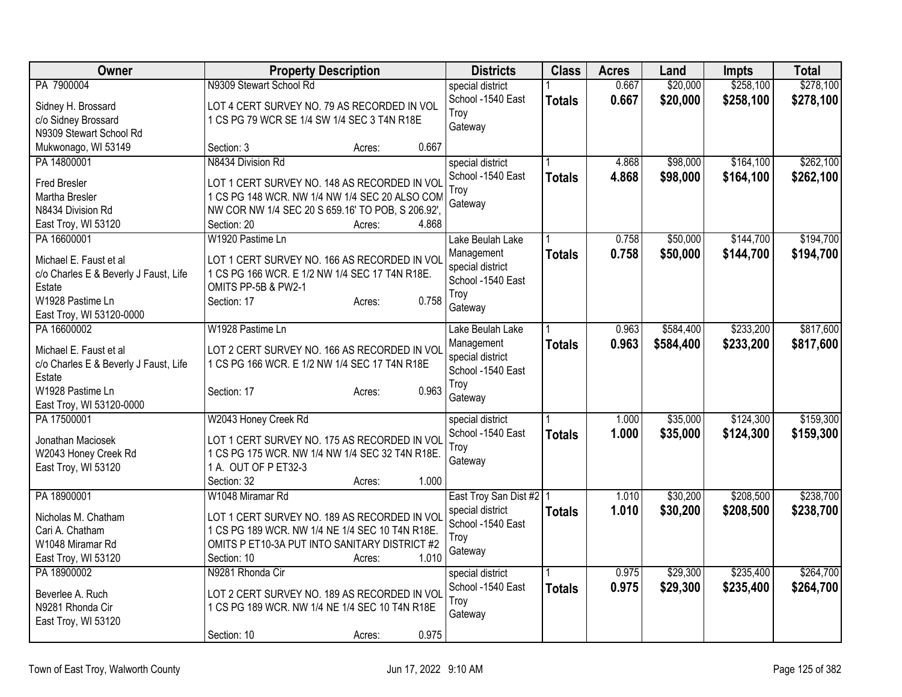| Owner                                   | <b>Property Description</b>                       | <b>Districts</b>          | <b>Class</b>  | <b>Acres</b> | Land      | <b>Impts</b> | <b>Total</b> |
|-----------------------------------------|---------------------------------------------------|---------------------------|---------------|--------------|-----------|--------------|--------------|
| PA 7900004                              | N9309 Stewart School Rd                           | special district          |               | 0.667        | \$20,000  | \$258,100    | \$278,100    |
| Sidney H. Brossard                      | LOT 4 CERT SURVEY NO. 79 AS RECORDED IN VOL       | School -1540 East         | <b>Totals</b> | 0.667        | \$20,000  | \$258,100    | \$278,100    |
| c/o Sidney Brossard                     | 1 CS PG 79 WCR SE 1/4 SW 1/4 SEC 3 T4N R18E       | Troy                      |               |              |           |              |              |
| N9309 Stewart School Rd                 |                                                   | Gateway                   |               |              |           |              |              |
| Mukwonago, WI 53149                     | 0.667<br>Section: 3<br>Acres:                     |                           |               |              |           |              |              |
| PA 14800001                             | N8434 Division Rd                                 | special district          |               | 4.868        | \$98,000  | \$164,100    | \$262,100    |
| Fred Bresler                            | LOT 1 CERT SURVEY NO. 148 AS RECORDED IN VOL      | School -1540 East         | <b>Totals</b> | 4.868        | \$98,000  | \$164,100    | \$262,100    |
| Martha Bresler                          | 1 CS PG 148 WCR. NW 1/4 NW 1/4 SEC 20 ALSO COM    | Troy                      |               |              |           |              |              |
| N8434 Division Rd                       | NW COR NW 1/4 SEC 20 S 659.16' TO POB, S 206.92', | Gateway                   |               |              |           |              |              |
| East Troy, WI 53120                     | 4.868<br>Section: 20<br>Acres:                    |                           |               |              |           |              |              |
| PA 16600001                             | W1920 Pastime Ln                                  | Lake Beulah Lake          |               | 0.758        | \$50,000  | \$144,700    | \$194,700    |
|                                         |                                                   | Management                | <b>Totals</b> | 0.758        | \$50,000  | \$144,700    | \$194,700    |
| Michael E. Faust et al                  | LOT 1 CERT SURVEY NO. 166 AS RECORDED IN VOL      | special district          |               |              |           |              |              |
| c/o Charles E & Beverly J Faust, Life   | 1 CS PG 166 WCR. E 1/2 NW 1/4 SEC 17 T4N R18E.    | School -1540 East         |               |              |           |              |              |
| Estate<br>W1928 Pastime Ln              | OMITS PP-5B & PW2-1<br>0.758<br>Section: 17       | Troy                      |               |              |           |              |              |
| East Troy, WI 53120-0000                | Acres:                                            | Gateway                   |               |              |           |              |              |
| PA 16600002                             | W1928 Pastime Ln                                  | Lake Beulah Lake          |               | 0.963        | \$584,400 | \$233,200    | \$817,600    |
|                                         |                                                   | Management                | <b>Totals</b> | 0.963        | \$584,400 | \$233,200    | \$817,600    |
| Michael E. Faust et al                  | LOT 2 CERT SURVEY NO. 166 AS RECORDED IN VOL      | special district          |               |              |           |              |              |
| c/o Charles E & Beverly J Faust, Life   | 1 CS PG 166 WCR. E 1/2 NW 1/4 SEC 17 T4N R18E     | School -1540 East         |               |              |           |              |              |
| Estate                                  |                                                   | Troy                      |               |              |           |              |              |
| W1928 Pastime Ln                        | 0.963<br>Section: 17<br>Acres:                    | Gateway                   |               |              |           |              |              |
| East Troy, WI 53120-0000<br>PA 17500001 | W2043 Honey Creek Rd                              | special district          |               | 1.000        | \$35,000  | \$124,300    | \$159,300    |
|                                         |                                                   | School -1540 East         |               | 1.000        | \$35,000  | \$124,300    | \$159,300    |
| Jonathan Maciosek                       | LOT 1 CERT SURVEY NO. 175 AS RECORDED IN VOL      | Troy                      | <b>Totals</b> |              |           |              |              |
| W2043 Honey Creek Rd                    | 1 CS PG 175 WCR. NW 1/4 NW 1/4 SEC 32 T4N R18E.   | Gateway                   |               |              |           |              |              |
| East Troy, WI 53120                     | 1 A. OUT OF P ET32-3                              |                           |               |              |           |              |              |
|                                         | 1.000<br>Section: 32<br>Acres:                    |                           |               |              |           |              |              |
| PA 18900001                             | W1048 Miramar Rd                                  | East Troy San Dist #2   1 |               | 1.010        | \$30,200  | \$208,500    | \$238,700    |
| Nicholas M. Chatham                     | LOT 1 CERT SURVEY NO. 189 AS RECORDED IN VOL      | special district          | <b>Totals</b> | 1.010        | \$30,200  | \$208,500    | \$238,700    |
| Cari A. Chatham                         | 1 CS PG 189 WCR. NW 1/4 NE 1/4 SEC 10 T4N R18E.   | School -1540 East         |               |              |           |              |              |
| W1048 Miramar Rd                        | OMITS P ET10-3A PUT INTO SANITARY DISTRICT #2     | Troy                      |               |              |           |              |              |
| East Troy, WI 53120                     | 1.010<br>Section: 10<br>Acres:                    | Gateway                   |               |              |           |              |              |
| PA 18900002                             | N9281 Rhonda Cir                                  | special district          |               | 0.975        | \$29,300  | \$235,400    | \$264,700    |
| Beverlee A. Ruch                        | LOT 2 CERT SURVEY NO. 189 AS RECORDED IN VOL      | School -1540 East         | <b>Totals</b> | 0.975        | \$29,300  | \$235,400    | \$264,700    |
| N9281 Rhonda Cir                        | 1 CS PG 189 WCR. NW 1/4 NE 1/4 SEC 10 T4N R18E    | Troy                      |               |              |           |              |              |
| East Troy, WI 53120                     |                                                   | Gateway                   |               |              |           |              |              |
|                                         | 0.975<br>Section: 10<br>Acres:                    |                           |               |              |           |              |              |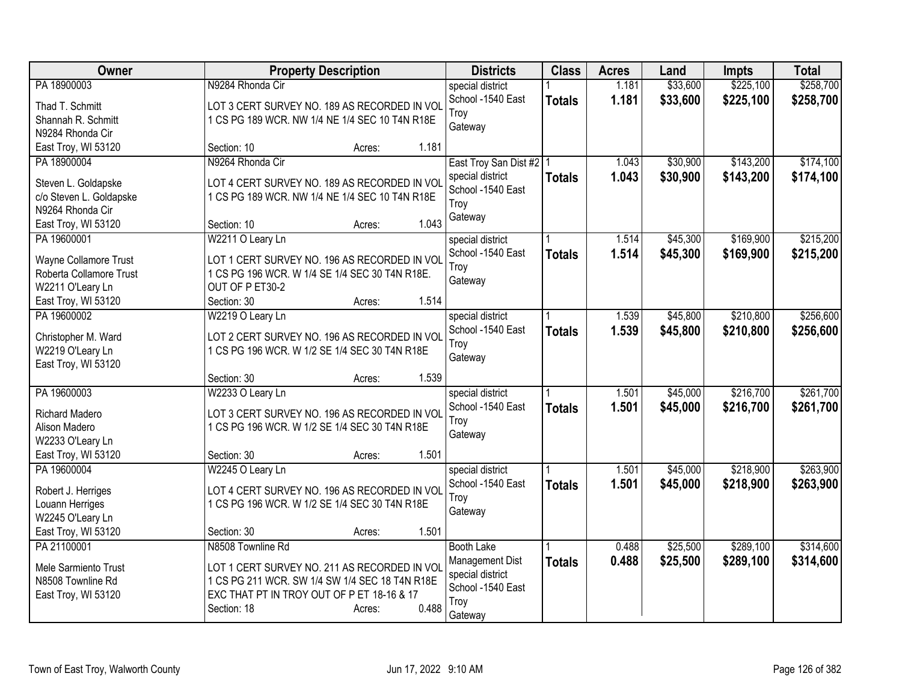| <b>Owner</b>                       | <b>Property Description</b>                                                                  | <b>Districts</b>                      | <b>Class</b>  | <b>Acres</b> | Land     | <b>Impts</b> | <b>Total</b> |
|------------------------------------|----------------------------------------------------------------------------------------------|---------------------------------------|---------------|--------------|----------|--------------|--------------|
| PA 18900003                        | N9284 Rhonda Cir                                                                             | special district                      |               | 1.181        | \$33,600 | \$225,100    | \$258,700    |
| Thad T. Schmitt                    | LOT 3 CERT SURVEY NO. 189 AS RECORDED IN VOL                                                 | School -1540 East                     | <b>Totals</b> | 1.181        | \$33,600 | \$225,100    | \$258,700    |
| Shannah R. Schmitt                 | 1 CS PG 189 WCR. NW 1/4 NE 1/4 SEC 10 T4N R18E                                               | Troy                                  |               |              |          |              |              |
| N9284 Rhonda Cir                   |                                                                                              | Gateway                               |               |              |          |              |              |
| East Troy, WI 53120                | 1.181<br>Section: 10<br>Acres:                                                               |                                       |               |              |          |              |              |
| PA 18900004                        | N9264 Rhonda Cir                                                                             | East Troy San Dist #2   1             |               | 1.043        | \$30,900 | \$143,200    | \$174,100    |
|                                    |                                                                                              | special district                      | <b>Totals</b> | 1.043        | \$30,900 | \$143,200    | \$174,100    |
| Steven L. Goldapske                | LOT 4 CERT SURVEY NO. 189 AS RECORDED IN VOI                                                 | School -1540 East                     |               |              |          |              |              |
| c/o Steven L. Goldapske            | 1 CS PG 189 WCR. NW 1/4 NE 1/4 SEC 10 T4N R18E                                               | Troy                                  |               |              |          |              |              |
| N9264 Rhonda Cir                   | 1.043<br>Section: 10                                                                         | Gateway                               |               |              |          |              |              |
| East Troy, WI 53120<br>PA 19600001 | Acres:<br>W2211 O Leary Ln                                                                   |                                       |               | 1.514        | \$45,300 | \$169,900    | \$215,200    |
|                                    |                                                                                              | special district<br>School -1540 East |               |              |          |              |              |
| Wayne Collamore Trust              | LOT 1 CERT SURVEY NO. 196 AS RECORDED IN VOL                                                 | Troy                                  | <b>Totals</b> | 1.514        | \$45,300 | \$169,900    | \$215,200    |
| Roberta Collamore Trust            | 1 CS PG 196 WCR. W 1/4 SE 1/4 SEC 30 T4N R18E.                                               | Gateway                               |               |              |          |              |              |
| W2211 O'Leary Ln                   | OUT OF P ET30-2                                                                              |                                       |               |              |          |              |              |
| East Troy, WI 53120                | 1.514<br>Section: 30<br>Acres:                                                               |                                       |               |              |          |              |              |
| PA 19600002                        | W2219 O Leary Ln                                                                             | special district                      |               | 1.539        | \$45,800 | \$210,800    | \$256,600    |
| Christopher M. Ward                | LOT 2 CERT SURVEY NO. 196 AS RECORDED IN VOL                                                 | School -1540 East                     | <b>Totals</b> | 1.539        | \$45,800 | \$210,800    | \$256,600    |
| W2219 O'Leary Ln                   | 1 CS PG 196 WCR. W 1/2 SE 1/4 SEC 30 T4N R18E                                                | Troy                                  |               |              |          |              |              |
| East Troy, WI 53120                |                                                                                              | Gateway                               |               |              |          |              |              |
|                                    | 1.539<br>Section: 30<br>Acres:                                                               |                                       |               |              |          |              |              |
| PA 19600003                        | W2233 O Leary Ln                                                                             | special district                      |               | 1.501        | \$45,000 | \$216,700    | \$261,700    |
|                                    |                                                                                              | School -1540 East                     | <b>Totals</b> | 1.501        | \$45,000 | \$216,700    | \$261,700    |
| <b>Richard Madero</b>              | LOT 3 CERT SURVEY NO. 196 AS RECORDED IN VOL                                                 | Troy                                  |               |              |          |              |              |
| Alison Madero                      | 1 CS PG 196 WCR. W 1/2 SE 1/4 SEC 30 T4N R18E                                                | Gateway                               |               |              |          |              |              |
| W2233 O'Leary Ln                   |                                                                                              |                                       |               |              |          |              |              |
| East Troy, WI 53120                | 1.501<br>Section: 30<br>Acres:                                                               |                                       |               |              |          |              |              |
| PA 19600004                        | W2245 O Leary Ln                                                                             | special district                      |               | 1.501        | \$45,000 | \$218,900    | \$263,900    |
| Robert J. Herriges                 | LOT 4 CERT SURVEY NO. 196 AS RECORDED IN VOL                                                 | School -1540 East                     | <b>Totals</b> | 1.501        | \$45,000 | \$218,900    | \$263,900    |
| Louann Herriges                    | 1 CS PG 196 WCR. W 1/2 SE 1/4 SEC 30 T4N R18E                                                | Troy                                  |               |              |          |              |              |
| W2245 O'Leary Ln                   |                                                                                              | Gateway                               |               |              |          |              |              |
| East Troy, WI 53120                | 1.501<br>Section: 30<br>Acres:                                                               |                                       |               |              |          |              |              |
| PA 21100001                        | N8508 Townline Rd                                                                            | <b>Booth Lake</b>                     |               | 0.488        | \$25,500 | \$289,100    | \$314,600    |
|                                    |                                                                                              | Management Dist                       | <b>Totals</b> | 0.488        | \$25,500 | \$289,100    | \$314,600    |
| Mele Sarmiento Trust               | LOT 1 CERT SURVEY NO. 211 AS RECORDED IN VOL                                                 | special district                      |               |              |          |              |              |
| N8508 Townline Rd                  | 1 CS PG 211 WCR. SW 1/4 SW 1/4 SEC 18 T4N R18E<br>EXC THAT PT IN TROY OUT OF P ET 18-16 & 17 | School -1540 East                     |               |              |          |              |              |
| East Troy, WI 53120                | 0.488<br>Section: 18<br>Acres:                                                               | Troy                                  |               |              |          |              |              |
|                                    |                                                                                              | Gateway                               |               |              |          |              |              |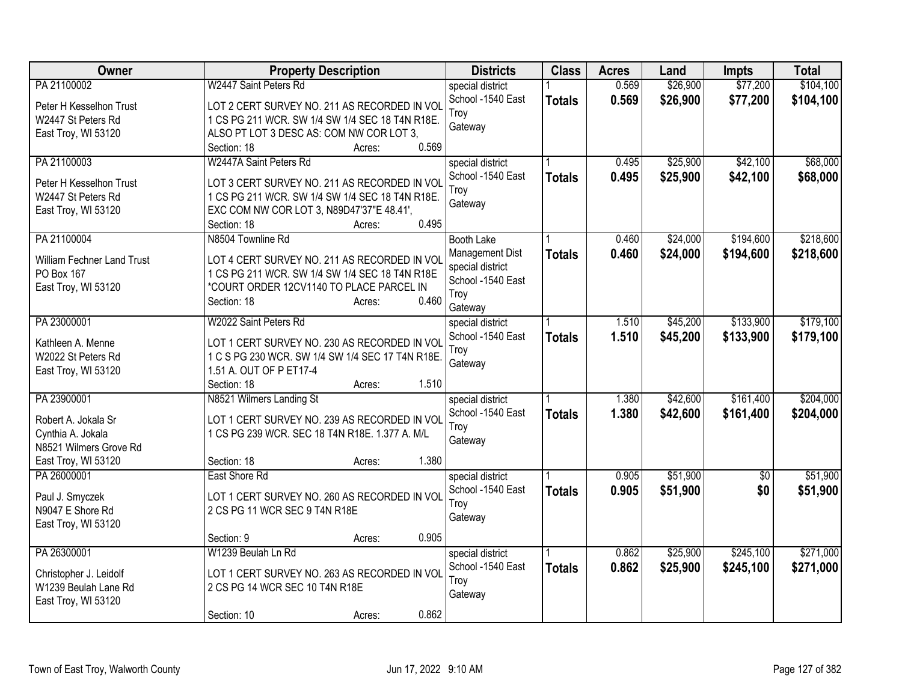| Owner                                                                                                    | <b>Property Description</b>                                                                                                                                                                                                                | <b>Districts</b>                                                                                 | <b>Class</b>  | <b>Acres</b>   | Land                 | <b>Impts</b>           | <b>Total</b>           |
|----------------------------------------------------------------------------------------------------------|--------------------------------------------------------------------------------------------------------------------------------------------------------------------------------------------------------------------------------------------|--------------------------------------------------------------------------------------------------|---------------|----------------|----------------------|------------------------|------------------------|
| PA 21100002<br>Peter H Kesselhon Trust<br>W2447 St Peters Rd<br>East Troy, WI 53120                      | W2447 Saint Peters Rd<br>LOT 2 CERT SURVEY NO. 211 AS RECORDED IN VOL<br>1 CS PG 211 WCR. SW 1/4 SW 1/4 SEC 18 T4N R18E.<br>ALSO PT LOT 3 DESC AS: COM NW COR LOT 3,                                                                       | special district<br>School -1540 East<br>Troy<br>Gateway                                         | <b>Totals</b> | 0.569<br>0.569 | \$26,900<br>\$26,900 | \$77,200<br>\$77,200   | \$104,100<br>\$104,100 |
| PA 21100003<br>Peter H Kesselhon Trust<br>W2447 St Peters Rd<br>East Troy, WI 53120                      | 0.569<br>Section: 18<br>Acres:<br>W2447A Saint Peters Rd<br>LOT 3 CERT SURVEY NO. 211 AS RECORDED IN VOL<br>1 CS PG 211 WCR. SW 1/4 SW 1/4 SEC 18 T4N R18E.<br>EXC COM NW COR LOT 3, N89D47'37"E 48.41',<br>0.495<br>Section: 18<br>Acres: | special district<br>School -1540 East<br>Troy<br>Gateway                                         | <b>Totals</b> | 0.495<br>0.495 | \$25,900<br>\$25,900 | \$42,100<br>\$42,100   | \$68,000<br>\$68,000   |
| PA 21100004<br><b>William Fechner Land Trust</b><br>PO Box 167<br>East Troy, WI 53120                    | N8504 Townline Rd<br>LOT 4 CERT SURVEY NO. 211 AS RECORDED IN VOL<br>1 CS PG 211 WCR. SW 1/4 SW 1/4 SEC 18 T4N R18E<br>*COURT ORDER 12CV1140 TO PLACE PARCEL IN<br>0.460<br>Section: 18<br>Acres:                                          | <b>Booth Lake</b><br>Management Dist<br>special district<br>School -1540 East<br>Troy<br>Gateway | <b>Totals</b> | 0.460<br>0.460 | \$24,000<br>\$24,000 | \$194,600<br>\$194,600 | \$218,600<br>\$218,600 |
| PA 23000001<br>Kathleen A. Menne<br>W2022 St Peters Rd<br>East Troy, WI 53120                            | W2022 Saint Peters Rd<br>LOT 1 CERT SURVEY NO. 230 AS RECORDED IN VOL<br>1 C S PG 230 WCR. SW 1/4 SW 1/4 SEC 17 T4N R18E.<br>1.51 A. OUT OF P ET17-4<br>1.510<br>Section: 18<br>Acres:                                                     | special district<br>School -1540 East<br>Troy<br>Gateway                                         | <b>Totals</b> | 1.510<br>1.510 | \$45,200<br>\$45,200 | \$133,900<br>\$133,900 | \$179,100<br>\$179,100 |
| PA 23900001<br>Robert A. Jokala Sr<br>Cynthia A. Jokala<br>N8521 Wilmers Grove Rd<br>East Troy, WI 53120 | N8521 Wilmers Landing St<br>LOT 1 CERT SURVEY NO. 239 AS RECORDED IN VOL<br>1 CS PG 239 WCR. SEC 18 T4N R18E. 1.377 A. M/L<br>1.380<br>Section: 18<br>Acres:                                                                               | special district<br>School -1540 East<br>Troy<br>Gateway                                         | <b>Totals</b> | 1.380<br>1.380 | \$42,600<br>\$42,600 | \$161,400<br>\$161,400 | \$204,000<br>\$204,000 |
| PA 26000001<br>Paul J. Smyczek<br>N9047 E Shore Rd<br>East Troy, WI 53120                                | East Shore Rd<br>LOT 1 CERT SURVEY NO. 260 AS RECORDED IN VOL<br>2 CS PG 11 WCR SEC 9 T4N R18E<br>0.905                                                                                                                                    | special district<br>School -1540 East<br>Troy<br>Gateway                                         | <b>Totals</b> | 0.905<br>0.905 | \$51,900<br>\$51,900 | $\sqrt{6}$<br>\$0      | \$51,900<br>\$51,900   |
| PA 26300001<br>Christopher J. Leidolf<br>W1239 Beulah Lane Rd<br>East Troy, WI 53120                     | Section: 9<br>Acres:<br>W1239 Beulah Ln Rd<br>LOT 1 CERT SURVEY NO. 263 AS RECORDED IN VOL<br>2 CS PG 14 WCR SEC 10 T4N R18E<br>0.862<br>Section: 10<br>Acres:                                                                             | special district<br>School -1540 East<br>Troy<br>Gateway                                         | <b>Totals</b> | 0.862<br>0.862 | \$25,900<br>\$25,900 | \$245,100<br>\$245,100 | \$271,000<br>\$271,000 |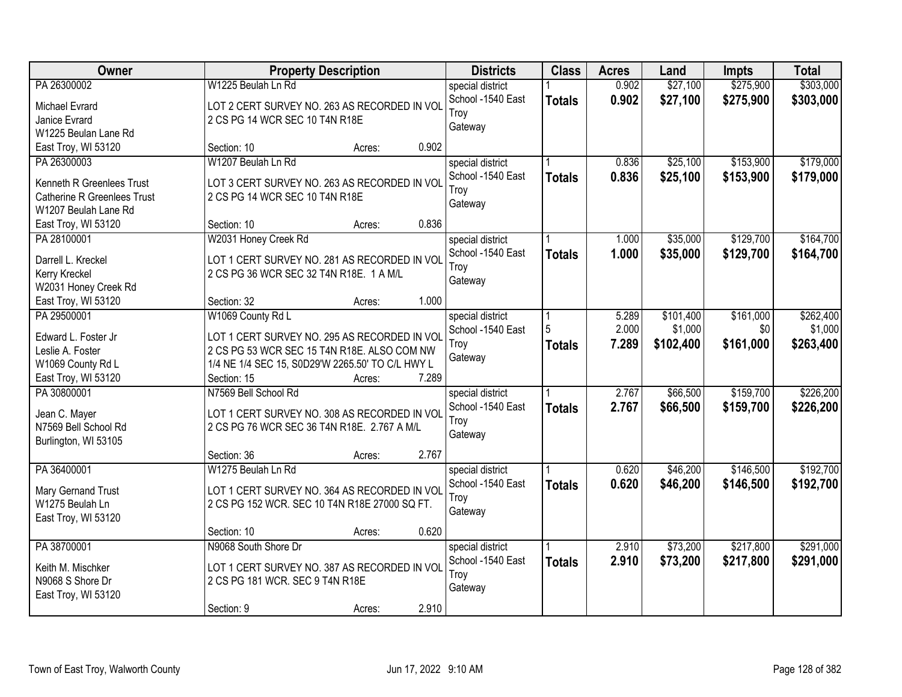| Owner                              |                                                  | <b>Property Description</b> |       | <b>Districts</b>  | <b>Class</b>  | <b>Acres</b> | Land      | <b>Impts</b> | <b>Total</b> |
|------------------------------------|--------------------------------------------------|-----------------------------|-------|-------------------|---------------|--------------|-----------|--------------|--------------|
| PA 26300002                        | W1225 Beulah Ln Rd                               |                             |       | special district  |               | 0.902        | \$27,100  | \$275,900    | \$303,000    |
| Michael Evrard                     | LOT 2 CERT SURVEY NO. 263 AS RECORDED IN VOL     |                             |       | School -1540 East | <b>Totals</b> | 0.902        | \$27,100  | \$275,900    | \$303,000    |
| Janice Evrard                      | 2 CS PG 14 WCR SEC 10 T4N R18E                   |                             |       | Troy              |               |              |           |              |              |
| W1225 Beulan Lane Rd               |                                                  |                             |       | Gateway           |               |              |           |              |              |
| East Troy, WI 53120                | Section: 10                                      | Acres:                      | 0.902 |                   |               |              |           |              |              |
| PA 26300003                        | W1207 Beulah Ln Rd                               |                             |       | special district  |               | 0.836        | \$25,100  | \$153,900    | \$179,000    |
|                                    |                                                  |                             |       | School -1540 East | <b>Totals</b> | 0.836        | \$25,100  | \$153,900    | \$179,000    |
| Kenneth R Greenlees Trust          | LOT 3 CERT SURVEY NO. 263 AS RECORDED IN VOL     |                             |       | Troy              |               |              |           |              |              |
| <b>Catherine R Greenlees Trust</b> | 2 CS PG 14 WCR SEC 10 T4N R18E                   |                             |       | Gateway           |               |              |           |              |              |
| W1207 Beulah Lane Rd               |                                                  |                             |       |                   |               |              |           |              |              |
| East Troy, WI 53120                | Section: 10                                      | Acres:                      | 0.836 |                   |               |              |           |              |              |
| PA 28100001                        | W2031 Honey Creek Rd                             |                             |       | special district  |               | 1.000        | \$35,000  | \$129,700    | \$164,700    |
| Darrell L. Kreckel                 | LOT 1 CERT SURVEY NO. 281 AS RECORDED IN VOL     |                             |       | School -1540 East | <b>Totals</b> | 1.000        | \$35,000  | \$129,700    | \$164,700    |
| Kerry Kreckel                      | 2 CS PG 36 WCR SEC 32 T4N R18E. 1 A M/L          |                             |       | Troy              |               |              |           |              |              |
| W2031 Honey Creek Rd               |                                                  |                             |       | Gateway           |               |              |           |              |              |
| East Troy, WI 53120                | Section: 32                                      | Acres:                      | 1.000 |                   |               |              |           |              |              |
| PA 29500001                        | W1069 County Rd L                                |                             |       | special district  |               | 5.289        | \$101,400 | \$161,000    | \$262,400    |
|                                    |                                                  |                             |       | School -1540 East | 5             | 2.000        | \$1,000   | \$0          | \$1,000      |
| Edward L. Foster Jr                | LOT 1 CERT SURVEY NO. 295 AS RECORDED IN VOL     |                             |       | Troy              | <b>Totals</b> | 7.289        | \$102,400 | \$161,000    | \$263,400    |
| Leslie A. Foster                   | 2 CS PG 53 WCR SEC 15 T4N R18E. ALSO COM NW      |                             |       | Gateway           |               |              |           |              |              |
| W1069 County Rd L                  | 1/4 NE 1/4 SEC 15, S0D29'W 2265.50' TO C/L HWY L |                             |       |                   |               |              |           |              |              |
| East Troy, WI 53120                | Section: 15                                      | Acres:                      | 7.289 |                   |               |              |           |              |              |
| PA 30800001                        | N7569 Bell School Rd                             |                             |       | special district  |               | 2.767        | \$66,500  | \$159,700    | \$226,200    |
| Jean C. Mayer                      | LOT 1 CERT SURVEY NO. 308 AS RECORDED IN VOL     |                             |       | School -1540 East | <b>Totals</b> | 2.767        | \$66,500  | \$159,700    | \$226,200    |
| N7569 Bell School Rd               | 2 CS PG 76 WCR SEC 36 T4N R18E. 2.767 A M/L      |                             |       | Troy              |               |              |           |              |              |
| Burlington, WI 53105               |                                                  |                             |       | Gateway           |               |              |           |              |              |
|                                    | Section: 36                                      | Acres:                      | 2.767 |                   |               |              |           |              |              |
| PA 36400001                        | W1275 Beulah Ln Rd                               |                             |       | special district  |               | 0.620        | \$46,200  | \$146,500    | \$192,700    |
|                                    | LOT 1 CERT SURVEY NO. 364 AS RECORDED IN VOL     |                             |       | School -1540 East | <b>Totals</b> | 0.620        | \$46,200  | \$146,500    | \$192,700    |
| Mary Gernand Trust                 |                                                  |                             |       | Troy              |               |              |           |              |              |
| W1275 Beulah Ln                    | 2 CS PG 152 WCR. SEC 10 T4N R18E 27000 SQ FT.    |                             |       | Gateway           |               |              |           |              |              |
| East Troy, WI 53120                |                                                  |                             | 0.620 |                   |               |              |           |              |              |
|                                    | Section: 10                                      | Acres:                      |       |                   |               | 2.910        |           |              |              |
| PA 38700001                        | N9068 South Shore Dr                             |                             |       | special district  |               |              | \$73,200  | \$217,800    | \$291,000    |
| Keith M. Mischker                  | LOT 1 CERT SURVEY NO. 387 AS RECORDED IN VOL     |                             |       | School -1540 East | <b>Totals</b> | 2.910        | \$73,200  | \$217,800    | \$291,000    |
| N9068 S Shore Dr                   | 2 CS PG 181 WCR. SEC 9 T4N R18E                  |                             |       | Troy              |               |              |           |              |              |
| East Troy, WI 53120                |                                                  |                             |       | Gateway           |               |              |           |              |              |
|                                    | Section: 9                                       | Acres:                      | 2.910 |                   |               |              |           |              |              |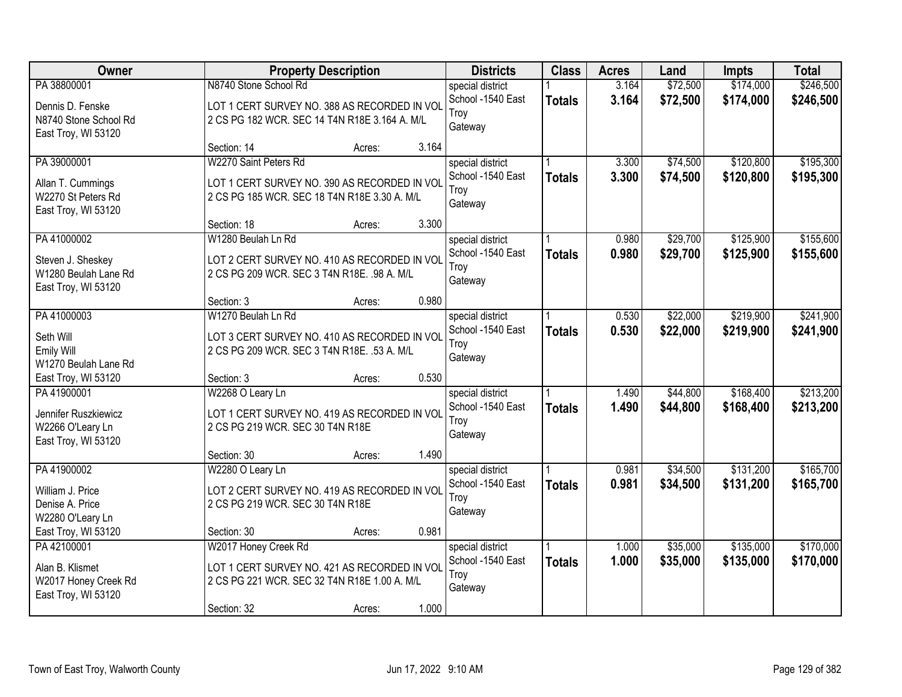| Owner                 |                                               | <b>Property Description</b> |       | <b>Districts</b>  | <b>Class</b>  | <b>Acres</b> | Land     | <b>Impts</b> | <b>Total</b> |
|-----------------------|-----------------------------------------------|-----------------------------|-------|-------------------|---------------|--------------|----------|--------------|--------------|
| PA 38800001           | N8740 Stone School Rd                         |                             |       | special district  |               | 3.164        | \$72,500 | \$174,000    | \$246,500    |
| Dennis D. Fenske      | LOT 1 CERT SURVEY NO. 388 AS RECORDED IN VOL  |                             |       | School -1540 East | <b>Totals</b> | 3.164        | \$72,500 | \$174,000    | \$246,500    |
| N8740 Stone School Rd | 2 CS PG 182 WCR. SEC 14 T4N R18E 3.164 A. M/L |                             |       | Troy              |               |              |          |              |              |
| East Troy, WI 53120   |                                               |                             |       | Gateway           |               |              |          |              |              |
|                       | Section: 14                                   | Acres:                      | 3.164 |                   |               |              |          |              |              |
| PA 39000001           | W2270 Saint Peters Rd                         |                             |       | special district  |               | 3.300        | \$74,500 | \$120,800    | \$195,300    |
| Allan T. Cummings     | LOT 1 CERT SURVEY NO. 390 AS RECORDED IN VOL  |                             |       | School -1540 East | <b>Totals</b> | 3.300        | \$74,500 | \$120,800    | \$195,300    |
| W2270 St Peters Rd    | 2 CS PG 185 WCR. SEC 18 T4N R18E 3.30 A. M/L  |                             |       | Troy              |               |              |          |              |              |
| East Troy, WI 53120   |                                               |                             |       | Gateway           |               |              |          |              |              |
|                       | Section: 18                                   | Acres:                      | 3.300 |                   |               |              |          |              |              |
| PA 41000002           | W1280 Beulah Ln Rd                            |                             |       | special district  |               | 0.980        | \$29,700 | \$125,900    | \$155,600    |
| Steven J. Sheskey     | LOT 2 CERT SURVEY NO. 410 AS RECORDED IN VOL  |                             |       | School -1540 East | <b>Totals</b> | 0.980        | \$29,700 | \$125,900    | \$155,600    |
| W1280 Beulah Lane Rd  | 2 CS PG 209 WCR. SEC 3 T4N R18E. .98 A. M/L   |                             |       | Troy              |               |              |          |              |              |
| East Troy, WI 53120   |                                               |                             |       | Gateway           |               |              |          |              |              |
|                       | Section: 3                                    | Acres:                      | 0.980 |                   |               |              |          |              |              |
| PA 41000003           | W1270 Beulah Ln Rd                            |                             |       | special district  |               | 0.530        | \$22,000 | \$219,900    | \$241,900    |
| Seth Will             | LOT 3 CERT SURVEY NO. 410 AS RECORDED IN VOL  |                             |       | School -1540 East | <b>Totals</b> | 0.530        | \$22,000 | \$219,900    | \$241,900    |
| Emily Will            | 2 CS PG 209 WCR. SEC 3 T4N R18E. .53 A. M/L   |                             |       | Troy              |               |              |          |              |              |
| W1270 Beulah Lane Rd  |                                               |                             |       | Gateway           |               |              |          |              |              |
| East Troy, WI 53120   | Section: 3                                    | Acres:                      | 0.530 |                   |               |              |          |              |              |
| PA 41900001           | W2268 O Leary Ln                              |                             |       | special district  |               | 1.490        | \$44,800 | \$168,400    | \$213,200    |
| Jennifer Ruszkiewicz  | LOT 1 CERT SURVEY NO. 419 AS RECORDED IN VOL  |                             |       | School -1540 East | <b>Totals</b> | 1.490        | \$44,800 | \$168,400    | \$213,200    |
| W2266 O'Leary Ln      | 2 CS PG 219 WCR. SEC 30 T4N R18E              |                             |       | Troy              |               |              |          |              |              |
| East Troy, WI 53120   |                                               |                             |       | Gateway           |               |              |          |              |              |
|                       | Section: 30                                   | Acres:                      | 1.490 |                   |               |              |          |              |              |
| PA 41900002           | W2280 O Leary Ln                              |                             |       | special district  |               | 0.981        | \$34,500 | \$131,200    | \$165,700    |
| William J. Price      | LOT 2 CERT SURVEY NO. 419 AS RECORDED IN VOL  |                             |       | School -1540 East | <b>Totals</b> | 0.981        | \$34,500 | \$131,200    | \$165,700    |
| Denise A. Price       | 2 CS PG 219 WCR. SEC 30 T4N R18E              |                             |       | Troy              |               |              |          |              |              |
| W2280 O'Leary Ln      |                                               |                             |       | Gateway           |               |              |          |              |              |
| East Troy, WI 53120   | Section: 30                                   | Acres:                      | 0.981 |                   |               |              |          |              |              |
| PA 42100001           | W2017 Honey Creek Rd                          |                             |       | special district  |               | 1.000        | \$35,000 | \$135,000    | \$170,000    |
| Alan B. Klismet       | LOT 1 CERT SURVEY NO. 421 AS RECORDED IN VOL  |                             |       | School -1540 East | <b>Totals</b> | 1.000        | \$35,000 | \$135,000    | \$170,000    |
| W2017 Honey Creek Rd  | 2 CS PG 221 WCR. SEC 32 T4N R18E 1.00 A. M/L  |                             |       | Troy              |               |              |          |              |              |
| East Troy, WI 53120   |                                               |                             |       | Gateway           |               |              |          |              |              |
|                       | Section: 32                                   | Acres:                      | 1.000 |                   |               |              |          |              |              |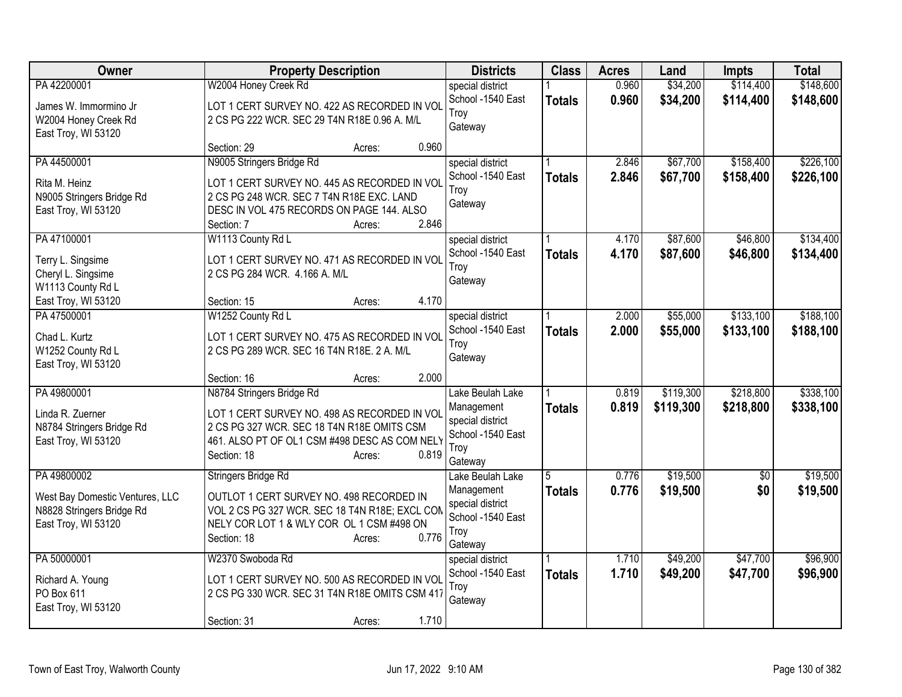| Owner                           |                                                | <b>Property Description</b>                    | <b>Districts</b>                      | <b>Class</b>  | <b>Acres</b>   | Land      | <b>Impts</b>    | <b>Total</b> |
|---------------------------------|------------------------------------------------|------------------------------------------------|---------------------------------------|---------------|----------------|-----------|-----------------|--------------|
| PA 42200001                     | W2004 Honey Creek Rd                           |                                                | special district                      |               | 0.960          | \$34,200  | \$114,400       | \$148,600    |
| James W. Immormino Jr           |                                                | LOT 1 CERT SURVEY NO. 422 AS RECORDED IN VOL   | School -1540 East                     | <b>Totals</b> | 0.960          | \$34,200  | \$114,400       | \$148,600    |
| W2004 Honey Creek Rd            | 2 CS PG 222 WCR. SEC 29 T4N R18E 0.96 A. M/L   |                                                | Troy                                  |               |                |           |                 |              |
| East Troy, WI 53120             |                                                |                                                | Gateway                               |               |                |           |                 |              |
|                                 | Section: 29                                    | 0.960<br>Acres:                                |                                       |               |                |           |                 |              |
| PA 44500001                     | N9005 Stringers Bridge Rd                      |                                                | special district                      |               | 2.846          | \$67,700  | \$158,400       | \$226,100    |
| Rita M. Heinz                   |                                                | LOT 1 CERT SURVEY NO. 445 AS RECORDED IN VOL   | School -1540 East                     | <b>Totals</b> | 2.846          | \$67,700  | \$158,400       | \$226,100    |
| N9005 Stringers Bridge Rd       | 2 CS PG 248 WCR. SEC 7 T4N R18E EXC. LAND      |                                                | Troy<br>Gateway                       |               |                |           |                 |              |
| East Troy, WI 53120             | DESC IN VOL 475 RECORDS ON PAGE 144. ALSO      |                                                |                                       |               |                |           |                 |              |
|                                 | Section: 7                                     | 2.846<br>Acres:                                |                                       |               |                |           |                 |              |
| PA 47100001                     | W1113 County Rd L                              |                                                | special district                      |               | 4.170          | \$87,600  | \$46,800        | \$134,400    |
| Terry L. Singsime               |                                                | LOT 1 CERT SURVEY NO. 471 AS RECORDED IN VOL   | School -1540 East<br>Troy             | <b>Totals</b> | 4.170          | \$87,600  | \$46,800        | \$134,400    |
| Cheryl L. Singsime              | 2 CS PG 284 WCR. 4.166 A. M/L                  |                                                | Gateway                               |               |                |           |                 |              |
| W1113 County Rd L               |                                                |                                                |                                       |               |                |           |                 |              |
| East Troy, WI 53120             | Section: 15                                    | 4.170<br>Acres:                                |                                       |               |                |           | \$133,100       | \$188,100    |
| PA 47500001                     | W1252 County Rd L                              |                                                | special district<br>School -1540 East |               | 2.000<br>2.000 | \$55,000  |                 |              |
| Chad L. Kurtz                   |                                                | LOT 1 CERT SURVEY NO. 475 AS RECORDED IN VOL   | Troy                                  | <b>Totals</b> |                | \$55,000  | \$133,100       | \$188,100    |
| W1252 County Rd L               | 2 CS PG 289 WCR. SEC 16 T4N R18E. 2 A. M/L     |                                                | Gateway                               |               |                |           |                 |              |
| East Troy, WI 53120             |                                                |                                                |                                       |               |                |           |                 |              |
| PA 49800001                     | Section: 16<br>N8784 Stringers Bridge Rd       | 2.000<br>Acres:                                | Lake Beulah Lake                      |               | 0.819          | \$119,300 | \$218,800       | \$338,100    |
|                                 |                                                |                                                | Management                            | <b>Totals</b> | 0.819          | \$119,300 | \$218,800       | \$338,100    |
| Linda R. Zuerner                |                                                | LOT 1 CERT SURVEY NO. 498 AS RECORDED IN VOL   | special district                      |               |                |           |                 |              |
| N8784 Stringers Bridge Rd       | 2 CS PG 327 WCR. SEC 18 T4N R18E OMITS CSM     |                                                | School -1540 East                     |               |                |           |                 |              |
| East Troy, WI 53120             | 461. ALSO PT OF OL1 CSM #498 DESC AS COM NELY  | 0.819                                          | Troy                                  |               |                |           |                 |              |
|                                 | Section: 18                                    | Acres:                                         | Gateway                               |               |                |           |                 |              |
| PA 49800002                     | Stringers Bridge Rd                            |                                                | Lake Beulah Lake                      | 5             | 0.776          | \$19,500  | $\overline{50}$ | \$19,500     |
| West Bay Domestic Ventures, LLC | OUTLOT 1 CERT SURVEY NO. 498 RECORDED IN       |                                                | Management                            | <b>Totals</b> | 0.776          | \$19,500  | \$0             | \$19,500     |
| N8828 Stringers Bridge Rd       |                                                | VOL 2 CS PG 327 WCR. SEC 18 T4N R18E; EXCL CON | special district<br>School -1540 East |               |                |           |                 |              |
| East Troy, WI 53120             | NELY COR LOT 1 & WLY COR OL 1 CSM #498 ON      |                                                | Troy                                  |               |                |           |                 |              |
|                                 | Section: 18                                    | 0.776<br>Acres:                                | Gateway                               |               |                |           |                 |              |
| PA 50000001                     | W2370 Swoboda Rd                               |                                                | special district                      |               | 1.710          | \$49,200  | \$47,700        | \$96,900     |
| Richard A. Young                |                                                | LOT 1 CERT SURVEY NO. 500 AS RECORDED IN VOL   | School -1540 East                     | <b>Totals</b> | 1.710          | \$49,200  | \$47,700        | \$96,900     |
| PO Box 611                      | 2 CS PG 330 WCR. SEC 31 T4N R18E OMITS CSM 417 |                                                | Troy                                  |               |                |           |                 |              |
| East Troy, WI 53120             |                                                |                                                | Gateway                               |               |                |           |                 |              |
|                                 | Section: 31                                    | 1.710<br>Acres:                                |                                       |               |                |           |                 |              |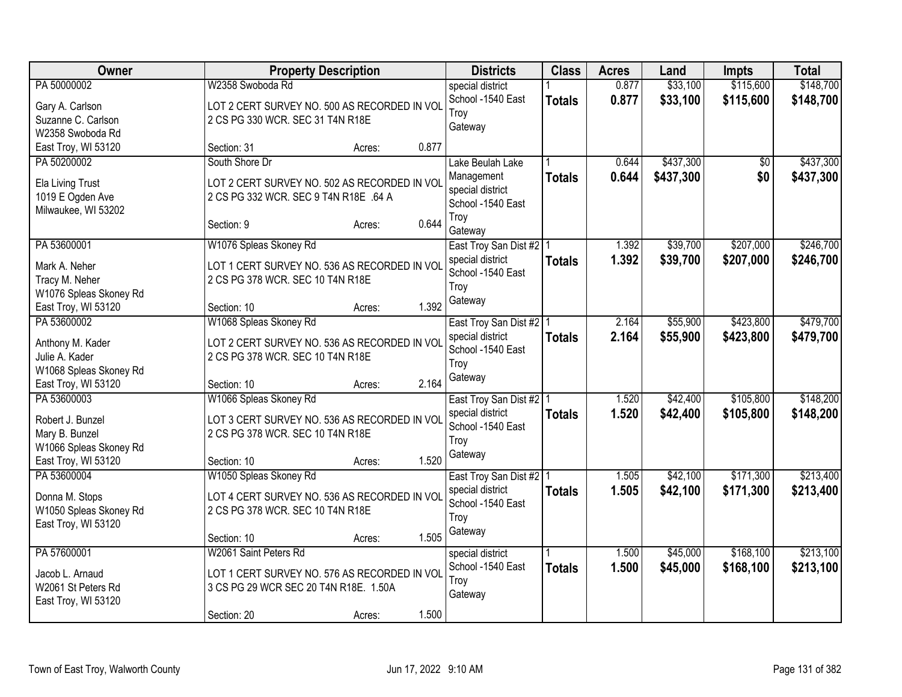| <b>Owner</b>                                  | <b>Property Description</b>                                                      |        |       | <b>Districts</b>                          | <b>Class</b>  | <b>Acres</b> | Land      | <b>Impts</b>    | <b>Total</b> |
|-----------------------------------------------|----------------------------------------------------------------------------------|--------|-------|-------------------------------------------|---------------|--------------|-----------|-----------------|--------------|
| PA 50000002                                   | W2358 Swoboda Rd                                                                 |        |       | special district                          |               | 0.877        | \$33,100  | \$115,600       | \$148,700    |
| Gary A. Carlson                               | LOT 2 CERT SURVEY NO. 500 AS RECORDED IN VOL                                     |        |       | School -1540 East                         | <b>Totals</b> | 0.877        | \$33,100  | \$115,600       | \$148,700    |
| Suzanne C. Carlson                            | 2 CS PG 330 WCR. SEC 31 T4N R18E                                                 |        |       | Troy                                      |               |              |           |                 |              |
| W2358 Swoboda Rd                              |                                                                                  |        |       | Gateway                                   |               |              |           |                 |              |
| East Troy, WI 53120                           | Section: 31                                                                      | Acres: | 0.877 |                                           |               |              |           |                 |              |
| PA 50200002                                   | South Shore Dr                                                                   |        |       | Lake Beulah Lake                          |               | 0.644        | \$437,300 | $\overline{50}$ | \$437,300    |
| Ela Living Trust                              | LOT 2 CERT SURVEY NO. 502 AS RECORDED IN VOL                                     |        |       | Management                                | <b>Totals</b> | 0.644        | \$437,300 | \$0             | \$437,300    |
| 1019 E Ogden Ave                              | 2 CS PG 332 WCR. SEC 9 T4N R18E .64 A                                            |        |       | special district                          |               |              |           |                 |              |
| Milwaukee, WI 53202                           |                                                                                  |        |       | School -1540 East                         |               |              |           |                 |              |
|                                               | Section: 9                                                                       | Acres: | 0.644 | Troy                                      |               |              |           |                 |              |
| PA 53600001                                   |                                                                                  |        |       | Gateway                                   |               | 1.392        | \$39,700  | \$207,000       | \$246,700    |
|                                               | W1076 Spleas Skoney Rd                                                           |        |       | East Troy San Dist #2<br>special district |               | 1.392        |           |                 |              |
| Mark A. Neher                                 | LOT 1 CERT SURVEY NO. 536 AS RECORDED IN VOL                                     |        |       | School -1540 East                         | <b>Totals</b> |              | \$39,700  | \$207,000       | \$246,700    |
| Tracy M. Neher                                | 2 CS PG 378 WCR. SEC 10 T4N R18E                                                 |        |       | Troy                                      |               |              |           |                 |              |
| W1076 Spleas Skoney Rd                        |                                                                                  |        |       | Gateway                                   |               |              |           |                 |              |
| East Troy, WI 53120                           | Section: 10                                                                      | Acres: | 1.392 |                                           |               |              |           |                 |              |
| PA 53600002                                   | W1068 Spleas Skoney Rd                                                           |        |       | East Troy San Dist #2                     |               | 2.164        | \$55,900  | \$423,800       | \$479,700    |
| Anthony M. Kader                              | LOT 2 CERT SURVEY NO. 536 AS RECORDED IN VOL                                     |        |       | special district                          | <b>Totals</b> | 2.164        | \$55,900  | \$423,800       | \$479,700    |
| Julie A. Kader                                | 2 CS PG 378 WCR. SEC 10 T4N R18E                                                 |        |       | School -1540 East                         |               |              |           |                 |              |
| W1068 Spleas Skoney Rd                        |                                                                                  |        |       | Troy                                      |               |              |           |                 |              |
| East Troy, WI 53120                           | Section: 10                                                                      | Acres: | 2.164 | Gateway                                   |               |              |           |                 |              |
| PA 53600003                                   | W1066 Spleas Skoney Rd                                                           |        |       | East Troy San Dist #2   1                 |               | 1.520        | \$42,400  | \$105,800       | \$148,200    |
| Robert J. Bunzel                              | LOT 3 CERT SURVEY NO. 536 AS RECORDED IN VOL                                     |        |       | special district                          | <b>Totals</b> | 1.520        | \$42,400  | \$105,800       | \$148,200    |
| Mary B. Bunzel                                | 2 CS PG 378 WCR. SEC 10 T4N R18E                                                 |        |       | School -1540 East                         |               |              |           |                 |              |
| W1066 Spleas Skoney Rd                        |                                                                                  |        |       | Troy                                      |               |              |           |                 |              |
| East Troy, WI 53120                           | Section: 10                                                                      | Acres: | 1.520 | Gateway                                   |               |              |           |                 |              |
| PA 53600004                                   | W1050 Spleas Skoney Rd                                                           |        |       | East Troy San Dist #2   1                 |               | 1.505        | \$42,100  | \$171,300       | \$213,400    |
|                                               |                                                                                  |        |       | special district                          | <b>Totals</b> | 1.505        | \$42,100  | \$171,300       | \$213,400    |
| Donna M. Stops                                | LOT 4 CERT SURVEY NO. 536 AS RECORDED IN VOL<br>2 CS PG 378 WCR. SEC 10 T4N R18E |        |       | School -1540 East                         |               |              |           |                 |              |
| W1050 Spleas Skoney Rd<br>East Troy, WI 53120 |                                                                                  |        |       | Troy                                      |               |              |           |                 |              |
|                                               | Section: 10                                                                      | Acres: | 1.505 | Gateway                                   |               |              |           |                 |              |
| PA 57600001                                   | W2061 Saint Peters Rd                                                            |        |       | special district                          |               | 1.500        | \$45,000  | \$168,100       | \$213,100    |
|                                               |                                                                                  |        |       | School -1540 East                         | <b>Totals</b> | 1.500        | \$45,000  | \$168,100       | \$213,100    |
| Jacob L. Arnaud                               | LOT 1 CERT SURVEY NO. 576 AS RECORDED IN VOL                                     |        |       | Troy                                      |               |              |           |                 |              |
| W2061 St Peters Rd                            | 3 CS PG 29 WCR SEC 20 T4N R18E. 1.50A                                            |        |       | Gateway                                   |               |              |           |                 |              |
| East Troy, WI 53120                           |                                                                                  |        | 1.500 |                                           |               |              |           |                 |              |
|                                               | Section: 20                                                                      | Acres: |       |                                           |               |              |           |                 |              |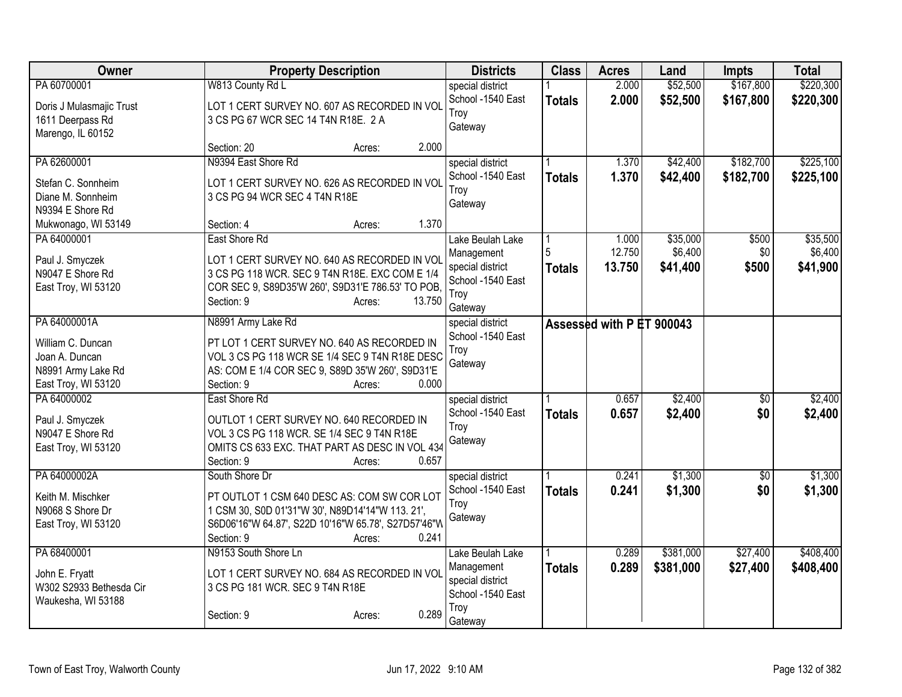| Owner                    | <b>Property Description</b>                         | <b>Districts</b>                      | <b>Class</b>  | <b>Acres</b>              | Land      | <b>Impts</b>    | <b>Total</b> |
|--------------------------|-----------------------------------------------------|---------------------------------------|---------------|---------------------------|-----------|-----------------|--------------|
| PA 60700001              | W813 County Rd L                                    | special district                      |               | 2.000                     | \$52,500  | \$167,800       | \$220,300    |
| Doris J Mulasmajic Trust | LOT 1 CERT SURVEY NO. 607 AS RECORDED IN VOL        | School -1540 East                     | <b>Totals</b> | 2.000                     | \$52,500  | \$167,800       | \$220,300    |
| 1611 Deerpass Rd         | 3 CS PG 67 WCR SEC 14 T4N R18E. 2 A                 | Troy                                  |               |                           |           |                 |              |
| Marengo, IL 60152        |                                                     | Gateway                               |               |                           |           |                 |              |
|                          | 2.000<br>Section: 20<br>Acres:                      |                                       |               |                           |           |                 |              |
| PA 62600001              | N9394 East Shore Rd                                 | special district                      |               | 1.370                     | \$42,400  | \$182,700       | \$225,100    |
| Stefan C. Sonnheim       | LOT 1 CERT SURVEY NO. 626 AS RECORDED IN VOL        | School -1540 East                     | <b>Totals</b> | 1.370                     | \$42,400  | \$182,700       | \$225,100    |
| Diane M. Sonnheim        | 3 CS PG 94 WCR SEC 4 T4N R18E                       | Troy                                  |               |                           |           |                 |              |
| N9394 E Shore Rd         |                                                     | Gateway                               |               |                           |           |                 |              |
| Mukwonago, WI 53149      | 1.370<br>Section: 4<br>Acres:                       |                                       |               |                           |           |                 |              |
| PA 64000001              | East Shore Rd                                       | Lake Beulah Lake                      |               | 1.000                     | \$35,000  | \$500           | \$35,500     |
| Paul J. Smyczek          | LOT 1 CERT SURVEY NO. 640 AS RECORDED IN VOL        | Management                            |               | 12.750                    | \$6,400   | \$0             | \$6,400      |
| N9047 E Shore Rd         | 3 CS PG 118 WCR. SEC 9 T4N R18E. EXC COM E 1/4      | special district<br>School -1540 East | <b>Totals</b> | 13.750                    | \$41,400  | \$500           | \$41,900     |
| East Troy, WI 53120      | COR SEC 9, S89D35'W 260', S9D31'E 786.53' TO POB,   | Troy                                  |               |                           |           |                 |              |
|                          | Section: 9<br>13.750<br>Acres:                      | Gateway                               |               |                           |           |                 |              |
| PA 64000001A             | N8991 Army Lake Rd                                  | special district                      |               | Assessed with P ET 900043 |           |                 |              |
| William C. Duncan        | PT LOT 1 CERT SURVEY NO. 640 AS RECORDED IN         | School -1540 East                     |               |                           |           |                 |              |
| Joan A. Duncan           | VOL 3 CS PG 118 WCR SE 1/4 SEC 9 T4N R18E DESC      | Troy                                  |               |                           |           |                 |              |
| N8991 Army Lake Rd       | AS: COM E 1/4 COR SEC 9, S89D 35'W 260', S9D31'E    | Gateway                               |               |                           |           |                 |              |
| East Troy, WI 53120      | Section: 9<br>0.000<br>Acres:                       |                                       |               |                           |           |                 |              |
| PA 64000002              | East Shore Rd                                       | special district                      |               | 0.657                     | \$2,400   | $\overline{50}$ | \$2,400      |
| Paul J. Smyczek          | OUTLOT 1 CERT SURVEY NO. 640 RECORDED IN            | School -1540 East                     | <b>Totals</b> | 0.657                     | \$2,400   | \$0             | \$2,400      |
| N9047 E Shore Rd         | VOL 3 CS PG 118 WCR. SE 1/4 SEC 9 T4N R18E          | Troy                                  |               |                           |           |                 |              |
| East Troy, WI 53120      | OMITS CS 633 EXC. THAT PART AS DESC IN VOL 434      | Gateway                               |               |                           |           |                 |              |
|                          | Section: 9<br>0.657<br>Acres:                       |                                       |               |                           |           |                 |              |
| PA 64000002A             | South Shore Dr                                      | special district                      |               | 0.241                     | \$1,300   | $\overline{50}$ | \$1,300      |
| Keith M. Mischker        | PT OUTLOT 1 CSM 640 DESC AS: COM SW COR LOT         | School -1540 East                     | <b>Totals</b> | 0.241                     | \$1,300   | \$0             | \$1,300      |
| N9068 S Shore Dr         | 1 CSM 30, S0D 01'31"W 30', N89D14'14"W 113. 21',    | Troy                                  |               |                           |           |                 |              |
| East Troy, WI 53120      | S6D06'16"W 64.87', S22D 10'16"W 65.78', S27D57'46"W | Gateway                               |               |                           |           |                 |              |
|                          | Section: 9<br>0.241<br>Acres:                       |                                       |               |                           |           |                 |              |
| PA 68400001              | N9153 South Shore Ln                                | Lake Beulah Lake                      |               | 0.289                     | \$381,000 | \$27,400        | \$408,400    |
| John E. Fryatt           | LOT 1 CERT SURVEY NO. 684 AS RECORDED IN VOL        | Management                            | <b>Totals</b> | 0.289                     | \$381,000 | \$27,400        | \$408,400    |
| W302 S2933 Bethesda Cir  | 3 CS PG 181 WCR. SEC 9 T4N R18E                     | special district<br>School -1540 East |               |                           |           |                 |              |
| Waukesha, WI 53188       |                                                     | Troy                                  |               |                           |           |                 |              |
|                          | 0.289<br>Section: 9<br>Acres:                       | Gateway                               |               |                           |           |                 |              |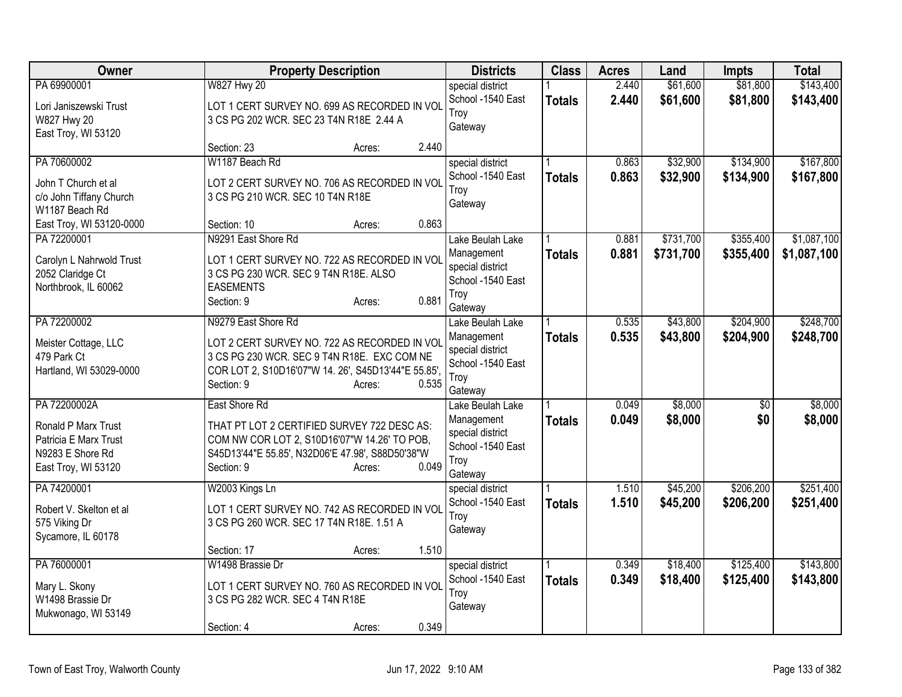| Owner                                                                                                   | <b>Property Description</b>                                                                                                                                                                       | <b>Districts</b>                                                                                    | <b>Class</b>  | <b>Acres</b>   | Land                   | <b>Impts</b>           | <b>Total</b>               |
|---------------------------------------------------------------------------------------------------------|---------------------------------------------------------------------------------------------------------------------------------------------------------------------------------------------------|-----------------------------------------------------------------------------------------------------|---------------|----------------|------------------------|------------------------|----------------------------|
| PA 69900001<br>Lori Janiszewski Trust<br>W827 Hwy 20<br>East Troy, WI 53120                             | <b>W827 Hwy 20</b><br>LOT 1 CERT SURVEY NO. 699 AS RECORDED IN VOL<br>3 CS PG 202 WCR. SEC 23 T4N R18E 2.44 A                                                                                     | special district<br>School -1540 East<br>Troy<br>Gateway                                            | <b>Totals</b> | 2.440<br>2.440 | \$61,600<br>\$61,600   | \$81,800<br>\$81,800   | \$143,400<br>\$143,400     |
|                                                                                                         | Section: 23<br>Acres:                                                                                                                                                                             | 2.440                                                                                               |               |                |                        |                        |                            |
| PA 70600002<br>John T Church et al<br>c/o John Tiffany Church<br>W1187 Beach Rd                         | W1187 Beach Rd<br>LOT 2 CERT SURVEY NO. 706 AS RECORDED IN VOL<br>3 CS PG 210 WCR. SEC 10 T4N R18E                                                                                                | special district<br>School -1540 East<br>Troy<br>Gateway                                            | <b>Totals</b> | 0.863<br>0.863 | \$32,900<br>\$32,900   | \$134,900<br>\$134,900 | \$167,800<br>\$167,800     |
| East Troy, WI 53120-0000                                                                                | Section: 10<br>Acres:                                                                                                                                                                             | 0.863                                                                                               |               |                |                        |                        |                            |
| PA 72200001<br>Carolyn L Nahrwold Trust<br>2052 Claridge Ct<br>Northbrook, IL 60062                     | N9291 East Shore Rd<br>LOT 1 CERT SURVEY NO. 722 AS RECORDED IN VOL<br>3 CS PG 230 WCR. SEC 9 T4N R18E. ALSO<br><b>EASEMENTS</b><br>Section: 9<br>Acres:                                          | Lake Beulah Lake<br>Management<br>special district<br>School -1540 East<br>Troy<br>0.881<br>Gateway | <b>Totals</b> | 0.881<br>0.881 | \$731,700<br>\$731,700 | \$355,400<br>\$355,400 | \$1,087,100<br>\$1,087,100 |
| PA 72200002<br>Meister Cottage, LLC<br>479 Park Ct<br>Hartland, WI 53029-0000                           | N9279 East Shore Rd<br>LOT 2 CERT SURVEY NO. 722 AS RECORDED IN VOL<br>3 CS PG 230 WCR. SEC 9 T4N R18E. EXC COM NE<br>COR LOT 2, S10D16'07"W 14. 26', S45D13'44"E 55.85',<br>Section: 9<br>Acres: | Lake Beulah Lake<br>Management<br>special district<br>School -1540 East<br>Troy<br>0.535<br>Gateway | <b>Totals</b> | 0.535<br>0.535 | \$43,800<br>\$43,800   | \$204,900<br>\$204,900 | \$248,700<br>\$248,700     |
| PA 72200002A<br>Ronald P Marx Trust<br>Patricia E Marx Trust<br>N9283 E Shore Rd<br>East Troy, WI 53120 | East Shore Rd<br>THAT PT LOT 2 CERTIFIED SURVEY 722 DESC AS:<br>COM NW COR LOT 2, S10D16'07"W 14.26' TO POB,<br>S45D13'44"E 55.85', N32D06'E 47.98', S88D50'38"W<br>Section: 9<br>Acres:          | Lake Beulah Lake<br>Management<br>special district<br>School -1540 East<br>Troy<br>0.049<br>Gateway | <b>Totals</b> | 0.049<br>0.049 | \$8,000<br>\$8,000     | $\overline{50}$<br>\$0 | \$8,000<br>\$8,000         |
| PA 74200001<br>Robert V. Skelton et al<br>575 Viking Dr<br>Sycamore, IL 60178                           | W2003 Kings Ln<br>LOT 1 CERT SURVEY NO. 742 AS RECORDED IN VOL<br>3 CS PG 260 WCR. SEC 17 T4N R18E. 1.51 A                                                                                        | special district<br>School -1540 East<br>Troy<br>Gateway                                            | <b>Totals</b> | 1.510<br>1.510 | \$45,200<br>\$45,200   | \$206,200<br>\$206,200 | \$251,400<br>\$251,400     |
| PA 76000001                                                                                             | Section: 17<br>Acres:<br>W1498 Brassie Dr                                                                                                                                                         | 1.510<br>special district                                                                           |               | 0.349          | \$18,400               | \$125,400              | \$143,800                  |
| Mary L. Skony<br>W1498 Brassie Dr<br>Mukwonago, WI 53149                                                | LOT 1 CERT SURVEY NO. 760 AS RECORDED IN VOL<br>3 CS PG 282 WCR. SEC 4 T4N R18E<br>Section: 4<br>Acres:                                                                                           | School -1540 East<br>Troy<br>Gateway<br>0.349                                                       | <b>Totals</b> | 0.349          | \$18,400               | \$125,400              | \$143,800                  |
|                                                                                                         |                                                                                                                                                                                                   |                                                                                                     |               |                |                        |                        |                            |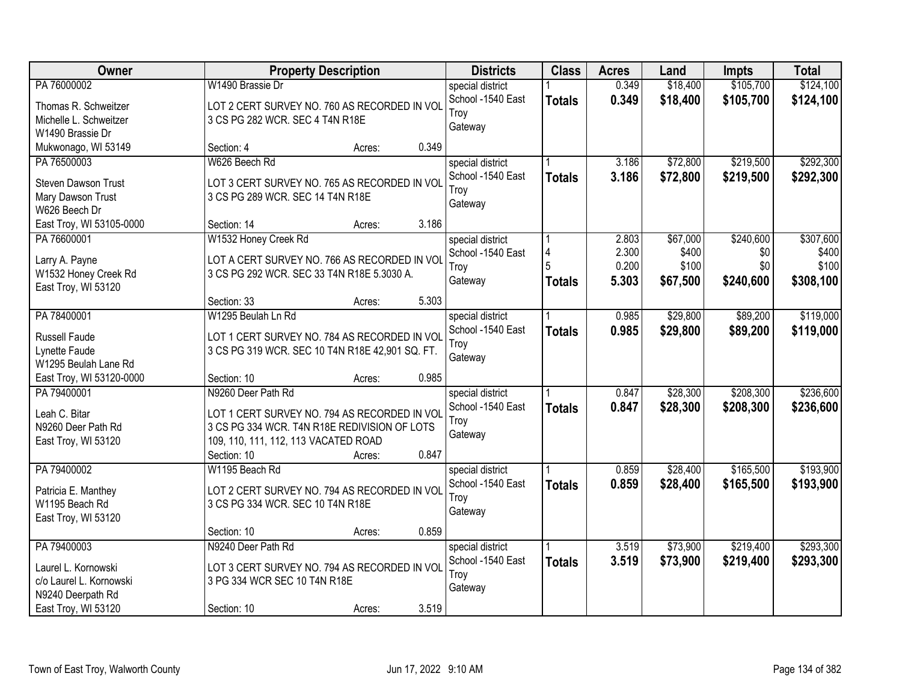| Owner                                                                                      |                                                                                                                                                                           | <b>Property Description</b> |       | <b>Districts</b>                                         | <b>Class</b>       | <b>Acres</b>                     | Land                                   | <b>Impts</b>                         | <b>Total</b>                             |
|--------------------------------------------------------------------------------------------|---------------------------------------------------------------------------------------------------------------------------------------------------------------------------|-----------------------------|-------|----------------------------------------------------------|--------------------|----------------------------------|----------------------------------------|--------------------------------------|------------------------------------------|
| PA 76000002<br>Thomas R. Schweitzer<br>Michelle L. Schweitzer                              | W1490 Brassie Dr<br>LOT 2 CERT SURVEY NO. 760 AS RECORDED IN VOL<br>3 CS PG 282 WCR. SEC 4 T4N R18E                                                                       |                             |       | special district<br>School -1540 East<br>Troy<br>Gateway | <b>Totals</b>      | 0.349<br>0.349                   | \$18,400<br>\$18,400                   | \$105,700<br>\$105,700               | \$124,100<br>\$124,100                   |
| W1490 Brassie Dr<br>Mukwonago, WI 53149                                                    | Section: 4                                                                                                                                                                | Acres:                      | 0.349 |                                                          |                    |                                  |                                        |                                      |                                          |
| PA 76500003<br><b>Steven Dawson Trust</b><br>Mary Dawson Trust<br>W626 Beech Dr            | W626 Beech Rd<br>LOT 3 CERT SURVEY NO. 765 AS RECORDED IN VOL<br>3 CS PG 289 WCR. SEC 14 T4N R18E                                                                         |                             |       | special district<br>School -1540 East<br>Troy<br>Gateway | <b>Totals</b>      | 3.186<br>3.186                   | \$72,800<br>\$72,800                   | \$219,500<br>\$219,500               | \$292,300<br>\$292,300                   |
| East Troy, WI 53105-0000                                                                   | Section: 14                                                                                                                                                               | Acres:                      | 3.186 |                                                          |                    |                                  |                                        |                                      |                                          |
| PA 76600001<br>Larry A. Payne<br>W1532 Honey Creek Rd<br>East Troy, WI 53120               | W1532 Honey Creek Rd<br>LOT A CERT SURVEY NO. 766 AS RECORDED IN VOL<br>3 CS PG 292 WCR. SEC 33 T4N R18E 5.3030 A.                                                        |                             |       | special district<br>School -1540 East<br>Troy<br>Gateway | 4<br><b>Totals</b> | 2.803<br>2.300<br>0.200<br>5.303 | \$67,000<br>\$400<br>\$100<br>\$67,500 | \$240,600<br>\$0<br>\$0<br>\$240,600 | \$307,600<br>\$400<br>\$100<br>\$308,100 |
|                                                                                            | Section: 33                                                                                                                                                               | Acres:                      | 5.303 |                                                          |                    |                                  |                                        |                                      |                                          |
| PA 78400001<br>Russell Faude<br>Lynette Faude<br>W1295 Beulah Lane Rd                      | W1295 Beulah Ln Rd<br>LOT 1 CERT SURVEY NO. 784 AS RECORDED IN VOL<br>3 CS PG 319 WCR. SEC 10 T4N R18E 42,901 SQ. FT.                                                     |                             |       | special district<br>School -1540 East<br>Troy<br>Gateway | <b>Totals</b>      | 0.985<br>0.985                   | \$29,800<br>\$29,800                   | \$89,200<br>\$89,200                 | \$119,000<br>\$119,000                   |
| East Troy, WI 53120-0000                                                                   | Section: 10                                                                                                                                                               | Acres:                      | 0.985 |                                                          |                    |                                  |                                        |                                      |                                          |
| PA 79400001<br>Leah C. Bitar<br>N9260 Deer Path Rd<br>East Troy, WI 53120                  | N9260 Deer Path Rd<br>LOT 1 CERT SURVEY NO. 794 AS RECORDED IN VOL<br>3 CS PG 334 WCR. T4N R18E REDIVISION OF LOTS<br>109, 110, 111, 112, 113 VACATED ROAD<br>Section: 10 | Acres:                      | 0.847 | special district<br>School -1540 East<br>Troy<br>Gateway | <b>Totals</b>      | 0.847<br>0.847                   | \$28,300<br>\$28,300                   | \$208,300<br>\$208,300               | \$236,600<br>\$236,600                   |
| PA 79400002<br>Patricia E. Manthey<br>W1195 Beach Rd<br>East Troy, WI 53120                | W1195 Beach Rd<br>LOT 2 CERT SURVEY NO. 794 AS RECORDED IN VOL<br>3 CS PG 334 WCR. SEC 10 T4N R18E                                                                        |                             | 0.859 | special district<br>School -1540 East<br>Troy<br>Gateway | <b>Totals</b>      | 0.859<br>0.859                   | \$28,400<br>\$28,400                   | \$165,500<br>\$165,500               | \$193,900<br>\$193,900                   |
| PA 79400003                                                                                | Section: 10<br>N9240 Deer Path Rd                                                                                                                                         | Acres:                      |       | special district                                         |                    | 3.519                            | \$73,900                               | \$219,400                            | \$293,300                                |
| Laurel L. Kornowski<br>c/o Laurel L. Kornowski<br>N9240 Deerpath Rd<br>East Troy, WI 53120 | LOT 3 CERT SURVEY NO. 794 AS RECORDED IN VOL<br>3 PG 334 WCR SEC 10 T4N R18E<br>Section: 10                                                                               | Acres:                      | 3.519 | School -1540 East<br>Troy<br>Gateway                     | <b>Totals</b>      | 3.519                            | \$73,900                               | \$219,400                            | \$293,300                                |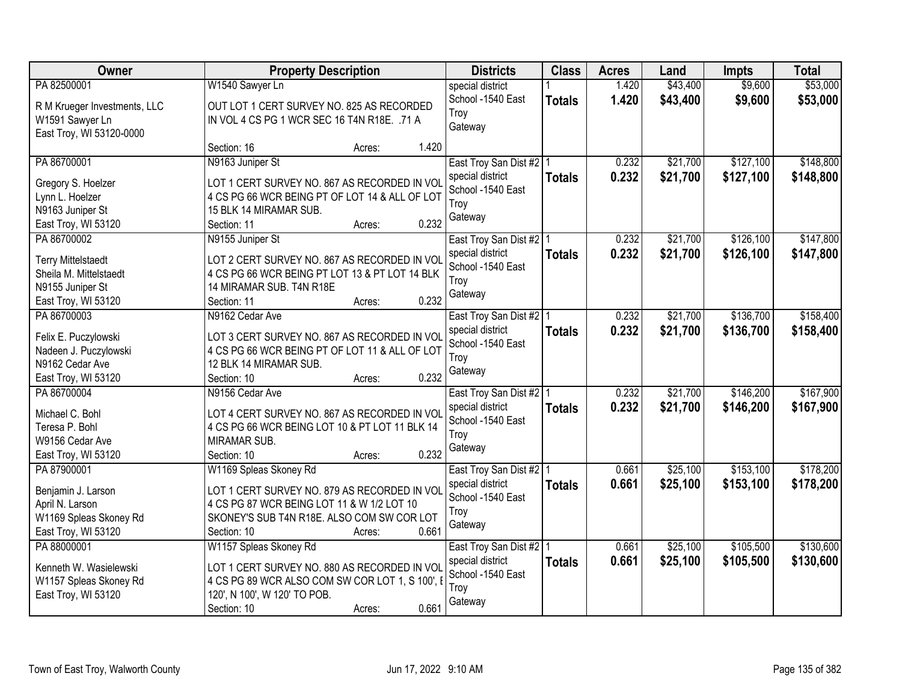| Owner                               |                                                                          | <b>Property Description</b> |       | <b>Districts</b>                              | <b>Class</b>  | <b>Acres</b> | Land     | <b>Impts</b> | <b>Total</b> |
|-------------------------------------|--------------------------------------------------------------------------|-----------------------------|-------|-----------------------------------------------|---------------|--------------|----------|--------------|--------------|
| PA 82500001                         | W1540 Sawyer Ln                                                          |                             |       | special district                              |               | 1.420        | \$43,400 | \$9,600      | \$53,000     |
| R M Krueger Investments, LLC        | OUT LOT 1 CERT SURVEY NO. 825 AS RECORDED                                |                             |       | School -1540 East                             | <b>Totals</b> | 1.420        | \$43,400 | \$9,600      | \$53,000     |
| W1591 Sawyer Ln                     | IN VOL 4 CS PG 1 WCR SEC 16 T4N R18E. .71 A                              |                             |       | Troy                                          |               |              |          |              |              |
| East Troy, WI 53120-0000            |                                                                          |                             |       | Gateway                                       |               |              |          |              |              |
|                                     | Section: 16                                                              | Acres:                      | 1.420 |                                               |               |              |          |              |              |
| PA 86700001                         | N9163 Juniper St                                                         |                             |       | East Troy San Dist #2   1                     |               | 0.232        | \$21,700 | \$127,100    | \$148,800    |
|                                     |                                                                          |                             |       | special district                              | <b>Totals</b> | 0.232        | \$21,700 | \$127,100    | \$148,800    |
| Gregory S. Hoelzer                  | LOT 1 CERT SURVEY NO. 867 AS RECORDED IN VOI                             |                             |       | School -1540 East                             |               |              |          |              |              |
| Lynn L. Hoelzer<br>N9163 Juniper St | 4 CS PG 66 WCR BEING PT OF LOT 14 & ALL OF LOT<br>15 BLK 14 MIRAMAR SUB. |                             |       | Troy                                          |               |              |          |              |              |
| East Troy, WI 53120                 | Section: 11                                                              | Acres:                      | 0.232 | Gateway                                       |               |              |          |              |              |
| PA 86700002                         | N9155 Juniper St                                                         |                             |       |                                               |               | 0.232        | \$21,700 | \$126,100    | \$147,800    |
|                                     |                                                                          |                             |       | East Troy San Dist #2   1<br>special district |               |              |          |              |              |
| <b>Terry Mittelstaedt</b>           | LOT 2 CERT SURVEY NO. 867 AS RECORDED IN VOL                             |                             |       | School -1540 East                             | <b>Totals</b> | 0.232        | \$21,700 | \$126,100    | \$147,800    |
| Sheila M. Mittelstaedt              | 4 CS PG 66 WCR BEING PT LOT 13 & PT LOT 14 BLK                           |                             |       | Troy                                          |               |              |          |              |              |
| N9155 Juniper St                    | 14 MIRAMAR SUB. T4N R18E                                                 |                             |       | Gateway                                       |               |              |          |              |              |
| East Troy, WI 53120                 | Section: 11                                                              | Acres:                      | 0.232 |                                               |               |              |          |              |              |
| PA 86700003                         | N9162 Cedar Ave                                                          |                             |       | East Troy San Dist #2   1                     |               | 0.232        | \$21,700 | \$136,700    | \$158,400    |
| Felix E. Puczylowski                | LOT 3 CERT SURVEY NO. 867 AS RECORDED IN VOL                             |                             |       | special district                              | <b>Totals</b> | 0.232        | \$21,700 | \$136,700    | \$158,400    |
| Nadeen J. Puczylowski               | 4 CS PG 66 WCR BEING PT OF LOT 11 & ALL OF LOT                           |                             |       | School -1540 East                             |               |              |          |              |              |
| N9162 Cedar Ave                     | 12 BLK 14 MIRAMAR SUB.                                                   |                             |       | Troy                                          |               |              |          |              |              |
| East Troy, WI 53120                 | Section: 10                                                              | Acres:                      | 0.232 | Gateway                                       |               |              |          |              |              |
| PA 86700004                         | N9156 Cedar Ave                                                          |                             |       | East Troy San Dist #2   1                     |               | 0.232        | \$21,700 | \$146,200    | \$167,900    |
|                                     |                                                                          |                             |       | special district                              | <b>Totals</b> | 0.232        | \$21,700 | \$146,200    | \$167,900    |
| Michael C. Bohl                     | LOT 4 CERT SURVEY NO. 867 AS RECORDED IN VOI                             |                             |       | School -1540 East                             |               |              |          |              |              |
| Teresa P. Bohl                      | 4 CS PG 66 WCR BEING LOT 10 & PT LOT 11 BLK 14                           |                             |       | Troy                                          |               |              |          |              |              |
| W9156 Cedar Ave                     | MIRAMAR SUB.                                                             |                             |       | Gateway                                       |               |              |          |              |              |
| East Troy, WI 53120                 | Section: 10                                                              | Acres:                      | 0.232 |                                               |               |              |          |              |              |
| PA 87900001                         | W1169 Spleas Skoney Rd                                                   |                             |       | East Troy San Dist #2 1                       |               | 0.661        | \$25,100 | \$153,100    | \$178,200    |
| Benjamin J. Larson                  | LOT 1 CERT SURVEY NO. 879 AS RECORDED IN VOI                             |                             |       | special district                              | <b>Totals</b> | 0.661        | \$25,100 | \$153,100    | \$178,200    |
| April N. Larson                     | 4 CS PG 87 WCR BEING LOT 11 & W 1/2 LOT 10                               |                             |       | School -1540 East                             |               |              |          |              |              |
| W1169 Spleas Skoney Rd              | SKONEY'S SUB T4N R18E. ALSO COM SW COR LOT                               |                             |       | Troy                                          |               |              |          |              |              |
| East Troy, WI 53120                 | Section: 10                                                              | Acres:                      | 0.661 | Gateway                                       |               |              |          |              |              |
| PA 88000001                         | W1157 Spleas Skoney Rd                                                   |                             |       | East Troy San Dist #2 1                       |               | 0.661        | \$25,100 | \$105,500    | \$130,600    |
|                                     |                                                                          |                             |       | special district                              | <b>Totals</b> | 0.661        | \$25,100 | \$105,500    | \$130,600    |
| Kenneth W. Wasielewski              | LOT 1 CERT SURVEY NO. 880 AS RECORDED IN VOI                             |                             |       | School -1540 East                             |               |              |          |              |              |
| W1157 Spleas Skoney Rd              | 4 CS PG 89 WCR ALSO COM SW COR LOT 1, S 100', I                          |                             |       | Troy                                          |               |              |          |              |              |
| East Troy, WI 53120                 | 120', N 100', W 120' TO POB.                                             |                             |       | Gateway                                       |               |              |          |              |              |
|                                     | Section: 10                                                              | Acres:                      | 0.661 |                                               |               |              |          |              |              |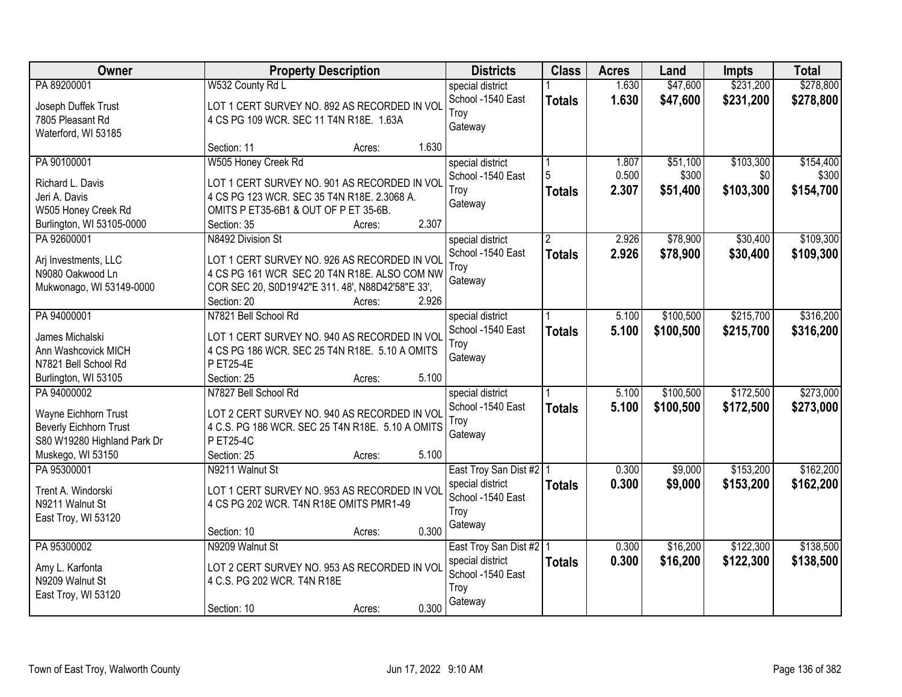| Owner                                    |                                                                                              | <b>Property Description</b> |       | <b>Districts</b>          | <b>Class</b>   | <b>Acres</b> | Land      | <b>Impts</b> | <b>Total</b> |
|------------------------------------------|----------------------------------------------------------------------------------------------|-----------------------------|-------|---------------------------|----------------|--------------|-----------|--------------|--------------|
| PA 89200001                              | W532 County Rd L                                                                             |                             |       | special district          |                | 1.630        | \$47,600  | \$231,200    | \$278,800    |
| Joseph Duffek Trust                      | LOT 1 CERT SURVEY NO. 892 AS RECORDED IN VOL                                                 |                             |       | School -1540 East         | <b>Totals</b>  | 1.630        | \$47,600  | \$231,200    | \$278,800    |
| 7805 Pleasant Rd                         | 4 CS PG 109 WCR. SEC 11 T4N R18E. 1.63A                                                      |                             |       | Troy                      |                |              |           |              |              |
| Waterford, WI 53185                      |                                                                                              |                             |       | Gateway                   |                |              |           |              |              |
|                                          | Section: 11                                                                                  | Acres:                      | 1.630 |                           |                |              |           |              |              |
| PA 90100001                              | W505 Honey Creek Rd                                                                          |                             |       | special district          |                | 1.807        | \$51,100  | \$103,300    | \$154,400    |
| Richard L. Davis                         | LOT 1 CERT SURVEY NO. 901 AS RECORDED IN VOL                                                 |                             |       | School -1540 East         | 5              | 0.500        | \$300     | \$0          | \$300        |
| Jeri A. Davis                            | 4 CS PG 123 WCR. SEC 35 T4N R18E. 2.3068 A.                                                  |                             |       | Troy                      | <b>Totals</b>  | 2.307        | \$51,400  | \$103,300    | \$154,700    |
| W505 Honey Creek Rd                      | OMITS P ET35-6B1 & OUT OF P ET 35-6B.                                                        |                             |       | Gateway                   |                |              |           |              |              |
| Burlington, WI 53105-0000                | Section: 35                                                                                  | Acres:                      | 2.307 |                           |                |              |           |              |              |
| PA 92600001                              | N8492 Division St                                                                            |                             |       | special district          | $\overline{2}$ | 2.926        | \$78,900  | \$30,400     | \$109,300    |
|                                          |                                                                                              |                             |       | School -1540 East         | <b>Totals</b>  | 2.926        | \$78,900  | \$30,400     | \$109,300    |
| Arj Investments, LLC<br>N9080 Oakwood Ln | LOT 1 CERT SURVEY NO. 926 AS RECORDED IN VOL<br>4 CS PG 161 WCR SEC 20 T4N R18E. ALSO COM NW |                             |       | Troy                      |                |              |           |              |              |
| Mukwonago, WI 53149-0000                 | COR SEC 20, S0D19'42"E 311. 48', N88D42'58"E 33',                                            |                             |       | Gateway                   |                |              |           |              |              |
|                                          | Section: 20                                                                                  | Acres:                      | 2.926 |                           |                |              |           |              |              |
| PA 94000001                              | N7821 Bell School Rd                                                                         |                             |       | special district          |                | 5.100        | \$100,500 | \$215,700    | \$316,200    |
|                                          |                                                                                              |                             |       | School -1540 East         | <b>Totals</b>  | 5.100        | \$100,500 | \$215,700    | \$316,200    |
| James Michalski                          | LOT 1 CERT SURVEY NO. 940 AS RECORDED IN VOL                                                 |                             |       | Troy                      |                |              |           |              |              |
| Ann Washcovick MICH                      | 4 CS PG 186 WCR. SEC 25 T4N R18E. 5.10 A OMITS                                               |                             |       | Gateway                   |                |              |           |              |              |
| N7821 Bell School Rd                     | P ET25-4E                                                                                    |                             |       |                           |                |              |           |              |              |
| Burlington, WI 53105                     | Section: 25                                                                                  | Acres:                      | 5.100 |                           |                |              |           |              |              |
| PA 94000002                              | N7827 Bell School Rd                                                                         |                             |       | special district          |                | 5.100        | \$100,500 | \$172,500    | \$273,000    |
| Wayne Eichhorn Trust                     | LOT 2 CERT SURVEY NO. 940 AS RECORDED IN VOL                                                 |                             |       | School -1540 East         | <b>Totals</b>  | 5.100        | \$100,500 | \$172,500    | \$273,000    |
| <b>Beverly Eichhorn Trust</b>            | 4 C.S. PG 186 WCR. SEC 25 T4N R18E. 5.10 A OMITS                                             |                             |       | Troy<br>Gateway           |                |              |           |              |              |
| S80 W19280 Highland Park Dr              | P ET25-4C                                                                                    |                             |       |                           |                |              |           |              |              |
| Muskego, WI 53150                        | Section: 25                                                                                  | Acres:                      | 5.100 |                           |                |              |           |              |              |
| PA 95300001                              | N9211 Walnut St                                                                              |                             |       | East Troy San Dist #2   1 |                | 0.300        | \$9,000   | \$153,200    | \$162,200    |
| Trent A. Windorski                       | LOT 1 CERT SURVEY NO. 953 AS RECORDED IN VOI                                                 |                             |       | special district          | <b>Totals</b>  | 0.300        | \$9,000   | \$153,200    | \$162,200    |
| N9211 Walnut St                          | 4 CS PG 202 WCR. T4N R18E OMITS PMR1-49                                                      |                             |       | School -1540 East         |                |              |           |              |              |
| East Troy, WI 53120                      |                                                                                              |                             |       | Troy                      |                |              |           |              |              |
|                                          | Section: 10                                                                                  | Acres:                      | 0.300 | Gateway                   |                |              |           |              |              |
| PA 95300002                              | N9209 Walnut St                                                                              |                             |       | East Troy San Dist #2   1 |                | 0.300        | \$16,200  | \$122,300    | \$138,500    |
| Amy L. Karfonta                          | LOT 2 CERT SURVEY NO. 953 AS RECORDED IN VOL                                                 |                             |       | special district          | <b>Totals</b>  | 0.300        | \$16,200  | \$122,300    | \$138,500    |
| N9209 Walnut St                          | 4 C.S. PG 202 WCR. T4N R18E                                                                  |                             |       | School -1540 East         |                |              |           |              |              |
| East Troy, WI 53120                      |                                                                                              |                             |       | Troy                      |                |              |           |              |              |
|                                          | Section: 10                                                                                  | Acres:                      | 0.300 | Gateway                   |                |              |           |              |              |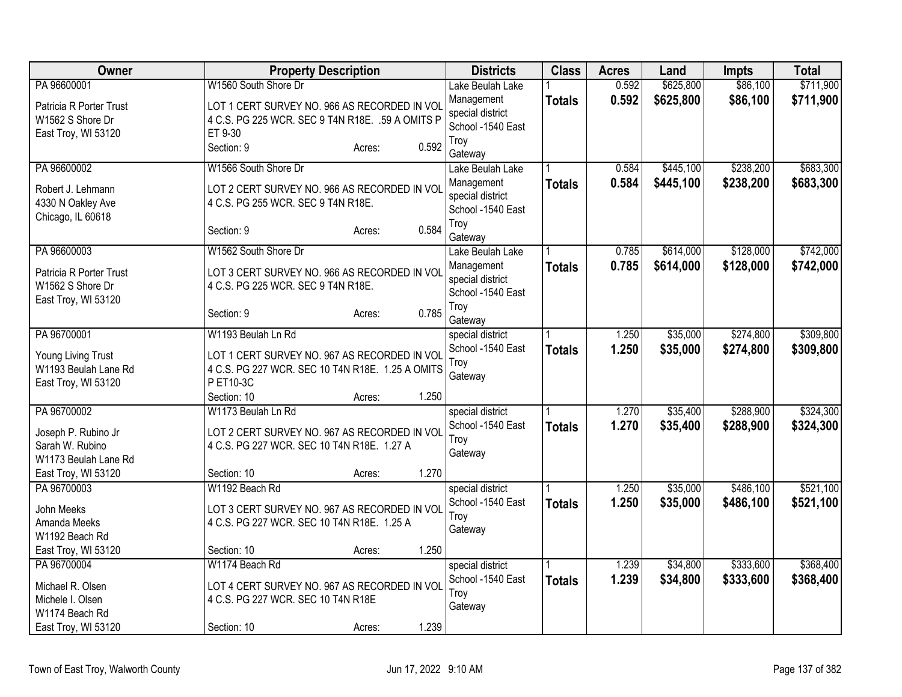| Owner                                                              | <b>Property Description</b>                                                                                   |                 | <b>Districts</b>                                    | <b>Class</b>  | <b>Acres</b>   | Land                 | <b>Impts</b>           | <b>Total</b>           |
|--------------------------------------------------------------------|---------------------------------------------------------------------------------------------------------------|-----------------|-----------------------------------------------------|---------------|----------------|----------------------|------------------------|------------------------|
| PA 96600001                                                        | W1560 South Shore Dr                                                                                          |                 | Lake Beulah Lake                                    |               | 0.592          | \$625,800            | \$86,100               | \$711,900              |
| Patricia R Porter Trust<br>W1562 S Shore Dr<br>East Troy, WI 53120 | LOT 1 CERT SURVEY NO. 966 AS RECORDED IN VOL<br>4 C.S. PG 225 WCR. SEC 9 T4N R18E. .59 A OMITS P<br>ET 9-30   |                 | Management<br>special district<br>School -1540 East | <b>Totals</b> | 0.592          | \$625,800            | \$86,100               | \$711,900              |
|                                                                    | Section: 9                                                                                                    | 0.592<br>Acres: | Troy<br>Gateway                                     |               |                |                      |                        |                        |
| PA 96600002                                                        | W1566 South Shore Dr                                                                                          |                 | Lake Beulah Lake                                    |               | 0.584          | \$445,100            | \$238,200              | \$683,300              |
| Robert J. Lehmann<br>4330 N Oakley Ave<br>Chicago, IL 60618        | LOT 2 CERT SURVEY NO. 966 AS RECORDED IN VOL<br>4 C.S. PG 255 WCR. SEC 9 T4N R18E.                            |                 | Management<br>special district<br>School -1540 East | <b>Totals</b> | 0.584          | \$445,100            | \$238,200              | \$683,300              |
|                                                                    | Section: 9                                                                                                    | 0.584<br>Acres: | Troy<br>Gateway                                     |               |                |                      |                        |                        |
| PA 96600003                                                        | W1562 South Shore Dr                                                                                          |                 | Lake Beulah Lake                                    |               | 0.785          | \$614,000            | \$128,000              | \$742,000              |
| Patricia R Porter Trust<br>W1562 S Shore Dr<br>East Troy, WI 53120 | LOT 3 CERT SURVEY NO. 966 AS RECORDED IN VOL<br>4 C.S. PG 225 WCR. SEC 9 T4N R18E.                            |                 | Management<br>special district<br>School -1540 East | <b>Totals</b> | 0.785          | \$614,000            | \$128,000              | \$742,000              |
|                                                                    | Section: 9                                                                                                    | 0.785<br>Acres: | Troy<br>Gateway                                     |               |                |                      |                        |                        |
| PA 96700001                                                        | W1193 Beulah Ln Rd                                                                                            |                 | special district<br>School -1540 East               | <b>Totals</b> | 1.250<br>1.250 | \$35,000<br>\$35,000 | \$274,800<br>\$274,800 | \$309,800<br>\$309,800 |
| Young Living Trust<br>W1193 Beulah Lane Rd<br>East Troy, WI 53120  | LOT 1 CERT SURVEY NO. 967 AS RECORDED IN VOL<br>4 C.S. PG 227 WCR. SEC 10 T4N R18E. 1.25 A OMITS<br>P ET10-3C |                 | Troy<br>Gateway                                     |               |                |                      |                        |                        |
|                                                                    | Section: 10                                                                                                   | 1.250<br>Acres: |                                                     |               |                |                      |                        |                        |
| PA 96700002                                                        | W1173 Beulah Ln Rd                                                                                            |                 | special district                                    |               | 1.270          | \$35,400             | \$288,900              | \$324,300              |
| Joseph P. Rubino Jr<br>Sarah W. Rubino<br>W1173 Beulah Lane Rd     | LOT 2 CERT SURVEY NO. 967 AS RECORDED IN VOL<br>4 C.S. PG 227 WCR. SEC 10 T4N R18E. 1.27 A                    |                 | School -1540 East<br>Troy<br>Gateway                | <b>Totals</b> | 1.270          | \$35,400             | \$288,900              | \$324,300              |
| East Troy, WI 53120                                                | Section: 10                                                                                                   | 1.270<br>Acres: |                                                     |               |                |                      |                        |                        |
| PA 96700003                                                        | W1192 Beach Rd                                                                                                |                 | special district<br>School -1540 East               |               | 1.250          | \$35,000             | \$486,100              | \$521,100              |
| John Meeks                                                         | LOT 3 CERT SURVEY NO. 967 AS RECORDED IN VOL                                                                  |                 | Troy                                                | <b>Totals</b> | 1.250          | \$35,000             | \$486,100              | \$521,100              |
| Amanda Meeks<br>W1192 Beach Rd                                     | 4 C.S. PG 227 WCR. SEC 10 T4N R18E. 1.25 A                                                                    |                 | Gateway                                             |               |                |                      |                        |                        |
| East Troy, WI 53120                                                | Section: 10                                                                                                   | 1.250<br>Acres: |                                                     |               |                |                      |                        |                        |
| PA 96700004                                                        | W1174 Beach Rd                                                                                                |                 | special district                                    |               | 1.239          | \$34,800             | \$333,600              | \$368,400              |
| Michael R. Olsen<br>Michele I. Olsen<br>W1174 Beach Rd             | LOT 4 CERT SURVEY NO. 967 AS RECORDED IN VOL<br>4 C.S. PG 227 WCR. SEC 10 T4N R18E                            |                 | School -1540 East<br>Troy<br>Gateway                | <b>Totals</b> | 1.239          | \$34,800             | \$333,600              | \$368,400              |
| East Troy, WI 53120                                                | Section: 10                                                                                                   | 1.239<br>Acres: |                                                     |               |                |                      |                        |                        |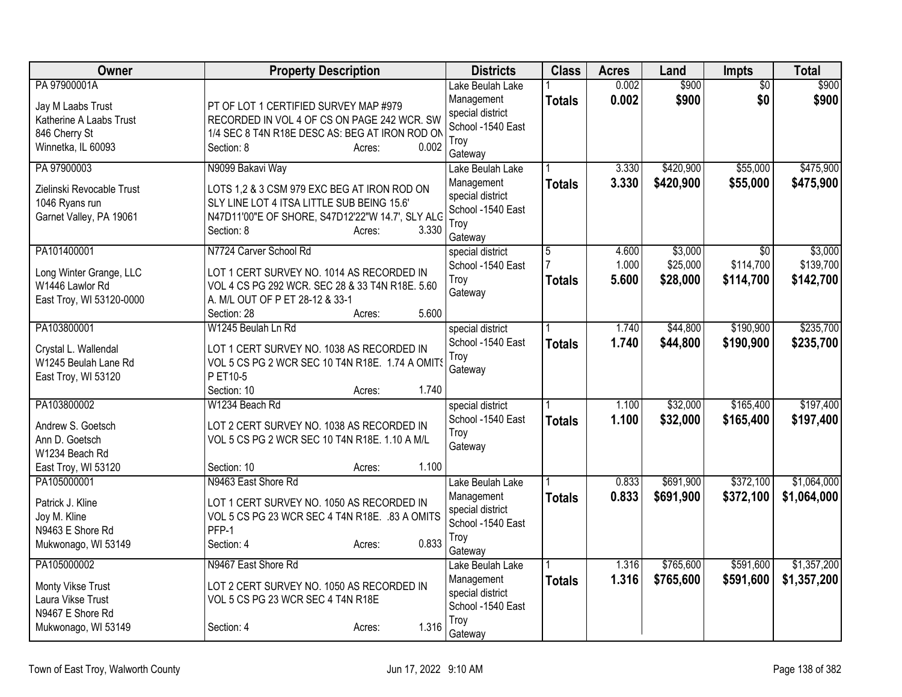| Owner                                                                                               | <b>Property Description</b>                                                                                                                                                                        | <b>Districts</b>                                                                           | <b>Class</b>       | <b>Acres</b>            | Land                            | <b>Impts</b>                  | Total                             |
|-----------------------------------------------------------------------------------------------------|----------------------------------------------------------------------------------------------------------------------------------------------------------------------------------------------------|--------------------------------------------------------------------------------------------|--------------------|-------------------------|---------------------------------|-------------------------------|-----------------------------------|
| PA 97900001A<br>Jay M Laabs Trust<br>Katherine A Laabs Trust<br>846 Cherry St<br>Winnetka, IL 60093 | PT OF LOT 1 CERTIFIED SURVEY MAP #979<br>RECORDED IN VOL 4 OF CS ON PAGE 242 WCR. SW<br>1/4 SEC 8 T4N R18E DESC AS: BEG AT IRON ROD ON<br>Section: 8<br>0.002<br>Acres:                            | Lake Beulah Lake<br>Management<br>special district<br>School -1540 East<br>Troy<br>Gateway | <b>Totals</b>      | 0.002<br>0.002          | \$900<br>\$900                  | $\overline{50}$<br>\$0        | \$900<br>\$900                    |
| PA 97900003<br>Zielinski Revocable Trust<br>1046 Ryans run<br>Garnet Valley, PA 19061               | N9099 Bakavi Way<br>LOTS 1,2 & 3 CSM 979 EXC BEG AT IRON ROD ON<br>SLY LINE LOT 4 ITSA LITTLE SUB BEING 15.6'<br>N47D11'00"E OF SHORE, S47D12'22"W 14.7', SLY ALC<br>3.330<br>Section: 8<br>Acres: | Lake Beulah Lake<br>Management<br>special district<br>School -1540 East<br>Trov<br>Gateway | <b>Totals</b>      | 3.330<br>3.330          | \$420,900<br>\$420,900          | \$55,000<br>\$55,000          | \$475,900<br>\$475,900            |
| PA101400001<br>Long Winter Grange, LLC<br>W1446 Lawlor Rd<br>East Troy, WI 53120-0000               | N7724 Carver School Rd<br>LOT 1 CERT SURVEY NO. 1014 AS RECORDED IN<br>VOL 4 CS PG 292 WCR. SEC 28 & 33 T4N R18E. 5.60<br>A. M/L OUT OF P ET 28-12 & 33-1<br>5.600<br>Section: 28<br>Acres:        | special district<br>School -1540 East<br>Troy<br>Gateway                                   | 5<br><b>Totals</b> | 4.600<br>1.000<br>5.600 | \$3,000<br>\$25,000<br>\$28,000 | \$0<br>\$114,700<br>\$114,700 | \$3,000<br>\$139,700<br>\$142,700 |
| PA103800001<br>Crystal L. Wallendal<br>W1245 Beulah Lane Rd<br>East Troy, WI 53120                  | W1245 Beulah Ln Rd<br>LOT 1 CERT SURVEY NO. 1038 AS RECORDED IN<br>VOL 5 CS PG 2 WCR SEC 10 T4N R18E. 1.74 A OMITS<br>P ET10-5<br>Section: 10<br>1.740<br>Acres:                                   | special district<br>School -1540 East<br>Troy<br>Gateway                                   | <b>Totals</b>      | 1.740<br>1.740          | \$44,800<br>\$44,800            | \$190,900<br>\$190,900        | \$235,700<br>\$235,700            |
| PA103800002<br>Andrew S. Goetsch<br>Ann D. Goetsch<br>W1234 Beach Rd<br>East Troy, WI 53120         | W1234 Beach Rd<br>LOT 2 CERT SURVEY NO. 1038 AS RECORDED IN<br>VOL 5 CS PG 2 WCR SEC 10 T4N R18E. 1.10 A M/L<br>1.100<br>Section: 10<br>Acres:                                                     | special district<br>School -1540 East<br>Troy<br>Gateway                                   | <b>Totals</b>      | 1.100<br>1.100          | \$32,000<br>\$32,000            | \$165,400<br>\$165,400        | \$197,400<br>\$197,400            |
| PA105000001<br>Patrick J. Kline<br>Joy M. Kline<br>N9463 E Shore Rd<br>Mukwonago, WI 53149          | N9463 East Shore Rd<br>LOT 1 CERT SURVEY NO. 1050 AS RECORDED IN<br>VOL 5 CS PG 23 WCR SEC 4 T4N R18E. .83 A OMITS<br>PFP-1<br>0.833<br>Section: 4<br>Acres:                                       | Lake Beulah Lake<br>Management<br>special district<br>School -1540 East<br>Troy<br>Gateway | <b>Totals</b>      | 0.833<br>0.833          | \$691,900<br>\$691,900          | \$372,100<br>\$372,100        | \$1,064,000<br>\$1,064,000        |
| PA105000002<br>Monty Vikse Trust<br>Laura Vikse Trust<br>N9467 E Shore Rd<br>Mukwonago, WI 53149    | N9467 East Shore Rd<br>LOT 2 CERT SURVEY NO. 1050 AS RECORDED IN<br>VOL 5 CS PG 23 WCR SEC 4 T4N R18E<br>1.316<br>Section: 4<br>Acres:                                                             | Lake Beulah Lake<br>Management<br>special district<br>School -1540 East<br>Troy<br>Gateway | <b>Totals</b>      | 1.316<br>1.316          | \$765,600<br>\$765,600          | \$591,600<br>\$591,600        | \$1,357,200<br>\$1,357,200        |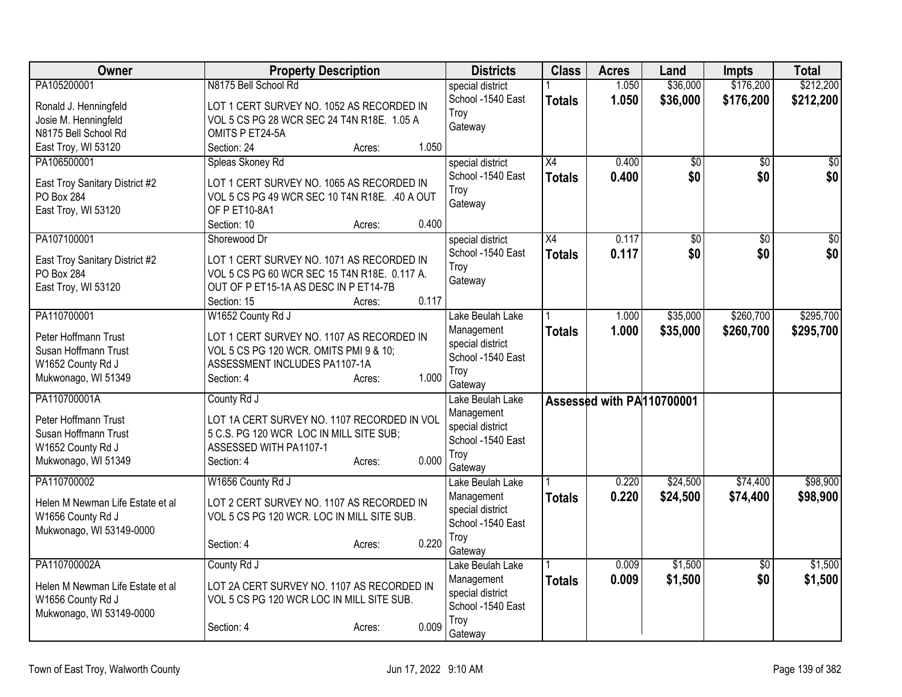| special district<br>School -1540 East<br>1.050<br>\$36,000<br>\$176,200<br>\$212,200<br><b>Totals</b><br>LOT 1 CERT SURVEY NO. 1052 AS RECORDED IN<br>Ronald J. Henningfeld<br>Troy<br>Josie M. Henningfeld<br>VOL 5 CS PG 28 WCR SEC 24 T4N R18E. 1.05 A<br>Gateway<br>N8175 Bell School Rd<br>OMITS P ET24-5A<br>1.050<br>East Troy, WI 53120<br>Section: 24<br>Acres:<br>PA106500001<br>X4<br>0.400<br>$\overline{50}$<br>Spleas Skoney Rd<br>special district<br>$\overline{50}$<br>\$0<br>\$0<br>School -1540 East<br>0.400<br><b>Totals</b><br>LOT 1 CERT SURVEY NO. 1065 AS RECORDED IN<br>East Troy Sanitary District #2<br>Troy<br>PO Box 284<br>VOL 5 CS PG 49 WCR SEC 10 T4N R18E. .40 A OUT<br>Gateway<br>East Troy, WI 53120<br>OF P ET10-8A1<br>0.400<br>Section: 10<br>Acres:<br>0.117<br>PA107100001<br>special district<br>X4<br>\$0<br>\$0<br>Shorewood Dr<br>\$0<br>School -1540 East<br>0.117<br>\$0<br><b>Totals</b><br>LOT 1 CERT SURVEY NO. 1071 AS RECORDED IN<br>East Troy Sanitary District #2<br>Troy<br>PO Box 284<br>VOL 5 CS PG 60 WCR SEC 15 T4N R18E. 0.117 A.<br>Gateway<br>East Troy, WI 53120<br>OUT OF P ET15-1A AS DESC IN P ET14-7B<br>0.117<br>Section: 15<br>Acres:<br>PA110700001<br>\$35,000<br>\$260,700<br>W1652 County Rd J<br>Lake Beulah Lake<br>1.000<br>Management<br>1.000<br>\$35,000<br>\$260,700<br><b>Totals</b><br>Peter Hoffmann Trust<br>LOT 1 CERT SURVEY NO. 1107 AS RECORDED IN<br>special district<br>Susan Hoffmann Trust<br>VOL 5 CS PG 120 WCR. OMITS PMI 9 & 10;<br>School -1540 East<br>W1652 County Rd J<br>ASSESSMENT INCLUDES PA1107-1A<br>Troy<br>1.000<br>Mukwonago, WI 51349<br>Section: 4<br>Acres:<br>Gateway<br>PA110700001A<br>County Rd J<br>Lake Beulah Lake<br>Assessed with PA110700001<br>Management<br>LOT 1A CERT SURVEY NO. 1107 RECORDED IN VOL<br>Peter Hoffmann Trust<br>special district<br>Susan Hoffmann Trust<br>5 C.S. PG 120 WCR LOC IN MILL SITE SUB;<br>School -1540 East<br>ASSESSED WITH PA1107-1<br>W1652 County Rd J<br>Troy<br>0.000<br>Mukwonago, WI 51349<br>Section: 4<br>Acres:<br>Gateway<br>PA110700002<br>\$24,500<br>\$74,400<br>W1656 County Rd J<br>0.220<br>Lake Beulah Lake<br>0.220<br>\$24,500<br>\$74,400<br>Management<br><b>Totals</b><br>LOT 2 CERT SURVEY NO. 1107 AS RECORDED IN<br>Helen M Newman Life Estate et al<br>special district<br>VOL 5 CS PG 120 WCR. LOC IN MILL SITE SUB.<br>W1656 County Rd J<br>School -1540 East<br>Mukwonago, WI 53149-0000<br>Troy<br>0.220<br>Section: 4<br>Acres:<br>Gateway<br>\$1,500<br>PA110700002A<br>0.009<br>County Rd J<br>\$0<br>Lake Beulah Lake<br>0.009<br>\$1,500<br>\$0<br>Management<br><b>Totals</b><br>Helen M Newman Life Estate et al<br>LOT 2A CERT SURVEY NO. 1107 AS RECORDED IN<br>special district<br>W1656 County Rd J<br>VOL 5 CS PG 120 WCR LOC IN MILL SITE SUB.<br>School -1540 East<br>Mukwonago, WI 53149-0000<br>Troy<br>0.009<br>Section: 4<br>Acres:<br>Gateway | Owner       | <b>Property Description</b> | <b>Districts</b> | <b>Class</b> | <b>Acres</b> | Land     | <b>Impts</b> | <b>Total</b> |
|---------------------------------------------------------------------------------------------------------------------------------------------------------------------------------------------------------------------------------------------------------------------------------------------------------------------------------------------------------------------------------------------------------------------------------------------------------------------------------------------------------------------------------------------------------------------------------------------------------------------------------------------------------------------------------------------------------------------------------------------------------------------------------------------------------------------------------------------------------------------------------------------------------------------------------------------------------------------------------------------------------------------------------------------------------------------------------------------------------------------------------------------------------------------------------------------------------------------------------------------------------------------------------------------------------------------------------------------------------------------------------------------------------------------------------------------------------------------------------------------------------------------------------------------------------------------------------------------------------------------------------------------------------------------------------------------------------------------------------------------------------------------------------------------------------------------------------------------------------------------------------------------------------------------------------------------------------------------------------------------------------------------------------------------------------------------------------------------------------------------------------------------------------------------------------------------------------------------------------------------------------------------------------------------------------------------------------------------------------------------------------------------------------------------------------------------------------------------------------------------------------------------------------------------------------------------------------------------------------------------------------------------------------------------------------------------------------------------------------------------------------------------------------------------------------------------------------------------------------------------------------------------------------------------------------------------------------------|-------------|-----------------------------|------------------|--------------|--------------|----------|--------------|--------------|
|                                                                                                                                                                                                                                                                                                                                                                                                                                                                                                                                                                                                                                                                                                                                                                                                                                                                                                                                                                                                                                                                                                                                                                                                                                                                                                                                                                                                                                                                                                                                                                                                                                                                                                                                                                                                                                                                                                                                                                                                                                                                                                                                                                                                                                                                                                                                                                                                                                                                                                                                                                                                                                                                                                                                                                                                                                                                                                                                                               | PA105200001 | N8175 Bell School Rd        |                  |              | 1.050        | \$36,000 | \$176,200    | \$212,200    |
|                                                                                                                                                                                                                                                                                                                                                                                                                                                                                                                                                                                                                                                                                                                                                                                                                                                                                                                                                                                                                                                                                                                                                                                                                                                                                                                                                                                                                                                                                                                                                                                                                                                                                                                                                                                                                                                                                                                                                                                                                                                                                                                                                                                                                                                                                                                                                                                                                                                                                                                                                                                                                                                                                                                                                                                                                                                                                                                                                               |             |                             |                  |              |              |          |              |              |
|                                                                                                                                                                                                                                                                                                                                                                                                                                                                                                                                                                                                                                                                                                                                                                                                                                                                                                                                                                                                                                                                                                                                                                                                                                                                                                                                                                                                                                                                                                                                                                                                                                                                                                                                                                                                                                                                                                                                                                                                                                                                                                                                                                                                                                                                                                                                                                                                                                                                                                                                                                                                                                                                                                                                                                                                                                                                                                                                                               |             |                             |                  |              |              |          |              |              |
|                                                                                                                                                                                                                                                                                                                                                                                                                                                                                                                                                                                                                                                                                                                                                                                                                                                                                                                                                                                                                                                                                                                                                                                                                                                                                                                                                                                                                                                                                                                                                                                                                                                                                                                                                                                                                                                                                                                                                                                                                                                                                                                                                                                                                                                                                                                                                                                                                                                                                                                                                                                                                                                                                                                                                                                                                                                                                                                                                               |             |                             |                  |              |              |          |              |              |
| $\overline{50}$<br>\$0 <br>$\sqrt{50}$<br>\$0 <br>\$295,700<br>\$295,700<br>\$98,900<br>\$1,500<br>\$1,500                                                                                                                                                                                                                                                                                                                                                                                                                                                                                                                                                                                                                                                                                                                                                                                                                                                                                                                                                                                                                                                                                                                                                                                                                                                                                                                                                                                                                                                                                                                                                                                                                                                                                                                                                                                                                                                                                                                                                                                                                                                                                                                                                                                                                                                                                                                                                                                                                                                                                                                                                                                                                                                                                                                                                                                                                                                    |             |                             |                  |              |              |          |              |              |
|                                                                                                                                                                                                                                                                                                                                                                                                                                                                                                                                                                                                                                                                                                                                                                                                                                                                                                                                                                                                                                                                                                                                                                                                                                                                                                                                                                                                                                                                                                                                                                                                                                                                                                                                                                                                                                                                                                                                                                                                                                                                                                                                                                                                                                                                                                                                                                                                                                                                                                                                                                                                                                                                                                                                                                                                                                                                                                                                                               |             |                             |                  |              |              |          |              |              |
|                                                                                                                                                                                                                                                                                                                                                                                                                                                                                                                                                                                                                                                                                                                                                                                                                                                                                                                                                                                                                                                                                                                                                                                                                                                                                                                                                                                                                                                                                                                                                                                                                                                                                                                                                                                                                                                                                                                                                                                                                                                                                                                                                                                                                                                                                                                                                                                                                                                                                                                                                                                                                                                                                                                                                                                                                                                                                                                                                               |             |                             |                  |              |              |          |              |              |
|                                                                                                                                                                                                                                                                                                                                                                                                                                                                                                                                                                                                                                                                                                                                                                                                                                                                                                                                                                                                                                                                                                                                                                                                                                                                                                                                                                                                                                                                                                                                                                                                                                                                                                                                                                                                                                                                                                                                                                                                                                                                                                                                                                                                                                                                                                                                                                                                                                                                                                                                                                                                                                                                                                                                                                                                                                                                                                                                                               |             |                             |                  |              |              |          |              |              |
|                                                                                                                                                                                                                                                                                                                                                                                                                                                                                                                                                                                                                                                                                                                                                                                                                                                                                                                                                                                                                                                                                                                                                                                                                                                                                                                                                                                                                                                                                                                                                                                                                                                                                                                                                                                                                                                                                                                                                                                                                                                                                                                                                                                                                                                                                                                                                                                                                                                                                                                                                                                                                                                                                                                                                                                                                                                                                                                                                               |             |                             |                  |              |              |          |              |              |
|                                                                                                                                                                                                                                                                                                                                                                                                                                                                                                                                                                                                                                                                                                                                                                                                                                                                                                                                                                                                                                                                                                                                                                                                                                                                                                                                                                                                                                                                                                                                                                                                                                                                                                                                                                                                                                                                                                                                                                                                                                                                                                                                                                                                                                                                                                                                                                                                                                                                                                                                                                                                                                                                                                                                                                                                                                                                                                                                                               |             |                             |                  |              |              |          |              |              |
|                                                                                                                                                                                                                                                                                                                                                                                                                                                                                                                                                                                                                                                                                                                                                                                                                                                                                                                                                                                                                                                                                                                                                                                                                                                                                                                                                                                                                                                                                                                                                                                                                                                                                                                                                                                                                                                                                                                                                                                                                                                                                                                                                                                                                                                                                                                                                                                                                                                                                                                                                                                                                                                                                                                                                                                                                                                                                                                                                               |             |                             |                  |              |              |          |              |              |
|                                                                                                                                                                                                                                                                                                                                                                                                                                                                                                                                                                                                                                                                                                                                                                                                                                                                                                                                                                                                                                                                                                                                                                                                                                                                                                                                                                                                                                                                                                                                                                                                                                                                                                                                                                                                                                                                                                                                                                                                                                                                                                                                                                                                                                                                                                                                                                                                                                                                                                                                                                                                                                                                                                                                                                                                                                                                                                                                                               |             |                             |                  |              |              |          |              |              |
|                                                                                                                                                                                                                                                                                                                                                                                                                                                                                                                                                                                                                                                                                                                                                                                                                                                                                                                                                                                                                                                                                                                                                                                                                                                                                                                                                                                                                                                                                                                                                                                                                                                                                                                                                                                                                                                                                                                                                                                                                                                                                                                                                                                                                                                                                                                                                                                                                                                                                                                                                                                                                                                                                                                                                                                                                                                                                                                                                               |             |                             |                  |              |              |          |              |              |
|                                                                                                                                                                                                                                                                                                                                                                                                                                                                                                                                                                                                                                                                                                                                                                                                                                                                                                                                                                                                                                                                                                                                                                                                                                                                                                                                                                                                                                                                                                                                                                                                                                                                                                                                                                                                                                                                                                                                                                                                                                                                                                                                                                                                                                                                                                                                                                                                                                                                                                                                                                                                                                                                                                                                                                                                                                                                                                                                                               |             |                             |                  |              |              |          |              |              |
|                                                                                                                                                                                                                                                                                                                                                                                                                                                                                                                                                                                                                                                                                                                                                                                                                                                                                                                                                                                                                                                                                                                                                                                                                                                                                                                                                                                                                                                                                                                                                                                                                                                                                                                                                                                                                                                                                                                                                                                                                                                                                                                                                                                                                                                                                                                                                                                                                                                                                                                                                                                                                                                                                                                                                                                                                                                                                                                                                               |             |                             |                  |              |              |          |              |              |
|                                                                                                                                                                                                                                                                                                                                                                                                                                                                                                                                                                                                                                                                                                                                                                                                                                                                                                                                                                                                                                                                                                                                                                                                                                                                                                                                                                                                                                                                                                                                                                                                                                                                                                                                                                                                                                                                                                                                                                                                                                                                                                                                                                                                                                                                                                                                                                                                                                                                                                                                                                                                                                                                                                                                                                                                                                                                                                                                                               |             |                             |                  |              |              |          |              |              |
|                                                                                                                                                                                                                                                                                                                                                                                                                                                                                                                                                                                                                                                                                                                                                                                                                                                                                                                                                                                                                                                                                                                                                                                                                                                                                                                                                                                                                                                                                                                                                                                                                                                                                                                                                                                                                                                                                                                                                                                                                                                                                                                                                                                                                                                                                                                                                                                                                                                                                                                                                                                                                                                                                                                                                                                                                                                                                                                                                               |             |                             |                  |              |              |          |              |              |
|                                                                                                                                                                                                                                                                                                                                                                                                                                                                                                                                                                                                                                                                                                                                                                                                                                                                                                                                                                                                                                                                                                                                                                                                                                                                                                                                                                                                                                                                                                                                                                                                                                                                                                                                                                                                                                                                                                                                                                                                                                                                                                                                                                                                                                                                                                                                                                                                                                                                                                                                                                                                                                                                                                                                                                                                                                                                                                                                                               |             |                             |                  |              |              |          |              |              |
|                                                                                                                                                                                                                                                                                                                                                                                                                                                                                                                                                                                                                                                                                                                                                                                                                                                                                                                                                                                                                                                                                                                                                                                                                                                                                                                                                                                                                                                                                                                                                                                                                                                                                                                                                                                                                                                                                                                                                                                                                                                                                                                                                                                                                                                                                                                                                                                                                                                                                                                                                                                                                                                                                                                                                                                                                                                                                                                                                               |             |                             |                  |              |              |          |              |              |
| \$98,900                                                                                                                                                                                                                                                                                                                                                                                                                                                                                                                                                                                                                                                                                                                                                                                                                                                                                                                                                                                                                                                                                                                                                                                                                                                                                                                                                                                                                                                                                                                                                                                                                                                                                                                                                                                                                                                                                                                                                                                                                                                                                                                                                                                                                                                                                                                                                                                                                                                                                                                                                                                                                                                                                                                                                                                                                                                                                                                                                      |             |                             |                  |              |              |          |              |              |
|                                                                                                                                                                                                                                                                                                                                                                                                                                                                                                                                                                                                                                                                                                                                                                                                                                                                                                                                                                                                                                                                                                                                                                                                                                                                                                                                                                                                                                                                                                                                                                                                                                                                                                                                                                                                                                                                                                                                                                                                                                                                                                                                                                                                                                                                                                                                                                                                                                                                                                                                                                                                                                                                                                                                                                                                                                                                                                                                                               |             |                             |                  |              |              |          |              |              |
|                                                                                                                                                                                                                                                                                                                                                                                                                                                                                                                                                                                                                                                                                                                                                                                                                                                                                                                                                                                                                                                                                                                                                                                                                                                                                                                                                                                                                                                                                                                                                                                                                                                                                                                                                                                                                                                                                                                                                                                                                                                                                                                                                                                                                                                                                                                                                                                                                                                                                                                                                                                                                                                                                                                                                                                                                                                                                                                                                               |             |                             |                  |              |              |          |              |              |
|                                                                                                                                                                                                                                                                                                                                                                                                                                                                                                                                                                                                                                                                                                                                                                                                                                                                                                                                                                                                                                                                                                                                                                                                                                                                                                                                                                                                                                                                                                                                                                                                                                                                                                                                                                                                                                                                                                                                                                                                                                                                                                                                                                                                                                                                                                                                                                                                                                                                                                                                                                                                                                                                                                                                                                                                                                                                                                                                                               |             |                             |                  |              |              |          |              |              |
|                                                                                                                                                                                                                                                                                                                                                                                                                                                                                                                                                                                                                                                                                                                                                                                                                                                                                                                                                                                                                                                                                                                                                                                                                                                                                                                                                                                                                                                                                                                                                                                                                                                                                                                                                                                                                                                                                                                                                                                                                                                                                                                                                                                                                                                                                                                                                                                                                                                                                                                                                                                                                                                                                                                                                                                                                                                                                                                                                               |             |                             |                  |              |              |          |              |              |
|                                                                                                                                                                                                                                                                                                                                                                                                                                                                                                                                                                                                                                                                                                                                                                                                                                                                                                                                                                                                                                                                                                                                                                                                                                                                                                                                                                                                                                                                                                                                                                                                                                                                                                                                                                                                                                                                                                                                                                                                                                                                                                                                                                                                                                                                                                                                                                                                                                                                                                                                                                                                                                                                                                                                                                                                                                                                                                                                                               |             |                             |                  |              |              |          |              |              |
|                                                                                                                                                                                                                                                                                                                                                                                                                                                                                                                                                                                                                                                                                                                                                                                                                                                                                                                                                                                                                                                                                                                                                                                                                                                                                                                                                                                                                                                                                                                                                                                                                                                                                                                                                                                                                                                                                                                                                                                                                                                                                                                                                                                                                                                                                                                                                                                                                                                                                                                                                                                                                                                                                                                                                                                                                                                                                                                                                               |             |                             |                  |              |              |          |              |              |
|                                                                                                                                                                                                                                                                                                                                                                                                                                                                                                                                                                                                                                                                                                                                                                                                                                                                                                                                                                                                                                                                                                                                                                                                                                                                                                                                                                                                                                                                                                                                                                                                                                                                                                                                                                                                                                                                                                                                                                                                                                                                                                                                                                                                                                                                                                                                                                                                                                                                                                                                                                                                                                                                                                                                                                                                                                                                                                                                                               |             |                             |                  |              |              |          |              |              |
|                                                                                                                                                                                                                                                                                                                                                                                                                                                                                                                                                                                                                                                                                                                                                                                                                                                                                                                                                                                                                                                                                                                                                                                                                                                                                                                                                                                                                                                                                                                                                                                                                                                                                                                                                                                                                                                                                                                                                                                                                                                                                                                                                                                                                                                                                                                                                                                                                                                                                                                                                                                                                                                                                                                                                                                                                                                                                                                                                               |             |                             |                  |              |              |          |              |              |
|                                                                                                                                                                                                                                                                                                                                                                                                                                                                                                                                                                                                                                                                                                                                                                                                                                                                                                                                                                                                                                                                                                                                                                                                                                                                                                                                                                                                                                                                                                                                                                                                                                                                                                                                                                                                                                                                                                                                                                                                                                                                                                                                                                                                                                                                                                                                                                                                                                                                                                                                                                                                                                                                                                                                                                                                                                                                                                                                                               |             |                             |                  |              |              |          |              |              |
|                                                                                                                                                                                                                                                                                                                                                                                                                                                                                                                                                                                                                                                                                                                                                                                                                                                                                                                                                                                                                                                                                                                                                                                                                                                                                                                                                                                                                                                                                                                                                                                                                                                                                                                                                                                                                                                                                                                                                                                                                                                                                                                                                                                                                                                                                                                                                                                                                                                                                                                                                                                                                                                                                                                                                                                                                                                                                                                                                               |             |                             |                  |              |              |          |              |              |
|                                                                                                                                                                                                                                                                                                                                                                                                                                                                                                                                                                                                                                                                                                                                                                                                                                                                                                                                                                                                                                                                                                                                                                                                                                                                                                                                                                                                                                                                                                                                                                                                                                                                                                                                                                                                                                                                                                                                                                                                                                                                                                                                                                                                                                                                                                                                                                                                                                                                                                                                                                                                                                                                                                                                                                                                                                                                                                                                                               |             |                             |                  |              |              |          |              |              |
|                                                                                                                                                                                                                                                                                                                                                                                                                                                                                                                                                                                                                                                                                                                                                                                                                                                                                                                                                                                                                                                                                                                                                                                                                                                                                                                                                                                                                                                                                                                                                                                                                                                                                                                                                                                                                                                                                                                                                                                                                                                                                                                                                                                                                                                                                                                                                                                                                                                                                                                                                                                                                                                                                                                                                                                                                                                                                                                                                               |             |                             |                  |              |              |          |              |              |
|                                                                                                                                                                                                                                                                                                                                                                                                                                                                                                                                                                                                                                                                                                                                                                                                                                                                                                                                                                                                                                                                                                                                                                                                                                                                                                                                                                                                                                                                                                                                                                                                                                                                                                                                                                                                                                                                                                                                                                                                                                                                                                                                                                                                                                                                                                                                                                                                                                                                                                                                                                                                                                                                                                                                                                                                                                                                                                                                                               |             |                             |                  |              |              |          |              |              |
|                                                                                                                                                                                                                                                                                                                                                                                                                                                                                                                                                                                                                                                                                                                                                                                                                                                                                                                                                                                                                                                                                                                                                                                                                                                                                                                                                                                                                                                                                                                                                                                                                                                                                                                                                                                                                                                                                                                                                                                                                                                                                                                                                                                                                                                                                                                                                                                                                                                                                                                                                                                                                                                                                                                                                                                                                                                                                                                                                               |             |                             |                  |              |              |          |              |              |
|                                                                                                                                                                                                                                                                                                                                                                                                                                                                                                                                                                                                                                                                                                                                                                                                                                                                                                                                                                                                                                                                                                                                                                                                                                                                                                                                                                                                                                                                                                                                                                                                                                                                                                                                                                                                                                                                                                                                                                                                                                                                                                                                                                                                                                                                                                                                                                                                                                                                                                                                                                                                                                                                                                                                                                                                                                                                                                                                                               |             |                             |                  |              |              |          |              |              |
|                                                                                                                                                                                                                                                                                                                                                                                                                                                                                                                                                                                                                                                                                                                                                                                                                                                                                                                                                                                                                                                                                                                                                                                                                                                                                                                                                                                                                                                                                                                                                                                                                                                                                                                                                                                                                                                                                                                                                                                                                                                                                                                                                                                                                                                                                                                                                                                                                                                                                                                                                                                                                                                                                                                                                                                                                                                                                                                                                               |             |                             |                  |              |              |          |              |              |
|                                                                                                                                                                                                                                                                                                                                                                                                                                                                                                                                                                                                                                                                                                                                                                                                                                                                                                                                                                                                                                                                                                                                                                                                                                                                                                                                                                                                                                                                                                                                                                                                                                                                                                                                                                                                                                                                                                                                                                                                                                                                                                                                                                                                                                                                                                                                                                                                                                                                                                                                                                                                                                                                                                                                                                                                                                                                                                                                                               |             |                             |                  |              |              |          |              |              |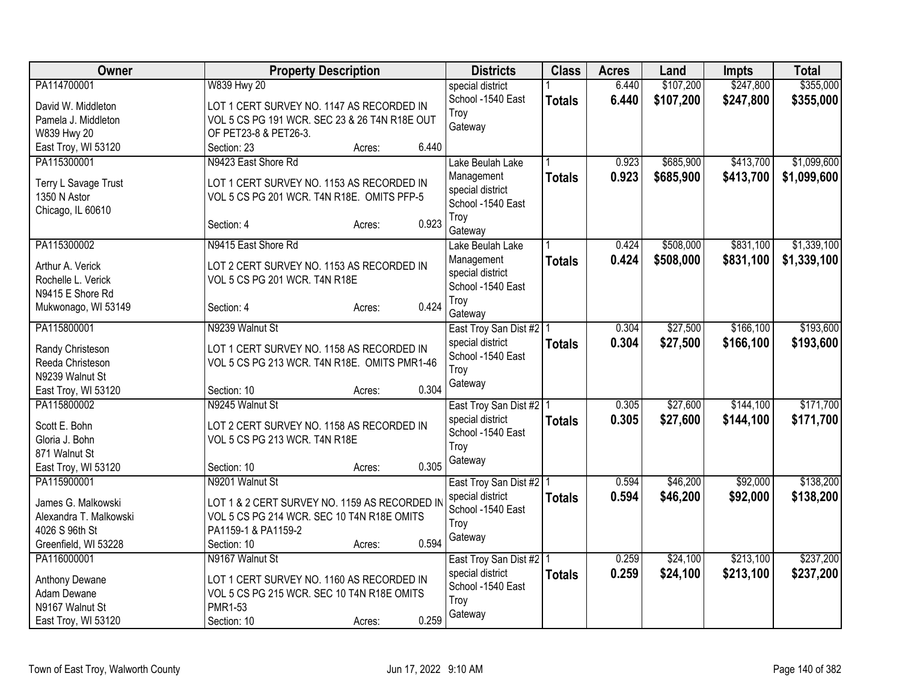| Owner                                | <b>Property Description</b>                                                             | <b>Districts</b>                      | <b>Class</b>  | <b>Acres</b> | Land      | <b>Impts</b> | <b>Total</b> |
|--------------------------------------|-----------------------------------------------------------------------------------------|---------------------------------------|---------------|--------------|-----------|--------------|--------------|
| PA114700001                          | <b>W839 Hwy 20</b>                                                                      | special district                      |               | 6.440        | \$107,200 | \$247,800    | \$355,000    |
| David W. Middleton                   | LOT 1 CERT SURVEY NO. 1147 AS RECORDED IN                                               | School -1540 East                     | <b>Totals</b> | 6.440        | \$107,200 | \$247,800    | \$355,000    |
| Pamela J. Middleton                  | VOL 5 CS PG 191 WCR. SEC 23 & 26 T4N R18E OUT                                           | Troy                                  |               |              |           |              |              |
| W839 Hwy 20                          | OF PET23-8 & PET26-3.                                                                   | Gateway                               |               |              |           |              |              |
| East Troy, WI 53120                  | 6.440<br>Section: 23<br>Acres:                                                          |                                       |               |              |           |              |              |
| PA115300001                          | N9423 East Shore Rd                                                                     | Lake Beulah Lake                      |               | 0.923        | \$685,900 | \$413,700    | \$1,099,600  |
|                                      |                                                                                         | Management                            | <b>Totals</b> | 0.923        | \$685,900 | \$413,700    | \$1,099,600  |
| Terry L Savage Trust<br>1350 N Astor | LOT 1 CERT SURVEY NO. 1153 AS RECORDED IN<br>VOL 5 CS PG 201 WCR. T4N R18E. OMITS PFP-5 | special district                      |               |              |           |              |              |
| Chicago, IL 60610                    |                                                                                         | School -1540 East                     |               |              |           |              |              |
|                                      | 0.923<br>Section: 4<br>Acres:                                                           | Troy                                  |               |              |           |              |              |
|                                      |                                                                                         | Gateway                               |               |              |           |              |              |
| PA115300002                          | N9415 East Shore Rd                                                                     | Lake Beulah Lake                      |               | 0.424        | \$508,000 | \$831,100    | \$1,339,100  |
| Arthur A. Verick                     | LOT 2 CERT SURVEY NO. 1153 AS RECORDED IN                                               | Management                            | <b>Totals</b> | 0.424        | \$508,000 | \$831,100    | \$1,339,100  |
| Rochelle L. Verick                   | VOL 5 CS PG 201 WCR. T4N R18E                                                           | special district                      |               |              |           |              |              |
| N9415 E Shore Rd                     |                                                                                         | School -1540 East                     |               |              |           |              |              |
| Mukwonago, WI 53149                  | 0.424<br>Section: 4<br>Acres:                                                           | Troy                                  |               |              |           |              |              |
|                                      |                                                                                         | Gateway                               |               |              |           |              |              |
| PA115800001                          | N9239 Walnut St                                                                         | East Troy San Dist #2   1             |               | 0.304        | \$27,500  | \$166,100    | \$193,600    |
| Randy Christeson                     | LOT 1 CERT SURVEY NO. 1158 AS RECORDED IN                                               | special district<br>School -1540 East | <b>Totals</b> | 0.304        | \$27,500  | \$166,100    | \$193,600    |
| Reeda Christeson                     | VOL 5 CS PG 213 WCR. T4N R18E. OMITS PMR1-46                                            | Troy                                  |               |              |           |              |              |
| N9239 Walnut St                      |                                                                                         | Gateway                               |               |              |           |              |              |
| East Troy, WI 53120                  | 0.304<br>Section: 10<br>Acres:                                                          |                                       |               |              |           |              |              |
| PA115800002                          | N9245 Walnut St                                                                         | East Troy San Dist #2   1             |               | 0.305        | \$27,600  | \$144,100    | \$171,700    |
| Scott E. Bohn                        | LOT 2 CERT SURVEY NO. 1158 AS RECORDED IN                                               | special district                      | <b>Totals</b> | 0.305        | \$27,600  | \$144,100    | \$171,700    |
| Gloria J. Bohn                       | VOL 5 CS PG 213 WCR. T4N R18E                                                           | School -1540 East                     |               |              |           |              |              |
| 871 Walnut St                        |                                                                                         | Troy                                  |               |              |           |              |              |
| East Troy, WI 53120                  | 0.305<br>Section: 10<br>Acres:                                                          | Gateway                               |               |              |           |              |              |
| PA115900001                          | N9201 Walnut St                                                                         | East Troy San Dist #2   1             |               | 0.594        | \$46,200  | \$92,000     | \$138,200    |
|                                      |                                                                                         | special district                      | <b>Totals</b> | 0.594        | \$46,200  | \$92,000     | \$138,200    |
| James G. Malkowski                   | LOT 1 & 2 CERT SURVEY NO. 1159 AS RECORDED IN                                           | School -1540 East                     |               |              |           |              |              |
| Alexandra T. Malkowski               | VOL 5 CS PG 214 WCR. SEC 10 T4N R18E OMITS                                              | Troy                                  |               |              |           |              |              |
| 4026 S 96th St                       | PA1159-1 & PA1159-2<br>0.594                                                            | Gateway                               |               |              |           |              |              |
| Greenfield, WI 53228                 | Section: 10<br>Acres:                                                                   |                                       |               |              |           |              |              |
| PA116000001                          | N9167 Walnut St                                                                         | East Troy San Dist #2 1               |               | 0.259        | \$24,100  | \$213,100    | \$237,200    |
| Anthony Dewane                       | LOT 1 CERT SURVEY NO. 1160 AS RECORDED IN                                               | special district<br>School -1540 East | <b>Totals</b> | 0.259        | \$24,100  | \$213,100    | \$237,200    |
| Adam Dewane                          | VOL 5 CS PG 215 WCR. SEC 10 T4N R18E OMITS                                              | Troy                                  |               |              |           |              |              |
| N9167 Walnut St                      | <b>PMR1-53</b>                                                                          | Gateway                               |               |              |           |              |              |
| East Troy, WI 53120                  | 0.259<br>Section: 10<br>Acres:                                                          |                                       |               |              |           |              |              |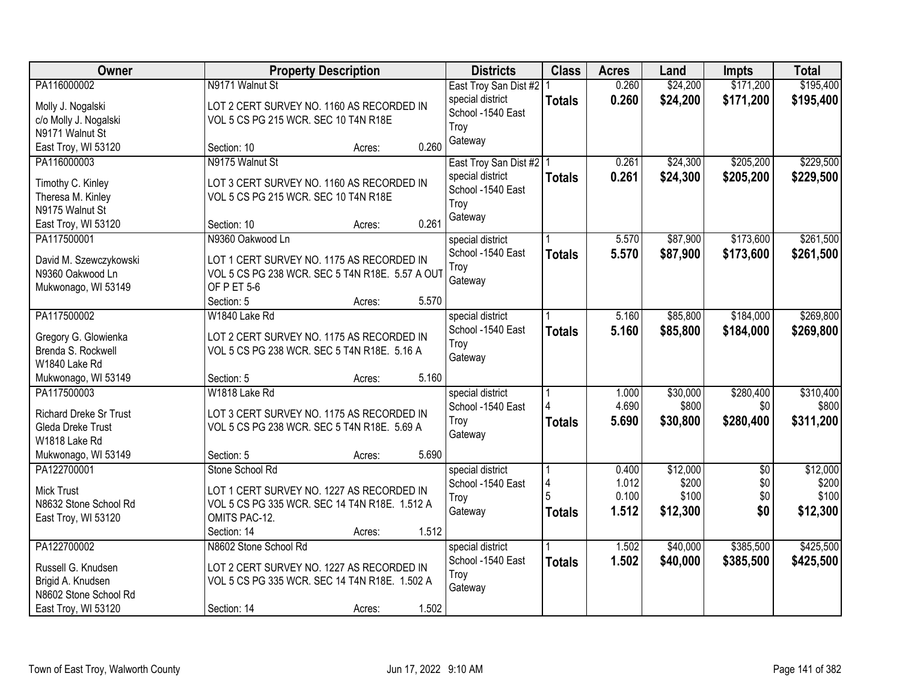| Owner                  | <b>Property Description</b>                     | <b>Districts</b>          | <b>Class</b>  | <b>Acres</b> | Land     | <b>Impts</b>    | <b>Total</b> |
|------------------------|-------------------------------------------------|---------------------------|---------------|--------------|----------|-----------------|--------------|
| PA116000002            | N9171 Walnut St                                 | East Troy San Dist #2   1 |               | 0.260        | \$24,200 | \$171,200       | \$195,400    |
| Molly J. Nogalski      | LOT 2 CERT SURVEY NO. 1160 AS RECORDED IN       | special district          | <b>Totals</b> | 0.260        | \$24,200 | \$171,200       | \$195,400    |
| c/o Molly J. Nogalski  | VOL 5 CS PG 215 WCR. SEC 10 T4N R18E            | School -1540 East         |               |              |          |                 |              |
| N9171 Walnut St        |                                                 | Troy                      |               |              |          |                 |              |
| East Troy, WI 53120    | 0.260<br>Section: 10<br>Acres:                  | Gateway                   |               |              |          |                 |              |
| PA116000003            | N9175 Walnut St                                 | East Troy San Dist #2   1 |               | 0.261        | \$24,300 | \$205,200       | \$229,500    |
| Timothy C. Kinley      | LOT 3 CERT SURVEY NO. 1160 AS RECORDED IN       | special district          | <b>Totals</b> | 0.261        | \$24,300 | \$205,200       | \$229,500    |
| Theresa M. Kinley      | VOL 5 CS PG 215 WCR. SEC 10 T4N R18E            | School -1540 East         |               |              |          |                 |              |
| N9175 Walnut St        |                                                 | Troy                      |               |              |          |                 |              |
| East Troy, WI 53120    | 0.261<br>Section: 10<br>Acres:                  | Gateway                   |               |              |          |                 |              |
| PA117500001            | N9360 Oakwood Ln                                | special district          |               | 5.570        | \$87,900 | \$173,600       | \$261,500    |
|                        |                                                 | School -1540 East         | <b>Totals</b> | 5.570        | \$87,900 | \$173,600       | \$261,500    |
| David M. Szewczykowski | LOT 1 CERT SURVEY NO. 1175 AS RECORDED IN       | Troy                      |               |              |          |                 |              |
| N9360 Oakwood Ln       | VOL 5 CS PG 238 WCR. SEC 5 T4N R18E. 5.57 A OUT | Gateway                   |               |              |          |                 |              |
| Mukwonago, WI 53149    | OF PET 5-6                                      |                           |               |              |          |                 |              |
|                        | 5.570<br>Section: 5<br>Acres:                   |                           |               |              |          |                 |              |
| PA117500002            | W1840 Lake Rd                                   | special district          |               | 5.160        | \$85,800 | \$184,000       | \$269,800    |
| Gregory G. Glowienka   | LOT 2 CERT SURVEY NO. 1175 AS RECORDED IN       | School -1540 East         | <b>Totals</b> | 5.160        | \$85,800 | \$184,000       | \$269,800    |
| Brenda S. Rockwell     | VOL 5 CS PG 238 WCR. SEC 5 T4N R18E. 5.16 A     | Troy                      |               |              |          |                 |              |
| W1840 Lake Rd          |                                                 | Gateway                   |               |              |          |                 |              |
| Mukwonago, WI 53149    | 5.160<br>Section: 5<br>Acres:                   |                           |               |              |          |                 |              |
| PA117500003            | W1818 Lake Rd                                   | special district          |               | 1.000        | \$30,000 | \$280,400       | \$310,400    |
| Richard Dreke Sr Trust | LOT 3 CERT SURVEY NO. 1175 AS RECORDED IN       | School -1540 East         |               | 4.690        | \$800    | \$0             | \$800        |
| Gleda Dreke Trust      | VOL 5 CS PG 238 WCR. SEC 5 T4N R18E. 5.69 A     | Troy                      | <b>Totals</b> | 5.690        | \$30,800 | \$280,400       | \$311,200    |
| W1818 Lake Rd          |                                                 | Gateway                   |               |              |          |                 |              |
| Mukwonago, WI 53149    | 5.690<br>Section: 5<br>Acres:                   |                           |               |              |          |                 |              |
| PA122700001            | Stone School Rd                                 | special district          |               | 0.400        | \$12,000 | $\overline{50}$ | \$12,000     |
|                        |                                                 | School -1540 East         |               | 1.012        | \$200    | \$0             | \$200        |
| Mick Trust             | LOT 1 CERT SURVEY NO. 1227 AS RECORDED IN       | Troy                      |               | 0.100        | \$100    | \$0             | \$100        |
| N8632 Stone School Rd  | VOL 5 CS PG 335 WCR. SEC 14 T4N R18E. 1.512 A   | Gateway                   | <b>Totals</b> | 1.512        | \$12,300 | \$0             | \$12,300     |
| East Troy, WI 53120    | OMITS PAC-12.                                   |                           |               |              |          |                 |              |
|                        | 1.512<br>Section: 14<br>Acres:                  |                           |               |              |          |                 |              |
| PA122700002            | N8602 Stone School Rd                           | special district          |               | 1.502        | \$40,000 | \$385,500       | \$425,500    |
| Russell G. Knudsen     | LOT 2 CERT SURVEY NO. 1227 AS RECORDED IN       | School -1540 East         | <b>Totals</b> | 1.502        | \$40,000 | \$385,500       | \$425,500    |
| Brigid A. Knudsen      | VOL 5 CS PG 335 WCR. SEC 14 T4N R18E. 1.502 A   | Troy                      |               |              |          |                 |              |
| N8602 Stone School Rd  |                                                 | Gateway                   |               |              |          |                 |              |
| East Troy, WI 53120    | 1.502<br>Section: 14<br>Acres:                  |                           |               |              |          |                 |              |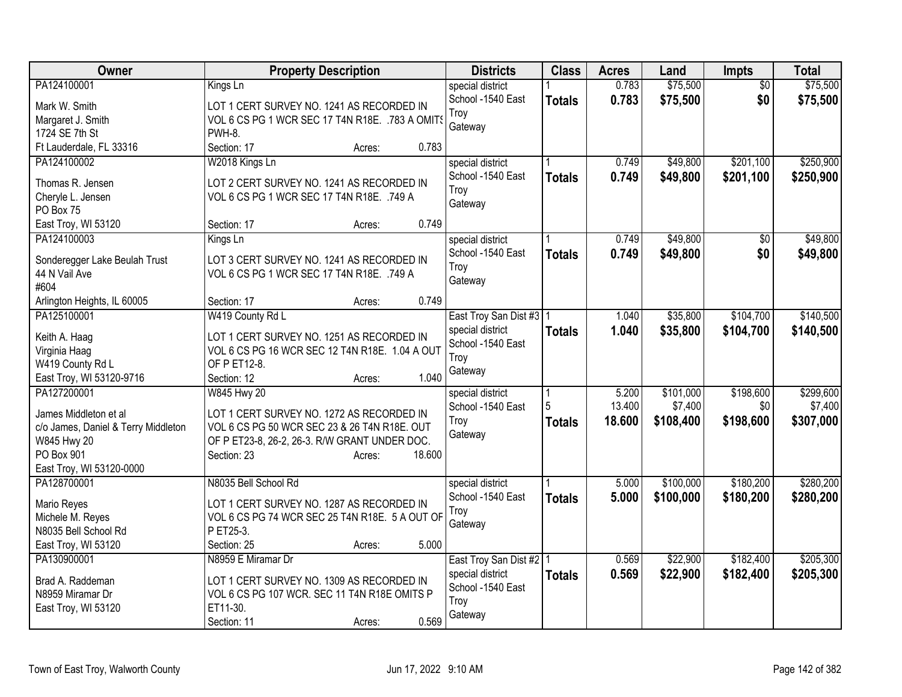| 0.783<br>\$75,500<br>\$75,500<br>PA124100001<br>Kings Ln<br>special district<br>$\overline{50}$<br>0.783<br>\$75,500<br>\$0<br>School -1540 East<br>\$75,500<br><b>Totals</b><br>Mark W. Smith<br>LOT 1 CERT SURVEY NO. 1241 AS RECORDED IN<br>Troy<br>VOL 6 CS PG 1 WCR SEC 17 T4N R18E. . 783 A OMITS<br>Margaret J. Smith<br>Gateway<br>PWH-8.<br>1724 SE 7th St<br>0.783<br>Ft Lauderdale, FL 33316<br>Section: 17<br>Acres:<br>\$49,800<br>\$201,100<br>\$250,900<br>PA124100002<br>W2018 Kings Ln<br>special district<br>0.749<br>0.749<br>\$49,800<br>School -1540 East<br>\$201,100<br>\$250,900<br><b>Totals</b><br>Thomas R. Jensen<br>LOT 2 CERT SURVEY NO. 1241 AS RECORDED IN<br>Troy<br>VOL 6 CS PG 1 WCR SEC 17 T4N R18E. .749 A<br>Cheryle L. Jensen<br>Gateway<br>PO Box 75<br>0.749<br>East Troy, WI 53120<br>Section: 17<br>Acres:<br>\$49,800<br>\$49,800<br>PA124100003<br>0.749<br>\$0<br>Kings Ln<br>special district<br>\$0<br>School -1540 East<br>0.749<br>\$49,800<br>\$49,800<br><b>Totals</b><br>Sonderegger Lake Beulah Trust<br>LOT 3 CERT SURVEY NO. 1241 AS RECORDED IN<br>Troy<br>44 N Vail Ave<br>VOL 6 CS PG 1 WCR SEC 17 T4N R18E. .749 A<br>Gateway<br>#604<br>0.749<br>Arlington Heights, IL 60005<br>Section: 17<br>Acres:<br>W419 County Rd L<br>\$104,700<br>PA125100001<br>\$35,800<br>East Troy San Dist #3   1<br>1.040<br>special district<br>1.040<br>\$35,800<br>\$104,700<br><b>Totals</b><br>Keith A. Haag<br>LOT 1 CERT SURVEY NO. 1251 AS RECORDED IN<br>School -1540 East<br>VOL 6 CS PG 16 WCR SEC 12 T4N R18E. 1.04 A OUT<br>Virginia Haag<br>Troy<br>OF P ET12-8.<br>W419 County Rd L<br>Gateway<br>1.040<br>East Troy, WI 53120-9716<br>Section: 12<br>Acres:<br>PA127200001<br>\$101,000<br>\$198,600<br>W845 Hwy 20<br>5.200<br>special district<br>5<br>13.400<br>\$7,400<br>\$0<br>School -1540 East<br>LOT 1 CERT SURVEY NO. 1272 AS RECORDED IN<br>James Middleton et al<br>\$198,600<br>18.600<br>\$108,400<br>\$307,000<br>Troy<br><b>Totals</b><br>VOL 6 CS PG 50 WCR SEC 23 & 26 T4N R18E. OUT<br>c/o James, Daniel & Terry Middleton<br>Gateway<br>W845 Hwy 20<br>OF P ET23-8, 26-2, 26-3. R/W GRANT UNDER DOC.<br>PO Box 901<br>18.600<br>Section: 23<br>Acres:<br>East Troy, WI 53120-0000<br>\$180,200<br>PA128700001<br>N8035 Bell School Rd<br>\$100,000<br>5.000<br>special district<br>School -1540 East<br>5.000<br>\$100,000<br>\$180,200<br><b>Totals</b><br>LOT 1 CERT SURVEY NO. 1287 AS RECORDED IN<br>Mario Reyes<br>Troy<br>Michele M. Reyes<br>VOL 6 CS PG 74 WCR SEC 25 T4N R18E. 5 A OUT OF<br>Gateway<br>N8035 Bell School Rd<br>P ET25-3.<br>5.000<br>East Troy, WI 53120<br>Section: 25<br>Acres:<br>\$22,900<br>\$182,400<br>\$205,300<br>PA130900001<br>N8959 E Miramar Dr<br>0.569<br>East Troy San Dist #2 1<br>0.569<br>\$22,900<br>\$182,400<br>special district<br><b>Totals</b><br>Brad A. Raddeman<br>LOT 1 CERT SURVEY NO. 1309 AS RECORDED IN<br>School -1540 East<br>N8959 Miramar Dr<br>VOL 6 CS PG 107 WCR. SEC 11 T4N R18E OMITS P<br>Troy<br>ET11-30.<br>East Troy, WI 53120 | <b>Owner</b> | <b>Property Description</b>    | <b>Districts</b> | <b>Class</b> | <b>Acres</b> | Land | Impts | <b>Total</b> |
|---------------------------------------------------------------------------------------------------------------------------------------------------------------------------------------------------------------------------------------------------------------------------------------------------------------------------------------------------------------------------------------------------------------------------------------------------------------------------------------------------------------------------------------------------------------------------------------------------------------------------------------------------------------------------------------------------------------------------------------------------------------------------------------------------------------------------------------------------------------------------------------------------------------------------------------------------------------------------------------------------------------------------------------------------------------------------------------------------------------------------------------------------------------------------------------------------------------------------------------------------------------------------------------------------------------------------------------------------------------------------------------------------------------------------------------------------------------------------------------------------------------------------------------------------------------------------------------------------------------------------------------------------------------------------------------------------------------------------------------------------------------------------------------------------------------------------------------------------------------------------------------------------------------------------------------------------------------------------------------------------------------------------------------------------------------------------------------------------------------------------------------------------------------------------------------------------------------------------------------------------------------------------------------------------------------------------------------------------------------------------------------------------------------------------------------------------------------------------------------------------------------------------------------------------------------------------------------------------------------------------------------------------------------------------------------------------------------------------------------------------------------------------------------------------------------------------------------------------------------------------------------------------------------------------------------------------------------------------------------------------------------------------------------------------------------------------------------|--------------|--------------------------------|------------------|--------------|--------------|------|-------|--------------|
|                                                                                                                                                                                                                                                                                                                                                                                                                                                                                                                                                                                                                                                                                                                                                                                                                                                                                                                                                                                                                                                                                                                                                                                                                                                                                                                                                                                                                                                                                                                                                                                                                                                                                                                                                                                                                                                                                                                                                                                                                                                                                                                                                                                                                                                                                                                                                                                                                                                                                                                                                                                                                                                                                                                                                                                                                                                                                                                                                                                                                                                                                       |              |                                |                  |              |              |      |       |              |
|                                                                                                                                                                                                                                                                                                                                                                                                                                                                                                                                                                                                                                                                                                                                                                                                                                                                                                                                                                                                                                                                                                                                                                                                                                                                                                                                                                                                                                                                                                                                                                                                                                                                                                                                                                                                                                                                                                                                                                                                                                                                                                                                                                                                                                                                                                                                                                                                                                                                                                                                                                                                                                                                                                                                                                                                                                                                                                                                                                                                                                                                                       |              |                                |                  |              |              |      |       |              |
|                                                                                                                                                                                                                                                                                                                                                                                                                                                                                                                                                                                                                                                                                                                                                                                                                                                                                                                                                                                                                                                                                                                                                                                                                                                                                                                                                                                                                                                                                                                                                                                                                                                                                                                                                                                                                                                                                                                                                                                                                                                                                                                                                                                                                                                                                                                                                                                                                                                                                                                                                                                                                                                                                                                                                                                                                                                                                                                                                                                                                                                                                       |              |                                |                  |              |              |      |       |              |
|                                                                                                                                                                                                                                                                                                                                                                                                                                                                                                                                                                                                                                                                                                                                                                                                                                                                                                                                                                                                                                                                                                                                                                                                                                                                                                                                                                                                                                                                                                                                                                                                                                                                                                                                                                                                                                                                                                                                                                                                                                                                                                                                                                                                                                                                                                                                                                                                                                                                                                                                                                                                                                                                                                                                                                                                                                                                                                                                                                                                                                                                                       |              |                                |                  |              |              |      |       |              |
|                                                                                                                                                                                                                                                                                                                                                                                                                                                                                                                                                                                                                                                                                                                                                                                                                                                                                                                                                                                                                                                                                                                                                                                                                                                                                                                                                                                                                                                                                                                                                                                                                                                                                                                                                                                                                                                                                                                                                                                                                                                                                                                                                                                                                                                                                                                                                                                                                                                                                                                                                                                                                                                                                                                                                                                                                                                                                                                                                                                                                                                                                       |              |                                |                  |              |              |      |       |              |
|                                                                                                                                                                                                                                                                                                                                                                                                                                                                                                                                                                                                                                                                                                                                                                                                                                                                                                                                                                                                                                                                                                                                                                                                                                                                                                                                                                                                                                                                                                                                                                                                                                                                                                                                                                                                                                                                                                                                                                                                                                                                                                                                                                                                                                                                                                                                                                                                                                                                                                                                                                                                                                                                                                                                                                                                                                                                                                                                                                                                                                                                                       |              |                                |                  |              |              |      |       |              |
|                                                                                                                                                                                                                                                                                                                                                                                                                                                                                                                                                                                                                                                                                                                                                                                                                                                                                                                                                                                                                                                                                                                                                                                                                                                                                                                                                                                                                                                                                                                                                                                                                                                                                                                                                                                                                                                                                                                                                                                                                                                                                                                                                                                                                                                                                                                                                                                                                                                                                                                                                                                                                                                                                                                                                                                                                                                                                                                                                                                                                                                                                       |              |                                |                  |              |              |      |       |              |
|                                                                                                                                                                                                                                                                                                                                                                                                                                                                                                                                                                                                                                                                                                                                                                                                                                                                                                                                                                                                                                                                                                                                                                                                                                                                                                                                                                                                                                                                                                                                                                                                                                                                                                                                                                                                                                                                                                                                                                                                                                                                                                                                                                                                                                                                                                                                                                                                                                                                                                                                                                                                                                                                                                                                                                                                                                                                                                                                                                                                                                                                                       |              |                                |                  |              |              |      |       |              |
|                                                                                                                                                                                                                                                                                                                                                                                                                                                                                                                                                                                                                                                                                                                                                                                                                                                                                                                                                                                                                                                                                                                                                                                                                                                                                                                                                                                                                                                                                                                                                                                                                                                                                                                                                                                                                                                                                                                                                                                                                                                                                                                                                                                                                                                                                                                                                                                                                                                                                                                                                                                                                                                                                                                                                                                                                                                                                                                                                                                                                                                                                       |              |                                |                  |              |              |      |       |              |
|                                                                                                                                                                                                                                                                                                                                                                                                                                                                                                                                                                                                                                                                                                                                                                                                                                                                                                                                                                                                                                                                                                                                                                                                                                                                                                                                                                                                                                                                                                                                                                                                                                                                                                                                                                                                                                                                                                                                                                                                                                                                                                                                                                                                                                                                                                                                                                                                                                                                                                                                                                                                                                                                                                                                                                                                                                                                                                                                                                                                                                                                                       |              |                                |                  |              |              |      |       |              |
|                                                                                                                                                                                                                                                                                                                                                                                                                                                                                                                                                                                                                                                                                                                                                                                                                                                                                                                                                                                                                                                                                                                                                                                                                                                                                                                                                                                                                                                                                                                                                                                                                                                                                                                                                                                                                                                                                                                                                                                                                                                                                                                                                                                                                                                                                                                                                                                                                                                                                                                                                                                                                                                                                                                                                                                                                                                                                                                                                                                                                                                                                       |              |                                |                  |              |              |      |       |              |
|                                                                                                                                                                                                                                                                                                                                                                                                                                                                                                                                                                                                                                                                                                                                                                                                                                                                                                                                                                                                                                                                                                                                                                                                                                                                                                                                                                                                                                                                                                                                                                                                                                                                                                                                                                                                                                                                                                                                                                                                                                                                                                                                                                                                                                                                                                                                                                                                                                                                                                                                                                                                                                                                                                                                                                                                                                                                                                                                                                                                                                                                                       |              |                                |                  |              |              |      |       |              |
|                                                                                                                                                                                                                                                                                                                                                                                                                                                                                                                                                                                                                                                                                                                                                                                                                                                                                                                                                                                                                                                                                                                                                                                                                                                                                                                                                                                                                                                                                                                                                                                                                                                                                                                                                                                                                                                                                                                                                                                                                                                                                                                                                                                                                                                                                                                                                                                                                                                                                                                                                                                                                                                                                                                                                                                                                                                                                                                                                                                                                                                                                       |              |                                |                  |              |              |      |       |              |
| \$140,500<br>\$140,500<br>\$299,600<br>\$7,400<br>\$280,200<br>\$280,200<br>\$205,300                                                                                                                                                                                                                                                                                                                                                                                                                                                                                                                                                                                                                                                                                                                                                                                                                                                                                                                                                                                                                                                                                                                                                                                                                                                                                                                                                                                                                                                                                                                                                                                                                                                                                                                                                                                                                                                                                                                                                                                                                                                                                                                                                                                                                                                                                                                                                                                                                                                                                                                                                                                                                                                                                                                                                                                                                                                                                                                                                                                                 |              |                                |                  |              |              |      |       |              |
|                                                                                                                                                                                                                                                                                                                                                                                                                                                                                                                                                                                                                                                                                                                                                                                                                                                                                                                                                                                                                                                                                                                                                                                                                                                                                                                                                                                                                                                                                                                                                                                                                                                                                                                                                                                                                                                                                                                                                                                                                                                                                                                                                                                                                                                                                                                                                                                                                                                                                                                                                                                                                                                                                                                                                                                                                                                                                                                                                                                                                                                                                       |              |                                |                  |              |              |      |       |              |
|                                                                                                                                                                                                                                                                                                                                                                                                                                                                                                                                                                                                                                                                                                                                                                                                                                                                                                                                                                                                                                                                                                                                                                                                                                                                                                                                                                                                                                                                                                                                                                                                                                                                                                                                                                                                                                                                                                                                                                                                                                                                                                                                                                                                                                                                                                                                                                                                                                                                                                                                                                                                                                                                                                                                                                                                                                                                                                                                                                                                                                                                                       |              |                                |                  |              |              |      |       |              |
|                                                                                                                                                                                                                                                                                                                                                                                                                                                                                                                                                                                                                                                                                                                                                                                                                                                                                                                                                                                                                                                                                                                                                                                                                                                                                                                                                                                                                                                                                                                                                                                                                                                                                                                                                                                                                                                                                                                                                                                                                                                                                                                                                                                                                                                                                                                                                                                                                                                                                                                                                                                                                                                                                                                                                                                                                                                                                                                                                                                                                                                                                       |              |                                |                  |              |              |      |       |              |
|                                                                                                                                                                                                                                                                                                                                                                                                                                                                                                                                                                                                                                                                                                                                                                                                                                                                                                                                                                                                                                                                                                                                                                                                                                                                                                                                                                                                                                                                                                                                                                                                                                                                                                                                                                                                                                                                                                                                                                                                                                                                                                                                                                                                                                                                                                                                                                                                                                                                                                                                                                                                                                                                                                                                                                                                                                                                                                                                                                                                                                                                                       |              |                                |                  |              |              |      |       |              |
|                                                                                                                                                                                                                                                                                                                                                                                                                                                                                                                                                                                                                                                                                                                                                                                                                                                                                                                                                                                                                                                                                                                                                                                                                                                                                                                                                                                                                                                                                                                                                                                                                                                                                                                                                                                                                                                                                                                                                                                                                                                                                                                                                                                                                                                                                                                                                                                                                                                                                                                                                                                                                                                                                                                                                                                                                                                                                                                                                                                                                                                                                       |              |                                |                  |              |              |      |       |              |
|                                                                                                                                                                                                                                                                                                                                                                                                                                                                                                                                                                                                                                                                                                                                                                                                                                                                                                                                                                                                                                                                                                                                                                                                                                                                                                                                                                                                                                                                                                                                                                                                                                                                                                                                                                                                                                                                                                                                                                                                                                                                                                                                                                                                                                                                                                                                                                                                                                                                                                                                                                                                                                                                                                                                                                                                                                                                                                                                                                                                                                                                                       |              |                                |                  |              |              |      |       |              |
|                                                                                                                                                                                                                                                                                                                                                                                                                                                                                                                                                                                                                                                                                                                                                                                                                                                                                                                                                                                                                                                                                                                                                                                                                                                                                                                                                                                                                                                                                                                                                                                                                                                                                                                                                                                                                                                                                                                                                                                                                                                                                                                                                                                                                                                                                                                                                                                                                                                                                                                                                                                                                                                                                                                                                                                                                                                                                                                                                                                                                                                                                       |              |                                |                  |              |              |      |       |              |
|                                                                                                                                                                                                                                                                                                                                                                                                                                                                                                                                                                                                                                                                                                                                                                                                                                                                                                                                                                                                                                                                                                                                                                                                                                                                                                                                                                                                                                                                                                                                                                                                                                                                                                                                                                                                                                                                                                                                                                                                                                                                                                                                                                                                                                                                                                                                                                                                                                                                                                                                                                                                                                                                                                                                                                                                                                                                                                                                                                                                                                                                                       |              |                                |                  |              |              |      |       |              |
|                                                                                                                                                                                                                                                                                                                                                                                                                                                                                                                                                                                                                                                                                                                                                                                                                                                                                                                                                                                                                                                                                                                                                                                                                                                                                                                                                                                                                                                                                                                                                                                                                                                                                                                                                                                                                                                                                                                                                                                                                                                                                                                                                                                                                                                                                                                                                                                                                                                                                                                                                                                                                                                                                                                                                                                                                                                                                                                                                                                                                                                                                       |              |                                |                  |              |              |      |       |              |
|                                                                                                                                                                                                                                                                                                                                                                                                                                                                                                                                                                                                                                                                                                                                                                                                                                                                                                                                                                                                                                                                                                                                                                                                                                                                                                                                                                                                                                                                                                                                                                                                                                                                                                                                                                                                                                                                                                                                                                                                                                                                                                                                                                                                                                                                                                                                                                                                                                                                                                                                                                                                                                                                                                                                                                                                                                                                                                                                                                                                                                                                                       |              |                                |                  |              |              |      |       |              |
|                                                                                                                                                                                                                                                                                                                                                                                                                                                                                                                                                                                                                                                                                                                                                                                                                                                                                                                                                                                                                                                                                                                                                                                                                                                                                                                                                                                                                                                                                                                                                                                                                                                                                                                                                                                                                                                                                                                                                                                                                                                                                                                                                                                                                                                                                                                                                                                                                                                                                                                                                                                                                                                                                                                                                                                                                                                                                                                                                                                                                                                                                       |              |                                |                  |              |              |      |       |              |
|                                                                                                                                                                                                                                                                                                                                                                                                                                                                                                                                                                                                                                                                                                                                                                                                                                                                                                                                                                                                                                                                                                                                                                                                                                                                                                                                                                                                                                                                                                                                                                                                                                                                                                                                                                                                                                                                                                                                                                                                                                                                                                                                                                                                                                                                                                                                                                                                                                                                                                                                                                                                                                                                                                                                                                                                                                                                                                                                                                                                                                                                                       |              |                                |                  |              |              |      |       |              |
|                                                                                                                                                                                                                                                                                                                                                                                                                                                                                                                                                                                                                                                                                                                                                                                                                                                                                                                                                                                                                                                                                                                                                                                                                                                                                                                                                                                                                                                                                                                                                                                                                                                                                                                                                                                                                                                                                                                                                                                                                                                                                                                                                                                                                                                                                                                                                                                                                                                                                                                                                                                                                                                                                                                                                                                                                                                                                                                                                                                                                                                                                       |              |                                |                  |              |              |      |       |              |
|                                                                                                                                                                                                                                                                                                                                                                                                                                                                                                                                                                                                                                                                                                                                                                                                                                                                                                                                                                                                                                                                                                                                                                                                                                                                                                                                                                                                                                                                                                                                                                                                                                                                                                                                                                                                                                                                                                                                                                                                                                                                                                                                                                                                                                                                                                                                                                                                                                                                                                                                                                                                                                                                                                                                                                                                                                                                                                                                                                                                                                                                                       |              |                                |                  |              |              |      |       |              |
|                                                                                                                                                                                                                                                                                                                                                                                                                                                                                                                                                                                                                                                                                                                                                                                                                                                                                                                                                                                                                                                                                                                                                                                                                                                                                                                                                                                                                                                                                                                                                                                                                                                                                                                                                                                                                                                                                                                                                                                                                                                                                                                                                                                                                                                                                                                                                                                                                                                                                                                                                                                                                                                                                                                                                                                                                                                                                                                                                                                                                                                                                       |              |                                |                  |              |              |      |       |              |
|                                                                                                                                                                                                                                                                                                                                                                                                                                                                                                                                                                                                                                                                                                                                                                                                                                                                                                                                                                                                                                                                                                                                                                                                                                                                                                                                                                                                                                                                                                                                                                                                                                                                                                                                                                                                                                                                                                                                                                                                                                                                                                                                                                                                                                                                                                                                                                                                                                                                                                                                                                                                                                                                                                                                                                                                                                                                                                                                                                                                                                                                                       |              |                                |                  |              |              |      |       |              |
|                                                                                                                                                                                                                                                                                                                                                                                                                                                                                                                                                                                                                                                                                                                                                                                                                                                                                                                                                                                                                                                                                                                                                                                                                                                                                                                                                                                                                                                                                                                                                                                                                                                                                                                                                                                                                                                                                                                                                                                                                                                                                                                                                                                                                                                                                                                                                                                                                                                                                                                                                                                                                                                                                                                                                                                                                                                                                                                                                                                                                                                                                       |              |                                |                  |              |              |      |       |              |
|                                                                                                                                                                                                                                                                                                                                                                                                                                                                                                                                                                                                                                                                                                                                                                                                                                                                                                                                                                                                                                                                                                                                                                                                                                                                                                                                                                                                                                                                                                                                                                                                                                                                                                                                                                                                                                                                                                                                                                                                                                                                                                                                                                                                                                                                                                                                                                                                                                                                                                                                                                                                                                                                                                                                                                                                                                                                                                                                                                                                                                                                                       |              |                                |                  |              |              |      |       |              |
|                                                                                                                                                                                                                                                                                                                                                                                                                                                                                                                                                                                                                                                                                                                                                                                                                                                                                                                                                                                                                                                                                                                                                                                                                                                                                                                                                                                                                                                                                                                                                                                                                                                                                                                                                                                                                                                                                                                                                                                                                                                                                                                                                                                                                                                                                                                                                                                                                                                                                                                                                                                                                                                                                                                                                                                                                                                                                                                                                                                                                                                                                       |              |                                |                  |              |              |      |       |              |
|                                                                                                                                                                                                                                                                                                                                                                                                                                                                                                                                                                                                                                                                                                                                                                                                                                                                                                                                                                                                                                                                                                                                                                                                                                                                                                                                                                                                                                                                                                                                                                                                                                                                                                                                                                                                                                                                                                                                                                                                                                                                                                                                                                                                                                                                                                                                                                                                                                                                                                                                                                                                                                                                                                                                                                                                                                                                                                                                                                                                                                                                                       |              |                                |                  |              |              |      |       |              |
|                                                                                                                                                                                                                                                                                                                                                                                                                                                                                                                                                                                                                                                                                                                                                                                                                                                                                                                                                                                                                                                                                                                                                                                                                                                                                                                                                                                                                                                                                                                                                                                                                                                                                                                                                                                                                                                                                                                                                                                                                                                                                                                                                                                                                                                                                                                                                                                                                                                                                                                                                                                                                                                                                                                                                                                                                                                                                                                                                                                                                                                                                       |              |                                |                  |              |              |      |       |              |
|                                                                                                                                                                                                                                                                                                                                                                                                                                                                                                                                                                                                                                                                                                                                                                                                                                                                                                                                                                                                                                                                                                                                                                                                                                                                                                                                                                                                                                                                                                                                                                                                                                                                                                                                                                                                                                                                                                                                                                                                                                                                                                                                                                                                                                                                                                                                                                                                                                                                                                                                                                                                                                                                                                                                                                                                                                                                                                                                                                                                                                                                                       |              |                                |                  |              |              |      |       |              |
|                                                                                                                                                                                                                                                                                                                                                                                                                                                                                                                                                                                                                                                                                                                                                                                                                                                                                                                                                                                                                                                                                                                                                                                                                                                                                                                                                                                                                                                                                                                                                                                                                                                                                                                                                                                                                                                                                                                                                                                                                                                                                                                                                                                                                                                                                                                                                                                                                                                                                                                                                                                                                                                                                                                                                                                                                                                                                                                                                                                                                                                                                       |              | 0.569<br>Section: 11<br>Acres: | Gateway          |              |              |      |       |              |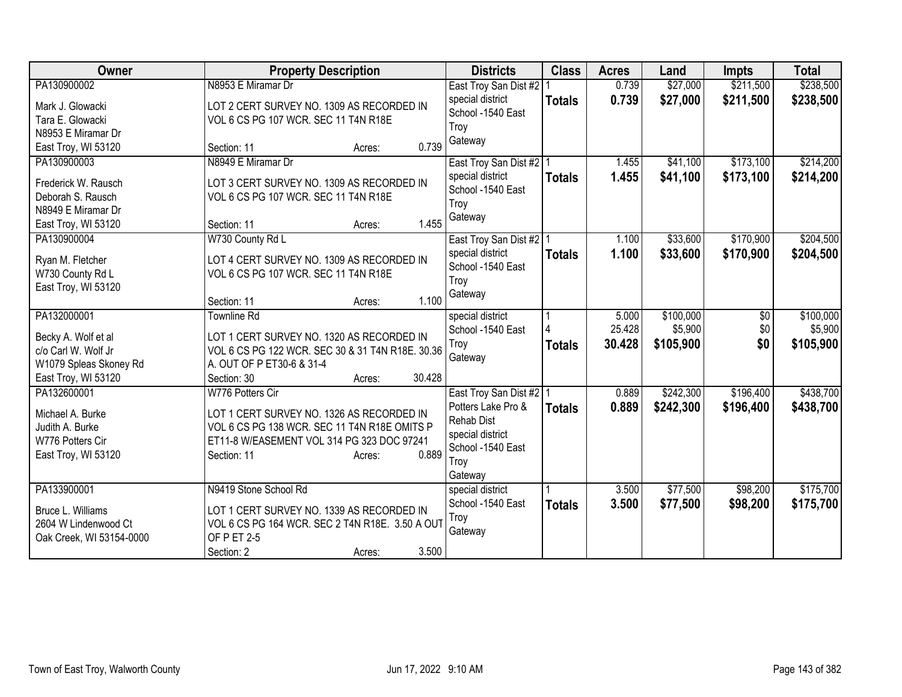| <b>Owner</b>                         | <b>Property Description</b>                      | <b>Districts</b>                      | <b>Class</b>  | <b>Acres</b> | Land      | <b>Impts</b> | <b>Total</b> |
|--------------------------------------|--------------------------------------------------|---------------------------------------|---------------|--------------|-----------|--------------|--------------|
| PA130900002                          | N8953 E Miramar Dr                               | East Troy San Dist #2                 |               | 0.739        | \$27,000  | \$211,500    | \$238,500    |
| Mark J. Glowacki                     | LOT 2 CERT SURVEY NO. 1309 AS RECORDED IN        | special district                      | <b>Totals</b> | 0.739        | \$27,000  | \$211,500    | \$238,500    |
| Tara E. Glowacki                     | VOL 6 CS PG 107 WCR. SEC 11 T4N R18E             | School -1540 East                     |               |              |           |              |              |
| N8953 E Miramar Dr                   |                                                  | Troy                                  |               |              |           |              |              |
| East Troy, WI 53120                  | 0.739<br>Section: 11<br>Acres:                   | Gateway                               |               |              |           |              |              |
| PA130900003                          | N8949 E Miramar Dr                               | East Troy San Dist #2 1               |               | 1.455        | \$41,100  | \$173,100    | \$214,200    |
| Frederick W. Rausch                  | LOT 3 CERT SURVEY NO. 1309 AS RECORDED IN        | special district                      | <b>Totals</b> | 1.455        | \$41,100  | \$173,100    | \$214,200    |
| Deborah S. Rausch                    | VOL 6 CS PG 107 WCR. SEC 11 T4N R18E             | School -1540 East                     |               |              |           |              |              |
| N8949 E Miramar Dr                   |                                                  | Troy                                  |               |              |           |              |              |
| East Troy, WI 53120                  | 1.455<br>Section: 11<br>Acres:                   | Gateway                               |               |              |           |              |              |
| PA130900004                          | W730 County Rd L                                 | East Troy San Dist #2   1             |               | 1.100        | \$33,600  | \$170,900    | \$204,500    |
|                                      | LOT 4 CERT SURVEY NO. 1309 AS RECORDED IN        | special district                      | <b>Totals</b> | 1.100        | \$33,600  | \$170,900    | \$204,500    |
| Ryan M. Fletcher<br>W730 County Rd L | VOL 6 CS PG 107 WCR. SEC 11 T4N R18E             | School -1540 East                     |               |              |           |              |              |
| East Troy, WI 53120                  |                                                  | Troy                                  |               |              |           |              |              |
|                                      | 1.100<br>Section: 11<br>Acres:                   | Gateway                               |               |              |           |              |              |
| PA132000001                          | <b>Townline Rd</b>                               | special district                      |               | 5.000        | \$100,000 | \$0          | \$100,000    |
|                                      |                                                  | School -1540 East                     |               | 25.428       | \$5,900   | \$0          | \$5,900      |
| Becky A. Wolf et al                  | LOT 1 CERT SURVEY NO. 1320 AS RECORDED IN        | Troy                                  | <b>Totals</b> | 30.428       | \$105,900 | \$0          | \$105,900    |
| c/o Carl W. Wolf Jr                  | VOL 6 CS PG 122 WCR. SEC 30 & 31 T4N R18E. 30.36 | Gateway                               |               |              |           |              |              |
| W1079 Spleas Skoney Rd               | A. OUT OF P ET30-6 & 31-4                        |                                       |               |              |           |              |              |
| East Troy, WI 53120                  | 30.428<br>Section: 30<br>Acres:                  |                                       |               |              |           |              |              |
| PA132600001                          | W776 Potters Cir                                 | East Troy San Dist #2   1             |               | 0.889        | \$242,300 | \$196,400    | \$438,700    |
| Michael A. Burke                     | LOT 1 CERT SURVEY NO. 1326 AS RECORDED IN        | Potters Lake Pro &                    | <b>Totals</b> | 0.889        | \$242,300 | \$196,400    | \$438,700    |
| Judith A. Burke                      | VOL 6 CS PG 138 WCR. SEC 11 T4N R18E OMITS P     | <b>Rehab Dist</b>                     |               |              |           |              |              |
| W776 Potters Cir                     | ET11-8 W/EASEMENT VOL 314 PG 323 DOC 97241       | special district<br>School -1540 East |               |              |           |              |              |
| East Troy, WI 53120                  | 0.889<br>Section: 11<br>Acres:                   | Troy                                  |               |              |           |              |              |
|                                      |                                                  | Gateway                               |               |              |           |              |              |
| PA133900001                          | N9419 Stone School Rd                            | special district                      |               | 3.500        | \$77,500  | \$98,200     | \$175,700    |
|                                      |                                                  | School -1540 East                     | <b>Totals</b> | 3.500        | \$77,500  | \$98,200     | \$175,700    |
| Bruce L. Williams                    | LOT 1 CERT SURVEY NO. 1339 AS RECORDED IN        | Troy                                  |               |              |           |              |              |
| 2604 W Lindenwood Ct                 | VOL 6 CS PG 164 WCR. SEC 2 T4N R18E. 3.50 A OUT  | Gateway                               |               |              |           |              |              |
| Oak Creek, WI 53154-0000             | OF P ET 2-5                                      |                                       |               |              |           |              |              |
|                                      | 3.500<br>Section: 2<br>Acres:                    |                                       |               |              |           |              |              |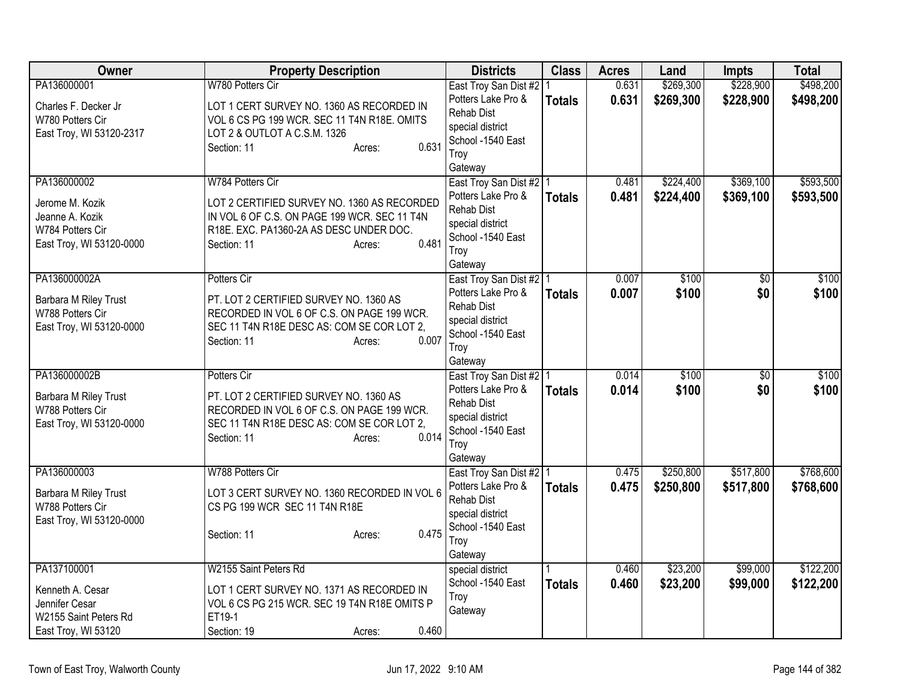| <b>Owner</b>                                                                       | <b>Property Description</b>                                                                                                                                              | <b>Districts</b>                                                                                    | <b>Class</b>  | <b>Acres</b>   | Land                   | <b>Impts</b>           | <b>Total</b>           |
|------------------------------------------------------------------------------------|--------------------------------------------------------------------------------------------------------------------------------------------------------------------------|-----------------------------------------------------------------------------------------------------|---------------|----------------|------------------------|------------------------|------------------------|
| PA136000001<br>Charles F. Decker Jr                                                | W780 Potters Cir<br>LOT 1 CERT SURVEY NO. 1360 AS RECORDED IN                                                                                                            | East Troy San Dist #2   1<br>Potters Lake Pro &<br><b>Rehab Dist</b>                                | <b>Totals</b> | 0.631<br>0.631 | \$269,300<br>\$269,300 | \$228,900<br>\$228,900 | \$498,200<br>\$498,200 |
| W780 Potters Cir<br>East Troy, WI 53120-2317                                       | VOL 6 CS PG 199 WCR. SEC 11 T4N R18E. OMITS<br>LOT 2 & OUTLOT A C.S.M. 1326<br>0.631<br>Section: 11<br>Acres:                                                            | special district<br>School -1540 East<br>Troy<br>Gateway                                            |               |                |                        |                        |                        |
| PA136000002                                                                        | W784 Potters Cir                                                                                                                                                         | East Troy San Dist #2   1                                                                           |               | 0.481          | \$224,400              | \$369,100              | \$593,500              |
| Jerome M. Kozik<br>Jeanne A. Kozik<br>W784 Potters Cir<br>East Troy, WI 53120-0000 | LOT 2 CERTIFIED SURVEY NO. 1360 AS RECORDED<br>IN VOL 6 OF C.S. ON PAGE 199 WCR. SEC 11 T4N<br>R18E. EXC. PA1360-2A AS DESC UNDER DOC.<br>0.481<br>Section: 11<br>Acres: | Potters Lake Pro &<br><b>Rehab Dist</b><br>special district<br>School -1540 East<br>Troy<br>Gateway | <b>Totals</b> | 0.481          | \$224,400              | \$369,100              | \$593,500              |
| PA136000002A                                                                       | Potters Cir                                                                                                                                                              | East Troy San Dist #2 1                                                                             |               | 0.007          | \$100                  | \$0                    | \$100                  |
| Barbara M Riley Trust<br>W788 Potters Cir<br>East Troy, WI 53120-0000              | PT. LOT 2 CERTIFIED SURVEY NO. 1360 AS<br>RECORDED IN VOL 6 OF C.S. ON PAGE 199 WCR.<br>SEC 11 T4N R18E DESC AS: COM SE COR LOT 2,<br>0.007<br>Section: 11<br>Acres:     | Potters Lake Pro &<br><b>Rehab Dist</b><br>special district<br>School -1540 East<br>Troy<br>Gateway | <b>Totals</b> | 0.007          | \$100                  | \$0                    | \$100                  |
| PA136000002B                                                                       | Potters Cir                                                                                                                                                              | East Troy San Dist #2   1                                                                           |               | 0.014          | \$100                  | $\overline{30}$        | \$100                  |
| Barbara M Riley Trust<br>W788 Potters Cir<br>East Troy, WI 53120-0000              | PT. LOT 2 CERTIFIED SURVEY NO. 1360 AS<br>RECORDED IN VOL 6 OF C.S. ON PAGE 199 WCR.<br>SEC 11 T4N R18E DESC AS: COM SE COR LOT 2,<br>0.014<br>Section: 11<br>Acres:     | Potters Lake Pro &<br>Rehab Dist<br>special district<br>School -1540 East<br>Troy<br>Gateway        | <b>Totals</b> | 0.014          | \$100                  | \$0                    | \$100                  |
| PA136000003                                                                        | W788 Potters Cir                                                                                                                                                         | East Troy San Dist #2   1                                                                           |               | 0.475          | \$250,800              | \$517,800              | \$768,600              |
| Barbara M Riley Trust<br>W788 Potters Cir<br>East Troy, WI 53120-0000              | LOT 3 CERT SURVEY NO. 1360 RECORDED IN VOL 6<br>CS PG 199 WCR SEC 11 T4N R18E<br>0.475<br>Section: 11<br>Acres:                                                          | Potters Lake Pro &<br><b>Rehab Dist</b><br>special district<br>School -1540 East<br>Troy<br>Gateway | <b>Totals</b> | 0.475          | \$250,800              | \$517,800              | \$768,600              |
| PA137100001                                                                        | W2155 Saint Peters Rd                                                                                                                                                    | special district                                                                                    |               | 0.460          | \$23,200               | \$99,000               | \$122,200              |
| Kenneth A. Cesar<br>Jennifer Cesar<br>W2155 Saint Peters Rd                        | LOT 1 CERT SURVEY NO. 1371 AS RECORDED IN<br>VOL 6 CS PG 215 WCR. SEC 19 T4N R18E OMITS P<br>ET19-1                                                                      | School -1540 East<br>Troy<br>Gateway                                                                | <b>Totals</b> | 0.460          | \$23,200               | \$99,000               | \$122,200              |
| East Troy, WI 53120                                                                | 0.460<br>Section: 19<br>Acres:                                                                                                                                           |                                                                                                     |               |                |                        |                        |                        |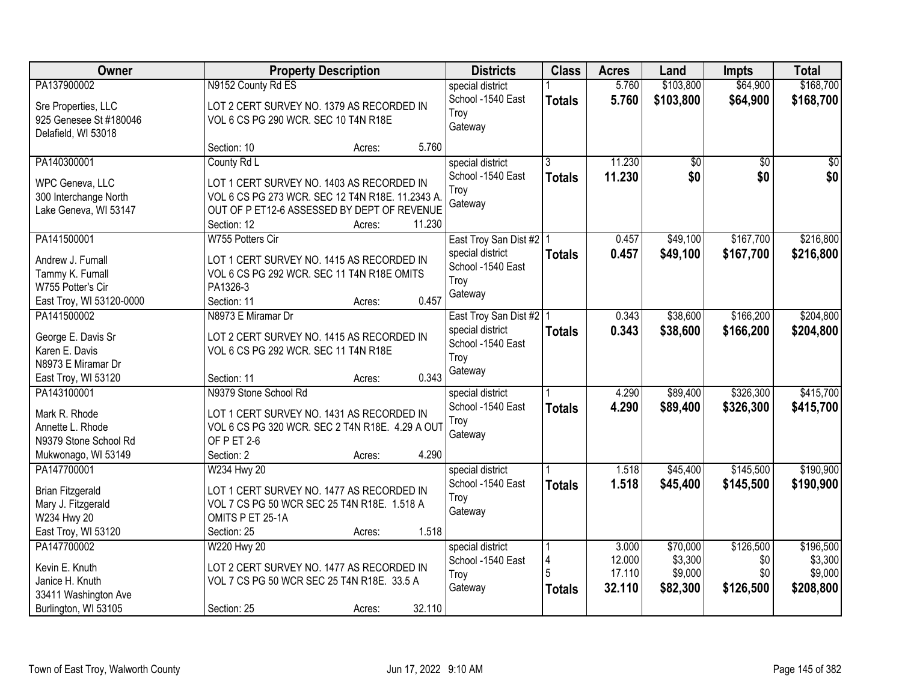| Owner                                |                                                        | <b>Property Description</b> |        | <b>Districts</b>                      | <b>Class</b>  | <b>Acres</b> | Land            | <b>Impts</b>    | <b>Total</b>    |
|--------------------------------------|--------------------------------------------------------|-----------------------------|--------|---------------------------------------|---------------|--------------|-----------------|-----------------|-----------------|
| PA137900002                          | N9152 County Rd ES                                     |                             |        | special district                      |               | 5.760        | \$103,800       | \$64,900        | \$168,700       |
| Sre Properties, LLC                  | LOT 2 CERT SURVEY NO. 1379 AS RECORDED IN              |                             |        | School -1540 East                     | <b>Totals</b> | 5.760        | \$103,800       | \$64,900        | \$168,700       |
| 925 Genesee St #180046               | VOL 6 CS PG 290 WCR. SEC 10 T4N R18E                   |                             |        | Troy                                  |               |              |                 |                 |                 |
| Delafield, WI 53018                  |                                                        |                             |        | Gateway                               |               |              |                 |                 |                 |
|                                      | Section: 10                                            | Acres:                      | 5.760  |                                       |               |              |                 |                 |                 |
| PA140300001                          | County Rd L                                            |                             |        | special district                      | 3             | 11.230       | $\overline{50}$ | $\overline{30}$ | $\overline{50}$ |
| WPC Geneva, LLC                      | LOT 1 CERT SURVEY NO. 1403 AS RECORDED IN              |                             |        | School -1540 East                     | <b>Totals</b> | 11.230       | \$0             | \$0             | \$0             |
| 300 Interchange North                | VOL 6 CS PG 273 WCR. SEC 12 T4N R18E. 11.2343 A.       |                             |        | Troy                                  |               |              |                 |                 |                 |
| Lake Geneva, WI 53147                | OUT OF P ET12-6 ASSESSED BY DEPT OF REVENUE            |                             |        | Gateway                               |               |              |                 |                 |                 |
|                                      | Section: 12                                            | Acres:                      | 11.230 |                                       |               |              |                 |                 |                 |
| PA141500001                          | W755 Potters Cir                                       |                             |        | East Troy San Dist #2   1             |               | 0.457        | \$49,100        | \$167,700       | \$216,800       |
|                                      |                                                        |                             |        | special district                      | <b>Totals</b> | 0.457        | \$49,100        | \$167,700       | \$216,800       |
| Andrew J. Fumall                     | LOT 1 CERT SURVEY NO. 1415 AS RECORDED IN              |                             |        | School -1540 East                     |               |              |                 |                 |                 |
| Tammy K. Fumall<br>W755 Potter's Cir | VOL 6 CS PG 292 WCR. SEC 11 T4N R18E OMITS<br>PA1326-3 |                             |        | Troy                                  |               |              |                 |                 |                 |
| East Troy, WI 53120-0000             | Section: 11                                            | Acres:                      | 0.457  | Gateway                               |               |              |                 |                 |                 |
| PA141500002                          | N8973 E Miramar Dr                                     |                             |        |                                       |               | 0.343        | \$38,600        | \$166,200       | \$204,800       |
|                                      |                                                        |                             |        | East Troy San Dist #2   1             |               |              |                 |                 |                 |
| George E. Davis Sr                   | LOT 2 CERT SURVEY NO. 1415 AS RECORDED IN              |                             |        | special district<br>School -1540 East | <b>Totals</b> | 0.343        | \$38,600        | \$166,200       | \$204,800       |
| Karen E. Davis                       | VOL 6 CS PG 292 WCR. SEC 11 T4N R18E                   |                             |        |                                       |               |              |                 |                 |                 |
| N8973 E Miramar Dr                   |                                                        |                             |        | Troy<br>Gateway                       |               |              |                 |                 |                 |
| East Troy, WI 53120                  | Section: 11                                            | Acres:                      | 0.343  |                                       |               |              |                 |                 |                 |
| PA143100001                          | N9379 Stone School Rd                                  |                             |        | special district                      |               | 4.290        | \$89,400        | \$326,300       | \$415,700       |
| Mark R. Rhode                        | LOT 1 CERT SURVEY NO. 1431 AS RECORDED IN              |                             |        | School -1540 East                     | <b>Totals</b> | 4.290        | \$89,400        | \$326,300       | \$415,700       |
| Annette L. Rhode                     | VOL 6 CS PG 320 WCR. SEC 2 T4N R18E. 4.29 A OUT        |                             |        | Troy                                  |               |              |                 |                 |                 |
| N9379 Stone School Rd                | OF PET 2-6                                             |                             |        | Gateway                               |               |              |                 |                 |                 |
| Mukwonago, WI 53149                  | Section: 2                                             | Acres:                      | 4.290  |                                       |               |              |                 |                 |                 |
| PA147700001                          | W234 Hwy 20                                            |                             |        | special district                      |               | 1.518        | \$45,400        | \$145,500       | \$190,900       |
|                                      |                                                        |                             |        | School -1540 East                     | <b>Totals</b> | 1.518        | \$45,400        | \$145,500       | \$190,900       |
| <b>Brian Fitzgerald</b>              | LOT 1 CERT SURVEY NO. 1477 AS RECORDED IN              |                             |        | Troy                                  |               |              |                 |                 |                 |
| Mary J. Fitzgerald                   | VOL 7 CS PG 50 WCR SEC 25 T4N R18E. 1.518 A            |                             |        | Gateway                               |               |              |                 |                 |                 |
| W234 Hwy 20                          | OMITS P ET 25-1A                                       |                             |        |                                       |               |              |                 |                 |                 |
| East Troy, WI 53120                  | Section: 25                                            | Acres:                      | 1.518  |                                       |               |              |                 |                 |                 |
| PA147700002                          | W220 Hwy 20                                            |                             |        | special district                      |               | 3.000        | \$70,000        | \$126,500       | \$196,500       |
| Kevin E. Knuth                       | LOT 2 CERT SURVEY NO. 1477 AS RECORDED IN              |                             |        | School -1540 East                     | 4             | 12.000       | \$3,300         | \$0             | \$3,300         |
| Janice H. Knuth                      | VOL 7 CS PG 50 WCR SEC 25 T4N R18E. 33.5 A             |                             |        | Troy                                  |               | 17.110       | \$9,000         | \$0             | \$9,000         |
| 33411 Washington Ave                 |                                                        |                             |        | Gateway                               | <b>Totals</b> | 32.110       | \$82,300        | \$126,500       | \$208,800       |
| Burlington, WI 53105                 | Section: 25                                            | Acres:                      | 32.110 |                                       |               |              |                 |                 |                 |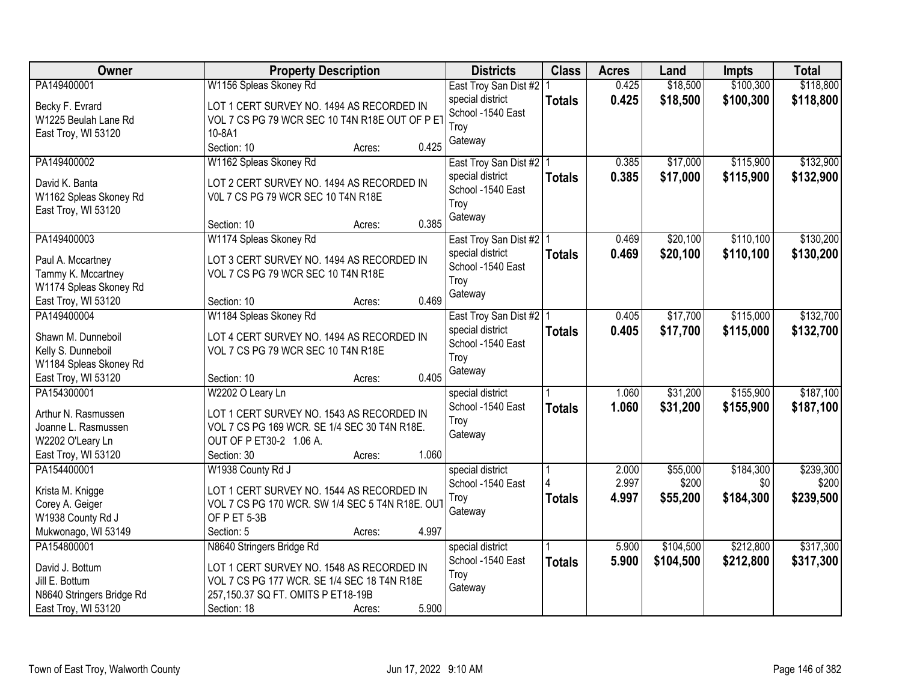| Owner                     | <b>Property Description</b>                     | <b>Districts</b>                      | <b>Class</b>  | <b>Acres</b> | Land      | Impts     | <b>Total</b> |
|---------------------------|-------------------------------------------------|---------------------------------------|---------------|--------------|-----------|-----------|--------------|
| PA149400001               | W1156 Spleas Skoney Rd                          | East Troy San Dist #2   1             |               | 0.425        | \$18,500  | \$100,300 | \$118,800    |
| Becky F. Evrard           | LOT 1 CERT SURVEY NO. 1494 AS RECORDED IN       | special district<br>School -1540 East | <b>Totals</b> | 0.425        | \$18,500  | \$100,300 | \$118,800    |
| W1225 Beulah Lane Rd      | VOL 7 CS PG 79 WCR SEC 10 T4N R18E OUT OF P ET  |                                       |               |              |           |           |              |
| East Troy, WI 53120       | 10-8A1                                          | Troy                                  |               |              |           |           |              |
|                           | 0.425<br>Section: 10<br>Acres:                  | Gateway                               |               |              |           |           |              |
| PA149400002               | W1162 Spleas Skoney Rd                          | East Troy San Dist #2   1             |               | 0.385        | \$17,000  | \$115,900 | \$132,900    |
| David K. Banta            | LOT 2 CERT SURVEY NO. 1494 AS RECORDED IN       | special district                      | <b>Totals</b> | 0.385        | \$17,000  | \$115,900 | \$132,900    |
| W1162 Spleas Skoney Rd    | VOL 7 CS PG 79 WCR SEC 10 T4N R18E              | School -1540 East                     |               |              |           |           |              |
| East Troy, WI 53120       |                                                 | Troy                                  |               |              |           |           |              |
|                           | 0.385<br>Section: 10<br>Acres:                  | Gateway                               |               |              |           |           |              |
| PA149400003               | W1174 Spleas Skoney Rd                          | East Troy San Dist #2   1             |               | 0.469        | \$20,100  | \$110,100 | \$130,200    |
| Paul A. Mccartney         | LOT 3 CERT SURVEY NO. 1494 AS RECORDED IN       | special district                      | <b>Totals</b> | 0.469        | \$20,100  | \$110,100 | \$130,200    |
| Tammy K. Mccartney        | VOL 7 CS PG 79 WCR SEC 10 T4N R18E              | School -1540 East                     |               |              |           |           |              |
| W1174 Spleas Skoney Rd    |                                                 | Troy                                  |               |              |           |           |              |
| East Troy, WI 53120       | 0.469<br>Section: 10<br>Acres:                  | Gateway                               |               |              |           |           |              |
| PA149400004               | W1184 Spleas Skoney Rd                          | East Troy San Dist #2   1             |               | 0.405        | \$17,700  | \$115,000 | \$132,700    |
|                           |                                                 | special district                      |               | 0.405        | \$17,700  |           |              |
| Shawn M. Dunneboil        | LOT 4 CERT SURVEY NO. 1494 AS RECORDED IN       | School -1540 East                     | <b>Totals</b> |              |           | \$115,000 | \$132,700    |
| Kelly S. Dunneboil        | VOL 7 CS PG 79 WCR SEC 10 T4N R18E              | Troy                                  |               |              |           |           |              |
| W1184 Spleas Skoney Rd    |                                                 | Gateway                               |               |              |           |           |              |
| East Troy, WI 53120       | 0.405<br>Section: 10<br>Acres:                  |                                       |               |              |           |           |              |
| PA154300001               | W2202 O Leary Ln                                | special district                      |               | 1.060        | \$31,200  | \$155,900 | \$187,100    |
| Arthur N. Rasmussen       | LOT 1 CERT SURVEY NO. 1543 AS RECORDED IN       | School -1540 East                     | <b>Totals</b> | 1.060        | \$31,200  | \$155,900 | \$187,100    |
| Joanne L. Rasmussen       | VOL 7 CS PG 169 WCR. SE 1/4 SEC 30 T4N R18E.    | Troy                                  |               |              |           |           |              |
| W2202 O'Leary Ln          | OUT OF P ET30-2 1.06 A.                         | Gateway                               |               |              |           |           |              |
| East Troy, WI 53120       | 1.060<br>Section: 30<br>Acres:                  |                                       |               |              |           |           |              |
| PA154400001               | W1938 County Rd J                               | special district                      |               | 2.000        | \$55,000  | \$184,300 | \$239,300    |
|                           |                                                 | School -1540 East                     |               | 2.997        | \$200     | \$0       | \$200        |
| Krista M. Knigge          | LOT 1 CERT SURVEY NO. 1544 AS RECORDED IN       | Troy                                  | <b>Totals</b> | 4.997        | \$55,200  | \$184,300 | \$239,500    |
| Corey A. Geiger           | VOL 7 CS PG 170 WCR. SW 1/4 SEC 5 T4N R18E. OUT | Gateway                               |               |              |           |           |              |
| W1938 County Rd J         | OF P ET 5-3B                                    |                                       |               |              |           |           |              |
| Mukwonago, WI 53149       | 4.997<br>Section: 5<br>Acres:                   |                                       |               |              |           |           |              |
| PA154800001               | N8640 Stringers Bridge Rd                       | special district                      |               | 5.900        | \$104,500 | \$212,800 | \$317,300    |
| David J. Bottum           | LOT 1 CERT SURVEY NO. 1548 AS RECORDED IN       | School -1540 East                     | <b>Totals</b> | 5.900        | \$104,500 | \$212,800 | \$317,300    |
| Jill E. Bottum            | VOL 7 CS PG 177 WCR. SE 1/4 SEC 18 T4N R18E     | Troy                                  |               |              |           |           |              |
| N8640 Stringers Bridge Rd | 257,150.37 SQ FT. OMITS P ET18-19B              | Gateway                               |               |              |           |           |              |
| East Troy, WI 53120       | 5.900<br>Section: 18<br>Acres:                  |                                       |               |              |           |           |              |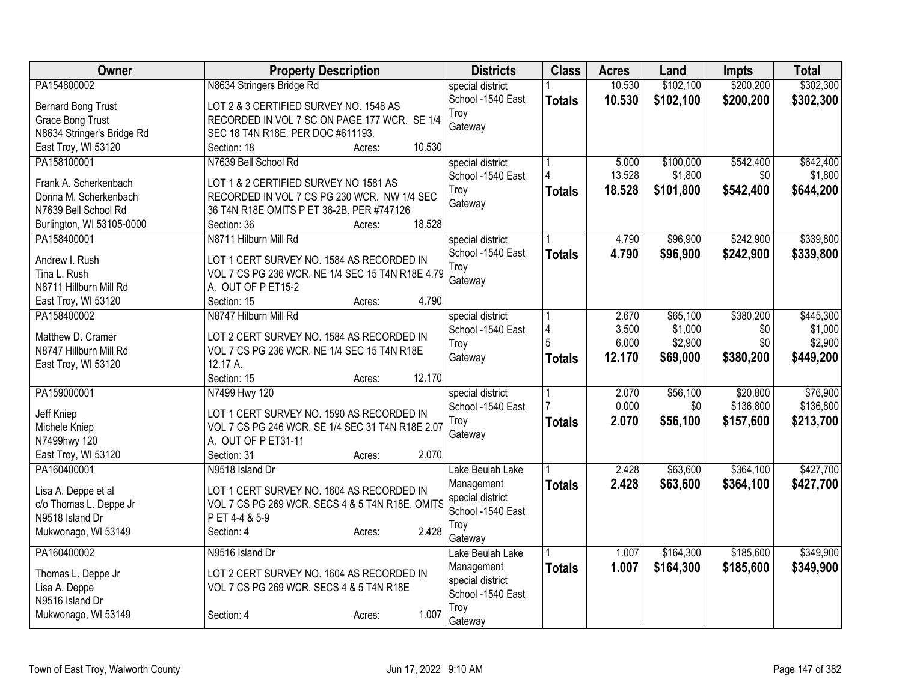| Owner                                         | <b>Property Description</b>                      | <b>Districts</b>  | <b>Class</b>  | <b>Acres</b> | Land      | <b>Impts</b> | <b>Total</b> |
|-----------------------------------------------|--------------------------------------------------|-------------------|---------------|--------------|-----------|--------------|--------------|
| PA154800002                                   | N8634 Stringers Bridge Rd                        | special district  |               | 10.530       | \$102,100 | \$200,200    | \$302,300    |
| <b>Bernard Bong Trust</b>                     | LOT 2 & 3 CERTIFIED SURVEY NO. 1548 AS           | School -1540 East | <b>Totals</b> | 10.530       | \$102,100 | \$200,200    | \$302,300    |
| <b>Grace Bong Trust</b>                       | RECORDED IN VOL 7 SC ON PAGE 177 WCR. SE 1/4     | Troy              |               |              |           |              |              |
| N8634 Stringer's Bridge Rd                    | SEC 18 T4N R18E. PER DOC #611193.                | Gateway           |               |              |           |              |              |
| East Troy, WI 53120                           | 10.530<br>Section: 18<br>Acres:                  |                   |               |              |           |              |              |
| PA158100001                                   | N7639 Bell School Rd                             | special district  |               | 5.000        | \$100,000 | \$542,400    | \$642,400    |
|                                               |                                                  | School -1540 East |               | 13.528       | \$1,800   | \$0          | \$1,800      |
| Frank A. Scherkenbach                         | LOT 1 & 2 CERTIFIED SURVEY NO 1581 AS            | Troy              | <b>Totals</b> | 18.528       | \$101,800 | \$542,400    | \$644,200    |
| Donna M. Scherkenbach                         | RECORDED IN VOL 7 CS PG 230 WCR. NW 1/4 SEC      | Gateway           |               |              |           |              |              |
| N7639 Bell School Rd                          | 36 T4N R18E OMITS P ET 36-2B. PER #747126        |                   |               |              |           |              |              |
| Burlington, WI 53105-0000                     | 18.528<br>Section: 36<br>Acres:                  |                   |               |              |           |              |              |
| PA158400001                                   | N8711 Hilburn Mill Rd                            | special district  |               | 4.790        | \$96,900  | \$242,900    | \$339,800    |
| Andrew I. Rush                                | LOT 1 CERT SURVEY NO. 1584 AS RECORDED IN        | School -1540 East | <b>Totals</b> | 4.790        | \$96,900  | \$242,900    | \$339,800    |
| Tina L. Rush                                  | VOL 7 CS PG 236 WCR. NE 1/4 SEC 15 T4N R18E 4.79 | Troy              |               |              |           |              |              |
| N8711 Hillburn Mill Rd                        | A. OUT OF P ET15-2                               | Gateway           |               |              |           |              |              |
| East Troy, WI 53120                           | 4.790<br>Section: 15<br>Acres:                   |                   |               |              |           |              |              |
| PA158400002                                   | N8747 Hilburn Mill Rd                            | special district  |               | 2.670        | \$65,100  | \$380,200    | \$445,300    |
|                                               |                                                  | School -1540 East | 4             | 3.500        | \$1,000   | \$0          | \$1,000      |
| Matthew D. Cramer                             | LOT 2 CERT SURVEY NO. 1584 AS RECORDED IN        | Troy              | 5             | 6.000        | \$2,900   | \$0          | \$2,900      |
| N8747 Hillburn Mill Rd                        | VOL 7 CS PG 236 WCR. NE 1/4 SEC 15 T4N R18E      | Gateway           | <b>Totals</b> | 12.170       | \$69,000  | \$380,200    | \$449,200    |
| East Troy, WI 53120                           | 12.17 A.                                         |                   |               |              |           |              |              |
|                                               | 12.170<br>Section: 15<br>Acres:                  |                   |               |              |           |              |              |
| PA159000001                                   | N7499 Hwy 120                                    | special district  |               | 2.070        | \$56,100  | \$20,800     | \$76,900     |
| Jeff Kniep                                    | LOT 1 CERT SURVEY NO. 1590 AS RECORDED IN        | School -1540 East |               | 0.000        | \$0       | \$136,800    | \$136,800    |
| Michele Kniep                                 | VOL 7 CS PG 246 WCR. SE 1/4 SEC 31 T4N R18E 2.07 | Troy              | <b>Totals</b> | 2.070        | \$56,100  | \$157,600    | \$213,700    |
| N7499hwy 120                                  | A. OUT OF P ET31-11                              | Gateway           |               |              |           |              |              |
| East Troy, WI 53120                           | 2.070<br>Section: 31<br>Acres:                   |                   |               |              |           |              |              |
| PA160400001                                   | N9518 Island Dr                                  | Lake Beulah Lake  |               | 2.428        | \$63,600  | \$364,100    | \$427,700    |
|                                               | LOT 1 CERT SURVEY NO. 1604 AS RECORDED IN        | Management        | <b>Totals</b> | 2.428        | \$63,600  | \$364,100    | \$427,700    |
| Lisa A. Deppe et al<br>c/o Thomas L. Deppe Jr | VOL 7 CS PG 269 WCR. SECS 4 & 5 T4N R18E. OMITS  | special district  |               |              |           |              |              |
| N9518 Island Dr                               | PET 4-4 & 5-9                                    | School -1540 East |               |              |           |              |              |
| Mukwonago, WI 53149                           | 2.428<br>Section: 4<br>Acres:                    | Troy              |               |              |           |              |              |
|                                               |                                                  | Gateway           |               |              |           |              |              |
| PA160400002                                   | N9516 Island Dr                                  | Lake Beulah Lake  |               | 1.007        | \$164,300 | \$185,600    | \$349,900    |
| Thomas L. Deppe Jr                            | LOT 2 CERT SURVEY NO. 1604 AS RECORDED IN        | Management        | <b>Totals</b> | 1.007        | \$164,300 | \$185,600    | \$349,900    |
| Lisa A. Deppe                                 | VOL 7 CS PG 269 WCR. SECS 4 & 5 T4N R18E         | special district  |               |              |           |              |              |
| N9516 Island Dr                               |                                                  | School -1540 East |               |              |           |              |              |
| Mukwonago, WI 53149                           | 1.007<br>Section: 4<br>Acres:                    | Troy              |               |              |           |              |              |
|                                               |                                                  | Gateway           |               |              |           |              |              |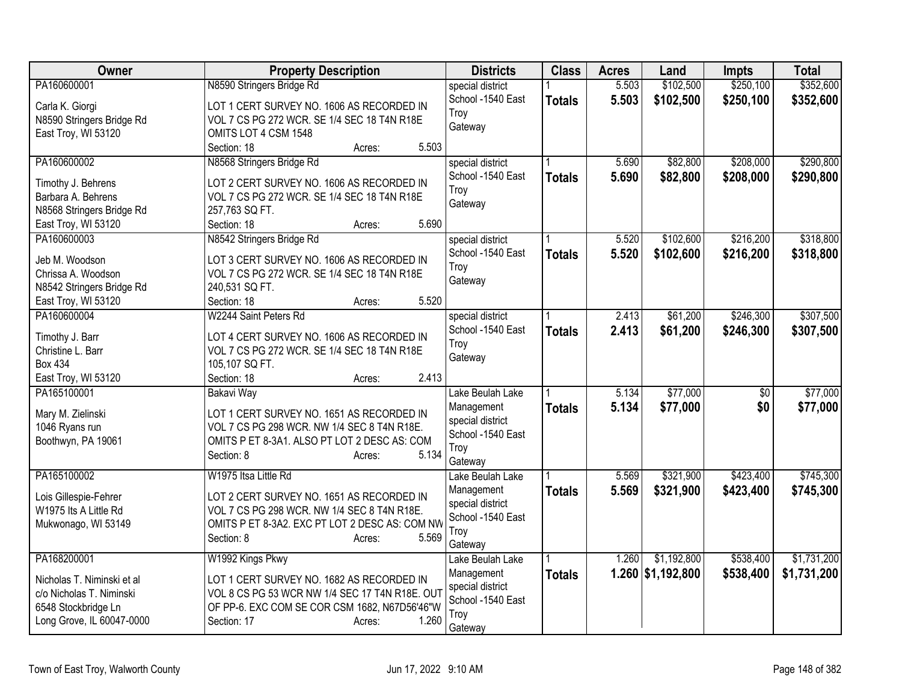| <b>Owner</b>               | <b>Property Description</b>                             | <b>Districts</b>  | <b>Class</b>  | <b>Acres</b> | Land              | <b>Impts</b> | <b>Total</b> |
|----------------------------|---------------------------------------------------------|-------------------|---------------|--------------|-------------------|--------------|--------------|
| PA160600001                | N8590 Stringers Bridge Rd                               | special district  |               | 5.503        | \$102,500         | \$250,100    | \$352,600    |
| Carla K. Giorgi            | LOT 1 CERT SURVEY NO. 1606 AS RECORDED IN               | School -1540 East | <b>Totals</b> | 5.503        | \$102,500         | \$250,100    | \$352,600    |
| N8590 Stringers Bridge Rd  | VOL 7 CS PG 272 WCR. SE 1/4 SEC 18 T4N R18E             | Troy              |               |              |                   |              |              |
| East Troy, WI 53120        | OMITS LOT 4 CSM 1548                                    | Gateway           |               |              |                   |              |              |
|                            | 5.503<br>Section: 18<br>Acres:                          |                   |               |              |                   |              |              |
| PA160600002                | N8568 Stringers Bridge Rd                               | special district  |               | 5.690        | \$82,800          | \$208,000    | \$290,800    |
|                            |                                                         | School -1540 East | <b>Totals</b> | 5.690        | \$82,800          | \$208,000    | \$290,800    |
| Timothy J. Behrens         | LOT 2 CERT SURVEY NO. 1606 AS RECORDED IN               | Troy              |               |              |                   |              |              |
| Barbara A. Behrens         | VOL 7 CS PG 272 WCR. SE 1/4 SEC 18 T4N R18E             | Gateway           |               |              |                   |              |              |
| N8568 Stringers Bridge Rd  | 257,763 SQ FT.                                          |                   |               |              |                   |              |              |
| East Troy, WI 53120        | 5.690<br>Section: 18<br>Acres:                          |                   |               |              |                   |              |              |
| PA160600003                | N8542 Stringers Bridge Rd                               | special district  |               | 5.520        | \$102,600         | \$216,200    | \$318,800    |
| Jeb M. Woodson             | LOT 3 CERT SURVEY NO. 1606 AS RECORDED IN               | School -1540 East | <b>Totals</b> | 5.520        | \$102,600         | \$216,200    | \$318,800    |
| Chrissa A. Woodson         | VOL 7 CS PG 272 WCR. SE 1/4 SEC 18 T4N R18E             | Troy              |               |              |                   |              |              |
| N8542 Stringers Bridge Rd  | 240,531 SQ FT.                                          | Gateway           |               |              |                   |              |              |
| East Troy, WI 53120        | 5.520<br>Section: 18<br>Acres:                          |                   |               |              |                   |              |              |
| PA160600004                | W2244 Saint Peters Rd                                   | special district  |               | 2.413        | \$61,200          | \$246,300    | \$307,500    |
|                            |                                                         | School -1540 East | <b>Totals</b> | 2.413        | \$61,200          | \$246,300    | \$307,500    |
| Timothy J. Barr            | LOT 4 CERT SURVEY NO. 1606 AS RECORDED IN               | Troy              |               |              |                   |              |              |
| Christine L. Barr          | VOL 7 CS PG 272 WCR. SE 1/4 SEC 18 T4N R18E             | Gateway           |               |              |                   |              |              |
| <b>Box 434</b>             | 105,107 SQ FT.                                          |                   |               |              |                   |              |              |
| East Troy, WI 53120        | 2.413<br>Section: 18<br>Acres:                          |                   |               |              |                   |              |              |
| PA165100001                | Bakavi Way                                              | Lake Beulah Lake  |               | 5.134        | \$77,000          | \$0          | \$77,000     |
| Mary M. Zielinski          | LOT 1 CERT SURVEY NO. 1651 AS RECORDED IN               | Management        | <b>Totals</b> | 5.134        | \$77,000          | \$0          | \$77,000     |
| 1046 Ryans run             | VOL 7 CS PG 298 WCR. NW 1/4 SEC 8 T4N R18E.             | special district  |               |              |                   |              |              |
| Boothwyn, PA 19061         | OMITS P ET 8-3A1. ALSO PT LOT 2 DESC AS: COM            | School -1540 East |               |              |                   |              |              |
|                            | 5.134<br>Section: 8<br>Acres:                           | Troy              |               |              |                   |              |              |
|                            |                                                         | Gateway           |               |              |                   |              |              |
| PA165100002                | W1975 Itsa Little Rd                                    | Lake Beulah Lake  |               | 5.569        | \$321,900         | \$423,400    | \$745,300    |
| Lois Gillespie-Fehrer      | LOT 2 CERT SURVEY NO. 1651 AS RECORDED IN               | Management        | <b>Totals</b> | 5.569        | \$321,900         | \$423,400    | \$745,300    |
| W1975 Its A Little Rd      | VOL 7 CS PG 298 WCR. NW 1/4 SEC 8 T4N R18E.             | special district  |               |              |                   |              |              |
|                            |                                                         | School -1540 East |               |              |                   |              |              |
| Mukwonago, WI 53149        | OMITS P ET 8-3A2. EXC PT LOT 2 DESC AS: COM NW<br>5.569 | Troy              |               |              |                   |              |              |
|                            | Section: 8<br>Acres:                                    | Gateway           |               |              |                   |              |              |
| PA168200001                | W1992 Kings Pkwy                                        | Lake Beulah Lake  |               | 1.260        | \$1,192,800       | \$538,400    | \$1,731,200  |
|                            |                                                         | Management        | <b>Totals</b> |              | 1.260 \$1,192,800 | \$538,400    | \$1,731,200  |
| Nicholas T. Niminski et al | LOT 1 CERT SURVEY NO. 1682 AS RECORDED IN               | special district  |               |              |                   |              |              |
| c/o Nicholas T. Niminski   | VOL 8 CS PG 53 WCR NW 1/4 SEC 17 T4N R18E. OUT          | School -1540 East |               |              |                   |              |              |
| 6548 Stockbridge Ln        | OF PP-6. EXC COM SE COR CSM 1682, N67D56'46"W           | Troy              |               |              |                   |              |              |
| Long Grove, IL 60047-0000  | Section: 17<br>1.260<br>Acres:                          | Gateway           |               |              |                   |              |              |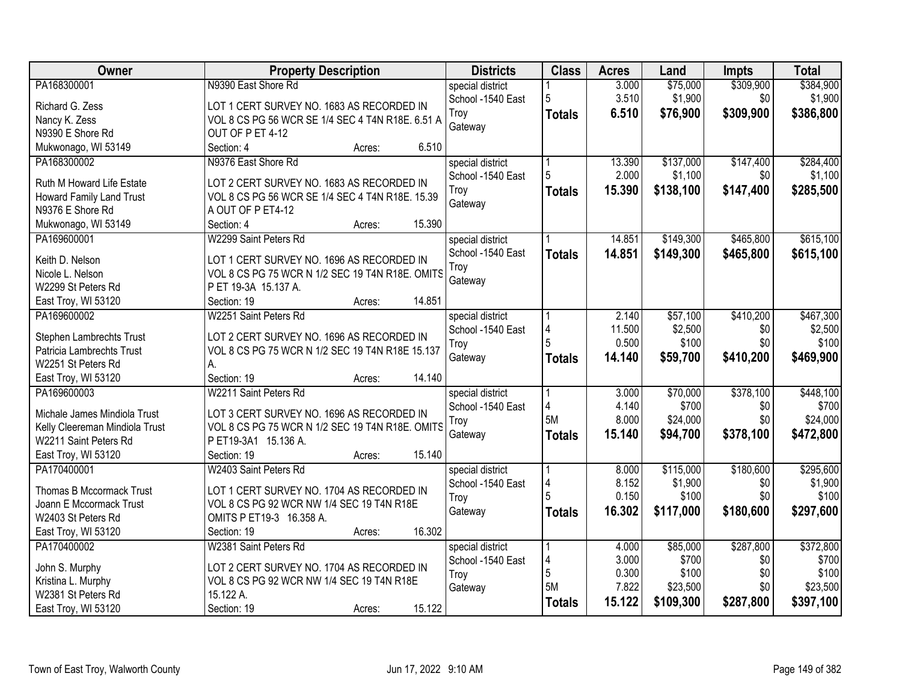| Owner                                                   | <b>Property Description</b>                      | <b>Districts</b>                      | <b>Class</b>  | <b>Acres</b> | Land      | <b>Impts</b> | <b>Total</b> |
|---------------------------------------------------------|--------------------------------------------------|---------------------------------------|---------------|--------------|-----------|--------------|--------------|
| PA168300001                                             | N9390 East Shore Rd                              | special district                      |               | 3.000        | \$75,000  | \$309,900    | \$384,900    |
| Richard G. Zess                                         | LOT 1 CERT SURVEY NO. 1683 AS RECORDED IN        | School -1540 East                     | 5             | 3.510        | \$1,900   | \$0          | \$1,900      |
| Nancy K. Zess                                           | VOL 8 CS PG 56 WCR SE 1/4 SEC 4 T4N R18E. 6.51 A | Troy                                  | <b>Totals</b> | 6.510        | \$76,900  | \$309,900    | \$386,800    |
| N9390 E Shore Rd                                        | OUT OF P ET 4-12                                 | Gateway                               |               |              |           |              |              |
| Mukwonago, WI 53149                                     | 6.510<br>Section: 4<br>Acres:                    |                                       |               |              |           |              |              |
| PA168300002                                             | N9376 East Shore Rd                              | special district                      |               | 13.390       | \$137,000 | \$147,400    | \$284,400    |
|                                                         |                                                  | School -1540 East                     | 5             | 2.000        | \$1,100   | \$0          | \$1,100      |
| Ruth M Howard Life Estate                               | LOT 2 CERT SURVEY NO. 1683 AS RECORDED IN        | Troy                                  | <b>Totals</b> | 15.390       | \$138,100 | \$147,400    | \$285,500    |
| Howard Family Land Trust                                | VOL 8 CS PG 56 WCR SE 1/4 SEC 4 T4N R18E. 15.39  | Gateway                               |               |              |           |              |              |
| N9376 E Shore Rd                                        | A OUT OF P ET4-12                                |                                       |               |              |           |              |              |
| Mukwonago, WI 53149                                     | 15.390<br>Section: 4<br>Acres:                   |                                       |               |              |           |              |              |
| PA169600001                                             | W2299 Saint Peters Rd                            | special district                      |               | 14.851       | \$149,300 | \$465,800    | \$615,100    |
| Keith D. Nelson                                         | LOT 1 CERT SURVEY NO. 1696 AS RECORDED IN        | School -1540 East                     | <b>Totals</b> | 14.851       | \$149,300 | \$465,800    | \$615,100    |
| Nicole L. Nelson                                        | VOL 8 CS PG 75 WCR N 1/2 SEC 19 T4N R18E. OMITS  | Troy                                  |               |              |           |              |              |
| W2299 St Peters Rd                                      | P ET 19-3A 15.137 A.                             | Gateway                               |               |              |           |              |              |
| East Troy, WI 53120                                     | 14.851<br>Section: 19<br>Acres:                  |                                       |               |              |           |              |              |
| PA169600002                                             | W2251 Saint Peters Rd                            | special district                      |               | 2.140        | \$57,100  | \$410,200    | \$467,300    |
|                                                         |                                                  | School -1540 East                     | 4             | 11.500       | \$2,500   | \$0          | \$2,500      |
| Stephen Lambrechts Trust                                | LOT 2 CERT SURVEY NO. 1696 AS RECORDED IN        | Troy                                  | 5             | 0.500        | \$100     | \$0          | \$100        |
| Patricia Lambrechts Trust                               | VOL 8 CS PG 75 WCR N 1/2 SEC 19 T4N R18E 15.137  | Gateway                               |               | 14.140       | \$59,700  | \$410,200    | \$469,900    |
| W2251 St Peters Rd                                      | А.                                               |                                       | <b>Totals</b> |              |           |              |              |
| East Troy, WI 53120                                     | Section: 19<br>14.140<br>Acres:                  |                                       |               |              |           |              |              |
| PA169600003                                             | W2211 Saint Peters Rd                            | special district                      |               | 3.000        | \$70,000  | \$378,100    | \$448,100    |
| Michale James Mindiola Trust                            | LOT 3 CERT SURVEY NO. 1696 AS RECORDED IN        | School -1540 East                     | 4             | 4.140        | \$700     | \$0          | \$700        |
|                                                         | VOL 8 CS PG 75 WCR N 1/2 SEC 19 T4N R18E. OMITS  | Troy                                  | 5M            | 8.000        | \$24,000  | \$0          | \$24,000     |
| Kelly Cleereman Mindiola Trust<br>W2211 Saint Peters Rd | P ET19-3A1 15.136 A.                             | Gateway                               | <b>Totals</b> | 15.140       | \$94,700  | \$378,100    | \$472,800    |
| East Troy, WI 53120                                     | 15.140<br>Section: 19                            |                                       |               |              |           |              |              |
| PA170400001                                             | Acres:<br>W2403 Saint Peters Rd                  |                                       |               | 8.000        | \$115,000 | \$180,600    | \$295,600    |
|                                                         |                                                  | special district<br>School -1540 East | 4             | 8.152        | \$1,900   | \$0          | \$1,900      |
| Thomas B Mccormack Trust                                | LOT 1 CERT SURVEY NO. 1704 AS RECORDED IN        | Troy                                  |               | 0.150        | \$100     | \$0          | \$100        |
| Joann E Mccormack Trust                                 | VOL 8 CS PG 92 WCR NW 1/4 SEC 19 T4N R18E        | Gateway                               |               | 16.302       | \$117,000 | \$180,600    | \$297,600    |
| W2403 St Peters Rd                                      | OMITS P ET19-3 16.358 A.                         |                                       | <b>Totals</b> |              |           |              |              |
| East Troy, WI 53120                                     | 16.302<br>Section: 19<br>Acres:                  |                                       |               |              |           |              |              |
| PA170400002                                             | W2381 Saint Peters Rd                            | special district                      |               | 4.000        | \$85,000  | \$287,800    | \$372,800    |
| John S. Murphy                                          | LOT 2 CERT SURVEY NO. 1704 AS RECORDED IN        | School -1540 East                     | 4             | 3.000        | \$700     | \$0          | \$700        |
|                                                         | VOL 8 CS PG 92 WCR NW 1/4 SEC 19 T4N R18E        | Troy                                  | 5             | 0.300        | \$100     | \$0          | \$100        |
| Kristina L. Murphy<br>W2381 St Peters Rd                | 15.122 A.                                        | Gateway                               | 5M            | 7.822        | \$23,500  | \$0          | \$23,500     |
| East Troy, WI 53120                                     | 15.122<br>Section: 19                            |                                       | <b>Totals</b> | 15.122       | \$109,300 | \$287,800    | \$397,100    |
|                                                         | Acres:                                           |                                       |               |              |           |              |              |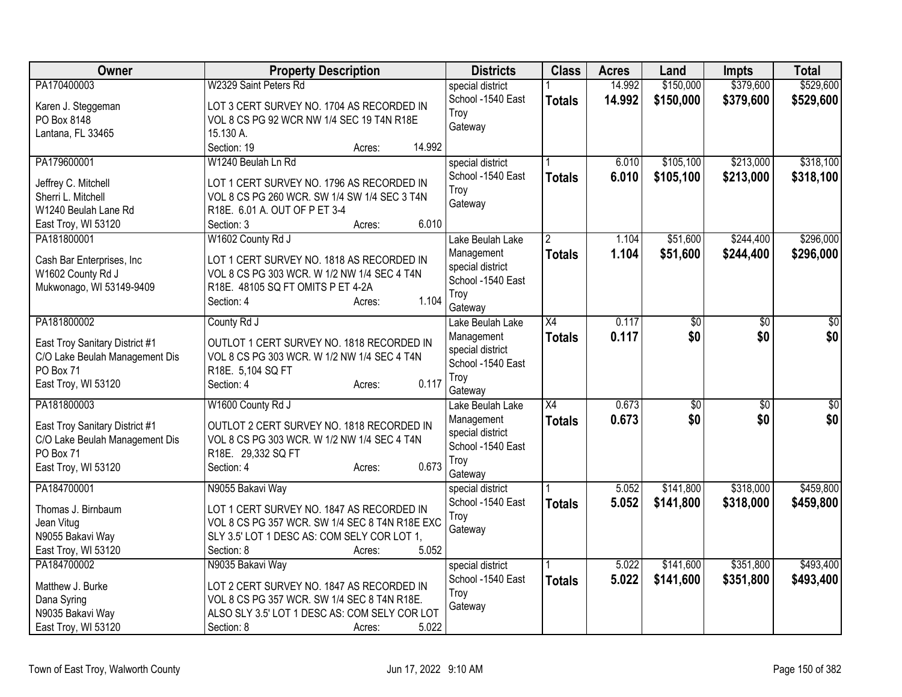| Owner                          | <b>Property Description</b>                              | <b>Districts</b>                      | <b>Class</b>    | <b>Acres</b> | Land            | <b>Impts</b>    | <b>Total</b> |
|--------------------------------|----------------------------------------------------------|---------------------------------------|-----------------|--------------|-----------------|-----------------|--------------|
| PA170400003                    | W2329 Saint Peters Rd                                    | special district                      |                 | 14.992       | \$150,000       | \$379,600       | \$529,600    |
| Karen J. Steggeman             | LOT 3 CERT SURVEY NO. 1704 AS RECORDED IN                | School -1540 East                     | <b>Totals</b>   | 14.992       | \$150,000       | \$379,600       | \$529,600    |
| PO Box 8148                    | VOL 8 CS PG 92 WCR NW 1/4 SEC 19 T4N R18E                | Troy                                  |                 |              |                 |                 |              |
| Lantana, FL 33465              | 15.130 A.                                                | Gateway                               |                 |              |                 |                 |              |
|                                | 14.992<br>Section: 19<br>Acres:                          |                                       |                 |              |                 |                 |              |
| PA179600001                    | W1240 Beulah Ln Rd                                       | special district                      |                 | 6.010        | \$105,100       | \$213,000       | \$318,100    |
| Jeffrey C. Mitchell            | LOT 1 CERT SURVEY NO. 1796 AS RECORDED IN                | School -1540 East                     | <b>Totals</b>   | 6.010        | \$105,100       | \$213,000       | \$318,100    |
| Sherri L. Mitchell             | VOL 8 CS PG 260 WCR. SW 1/4 SW 1/4 SEC 3 T4N             | Troy                                  |                 |              |                 |                 |              |
| W1240 Beulah Lane Rd           | R18E. 6.01 A. OUT OF P ET 3-4                            | Gateway                               |                 |              |                 |                 |              |
| East Troy, WI 53120            | 6.010<br>Section: 3<br>Acres:                            |                                       |                 |              |                 |                 |              |
| PA181800001                    | W1602 County Rd J                                        | Lake Beulah Lake                      | $\overline{2}$  | 1.104        | \$51,600        | \$244,400       | \$296,000    |
|                                |                                                          | Management                            | <b>Totals</b>   | 1.104        | \$51,600        | \$244,400       | \$296,000    |
| Cash Bar Enterprises, Inc      | LOT 1 CERT SURVEY NO. 1818 AS RECORDED IN                | special district                      |                 |              |                 |                 |              |
| W1602 County Rd J              | VOL 8 CS PG 303 WCR. W 1/2 NW 1/4 SEC 4 T4N              | School -1540 East                     |                 |              |                 |                 |              |
| Mukwonago, WI 53149-9409       | R18E. 48105 SQ FT OMITS P ET 4-2A<br>1.104<br>Section: 4 | Troy                                  |                 |              |                 |                 |              |
|                                | Acres:                                                   | Gateway                               |                 |              |                 |                 |              |
| PA181800002                    | County Rd J                                              | Lake Beulah Lake                      | X4              | 0.117        | $\overline{60}$ | $\overline{50}$ | \$0          |
| East Troy Sanitary District #1 | OUTLOT 1 CERT SURVEY NO. 1818 RECORDED IN                | Management                            | <b>Totals</b>   | 0.117        | \$0             | \$0             | \$0          |
| C/O Lake Beulah Management Dis | VOL 8 CS PG 303 WCR. W 1/2 NW 1/4 SEC 4 T4N              | special district                      |                 |              |                 |                 |              |
| PO Box 71                      | R18E. 5,104 SQ FT                                        | School -1540 East                     |                 |              |                 |                 |              |
| East Troy, WI 53120            | 0.117<br>Section: 4<br>Acres:                            | Troy                                  |                 |              |                 |                 |              |
|                                |                                                          | Gateway                               |                 |              |                 |                 |              |
| PA181800003                    | W1600 County Rd J                                        | Lake Beulah Lake                      | $\overline{X4}$ | 0.673        | $\overline{60}$ | $\overline{50}$ | \$0          |
| East Troy Sanitary District #1 | OUTLOT 2 CERT SURVEY NO. 1818 RECORDED IN                | Management                            | <b>Totals</b>   | 0.673        | \$0             | \$0             | \$0          |
| C/O Lake Beulah Management Dis | VOL 8 CS PG 303 WCR. W 1/2 NW 1/4 SEC 4 T4N              | special district<br>School -1540 East |                 |              |                 |                 |              |
| PO Box 71                      | R18E. 29,332 SQ FT                                       |                                       |                 |              |                 |                 |              |
| East Troy, WI 53120            | 0.673<br>Section: 4<br>Acres:                            | Troy<br>Gateway                       |                 |              |                 |                 |              |
| PA184700001                    | N9055 Bakavi Way                                         | special district                      |                 | 5.052        | \$141,800       | \$318,000       | \$459,800    |
|                                |                                                          | School -1540 East                     | <b>Totals</b>   | 5.052        | \$141,800       | \$318,000       | \$459,800    |
| Thomas J. Birnbaum             | LOT 1 CERT SURVEY NO. 1847 AS RECORDED IN                | Troy                                  |                 |              |                 |                 |              |
| Jean Vitug                     | VOL 8 CS PG 357 WCR. SW 1/4 SEC 8 T4N R18E EXC           | Gateway                               |                 |              |                 |                 |              |
| N9055 Bakavi Way               | SLY 3.5' LOT 1 DESC AS: COM SELY COR LOT 1,              |                                       |                 |              |                 |                 |              |
| East Troy, WI 53120            | 5.052<br>Section: 8<br>Acres:                            |                                       |                 |              |                 |                 |              |
| PA184700002                    | N9035 Bakavi Way                                         | special district                      |                 | 5.022        | \$141,600       | \$351,800       | \$493,400    |
| Matthew J. Burke               | LOT 2 CERT SURVEY NO. 1847 AS RECORDED IN                | School -1540 East                     | <b>Totals</b>   | 5.022        | \$141,600       | \$351,800       | \$493,400    |
| Dana Syring                    | VOL 8 CS PG 357 WCR. SW 1/4 SEC 8 T4N R18E.              | Troy                                  |                 |              |                 |                 |              |
| N9035 Bakavi Way               | ALSO SLY 3.5' LOT 1 DESC AS: COM SELY COR LOT            | Gateway                               |                 |              |                 |                 |              |
| East Troy, WI 53120            | 5.022<br>Section: 8<br>Acres:                            |                                       |                 |              |                 |                 |              |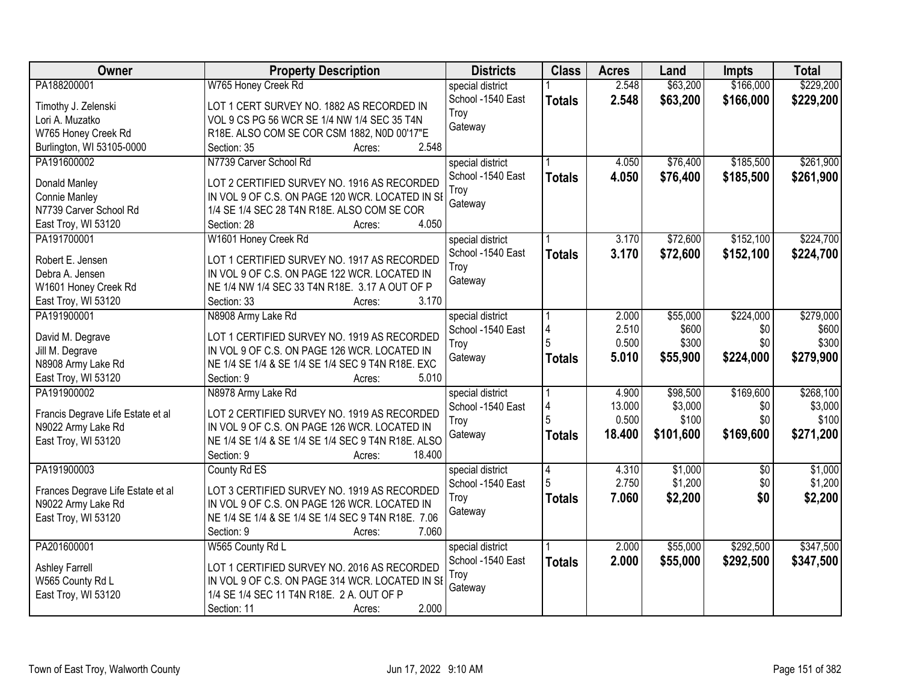| Owner                             | <b>Property Description</b>                        | <b>Districts</b>  | <b>Class</b>  | <b>Acres</b> | Land      | <b>Impts</b> | <b>Total</b> |
|-----------------------------------|----------------------------------------------------|-------------------|---------------|--------------|-----------|--------------|--------------|
| PA188200001                       | W765 Honey Creek Rd                                | special district  |               | 2.548        | \$63,200  | \$166,000    | \$229,200    |
| Timothy J. Zelenski               | LOT 1 CERT SURVEY NO. 1882 AS RECORDED IN          | School -1540 East | <b>Totals</b> | 2.548        | \$63,200  | \$166,000    | \$229,200    |
| Lori A. Muzatko                   | VOL 9 CS PG 56 WCR SE 1/4 NW 1/4 SEC 35 T4N        | Troy              |               |              |           |              |              |
| W765 Honey Creek Rd               | R18E. ALSO COM SE COR CSM 1882, N0D 00'17"E        | Gateway           |               |              |           |              |              |
| Burlington, WI 53105-0000         | 2.548<br>Section: 35<br>Acres:                     |                   |               |              |           |              |              |
| PA191600002                       | N7739 Carver School Rd                             | special district  |               | 4.050        | \$76,400  | \$185,500    | \$261,900    |
|                                   |                                                    | School -1540 East | <b>Totals</b> | 4.050        | \$76,400  | \$185,500    | \$261,900    |
| Donald Manley                     | LOT 2 CERTIFIED SURVEY NO. 1916 AS RECORDED        | Troy              |               |              |           |              |              |
| Connie Manley                     | IN VOL 9 OF C.S. ON PAGE 120 WCR. LOCATED IN SI    | Gateway           |               |              |           |              |              |
| N7739 Carver School Rd            | 1/4 SE 1/4 SEC 28 T4N R18E. ALSO COM SE COR        |                   |               |              |           |              |              |
| East Troy, WI 53120               | 4.050<br>Section: 28<br>Acres:                     |                   |               |              |           |              |              |
| PA191700001                       | W1601 Honey Creek Rd                               | special district  |               | 3.170        | \$72,600  | \$152,100    | \$224,700    |
| Robert E. Jensen                  | LOT 1 CERTIFIED SURVEY NO. 1917 AS RECORDED        | School -1540 East | <b>Totals</b> | 3.170        | \$72,600  | \$152,100    | \$224,700    |
| Debra A. Jensen                   | IN VOL 9 OF C.S. ON PAGE 122 WCR. LOCATED IN       | Troy              |               |              |           |              |              |
| W1601 Honey Creek Rd              | NE 1/4 NW 1/4 SEC 33 T4N R18E. 3.17 A OUT OF P     | Gateway           |               |              |           |              |              |
| East Troy, WI 53120               | 3.170<br>Section: 33<br>Acres:                     |                   |               |              |           |              |              |
| PA191900001                       | N8908 Army Lake Rd                                 | special district  |               | 2.000        | \$55,000  | \$224,000    | \$279,000    |
|                                   |                                                    | School -1540 East | 4             | 2.510        | \$600     | \$0          | \$600        |
| David M. Degrave                  | LOT 1 CERTIFIED SURVEY NO. 1919 AS RECORDED        | Troy              | 5             | 0.500        | \$300     | \$0          | \$300        |
| Jill M. Degrave                   | IN VOL 9 OF C.S. ON PAGE 126 WCR. LOCATED IN       | Gateway           | <b>Totals</b> | 5.010        | \$55,900  | \$224,000    | \$279,900    |
| N8908 Army Lake Rd                | NE 1/4 SE 1/4 & SE 1/4 SE 1/4 SEC 9 T4N R18E. EXC  |                   |               |              |           |              |              |
| East Troy, WI 53120               | Section: 9<br>5.010<br>Acres:                      |                   |               |              |           |              |              |
| PA191900002                       | N8978 Army Lake Rd                                 | special district  |               | 4.900        | \$98,500  | \$169,600    | \$268,100    |
| Francis Degrave Life Estate et al | LOT 2 CERTIFIED SURVEY NO. 1919 AS RECORDED        | School -1540 East | 4             | 13.000       | \$3,000   | \$0          | \$3,000      |
| N9022 Army Lake Rd                | IN VOL 9 OF C.S. ON PAGE 126 WCR. LOCATED IN       | Troy              | 5             | 0.500        | \$100     | \$0          | \$100        |
| East Troy, WI 53120               | NE 1/4 SE 1/4 & SE 1/4 SE 1/4 SEC 9 T4N R18E. ALSO | Gateway           | <b>Totals</b> | 18.400       | \$101,600 | \$169,600    | \$271,200    |
|                                   | Section: 9<br>18.400<br>Acres:                     |                   |               |              |           |              |              |
| PA191900003                       | County Rd ES                                       | special district  | 4             | 4.310        | \$1,000   | $\sqrt{6}$   | \$1,000      |
|                                   |                                                    | School -1540 East | 5             | 2.750        | \$1,200   | \$0          | \$1,200      |
| Frances Degrave Life Estate et al | LOT 3 CERTIFIED SURVEY NO. 1919 AS RECORDED        | Troy              | <b>Totals</b> | 7.060        | \$2,200   | \$0          | \$2,200      |
| N9022 Army Lake Rd                | IN VOL 9 OF C.S. ON PAGE 126 WCR. LOCATED IN       | Gateway           |               |              |           |              |              |
| East Troy, WI 53120               | NE 1/4 SE 1/4 & SE 1/4 SE 1/4 SEC 9 T4N R18E. 7.06 |                   |               |              |           |              |              |
|                                   | 7.060<br>Section: 9<br>Acres:                      |                   |               |              |           |              |              |
| PA201600001                       | W565 County Rd L                                   | special district  |               | 2.000        | \$55,000  | \$292,500    | \$347,500    |
| <b>Ashley Farrell</b>             | LOT 1 CERTIFIED SURVEY NO. 2016 AS RECORDED        | School -1540 East | <b>Totals</b> | 2.000        | \$55,000  | \$292,500    | \$347,500    |
| W565 County Rd L                  | IN VOL 9 OF C.S. ON PAGE 314 WCR. LOCATED IN SE    | Troy              |               |              |           |              |              |
| East Troy, WI 53120               | 1/4 SE 1/4 SEC 11 T4N R18E. 2 A. OUT OF P          | Gateway           |               |              |           |              |              |
|                                   | 2.000<br>Section: 11<br>Acres:                     |                   |               |              |           |              |              |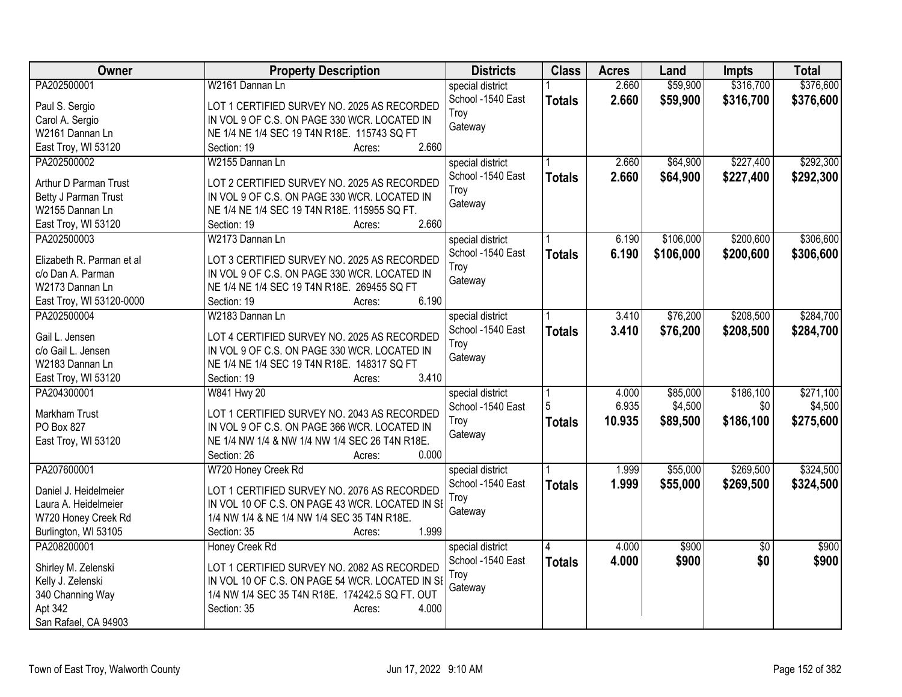| <b>Owner</b>              | <b>Property Description</b>                     | <b>Districts</b>                      | <b>Class</b>  | <b>Acres</b> | Land      | Impts           | <b>Total</b> |
|---------------------------|-------------------------------------------------|---------------------------------------|---------------|--------------|-----------|-----------------|--------------|
| PA202500001               | W2161 Dannan Ln                                 | special district                      |               | 2.660        | \$59,900  | \$316,700       | \$376,600    |
| Paul S. Sergio            | LOT 1 CERTIFIED SURVEY NO. 2025 AS RECORDED     | School -1540 East                     | <b>Totals</b> | 2.660        | \$59,900  | \$316,700       | \$376,600    |
| Carol A. Sergio           | IN VOL 9 OF C.S. ON PAGE 330 WCR. LOCATED IN    | Troy                                  |               |              |           |                 |              |
| W2161 Dannan Ln           | NE 1/4 NE 1/4 SEC 19 T4N R18E. 115743 SQ FT     | Gateway                               |               |              |           |                 |              |
| East Troy, WI 53120       | 2.660<br>Section: 19<br>Acres:                  |                                       |               |              |           |                 |              |
| PA202500002               | W2155 Dannan Ln                                 | special district                      |               | 2.660        | \$64,900  | \$227,400       | \$292,300    |
| Arthur D Parman Trust     | LOT 2 CERTIFIED SURVEY NO. 2025 AS RECORDED     | School -1540 East                     | <b>Totals</b> | 2.660        | \$64,900  | \$227,400       | \$292,300    |
| Betty J Parman Trust      | IN VOL 9 OF C.S. ON PAGE 330 WCR. LOCATED IN    | Troy                                  |               |              |           |                 |              |
| W2155 Dannan Ln           | NE 1/4 NE 1/4 SEC 19 T4N R18E. 115955 SQ FT.    | Gateway                               |               |              |           |                 |              |
| East Troy, WI 53120       | 2.660<br>Section: 19<br>Acres:                  |                                       |               |              |           |                 |              |
| PA202500003               | W2173 Dannan Ln                                 |                                       |               | 6.190        | \$106,000 | \$200,600       | \$306,600    |
|                           |                                                 | special district<br>School -1540 East |               | 6.190        |           |                 |              |
| Elizabeth R. Parman et al | LOT 3 CERTIFIED SURVEY NO. 2025 AS RECORDED     | Trov                                  | <b>Totals</b> |              | \$106,000 | \$200,600       | \$306,600    |
| c/o Dan A. Parman         | IN VOL 9 OF C.S. ON PAGE 330 WCR. LOCATED IN    | Gateway                               |               |              |           |                 |              |
| W2173 Dannan Ln           | NE 1/4 NE 1/4 SEC 19 T4N R18E. 269455 SQ FT     |                                       |               |              |           |                 |              |
| East Troy, WI 53120-0000  | 6.190<br>Section: 19<br>Acres:                  |                                       |               |              |           |                 |              |
| PA202500004               | W2183 Dannan Ln                                 | special district                      |               | 3.410        | \$76,200  | \$208,500       | \$284,700    |
| Gail L. Jensen            | LOT 4 CERTIFIED SURVEY NO. 2025 AS RECORDED     | School -1540 East                     | <b>Totals</b> | 3.410        | \$76,200  | \$208,500       | \$284,700    |
| c/o Gail L. Jensen        | IN VOL 9 OF C.S. ON PAGE 330 WCR. LOCATED IN    | Troy                                  |               |              |           |                 |              |
| W2183 Dannan Ln           | NE 1/4 NE 1/4 SEC 19 T4N R18E. 148317 SQ FT     | Gateway                               |               |              |           |                 |              |
| East Troy, WI 53120       | 3.410<br>Section: 19<br>Acres:                  |                                       |               |              |           |                 |              |
| PA204300001               | W841 Hwy 20                                     | special district                      |               | 4.000        | \$85,000  | \$186,100       | \$271,100    |
|                           |                                                 | School -1540 East                     |               | 6.935        | \$4,500   | \$0             | \$4,500      |
| Markham Trust             | LOT 1 CERTIFIED SURVEY NO. 2043 AS RECORDED     | Troy                                  | <b>Totals</b> | 10.935       | \$89,500  | \$186,100       | \$275,600    |
| PO Box 827                | IN VOL 9 OF C.S. ON PAGE 366 WCR. LOCATED IN    | Gateway                               |               |              |           |                 |              |
| East Troy, WI 53120       | NE 1/4 NW 1/4 & NW 1/4 NW 1/4 SEC 26 T4N R18E.  |                                       |               |              |           |                 |              |
|                           | 0.000<br>Section: 26<br>Acres:                  |                                       |               |              |           |                 |              |
| PA207600001               | W720 Honey Creek Rd                             | special district                      |               | 1.999        | \$55,000  | \$269,500       | \$324,500    |
| Daniel J. Heidelmeier     | LOT 1 CERTIFIED SURVEY NO. 2076 AS RECORDED     | School -1540 East                     | <b>Totals</b> | 1.999        | \$55,000  | \$269,500       | \$324,500    |
| Laura A. Heidelmeier      | IN VOL 10 OF C.S. ON PAGE 43 WCR. LOCATED IN SE | Troy                                  |               |              |           |                 |              |
| W720 Honey Creek Rd       | 1/4 NW 1/4 & NE 1/4 NW 1/4 SEC 35 T4N R18E.     | Gateway                               |               |              |           |                 |              |
| Burlington, WI 53105      | 1.999<br>Section: 35<br>Acres:                  |                                       |               |              |           |                 |              |
| PA208200001               | Honey Creek Rd                                  | special district                      |               | 4.000        | \$900     | $\overline{50}$ | \$900        |
|                           |                                                 | School -1540 East                     | <b>Totals</b> | 4.000        | \$900     | \$0             | \$900        |
| Shirley M. Zelenski       | LOT 1 CERTIFIED SURVEY NO. 2082 AS RECORDED     | Troy                                  |               |              |           |                 |              |
| Kelly J. Zelenski         | IN VOL 10 OF C.S. ON PAGE 54 WCR. LOCATED IN SE | Gateway                               |               |              |           |                 |              |
| 340 Channing Way          | 1/4 NW 1/4 SEC 35 T4N R18E. 174242.5 SQ FT. OUT |                                       |               |              |           |                 |              |
| Apt 342                   | 4.000<br>Section: 35<br>Acres:                  |                                       |               |              |           |                 |              |
| San Rafael, CA 94903      |                                                 |                                       |               |              |           |                 |              |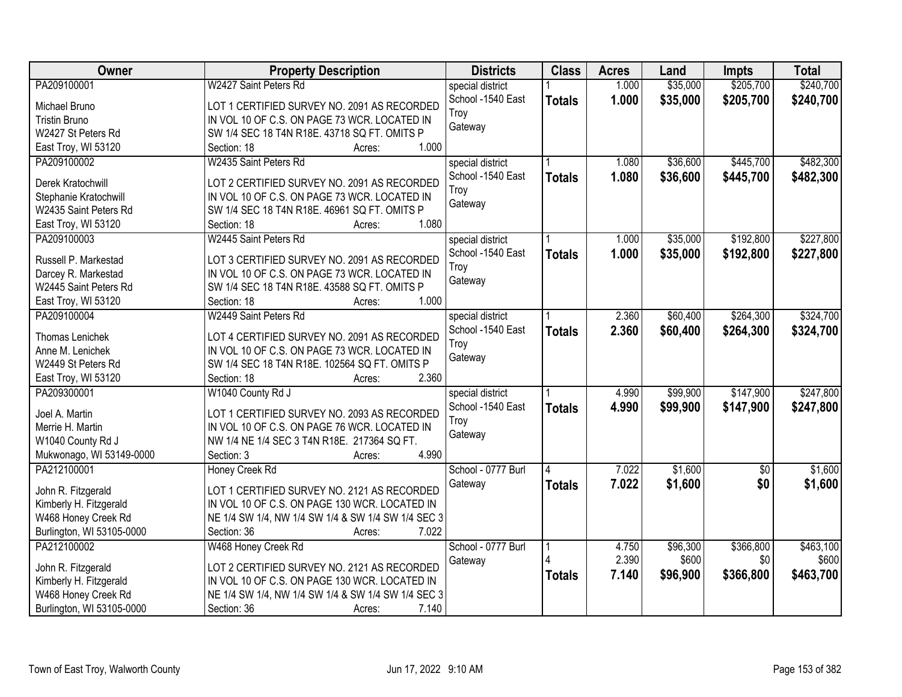| Owner                     | <b>Property Description</b>                        | <b>Districts</b>   | <b>Class</b>  | <b>Acres</b> | Land     | <b>Impts</b>    | <b>Total</b> |
|---------------------------|----------------------------------------------------|--------------------|---------------|--------------|----------|-----------------|--------------|
| PA209100001               | W2427 Saint Peters Rd                              | special district   |               | 1.000        | \$35,000 | \$205,700       | \$240,700    |
| Michael Bruno             | LOT 1 CERTIFIED SURVEY NO. 2091 AS RECORDED        | School -1540 East  | <b>Totals</b> | 1.000        | \$35,000 | \$205,700       | \$240,700    |
| <b>Tristin Bruno</b>      | IN VOL 10 OF C.S. ON PAGE 73 WCR. LOCATED IN       | Troy               |               |              |          |                 |              |
| W2427 St Peters Rd        | SW 1/4 SEC 18 T4N R18E. 43718 SQ FT. OMITS P       | Gateway            |               |              |          |                 |              |
| East Troy, WI 53120       | 1.000<br>Section: 18<br>Acres:                     |                    |               |              |          |                 |              |
| PA209100002               | W2435 Saint Peters Rd                              | special district   |               | 1.080        | \$36,600 | \$445,700       | \$482,300    |
|                           |                                                    | School -1540 East  | <b>Totals</b> | 1.080        | \$36,600 | \$445,700       | \$482,300    |
| Derek Kratochwill         | LOT 2 CERTIFIED SURVEY NO. 2091 AS RECORDED        | Troy               |               |              |          |                 |              |
| Stephanie Kratochwill     | IN VOL 10 OF C.S. ON PAGE 73 WCR. LOCATED IN       | Gateway            |               |              |          |                 |              |
| W2435 Saint Peters Rd     | SW 1/4 SEC 18 T4N R18E. 46961 SQ FT. OMITS P       |                    |               |              |          |                 |              |
| East Troy, WI 53120       | 1.080<br>Section: 18<br>Acres:                     |                    |               |              |          |                 |              |
| PA209100003               | W2445 Saint Peters Rd                              | special district   |               | 1.000        | \$35,000 | \$192,800       | \$227,800    |
| Russell P. Markestad      | LOT 3 CERTIFIED SURVEY NO. 2091 AS RECORDED        | School -1540 East  | <b>Totals</b> | 1.000        | \$35,000 | \$192,800       | \$227,800    |
| Darcey R. Markestad       | IN VOL 10 OF C.S. ON PAGE 73 WCR. LOCATED IN       | Troy               |               |              |          |                 |              |
| W2445 Saint Peters Rd     | SW 1/4 SEC 18 T4N R18E. 43588 SQ FT. OMITS P       | Gateway            |               |              |          |                 |              |
| East Troy, WI 53120       | 1.000<br>Section: 18<br>Acres:                     |                    |               |              |          |                 |              |
| PA209100004               | W2449 Saint Peters Rd                              | special district   |               | 2.360        | \$60,400 | \$264,300       | \$324,700    |
|                           |                                                    | School -1540 East  | <b>Totals</b> | 2.360        | \$60,400 | \$264,300       | \$324,700    |
| Thomas Lenichek           | LOT 4 CERTIFIED SURVEY NO. 2091 AS RECORDED        | Troy               |               |              |          |                 |              |
| Anne M. Lenichek          | IN VOL 10 OF C.S. ON PAGE 73 WCR. LOCATED IN       | Gateway            |               |              |          |                 |              |
| W2449 St Peters Rd        | SW 1/4 SEC 18 T4N R18E. 102564 SQ FT. OMITS P      |                    |               |              |          |                 |              |
| East Troy, WI 53120       | 2.360<br>Section: 18<br>Acres:                     |                    |               |              |          |                 |              |
| PA209300001               | W1040 County Rd J                                  | special district   |               | 4.990        | \$99,900 | \$147,900       | \$247,800    |
| Joel A. Martin            | LOT 1 CERTIFIED SURVEY NO. 2093 AS RECORDED        | School -1540 East  | <b>Totals</b> | 4.990        | \$99,900 | \$147,900       | \$247,800    |
| Merrie H. Martin          | IN VOL 10 OF C.S. ON PAGE 76 WCR. LOCATED IN       | Troy               |               |              |          |                 |              |
| W1040 County Rd J         | NW 1/4 NE 1/4 SEC 3 T4N R18E. 217364 SQ FT.        | Gateway            |               |              |          |                 |              |
| Mukwonago, WI 53149-0000  | 4.990<br>Section: 3<br>Acres:                      |                    |               |              |          |                 |              |
| PA212100001               | Honey Creek Rd                                     | School - 0777 Burl |               | 7.022        | \$1,600  | $\overline{50}$ | \$1,600      |
|                           |                                                    | Gateway            | <b>Totals</b> | 7.022        | \$1,600  | \$0             | \$1,600      |
| John R. Fitzgerald        | LOT 1 CERTIFIED SURVEY NO. 2121 AS RECORDED        |                    |               |              |          |                 |              |
| Kimberly H. Fitzgerald    | IN VOL 10 OF C.S. ON PAGE 130 WCR. LOCATED IN      |                    |               |              |          |                 |              |
| W468 Honey Creek Rd       | NE 1/4 SW 1/4, NW 1/4 SW 1/4 & SW 1/4 SW 1/4 SEC 3 |                    |               |              |          |                 |              |
| Burlington, WI 53105-0000 | 7.022<br>Section: 36<br>Acres:                     |                    |               |              |          |                 |              |
| PA212100002               | W468 Honey Creek Rd                                | School - 0777 Burl |               | 4.750        | \$96,300 | \$366,800       | \$463,100    |
| John R. Fitzgerald        | LOT 2 CERTIFIED SURVEY NO. 2121 AS RECORDED        | Gateway            |               | 2.390        | \$600    | \$0             | \$600        |
| Kimberly H. Fitzgerald    | IN VOL 10 OF C.S. ON PAGE 130 WCR. LOCATED IN      |                    | <b>Totals</b> | 7.140        | \$96,900 | \$366,800       | \$463,700    |
| W468 Honey Creek Rd       | NE 1/4 SW 1/4, NW 1/4 SW 1/4 & SW 1/4 SW 1/4 SEC 3 |                    |               |              |          |                 |              |
| Burlington, WI 53105-0000 | 7.140<br>Section: 36<br>Acres:                     |                    |               |              |          |                 |              |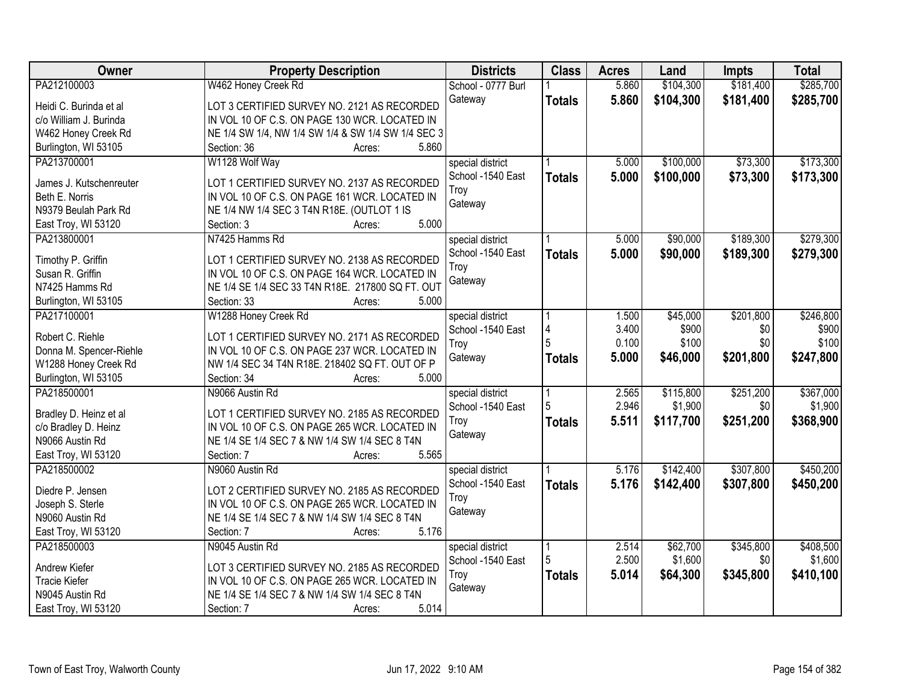| Owner                   | <b>Property Description</b>                            | <b>Districts</b>   | <b>Class</b>  | <b>Acres</b> | Land      | <b>Impts</b> | <b>Total</b> |
|-------------------------|--------------------------------------------------------|--------------------|---------------|--------------|-----------|--------------|--------------|
| PA212100003             | W462 Honey Creek Rd                                    | School - 0777 Burl |               | 5.860        | \$104,300 | \$181,400    | \$285,700    |
| Heidi C. Burinda et al  | LOT 3 CERTIFIED SURVEY NO. 2121 AS RECORDED            | Gateway            | <b>Totals</b> | 5.860        | \$104,300 | \$181,400    | \$285,700    |
| c/o William J. Burinda  | IN VOL 10 OF C.S. ON PAGE 130 WCR. LOCATED IN          |                    |               |              |           |              |              |
| W462 Honey Creek Rd     | NE 1/4 SW 1/4, NW 1/4 SW 1/4 & SW 1/4 SW 1/4 SEC 3     |                    |               |              |           |              |              |
| Burlington, WI 53105    | 5.860<br>Section: 36<br>Acres:                         |                    |               |              |           |              |              |
| PA213700001             | W1128 Wolf Way                                         | special district   |               | 5.000        | \$100,000 | \$73,300     | \$173,300    |
|                         |                                                        | School -1540 East  | <b>Totals</b> | 5.000        | \$100,000 | \$73,300     | \$173,300    |
| James J. Kutschenreuter | LOT 1 CERTIFIED SURVEY NO. 2137 AS RECORDED            | Troy               |               |              |           |              |              |
| Beth E. Norris          | IN VOL 10 OF C.S. ON PAGE 161 WCR. LOCATED IN          | Gateway            |               |              |           |              |              |
| N9379 Beulah Park Rd    | NE 1/4 NW 1/4 SEC 3 T4N R18E. (OUTLOT 1 IS             |                    |               |              |           |              |              |
| East Troy, WI 53120     | 5.000<br>Section: 3<br>Acres:                          |                    |               |              |           |              |              |
| PA213800001             | N7425 Hamms Rd                                         | special district   |               | 5.000        | \$90,000  | \$189,300    | \$279,300    |
| Timothy P. Griffin      | LOT 1 CERTIFIED SURVEY NO. 2138 AS RECORDED            | School -1540 East  | <b>Totals</b> | 5.000        | \$90,000  | \$189,300    | \$279,300    |
| Susan R. Griffin        | IN VOL 10 OF C.S. ON PAGE 164 WCR. LOCATED IN          | Troy               |               |              |           |              |              |
| N7425 Hamms Rd          | NE 1/4 SE 1/4 SEC 33 T4N R18E. 217800 SQ FT. OUT       | Gateway            |               |              |           |              |              |
| Burlington, WI 53105    | Section: 33<br>5.000<br>Acres:                         |                    |               |              |           |              |              |
| PA217100001             | W1288 Honey Creek Rd                                   | special district   |               | 1.500        | \$45,000  | \$201,800    | \$246,800    |
|                         |                                                        | School -1540 East  | Δ             | 3.400        | \$900     | \$0          | \$900        |
| Robert C. Riehle        | LOT 1 CERTIFIED SURVEY NO. 2171 AS RECORDED            |                    |               | 0.100        | \$100     | \$0          | \$100        |
| Donna M. Spencer-Riehle | IN VOL 10 OF C.S. ON PAGE 237 WCR. LOCATED IN          | Troy<br>Gateway    |               | 5.000        | \$46,000  | \$201,800    | \$247,800    |
| W1288 Honey Creek Rd    | NW 1/4 SEC 34 T4N R18E. 218402 SQ FT. OUT OF P         |                    | <b>Totals</b> |              |           |              |              |
| Burlington, WI 53105    | Section: 34<br>5.000<br>Acres:                         |                    |               |              |           |              |              |
| PA218500001             | N9066 Austin Rd                                        | special district   |               | 2.565        | \$115,800 | \$251,200    | \$367,000    |
|                         |                                                        | School -1540 East  | 5             | 2.946        | \$1,900   | \$0          | \$1,900      |
| Bradley D. Heinz et al  | LOT 1 CERTIFIED SURVEY NO. 2185 AS RECORDED            | Troy               | <b>Totals</b> | 5.511        | \$117,700 | \$251,200    | \$368,900    |
| c/o Bradley D. Heinz    | IN VOL 10 OF C.S. ON PAGE 265 WCR. LOCATED IN          | Gateway            |               |              |           |              |              |
| N9066 Austin Rd         | NE 1/4 SE 1/4 SEC 7 & NW 1/4 SW 1/4 SEC 8 T4N<br>5.565 |                    |               |              |           |              |              |
| East Troy, WI 53120     | Section: 7<br>Acres:                                   |                    |               |              |           |              |              |
| PA218500002             | N9060 Austin Rd                                        | special district   |               | 5.176        | \$142,400 | \$307,800    | \$450,200    |
| Diedre P. Jensen        | LOT 2 CERTIFIED SURVEY NO. 2185 AS RECORDED            | School -1540 East  | <b>Totals</b> | 5.176        | \$142,400 | \$307,800    | \$450,200    |
| Joseph S. Sterle        | IN VOL 10 OF C.S. ON PAGE 265 WCR. LOCATED IN          | Troy               |               |              |           |              |              |
| N9060 Austin Rd         | NE 1/4 SE 1/4 SEC 7 & NW 1/4 SW 1/4 SEC 8 T4N          | Gateway            |               |              |           |              |              |
| East Troy, WI 53120     | Section: 7<br>5.176<br>Acres:                          |                    |               |              |           |              |              |
| PA218500003             | N9045 Austin Rd                                        | special district   |               | 2.514        | \$62,700  | \$345,800    | \$408,500    |
|                         |                                                        | School -1540 East  | 5             | 2.500        | \$1,600   | \$0          | \$1,600      |
| Andrew Kiefer           | LOT 3 CERTIFIED SURVEY NO. 2185 AS RECORDED            | Troy               | <b>Totals</b> | 5.014        | \$64,300  | \$345,800    | \$410,100    |
| <b>Tracie Kiefer</b>    | IN VOL 10 OF C.S. ON PAGE 265 WCR. LOCATED IN          | Gateway            |               |              |           |              |              |
| N9045 Austin Rd         | NE 1/4 SE 1/4 SEC 7 & NW 1/4 SW 1/4 SEC 8 T4N          |                    |               |              |           |              |              |
| East Troy, WI 53120     | 5.014<br>Section: 7<br>Acres:                          |                    |               |              |           |              |              |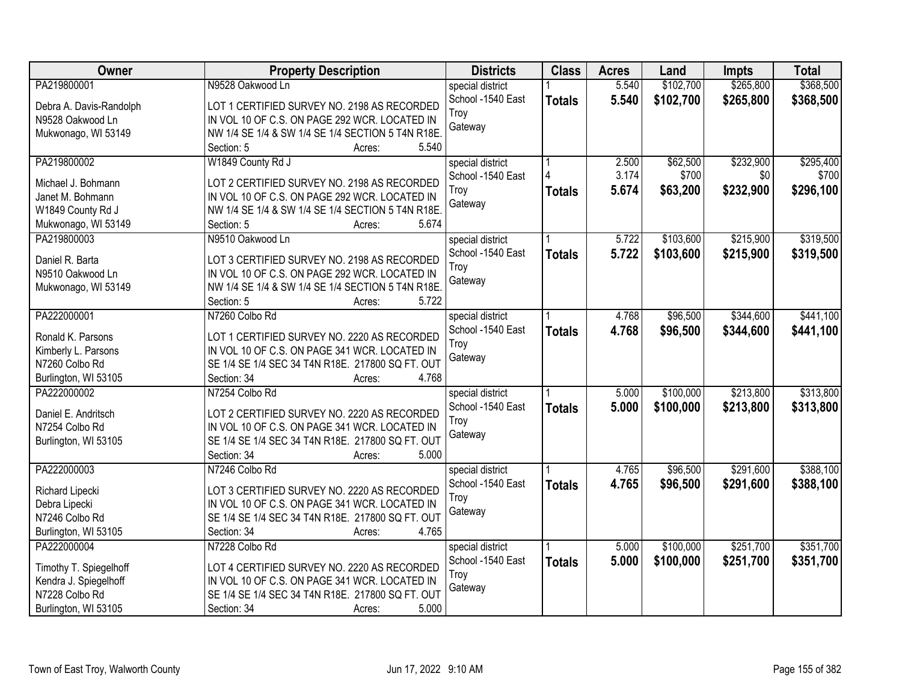| <b>Owner</b>                          | <b>Property Description</b>                                                                       | <b>Districts</b>  | <b>Class</b>  | <b>Acres</b> | Land      | <b>Impts</b> | <b>Total</b> |
|---------------------------------------|---------------------------------------------------------------------------------------------------|-------------------|---------------|--------------|-----------|--------------|--------------|
| PA219800001                           | N9528 Oakwood Ln                                                                                  | special district  |               | 5.540        | \$102,700 | \$265,800    | \$368,500    |
| Debra A. Davis-Randolph               | LOT 1 CERTIFIED SURVEY NO. 2198 AS RECORDED                                                       | School -1540 East | <b>Totals</b> | 5.540        | \$102,700 | \$265,800    | \$368,500    |
| N9528 Oakwood Ln                      | IN VOL 10 OF C.S. ON PAGE 292 WCR. LOCATED IN                                                     | Troy              |               |              |           |              |              |
| Mukwonago, WI 53149                   | NW 1/4 SE 1/4 & SW 1/4 SE 1/4 SECTION 5 T4N R18E.                                                 | Gateway           |               |              |           |              |              |
|                                       | 5.540<br>Section: 5<br>Acres:                                                                     |                   |               |              |           |              |              |
| PA219800002                           | W1849 County Rd J                                                                                 | special district  |               | 2.500        | \$62,500  | \$232,900    | \$295,400    |
|                                       |                                                                                                   | School -1540 East |               | 3.174        | \$700     | \$0          | \$700        |
| Michael J. Bohmann                    | LOT 2 CERTIFIED SURVEY NO. 2198 AS RECORDED                                                       | Troy              | <b>Totals</b> | 5.674        | \$63,200  | \$232,900    | \$296,100    |
| Janet M. Bohmann                      | IN VOL 10 OF C.S. ON PAGE 292 WCR. LOCATED IN                                                     | Gateway           |               |              |           |              |              |
| W1849 County Rd J                     | NW 1/4 SE 1/4 & SW 1/4 SE 1/4 SECTION 5 T4N R18E.<br>5.674                                        |                   |               |              |           |              |              |
| Mukwonago, WI 53149                   | Section: 5<br>Acres:                                                                              |                   |               |              |           |              |              |
| PA219800003                           | N9510 Oakwood Ln                                                                                  | special district  |               | 5.722        | \$103,600 | \$215,900    | \$319,500    |
| Daniel R. Barta                       | LOT 3 CERTIFIED SURVEY NO. 2198 AS RECORDED                                                       | School -1540 East | <b>Totals</b> | 5.722        | \$103,600 | \$215,900    | \$319,500    |
| N9510 Oakwood Ln                      | IN VOL 10 OF C.S. ON PAGE 292 WCR. LOCATED IN                                                     | Troy              |               |              |           |              |              |
| Mukwonago, WI 53149                   | NW 1/4 SE 1/4 & SW 1/4 SE 1/4 SECTION 5 T4N R18E.                                                 | Gateway           |               |              |           |              |              |
|                                       | 5.722<br>Section: 5<br>Acres:                                                                     |                   |               |              |           |              |              |
| PA222000001                           | N7260 Colbo Rd                                                                                    | special district  |               | 4.768        | \$96,500  | \$344,600    | \$441,100    |
|                                       |                                                                                                   | School -1540 East | <b>Totals</b> | 4.768        | \$96,500  | \$344,600    | \$441,100    |
| Ronald K. Parsons                     | LOT 1 CERTIFIED SURVEY NO. 2220 AS RECORDED                                                       | Troy              |               |              |           |              |              |
| Kimberly L. Parsons<br>N7260 Colbo Rd | IN VOL 10 OF C.S. ON PAGE 341 WCR. LOCATED IN<br>SE 1/4 SE 1/4 SEC 34 T4N R18E. 217800 SQ FT. OUT | Gateway           |               |              |           |              |              |
| Burlington, WI 53105                  | 4.768<br>Section: 34                                                                              |                   |               |              |           |              |              |
| PA222000002                           | Acres:<br>N7254 Colbo Rd                                                                          |                   |               | 5.000        | \$100,000 | \$213,800    | \$313,800    |
|                                       |                                                                                                   | special district  |               |              |           |              |              |
| Daniel E. Andritsch                   | LOT 2 CERTIFIED SURVEY NO. 2220 AS RECORDED                                                       | School -1540 East | <b>Totals</b> | 5.000        | \$100,000 | \$213,800    | \$313,800    |
| N7254 Colbo Rd                        | IN VOL 10 OF C.S. ON PAGE 341 WCR. LOCATED IN                                                     | Troy<br>Gateway   |               |              |           |              |              |
| Burlington, WI 53105                  | SE 1/4 SE 1/4 SEC 34 T4N R18E. 217800 SQ FT. OUT                                                  |                   |               |              |           |              |              |
|                                       | Section: 34<br>5.000<br>Acres:                                                                    |                   |               |              |           |              |              |
| PA222000003                           | N7246 Colbo Rd                                                                                    | special district  |               | 4.765        | \$96,500  | \$291,600    | \$388,100    |
| Richard Lipecki                       | LOT 3 CERTIFIED SURVEY NO. 2220 AS RECORDED                                                       | School -1540 East | <b>Totals</b> | 4.765        | \$96,500  | \$291,600    | \$388,100    |
| Debra Lipecki                         | IN VOL 10 OF C.S. ON PAGE 341 WCR. LOCATED IN                                                     | Troy              |               |              |           |              |              |
| N7246 Colbo Rd                        | SE 1/4 SE 1/4 SEC 34 T4N R18E. 217800 SQ FT. OUT                                                  | Gateway           |               |              |           |              |              |
| Burlington, WI 53105                  | Section: 34<br>4.765<br>Acres:                                                                    |                   |               |              |           |              |              |
| PA222000004                           | N7228 Colbo Rd                                                                                    | special district  |               | 5.000        | \$100,000 | \$251,700    | \$351,700    |
|                                       |                                                                                                   | School -1540 East | <b>Totals</b> | 5.000        | \$100,000 | \$251,700    | \$351,700    |
| Timothy T. Spiegelhoff                | LOT 4 CERTIFIED SURVEY NO. 2220 AS RECORDED                                                       | Troy              |               |              |           |              |              |
| Kendra J. Spiegelhoff                 | IN VOL 10 OF C.S. ON PAGE 341 WCR. LOCATED IN                                                     | Gateway           |               |              |           |              |              |
| N7228 Colbo Rd                        | SE 1/4 SE 1/4 SEC 34 T4N R18E. 217800 SQ FT. OUT                                                  |                   |               |              |           |              |              |
| Burlington, WI 53105                  | 5.000<br>Section: 34<br>Acres:                                                                    |                   |               |              |           |              |              |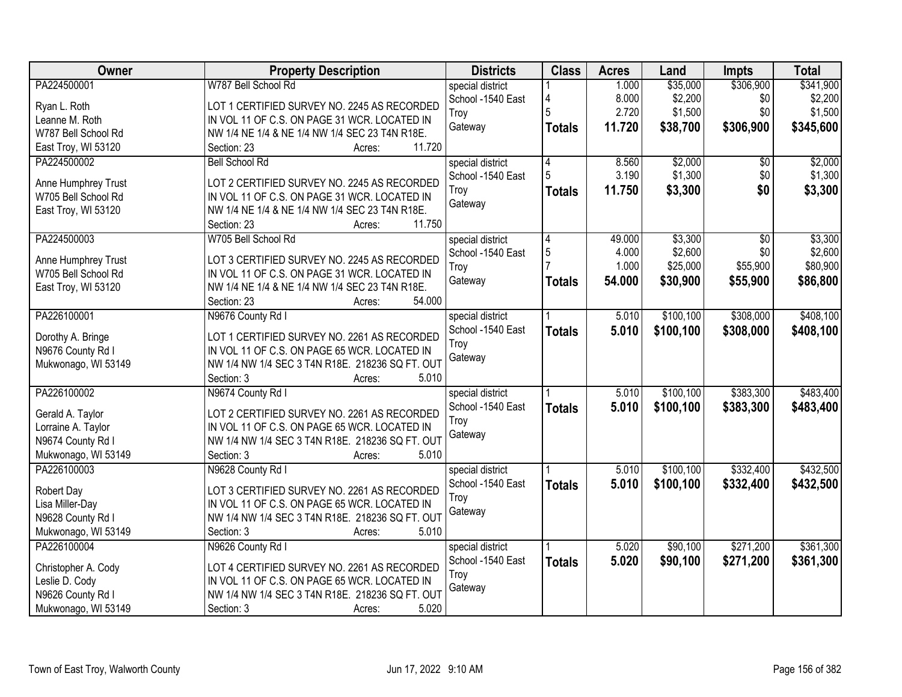| Owner                              | <b>Property Description</b>                     | <b>Districts</b>  | <b>Class</b>  | <b>Acres</b> | Land       | <b>Impts</b>    | <b>Total</b> |
|------------------------------------|-------------------------------------------------|-------------------|---------------|--------------|------------|-----------------|--------------|
| PA224500001                        | W787 Bell School Rd                             | special district  |               | 1.000        | \$35,000   | \$306,900       | \$341,900    |
| Ryan L. Roth                       | LOT 1 CERTIFIED SURVEY NO. 2245 AS RECORDED     | School -1540 East |               | 8.000        | \$2,200    | \$0             | \$2,200      |
| Leanne M. Roth                     | IN VOL 11 OF C.S. ON PAGE 31 WCR. LOCATED IN    | Troy              |               | 2.720        | \$1,500    | \$0             | \$1,500      |
| W787 Bell School Rd                | NW 1/4 NE 1/4 & NE 1/4 NW 1/4 SEC 23 T4N R18E.  | Gateway           | <b>Totals</b> | 11.720       | \$38,700   | \$306,900       | \$345,600    |
| East Troy, WI 53120                | 11.720<br>Section: 23<br>Acres:                 |                   |               |              |            |                 |              |
| PA224500002                        | <b>Bell School Rd</b>                           | special district  | 4             | 8.560        | \$2,000    | $\overline{50}$ | \$2,000      |
|                                    |                                                 | School -1540 East | 5             | 3.190        | \$1,300    | \$0             | \$1,300      |
| Anne Humphrey Trust                | LOT 2 CERTIFIED SURVEY NO. 2245 AS RECORDED     | Troy              | <b>Totals</b> | 11.750       | \$3,300    | \$0             | \$3,300      |
| W705 Bell School Rd                | IN VOL 11 OF C.S. ON PAGE 31 WCR. LOCATED IN    | Gateway           |               |              |            |                 |              |
| East Troy, WI 53120                | NW 1/4 NE 1/4 & NE 1/4 NW 1/4 SEC 23 T4N R18E.  |                   |               |              |            |                 |              |
|                                    | 11.750<br>Section: 23<br>Acres:                 |                   |               |              |            |                 |              |
| PA224500003                        | W705 Bell School Rd                             | special district  | 4             | 49.000       | \$3,300    | \$0             | \$3,300      |
| Anne Humphrey Trust                | LOT 3 CERTIFIED SURVEY NO. 2245 AS RECORDED     | School -1540 East | $\sqrt{5}$    | 4.000        | \$2,600    | \$0             | \$2,600      |
| W705 Bell School Rd                | IN VOL 11 OF C.S. ON PAGE 31 WCR. LOCATED IN    | Troy              |               | 1.000        | \$25,000   | \$55,900        | \$80,900     |
| East Troy, WI 53120                | NW 1/4 NE 1/4 & NE 1/4 NW 1/4 SEC 23 T4N R18E.  | Gateway           | <b>Totals</b> | 54.000       | \$30,900   | \$55,900        | \$86,800     |
|                                    | 54.000<br>Section: 23<br>Acres:                 |                   |               |              |            |                 |              |
| PA226100001                        | N9676 County Rd I                               | special district  |               | 5.010        | \$100,100  | \$308,000       | \$408,100    |
|                                    |                                                 | School -1540 East | <b>Totals</b> | 5.010        | \$100,100  | \$308,000       | \$408,100    |
| Dorothy A. Bringe                  | LOT 1 CERTIFIED SURVEY NO. 2261 AS RECORDED     | Troy              |               |              |            |                 |              |
| N9676 County Rd I                  | IN VOL 11 OF C.S. ON PAGE 65 WCR. LOCATED IN    | Gateway           |               |              |            |                 |              |
| Mukwonago, WI 53149                | NW 1/4 NW 1/4 SEC 3 T4N R18E. 218236 SQ FT. OUT |                   |               |              |            |                 |              |
|                                    | Section: 3<br>5.010<br>Acres:                   |                   |               |              |            |                 |              |
| PA226100002                        | N9674 County Rd I                               | special district  |               | 5.010        | \$100, 100 | \$383,300       | \$483,400    |
| Gerald A. Taylor                   | LOT 2 CERTIFIED SURVEY NO. 2261 AS RECORDED     | School -1540 East | <b>Totals</b> | 5.010        | \$100,100  | \$383,300       | \$483,400    |
| Lorraine A. Taylor                 | IN VOL 11 OF C.S. ON PAGE 65 WCR. LOCATED IN    | Troy              |               |              |            |                 |              |
| N9674 County Rd I                  | NW 1/4 NW 1/4 SEC 3 T4N R18E. 218236 SQ FT. OUT | Gateway           |               |              |            |                 |              |
| Mukwonago, WI 53149                | 5.010<br>Section: 3<br>Acres:                   |                   |               |              |            |                 |              |
| PA226100003                        | N9628 County Rd I                               | special district  |               | 5.010        | \$100,100  | \$332,400       | \$432,500    |
|                                    |                                                 | School -1540 East | <b>Totals</b> | 5.010        | \$100,100  | \$332,400       | \$432,500    |
| Robert Day                         | LOT 3 CERTIFIED SURVEY NO. 2261 AS RECORDED     | Troy              |               |              |            |                 |              |
| Lisa Miller-Day                    | IN VOL 11 OF C.S. ON PAGE 65 WCR. LOCATED IN    | Gateway           |               |              |            |                 |              |
| N9628 County Rd I                  | NW 1/4 NW 1/4 SEC 3 T4N R18E. 218236 SQ FT. OUT |                   |               |              |            |                 |              |
| Mukwonago, WI 53149<br>PA226100004 | Section: 3<br>5.010<br>Acres:                   |                   |               |              |            |                 |              |
|                                    | N9626 County Rd I                               | special district  |               | 5.020        | \$90,100   | \$271,200       | \$361,300    |
| Christopher A. Cody                | LOT 4 CERTIFIED SURVEY NO. 2261 AS RECORDED     | School -1540 East | <b>Totals</b> | 5.020        | \$90,100   | \$271,200       | \$361,300    |
| Leslie D. Cody                     | IN VOL 11 OF C.S. ON PAGE 65 WCR. LOCATED IN    | Troy              |               |              |            |                 |              |
| N9626 County Rd I                  | NW 1/4 NW 1/4 SEC 3 T4N R18E. 218236 SQ FT. OUT | Gateway           |               |              |            |                 |              |
| Mukwonago, WI 53149                | 5.020<br>Section: 3<br>Acres:                   |                   |               |              |            |                 |              |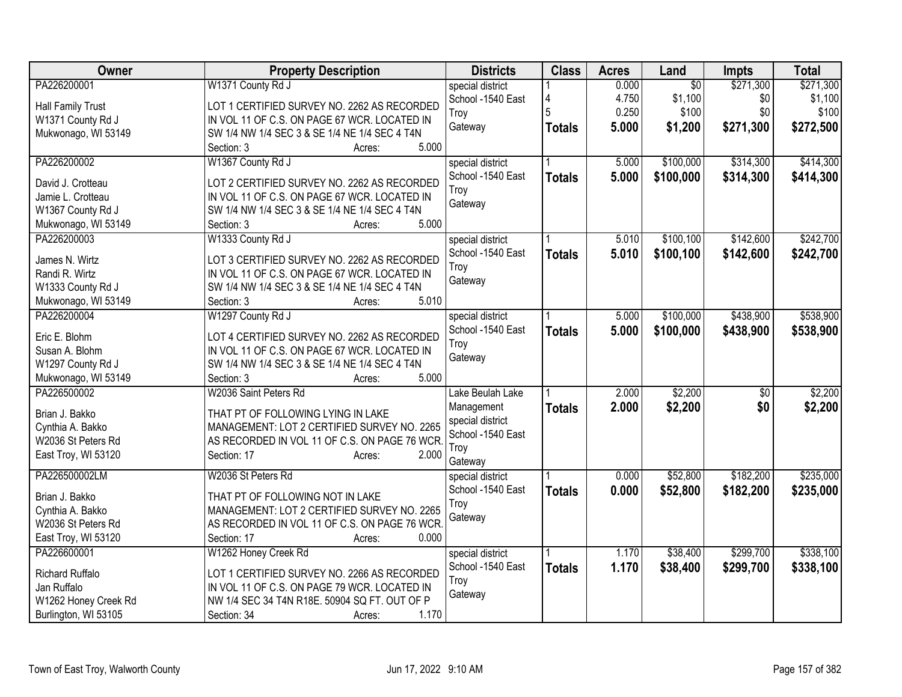| <b>Class</b><br>Owner<br><b>Districts</b><br><b>Acres</b><br><b>Property Description</b><br>Land<br>Impts                                     | <b>Total</b>   |
|-----------------------------------------------------------------------------------------------------------------------------------------------|----------------|
| PA226200001<br>$\overline{50}$<br>\$271,300<br>W1371 County Rd J<br>0.000<br>special district                                                 | \$271,300      |
| 4.750<br>\$1,100<br>School -1540 East<br>4<br><b>Hall Family Trust</b><br>LOT 1 CERTIFIED SURVEY NO. 2262 AS RECORDED                         | \$0<br>\$1,100 |
| 0.250<br>\$100<br>Troy<br>IN VOL 11 OF C.S. ON PAGE 67 WCR. LOCATED IN<br>W1371 County Rd J                                                   | \$0<br>\$100   |
| 5.000<br>\$271,300<br>\$1,200<br>Gateway<br><b>Totals</b><br>Mukwonago, WI 53149<br>SW 1/4 NW 1/4 SEC 3 & SE 1/4 NE 1/4 SEC 4 T4N             | \$272,500      |
| 5.000<br>Section: 3<br>Acres:                                                                                                                 |                |
| \$100,000<br>\$314,300<br>PA226200002<br>W1367 County Rd J<br>5.000<br>special district                                                       | \$414,300      |
| 5.000<br>School -1540 East<br>\$100,000<br>\$314,300<br><b>Totals</b><br>LOT 2 CERTIFIED SURVEY NO. 2262 AS RECORDED                          | \$414,300      |
| David J. Crotteau<br>Troy<br>Jamie L. Crotteau<br>IN VOL 11 OF C.S. ON PAGE 67 WCR. LOCATED IN                                                |                |
| Gateway<br>SW 1/4 NW 1/4 SEC 3 & SE 1/4 NE 1/4 SEC 4 T4N                                                                                      |                |
| W1367 County Rd J<br>5.000<br>Section: 3                                                                                                      |                |
| Mukwonago, WI 53149<br>Acres:<br>\$100,100<br>\$142,600<br>PA226200003<br>W1333 County Rd J<br>5.010                                          | \$242,700      |
| special district<br>School -1540 East                                                                                                         |                |
| 5.010<br>\$142,600<br>\$100,100<br><b>Totals</b><br>LOT 3 CERTIFIED SURVEY NO. 2262 AS RECORDED<br>James N. Wirtz                             | \$242,700      |
| Troy<br>Randi R. Wirtz<br>IN VOL 11 OF C.S. ON PAGE 67 WCR. LOCATED IN                                                                        |                |
| Gateway<br>W1333 County Rd J<br>SW 1/4 NW 1/4 SEC 3 & SE 1/4 NE 1/4 SEC 4 T4N                                                                 |                |
| 5.010<br>Mukwonago, WI 53149<br>Section: 3<br>Acres:                                                                                          |                |
| \$100,000<br>\$438,900<br>PA226200004<br>W1297 County Rd J<br>5.000<br>special district                                                       | \$538,900      |
| School -1540 East<br>5.000<br>\$438,900<br>\$100,000<br><b>Totals</b>                                                                         | \$538,900      |
| Eric E. Blohm<br>LOT 4 CERTIFIED SURVEY NO. 2262 AS RECORDED<br>Troy                                                                          |                |
| Susan A. Blohm<br>IN VOL 11 OF C.S. ON PAGE 67 WCR. LOCATED IN<br>Gateway                                                                     |                |
| W1297 County Rd J<br>SW 1/4 NW 1/4 SEC 3 & SE 1/4 NE 1/4 SEC 4 T4N<br>5.000                                                                   |                |
| Mukwonago, WI 53149<br>Section: 3<br>Acres:<br>PA226500002<br>\$2,200                                                                         | \$2,200        |
| W2036 Saint Peters Rd<br>2.000<br>Lake Beulah Lake                                                                                            | $\sqrt[6]{30}$ |
| \$2,200<br>2.000<br>Management<br><b>Totals</b><br>Brian J. Bakko<br>THAT PT OF FOLLOWING LYING IN LAKE                                       | \$0<br>\$2,200 |
| special district<br>MANAGEMENT: LOT 2 CERTIFIED SURVEY NO. 2265<br>Cynthia A. Bakko<br>School -1540 East                                      |                |
| AS RECORDED IN VOL 11 OF C.S. ON PAGE 76 WCR<br>W2036 St Peters Rd<br>Troy                                                                    |                |
| Section: 17<br>2.000<br>East Troy, WI 53120<br>Acres:<br>Gateway                                                                              |                |
| PA226500002LM<br>W2036 St Peters Rd<br>0.000<br>\$52,800<br>\$182,200<br>special district                                                     | \$235,000      |
| School -1540 East<br>0.000<br>\$52,800<br>\$182,200                                                                                           | \$235,000      |
| <b>Totals</b><br>Brian J. Bakko<br>THAT PT OF FOLLOWING NOT IN LAKE<br>Troy                                                                   |                |
| Cynthia A. Bakko<br>MANAGEMENT: LOT 2 CERTIFIED SURVEY NO. 2265<br>Gateway                                                                    |                |
| W2036 St Peters Rd<br>AS RECORDED IN VOL 11 OF C.S. ON PAGE 76 WCR.                                                                           |                |
| 0.000<br>East Troy, WI 53120<br>Section: 17<br>Acres:                                                                                         |                |
| \$299,700<br>PA226600001<br>W1262 Honey Creek Rd<br>1.170<br>\$38,400<br>special district                                                     | \$338,100      |
| School -1540 East<br>1.170<br>\$38,400<br>\$299,700<br><b>Totals</b><br><b>Richard Ruffalo</b><br>LOT 1 CERTIFIED SURVEY NO. 2266 AS RECORDED | \$338,100      |
| Troy<br>Jan Ruffalo<br>IN VOL 11 OF C.S. ON PAGE 79 WCR. LOCATED IN                                                                           |                |
| Gateway<br>W1262 Honey Creek Rd<br>NW 1/4 SEC 34 T4N R18E. 50904 SQ FT. OUT OF P                                                              |                |
| 1.170<br>Burlington, WI 53105<br>Section: 34<br>Acres:                                                                                        |                |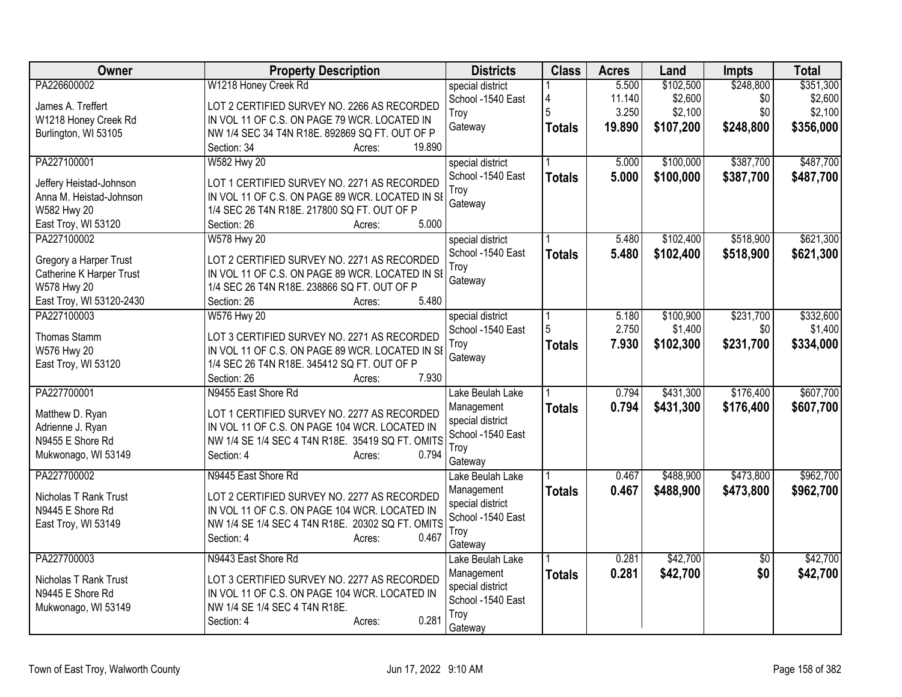| Owner                    | <b>Property Description</b>                      | <b>Districts</b>  | <b>Class</b>  | <b>Acres</b> | Land      | <b>Impts</b>    | <b>Total</b> |
|--------------------------|--------------------------------------------------|-------------------|---------------|--------------|-----------|-----------------|--------------|
| PA226600002              | W1218 Honey Creek Rd                             | special district  |               | 5.500        | \$102,500 | \$248,800       | \$351,300    |
| James A. Treffert        | LOT 2 CERTIFIED SURVEY NO. 2266 AS RECORDED      | School -1540 East |               | 11.140       | \$2,600   | \$0             | \$2,600      |
| W1218 Honey Creek Rd     | IN VOL 11 OF C.S. ON PAGE 79 WCR. LOCATED IN     | Troy              |               | 3.250        | \$2,100   | \$0             | \$2,100      |
| Burlington, WI 53105     | NW 1/4 SEC 34 T4N R18E. 892869 SQ FT. OUT OF P   | Gateway           | <b>Totals</b> | 19.890       | \$107,200 | \$248,800       | \$356,000    |
|                          | 19.890<br>Section: 34<br>Acres:                  |                   |               |              |           |                 |              |
| PA227100001              | <b>W582 Hwy 20</b>                               | special district  |               | 5.000        | \$100,000 | \$387,700       | \$487,700    |
| Jeffery Heistad-Johnson  | LOT 1 CERTIFIED SURVEY NO. 2271 AS RECORDED      | School -1540 East | <b>Totals</b> | 5.000        | \$100,000 | \$387,700       | \$487,700    |
| Anna M. Heistad-Johnson  | IN VOL 11 OF C.S. ON PAGE 89 WCR. LOCATED IN SE  | Troy              |               |              |           |                 |              |
| W582 Hwy 20              | 1/4 SEC 26 T4N R18E. 217800 SQ FT. OUT OF P      | Gateway           |               |              |           |                 |              |
| East Troy, WI 53120      | 5.000<br>Section: 26<br>Acres:                   |                   |               |              |           |                 |              |
| PA227100002              | W578 Hwy 20                                      | special district  |               | 5.480        | \$102,400 | \$518,900       | \$621,300    |
|                          |                                                  | School -1540 East | <b>Totals</b> | 5.480        | \$102,400 | \$518,900       | \$621,300    |
| Gregory a Harper Trust   | LOT 2 CERTIFIED SURVEY NO. 2271 AS RECORDED      | Troy              |               |              |           |                 |              |
| Catherine K Harper Trust | IN VOL 11 OF C.S. ON PAGE 89 WCR. LOCATED IN SI  | Gateway           |               |              |           |                 |              |
| W578 Hwy 20              | 1/4 SEC 26 T4N R18E. 238866 SQ FT. OUT OF P      |                   |               |              |           |                 |              |
| East Troy, WI 53120-2430 | 5.480<br>Section: 26<br>Acres:                   |                   |               |              |           |                 |              |
| PA227100003              | W576 Hwy 20                                      | special district  |               | 5.180        | \$100,900 | \$231,700       | \$332,600    |
| Thomas Stamm             | LOT 3 CERTIFIED SURVEY NO. 2271 AS RECORDED      | School -1540 East | 5             | 2.750        | \$1,400   | \$0             | \$1,400      |
| W576 Hwy 20              | IN VOL 11 OF C.S. ON PAGE 89 WCR. LOCATED IN SE  | Troy              | <b>Totals</b> | 7.930        | \$102,300 | \$231,700       | \$334,000    |
| East Troy, WI 53120      | 1/4 SEC 26 T4N R18E. 345412 SQ FT. OUT OF P      | Gateway           |               |              |           |                 |              |
|                          | Section: 26<br>7.930<br>Acres:                   |                   |               |              |           |                 |              |
| PA227700001              | N9455 East Shore Rd                              | Lake Beulah Lake  |               | 0.794        | \$431,300 | \$176,400       | \$607,700    |
|                          |                                                  | Management        | <b>Totals</b> | 0.794        | \$431,300 | \$176,400       | \$607,700    |
| Matthew D. Ryan          | LOT 1 CERTIFIED SURVEY NO. 2277 AS RECORDED      | special district  |               |              |           |                 |              |
| Adrienne J. Ryan         | IN VOL 11 OF C.S. ON PAGE 104 WCR. LOCATED IN    | School -1540 East |               |              |           |                 |              |
| N9455 E Shore Rd         | NW 1/4 SE 1/4 SEC 4 T4N R18E. 35419 SQ FT. OMITS | Troy              |               |              |           |                 |              |
| Mukwonago, WI 53149      | 0.794<br>Section: 4<br>Acres:                    | Gateway           |               |              |           |                 |              |
| PA227700002              | N9445 East Shore Rd                              | Lake Beulah Lake  |               | 0.467        | \$488,900 | \$473,800       | \$962,700    |
| Nicholas T Rank Trust    | LOT 2 CERTIFIED SURVEY NO. 2277 AS RECORDED      | Management        | <b>Totals</b> | 0.467        | \$488,900 | \$473,800       | \$962,700    |
| N9445 E Shore Rd         | IN VOL 11 OF C.S. ON PAGE 104 WCR. LOCATED IN    | special district  |               |              |           |                 |              |
| East Troy, WI 53149      | NW 1/4 SE 1/4 SEC 4 T4N R18E. 20302 SQ FT. OMITS | School -1540 East |               |              |           |                 |              |
|                          | 0.467<br>Section: 4<br>Acres:                    | Troy              |               |              |           |                 |              |
|                          |                                                  | Gateway           |               |              |           |                 |              |
| PA227700003              | N9443 East Shore Rd                              | Lake Beulah Lake  |               | 0.281        | \$42,700  | $\overline{30}$ | \$42,700     |
| Nicholas T Rank Trust    | LOT 3 CERTIFIED SURVEY NO. 2277 AS RECORDED      | Management        | <b>Totals</b> | 0.281        | \$42,700  | \$0             | \$42,700     |
| N9445 E Shore Rd         | IN VOL 11 OF C.S. ON PAGE 104 WCR. LOCATED IN    | special district  |               |              |           |                 |              |
| Mukwonago, WI 53149      | NW 1/4 SE 1/4 SEC 4 T4N R18E.                    | School -1540 East |               |              |           |                 |              |
|                          | 0.281<br>Section: 4<br>Acres:                    | Troy              |               |              |           |                 |              |
|                          |                                                  | Gateway           |               |              |           |                 |              |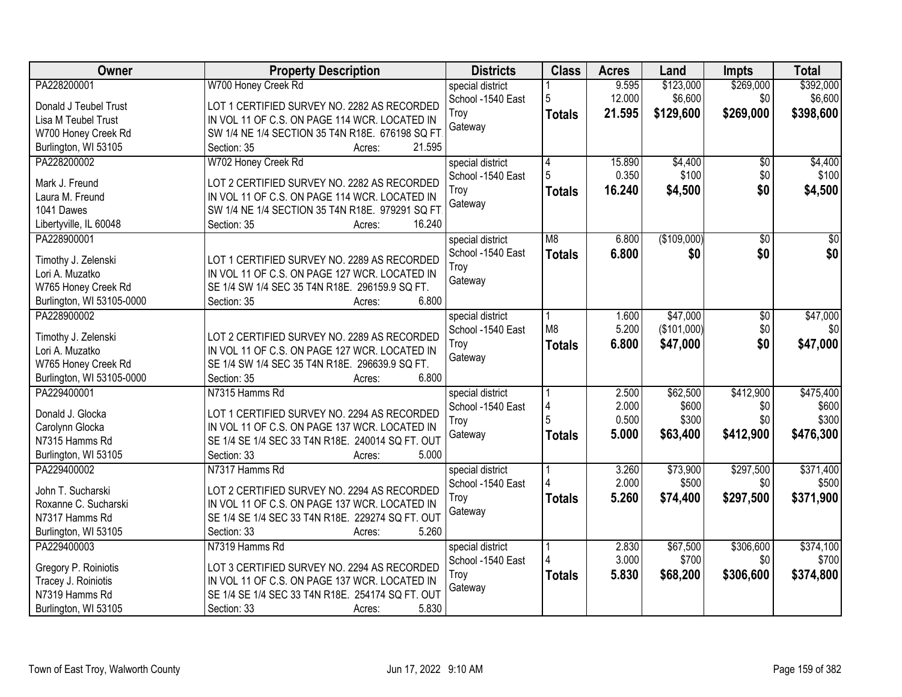| Owner                     | <b>Property Description</b>                      | <b>Districts</b>  | <b>Class</b>   | <b>Acres</b> | Land        | Impts     | <b>Total</b>    |
|---------------------------|--------------------------------------------------|-------------------|----------------|--------------|-------------|-----------|-----------------|
| PA228200001               | W700 Honey Creek Rd                              | special district  |                | 9.595        | \$123,000   | \$269,000 | \$392,000       |
| Donald J Teubel Trust     | LOT 1 CERTIFIED SURVEY NO. 2282 AS RECORDED      | School -1540 East | 5              | 12.000       | \$6,600     | \$0       | \$6,600         |
| Lisa M Teubel Trust       | IN VOL 11 OF C.S. ON PAGE 114 WCR. LOCATED IN    | Troy              | <b>Totals</b>  | 21.595       | \$129,600   | \$269,000 | \$398,600       |
| W700 Honey Creek Rd       | SW 1/4 NE 1/4 SECTION 35 T4N R18E. 676198 SQ FT  | Gateway           |                |              |             |           |                 |
| Burlington, WI 53105      | 21.595<br>Section: 35<br>Acres:                  |                   |                |              |             |           |                 |
| PA228200002               | W702 Honey Creek Rd                              | special district  | 4              | 15,890       | \$4,400     | \$0       | \$4,400         |
|                           |                                                  | School -1540 East | 5              | 0.350        | \$100       | \$0       | \$100           |
| Mark J. Freund            | LOT 2 CERTIFIED SURVEY NO. 2282 AS RECORDED      | Troy              | <b>Totals</b>  | 16.240       | \$4,500     | \$0       | \$4,500         |
| Laura M. Freund           | IN VOL 11 OF C.S. ON PAGE 114 WCR. LOCATED IN    | Gateway           |                |              |             |           |                 |
| 1041 Dawes                | SW 1/4 NE 1/4 SECTION 35 T4N R18E. 979291 SQ FT  |                   |                |              |             |           |                 |
| Libertyville, IL 60048    | 16.240<br>Section: 35<br>Acres:                  |                   |                |              |             |           |                 |
| PA228900001               |                                                  | special district  | M <sub>8</sub> | 6.800        | (\$109,000) | \$0       | $\overline{50}$ |
| Timothy J. Zelenski       | LOT 1 CERTIFIED SURVEY NO. 2289 AS RECORDED      | School -1540 East | <b>Totals</b>  | 6.800        | \$0         | \$0       | \$0             |
| Lori A. Muzatko           | IN VOL 11 OF C.S. ON PAGE 127 WCR. LOCATED IN    | Troy              |                |              |             |           |                 |
| W765 Honey Creek Rd       | SE 1/4 SW 1/4 SEC 35 T4N R18E. 296159.9 SQ FT.   | Gateway           |                |              |             |           |                 |
| Burlington, WI 53105-0000 | 6.800<br>Section: 35<br>Acres:                   |                   |                |              |             |           |                 |
| PA228900002               |                                                  | special district  |                | 1.600        | \$47,000    | \$0       | \$47,000        |
|                           |                                                  | School -1540 East | M <sub>8</sub> | 5.200        | (\$101,000) | \$0       | \$0             |
| Timothy J. Zelenski       | LOT 2 CERTIFIED SURVEY NO. 2289 AS RECORDED      | Troy              | <b>Totals</b>  | 6.800        | \$47,000    | \$0       | \$47,000        |
| Lori A. Muzatko           | IN VOL 11 OF C.S. ON PAGE 127 WCR. LOCATED IN    | Gateway           |                |              |             |           |                 |
| W765 Honey Creek Rd       | SE 1/4 SW 1/4 SEC 35 T4N R18E. 296639.9 SQ FT.   |                   |                |              |             |           |                 |
| Burlington, WI 53105-0000 | 6.800<br>Section: 35<br>Acres:                   |                   |                |              |             |           |                 |
| PA229400001               | N7315 Hamms Rd                                   | special district  |                | 2.500        | \$62,500    | \$412,900 | \$475,400       |
| Donald J. Glocka          | LOT 1 CERTIFIED SURVEY NO. 2294 AS RECORDED      | School -1540 East |                | 2.000        | \$600       | \$0       | \$600           |
| Carolynn Glocka           | IN VOL 11 OF C.S. ON PAGE 137 WCR. LOCATED IN    | Troy              |                | 0.500        | \$300       | \$0       | \$300           |
| N7315 Hamms Rd            | SE 1/4 SE 1/4 SEC 33 T4N R18E. 240014 SQ FT. OUT | Gateway           | <b>Totals</b>  | 5.000        | \$63,400    | \$412,900 | \$476,300       |
| Burlington, WI 53105      | 5.000<br>Section: 33<br>Acres:                   |                   |                |              |             |           |                 |
| PA229400002               | N7317 Hamms Rd                                   | special district  |                | 3.260        | \$73,900    | \$297,500 | \$371,400       |
|                           |                                                  | School -1540 East |                | 2.000        | \$500       | \$0       | \$500           |
| John T. Sucharski         | LOT 2 CERTIFIED SURVEY NO. 2294 AS RECORDED      | Troy              | <b>Totals</b>  | 5.260        | \$74,400    | \$297,500 | \$371,900       |
| Roxanne C. Sucharski      | IN VOL 11 OF C.S. ON PAGE 137 WCR. LOCATED IN    | Gateway           |                |              |             |           |                 |
| N7317 Hamms Rd            | SE 1/4 SE 1/4 SEC 33 T4N R18E. 229274 SQ FT. OUT |                   |                |              |             |           |                 |
| Burlington, WI 53105      | Section: 33<br>5.260<br>Acres:                   |                   |                |              |             |           |                 |
| PA229400003               | N7319 Hamms Rd                                   | special district  |                | 2.830        | \$67,500    | \$306,600 | \$374,100       |
| Gregory P. Roiniotis      | LOT 3 CERTIFIED SURVEY NO. 2294 AS RECORDED      | School -1540 East |                | 3.000        | \$700       | \$0       | \$700           |
| Tracey J. Roiniotis       | IN VOL 11 OF C.S. ON PAGE 137 WCR. LOCATED IN    | Troy              | <b>Totals</b>  | 5.830        | \$68,200    | \$306,600 | \$374,800       |
| N7319 Hamms Rd            | SE 1/4 SE 1/4 SEC 33 T4N R18E. 254174 SQ FT. OUT | Gateway           |                |              |             |           |                 |
|                           |                                                  |                   |                |              |             |           |                 |
| Burlington, WI 53105      | 5.830<br>Section: 33<br>Acres:                   |                   |                |              |             |           |                 |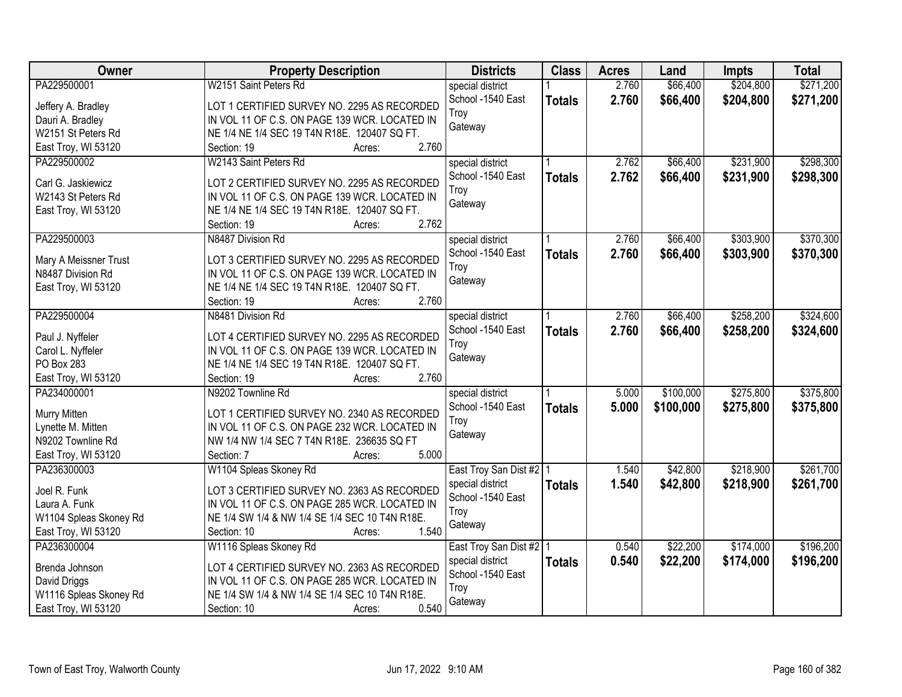| Owner                  | <b>Property Description</b>                    | <b>Districts</b>          | <b>Class</b>  | <b>Acres</b> | Land      | <b>Impts</b> | <b>Total</b> |
|------------------------|------------------------------------------------|---------------------------|---------------|--------------|-----------|--------------|--------------|
| PA229500001            | W2151 Saint Peters Rd                          | special district          |               | 2.760        | \$66,400  | \$204,800    | \$271,200    |
| Jeffery A. Bradley     | LOT 1 CERTIFIED SURVEY NO. 2295 AS RECORDED    | School -1540 East         | <b>Totals</b> | 2.760        | \$66,400  | \$204,800    | \$271,200    |
| Dauri A. Bradley       | IN VOL 11 OF C.S. ON PAGE 139 WCR. LOCATED IN  | Troy                      |               |              |           |              |              |
| W2151 St Peters Rd     | NE 1/4 NE 1/4 SEC 19 T4N R18E. 120407 SQ FT.   | Gateway                   |               |              |           |              |              |
| East Troy, WI 53120    | 2.760<br>Section: 19<br>Acres:                 |                           |               |              |           |              |              |
| PA229500002            | W2143 Saint Peters Rd                          | special district          |               | 2.762        | \$66,400  | \$231,900    | \$298,300    |
|                        |                                                | School -1540 East         | <b>Totals</b> | 2.762        | \$66,400  | \$231,900    | \$298,300    |
| Carl G. Jaskiewicz     | LOT 2 CERTIFIED SURVEY NO. 2295 AS RECORDED    | Troy                      |               |              |           |              |              |
| W2143 St Peters Rd     | IN VOL 11 OF C.S. ON PAGE 139 WCR. LOCATED IN  | Gateway                   |               |              |           |              |              |
| East Troy, WI 53120    | NE 1/4 NE 1/4 SEC 19 T4N R18E. 120407 SQ FT.   |                           |               |              |           |              |              |
|                        | 2.762<br>Section: 19<br>Acres:                 |                           |               |              |           |              |              |
| PA229500003            | N8487 Division Rd                              | special district          |               | 2.760        | \$66,400  | \$303,900    | \$370,300    |
| Mary A Meissner Trust  | LOT 3 CERTIFIED SURVEY NO. 2295 AS RECORDED    | School -1540 East         | <b>Totals</b> | 2.760        | \$66,400  | \$303,900    | \$370,300    |
| N8487 Division Rd      | IN VOL 11 OF C.S. ON PAGE 139 WCR. LOCATED IN  | Troy                      |               |              |           |              |              |
| East Troy, WI 53120    | NE 1/4 NE 1/4 SEC 19 T4N R18E. 120407 SQ FT.   | Gateway                   |               |              |           |              |              |
|                        | 2.760<br>Section: 19<br>Acres:                 |                           |               |              |           |              |              |
| PA229500004            | N8481 Division Rd                              | special district          |               | 2.760        | \$66,400  | \$258,200    | \$324,600    |
|                        |                                                | School -1540 East         | <b>Totals</b> | 2.760        | \$66,400  | \$258,200    | \$324,600    |
| Paul J. Nyffeler       | LOT 4 CERTIFIED SURVEY NO. 2295 AS RECORDED    | Troy                      |               |              |           |              |              |
| Carol L. Nyffeler      | IN VOL 11 OF C.S. ON PAGE 139 WCR. LOCATED IN  | Gateway                   |               |              |           |              |              |
| PO Box 283             | NE 1/4 NE 1/4 SEC 19 T4N R18E. 120407 SQ FT.   |                           |               |              |           |              |              |
| East Troy, WI 53120    | Section: 19<br>2.760<br>Acres:                 |                           |               |              |           |              |              |
| PA234000001            | N9202 Townline Rd                              | special district          |               | 5.000        | \$100,000 | \$275,800    | \$375,800    |
| Murry Mitten           | LOT 1 CERTIFIED SURVEY NO. 2340 AS RECORDED    | School -1540 East         | <b>Totals</b> | 5.000        | \$100,000 | \$275,800    | \$375,800    |
| Lynette M. Mitten      | IN VOL 11 OF C.S. ON PAGE 232 WCR. LOCATED IN  | Troy                      |               |              |           |              |              |
| N9202 Townline Rd      | NW 1/4 NW 1/4 SEC 7 T4N R18E. 236635 SQ FT     | Gateway                   |               |              |           |              |              |
| East Troy, WI 53120    | 5.000<br>Section: 7<br>Acres:                  |                           |               |              |           |              |              |
| PA236300003            | W1104 Spleas Skoney Rd                         | East Troy San Dist #2   1 |               | 1.540        | \$42,800  | \$218,900    | \$261,700    |
|                        |                                                | special district          | <b>Totals</b> | 1.540        | \$42,800  | \$218,900    | \$261,700    |
| Joel R. Funk           | LOT 3 CERTIFIED SURVEY NO. 2363 AS RECORDED    | School -1540 East         |               |              |           |              |              |
| Laura A. Funk          | IN VOL 11 OF C.S. ON PAGE 285 WCR. LOCATED IN  | Troy                      |               |              |           |              |              |
| W1104 Spleas Skoney Rd | NE 1/4 SW 1/4 & NW 1/4 SE 1/4 SEC 10 T4N R18E. | Gateway                   |               |              |           |              |              |
| East Troy, WI 53120    | 1.540<br>Section: 10<br>Acres:                 |                           |               |              |           |              |              |
| PA236300004            | W1116 Spleas Skoney Rd                         | East Troy San Dist #2   1 |               | 0.540        | \$22,200  | \$174,000    | \$196,200    |
| Brenda Johnson         | LOT 4 CERTIFIED SURVEY NO. 2363 AS RECORDED    | special district          | <b>Totals</b> | 0.540        | \$22,200  | \$174,000    | \$196,200    |
| David Driggs           | IN VOL 11 OF C.S. ON PAGE 285 WCR. LOCATED IN  | School -1540 East         |               |              |           |              |              |
| W1116 Spleas Skoney Rd | NE 1/4 SW 1/4 & NW 1/4 SE 1/4 SEC 10 T4N R18E. | Troy                      |               |              |           |              |              |
| East Troy, WI 53120    | 0.540<br>Section: 10<br>Acres:                 | Gateway                   |               |              |           |              |              |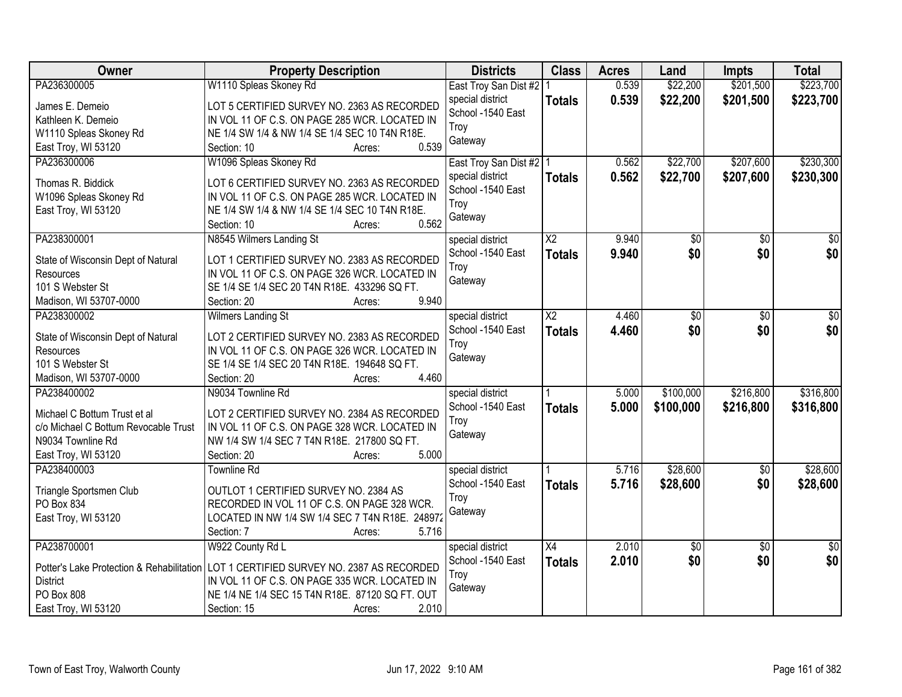| Owner                                                        | <b>Property Description</b>                                                                  | <b>Districts</b>                      | <b>Class</b>           | <b>Acres</b> | Land            | <b>Impts</b>    | <b>Total</b>    |
|--------------------------------------------------------------|----------------------------------------------------------------------------------------------|---------------------------------------|------------------------|--------------|-----------------|-----------------|-----------------|
| PA236300005                                                  | W1110 Spleas Skoney Rd                                                                       | East Troy San Dist #2   1             |                        | 0.539        | \$22,200        | \$201,500       | \$223,700       |
| James E. Demeio                                              | LOT 5 CERTIFIED SURVEY NO. 2363 AS RECORDED                                                  | special district                      | <b>Totals</b>          | 0.539        | \$22,200        | \$201,500       | \$223,700       |
| Kathleen K. Demeio                                           | IN VOL 11 OF C.S. ON PAGE 285 WCR. LOCATED IN                                                | School -1540 East                     |                        |              |                 |                 |                 |
| W1110 Spleas Skoney Rd                                       | NE 1/4 SW 1/4 & NW 1/4 SE 1/4 SEC 10 T4N R18E.                                               | Troy                                  |                        |              |                 |                 |                 |
| East Troy, WI 53120                                          | 0.539<br>Section: 10<br>Acres:                                                               | Gateway                               |                        |              |                 |                 |                 |
| PA236300006                                                  | W1096 Spleas Skoney Rd                                                                       | East Troy San Dist #2   1             |                        | 0.562        | \$22,700        | \$207,600       | \$230,300       |
|                                                              |                                                                                              | special district                      | <b>Totals</b>          | 0.562        | \$22,700        | \$207,600       | \$230,300       |
| Thomas R. Biddick                                            | LOT 6 CERTIFIED SURVEY NO. 2363 AS RECORDED                                                  | School -1540 East                     |                        |              |                 |                 |                 |
| W1096 Spleas Skoney Rd                                       | IN VOL 11 OF C.S. ON PAGE 285 WCR. LOCATED IN                                                | Troy                                  |                        |              |                 |                 |                 |
| East Troy, WI 53120                                          | NE 1/4 SW 1/4 & NW 1/4 SE 1/4 SEC 10 T4N R18E.<br>0.562<br>Section: 10                       | Gateway                               |                        |              |                 |                 |                 |
| PA238300001                                                  | Acres:                                                                                       |                                       | $\overline{\text{X2}}$ | 9.940        |                 |                 | $\overline{50}$ |
|                                                              | N8545 Wilmers Landing St                                                                     | special district<br>School -1540 East |                        |              | \$0<br>\$0      | \$0             |                 |
| State of Wisconsin Dept of Natural                           | LOT 1 CERTIFIED SURVEY NO. 2383 AS RECORDED                                                  | Troy                                  | <b>Totals</b>          | 9.940        |                 | \$0             | \$0             |
| Resources                                                    | IN VOL 11 OF C.S. ON PAGE 326 WCR. LOCATED IN                                                | Gateway                               |                        |              |                 |                 |                 |
| 101 S Webster St                                             | SE 1/4 SE 1/4 SEC 20 T4N R18E. 433296 SQ FT.                                                 |                                       |                        |              |                 |                 |                 |
| Madison, WI 53707-0000                                       | 9.940<br>Section: 20<br>Acres:                                                               |                                       |                        |              |                 |                 |                 |
| PA238300002                                                  | <b>Wilmers Landing St</b>                                                                    | special district                      | $\overline{\text{X2}}$ | 4.460        | $\overline{50}$ | $\overline{50}$ | $\overline{30}$ |
| State of Wisconsin Dept of Natural                           | LOT 2 CERTIFIED SURVEY NO. 2383 AS RECORDED                                                  | School -1540 East                     | <b>Totals</b>          | 4.460        | \$0             | \$0             | \$0             |
| Resources                                                    | IN VOL 11 OF C.S. ON PAGE 326 WCR. LOCATED IN                                                | Troy                                  |                        |              |                 |                 |                 |
| 101 S Webster St                                             | SE 1/4 SE 1/4 SEC 20 T4N R18E. 194648 SQ FT.                                                 | Gateway                               |                        |              |                 |                 |                 |
| Madison, WI 53707-0000                                       | 4.460<br>Section: 20<br>Acres:                                                               |                                       |                        |              |                 |                 |                 |
| PA238400002                                                  | N9034 Townline Rd                                                                            | special district                      |                        | 5.000        | \$100,000       | \$216,800       | \$316,800       |
|                                                              |                                                                                              | School -1540 East                     | <b>Totals</b>          | 5.000        | \$100,000       | \$216,800       | \$316,800       |
| Michael C Bottum Trust et al                                 | LOT 2 CERTIFIED SURVEY NO. 2384 AS RECORDED                                                  | Troy                                  |                        |              |                 |                 |                 |
| c/o Michael C Bottum Revocable Trust                         | IN VOL 11 OF C.S. ON PAGE 328 WCR. LOCATED IN                                                | Gateway                               |                        |              |                 |                 |                 |
| N9034 Townline Rd                                            | NW 1/4 SW 1/4 SEC 7 T4N R18E. 217800 SQ FT.                                                  |                                       |                        |              |                 |                 |                 |
| East Troy, WI 53120                                          | 5.000<br>Section: 20<br>Acres:                                                               |                                       |                        |              |                 |                 |                 |
| PA238400003                                                  | <b>Townline Rd</b>                                                                           | special district                      |                        | 5.716        | \$28,600        | $\sqrt{6}$      | \$28,600        |
| Triangle Sportsmen Club                                      | OUTLOT 1 CERTIFIED SURVEY NO. 2384 AS                                                        | School -1540 East                     | <b>Totals</b>          | 5.716        | \$28,600        | \$0             | \$28,600        |
| PO Box 834                                                   | RECORDED IN VOL 11 OF C.S. ON PAGE 328 WCR.                                                  | Troy                                  |                        |              |                 |                 |                 |
| East Troy, WI 53120                                          | LOCATED IN NW 1/4 SW 1/4 SEC 7 T4N R18E. 248972                                              | Gateway                               |                        |              |                 |                 |                 |
|                                                              | 5.716<br>Section: 7<br>Acres:                                                                |                                       |                        |              |                 |                 |                 |
| PA238700001                                                  | W922 County Rd L                                                                             | special district                      | X4                     | 2.010        | $\overline{60}$ | $\overline{50}$ | $\overline{50}$ |
|                                                              |                                                                                              | School -1540 East                     | <b>Totals</b>          | 2.010        | \$0             | \$0             | \$0             |
| Potter's Lake Protection & Rehabilitation<br><b>District</b> | LOT 1 CERTIFIED SURVEY NO. 2387 AS RECORDED<br>IN VOL 11 OF C.S. ON PAGE 335 WCR. LOCATED IN | Troy                                  |                        |              |                 |                 |                 |
| PO Box 808                                                   | NE 1/4 NE 1/4 SEC 15 T4N R18E. 87120 SQ FT. OUT                                              | Gateway                               |                        |              |                 |                 |                 |
|                                                              | 2.010                                                                                        |                                       |                        |              |                 |                 |                 |
| East Troy, WI 53120                                          | Section: 15<br>Acres:                                                                        |                                       |                        |              |                 |                 |                 |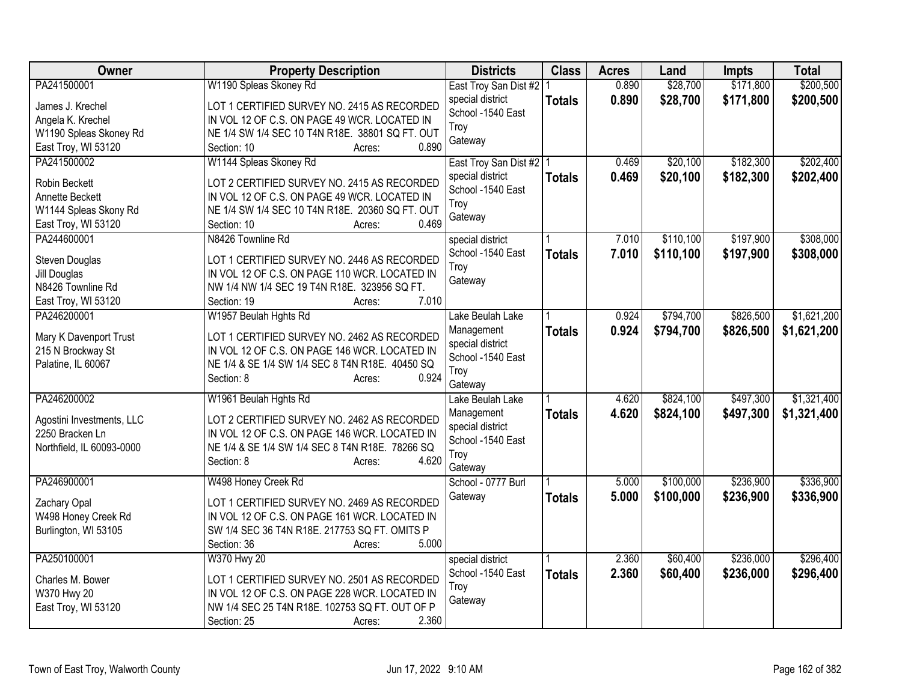| Owner                            | <b>Property Description</b>                                                                     | <b>Districts</b>          | <b>Class</b>  | <b>Acres</b> | Land      | <b>Impts</b> | <b>Total</b> |
|----------------------------------|-------------------------------------------------------------------------------------------------|---------------------------|---------------|--------------|-----------|--------------|--------------|
| PA241500001                      | W1190 Spleas Skoney Rd                                                                          | East Troy San Dist #2   1 |               | 0.890        | \$28,700  | \$171,800    | \$200,500    |
| James J. Krechel                 | LOT 1 CERTIFIED SURVEY NO. 2415 AS RECORDED                                                     | special district          | <b>Totals</b> | 0.890        | \$28,700  | \$171,800    | \$200,500    |
| Angela K. Krechel                | IN VOL 12 OF C.S. ON PAGE 49 WCR. LOCATED IN                                                    | School -1540 East         |               |              |           |              |              |
| W1190 Spleas Skoney Rd           | NE 1/4 SW 1/4 SEC 10 T4N R18E. 38801 SQ FT. OUT                                                 | Troy                      |               |              |           |              |              |
| East Troy, WI 53120              | 0.890<br>Section: 10<br>Acres:                                                                  | Gateway                   |               |              |           |              |              |
| PA241500002                      | W1144 Spleas Skoney Rd                                                                          | East Troy San Dist #2   1 |               | 0.469        | \$20,100  | \$182,300    | \$202,400    |
|                                  |                                                                                                 | special district          | <b>Totals</b> | 0.469        | \$20,100  | \$182,300    | \$202,400    |
| Robin Beckett<br>Annette Beckett | LOT 2 CERTIFIED SURVEY NO. 2415 AS RECORDED                                                     | School -1540 East         |               |              |           |              |              |
|                                  | IN VOL 12 OF C.S. ON PAGE 49 WCR. LOCATED IN<br>NE 1/4 SW 1/4 SEC 10 T4N R18E. 20360 SQ FT. OUT | Troy                      |               |              |           |              |              |
| W1144 Spleas Skony Rd            | 0.469                                                                                           | Gateway                   |               |              |           |              |              |
| East Troy, WI 53120              | Section: 10<br>Acres:                                                                           |                           |               |              |           |              |              |
| PA244600001                      | N8426 Townline Rd                                                                               | special district          |               | 7.010        | \$110,100 | \$197,900    | \$308,000    |
| Steven Douglas                   | LOT 1 CERTIFIED SURVEY NO. 2446 AS RECORDED                                                     | School -1540 East         | <b>Totals</b> | 7.010        | \$110,100 | \$197,900    | \$308,000    |
| Jill Douglas                     | IN VOL 12 OF C.S. ON PAGE 110 WCR. LOCATED IN                                                   | Troy                      |               |              |           |              |              |
| N8426 Townline Rd                | NW 1/4 NW 1/4 SEC 19 T4N R18E. 323956 SQ FT.                                                    | Gateway                   |               |              |           |              |              |
| East Troy, WI 53120              | 7.010<br>Section: 19<br>Acres:                                                                  |                           |               |              |           |              |              |
| PA246200001                      | W1957 Beulah Hghts Rd                                                                           | Lake Beulah Lake          |               | 0.924        | \$794,700 | \$826,500    | \$1,621,200  |
|                                  |                                                                                                 | Management                | <b>Totals</b> | 0.924        | \$794,700 | \$826,500    | \$1,621,200  |
| Mary K Davenport Trust           | LOT 1 CERTIFIED SURVEY NO. 2462 AS RECORDED                                                     | special district          |               |              |           |              |              |
| 215 N Brockway St                | IN VOL 12 OF C.S. ON PAGE 146 WCR. LOCATED IN                                                   | School -1540 East         |               |              |           |              |              |
| Palatine, IL 60067               | NE 1/4 & SE 1/4 SW 1/4 SEC 8 T4N R18E. 40450 SQ<br>0.924                                        | Troy                      |               |              |           |              |              |
|                                  | Section: 8<br>Acres:                                                                            | Gateway                   |               |              |           |              |              |
| PA246200002                      | W1961 Beulah Hghts Rd                                                                           | Lake Beulah Lake          |               | 4.620        | \$824,100 | \$497,300    | \$1,321,400  |
| Agostini Investments, LLC        | LOT 2 CERTIFIED SURVEY NO. 2462 AS RECORDED                                                     | Management                | <b>Totals</b> | 4.620        | \$824,100 | \$497,300    | \$1,321,400  |
| 2250 Bracken Ln                  | IN VOL 12 OF C.S. ON PAGE 146 WCR. LOCATED IN                                                   | special district          |               |              |           |              |              |
| Northfield, IL 60093-0000        | NE 1/4 & SE 1/4 SW 1/4 SEC 8 T4N R18E. 78266 SQ                                                 | School -1540 East         |               |              |           |              |              |
|                                  | Section: 8<br>4.620                                                                             | Troy                      |               |              |           |              |              |
|                                  | Acres:                                                                                          | Gateway                   |               |              |           |              |              |
| PA246900001                      | W498 Honey Creek Rd                                                                             | School - 0777 Burl        |               | 5.000        | \$100,000 | \$236,900    | \$336,900    |
| Zachary Opal                     | LOT 1 CERTIFIED SURVEY NO. 2469 AS RECORDED                                                     | Gateway                   | <b>Totals</b> | 5.000        | \$100,000 | \$236,900    | \$336,900    |
| W498 Honey Creek Rd              | IN VOL 12 OF C.S. ON PAGE 161 WCR. LOCATED IN                                                   |                           |               |              |           |              |              |
| Burlington, WI 53105             | SW 1/4 SEC 36 T4N R18E. 217753 SQ FT. OMITS P                                                   |                           |               |              |           |              |              |
|                                  | 5.000<br>Section: 36<br>Acres:                                                                  |                           |               |              |           |              |              |
| PA250100001                      | W370 Hwy 20                                                                                     | special district          |               | 2.360        | \$60,400  | \$236,000    | \$296,400    |
|                                  |                                                                                                 | School -1540 East         | <b>Totals</b> | 2.360        | \$60,400  | \$236,000    | \$296,400    |
| Charles M. Bower                 | LOT 1 CERTIFIED SURVEY NO. 2501 AS RECORDED                                                     | Troy                      |               |              |           |              |              |
| W370 Hwy 20                      | IN VOL 12 OF C.S. ON PAGE 228 WCR. LOCATED IN                                                   | Gateway                   |               |              |           |              |              |
| East Troy, WI 53120              | NW 1/4 SEC 25 T4N R18E. 102753 SQ FT. OUT OF P                                                  |                           |               |              |           |              |              |
|                                  | 2.360<br>Section: 25<br>Acres:                                                                  |                           |               |              |           |              |              |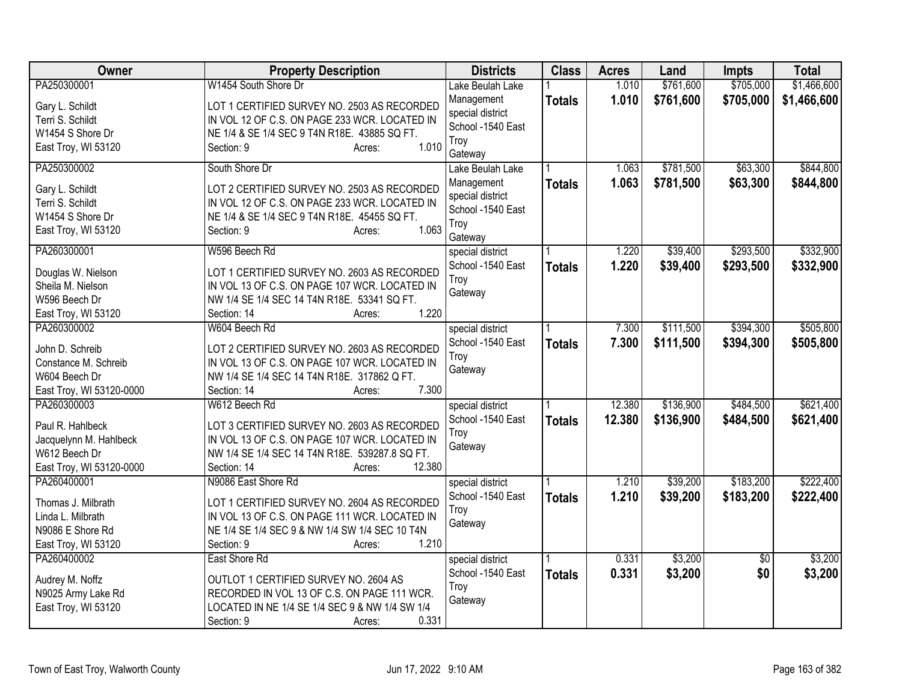| <b>Owner</b>                                                                                      | <b>Property Description</b>                                                                                                                                                                            | <b>Districts</b>                                                       | <b>Class</b>  | <b>Acres</b>   | Land                   | <b>Impts</b>           | <b>Total</b>           |
|---------------------------------------------------------------------------------------------------|--------------------------------------------------------------------------------------------------------------------------------------------------------------------------------------------------------|------------------------------------------------------------------------|---------------|----------------|------------------------|------------------------|------------------------|
| PA250300001                                                                                       | W1454 South Shore Dr                                                                                                                                                                                   | Lake Beulah Lake                                                       |               | 1.010          | \$761,600              | \$705,000              | \$1,466,600            |
| Gary L. Schildt<br>Terri S. Schildt<br>W1454 S Shore Dr<br>East Troy, WI 53120                    | LOT 1 CERTIFIED SURVEY NO. 2503 AS RECORDED<br>IN VOL 12 OF C.S. ON PAGE 233 WCR. LOCATED IN<br>NE 1/4 & SE 1/4 SEC 9 T4N R18E. 43885 SQ FT.<br>1.010<br>Section: 9<br>Acres:                          | Management<br>special district<br>School -1540 East<br>Troy            | <b>Totals</b> | 1.010          | \$761,600              | \$705,000              | \$1,466,600            |
| PA250300002                                                                                       | South Shore Dr                                                                                                                                                                                         | Gateway<br>Lake Beulah Lake                                            |               | 1.063          | \$781,500              | \$63,300               | \$844,800              |
| Gary L. Schildt<br>Terri S. Schildt<br>W1454 S Shore Dr<br>East Troy, WI 53120                    | LOT 2 CERTIFIED SURVEY NO. 2503 AS RECORDED<br>IN VOL 12 OF C.S. ON PAGE 233 WCR. LOCATED IN<br>NE 1/4 & SE 1/4 SEC 9 T4N R18E. 45455 SQ FT.<br>1.063<br>Section: 9<br>Acres:                          | Management<br>special district<br>School -1540 East<br>Troy<br>Gateway | <b>Totals</b> | 1.063          | \$781,500              | \$63,300               | \$844,800              |
| PA260300001<br>Douglas W. Nielson<br>Sheila M. Nielson<br>W596 Beech Dr                           | W596 Beech Rd<br>LOT 1 CERTIFIED SURVEY NO. 2603 AS RECORDED<br>IN VOL 13 OF C.S. ON PAGE 107 WCR. LOCATED IN<br>NW 1/4 SE 1/4 SEC 14 T4N R18E. 53341 SQ FT.                                           | special district<br>School -1540 East<br>Troy<br>Gateway               | <b>Totals</b> | 1.220<br>1.220 | \$39,400<br>\$39,400   | \$293,500<br>\$293,500 | \$332,900<br>\$332,900 |
| East Troy, WI 53120                                                                               | 1.220<br>Section: 14<br>Acres:                                                                                                                                                                         |                                                                        |               |                |                        |                        |                        |
| PA260300002<br>John D. Schreib<br>Constance M. Schreib<br>W604 Beech Dr                           | W604 Beech Rd<br>LOT 2 CERTIFIED SURVEY NO. 2603 AS RECORDED<br>IN VOL 13 OF C.S. ON PAGE 107 WCR. LOCATED IN<br>NW 1/4 SE 1/4 SEC 14 T4N R18E. 317862 Q FT.                                           | special district<br>School -1540 East<br>Troy<br>Gateway               | <b>Totals</b> | 7.300<br>7.300 | \$111,500<br>\$111,500 | \$394,300<br>\$394,300 | \$505,800<br>\$505,800 |
| East Troy, WI 53120-0000<br>PA260300003                                                           | 7.300<br>Section: 14<br>Acres:<br>W612 Beech Rd                                                                                                                                                        | special district                                                       |               | 12.380         | \$136,900              | \$484,500              | \$621,400              |
| Paul R. Hahlbeck<br>Jacquelynn M. Hahlbeck<br>W612 Beech Dr<br>East Troy, WI 53120-0000           | LOT 3 CERTIFIED SURVEY NO. 2603 AS RECORDED<br>IN VOL 13 OF C.S. ON PAGE 107 WCR. LOCATED IN<br>NW 1/4 SE 1/4 SEC 14 T4N R18E. 539287.8 SQ FT.<br>12.380<br>Section: 14<br>Acres:                      | School -1540 East<br>Troy<br>Gateway                                   | <b>Totals</b> | 12.380         | \$136,900              | \$484,500              | \$621,400              |
| PA260400001<br>Thomas J. Milbrath<br>Linda L. Milbrath<br>N9086 E Shore Rd<br>East Troy, WI 53120 | N9086 East Shore Rd<br>LOT 1 CERTIFIED SURVEY NO. 2604 AS RECORDED<br>IN VOL 13 OF C.S. ON PAGE 111 WCR. LOCATED IN<br>NE 1/4 SE 1/4 SEC 9 & NW 1/4 SW 1/4 SEC 10 T4N<br>1.210<br>Section: 9<br>Acres: | special district<br>School -1540 East<br>Troy<br>Gateway               | <b>Totals</b> | 1.210<br>1.210 | \$39,200<br>\$39,200   | \$183,200<br>\$183,200 | \$222,400<br>\$222,400 |
| PA260400002<br>Audrey M. Noffz<br>N9025 Army Lake Rd<br>East Troy, WI 53120                       | East Shore Rd<br>OUTLOT 1 CERTIFIED SURVEY NO. 2604 AS<br>RECORDED IN VOL 13 OF C.S. ON PAGE 111 WCR.<br>LOCATED IN NE 1/4 SE 1/4 SEC 9 & NW 1/4 SW 1/4<br>0.331<br>Section: 9<br>Acres:               | special district<br>School -1540 East<br>Troy<br>Gateway               | <b>Totals</b> | 0.331<br>0.331 | \$3,200<br>\$3,200     | $\overline{50}$<br>\$0 | \$3,200<br>\$3,200     |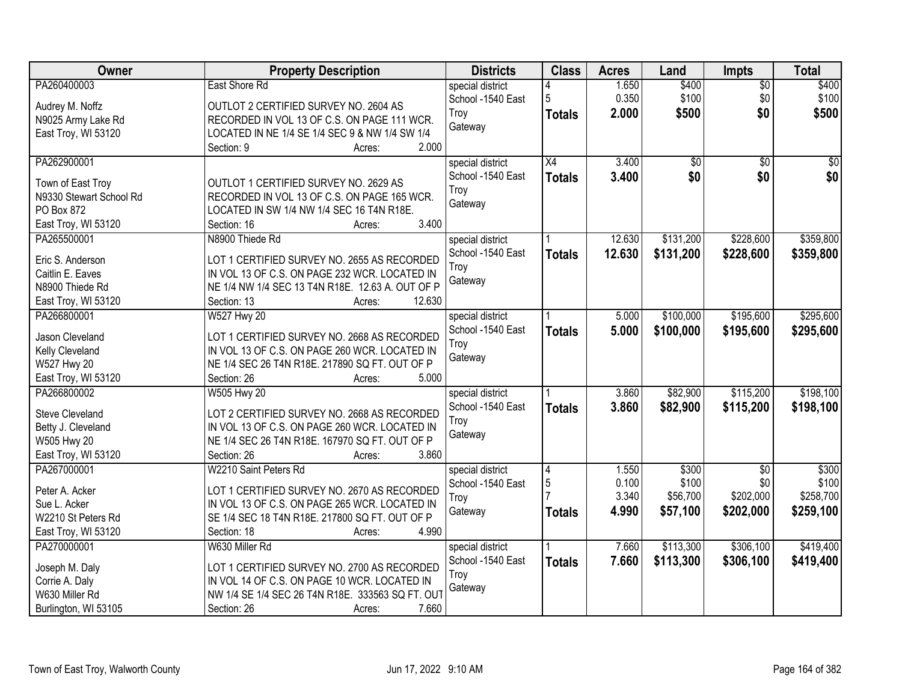| Owner                                        | <b>Property Description</b>                                                                  | <b>Districts</b>  | <b>Class</b>    | <b>Acres</b> | Land            | <b>Impts</b>    | <b>Total</b> |
|----------------------------------------------|----------------------------------------------------------------------------------------------|-------------------|-----------------|--------------|-----------------|-----------------|--------------|
| PA260400003                                  | East Shore Rd                                                                                | special district  |                 | 1.650        | \$400           | $\overline{50}$ | \$400        |
| Audrey M. Noffz                              | OUTLOT 2 CERTIFIED SURVEY NO. 2604 AS                                                        | School -1540 East | 5               | 0.350        | \$100           | \$0             | \$100        |
| N9025 Army Lake Rd                           | RECORDED IN VOL 13 OF C.S. ON PAGE 111 WCR.                                                  | Troy              | <b>Totals</b>   | 2.000        | \$500           | \$0             | \$500        |
| East Troy, WI 53120                          | LOCATED IN NE 1/4 SE 1/4 SEC 9 & NW 1/4 SW 1/4                                               | Gateway           |                 |              |                 |                 |              |
|                                              | 2.000<br>Section: 9<br>Acres:                                                                |                   |                 |              |                 |                 |              |
| PA262900001                                  |                                                                                              | special district  | $\overline{X4}$ | 3.400        | $\overline{50}$ | $\overline{50}$ | \$0          |
|                                              | OUTLOT 1 CERTIFIED SURVEY NO. 2629 AS                                                        | School -1540 East | <b>Totals</b>   | 3.400        | \$0             | \$0             | \$0          |
| Town of East Troy<br>N9330 Stewart School Rd | RECORDED IN VOL 13 OF C.S. ON PAGE 165 WCR.                                                  | Troy              |                 |              |                 |                 |              |
| PO Box 872                                   | LOCATED IN SW 1/4 NW 1/4 SEC 16 T4N R18E.                                                    | Gateway           |                 |              |                 |                 |              |
| East Troy, WI 53120                          | 3.400<br>Section: 16<br>Acres:                                                               |                   |                 |              |                 |                 |              |
| PA265500001                                  | N8900 Thiede Rd                                                                              | special district  |                 | 12.630       | \$131,200       | \$228,600       | \$359,800    |
|                                              |                                                                                              | School -1540 East |                 | 12.630       |                 |                 |              |
| Eric S. Anderson                             | LOT 1 CERTIFIED SURVEY NO. 2655 AS RECORDED                                                  | Troy              | <b>Totals</b>   |              | \$131,200       | \$228,600       | \$359,800    |
| Caitlin E. Eaves                             | IN VOL 13 OF C.S. ON PAGE 232 WCR. LOCATED IN                                                | Gateway           |                 |              |                 |                 |              |
| N8900 Thiede Rd                              | NE 1/4 NW 1/4 SEC 13 T4N R18E. 12.63 A. OUT OF P                                             |                   |                 |              |                 |                 |              |
| East Troy, WI 53120                          | 12.630<br>Section: 13<br>Acres:                                                              |                   |                 |              |                 |                 |              |
| PA266800001                                  | <b>W527 Hwy 20</b>                                                                           | special district  |                 | 5.000        | \$100,000       | \$195,600       | \$295,600    |
| Jason Cleveland                              |                                                                                              | School -1540 East | <b>Totals</b>   | 5.000        | \$100,000       | \$195,600       | \$295,600    |
| Kelly Cleveland                              | LOT 1 CERTIFIED SURVEY NO. 2668 AS RECORDED<br>IN VOL 13 OF C.S. ON PAGE 260 WCR. LOCATED IN | Troy              |                 |              |                 |                 |              |
| W527 Hwy 20                                  | NE 1/4 SEC 26 T4N R18E. 217890 SQ FT. OUT OF P                                               | Gateway           |                 |              |                 |                 |              |
| East Troy, WI 53120                          | 5.000<br>Section: 26<br>Acres:                                                               |                   |                 |              |                 |                 |              |
| PA266800002                                  | <b>W505 Hwy 20</b>                                                                           | special district  |                 | 3.860        | \$82,900        | \$115,200       | \$198,100    |
|                                              |                                                                                              | School -1540 East |                 | 3.860        | \$82,900        | \$115,200       |              |
| <b>Steve Cleveland</b>                       | LOT 2 CERTIFIED SURVEY NO. 2668 AS RECORDED                                                  | Troy              | <b>Totals</b>   |              |                 |                 | \$198,100    |
| Betty J. Cleveland                           | IN VOL 13 OF C.S. ON PAGE 260 WCR. LOCATED IN                                                | Gateway           |                 |              |                 |                 |              |
| W505 Hwy 20                                  | NE 1/4 SEC 26 T4N R18E. 167970 SQ FT. OUT OF P                                               |                   |                 |              |                 |                 |              |
| East Troy, WI 53120                          | 3.860<br>Section: 26<br>Acres:                                                               |                   |                 |              |                 |                 |              |
| PA267000001                                  | W2210 Saint Peters Rd                                                                        | special district  | 4               | 1.550        | \$300           | $\overline{50}$ | \$300        |
| Peter A. Acker                               | LOT 1 CERTIFIED SURVEY NO. 2670 AS RECORDED                                                  | School -1540 East | 5               | 0.100        | \$100           | \$0             | \$100        |
| Sue L. Acker                                 | IN VOL 13 OF C.S. ON PAGE 265 WCR. LOCATED IN                                                | Troy              |                 | 3.340        | \$56,700        | \$202,000       | \$258,700    |
| W2210 St Peters Rd                           | SE 1/4 SEC 18 T4N R18E. 217800 SQ FT. OUT OF P                                               | Gateway           | <b>Totals</b>   | 4.990        | \$57,100        | \$202,000       | \$259,100    |
| East Troy, WI 53120                          | Section: 18<br>4.990<br>Acres:                                                               |                   |                 |              |                 |                 |              |
| PA270000001                                  | W630 Miller Rd                                                                               | special district  |                 | 7.660        | \$113,300       | \$306,100       | \$419,400    |
|                                              |                                                                                              | School -1540 East | <b>Totals</b>   | 7.660        | \$113,300       | \$306,100       | \$419,400    |
| Joseph M. Daly                               | LOT 1 CERTIFIED SURVEY NO. 2700 AS RECORDED                                                  | Troy              |                 |              |                 |                 |              |
| Corrie A. Daly                               | IN VOL 14 OF C.S. ON PAGE 10 WCR. LOCATED IN                                                 | Gateway           |                 |              |                 |                 |              |
| W630 Miller Rd                               | NW 1/4 SE 1/4 SEC 26 T4N R18E. 333563 SQ FT. OUT                                             |                   |                 |              |                 |                 |              |
| Burlington, WI 53105                         | 7.660<br>Section: 26<br>Acres:                                                               |                   |                 |              |                 |                 |              |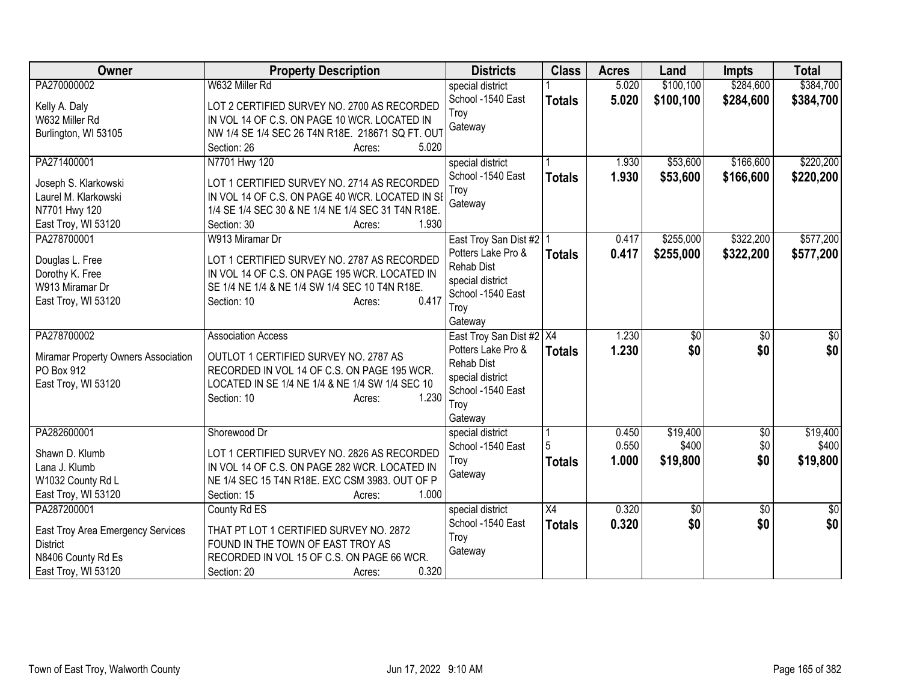| Owner                               | <b>Property Description</b>                             | <b>Districts</b>            | <b>Class</b>  | <b>Acres</b> | Land            | <b>Impts</b>    | <b>Total</b> |
|-------------------------------------|---------------------------------------------------------|-----------------------------|---------------|--------------|-----------------|-----------------|--------------|
| PA270000002                         | W632 Miller Rd                                          | special district            |               | 5.020        | \$100,100       | \$284,600       | \$384,700    |
| Kelly A. Daly                       | LOT 2 CERTIFIED SURVEY NO. 2700 AS RECORDED             | School -1540 East           | <b>Totals</b> | 5.020        | \$100,100       | \$284,600       | \$384,700    |
| W632 Miller Rd                      | IN VOL 14 OF C.S. ON PAGE 10 WCR. LOCATED IN            | Troy                        |               |              |                 |                 |              |
| Burlington, WI 53105                | NW 1/4 SE 1/4 SEC 26 T4N R18E. 218671 SQ FT. OUT        | Gateway                     |               |              |                 |                 |              |
|                                     | 5.020<br>Section: 26<br>Acres:                          |                             |               |              |                 |                 |              |
| PA271400001                         | N7701 Hwy 120                                           | special district            |               | 1.930        | \$53,600        | \$166,600       | \$220,200    |
| Joseph S. Klarkowski                | LOT 1 CERTIFIED SURVEY NO. 2714 AS RECORDED             | School -1540 East           | <b>Totals</b> | 1.930        | \$53,600        | \$166,600       | \$220,200    |
| Laurel M. Klarkowski                | IN VOL 14 OF C.S. ON PAGE 40 WCR. LOCATED IN SI         | Troy                        |               |              |                 |                 |              |
| N7701 Hwy 120                       | 1/4 SE 1/4 SEC 30 & NE 1/4 NE 1/4 SEC 31 T4N R18E.      | Gateway                     |               |              |                 |                 |              |
| East Troy, WI 53120                 | 1.930<br>Section: 30<br>Acres:                          |                             |               |              |                 |                 |              |
| PA278700001                         | W913 Miramar Dr                                         | East Troy San Dist #2   1   |               | 0.417        | \$255,000       | \$322,200       | \$577,200    |
|                                     |                                                         | Potters Lake Pro &          | <b>Totals</b> | 0.417        | \$255,000       | \$322,200       | \$577,200    |
| Douglas L. Free                     | LOT 1 CERTIFIED SURVEY NO. 2787 AS RECORDED             | Rehab Dist                  |               |              |                 |                 |              |
| Dorothy K. Free                     | IN VOL 14 OF C.S. ON PAGE 195 WCR. LOCATED IN           | special district            |               |              |                 |                 |              |
| W913 Miramar Dr                     | SE 1/4 NE 1/4 & NE 1/4 SW 1/4 SEC 10 T4N R18E.<br>0.417 | School -1540 East           |               |              |                 |                 |              |
| East Troy, WI 53120                 | Section: 10<br>Acres:                                   | Troy                        |               |              |                 |                 |              |
|                                     |                                                         | Gateway                     |               |              |                 |                 |              |
| PA278700002                         | <b>Association Access</b>                               | East Troy San Dist #2   X4  |               | 1.230        | $\overline{60}$ | $\overline{50}$ | $\sqrt{30}$  |
| Miramar Property Owners Association | OUTLOT 1 CERTIFIED SURVEY NO. 2787 AS                   | Potters Lake Pro &          | <b>Totals</b> | 1.230        | \$0             | \$0             | \$0          |
| PO Box 912                          | RECORDED IN VOL 14 OF C.S. ON PAGE 195 WCR.             | <b>Rehab Dist</b>           |               |              |                 |                 |              |
| East Troy, WI 53120                 | LOCATED IN SE 1/4 NE 1/4 & NE 1/4 SW 1/4 SEC 10         | special district            |               |              |                 |                 |              |
|                                     | 1.230<br>Section: 10<br>Acres:                          | School -1540 East           |               |              |                 |                 |              |
|                                     |                                                         | Troy                        |               |              |                 |                 |              |
| PA282600001                         | Shorewood Dr                                            | Gateway<br>special district |               | 0.450        | \$19,400        | $\overline{60}$ | \$19,400     |
|                                     |                                                         | School -1540 East           |               | 0.550        | \$400           | \$0             | \$400        |
| Shawn D. Klumb                      | LOT 1 CERTIFIED SURVEY NO. 2826 AS RECORDED             | Troy                        | <b>Totals</b> | 1.000        | \$19,800        | \$0             | \$19,800     |
| Lana J. Klumb                       | IN VOL 14 OF C.S. ON PAGE 282 WCR. LOCATED IN           | Gateway                     |               |              |                 |                 |              |
| W1032 County Rd L                   | NE 1/4 SEC 15 T4N R18E. EXC CSM 3983. OUT OF P          |                             |               |              |                 |                 |              |
| East Troy, WI 53120                 | Section: 15<br>1.000<br>Acres:                          |                             |               |              |                 |                 |              |
| PA287200001                         | County Rd ES                                            | special district            | X4            | 0.320        | $\overline{60}$ | $\overline{50}$ | \$0          |
| East Troy Area Emergency Services   | THAT PT LOT 1 CERTIFIED SURVEY NO. 2872                 | School -1540 East           | <b>Totals</b> | 0.320        | \$0             | \$0             | \$0          |
| <b>District</b>                     | FOUND IN THE TOWN OF EAST TROY AS                       | Troy                        |               |              |                 |                 |              |
| N8406 County Rd Es                  | RECORDED IN VOL 15 OF C.S. ON PAGE 66 WCR.              | Gateway                     |               |              |                 |                 |              |
| East Troy, WI 53120                 | 0.320<br>Section: 20<br>Acres:                          |                             |               |              |                 |                 |              |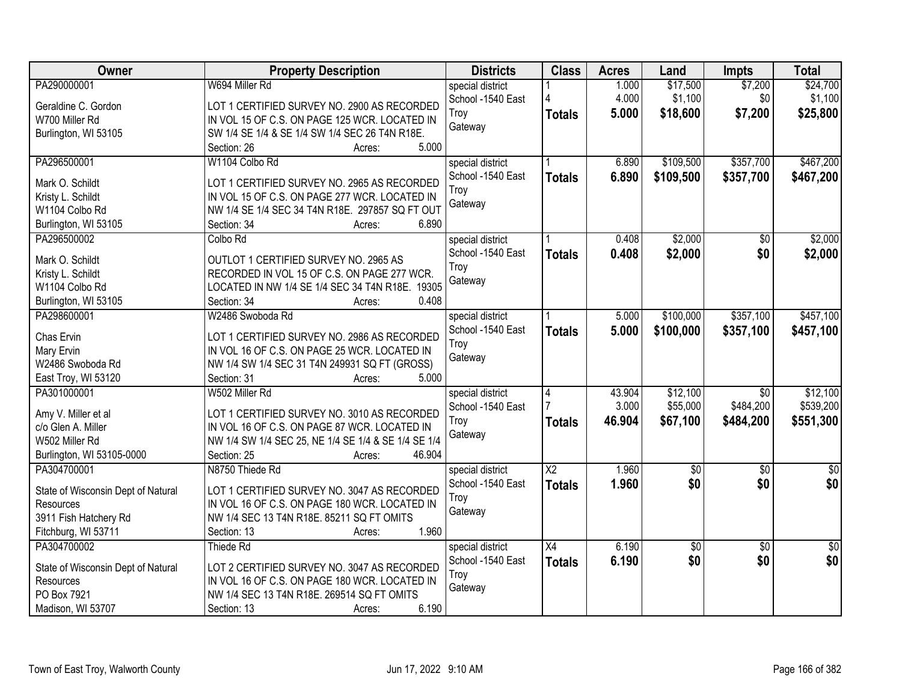| Owner                              | <b>Property Description</b>                            | <b>Districts</b>  | <b>Class</b>           | <b>Acres</b> | Land            | <b>Impts</b>    | <b>Total</b>    |
|------------------------------------|--------------------------------------------------------|-------------------|------------------------|--------------|-----------------|-----------------|-----------------|
| PA290000001                        | W694 Miller Rd                                         | special district  |                        | 1.000        | \$17,500        | \$7,200         | \$24,700        |
| Geraldine C. Gordon                | LOT 1 CERTIFIED SURVEY NO. 2900 AS RECORDED            | School -1540 East |                        | 4.000        | \$1,100         | \$0             | \$1,100         |
| W700 Miller Rd                     | IN VOL 15 OF C.S. ON PAGE 125 WCR. LOCATED IN          | Troy              | <b>Totals</b>          | 5.000        | \$18,600        | \$7,200         | \$25,800        |
| Burlington, WI 53105               | SW 1/4 SE 1/4 & SE 1/4 SW 1/4 SEC 26 T4N R18E.         | Gateway           |                        |              |                 |                 |                 |
|                                    | 5.000<br>Section: 26<br>Acres:                         |                   |                        |              |                 |                 |                 |
| PA296500001                        | W1104 Colbo Rd                                         | special district  |                        | 6.890        | \$109,500       | \$357,700       | \$467,200       |
|                                    |                                                        | School -1540 East | <b>Totals</b>          | 6.890        | \$109,500       | \$357,700       | \$467,200       |
| Mark O. Schildt                    | LOT 1 CERTIFIED SURVEY NO. 2965 AS RECORDED            | Troy              |                        |              |                 |                 |                 |
| Kristy L. Schildt                  | IN VOL 15 OF C.S. ON PAGE 277 WCR. LOCATED IN          | Gateway           |                        |              |                 |                 |                 |
| W1104 Colbo Rd                     | NW 1/4 SE 1/4 SEC 34 T4N R18E. 297857 SQ FT OUT        |                   |                        |              |                 |                 |                 |
| Burlington, WI 53105               | 6.890<br>Section: 34<br>Acres:                         |                   |                        |              |                 |                 |                 |
| PA296500002                        | Colbo Rd                                               | special district  |                        | 0.408        | \$2,000         | $\sqrt[6]{}$    | \$2,000         |
| Mark O. Schildt                    | OUTLOT 1 CERTIFIED SURVEY NO. 2965 AS                  | School -1540 East | <b>Totals</b>          | 0.408        | \$2,000         | \$0             | \$2,000         |
| Kristy L. Schildt                  | RECORDED IN VOL 15 OF C.S. ON PAGE 277 WCR.            | Troy              |                        |              |                 |                 |                 |
| W1104 Colbo Rd                     | LOCATED IN NW 1/4 SE 1/4 SEC 34 T4N R18E. 19305        | Gateway           |                        |              |                 |                 |                 |
| Burlington, WI 53105               | 0.408<br>Section: 34<br>Acres:                         |                   |                        |              |                 |                 |                 |
| PA298600001                        | W2486 Swoboda Rd                                       | special district  |                        | 5.000        | \$100,000       | \$357,100       | \$457,100       |
|                                    |                                                        | School -1540 East | <b>Totals</b>          | 5.000        | \$100,000       | \$357,100       | \$457,100       |
| Chas Ervin                         | LOT 1 CERTIFIED SURVEY NO. 2986 AS RECORDED            | Troy              |                        |              |                 |                 |                 |
| Mary Ervin                         | IN VOL 16 OF C.S. ON PAGE 25 WCR. LOCATED IN           | Gateway           |                        |              |                 |                 |                 |
| W2486 Swoboda Rd                   | NW 1/4 SW 1/4 SEC 31 T4N 249931 SQ FT (GROSS)<br>5.000 |                   |                        |              |                 |                 |                 |
| East Troy, WI 53120                | Section: 31<br>Acres:                                  |                   |                        |              |                 |                 |                 |
| PA301000001                        | W502 Miller Rd                                         | special district  | $\overline{4}$         | 43.904       | \$12,100        | $\overline{30}$ | \$12,100        |
| Amy V. Miller et al                | LOT 1 CERTIFIED SURVEY NO. 3010 AS RECORDED            | School -1540 East |                        | 3.000        | \$55,000        | \$484,200       | \$539,200       |
| c/o Glen A. Miller                 | IN VOL 16 OF C.S. ON PAGE 87 WCR. LOCATED IN           | Troy              | <b>Totals</b>          | 46.904       | \$67,100        | \$484,200       | \$551,300       |
| W502 Miller Rd                     | NW 1/4 SW 1/4 SEC 25, NE 1/4 SE 1/4 & SE 1/4 SE 1/4    | Gateway           |                        |              |                 |                 |                 |
| Burlington, WI 53105-0000          | 46.904<br>Section: 25<br>Acres:                        |                   |                        |              |                 |                 |                 |
| PA304700001                        | N8750 Thiede Rd                                        | special district  | $\overline{\text{X2}}$ | 1.960        | \$0             | $\sqrt{6}$      | $\overline{50}$ |
|                                    |                                                        | School -1540 East | <b>Totals</b>          | 1.960        | \$0             | \$0             | \$0             |
| State of Wisconsin Dept of Natural | LOT 1 CERTIFIED SURVEY NO. 3047 AS RECORDED            | Troy              |                        |              |                 |                 |                 |
| Resources                          | IN VOL 16 OF C.S. ON PAGE 180 WCR. LOCATED IN          | Gateway           |                        |              |                 |                 |                 |
| 3911 Fish Hatchery Rd              | NW 1/4 SEC 13 T4N R18E. 85211 SQ FT OMITS<br>1.960     |                   |                        |              |                 |                 |                 |
| Fitchburg, WI 53711<br>PA304700002 | Section: 13<br>Acres:                                  |                   |                        |              |                 |                 |                 |
|                                    | Thiede Rd                                              | special district  | X4                     | 6.190        | $\overline{60}$ | $\overline{50}$ | $\overline{50}$ |
| State of Wisconsin Dept of Natural | LOT 2 CERTIFIED SURVEY NO. 3047 AS RECORDED            | School -1540 East | <b>Totals</b>          | 6.190        | \$0             | \$0             | \$0             |
| Resources                          | IN VOL 16 OF C.S. ON PAGE 180 WCR. LOCATED IN          | Troy              |                        |              |                 |                 |                 |
| PO Box 7921                        | NW 1/4 SEC 13 T4N R18E. 269514 SQ FT OMITS             | Gateway           |                        |              |                 |                 |                 |
| Madison, WI 53707                  | 6.190<br>Section: 13<br>Acres:                         |                   |                        |              |                 |                 |                 |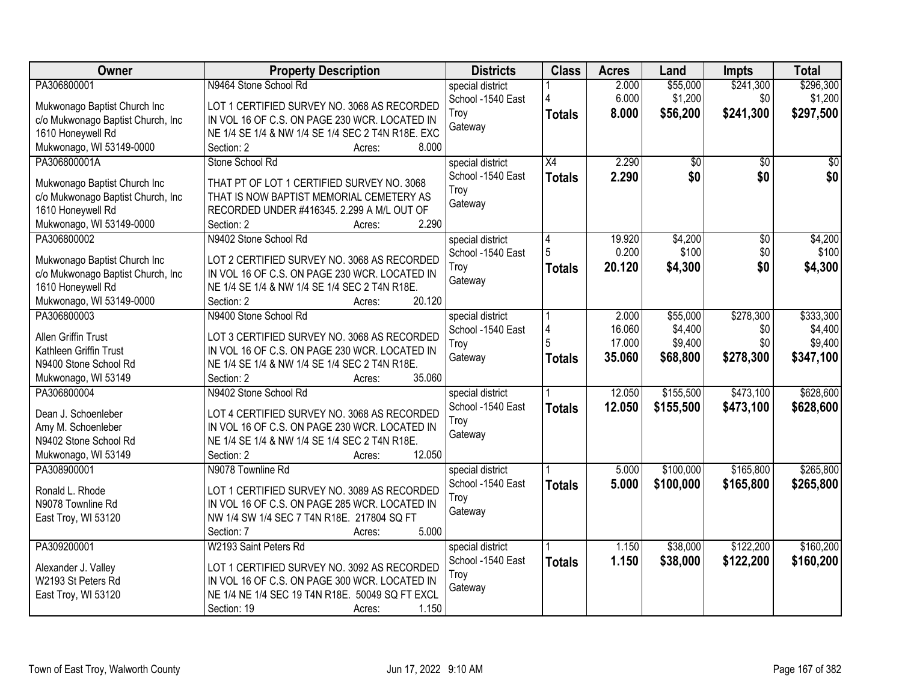| Owner                             | <b>Property Description</b>                         | <b>Districts</b>  | <b>Class</b>    | <b>Acres</b> | Land      | <b>Impts</b>    | <b>Total</b>    |
|-----------------------------------|-----------------------------------------------------|-------------------|-----------------|--------------|-----------|-----------------|-----------------|
| PA306800001                       | N9464 Stone School Rd                               | special district  |                 | 2.000        | \$55,000  | \$241,300       | \$296,300       |
| Mukwonago Baptist Church Inc      | LOT 1 CERTIFIED SURVEY NO. 3068 AS RECORDED         | School -1540 East |                 | 6.000        | \$1,200   | \$0             | \$1,200         |
| c/o Mukwonago Baptist Church, Inc | IN VOL 16 OF C.S. ON PAGE 230 WCR. LOCATED IN       | Troy              | <b>Totals</b>   | 8.000        | \$56,200  | \$241,300       | \$297,500       |
| 1610 Honeywell Rd                 | NE 1/4 SE 1/4 & NW 1/4 SE 1/4 SEC 2 T4N R18E. EXC   | Gateway           |                 |              |           |                 |                 |
| Mukwonago, WI 53149-0000          | 8.000<br>Section: 2<br>Acres:                       |                   |                 |              |           |                 |                 |
| PA306800001A                      | Stone School Rd                                     | special district  | $\overline{X4}$ | 2.290        | \$0       | $\overline{50}$ | $\overline{50}$ |
|                                   |                                                     | School -1540 East | <b>Totals</b>   | 2.290        | \$0       | \$0             | \$0             |
| Mukwonago Baptist Church Inc      | THAT PT OF LOT 1 CERTIFIED SURVEY NO. 3068          | Troy              |                 |              |           |                 |                 |
| c/o Mukwonago Baptist Church, Inc | THAT IS NOW BAPTIST MEMORIAL CEMETERY AS            | Gateway           |                 |              |           |                 |                 |
| 1610 Honeywell Rd                 | RECORDED UNDER #416345. 2.299 A M/L OUT OF          |                   |                 |              |           |                 |                 |
| Mukwonago, WI 53149-0000          | 2.290<br>Section: 2<br>Acres:                       |                   |                 |              |           |                 |                 |
| PA306800002                       | N9402 Stone School Rd                               | special district  | 4               | 19.920       | \$4,200   | \$0             | \$4,200         |
| Mukwonago Baptist Church Inc      | LOT 2 CERTIFIED SURVEY NO. 3068 AS RECORDED         | School -1540 East |                 | 0.200        | \$100     | \$0             | \$100           |
| c/o Mukwonago Baptist Church, Inc | IN VOL 16 OF C.S. ON PAGE 230 WCR. LOCATED IN       | Troy              | <b>Totals</b>   | 20.120       | \$4,300   | \$0             | \$4,300         |
| 1610 Honeywell Rd                 | NE 1/4 SE 1/4 & NW 1/4 SE 1/4 SEC 2 T4N R18E.       | Gateway           |                 |              |           |                 |                 |
| Mukwonago, WI 53149-0000          | 20.120<br>Section: 2<br>Acres:                      |                   |                 |              |           |                 |                 |
| PA306800003                       | N9400 Stone School Rd                               | special district  |                 | 2.000        | \$55,000  | \$278,300       | \$333,300       |
|                                   |                                                     | School -1540 East | 4               | 16.060       | \$4,400   | \$0             | \$4,400         |
| Allen Griffin Trust               | LOT 3 CERTIFIED SURVEY NO. 3068 AS RECORDED         | Troy              | 5               | 17.000       | \$9,400   | \$0             | \$9,400         |
| Kathleen Griffin Trust            | IN VOL 16 OF C.S. ON PAGE 230 WCR. LOCATED IN       | Gateway           | <b>Totals</b>   | 35.060       | \$68,800  | \$278,300       | \$347,100       |
| N9400 Stone School Rd             | NE 1/4 SE 1/4 & NW 1/4 SE 1/4 SEC 2 T4N R18E.       |                   |                 |              |           |                 |                 |
| Mukwonago, WI 53149               | 35.060<br>Section: 2<br>Acres:                      |                   |                 |              |           |                 |                 |
| PA306800004                       | N9402 Stone School Rd                               | special district  |                 | 12.050       | \$155,500 | \$473,100       | \$628,600       |
| Dean J. Schoenleber               | LOT 4 CERTIFIED SURVEY NO. 3068 AS RECORDED         | School -1540 East | <b>Totals</b>   | 12.050       | \$155,500 | \$473,100       | \$628,600       |
| Amy M. Schoenleber                | IN VOL 16 OF C.S. ON PAGE 230 WCR. LOCATED IN       | Troy              |                 |              |           |                 |                 |
| N9402 Stone School Rd             | NE 1/4 SE 1/4 & NW 1/4 SE 1/4 SEC 2 T4N R18E.       | Gateway           |                 |              |           |                 |                 |
| Mukwonago, WI 53149               | 12.050<br>Section: 2<br>Acres:                      |                   |                 |              |           |                 |                 |
| PA308900001                       | N9078 Townline Rd                                   | special district  |                 | 5.000        | \$100,000 | \$165,800       | \$265,800       |
|                                   |                                                     | School -1540 East | <b>Totals</b>   | 5.000        | \$100,000 | \$165,800       | \$265,800       |
| Ronald L. Rhode                   | LOT 1 CERTIFIED SURVEY NO. 3089 AS RECORDED         | Trov              |                 |              |           |                 |                 |
| N9078 Townline Rd                 | IN VOL 16 OF C.S. ON PAGE 285 WCR. LOCATED IN       | Gateway           |                 |              |           |                 |                 |
| East Troy, WI 53120               | NW 1/4 SW 1/4 SEC 7 T4N R18E. 217804 SQ FT<br>5.000 |                   |                 |              |           |                 |                 |
|                                   | Section: 7<br>Acres:                                |                   |                 |              |           |                 |                 |
| PA309200001                       | W2193 Saint Peters Rd                               | special district  |                 | 1.150        | \$38,000  | \$122,200       | \$160,200       |
| Alexander J. Valley               | LOT 1 CERTIFIED SURVEY NO. 3092 AS RECORDED         | School -1540 East | <b>Totals</b>   | 1.150        | \$38,000  | \$122,200       | \$160,200       |
| W2193 St Peters Rd                | IN VOL 16 OF C.S. ON PAGE 300 WCR. LOCATED IN       | Troy              |                 |              |           |                 |                 |
| East Troy, WI 53120               | NE 1/4 NE 1/4 SEC 19 T4N R18E. 50049 SQ FT EXCL     | Gateway           |                 |              |           |                 |                 |
|                                   | Section: 19<br>1.150<br>Acres:                      |                   |                 |              |           |                 |                 |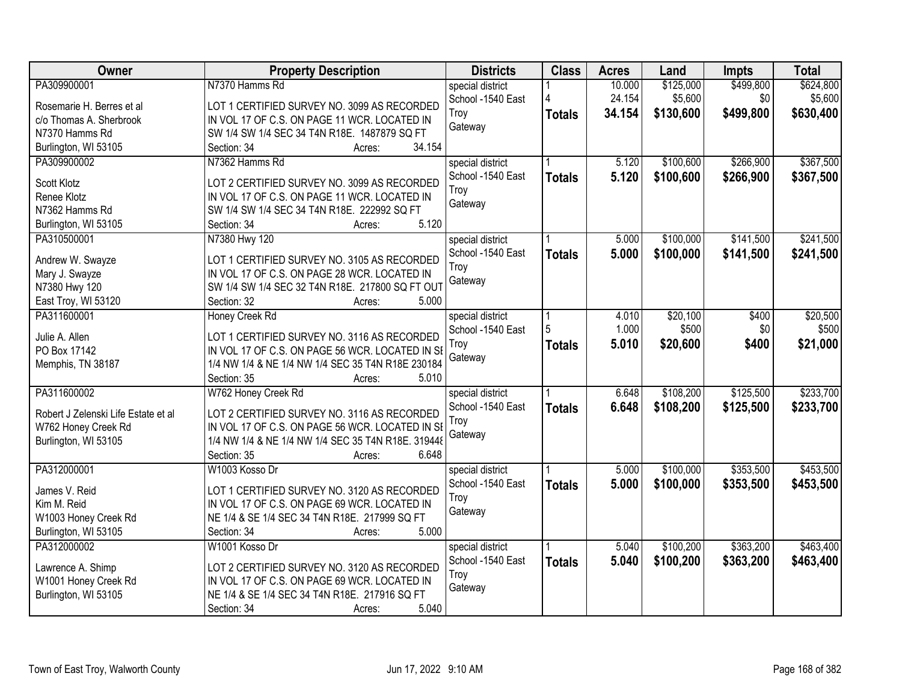| Owner                               | <b>Property Description</b>                        | <b>Districts</b>  | <b>Class</b>  | <b>Acres</b> | Land      | <b>Impts</b> | <b>Total</b> |
|-------------------------------------|----------------------------------------------------|-------------------|---------------|--------------|-----------|--------------|--------------|
| PA309900001                         | N7370 Hamms Rd                                     | special district  |               | 10.000       | \$125,000 | \$499,800    | \$624,800    |
| Rosemarie H. Berres et al           | LOT 1 CERTIFIED SURVEY NO. 3099 AS RECORDED        | School -1540 East |               | 24.154       | \$5,600   | \$0          | \$5,600      |
| c/o Thomas A. Sherbrook             | IN VOL 17 OF C.S. ON PAGE 11 WCR. LOCATED IN       | Troy              | <b>Totals</b> | 34.154       | \$130,600 | \$499,800    | \$630,400    |
| N7370 Hamms Rd                      | SW 1/4 SW 1/4 SEC 34 T4N R18E. 1487879 SQ FT       | Gateway           |               |              |           |              |              |
| Burlington, WI 53105                | 34.154<br>Section: 34<br>Acres:                    |                   |               |              |           |              |              |
| PA309900002                         | N7362 Hamms Rd                                     | special district  |               | 5.120        | \$100,600 | \$266,900    | \$367,500    |
|                                     |                                                    | School -1540 East | <b>Totals</b> | 5.120        | \$100,600 | \$266,900    | \$367,500    |
| Scott Klotz                         | LOT 2 CERTIFIED SURVEY NO. 3099 AS RECORDED        | Troy              |               |              |           |              |              |
| Renee Klotz                         | IN VOL 17 OF C.S. ON PAGE 11 WCR. LOCATED IN       | Gateway           |               |              |           |              |              |
| N7362 Hamms Rd                      | SW 1/4 SW 1/4 SEC 34 T4N R18E. 222992 SQ FT        |                   |               |              |           |              |              |
| Burlington, WI 53105                | 5.120<br>Section: 34<br>Acres:                     |                   |               |              |           |              |              |
| PA310500001                         | N7380 Hwy 120                                      | special district  |               | 5.000        | \$100,000 | \$141,500    | \$241,500    |
| Andrew W. Swayze                    | LOT 1 CERTIFIED SURVEY NO. 3105 AS RECORDED        | School -1540 East | <b>Totals</b> | 5.000        | \$100,000 | \$141,500    | \$241,500    |
| Mary J. Swayze                      | IN VOL 17 OF C.S. ON PAGE 28 WCR. LOCATED IN       | Troy              |               |              |           |              |              |
| N7380 Hwy 120                       | SW 1/4 SW 1/4 SEC 32 T4N R18E. 217800 SQ FT OUT    | Gateway           |               |              |           |              |              |
| East Troy, WI 53120                 | 5.000<br>Section: 32<br>Acres:                     |                   |               |              |           |              |              |
| PA311600001                         | Honey Creek Rd                                     | special district  |               | 4.010        | \$20,100  | \$400        | \$20,500     |
|                                     |                                                    | School -1540 East | 5             | 1.000        | \$500     | \$0          | \$500        |
| Julie A. Allen                      | LOT 1 CERTIFIED SURVEY NO. 3116 AS RECORDED        | Troy              | <b>Totals</b> | 5.010        | \$20,600  | \$400        | \$21,000     |
| PO Box 17142                        | IN VOL 17 OF C.S. ON PAGE 56 WCR. LOCATED IN SI    | Gateway           |               |              |           |              |              |
| Memphis, TN 38187                   | 1/4 NW 1/4 & NE 1/4 NW 1/4 SEC 35 T4N R18E 230184  |                   |               |              |           |              |              |
|                                     | Section: 35<br>5.010<br>Acres:                     |                   |               |              |           |              |              |
| PA311600002                         | W762 Honey Creek Rd                                | special district  |               | 6.648        | \$108,200 | \$125,500    | \$233,700    |
| Robert J Zelenski Life Estate et al | LOT 2 CERTIFIED SURVEY NO. 3116 AS RECORDED        | School -1540 East | <b>Totals</b> | 6.648        | \$108,200 | \$125,500    | \$233,700    |
| W762 Honey Creek Rd                 | IN VOL 17 OF C.S. ON PAGE 56 WCR. LOCATED IN SE    | Troy              |               |              |           |              |              |
| Burlington, WI 53105                | 1/4 NW 1/4 & NE 1/4 NW 1/4 SEC 35 T4N R18E. 319448 | Gateway           |               |              |           |              |              |
|                                     | 6.648<br>Section: 35<br>Acres:                     |                   |               |              |           |              |              |
| PA312000001                         | W1003 Kosso Dr                                     | special district  |               | 5.000        | \$100,000 | \$353,500    | \$453,500    |
|                                     |                                                    | School -1540 East | <b>Totals</b> | 5.000        | \$100,000 | \$353,500    | \$453,500    |
| James V. Reid                       | LOT 1 CERTIFIED SURVEY NO. 3120 AS RECORDED        | Troy              |               |              |           |              |              |
| Kim M. Reid                         | IN VOL 17 OF C.S. ON PAGE 69 WCR. LOCATED IN       | Gateway           |               |              |           |              |              |
| W1003 Honey Creek Rd                | NE 1/4 & SE 1/4 SEC 34 T4N R18E. 217999 SQ FT      |                   |               |              |           |              |              |
| Burlington, WI 53105                | 5.000<br>Section: 34<br>Acres:                     |                   |               |              |           |              |              |
| PA312000002                         | W1001 Kosso Dr                                     | special district  |               | 5.040        | \$100,200 | \$363,200    | \$463,400    |
| Lawrence A. Shimp                   | LOT 2 CERTIFIED SURVEY NO. 3120 AS RECORDED        | School -1540 East | <b>Totals</b> | 5.040        | \$100,200 | \$363,200    | \$463,400    |
| W1001 Honey Creek Rd                | IN VOL 17 OF C.S. ON PAGE 69 WCR. LOCATED IN       | Troy              |               |              |           |              |              |
| Burlington, WI 53105                | NE 1/4 & SE 1/4 SEC 34 T4N R18E. 217916 SQ FT      | Gateway           |               |              |           |              |              |
|                                     | 5.040<br>Section: 34<br>Acres:                     |                   |               |              |           |              |              |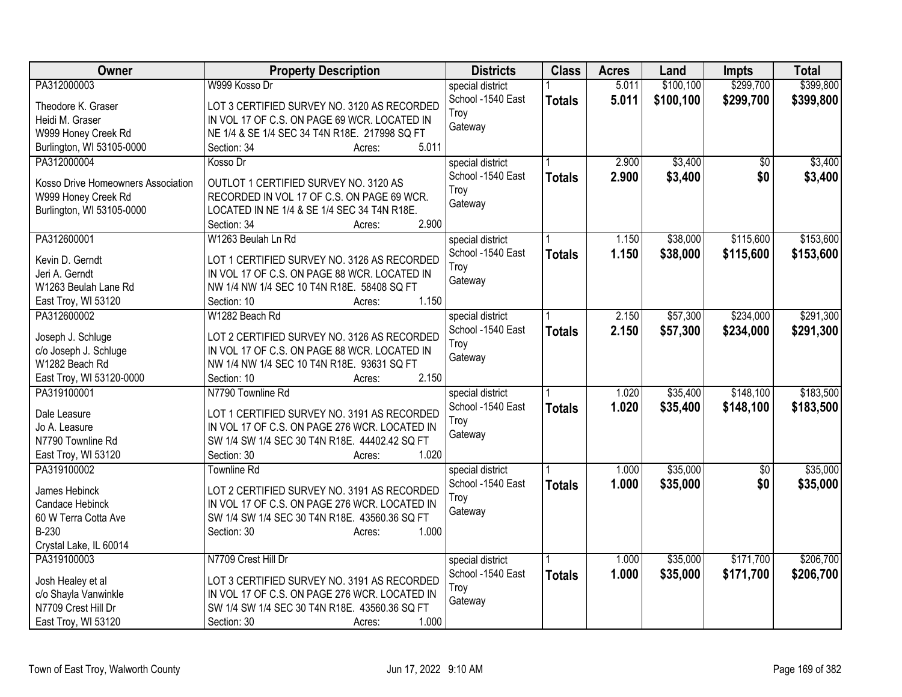| <b>Owner</b>                            | <b>Property Description</b>                                                                    | <b>Districts</b>  | <b>Class</b>  | <b>Acres</b> | Land      | <b>Impts</b>    | <b>Total</b> |
|-----------------------------------------|------------------------------------------------------------------------------------------------|-------------------|---------------|--------------|-----------|-----------------|--------------|
| PA312000003                             | W999 Kosso Dr                                                                                  | special district  |               | 5.011        | \$100,100 | \$299,700       | \$399,800    |
| Theodore K. Graser                      | LOT 3 CERTIFIED SURVEY NO. 3120 AS RECORDED                                                    | School -1540 East | <b>Totals</b> | 5.011        | \$100,100 | \$299,700       | \$399,800    |
| Heidi M. Graser                         | IN VOL 17 OF C.S. ON PAGE 69 WCR. LOCATED IN                                                   | Troy              |               |              |           |                 |              |
| W999 Honey Creek Rd                     | NE 1/4 & SE 1/4 SEC 34 T4N R18E. 217998 SQ FT                                                  | Gateway           |               |              |           |                 |              |
| Burlington, WI 53105-0000               | 5.011<br>Section: 34<br>Acres:                                                                 |                   |               |              |           |                 |              |
| PA312000004                             | Kosso Dr                                                                                       | special district  |               | 2.900        | \$3,400   | $\overline{50}$ | \$3,400      |
|                                         |                                                                                                | School -1540 East | <b>Totals</b> | 2.900        | \$3,400   | \$0             | \$3,400      |
| Kosso Drive Homeowners Association      | OUTLOT 1 CERTIFIED SURVEY NO. 3120 AS                                                          | Troy              |               |              |           |                 |              |
| W999 Honey Creek Rd                     | RECORDED IN VOL 17 OF C.S. ON PAGE 69 WCR.                                                     | Gateway           |               |              |           |                 |              |
| Burlington, WI 53105-0000               | LOCATED IN NE 1/4 & SE 1/4 SEC 34 T4N R18E.<br>2.900                                           |                   |               |              |           |                 |              |
|                                         | Section: 34<br>Acres:                                                                          |                   |               |              |           |                 |              |
| PA312600001                             | W1263 Beulah Ln Rd                                                                             | special district  |               | 1.150        | \$38,000  | \$115,600       | \$153,600    |
| Kevin D. Gerndt                         | LOT 1 CERTIFIED SURVEY NO. 3126 AS RECORDED                                                    | School -1540 East | <b>Totals</b> | 1.150        | \$38,000  | \$115,600       | \$153,600    |
| Jeri A. Gerndt                          | IN VOL 17 OF C.S. ON PAGE 88 WCR. LOCATED IN                                                   | Troy              |               |              |           |                 |              |
| W1263 Beulah Lane Rd                    | NW 1/4 NW 1/4 SEC 10 T4N R18E. 58408 SQ FT                                                     | Gateway           |               |              |           |                 |              |
| East Troy, WI 53120                     | 1.150<br>Section: 10<br>Acres:                                                                 |                   |               |              |           |                 |              |
| PA312600002                             | W1282 Beach Rd                                                                                 | special district  |               | 2.150        | \$57,300  | \$234,000       | \$291,300    |
|                                         |                                                                                                | School -1540 East | <b>Totals</b> | 2.150        | \$57,300  | \$234,000       | \$291,300    |
| Joseph J. Schluge                       | LOT 2 CERTIFIED SURVEY NO. 3126 AS RECORDED                                                    | Troy              |               |              |           |                 |              |
| c/o Joseph J. Schluge                   | IN VOL 17 OF C.S. ON PAGE 88 WCR. LOCATED IN                                                   | Gateway           |               |              |           |                 |              |
| W1282 Beach Rd                          | NW 1/4 NW 1/4 SEC 10 T4N R18E. 93631 SQ FT                                                     |                   |               |              |           |                 |              |
| East Troy, WI 53120-0000                | 2.150<br>Section: 10<br>Acres:                                                                 |                   |               |              |           |                 |              |
| PA319100001                             | N7790 Townline Rd                                                                              | special district  |               | 1.020        | \$35,400  | \$148,100       | \$183,500    |
| Dale Leasure                            | LOT 1 CERTIFIED SURVEY NO. 3191 AS RECORDED                                                    | School -1540 East | <b>Totals</b> | 1.020        | \$35,400  | \$148,100       | \$183,500    |
| Jo A. Leasure                           | IN VOL 17 OF C.S. ON PAGE 276 WCR. LOCATED IN                                                  | Troy              |               |              |           |                 |              |
| N7790 Townline Rd                       | SW 1/4 SW 1/4 SEC 30 T4N R18E. 44402.42 SQ FT                                                  | Gateway           |               |              |           |                 |              |
| East Troy, WI 53120                     | 1.020<br>Section: 30<br>Acres:                                                                 |                   |               |              |           |                 |              |
| PA319100002                             | <b>Townline Rd</b>                                                                             | special district  |               | 1.000        | \$35,000  | $\sqrt{6}$      | \$35,000     |
|                                         |                                                                                                | School -1540 East | <b>Totals</b> | 1.000        | \$35,000  | \$0             | \$35,000     |
| James Hebinck                           | LOT 2 CERTIFIED SURVEY NO. 3191 AS RECORDED                                                    | Troy              |               |              |           |                 |              |
| Candace Hebinck<br>60 W Terra Cotta Ave | IN VOL 17 OF C.S. ON PAGE 276 WCR. LOCATED IN<br>SW 1/4 SW 1/4 SEC 30 T4N R18E. 43560.36 SQ FT | Gateway           |               |              |           |                 |              |
| B-230                                   | 1.000<br>Section: 30                                                                           |                   |               |              |           |                 |              |
| Crystal Lake, IL 60014                  | Acres:                                                                                         |                   |               |              |           |                 |              |
| PA319100003                             | N7709 Crest Hill Dr                                                                            | special district  |               | 1.000        | \$35,000  | \$171,700       | \$206,700    |
|                                         |                                                                                                | School -1540 East |               | 1.000        | \$35,000  | \$171,700       | \$206,700    |
| Josh Healey et al                       | LOT 3 CERTIFIED SURVEY NO. 3191 AS RECORDED                                                    | Troy              | <b>Totals</b> |              |           |                 |              |
| c/o Shayla Vanwinkle                    | IN VOL 17 OF C.S. ON PAGE 276 WCR. LOCATED IN                                                  | Gateway           |               |              |           |                 |              |
| N7709 Crest Hill Dr                     | SW 1/4 SW 1/4 SEC 30 T4N R18E. 43560.36 SQ FT                                                  |                   |               |              |           |                 |              |
| East Troy, WI 53120                     | 1.000<br>Section: 30<br>Acres:                                                                 |                   |               |              |           |                 |              |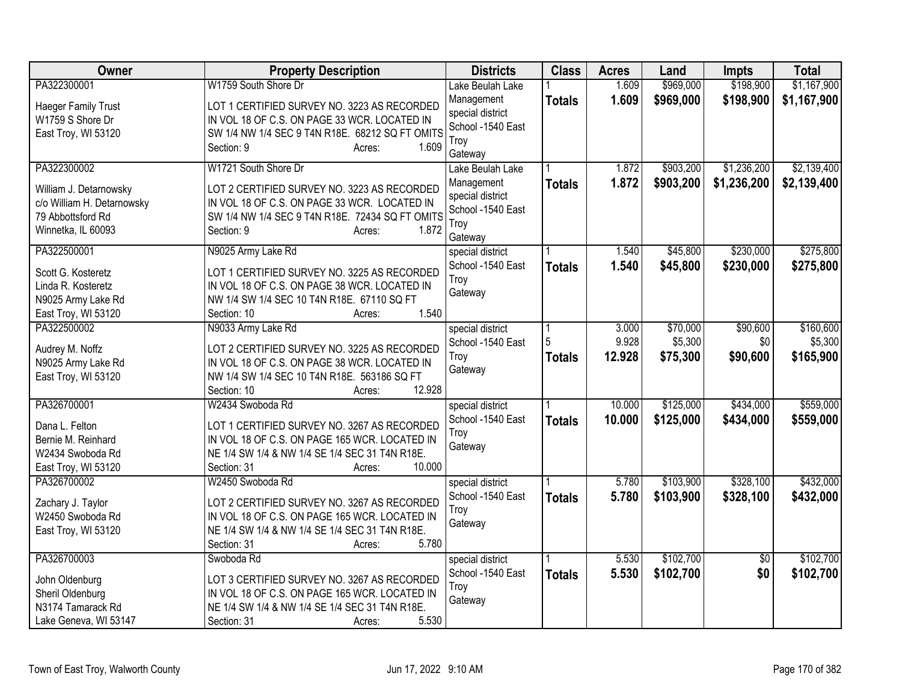| Owner                                                                                           | <b>Property Description</b>                                                                                                                                                                           | <b>Districts</b>                                                       | <b>Class</b>       | <b>Acres</b>     | Land                   | <b>Impts</b>           | <b>Total</b>           |
|-------------------------------------------------------------------------------------------------|-------------------------------------------------------------------------------------------------------------------------------------------------------------------------------------------------------|------------------------------------------------------------------------|--------------------|------------------|------------------------|------------------------|------------------------|
| PA322300001                                                                                     | W1759 South Shore Dr                                                                                                                                                                                  | Lake Beulah Lake                                                       |                    | 1.609            | \$969,000              | \$198,900              | \$1,167,900            |
| Haeger Family Trust<br>W1759 S Shore Dr<br>East Troy, WI 53120                                  | LOT 1 CERTIFIED SURVEY NO. 3223 AS RECORDED<br>IN VOL 18 OF C.S. ON PAGE 33 WCR. LOCATED IN<br>SW 1/4 NW 1/4 SEC 9 T4N R18E. 68212 SQ FT OMITS<br>1.609<br>Section: 9<br>Acres:                       | Management<br>special district<br>School -1540 East<br>Troy<br>Gateway | <b>Totals</b>      | 1.609            | \$969,000              | \$198,900              | \$1,167,900            |
| PA322300002                                                                                     | W1721 South Shore Dr                                                                                                                                                                                  | Lake Beulah Lake                                                       |                    | 1.872            | \$903,200              | \$1,236,200            | \$2,139,400            |
| William J. Detarnowsky<br>c/o William H. Detarnowsky<br>79 Abbottsford Rd<br>Winnetka, IL 60093 | LOT 2 CERTIFIED SURVEY NO. 3223 AS RECORDED<br>IN VOL 18 OF C.S. ON PAGE 33 WCR. LOCATED IN<br>SW 1/4 NW 1/4 SEC 9 T4N R18E. 72434 SQ FT OMITS<br>1.872<br>Section: 9<br>Acres:                       | Management<br>special district<br>School -1540 East<br>Troy<br>Gateway | <b>Totals</b>      | 1.872            | \$903,200              | \$1,236,200            | \$2,139,400            |
| PA322500001                                                                                     | N9025 Army Lake Rd                                                                                                                                                                                    | special district                                                       |                    | 1.540            | \$45,800               | \$230,000              | \$275,800              |
| Scott G. Kosteretz<br>Linda R. Kosteretz<br>N9025 Army Lake Rd<br>East Troy, WI 53120           | LOT 1 CERTIFIED SURVEY NO. 3225 AS RECORDED<br>IN VOL 18 OF C.S. ON PAGE 38 WCR. LOCATED IN<br>NW 1/4 SW 1/4 SEC 10 T4N R18E. 67110 SQ FT<br>1.540<br>Section: 10<br>Acres:                           | School -1540 East<br>Troy<br>Gateway                                   | <b>Totals</b>      | 1.540            | \$45,800               | \$230,000              | \$275,800              |
| PA322500002                                                                                     | N9033 Army Lake Rd                                                                                                                                                                                    | special district                                                       |                    | 3.000            | \$70,000               | \$90,600               | \$160,600              |
| Audrey M. Noffz<br>N9025 Army Lake Rd<br>East Troy, WI 53120                                    | LOT 2 CERTIFIED SURVEY NO. 3225 AS RECORDED<br>IN VOL 18 OF C.S. ON PAGE 38 WCR. LOCATED IN<br>NW 1/4 SW 1/4 SEC 10 T4N R18E. 563186 SQ FT                                                            | School -1540 East<br>Troy<br>Gateway                                   | 5<br><b>Totals</b> | 9.928<br>12.928  | \$5,300<br>\$75,300    | \$0<br>\$90,600        | \$5,300<br>\$165,900   |
|                                                                                                 | 12.928<br>Section: 10<br>Acres:                                                                                                                                                                       |                                                                        |                    |                  |                        |                        |                        |
| PA326700001<br>Dana L. Felton<br>Bernie M. Reinhard<br>W2434 Swoboda Rd<br>East Troy, WI 53120  | W2434 Swoboda Rd<br>LOT 1 CERTIFIED SURVEY NO. 3267 AS RECORDED<br>IN VOL 18 OF C.S. ON PAGE 165 WCR. LOCATED IN<br>NE 1/4 SW 1/4 & NW 1/4 SE 1/4 SEC 31 T4N R18E.<br>10.000<br>Section: 31<br>Acres: | special district<br>School -1540 East<br>Troy<br>Gateway               | <b>Totals</b>      | 10.000<br>10.000 | \$125,000<br>\$125,000 | \$434,000<br>\$434,000 | \$559,000<br>\$559,000 |
| PA326700002                                                                                     | W2450 Swoboda Rd                                                                                                                                                                                      | special district                                                       |                    | 5.780            | \$103,900              | \$328,100              | \$432,000              |
| Zachary J. Taylor<br>W2450 Swoboda Rd<br>East Troy, WI 53120                                    | LOT 2 CERTIFIED SURVEY NO. 3267 AS RECORDED<br>IN VOL 18 OF C.S. ON PAGE 165 WCR. LOCATED IN<br>NE 1/4 SW 1/4 & NW 1/4 SE 1/4 SEC 31 T4N R18E.<br>5.780<br>Section: 31<br>Acres:                      | School -1540 East<br>Troy<br>Gateway                                   | <b>Totals</b>      | 5.780            | \$103,900              | \$328,100              | \$432,000              |
| PA326700003                                                                                     | Swoboda Rd                                                                                                                                                                                            | special district                                                       |                    | 5.530            | \$102,700              | $\overline{50}$        | \$102,700              |
| John Oldenburg<br>Sheril Oldenburg<br>N3174 Tamarack Rd<br>Lake Geneva, WI 53147                | LOT 3 CERTIFIED SURVEY NO. 3267 AS RECORDED<br>IN VOL 18 OF C.S. ON PAGE 165 WCR. LOCATED IN<br>NE 1/4 SW 1/4 & NW 1/4 SE 1/4 SEC 31 T4N R18E.<br>5.530<br>Section: 31<br>Acres:                      | School -1540 East<br>Troy<br>Gateway                                   | <b>Totals</b>      | 5.530            | \$102,700              | \$0                    | \$102,700              |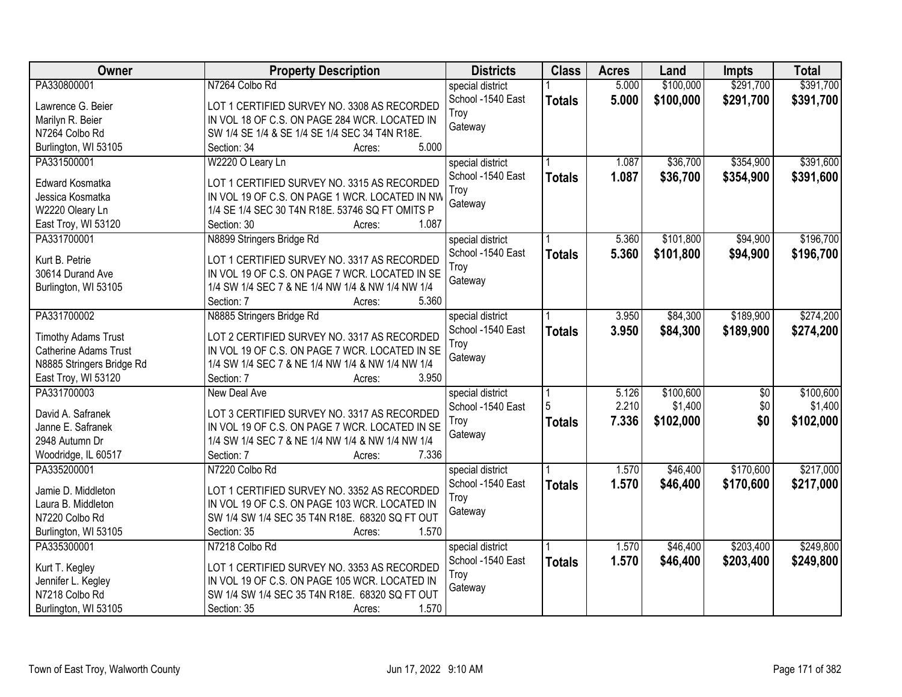| <b>Owner</b>               | <b>Property Description</b>                      | <b>Districts</b>  | <b>Class</b>  | <b>Acres</b> | Land      | <b>Impts</b>    | <b>Total</b> |
|----------------------------|--------------------------------------------------|-------------------|---------------|--------------|-----------|-----------------|--------------|
| PA330800001                | N7264 Colbo Rd                                   | special district  |               | 5.000        | \$100,000 | \$291,700       | \$391,700    |
| Lawrence G. Beier          | LOT 1 CERTIFIED SURVEY NO. 3308 AS RECORDED      | School -1540 East | <b>Totals</b> | 5.000        | \$100,000 | \$291,700       | \$391,700    |
| Marilyn R. Beier           | IN VOL 18 OF C.S. ON PAGE 284 WCR. LOCATED IN    | Troy              |               |              |           |                 |              |
| N7264 Colbo Rd             | SW 1/4 SE 1/4 & SE 1/4 SE 1/4 SEC 34 T4N R18E.   | Gateway           |               |              |           |                 |              |
| Burlington, WI 53105       | 5.000<br>Section: 34<br>Acres:                   |                   |               |              |           |                 |              |
| PA331500001                | W2220 O Leary Ln                                 | special district  |               | 1.087        | \$36,700  | \$354,900       | \$391,600    |
|                            |                                                  | School -1540 East | <b>Totals</b> | 1.087        | \$36,700  | \$354,900       | \$391,600    |
| Edward Kosmatka            | LOT 1 CERTIFIED SURVEY NO. 3315 AS RECORDED      | Troy              |               |              |           |                 |              |
| Jessica Kosmatka           | IN VOL 19 OF C.S. ON PAGE 1 WCR. LOCATED IN NW   | Gateway           |               |              |           |                 |              |
| W2220 Oleary Ln            | 1/4 SE 1/4 SEC 30 T4N R18E. 53746 SQ FT OMITS P  |                   |               |              |           |                 |              |
| East Troy, WI 53120        | 1.087<br>Section: 30<br>Acres:                   |                   |               |              |           |                 |              |
| PA331700001                | N8899 Stringers Bridge Rd                        | special district  |               | 5.360        | \$101,800 | \$94,900        | \$196,700    |
| Kurt B. Petrie             | LOT 1 CERTIFIED SURVEY NO. 3317 AS RECORDED      | School -1540 East | <b>Totals</b> | 5.360        | \$101,800 | \$94,900        | \$196,700    |
| 30614 Durand Ave           | IN VOL 19 OF C.S. ON PAGE 7 WCR. LOCATED IN SE   | Troy              |               |              |           |                 |              |
| Burlington, WI 53105       | 1/4 SW 1/4 SEC 7 & NE 1/4 NW 1/4 & NW 1/4 NW 1/4 | Gateway           |               |              |           |                 |              |
|                            | 5.360<br>Section: 7<br>Acres:                    |                   |               |              |           |                 |              |
| PA331700002                | N8885 Stringers Bridge Rd                        | special district  |               | 3.950        | \$84,300  | \$189,900       | \$274,200    |
|                            |                                                  | School -1540 East | <b>Totals</b> | 3.950        | \$84,300  | \$189,900       | \$274,200    |
| <b>Timothy Adams Trust</b> | LOT 2 CERTIFIED SURVEY NO. 3317 AS RECORDED      | Troy              |               |              |           |                 |              |
| Catherine Adams Trust      | IN VOL 19 OF C.S. ON PAGE 7 WCR. LOCATED IN SE   | Gateway           |               |              |           |                 |              |
| N8885 Stringers Bridge Rd  | 1/4 SW 1/4 SEC 7 & NE 1/4 NW 1/4 & NW 1/4 NW 1/4 |                   |               |              |           |                 |              |
| East Troy, WI 53120        | 3.950<br>Section: 7<br>Acres:                    |                   |               |              |           |                 |              |
| PA331700003                | New Deal Ave                                     | special district  |               | 5.126        | \$100,600 | $\overline{50}$ | \$100,600    |
| David A. Safranek          | LOT 3 CERTIFIED SURVEY NO. 3317 AS RECORDED      | School -1540 East | 5             | 2.210        | \$1,400   | \$0             | \$1,400      |
| Janne E. Safranek          | IN VOL 19 OF C.S. ON PAGE 7 WCR. LOCATED IN SE   | Troy              | <b>Totals</b> | 7.336        | \$102,000 | \$0             | \$102,000    |
| 2948 Autumn Dr             | 1/4 SW 1/4 SEC 7 & NE 1/4 NW 1/4 & NW 1/4 NW 1/4 | Gateway           |               |              |           |                 |              |
| Woodridge, IL 60517        | 7.336<br>Section: 7<br>Acres:                    |                   |               |              |           |                 |              |
| PA335200001                | N7220 Colbo Rd                                   | special district  |               | 1.570        | \$46,400  | \$170,600       | \$217,000    |
|                            |                                                  | School -1540 East | <b>Totals</b> | 1.570        | \$46,400  | \$170,600       | \$217,000    |
| Jamie D. Middleton         | LOT 1 CERTIFIED SURVEY NO. 3352 AS RECORDED      | Troy              |               |              |           |                 |              |
| Laura B. Middleton         | IN VOL 19 OF C.S. ON PAGE 103 WCR. LOCATED IN    | Gateway           |               |              |           |                 |              |
| N7220 Colbo Rd             | SW 1/4 SW 1/4 SEC 35 T4N R18E. 68320 SQ FT OUT   |                   |               |              |           |                 |              |
| Burlington, WI 53105       | 1.570<br>Section: 35<br>Acres:                   |                   |               |              |           |                 |              |
| PA335300001                | N7218 Colbo Rd                                   | special district  |               | 1.570        | \$46,400  | \$203,400       | \$249,800    |
| Kurt T. Kegley             | LOT 1 CERTIFIED SURVEY NO. 3353 AS RECORDED      | School -1540 East | <b>Totals</b> | 1.570        | \$46,400  | \$203,400       | \$249,800    |
| Jennifer L. Kegley         | IN VOL 19 OF C.S. ON PAGE 105 WCR. LOCATED IN    | Troy              |               |              |           |                 |              |
| N7218 Colbo Rd             | SW 1/4 SW 1/4 SEC 35 T4N R18E. 68320 SQ FT OUT   | Gateway           |               |              |           |                 |              |
| Burlington, WI 53105       | 1.570<br>Section: 35<br>Acres:                   |                   |               |              |           |                 |              |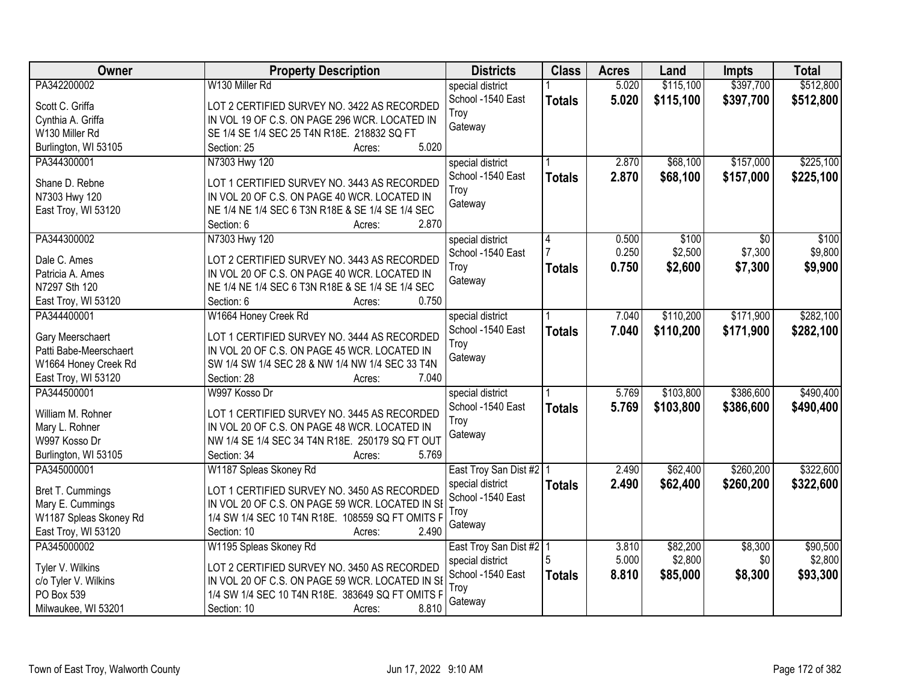| Owner                  | <b>Property Description</b>                              | <b>Districts</b>          | <b>Class</b>  | <b>Acres</b> | Land      | <b>Impts</b> | <b>Total</b> |
|------------------------|----------------------------------------------------------|---------------------------|---------------|--------------|-----------|--------------|--------------|
| PA342200002            | W130 Miller Rd                                           | special district          |               | 5.020        | \$115,100 | \$397,700    | \$512,800    |
| Scott C. Griffa        | LOT 2 CERTIFIED SURVEY NO. 3422 AS RECORDED              | School -1540 East         | <b>Totals</b> | 5.020        | \$115,100 | \$397,700    | \$512,800    |
| Cynthia A. Griffa      | IN VOL 19 OF C.S. ON PAGE 296 WCR. LOCATED IN            | Troy                      |               |              |           |              |              |
| W130 Miller Rd         | SE 1/4 SE 1/4 SEC 25 T4N R18E. 218832 SQ FT              | Gateway                   |               |              |           |              |              |
| Burlington, WI 53105   | 5.020<br>Section: 25<br>Acres:                           |                           |               |              |           |              |              |
| PA344300001            | N7303 Hwy 120                                            | special district          |               | 2.870        | \$68,100  | \$157,000    | \$225,100    |
|                        |                                                          | School -1540 East         | <b>Totals</b> | 2.870        | \$68,100  | \$157,000    | \$225,100    |
| Shane D. Rebne         | LOT 1 CERTIFIED SURVEY NO. 3443 AS RECORDED              | Troy                      |               |              |           |              |              |
| N7303 Hwy 120          | IN VOL 20 OF C.S. ON PAGE 40 WCR. LOCATED IN             | Gateway                   |               |              |           |              |              |
| East Troy, WI 53120    | NE 1/4 NE 1/4 SEC 6 T3N R18E & SE 1/4 SE 1/4 SEC         |                           |               |              |           |              |              |
|                        | 2.870<br>Section: 6<br>Acres:                            |                           |               |              |           |              |              |
| PA344300002            | N7303 Hwy 120                                            | special district          | 4             | 0.500        | \$100     | \$0          | \$100        |
| Dale C. Ames           | LOT 2 CERTIFIED SURVEY NO. 3443 AS RECORDED              | School -1540 East         |               | 0.250        | \$2,500   | \$7,300      | \$9,800      |
| Patricia A. Ames       | IN VOL 20 OF C.S. ON PAGE 40 WCR. LOCATED IN             | Troy                      | <b>Totals</b> | 0.750        | \$2,600   | \$7,300      | \$9,900      |
| N7297 Sth 120          | NE 1/4 NE 1/4 SEC 6 T3N R18E & SE 1/4 SE 1/4 SEC         | Gateway                   |               |              |           |              |              |
| East Troy, WI 53120    | 0.750<br>Section: 6<br>Acres:                            |                           |               |              |           |              |              |
| PA344400001            | W1664 Honey Creek Rd                                     | special district          |               | 7.040        | \$110,200 | \$171,900    | \$282,100    |
|                        |                                                          | School -1540 East         |               | 7.040        |           |              |              |
| Gary Meerschaert       | LOT 1 CERTIFIED SURVEY NO. 3444 AS RECORDED              |                           | <b>Totals</b> |              | \$110,200 | \$171,900    | \$282,100    |
| Patti Babe-Meerschaert | IN VOL 20 OF C.S. ON PAGE 45 WCR. LOCATED IN             | Troy<br>Gateway           |               |              |           |              |              |
| W1664 Honey Creek Rd   | SW 1/4 SW 1/4 SEC 28 & NW 1/4 NW 1/4 SEC 33 T4N          |                           |               |              |           |              |              |
| East Troy, WI 53120    | 7.040<br>Section: 28<br>Acres:                           |                           |               |              |           |              |              |
| PA344500001            | W997 Kosso Dr                                            | special district          |               | 5.769        | \$103,800 | \$386,600    | \$490,400    |
|                        |                                                          | School -1540 East         | <b>Totals</b> | 5.769        | \$103,800 | \$386,600    | \$490,400    |
| William M. Rohner      | LOT 1 CERTIFIED SURVEY NO. 3445 AS RECORDED              | Troy                      |               |              |           |              |              |
| Mary L. Rohner         | IN VOL 20 OF C.S. ON PAGE 48 WCR. LOCATED IN             | Gateway                   |               |              |           |              |              |
| W997 Kosso Dr          | NW 1/4 SE 1/4 SEC 34 T4N R18E. 250179 SQ FT OUT<br>5.769 |                           |               |              |           |              |              |
| Burlington, WI 53105   | Section: 34<br>Acres:                                    |                           |               |              |           |              |              |
| PA345000001            | W1187 Spleas Skoney Rd                                   | East Troy San Dist #2   1 |               | 2.490        | \$62,400  | \$260,200    | \$322,600    |
| Bret T. Cummings       | LOT 1 CERTIFIED SURVEY NO. 3450 AS RECORDED              | special district          | <b>Totals</b> | 2.490        | \$62,400  | \$260,200    | \$322,600    |
| Mary E. Cummings       | IN VOL 20 OF C.S. ON PAGE 59 WCR. LOCATED IN SI          | School -1540 East         |               |              |           |              |              |
| W1187 Spleas Skoney Rd | 1/4 SW 1/4 SEC 10 T4N R18E. 108559 SQ FT OMITS F         | Troy                      |               |              |           |              |              |
| East Troy, WI 53120    | Section: 10<br>2.490<br>Acres:                           | Gateway                   |               |              |           |              |              |
| PA345000002            | W1195 Spleas Skoney Rd                                   | East Troy San Dist #2 1   |               | 3.810        | \$82,200  | \$8,300      | \$90,500     |
|                        |                                                          | special district          | 5             | 5.000        | \$2,800   | \$0          | \$2,800      |
| Tyler V. Wilkins       | LOT 2 CERTIFIED SURVEY NO. 3450 AS RECORDED              | School -1540 East         | <b>Totals</b> | 8.810        | \$85,000  | \$8,300      | \$93,300     |
| c/o Tyler V. Wilkins   | IN VOL 20 OF C.S. ON PAGE 59 WCR. LOCATED IN SE          | Troy                      |               |              |           |              |              |
| PO Box 539             | 1/4 SW 1/4 SEC 10 T4N R18E. 383649 SQ FT OMITS F         | Gateway                   |               |              |           |              |              |
| Milwaukee, WI 53201    | 8.810<br>Section: 10<br>Acres:                           |                           |               |              |           |              |              |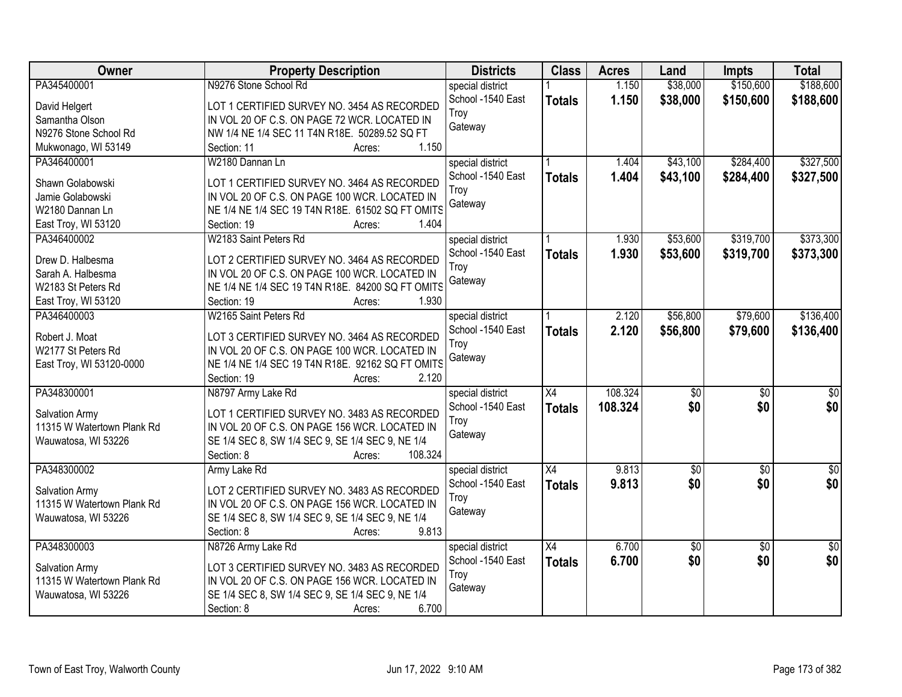| <b>Owner</b>               | <b>Property Description</b>                      | <b>Districts</b>  | <b>Class</b>    | <b>Acres</b> | Land             | <b>Impts</b>    | <b>Total</b>    |
|----------------------------|--------------------------------------------------|-------------------|-----------------|--------------|------------------|-----------------|-----------------|
| PA345400001                | N9276 Stone School Rd                            | special district  |                 | 1.150        | \$38,000         | \$150,600       | \$188,600       |
| David Helgert              | LOT 1 CERTIFIED SURVEY NO. 3454 AS RECORDED      | School -1540 East | <b>Totals</b>   | 1.150        | \$38,000         | \$150,600       | \$188,600       |
| Samantha Olson             | IN VOL 20 OF C.S. ON PAGE 72 WCR. LOCATED IN     | Troy              |                 |              |                  |                 |                 |
| N9276 Stone School Rd      | NW 1/4 NE 1/4 SEC 11 T4N R18E. 50289.52 SQ FT    | Gateway           |                 |              |                  |                 |                 |
| Mukwonago, WI 53149        | 1.150<br>Section: 11<br>Acres:                   |                   |                 |              |                  |                 |                 |
| PA346400001                | W2180 Dannan Ln                                  | special district  |                 | 1.404        | \$43,100         | \$284,400       | \$327,500       |
|                            |                                                  | School -1540 East | <b>Totals</b>   | 1.404        | \$43,100         | \$284,400       | \$327,500       |
| Shawn Golabowski           | LOT 1 CERTIFIED SURVEY NO. 3464 AS RECORDED      | Troy              |                 |              |                  |                 |                 |
| Jamie Golabowski           | IN VOL 20 OF C.S. ON PAGE 100 WCR. LOCATED IN    | Gateway           |                 |              |                  |                 |                 |
| W2180 Dannan Ln            | NE 1/4 NE 1/4 SEC 19 T4N R18E. 61502 SQ FT OMITS |                   |                 |              |                  |                 |                 |
| East Troy, WI 53120        | 1.404<br>Section: 19<br>Acres:                   |                   |                 |              |                  |                 |                 |
| PA346400002                | W2183 Saint Peters Rd                            | special district  |                 | 1.930        | \$53,600         | \$319,700       | \$373,300       |
| Drew D. Halbesma           | LOT 2 CERTIFIED SURVEY NO. 3464 AS RECORDED      | School -1540 East | <b>Totals</b>   | 1.930        | \$53,600         | \$319,700       | \$373,300       |
| Sarah A. Halbesma          | IN VOL 20 OF C.S. ON PAGE 100 WCR. LOCATED IN    | Troy              |                 |              |                  |                 |                 |
| W2183 St Peters Rd         | NE 1/4 NE 1/4 SEC 19 T4N R18E. 84200 SQ FT OMITS | Gateway           |                 |              |                  |                 |                 |
| East Troy, WI 53120        | Section: 19<br>1.930<br>Acres:                   |                   |                 |              |                  |                 |                 |
| PA346400003                | W2165 Saint Peters Rd                            | special district  |                 | 2.120        | \$56,800         | \$79,600        | \$136,400       |
|                            |                                                  | School -1540 East | <b>Totals</b>   | 2.120        | \$56,800         | \$79,600        | \$136,400       |
| Robert J. Moat             | LOT 3 CERTIFIED SURVEY NO. 3464 AS RECORDED      | Troy              |                 |              |                  |                 |                 |
| W2177 St Peters Rd         | IN VOL 20 OF C.S. ON PAGE 100 WCR. LOCATED IN    | Gateway           |                 |              |                  |                 |                 |
| East Troy, WI 53120-0000   | NE 1/4 NE 1/4 SEC 19 T4N R18E. 92162 SQ FT OMITS |                   |                 |              |                  |                 |                 |
|                            | Section: 19<br>2.120<br>Acres:                   |                   |                 |              |                  |                 |                 |
| PA348300001                | N8797 Army Lake Rd                               | special district  | $\overline{X4}$ | 108.324      | $\overline{\$0}$ | $\overline{50}$ | $\overline{50}$ |
| Salvation Army             | LOT 1 CERTIFIED SURVEY NO. 3483 AS RECORDED      | School -1540 East | <b>Totals</b>   | 108.324      | \$0              | \$0             | \$0             |
| 11315 W Watertown Plank Rd | IN VOL 20 OF C.S. ON PAGE 156 WCR. LOCATED IN    | Troy              |                 |              |                  |                 |                 |
| Wauwatosa, WI 53226        | SE 1/4 SEC 8, SW 1/4 SEC 9, SE 1/4 SEC 9, NE 1/4 | Gateway           |                 |              |                  |                 |                 |
|                            | Section: 8<br>108.324<br>Acres:                  |                   |                 |              |                  |                 |                 |
| PA348300002                | Army Lake Rd                                     | special district  | $\overline{X4}$ | 9.813        | $\sqrt{50}$      | $\overline{50}$ | $\overline{50}$ |
|                            |                                                  | School -1540 East | <b>Totals</b>   | 9.813        | \$0              | \$0             | \$0             |
| Salvation Army             | LOT 2 CERTIFIED SURVEY NO. 3483 AS RECORDED      | Troy              |                 |              |                  |                 |                 |
| 11315 W Watertown Plank Rd | IN VOL 20 OF C.S. ON PAGE 156 WCR. LOCATED IN    | Gateway           |                 |              |                  |                 |                 |
| Wauwatosa, WI 53226        | SE 1/4 SEC 8, SW 1/4 SEC 9, SE 1/4 SEC 9, NE 1/4 |                   |                 |              |                  |                 |                 |
|                            | Section: 8<br>9.813<br>Acres:                    |                   |                 |              |                  |                 |                 |
| PA348300003                | N8726 Army Lake Rd                               | special district  | $\overline{X4}$ | 6.700        | \$0              | $\overline{30}$ | $\sqrt{50}$     |
| Salvation Army             | LOT 3 CERTIFIED SURVEY NO. 3483 AS RECORDED      | School -1540 East | <b>Totals</b>   | 6.700        | \$0              | \$0             | \$0             |
| 11315 W Watertown Plank Rd | IN VOL 20 OF C.S. ON PAGE 156 WCR. LOCATED IN    | Troy              |                 |              |                  |                 |                 |
| Wauwatosa, WI 53226        | SE 1/4 SEC 8, SW 1/4 SEC 9, SE 1/4 SEC 9, NE 1/4 | Gateway           |                 |              |                  |                 |                 |
|                            | 6.700<br>Section: 8<br>Acres:                    |                   |                 |              |                  |                 |                 |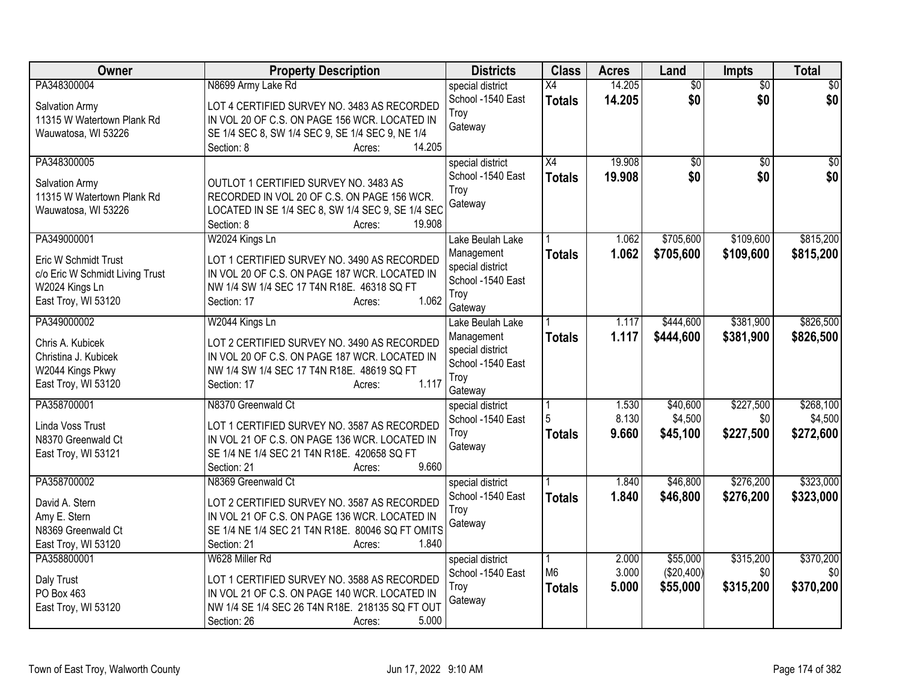| Owner                           | <b>Property Description</b>                                       | <b>Districts</b>                      | <b>Class</b>                     | <b>Acres</b>     | Land                   | <b>Impts</b>           | <b>Total</b>       |
|---------------------------------|-------------------------------------------------------------------|---------------------------------------|----------------------------------|------------------|------------------------|------------------------|--------------------|
| PA348300004<br>Salvation Army   | N8699 Army Lake Rd<br>LOT 4 CERTIFIED SURVEY NO. 3483 AS RECORDED | special district<br>School -1540 East | $\overline{X4}$<br><b>Totals</b> | 14.205<br>14.205 | $\overline{50}$<br>\$0 | $\overline{50}$<br>\$0 | $\sqrt{30}$<br>\$0 |
| 11315 W Watertown Plank Rd      | IN VOL 20 OF C.S. ON PAGE 156 WCR. LOCATED IN                     | Troy                                  |                                  |                  |                        |                        |                    |
| Wauwatosa, WI 53226             | SE 1/4 SEC 8, SW 1/4 SEC 9, SE 1/4 SEC 9, NE 1/4                  | Gateway                               |                                  |                  |                        |                        |                    |
|                                 | 14.205<br>Section: 8<br>Acres:                                    |                                       |                                  |                  |                        |                        |                    |
| PA348300005                     |                                                                   | special district                      | $\overline{X4}$                  | 19.908           | \$0                    | \$0                    | \$0                |
| Salvation Army                  | OUTLOT 1 CERTIFIED SURVEY NO. 3483 AS                             | School -1540 East                     | <b>Totals</b>                    | 19,908           | \$0                    | \$0                    | \$0                |
| 11315 W Watertown Plank Rd      | RECORDED IN VOL 20 OF C.S. ON PAGE 156 WCR.                       | Troy<br>Gateway                       |                                  |                  |                        |                        |                    |
| Wauwatosa, WI 53226             | LOCATED IN SE 1/4 SEC 8, SW 1/4 SEC 9, SE 1/4 SEC                 |                                       |                                  |                  |                        |                        |                    |
|                                 | Section: 8<br>19.908<br>Acres:                                    |                                       |                                  |                  |                        |                        |                    |
| PA349000001                     | W2024 Kings Ln                                                    | Lake Beulah Lake                      |                                  | 1.062            | \$705,600              | \$109,600              | \$815,200          |
| Eric W Schmidt Trust            | LOT 1 CERTIFIED SURVEY NO. 3490 AS RECORDED                       | Management<br>special district        | <b>Totals</b>                    | 1.062            | \$705,600              | \$109,600              | \$815,200          |
| c/o Eric W Schmidt Living Trust | IN VOL 20 OF C.S. ON PAGE 187 WCR. LOCATED IN                     | School -1540 East                     |                                  |                  |                        |                        |                    |
| W2024 Kings Ln                  | NW 1/4 SW 1/4 SEC 17 T4N R18E. 46318 SQ FT                        | Troy                                  |                                  |                  |                        |                        |                    |
| East Troy, WI 53120             | 1.062<br>Section: 17<br>Acres:                                    | Gateway                               |                                  |                  |                        |                        |                    |
| PA349000002                     | W2044 Kings Ln                                                    | Lake Beulah Lake                      |                                  | 1.117            | \$444,600              | \$381,900              | \$826,500          |
| Chris A. Kubicek                | LOT 2 CERTIFIED SURVEY NO. 3490 AS RECORDED                       | Management                            | <b>Totals</b>                    | 1.117            | \$444,600              | \$381,900              | \$826,500          |
| Christina J. Kubicek            | IN VOL 20 OF C.S. ON PAGE 187 WCR. LOCATED IN                     | special district                      |                                  |                  |                        |                        |                    |
| W2044 Kings Pkwy                | NW 1/4 SW 1/4 SEC 17 T4N R18E. 48619 SQ FT                        | School -1540 East<br>Troy             |                                  |                  |                        |                        |                    |
| East Troy, WI 53120             | 1.117<br>Section: 17<br>Acres:                                    | Gateway                               |                                  |                  |                        |                        |                    |
| PA358700001                     | N8370 Greenwald Ct                                                | special district                      |                                  | 1.530            | \$40,600               | \$227,500              | \$268,100          |
| Linda Voss Trust                | LOT 1 CERTIFIED SURVEY NO. 3587 AS RECORDED                       | School -1540 East                     | 5                                | 8.130            | \$4,500                | \$0                    | \$4,500            |
| N8370 Greenwald Ct              | IN VOL 21 OF C.S. ON PAGE 136 WCR. LOCATED IN                     | Trov                                  | <b>Totals</b>                    | 9.660            | \$45,100               | \$227,500              | \$272,600          |
| East Troy, WI 53121             | SE 1/4 NE 1/4 SEC 21 T4N R18E. 420658 SQ FT                       | Gateway                               |                                  |                  |                        |                        |                    |
|                                 | 9.660<br>Section: 21<br>Acres:                                    |                                       |                                  |                  |                        |                        |                    |
| PA358700002                     | N8369 Greenwald Ct                                                | special district                      |                                  | 1.840            | \$46,800               | \$276,200              | \$323,000          |
| David A. Stern                  | LOT 2 CERTIFIED SURVEY NO. 3587 AS RECORDED                       | School -1540 East                     | <b>Totals</b>                    | 1.840            | \$46,800               | \$276,200              | \$323,000          |
| Amy E. Stern                    | IN VOL 21 OF C.S. ON PAGE 136 WCR. LOCATED IN                     | Troy<br>Gateway                       |                                  |                  |                        |                        |                    |
| N8369 Greenwald Ct              | SE 1/4 NE 1/4 SEC 21 T4N R18E. 80046 SQ FT OMITS                  |                                       |                                  |                  |                        |                        |                    |
| East Troy, WI 53120             | 1.840<br>Section: 21<br>Acres:                                    |                                       |                                  |                  |                        |                        |                    |
| PA358800001                     | W628 Miller Rd                                                    | special district                      | M <sub>6</sub>                   | 2.000<br>3.000   | \$55,000               | \$315,200              | \$370,200          |
| Daly Trust                      | LOT 1 CERTIFIED SURVEY NO. 3588 AS RECORDED                       | School -1540 East<br>Troy             |                                  | 5.000            | (\$20,400)<br>\$55,000 | \$0<br>\$315,200       | \$0<br>\$370,200   |
| PO Box 463                      | IN VOL 21 OF C.S. ON PAGE 140 WCR. LOCATED IN                     | Gateway                               | <b>Totals</b>                    |                  |                        |                        |                    |
| East Troy, WI 53120             | NW 1/4 SE 1/4 SEC 26 T4N R18E. 218135 SQ FT OUT                   |                                       |                                  |                  |                        |                        |                    |
|                                 | 5.000<br>Section: 26<br>Acres:                                    |                                       |                                  |                  |                        |                        |                    |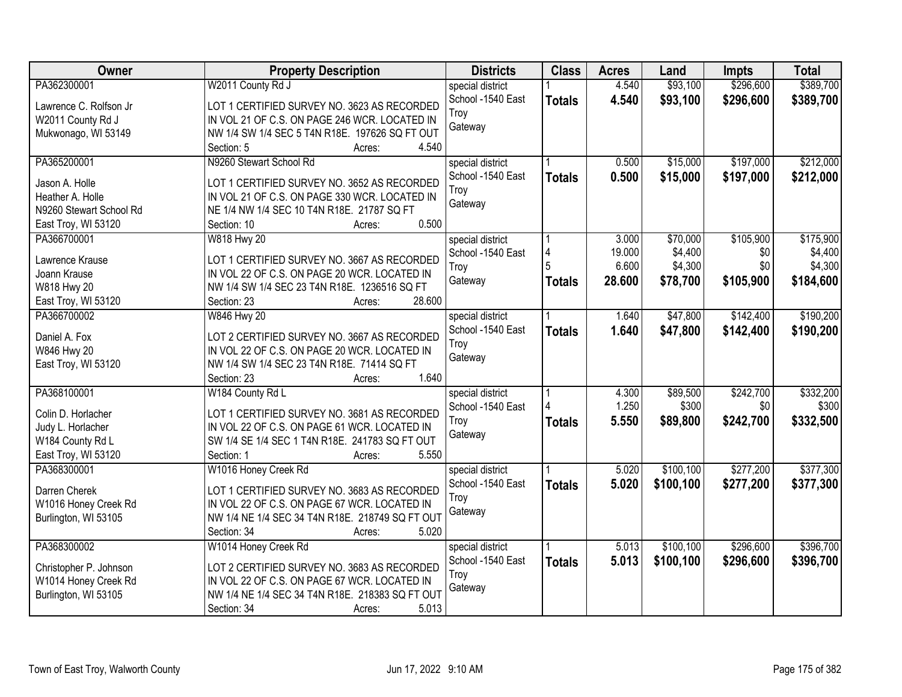| Owner                   | <b>Property Description</b>                     | <b>Districts</b>  | <b>Class</b>  | <b>Acres</b> | Land      | <b>Impts</b> | <b>Total</b> |
|-------------------------|-------------------------------------------------|-------------------|---------------|--------------|-----------|--------------|--------------|
| PA362300001             | W2011 County Rd J                               | special district  |               | 4.540        | \$93,100  | \$296,600    | \$389,700    |
| Lawrence C. Rolfson Jr  | LOT 1 CERTIFIED SURVEY NO. 3623 AS RECORDED     | School -1540 East | <b>Totals</b> | 4.540        | \$93,100  | \$296,600    | \$389,700    |
| W2011 County Rd J       | IN VOL 21 OF C.S. ON PAGE 246 WCR. LOCATED IN   | Troy              |               |              |           |              |              |
| Mukwonago, WI 53149     | NW 1/4 SW 1/4 SEC 5 T4N R18E. 197626 SQ FT OUT  | Gateway           |               |              |           |              |              |
|                         | 4.540<br>Section: 5<br>Acres:                   |                   |               |              |           |              |              |
| PA365200001             | N9260 Stewart School Rd                         | special district  |               | 0.500        | \$15,000  | \$197,000    | \$212,000    |
| Jason A. Holle          | LOT 1 CERTIFIED SURVEY NO. 3652 AS RECORDED     | School -1540 East | <b>Totals</b> | 0.500        | \$15,000  | \$197,000    | \$212,000    |
| Heather A. Holle        | IN VOL 21 OF C.S. ON PAGE 330 WCR. LOCATED IN   | Troy              |               |              |           |              |              |
| N9260 Stewart School Rd | NE 1/4 NW 1/4 SEC 10 T4N R18E. 21787 SQ FT      | Gateway           |               |              |           |              |              |
| East Troy, WI 53120     | 0.500<br>Section: 10<br>Acres:                  |                   |               |              |           |              |              |
| PA366700001             | W818 Hwy 20                                     | special district  |               | 3.000        | \$70,000  | \$105,900    | \$175,900    |
|                         |                                                 | School -1540 East | 4             | 19.000       | \$4,400   | \$0          | \$4,400      |
| Lawrence Krause         | LOT 1 CERTIFIED SURVEY NO. 3667 AS RECORDED     | Troy              |               | 6.600        | \$4,300   | \$0          | \$4,300      |
| Joann Krause            | IN VOL 22 OF C.S. ON PAGE 20 WCR. LOCATED IN    | Gateway           | <b>Totals</b> | 28.600       | \$78,700  | \$105,900    | \$184,600    |
| W818 Hwy 20             | NW 1/4 SW 1/4 SEC 23 T4N R18E. 1236516 SQ FT    |                   |               |              |           |              |              |
| East Troy, WI 53120     | 28.600<br>Section: 23<br>Acres:                 |                   |               |              |           |              |              |
| PA366700002             | W846 Hwy 20                                     | special district  |               | 1.640        | \$47,800  | \$142,400    | \$190,200    |
| Daniel A. Fox           | LOT 2 CERTIFIED SURVEY NO. 3667 AS RECORDED     | School -1540 East | <b>Totals</b> | 1.640        | \$47,800  | \$142,400    | \$190,200    |
| W846 Hwy 20             | IN VOL 22 OF C.S. ON PAGE 20 WCR. LOCATED IN    | Troy              |               |              |           |              |              |
| East Troy, WI 53120     | NW 1/4 SW 1/4 SEC 23 T4N R18E. 71414 SQ FT      | Gateway           |               |              |           |              |              |
|                         | 1.640<br>Section: 23<br>Acres:                  |                   |               |              |           |              |              |
| PA368100001             | W184 County Rd L                                | special district  |               | 4.300        | \$89,500  | \$242,700    | \$332,200    |
| Colin D. Horlacher      | LOT 1 CERTIFIED SURVEY NO. 3681 AS RECORDED     | School -1540 East |               | 1.250        | \$300     | \$0          | \$300        |
| Judy L. Horlacher       | IN VOL 22 OF C.S. ON PAGE 61 WCR. LOCATED IN    | Troy              | <b>Totals</b> | 5.550        | \$89,800  | \$242,700    | \$332,500    |
| W184 County Rd L        | SW 1/4 SE 1/4 SEC 1 T4N R18E. 241783 SQ FT OUT  | Gateway           |               |              |           |              |              |
| East Troy, WI 53120     | 5.550<br>Section: 1<br>Acres:                   |                   |               |              |           |              |              |
| PA368300001             | W1016 Honey Creek Rd                            | special district  |               | 5.020        | \$100,100 | \$277,200    | \$377,300    |
|                         |                                                 | School -1540 East | <b>Totals</b> | 5.020        | \$100,100 | \$277,200    | \$377,300    |
| Darren Cherek           | LOT 1 CERTIFIED SURVEY NO. 3683 AS RECORDED     | Troy              |               |              |           |              |              |
| W1016 Honey Creek Rd    | IN VOL 22 OF C.S. ON PAGE 67 WCR. LOCATED IN    | Gateway           |               |              |           |              |              |
| Burlington, WI 53105    | NW 1/4 NE 1/4 SEC 34 T4N R18E. 218749 SQ FT OUT |                   |               |              |           |              |              |
|                         | 5.020<br>Section: 34<br>Acres:                  |                   |               |              |           |              |              |
| PA368300002             | W1014 Honey Creek Rd                            | special district  |               | 5.013        | \$100,100 | \$296,600    | \$396,700    |
| Christopher P. Johnson  | LOT 2 CERTIFIED SURVEY NO. 3683 AS RECORDED     | School -1540 East | <b>Totals</b> | 5.013        | \$100,100 | \$296,600    | \$396,700    |
| W1014 Honey Creek Rd    | IN VOL 22 OF C.S. ON PAGE 67 WCR. LOCATED IN    | Troy              |               |              |           |              |              |
| Burlington, WI 53105    | NW 1/4 NE 1/4 SEC 34 T4N R18E. 218383 SQ FT OUT | Gateway           |               |              |           |              |              |
|                         | 5.013<br>Section: 34<br>Acres:                  |                   |               |              |           |              |              |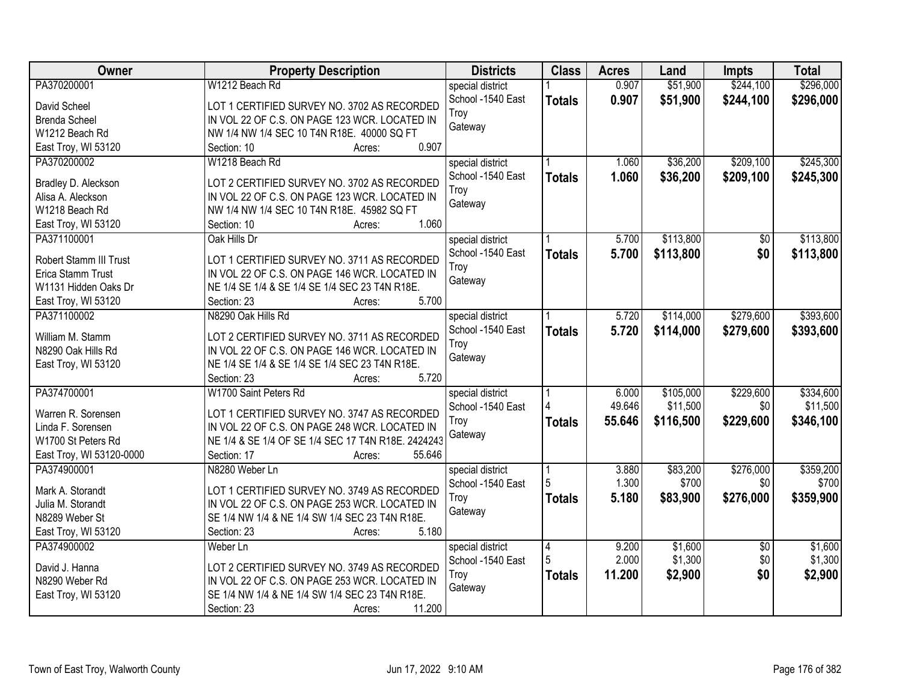| <b>Owner</b>             | <b>Property Description</b>                        | <b>Districts</b>  | <b>Class</b>   | <b>Acres</b> | Land      | <b>Impts</b>    | <b>Total</b> |
|--------------------------|----------------------------------------------------|-------------------|----------------|--------------|-----------|-----------------|--------------|
| PA370200001              | W1212 Beach Rd                                     | special district  |                | 0.907        | \$51,900  | \$244,100       | \$296,000    |
| David Scheel             | LOT 1 CERTIFIED SURVEY NO. 3702 AS RECORDED        | School -1540 East | <b>Totals</b>  | 0.907        | \$51,900  | \$244,100       | \$296,000    |
| <b>Brenda Scheel</b>     | IN VOL 22 OF C.S. ON PAGE 123 WCR. LOCATED IN      | Troy              |                |              |           |                 |              |
| W1212 Beach Rd           | NW 1/4 NW 1/4 SEC 10 T4N R18E. 40000 SQ FT         | Gateway           |                |              |           |                 |              |
| East Troy, WI 53120      | 0.907<br>Section: 10<br>Acres:                     |                   |                |              |           |                 |              |
| PA370200002              | W1218 Beach Rd                                     | special district  |                | 1.060        | \$36,200  | \$209,100       | \$245,300    |
|                          |                                                    | School -1540 East | <b>Totals</b>  | 1.060        | \$36,200  | \$209,100       | \$245,300    |
| Bradley D. Aleckson      | LOT 2 CERTIFIED SURVEY NO. 3702 AS RECORDED        | Troy              |                |              |           |                 |              |
| Alisa A. Aleckson        | IN VOL 22 OF C.S. ON PAGE 123 WCR. LOCATED IN      | Gateway           |                |              |           |                 |              |
| W1218 Beach Rd           | NW 1/4 NW 1/4 SEC 10 T4N R18E. 45982 SQ FT         |                   |                |              |           |                 |              |
| East Troy, WI 53120      | 1.060<br>Section: 10<br>Acres:                     |                   |                |              |           |                 |              |
| PA371100001              | Oak Hills Dr                                       | special district  |                | 5.700        | \$113,800 | \$0             | \$113,800    |
| Robert Stamm III Trust   | LOT 1 CERTIFIED SURVEY NO. 3711 AS RECORDED        | School -1540 East | <b>Totals</b>  | 5.700        | \$113,800 | \$0             | \$113,800    |
| Erica Stamm Trust        | IN VOL 22 OF C.S. ON PAGE 146 WCR. LOCATED IN      | Troy              |                |              |           |                 |              |
| W1131 Hidden Oaks Dr     | NE 1/4 SE 1/4 & SE 1/4 SE 1/4 SEC 23 T4N R18E.     | Gateway           |                |              |           |                 |              |
| East Troy, WI 53120      | 5.700<br>Section: 23<br>Acres:                     |                   |                |              |           |                 |              |
| PA371100002              | N8290 Oak Hills Rd                                 | special district  |                | 5.720        | \$114,000 | \$279,600       | \$393,600    |
|                          |                                                    | School -1540 East | <b>Totals</b>  | 5.720        | \$114,000 | \$279,600       | \$393,600    |
| William M. Stamm         | LOT 2 CERTIFIED SURVEY NO. 3711 AS RECORDED        | Troy              |                |              |           |                 |              |
| N8290 Oak Hills Rd       | IN VOL 22 OF C.S. ON PAGE 146 WCR. LOCATED IN      | Gateway           |                |              |           |                 |              |
| East Troy, WI 53120      | NE 1/4 SE 1/4 & SE 1/4 SE 1/4 SEC 23 T4N R18E.     |                   |                |              |           |                 |              |
|                          | Section: 23<br>5.720<br>Acres:                     |                   |                |              |           |                 |              |
| PA374700001              | W1700 Saint Peters Rd                              | special district  |                | 6.000        | \$105,000 | \$229,600       | \$334,600    |
| Warren R. Sorensen       | LOT 1 CERTIFIED SURVEY NO. 3747 AS RECORDED        | School -1540 East |                | 49.646       | \$11,500  | \$0             | \$11,500     |
| Linda F. Sorensen        | IN VOL 22 OF C.S. ON PAGE 248 WCR. LOCATED IN      | Troy              | <b>Totals</b>  | 55.646       | \$116,500 | \$229,600       | \$346,100    |
| W1700 St Peters Rd       | NE 1/4 & SE 1/4 OF SE 1/4 SEC 17 T4N R18E. 2424243 | Gateway           |                |              |           |                 |              |
| East Troy, WI 53120-0000 | 55.646<br>Section: 17<br>Acres:                    |                   |                |              |           |                 |              |
| PA374900001              | N8280 Weber Ln                                     | special district  |                | 3.880        | \$83,200  | \$276,000       | \$359,200    |
|                          |                                                    | School -1540 East |                | 1.300        | \$700     | \$0             | \$700        |
| Mark A. Storandt         | LOT 1 CERTIFIED SURVEY NO. 3749 AS RECORDED        | Troy              | <b>Totals</b>  | 5.180        | \$83,900  | \$276,000       | \$359,900    |
| Julia M. Storandt        | IN VOL 22 OF C.S. ON PAGE 253 WCR. LOCATED IN      | Gateway           |                |              |           |                 |              |
| N8289 Weber St           | SE 1/4 NW 1/4 & NE 1/4 SW 1/4 SEC 23 T4N R18E.     |                   |                |              |           |                 |              |
| East Troy, WI 53120      | 5.180<br>Section: 23<br>Acres:                     |                   |                |              |           |                 |              |
| PA374900002              | Weber Ln                                           | special district  | $\overline{4}$ | 9.200        | \$1,600   | $\overline{30}$ | \$1,600      |
| David J. Hanna           | LOT 2 CERTIFIED SURVEY NO. 3749 AS RECORDED        | School -1540 East | 5              | 2.000        | \$1,300   | \$0             | \$1,300      |
| N8290 Weber Rd           | IN VOL 22 OF C.S. ON PAGE 253 WCR. LOCATED IN      | Troy              | <b>Totals</b>  | 11.200       | \$2,900   | \$0             | \$2,900      |
| East Troy, WI 53120      | SE 1/4 NW 1/4 & NE 1/4 SW 1/4 SEC 23 T4N R18E.     | Gateway           |                |              |           |                 |              |
|                          | 11.200<br>Section: 23<br>Acres:                    |                   |                |              |           |                 |              |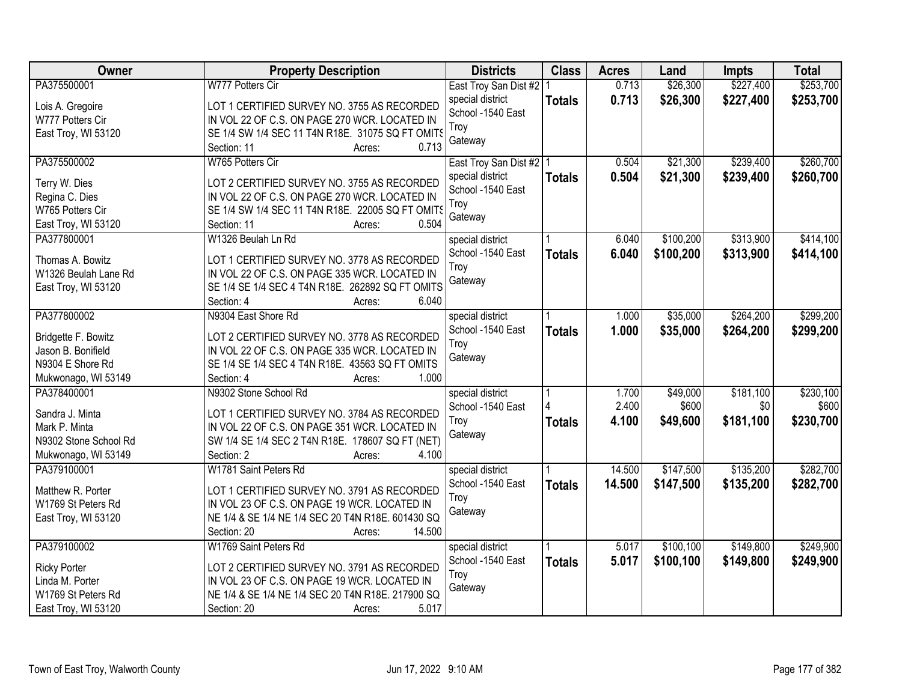| <b>Owner</b>                       | <b>Property Description</b>                                                                       | <b>Districts</b>          | <b>Class</b>  | <b>Acres</b> | Land      | <b>Impts</b> | <b>Total</b> |
|------------------------------------|---------------------------------------------------------------------------------------------------|---------------------------|---------------|--------------|-----------|--------------|--------------|
| PA375500001                        | W777 Potters Cir                                                                                  | East Troy San Dist #2   1 |               | 0.713        | \$26,300  | \$227,400    | \$253,700    |
| Lois A. Gregoire                   | LOT 1 CERTIFIED SURVEY NO. 3755 AS RECORDED                                                       | special district          | <b>Totals</b> | 0.713        | \$26,300  | \$227,400    | \$253,700    |
| W777 Potters Cir                   | IN VOL 22 OF C.S. ON PAGE 270 WCR. LOCATED IN                                                     | School -1540 East         |               |              |           |              |              |
| East Troy, WI 53120                | SE 1/4 SW 1/4 SEC 11 T4N R18E. 31075 SQ FT OMITS                                                  | Troy                      |               |              |           |              |              |
|                                    | 0.713<br>Section: 11<br>Acres:                                                                    | Gateway                   |               |              |           |              |              |
| PA375500002                        | W765 Potters Cir                                                                                  | East Troy San Dist #2   1 |               | 0.504        | \$21,300  | \$239,400    | \$260,700    |
|                                    |                                                                                                   | special district          | <b>Totals</b> | 0.504        | \$21,300  | \$239,400    | \$260,700    |
| Terry W. Dies                      | LOT 2 CERTIFIED SURVEY NO. 3755 AS RECORDED<br>IN VOL 22 OF C.S. ON PAGE 270 WCR. LOCATED IN      | School -1540 East         |               |              |           |              |              |
| Regina C. Dies<br>W765 Potters Cir | SE 1/4 SW 1/4 SEC 11 T4N R18E. 22005 SQ FT OMITS                                                  | Troy                      |               |              |           |              |              |
| East Troy, WI 53120                | 0.504<br>Section: 11<br>Acres:                                                                    | Gateway                   |               |              |           |              |              |
| PA377800001                        | W1326 Beulah Ln Rd                                                                                | special district          |               | 6.040        | \$100,200 | \$313,900    | \$414,100    |
|                                    |                                                                                                   | School -1540 East         | <b>Totals</b> | 6.040        | \$100,200 | \$313,900    | \$414,100    |
| Thomas A. Bowitz                   | LOT 1 CERTIFIED SURVEY NO. 3778 AS RECORDED                                                       | Troy                      |               |              |           |              |              |
| W1326 Beulah Lane Rd               | IN VOL 22 OF C.S. ON PAGE 335 WCR. LOCATED IN                                                     | Gateway                   |               |              |           |              |              |
| East Troy, WI 53120                | SE 1/4 SE 1/4 SEC 4 T4N R18E. 262892 SQ FT OMITS                                                  |                           |               |              |           |              |              |
|                                    | 6.040<br>Section: 4<br>Acres:                                                                     |                           |               |              |           |              |              |
| PA377800002                        | N9304 East Shore Rd                                                                               | special district          |               | 1.000        | \$35,000  | \$264,200    | \$299,200    |
| Bridgette F. Bowitz                | LOT 2 CERTIFIED SURVEY NO. 3778 AS RECORDED                                                       | School -1540 East         | <b>Totals</b> | 1.000        | \$35,000  | \$264,200    | \$299,200    |
| Jason B. Bonifield                 | IN VOL 22 OF C.S. ON PAGE 335 WCR. LOCATED IN                                                     | Troy                      |               |              |           |              |              |
| N9304 E Shore Rd                   | SE 1/4 SE 1/4 SEC 4 T4N R18E. 43563 SQ FT OMITS                                                   | Gateway                   |               |              |           |              |              |
| Mukwonago, WI 53149                | 1.000<br>Section: 4<br>Acres:                                                                     |                           |               |              |           |              |              |
| PA378400001                        | N9302 Stone School Rd                                                                             | special district          |               | 1.700        | \$49,000  | \$181,100    | \$230,100    |
|                                    |                                                                                                   | School -1540 East         |               | 2.400        | \$600     | \$0          | \$600        |
| Sandra J. Minta<br>Mark P. Minta   | LOT 1 CERTIFIED SURVEY NO. 3784 AS RECORDED                                                       | Troy                      | <b>Totals</b> | 4.100        | \$49,600  | \$181,100    | \$230,700    |
| N9302 Stone School Rd              | IN VOL 22 OF C.S. ON PAGE 351 WCR. LOCATED IN<br>SW 1/4 SE 1/4 SEC 2 T4N R18E. 178607 SQ FT (NET) | Gateway                   |               |              |           |              |              |
| Mukwonago, WI 53149                | 4.100<br>Section: 2<br>Acres:                                                                     |                           |               |              |           |              |              |
| PA379100001                        | W1781 Saint Peters Rd                                                                             | special district          |               | 14.500       | \$147,500 | \$135,200    | \$282,700    |
|                                    |                                                                                                   | School -1540 East         |               | 14.500       | \$147,500 | \$135,200    | \$282,700    |
| Matthew R. Porter                  | LOT 1 CERTIFIED SURVEY NO. 3791 AS RECORDED                                                       | Troy                      | <b>Totals</b> |              |           |              |              |
| W1769 St Peters Rd                 | IN VOL 23 OF C.S. ON PAGE 19 WCR. LOCATED IN                                                      | Gateway                   |               |              |           |              |              |
| East Troy, WI 53120                | NE 1/4 & SE 1/4 NE 1/4 SEC 20 T4N R18E, 601430 SQ                                                 |                           |               |              |           |              |              |
|                                    | 14.500<br>Section: 20<br>Acres:                                                                   |                           |               |              |           |              |              |
| PA379100002                        | W1769 Saint Peters Rd                                                                             | special district          |               | 5.017        | \$100,100 | \$149,800    | \$249,900    |
| <b>Ricky Porter</b>                | LOT 2 CERTIFIED SURVEY NO. 3791 AS RECORDED                                                       | School -1540 East         | <b>Totals</b> | 5.017        | \$100,100 | \$149,800    | \$249,900    |
| Linda M. Porter                    | IN VOL 23 OF C.S. ON PAGE 19 WCR. LOCATED IN                                                      | Troy                      |               |              |           |              |              |
| W1769 St Peters Rd                 | NE 1/4 & SE 1/4 NE 1/4 SEC 20 T4N R18E. 217900 SQ                                                 | Gateway                   |               |              |           |              |              |
| East Troy, WI 53120                | 5.017<br>Section: 20<br>Acres:                                                                    |                           |               |              |           |              |              |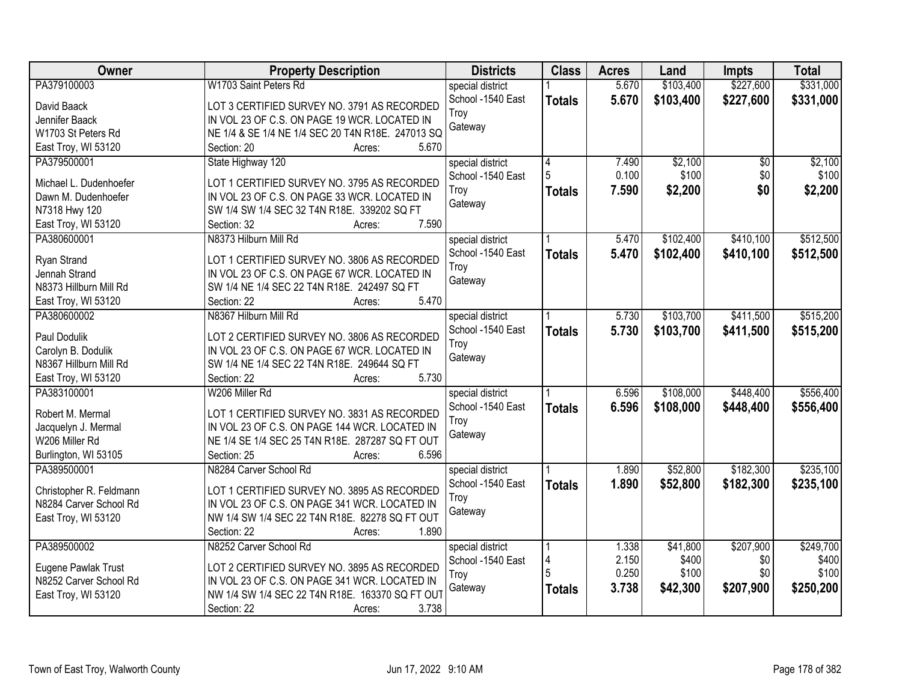| Owner                   | <b>Property Description</b>                       | <b>Districts</b>  | <b>Class</b>   | <b>Acres</b> | Land      | <b>Impts</b>    | <b>Total</b> |
|-------------------------|---------------------------------------------------|-------------------|----------------|--------------|-----------|-----------------|--------------|
| PA379100003             | W1703 Saint Peters Rd                             | special district  |                | 5.670        | \$103,400 | \$227,600       | \$331,000    |
| David Baack             | LOT 3 CERTIFIED SURVEY NO. 3791 AS RECORDED       | School -1540 East | <b>Totals</b>  | 5.670        | \$103,400 | \$227,600       | \$331,000    |
| Jennifer Baack          | IN VOL 23 OF C.S. ON PAGE 19 WCR. LOCATED IN      | Troy              |                |              |           |                 |              |
| W1703 St Peters Rd      | NE 1/4 & SE 1/4 NE 1/4 SEC 20 T4N R18E. 247013 SQ | Gateway           |                |              |           |                 |              |
| East Troy, WI 53120     | 5.670<br>Section: 20<br>Acres:                    |                   |                |              |           |                 |              |
| PA379500001             | State Highway 120                                 | special district  | $\overline{4}$ | 7.490        | \$2,100   | $\overline{50}$ | \$2,100      |
|                         |                                                   | School -1540 East | 5              | 0.100        | \$100     | \$0             | \$100        |
| Michael L. Dudenhoefer  | LOT 1 CERTIFIED SURVEY NO. 3795 AS RECORDED       | Troy              | <b>Totals</b>  | 7.590        | \$2,200   | \$0             | \$2,200      |
| Dawn M. Dudenhoefer     | IN VOL 23 OF C.S. ON PAGE 33 WCR. LOCATED IN      | Gateway           |                |              |           |                 |              |
| N7318 Hwy 120           | SW 1/4 SW 1/4 SEC 32 T4N R18E. 339202 SQ FT       |                   |                |              |           |                 |              |
| East Troy, WI 53120     | 7.590<br>Section: 32<br>Acres:                    |                   |                |              |           |                 |              |
| PA380600001             | N8373 Hilburn Mill Rd                             | special district  |                | 5.470        | \$102,400 | \$410,100       | \$512,500    |
| Ryan Strand             | LOT 1 CERTIFIED SURVEY NO. 3806 AS RECORDED       | School -1540 East | <b>Totals</b>  | 5.470        | \$102,400 | \$410,100       | \$512,500    |
| Jennah Strand           | IN VOL 23 OF C.S. ON PAGE 67 WCR. LOCATED IN      | Troy              |                |              |           |                 |              |
| N8373 Hillburn Mill Rd  | SW 1/4 NE 1/4 SEC 22 T4N R18E. 242497 SQ FT       | Gateway           |                |              |           |                 |              |
| East Troy, WI 53120     | 5.470<br>Section: 22<br>Acres:                    |                   |                |              |           |                 |              |
| PA380600002             | N8367 Hilburn Mill Rd                             | special district  |                | 5.730        | \$103,700 | \$411,500       | \$515,200    |
|                         |                                                   | School -1540 East | <b>Totals</b>  | 5.730        | \$103,700 | \$411,500       | \$515,200    |
| Paul Dodulik            | LOT 2 CERTIFIED SURVEY NO. 3806 AS RECORDED       | Troy              |                |              |           |                 |              |
| Carolyn B. Dodulik      | IN VOL 23 OF C.S. ON PAGE 67 WCR. LOCATED IN      | Gateway           |                |              |           |                 |              |
| N8367 Hillburn Mill Rd  | SW 1/4 NE 1/4 SEC 22 T4N R18E. 249644 SQ FT       |                   |                |              |           |                 |              |
| East Troy, WI 53120     | 5.730<br>Section: 22<br>Acres:                    |                   |                |              |           |                 |              |
| PA383100001             | W206 Miller Rd                                    | special district  |                | 6.596        | \$108,000 | \$448,400       | \$556,400    |
| Robert M. Mermal        | LOT 1 CERTIFIED SURVEY NO. 3831 AS RECORDED       | School -1540 East | <b>Totals</b>  | 6.596        | \$108,000 | \$448,400       | \$556,400    |
| Jacquelyn J. Mermal     | IN VOL 23 OF C.S. ON PAGE 144 WCR. LOCATED IN     | Troy              |                |              |           |                 |              |
| W206 Miller Rd          | NE 1/4 SE 1/4 SEC 25 T4N R18E. 287287 SQ FT OUT   | Gateway           |                |              |           |                 |              |
| Burlington, WI 53105    | 6.596<br>Section: 25<br>Acres:                    |                   |                |              |           |                 |              |
| PA389500001             | N8284 Carver School Rd                            | special district  |                | 1.890        | \$52,800  | \$182,300       | \$235,100    |
|                         |                                                   | School -1540 East | <b>Totals</b>  | 1.890        | \$52,800  | \$182,300       | \$235,100    |
| Christopher R. Feldmann | LOT 1 CERTIFIED SURVEY NO. 3895 AS RECORDED       | Troy              |                |              |           |                 |              |
| N8284 Carver School Rd  | IN VOL 23 OF C.S. ON PAGE 341 WCR. LOCATED IN     | Gateway           |                |              |           |                 |              |
| East Troy, WI 53120     | NW 1/4 SW 1/4 SEC 22 T4N R18E. 82278 SQ FT OUT    |                   |                |              |           |                 |              |
|                         | 1.890<br>Section: 22<br>Acres:                    |                   |                |              |           |                 |              |
| PA389500002             | N8252 Carver School Rd                            | special district  |                | 1.338        | \$41,800  | \$207,900       | \$249,700    |
| Eugene Pawlak Trust     | LOT 2 CERTIFIED SURVEY NO. 3895 AS RECORDED       | School -1540 East | 4              | 2.150        | \$400     | \$0             | \$400        |
| N8252 Carver School Rd  | IN VOL 23 OF C.S. ON PAGE 341 WCR. LOCATED IN     | Troy              |                | 0.250        | \$100     | \$0             | \$100        |
| East Troy, WI 53120     | NW 1/4 SW 1/4 SEC 22 T4N R18E. 163370 SQ FT OUT   | Gateway           | <b>Totals</b>  | 3.738        | \$42,300  | \$207,900       | \$250,200    |
|                         | 3.738<br>Section: 22<br>Acres:                    |                   |                |              |           |                 |              |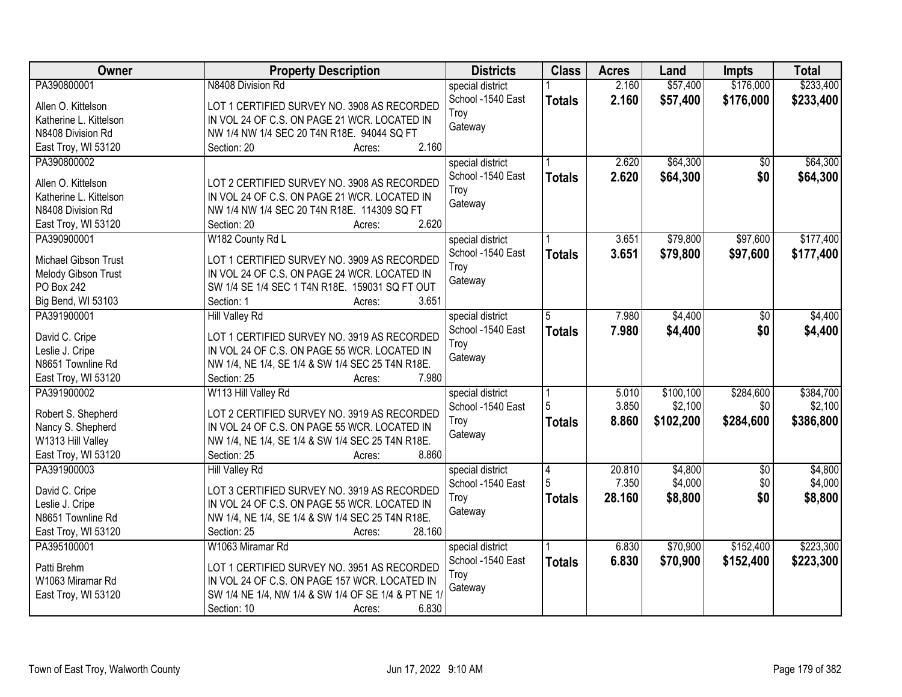| \$57,400<br>\$176,000<br>\$233,400<br>PA390800001<br>N8408 Division Rd<br>2.160<br>special district<br>School -1540 East<br>2.160<br>\$57,400<br>\$176,000<br><b>Totals</b><br>LOT 1 CERTIFIED SURVEY NO. 3908 AS RECORDED<br>Allen O. Kittelson<br>Troy<br>Katherine L. Kittelson<br>IN VOL 24 OF C.S. ON PAGE 21 WCR. LOCATED IN<br>Gateway<br>NW 1/4 NW 1/4 SEC 20 T4N R18E. 94044 SQ FT<br>N8408 Division Rd<br>2.160<br>East Troy, WI 53120<br>Section: 20<br>Acres:<br>\$64,300<br>PA390800002<br>2.620<br>$\overline{30}$<br>special district<br>2.620<br>\$0<br>School -1540 East<br>\$64,300<br><b>Totals</b><br>LOT 2 CERTIFIED SURVEY NO. 3908 AS RECORDED<br>Allen O. Kittelson<br>Troy<br>IN VOL 24 OF C.S. ON PAGE 21 WCR. LOCATED IN<br>Katherine L. Kittelson<br>Gateway<br>N8408 Division Rd<br>NW 1/4 NW 1/4 SEC 20 T4N R18E. 114309 SQ FT<br>2.620<br>East Troy, WI 53120<br>Section: 20<br>Acres:<br>\$79,800<br>\$97,600<br>PA390900001<br>W182 County Rd L<br>special district<br>3.651<br>School -1540 East<br>\$79,800<br>3.651<br>\$97,600<br><b>Totals</b><br>Michael Gibson Trust<br>LOT 1 CERTIFIED SURVEY NO. 3909 AS RECORDED<br>Troy<br>Melody Gibson Trust<br>IN VOL 24 OF C.S. ON PAGE 24 WCR. LOCATED IN<br>Gateway<br>PO Box 242<br>SW 1/4 SE 1/4 SEC 1 T4N R18E. 159031 SQ FT OUT<br>Big Bend, WI 53103<br>3.651<br>Section: 1<br>Acres:<br>PA391900001<br>7.980<br>\$4,400<br><b>Hill Valley Rd</b><br>special district<br>\$0<br>5<br>7.980<br>\$4,400<br>\$0<br>School -1540 East<br><b>Totals</b><br>LOT 1 CERTIFIED SURVEY NO. 3919 AS RECORDED<br>David C. Cripe<br>Troy<br>IN VOL 24 OF C.S. ON PAGE 55 WCR. LOCATED IN<br>Leslie J. Cripe<br>Gateway<br>N8651 Townline Rd<br>NW 1/4, NE 1/4, SE 1/4 & SW 1/4 SEC 25 T4N R18E.<br>7.980<br>East Troy, WI 53120<br>Section: 25<br>Acres:<br>\$100, 100<br>\$284,600<br>PA391900002<br>W113 Hill Valley Rd<br>5.010<br>special district<br>5<br>3.850<br>\$2,100<br>\$0<br>School -1540 East<br>Robert S. Shepherd<br>LOT 2 CERTIFIED SURVEY NO. 3919 AS RECORDED<br>8.860<br>\$102,200<br>\$284,600<br>Troy<br><b>Totals</b><br>Nancy S. Shepherd<br>IN VOL 24 OF C.S. ON PAGE 55 WCR. LOCATED IN<br>Gateway<br>W1313 Hill Valley<br>NW 1/4, NE 1/4, SE 1/4 & SW 1/4 SEC 25 T4N R18E.<br>East Troy, WI 53120<br>8.860<br>Section: 25<br>Acres:<br>PA391900003<br>\$4,800<br>20.810<br>$\sqrt{6}$<br>Hill Valley Rd<br>special district<br>4<br>5<br>\$4,000<br>\$0<br>7.350<br>School -1540 East<br>David C. Cripe<br>LOT 3 CERTIFIED SURVEY NO. 3919 AS RECORDED<br>28.160<br>\$8,800<br>\$0<br>\$8,800<br>Troy<br><b>Totals</b><br>Leslie J. Cripe<br>IN VOL 24 OF C.S. ON PAGE 55 WCR. LOCATED IN<br>Gateway<br>N8651 Townline Rd<br>NW 1/4, NE 1/4, SE 1/4 & SW 1/4 SEC 25 T4N R18E.<br>28.160<br>East Troy, WI 53120<br>Section: 25<br>Acres:<br>\$70,900<br>\$152,400<br>\$223,300<br>W1063 Miramar Rd<br>PA395100001<br>6.830<br>special district<br>6.830<br>School -1540 East<br>\$70,900<br>\$152,400<br>\$223,300<br><b>Totals</b><br>LOT 1 CERTIFIED SURVEY NO. 3951 AS RECORDED<br>Patti Brehm | <b>Owner</b>     | <b>Property Description</b>                   | <b>Districts</b> | <b>Class</b> | <b>Acres</b> | Land | <b>Impts</b> | <b>Total</b> |
|-------------------------------------------------------------------------------------------------------------------------------------------------------------------------------------------------------------------------------------------------------------------------------------------------------------------------------------------------------------------------------------------------------------------------------------------------------------------------------------------------------------------------------------------------------------------------------------------------------------------------------------------------------------------------------------------------------------------------------------------------------------------------------------------------------------------------------------------------------------------------------------------------------------------------------------------------------------------------------------------------------------------------------------------------------------------------------------------------------------------------------------------------------------------------------------------------------------------------------------------------------------------------------------------------------------------------------------------------------------------------------------------------------------------------------------------------------------------------------------------------------------------------------------------------------------------------------------------------------------------------------------------------------------------------------------------------------------------------------------------------------------------------------------------------------------------------------------------------------------------------------------------------------------------------------------------------------------------------------------------------------------------------------------------------------------------------------------------------------------------------------------------------------------------------------------------------------------------------------------------------------------------------------------------------------------------------------------------------------------------------------------------------------------------------------------------------------------------------------------------------------------------------------------------------------------------------------------------------------------------------------------------------------------------------------------------------------------------------------------------------------------------------------------------------------------------------------------------------------------------------------------------------------------------------------------------------------------------------------------------------------------------------------------------------------------------------------------------------------|------------------|-----------------------------------------------|------------------|--------------|--------------|------|--------------|--------------|
|                                                                                                                                                                                                                                                                                                                                                                                                                                                                                                                                                                                                                                                                                                                                                                                                                                                                                                                                                                                                                                                                                                                                                                                                                                                                                                                                                                                                                                                                                                                                                                                                                                                                                                                                                                                                                                                                                                                                                                                                                                                                                                                                                                                                                                                                                                                                                                                                                                                                                                                                                                                                                                                                                                                                                                                                                                                                                                                                                                                                                                                                                                       |                  |                                               |                  |              |              |      |              |              |
|                                                                                                                                                                                                                                                                                                                                                                                                                                                                                                                                                                                                                                                                                                                                                                                                                                                                                                                                                                                                                                                                                                                                                                                                                                                                                                                                                                                                                                                                                                                                                                                                                                                                                                                                                                                                                                                                                                                                                                                                                                                                                                                                                                                                                                                                                                                                                                                                                                                                                                                                                                                                                                                                                                                                                                                                                                                                                                                                                                                                                                                                                                       |                  |                                               |                  |              |              |      |              | \$233,400    |
| \$64,300<br>\$64,300<br>\$177,400<br>\$177,400<br>\$4,400<br>\$4,400<br>\$384,700<br>\$2,100<br>\$386,800<br>\$4,800<br>\$4,000                                                                                                                                                                                                                                                                                                                                                                                                                                                                                                                                                                                                                                                                                                                                                                                                                                                                                                                                                                                                                                                                                                                                                                                                                                                                                                                                                                                                                                                                                                                                                                                                                                                                                                                                                                                                                                                                                                                                                                                                                                                                                                                                                                                                                                                                                                                                                                                                                                                                                                                                                                                                                                                                                                                                                                                                                                                                                                                                                                       |                  |                                               |                  |              |              |      |              |              |
|                                                                                                                                                                                                                                                                                                                                                                                                                                                                                                                                                                                                                                                                                                                                                                                                                                                                                                                                                                                                                                                                                                                                                                                                                                                                                                                                                                                                                                                                                                                                                                                                                                                                                                                                                                                                                                                                                                                                                                                                                                                                                                                                                                                                                                                                                                                                                                                                                                                                                                                                                                                                                                                                                                                                                                                                                                                                                                                                                                                                                                                                                                       |                  |                                               |                  |              |              |      |              |              |
|                                                                                                                                                                                                                                                                                                                                                                                                                                                                                                                                                                                                                                                                                                                                                                                                                                                                                                                                                                                                                                                                                                                                                                                                                                                                                                                                                                                                                                                                                                                                                                                                                                                                                                                                                                                                                                                                                                                                                                                                                                                                                                                                                                                                                                                                                                                                                                                                                                                                                                                                                                                                                                                                                                                                                                                                                                                                                                                                                                                                                                                                                                       |                  |                                               |                  |              |              |      |              |              |
|                                                                                                                                                                                                                                                                                                                                                                                                                                                                                                                                                                                                                                                                                                                                                                                                                                                                                                                                                                                                                                                                                                                                                                                                                                                                                                                                                                                                                                                                                                                                                                                                                                                                                                                                                                                                                                                                                                                                                                                                                                                                                                                                                                                                                                                                                                                                                                                                                                                                                                                                                                                                                                                                                                                                                                                                                                                                                                                                                                                                                                                                                                       |                  |                                               |                  |              |              |      |              |              |
|                                                                                                                                                                                                                                                                                                                                                                                                                                                                                                                                                                                                                                                                                                                                                                                                                                                                                                                                                                                                                                                                                                                                                                                                                                                                                                                                                                                                                                                                                                                                                                                                                                                                                                                                                                                                                                                                                                                                                                                                                                                                                                                                                                                                                                                                                                                                                                                                                                                                                                                                                                                                                                                                                                                                                                                                                                                                                                                                                                                                                                                                                                       |                  |                                               |                  |              |              |      |              |              |
|                                                                                                                                                                                                                                                                                                                                                                                                                                                                                                                                                                                                                                                                                                                                                                                                                                                                                                                                                                                                                                                                                                                                                                                                                                                                                                                                                                                                                                                                                                                                                                                                                                                                                                                                                                                                                                                                                                                                                                                                                                                                                                                                                                                                                                                                                                                                                                                                                                                                                                                                                                                                                                                                                                                                                                                                                                                                                                                                                                                                                                                                                                       |                  |                                               |                  |              |              |      |              |              |
|                                                                                                                                                                                                                                                                                                                                                                                                                                                                                                                                                                                                                                                                                                                                                                                                                                                                                                                                                                                                                                                                                                                                                                                                                                                                                                                                                                                                                                                                                                                                                                                                                                                                                                                                                                                                                                                                                                                                                                                                                                                                                                                                                                                                                                                                                                                                                                                                                                                                                                                                                                                                                                                                                                                                                                                                                                                                                                                                                                                                                                                                                                       |                  |                                               |                  |              |              |      |              |              |
|                                                                                                                                                                                                                                                                                                                                                                                                                                                                                                                                                                                                                                                                                                                                                                                                                                                                                                                                                                                                                                                                                                                                                                                                                                                                                                                                                                                                                                                                                                                                                                                                                                                                                                                                                                                                                                                                                                                                                                                                                                                                                                                                                                                                                                                                                                                                                                                                                                                                                                                                                                                                                                                                                                                                                                                                                                                                                                                                                                                                                                                                                                       |                  |                                               |                  |              |              |      |              |              |
|                                                                                                                                                                                                                                                                                                                                                                                                                                                                                                                                                                                                                                                                                                                                                                                                                                                                                                                                                                                                                                                                                                                                                                                                                                                                                                                                                                                                                                                                                                                                                                                                                                                                                                                                                                                                                                                                                                                                                                                                                                                                                                                                                                                                                                                                                                                                                                                                                                                                                                                                                                                                                                                                                                                                                                                                                                                                                                                                                                                                                                                                                                       |                  |                                               |                  |              |              |      |              |              |
|                                                                                                                                                                                                                                                                                                                                                                                                                                                                                                                                                                                                                                                                                                                                                                                                                                                                                                                                                                                                                                                                                                                                                                                                                                                                                                                                                                                                                                                                                                                                                                                                                                                                                                                                                                                                                                                                                                                                                                                                                                                                                                                                                                                                                                                                                                                                                                                                                                                                                                                                                                                                                                                                                                                                                                                                                                                                                                                                                                                                                                                                                                       |                  |                                               |                  |              |              |      |              |              |
|                                                                                                                                                                                                                                                                                                                                                                                                                                                                                                                                                                                                                                                                                                                                                                                                                                                                                                                                                                                                                                                                                                                                                                                                                                                                                                                                                                                                                                                                                                                                                                                                                                                                                                                                                                                                                                                                                                                                                                                                                                                                                                                                                                                                                                                                                                                                                                                                                                                                                                                                                                                                                                                                                                                                                                                                                                                                                                                                                                                                                                                                                                       |                  |                                               |                  |              |              |      |              |              |
|                                                                                                                                                                                                                                                                                                                                                                                                                                                                                                                                                                                                                                                                                                                                                                                                                                                                                                                                                                                                                                                                                                                                                                                                                                                                                                                                                                                                                                                                                                                                                                                                                                                                                                                                                                                                                                                                                                                                                                                                                                                                                                                                                                                                                                                                                                                                                                                                                                                                                                                                                                                                                                                                                                                                                                                                                                                                                                                                                                                                                                                                                                       |                  |                                               |                  |              |              |      |              |              |
|                                                                                                                                                                                                                                                                                                                                                                                                                                                                                                                                                                                                                                                                                                                                                                                                                                                                                                                                                                                                                                                                                                                                                                                                                                                                                                                                                                                                                                                                                                                                                                                                                                                                                                                                                                                                                                                                                                                                                                                                                                                                                                                                                                                                                                                                                                                                                                                                                                                                                                                                                                                                                                                                                                                                                                                                                                                                                                                                                                                                                                                                                                       |                  |                                               |                  |              |              |      |              |              |
|                                                                                                                                                                                                                                                                                                                                                                                                                                                                                                                                                                                                                                                                                                                                                                                                                                                                                                                                                                                                                                                                                                                                                                                                                                                                                                                                                                                                                                                                                                                                                                                                                                                                                                                                                                                                                                                                                                                                                                                                                                                                                                                                                                                                                                                                                                                                                                                                                                                                                                                                                                                                                                                                                                                                                                                                                                                                                                                                                                                                                                                                                                       |                  |                                               |                  |              |              |      |              |              |
|                                                                                                                                                                                                                                                                                                                                                                                                                                                                                                                                                                                                                                                                                                                                                                                                                                                                                                                                                                                                                                                                                                                                                                                                                                                                                                                                                                                                                                                                                                                                                                                                                                                                                                                                                                                                                                                                                                                                                                                                                                                                                                                                                                                                                                                                                                                                                                                                                                                                                                                                                                                                                                                                                                                                                                                                                                                                                                                                                                                                                                                                                                       |                  |                                               |                  |              |              |      |              |              |
|                                                                                                                                                                                                                                                                                                                                                                                                                                                                                                                                                                                                                                                                                                                                                                                                                                                                                                                                                                                                                                                                                                                                                                                                                                                                                                                                                                                                                                                                                                                                                                                                                                                                                                                                                                                                                                                                                                                                                                                                                                                                                                                                                                                                                                                                                                                                                                                                                                                                                                                                                                                                                                                                                                                                                                                                                                                                                                                                                                                                                                                                                                       |                  |                                               |                  |              |              |      |              |              |
|                                                                                                                                                                                                                                                                                                                                                                                                                                                                                                                                                                                                                                                                                                                                                                                                                                                                                                                                                                                                                                                                                                                                                                                                                                                                                                                                                                                                                                                                                                                                                                                                                                                                                                                                                                                                                                                                                                                                                                                                                                                                                                                                                                                                                                                                                                                                                                                                                                                                                                                                                                                                                                                                                                                                                                                                                                                                                                                                                                                                                                                                                                       |                  |                                               |                  |              |              |      |              |              |
|                                                                                                                                                                                                                                                                                                                                                                                                                                                                                                                                                                                                                                                                                                                                                                                                                                                                                                                                                                                                                                                                                                                                                                                                                                                                                                                                                                                                                                                                                                                                                                                                                                                                                                                                                                                                                                                                                                                                                                                                                                                                                                                                                                                                                                                                                                                                                                                                                                                                                                                                                                                                                                                                                                                                                                                                                                                                                                                                                                                                                                                                                                       |                  |                                               |                  |              |              |      |              |              |
|                                                                                                                                                                                                                                                                                                                                                                                                                                                                                                                                                                                                                                                                                                                                                                                                                                                                                                                                                                                                                                                                                                                                                                                                                                                                                                                                                                                                                                                                                                                                                                                                                                                                                                                                                                                                                                                                                                                                                                                                                                                                                                                                                                                                                                                                                                                                                                                                                                                                                                                                                                                                                                                                                                                                                                                                                                                                                                                                                                                                                                                                                                       |                  |                                               |                  |              |              |      |              |              |
|                                                                                                                                                                                                                                                                                                                                                                                                                                                                                                                                                                                                                                                                                                                                                                                                                                                                                                                                                                                                                                                                                                                                                                                                                                                                                                                                                                                                                                                                                                                                                                                                                                                                                                                                                                                                                                                                                                                                                                                                                                                                                                                                                                                                                                                                                                                                                                                                                                                                                                                                                                                                                                                                                                                                                                                                                                                                                                                                                                                                                                                                                                       |                  |                                               |                  |              |              |      |              |              |
|                                                                                                                                                                                                                                                                                                                                                                                                                                                                                                                                                                                                                                                                                                                                                                                                                                                                                                                                                                                                                                                                                                                                                                                                                                                                                                                                                                                                                                                                                                                                                                                                                                                                                                                                                                                                                                                                                                                                                                                                                                                                                                                                                                                                                                                                                                                                                                                                                                                                                                                                                                                                                                                                                                                                                                                                                                                                                                                                                                                                                                                                                                       |                  |                                               |                  |              |              |      |              |              |
|                                                                                                                                                                                                                                                                                                                                                                                                                                                                                                                                                                                                                                                                                                                                                                                                                                                                                                                                                                                                                                                                                                                                                                                                                                                                                                                                                                                                                                                                                                                                                                                                                                                                                                                                                                                                                                                                                                                                                                                                                                                                                                                                                                                                                                                                                                                                                                                                                                                                                                                                                                                                                                                                                                                                                                                                                                                                                                                                                                                                                                                                                                       |                  |                                               |                  |              |              |      |              |              |
|                                                                                                                                                                                                                                                                                                                                                                                                                                                                                                                                                                                                                                                                                                                                                                                                                                                                                                                                                                                                                                                                                                                                                                                                                                                                                                                                                                                                                                                                                                                                                                                                                                                                                                                                                                                                                                                                                                                                                                                                                                                                                                                                                                                                                                                                                                                                                                                                                                                                                                                                                                                                                                                                                                                                                                                                                                                                                                                                                                                                                                                                                                       |                  |                                               |                  |              |              |      |              |              |
|                                                                                                                                                                                                                                                                                                                                                                                                                                                                                                                                                                                                                                                                                                                                                                                                                                                                                                                                                                                                                                                                                                                                                                                                                                                                                                                                                                                                                                                                                                                                                                                                                                                                                                                                                                                                                                                                                                                                                                                                                                                                                                                                                                                                                                                                                                                                                                                                                                                                                                                                                                                                                                                                                                                                                                                                                                                                                                                                                                                                                                                                                                       |                  |                                               |                  |              |              |      |              |              |
|                                                                                                                                                                                                                                                                                                                                                                                                                                                                                                                                                                                                                                                                                                                                                                                                                                                                                                                                                                                                                                                                                                                                                                                                                                                                                                                                                                                                                                                                                                                                                                                                                                                                                                                                                                                                                                                                                                                                                                                                                                                                                                                                                                                                                                                                                                                                                                                                                                                                                                                                                                                                                                                                                                                                                                                                                                                                                                                                                                                                                                                                                                       |                  |                                               |                  |              |              |      |              |              |
|                                                                                                                                                                                                                                                                                                                                                                                                                                                                                                                                                                                                                                                                                                                                                                                                                                                                                                                                                                                                                                                                                                                                                                                                                                                                                                                                                                                                                                                                                                                                                                                                                                                                                                                                                                                                                                                                                                                                                                                                                                                                                                                                                                                                                                                                                                                                                                                                                                                                                                                                                                                                                                                                                                                                                                                                                                                                                                                                                                                                                                                                                                       |                  |                                               |                  |              |              |      |              |              |
|                                                                                                                                                                                                                                                                                                                                                                                                                                                                                                                                                                                                                                                                                                                                                                                                                                                                                                                                                                                                                                                                                                                                                                                                                                                                                                                                                                                                                                                                                                                                                                                                                                                                                                                                                                                                                                                                                                                                                                                                                                                                                                                                                                                                                                                                                                                                                                                                                                                                                                                                                                                                                                                                                                                                                                                                                                                                                                                                                                                                                                                                                                       |                  |                                               |                  |              |              |      |              |              |
|                                                                                                                                                                                                                                                                                                                                                                                                                                                                                                                                                                                                                                                                                                                                                                                                                                                                                                                                                                                                                                                                                                                                                                                                                                                                                                                                                                                                                                                                                                                                                                                                                                                                                                                                                                                                                                                                                                                                                                                                                                                                                                                                                                                                                                                                                                                                                                                                                                                                                                                                                                                                                                                                                                                                                                                                                                                                                                                                                                                                                                                                                                       |                  |                                               |                  |              |              |      |              |              |
|                                                                                                                                                                                                                                                                                                                                                                                                                                                                                                                                                                                                                                                                                                                                                                                                                                                                                                                                                                                                                                                                                                                                                                                                                                                                                                                                                                                                                                                                                                                                                                                                                                                                                                                                                                                                                                                                                                                                                                                                                                                                                                                                                                                                                                                                                                                                                                                                                                                                                                                                                                                                                                                                                                                                                                                                                                                                                                                                                                                                                                                                                                       |                  |                                               |                  |              |              |      |              |              |
|                                                                                                                                                                                                                                                                                                                                                                                                                                                                                                                                                                                                                                                                                                                                                                                                                                                                                                                                                                                                                                                                                                                                                                                                                                                                                                                                                                                                                                                                                                                                                                                                                                                                                                                                                                                                                                                                                                                                                                                                                                                                                                                                                                                                                                                                                                                                                                                                                                                                                                                                                                                                                                                                                                                                                                                                                                                                                                                                                                                                                                                                                                       |                  |                                               |                  |              |              |      |              |              |
|                                                                                                                                                                                                                                                                                                                                                                                                                                                                                                                                                                                                                                                                                                                                                                                                                                                                                                                                                                                                                                                                                                                                                                                                                                                                                                                                                                                                                                                                                                                                                                                                                                                                                                                                                                                                                                                                                                                                                                                                                                                                                                                                                                                                                                                                                                                                                                                                                                                                                                                                                                                                                                                                                                                                                                                                                                                                                                                                                                                                                                                                                                       |                  |                                               |                  |              |              |      |              |              |
|                                                                                                                                                                                                                                                                                                                                                                                                                                                                                                                                                                                                                                                                                                                                                                                                                                                                                                                                                                                                                                                                                                                                                                                                                                                                                                                                                                                                                                                                                                                                                                                                                                                                                                                                                                                                                                                                                                                                                                                                                                                                                                                                                                                                                                                                                                                                                                                                                                                                                                                                                                                                                                                                                                                                                                                                                                                                                                                                                                                                                                                                                                       |                  |                                               |                  |              |              |      |              |              |
|                                                                                                                                                                                                                                                                                                                                                                                                                                                                                                                                                                                                                                                                                                                                                                                                                                                                                                                                                                                                                                                                                                                                                                                                                                                                                                                                                                                                                                                                                                                                                                                                                                                                                                                                                                                                                                                                                                                                                                                                                                                                                                                                                                                                                                                                                                                                                                                                                                                                                                                                                                                                                                                                                                                                                                                                                                                                                                                                                                                                                                                                                                       |                  |                                               |                  |              |              |      |              |              |
|                                                                                                                                                                                                                                                                                                                                                                                                                                                                                                                                                                                                                                                                                                                                                                                                                                                                                                                                                                                                                                                                                                                                                                                                                                                                                                                                                                                                                                                                                                                                                                                                                                                                                                                                                                                                                                                                                                                                                                                                                                                                                                                                                                                                                                                                                                                                                                                                                                                                                                                                                                                                                                                                                                                                                                                                                                                                                                                                                                                                                                                                                                       | W1063 Miramar Rd | IN VOL 24 OF C.S. ON PAGE 157 WCR. LOCATED IN | Troy             |              |              |      |              |              |
| Gateway<br>SW 1/4 NE 1/4, NW 1/4 & SW 1/4 OF SE 1/4 & PT NE 1/<br>East Troy, WI 53120                                                                                                                                                                                                                                                                                                                                                                                                                                                                                                                                                                                                                                                                                                                                                                                                                                                                                                                                                                                                                                                                                                                                                                                                                                                                                                                                                                                                                                                                                                                                                                                                                                                                                                                                                                                                                                                                                                                                                                                                                                                                                                                                                                                                                                                                                                                                                                                                                                                                                                                                                                                                                                                                                                                                                                                                                                                                                                                                                                                                                 |                  |                                               |                  |              |              |      |              |              |
| 6.830<br>Section: 10<br>Acres:                                                                                                                                                                                                                                                                                                                                                                                                                                                                                                                                                                                                                                                                                                                                                                                                                                                                                                                                                                                                                                                                                                                                                                                                                                                                                                                                                                                                                                                                                                                                                                                                                                                                                                                                                                                                                                                                                                                                                                                                                                                                                                                                                                                                                                                                                                                                                                                                                                                                                                                                                                                                                                                                                                                                                                                                                                                                                                                                                                                                                                                                        |                  |                                               |                  |              |              |      |              |              |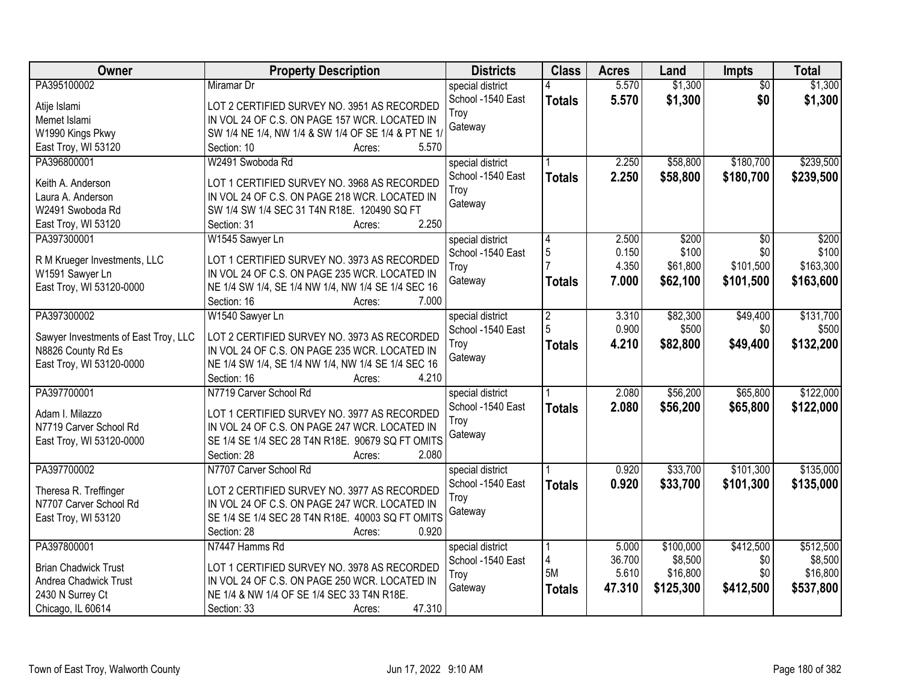| <b>Owner</b>                         | <b>Property Description</b>                         | <b>Districts</b>  | <b>Class</b>   | <b>Acres</b> | Land      | Impts           | <b>Total</b> |
|--------------------------------------|-----------------------------------------------------|-------------------|----------------|--------------|-----------|-----------------|--------------|
| PA395100002                          | Miramar Dr                                          | special district  |                | 5.570        | \$1,300   | $\overline{50}$ | \$1,300      |
| Atije Islami                         | LOT 2 CERTIFIED SURVEY NO. 3951 AS RECORDED         | School -1540 East | <b>Totals</b>  | 5.570        | \$1,300   | \$0             | \$1,300      |
| Memet Islami                         | IN VOL 24 OF C.S. ON PAGE 157 WCR. LOCATED IN       | Trov              |                |              |           |                 |              |
| W1990 Kings Pkwy                     | SW 1/4 NE 1/4, NW 1/4 & SW 1/4 OF SE 1/4 & PT NE 1/ | Gateway           |                |              |           |                 |              |
| East Troy, WI 53120                  | 5.570<br>Section: 10<br>Acres:                      |                   |                |              |           |                 |              |
| PA396800001                          | W2491 Swoboda Rd                                    | special district  |                | 2.250        | \$58,800  | \$180,700       | \$239,500    |
|                                      |                                                     | School -1540 East | <b>Totals</b>  | 2.250        | \$58,800  | \$180,700       | \$239,500    |
| Keith A. Anderson                    | LOT 1 CERTIFIED SURVEY NO. 3968 AS RECORDED         | Troy              |                |              |           |                 |              |
| Laura A. Anderson                    | IN VOL 24 OF C.S. ON PAGE 218 WCR. LOCATED IN       | Gateway           |                |              |           |                 |              |
| W2491 Swoboda Rd                     | SW 1/4 SW 1/4 SEC 31 T4N R18E. 120490 SQ FT         |                   |                |              |           |                 |              |
| East Troy, WI 53120                  | 2.250<br>Section: 31<br>Acres:                      |                   |                |              |           |                 |              |
| PA397300001                          | W1545 Sawyer Ln                                     | special district  | 4              | 2.500        | \$200     | \$0             | \$200        |
| R M Krueger Investments, LLC         | LOT 1 CERTIFIED SURVEY NO. 3973 AS RECORDED         | School -1540 East | 5              | 0.150        | \$100     | \$0             | \$100        |
| W1591 Sawyer Ln                      | IN VOL 24 OF C.S. ON PAGE 235 WCR. LOCATED IN       | Troy              |                | 4.350        | \$61,800  | \$101,500       | \$163,300    |
| East Troy, WI 53120-0000             | NE 1/4 SW 1/4, SE 1/4 NW 1/4, NW 1/4 SE 1/4 SEC 16  | Gateway           | <b>Totals</b>  | 7.000        | \$62,100  | \$101,500       | \$163,600    |
|                                      | Section: 16<br>7.000<br>Acres:                      |                   |                |              |           |                 |              |
| PA397300002                          | W1540 Sawyer Ln                                     | special district  | $\overline{c}$ | 3.310        | \$82,300  | \$49,400        | \$131,700    |
|                                      |                                                     | School -1540 East | 5              | 0.900        | \$500     | \$0             | \$500        |
| Sawyer Investments of East Troy, LLC | LOT 2 CERTIFIED SURVEY NO. 3973 AS RECORDED         | Troy              | <b>Totals</b>  | 4.210        | \$82,800  | \$49,400        | \$132,200    |
| N8826 County Rd Es                   | IN VOL 24 OF C.S. ON PAGE 235 WCR. LOCATED IN       | Gateway           |                |              |           |                 |              |
| East Troy, WI 53120-0000             | NE 1/4 SW 1/4, SE 1/4 NW 1/4, NW 1/4 SE 1/4 SEC 16  |                   |                |              |           |                 |              |
|                                      | Section: 16<br>4.210<br>Acres:                      |                   |                |              |           |                 |              |
| PA397700001                          | N7719 Carver School Rd                              | special district  |                | 2.080        | \$56,200  | \$65,800        | \$122,000    |
| Adam I. Milazzo                      | LOT 1 CERTIFIED SURVEY NO. 3977 AS RECORDED         | School -1540 East | <b>Totals</b>  | 2.080        | \$56,200  | \$65,800        | \$122,000    |
| N7719 Carver School Rd               | IN VOL 24 OF C.S. ON PAGE 247 WCR. LOCATED IN       | Troy              |                |              |           |                 |              |
| East Troy, WI 53120-0000             | SE 1/4 SE 1/4 SEC 28 T4N R18E. 90679 SQ FT OMITS    | Gateway           |                |              |           |                 |              |
|                                      | Section: 28<br>2.080<br>Acres:                      |                   |                |              |           |                 |              |
| PA397700002                          | N7707 Carver School Rd                              | special district  |                | 0.920        | \$33,700  | \$101,300       | \$135,000    |
|                                      |                                                     | School -1540 East |                | 0.920        | \$33,700  | \$101,300       | \$135,000    |
| Theresa R. Treffinger                | LOT 2 CERTIFIED SURVEY NO. 3977 AS RECORDED         | Troy              | <b>Totals</b>  |              |           |                 |              |
| N7707 Carver School Rd               | IN VOL 24 OF C.S. ON PAGE 247 WCR. LOCATED IN       | Gateway           |                |              |           |                 |              |
| East Troy, WI 53120                  | SE 1/4 SE 1/4 SEC 28 T4N R18E. 40003 SQ FT OMITS    |                   |                |              |           |                 |              |
|                                      | Section: 28<br>0.920<br>Acres:                      |                   |                |              |           |                 |              |
| PA397800001                          | N7447 Hamms Rd                                      | special district  |                | 5.000        | \$100,000 | \$412,500       | \$512,500    |
| <b>Brian Chadwick Trust</b>          | LOT 1 CERTIFIED SURVEY NO. 3978 AS RECORDED         | School -1540 East | 4              | 36.700       | \$8,500   | \$0             | \$8,500      |
| Andrea Chadwick Trust                | IN VOL 24 OF C.S. ON PAGE 250 WCR. LOCATED IN       | Troy              | 5M             | 5.610        | \$16,800  | \$0             | \$16,800     |
| 2430 N Surrey Ct                     | NE 1/4 & NW 1/4 OF SE 1/4 SEC 33 T4N R18E.          | Gateway           | <b>Totals</b>  | 47.310       | \$125,300 | \$412,500       | \$537,800    |
| Chicago, IL 60614                    | 47.310<br>Section: 33<br>Acres:                     |                   |                |              |           |                 |              |
|                                      |                                                     |                   |                |              |           |                 |              |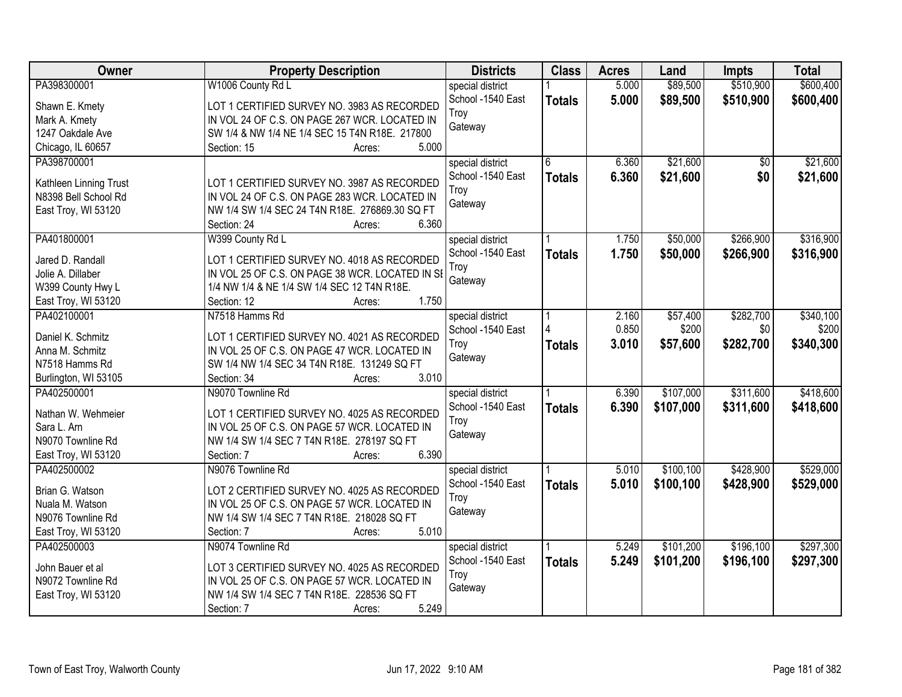| <b>Owner</b>           | <b>Property Description</b>                     | <b>Districts</b>  | <b>Class</b>  | <b>Acres</b> | Land      | <b>Impts</b>    | <b>Total</b> |
|------------------------|-------------------------------------------------|-------------------|---------------|--------------|-----------|-----------------|--------------|
| PA398300001            | W1006 County Rd L                               | special district  |               | 5.000        | \$89,500  | \$510,900       | \$600,400    |
| Shawn E. Kmety         | LOT 1 CERTIFIED SURVEY NO. 3983 AS RECORDED     | School -1540 East | <b>Totals</b> | 5.000        | \$89,500  | \$510,900       | \$600,400    |
| Mark A. Kmety          | IN VOL 24 OF C.S. ON PAGE 267 WCR. LOCATED IN   | Troy              |               |              |           |                 |              |
| 1247 Oakdale Ave       | SW 1/4 & NW 1/4 NE 1/4 SEC 15 T4N R18E. 217800  | Gateway           |               |              |           |                 |              |
| Chicago, IL 60657      | 5.000<br>Section: 15<br>Acres:                  |                   |               |              |           |                 |              |
| PA398700001            |                                                 | special district  | 6             | 6.360        | \$21,600  | $\overline{50}$ | \$21,600     |
|                        |                                                 | School -1540 East | <b>Totals</b> | 6.360        | \$21,600  | \$0             | \$21,600     |
| Kathleen Linning Trust | LOT 1 CERTIFIED SURVEY NO. 3987 AS RECORDED     | Trov              |               |              |           |                 |              |
| N8398 Bell School Rd   | IN VOL 24 OF C.S. ON PAGE 283 WCR. LOCATED IN   | Gateway           |               |              |           |                 |              |
| East Troy, WI 53120    | NW 1/4 SW 1/4 SEC 24 T4N R18E. 276869.30 SQ FT  |                   |               |              |           |                 |              |
|                        | 6.360<br>Section: 24<br>Acres:                  |                   |               |              |           |                 |              |
| PA401800001            | W399 County Rd L                                | special district  |               | 1.750        | \$50,000  | \$266,900       | \$316,900    |
| Jared D. Randall       | LOT 1 CERTIFIED SURVEY NO. 4018 AS RECORDED     | School -1540 East | <b>Totals</b> | 1.750        | \$50,000  | \$266,900       | \$316,900    |
| Jolie A. Dillaber      | IN VOL 25 OF C.S. ON PAGE 38 WCR. LOCATED IN SI | Troy              |               |              |           |                 |              |
| W399 County Hwy L      | 1/4 NW 1/4 & NE 1/4 SW 1/4 SEC 12 T4N R18E.     | Gateway           |               |              |           |                 |              |
| East Troy, WI 53120    | 1.750<br>Section: 12<br>Acres:                  |                   |               |              |           |                 |              |
| PA402100001            | N7518 Hamms Rd                                  | special district  |               | 2.160        | \$57,400  | \$282,700       | \$340,100    |
|                        |                                                 | School -1540 East |               | 0.850        | \$200     | \$0             | \$200        |
| Daniel K. Schmitz      | LOT 1 CERTIFIED SURVEY NO. 4021 AS RECORDED     | Troy              | <b>Totals</b> | 3.010        | \$57,600  | \$282,700       | \$340,300    |
| Anna M. Schmitz        | IN VOL 25 OF C.S. ON PAGE 47 WCR. LOCATED IN    | Gateway           |               |              |           |                 |              |
| N7518 Hamms Rd         | SW 1/4 NW 1/4 SEC 34 T4N R18E. 131249 SQ FT     |                   |               |              |           |                 |              |
| Burlington, WI 53105   | 3.010<br>Section: 34<br>Acres:                  |                   |               |              |           |                 |              |
| PA402500001            | N9070 Townline Rd                               | special district  |               | 6.390        | \$107,000 | \$311,600       | \$418,600    |
| Nathan W. Wehmeier     | LOT 1 CERTIFIED SURVEY NO. 4025 AS RECORDED     | School -1540 East | <b>Totals</b> | 6.390        | \$107,000 | \$311,600       | \$418,600    |
| Sara L. Arn            | IN VOL 25 OF C.S. ON PAGE 57 WCR. LOCATED IN    | Troy              |               |              |           |                 |              |
| N9070 Townline Rd      | NW 1/4 SW 1/4 SEC 7 T4N R18E. 278197 SQ FT      | Gateway           |               |              |           |                 |              |
| East Troy, WI 53120    | 6.390<br>Section: 7<br>Acres:                   |                   |               |              |           |                 |              |
| PA402500002            | N9076 Townline Rd                               | special district  |               | 5.010        | \$100,100 | \$428,900       | \$529,000    |
|                        |                                                 | School -1540 East | <b>Totals</b> | 5.010        | \$100,100 | \$428,900       | \$529,000    |
| Brian G. Watson        | LOT 2 CERTIFIED SURVEY NO. 4025 AS RECORDED     | Troy              |               |              |           |                 |              |
| Nuala M. Watson        | IN VOL 25 OF C.S. ON PAGE 57 WCR. LOCATED IN    | Gateway           |               |              |           |                 |              |
| N9076 Townline Rd      | NW 1/4 SW 1/4 SEC 7 T4N R18E. 218028 SQ FT      |                   |               |              |           |                 |              |
| East Troy, WI 53120    | 5.010<br>Section: 7<br>Acres:                   |                   |               |              |           |                 |              |
| PA402500003            | N9074 Townline Rd                               | special district  |               | 5.249        | \$101,200 | \$196,100       | \$297,300    |
| John Bauer et al       | LOT 3 CERTIFIED SURVEY NO. 4025 AS RECORDED     | School -1540 East | <b>Totals</b> | 5.249        | \$101,200 | \$196,100       | \$297,300    |
| N9072 Townline Rd      | IN VOL 25 OF C.S. ON PAGE 57 WCR. LOCATED IN    | Troy              |               |              |           |                 |              |
| East Troy, WI 53120    | NW 1/4 SW 1/4 SEC 7 T4N R18E. 228536 SQ FT      | Gateway           |               |              |           |                 |              |
|                        | 5.249<br>Section: 7<br>Acres:                   |                   |               |              |           |                 |              |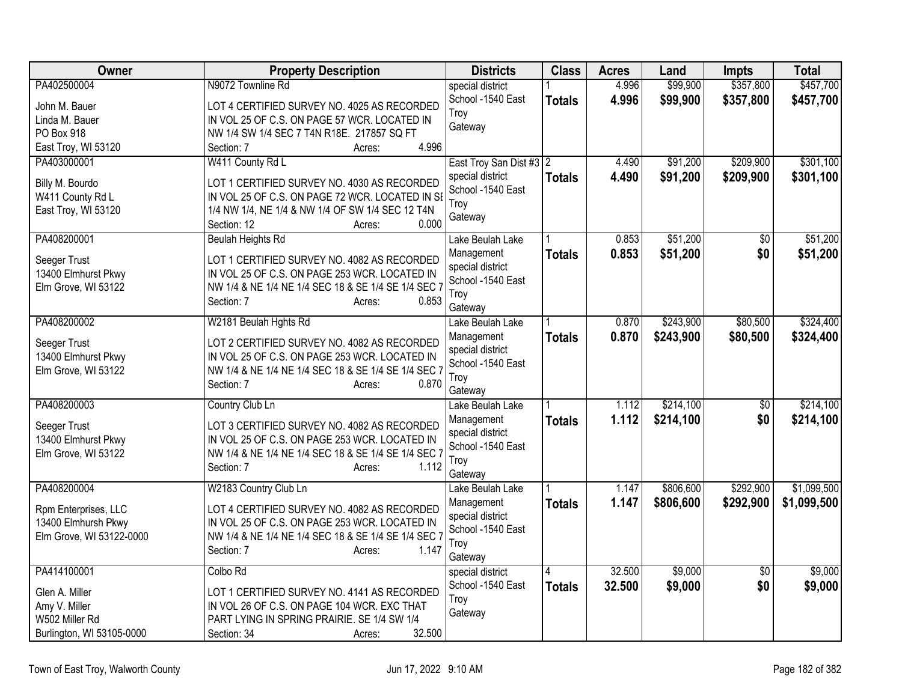| Owner                     | <b>Property Description</b>                                  | <b>Districts</b>               | <b>Class</b>  | <b>Acres</b> | Land      | <b>Impts</b>    | <b>Total</b> |
|---------------------------|--------------------------------------------------------------|--------------------------------|---------------|--------------|-----------|-----------------|--------------|
| PA402500004               | N9072 Townline Rd                                            | special district               |               | 4.996        | \$99,900  | \$357,800       | \$457,700    |
| John M. Bauer             | LOT 4 CERTIFIED SURVEY NO. 4025 AS RECORDED                  | School -1540 East              | <b>Totals</b> | 4.996        | \$99,900  | \$357,800       | \$457,700    |
| Linda M. Bauer            | IN VOL 25 OF C.S. ON PAGE 57 WCR. LOCATED IN                 | Troy                           |               |              |           |                 |              |
| PO Box 918                | NW 1/4 SW 1/4 SEC 7 T4N R18E. 217857 SQ FT                   | Gateway                        |               |              |           |                 |              |
| East Troy, WI 53120       | 4.996<br>Section: 7<br>Acres:                                |                                |               |              |           |                 |              |
| PA403000001               | W411 County Rd L                                             | East Troy San Dist #3 2        |               | 4.490        | \$91,200  | \$209,900       | \$301,100    |
| Billy M. Bourdo           | LOT 1 CERTIFIED SURVEY NO. 4030 AS RECORDED                  | special district               | <b>Totals</b> | 4.490        | \$91,200  | \$209,900       | \$301,100    |
| W411 County Rd L          | IN VOL 25 OF C.S. ON PAGE 72 WCR. LOCATED IN SI              | School -1540 East              |               |              |           |                 |              |
| East Troy, WI 53120       | 1/4 NW 1/4, NE 1/4 & NW 1/4 OF SW 1/4 SEC 12 T4N             | Troy                           |               |              |           |                 |              |
|                           | 0.000<br>Section: 12<br>Acres:                               | Gateway                        |               |              |           |                 |              |
| PA408200001               | <b>Beulah Heights Rd</b>                                     | Lake Beulah Lake               |               | 0.853        | \$51,200  | $\overline{50}$ | \$51,200     |
| Seeger Trust              | LOT 1 CERTIFIED SURVEY NO. 4082 AS RECORDED                  | Management                     | <b>Totals</b> | 0.853        | \$51,200  | \$0             | \$51,200     |
| 13400 Elmhurst Pkwy       | IN VOL 25 OF C.S. ON PAGE 253 WCR. LOCATED IN                | special district               |               |              |           |                 |              |
| Elm Grove, WI 53122       | NW 1/4 & NE 1/4 NE 1/4 SEC 18 & SE 1/4 SE 1/4 SEC 7          | School -1540 East              |               |              |           |                 |              |
|                           | 0.853<br>Section: 7<br>Acres:                                | Troy                           |               |              |           |                 |              |
| PA408200002               | W2181 Beulah Hghts Rd                                        | Gateway                        |               | 0.870        | \$243,900 | \$80,500        | \$324,400    |
|                           |                                                              | Lake Beulah Lake<br>Management |               | 0.870        | \$243,900 | \$80,500        | \$324,400    |
| Seeger Trust              | LOT 2 CERTIFIED SURVEY NO. 4082 AS RECORDED                  | special district               | <b>Totals</b> |              |           |                 |              |
| 13400 Elmhurst Pkwy       | IN VOL 25 OF C.S. ON PAGE 253 WCR. LOCATED IN                | School -1540 East              |               |              |           |                 |              |
| Elm Grove, WI 53122       | NW 1/4 & NE 1/4 NE 1/4 SEC 18 & SE 1/4 SE 1/4 SEC 7          | Troy                           |               |              |           |                 |              |
|                           | 0.870<br>Section: 7<br>Acres:                                | Gateway                        |               |              |           |                 |              |
| PA408200003               | Country Club Ln                                              | Lake Beulah Lake               |               | 1.112        | \$214,100 | $\overline{50}$ | \$214,100    |
| Seeger Trust              | LOT 3 CERTIFIED SURVEY NO. 4082 AS RECORDED                  | Management                     | <b>Totals</b> | 1.112        | \$214,100 | \$0             | \$214,100    |
| 13400 Elmhurst Pkwy       | IN VOL 25 OF C.S. ON PAGE 253 WCR. LOCATED IN                | special district               |               |              |           |                 |              |
| Elm Grove, WI 53122       | NW 1/4 & NE 1/4 NE 1/4 SEC 18 & SE 1/4 SE 1/4 SEC 7          | School -1540 East              |               |              |           |                 |              |
|                           | Section: 7<br>1.112<br>Acres:                                | Troy                           |               |              |           |                 |              |
| PA408200004               | W2183 Country Club Ln                                        | Gateway<br>Lake Beulah Lake    |               | 1.147        | \$806,600 | \$292,900       | \$1,099,500  |
|                           |                                                              | Management                     | <b>Totals</b> | 1.147        | \$806,600 | \$292,900       | \$1,099,500  |
| Rpm Enterprises, LLC      | LOT 4 CERTIFIED SURVEY NO. 4082 AS RECORDED                  | special district               |               |              |           |                 |              |
| 13400 Elmhursh Pkwy       | IN VOL 25 OF C.S. ON PAGE 253 WCR. LOCATED IN                | School -1540 East              |               |              |           |                 |              |
| Elm Grove, WI 53122-0000  | NW 1/4 & NE 1/4 NE 1/4 SEC 18 & SE 1/4 SE 1/4 SEC 7<br>1.147 | Troy                           |               |              |           |                 |              |
|                           | Section: 7<br>Acres:                                         | Gateway                        |               |              |           |                 |              |
| PA414100001               | Colbo Rd                                                     | special district               |               | 32.500       | \$9,000   | $\overline{50}$ | \$9,000      |
| Glen A. Miller            | LOT 1 CERTIFIED SURVEY NO. 4141 AS RECORDED                  | School -1540 East              | <b>Totals</b> | 32.500       | \$9,000   | \$0             | \$9,000      |
| Amy V. Miller             | IN VOL 26 OF C.S. ON PAGE 104 WCR. EXC THAT                  | Troy                           |               |              |           |                 |              |
| W502 Miller Rd            | PART LYING IN SPRING PRAIRIE. SE 1/4 SW 1/4                  | Gateway                        |               |              |           |                 |              |
| Burlington, WI 53105-0000 | 32.500<br>Section: 34<br>Acres:                              |                                |               |              |           |                 |              |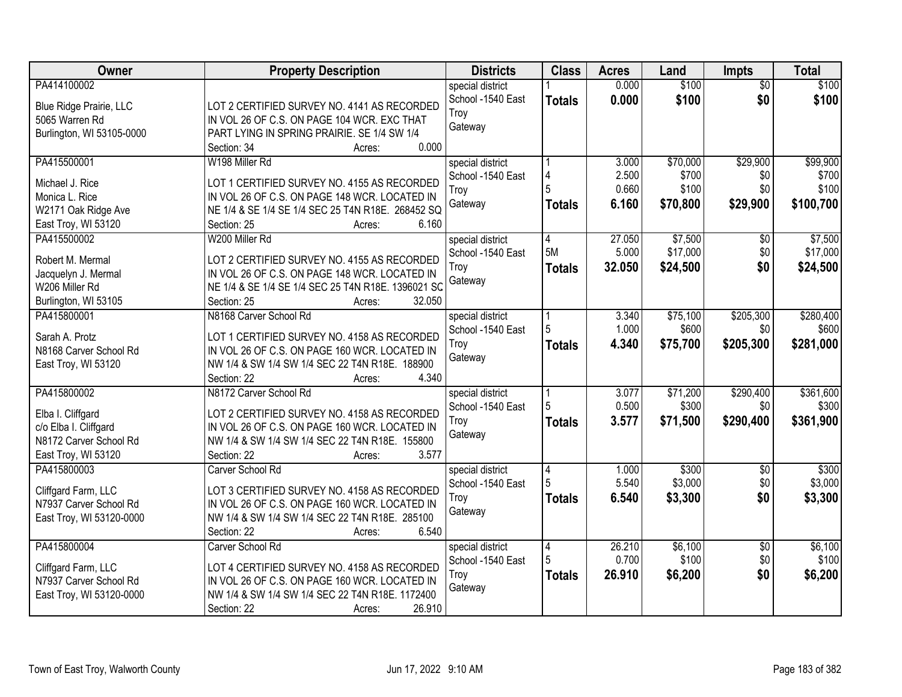| Owner                     | <b>Property Description</b>                        | <b>Districts</b>  | <b>Class</b>   | <b>Acres</b> | Land     | Impts           | <b>Total</b> |
|---------------------------|----------------------------------------------------|-------------------|----------------|--------------|----------|-----------------|--------------|
| PA414100002               |                                                    | special district  |                | 0.000        | \$100    | $\overline{50}$ | \$100        |
| Blue Ridge Prairie, LLC   | LOT 2 CERTIFIED SURVEY NO. 4141 AS RECORDED        | School -1540 East | <b>Totals</b>  | 0.000        | \$100    | \$0             | \$100        |
| 5065 Warren Rd            | IN VOL 26 OF C.S. ON PAGE 104 WCR. EXC THAT        | Troy              |                |              |          |                 |              |
| Burlington, WI 53105-0000 | PART LYING IN SPRING PRAIRIE. SE 1/4 SW 1/4        | Gateway           |                |              |          |                 |              |
|                           | 0.000<br>Section: 34<br>Acres:                     |                   |                |              |          |                 |              |
| PA415500001               | W198 Miller Rd                                     | special district  |                | 3.000        | \$70,000 | \$29,900        | \$99,900     |
|                           |                                                    | School -1540 East | 4              | 2.500        | \$700    | \$0             | \$700        |
| Michael J. Rice           | LOT 1 CERTIFIED SURVEY NO. 4155 AS RECORDED        | Troy              |                | 0.660        | \$100    | \$0             | \$100        |
| Monica L. Rice            | IN VOL 26 OF C.S. ON PAGE 148 WCR. LOCATED IN      | Gateway           | <b>Totals</b>  | 6.160        | \$70,800 | \$29,900        | \$100,700    |
| W2171 Oak Ridge Ave       | NE 1/4 & SE 1/4 SE 1/4 SEC 25 T4N R18E. 268452 SQ  |                   |                |              |          |                 |              |
| East Troy, WI 53120       | 6.160<br>Section: 25<br>Acres:                     |                   |                |              |          |                 |              |
| PA415500002               | W200 Miller Rd                                     | special district  | 4              | 27.050       | \$7,500  | \$0             | \$7,500      |
| Robert M. Mermal          | LOT 2 CERTIFIED SURVEY NO. 4155 AS RECORDED        | School -1540 East | 5M             | 5.000        | \$17,000 | \$0             | \$17,000     |
| Jacquelyn J. Mermal       | IN VOL 26 OF C.S. ON PAGE 148 WCR. LOCATED IN      | Troy              | <b>Totals</b>  | 32.050       | \$24,500 | \$0             | \$24,500     |
| W206 Miller Rd            | NE 1/4 & SE 1/4 SE 1/4 SEC 25 T4N R18E. 1396021 SC | Gateway           |                |              |          |                 |              |
| Burlington, WI 53105      | 32.050<br>Section: 25<br>Acres:                    |                   |                |              |          |                 |              |
| PA415800001               | N8168 Carver School Rd                             | special district  |                | 3.340        | \$75,100 | \$205,300       | \$280,400    |
|                           |                                                    | School -1540 East | 5              | 1.000        | \$600    | \$0             | \$600        |
| Sarah A. Protz            | LOT 1 CERTIFIED SURVEY NO. 4158 AS RECORDED        | Troy              |                | 4.340        | \$75,700 | \$205,300       | \$281,000    |
| N8168 Carver School Rd    | IN VOL 26 OF C.S. ON PAGE 160 WCR. LOCATED IN      | Gateway           | <b>Totals</b>  |              |          |                 |              |
| East Troy, WI 53120       | NW 1/4 & SW 1/4 SW 1/4 SEC 22 T4N R18E. 188900     |                   |                |              |          |                 |              |
|                           | 4.340<br>Section: 22<br>Acres:                     |                   |                |              |          |                 |              |
| PA415800002               | N8172 Carver School Rd                             | special district  |                | 3.077        | \$71,200 | \$290,400       | \$361,600    |
|                           |                                                    | School -1540 East | 5              | 0.500        | \$300    | \$0             | \$300        |
| Elba I. Cliffgard         | LOT 2 CERTIFIED SURVEY NO. 4158 AS RECORDED        | Troy              | <b>Totals</b>  | 3.577        | \$71,500 | \$290,400       | \$361,900    |
| c/o Elba I. Cliffgard     | IN VOL 26 OF C.S. ON PAGE 160 WCR. LOCATED IN      | Gateway           |                |              |          |                 |              |
| N8172 Carver School Rd    | NW 1/4 & SW 1/4 SW 1/4 SEC 22 T4N R18E. 155800     |                   |                |              |          |                 |              |
| East Troy, WI 53120       | 3.577<br>Section: 22<br>Acres:                     |                   |                |              |          |                 |              |
| PA415800003               | Carver School Rd                                   | special district  | 4              | 1.000        | \$300    | $\sqrt{6}$      | \$300        |
| Cliffgard Farm, LLC       | LOT 3 CERTIFIED SURVEY NO. 4158 AS RECORDED        | School -1540 East |                | 5.540        | \$3,000  | \$0             | \$3,000      |
| N7937 Carver School Rd    | IN VOL 26 OF C.S. ON PAGE 160 WCR. LOCATED IN      | Troy              | <b>Totals</b>  | 6.540        | \$3,300  | \$0             | \$3,300      |
| East Troy, WI 53120-0000  | NW 1/4 & SW 1/4 SW 1/4 SEC 22 T4N R18E. 285100     | Gateway           |                |              |          |                 |              |
|                           | 6.540<br>Section: 22<br>Acres:                     |                   |                |              |          |                 |              |
| PA415800004               | Carver School Rd                                   | special district  | $\overline{4}$ | 26.210       | \$6,100  | $\overline{50}$ | \$6,100      |
|                           |                                                    | School -1540 East |                | 0.700        | \$100    | \$0             | \$100        |
| Cliffgard Farm, LLC       | LOT 4 CERTIFIED SURVEY NO. 4158 AS RECORDED        | Troy              | <b>Totals</b>  | 26.910       | \$6,200  | \$0             | \$6,200      |
| N7937 Carver School Rd    | IN VOL 26 OF C.S. ON PAGE 160 WCR. LOCATED IN      | Gateway           |                |              |          |                 |              |
| East Troy, WI 53120-0000  | NW 1/4 & SW 1/4 SW 1/4 SEC 22 T4N R18E. 1172400    |                   |                |              |          |                 |              |
|                           | 26.910<br>Section: 22<br>Acres:                    |                   |                |              |          |                 |              |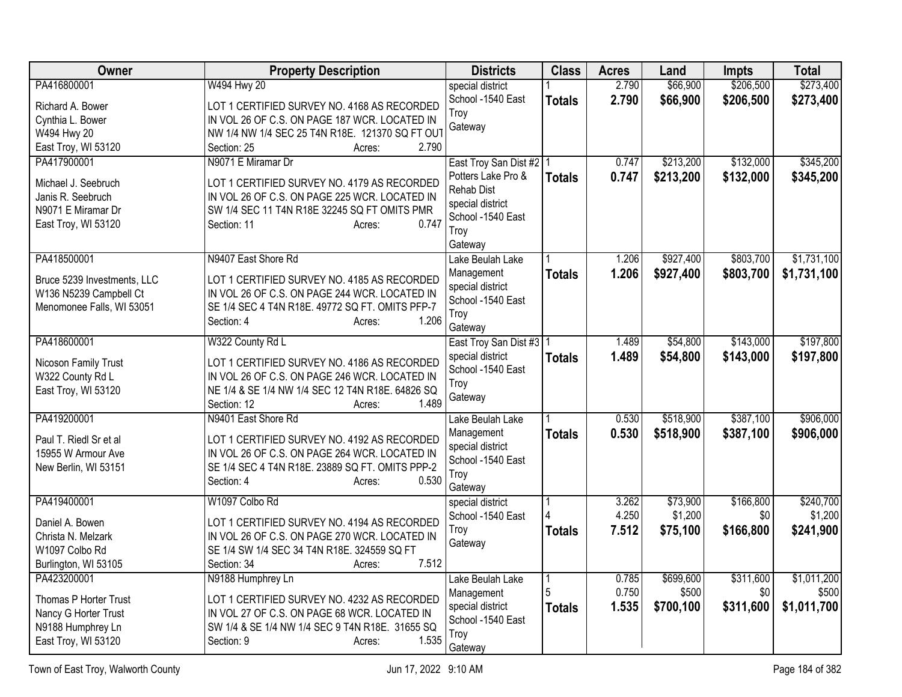| <b>Owner</b>                                                                          | <b>Property Description</b>                                                                                                                                                        | <b>Districts</b>                                                                                    | <b>Class</b>  | <b>Acres</b>   | Land                | <b>Impts</b>     | <b>Total</b>         |
|---------------------------------------------------------------------------------------|------------------------------------------------------------------------------------------------------------------------------------------------------------------------------------|-----------------------------------------------------------------------------------------------------|---------------|----------------|---------------------|------------------|----------------------|
| PA416800001                                                                           | W494 Hwy 20                                                                                                                                                                        | special district                                                                                    |               | 2.790<br>2.790 | \$66,900            | \$206,500        | \$273,400            |
| Richard A. Bower                                                                      | LOT 1 CERTIFIED SURVEY NO. 4168 AS RECORDED                                                                                                                                        | School -1540 East<br>Troy                                                                           | <b>Totals</b> |                | \$66,900            | \$206,500        | \$273,400            |
| Cynthia L. Bower<br>W494 Hwy 20                                                       | IN VOL 26 OF C.S. ON PAGE 187 WCR. LOCATED IN<br>NW 1/4 NW 1/4 SEC 25 T4N R18E. 121370 SQ FT OUT                                                                                   | Gateway                                                                                             |               |                |                     |                  |                      |
| East Troy, WI 53120                                                                   | 2.790<br>Section: 25<br>Acres:                                                                                                                                                     |                                                                                                     |               |                |                     |                  |                      |
| PA417900001                                                                           | N9071 E Miramar Dr                                                                                                                                                                 | East Troy San Dist #2   1                                                                           |               | 0.747          | \$213,200           | \$132,000        | \$345,200            |
| Michael J. Seebruch<br>Janis R. Seebruch<br>N9071 E Miramar Dr<br>East Troy, WI 53120 | LOT 1 CERTIFIED SURVEY NO. 4179 AS RECORDED<br>IN VOL 26 OF C.S. ON PAGE 225 WCR. LOCATED IN<br>SW 1/4 SEC 11 T4N R18E 32245 SQ FT OMITS PMR<br>0.747<br>Section: 11<br>Acres:     | Potters Lake Pro &<br><b>Rehab Dist</b><br>special district<br>School -1540 East<br>Troy<br>Gateway | <b>Totals</b> | 0.747          | \$213,200           | \$132,000        | \$345,200            |
| PA418500001                                                                           | N9407 East Shore Rd                                                                                                                                                                | Lake Beulah Lake                                                                                    |               | 1.206          | \$927,400           | \$803,700        | \$1,731,100          |
| Bruce 5239 Investments, LLC<br>W136 N5239 Campbell Ct<br>Menomonee Falls, WI 53051    | LOT 1 CERTIFIED SURVEY NO. 4185 AS RECORDED<br>IN VOL 26 OF C.S. ON PAGE 244 WCR. LOCATED IN<br>SE 1/4 SEC 4 T4N R18E. 49772 SQ FT. OMITS PFP-7<br>1.206<br>Section: 4<br>Acres:   | Management<br>special district<br>School -1540 East<br>Troy<br>Gateway                              | <b>Totals</b> | 1.206          | \$927,400           | \$803,700        | \$1,731,100          |
| PA418600001                                                                           | W322 County Rd L                                                                                                                                                                   | East Troy San Dist #3   1                                                                           |               | 1.489          | \$54,800            | \$143,000        | \$197,800            |
| Nicoson Family Trust<br>W322 County Rd L<br>East Troy, WI 53120                       | LOT 1 CERTIFIED SURVEY NO. 4186 AS RECORDED<br>IN VOL 26 OF C.S. ON PAGE 246 WCR. LOCATED IN<br>NE 1/4 & SE 1/4 NW 1/4 SEC 12 T4N R18E. 64826 SQ<br>Section: 12<br>1.489<br>Acres: | special district<br>School -1540 East<br>Troy<br>Gateway                                            | <b>Totals</b> | 1.489          | \$54,800            | \$143,000        | \$197,800            |
| PA419200001                                                                           | N9401 East Shore Rd                                                                                                                                                                | Lake Beulah Lake                                                                                    |               | 0.530          | \$518,900           | \$387,100        | \$906,000            |
| Paul T. Riedl Sr et al<br>15955 W Armour Ave<br>New Berlin, WI 53151                  | LOT 1 CERTIFIED SURVEY NO. 4192 AS RECORDED<br>IN VOL 26 OF C.S. ON PAGE 264 WCR. LOCATED IN<br>SE 1/4 SEC 4 T4N R18E. 23889 SQ FT. OMITS PPP-2<br>0.530<br>Section: 4<br>Acres:   | Management<br>special district<br>School -1540 East<br>Troy<br>Gateway                              | <b>Totals</b> | 0.530          | \$518,900           | \$387,100        | \$906,000            |
| PA419400001                                                                           | W1097 Colbo Rd                                                                                                                                                                     | special district                                                                                    |               | 3.262          | \$73,900            | \$166,800        | \$240,700            |
| Daniel A. Bowen                                                                       | LOT 1 CERTIFIED SURVEY NO. 4194 AS RECORDED                                                                                                                                        | School -1540 East<br>Troy                                                                           | <b>Totals</b> | 4.250<br>7.512 | \$1,200<br>\$75,100 | \$0<br>\$166,800 | \$1,200<br>\$241,900 |
| Christa N. Melzark                                                                    | IN VOL 26 OF C.S. ON PAGE 270 WCR. LOCATED IN                                                                                                                                      | Gateway                                                                                             |               |                |                     |                  |                      |
| W1097 Colbo Rd<br>Burlington, WI 53105                                                | SE 1/4 SW 1/4 SEC 34 T4N R18E. 324559 SQ FT<br>7.512<br>Section: 34<br>Acres:                                                                                                      |                                                                                                     |               |                |                     |                  |                      |
| PA423200001                                                                           | N9188 Humphrey Ln                                                                                                                                                                  | Lake Beulah Lake                                                                                    |               | 0.785          | \$699,600           | \$311,600        | \$1,011,200          |
| Thomas P Horter Trust                                                                 | LOT 1 CERTIFIED SURVEY NO. 4232 AS RECORDED                                                                                                                                        | Management                                                                                          | 5             | 0.750          | \$500               | \$0              | \$500                |
| Nancy G Horter Trust                                                                  | IN VOL 27 OF C.S. ON PAGE 68 WCR. LOCATED IN                                                                                                                                       | special district                                                                                    | <b>Totals</b> | 1.535          | \$700,100           | \$311,600        | \$1,011,700          |
| N9188 Humphrey Ln                                                                     | SW 1/4 & SE 1/4 NW 1/4 SEC 9 T4N R18E. 31655 SQ                                                                                                                                    | School -1540 East                                                                                   |               |                |                     |                  |                      |
| East Troy, WI 53120                                                                   | 1.535<br>Section: 9<br>Acres:                                                                                                                                                      | Troy<br>Gateway                                                                                     |               |                |                     |                  |                      |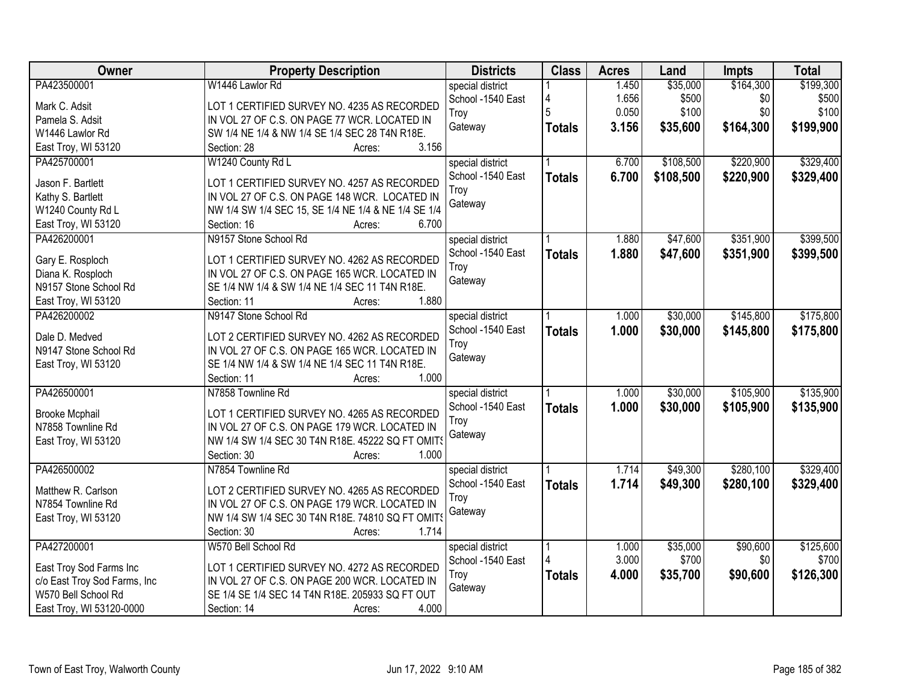| <b>Owner</b>                 | <b>Property Description</b>                         | <b>Districts</b>  | <b>Class</b>  | <b>Acres</b> | Land      | <b>Impts</b> | <b>Total</b> |
|------------------------------|-----------------------------------------------------|-------------------|---------------|--------------|-----------|--------------|--------------|
| PA423500001                  | W1446 Lawlor Rd                                     | special district  |               | 1.450        | \$35,000  | \$164,300    | \$199,300    |
| Mark C. Adsit                | LOT 1 CERTIFIED SURVEY NO. 4235 AS RECORDED         | School -1540 East | 4             | 1.656        | \$500     | \$0          | \$500        |
| Pamela S. Adsit              | IN VOL 27 OF C.S. ON PAGE 77 WCR. LOCATED IN        | Troy              |               | 0.050        | \$100     | \$0          | \$100        |
| W1446 Lawlor Rd              | SW 1/4 NE 1/4 & NW 1/4 SE 1/4 SEC 28 T4N R18E.      | Gateway           | <b>Totals</b> | 3.156        | \$35,600  | \$164,300    | \$199,900    |
| East Troy, WI 53120          | 3.156<br>Section: 28<br>Acres:                      |                   |               |              |           |              |              |
| PA425700001                  | W1240 County Rd L                                   | special district  |               | 6.700        | \$108,500 | \$220,900    | \$329,400    |
|                              |                                                     | School -1540 East | <b>Totals</b> | 6.700        | \$108,500 | \$220,900    | \$329,400    |
| Jason F. Bartlett            | LOT 1 CERTIFIED SURVEY NO. 4257 AS RECORDED         | Troy              |               |              |           |              |              |
| Kathy S. Bartlett            | IN VOL 27 OF C.S. ON PAGE 148 WCR. LOCATED IN       | Gateway           |               |              |           |              |              |
| W1240 County Rd L            | NW 1/4 SW 1/4 SEC 15, SE 1/4 NE 1/4 & NE 1/4 SE 1/4 |                   |               |              |           |              |              |
| East Troy, WI 53120          | 6.700<br>Section: 16<br>Acres:                      |                   |               |              |           |              |              |
| PA426200001                  | N9157 Stone School Rd                               | special district  |               | 1.880        | \$47,600  | \$351,900    | \$399,500    |
| Gary E. Rosploch             | LOT 1 CERTIFIED SURVEY NO. 4262 AS RECORDED         | School -1540 East | <b>Totals</b> | 1.880        | \$47,600  | \$351,900    | \$399,500    |
| Diana K. Rosploch            | IN VOL 27 OF C.S. ON PAGE 165 WCR. LOCATED IN       | Troy              |               |              |           |              |              |
| N9157 Stone School Rd        | SE 1/4 NW 1/4 & SW 1/4 NE 1/4 SEC 11 T4N R18E.      | Gateway           |               |              |           |              |              |
| East Troy, WI 53120          | 1.880<br>Section: 11<br>Acres:                      |                   |               |              |           |              |              |
| PA426200002                  | N9147 Stone School Rd                               | special district  |               | 1.000        | \$30,000  | \$145,800    | \$175,800    |
|                              |                                                     | School -1540 East | <b>Totals</b> | 1.000        | \$30,000  | \$145,800    | \$175,800    |
| Dale D. Medved               | LOT 2 CERTIFIED SURVEY NO. 4262 AS RECORDED         | Troy              |               |              |           |              |              |
| N9147 Stone School Rd        | IN VOL 27 OF C.S. ON PAGE 165 WCR. LOCATED IN       | Gateway           |               |              |           |              |              |
| East Troy, WI 53120          | SE 1/4 NW 1/4 & SW 1/4 NE 1/4 SEC 11 T4N R18E.      |                   |               |              |           |              |              |
|                              | 1.000<br>Section: 11<br>Acres:                      |                   |               |              |           |              |              |
| PA426500001                  | N7858 Townline Rd                                   | special district  |               | 1.000        | \$30,000  | \$105,900    | \$135,900    |
| <b>Brooke Mcphail</b>        | LOT 1 CERTIFIED SURVEY NO. 4265 AS RECORDED         | School -1540 East | <b>Totals</b> | 1.000        | \$30,000  | \$105,900    | \$135,900    |
| N7858 Townline Rd            | IN VOL 27 OF C.S. ON PAGE 179 WCR. LOCATED IN       | Troy              |               |              |           |              |              |
| East Troy, WI 53120          | NW 1/4 SW 1/4 SEC 30 T4N R18E. 45222 SQ FT OMITS    | Gateway           |               |              |           |              |              |
|                              | 1.000<br>Section: 30<br>Acres:                      |                   |               |              |           |              |              |
| PA426500002                  | N7854 Townline Rd                                   | special district  |               | 1.714        | \$49,300  | \$280,100    | \$329,400    |
|                              |                                                     | School -1540 East |               | 1.714        | \$49,300  | \$280,100    | \$329,400    |
| Matthew R. Carlson           | LOT 2 CERTIFIED SURVEY NO. 4265 AS RECORDED         | Troy              | <b>Totals</b> |              |           |              |              |
| N7854 Townline Rd            | IN VOL 27 OF C.S. ON PAGE 179 WCR. LOCATED IN       | Gateway           |               |              |           |              |              |
| East Troy, WI 53120          | NW 1/4 SW 1/4 SEC 30 T4N R18E. 74810 SQ FT OMITS    |                   |               |              |           |              |              |
|                              | 1.714<br>Section: 30<br>Acres:                      |                   |               |              |           |              |              |
| PA427200001                  | W570 Bell School Rd                                 | special district  |               | 1.000        | \$35,000  | \$90,600     | \$125,600    |
| East Troy Sod Farms Inc      | LOT 1 CERTIFIED SURVEY NO. 4272 AS RECORDED         | School -1540 East |               | 3.000        | \$700     | \$0          | \$700        |
| c/o East Troy Sod Farms, Inc | IN VOL 27 OF C.S. ON PAGE 200 WCR. LOCATED IN       | Troy              | <b>Totals</b> | 4.000        | \$35,700  | \$90,600     | \$126,300    |
| W570 Bell School Rd          | SE 1/4 SE 1/4 SEC 14 T4N R18E. 205933 SQ FT OUT     | Gateway           |               |              |           |              |              |
|                              |                                                     |                   |               |              |           |              |              |
| East Troy, WI 53120-0000     | 4.000<br>Section: 14<br>Acres:                      |                   |               |              |           |              |              |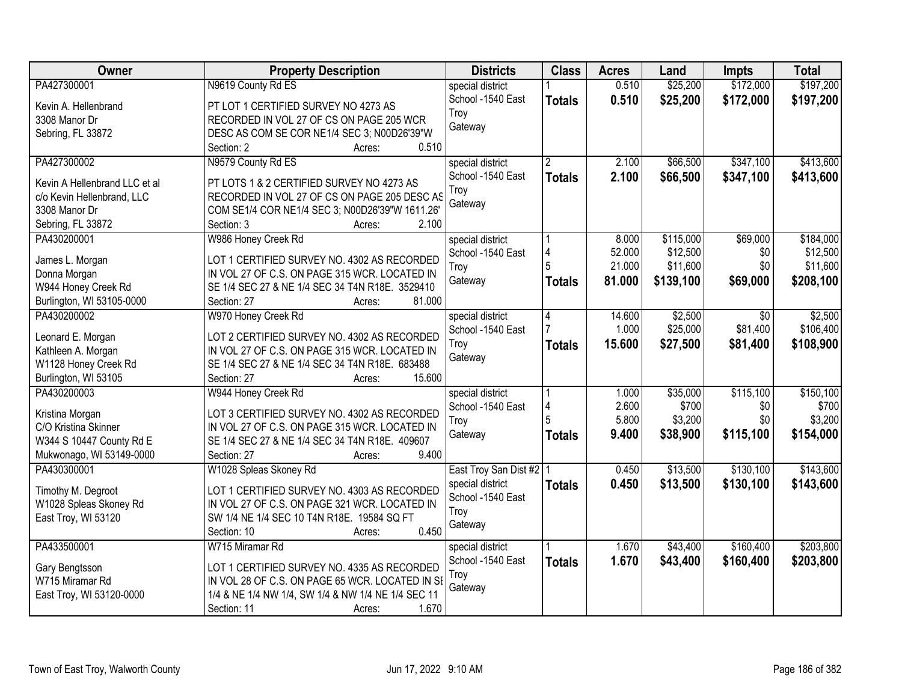| <b>Owner</b>                  | <b>Property Description</b>                        | <b>Districts</b>                      | <b>Class</b>  | <b>Acres</b> | Land      | <b>Impts</b> | <b>Total</b> |
|-------------------------------|----------------------------------------------------|---------------------------------------|---------------|--------------|-----------|--------------|--------------|
| PA427300001                   | N9619 County Rd ES                                 | special district                      |               | 0.510        | \$25,200  | \$172,000    | \$197,200    |
| Kevin A. Hellenbrand          | PT LOT 1 CERTIFIED SURVEY NO 4273 AS               | School -1540 East                     | <b>Totals</b> | 0.510        | \$25,200  | \$172,000    | \$197,200    |
| 3308 Manor Dr                 | RECORDED IN VOL 27 OF CS ON PAGE 205 WCR           | Troy                                  |               |              |           |              |              |
| Sebring, FL 33872             | DESC AS COM SE COR NE1/4 SEC 3; N00D26'39"W        | Gateway                               |               |              |           |              |              |
|                               | 0.510<br>Section: 2<br>Acres:                      |                                       |               |              |           |              |              |
| PA427300002                   | N9579 County Rd ES                                 | special district                      |               | 2.100        | \$66,500  | \$347,100    | \$413,600    |
|                               |                                                    | School -1540 East                     | <b>Totals</b> | 2.100        | \$66,500  | \$347,100    | \$413,600    |
| Kevin A Hellenbrand LLC et al | PT LOTS 1 & 2 CERTIFIED SURVEY NO 4273 AS          | Troy                                  |               |              |           |              |              |
| c/o Kevin Hellenbrand, LLC    | RECORDED IN VOL 27 OF CS ON PAGE 205 DESC AS       | Gateway                               |               |              |           |              |              |
| 3308 Manor Dr                 | COM SE1/4 COR NE1/4 SEC 3; N00D26'39"W 1611.26'    |                                       |               |              |           |              |              |
| Sebring, FL 33872             | 2.100<br>Section: 3<br>Acres:                      |                                       |               |              |           |              |              |
| PA430200001                   | W986 Honey Creek Rd                                | special district                      |               | 8.000        | \$115,000 | \$69,000     | \$184,000    |
| James L. Morgan               | LOT 1 CERTIFIED SURVEY NO. 4302 AS RECORDED        | School -1540 East                     | 4             | 52.000       | \$12,500  | \$0          | \$12,500     |
| Donna Morgan                  | IN VOL 27 OF C.S. ON PAGE 315 WCR. LOCATED IN      | Troy                                  |               | 21.000       | \$11,600  | \$0          | \$11,600     |
| W944 Honey Creek Rd           | SE 1/4 SEC 27 & NE 1/4 SEC 34 T4N R18E. 3529410    | Gateway                               | <b>Totals</b> | 81.000       | \$139,100 | \$69,000     | \$208,100    |
| Burlington, WI 53105-0000     | 81.000<br>Section: 27<br>Acres:                    |                                       |               |              |           |              |              |
| PA430200002                   | W970 Honey Creek Rd                                | special district                      | 4             | 14.600       | \$2,500   | $\sqrt{6}$   | \$2,500      |
|                               |                                                    | School -1540 East                     |               | 1.000        | \$25,000  | \$81,400     | \$106,400    |
| Leonard E. Morgan             | LOT 2 CERTIFIED SURVEY NO. 4302 AS RECORDED        |                                       |               | 15.600       | \$27,500  | \$81,400     | \$108,900    |
| Kathleen A. Morgan            | IN VOL 27 OF C.S. ON PAGE 315 WCR. LOCATED IN      | Troy<br>Gateway                       | <b>Totals</b> |              |           |              |              |
| W1128 Honey Creek Rd          | SE 1/4 SEC 27 & NE 1/4 SEC 34 T4N R18E. 683488     |                                       |               |              |           |              |              |
| Burlington, WI 53105          | 15.600<br>Section: 27<br>Acres:                    |                                       |               |              |           |              |              |
| PA430200003                   | W944 Honey Creek Rd                                | special district                      |               | 1.000        | \$35,000  | \$115,100    | \$150,100    |
| Kristina Morgan               | LOT 3 CERTIFIED SURVEY NO. 4302 AS RECORDED        | School -1540 East                     | 4             | 2.600        | \$700     | \$0          | \$700        |
| C/O Kristina Skinner          | IN VOL 27 OF C.S. ON PAGE 315 WCR. LOCATED IN      | Troy                                  |               | 5.800        | \$3,200   | \$0          | \$3,200      |
| W344 S 10447 County Rd E      | SE 1/4 SEC 27 & NE 1/4 SEC 34 T4N R18E. 409607     | Gateway                               | <b>Totals</b> | 9.400        | \$38,900  | \$115,100    | \$154,000    |
| Mukwonago, WI 53149-0000      | 9.400<br>Section: 27<br>Acres:                     |                                       |               |              |           |              |              |
| PA430300001                   | W1028 Spleas Skoney Rd                             |                                       |               | 0.450        | \$13,500  | \$130,100    | \$143,600    |
|                               |                                                    | East Troy San Dist #2   1             |               |              |           |              |              |
| Timothy M. Degroot            | LOT 1 CERTIFIED SURVEY NO. 4303 AS RECORDED        | special district<br>School -1540 East | <b>Totals</b> | 0.450        | \$13,500  | \$130,100    | \$143,600    |
| W1028 Spleas Skoney Rd        | IN VOL 27 OF C.S. ON PAGE 321 WCR. LOCATED IN      |                                       |               |              |           |              |              |
| East Troy, WI 53120           | SW 1/4 NE 1/4 SEC 10 T4N R18E. 19584 SQ FT         | Troy                                  |               |              |           |              |              |
|                               | 0.450<br>Section: 10<br>Acres:                     | Gateway                               |               |              |           |              |              |
| PA433500001                   | W715 Miramar Rd                                    | special district                      |               | 1.670        | \$43,400  | \$160,400    | \$203,800    |
|                               |                                                    | School -1540 East                     | <b>Totals</b> | 1.670        | \$43,400  | \$160,400    | \$203,800    |
| Gary Bengtsson                | LOT 1 CERTIFIED SURVEY NO. 4335 AS RECORDED        | Troy                                  |               |              |           |              |              |
| W715 Miramar Rd               | IN VOL 28 OF C.S. ON PAGE 65 WCR. LOCATED IN SE    | Gateway                               |               |              |           |              |              |
| East Troy, WI 53120-0000      | 1/4 & NE 1/4 NW 1/4, SW 1/4 & NW 1/4 NE 1/4 SEC 11 |                                       |               |              |           |              |              |
|                               | 1.670<br>Section: 11<br>Acres:                     |                                       |               |              |           |              |              |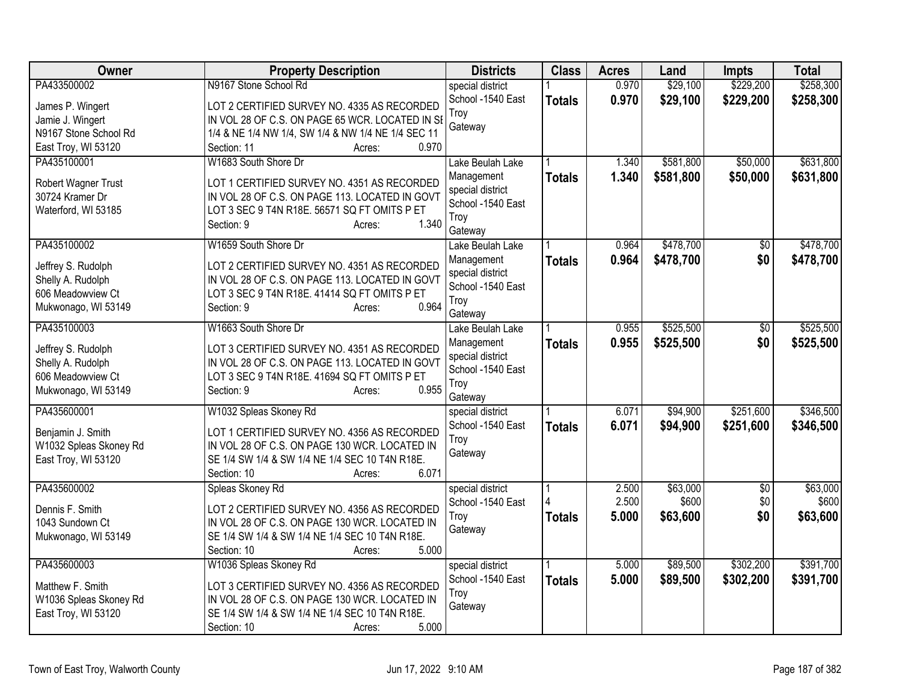| Owner                                  | <b>Property Description</b>                                                                    | <b>Districts</b>               | <b>Class</b>  | <b>Acres</b> | Land      | <b>Impts</b>    | <b>Total</b> |
|----------------------------------------|------------------------------------------------------------------------------------------------|--------------------------------|---------------|--------------|-----------|-----------------|--------------|
| PA433500002                            | N9167 Stone School Rd                                                                          | special district               |               | 0.970        | \$29,100  | \$229,200       | \$258,300    |
| James P. Wingert                       | LOT 2 CERTIFIED SURVEY NO. 4335 AS RECORDED                                                    | School -1540 East              | <b>Totals</b> | 0.970        | \$29,100  | \$229,200       | \$258,300    |
| Jamie J. Wingert                       | IN VOL 28 OF C.S. ON PAGE 65 WCR. LOCATED IN SI                                                | Troy                           |               |              |           |                 |              |
| N9167 Stone School Rd                  | 1/4 & NE 1/4 NW 1/4, SW 1/4 & NW 1/4 NE 1/4 SEC 11                                             | Gateway                        |               |              |           |                 |              |
| East Troy, WI 53120                    | 0.970<br>Section: 11<br>Acres:                                                                 |                                |               |              |           |                 |              |
| PA435100001                            | W1683 South Shore Dr                                                                           | Lake Beulah Lake               |               | 1.340        | \$581,800 | \$50,000        | \$631,800    |
| Robert Wagner Trust                    | LOT 1 CERTIFIED SURVEY NO. 4351 AS RECORDED                                                    | Management                     | <b>Totals</b> | 1.340        | \$581,800 | \$50,000        | \$631,800    |
| 30724 Kramer Dr                        | IN VOL 28 OF C.S. ON PAGE 113. LOCATED IN GOVT                                                 | special district               |               |              |           |                 |              |
| Waterford, WI 53185                    | LOT 3 SEC 9 T4N R18E. 56571 SQ FT OMITS P ET                                                   | School -1540 East              |               |              |           |                 |              |
|                                        | 1.340<br>Section: 9<br>Acres:                                                                  | Troy                           |               |              |           |                 |              |
|                                        |                                                                                                | Gateway                        |               |              |           |                 |              |
| PA435100002                            | W1659 South Shore Dr                                                                           | Lake Beulah Lake               |               | 0.964        | \$478,700 | $\overline{50}$ | \$478,700    |
| Jeffrey S. Rudolph                     | LOT 2 CERTIFIED SURVEY NO. 4351 AS RECORDED                                                    | Management<br>special district | <b>Totals</b> | 0.964        | \$478,700 | \$0             | \$478,700    |
| Shelly A. Rudolph                      | IN VOL 28 OF C.S. ON PAGE 113. LOCATED IN GOVT                                                 | School -1540 East              |               |              |           |                 |              |
| 606 Meadowview Ct                      | LOT 3 SEC 9 T4N R18E. 41414 SQ FT OMITS P ET                                                   | Troy                           |               |              |           |                 |              |
| Mukwonago, WI 53149                    | 0.964<br>Section: 9<br>Acres:                                                                  | Gateway                        |               |              |           |                 |              |
| PA435100003                            | W1663 South Shore Dr                                                                           | Lake Beulah Lake               |               | 0.955        | \$525,500 | $\overline{50}$ | \$525,500    |
|                                        |                                                                                                | Management                     | <b>Totals</b> | 0.955        | \$525,500 | \$0             | \$525,500    |
| Jeffrey S. Rudolph                     | LOT 3 CERTIFIED SURVEY NO. 4351 AS RECORDED                                                    | special district               |               |              |           |                 |              |
| Shelly A. Rudolph<br>606 Meadowview Ct | IN VOL 28 OF C.S. ON PAGE 113. LOCATED IN GOVT<br>LOT 3 SEC 9 T4N R18E. 41694 SQ FT OMITS P ET | School -1540 East              |               |              |           |                 |              |
| Mukwonago, WI 53149                    | 0.955<br>Section: 9<br>Acres:                                                                  | Troy                           |               |              |           |                 |              |
|                                        |                                                                                                | Gateway                        |               |              |           |                 |              |
| PA435600001                            | W1032 Spleas Skoney Rd                                                                         | special district               |               | 6.071        | \$94,900  | \$251,600       | \$346,500    |
| Benjamin J. Smith                      | LOT 1 CERTIFIED SURVEY NO. 4356 AS RECORDED                                                    | School -1540 East              | <b>Totals</b> | 6.071        | \$94,900  | \$251,600       | \$346,500    |
| W1032 Spleas Skoney Rd                 | IN VOL 28 OF C.S. ON PAGE 130 WCR. LOCATED IN                                                  | Troy                           |               |              |           |                 |              |
| East Troy, WI 53120                    | SE 1/4 SW 1/4 & SW 1/4 NE 1/4 SEC 10 T4N R18E.                                                 | Gateway                        |               |              |           |                 |              |
|                                        | 6.071<br>Section: 10<br>Acres:                                                                 |                                |               |              |           |                 |              |
| PA435600002                            | Spleas Skoney Rd                                                                               | special district               |               | 2.500        | \$63,000  | \$0             | \$63,000     |
| Dennis F. Smith                        | LOT 2 CERTIFIED SURVEY NO. 4356 AS RECORDED                                                    | School -1540 East              |               | 2.500        | \$600     | \$0             | \$600        |
| 1043 Sundown Ct                        | IN VOL 28 OF C.S. ON PAGE 130 WCR. LOCATED IN                                                  | Troy                           | <b>Totals</b> | 5.000        | \$63,600  | \$0             | \$63,600     |
| Mukwonago, WI 53149                    | SE 1/4 SW 1/4 & SW 1/4 NE 1/4 SEC 10 T4N R18E.                                                 | Gateway                        |               |              |           |                 |              |
|                                        | 5.000<br>Section: 10<br>Acres:                                                                 |                                |               |              |           |                 |              |
| PA435600003                            | W1036 Spleas Skoney Rd                                                                         | special district               |               | 5.000        | \$89,500  | \$302,200       | \$391,700    |
| Matthew F. Smith                       | LOT 3 CERTIFIED SURVEY NO. 4356 AS RECORDED                                                    | School -1540 East              | <b>Totals</b> | 5.000        | \$89,500  | \$302,200       | \$391,700    |
| W1036 Spleas Skoney Rd                 | IN VOL 28 OF C.S. ON PAGE 130 WCR. LOCATED IN                                                  | Troy                           |               |              |           |                 |              |
| East Troy, WI 53120                    | SE 1/4 SW 1/4 & SW 1/4 NE 1/4 SEC 10 T4N R18E.                                                 | Gateway                        |               |              |           |                 |              |
|                                        | 5.000<br>Section: 10<br>Acres:                                                                 |                                |               |              |           |                 |              |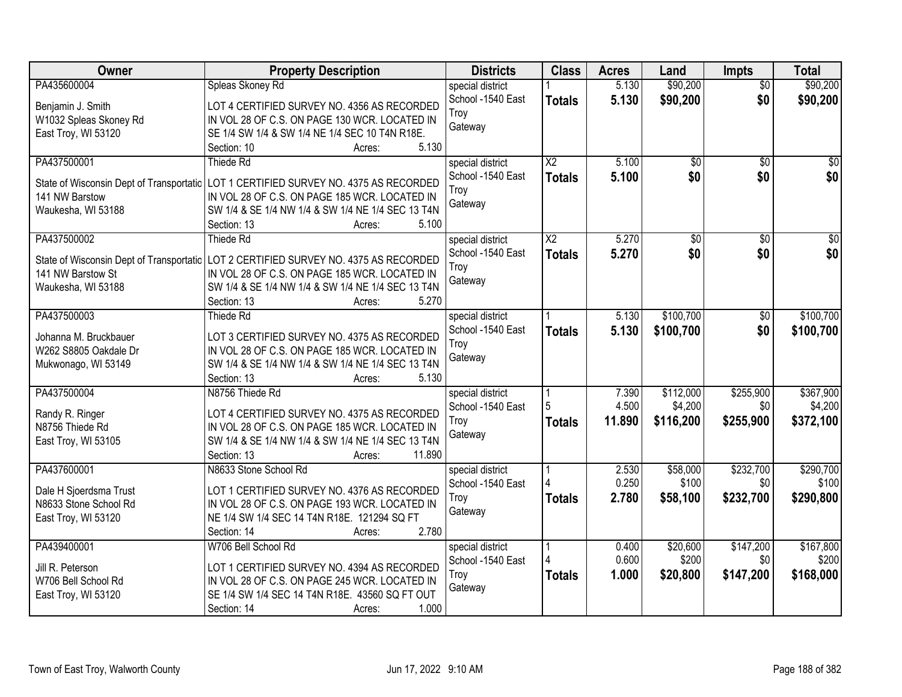| Owner                                          | <b>Property Description</b>                                                                  | <b>Districts</b>                      | <b>Class</b>           | <b>Acres</b>   | Land              | Impts            | <b>Total</b>       |
|------------------------------------------------|----------------------------------------------------------------------------------------------|---------------------------------------|------------------------|----------------|-------------------|------------------|--------------------|
| PA435600004                                    | Spleas Skoney Rd                                                                             | special district                      |                        | 5.130          | \$90,200          | $\overline{50}$  | \$90,200           |
| Benjamin J. Smith                              | LOT 4 CERTIFIED SURVEY NO. 4356 AS RECORDED                                                  | School -1540 East                     | <b>Totals</b>          | 5.130          | \$90,200          | \$0              | \$90,200           |
| W1032 Spleas Skoney Rd                         | IN VOL 28 OF C.S. ON PAGE 130 WCR. LOCATED IN                                                | Troy                                  |                        |                |                   |                  |                    |
| East Troy, WI 53120                            | SE 1/4 SW 1/4 & SW 1/4 NE 1/4 SEC 10 T4N R18E.                                               | Gateway                               |                        |                |                   |                  |                    |
|                                                | 5.130<br>Section: 10<br>Acres:                                                               |                                       |                        |                |                   |                  |                    |
| PA437500001                                    | Thiede Rd                                                                                    | special district                      | $\overline{\text{X2}}$ | 5.100          | \$0               | $\overline{50}$  | \$0                |
| State of Wisconsin Dept of Transportatic       | LOT 1 CERTIFIED SURVEY NO. 4375 AS RECORDED                                                  | School -1540 East                     | <b>Totals</b>          | 5.100          | \$0               | \$0              | \$0                |
| 141 NW Barstow                                 | IN VOL 28 OF C.S. ON PAGE 185 WCR. LOCATED IN                                                | Troy                                  |                        |                |                   |                  |                    |
| Waukesha, WI 53188                             | SW 1/4 & SE 1/4 NW 1/4 & SW 1/4 NE 1/4 SEC 13 T4N                                            | Gateway                               |                        |                |                   |                  |                    |
|                                                | 5.100<br>Section: 13<br>Acres:                                                               |                                       |                        |                |                   |                  |                    |
| PA437500002                                    | Thiede Rd                                                                                    | special district                      | $\overline{\text{X2}}$ | 5.270          | $\overline{50}$   | $\overline{50}$  | $\overline{50}$    |
| State of Wisconsin Dept of Transportatic       | LOT 2 CERTIFIED SURVEY NO. 4375 AS RECORDED                                                  | School -1540 East                     | <b>Totals</b>          | 5.270          | \$0               | \$0              | \$0                |
| 141 NW Barstow St                              | IN VOL 28 OF C.S. ON PAGE 185 WCR. LOCATED IN                                                | Troy                                  |                        |                |                   |                  |                    |
| Waukesha, WI 53188                             | SW 1/4 & SE 1/4 NW 1/4 & SW 1/4 NE 1/4 SEC 13 T4N                                            | Gateway                               |                        |                |                   |                  |                    |
|                                                | 5.270<br>Section: 13<br>Acres:                                                               |                                       |                        |                |                   |                  |                    |
| PA437500003                                    | <b>Thiede Rd</b>                                                                             | special district                      |                        | 5.130          | \$100,700         | \$0              | \$100,700          |
|                                                |                                                                                              | School -1540 East                     | <b>Totals</b>          | 5.130          | \$100,700         | \$0              | \$100,700          |
| Johanna M. Bruckbauer<br>W262 S8805 Oakdale Dr | LOT 3 CERTIFIED SURVEY NO. 4375 AS RECORDED<br>IN VOL 28 OF C.S. ON PAGE 185 WCR. LOCATED IN | Troy                                  |                        |                |                   |                  |                    |
| Mukwonago, WI 53149                            | SW 1/4 & SE 1/4 NW 1/4 & SW 1/4 NE 1/4 SEC 13 T4N                                            | Gateway                               |                        |                |                   |                  |                    |
|                                                | 5.130<br>Section: 13<br>Acres:                                                               |                                       |                        |                |                   |                  |                    |
| PA437500004                                    | N8756 Thiede Rd                                                                              | special district                      |                        | 7.390          | \$112,000         | \$255,900        | \$367,900          |
|                                                |                                                                                              | School -1540 East                     | 5                      | 4.500          | \$4,200           | \$0              | \$4,200            |
| Randy R. Ringer                                | LOT 4 CERTIFIED SURVEY NO. 4375 AS RECORDED                                                  | Troy                                  | <b>Totals</b>          | 11.890         | \$116,200         | \$255,900        | \$372,100          |
| N8756 Thiede Rd                                | IN VOL 28 OF C.S. ON PAGE 185 WCR. LOCATED IN                                                | Gateway                               |                        |                |                   |                  |                    |
| East Troy, WI 53105                            | SW 1/4 & SE 1/4 NW 1/4 & SW 1/4 NE 1/4 SEC 13 T4N                                            |                                       |                        |                |                   |                  |                    |
| PA437600001                                    | 11.890<br>Section: 13<br>Acres:<br>N8633 Stone School Rd                                     |                                       |                        |                |                   |                  |                    |
|                                                |                                                                                              | special district<br>School -1540 East |                        | 2.530<br>0.250 | \$58,000<br>\$100 | \$232,700<br>\$0 | \$290,700<br>\$100 |
| Dale H Sjoerdsma Trust                         | LOT 1 CERTIFIED SURVEY NO. 4376 AS RECORDED                                                  | Troy                                  | <b>Totals</b>          | 2.780          | \$58,100          | \$232,700        | \$290,800          |
| N8633 Stone School Rd                          | IN VOL 28 OF C.S. ON PAGE 193 WCR. LOCATED IN                                                | Gateway                               |                        |                |                   |                  |                    |
| East Troy, WI 53120                            | NE 1/4 SW 1/4 SEC 14 T4N R18E. 121294 SQ FT                                                  |                                       |                        |                |                   |                  |                    |
|                                                | 2.780<br>Section: 14<br>Acres:                                                               |                                       |                        |                |                   |                  |                    |
| PA439400001                                    | W706 Bell School Rd                                                                          | special district                      |                        | 0.400          | \$20,600          | \$147,200        | \$167,800          |
| Jill R. Peterson                               | LOT 1 CERTIFIED SURVEY NO. 4394 AS RECORDED                                                  | School -1540 East                     |                        | 0.600          | \$200             | \$0              | \$200              |
| W706 Bell School Rd                            | IN VOL 28 OF C.S. ON PAGE 245 WCR. LOCATED IN                                                | Troy                                  | <b>Totals</b>          | 1.000          | \$20,800          | \$147,200        | \$168,000          |
| East Troy, WI 53120                            | SE 1/4 SW 1/4 SEC 14 T4N R18E. 43560 SQ FT OUT                                               | Gateway                               |                        |                |                   |                  |                    |
|                                                | 1.000<br>Section: 14<br>Acres:                                                               |                                       |                        |                |                   |                  |                    |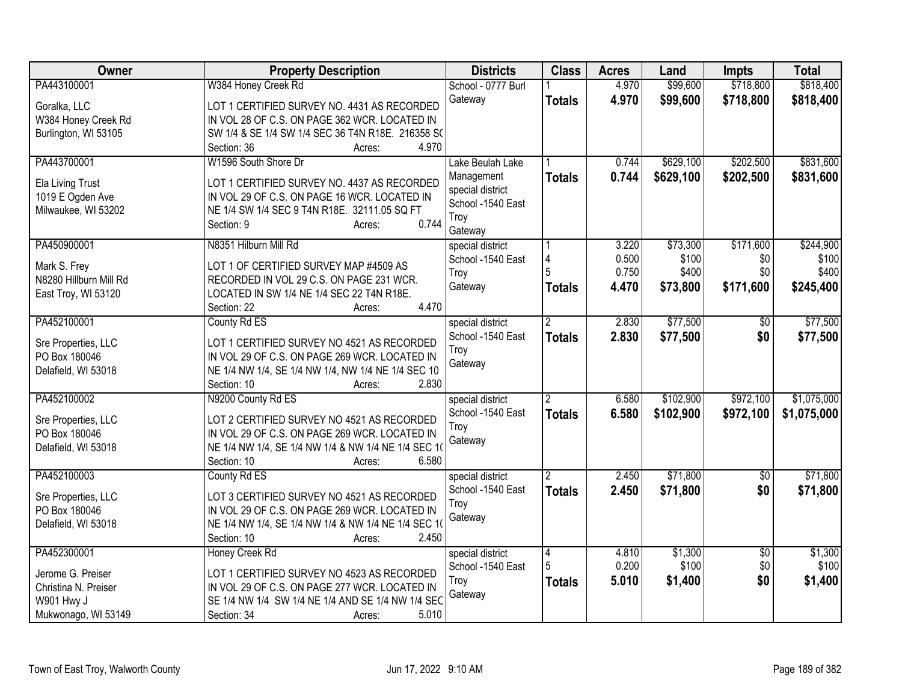| Owner                  | <b>Property Description</b>                                                                  | <b>Districts</b>   | <b>Class</b>   | <b>Acres</b> | Land      | <b>Impts</b>    | <b>Total</b> |
|------------------------|----------------------------------------------------------------------------------------------|--------------------|----------------|--------------|-----------|-----------------|--------------|
| PA443100001            | W384 Honey Creek Rd                                                                          | School - 0777 Burl |                | 4.970        | \$99,600  | \$718,800       | \$818,400    |
| Goralka, LLC           | LOT 1 CERTIFIED SURVEY NO. 4431 AS RECORDED                                                  | Gateway            | <b>Totals</b>  | 4.970        | \$99,600  | \$718,800       | \$818,400    |
| W384 Honey Creek Rd    | IN VOL 28 OF C.S. ON PAGE 362 WCR. LOCATED IN                                                |                    |                |              |           |                 |              |
| Burlington, WI 53105   | SW 1/4 & SE 1/4 SW 1/4 SEC 36 T4N R18E. 216358 SC                                            |                    |                |              |           |                 |              |
|                        | 4.970<br>Section: 36<br>Acres:                                                               |                    |                |              |           |                 |              |
| PA443700001            | W1596 South Shore Dr                                                                         | Lake Beulah Lake   |                | 0.744        | \$629,100 | \$202,500       | \$831,600    |
|                        |                                                                                              | Management         | <b>Totals</b>  | 0.744        | \$629,100 | \$202,500       | \$831,600    |
| Ela Living Trust       | LOT 1 CERTIFIED SURVEY NO. 4437 AS RECORDED                                                  | special district   |                |              |           |                 |              |
| 1019 E Ogden Ave       | IN VOL 29 OF C.S. ON PAGE 16 WCR. LOCATED IN<br>NE 1/4 SW 1/4 SEC 9 T4N R18E. 32111.05 SQ FT | School -1540 East  |                |              |           |                 |              |
| Milwaukee, WI 53202    | 0.744<br>Section: 9                                                                          | Troy               |                |              |           |                 |              |
|                        | Acres:                                                                                       | Gateway            |                |              |           |                 |              |
| PA450900001            | N8351 Hilburn Mill Rd                                                                        | special district   |                | 3.220        | \$73,300  | \$171,600       | \$244,900    |
| Mark S. Frey           | LOT 1 OF CERTIFIED SURVEY MAP #4509 AS                                                       | School -1540 East  | 4              | 0.500        | \$100     | \$0             | \$100        |
| N8280 Hillburn Mill Rd | RECORDED IN VOL 29 C.S. ON PAGE 231 WCR.                                                     | Troy               |                | 0.750        | \$400     | \$0             | \$400        |
| East Troy, WI 53120    | LOCATED IN SW 1/4 NE 1/4 SEC 22 T4N R18E.                                                    | Gateway            | <b>Totals</b>  | 4.470        | \$73,800  | \$171,600       | \$245,400    |
|                        | 4.470<br>Section: 22<br>Acres:                                                               |                    |                |              |           |                 |              |
| PA452100001            | County Rd ES                                                                                 | special district   | 2              | 2.830        | \$77,500  | $\overline{50}$ | \$77,500     |
|                        |                                                                                              | School -1540 East  | <b>Totals</b>  | 2.830        | \$77,500  | \$0             | \$77,500     |
| Sre Properties, LLC    | LOT 1 CERTIFIED SURVEY NO 4521 AS RECORDED                                                   | Troy               |                |              |           |                 |              |
| PO Box 180046          | IN VOL 29 OF C.S. ON PAGE 269 WCR. LOCATED IN                                                | Gateway            |                |              |           |                 |              |
| Delafield, WI 53018    | NE 1/4 NW 1/4, SE 1/4 NW 1/4, NW 1/4 NE 1/4 SEC 10                                           |                    |                |              |           |                 |              |
|                        | 2.830<br>Section: 10<br>Acres:                                                               |                    |                |              |           |                 |              |
| PA452100002            | N9200 County Rd ES                                                                           | special district   |                | 6.580        | \$102,900 | \$972,100       | \$1,075,000  |
| Sre Properties, LLC    | LOT 2 CERTIFIED SURVEY NO 4521 AS RECORDED                                                   | School -1540 East  | <b>Totals</b>  | 6.580        | \$102,900 | \$972,100       | \$1,075,000  |
| PO Box 180046          | IN VOL 29 OF C.S. ON PAGE 269 WCR. LOCATED IN                                                | Troy               |                |              |           |                 |              |
| Delafield, WI 53018    | NE 1/4 NW 1/4, SE 1/4 NW 1/4 & NW 1/4 NE 1/4 SEC 10                                          | Gateway            |                |              |           |                 |              |
|                        | 6.580<br>Section: 10<br>Acres:                                                               |                    |                |              |           |                 |              |
| PA452100003            | County Rd ES                                                                                 | special district   | $\overline{2}$ | 2.450        | \$71,800  | \$0             | \$71,800     |
|                        |                                                                                              | School -1540 East  | <b>Totals</b>  | 2.450        | \$71,800  | \$0             | \$71,800     |
| Sre Properties, LLC    | LOT 3 CERTIFIED SURVEY NO 4521 AS RECORDED                                                   | Troy               |                |              |           |                 |              |
| PO Box 180046          | IN VOL 29 OF C.S. ON PAGE 269 WCR. LOCATED IN                                                | Gateway            |                |              |           |                 |              |
| Delafield, WI 53018    | NE 1/4 NW 1/4, SE 1/4 NW 1/4 & NW 1/4 NE 1/4 SEC 10                                          |                    |                |              |           |                 |              |
|                        | Section: 10<br>2.450<br>Acres:                                                               |                    |                |              |           |                 |              |
| PA452300001            | Honey Creek Rd                                                                               | special district   | 4              | 4.810        | \$1,300   | $\overline{50}$ | \$1,300      |
| Jerome G. Preiser      | LOT 1 CERTIFIED SURVEY NO 4523 AS RECORDED                                                   | School -1540 East  |                | 0.200        | \$100     | \$0             | \$100        |
| Christina N. Preiser   | IN VOL 29 OF C.S. ON PAGE 277 WCR. LOCATED IN                                                | Troy               | <b>Totals</b>  | 5.010        | \$1,400   | \$0             | \$1,400      |
| W901 Hwy J             | SE 1/4 NW 1/4 SW 1/4 NE 1/4 AND SE 1/4 NW 1/4 SEC                                            | Gateway            |                |              |           |                 |              |
| Mukwonago, WI 53149    | 5.010<br>Section: 34<br>Acres:                                                               |                    |                |              |           |                 |              |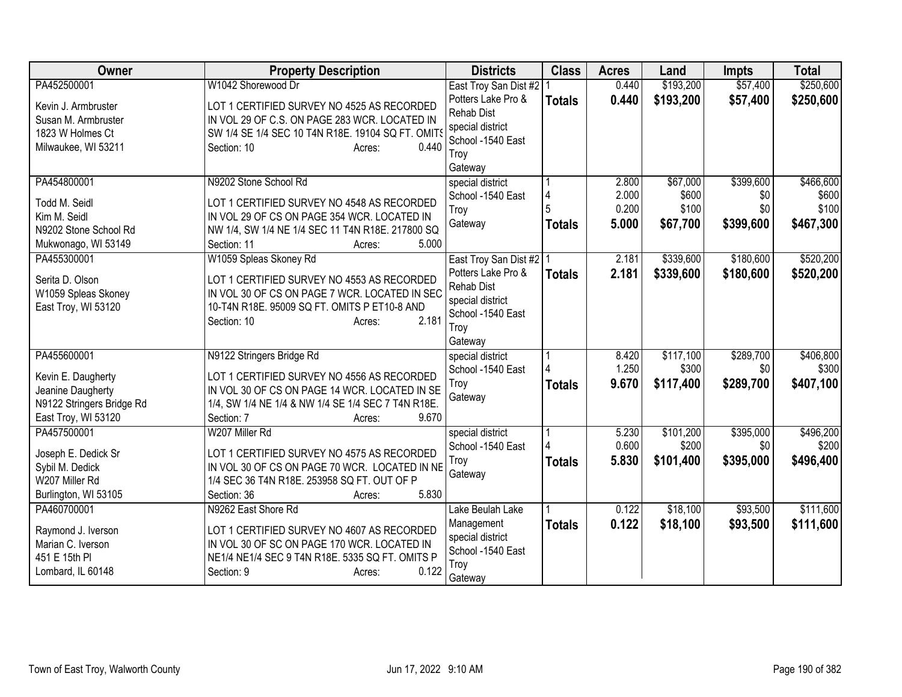| Owner                                   | <b>Property Description</b>                                                               | <b>Districts</b>          | <b>Class</b>  | <b>Acres</b>   | Land              | <b>Impts</b>     | <b>Total</b>   |
|-----------------------------------------|-------------------------------------------------------------------------------------------|---------------------------|---------------|----------------|-------------------|------------------|----------------|
| PA452500001                             | W1042 Shorewood Dr                                                                        | East Troy San Dist #2     |               | 0.440          | \$193,200         | \$57,400         | \$250,600      |
| Kevin J. Armbruster                     | LOT 1 CERTIFIED SURVEY NO 4525 AS RECORDED                                                | Potters Lake Pro &        | <b>Totals</b> | 0.440          | \$193,200         | \$57,400         | \$250,600      |
| Susan M. Armbruster                     | IN VOL 29 OF C.S. ON PAGE 283 WCR. LOCATED IN                                             | <b>Rehab Dist</b>         |               |                |                   |                  |                |
| 1823 W Holmes Ct                        | SW 1/4 SE 1/4 SEC 10 T4N R18E. 19104 SQ FT. OMIT.                                         | special district          |               |                |                   |                  |                |
| Milwaukee, WI 53211                     | 0.440<br>Section: 10<br>Acres:                                                            | School -1540 East         |               |                |                   |                  |                |
|                                         |                                                                                           | Troy                      |               |                |                   |                  |                |
|                                         |                                                                                           | Gateway                   |               |                |                   |                  |                |
| PA454800001                             | N9202 Stone School Rd                                                                     | special district          |               | 2.800<br>2.000 | \$67,000<br>\$600 | \$399,600<br>\$0 | \$466,600      |
| Todd M. Seidl                           | LOT 1 CERTIFIED SURVEY NO 4548 AS RECORDED                                                | School -1540 East         | 4             | 0.200          | \$100             | \$0              | \$600<br>\$100 |
| Kim M. Seidl                            | IN VOL 29 OF CS ON PAGE 354 WCR. LOCATED IN                                               | Troy                      |               |                |                   |                  |                |
| N9202 Stone School Rd                   | NW 1/4, SW 1/4 NE 1/4 SEC 11 T4N R18E. 217800 SQ                                          | Gateway                   | <b>Totals</b> | 5.000          | \$67,700          | \$399,600        | \$467,300      |
| Mukwonago, WI 53149                     | Section: 11<br>5.000<br>Acres:                                                            |                           |               |                |                   |                  |                |
| PA455300001                             | W1059 Spleas Skoney Rd                                                                    | East Troy San Dist #2   1 |               | 2.181          | \$339,600         | \$180,600        | \$520,200      |
| Serita D. Olson                         | LOT 1 CERTIFIED SURVEY NO 4553 AS RECORDED                                                | Potters Lake Pro &        | <b>Totals</b> | 2.181          | \$339,600         | \$180,600        | \$520,200      |
| W1059 Spleas Skoney                     | IN VOL 30 OF CS ON PAGE 7 WCR. LOCATED IN SEC                                             | <b>Rehab Dist</b>         |               |                |                   |                  |                |
| East Troy, WI 53120                     | 10-T4N R18E. 95009 SQ FT. OMITS P ET10-8 AND                                              | special district          |               |                |                   |                  |                |
|                                         | 2.181<br>Section: 10<br>Acres:                                                            | School -1540 East         |               |                |                   |                  |                |
|                                         |                                                                                           | Troy                      |               |                |                   |                  |                |
|                                         |                                                                                           | Gateway                   |               |                |                   |                  |                |
| PA455600001                             | N9122 Stringers Bridge Rd                                                                 | special district          |               | 8.420          | \$117,100         | \$289,700        | \$406,800      |
| Kevin E. Daugherty                      | LOT 1 CERTIFIED SURVEY NO 4556 AS RECORDED                                                | School -1540 East         |               | 1.250          | \$300             | \$0              | \$300          |
| Jeanine Daugherty                       | IN VOL 30 OF CS ON PAGE 14 WCR. LOCATED IN SE                                             | Troy                      | <b>Totals</b> | 9.670          | \$117,400         | \$289,700        | \$407,100      |
| N9122 Stringers Bridge Rd               | 1/4, SW 1/4 NE 1/4 & NW 1/4 SE 1/4 SEC 7 T4N R18E.                                        | Gateway                   |               |                |                   |                  |                |
| East Troy, WI 53120                     | Section: 7<br>9.670<br>Acres:                                                             |                           |               |                |                   |                  |                |
| PA457500001                             | W207 Miller Rd                                                                            | special district          |               | 5.230          | \$101,200         | \$395,000        | \$496,200      |
| Joseph E. Dedick Sr                     | LOT 1 CERTIFIED SURVEY NO 4575 AS RECORDED                                                | School -1540 East         |               | 0.600          | \$200             | \$0              | \$200          |
| Sybil M. Dedick                         | IN VOL 30 OF CS ON PAGE 70 WCR. LOCATED IN NE                                             | Troy                      | <b>Totals</b> | 5.830          | \$101,400         | \$395,000        | \$496,400      |
| W207 Miller Rd                          | 1/4 SEC 36 T4N R18E. 253958 SQ FT. OUT OF P                                               | Gateway                   |               |                |                   |                  |                |
| Burlington, WI 53105                    | 5.830<br>Section: 36<br>Acres:                                                            |                           |               |                |                   |                  |                |
| PA460700001                             | N9262 East Shore Rd                                                                       | Lake Beulah Lake          |               | 0.122          | \$18,100          | \$93,500         | \$111,600      |
|                                         |                                                                                           | Management                | <b>Totals</b> | 0.122          | \$18,100          | \$93,500         | \$111,600      |
| Raymond J. Iverson<br>Marian C. Iverson | LOT 1 CERTIFIED SURVEY NO 4607 AS RECORDED<br>IN VOL 30 OF SC ON PAGE 170 WCR. LOCATED IN | special district          |               |                |                   |                  |                |
| 451 E 15th PI                           | NE1/4 NE1/4 SEC 9 T4N R18E. 5335 SQ FT. OMITS P                                           | School -1540 East         |               |                |                   |                  |                |
| Lombard, IL 60148                       | 0.122<br>Section: 9                                                                       | Troy                      |               |                |                   |                  |                |
|                                         | Acres:                                                                                    | Gateway                   |               |                |                   |                  |                |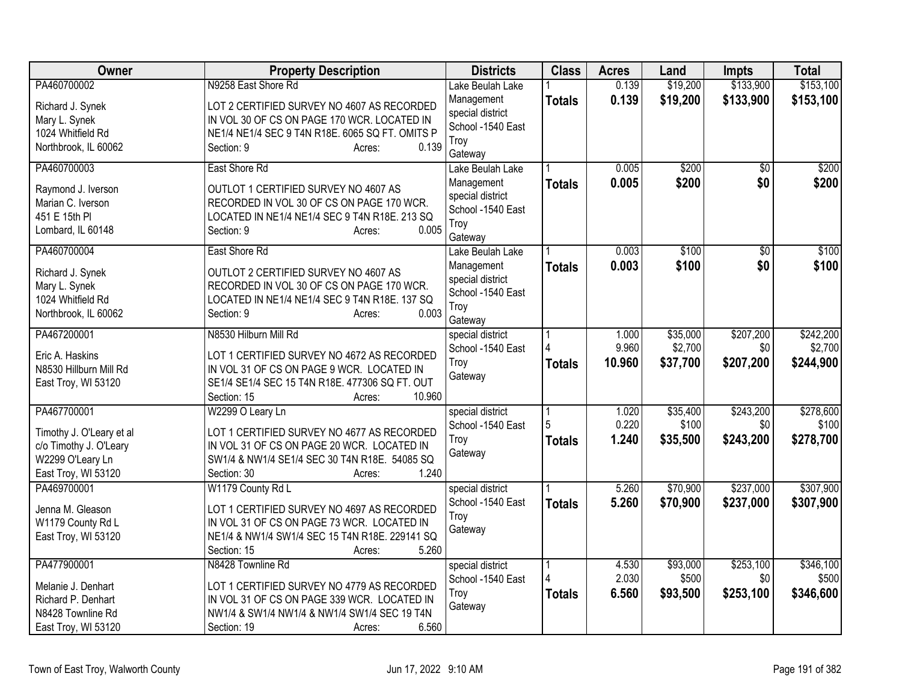| Owner                                                                                         | <b>Property Description</b>                                                                                                                                                   | <b>Districts</b>                                                       | <b>Class</b>  | <b>Acres</b>    | Land                | <b>Impts</b>     | <b>Total</b>         |
|-----------------------------------------------------------------------------------------------|-------------------------------------------------------------------------------------------------------------------------------------------------------------------------------|------------------------------------------------------------------------|---------------|-----------------|---------------------|------------------|----------------------|
| PA460700002                                                                                   | N9258 East Shore Rd                                                                                                                                                           | Lake Beulah Lake                                                       |               | 0.139           | \$19,200            | \$133,900        | \$153,100            |
| Richard J. Synek<br>Mary L. Synek<br>1024 Whitfield Rd<br>Northbrook, IL 60062                | LOT 2 CERTIFIED SURVEY NO 4607 AS RECORDED<br>IN VOL 30 OF CS ON PAGE 170 WCR. LOCATED IN<br>NE1/4 NE1/4 SEC 9 T4N R18E. 6065 SQ FT. OMITS P<br>0.139<br>Section: 9<br>Acres: | Management<br>special district<br>School -1540 East<br>Troy<br>Gateway | <b>Totals</b> | 0.139           | \$19,200            | \$133,900        | \$153,100            |
| PA460700003                                                                                   | East Shore Rd                                                                                                                                                                 | Lake Beulah Lake                                                       |               | 0.005           | \$200               | $\overline{50}$  | \$200                |
| Raymond J. Iverson<br>Marian C. Iverson<br>451 E 15th PI<br>Lombard, IL 60148                 | OUTLOT 1 CERTIFIED SURVEY NO 4607 AS<br>RECORDED IN VOL 30 OF CS ON PAGE 170 WCR.<br>LOCATED IN NE1/4 NE1/4 SEC 9 T4N R18E. 213 SQ<br>0.005<br>Section: 9<br>Acres:           | Management<br>special district<br>School -1540 East<br>Troy<br>Gateway | <b>Totals</b> | 0.005           | \$200               | \$0              | \$200                |
| PA460700004                                                                                   | East Shore Rd                                                                                                                                                                 | Lake Beulah Lake                                                       |               | 0.003           | \$100               | $\overline{50}$  | \$100                |
| Richard J. Synek<br>Mary L. Synek<br>1024 Whitfield Rd<br>Northbrook, IL 60062                | OUTLOT 2 CERTIFIED SURVEY NO 4607 AS<br>RECORDED IN VOL 30 OF CS ON PAGE 170 WCR.<br>LOCATED IN NE1/4 NE1/4 SEC 9 T4N R18E. 137 SQ<br>0.003<br>Section: 9<br>Acres:           | Management<br>special district<br>School -1540 East<br>Troy<br>Gateway | <b>Totals</b> | 0.003           | \$100               | \$0              | \$100                |
| PA467200001                                                                                   | N8530 Hilburn Mill Rd                                                                                                                                                         | special district                                                       |               | 1.000           | \$35,000            | \$207,200        | \$242,200            |
| Eric A. Haskins<br>N8530 Hillburn Mill Rd<br>East Troy, WI 53120                              | LOT 1 CERTIFIED SURVEY NO 4672 AS RECORDED<br>IN VOL 31 OF CS ON PAGE 9 WCR. LOCATED IN<br>SE1/4 SE1/4 SEC 15 T4N R18E. 477306 SQ FT. OUT<br>10.960<br>Section: 15<br>Acres:  | School -1540 East<br>Troy<br>Gateway                                   | <b>Totals</b> | 9.960<br>10.960 | \$2,700<br>\$37,700 | \$0<br>\$207,200 | \$2,700<br>\$244,900 |
| PA467700001                                                                                   | W2299 O Leary Ln                                                                                                                                                              | special district                                                       |               | 1.020           | \$35,400            | \$243,200        | \$278,600            |
| Timothy J. O'Leary et al<br>c/o Timothy J. O'Leary<br>W2299 O'Leary Ln<br>East Troy, WI 53120 | LOT 1 CERTIFIED SURVEY NO 4677 AS RECORDED<br>IN VOL 31 OF CS ON PAGE 20 WCR. LOCATED IN<br>SW1/4 & NW1/4 SE1/4 SEC 30 T4N R18E. 54085 SQ<br>1.240<br>Section: 30<br>Acres:   | School -1540 East<br>Troy<br>Gateway                                   | <b>Totals</b> | 0.220<br>1.240  | \$100<br>\$35,500   | \$0<br>\$243,200 | \$100<br>\$278,700   |
| PA469700001                                                                                   | W1179 County Rd L                                                                                                                                                             | special district                                                       |               | 5.260           | \$70,900            | \$237,000        | \$307,900            |
| Jenna M. Gleason<br>W1179 County Rd L<br>East Troy, WI 53120                                  | LOT 1 CERTIFIED SURVEY NO 4697 AS RECORDED<br>IN VOL 31 OF CS ON PAGE 73 WCR. LOCATED IN<br>NE1/4 & NW1/4 SW1/4 SEC 15 T4N R18E. 229141 SQ<br>5.260<br>Section: 15<br>Acres:  | School -1540 East<br>Troy<br>Gateway                                   | <b>Totals</b> | 5.260           | \$70,900            | \$237,000        | \$307,900            |
| PA477900001                                                                                   | N8428 Townline Rd                                                                                                                                                             | special district                                                       |               | 4.530           | \$93,000            | \$253,100        | \$346,100            |
| Melanie J. Denhart<br>Richard P. Denhart<br>N8428 Townline Rd<br>East Troy, WI 53120          | LOT 1 CERTIFIED SURVEY NO 4779 AS RECORDED<br>IN VOL 31 OF CS ON PAGE 339 WCR. LOCATED IN<br>NW1/4 & SW1/4 NW1/4 & NW1/4 SW1/4 SEC 19 T4N<br>6.560<br>Section: 19<br>Acres:   | School -1540 East<br>Troy<br>Gateway                                   | <b>Totals</b> | 2.030<br>6.560  | \$500<br>\$93,500   | \$0<br>\$253,100 | \$500<br>\$346,600   |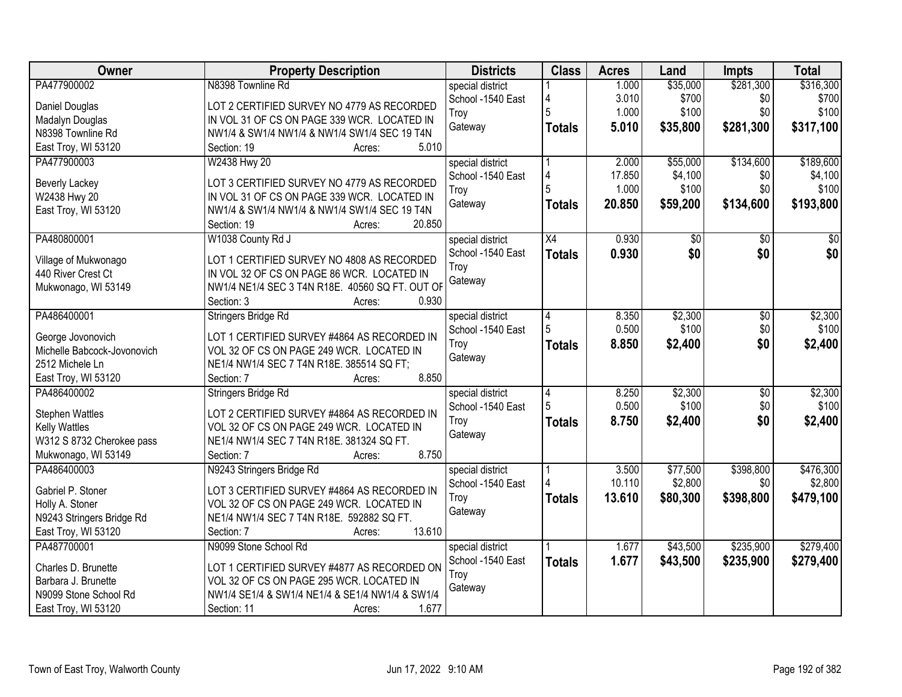| Owner                       | <b>Property Description</b>                     | <b>Districts</b>  | <b>Class</b>  | <b>Acres</b> | Land     | Impts           | <b>Total</b> |
|-----------------------------|-------------------------------------------------|-------------------|---------------|--------------|----------|-----------------|--------------|
| PA477900002                 | N8398 Townline Rd                               | special district  |               | 1.000        | \$35,000 | \$281,300       | \$316,300    |
| Daniel Douglas              | LOT 2 CERTIFIED SURVEY NO 4779 AS RECORDED      | School -1540 East |               | 3.010        | \$700    | \$0             | \$700        |
| Madalyn Douglas             | IN VOL 31 OF CS ON PAGE 339 WCR. LOCATED IN     | Troy              |               | 1.000        | \$100    | \$0             | \$100        |
| N8398 Townline Rd           | NW1/4 & SW1/4 NW1/4 & NW1/4 SW1/4 SEC 19 T4N    | Gateway           | <b>Totals</b> | 5.010        | \$35,800 | \$281,300       | \$317,100    |
| East Troy, WI 53120         | 5.010<br>Section: 19<br>Acres:                  |                   |               |              |          |                 |              |
| PA477900003                 | W2438 Hwy 20                                    | special district  |               | 2.000        | \$55,000 | \$134,600       | \$189,600    |
|                             |                                                 | School -1540 East | 4             | 17.850       | \$4,100  | \$0             | \$4,100      |
| <b>Beverly Lackey</b>       | LOT 3 CERTIFIED SURVEY NO 4779 AS RECORDED      | Troy              | 5             | 1.000        | \$100    | \$0             | \$100        |
| W2438 Hwy 20                | IN VOL 31 OF CS ON PAGE 339 WCR. LOCATED IN     | Gateway           |               | 20.850       | \$59,200 | \$134,600       | \$193,800    |
| East Troy, WI 53120         | NW1/4 & SW1/4 NW1/4 & NW1/4 SW1/4 SEC 19 T4N    |                   | <b>Totals</b> |              |          |                 |              |
|                             | 20.850<br>Section: 19<br>Acres:                 |                   |               |              |          |                 |              |
| PA480800001                 | W1038 County Rd J                               | special district  | X4            | 0.930        | \$0      | \$0             | \$0          |
| Village of Mukwonago        | LOT 1 CERTIFIED SURVEY NO 4808 AS RECORDED      | School -1540 East | <b>Totals</b> | 0.930        | \$0      | \$0             | \$0          |
| 440 River Crest Ct          | IN VOL 32 OF CS ON PAGE 86 WCR. LOCATED IN      | Troy              |               |              |          |                 |              |
| Mukwonago, WI 53149         | NW1/4 NE1/4 SEC 3 T4N R18E. 40560 SQ FT. OUT OF | Gateway           |               |              |          |                 |              |
|                             | Section: 3<br>0.930<br>Acres:                   |                   |               |              |          |                 |              |
| PA486400001                 | Stringers Bridge Rd                             | special district  | 4             | 8.350        | \$2,300  | $\overline{50}$ | \$2,300      |
|                             |                                                 | School -1540 East | 5             | 0.500        | \$100    | \$0             | \$100        |
| George Jovonovich           | LOT 1 CERTIFIED SURVEY #4864 AS RECORDED IN     | Troy              |               | 8.850        | \$2,400  | \$0             | \$2,400      |
| Michelle Babcock-Jovonovich | VOL 32 OF CS ON PAGE 249 WCR. LOCATED IN        | Gateway           | <b>Totals</b> |              |          |                 |              |
| 2512 Michele Ln             | NE1/4 NW1/4 SEC 7 T4N R18E. 385514 SQ FT;       |                   |               |              |          |                 |              |
| East Troy, WI 53120         | 8.850<br>Section: 7<br>Acres:                   |                   |               |              |          |                 |              |
| PA486400002                 | Stringers Bridge Rd                             | special district  | 4             | 8.250        | \$2,300  | $\overline{50}$ | \$2,300      |
| <b>Stephen Wattles</b>      | LOT 2 CERTIFIED SURVEY #4864 AS RECORDED IN     | School -1540 East |               | 0.500        | \$100    | \$0             | \$100        |
| <b>Kelly Wattles</b>        | VOL 32 OF CS ON PAGE 249 WCR. LOCATED IN        | Troy              | <b>Totals</b> | 8.750        | \$2,400  | \$0             | \$2,400      |
| W312 S 8732 Cherokee pass   | NE1/4 NW1/4 SEC 7 T4N R18E. 381324 SQ FT.       | Gateway           |               |              |          |                 |              |
| Mukwonago, WI 53149         | 8.750<br>Section: 7<br>Acres:                   |                   |               |              |          |                 |              |
| PA486400003                 | N9243 Stringers Bridge Rd                       | special district  |               | 3.500        | \$77,500 | \$398,800       | \$476,300    |
|                             |                                                 | School -1540 East |               | 10.110       | \$2,800  | \$0             | \$2,800      |
| Gabriel P. Stoner           | LOT 3 CERTIFIED SURVEY #4864 AS RECORDED IN     | Troy              | <b>Totals</b> | 13.610       | \$80,300 | \$398,800       | \$479,100    |
| Holly A. Stoner             | VOL 32 OF CS ON PAGE 249 WCR. LOCATED IN        | Gateway           |               |              |          |                 |              |
| N9243 Stringers Bridge Rd   | NE1/4 NW1/4 SEC 7 T4N R18E. 592882 SQ FT.       |                   |               |              |          |                 |              |
| East Troy, WI 53120         | 13.610<br>Section: 7<br>Acres:                  |                   |               |              |          |                 |              |
| PA487700001                 | N9099 Stone School Rd                           | special district  |               | 1.677        | \$43,500 | \$235,900       | \$279,400    |
| Charles D. Brunette         | LOT 1 CERTIFIED SURVEY #4877 AS RECORDED ON     | School -1540 East | <b>Totals</b> | 1.677        | \$43,500 | \$235,900       | \$279,400    |
| Barbara J. Brunette         | VOL 32 OF CS ON PAGE 295 WCR. LOCATED IN        | Troy              |               |              |          |                 |              |
| N9099 Stone School Rd       | NW1/4 SE1/4 & SW1/4 NE1/4 & SE1/4 NW1/4 & SW1/4 | Gateway           |               |              |          |                 |              |
| East Troy, WI 53120         | 1.677<br>Section: 11<br>Acres:                  |                   |               |              |          |                 |              |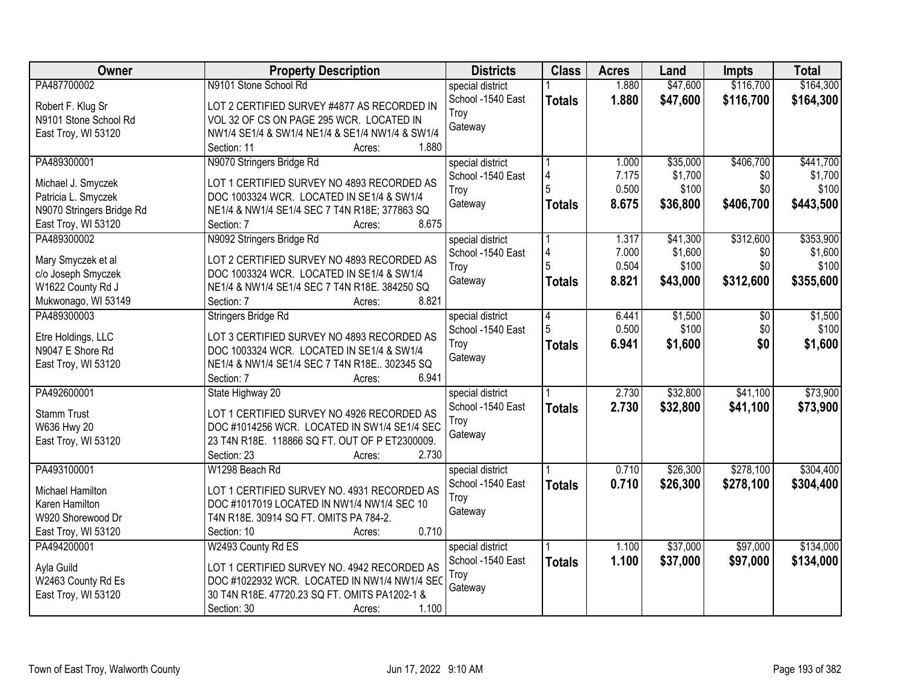| Owner                     | <b>Property Description</b>                     | <b>Districts</b>  | <b>Class</b>  | <b>Acres</b> | Land     | <b>Impts</b> | <b>Total</b> |
|---------------------------|-------------------------------------------------|-------------------|---------------|--------------|----------|--------------|--------------|
| PA487700002               | N9101 Stone School Rd                           | special district  |               | 1.880        | \$47,600 | \$116,700    | \$164,300    |
| Robert F. Klug Sr         | LOT 2 CERTIFIED SURVEY #4877 AS RECORDED IN     | School -1540 East | <b>Totals</b> | 1.880        | \$47,600 | \$116,700    | \$164,300    |
| N9101 Stone School Rd     | VOL 32 OF CS ON PAGE 295 WCR. LOCATED IN        | Troy              |               |              |          |              |              |
| East Troy, WI 53120       | NW1/4 SE1/4 & SW1/4 NE1/4 & SE1/4 NW1/4 & SW1/4 | Gateway           |               |              |          |              |              |
|                           | 1.880<br>Section: 11<br>Acres:                  |                   |               |              |          |              |              |
| PA489300001               | N9070 Stringers Bridge Rd                       | special district  |               | 1.000        | \$35,000 | \$406,700    | \$441,700    |
|                           |                                                 | School -1540 East |               | 7.175        | \$1,700  | \$0          | \$1,700      |
| Michael J. Smyczek        | LOT 1 CERTIFIED SURVEY NO 4893 RECORDED AS      | Troy              |               | 0.500        | \$100    | \$0          | \$100        |
| Patricia L. Smyczek       | DOC 1003324 WCR. LOCATED IN SE1/4 & SW1/4       | Gateway           | <b>Totals</b> | 8.675        | \$36,800 | \$406,700    | \$443,500    |
| N9070 Stringers Bridge Rd | NE1/4 & NW1/4 SE1/4 SEC 7 T4N R18E; 377863 SQ   |                   |               |              |          |              |              |
| East Troy, WI 53120       | 8.675<br>Section: 7<br>Acres:                   |                   |               |              |          |              |              |
| PA489300002               | N9092 Stringers Bridge Rd                       | special district  |               | 1.317        | \$41,300 | \$312,600    | \$353,900    |
| Mary Smyczek et al        | LOT 2 CERTIFIED SURVEY NO 4893 RECORDED AS      | School -1540 East | 4             | 7.000        | \$1,600  | \$0          | \$1,600      |
| c/o Joseph Smyczek        | DOC 1003324 WCR. LOCATED IN SE1/4 & SW1/4       | Troy              |               | 0.504        | \$100    | \$0          | \$100        |
| W1622 County Rd J         | NE1/4 & NW1/4 SE1/4 SEC 7 T4N R18E. 384250 SQ   | Gateway           | <b>Totals</b> | 8.821        | \$43,000 | \$312,600    | \$355,600    |
| Mukwonago, WI 53149       | 8.821<br>Section: 7<br>Acres:                   |                   |               |              |          |              |              |
| PA489300003               | Stringers Bridge Rd                             | special district  | 4             | 6.441        | \$1,500  | \$0          | \$1,500      |
|                           |                                                 | School -1540 East |               | 0.500        | \$100    | \$0          | \$100        |
| Etre Holdings, LLC        | LOT 3 CERTIFIED SURVEY NO 4893 RECORDED AS      | Troy              |               | 6.941        | \$1,600  | \$0          | \$1,600      |
| N9047 E Shore Rd          | DOC 1003324 WCR. LOCATED IN SE1/4 & SW1/4       | Gateway           | <b>Totals</b> |              |          |              |              |
| East Troy, WI 53120       | NE1/4 & NW1/4 SE1/4 SEC 7 T4N R18E 302345 SQ    |                   |               |              |          |              |              |
|                           | 6.941<br>Section: 7<br>Acres:                   |                   |               |              |          |              |              |
| PA492600001               | State Highway 20                                | special district  |               | 2.730        | \$32,800 | \$41,100     | \$73,900     |
| <b>Stamm Trust</b>        | LOT 1 CERTIFIED SURVEY NO 4926 RECORDED AS      | School -1540 East | <b>Totals</b> | 2.730        | \$32,800 | \$41,100     | \$73,900     |
| W636 Hwy 20               | DOC #1014256 WCR. LOCATED IN SW1/4 SE1/4 SEC    | Troy              |               |              |          |              |              |
|                           | 23 T4N R18E. 118866 SQ FT. OUT OF P ET2300009.  | Gateway           |               |              |          |              |              |
| East Troy, WI 53120       | 2.730<br>Section: 23<br>Acres:                  |                   |               |              |          |              |              |
| PA493100001               |                                                 |                   |               | 0.710        | \$26,300 | \$278,100    | \$304,400    |
|                           | W1298 Beach Rd                                  | special district  |               |              |          |              |              |
| Michael Hamilton          | LOT 1 CERTIFIED SURVEY NO. 4931 RECORDED AS     | School -1540 East | <b>Totals</b> | 0.710        | \$26,300 | \$278,100    | \$304,400    |
| Karen Hamilton            | DOC #1017019 LOCATED IN NW1/4 NW1/4 SEC 10      | Troy              |               |              |          |              |              |
| W920 Shorewood Dr         | T4N R18E. 30914 SQ FT. OMITS PA 784-2.          | Gateway           |               |              |          |              |              |
| East Troy, WI 53120       | 0.710<br>Section: 10<br>Acres:                  |                   |               |              |          |              |              |
| PA494200001               | W2493 County Rd ES                              | special district  |               | 1.100        | \$37,000 | \$97,000     | \$134,000    |
|                           |                                                 | School -1540 East | <b>Totals</b> | 1.100        | \$37,000 | \$97,000     | \$134,000    |
| Ayla Guild                | LOT 1 CERTIFIED SURVEY NO. 4942 RECORDED AS     | Troy              |               |              |          |              |              |
| W2463 County Rd Es        | DOC #1022932 WCR. LOCATED IN NW1/4 NW1/4 SEC    | Gateway           |               |              |          |              |              |
| East Troy, WI 53120       | 30 T4N R18E. 47720.23 SQ FT. OMITS PA1202-1 &   |                   |               |              |          |              |              |
|                           | 1.100<br>Section: 30<br>Acres:                  |                   |               |              |          |              |              |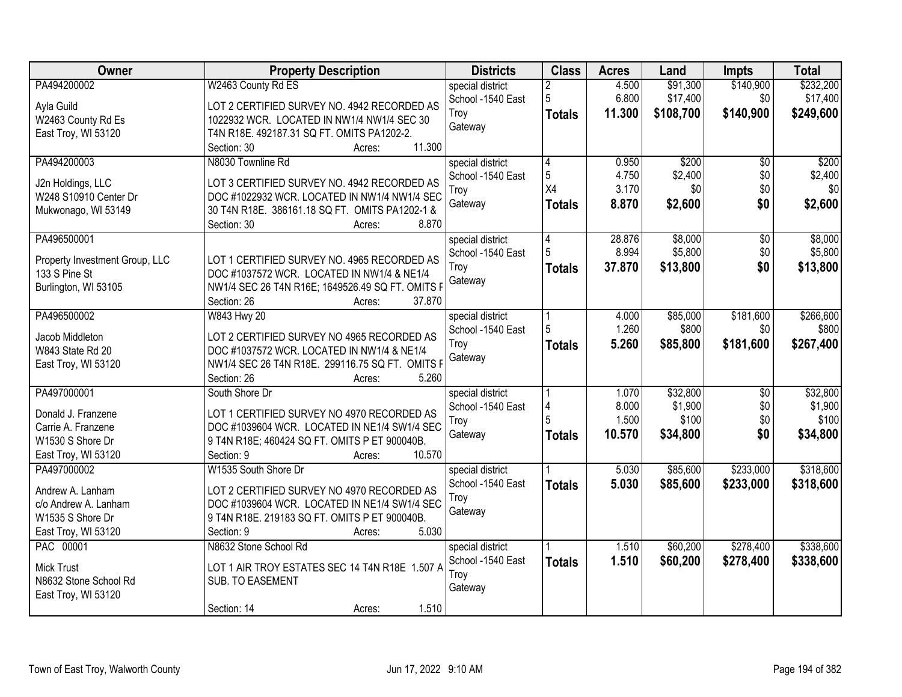| Owner                                           | <b>Property Description</b>                      | <b>Districts</b>  | <b>Class</b>   | <b>Acres</b> | Land      | <b>Impts</b>    | <b>Total</b> |
|-------------------------------------------------|--------------------------------------------------|-------------------|----------------|--------------|-----------|-----------------|--------------|
| PA494200002                                     | W2463 County Rd ES                               | special district  |                | 4.500        | \$91,300  | \$140,900       | \$232,200    |
| Ayla Guild                                      | LOT 2 CERTIFIED SURVEY NO. 4942 RECORDED AS      | School -1540 East | 5              | 6.800        | \$17,400  | \$0             | \$17,400     |
| W2463 County Rd Es                              | 1022932 WCR. LOCATED IN NW1/4 NW1/4 SEC 30       | Troy              | <b>Totals</b>  | 11.300       | \$108,700 | \$140,900       | \$249,600    |
| East Troy, WI 53120                             | T4N R18E. 492187.31 SQ FT. OMITS PA1202-2.       | Gateway           |                |              |           |                 |              |
|                                                 | 11.300<br>Section: 30<br>Acres:                  |                   |                |              |           |                 |              |
| PA494200003                                     | N8030 Townline Rd                                | special district  | $\overline{4}$ | 0.950        | \$200     | $\overline{50}$ | \$200        |
|                                                 | LOT 3 CERTIFIED SURVEY NO. 4942 RECORDED AS      | School -1540 East | 5              | 4.750        | \$2,400   | \$0             | \$2,400      |
| J2n Holdings, LLC<br>W248 S10910 Center Dr      | DOC #1022932 WCR. LOCATED IN NW1/4 NW1/4 SEC     | Troy              | X4             | 3.170        | \$0       | \$0             | \$0          |
| Mukwonago, WI 53149                             | 30 T4N R18E. 386161.18 SQ FT. OMITS PA1202-1 &   | Gateway           | <b>Totals</b>  | 8.870        | \$2,600   | \$0             | \$2,600      |
|                                                 | 8.870<br>Section: 30<br>Acres:                   |                   |                |              |           |                 |              |
| PA496500001                                     |                                                  | special district  | 4              | 28.876       | \$8,000   | \$0             | \$8,000      |
|                                                 | LOT 1 CERTIFIED SURVEY NO. 4965 RECORDED AS      | School -1540 East |                | 8.994        | \$5,800   | \$0             | \$5,800      |
| Property Investment Group, LLC<br>133 S Pine St | DOC #1037572 WCR. LOCATED IN NW1/4 & NE1/4       | Troy              | <b>Totals</b>  | 37.870       | \$13,800  | \$0             | \$13,800     |
| Burlington, WI 53105                            | NW1/4 SEC 26 T4N R16E; 1649526.49 SQ FT. OMITS F | Gateway           |                |              |           |                 |              |
|                                                 | Section: 26<br>37.870<br>Acres:                  |                   |                |              |           |                 |              |
| PA496500002                                     | W843 Hwy 20                                      | special district  |                | 4.000        | \$85,000  | \$181,600       | \$266,600    |
|                                                 |                                                  | School -1540 East | 5              | 1.260        | \$800     | \$0             | \$800        |
| Jacob Middleton                                 | LOT 2 CERTIFIED SURVEY NO 4965 RECORDED AS       | Troy              | <b>Totals</b>  | 5.260        | \$85,800  | \$181,600       | \$267,400    |
| W843 State Rd 20                                | DOC #1037572 WCR. LOCATED IN NW1/4 & NE1/4       | Gateway           |                |              |           |                 |              |
| East Troy, WI 53120                             | NW1/4 SEC 26 T4N R18E. 299116.75 SQ FT. OMITS F  |                   |                |              |           |                 |              |
|                                                 | 5.260<br>Section: 26<br>Acres:                   |                   |                |              |           |                 |              |
| PA497000001                                     | South Shore Dr                                   | special district  |                | 1.070        | \$32,800  | $\overline{50}$ | \$32,800     |
| Donald J. Franzene                              | LOT 1 CERTIFIED SURVEY NO 4970 RECORDED AS       | School -1540 East | 4              | 8.000        | \$1,900   | \$0             | \$1,900      |
| Carrie A. Franzene                              | DOC #1039604 WCR. LOCATED IN NE1/4 SW1/4 SEC     | Troy              |                | 1.500        | \$100     | \$0             | \$100        |
| W1530 S Shore Dr                                | 9 T4N R18E; 460424 SQ FT. OMITS P ET 900040B.    | Gateway           | <b>Totals</b>  | 10.570       | \$34,800  | \$0             | \$34,800     |
| East Troy, WI 53120                             | 10.570<br>Section: 9<br>Acres:                   |                   |                |              |           |                 |              |
| PA497000002                                     | W1535 South Shore Dr                             | special district  |                | 5.030        | \$85,600  | \$233,000       | \$318,600    |
| Andrew A. Lanham                                | LOT 2 CERTIFIED SURVEY NO 4970 RECORDED AS       | School -1540 East | <b>Totals</b>  | 5.030        | \$85,600  | \$233,000       | \$318,600    |
| c/o Andrew A. Lanham                            | DOC #1039604 WCR. LOCATED IN NE1/4 SW1/4 SEC     | Troy              |                |              |           |                 |              |
| W1535 S Shore Dr                                | 9 T4N R18E. 219183 SQ FT. OMITS P ET 900040B.    | Gateway           |                |              |           |                 |              |
| East Troy, WI 53120                             | 5.030<br>Section: 9<br>Acres:                    |                   |                |              |           |                 |              |
| PAC 00001                                       | N8632 Stone School Rd                            | special district  |                | 1.510        | \$60,200  | \$278,400       | \$338,600    |
| <b>Mick Trust</b>                               | LOT 1 AIR TROY ESTATES SEC 14 T4N R18E 1.507 A   | School -1540 East | <b>Totals</b>  | 1.510        | \$60,200  | \$278,400       | \$338,600    |
| N8632 Stone School Rd                           | SUB. TO EASEMENT                                 | Troy              |                |              |           |                 |              |
| East Troy, WI 53120                             |                                                  | Gateway           |                |              |           |                 |              |
|                                                 | 1.510<br>Section: 14<br>Acres:                   |                   |                |              |           |                 |              |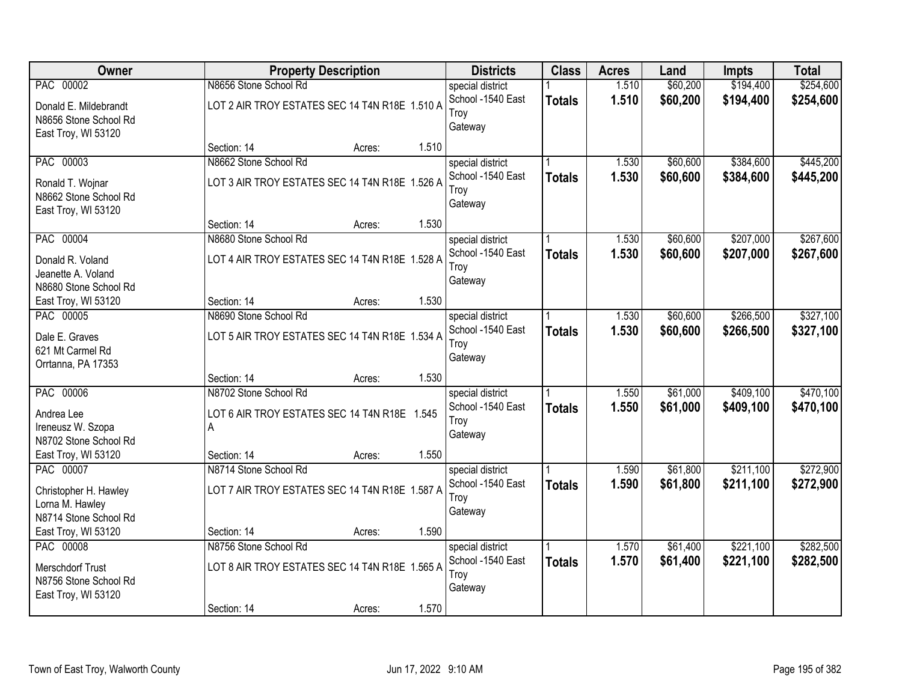| Owner                   |                                                | <b>Property Description</b> |       | <b>Districts</b>          | <b>Class</b>  | <b>Acres</b> | Land     | <b>Impts</b> | <b>Total</b> |
|-------------------------|------------------------------------------------|-----------------------------|-------|---------------------------|---------------|--------------|----------|--------------|--------------|
| PAC 00002               | N8656 Stone School Rd                          |                             |       | special district          |               | 1.510        | \$60,200 | \$194,400    | \$254,600    |
| Donald E. Mildebrandt   | LOT 2 AIR TROY ESTATES SEC 14 T4N R18E 1.510 A |                             |       | School -1540 East         | <b>Totals</b> | 1.510        | \$60,200 | \$194,400    | \$254,600    |
| N8656 Stone School Rd   |                                                |                             |       | Troy                      |               |              |          |              |              |
| East Troy, WI 53120     |                                                |                             |       | Gateway                   |               |              |          |              |              |
|                         | Section: 14                                    | Acres:                      | 1.510 |                           |               |              |          |              |              |
| PAC 00003               | N8662 Stone School Rd                          |                             |       | special district          |               | 1.530        | \$60,600 | \$384,600    | \$445,200    |
| Ronald T. Wojnar        | LOT 3 AIR TROY ESTATES SEC 14 T4N R18E 1.526 A |                             |       | School -1540 East         | <b>Totals</b> | 1.530        | \$60,600 | \$384,600    | \$445,200    |
| N8662 Stone School Rd   |                                                |                             |       | Troy                      |               |              |          |              |              |
| East Troy, WI 53120     |                                                |                             |       | Gateway                   |               |              |          |              |              |
|                         | Section: 14                                    | Acres:                      | 1.530 |                           |               |              |          |              |              |
| PAC 00004               | N8680 Stone School Rd                          |                             |       | special district          |               | 1.530        | \$60,600 | \$207,000    | \$267,600    |
| Donald R. Voland        | LOT 4 AIR TROY ESTATES SEC 14 T4N R18E 1.528 A |                             |       | School -1540 East         | <b>Totals</b> | 1.530        | \$60,600 | \$207,000    | \$267,600    |
| Jeanette A. Voland      |                                                |                             |       | Troy                      |               |              |          |              |              |
| N8680 Stone School Rd   |                                                |                             |       | Gateway                   |               |              |          |              |              |
| East Troy, WI 53120     | Section: 14                                    | Acres:                      | 1.530 |                           |               |              |          |              |              |
| PAC 00005               | N8690 Stone School Rd                          |                             |       | special district          |               | 1.530        | \$60,600 | \$266,500    | \$327,100    |
| Dale E. Graves          | LOT 5 AIR TROY ESTATES SEC 14 T4N R18E 1.534 A |                             |       | School -1540 East         | <b>Totals</b> | 1.530        | \$60,600 | \$266,500    | \$327,100    |
| 621 Mt Carmel Rd        |                                                |                             |       | Troy                      |               |              |          |              |              |
| Orrtanna, PA 17353      |                                                |                             |       | Gateway                   |               |              |          |              |              |
|                         | Section: 14                                    | Acres:                      | 1.530 |                           |               |              |          |              |              |
| PAC 00006               | N8702 Stone School Rd                          |                             |       | special district          |               | 1.550        | \$61,000 | \$409,100    | \$470,100    |
| Andrea Lee              | LOT 6 AIR TROY ESTATES SEC 14 T4N R18E 1.545   |                             |       | School -1540 East         | <b>Totals</b> | 1.550        | \$61,000 | \$409,100    | \$470,100    |
| Ireneusz W. Szopa       | Α                                              |                             |       | Troy<br>Gateway           |               |              |          |              |              |
| N8702 Stone School Rd   |                                                |                             |       |                           |               |              |          |              |              |
| East Troy, WI 53120     | Section: 14                                    | Acres:                      | 1.550 |                           |               |              |          |              |              |
| PAC 00007               | N8714 Stone School Rd                          |                             |       | special district          |               | 1.590        | \$61,800 | \$211,100    | \$272,900    |
| Christopher H. Hawley   | LOT 7 AIR TROY ESTATES SEC 14 T4N R18E 1.587 A |                             |       | School -1540 East<br>Troy | <b>Totals</b> | 1.590        | \$61,800 | \$211,100    | \$272,900    |
| Lorna M. Hawley         |                                                |                             |       | Gateway                   |               |              |          |              |              |
| N8714 Stone School Rd   |                                                |                             |       |                           |               |              |          |              |              |
| East Troy, WI 53120     | Section: 14                                    | Acres:                      | 1.590 |                           |               |              |          |              |              |
| PAC 00008               | N8756 Stone School Rd                          |                             |       | special district          |               | 1.570        | \$61,400 | \$221,100    | \$282,500    |
| <b>Merschdorf Trust</b> | LOT 8 AIR TROY ESTATES SEC 14 T4N R18E 1.565 A |                             |       | School -1540 East<br>Troy | <b>Totals</b> | 1.570        | \$61,400 | \$221,100    | \$282,500    |
| N8756 Stone School Rd   |                                                |                             |       | Gateway                   |               |              |          |              |              |
| East Troy, WI 53120     |                                                |                             |       |                           |               |              |          |              |              |
|                         | Section: 14                                    | Acres:                      | 1.570 |                           |               |              |          |              |              |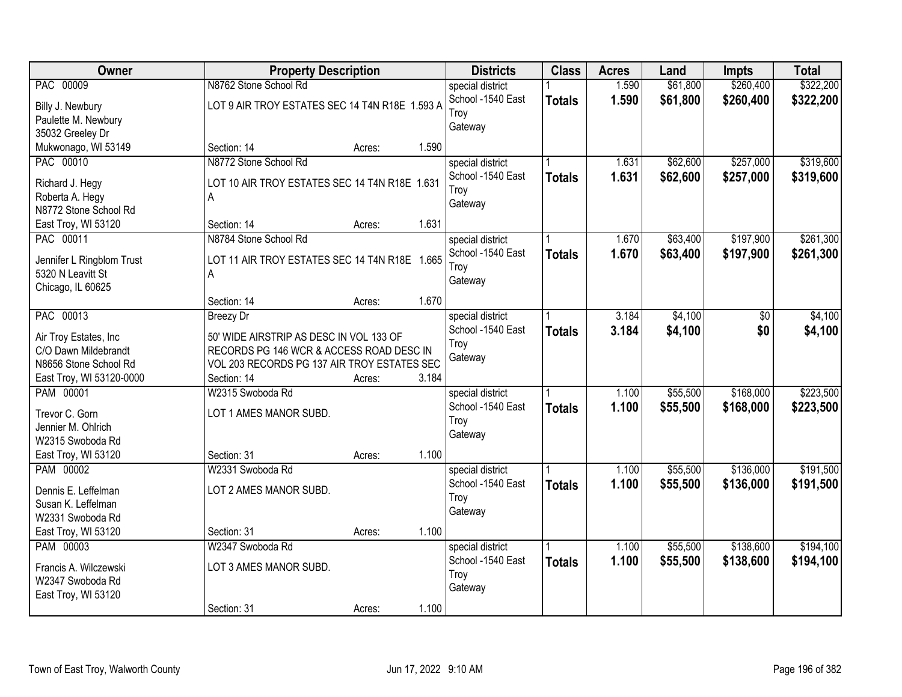| <b>Owner</b>                           | <b>Property Description</b>                    |        |       | <b>Districts</b>  | <b>Class</b>  | <b>Acres</b> | Land     | <b>Impts</b> | <b>Total</b> |
|----------------------------------------|------------------------------------------------|--------|-------|-------------------|---------------|--------------|----------|--------------|--------------|
| PAC 00009                              | N8762 Stone School Rd                          |        |       | special district  |               | 1.590        | \$61,800 | \$260,400    | \$322,200    |
| Billy J. Newbury                       | LOT 9 AIR TROY ESTATES SEC 14 T4N R18E 1.593 A |        |       | School -1540 East | <b>Totals</b> | 1.590        | \$61,800 | \$260,400    | \$322,200    |
| Paulette M. Newbury                    |                                                |        |       | Troy              |               |              |          |              |              |
| 35032 Greeley Dr                       |                                                |        |       | Gateway           |               |              |          |              |              |
| Mukwonago, WI 53149                    | Section: 14                                    | Acres: | 1.590 |                   |               |              |          |              |              |
| PAC 00010                              | N8772 Stone School Rd                          |        |       | special district  |               | 1.631        | \$62,600 | \$257,000    | \$319,600    |
|                                        |                                                |        |       | School -1540 East | <b>Totals</b> | 1.631        | \$62,600 | \$257,000    | \$319,600    |
| Richard J. Hegy                        | LOT 10 AIR TROY ESTATES SEC 14 T4N R18E 1.631  |        |       | Troy              |               |              |          |              |              |
| Roberta A. Hegy                        | A                                              |        |       | Gateway           |               |              |          |              |              |
| N8772 Stone School Rd                  |                                                |        |       |                   |               |              |          |              |              |
| East Troy, WI 53120                    | Section: 14                                    | Acres: | 1.631 |                   |               |              |          |              |              |
| PAC 00011                              | N8784 Stone School Rd                          |        |       | special district  |               | 1.670        | \$63,400 | \$197,900    | \$261,300    |
| Jennifer L Ringblom Trust              | LOT 11 AIR TROY ESTATES SEC 14 T4N R18E 1.665  |        |       | School -1540 East | <b>Totals</b> | 1.670        | \$63,400 | \$197,900    | \$261,300    |
| 5320 N Leavitt St                      | A                                              |        |       | Troy              |               |              |          |              |              |
| Chicago, IL 60625                      |                                                |        |       | Gateway           |               |              |          |              |              |
|                                        | Section: 14                                    | Acres: | 1.670 |                   |               |              |          |              |              |
| PAC 00013                              | <b>Breezy Dr</b>                               |        |       | special district  |               | 3.184        | \$4,100  | \$0          | \$4,100      |
|                                        |                                                |        |       | School -1540 East |               |              |          |              |              |
| Air Troy Estates, Inc                  | 50' WIDE AIRSTRIP AS DESC IN VOL 133 OF        |        |       | Troy              | <b>Totals</b> | 3.184        | \$4,100  | \$0          | \$4,100      |
| C/O Dawn Mildebrandt                   | RECORDS PG 146 WCR & ACCESS ROAD DESC IN       |        |       | Gateway           |               |              |          |              |              |
| N8656 Stone School Rd                  | VOL 203 RECORDS PG 137 AIR TROY ESTATES SEC    |        |       |                   |               |              |          |              |              |
| East Troy, WI 53120-0000               | Section: 14                                    | Acres: | 3.184 |                   |               |              |          |              |              |
| PAM 00001                              | W2315 Swoboda Rd                               |        |       | special district  |               | 1.100        | \$55,500 | \$168,000    | \$223,500    |
| Trevor C. Gorn                         | LOT 1 AMES MANOR SUBD.                         |        |       | School -1540 East | <b>Totals</b> | 1.100        | \$55,500 | \$168,000    | \$223,500    |
|                                        |                                                |        |       | Troy              |               |              |          |              |              |
| Jennier M. Ohlrich<br>W2315 Swoboda Rd |                                                |        |       | Gateway           |               |              |          |              |              |
|                                        |                                                |        | 1.100 |                   |               |              |          |              |              |
| East Troy, WI 53120                    | Section: 31                                    | Acres: |       |                   |               |              |          |              |              |
| PAM 00002                              | W2331 Swoboda Rd                               |        |       | special district  |               | 1.100        | \$55,500 | \$136,000    | \$191,500    |
| Dennis E. Leffelman                    | LOT 2 AMES MANOR SUBD.                         |        |       | School -1540 East | <b>Totals</b> | 1.100        | \$55,500 | \$136,000    | \$191,500    |
| Susan K. Leffelman                     |                                                |        |       | Troy              |               |              |          |              |              |
| W2331 Swoboda Rd                       |                                                |        |       | Gateway           |               |              |          |              |              |
| East Troy, WI 53120                    | Section: 31                                    | Acres: | 1.100 |                   |               |              |          |              |              |
| PAM 00003                              | W2347 Swoboda Rd                               |        |       | special district  |               | 1.100        | \$55,500 | \$138,600    | \$194,100    |
|                                        |                                                |        |       | School -1540 East | <b>Totals</b> | 1.100        | \$55,500 | \$138,600    | \$194,100    |
| Francis A. Wilczewski                  | LOT 3 AMES MANOR SUBD.                         |        |       | Troy              |               |              |          |              |              |
| W2347 Swoboda Rd                       |                                                |        |       | Gateway           |               |              |          |              |              |
| East Troy, WI 53120                    |                                                |        |       |                   |               |              |          |              |              |
|                                        | Section: 31                                    | Acres: | 1.100 |                   |               |              |          |              |              |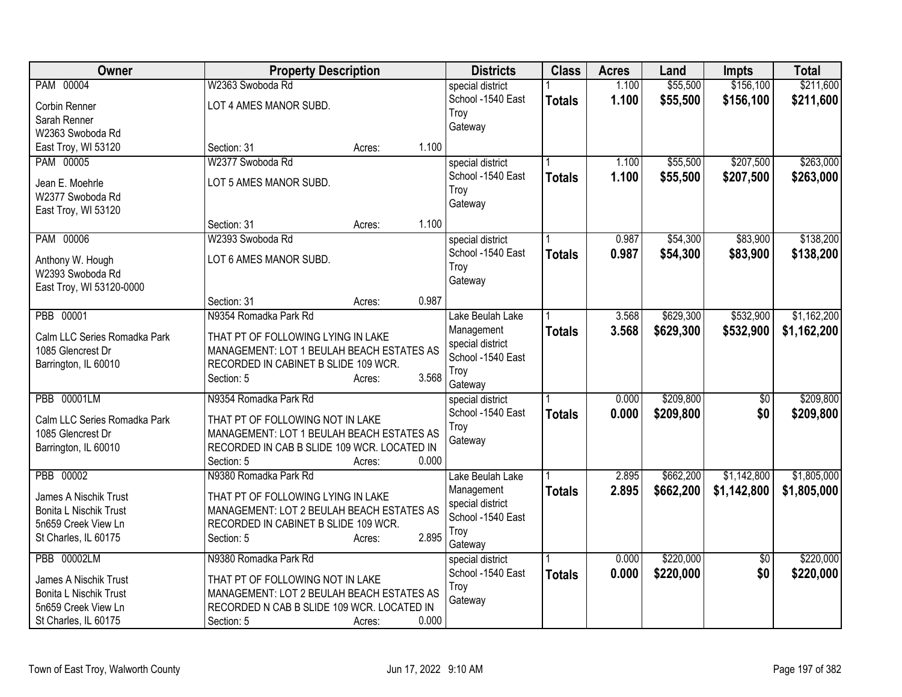| Owner                               | <b>Property Description</b>                        |                 | <b>Districts</b>  | <b>Class</b>  | <b>Acres</b> | Land      | <b>Impts</b>    | <b>Total</b> |
|-------------------------------------|----------------------------------------------------|-----------------|-------------------|---------------|--------------|-----------|-----------------|--------------|
| PAM 00004                           | W2363 Swoboda Rd                                   |                 | special district  |               | 1.100        | \$55,500  | \$156,100       | \$211,600    |
| Corbin Renner                       | LOT 4 AMES MANOR SUBD.                             |                 | School -1540 East | <b>Totals</b> | 1.100        | \$55,500  | \$156,100       | \$211,600    |
| Sarah Renner                        |                                                    |                 | Troy              |               |              |           |                 |              |
| W2363 Swoboda Rd                    |                                                    |                 | Gateway           |               |              |           |                 |              |
| East Troy, WI 53120                 | Section: 31                                        | 1.100<br>Acres: |                   |               |              |           |                 |              |
| PAM 00005                           | W2377 Swoboda Rd                                   |                 | special district  |               | 1.100        | \$55,500  | \$207,500       | \$263,000    |
|                                     | LOT 5 AMES MANOR SUBD.                             |                 | School -1540 East | <b>Totals</b> | 1.100        | \$55,500  | \$207,500       | \$263,000    |
| Jean E. Moehrle<br>W2377 Swoboda Rd |                                                    |                 | Troy              |               |              |           |                 |              |
| East Troy, WI 53120                 |                                                    |                 | Gateway           |               |              |           |                 |              |
|                                     | Section: 31                                        | 1.100<br>Acres: |                   |               |              |           |                 |              |
| PAM 00006                           | W2393 Swoboda Rd                                   |                 | special district  |               | 0.987        | \$54,300  | \$83,900        | \$138,200    |
|                                     |                                                    |                 | School -1540 East | <b>Totals</b> | 0.987        | \$54,300  | \$83,900        | \$138,200    |
| Anthony W. Hough                    | LOT 6 AMES MANOR SUBD.                             |                 | Troy              |               |              |           |                 |              |
| W2393 Swoboda Rd                    |                                                    |                 | Gateway           |               |              |           |                 |              |
| East Troy, WI 53120-0000            | Section: 31                                        | 0.987<br>Acres: |                   |               |              |           |                 |              |
| PBB 00001                           | N9354 Romadka Park Rd                              |                 | Lake Beulah Lake  |               | 3.568        | \$629,300 | \$532,900       | \$1,162,200  |
|                                     |                                                    |                 | Management        |               | 3.568        | \$629,300 | \$532,900       |              |
| Calm LLC Series Romadka Park        | THAT PT OF FOLLOWING LYING IN LAKE                 |                 | special district  | <b>Totals</b> |              |           |                 | \$1,162,200  |
| 1085 Glencrest Dr                   | MANAGEMENT: LOT 1 BEULAH BEACH ESTATES AS          |                 | School -1540 East |               |              |           |                 |              |
| Barrington, IL 60010                | RECORDED IN CABINET B SLIDE 109 WCR.               |                 | Troy              |               |              |           |                 |              |
|                                     | Section: 5                                         | 3.568<br>Acres: | Gateway           |               |              |           |                 |              |
| <b>PBB 00001LM</b>                  | N9354 Romadka Park Rd                              |                 | special district  |               | 0.000        | \$209,800 | $\overline{50}$ | \$209,800    |
| Calm LLC Series Romadka Park        | THAT PT OF FOLLOWING NOT IN LAKE                   |                 | School -1540 East | <b>Totals</b> | 0.000        | \$209,800 | \$0             | \$209,800    |
| 1085 Glencrest Dr                   | MANAGEMENT: LOT 1 BEULAH BEACH ESTATES AS          |                 | Troy              |               |              |           |                 |              |
| Barrington, IL 60010                | RECORDED IN CAB B SLIDE 109 WCR. LOCATED IN        |                 | Gateway           |               |              |           |                 |              |
|                                     | Section: 5                                         | 0.000<br>Acres: |                   |               |              |           |                 |              |
| PBB 00002                           | N9380 Romadka Park Rd                              |                 | Lake Beulah Lake  |               | 2.895        | \$662,200 | \$1,142,800     | \$1,805,000  |
|                                     |                                                    |                 | Management        | <b>Totals</b> | 2.895        | \$662,200 | \$1,142,800     | \$1,805,000  |
| James A Nischik Trust               | THAT PT OF FOLLOWING LYING IN LAKE                 |                 | special district  |               |              |           |                 |              |
| <b>Bonita L Nischik Trust</b>       | MANAGEMENT: LOT 2 BEULAH BEACH ESTATES AS          |                 | School -1540 East |               |              |           |                 |              |
| 5n659 Creek View Ln                 | RECORDED IN CABINET B SLIDE 109 WCR.<br>Section: 5 | 2.895           | Troy              |               |              |           |                 |              |
| St Charles, IL 60175                |                                                    | Acres:          | Gateway           |               |              |           |                 |              |
| <b>PBB 00002LM</b>                  | N9380 Romadka Park Rd                              |                 | special district  |               | 0.000        | \$220,000 | $\overline{50}$ | \$220,000    |
| James A Nischik Trust               | THAT PT OF FOLLOWING NOT IN LAKE                   |                 | School -1540 East | <b>Totals</b> | 0.000        | \$220,000 | \$0             | \$220,000    |
| <b>Bonita L Nischik Trust</b>       | MANAGEMENT: LOT 2 BEULAH BEACH ESTATES AS          |                 | Troy              |               |              |           |                 |              |
| 5n659 Creek View Ln                 | RECORDED N CAB B SLIDE 109 WCR. LOCATED IN         |                 | Gateway           |               |              |           |                 |              |
| St Charles, IL 60175                | Section: 5                                         | 0.000<br>Acres: |                   |               |              |           |                 |              |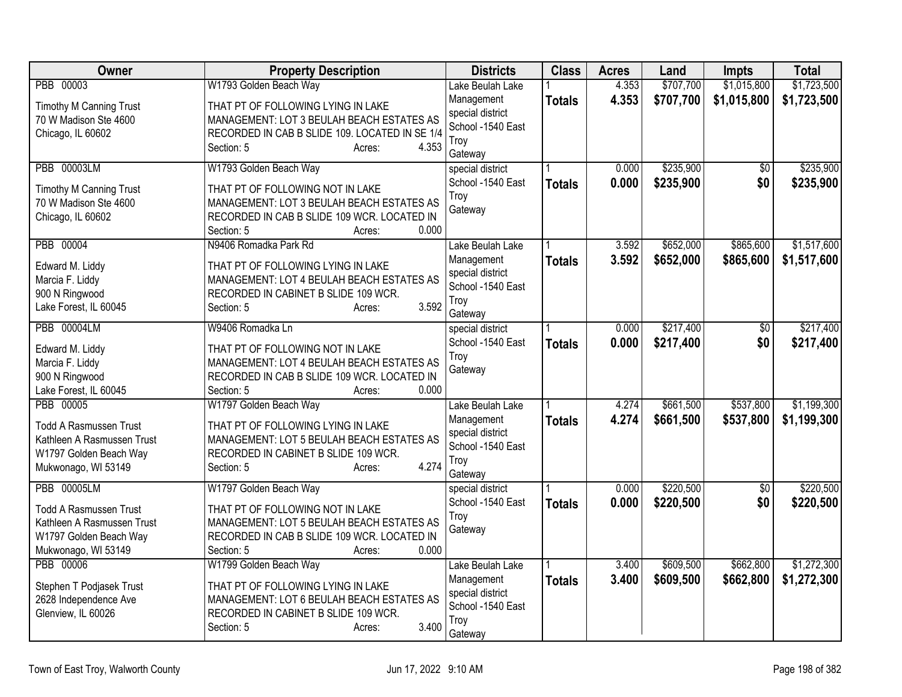| Owner                                                       | <b>Property Description</b>                                                     | <b>Districts</b>  | <b>Class</b>  | <b>Acres</b> | Land      | Impts           | <b>Total</b> |
|-------------------------------------------------------------|---------------------------------------------------------------------------------|-------------------|---------------|--------------|-----------|-----------------|--------------|
| PBB 00003                                                   | W1793 Golden Beach Way                                                          | Lake Beulah Lake  |               | 4.353        | \$707,700 | \$1,015,800     | \$1,723,500  |
| Timothy M Canning Trust                                     | THAT PT OF FOLLOWING LYING IN LAKE                                              | Management        | <b>Totals</b> | 4.353        | \$707,700 | \$1,015,800     | \$1,723,500  |
| 70 W Madison Ste 4600                                       | MANAGEMENT: LOT 3 BEULAH BEACH ESTATES AS                                       | special district  |               |              |           |                 |              |
| Chicago, IL 60602                                           | RECORDED IN CAB B SLIDE 109. LOCATED IN SE 1/4                                  | School -1540 East |               |              |           |                 |              |
|                                                             | Section: 5<br>4.353<br>Acres:                                                   | Troy              |               |              |           |                 |              |
|                                                             |                                                                                 | Gateway           |               |              |           |                 |              |
| <b>PBB 00003LM</b>                                          | W1793 Golden Beach Way                                                          | special district  |               | 0.000        | \$235,900 | $\overline{50}$ | \$235,900    |
| <b>Timothy M Canning Trust</b>                              | THAT PT OF FOLLOWING NOT IN LAKE                                                | School -1540 East | <b>Totals</b> | 0.000        | \$235,900 | \$0             | \$235,900    |
| 70 W Madison Ste 4600                                       | MANAGEMENT: LOT 3 BEULAH BEACH ESTATES AS                                       | Trov              |               |              |           |                 |              |
| Chicago, IL 60602                                           | RECORDED IN CAB B SLIDE 109 WCR. LOCATED IN                                     | Gateway           |               |              |           |                 |              |
|                                                             | Section: 5<br>0.000<br>Acres:                                                   |                   |               |              |           |                 |              |
| PBB 00004                                                   | N9406 Romadka Park Rd                                                           | Lake Beulah Lake  |               | 3.592        | \$652,000 | \$865,600       | \$1,517,600  |
| Edward M. Liddy                                             | THAT PT OF FOLLOWING LYING IN LAKE                                              | Management        | <b>Totals</b> | 3.592        | \$652,000 | \$865,600       | \$1,517,600  |
| Marcia F. Liddy                                             | MANAGEMENT: LOT 4 BEULAH BEACH ESTATES AS                                       | special district  |               |              |           |                 |              |
| 900 N Ringwood                                              | RECORDED IN CABINET B SLIDE 109 WCR.                                            | School -1540 East |               |              |           |                 |              |
| Lake Forest, IL 60045                                       | 3.592<br>Section: 5<br>Acres:                                                   | Troy              |               |              |           |                 |              |
|                                                             |                                                                                 | Gateway           |               |              |           |                 |              |
| <b>PBB 00004LM</b>                                          | W9406 Romadka Ln                                                                | special district  |               | 0.000        | \$217,400 | $\overline{30}$ | \$217,400    |
| Edward M. Liddy                                             | THAT PT OF FOLLOWING NOT IN LAKE                                                | School -1540 East | <b>Totals</b> | 0.000        | \$217,400 | \$0             | \$217,400    |
| Marcia F. Liddy                                             | MANAGEMENT: LOT 4 BEULAH BEACH ESTATES AS                                       | Troy              |               |              |           |                 |              |
| 900 N Ringwood                                              | RECORDED IN CAB B SLIDE 109 WCR. LOCATED IN                                     | Gateway           |               |              |           |                 |              |
| Lake Forest, IL 60045                                       | Section: 5<br>0.000<br>Acres:                                                   |                   |               |              |           |                 |              |
| PBB 00005                                                   | W1797 Golden Beach Way                                                          | Lake Beulah Lake  |               | 4.274        | \$661,500 | \$537,800       | \$1,199,300  |
|                                                             |                                                                                 | Management        | <b>Totals</b> | 4.274        | \$661,500 | \$537,800       | \$1,199,300  |
| <b>Todd A Rasmussen Trust</b><br>Kathleen A Rasmussen Trust | THAT PT OF FOLLOWING LYING IN LAKE<br>MANAGEMENT: LOT 5 BEULAH BEACH ESTATES AS | special district  |               |              |           |                 |              |
| W1797 Golden Beach Way                                      | RECORDED IN CABINET B SLIDE 109 WCR.                                            | School -1540 East |               |              |           |                 |              |
| Mukwonago, WI 53149                                         | 4.274<br>Section: 5<br>Acres:                                                   | Troy              |               |              |           |                 |              |
|                                                             |                                                                                 | Gateway           |               |              |           |                 |              |
| <b>PBB 00005LM</b>                                          | W1797 Golden Beach Way                                                          | special district  |               | 0.000        | \$220,500 | \$0             | \$220,500    |
| <b>Todd A Rasmussen Trust</b>                               | THAT PT OF FOLLOWING NOT IN LAKE                                                | School -1540 East | <b>Totals</b> | 0.000        | \$220,500 | \$0             | \$220,500    |
| Kathleen A Rasmussen Trust                                  | MANAGEMENT: LOT 5 BEULAH BEACH ESTATES AS                                       | Troy              |               |              |           |                 |              |
| W1797 Golden Beach Way                                      | RECORDED IN CAB B SLIDE 109 WCR. LOCATED IN                                     | Gateway           |               |              |           |                 |              |
| Mukwonago, WI 53149                                         | 0.000<br>Section: 5<br>Acres:                                                   |                   |               |              |           |                 |              |
| PBB 00006                                                   | W1799 Golden Beach Way                                                          | Lake Beulah Lake  |               | 3.400        | \$609,500 | \$662,800       | \$1,272,300  |
|                                                             |                                                                                 | Management        | <b>Totals</b> | 3.400        | \$609,500 | \$662,800       | \$1,272,300  |
| Stephen T Podjasek Trust                                    | THAT PT OF FOLLOWING LYING IN LAKE                                              | special district  |               |              |           |                 |              |
| 2628 Independence Ave                                       | MANAGEMENT: LOT 6 BEULAH BEACH ESTATES AS                                       | School -1540 East |               |              |           |                 |              |
| Glenview, IL 60026                                          | RECORDED IN CABINET B SLIDE 109 WCR.                                            | Troy              |               |              |           |                 |              |
|                                                             | 3.400<br>Section: 5<br>Acres:                                                   | Gateway           |               |              |           |                 |              |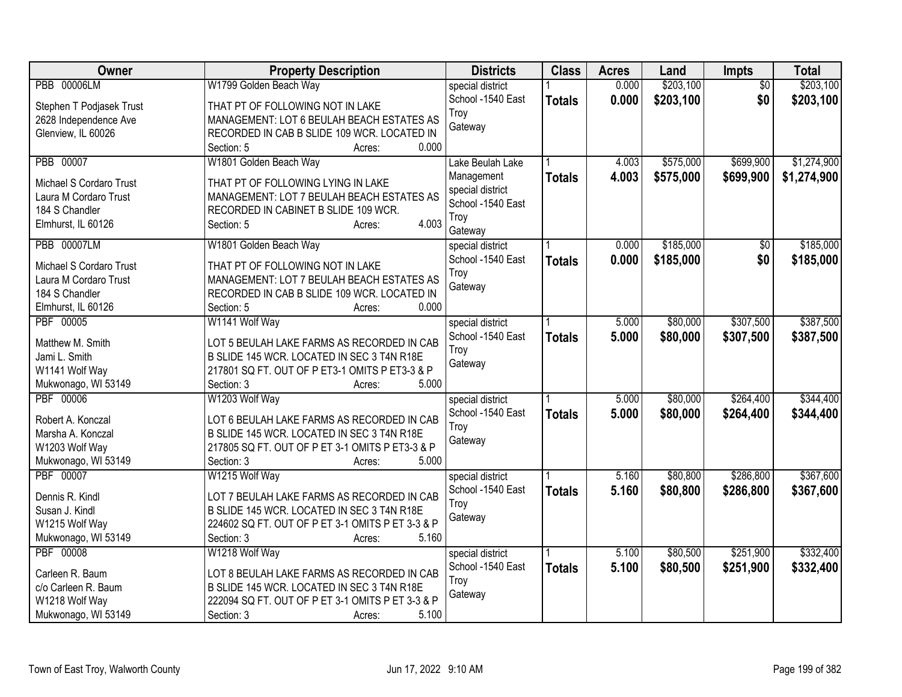| Owner                    | <b>Property Description</b>                      | <b>Districts</b>  | <b>Class</b>  | <b>Acres</b> | Land      | Impts           | <b>Total</b> |
|--------------------------|--------------------------------------------------|-------------------|---------------|--------------|-----------|-----------------|--------------|
| <b>PBB 00006LM</b>       | W1799 Golden Beach Way                           | special district  |               | 0.000        | \$203,100 | $\overline{30}$ | \$203,100    |
| Stephen T Podjasek Trust | THAT PT OF FOLLOWING NOT IN LAKE                 | School -1540 East | <b>Totals</b> | 0.000        | \$203,100 | \$0             | \$203,100    |
| 2628 Independence Ave    | MANAGEMENT: LOT 6 BEULAH BEACH ESTATES AS        | Troy              |               |              |           |                 |              |
| Glenview, IL 60026       | RECORDED IN CAB B SLIDE 109 WCR. LOCATED IN      | Gateway           |               |              |           |                 |              |
|                          | 0.000<br>Section: 5<br>Acres:                    |                   |               |              |           |                 |              |
| PBB 00007                | W1801 Golden Beach Way                           | Lake Beulah Lake  |               | 4.003        | \$575,000 | \$699,900       | \$1,274,900  |
| Michael S Cordaro Trust  | THAT PT OF FOLLOWING LYING IN LAKE               | Management        | <b>Totals</b> | 4.003        | \$575,000 | \$699,900       | \$1,274,900  |
| Laura M Cordaro Trust    | MANAGEMENT: LOT 7 BEULAH BEACH ESTATES AS        | special district  |               |              |           |                 |              |
| 184 S Chandler           | RECORDED IN CABINET B SLIDE 109 WCR.             | School -1540 East |               |              |           |                 |              |
| Elmhurst, IL 60126       | 4.003<br>Section: 5<br>Acres:                    | Troy              |               |              |           |                 |              |
|                          |                                                  | Gateway           |               |              |           |                 |              |
| <b>PBB 00007LM</b>       | W1801 Golden Beach Way                           | special district  |               | 0.000        | \$185,000 | $\overline{50}$ | \$185,000    |
| Michael S Cordaro Trust  | THAT PT OF FOLLOWING NOT IN LAKE                 | School -1540 East | <b>Totals</b> | 0.000        | \$185,000 | \$0             | \$185,000    |
| Laura M Cordaro Trust    | MANAGEMENT: LOT 7 BEULAH BEACH ESTATES AS        | Troy              |               |              |           |                 |              |
| 184 S Chandler           | RECORDED IN CAB B SLIDE 109 WCR. LOCATED IN      | Gateway           |               |              |           |                 |              |
| Elmhurst, IL 60126       | 0.000<br>Section: 5<br>Acres:                    |                   |               |              |           |                 |              |
| PBF 00005                | W1141 Wolf Way                                   | special district  |               | 5.000        | \$80,000  | \$307,500       | \$387,500    |
|                          |                                                  | School -1540 East | <b>Totals</b> | 5.000        | \$80,000  | \$307,500       | \$387,500    |
| Matthew M. Smith         | LOT 5 BEULAH LAKE FARMS AS RECORDED IN CAB       | Troy              |               |              |           |                 |              |
| Jami L. Smith            | B SLIDE 145 WCR. LOCATED IN SEC 3 T4N R18E       | Gateway           |               |              |           |                 |              |
| W1141 Wolf Way           | 217801 SQ FT. OUT OF P ET3-1 OMITS P ET3-3 & P   |                   |               |              |           |                 |              |
| Mukwonago, WI 53149      | 5.000<br>Section: 3<br>Acres:                    |                   |               |              |           |                 |              |
| PBF 00006                | W1203 Wolf Way                                   | special district  |               | 5.000        | \$80,000  | \$264,400       | \$344,400    |
| Robert A. Konczal        | LOT 6 BEULAH LAKE FARMS AS RECORDED IN CAB       | School -1540 East | <b>Totals</b> | 5.000        | \$80,000  | \$264,400       | \$344,400    |
| Marsha A. Konczal        | B SLIDE 145 WCR. LOCATED IN SEC 3 T4N R18E       | Troy              |               |              |           |                 |              |
| W1203 Wolf Way           | 217805 SQ FT. OUT OF P ET 3-1 OMITS P ET3-3 & P  | Gateway           |               |              |           |                 |              |
| Mukwonago, WI 53149      | Section: 3<br>5.000<br>Acres:                    |                   |               |              |           |                 |              |
| PBF 00007                | W1215 Wolf Way                                   | special district  |               | 5.160        | \$80,800  | \$286,800       | \$367,600    |
|                          |                                                  | School -1540 East | <b>Totals</b> | 5.160        | \$80,800  | \$286,800       | \$367,600    |
| Dennis R. Kindl          | LOT 7 BEULAH LAKE FARMS AS RECORDED IN CAB       | Troy              |               |              |           |                 |              |
| Susan J. Kindl           | B SLIDE 145 WCR. LOCATED IN SEC 3 T4N R18E       | Gateway           |               |              |           |                 |              |
| W1215 Wolf Way           | 224602 SQ FT. OUT OF P ET 3-1 OMITS P ET 3-3 & P |                   |               |              |           |                 |              |
| Mukwonago, WI 53149      | Section: 3<br>5.160<br>Acres:                    |                   |               |              |           |                 |              |
| PBF 00008                | W1218 Wolf Way                                   | special district  |               | 5.100        | \$80,500  | \$251,900       | \$332,400    |
| Carleen R. Baum          | LOT 8 BEULAH LAKE FARMS AS RECORDED IN CAB       | School -1540 East | <b>Totals</b> | 5.100        | \$80,500  | \$251,900       | \$332,400    |
| c/o Carleen R. Baum      | B SLIDE 145 WCR. LOCATED IN SEC 3 T4N R18E       | Troy              |               |              |           |                 |              |
| W1218 Wolf Way           | 222094 SQ FT. OUT OF P ET 3-1 OMITS P ET 3-3 & P | Gateway           |               |              |           |                 |              |
| Mukwonago, WI 53149      | 5.100<br>Section: 3<br>Acres:                    |                   |               |              |           |                 |              |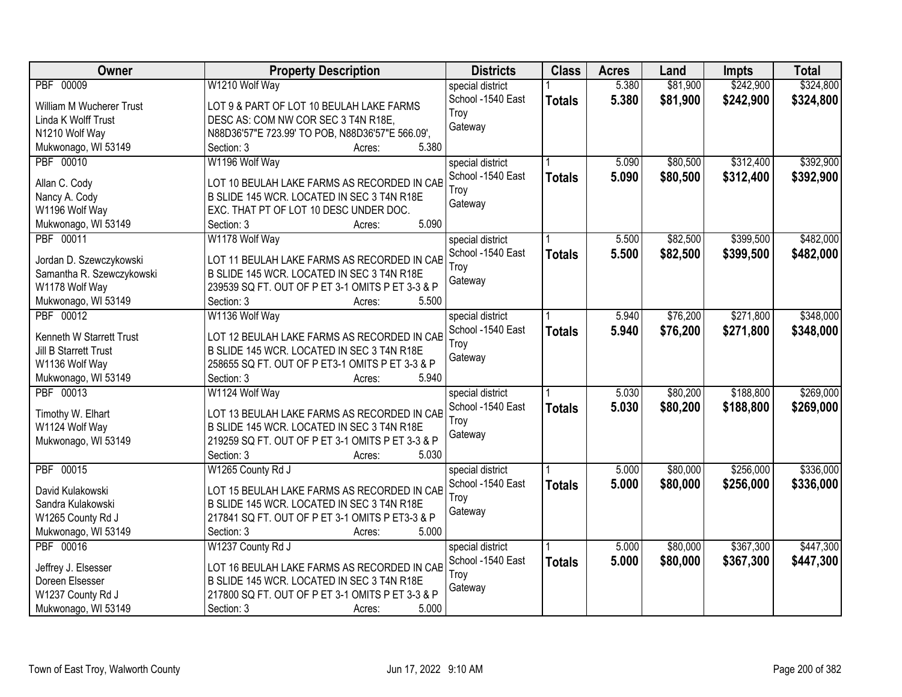| Owner<br><b>Property Description</b>                                    |       | <b>Districts</b>  | <b>Class</b>  | <b>Acres</b> | Land     | <b>Impts</b> | <b>Total</b> |
|-------------------------------------------------------------------------|-------|-------------------|---------------|--------------|----------|--------------|--------------|
| PBF 00009<br>W1210 Wolf Way                                             |       | special district  |               | 5.380        | \$81,900 | \$242,900    | \$324,800    |
| LOT 9 & PART OF LOT 10 BEULAH LAKE FARMS<br>William M Wucherer Trust    |       | School -1540 East | <b>Totals</b> | 5.380        | \$81,900 | \$242,900    | \$324,800    |
| DESC AS: COM NW COR SEC 3 T4N R18E,<br>Linda K Wolff Trust              |       | Troy              |               |              |          |              |              |
| N1210 Wolf Way<br>N88D36'57"E 723.99' TO POB, N88D36'57"E 566.09',      |       | Gateway           |               |              |          |              |              |
| Mukwonago, WI 53149<br>Section: 3<br>Acres:                             | 5.380 |                   |               |              |          |              |              |
| PBF 00010<br>W1196 Wolf Way                                             |       | special district  |               | 5.090        | \$80,500 | \$312,400    | \$392,900    |
|                                                                         |       | School -1540 East | <b>Totals</b> | 5.090        | \$80,500 | \$312,400    | \$392,900    |
| Allan C. Cody<br>LOT 10 BEULAH LAKE FARMS AS RECORDED IN CAB            |       | Troy              |               |              |          |              |              |
| B SLIDE 145 WCR. LOCATED IN SEC 3 T4N R18E<br>Nancy A. Cody             |       | Gateway           |               |              |          |              |              |
| W1196 Wolf Way<br>EXC. THAT PT OF LOT 10 DESC UNDER DOC.                |       |                   |               |              |          |              |              |
| Mukwonago, WI 53149<br>Section: 3<br>Acres:                             | 5.090 |                   |               |              |          |              |              |
| W1178 Wolf Way<br>PBF 00011                                             |       | special district  |               | 5.500        | \$82,500 | \$399,500    | \$482,000    |
| LOT 11 BEULAH LAKE FARMS AS RECORDED IN CAB<br>Jordan D. Szewczykowski  |       | School -1540 East | <b>Totals</b> | 5.500        | \$82,500 | \$399,500    | \$482,000    |
| B SLIDE 145 WCR. LOCATED IN SEC 3 T4N R18E<br>Samantha R. Szewczykowski |       | Troy              |               |              |          |              |              |
| W1178 Wolf Way<br>239539 SQ FT. OUT OF P ET 3-1 OMITS P ET 3-3 & P      |       | Gateway           |               |              |          |              |              |
| Mukwonago, WI 53149<br>Section: 3<br>Acres:                             | 5.500 |                   |               |              |          |              |              |
| PBF 00012<br>W1136 Wolf Way                                             |       | special district  |               | 5.940        | \$76,200 | \$271,800    | \$348,000    |
|                                                                         |       | School -1540 East | <b>Totals</b> | 5.940        | \$76,200 | \$271,800    | \$348,000    |
| Kenneth W Starrett Trust<br>LOT 12 BEULAH LAKE FARMS AS RECORDED IN CAB |       | Troy              |               |              |          |              |              |
| B SLIDE 145 WCR. LOCATED IN SEC 3 T4N R18E<br>Jill B Starrett Trust     |       | Gateway           |               |              |          |              |              |
| W1136 Wolf Way<br>258655 SQ FT. OUT OF P ET3-1 OMITS P ET 3-3 & P       |       |                   |               |              |          |              |              |
| Mukwonago, WI 53149<br>Section: 3<br>Acres:                             | 5.940 |                   |               |              |          |              |              |
| PBF 00013<br>W1124 Wolf Way                                             |       | special district  |               | 5.030        | \$80,200 | \$188,800    | \$269,000    |
| Timothy W. Elhart<br>LOT 13 BEULAH LAKE FARMS AS RECORDED IN CAB        |       | School -1540 East | <b>Totals</b> | 5.030        | \$80,200 | \$188,800    | \$269,000    |
| W1124 Wolf Way<br>B SLIDE 145 WCR. LOCATED IN SEC 3 T4N R18E            |       | Troy              |               |              |          |              |              |
| Mukwonago, WI 53149<br>219259 SQ FT. OUT OF P ET 3-1 OMITS P ET 3-3 & P |       | Gateway           |               |              |          |              |              |
| Section: 3<br>Acres:                                                    | 5.030 |                   |               |              |          |              |              |
| PBF 00015<br>W1265 County Rd J                                          |       | special district  |               | 5.000        | \$80,000 | \$256,000    | \$336,000    |
|                                                                         |       | School -1540 East | <b>Totals</b> | 5.000        | \$80,000 | \$256,000    | \$336,000    |
| LOT 15 BEULAH LAKE FARMS AS RECORDED IN CAB<br>David Kulakowski         |       | Troy              |               |              |          |              |              |
| Sandra Kulakowski<br>B SLIDE 145 WCR. LOCATED IN SEC 3 T4N R18E         |       | Gateway           |               |              |          |              |              |
| 217841 SQ FT. OUT OF P ET 3-1 OMITS P ET3-3 & P<br>W1265 County Rd J    |       |                   |               |              |          |              |              |
| Mukwonago, WI 53149<br>Section: 3<br>Acres:                             | 5.000 |                   |               |              |          |              |              |
| PBF 00016<br>W1237 County Rd J                                          |       | special district  |               | 5.000        | \$80,000 | \$367,300    | \$447,300    |
| Jeffrey J. Elsesser<br>LOT 16 BEULAH LAKE FARMS AS RECORDED IN CAB      |       | School -1540 East | <b>Totals</b> | 5.000        | \$80,000 | \$367,300    | \$447,300    |
| Doreen Elsesser<br>B SLIDE 145 WCR. LOCATED IN SEC 3 T4N R18E           |       | Troy              |               |              |          |              |              |
| W1237 County Rd J<br>217800 SQ FT. OUT OF P ET 3-1 OMITS P ET 3-3 & P   |       | Gateway           |               |              |          |              |              |
| Mukwonago, WI 53149<br>Section: 3<br>Acres:                             | 5.000 |                   |               |              |          |              |              |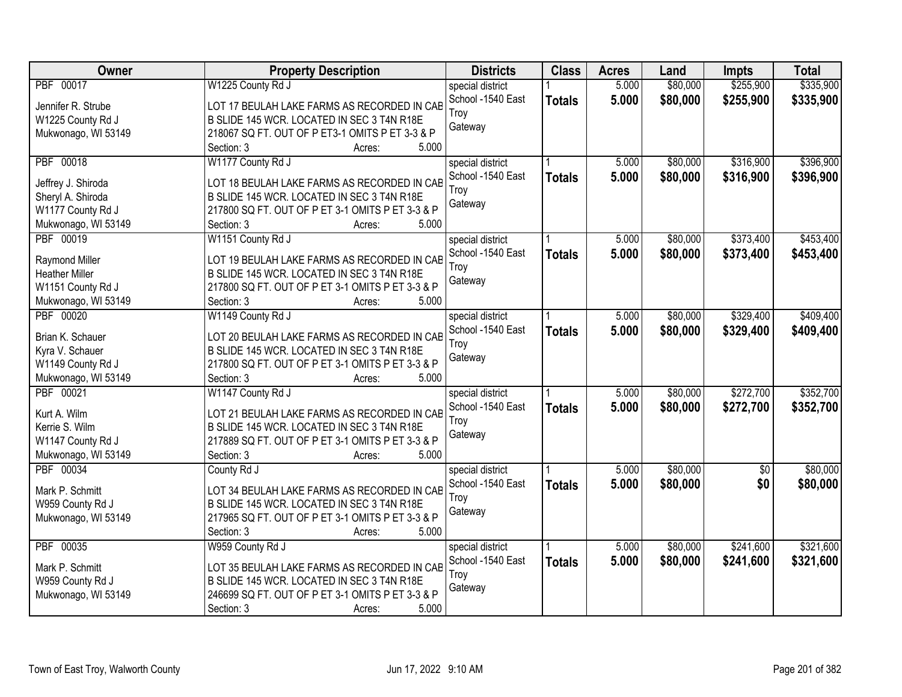| Owner                 | <b>Property Description</b>                      | <b>Districts</b>  | <b>Class</b>  | <b>Acres</b> | Land     | <b>Impts</b>    | <b>Total</b> |
|-----------------------|--------------------------------------------------|-------------------|---------------|--------------|----------|-----------------|--------------|
| PBF 00017             | W1225 County Rd J                                | special district  |               | 5.000        | \$80,000 | \$255,900       | \$335,900    |
| Jennifer R. Strube    | LOT 17 BEULAH LAKE FARMS AS RECORDED IN CAB      | School -1540 East | <b>Totals</b> | 5.000        | \$80,000 | \$255,900       | \$335,900    |
| W1225 County Rd J     | B SLIDE 145 WCR. LOCATED IN SEC 3 T4N R18E       | Troy              |               |              |          |                 |              |
| Mukwonago, WI 53149   | 218067 SQ FT. OUT OF P ET3-1 OMITS P ET 3-3 & P  | Gateway           |               |              |          |                 |              |
|                       | 5.000<br>Section: 3<br>Acres:                    |                   |               |              |          |                 |              |
| PBF 00018             | W1177 County Rd J                                | special district  |               | 5.000        | \$80,000 | \$316,900       | \$396,900    |
| Jeffrey J. Shiroda    | LOT 18 BEULAH LAKE FARMS AS RECORDED IN CAB      | School -1540 East | <b>Totals</b> | 5.000        | \$80,000 | \$316,900       | \$396,900    |
| Sheryl A. Shiroda     | B SLIDE 145 WCR. LOCATED IN SEC 3 T4N R18E       | Troy              |               |              |          |                 |              |
| W1177 County Rd J     | 217800 SQ FT. OUT OF P ET 3-1 OMITS P ET 3-3 & P | Gateway           |               |              |          |                 |              |
| Mukwonago, WI 53149   | 5.000<br>Section: 3<br>Acres:                    |                   |               |              |          |                 |              |
| PBF 00019             | W1151 County Rd J                                | special district  |               | 5.000        | \$80,000 | \$373,400       | \$453,400    |
|                       |                                                  | School -1540 East | <b>Totals</b> | 5.000        | \$80,000 | \$373,400       | \$453,400    |
| Raymond Miller        | LOT 19 BEULAH LAKE FARMS AS RECORDED IN CAB      | Troy              |               |              |          |                 |              |
| <b>Heather Miller</b> | B SLIDE 145 WCR. LOCATED IN SEC 3 T4N R18E       | Gateway           |               |              |          |                 |              |
| W1151 County Rd J     | 217800 SQ FT. OUT OF P ET 3-1 OMITS P ET 3-3 & P |                   |               |              |          |                 |              |
| Mukwonago, WI 53149   | Section: 3<br>5.000<br>Acres:                    |                   |               |              |          |                 |              |
| PBF 00020             | W1149 County Rd J                                | special district  |               | 5.000        | \$80,000 | \$329,400       | \$409,400    |
| Brian K. Schauer      | LOT 20 BEULAH LAKE FARMS AS RECORDED IN CAB      | School -1540 East | <b>Totals</b> | 5.000        | \$80,000 | \$329,400       | \$409,400    |
| Kyra V. Schauer       | B SLIDE 145 WCR. LOCATED IN SEC 3 T4N R18E       | Troy              |               |              |          |                 |              |
| W1149 County Rd J     | 217800 SQ FT. OUT OF P ET 3-1 OMITS P ET 3-3 & P | Gateway           |               |              |          |                 |              |
| Mukwonago, WI 53149   | Section: 3<br>5.000<br>Acres:                    |                   |               |              |          |                 |              |
| PBF 00021             | W1147 County Rd J                                | special district  |               | 5.000        | \$80,000 | \$272,700       | \$352,700    |
|                       |                                                  | School -1540 East | <b>Totals</b> | 5.000        | \$80,000 | \$272,700       | \$352,700    |
| Kurt A. Wilm          | LOT 21 BEULAH LAKE FARMS AS RECORDED IN CAB      | Troy              |               |              |          |                 |              |
| Kerrie S. Wilm        | B SLIDE 145 WCR. LOCATED IN SEC 3 T4N R18E       | Gateway           |               |              |          |                 |              |
| W1147 County Rd J     | 217889 SQ FT. OUT OF P ET 3-1 OMITS P ET 3-3 & P |                   |               |              |          |                 |              |
| Mukwonago, WI 53149   | Section: 3<br>5.000<br>Acres:                    |                   |               |              |          |                 |              |
| PBF 00034             | County Rd J                                      | special district  |               | 5.000        | \$80,000 | $\overline{50}$ | \$80,000     |
| Mark P. Schmitt       | LOT 34 BEULAH LAKE FARMS AS RECORDED IN CAB      | School -1540 East | <b>Totals</b> | 5.000        | \$80,000 | \$0             | \$80,000     |
| W959 County Rd J      | B SLIDE 145 WCR. LOCATED IN SEC 3 T4N R18E       | Troy              |               |              |          |                 |              |
| Mukwonago, WI 53149   | 217965 SQ FT. OUT OF P ET 3-1 OMITS P ET 3-3 & P | Gateway           |               |              |          |                 |              |
|                       | 5.000<br>Section: 3<br>Acres:                    |                   |               |              |          |                 |              |
| PBF 00035             | W959 County Rd J                                 | special district  |               | 5.000        | \$80,000 | \$241,600       | \$321,600    |
|                       |                                                  | School -1540 East | <b>Totals</b> | 5.000        | \$80,000 | \$241,600       | \$321,600    |
| Mark P. Schmitt       | LOT 35 BEULAH LAKE FARMS AS RECORDED IN CAB      | Troy              |               |              |          |                 |              |
| W959 County Rd J      | B SLIDE 145 WCR. LOCATED IN SEC 3 T4N R18E       | Gateway           |               |              |          |                 |              |
| Mukwonago, WI 53149   | 246699 SQ FT. OUT OF P ET 3-1 OMITS P ET 3-3 & P |                   |               |              |          |                 |              |
|                       | 5.000<br>Section: 3<br>Acres:                    |                   |               |              |          |                 |              |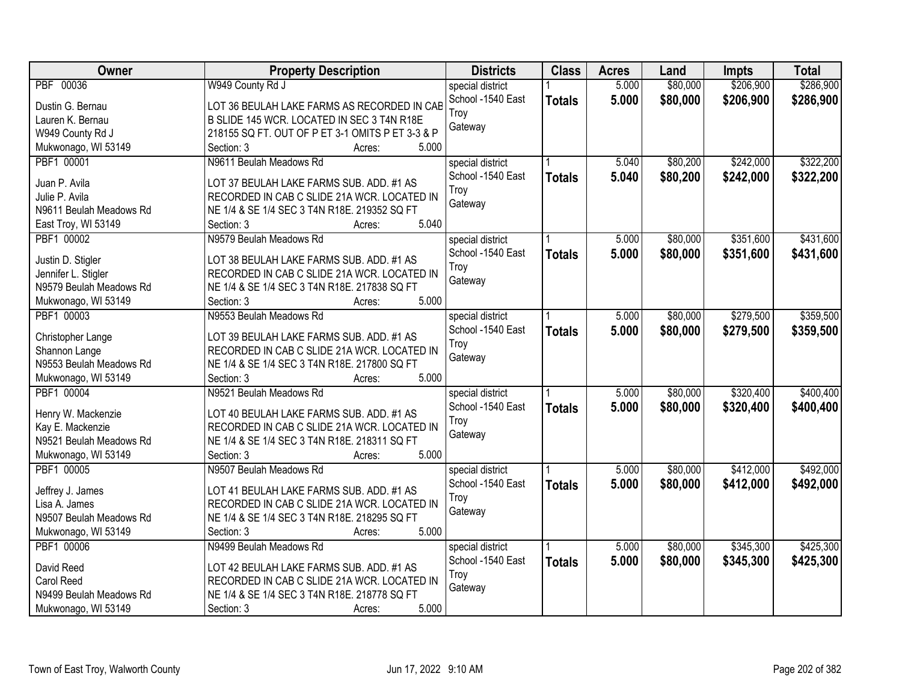| Owner                              | <b>Property Description</b>                      | <b>Districts</b>          | <b>Class</b>  | <b>Acres</b> | Land     | <b>Impts</b> | <b>Total</b> |
|------------------------------------|--------------------------------------------------|---------------------------|---------------|--------------|----------|--------------|--------------|
| PBF 00036                          | W949 County Rd J                                 | special district          |               | 5.000        | \$80,000 | \$206,900    | \$286,900    |
| Dustin G. Bernau                   | LOT 36 BEULAH LAKE FARMS AS RECORDED IN CAB      | School -1540 East<br>Troy | <b>Totals</b> | 5.000        | \$80,000 | \$206,900    | \$286,900    |
| Lauren K. Bernau                   | B SLIDE 145 WCR. LOCATED IN SEC 3 T4N R18E       |                           |               |              |          |              |              |
| W949 County Rd J                   | 218155 SQ FT. OUT OF P ET 3-1 OMITS P ET 3-3 & P | Gateway                   |               |              |          |              |              |
| Mukwonago, WI 53149                | 5.000<br>Section: 3<br>Acres:                    |                           |               |              |          |              |              |
| PBF1 00001                         | N9611 Beulah Meadows Rd                          | special district          |               | 5.040        | \$80,200 | \$242,000    | \$322,200    |
| Juan P. Avila                      | LOT 37 BEULAH LAKE FARMS SUB. ADD. #1 AS         | School -1540 East         | <b>Totals</b> | 5.040        | \$80,200 | \$242,000    | \$322,200    |
| Julie P. Avila                     | RECORDED IN CAB C SLIDE 21A WCR. LOCATED IN      | Troy                      |               |              |          |              |              |
| N9611 Beulah Meadows Rd            | NE 1/4 & SE 1/4 SEC 3 T4N R18E. 219352 SQ FT     | Gateway                   |               |              |          |              |              |
| East Troy, WI 53149                | 5.040<br>Section: 3<br>Acres:                    |                           |               |              |          |              |              |
| PBF1 00002                         | N9579 Beulah Meadows Rd                          | special district          |               | 5.000        | \$80,000 | \$351,600    | \$431,600    |
|                                    |                                                  | School -1540 East         |               |              |          |              |              |
| Justin D. Stigler                  | LOT 38 BEULAH LAKE FARMS SUB. ADD. #1 AS         | Troy                      | <b>Totals</b> | 5.000        | \$80,000 | \$351,600    | \$431,600    |
| Jennifer L. Stigler                | RECORDED IN CAB C SLIDE 21A WCR. LOCATED IN      | Gateway                   |               |              |          |              |              |
| N9579 Beulah Meadows Rd            | NE 1/4 & SE 1/4 SEC 3 T4N R18E. 217838 SQ FT     |                           |               |              |          |              |              |
| Mukwonago, WI 53149                | 5.000<br>Section: 3<br>Acres:                    |                           |               |              |          |              |              |
| PBF1 00003                         | N9553 Beulah Meadows Rd                          | special district          |               | 5.000        | \$80,000 | \$279,500    | \$359,500    |
|                                    | LOT 39 BEULAH LAKE FARMS SUB. ADD. #1 AS         | School -1540 East         | <b>Totals</b> | 5.000        | \$80,000 | \$279,500    | \$359,500    |
| Christopher Lange<br>Shannon Lange | RECORDED IN CAB C SLIDE 21A WCR. LOCATED IN      | Troy                      |               |              |          |              |              |
| N9553 Beulah Meadows Rd            | NE 1/4 & SE 1/4 SEC 3 T4N R18E. 217800 SQ FT     | Gateway                   |               |              |          |              |              |
| Mukwonago, WI 53149                | 5.000<br>Section: 3<br>Acres:                    |                           |               |              |          |              |              |
| PBF1 00004                         | N9521 Beulah Meadows Rd                          | special district          |               | 5.000        | \$80,000 | \$320,400    | \$400,400    |
|                                    |                                                  | School -1540 East         | <b>Totals</b> | 5.000        | \$80,000 | \$320,400    | \$400,400    |
| Henry W. Mackenzie                 | LOT 40 BEULAH LAKE FARMS SUB. ADD. #1 AS         | Troy                      |               |              |          |              |              |
| Kay E. Mackenzie                   | RECORDED IN CAB C SLIDE 21A WCR. LOCATED IN      | Gateway                   |               |              |          |              |              |
| N9521 Beulah Meadows Rd            | NE 1/4 & SE 1/4 SEC 3 T4N R18E. 218311 SQ FT     |                           |               |              |          |              |              |
| Mukwonago, WI 53149                | 5.000<br>Section: 3<br>Acres:                    |                           |               |              |          |              |              |
| PBF1 00005                         | N9507 Beulah Meadows Rd                          | special district          |               | 5.000        | \$80,000 | \$412,000    | \$492,000    |
| Jeffrey J. James                   | LOT 41 BEULAH LAKE FARMS SUB. ADD. #1 AS         | School -1540 East         | <b>Totals</b> | 5.000        | \$80,000 | \$412,000    | \$492,000    |
| Lisa A. James                      | RECORDED IN CAB C SLIDE 21A WCR. LOCATED IN      | Troy                      |               |              |          |              |              |
| N9507 Beulah Meadows Rd            | NE 1/4 & SE 1/4 SEC 3 T4N R18E. 218295 SQ FT     | Gateway                   |               |              |          |              |              |
| Mukwonago, WI 53149                | 5.000<br>Section: 3<br>Acres:                    |                           |               |              |          |              |              |
| PBF1 00006                         | N9499 Beulah Meadows Rd                          | special district          |               | 5.000        | \$80,000 | \$345,300    | \$425,300    |
|                                    |                                                  | School -1540 East         | <b>Totals</b> | 5.000        | \$80,000 | \$345,300    | \$425,300    |
| David Reed                         | LOT 42 BEULAH LAKE FARMS SUB. ADD. #1 AS         | Troy                      |               |              |          |              |              |
| Carol Reed                         | RECORDED IN CAB C SLIDE 21A WCR. LOCATED IN      | Gateway                   |               |              |          |              |              |
| N9499 Beulah Meadows Rd            | NE 1/4 & SE 1/4 SEC 3 T4N R18E. 218778 SQ FT     |                           |               |              |          |              |              |
| Mukwonago, WI 53149                | 5.000<br>Section: 3<br>Acres:                    |                           |               |              |          |              |              |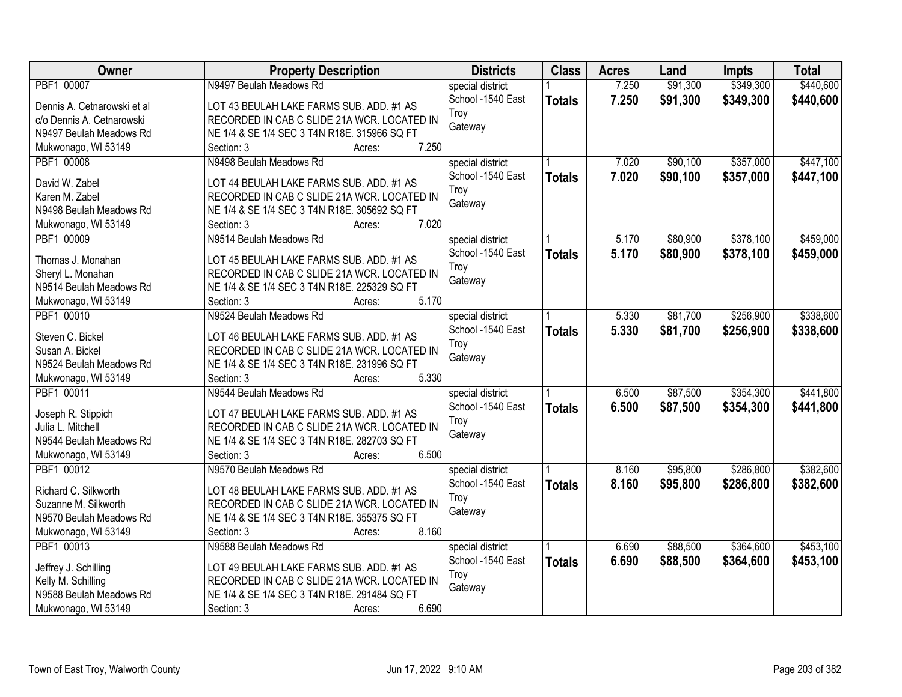| Owner                       | <b>Property Description</b>                  | <b>Districts</b>  | <b>Class</b>  | <b>Acres</b> | Land     | <b>Impts</b> | <b>Total</b> |
|-----------------------------|----------------------------------------------|-------------------|---------------|--------------|----------|--------------|--------------|
| PBF1 00007                  | N9497 Beulah Meadows Rd                      | special district  |               | 7.250        | \$91,300 | \$349,300    | \$440,600    |
| Dennis A. Cetnarowski et al | LOT 43 BEULAH LAKE FARMS SUB. ADD. #1 AS     | School -1540 East | <b>Totals</b> | 7.250        | \$91,300 | \$349,300    | \$440,600    |
| c/o Dennis A. Cetnarowski   | RECORDED IN CAB C SLIDE 21A WCR. LOCATED IN  | Troy              |               |              |          |              |              |
| N9497 Beulah Meadows Rd     | NE 1/4 & SE 1/4 SEC 3 T4N R18E. 315966 SQ FT | Gateway           |               |              |          |              |              |
| Mukwonago, WI 53149         | 7.250<br>Section: 3<br>Acres:                |                   |               |              |          |              |              |
| PBF1 00008                  | N9498 Beulah Meadows Rd                      | special district  |               | 7.020        | \$90,100 | \$357,000    | \$447,100    |
|                             |                                              | School -1540 East | <b>Totals</b> | 7.020        | \$90,100 | \$357,000    | \$447,100    |
| David W. Zabel              | LOT 44 BEULAH LAKE FARMS SUB. ADD. #1 AS     | Troy              |               |              |          |              |              |
| Karen M. Zabel              | RECORDED IN CAB C SLIDE 21A WCR. LOCATED IN  | Gateway           |               |              |          |              |              |
| N9498 Beulah Meadows Rd     | NE 1/4 & SE 1/4 SEC 3 T4N R18E. 305692 SQ FT |                   |               |              |          |              |              |
| Mukwonago, WI 53149         | 7.020<br>Section: 3<br>Acres:                |                   |               |              |          |              |              |
| PBF1 00009                  | N9514 Beulah Meadows Rd                      | special district  |               | 5.170        | \$80,900 | \$378,100    | \$459,000    |
| Thomas J. Monahan           | LOT 45 BEULAH LAKE FARMS SUB. ADD. #1 AS     | School -1540 East | <b>Totals</b> | 5.170        | \$80,900 | \$378,100    | \$459,000    |
| Sheryl L. Monahan           | RECORDED IN CAB C SLIDE 21A WCR. LOCATED IN  | Troy              |               |              |          |              |              |
| N9514 Beulah Meadows Rd     | NE 1/4 & SE 1/4 SEC 3 T4N R18E. 225329 SQ FT | Gateway           |               |              |          |              |              |
| Mukwonago, WI 53149         | 5.170<br>Section: 3<br>Acres:                |                   |               |              |          |              |              |
| PBF1 00010                  | N9524 Beulah Meadows Rd                      | special district  |               | 5.330        | \$81,700 | \$256,900    | \$338,600    |
|                             |                                              | School -1540 East | <b>Totals</b> | 5.330        | \$81,700 | \$256,900    | \$338,600    |
| Steven C. Bickel            | LOT 46 BEULAH LAKE FARMS SUB. ADD. #1 AS     | Troy              |               |              |          |              |              |
| Susan A. Bickel             | RECORDED IN CAB C SLIDE 21A WCR. LOCATED IN  | Gateway           |               |              |          |              |              |
| N9524 Beulah Meadows Rd     | NE 1/4 & SE 1/4 SEC 3 T4N R18E. 231996 SQ FT |                   |               |              |          |              |              |
| Mukwonago, WI 53149         | 5.330<br>Section: 3<br>Acres:                |                   |               |              |          |              |              |
| PBF1 00011                  | N9544 Beulah Meadows Rd                      | special district  |               | 6.500        | \$87,500 | \$354,300    | \$441,800    |
| Joseph R. Stippich          | LOT 47 BEULAH LAKE FARMS SUB. ADD. #1 AS     | School -1540 East | <b>Totals</b> | 6.500        | \$87,500 | \$354,300    | \$441,800    |
| Julia L. Mitchell           | RECORDED IN CAB C SLIDE 21A WCR. LOCATED IN  | Troy              |               |              |          |              |              |
| N9544 Beulah Meadows Rd     | NE 1/4 & SE 1/4 SEC 3 T4N R18E. 282703 SQ FT | Gateway           |               |              |          |              |              |
| Mukwonago, WI 53149         | 6.500<br>Section: 3<br>Acres:                |                   |               |              |          |              |              |
| PBF1 00012                  | N9570 Beulah Meadows Rd                      | special district  |               | 8.160        | \$95,800 | \$286,800    | \$382,600    |
|                             |                                              | School -1540 East |               | 8.160        |          |              |              |
| Richard C. Silkworth        | LOT 48 BEULAH LAKE FARMS SUB. ADD. #1 AS     | Troy              | <b>Totals</b> |              | \$95,800 | \$286,800    | \$382,600    |
| Suzanne M. Silkworth        | RECORDED IN CAB C SLIDE 21A WCR. LOCATED IN  |                   |               |              |          |              |              |
| N9570 Beulah Meadows Rd     | NE 1/4 & SE 1/4 SEC 3 T4N R18E. 355375 SQ FT | Gateway           |               |              |          |              |              |
| Mukwonago, WI 53149         | 8.160<br>Section: 3<br>Acres:                |                   |               |              |          |              |              |
| PBF1 00013                  | N9588 Beulah Meadows Rd                      | special district  |               | 6.690        | \$88,500 | \$364,600    | \$453,100    |
| Jeffrey J. Schilling        | LOT 49 BEULAH LAKE FARMS SUB. ADD. #1 AS     | School -1540 East | <b>Totals</b> | 6.690        | \$88,500 | \$364,600    | \$453,100    |
| Kelly M. Schilling          | RECORDED IN CAB C SLIDE 21A WCR. LOCATED IN  | Troy              |               |              |          |              |              |
| N9588 Beulah Meadows Rd     | NE 1/4 & SE 1/4 SEC 3 T4N R18E. 291484 SQ FT | Gateway           |               |              |          |              |              |
| Mukwonago, WI 53149         | 6.690<br>Section: 3<br>Acres:                |                   |               |              |          |              |              |
|                             |                                              |                   |               |              |          |              |              |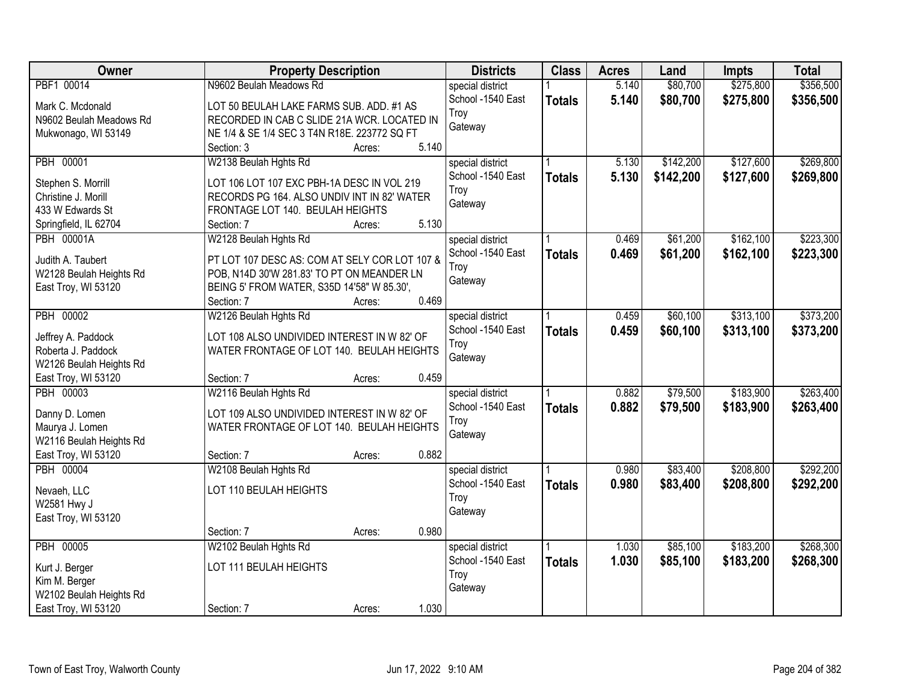| Owner                   | <b>Property Description</b>                   |        |       | <b>Districts</b>  | <b>Class</b>  | <b>Acres</b> | Land      | <b>Impts</b> | <b>Total</b> |
|-------------------------|-----------------------------------------------|--------|-------|-------------------|---------------|--------------|-----------|--------------|--------------|
| PBF1 00014              | N9602 Beulah Meadows Rd                       |        |       | special district  |               | 5.140        | \$80,700  | \$275,800    | \$356,500    |
| Mark C. Mcdonald        | LOT 50 BEULAH LAKE FARMS SUB. ADD. #1 AS      |        |       | School -1540 East | <b>Totals</b> | 5.140        | \$80,700  | \$275,800    | \$356,500    |
| N9602 Beulah Meadows Rd | RECORDED IN CAB C SLIDE 21A WCR. LOCATED IN   |        |       | Troy              |               |              |           |              |              |
| Mukwonago, WI 53149     | NE 1/4 & SE 1/4 SEC 3 T4N R18E. 223772 SQ FT  |        |       | Gateway           |               |              |           |              |              |
|                         | Section: 3                                    | Acres: | 5.140 |                   |               |              |           |              |              |
| <b>PBH 00001</b>        | W2138 Beulah Hghts Rd                         |        |       | special district  |               | 5.130        | \$142,200 | \$127,600    | \$269,800    |
|                         |                                               |        |       | School -1540 East | <b>Totals</b> | 5.130        | \$142,200 | \$127,600    | \$269,800    |
| Stephen S. Morrill      | LOT 106 LOT 107 EXC PBH-1A DESC IN VOL 219    |        |       | Troy              |               |              |           |              |              |
| Christine J. Morill     | RECORDS PG 164. ALSO UNDIV INT IN 82' WATER   |        |       | Gateway           |               |              |           |              |              |
| 433 W Edwards St        | FRONTAGE LOT 140. BEULAH HEIGHTS              |        |       |                   |               |              |           |              |              |
| Springfield, IL 62704   | Section: 7                                    | Acres: | 5.130 |                   |               |              |           |              |              |
| <b>PBH 00001A</b>       | W2128 Beulah Hghts Rd                         |        |       | special district  |               | 0.469        | \$61,200  | \$162,100    | \$223,300    |
| Judith A. Taubert       | PT LOT 107 DESC AS: COM AT SELY COR LOT 107 & |        |       | School -1540 East | <b>Totals</b> | 0.469        | \$61,200  | \$162,100    | \$223,300    |
| W2128 Beulah Heights Rd | POB, N14D 30'W 281.83' TO PT ON MEANDER LN    |        |       | Troy              |               |              |           |              |              |
| East Troy, WI 53120     | BEING 5' FROM WATER, S35D 14'58" W 85.30',    |        |       | Gateway           |               |              |           |              |              |
|                         | Section: 7                                    | Acres: | 0.469 |                   |               |              |           |              |              |
| <b>PBH 00002</b>        | W2126 Beulah Hghts Rd                         |        |       | special district  |               | 0.459        | \$60,100  | \$313,100    | \$373,200    |
|                         |                                               |        |       | School -1540 East | <b>Totals</b> | 0.459        | \$60,100  | \$313,100    | \$373,200    |
| Jeffrey A. Paddock      | LOT 108 ALSO UNDIVIDED INTEREST IN W 82' OF   |        |       | Troy              |               |              |           |              |              |
| Roberta J. Paddock      | WATER FRONTAGE OF LOT 140. BEULAH HEIGHTS     |        |       | Gateway           |               |              |           |              |              |
| W2126 Beulah Heights Rd |                                               |        |       |                   |               |              |           |              |              |
| East Troy, WI 53120     | Section: 7                                    | Acres: | 0.459 |                   |               |              |           |              |              |
| <b>PBH 00003</b>        | W2116 Beulah Hghts Rd                         |        |       | special district  |               | 0.882        | \$79,500  | \$183,900    | \$263,400    |
| Danny D. Lomen          | LOT 109 ALSO UNDIVIDED INTEREST IN W 82' OF   |        |       | School -1540 East | <b>Totals</b> | 0.882        | \$79,500  | \$183,900    | \$263,400    |
| Maurya J. Lomen         | WATER FRONTAGE OF LOT 140. BEULAH HEIGHTS     |        |       | Troy              |               |              |           |              |              |
| W2116 Beulah Heights Rd |                                               |        |       | Gateway           |               |              |           |              |              |
| East Troy, WI 53120     | Section: 7                                    | Acres: | 0.882 |                   |               |              |           |              |              |
| <b>PBH 00004</b>        | W2108 Beulah Hghts Rd                         |        |       | special district  |               | 0.980        | \$83,400  | \$208,800    | \$292,200    |
|                         |                                               |        |       | School -1540 East | <b>Totals</b> | 0.980        | \$83,400  | \$208,800    | \$292,200    |
| Nevaeh, LLC             | LOT 110 BEULAH HEIGHTS                        |        |       | Troy              |               |              |           |              |              |
| W2581 Hwy J             |                                               |        |       | Gateway           |               |              |           |              |              |
| East Troy, WI 53120     |                                               |        |       |                   |               |              |           |              |              |
|                         | Section: 7                                    | Acres: | 0.980 |                   |               |              |           |              |              |
| <b>PBH 00005</b>        | W2102 Beulah Hghts Rd                         |        |       | special district  |               | 1.030        | \$85,100  | \$183,200    | \$268,300    |
| Kurt J. Berger          | LOT 111 BEULAH HEIGHTS                        |        |       | School -1540 East | <b>Totals</b> | 1.030        | \$85,100  | \$183,200    | \$268,300    |
| Kim M. Berger           |                                               |        |       | Troy              |               |              |           |              |              |
| W2102 Beulah Heights Rd |                                               |        |       | Gateway           |               |              |           |              |              |
| East Troy, WI 53120     | Section: 7                                    | Acres: | 1.030 |                   |               |              |           |              |              |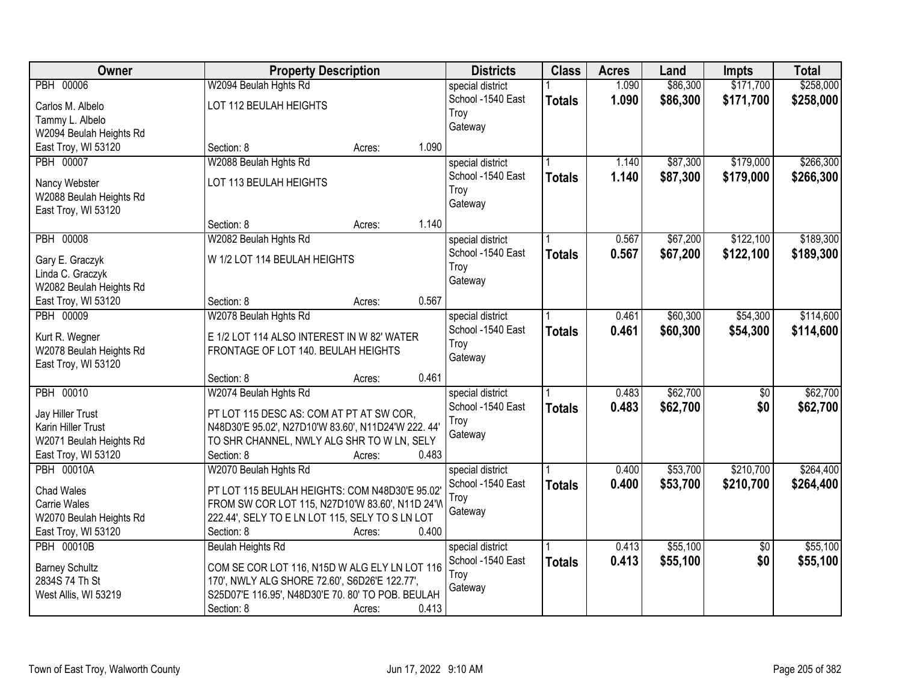| Owner                   | <b>Property Description</b>                        |        |       | <b>Districts</b>                      | <b>Class</b>  | <b>Acres</b> | Land     | <b>Impts</b>    | <b>Total</b> |
|-------------------------|----------------------------------------------------|--------|-------|---------------------------------------|---------------|--------------|----------|-----------------|--------------|
| <b>PBH 00006</b>        | W2094 Beulah Hghts Rd                              |        |       | special district                      |               | 1.090        | \$86,300 | \$171,700       | \$258,000    |
| Carlos M. Albelo        | LOT 112 BEULAH HEIGHTS                             |        |       | School -1540 East                     | <b>Totals</b> | 1.090        | \$86,300 | \$171,700       | \$258,000    |
| Tammy L. Albelo         |                                                    |        | Troy  |                                       |               |              |          |                 |              |
| W2094 Beulah Heights Rd |                                                    |        |       | Gateway                               |               |              |          |                 |              |
| East Troy, WI 53120     | Section: 8                                         | Acres: | 1.090 |                                       |               |              |          |                 |              |
| <b>PBH 00007</b>        | W2088 Beulah Hghts Rd                              |        |       | special district                      |               | 1.140        | \$87,300 | \$179,000       | \$266,300    |
|                         |                                                    |        |       | School -1540 East                     | <b>Totals</b> | 1.140        | \$87,300 | \$179,000       | \$266,300    |
| Nancy Webster           | LOT 113 BEULAH HEIGHTS                             |        | Troy  |                                       |               |              |          |                 |              |
| W2088 Beulah Heights Rd |                                                    |        |       | Gateway                               |               |              |          |                 |              |
| East Troy, WI 53120     |                                                    |        | 1.140 |                                       |               |              |          |                 |              |
|                         | Section: 8                                         | Acres: |       |                                       |               |              |          |                 |              |
| <b>PBH 00008</b>        | W2082 Beulah Hghts Rd                              |        |       | special district                      |               | 0.567        | \$67,200 | \$122,100       | \$189,300    |
| Gary E. Graczyk         | W 1/2 LOT 114 BEULAH HEIGHTS                       |        |       | School -1540 East                     | <b>Totals</b> | 0.567        | \$67,200 | \$122,100       | \$189,300    |
| Linda C. Graczyk        |                                                    |        | Troy  |                                       |               |              |          |                 |              |
| W2082 Beulah Heights Rd |                                                    |        |       | Gateway                               |               |              |          |                 |              |
| East Troy, WI 53120     | Section: 8                                         | Acres: | 0.567 |                                       |               |              |          |                 |              |
| <b>PBH 00009</b>        | W2078 Beulah Hghts Rd                              |        |       | special district                      |               | 0.461        | \$60,300 | \$54,300        | \$114,600    |
|                         |                                                    |        |       | School -1540 East                     | <b>Totals</b> | 0.461        | \$60,300 | \$54,300        | \$114,600    |
| Kurt R. Wegner          | E 1/2 LOT 114 ALSO INTEREST IN W 82' WATER         |        | Troy  |                                       |               |              |          |                 |              |
| W2078 Beulah Heights Rd | FRONTAGE OF LOT 140. BEULAH HEIGHTS                |        |       | Gateway                               |               |              |          |                 |              |
| East Troy, WI 53120     | Section: 8                                         |        | 0.461 |                                       |               |              |          |                 |              |
| <b>PBH 00010</b>        | W2074 Beulah Hghts Rd                              | Acres: |       |                                       |               | 0.483        | \$62,700 | $\overline{50}$ | \$62,700     |
|                         |                                                    |        |       | special district<br>School -1540 East |               |              |          |                 |              |
| Jay Hiller Trust        | PT LOT 115 DESC AS: COM AT PT AT SW COR,           |        |       |                                       | <b>Totals</b> | 0.483        | \$62,700 | \$0             | \$62,700     |
| Karin Hiller Trust      | N48D30'E 95.02', N27D10'W 83.60', N11D24'W 222.44' |        | Troy  | Gateway                               |               |              |          |                 |              |
| W2071 Beulah Heights Rd | TO SHR CHANNEL, NWLY ALG SHR TO W LN, SELY         |        |       |                                       |               |              |          |                 |              |
| East Troy, WI 53120     | Section: 8                                         | Acres: | 0.483 |                                       |               |              |          |                 |              |
| <b>PBH 00010A</b>       | W2070 Beulah Hghts Rd                              |        |       | special district                      |               | 0.400        | \$53,700 | \$210,700       | \$264,400    |
| <b>Chad Wales</b>       | PT LOT 115 BEULAH HEIGHTS: COM N48D30'E 95.02'     |        |       | School -1540 East                     | <b>Totals</b> | 0.400        | \$53,700 | \$210,700       | \$264,400    |
| Carrie Wales            | FROM SW COR LOT 115, N27D10'W 83.60', N11D 24'W    |        | Troy  |                                       |               |              |          |                 |              |
| W2070 Beulah Heights Rd | 222.44', SELY TO E LN LOT 115, SELY TO S LN LOT    |        |       | Gateway                               |               |              |          |                 |              |
| East Troy, WI 53120     | Section: 8                                         | Acres: | 0.400 |                                       |               |              |          |                 |              |
| <b>PBH 00010B</b>       | <b>Beulah Heights Rd</b>                           |        |       | special district                      |               | 0.413        | \$55,100 | $\sqrt{$0}$     | \$55,100     |
|                         |                                                    |        |       | School -1540 East                     | <b>Totals</b> | 0.413        | \$55,100 | \$0             | \$55,100     |
| <b>Barney Schultz</b>   | COM SE COR LOT 116, N15D W ALG ELY LN LOT 116      |        | Troy  |                                       |               |              |          |                 |              |
| 2834S 74 Th St          | 170', NWLY ALG SHORE 72.60', S6D26'E 122.77',      |        |       | Gateway                               |               |              |          |                 |              |
| West Allis, WI 53219    | S25D07'E 116.95', N48D30'E 70. 80' TO POB. BEULAH  |        |       |                                       |               |              |          |                 |              |
|                         | Section: 8                                         | Acres: | 0.413 |                                       |               |              |          |                 |              |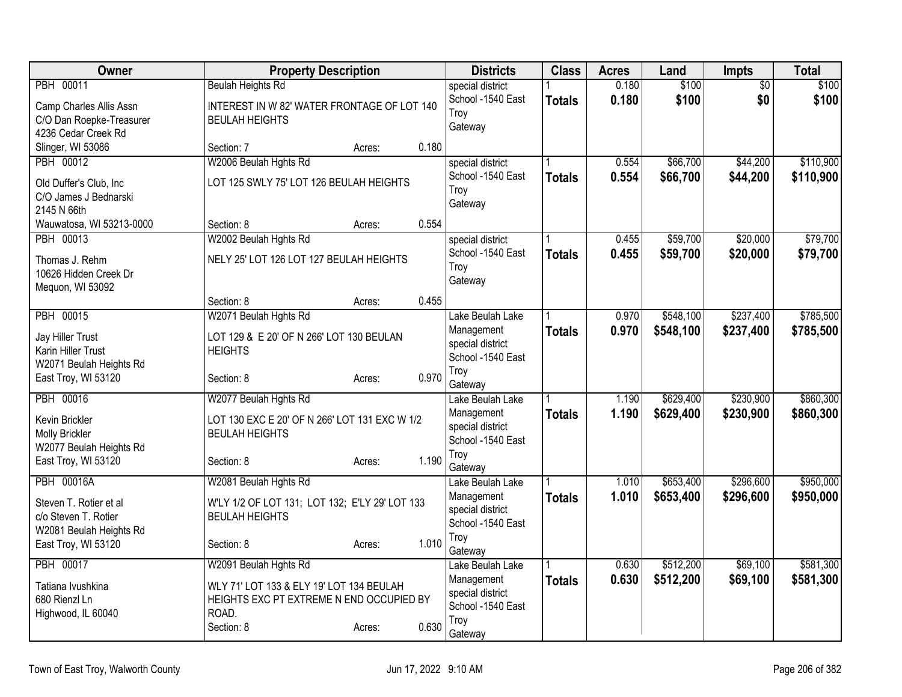| Owner                                          | <b>Property Description</b>                                             |        |       | <b>Districts</b>                      | <b>Class</b>  | <b>Acres</b>   | Land      | <b>Impts</b>    | Total     |
|------------------------------------------------|-------------------------------------------------------------------------|--------|-------|---------------------------------------|---------------|----------------|-----------|-----------------|-----------|
| PBH 00011                                      | <b>Beulah Heights Rd</b>                                                |        |       | special district                      |               | 0.180          | \$100     | $\overline{50}$ | \$100     |
| Camp Charles Allis Assn                        | INTEREST IN W 82' WATER FRONTAGE OF LOT 140                             |        |       | School -1540 East<br>Troy             | <b>Totals</b> | 0.180          | \$100     | \$0             | \$100     |
| C/O Dan Roepke-Treasurer                       | <b>BEULAH HEIGHTS</b>                                                   |        |       | Gateway                               |               |                |           |                 |           |
| 4236 Cedar Creek Rd                            |                                                                         |        |       |                                       |               |                |           |                 |           |
| Slinger, WI 53086<br>PBH 00012                 | Section: 7<br>W2006 Beulah Hghts Rd                                     | Acres: | 0.180 |                                       |               |                | \$66,700  | \$44,200        | \$110,900 |
|                                                |                                                                         |        |       | special district<br>School -1540 East |               | 0.554<br>0.554 | \$66,700  | \$44,200        | \$110,900 |
| Old Duffer's Club, Inc                         | LOT 125 SWLY 75' LOT 126 BEULAH HEIGHTS                                 |        |       | Troy                                  | <b>Totals</b> |                |           |                 |           |
| C/O James J Bednarski                          |                                                                         |        |       | Gateway                               |               |                |           |                 |           |
| 2145 N 66th<br>Wauwatosa, WI 53213-0000        | Section: 8                                                              | Acres: | 0.554 |                                       |               |                |           |                 |           |
| PBH 00013                                      | W2002 Beulah Hghts Rd                                                   |        |       | special district                      |               | 0.455          | \$59,700  | \$20,000        | \$79,700  |
|                                                |                                                                         |        |       | School -1540 East                     | <b>Totals</b> | 0.455          | \$59,700  | \$20,000        | \$79,700  |
| Thomas J. Rehm<br>10626 Hidden Creek Dr        | NELY 25' LOT 126 LOT 127 BEULAH HEIGHTS                                 |        |       | Troy                                  |               |                |           |                 |           |
| Mequon, WI 53092                               |                                                                         |        |       | Gateway                               |               |                |           |                 |           |
|                                                | Section: 8                                                              | Acres: | 0.455 |                                       |               |                |           |                 |           |
| <b>PBH 00015</b>                               | W2071 Beulah Hghts Rd                                                   |        |       | Lake Beulah Lake                      |               | 0.970          | \$548,100 | \$237,400       | \$785,500 |
| Jay Hiller Trust                               | LOT 129 & E 20' OF N 266' LOT 130 BEULAN                                |        |       | Management                            | <b>Totals</b> | 0.970          | \$548,100 | \$237,400       | \$785,500 |
| Karin Hiller Trust                             | <b>HEIGHTS</b>                                                          |        |       | special district                      |               |                |           |                 |           |
| W2071 Beulah Heights Rd                        |                                                                         |        |       | School -1540 East                     |               |                |           |                 |           |
| East Troy, WI 53120                            | Section: 8                                                              | Acres: | 0.970 | Troy<br>Gateway                       |               |                |           |                 |           |
| PBH 00016                                      | W2077 Beulah Hghts Rd                                                   |        |       | Lake Beulah Lake                      |               | 1.190          | \$629,400 | \$230,900       | \$860,300 |
| Kevin Brickler                                 | LOT 130 EXC E 20' OF N 266' LOT 131 EXC W 1/2                           |        |       | Management                            | <b>Totals</b> | 1.190          | \$629,400 | \$230,900       | \$860,300 |
| <b>Molly Brickler</b>                          | <b>BEULAH HEIGHTS</b>                                                   |        |       | special district                      |               |                |           |                 |           |
| W2077 Beulah Heights Rd                        |                                                                         |        |       | School -1540 East                     |               |                |           |                 |           |
| East Troy, WI 53120                            | Section: 8                                                              | Acres: | 1.190 | Troy<br>Gateway                       |               |                |           |                 |           |
| <b>PBH 00016A</b>                              | W2081 Beulah Hghts Rd                                                   |        |       | Lake Beulah Lake                      |               | 1.010          | \$653,400 | \$296,600       | \$950,000 |
|                                                |                                                                         |        |       | Management                            | <b>Totals</b> | 1.010          | \$653,400 | \$296,600       | \$950,000 |
| Steven T. Rotier et al<br>c/o Steven T. Rotier | W'LY 1/2 OF LOT 131; LOT 132; E'LY 29' LOT 133<br><b>BEULAH HEIGHTS</b> |        |       | special district                      |               |                |           |                 |           |
| W2081 Beulah Heights Rd                        |                                                                         |        |       | School -1540 East                     |               |                |           |                 |           |
| East Troy, WI 53120                            | Section: 8                                                              | Acres: | 1.010 | Troy                                  |               |                |           |                 |           |
| PBH 00017                                      | W2091 Beulah Hghts Rd                                                   |        |       | Gateway<br>Lake Beulah Lake           |               | 0.630          | \$512,200 | \$69,100        | \$581,300 |
|                                                |                                                                         |        |       | Management                            | <b>Totals</b> | 0.630          | \$512,200 | \$69,100        | \$581,300 |
| Tatiana Ivushkina                              | WLY 71' LOT 133 & ELY 19' LOT 134 BEULAH                                |        |       | special district                      |               |                |           |                 |           |
| 680 Rienzl Ln<br>Highwood, IL 60040            | HEIGHTS EXC PT EXTREME N END OCCUPIED BY<br>ROAD.                       |        |       | School -1540 East                     |               |                |           |                 |           |
|                                                | Section: 8                                                              | Acres: | 0.630 | Troy                                  |               |                |           |                 |           |
|                                                |                                                                         |        |       | Gateway                               |               |                |           |                 |           |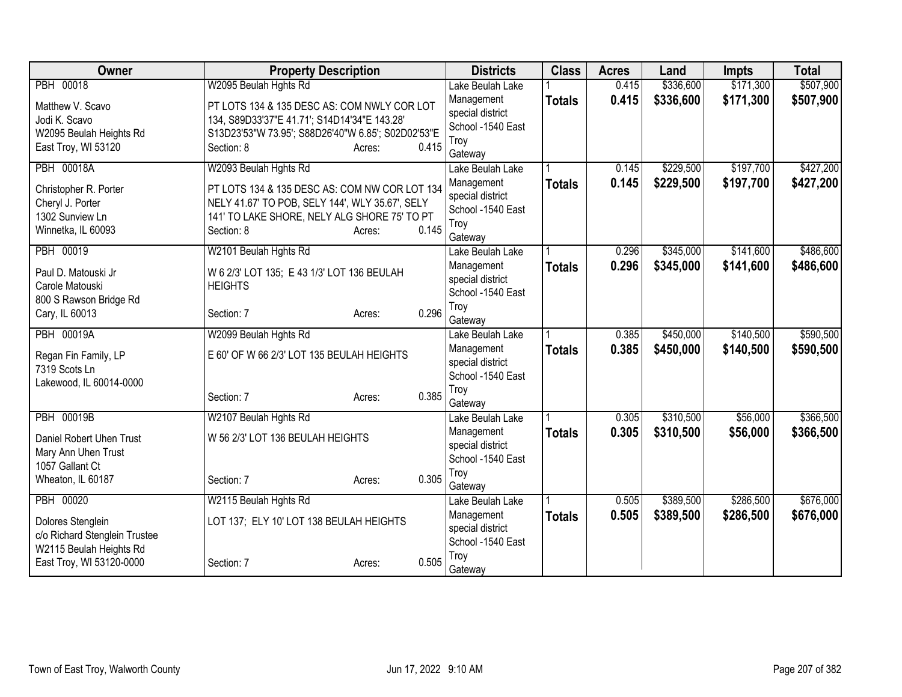| Owner                         | <b>Property Description</b>                        |        |       | <b>Districts</b>               | <b>Class</b>  | <b>Acres</b> | Land      | <b>Impts</b> | <b>Total</b> |
|-------------------------------|----------------------------------------------------|--------|-------|--------------------------------|---------------|--------------|-----------|--------------|--------------|
| PBH 00018                     | W2095 Beulah Hghts Rd                              |        |       | Lake Beulah Lake               |               | 0.415        | \$336,600 | \$171,300    | \$507,900    |
| Matthew V. Scavo              | PT LOTS 134 & 135 DESC AS: COM NWLY COR LOT        |        |       | Management                     | <b>Totals</b> | 0.415        | \$336,600 | \$171,300    | \$507,900    |
| Jodi K. Scavo                 | 134, S89D33'37"E 41.71'; S14D14'34"E 143.28'       |        |       | special district               |               |              |           |              |              |
| W2095 Beulah Heights Rd       | S13D23'53"W 73.95'; S88D26'40"W 6.85'; S02D02'53"E |        |       | School -1540 East              |               |              |           |              |              |
| East Troy, WI 53120           | Section: 8                                         | Acres: | 0.415 | Troy<br>Gateway                |               |              |           |              |              |
| <b>PBH 00018A</b>             | W2093 Beulah Hghts Rd                              |        |       | Lake Beulah Lake               |               | 0.145        | \$229,500 | \$197,700    | \$427,200    |
|                               |                                                    |        |       | Management                     | <b>Totals</b> | 0.145        | \$229,500 | \$197,700    | \$427,200    |
| Christopher R. Porter         | PT LOTS 134 & 135 DESC AS: COM NW COR LOT 134      |        |       | special district               |               |              |           |              |              |
| Cheryl J. Porter              | NELY 41.67' TO POB, SELY 144', WLY 35.67', SELY    |        |       | School -1540 East              |               |              |           |              |              |
| 1302 Sunview Ln               | 141' TO LAKE SHORE, NELY ALG SHORE 75' TO PT       |        |       | Troy                           |               |              |           |              |              |
| Winnetka, IL 60093            | Section: 8                                         | Acres: | 0.145 | Gateway                        |               |              |           |              |              |
| PBH 00019                     | W2101 Beulah Hghts Rd                              |        |       | Lake Beulah Lake               |               | 0.296        | \$345,000 | \$141,600    | \$486,600    |
| Paul D. Matouski Jr           | W 6 2/3' LOT 135; E 43 1/3' LOT 136 BEULAH         |        |       | Management                     | <b>Totals</b> | 0.296        | \$345,000 | \$141,600    | \$486,600    |
| Carole Matouski               | <b>HEIGHTS</b>                                     |        |       | special district               |               |              |           |              |              |
| 800 S Rawson Bridge Rd        |                                                    |        |       | School -1540 East              |               |              |           |              |              |
| Cary, IL 60013                | Section: 7                                         | Acres: | 0.296 | Troy                           |               |              |           |              |              |
| <b>PBH 00019A</b>             | W2099 Beulah Hghts Rd                              |        |       | Gateway                        |               | 0.385        | \$450,000 | \$140,500    | \$590,500    |
|                               |                                                    |        |       | Lake Beulah Lake               |               | 0.385        |           |              |              |
| Regan Fin Family, LP          | E 60' OF W 66 2/3' LOT 135 BEULAH HEIGHTS          |        |       | Management<br>special district | <b>Totals</b> |              | \$450,000 | \$140,500    | \$590,500    |
| 7319 Scots Ln                 |                                                    |        |       | School -1540 East              |               |              |           |              |              |
| Lakewood, IL 60014-0000       |                                                    |        |       | Troy                           |               |              |           |              |              |
|                               | Section: 7                                         | Acres: | 0.385 | Gateway                        |               |              |           |              |              |
| <b>PBH 00019B</b>             | W2107 Beulah Hghts Rd                              |        |       | Lake Beulah Lake               |               | 0.305        | \$310,500 | \$56,000     | \$366,500    |
| Daniel Robert Uhen Trust      | W 56 2/3' LOT 136 BEULAH HEIGHTS                   |        |       | Management                     | <b>Totals</b> | 0.305        | \$310,500 | \$56,000     | \$366,500    |
| Mary Ann Uhen Trust           |                                                    |        |       | special district               |               |              |           |              |              |
| 1057 Gallant Ct               |                                                    |        |       | School -1540 East              |               |              |           |              |              |
| Wheaton, IL 60187             | Section: 7                                         | Acres: | 0.305 | Troy                           |               |              |           |              |              |
|                               |                                                    |        |       | Gateway                        |               |              |           |              |              |
| PBH 00020                     | W2115 Beulah Hghts Rd                              |        |       | Lake Beulah Lake               |               | 0.505        | \$389,500 | \$286,500    | \$676,000    |
| Dolores Stenglein             | LOT 137; ELY 10' LOT 138 BEULAH HEIGHTS            |        |       | Management<br>special district | <b>Totals</b> | 0.505        | \$389,500 | \$286,500    | \$676,000    |
| c/o Richard Stenglein Trustee |                                                    |        |       | School -1540 East              |               |              |           |              |              |
| W2115 Beulah Heights Rd       |                                                    |        |       | Troy                           |               |              |           |              |              |
| East Troy, WI 53120-0000      | Section: 7                                         | Acres: | 0.505 | Gateway                        |               |              |           |              |              |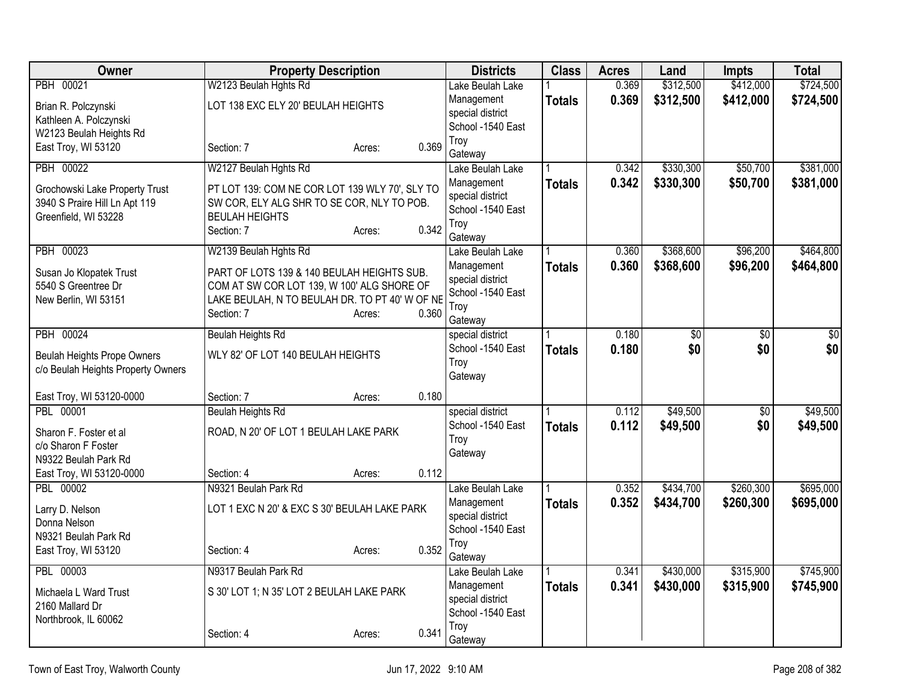| Owner                              | <b>Property Description</b>                    |                 | <b>Districts</b>                      | <b>Class</b>  | <b>Acres</b> | Land            | <b>Impts</b>    | <b>Total</b>    |
|------------------------------------|------------------------------------------------|-----------------|---------------------------------------|---------------|--------------|-----------------|-----------------|-----------------|
| PBH 00021                          | W2123 Beulah Hghts Rd                          |                 | Lake Beulah Lake                      |               | 0.369        | \$312,500       | \$412,000       | \$724,500       |
| Brian R. Polczynski                | LOT 138 EXC ELY 20' BEULAH HEIGHTS             |                 | Management                            | <b>Totals</b> | 0.369        | \$312,500       | \$412,000       | \$724,500       |
| Kathleen A. Polczynski             |                                                |                 | special district                      |               |              |                 |                 |                 |
| W2123 Beulah Heights Rd            |                                                |                 | School -1540 East                     |               |              |                 |                 |                 |
| East Troy, WI 53120                | Section: 7                                     | 0.369<br>Acres: | Troy<br>Gateway                       |               |              |                 |                 |                 |
| <b>PBH 00022</b>                   | W2127 Beulah Hghts Rd                          |                 | Lake Beulah Lake                      |               | 0.342        | \$330,300       | \$50,700        | \$381,000       |
| Grochowski Lake Property Trust     | PT LOT 139: COM NE COR LOT 139 WLY 70', SLY TO |                 | Management                            | Totals        | 0.342        | \$330,300       | \$50,700        | \$381,000       |
| 3940 S Praire Hill Ln Apt 119      | SW COR, ELY ALG SHR TO SE COR, NLY TO POB.     |                 | special district                      |               |              |                 |                 |                 |
| Greenfield, WI 53228               | <b>BEULAH HEIGHTS</b>                          |                 | School -1540 East                     |               |              |                 |                 |                 |
|                                    | Section: 7                                     | 0.342<br>Acres: | Trov                                  |               |              |                 |                 |                 |
| PBH 00023                          | W2139 Beulah Hghts Rd                          |                 | Gateway<br>Lake Beulah Lake           |               | 0.360        | \$368,600       | \$96,200        | \$464,800       |
|                                    |                                                |                 | Management                            | <b>Totals</b> | 0.360        | \$368,600       | \$96,200        | \$464,800       |
| Susan Jo Klopatek Trust            | PART OF LOTS 139 & 140 BEULAH HEIGHTS SUB.     |                 | special district                      |               |              |                 |                 |                 |
| 5540 S Greentree Dr                | COM AT SW COR LOT 139, W 100' ALG SHORE OF     |                 | School -1540 East                     |               |              |                 |                 |                 |
| New Berlin, WI 53151               | LAKE BEULAH, N TO BEULAH DR. TO PT 40' W OF NE |                 | Troy                                  |               |              |                 |                 |                 |
|                                    | Section: 7                                     | 0.360<br>Acres: | Gateway                               |               |              |                 |                 |                 |
| PBH 00024                          | <b>Beulah Heights Rd</b>                       |                 | special district                      |               | 0.180        | $\overline{50}$ | $\overline{60}$ | $\overline{50}$ |
| <b>Beulah Heights Prope Owners</b> | WLY 82' OF LOT 140 BEULAH HEIGHTS              |                 | School -1540 East                     | <b>Totals</b> | 0.180        | \$0             | \$0             | \$0             |
| c/o Beulah Heights Property Owners |                                                |                 | Troy                                  |               |              |                 |                 |                 |
|                                    |                                                |                 | Gateway                               |               |              |                 |                 |                 |
| East Troy, WI 53120-0000           | Section: 7                                     | 0.180<br>Acres: |                                       |               |              |                 |                 |                 |
| PBL 00001                          | <b>Beulah Heights Rd</b>                       |                 | special district                      |               | 0.112        | \$49,500        | $\overline{50}$ | \$49,500        |
| Sharon F. Foster et al             | ROAD, N 20' OF LOT 1 BEULAH LAKE PARK          |                 | School -1540 East                     | <b>Totals</b> | 0.112        | \$49,500        | \$0             | \$49,500        |
| c/o Sharon F Foster                |                                                |                 | Troy                                  |               |              |                 |                 |                 |
| N9322 Beulah Park Rd               |                                                |                 | Gateway                               |               |              |                 |                 |                 |
| East Troy, WI 53120-0000           | Section: 4                                     | 0.112<br>Acres: |                                       |               |              |                 |                 |                 |
| PBL 00002                          | N9321 Beulah Park Rd                           |                 | Lake Beulah Lake                      |               | 0.352        | \$434,700       | \$260,300       | \$695,000       |
| Larry D. Nelson                    | LOT 1 EXC N 20' & EXC S 30' BEULAH LAKE PARK   |                 | Management                            | <b>Totals</b> | 0.352        | \$434,700       | \$260,300       | \$695,000       |
| Donna Nelson                       |                                                |                 | special district<br>School -1540 East |               |              |                 |                 |                 |
| N9321 Beulah Park Rd               |                                                |                 | Troy                                  |               |              |                 |                 |                 |
| East Troy, WI 53120                | Section: 4                                     | 0.352<br>Acres: | Gateway                               |               |              |                 |                 |                 |
| PBL 00003                          | N9317 Beulah Park Rd                           |                 | Lake Beulah Lake                      |               | 0.341        | \$430,000       | \$315,900       | \$745,900       |
| Michaela L Ward Trust              | S 30' LOT 1; N 35' LOT 2 BEULAH LAKE PARK      |                 | Management                            | <b>Totals</b> | 0.341        | \$430,000       | \$315,900       | \$745,900       |
| 2160 Mallard Dr                    |                                                |                 | special district                      |               |              |                 |                 |                 |
| Northbrook, IL 60062               |                                                |                 | School -1540 East                     |               |              |                 |                 |                 |
|                                    | Section: 4                                     | 0.341<br>Acres: | Troy                                  |               |              |                 |                 |                 |
|                                    |                                                |                 | Gateway                               |               |              |                 |                 |                 |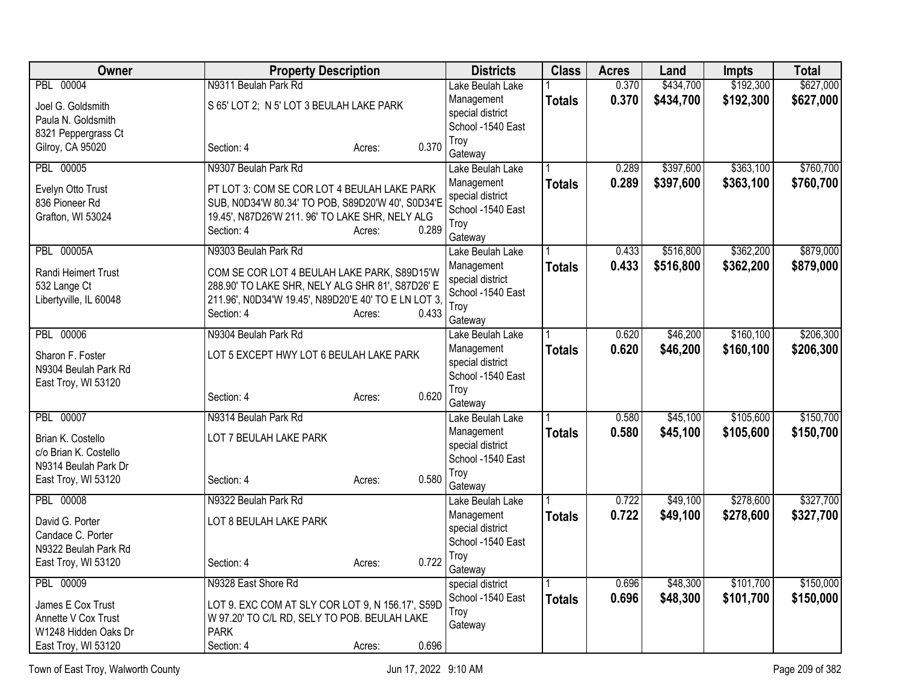| Owner                  | <b>Property Description</b>                          |                 | <b>Districts</b>            | <b>Class</b>  | <b>Acres</b> | Land      | <b>Impts</b> | <b>Total</b> |
|------------------------|------------------------------------------------------|-----------------|-----------------------------|---------------|--------------|-----------|--------------|--------------|
| PBL 00004              | N9311 Beulah Park Rd                                 |                 | Lake Beulah Lake            |               | 0.370        | \$434,700 | \$192,300    | \$627,000    |
| Joel G. Goldsmith      | S 65' LOT 2; N 5' LOT 3 BEULAH LAKE PARK             |                 | Management                  | <b>Totals</b> | 0.370        | \$434,700 | \$192,300    | \$627,000    |
| Paula N. Goldsmith     |                                                      |                 | special district            |               |              |           |              |              |
| 8321 Peppergrass Ct    |                                                      |                 | School -1540 East           |               |              |           |              |              |
| Gilroy, CA 95020       | Section: 4                                           | 0.370<br>Acres: | Troy                        |               |              |           |              |              |
| <b>PBL 00005</b>       | N9307 Beulah Park Rd                                 |                 | Gateway<br>Lake Beulah Lake |               | 0.289        | \$397,600 | \$363,100    | \$760,700    |
|                        |                                                      |                 | Management                  |               | 0.289        | \$397,600 | \$363,100    | \$760,700    |
| Evelyn Otto Trust      | PT LOT 3: COM SE COR LOT 4 BEULAH LAKE PARK          |                 | special district            | <b>Totals</b> |              |           |              |              |
| 836 Pioneer Rd         | SUB, N0D34'W 80.34' TO POB, S89D20'W 40', S0D34'E    |                 | School -1540 East           |               |              |           |              |              |
| Grafton, WI 53024      | 19.45', N87D26'W 211. 96' TO LAKE SHR, NELY ALG      |                 | Troy                        |               |              |           |              |              |
|                        | Section: 4                                           | 0.289<br>Acres: | Gateway                     |               |              |           |              |              |
| <b>PBL 00005A</b>      | N9303 Beulah Park Rd                                 |                 | Lake Beulah Lake            |               | 0.433        | \$516,800 | \$362,200    | \$879,000    |
| Randi Heimert Trust    | COM SE COR LOT 4 BEULAH LAKE PARK, S89D15'W          |                 | Management                  | <b>Totals</b> | 0.433        | \$516,800 | \$362,200    | \$879,000    |
| 532 Lange Ct           | 288.90' TO LAKE SHR, NELY ALG SHR 81', S87D26' E     |                 | special district            |               |              |           |              |              |
| Libertyville, IL 60048 | 211.96', N0D34'W 19.45', N89D20'E 40' TO E LN LOT 3, |                 | School -1540 East           |               |              |           |              |              |
|                        | Section: 4                                           | 0.433<br>Acres: | Troy                        |               |              |           |              |              |
| <b>PBL 00006</b>       | N9304 Beulah Park Rd                                 |                 | Gateway<br>Lake Beulah Lake |               | 0.620        | \$46,200  | \$160,100    | \$206,300    |
|                        |                                                      |                 | Management                  | <b>Totals</b> | 0.620        | \$46,200  | \$160,100    | \$206,300    |
| Sharon F. Foster       | LOT 5 EXCEPT HWY LOT 6 BEULAH LAKE PARK              |                 | special district            |               |              |           |              |              |
| N9304 Beulah Park Rd   |                                                      |                 | School -1540 East           |               |              |           |              |              |
| East Troy, WI 53120    |                                                      |                 | Troy                        |               |              |           |              |              |
|                        | Section: 4                                           | 0.620<br>Acres: | Gateway                     |               |              |           |              |              |
| PBL 00007              | N9314 Beulah Park Rd                                 |                 | Lake Beulah Lake            |               | 0.580        | \$45,100  | \$105,600    | \$150,700    |
| Brian K. Costello      | LOT 7 BEULAH LAKE PARK                               |                 | Management                  | <b>Totals</b> | 0.580        | \$45,100  | \$105,600    | \$150,700    |
| c/o Brian K. Costello  |                                                      |                 | special district            |               |              |           |              |              |
| N9314 Beulah Park Dr   |                                                      |                 | School -1540 East           |               |              |           |              |              |
| East Troy, WI 53120    | Section: 4                                           | 0.580<br>Acres: | Troy<br>Gateway             |               |              |           |              |              |
| <b>PBL 00008</b>       | N9322 Beulah Park Rd                                 |                 | Lake Beulah Lake            |               | 0.722        | \$49,100  | \$278,600    | \$327,700    |
| David G. Porter        | LOT 8 BEULAH LAKE PARK                               |                 | Management                  | <b>Totals</b> | 0.722        | \$49,100  | \$278,600    | \$327,700    |
| Candace C. Porter      |                                                      |                 | special district            |               |              |           |              |              |
| N9322 Beulah Park Rd   |                                                      |                 | School -1540 East           |               |              |           |              |              |
| East Troy, WI 53120    | Section: 4                                           | 0.722<br>Acres: | Troy<br>Gateway             |               |              |           |              |              |
| PBL 00009              | N9328 East Shore Rd                                  |                 | special district            |               | 0.696        | \$48,300  | \$101,700    | \$150,000    |
| James E Cox Trust      | LOT 9. EXC COM AT SLY COR LOT 9, N 156.17', S59D     |                 | School -1540 East           | <b>Totals</b> | 0.696        | \$48,300  | \$101,700    | \$150,000    |
| Annette V Cox Trust    | W 97.20' TO C/L RD, SELY TO POB. BEULAH LAKE         |                 | Troy                        |               |              |           |              |              |
| W1248 Hidden Oaks Dr   | <b>PARK</b>                                          |                 | Gateway                     |               |              |           |              |              |
| East Troy, WI 53120    | Section: 4                                           | 0.696<br>Acres: |                             |               |              |           |              |              |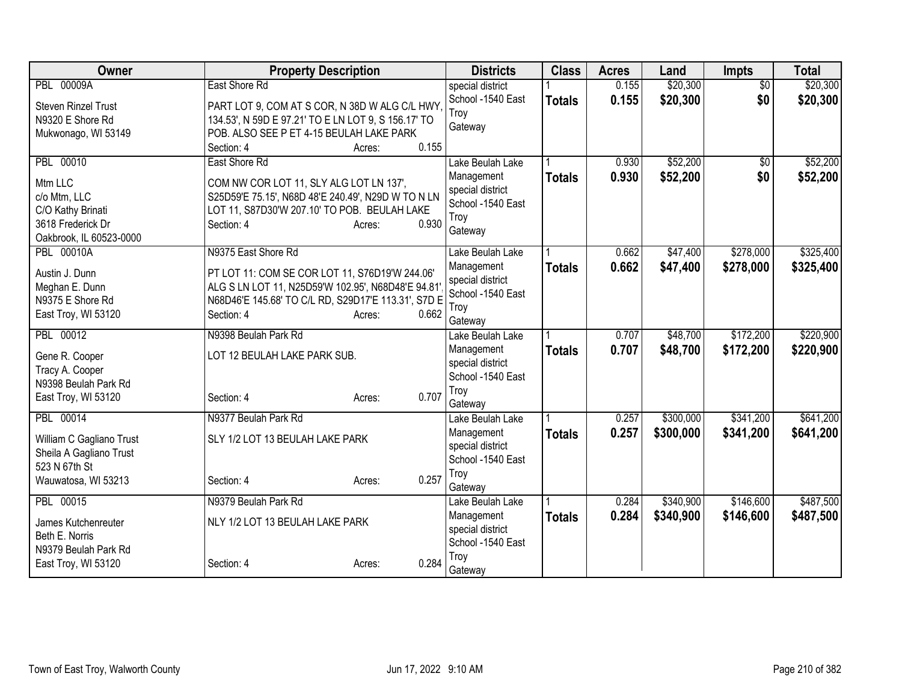| <b>Owner</b>               | <b>Property Description</b>                         |                 | <b>Districts</b>  | <b>Class</b>  | <b>Acres</b> | Land      | <b>Impts</b>    | <b>Total</b> |
|----------------------------|-----------------------------------------------------|-----------------|-------------------|---------------|--------------|-----------|-----------------|--------------|
| <b>PBL 00009A</b>          | East Shore Rd                                       |                 | special district  |               | 0.155        | \$20,300  | $\overline{50}$ | \$20,300     |
| <b>Steven Rinzel Trust</b> | PART LOT 9, COM AT S COR, N 38D W ALG C/L HWY,      |                 | School -1540 East | <b>Totals</b> | 0.155        | \$20,300  | \$0             | \$20,300     |
| N9320 E Shore Rd           | 134.53', N 59D E 97.21' TO E LN LOT 9, S 156.17' TO |                 | Troy              |               |              |           |                 |              |
| Mukwonago, WI 53149        | POB. ALSO SEE P ET 4-15 BEULAH LAKE PARK            |                 | Gateway           |               |              |           |                 |              |
|                            | Section: 4                                          | 0.155<br>Acres: |                   |               |              |           |                 |              |
| PBL 00010                  | East Shore Rd                                       |                 | Lake Beulah Lake  |               | 0.930        | \$52,200  | \$0             | \$52,200     |
| Mtm LLC                    | COM NW COR LOT 11, SLY ALG LOT LN 137',             |                 | Management        | <b>Totals</b> | 0.930        | \$52,200  | \$0             | \$52,200     |
| c/o Mtm, LLC               | S25D59'E 75.15', N68D 48'E 240.49', N29D W TO N LN  |                 | special district  |               |              |           |                 |              |
| C/O Kathy Brinati          | LOT 11, S87D30'W 207.10' TO POB. BEULAH LAKE        |                 | School -1540 East |               |              |           |                 |              |
| 3618 Frederick Dr          | Section: 4                                          | 0.930<br>Acres: | Troy<br>Gateway   |               |              |           |                 |              |
| Oakbrook, IL 60523-0000    |                                                     |                 |                   |               |              |           |                 |              |
| <b>PBL 00010A</b>          | N9375 East Shore Rd                                 |                 | Lake Beulah Lake  |               | 0.662        | \$47,400  | \$278,000       | \$325,400    |
| Austin J. Dunn             | PT LOT 11: COM SE COR LOT 11, S76D19'W 244.06'      |                 | Management        | <b>Totals</b> | 0.662        | \$47,400  | \$278,000       | \$325,400    |
| Meghan E. Dunn             | ALG S LN LOT 11, N25D59'W 102.95', N68D48'E 94.81   |                 | special district  |               |              |           |                 |              |
| N9375 E Shore Rd           | N68D46'E 145.68' TO C/L RD, S29D17'E 113.31', S7D E |                 | School -1540 East |               |              |           |                 |              |
| East Troy, WI 53120        | Section: 4                                          | 0.662<br>Acres: | Troy<br>Gateway   |               |              |           |                 |              |
| PBL 00012                  | N9398 Beulah Park Rd                                |                 | Lake Beulah Lake  |               | 0.707        | \$48,700  | \$172,200       | \$220,900    |
|                            |                                                     |                 | Management        | <b>Totals</b> | 0.707        | \$48,700  | \$172,200       | \$220,900    |
| Gene R. Cooper             | LOT 12 BEULAH LAKE PARK SUB.                        |                 | special district  |               |              |           |                 |              |
| Tracy A. Cooper            |                                                     |                 | School -1540 East |               |              |           |                 |              |
| N9398 Beulah Park Rd       |                                                     | 0.707           | Troy              |               |              |           |                 |              |
| East Troy, WI 53120        | Section: 4                                          | Acres:          | Gateway           |               |              |           |                 |              |
| PBL 00014                  | N9377 Beulah Park Rd                                |                 | Lake Beulah Lake  |               | 0.257        | \$300,000 | \$341,200       | \$641,200    |
| William C Gagliano Trust   | SLY 1/2 LOT 13 BEULAH LAKE PARK                     |                 | Management        | <b>Totals</b> | 0.257        | \$300,000 | \$341,200       | \$641,200    |
| Sheila A Gagliano Trust    |                                                     |                 | special district  |               |              |           |                 |              |
| 523 N 67th St              |                                                     |                 | School -1540 East |               |              |           |                 |              |
| Wauwatosa, WI 53213        | Section: 4                                          | 0.257<br>Acres: | Troy<br>Gateway   |               |              |           |                 |              |
| PBL 00015                  | N9379 Beulah Park Rd                                |                 | Lake Beulah Lake  |               | 0.284        | \$340,900 | \$146,600       | \$487,500    |
|                            |                                                     |                 | Management        | <b>Totals</b> | 0.284        | \$340,900 | \$146,600       | \$487,500    |
| James Kutchenreuter        | NLY 1/2 LOT 13 BEULAH LAKE PARK                     |                 | special district  |               |              |           |                 |              |
| Beth E. Norris             |                                                     |                 | School -1540 East |               |              |           |                 |              |
| N9379 Beulah Park Rd       | Section: 4                                          | 0.284           | Troy              |               |              |           |                 |              |
| East Troy, WI 53120        |                                                     | Acres:          | Gateway           |               |              |           |                 |              |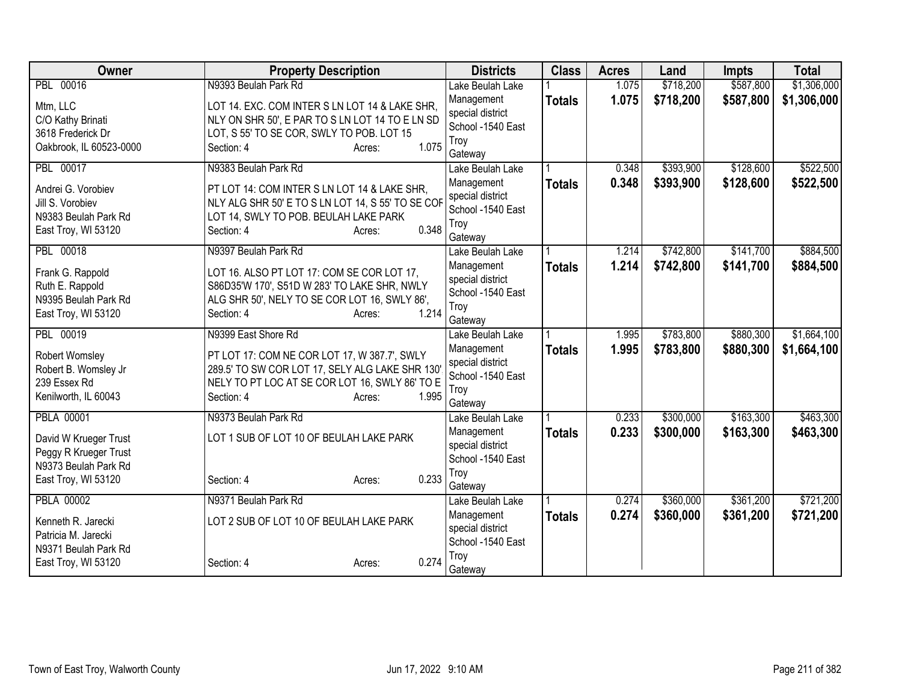| Owner                   | <b>Property Description</b>                       |                 | <b>Districts</b>               | <b>Class</b>  | <b>Acres</b>   | Land      | Impts     | <b>Total</b> |
|-------------------------|---------------------------------------------------|-----------------|--------------------------------|---------------|----------------|-----------|-----------|--------------|
| PBL 00016               | N9393 Beulah Park Rd                              |                 | Lake Beulah Lake               |               | 1.075          | \$718,200 | \$587,800 | \$1,306,000  |
| Mtm, LLC                | LOT 14. EXC. COM INTER S LN LOT 14 & LAKE SHR,    |                 | Management                     | <b>Totals</b> | 1.075          | \$718,200 | \$587,800 | \$1,306,000  |
| C/O Kathy Brinati       | NLY ON SHR 50', E PAR TO S LN LOT 14 TO E LN SD   |                 | special district               |               |                |           |           |              |
| 3618 Frederick Dr       | LOT, S 55' TO SE COR, SWLY TO POB. LOT 15         |                 | School -1540 East              |               |                |           |           |              |
| Oakbrook, IL 60523-0000 | Section: 4                                        | 1.075<br>Acres: | Troy                           |               |                |           |           |              |
| PBL 00017               | N9383 Beulah Park Rd                              |                 | Gateway<br>Lake Beulah Lake    |               | 0.348          | \$393,900 | \$128,600 | \$522,500    |
|                         |                                                   |                 | Management                     | <b>Totals</b> | 0.348          | \$393,900 | \$128,600 | \$522,500    |
| Andrei G. Vorobiev      | PT LOT 14: COM INTER S LN LOT 14 & LAKE SHR,      |                 | special district               |               |                |           |           |              |
| Jill S. Vorobiev        | NLY ALG SHR 50' E TO S LN LOT 14, S 55' TO SE COF |                 | School -1540 East              |               |                |           |           |              |
| N9383 Beulah Park Rd    | LOT 14, SWLY TO POB. BEULAH LAKE PARK             |                 | Troy                           |               |                |           |           |              |
| East Troy, WI 53120     | Section: 4                                        | 0.348<br>Acres: | Gateway                        |               |                |           |           |              |
| PBL 00018               | N9397 Beulah Park Rd                              |                 | Lake Beulah Lake               |               | 1.214          | \$742,800 | \$141,700 | \$884,500    |
| Frank G. Rappold        | LOT 16. ALSO PT LOT 17: COM SE COR LOT 17,        |                 | Management                     | <b>Totals</b> | 1.214          | \$742,800 | \$141,700 | \$884,500    |
| Ruth E. Rappold         | S86D35'W 170', S51D W 283' TO LAKE SHR, NWLY      |                 | special district               |               |                |           |           |              |
| N9395 Beulah Park Rd    | ALG SHR 50', NELY TO SE COR LOT 16, SWLY 86',     |                 | School -1540 East              |               |                |           |           |              |
| East Troy, WI 53120     | Section: 4                                        | 1.214<br>Acres: | Troy                           |               |                |           |           |              |
| PBL 00019               |                                                   |                 | Gateway                        |               |                |           |           |              |
|                         | N9399 East Shore Rd                               |                 | Lake Beulah Lake               |               | 1.995<br>1.995 | \$783,800 | \$880,300 | \$1,664,100  |
| Robert Womsley          | PT LOT 17: COM NE COR LOT 17, W 387.7', SWLY      |                 | Management<br>special district | <b>Totals</b> |                | \$783,800 | \$880,300 | \$1,664,100  |
| Robert B. Womsley Jr    | 289.5' TO SW COR LOT 17, SELY ALG LAKE SHR 130'   |                 | School -1540 East              |               |                |           |           |              |
| 239 Essex Rd            | NELY TO PT LOC AT SE COR LOT 16, SWLY 86' TO E    |                 | Troy                           |               |                |           |           |              |
| Kenilworth, IL 60043    | Section: 4                                        | 1.995<br>Acres: | Gateway                        |               |                |           |           |              |
| <b>PBLA 00001</b>       | N9373 Beulah Park Rd                              |                 | Lake Beulah Lake               |               | 0.233          | \$300,000 | \$163,300 | \$463,300    |
| David W Krueger Trust   | LOT 1 SUB OF LOT 10 OF BEULAH LAKE PARK           |                 | Management                     | <b>Totals</b> | 0.233          | \$300,000 | \$163,300 | \$463,300    |
| Peggy R Krueger Trust   |                                                   |                 | special district               |               |                |           |           |              |
| N9373 Beulah Park Rd    |                                                   |                 | School -1540 East              |               |                |           |           |              |
| East Troy, WI 53120     | Section: 4                                        | 0.233<br>Acres: | Troy                           |               |                |           |           |              |
|                         |                                                   |                 | Gateway                        |               |                |           |           |              |
| <b>PBLA 00002</b>       | N9371 Beulah Park Rd                              |                 | Lake Beulah Lake<br>Management |               | 0.274<br>0.274 | \$360,000 | \$361,200 | \$721,200    |
| Kenneth R. Jarecki      | LOT 2 SUB OF LOT 10 OF BEULAH LAKE PARK           |                 | special district               | <b>Totals</b> |                | \$360,000 | \$361,200 | \$721,200    |
| Patricia M. Jarecki     |                                                   |                 | School -1540 East              |               |                |           |           |              |
| N9371 Beulah Park Rd    |                                                   |                 | Troy                           |               |                |           |           |              |
| East Troy, WI 53120     | Section: 4                                        | 0.274<br>Acres: | Gateway                        |               |                |           |           |              |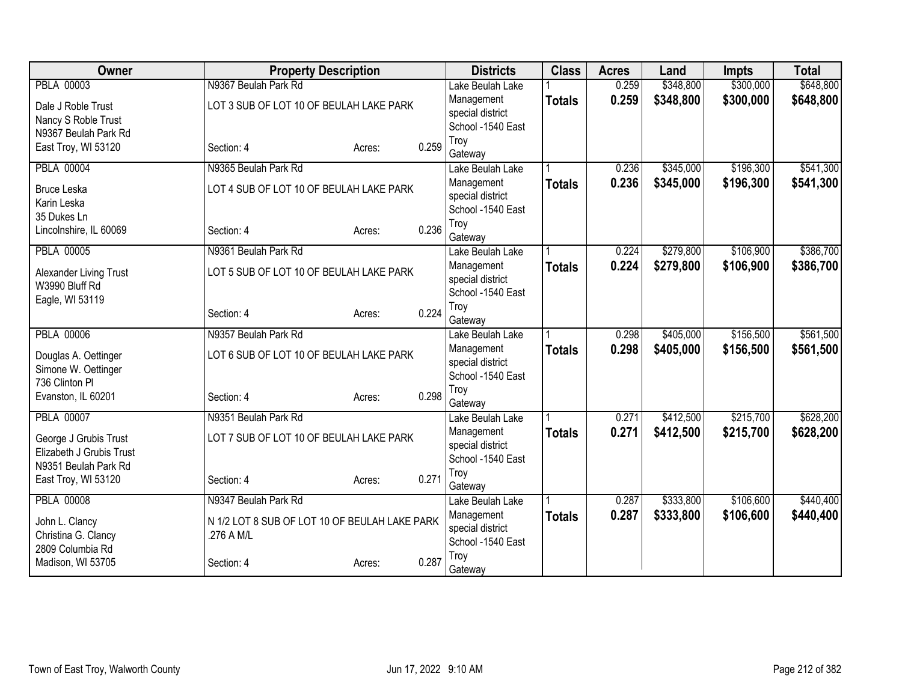| Owner                                       | <b>Property Description</b>                   |        |       | <b>Districts</b>                      | <b>Class</b>  | <b>Acres</b> | Land      | <b>Impts</b> | <b>Total</b> |
|---------------------------------------------|-----------------------------------------------|--------|-------|---------------------------------------|---------------|--------------|-----------|--------------|--------------|
| <b>PBLA 00003</b>                           | N9367 Beulah Park Rd                          |        |       | Lake Beulah Lake                      |               | 0.259        | \$348,800 | \$300,000    | \$648,800    |
| Dale J Roble Trust                          | LOT 3 SUB OF LOT 10 OF BEULAH LAKE PARK       |        |       | Management                            | <b>Totals</b> | 0.259        | \$348,800 | \$300,000    | \$648,800    |
| Nancy S Roble Trust                         |                                               |        |       | special district                      |               |              |           |              |              |
| N9367 Beulah Park Rd                        |                                               |        |       | School -1540 East                     |               |              |           |              |              |
| East Troy, WI 53120                         | Section: 4                                    | Acres: | 0.259 | Troy                                  |               |              |           |              |              |
|                                             |                                               |        |       | Gateway                               |               |              |           |              |              |
| <b>PBLA 00004</b>                           | N9365 Beulah Park Rd                          |        |       | Lake Beulah Lake                      |               | 0.236        | \$345,000 | \$196,300    | \$541,300    |
| <b>Bruce Leska</b>                          | LOT 4 SUB OF LOT 10 OF BEULAH LAKE PARK       |        |       | Management                            | <b>Totals</b> | 0.236        | \$345,000 | \$196,300    | \$541,300    |
| Karin Leska                                 |                                               |        |       | special district                      |               |              |           |              |              |
| 35 Dukes Ln                                 |                                               |        |       | School -1540 East<br>Troy             |               |              |           |              |              |
| Lincolnshire, IL 60069                      | Section: 4                                    | Acres: | 0.236 | Gateway                               |               |              |           |              |              |
| <b>PBLA 00005</b>                           | N9361 Beulah Park Rd                          |        |       | Lake Beulah Lake                      |               | 0.224        | \$279,800 | \$106,900    | \$386,700    |
|                                             |                                               |        |       | Management                            | <b>Totals</b> | 0.224        | \$279,800 | \$106,900    | \$386,700    |
| Alexander Living Trust                      | LOT 5 SUB OF LOT 10 OF BEULAH LAKE PARK       |        |       | special district                      |               |              |           |              |              |
| W3990 Bluff Rd                              |                                               |        |       | School -1540 East                     |               |              |           |              |              |
| Eagle, WI 53119                             |                                               |        |       | Troy                                  |               |              |           |              |              |
|                                             | Section: 4                                    | Acres: | 0.224 | Gateway                               |               |              |           |              |              |
| <b>PBLA 00006</b>                           | N9357 Beulah Park Rd                          |        |       | Lake Beulah Lake                      |               | 0.298        | \$405,000 | \$156,500    | \$561,500    |
|                                             | LOT 6 SUB OF LOT 10 OF BEULAH LAKE PARK       |        |       | Management                            | <b>Totals</b> | 0.298        | \$405,000 | \$156,500    | \$561,500    |
| Douglas A. Oettinger<br>Simone W. Oettinger |                                               |        |       | special district                      |               |              |           |              |              |
| 736 Clinton PI                              |                                               |        |       | School -1540 East                     |               |              |           |              |              |
| Evanston, IL 60201                          | Section: 4                                    | Acres: | 0.298 | Troy                                  |               |              |           |              |              |
|                                             |                                               |        |       | Gateway                               |               |              |           |              |              |
| <b>PBLA 00007</b>                           | N9351 Beulah Park Rd                          |        |       | Lake Beulah Lake                      |               | 0.271        | \$412,500 | \$215,700    | \$628,200    |
| George J Grubis Trust                       | LOT 7 SUB OF LOT 10 OF BEULAH LAKE PARK       |        |       | Management                            | <b>Totals</b> | 0.271        | \$412,500 | \$215,700    | \$628,200    |
| Elizabeth J Grubis Trust                    |                                               |        |       | special district                      |               |              |           |              |              |
| N9351 Beulah Park Rd                        |                                               |        |       | School -1540 East                     |               |              |           |              |              |
| East Troy, WI 53120                         | Section: 4                                    | Acres: | 0.271 | Troy                                  |               |              |           |              |              |
|                                             |                                               |        |       | Gateway                               |               |              |           |              |              |
| <b>PBLA 00008</b>                           | N9347 Beulah Park Rd                          |        |       | Lake Beulah Lake                      |               | 0.287        | \$333,800 | \$106,600    | \$440,400    |
| John L. Clancy                              | N 1/2 LOT 8 SUB OF LOT 10 OF BEULAH LAKE PARK |        |       | Management                            | <b>Totals</b> | 0.287        | \$333,800 | \$106,600    | \$440,400    |
| Christina G. Clancy                         | .276 A M/L                                    |        |       | special district<br>School -1540 East |               |              |           |              |              |
| 2809 Columbia Rd                            |                                               |        |       | Troy                                  |               |              |           |              |              |
| Madison, WI 53705                           | Section: 4                                    | Acres: | 0.287 | Gateway                               |               |              |           |              |              |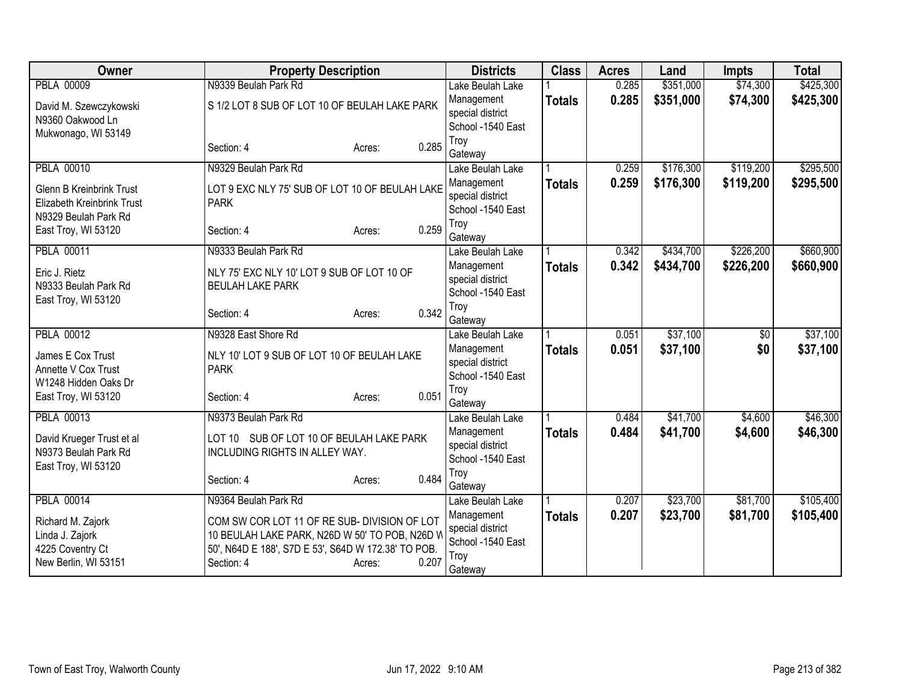| Owner                                             | <b>Property Description</b>                                                |                 | <b>Districts</b>                      | <b>Class</b>  | <b>Acres</b> | Land      | <b>Impts</b>    | <b>Total</b> |
|---------------------------------------------------|----------------------------------------------------------------------------|-----------------|---------------------------------------|---------------|--------------|-----------|-----------------|--------------|
| <b>PBLA 00009</b>                                 | N9339 Beulah Park Rd                                                       |                 | Lake Beulah Lake                      |               | 0.285        | \$351,000 | \$74,300        | \$425,300    |
| David M. Szewczykowski                            | S 1/2 LOT 8 SUB OF LOT 10 OF BEULAH LAKE PARK                              |                 | Management                            | <b>Totals</b> | 0.285        | \$351,000 | \$74,300        | \$425,300    |
| N9360 Oakwood Ln                                  |                                                                            |                 | special district                      |               |              |           |                 |              |
| Mukwonago, WI 53149                               |                                                                            |                 | School -1540 East<br>Troy             |               |              |           |                 |              |
|                                                   | Section: 4                                                                 | 0.285<br>Acres: | Gateway                               |               |              |           |                 |              |
| <b>PBLA 00010</b>                                 | N9329 Beulah Park Rd                                                       |                 | Lake Beulah Lake                      |               | 0.259        | \$176,300 | \$119,200       | \$295,500    |
| <b>Glenn B Kreinbrink Trust</b>                   | LOT 9 EXC NLY 75' SUB OF LOT 10 OF BEULAH LAKE                             |                 | Management                            | <b>Totals</b> | 0.259        | \$176,300 | \$119,200       | \$295,500    |
| Elizabeth Kreinbrink Trust                        | <b>PARK</b>                                                                |                 | special district                      |               |              |           |                 |              |
| N9329 Beulah Park Rd                              |                                                                            |                 | School -1540 East                     |               |              |           |                 |              |
| East Troy, WI 53120                               | Section: 4                                                                 | 0.259<br>Acres: | Troy                                  |               |              |           |                 |              |
| <b>PBLA 00011</b>                                 | N9333 Beulah Park Rd                                                       |                 | Gateway<br>Lake Beulah Lake           |               | 0.342        | \$434,700 | \$226,200       | \$660,900    |
|                                                   |                                                                            |                 | Management                            |               | 0.342        | \$434,700 | \$226,200       | \$660,900    |
| Eric J. Rietz                                     | NLY 75' EXC NLY 10' LOT 9 SUB OF LOT 10 OF                                 |                 | special district                      | <b>Totals</b> |              |           |                 |              |
| N9333 Beulah Park Rd                              | <b>BEULAH LAKE PARK</b>                                                    |                 | School -1540 East                     |               |              |           |                 |              |
| East Troy, WI 53120                               |                                                                            | 0.342           | Troy                                  |               |              |           |                 |              |
|                                                   | Section: 4                                                                 | Acres:          | Gateway                               |               |              |           |                 |              |
| <b>PBLA 00012</b>                                 | N9328 East Shore Rd                                                        |                 | Lake Beulah Lake                      |               | 0.051        | \$37,100  | $\overline{50}$ | \$37,100     |
| James E Cox Trust                                 | NLY 10' LOT 9 SUB OF LOT 10 OF BEULAH LAKE                                 |                 | Management                            | <b>Totals</b> | 0.051        | \$37,100  | \$0             | \$37,100     |
| Annette V Cox Trust                               | <b>PARK</b>                                                                |                 | special district<br>School -1540 East |               |              |           |                 |              |
| W1248 Hidden Oaks Dr                              |                                                                            |                 | Troy                                  |               |              |           |                 |              |
| East Troy, WI 53120                               | Section: 4                                                                 | 0.051<br>Acres: | Gateway                               |               |              |           |                 |              |
| <b>PBLA 00013</b>                                 | N9373 Beulah Park Rd                                                       |                 | Lake Beulah Lake                      |               | 0.484        | \$41,700  | \$4,600         | \$46,300     |
|                                                   |                                                                            |                 | Management                            | <b>Totals</b> | 0.484        | \$41,700  | \$4,600         | \$46,300     |
| David Krueger Trust et al<br>N9373 Beulah Park Rd | LOT 10 SUB OF LOT 10 OF BEULAH LAKE PARK<br>INCLUDING RIGHTS IN ALLEY WAY. |                 | special district                      |               |              |           |                 |              |
| East Troy, WI 53120                               |                                                                            |                 | School -1540 East                     |               |              |           |                 |              |
|                                                   | Section: 4                                                                 | 0.484<br>Acres: | Troy                                  |               |              |           |                 |              |
| <b>PBLA 00014</b>                                 | N9364 Beulah Park Rd                                                       |                 | Gateway<br>Lake Beulah Lake           |               | 0.207        | \$23,700  | \$81,700        | \$105,400    |
|                                                   |                                                                            |                 | Management                            | <b>Totals</b> | 0.207        | \$23,700  | \$81,700        | \$105,400    |
| Richard M. Zajork                                 | COM SW COR LOT 11 OF RE SUB- DIVISION OF LOT                               |                 | special district                      |               |              |           |                 |              |
| Linda J. Zajork                                   | 10 BEULAH LAKE PARK, N26D W 50' TO POB, N26D V                             |                 | School -1540 East                     |               |              |           |                 |              |
| 4225 Coventry Ct                                  | 50', N64D E 188', S7D E 53', S64D W 172.38' TO POB.                        | 0.207           | Troy                                  |               |              |           |                 |              |
| New Berlin, WI 53151                              | Section: 4                                                                 | Acres:          | Gateway                               |               |              |           |                 |              |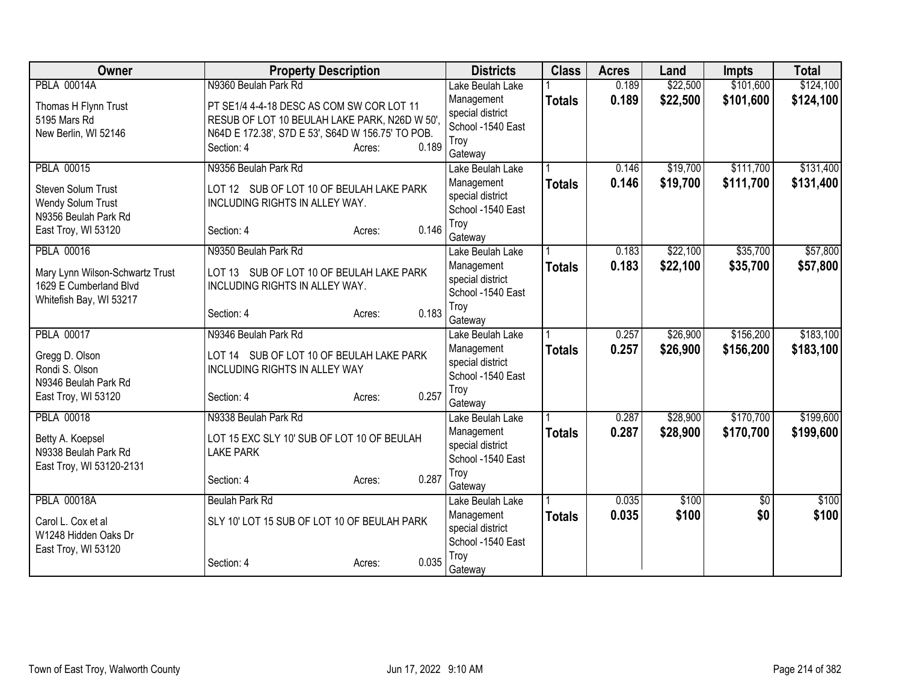| <b>PBLA 00014A</b><br>\$22,500<br>\$101,600<br>\$124,100<br>N9360 Beulah Park Rd<br>Lake Beulah Lake<br>0.189<br>0.189<br>\$22,500<br>\$101,600<br>\$124,100<br>Management<br><b>Totals</b><br>Thomas H Flynn Trust<br>PT SE1/4 4-4-18 DESC AS COM SW COR LOT 11<br>special district<br>RESUB OF LOT 10 BEULAH LAKE PARK, N26D W 50',<br>5195 Mars Rd<br>School -1540 East<br>N64D E 172.38', S7D E 53', S64D W 156.75' TO POB.<br>New Berlin, WI 52146<br>Troy<br>0.189<br>Section: 4<br>Acres:<br>Gateway<br>\$111,700<br><b>PBLA 00015</b><br>N9356 Beulah Park Rd<br>\$19,700<br>0.146<br>Lake Beulah Lake<br>0.146<br>\$19,700<br>\$111,700<br>Management<br><b>Totals</b><br>LOT 12 SUB OF LOT 10 OF BEULAH LAKE PARK<br>Steven Solum Trust<br>special district<br>INCLUDING RIGHTS IN ALLEY WAY.<br>Wendy Solum Trust<br>School -1540 East<br>N9356 Beulah Park Rd<br>Troy<br>0.146<br>East Troy, WI 53120<br>Section: 4<br>Acres:<br>Gateway<br><b>PBLA 00016</b><br>\$22,100<br>\$35,700<br>N9350 Beulah Park Rd<br>0.183<br>Lake Beulah Lake<br>0.183<br>\$22,100<br>Management<br>\$35,700<br><b>Totals</b><br>LOT 13 SUB OF LOT 10 OF BEULAH LAKE PARK<br>Mary Lynn Wilson-Schwartz Trust<br>special district<br>1629 E Cumberland Blvd<br>INCLUDING RIGHTS IN ALLEY WAY.<br>School -1540 East<br>Whitefish Bay, WI 53217<br>Troy<br>0.183<br>Section: 4<br>Acres:<br>Gateway<br><b>PBLA 00017</b><br>N9346 Beulah Park Rd<br>\$26,900<br>\$156,200<br>0.257<br>Lake Beulah Lake<br>0.257<br>\$26,900<br>\$156,200<br>Management<br><b>Totals</b><br>LOT 14 SUB OF LOT 10 OF BEULAH LAKE PARK<br>Gregg D. Olson<br>special district<br>Rondi S. Olson<br><b>INCLUDING RIGHTS IN ALLEY WAY</b><br>School -1540 East<br>N9346 Beulah Park Rd<br>Troy<br>0.257<br>East Troy, WI 53120<br>Section: 4<br>Acres:<br>Gateway<br><b>PBLA 00018</b><br>\$170,700<br>N9338 Beulah Park Rd<br>0.287<br>\$28,900<br>Lake Beulah Lake<br>0.287<br>\$28,900<br>\$170,700<br>Management<br><b>Totals</b><br>LOT 15 EXC SLY 10' SUB OF LOT 10 OF BEULAH<br>Betty A. Koepsel<br>special district<br>N9338 Beulah Park Rd<br><b>LAKE PARK</b><br>School -1540 East<br>East Troy, WI 53120-2131<br>Troy<br>0.287<br>Section: 4<br>Acres:<br>Gateway<br><b>PBLA 00018A</b><br>\$100<br>Beulah Park Rd<br>0.035<br>\$0<br>Lake Beulah Lake<br>0.035<br>\$100<br>\$0<br>Management<br><b>Totals</b><br>SLY 10' LOT 15 SUB OF LOT 10 OF BEULAH PARK<br>Carol L. Cox et al<br>special district<br>W1248 Hidden Oaks Dr<br>School -1540 East<br>East Troy, WI 53120<br>Troy<br>0.035<br>Section: 4<br>Acres:<br>Gateway | <b>Owner</b> | <b>Property Description</b> | <b>Districts</b> | <b>Class</b> | <b>Acres</b> | Land | <b>Impts</b> | <b>Total</b> |
|------------------------------------------------------------------------------------------------------------------------------------------------------------------------------------------------------------------------------------------------------------------------------------------------------------------------------------------------------------------------------------------------------------------------------------------------------------------------------------------------------------------------------------------------------------------------------------------------------------------------------------------------------------------------------------------------------------------------------------------------------------------------------------------------------------------------------------------------------------------------------------------------------------------------------------------------------------------------------------------------------------------------------------------------------------------------------------------------------------------------------------------------------------------------------------------------------------------------------------------------------------------------------------------------------------------------------------------------------------------------------------------------------------------------------------------------------------------------------------------------------------------------------------------------------------------------------------------------------------------------------------------------------------------------------------------------------------------------------------------------------------------------------------------------------------------------------------------------------------------------------------------------------------------------------------------------------------------------------------------------------------------------------------------------------------------------------------------------------------------------------------------------------------------------------------------------------------------------------------------------------------------------------------------------------------------------------------------------------------------------------------------------------------------------------------------------------------------------------------------------------------------------------------------------------------------------------------------------------------|--------------|-----------------------------|------------------|--------------|--------------|------|--------------|--------------|
|                                                                                                                                                                                                                                                                                                                                                                                                                                                                                                                                                                                                                                                                                                                                                                                                                                                                                                                                                                                                                                                                                                                                                                                                                                                                                                                                                                                                                                                                                                                                                                                                                                                                                                                                                                                                                                                                                                                                                                                                                                                                                                                                                                                                                                                                                                                                                                                                                                                                                                                                                                                                            |              |                             |                  |              |              |      |              |              |
|                                                                                                                                                                                                                                                                                                                                                                                                                                                                                                                                                                                                                                                                                                                                                                                                                                                                                                                                                                                                                                                                                                                                                                                                                                                                                                                                                                                                                                                                                                                                                                                                                                                                                                                                                                                                                                                                                                                                                                                                                                                                                                                                                                                                                                                                                                                                                                                                                                                                                                                                                                                                            |              |                             |                  |              |              |      |              |              |
|                                                                                                                                                                                                                                                                                                                                                                                                                                                                                                                                                                                                                                                                                                                                                                                                                                                                                                                                                                                                                                                                                                                                                                                                                                                                                                                                                                                                                                                                                                                                                                                                                                                                                                                                                                                                                                                                                                                                                                                                                                                                                                                                                                                                                                                                                                                                                                                                                                                                                                                                                                                                            |              |                             |                  |              |              |      |              |              |
| \$131,400<br>\$131,400<br>\$57,800<br>\$57,800                                                                                                                                                                                                                                                                                                                                                                                                                                                                                                                                                                                                                                                                                                                                                                                                                                                                                                                                                                                                                                                                                                                                                                                                                                                                                                                                                                                                                                                                                                                                                                                                                                                                                                                                                                                                                                                                                                                                                                                                                                                                                                                                                                                                                                                                                                                                                                                                                                                                                                                                                             |              |                             |                  |              |              |      |              |              |
|                                                                                                                                                                                                                                                                                                                                                                                                                                                                                                                                                                                                                                                                                                                                                                                                                                                                                                                                                                                                                                                                                                                                                                                                                                                                                                                                                                                                                                                                                                                                                                                                                                                                                                                                                                                                                                                                                                                                                                                                                                                                                                                                                                                                                                                                                                                                                                                                                                                                                                                                                                                                            |              |                             |                  |              |              |      |              |              |
|                                                                                                                                                                                                                                                                                                                                                                                                                                                                                                                                                                                                                                                                                                                                                                                                                                                                                                                                                                                                                                                                                                                                                                                                                                                                                                                                                                                                                                                                                                                                                                                                                                                                                                                                                                                                                                                                                                                                                                                                                                                                                                                                                                                                                                                                                                                                                                                                                                                                                                                                                                                                            |              |                             |                  |              |              |      |              |              |
|                                                                                                                                                                                                                                                                                                                                                                                                                                                                                                                                                                                                                                                                                                                                                                                                                                                                                                                                                                                                                                                                                                                                                                                                                                                                                                                                                                                                                                                                                                                                                                                                                                                                                                                                                                                                                                                                                                                                                                                                                                                                                                                                                                                                                                                                                                                                                                                                                                                                                                                                                                                                            |              |                             |                  |              |              |      |              |              |
|                                                                                                                                                                                                                                                                                                                                                                                                                                                                                                                                                                                                                                                                                                                                                                                                                                                                                                                                                                                                                                                                                                                                                                                                                                                                                                                                                                                                                                                                                                                                                                                                                                                                                                                                                                                                                                                                                                                                                                                                                                                                                                                                                                                                                                                                                                                                                                                                                                                                                                                                                                                                            |              |                             |                  |              |              |      |              |              |
|                                                                                                                                                                                                                                                                                                                                                                                                                                                                                                                                                                                                                                                                                                                                                                                                                                                                                                                                                                                                                                                                                                                                                                                                                                                                                                                                                                                                                                                                                                                                                                                                                                                                                                                                                                                                                                                                                                                                                                                                                                                                                                                                                                                                                                                                                                                                                                                                                                                                                                                                                                                                            |              |                             |                  |              |              |      |              |              |
|                                                                                                                                                                                                                                                                                                                                                                                                                                                                                                                                                                                                                                                                                                                                                                                                                                                                                                                                                                                                                                                                                                                                                                                                                                                                                                                                                                                                                                                                                                                                                                                                                                                                                                                                                                                                                                                                                                                                                                                                                                                                                                                                                                                                                                                                                                                                                                                                                                                                                                                                                                                                            |              |                             |                  |              |              |      |              |              |
|                                                                                                                                                                                                                                                                                                                                                                                                                                                                                                                                                                                                                                                                                                                                                                                                                                                                                                                                                                                                                                                                                                                                                                                                                                                                                                                                                                                                                                                                                                                                                                                                                                                                                                                                                                                                                                                                                                                                                                                                                                                                                                                                                                                                                                                                                                                                                                                                                                                                                                                                                                                                            |              |                             |                  |              |              |      |              |              |
|                                                                                                                                                                                                                                                                                                                                                                                                                                                                                                                                                                                                                                                                                                                                                                                                                                                                                                                                                                                                                                                                                                                                                                                                                                                                                                                                                                                                                                                                                                                                                                                                                                                                                                                                                                                                                                                                                                                                                                                                                                                                                                                                                                                                                                                                                                                                                                                                                                                                                                                                                                                                            |              |                             |                  |              |              |      |              |              |
|                                                                                                                                                                                                                                                                                                                                                                                                                                                                                                                                                                                                                                                                                                                                                                                                                                                                                                                                                                                                                                                                                                                                                                                                                                                                                                                                                                                                                                                                                                                                                                                                                                                                                                                                                                                                                                                                                                                                                                                                                                                                                                                                                                                                                                                                                                                                                                                                                                                                                                                                                                                                            |              |                             |                  |              |              |      |              |              |
|                                                                                                                                                                                                                                                                                                                                                                                                                                                                                                                                                                                                                                                                                                                                                                                                                                                                                                                                                                                                                                                                                                                                                                                                                                                                                                                                                                                                                                                                                                                                                                                                                                                                                                                                                                                                                                                                                                                                                                                                                                                                                                                                                                                                                                                                                                                                                                                                                                                                                                                                                                                                            |              |                             |                  |              |              |      |              |              |
|                                                                                                                                                                                                                                                                                                                                                                                                                                                                                                                                                                                                                                                                                                                                                                                                                                                                                                                                                                                                                                                                                                                                                                                                                                                                                                                                                                                                                                                                                                                                                                                                                                                                                                                                                                                                                                                                                                                                                                                                                                                                                                                                                                                                                                                                                                                                                                                                                                                                                                                                                                                                            |              |                             |                  |              |              |      |              |              |
| \$183,100<br>\$183,100<br>\$199,600<br>\$100                                                                                                                                                                                                                                                                                                                                                                                                                                                                                                                                                                                                                                                                                                                                                                                                                                                                                                                                                                                                                                                                                                                                                                                                                                                                                                                                                                                                                                                                                                                                                                                                                                                                                                                                                                                                                                                                                                                                                                                                                                                                                                                                                                                                                                                                                                                                                                                                                                                                                                                                                               |              |                             |                  |              |              |      |              |              |
|                                                                                                                                                                                                                                                                                                                                                                                                                                                                                                                                                                                                                                                                                                                                                                                                                                                                                                                                                                                                                                                                                                                                                                                                                                                                                                                                                                                                                                                                                                                                                                                                                                                                                                                                                                                                                                                                                                                                                                                                                                                                                                                                                                                                                                                                                                                                                                                                                                                                                                                                                                                                            |              |                             |                  |              |              |      |              |              |
|                                                                                                                                                                                                                                                                                                                                                                                                                                                                                                                                                                                                                                                                                                                                                                                                                                                                                                                                                                                                                                                                                                                                                                                                                                                                                                                                                                                                                                                                                                                                                                                                                                                                                                                                                                                                                                                                                                                                                                                                                                                                                                                                                                                                                                                                                                                                                                                                                                                                                                                                                                                                            |              |                             |                  |              |              |      |              |              |
|                                                                                                                                                                                                                                                                                                                                                                                                                                                                                                                                                                                                                                                                                                                                                                                                                                                                                                                                                                                                                                                                                                                                                                                                                                                                                                                                                                                                                                                                                                                                                                                                                                                                                                                                                                                                                                                                                                                                                                                                                                                                                                                                                                                                                                                                                                                                                                                                                                                                                                                                                                                                            |              |                             |                  |              |              |      |              |              |
|                                                                                                                                                                                                                                                                                                                                                                                                                                                                                                                                                                                                                                                                                                                                                                                                                                                                                                                                                                                                                                                                                                                                                                                                                                                                                                                                                                                                                                                                                                                                                                                                                                                                                                                                                                                                                                                                                                                                                                                                                                                                                                                                                                                                                                                                                                                                                                                                                                                                                                                                                                                                            |              |                             |                  |              |              |      |              |              |
|                                                                                                                                                                                                                                                                                                                                                                                                                                                                                                                                                                                                                                                                                                                                                                                                                                                                                                                                                                                                                                                                                                                                                                                                                                                                                                                                                                                                                                                                                                                                                                                                                                                                                                                                                                                                                                                                                                                                                                                                                                                                                                                                                                                                                                                                                                                                                                                                                                                                                                                                                                                                            |              |                             |                  |              |              |      |              |              |
| \$199,600<br>\$100                                                                                                                                                                                                                                                                                                                                                                                                                                                                                                                                                                                                                                                                                                                                                                                                                                                                                                                                                                                                                                                                                                                                                                                                                                                                                                                                                                                                                                                                                                                                                                                                                                                                                                                                                                                                                                                                                                                                                                                                                                                                                                                                                                                                                                                                                                                                                                                                                                                                                                                                                                                         |              |                             |                  |              |              |      |              |              |
|                                                                                                                                                                                                                                                                                                                                                                                                                                                                                                                                                                                                                                                                                                                                                                                                                                                                                                                                                                                                                                                                                                                                                                                                                                                                                                                                                                                                                                                                                                                                                                                                                                                                                                                                                                                                                                                                                                                                                                                                                                                                                                                                                                                                                                                                                                                                                                                                                                                                                                                                                                                                            |              |                             |                  |              |              |      |              |              |
|                                                                                                                                                                                                                                                                                                                                                                                                                                                                                                                                                                                                                                                                                                                                                                                                                                                                                                                                                                                                                                                                                                                                                                                                                                                                                                                                                                                                                                                                                                                                                                                                                                                                                                                                                                                                                                                                                                                                                                                                                                                                                                                                                                                                                                                                                                                                                                                                                                                                                                                                                                                                            |              |                             |                  |              |              |      |              |              |
|                                                                                                                                                                                                                                                                                                                                                                                                                                                                                                                                                                                                                                                                                                                                                                                                                                                                                                                                                                                                                                                                                                                                                                                                                                                                                                                                                                                                                                                                                                                                                                                                                                                                                                                                                                                                                                                                                                                                                                                                                                                                                                                                                                                                                                                                                                                                                                                                                                                                                                                                                                                                            |              |                             |                  |              |              |      |              |              |
|                                                                                                                                                                                                                                                                                                                                                                                                                                                                                                                                                                                                                                                                                                                                                                                                                                                                                                                                                                                                                                                                                                                                                                                                                                                                                                                                                                                                                                                                                                                                                                                                                                                                                                                                                                                                                                                                                                                                                                                                                                                                                                                                                                                                                                                                                                                                                                                                                                                                                                                                                                                                            |              |                             |                  |              |              |      |              |              |
|                                                                                                                                                                                                                                                                                                                                                                                                                                                                                                                                                                                                                                                                                                                                                                                                                                                                                                                                                                                                                                                                                                                                                                                                                                                                                                                                                                                                                                                                                                                                                                                                                                                                                                                                                                                                                                                                                                                                                                                                                                                                                                                                                                                                                                                                                                                                                                                                                                                                                                                                                                                                            |              |                             |                  |              |              |      |              |              |
|                                                                                                                                                                                                                                                                                                                                                                                                                                                                                                                                                                                                                                                                                                                                                                                                                                                                                                                                                                                                                                                                                                                                                                                                                                                                                                                                                                                                                                                                                                                                                                                                                                                                                                                                                                                                                                                                                                                                                                                                                                                                                                                                                                                                                                                                                                                                                                                                                                                                                                                                                                                                            |              |                             |                  |              |              |      |              |              |
|                                                                                                                                                                                                                                                                                                                                                                                                                                                                                                                                                                                                                                                                                                                                                                                                                                                                                                                                                                                                                                                                                                                                                                                                                                                                                                                                                                                                                                                                                                                                                                                                                                                                                                                                                                                                                                                                                                                                                                                                                                                                                                                                                                                                                                                                                                                                                                                                                                                                                                                                                                                                            |              |                             |                  |              |              |      |              |              |
|                                                                                                                                                                                                                                                                                                                                                                                                                                                                                                                                                                                                                                                                                                                                                                                                                                                                                                                                                                                                                                                                                                                                                                                                                                                                                                                                                                                                                                                                                                                                                                                                                                                                                                                                                                                                                                                                                                                                                                                                                                                                                                                                                                                                                                                                                                                                                                                                                                                                                                                                                                                                            |              |                             |                  |              |              |      |              |              |
|                                                                                                                                                                                                                                                                                                                                                                                                                                                                                                                                                                                                                                                                                                                                                                                                                                                                                                                                                                                                                                                                                                                                                                                                                                                                                                                                                                                                                                                                                                                                                                                                                                                                                                                                                                                                                                                                                                                                                                                                                                                                                                                                                                                                                                                                                                                                                                                                                                                                                                                                                                                                            |              |                             |                  |              |              |      |              |              |
|                                                                                                                                                                                                                                                                                                                                                                                                                                                                                                                                                                                                                                                                                                                                                                                                                                                                                                                                                                                                                                                                                                                                                                                                                                                                                                                                                                                                                                                                                                                                                                                                                                                                                                                                                                                                                                                                                                                                                                                                                                                                                                                                                                                                                                                                                                                                                                                                                                                                                                                                                                                                            |              |                             |                  |              |              |      |              |              |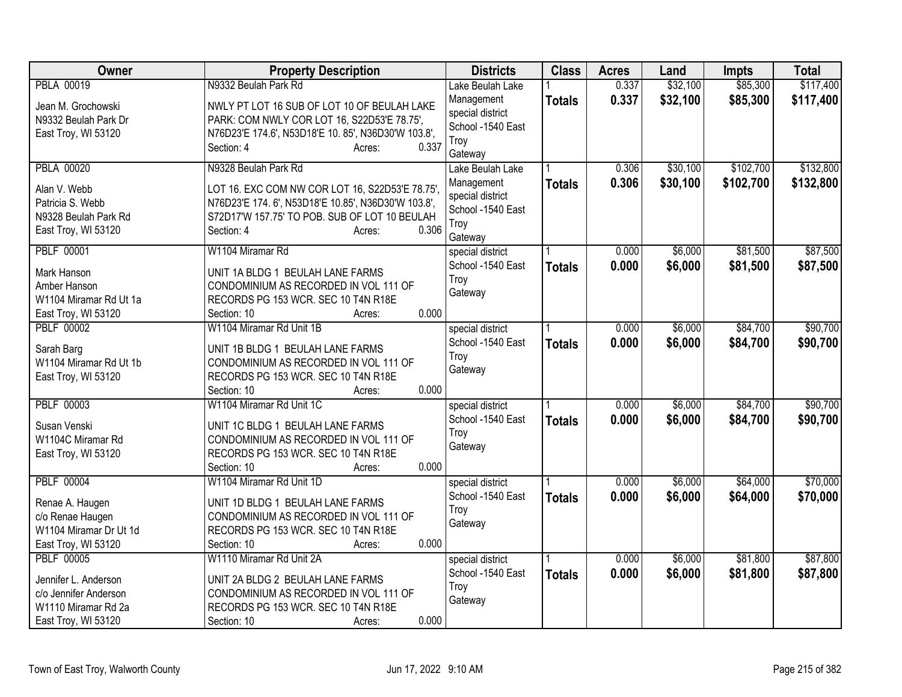| <b>Class</b><br>Owner<br><b>Property Description</b><br><b>Districts</b><br><b>Acres</b><br>Land<br><b>Impts</b>                  | <b>Total</b> |
|-----------------------------------------------------------------------------------------------------------------------------------|--------------|
| <b>PBLA 00019</b><br>0.337<br>\$32,100<br>\$85,300<br>N9332 Beulah Park Rd<br>Lake Beulah Lake                                    | \$117,400    |
| 0.337<br>\$32,100<br>\$85,300<br>Management<br><b>Totals</b><br>NWLY PT LOT 16 SUB OF LOT 10 OF BEULAH LAKE<br>Jean M. Grochowski | \$117,400    |
| special district<br>PARK: COM NWLY COR LOT 16, S22D53'E 78.75',<br>N9332 Beulah Park Dr                                           |              |
| School -1540 East<br>N76D23'E 174.6', N53D18'E 10. 85', N36D30'W 103.8',<br>East Troy, WI 53120                                   |              |
| Troy<br>0.337<br>Section: 4<br>Acres:                                                                                             |              |
| Gateway                                                                                                                           |              |
| \$102,700<br><b>PBLA 00020</b><br>N9328 Beulah Park Rd<br>\$30,100<br>0.306<br>Lake Beulah Lake                                   | \$132,800    |
| 0.306<br>\$30,100<br>\$102,700<br>Management<br><b>Totals</b><br>Alan V. Webb<br>LOT 16. EXC COM NW COR LOT 16, S22D53'E 78.75',  | \$132,800    |
| special district<br>Patricia S. Webb<br>N76D23'E 174. 6', N53D18'E 10.85', N36D30'W 103.8',                                       |              |
| School -1540 East<br>S72D17'W 157.75' TO POB. SUB OF LOT 10 BEULAH<br>N9328 Beulah Park Rd                                        |              |
| Troy<br>0.306<br>East Troy, WI 53120<br>Section: 4<br>Acres:                                                                      |              |
| Gateway                                                                                                                           |              |
| 0.000<br>\$6,000<br>\$81,500<br><b>PBLF 00001</b><br>W1104 Miramar Rd<br>special district                                         | \$87,500     |
| School -1540 East<br>0.000<br>\$6,000<br>\$81,500<br><b>Totals</b><br>UNIT 1A BLDG 1 BEULAH LANE FARMS<br>Mark Hanson             | \$87,500     |
| Troy<br>Amber Hanson<br>CONDOMINIUM AS RECORDED IN VOL 111 OF                                                                     |              |
| Gateway<br>RECORDS PG 153 WCR. SEC 10 T4N R18E<br>W1104 Miramar Rd Ut 1a                                                          |              |
| 0.000<br>East Troy, WI 53120<br>Section: 10<br>Acres:                                                                             |              |
| W1104 Miramar Rd Unit 1B<br>\$6,000<br>\$84,700<br><b>PBLF 00002</b><br>0.000<br>special district                                 | \$90,700     |
| School -1540 East<br>0.000<br>\$6,000<br>\$84,700<br><b>Totals</b>                                                                | \$90,700     |
| UNIT 1B BLDG 1 BEULAH LANE FARMS<br>Sarah Barg<br>Troy                                                                            |              |
| W1104 Miramar Rd Ut 1b<br>CONDOMINIUM AS RECORDED IN VOL 111 OF<br>Gateway                                                        |              |
| RECORDS PG 153 WCR. SEC 10 T4N R18E<br>East Troy, WI 53120                                                                        |              |
| 0.000<br>Section: 10<br>Acres:                                                                                                    |              |
| <b>PBLF 00003</b><br>W1104 Miramar Rd Unit 1C<br>\$6,000<br>\$84,700<br>special district<br>0.000                                 | \$90,700     |
| 0.000<br>\$6,000<br>School -1540 East<br>\$84,700<br><b>Totals</b><br>Susan Venski<br>UNIT 1C BLDG 1 BEULAH LANE FARMS            | \$90,700     |
| Troy<br>W1104C Miramar Rd<br>CONDOMINIUM AS RECORDED IN VOL 111 OF                                                                |              |
| Gateway<br>RECORDS PG 153 WCR. SEC 10 T4N R18E<br>East Troy, WI 53120                                                             |              |
| 0.000<br>Section: 10<br>Acres:                                                                                                    |              |
| <b>PBLF 00004</b><br>\$6,000<br>\$64,000<br>W1104 Miramar Rd Unit 1D<br>0.000<br>special district                                 | \$70,000     |
| 0.000<br>\$6,000<br>\$64,000<br>School -1540 East<br><b>Totals</b>                                                                | \$70,000     |
| UNIT 1D BLDG 1 BEULAH LANE FARMS<br>Renae A. Haugen<br>Troy                                                                       |              |
| c/o Renae Haugen<br>CONDOMINIUM AS RECORDED IN VOL 111 OF<br>Gateway                                                              |              |
| RECORDS PG 153 WCR. SEC 10 T4N R18E<br>W1104 Miramar Dr Ut 1d                                                                     |              |
| 0.000<br>East Troy, WI 53120<br>Section: 10<br>Acres:                                                                             |              |
| \$81,800<br><b>PBLF 00005</b><br>W1110 Miramar Rd Unit 2A<br>0.000<br>\$6,000<br>special district                                 | \$87,800     |
| 0.000<br>School -1540 East<br>\$6,000<br>\$81,800<br><b>Totals</b><br>Jennifer L. Anderson<br>UNIT 2A BLDG 2 BEULAH LANE FARMS    | \$87,800     |
| Troy<br>c/o Jennifer Anderson<br>CONDOMINIUM AS RECORDED IN VOL 111 OF                                                            |              |
| Gateway<br>W1110 Miramar Rd 2a<br>RECORDS PG 153 WCR. SEC 10 T4N R18E                                                             |              |
| 0.000<br>East Troy, WI 53120<br>Section: 10<br>Acres:                                                                             |              |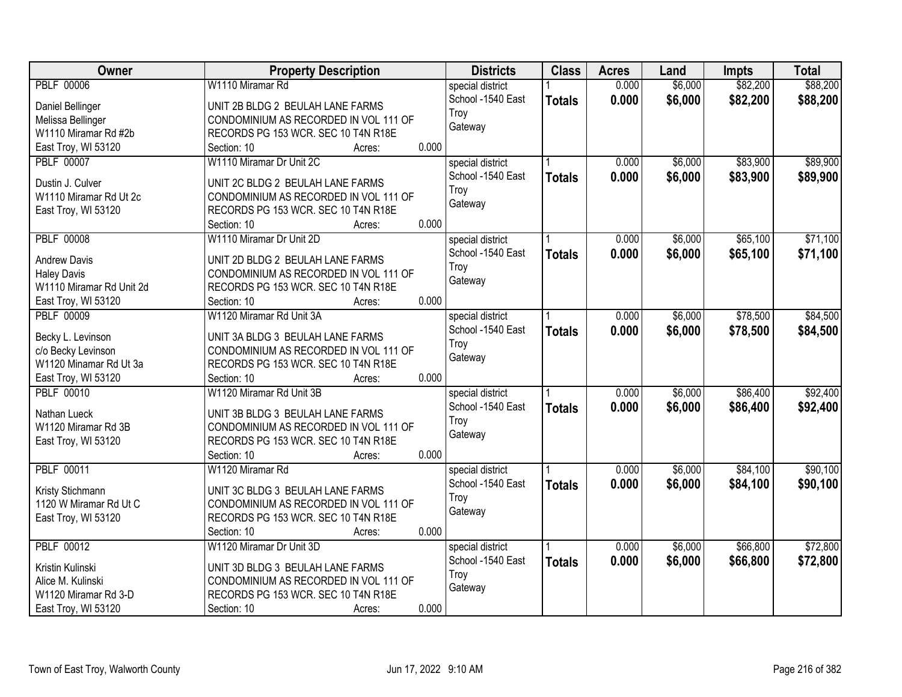| Owner                                          | <b>Property Description</b>           | <b>Districts</b>  | <b>Class</b>  | <b>Acres</b> | Land    | <b>Impts</b> | <b>Total</b> |
|------------------------------------------------|---------------------------------------|-------------------|---------------|--------------|---------|--------------|--------------|
| <b>PBLF 00006</b>                              | W1110 Miramar Rd                      | special district  |               | 0.000        | \$6,000 | \$82,200     | \$88,200     |
| Daniel Bellinger                               | UNIT 2B BLDG 2 BEULAH LANE FARMS      | School -1540 East | <b>Totals</b> | 0.000        | \$6,000 | \$82,200     | \$88,200     |
| Melissa Bellinger                              | CONDOMINIUM AS RECORDED IN VOL 111 OF | Troy              |               |              |         |              |              |
| W1110 Miramar Rd #2b                           | RECORDS PG 153 WCR. SEC 10 T4N R18E   | Gateway           |               |              |         |              |              |
| East Troy, WI 53120                            | 0.000<br>Section: 10<br>Acres:        |                   |               |              |         |              |              |
| <b>PBLF 00007</b>                              | W1110 Miramar Dr Unit 2C              | special district  |               | 0.000        | \$6,000 | \$83,900     | \$89,900     |
|                                                |                                       | School -1540 East |               | 0.000        | \$6,000 | \$83,900     |              |
| Dustin J. Culver                               | UNIT 2C BLDG 2 BEULAH LANE FARMS      | Troy              | <b>Totals</b> |              |         |              | \$89,900     |
| W1110 Miramar Rd Ut 2c                         | CONDOMINIUM AS RECORDED IN VOL 111 OF | Gateway           |               |              |         |              |              |
| East Troy, WI 53120                            | RECORDS PG 153 WCR. SEC 10 T4N R18E   |                   |               |              |         |              |              |
|                                                | 0.000<br>Section: 10<br>Acres:        |                   |               |              |         |              |              |
| <b>PBLF 00008</b>                              | W1110 Miramar Dr Unit 2D              | special district  |               | 0.000        | \$6,000 | \$65,100     | \$71,100     |
|                                                | UNIT 2D BLDG 2 BEULAH LANE FARMS      | School -1540 East | <b>Totals</b> | 0.000        | \$6,000 | \$65,100     | \$71,100     |
| <b>Andrew Davis</b>                            | CONDOMINIUM AS RECORDED IN VOL 111 OF | Troy              |               |              |         |              |              |
| <b>Haley Davis</b><br>W1110 Miramar Rd Unit 2d | RECORDS PG 153 WCR. SEC 10 T4N R18E   | Gateway           |               |              |         |              |              |
|                                                | 0.000<br>Section: 10                  |                   |               |              |         |              |              |
| East Troy, WI 53120                            | Acres:<br>W1120 Miramar Rd Unit 3A    |                   |               |              |         |              |              |
| <b>PBLF 00009</b>                              |                                       | special district  |               | 0.000        | \$6,000 | \$78,500     | \$84,500     |
| Becky L. Levinson                              | UNIT 3A BLDG 3 BEULAH LANE FARMS      | School -1540 East | <b>Totals</b> | 0.000        | \$6,000 | \$78,500     | \$84,500     |
| c/o Becky Levinson                             | CONDOMINIUM AS RECORDED IN VOL 111 OF | Troy              |               |              |         |              |              |
| W1120 Minamar Rd Ut 3a                         | RECORDS PG 153 WCR. SEC 10 T4N R18E   | Gateway           |               |              |         |              |              |
| East Troy, WI 53120                            | 0.000<br>Section: 10<br>Acres:        |                   |               |              |         |              |              |
| <b>PBLF 00010</b>                              | W1120 Miramar Rd Unit 3B              | special district  |               | 0.000        | \$6,000 | \$86,400     | \$92,400     |
|                                                |                                       | School -1540 East | <b>Totals</b> | 0.000        | \$6,000 | \$86,400     | \$92,400     |
| Nathan Lueck                                   | UNIT 3B BLDG 3 BEULAH LANE FARMS      | Troy              |               |              |         |              |              |
| W1120 Miramar Rd 3B                            | CONDOMINIUM AS RECORDED IN VOL 111 OF | Gateway           |               |              |         |              |              |
| East Troy, WI 53120                            | RECORDS PG 153 WCR. SEC 10 T4N R18E   |                   |               |              |         |              |              |
|                                                | 0.000<br>Section: 10<br>Acres:        |                   |               |              |         |              |              |
| <b>PBLF 00011</b>                              | W1120 Miramar Rd                      | special district  |               | 0.000        | \$6,000 | \$84,100     | \$90,100     |
| Kristy Stichmann                               | UNIT 3C BLDG 3 BEULAH LANE FARMS      | School -1540 East | <b>Totals</b> | 0.000        | \$6,000 | \$84,100     | \$90,100     |
| 1120 W Miramar Rd Ut C                         | CONDOMINIUM AS RECORDED IN VOL 111 OF | Troy              |               |              |         |              |              |
| East Troy, WI 53120                            | RECORDS PG 153 WCR. SEC 10 T4N R18E   | Gateway           |               |              |         |              |              |
|                                                | 0.000<br>Section: 10<br>Acres:        |                   |               |              |         |              |              |
| <b>PBLF 00012</b>                              | W1120 Miramar Dr Unit 3D              | special district  |               | 0.000        | \$6,000 | \$66,800     | \$72,800     |
|                                                |                                       | School -1540 East | <b>Totals</b> | 0.000        | \$6,000 | \$66,800     | \$72,800     |
| Kristin Kulinski                               | UNIT 3D BLDG 3 BEULAH LANE FARMS      | Troy              |               |              |         |              |              |
| Alice M. Kulinski                              | CONDOMINIUM AS RECORDED IN VOL 111 OF | Gateway           |               |              |         |              |              |
| W1120 Miramar Rd 3-D                           | RECORDS PG 153 WCR. SEC 10 T4N R18E   |                   |               |              |         |              |              |
| East Troy, WI 53120                            | 0.000<br>Section: 10<br>Acres:        |                   |               |              |         |              |              |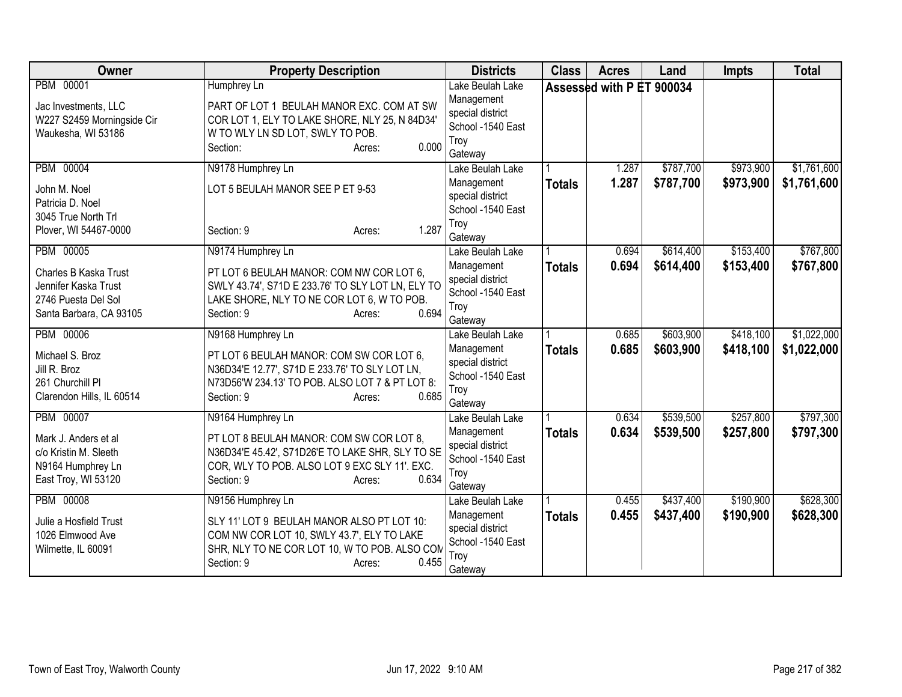| <b>Owner</b>                                                                                                        | <b>Property Description</b>                                                                                                                                                                         | <b>Districts</b>                                                                           | <b>Class</b>  | <b>Acres</b>              | Land                   | <b>Impts</b>           | <b>Total</b>               |
|---------------------------------------------------------------------------------------------------------------------|-----------------------------------------------------------------------------------------------------------------------------------------------------------------------------------------------------|--------------------------------------------------------------------------------------------|---------------|---------------------------|------------------------|------------------------|----------------------------|
| PBM 00001<br>Jac Investments, LLC<br>W227 S2459 Morningside Cir<br>Waukesha, WI 53186                               | Humphrey Ln<br>PART OF LOT 1 BEULAH MANOR EXC. COM AT SW<br>COR LOT 1, ELY TO LAKE SHORE, NLY 25, N 84D34'<br>W TO WLY LN SD LOT, SWLY TO POB.<br>0.000<br>Section:<br>Acres:                       | Lake Beulah Lake<br>Management<br>special district<br>School -1540 East<br>Troy<br>Gateway |               | Assessed with P ET 900034 |                        |                        |                            |
| <b>PBM 00004</b><br>John M. Noel<br>Patricia D. Noel<br>3045 True North Trl<br>Plover, WI 54467-0000                | N9178 Humphrey Ln<br>LOT 5 BEULAH MANOR SEE P ET 9-53<br>1.287<br>Section: 9<br>Acres:                                                                                                              | Lake Beulah Lake<br>Management<br>special district<br>School -1540 East<br>Troy<br>Gateway | <b>Totals</b> | 1.287<br>1.287            | \$787,700<br>\$787,700 | \$973,900<br>\$973,900 | \$1,761,600<br>\$1,761,600 |
| <b>PBM 00005</b><br>Charles B Kaska Trust<br>Jennifer Kaska Trust<br>2746 Puesta Del Sol<br>Santa Barbara, CA 93105 | N9174 Humphrey Ln<br>PT LOT 6 BEULAH MANOR: COM NW COR LOT 6,<br>SWLY 43.74', S71D E 233.76' TO SLY LOT LN, ELY TO<br>LAKE SHORE, NLY TO NE COR LOT 6, W TO POB.<br>0.694<br>Section: 9<br>Acres:   | Lake Beulah Lake<br>Management<br>special district<br>School -1540 East<br>Troy<br>Gateway | <b>Totals</b> | 0.694<br>0.694            | \$614,400<br>\$614,400 | \$153,400<br>\$153,400 | \$767,800<br>\$767,800     |
| <b>PBM 00006</b><br>Michael S. Broz<br>Jill R. Broz<br>261 Churchill Pl<br>Clarendon Hills, IL 60514                | N9168 Humphrey Ln<br>PT LOT 6 BEULAH MANOR: COM SW COR LOT 6,<br>N36D34'E 12.77', S71D E 233.76' TO SLY LOT LN,<br>N73D56'W 234.13' TO POB. ALSO LOT 7 & PT LOT 8:<br>0.685<br>Section: 9<br>Acres: | Lake Beulah Lake<br>Management<br>special district<br>School -1540 East<br>Troy<br>Gateway | <b>Totals</b> | 0.685<br>0.685            | \$603,900<br>\$603,900 | \$418,100<br>\$418,100 | \$1,022,000<br>\$1,022,000 |
| PBM 00007<br>Mark J. Anders et al<br>c/o Kristin M. Sleeth<br>N9164 Humphrey Ln<br>East Troy, WI 53120              | N9164 Humphrey Ln<br>PT LOT 8 BEULAH MANOR: COM SW COR LOT 8,<br>N36D34'E 45.42', S71D26'E TO LAKE SHR, SLY TO SE<br>COR, WLY TO POB. ALSO LOT 9 EXC SLY 11'. EXC.<br>0.634<br>Section: 9<br>Acres: | Lake Beulah Lake<br>Management<br>special district<br>School -1540 East<br>Troy<br>Gateway | <b>Totals</b> | 0.634<br>0.634            | \$539,500<br>\$539,500 | \$257,800<br>\$257,800 | \$797,300<br>\$797,300     |
| <b>PBM 00008</b><br>Julie a Hosfield Trust<br>1026 Elmwood Ave<br>Wilmette, IL 60091                                | N9156 Humphrey Ln<br>SLY 11' LOT 9 BEULAH MANOR ALSO PT LOT 10:<br>COM NW COR LOT 10, SWLY 43.7', ELY TO LAKE<br>SHR, NLY TO NE COR LOT 10, W TO POB. ALSO COM<br>0.455<br>Section: 9<br>Acres:     | Lake Beulah Lake<br>Management<br>special district<br>School -1540 East<br>Troy<br>Gateway | <b>Totals</b> | 0.455<br>0.455            | \$437,400<br>\$437,400 | \$190,900<br>\$190,900 | \$628,300<br>\$628,300     |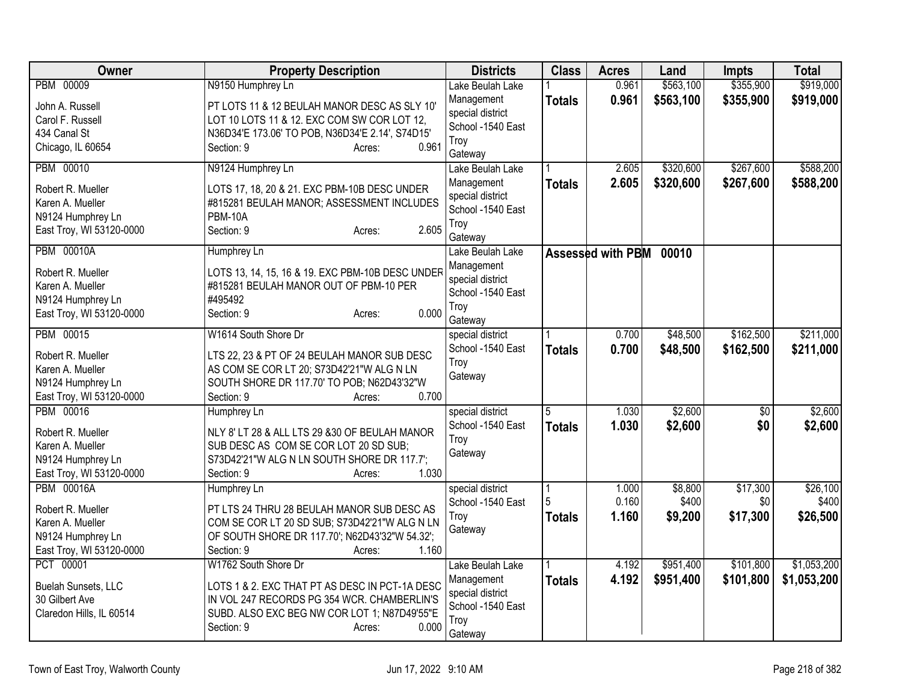| Owner                                 | <b>Property Description</b>                      | <b>Districts</b>            | <b>Class</b>  | <b>Acres</b>      | Land      | <b>Impts</b>    | <b>Total</b> |
|---------------------------------------|--------------------------------------------------|-----------------------------|---------------|-------------------|-----------|-----------------|--------------|
| PBM 00009                             | N9150 Humphrey Ln                                | Lake Beulah Lake            |               | 0.961             | \$563,100 | \$355,900       | \$919,000    |
| John A. Russell                       | PT LOTS 11 & 12 BEULAH MANOR DESC AS SLY 10'     | Management                  | <b>Totals</b> | 0.961             | \$563,100 | \$355,900       | \$919,000    |
| Carol F. Russell                      | LOT 10 LOTS 11 & 12. EXC COM SW COR LOT 12,      | special district            |               |                   |           |                 |              |
| 434 Canal St                          | N36D34'E 173.06' TO POB, N36D34'E 2.14', S74D15' | School -1540 East           |               |                   |           |                 |              |
| Chicago, IL 60654                     | 0.961<br>Section: 9<br>Acres:                    | Troy                        |               |                   |           |                 |              |
| PBM 00010                             | N9124 Humphrey Ln                                | Gateway<br>Lake Beulah Lake |               | 2.605             | \$320,600 | \$267,600       | \$588,200    |
|                                       |                                                  | Management                  | <b>Totals</b> | 2.605             | \$320,600 | \$267,600       | \$588,200    |
| Robert R. Mueller                     | LOTS 17, 18, 20 & 21. EXC PBM-10B DESC UNDER     | special district            |               |                   |           |                 |              |
| Karen A. Mueller                      | #815281 BEULAH MANOR; ASSESSMENT INCLUDES        | School -1540 East           |               |                   |           |                 |              |
| N9124 Humphrey Ln                     | <b>PBM-10A</b>                                   | Troy                        |               |                   |           |                 |              |
| East Troy, WI 53120-0000              | 2.605<br>Section: 9<br>Acres:                    | Gateway                     |               |                   |           |                 |              |
| <b>PBM 00010A</b>                     | Humphrey Ln                                      | Lake Beulah Lake            |               | Assessed with PBM | 00010     |                 |              |
|                                       |                                                  | Management                  |               |                   |           |                 |              |
| Robert R. Mueller                     | LOTS 13, 14, 15, 16 & 19. EXC PBM-10B DESC UNDER | special district            |               |                   |           |                 |              |
| Karen A. Mueller                      | #815281 BEULAH MANOR OUT OF PBM-10 PER           | School -1540 East           |               |                   |           |                 |              |
| N9124 Humphrey Ln                     | #495492                                          | Trov                        |               |                   |           |                 |              |
| East Troy, WI 53120-0000              | 0.000<br>Section: 9<br>Acres:                    | Gateway                     |               |                   |           |                 |              |
| PBM 00015                             | W1614 South Shore Dr                             | special district            |               | 0.700             | \$48,500  | \$162,500       | \$211,000    |
| Robert R. Mueller                     | LTS 22, 23 & PT OF 24 BEULAH MANOR SUB DESC      | School -1540 East           | <b>Totals</b> | 0.700             | \$48,500  | \$162,500       | \$211,000    |
|                                       | AS COM SE COR LT 20; S73D42'21"W ALG N LN        | Troy                        |               |                   |           |                 |              |
| Karen A. Mueller<br>N9124 Humphrey Ln | SOUTH SHORE DR 117.70' TO POB; N62D43'32"W       | Gateway                     |               |                   |           |                 |              |
| East Troy, WI 53120-0000              | 0.700<br>Section: 9<br>Acres:                    |                             |               |                   |           |                 |              |
| PBM 00016                             | Humphrey Ln                                      | special district            | 5             | 1.030             | \$2,600   | $\overline{50}$ | \$2,600      |
|                                       |                                                  | School -1540 East           | <b>Totals</b> | 1.030             | \$2,600   | \$0             | \$2,600      |
| Robert R. Mueller                     | NLY 8' LT 28 & ALL LTS 29 &30 OF BEULAH MANOR    | Troy                        |               |                   |           |                 |              |
| Karen A. Mueller                      | SUB DESC AS COM SE COR LOT 20 SD SUB;            | Gateway                     |               |                   |           |                 |              |
| N9124 Humphrey Ln                     | S73D42'21"W ALG N LN SOUTH SHORE DR 117.7';      |                             |               |                   |           |                 |              |
| East Troy, WI 53120-0000              | 1.030<br>Section: 9<br>Acres:                    |                             |               |                   |           |                 |              |
| <b>PBM 00016A</b>                     | Humphrey Ln                                      | special district            |               | 1.000             | \$8,800   | \$17,300        | \$26,100     |
| Robert R. Mueller                     | PT LTS 24 THRU 28 BEULAH MANOR SUB DESC AS       | School -1540 East           |               | 0.160             | \$400     | \$0             | \$400        |
| Karen A. Mueller                      | COM SE COR LT 20 SD SUB; S73D42'21"W ALG N LN    | Troy                        | <b>Totals</b> | 1.160             | \$9,200   | \$17,300        | \$26,500     |
| N9124 Humphrey Ln                     | OF SOUTH SHORE DR 117.70'; N62D43'32"W 54.32';   | Gateway                     |               |                   |           |                 |              |
| East Troy, WI 53120-0000              | 1.160<br>Section: 9<br>Acres:                    |                             |               |                   |           |                 |              |
| PCT 00001                             | W1762 South Shore Dr                             | Lake Beulah Lake            |               | 4.192             | \$951,400 | \$101,800       | \$1,053,200  |
|                                       |                                                  | Management                  | <b>Totals</b> | 4.192             | \$951,400 | \$101,800       | \$1,053,200  |
| Buelah Sunsets, LLC                   | LOTS 1 & 2. EXC THAT PT AS DESC IN PCT-1A DESC   | special district            |               |                   |           |                 |              |
| 30 Gilbert Ave                        | IN VOL 247 RECORDS PG 354 WCR. CHAMBERLIN'S      | School -1540 East           |               |                   |           |                 |              |
| Claredon Hills, IL 60514              | SUBD. ALSO EXC BEG NW COR LOT 1; N87D49'55"E     | Troy                        |               |                   |           |                 |              |
|                                       | Section: 9<br>0.000<br>Acres:                    | Gateway                     |               |                   |           |                 |              |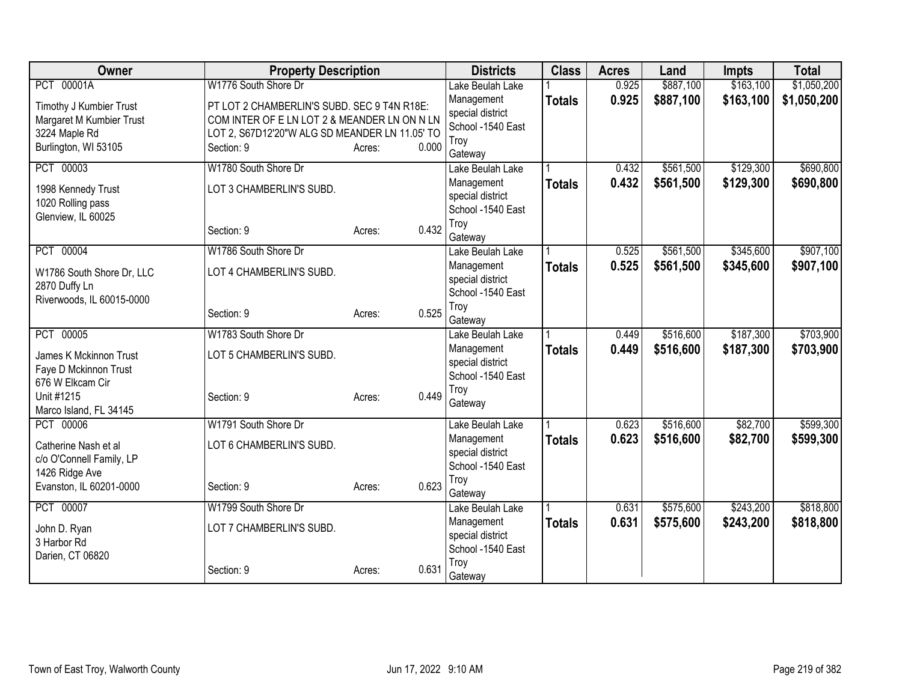| <b>Owner</b>                            | <b>Property Description</b>                    |        | <b>Districts</b>                      | <b>Class</b>  | <b>Acres</b> | Land      | <b>Impts</b> | <b>Total</b> |
|-----------------------------------------|------------------------------------------------|--------|---------------------------------------|---------------|--------------|-----------|--------------|--------------|
| PCT 00001A                              | W1776 South Shore Dr                           |        | Lake Beulah Lake                      |               | 0.925        | \$887,100 | \$163,100    | \$1,050,200  |
| Timothy J Kumbier Trust                 | PT LOT 2 CHAMBERLIN'S SUBD. SEC 9 T4N R18E:    |        | Management                            | <b>Totals</b> | 0.925        | \$887,100 | \$163,100    | \$1,050,200  |
| Margaret M Kumbier Trust                | COM INTER OF E LN LOT 2 & MEANDER LN ON N LN   |        | special district                      |               |              |           |              |              |
| 3224 Maple Rd                           | LOT 2, S67D12'20"W ALG SD MEANDER LN 11.05' TO |        | School -1540 East                     |               |              |           |              |              |
| Burlington, WI 53105                    | Section: 9                                     | Acres: | Troy<br>0.000<br>Gateway              |               |              |           |              |              |
| PCT 00003                               | W1780 South Shore Dr                           |        | Lake Beulah Lake                      |               | 0.432        | \$561,500 | \$129,300    | \$690,800    |
|                                         |                                                |        | Management                            | <b>Totals</b> | 0.432        | \$561,500 | \$129,300    | \$690,800    |
| 1998 Kennedy Trust<br>1020 Rolling pass | LOT 3 CHAMBERLIN'S SUBD.                       |        | special district                      |               |              |           |              |              |
| Glenview, IL 60025                      |                                                |        | School -1540 East                     |               |              |           |              |              |
|                                         | Section: 9                                     | Acres: | Troy<br>0.432                         |               |              |           |              |              |
|                                         |                                                |        | Gateway                               |               |              |           |              |              |
| PCT 00004                               | W1786 South Shore Dr                           |        | Lake Beulah Lake                      |               | 0.525        | \$561,500 | \$345,600    | \$907,100    |
| W1786 South Shore Dr, LLC               | LOT 4 CHAMBERLIN'S SUBD.                       |        | Management<br>special district        | <b>Totals</b> | 0.525        | \$561,500 | \$345,600    | \$907,100    |
| 2870 Duffy Ln                           |                                                |        | School -1540 East                     |               |              |           |              |              |
| Riverwoods, IL 60015-0000               |                                                |        | Troy                                  |               |              |           |              |              |
|                                         | Section: 9                                     | Acres: | 0.525<br>Gateway                      |               |              |           |              |              |
| PCT 00005                               | W1783 South Shore Dr                           |        | Lake Beulah Lake                      |               | 0.449        | \$516,600 | \$187,300    | \$703,900    |
| <b>James K Mckinnon Trust</b>           | LOT 5 CHAMBERLIN'S SUBD.                       |        | Management                            | <b>Totals</b> | 0.449        | \$516,600 | \$187,300    | \$703,900    |
| Faye D Mckinnon Trust                   |                                                |        | special district                      |               |              |           |              |              |
| 676 W Elkcam Cir                        |                                                |        | School -1540 East                     |               |              |           |              |              |
| Unit #1215                              | Section: 9                                     | Acres: | Troy<br>0.449<br>Gateway              |               |              |           |              |              |
| Marco Island, FL 34145                  |                                                |        |                                       |               |              |           |              |              |
| PCT 00006                               | W1791 South Shore Dr                           |        | Lake Beulah Lake                      |               | 0.623        | \$516,600 | \$82,700     | \$599,300    |
| Catherine Nash et al                    | LOT 6 CHAMBERLIN'S SUBD.                       |        | Management                            | <b>Totals</b> | 0.623        | \$516,600 | \$82,700     | \$599,300    |
| c/o O'Connell Family, LP                |                                                |        | special district<br>School -1540 East |               |              |           |              |              |
| 1426 Ridge Ave                          |                                                |        | Troy                                  |               |              |           |              |              |
| Evanston, IL 60201-0000                 | Section: 9                                     | Acres: | 0.623<br>Gateway                      |               |              |           |              |              |
| PCT 00007                               | W1799 South Shore Dr                           |        | Lake Beulah Lake                      |               | 0.631        | \$575,600 | \$243,200    | \$818,800    |
| John D. Ryan                            | LOT 7 CHAMBERLIN'S SUBD.                       |        | Management                            | <b>Totals</b> | 0.631        | \$575,600 | \$243,200    | \$818,800    |
| 3 Harbor Rd                             |                                                |        | special district                      |               |              |           |              |              |
| Darien, CT 06820                        |                                                |        | School -1540 East                     |               |              |           |              |              |
|                                         | Section: 9                                     | Acres: | Troy<br>0.631<br>Gateway              |               |              |           |              |              |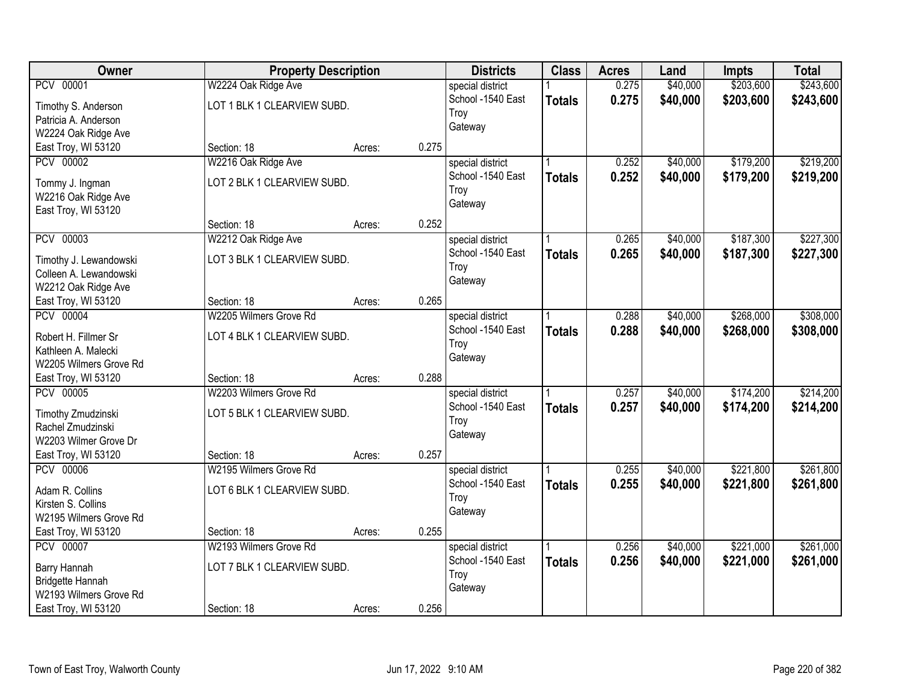| Owner                  |                             | <b>Property Description</b> |       | <b>Districts</b>  | <b>Class</b>  | <b>Acres</b> | Land     | <b>Impts</b> | <b>Total</b> |
|------------------------|-----------------------------|-----------------------------|-------|-------------------|---------------|--------------|----------|--------------|--------------|
| PCV 00001              | W2224 Oak Ridge Ave         |                             |       | special district  |               | 0.275        | \$40,000 | \$203,600    | \$243,600    |
| Timothy S. Anderson    | LOT 1 BLK 1 CLEARVIEW SUBD. |                             |       | School -1540 East | <b>Totals</b> | 0.275        | \$40,000 | \$203,600    | \$243,600    |
| Patricia A. Anderson   |                             |                             |       | Troy              |               |              |          |              |              |
| W2224 Oak Ridge Ave    |                             |                             |       | Gateway           |               |              |          |              |              |
| East Troy, WI 53120    | Section: 18                 | Acres:                      | 0.275 |                   |               |              |          |              |              |
| <b>PCV 00002</b>       | W2216 Oak Ridge Ave         |                             |       | special district  |               | 0.252        | \$40,000 | \$179,200    | \$219,200    |
|                        |                             |                             |       | School -1540 East | <b>Totals</b> | 0.252        | \$40,000 | \$179,200    | \$219,200    |
| Tommy J. Ingman        | LOT 2 BLK 1 CLEARVIEW SUBD. |                             |       | Troy              |               |              |          |              |              |
| W2216 Oak Ridge Ave    |                             |                             |       | Gateway           |               |              |          |              |              |
| East Troy, WI 53120    |                             |                             |       |                   |               |              |          |              |              |
|                        | Section: 18                 | Acres:                      | 0.252 |                   |               |              |          |              |              |
| PCV 00003              | W2212 Oak Ridge Ave         |                             |       | special district  |               | 0.265        | \$40,000 | \$187,300    | \$227,300    |
| Timothy J. Lewandowski | LOT 3 BLK 1 CLEARVIEW SUBD. |                             |       | School -1540 East | <b>Totals</b> | 0.265        | \$40,000 | \$187,300    | \$227,300    |
| Colleen A. Lewandowski |                             |                             |       | Troy              |               |              |          |              |              |
| W2212 Oak Ridge Ave    |                             |                             |       | Gateway           |               |              |          |              |              |
| East Troy, WI 53120    | Section: 18                 | Acres:                      | 0.265 |                   |               |              |          |              |              |
| <b>PCV 00004</b>       | W2205 Wilmers Grove Rd      |                             |       | special district  |               | 0.288        | \$40,000 | \$268,000    | \$308,000    |
| Robert H. Fillmer Sr   | LOT 4 BLK 1 CLEARVIEW SUBD. |                             |       | School -1540 East | <b>Totals</b> | 0.288        | \$40,000 | \$268,000    | \$308,000    |
| Kathleen A. Malecki    |                             |                             |       | Troy              |               |              |          |              |              |
| W2205 Wilmers Grove Rd |                             |                             |       | Gateway           |               |              |          |              |              |
| East Troy, WI 53120    | Section: 18                 | Acres:                      | 0.288 |                   |               |              |          |              |              |
| <b>PCV 00005</b>       | W2203 Wilmers Grove Rd      |                             |       | special district  |               | 0.257        | \$40,000 | \$174,200    | \$214,200    |
|                        |                             |                             |       | School -1540 East |               |              |          |              |              |
| Timothy Zmudzinski     | LOT 5 BLK 1 CLEARVIEW SUBD. |                             |       | Troy              | <b>Totals</b> | 0.257        | \$40,000 | \$174,200    | \$214,200    |
| Rachel Zmudzinski      |                             |                             |       | Gateway           |               |              |          |              |              |
| W2203 Wilmer Grove Dr  |                             |                             |       |                   |               |              |          |              |              |
| East Troy, WI 53120    | Section: 18                 | Acres:                      | 0.257 |                   |               |              |          |              |              |
| <b>PCV 00006</b>       | W2195 Wilmers Grove Rd      |                             |       | special district  |               | 0.255        | \$40,000 | \$221,800    | \$261,800    |
| Adam R. Collins        | LOT 6 BLK 1 CLEARVIEW SUBD. |                             |       | School -1540 East | <b>Totals</b> | 0.255        | \$40,000 | \$221,800    | \$261,800    |
| Kirsten S. Collins     |                             |                             |       | Troy              |               |              |          |              |              |
| W2195 Wilmers Grove Rd |                             |                             |       | Gateway           |               |              |          |              |              |
| East Troy, WI 53120    | Section: 18                 | Acres:                      | 0.255 |                   |               |              |          |              |              |
| PCV 00007              | W2193 Wilmers Grove Rd      |                             |       | special district  |               | 0.256        | \$40,000 | \$221,000    | \$261,000    |
|                        |                             |                             |       | School -1540 East | <b>Totals</b> | 0.256        | \$40,000 | \$221,000    | \$261,000    |
| Barry Hannah           | LOT 7 BLK 1 CLEARVIEW SUBD. |                             |       | Troy              |               |              |          |              |              |
| Bridgette Hannah       |                             |                             |       | Gateway           |               |              |          |              |              |
| W2193 Wilmers Grove Rd |                             |                             |       |                   |               |              |          |              |              |
| East Troy, WI 53120    | Section: 18                 | Acres:                      | 0.256 |                   |               |              |          |              |              |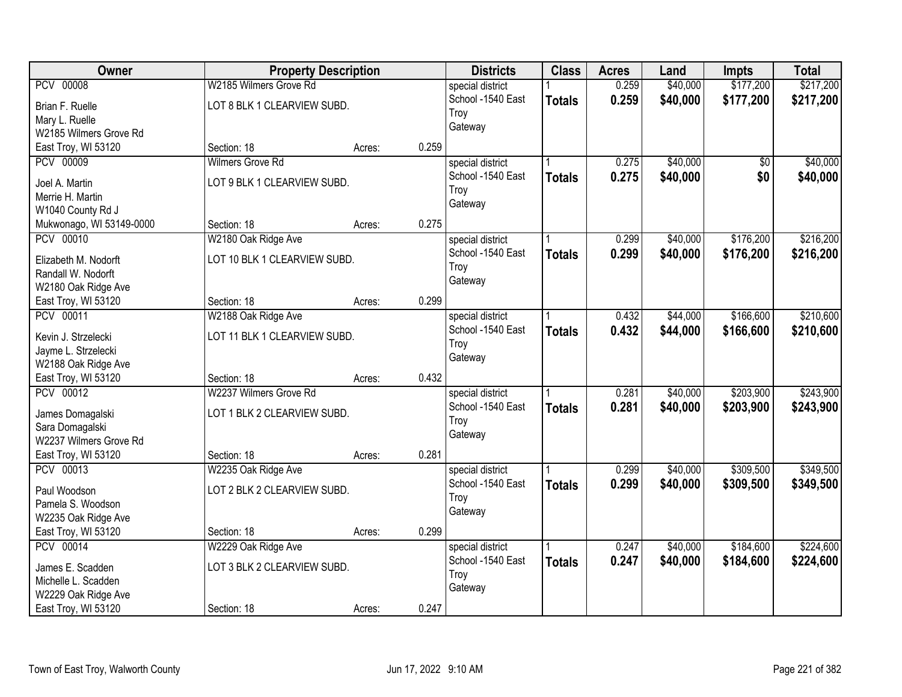| Owner                    |                              | <b>Property Description</b> |       | <b>Districts</b>  | <b>Class</b>  | <b>Acres</b> | Land     | <b>Impts</b>    | <b>Total</b> |
|--------------------------|------------------------------|-----------------------------|-------|-------------------|---------------|--------------|----------|-----------------|--------------|
| <b>PCV 00008</b>         | W2185 Wilmers Grove Rd       |                             |       | special district  |               | 0.259        | \$40,000 | \$177,200       | \$217,200    |
| Brian F. Ruelle          | LOT 8 BLK 1 CLEARVIEW SUBD.  |                             |       | School -1540 East | <b>Totals</b> | 0.259        | \$40,000 | \$177,200       | \$217,200    |
| Mary L. Ruelle           |                              |                             |       | Troy              |               |              |          |                 |              |
| W2185 Wilmers Grove Rd   |                              |                             |       | Gateway           |               |              |          |                 |              |
| East Troy, WI 53120      | Section: 18                  | Acres:                      | 0.259 |                   |               |              |          |                 |              |
| <b>PCV 00009</b>         | Wilmers Grove Rd             |                             |       | special district  |               | 0.275        | \$40,000 | $\overline{50}$ | \$40,000     |
|                          |                              |                             |       | School -1540 East | <b>Totals</b> | 0.275        | \$40,000 | \$0             | \$40,000     |
| Joel A. Martin           | LOT 9 BLK 1 CLEARVIEW SUBD.  |                             |       | Troy              |               |              |          |                 |              |
| Merrie H. Martin         |                              |                             |       | Gateway           |               |              |          |                 |              |
| W1040 County Rd J        |                              |                             | 0.275 |                   |               |              |          |                 |              |
| Mukwonago, WI 53149-0000 | Section: 18                  | Acres:                      |       |                   |               |              |          |                 |              |
| PCV 00010                | W2180 Oak Ridge Ave          |                             |       | special district  |               | 0.299        | \$40,000 | \$176,200       | \$216,200    |
| Elizabeth M. Nodorft     | LOT 10 BLK 1 CLEARVIEW SUBD. |                             |       | School -1540 East | <b>Totals</b> | 0.299        | \$40,000 | \$176,200       | \$216,200    |
| Randall W. Nodorft       |                              |                             |       | Troy              |               |              |          |                 |              |
| W2180 Oak Ridge Ave      |                              |                             |       | Gateway           |               |              |          |                 |              |
| East Troy, WI 53120      | Section: 18                  | Acres:                      | 0.299 |                   |               |              |          |                 |              |
| PCV 00011                | W2188 Oak Ridge Ave          |                             |       | special district  |               | 0.432        | \$44,000 | \$166,600       | \$210,600    |
|                          |                              |                             |       | School -1540 East | <b>Totals</b> | 0.432        | \$44,000 | \$166,600       | \$210,600    |
| Kevin J. Strzelecki      | LOT 11 BLK 1 CLEARVIEW SUBD. |                             |       | Troy              |               |              |          |                 |              |
| Jayme L. Strzelecki      |                              |                             |       | Gateway           |               |              |          |                 |              |
| W2188 Oak Ridge Ave      |                              |                             |       |                   |               |              |          |                 |              |
| East Troy, WI 53120      | Section: 18                  | Acres:                      | 0.432 |                   |               |              |          |                 |              |
| <b>PCV 00012</b>         | W2237 Wilmers Grove Rd       |                             |       | special district  |               | 0.281        | \$40,000 | \$203,900       | \$243,900    |
| James Domagalski         | LOT 1 BLK 2 CLEARVIEW SUBD.  |                             |       | School -1540 East | <b>Totals</b> | 0.281        | \$40,000 | \$203,900       | \$243,900    |
| Sara Domagalski          |                              |                             |       | Troy              |               |              |          |                 |              |
| W2237 Wilmers Grove Rd   |                              |                             |       | Gateway           |               |              |          |                 |              |
| East Troy, WI 53120      | Section: 18                  | Acres:                      | 0.281 |                   |               |              |          |                 |              |
| PCV 00013                | W2235 Oak Ridge Ave          |                             |       | special district  |               | 0.299        | \$40,000 | \$309,500       | \$349,500    |
| Paul Woodson             | LOT 2 BLK 2 CLEARVIEW SUBD.  |                             |       | School -1540 East | <b>Totals</b> | 0.299        | \$40,000 | \$309,500       | \$349,500    |
| Pamela S. Woodson        |                              |                             |       | Troy              |               |              |          |                 |              |
| W2235 Oak Ridge Ave      |                              |                             |       | Gateway           |               |              |          |                 |              |
| East Troy, WI 53120      | Section: 18                  | Acres:                      | 0.299 |                   |               |              |          |                 |              |
| PCV 00014                |                              |                             |       |                   |               | 0.247        | \$40,000 | \$184,600       | \$224,600    |
|                          | W2229 Oak Ridge Ave          |                             |       | special district  |               |              |          |                 |              |
| James E. Scadden         | LOT 3 BLK 2 CLEARVIEW SUBD.  |                             |       | School -1540 East | <b>Totals</b> | 0.247        | \$40,000 | \$184,600       | \$224,600    |
| Michelle L. Scadden      |                              |                             |       | Troy              |               |              |          |                 |              |
| W2229 Oak Ridge Ave      |                              |                             |       | Gateway           |               |              |          |                 |              |
| East Troy, WI 53120      | Section: 18                  | Acres:                      | 0.247 |                   |               |              |          |                 |              |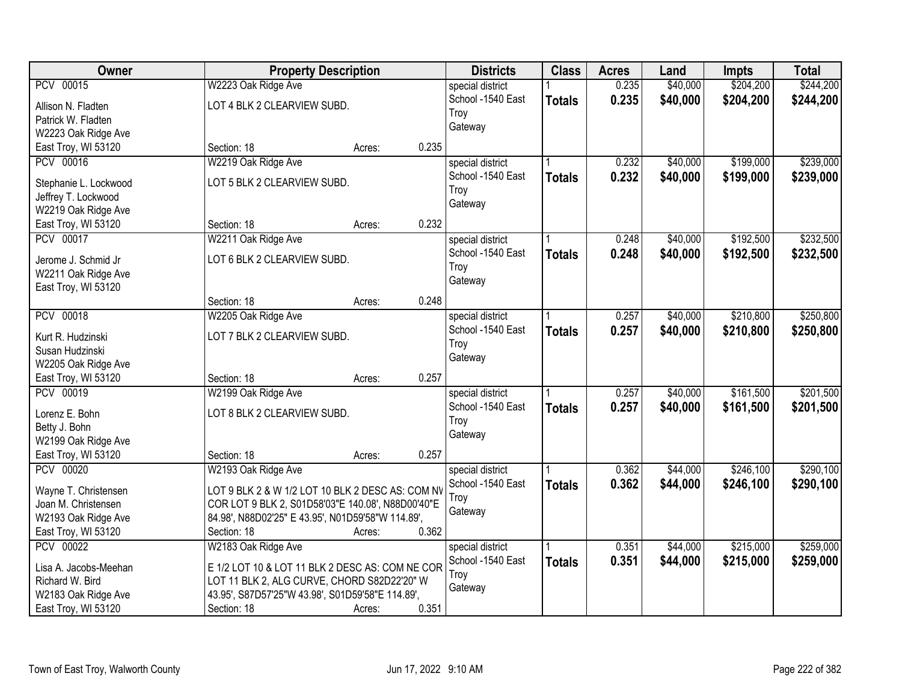| Owner                                        |                                                   | <b>Property Description</b> |       | <b>Districts</b>  | <b>Class</b>  | <b>Acres</b> | Land     | <b>Impts</b> | <b>Total</b> |
|----------------------------------------------|---------------------------------------------------|-----------------------------|-------|-------------------|---------------|--------------|----------|--------------|--------------|
| PCV 00015                                    | W2223 Oak Ridge Ave                               |                             |       | special district  |               | 0.235        | \$40,000 | \$204,200    | \$244,200    |
| Allison N. Fladten                           | LOT 4 BLK 2 CLEARVIEW SUBD.                       |                             |       | School -1540 East | <b>Totals</b> | 0.235        | \$40,000 | \$204,200    | \$244,200    |
| Patrick W. Fladten                           |                                                   |                             |       | Troy              |               |              |          |              |              |
| W2223 Oak Ridge Ave                          |                                                   |                             |       | Gateway           |               |              |          |              |              |
| East Troy, WI 53120                          | Section: 18                                       | Acres:                      | 0.235 |                   |               |              |          |              |              |
| PCV 00016                                    | W2219 Oak Ridge Ave                               |                             |       | special district  |               | 0.232        | \$40,000 | \$199,000    | \$239,000    |
|                                              | LOT 5 BLK 2 CLEARVIEW SUBD.                       |                             |       | School -1540 East | <b>Totals</b> | 0.232        | \$40,000 | \$199,000    | \$239,000    |
| Stephanie L. Lockwood<br>Jeffrey T. Lockwood |                                                   |                             |       | Troy              |               |              |          |              |              |
| W2219 Oak Ridge Ave                          |                                                   |                             |       | Gateway           |               |              |          |              |              |
| East Troy, WI 53120                          | Section: 18                                       | Acres:                      | 0.232 |                   |               |              |          |              |              |
| PCV 00017                                    | W2211 Oak Ridge Ave                               |                             |       | special district  |               | 0.248        | \$40,000 | \$192,500    | \$232,500    |
|                                              |                                                   |                             |       | School -1540 East | <b>Totals</b> | 0.248        | \$40,000 | \$192,500    | \$232,500    |
| Jerome J. Schmid Jr                          | LOT 6 BLK 2 CLEARVIEW SUBD.                       |                             |       | Troy              |               |              |          |              |              |
| W2211 Oak Ridge Ave                          |                                                   |                             |       | Gateway           |               |              |          |              |              |
| East Troy, WI 53120                          |                                                   |                             |       |                   |               |              |          |              |              |
|                                              | Section: 18                                       | Acres:                      | 0.248 |                   |               |              |          |              |              |
| <b>PCV 00018</b>                             | W2205 Oak Ridge Ave                               |                             |       | special district  |               | 0.257        | \$40,000 | \$210,800    | \$250,800    |
| Kurt R. Hudzinski                            | LOT 7 BLK 2 CLEARVIEW SUBD.                       |                             |       | School -1540 East | <b>Totals</b> | 0.257        | \$40,000 | \$210,800    | \$250,800    |
| Susan Hudzinski                              |                                                   |                             |       | Troy              |               |              |          |              |              |
| W2205 Oak Ridge Ave                          |                                                   |                             |       | Gateway           |               |              |          |              |              |
| East Troy, WI 53120                          | Section: 18                                       | Acres:                      | 0.257 |                   |               |              |          |              |              |
| <b>PCV 00019</b>                             | W2199 Oak Ridge Ave                               |                             |       | special district  |               | 0.257        | \$40,000 | \$161,500    | \$201,500    |
| Lorenz E. Bohn                               | LOT 8 BLK 2 CLEARVIEW SUBD.                       |                             |       | School -1540 East | <b>Totals</b> | 0.257        | \$40,000 | \$161,500    | \$201,500    |
| Betty J. Bohn                                |                                                   |                             |       | Troy              |               |              |          |              |              |
| W2199 Oak Ridge Ave                          |                                                   |                             |       | Gateway           |               |              |          |              |              |
| East Troy, WI 53120                          | Section: 18                                       | Acres:                      | 0.257 |                   |               |              |          |              |              |
| PCV 00020                                    | W2193 Oak Ridge Ave                               |                             |       | special district  |               | 0.362        | \$44,000 | \$246,100    | \$290,100    |
|                                              |                                                   |                             |       | School -1540 East | <b>Totals</b> | 0.362        | \$44,000 | \$246,100    | \$290,100    |
| Wayne T. Christensen                         | LOT 9 BLK 2 & W 1/2 LOT 10 BLK 2 DESC AS: COM NV  |                             |       | Troy              |               |              |          |              |              |
| Joan M. Christensen                          | COR LOT 9 BLK 2, S01D58'03"E 140.08', N88D00'40"E |                             |       | Gateway           |               |              |          |              |              |
| W2193 Oak Ridge Ave                          | 84.98', N88D02'25" E 43.95', N01D59'58"W 114.89', |                             |       |                   |               |              |          |              |              |
| East Troy, WI 53120                          | Section: 18                                       | Acres:                      | 0.362 |                   |               |              |          |              |              |
| <b>PCV 00022</b>                             | W2183 Oak Ridge Ave                               |                             |       | special district  |               | 0.351        | \$44,000 | \$215,000    | \$259,000    |
| Lisa A. Jacobs-Meehan                        | E 1/2 LOT 10 & LOT 11 BLK 2 DESC AS: COM NE COR   |                             |       | School -1540 East | <b>Totals</b> | 0.351        | \$44,000 | \$215,000    | \$259,000    |
| Richard W. Bird                              | LOT 11 BLK 2, ALG CURVE, CHORD S82D22'20" W       |                             |       | Troy              |               |              |          |              |              |
| W2183 Oak Ridge Ave                          | 43.95', S87D57'25"W 43.98', S01D59'58"E 114.89',  |                             |       | Gateway           |               |              |          |              |              |
| East Troy, WI 53120                          | Section: 18                                       | Acres:                      | 0.351 |                   |               |              |          |              |              |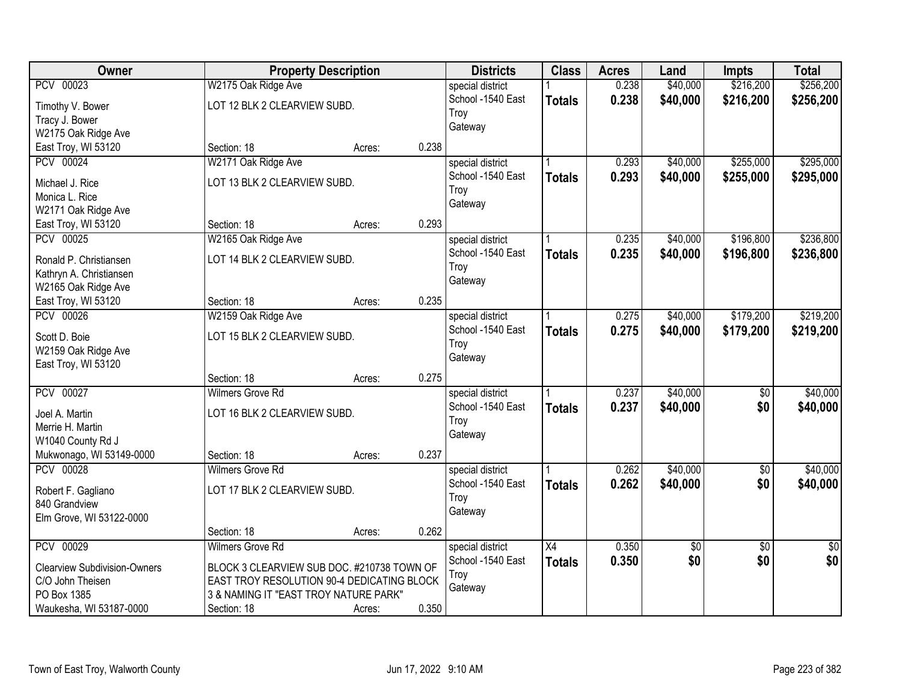| \$216,200<br>\$256,200<br>PCV 00023<br>W2175 Oak Ridge Ave<br>0.238<br>\$40,000<br>special district<br>0.238<br>\$40,000<br>School -1540 East<br>\$216,200<br>\$256,200<br><b>Totals</b><br>LOT 12 BLK 2 CLEARVIEW SUBD.<br>Timothy V. Bower<br>Troy<br>Tracy J. Bower<br>Gateway<br>W2175 Oak Ridge Ave<br>East Troy, WI 53120<br>0.238<br>Section: 18<br>Acres:<br>PCV 00024<br>W2171 Oak Ridge Ave<br>\$255,000<br>\$295,000<br>0.293<br>\$40,000<br>special district<br>0.293<br>School -1540 East<br>\$40,000<br>\$255,000<br><b>Totals</b><br>LOT 13 BLK 2 CLEARVIEW SUBD.<br>Michael J. Rice<br>Troy<br>Monica L. Rice<br>Gateway<br>W2171 Oak Ridge Ave<br>0.293<br>East Troy, WI 53120<br>Section: 18<br>Acres:<br>PCV 00025<br>\$40,000<br>\$196,800<br>\$236,800<br>W2165 Oak Ridge Ave<br>special district<br>0.235<br>School -1540 East<br>0.235<br>\$196,800<br>\$40,000<br><b>Totals</b><br>LOT 14 BLK 2 CLEARVIEW SUBD.<br>Ronald P. Christiansen<br>Troy<br>Kathryn A. Christiansen<br>Gateway<br>W2165 Oak Ridge Ave<br>0.235<br>East Troy, WI 53120<br>Section: 18<br>Acres:<br><b>PCV 00026</b><br>\$179,200<br>\$219,200<br>W2159 Oak Ridge Ave<br>0.275<br>\$40,000<br>special district<br>School -1540 East<br>0.275<br>\$40,000<br>\$179,200<br><b>Totals</b><br>LOT 15 BLK 2 CLEARVIEW SUBD.<br>Scott D. Boie<br>Troy<br>W2159 Oak Ridge Ave<br>Gateway<br>East Troy, WI 53120<br>0.275<br>Section: 18<br>Acres:<br>\$40,000<br><b>PCV 00027</b><br><b>Wilmers Grove Rd</b><br>0.237<br>$\overline{50}$<br>special district<br>0.237<br>School -1540 East<br>\$40,000<br>\$0<br>\$40,000<br><b>Totals</b><br>LOT 16 BLK 2 CLEARVIEW SUBD.<br>Joel A. Martin<br>Troy<br>Merrie H. Martin<br>Gateway<br>W1040 County Rd J<br>0.237<br>Mukwonago, WI 53149-0000<br>Section: 18<br>Acres:<br><b>PCV 00028</b><br>\$40,000<br><b>Wilmers Grove Rd</b><br>0.262<br>$\overline{60}$<br>special district<br>School -1540 East<br>0.262<br>\$40,000<br>\$0<br><b>Totals</b><br>LOT 17 BLK 2 CLEARVIEW SUBD.<br>Robert F. Gagliano<br>Troy<br>840 Grandview<br>Gateway<br>Elm Grove, WI 53122-0000<br>0.262<br>Section: 18<br>Acres:<br>PCV 00029<br><b>Wilmers Grove Rd</b><br>$\overline{X4}$<br>0.350<br>special district<br>\$0<br>$\overline{50}$<br>$\overline{50}$<br>\$0<br>0.350<br>\$0<br>\$0<br>School -1540 East<br><b>Totals</b><br><b>Clearview Subdivision-Owners</b><br>BLOCK 3 CLEARVIEW SUB DOC. #210738 TOWN OF<br>Troy<br>C/O John Theisen<br>EAST TROY RESOLUTION 90-4 DEDICATING BLOCK | Owner       | <b>Property Description</b> | <b>Districts</b> | <b>Class</b> | <b>Acres</b> | Land | <b>Impts</b> | <b>Total</b> |
|-----------------------------------------------------------------------------------------------------------------------------------------------------------------------------------------------------------------------------------------------------------------------------------------------------------------------------------------------------------------------------------------------------------------------------------------------------------------------------------------------------------------------------------------------------------------------------------------------------------------------------------------------------------------------------------------------------------------------------------------------------------------------------------------------------------------------------------------------------------------------------------------------------------------------------------------------------------------------------------------------------------------------------------------------------------------------------------------------------------------------------------------------------------------------------------------------------------------------------------------------------------------------------------------------------------------------------------------------------------------------------------------------------------------------------------------------------------------------------------------------------------------------------------------------------------------------------------------------------------------------------------------------------------------------------------------------------------------------------------------------------------------------------------------------------------------------------------------------------------------------------------------------------------------------------------------------------------------------------------------------------------------------------------------------------------------------------------------------------------------------------------------------------------------------------------------------------------------------------------------------------------------------------------------------------------------------------------------------------------------------------------------------------------------------------------------------------------------------------------------------------------------------------|-------------|-----------------------------|------------------|--------------|--------------|------|--------------|--------------|
| \$295,000<br>\$236,800<br>\$219,200<br>\$40,000<br>\$40,000                                                                                                                                                                                                                                                                                                                                                                                                                                                                                                                                                                                                                                                                                                                                                                                                                                                                                                                                                                                                                                                                                                                                                                                                                                                                                                                                                                                                                                                                                                                                                                                                                                                                                                                                                                                                                                                                                                                                                                                                                                                                                                                                                                                                                                                                                                                                                                                                                                                                 |             |                             |                  |              |              |      |              |              |
|                                                                                                                                                                                                                                                                                                                                                                                                                                                                                                                                                                                                                                                                                                                                                                                                                                                                                                                                                                                                                                                                                                                                                                                                                                                                                                                                                                                                                                                                                                                                                                                                                                                                                                                                                                                                                                                                                                                                                                                                                                                                                                                                                                                                                                                                                                                                                                                                                                                                                                                             |             |                             |                  |              |              |      |              |              |
|                                                                                                                                                                                                                                                                                                                                                                                                                                                                                                                                                                                                                                                                                                                                                                                                                                                                                                                                                                                                                                                                                                                                                                                                                                                                                                                                                                                                                                                                                                                                                                                                                                                                                                                                                                                                                                                                                                                                                                                                                                                                                                                                                                                                                                                                                                                                                                                                                                                                                                                             |             |                             |                  |              |              |      |              |              |
|                                                                                                                                                                                                                                                                                                                                                                                                                                                                                                                                                                                                                                                                                                                                                                                                                                                                                                                                                                                                                                                                                                                                                                                                                                                                                                                                                                                                                                                                                                                                                                                                                                                                                                                                                                                                                                                                                                                                                                                                                                                                                                                                                                                                                                                                                                                                                                                                                                                                                                                             |             |                             |                  |              |              |      |              |              |
|                                                                                                                                                                                                                                                                                                                                                                                                                                                                                                                                                                                                                                                                                                                                                                                                                                                                                                                                                                                                                                                                                                                                                                                                                                                                                                                                                                                                                                                                                                                                                                                                                                                                                                                                                                                                                                                                                                                                                                                                                                                                                                                                                                                                                                                                                                                                                                                                                                                                                                                             |             |                             |                  |              |              |      |              |              |
| \$40,000                                                                                                                                                                                                                                                                                                                                                                                                                                                                                                                                                                                                                                                                                                                                                                                                                                                                                                                                                                                                                                                                                                                                                                                                                                                                                                                                                                                                                                                                                                                                                                                                                                                                                                                                                                                                                                                                                                                                                                                                                                                                                                                                                                                                                                                                                                                                                                                                                                                                                                                    |             |                             |                  |              |              |      |              |              |
|                                                                                                                                                                                                                                                                                                                                                                                                                                                                                                                                                                                                                                                                                                                                                                                                                                                                                                                                                                                                                                                                                                                                                                                                                                                                                                                                                                                                                                                                                                                                                                                                                                                                                                                                                                                                                                                                                                                                                                                                                                                                                                                                                                                                                                                                                                                                                                                                                                                                                                                             |             |                             |                  |              |              |      |              |              |
|                                                                                                                                                                                                                                                                                                                                                                                                                                                                                                                                                                                                                                                                                                                                                                                                                                                                                                                                                                                                                                                                                                                                                                                                                                                                                                                                                                                                                                                                                                                                                                                                                                                                                                                                                                                                                                                                                                                                                                                                                                                                                                                                                                                                                                                                                                                                                                                                                                                                                                                             |             |                             |                  |              |              |      |              |              |
|                                                                                                                                                                                                                                                                                                                                                                                                                                                                                                                                                                                                                                                                                                                                                                                                                                                                                                                                                                                                                                                                                                                                                                                                                                                                                                                                                                                                                                                                                                                                                                                                                                                                                                                                                                                                                                                                                                                                                                                                                                                                                                                                                                                                                                                                                                                                                                                                                                                                                                                             |             |                             |                  |              |              |      |              |              |
|                                                                                                                                                                                                                                                                                                                                                                                                                                                                                                                                                                                                                                                                                                                                                                                                                                                                                                                                                                                                                                                                                                                                                                                                                                                                                                                                                                                                                                                                                                                                                                                                                                                                                                                                                                                                                                                                                                                                                                                                                                                                                                                                                                                                                                                                                                                                                                                                                                                                                                                             |             |                             |                  |              |              |      |              |              |
|                                                                                                                                                                                                                                                                                                                                                                                                                                                                                                                                                                                                                                                                                                                                                                                                                                                                                                                                                                                                                                                                                                                                                                                                                                                                                                                                                                                                                                                                                                                                                                                                                                                                                                                                                                                                                                                                                                                                                                                                                                                                                                                                                                                                                                                                                                                                                                                                                                                                                                                             |             |                             |                  |              |              |      |              |              |
|                                                                                                                                                                                                                                                                                                                                                                                                                                                                                                                                                                                                                                                                                                                                                                                                                                                                                                                                                                                                                                                                                                                                                                                                                                                                                                                                                                                                                                                                                                                                                                                                                                                                                                                                                                                                                                                                                                                                                                                                                                                                                                                                                                                                                                                                                                                                                                                                                                                                                                                             |             |                             |                  |              |              |      |              |              |
|                                                                                                                                                                                                                                                                                                                                                                                                                                                                                                                                                                                                                                                                                                                                                                                                                                                                                                                                                                                                                                                                                                                                                                                                                                                                                                                                                                                                                                                                                                                                                                                                                                                                                                                                                                                                                                                                                                                                                                                                                                                                                                                                                                                                                                                                                                                                                                                                                                                                                                                             |             |                             |                  |              |              |      |              |              |
|                                                                                                                                                                                                                                                                                                                                                                                                                                                                                                                                                                                                                                                                                                                                                                                                                                                                                                                                                                                                                                                                                                                                                                                                                                                                                                                                                                                                                                                                                                                                                                                                                                                                                                                                                                                                                                                                                                                                                                                                                                                                                                                                                                                                                                                                                                                                                                                                                                                                                                                             |             |                             |                  |              |              |      |              |              |
|                                                                                                                                                                                                                                                                                                                                                                                                                                                                                                                                                                                                                                                                                                                                                                                                                                                                                                                                                                                                                                                                                                                                                                                                                                                                                                                                                                                                                                                                                                                                                                                                                                                                                                                                                                                                                                                                                                                                                                                                                                                                                                                                                                                                                                                                                                                                                                                                                                                                                                                             |             |                             |                  |              |              |      |              |              |
|                                                                                                                                                                                                                                                                                                                                                                                                                                                                                                                                                                                                                                                                                                                                                                                                                                                                                                                                                                                                                                                                                                                                                                                                                                                                                                                                                                                                                                                                                                                                                                                                                                                                                                                                                                                                                                                                                                                                                                                                                                                                                                                                                                                                                                                                                                                                                                                                                                                                                                                             |             |                             |                  |              |              |      |              |              |
|                                                                                                                                                                                                                                                                                                                                                                                                                                                                                                                                                                                                                                                                                                                                                                                                                                                                                                                                                                                                                                                                                                                                                                                                                                                                                                                                                                                                                                                                                                                                                                                                                                                                                                                                                                                                                                                                                                                                                                                                                                                                                                                                                                                                                                                                                                                                                                                                                                                                                                                             |             |                             |                  |              |              |      |              |              |
|                                                                                                                                                                                                                                                                                                                                                                                                                                                                                                                                                                                                                                                                                                                                                                                                                                                                                                                                                                                                                                                                                                                                                                                                                                                                                                                                                                                                                                                                                                                                                                                                                                                                                                                                                                                                                                                                                                                                                                                                                                                                                                                                                                                                                                                                                                                                                                                                                                                                                                                             |             |                             |                  |              |              |      |              |              |
|                                                                                                                                                                                                                                                                                                                                                                                                                                                                                                                                                                                                                                                                                                                                                                                                                                                                                                                                                                                                                                                                                                                                                                                                                                                                                                                                                                                                                                                                                                                                                                                                                                                                                                                                                                                                                                                                                                                                                                                                                                                                                                                                                                                                                                                                                                                                                                                                                                                                                                                             |             |                             |                  |              |              |      |              |              |
|                                                                                                                                                                                                                                                                                                                                                                                                                                                                                                                                                                                                                                                                                                                                                                                                                                                                                                                                                                                                                                                                                                                                                                                                                                                                                                                                                                                                                                                                                                                                                                                                                                                                                                                                                                                                                                                                                                                                                                                                                                                                                                                                                                                                                                                                                                                                                                                                                                                                                                                             |             |                             |                  |              |              |      |              |              |
|                                                                                                                                                                                                                                                                                                                                                                                                                                                                                                                                                                                                                                                                                                                                                                                                                                                                                                                                                                                                                                                                                                                                                                                                                                                                                                                                                                                                                                                                                                                                                                                                                                                                                                                                                                                                                                                                                                                                                                                                                                                                                                                                                                                                                                                                                                                                                                                                                                                                                                                             |             |                             |                  |              |              |      |              |              |
|                                                                                                                                                                                                                                                                                                                                                                                                                                                                                                                                                                                                                                                                                                                                                                                                                                                                                                                                                                                                                                                                                                                                                                                                                                                                                                                                                                                                                                                                                                                                                                                                                                                                                                                                                                                                                                                                                                                                                                                                                                                                                                                                                                                                                                                                                                                                                                                                                                                                                                                             |             |                             |                  |              |              |      |              |              |
|                                                                                                                                                                                                                                                                                                                                                                                                                                                                                                                                                                                                                                                                                                                                                                                                                                                                                                                                                                                                                                                                                                                                                                                                                                                                                                                                                                                                                                                                                                                                                                                                                                                                                                                                                                                                                                                                                                                                                                                                                                                                                                                                                                                                                                                                                                                                                                                                                                                                                                                             |             |                             |                  |              |              |      |              |              |
|                                                                                                                                                                                                                                                                                                                                                                                                                                                                                                                                                                                                                                                                                                                                                                                                                                                                                                                                                                                                                                                                                                                                                                                                                                                                                                                                                                                                                                                                                                                                                                                                                                                                                                                                                                                                                                                                                                                                                                                                                                                                                                                                                                                                                                                                                                                                                                                                                                                                                                                             |             |                             |                  |              |              |      |              |              |
|                                                                                                                                                                                                                                                                                                                                                                                                                                                                                                                                                                                                                                                                                                                                                                                                                                                                                                                                                                                                                                                                                                                                                                                                                                                                                                                                                                                                                                                                                                                                                                                                                                                                                                                                                                                                                                                                                                                                                                                                                                                                                                                                                                                                                                                                                                                                                                                                                                                                                                                             |             |                             |                  |              |              |      |              |              |
|                                                                                                                                                                                                                                                                                                                                                                                                                                                                                                                                                                                                                                                                                                                                                                                                                                                                                                                                                                                                                                                                                                                                                                                                                                                                                                                                                                                                                                                                                                                                                                                                                                                                                                                                                                                                                                                                                                                                                                                                                                                                                                                                                                                                                                                                                                                                                                                                                                                                                                                             |             |                             |                  |              |              |      |              |              |
|                                                                                                                                                                                                                                                                                                                                                                                                                                                                                                                                                                                                                                                                                                                                                                                                                                                                                                                                                                                                                                                                                                                                                                                                                                                                                                                                                                                                                                                                                                                                                                                                                                                                                                                                                                                                                                                                                                                                                                                                                                                                                                                                                                                                                                                                                                                                                                                                                                                                                                                             |             |                             |                  |              |              |      |              |              |
|                                                                                                                                                                                                                                                                                                                                                                                                                                                                                                                                                                                                                                                                                                                                                                                                                                                                                                                                                                                                                                                                                                                                                                                                                                                                                                                                                                                                                                                                                                                                                                                                                                                                                                                                                                                                                                                                                                                                                                                                                                                                                                                                                                                                                                                                                                                                                                                                                                                                                                                             |             |                             |                  |              |              |      |              |              |
|                                                                                                                                                                                                                                                                                                                                                                                                                                                                                                                                                                                                                                                                                                                                                                                                                                                                                                                                                                                                                                                                                                                                                                                                                                                                                                                                                                                                                                                                                                                                                                                                                                                                                                                                                                                                                                                                                                                                                                                                                                                                                                                                                                                                                                                                                                                                                                                                                                                                                                                             |             |                             |                  |              |              |      |              |              |
|                                                                                                                                                                                                                                                                                                                                                                                                                                                                                                                                                                                                                                                                                                                                                                                                                                                                                                                                                                                                                                                                                                                                                                                                                                                                                                                                                                                                                                                                                                                                                                                                                                                                                                                                                                                                                                                                                                                                                                                                                                                                                                                                                                                                                                                                                                                                                                                                                                                                                                                             |             |                             |                  |              |              |      |              |              |
|                                                                                                                                                                                                                                                                                                                                                                                                                                                                                                                                                                                                                                                                                                                                                                                                                                                                                                                                                                                                                                                                                                                                                                                                                                                                                                                                                                                                                                                                                                                                                                                                                                                                                                                                                                                                                                                                                                                                                                                                                                                                                                                                                                                                                                                                                                                                                                                                                                                                                                                             |             |                             |                  |              |              |      |              |              |
|                                                                                                                                                                                                                                                                                                                                                                                                                                                                                                                                                                                                                                                                                                                                                                                                                                                                                                                                                                                                                                                                                                                                                                                                                                                                                                                                                                                                                                                                                                                                                                                                                                                                                                                                                                                                                                                                                                                                                                                                                                                                                                                                                                                                                                                                                                                                                                                                                                                                                                                             |             |                             |                  |              |              |      |              |              |
|                                                                                                                                                                                                                                                                                                                                                                                                                                                                                                                                                                                                                                                                                                                                                                                                                                                                                                                                                                                                                                                                                                                                                                                                                                                                                                                                                                                                                                                                                                                                                                                                                                                                                                                                                                                                                                                                                                                                                                                                                                                                                                                                                                                                                                                                                                                                                                                                                                                                                                                             |             |                             |                  |              |              |      |              |              |
|                                                                                                                                                                                                                                                                                                                                                                                                                                                                                                                                                                                                                                                                                                                                                                                                                                                                                                                                                                                                                                                                                                                                                                                                                                                                                                                                                                                                                                                                                                                                                                                                                                                                                                                                                                                                                                                                                                                                                                                                                                                                                                                                                                                                                                                                                                                                                                                                                                                                                                                             |             |                             |                  |              |              |      |              |              |
|                                                                                                                                                                                                                                                                                                                                                                                                                                                                                                                                                                                                                                                                                                                                                                                                                                                                                                                                                                                                                                                                                                                                                                                                                                                                                                                                                                                                                                                                                                                                                                                                                                                                                                                                                                                                                                                                                                                                                                                                                                                                                                                                                                                                                                                                                                                                                                                                                                                                                                                             |             |                             |                  |              |              |      |              |              |
| 3 & NAMING IT "EAST TROY NATURE PARK"                                                                                                                                                                                                                                                                                                                                                                                                                                                                                                                                                                                                                                                                                                                                                                                                                                                                                                                                                                                                                                                                                                                                                                                                                                                                                                                                                                                                                                                                                                                                                                                                                                                                                                                                                                                                                                                                                                                                                                                                                                                                                                                                                                                                                                                                                                                                                                                                                                                                                       | PO Box 1385 |                             | Gateway          |              |              |      |              |              |
| 0.350<br>Waukesha, WI 53187-0000<br>Section: 18<br>Acres:                                                                                                                                                                                                                                                                                                                                                                                                                                                                                                                                                                                                                                                                                                                                                                                                                                                                                                                                                                                                                                                                                                                                                                                                                                                                                                                                                                                                                                                                                                                                                                                                                                                                                                                                                                                                                                                                                                                                                                                                                                                                                                                                                                                                                                                                                                                                                                                                                                                                   |             |                             |                  |              |              |      |              |              |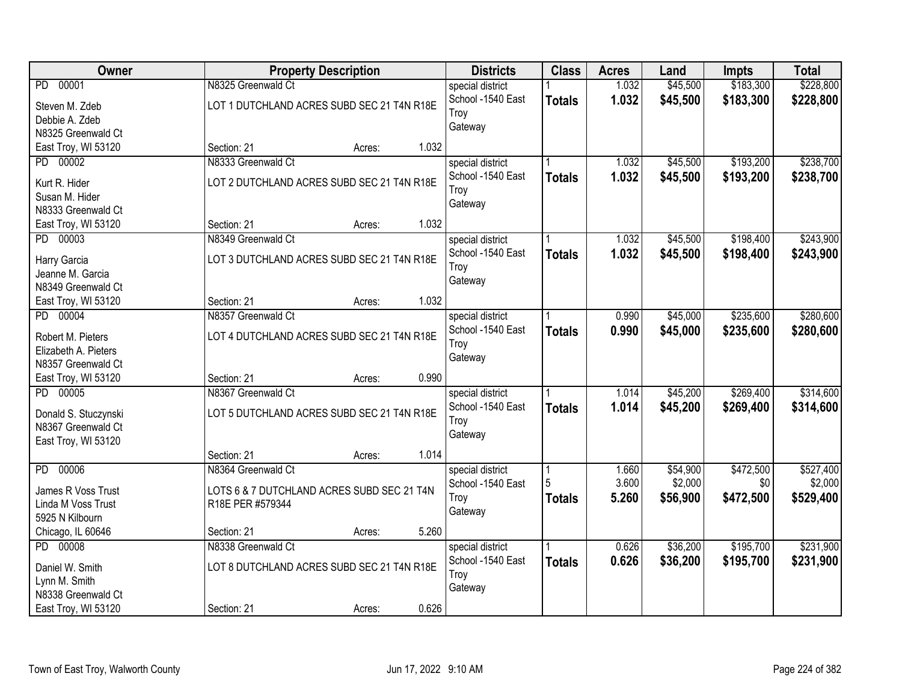| Owner                           |                                            | <b>Property Description</b> | <b>Districts</b>  | <b>Class</b>  | <b>Acres</b> | Land     | <b>Impts</b> | <b>Total</b> |
|---------------------------------|--------------------------------------------|-----------------------------|-------------------|---------------|--------------|----------|--------------|--------------|
| PD 00001                        | N8325 Greenwald Ct                         |                             | special district  |               | 1.032        | \$45,500 | \$183,300    | \$228,800    |
| Steven M. Zdeb                  | LOT 1 DUTCHLAND ACRES SUBD SEC 21 T4N R18E |                             | School -1540 East | <b>Totals</b> | 1.032        | \$45,500 | \$183,300    | \$228,800    |
| Debbie A. Zdeb                  |                                            |                             | Troy              |               |              |          |              |              |
| N8325 Greenwald Ct              |                                            |                             | Gateway           |               |              |          |              |              |
| East Troy, WI 53120             | Section: 21                                | Acres:                      | 1.032             |               |              |          |              |              |
| PD 00002                        | N8333 Greenwald Ct                         |                             | special district  |               | 1.032        | \$45,500 | \$193,200    | \$238,700    |
|                                 |                                            |                             | School -1540 East | <b>Totals</b> | 1.032        | \$45,500 | \$193,200    | \$238,700    |
| Kurt R. Hider                   | LOT 2 DUTCHLAND ACRES SUBD SEC 21 T4N R18E |                             | Troy              |               |              |          |              |              |
| Susan M. Hider                  |                                            |                             | Gateway           |               |              |          |              |              |
| N8333 Greenwald Ct              |                                            |                             |                   |               |              |          |              |              |
| East Troy, WI 53120             | Section: 21                                | Acres:                      | 1.032             |               |              |          |              |              |
| PD 00003                        | N8349 Greenwald Ct                         |                             | special district  |               | 1.032        | \$45,500 | \$198,400    | \$243,900    |
| Harry Garcia                    | LOT 3 DUTCHLAND ACRES SUBD SEC 21 T4N R18E |                             | School -1540 East | <b>Totals</b> | 1.032        | \$45,500 | \$198,400    | \$243,900    |
| Jeanne M. Garcia                |                                            |                             | Troy              |               |              |          |              |              |
| N8349 Greenwald Ct              |                                            |                             | Gateway           |               |              |          |              |              |
| East Troy, WI 53120             | Section: 21                                | Acres:                      | 1.032             |               |              |          |              |              |
| PD 00004                        | N8357 Greenwald Ct                         |                             | special district  |               | 0.990        | \$45,000 | \$235,600    | \$280,600    |
|                                 |                                            |                             | School -1540 East | <b>Totals</b> | 0.990        | \$45,000 | \$235,600    | \$280,600    |
| Robert M. Pieters               | LOT 4 DUTCHLAND ACRES SUBD SEC 21 T4N R18E |                             | Troy              |               |              |          |              |              |
| Elizabeth A. Pieters            |                                            |                             | Gateway           |               |              |          |              |              |
| N8357 Greenwald Ct              | Section: 21                                |                             | 0.990             |               |              |          |              |              |
| East Troy, WI 53120<br>PD 00005 | N8367 Greenwald Ct                         | Acres:                      |                   |               | 1.014        | \$45,200 | \$269,400    | \$314,600    |
|                                 |                                            |                             | special district  |               |              |          |              |              |
| Donald S. Stuczynski            | LOT 5 DUTCHLAND ACRES SUBD SEC 21 T4N R18E |                             | School -1540 East | <b>Totals</b> | 1.014        | \$45,200 | \$269,400    | \$314,600    |
| N8367 Greenwald Ct              |                                            |                             | Troy              |               |              |          |              |              |
| East Troy, WI 53120             |                                            |                             | Gateway           |               |              |          |              |              |
|                                 | Section: 21                                | Acres:                      | 1.014             |               |              |          |              |              |
| 00006<br>PD                     | N8364 Greenwald Ct                         |                             | special district  |               | 1.660        | \$54,900 | \$472,500    | \$527,400    |
| James R Voss Trust              | LOTS 6 & 7 DUTCHLAND ACRES SUBD SEC 21 T4N |                             | School -1540 East | 5             | 3.600        | \$2,000  | \$0          | \$2,000      |
| Linda M Voss Trust              | R18E PER #579344                           |                             | Troy              | <b>Totals</b> | 5.260        | \$56,900 | \$472,500    | \$529,400    |
| 5925 N Kilbourn                 |                                            |                             | Gateway           |               |              |          |              |              |
| Chicago, IL 60646               | Section: 21                                | Acres:                      | 5.260             |               |              |          |              |              |
| PD 00008                        | N8338 Greenwald Ct                         |                             | special district  |               | 0.626        | \$36,200 | \$195,700    | \$231,900    |
|                                 |                                            |                             | School -1540 East | <b>Totals</b> | 0.626        | \$36,200 | \$195,700    | \$231,900    |
| Daniel W. Smith                 | LOT 8 DUTCHLAND ACRES SUBD SEC 21 T4N R18E |                             | Troy              |               |              |          |              |              |
| Lynn M. Smith                   |                                            |                             | Gateway           |               |              |          |              |              |
| N8338 Greenwald Ct              |                                            |                             |                   |               |              |          |              |              |
| East Troy, WI 53120             | Section: 21                                | Acres:                      | 0.626             |               |              |          |              |              |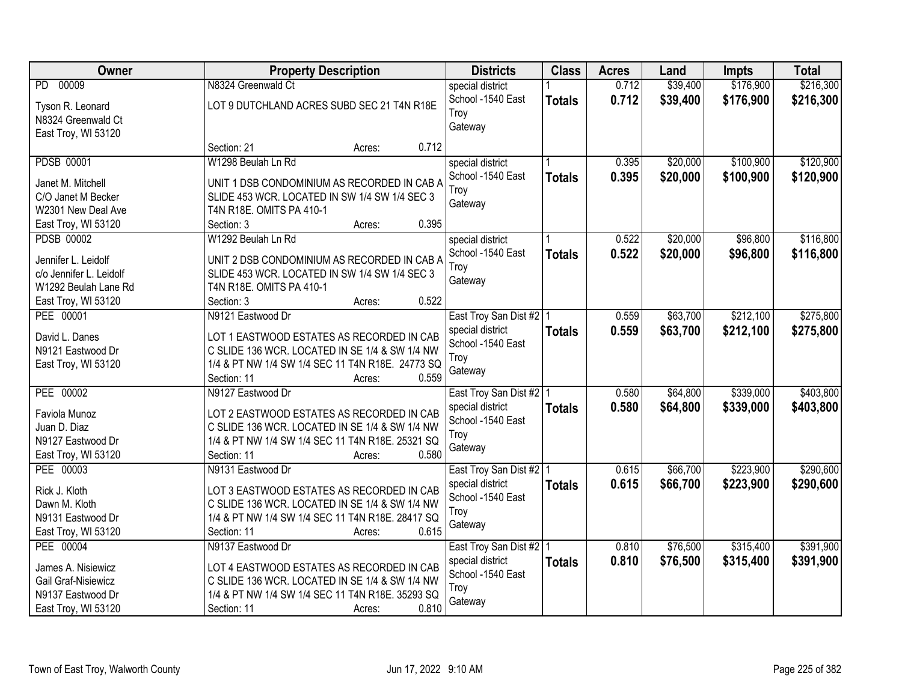| Owner                                    | <b>Property Description</b>                                                                  | <b>Districts</b>                              | <b>Class</b>  | <b>Acres</b> | Land     | <b>Impts</b> | <b>Total</b> |
|------------------------------------------|----------------------------------------------------------------------------------------------|-----------------------------------------------|---------------|--------------|----------|--------------|--------------|
| 00009<br>PD.                             | N8324 Greenwald Ct                                                                           | special district                              |               | 0.712        | \$39,400 | \$176,900    | \$216,300    |
| Tyson R. Leonard                         | LOT 9 DUTCHLAND ACRES SUBD SEC 21 T4N R18E                                                   | School -1540 East                             | <b>Totals</b> | 0.712        | \$39,400 | \$176,900    | \$216,300    |
| N8324 Greenwald Ct                       |                                                                                              | Troy                                          |               |              |          |              |              |
| East Troy, WI 53120                      |                                                                                              | Gateway                                       |               |              |          |              |              |
|                                          | 0.712<br>Section: 21<br>Acres:                                                               |                                               |               |              |          |              |              |
| <b>PDSB 00001</b>                        | W1298 Beulah Ln Rd                                                                           | special district                              |               | 0.395        | \$20,000 | \$100,900    | \$120,900    |
|                                          |                                                                                              | School -1540 East                             | <b>Totals</b> | 0.395        | \$20,000 | \$100,900    | \$120,900    |
| Janet M. Mitchell<br>C/O Janet M Becker  | UNIT 1 DSB CONDOMINIUM AS RECORDED IN CAB A<br>SLIDE 453 WCR. LOCATED IN SW 1/4 SW 1/4 SEC 3 | Troy                                          |               |              |          |              |              |
| W2301 New Deal Ave                       | T4N R18E. OMITS PA 410-1                                                                     | Gateway                                       |               |              |          |              |              |
|                                          | 0.395<br>Section: 3<br>Acres:                                                                |                                               |               |              |          |              |              |
| East Troy, WI 53120<br><b>PDSB 00002</b> | W1292 Beulah Ln Rd                                                                           |                                               |               | 0.522        | \$20,000 | \$96,800     | \$116,800    |
|                                          |                                                                                              | special district                              |               |              |          |              |              |
| Jennifer L. Leidolf                      | UNIT 2 DSB CONDOMINIUM AS RECORDED IN CAB A                                                  | School -1540 East                             | <b>Totals</b> | 0.522        | \$20,000 | \$96,800     | \$116,800    |
| c/o Jennifer L. Leidolf                  | SLIDE 453 WCR. LOCATED IN SW 1/4 SW 1/4 SEC 3                                                | Troy                                          |               |              |          |              |              |
| W1292 Beulah Lane Rd                     | T4N R18E. OMITS PA 410-1                                                                     | Gateway                                       |               |              |          |              |              |
| East Troy, WI 53120                      | 0.522<br>Section: 3<br>Acres:                                                                |                                               |               |              |          |              |              |
| PEE 00001                                | N9121 Eastwood Dr                                                                            | East Troy San Dist #2 1                       |               | 0.559        | \$63,700 | \$212,100    | \$275,800    |
|                                          |                                                                                              | special district                              | <b>Totals</b> | 0.559        | \$63,700 | \$212,100    | \$275,800    |
| David L. Danes                           | LOT 1 EASTWOOD ESTATES AS RECORDED IN CAB                                                    | School -1540 East                             |               |              |          |              |              |
| N9121 Eastwood Dr                        | C SLIDE 136 WCR. LOCATED IN SE 1/4 & SW 1/4 NW                                               | Troy                                          |               |              |          |              |              |
| East Troy, WI 53120                      | 1/4 & PT NW 1/4 SW 1/4 SEC 11 T4N R18E. 24773 SQ                                             | Gateway                                       |               |              |          |              |              |
|                                          | 0.559<br>Section: 11<br>Acres:                                                               |                                               |               |              |          |              |              |
| PEE 00002                                | N9127 Eastwood Dr                                                                            | East Troy San Dist #2 1                       |               | 0.580        | \$64,800 | \$339,000    | \$403,800    |
| Faviola Munoz                            | LOT 2 EASTWOOD ESTATES AS RECORDED IN CAB                                                    | special district                              | <b>Totals</b> | 0.580        | \$64,800 | \$339,000    | \$403,800    |
| Juan D. Diaz                             | C SLIDE 136 WCR. LOCATED IN SE 1/4 & SW 1/4 NW                                               | School -1540 East                             |               |              |          |              |              |
| N9127 Eastwood Dr                        | 1/4 & PT NW 1/4 SW 1/4 SEC 11 T4N R18E. 25321 SQ                                             | Troy                                          |               |              |          |              |              |
| East Troy, WI 53120                      | 0.580<br>Section: 11<br>Acres:                                                               | Gateway                                       |               |              |          |              |              |
| PEE 00003                                | N9131 Eastwood Dr                                                                            | East Troy San Dist #2   1                     |               | 0.615        | \$66,700 | \$223,900    | \$290,600    |
| Rick J. Kloth                            | LOT 3 EASTWOOD ESTATES AS RECORDED IN CAB                                                    | special district                              | <b>Totals</b> | 0.615        | \$66,700 | \$223,900    | \$290,600    |
| Dawn M. Kloth                            | C SLIDE 136 WCR. LOCATED IN SE 1/4 & SW 1/4 NW                                               | School -1540 East                             |               |              |          |              |              |
| N9131 Eastwood Dr                        | 1/4 & PT NW 1/4 SW 1/4 SEC 11 T4N R18E. 28417 SQ                                             | Troy                                          |               |              |          |              |              |
| East Troy, WI 53120                      | 0.615<br>Section: 11<br>Acres:                                                               | Gateway                                       |               |              |          |              |              |
| PEE 00004                                | N9137 Eastwood Dr                                                                            |                                               |               | 0.810        | \$76,500 | \$315,400    | \$391,900    |
|                                          |                                                                                              | East Troy San Dist #2   1<br>special district |               | 0.810        | \$76,500 |              |              |
| James A. Nisiewicz                       | LOT 4 EASTWOOD ESTATES AS RECORDED IN CAB                                                    | School -1540 East                             | <b>Totals</b> |              |          | \$315,400    | \$391,900    |
| Gail Graf-Nisiewicz                      | C SLIDE 136 WCR. LOCATED IN SE 1/4 & SW 1/4 NW                                               | Troy                                          |               |              |          |              |              |
| N9137 Eastwood Dr                        | 1/4 & PT NW 1/4 SW 1/4 SEC 11 T4N R18E. 35293 SQ                                             | Gateway                                       |               |              |          |              |              |
| East Troy, WI 53120                      | 0.810<br>Section: 11<br>Acres:                                                               |                                               |               |              |          |              |              |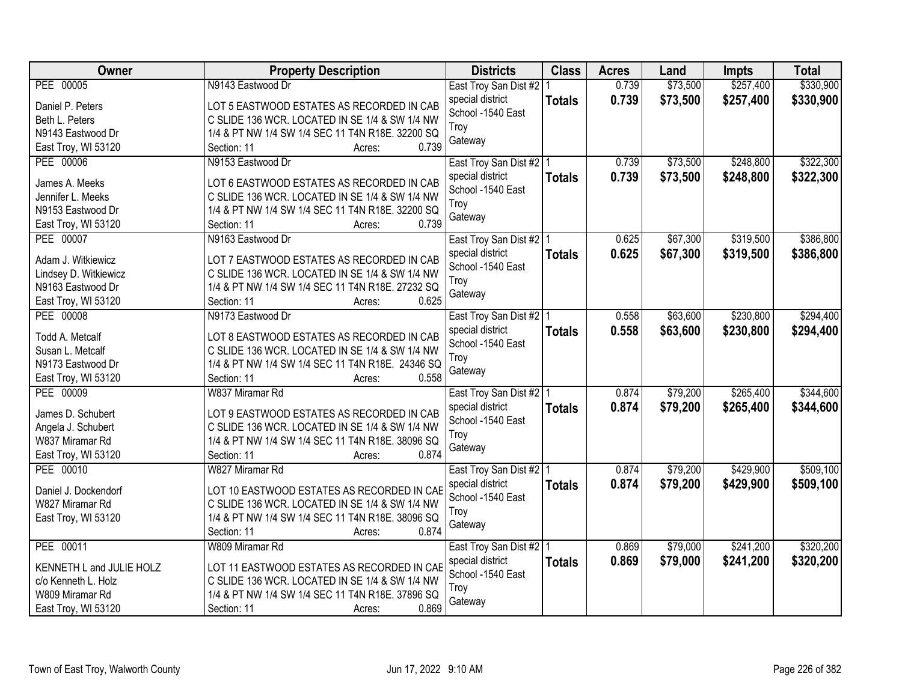| Owner                                  | <b>Property Description</b>                                                                        | <b>Districts</b>                            | <b>Class</b>  | <b>Acres</b> | Land     | <b>Impts</b> | <b>Total</b> |
|----------------------------------------|----------------------------------------------------------------------------------------------------|---------------------------------------------|---------------|--------------|----------|--------------|--------------|
| PEE 00005                              | N9143 Eastwood Dr                                                                                  | East Troy San Dist #2   1                   |               | 0.739        | \$73,500 | \$257,400    | \$330,900    |
| Daniel P. Peters                       | LOT 5 EASTWOOD ESTATES AS RECORDED IN CAB                                                          | special district                            | <b>Totals</b> | 0.739        | \$73,500 | \$257,400    | \$330,900    |
| Beth L. Peters                         | C SLIDE 136 WCR. LOCATED IN SE 1/4 & SW 1/4 NW                                                     | School -1540 East                           |               |              |          |              |              |
| N9143 Eastwood Dr                      | 1/4 & PT NW 1/4 SW 1/4 SEC 11 T4N R18E. 32200 SQ                                                   | Troy                                        |               |              |          |              |              |
| East Troy, WI 53120                    | 0.739<br>Section: 11<br>Acres:                                                                     | Gateway                                     |               |              |          |              |              |
| PEE 00006                              | N9153 Eastwood Dr                                                                                  | East Troy San Dist #2   1                   |               | 0.739        | \$73,500 | \$248,800    | \$322,300    |
|                                        |                                                                                                    | special district                            | <b>Totals</b> | 0.739        | \$73,500 | \$248,800    | \$322,300    |
| James A. Meeks                         | LOT 6 EASTWOOD ESTATES AS RECORDED IN CAB                                                          | School -1540 East                           |               |              |          |              |              |
| Jennifer L. Meeks                      | C SLIDE 136 WCR. LOCATED IN SE 1/4 & SW 1/4 NW                                                     | Troy                                        |               |              |          |              |              |
| N9153 Eastwood Dr                      | 1/4 & PT NW 1/4 SW 1/4 SEC 11 T4N R18E. 32200 SQ                                                   | Gateway                                     |               |              |          |              |              |
| East Troy, WI 53120                    | 0.739<br>Section: 11<br>Acres:                                                                     |                                             |               |              |          |              |              |
| PEE 00007                              | N9163 Eastwood Dr                                                                                  | East Troy San Dist #2   1                   |               | 0.625        | \$67,300 | \$319,500    | \$386,800    |
| Adam J. Witkiewicz                     | LOT 7 EASTWOOD ESTATES AS RECORDED IN CAB                                                          | special district                            | <b>Totals</b> | 0.625        | \$67,300 | \$319,500    | \$386,800    |
| Lindsey D. Witkiewicz                  | C SLIDE 136 WCR. LOCATED IN SE 1/4 & SW 1/4 NW                                                     | School -1540 East                           |               |              |          |              |              |
| N9163 Eastwood Dr                      | 1/4 & PT NW 1/4 SW 1/4 SEC 11 T4N R18E. 27232 SQ                                                   | Troy                                        |               |              |          |              |              |
| East Troy, WI 53120                    | Section: 11<br>0.625<br>Acres:                                                                     | Gateway                                     |               |              |          |              |              |
| PEE 00008                              | N9173 Eastwood Dr                                                                                  | East Troy San Dist #2   1                   |               | 0.558        | \$63,600 | \$230,800    | \$294,400    |
|                                        |                                                                                                    | special district                            | <b>Totals</b> | 0.558        | \$63,600 | \$230,800    | \$294,400    |
| Todd A. Metcalf                        | LOT 8 EASTWOOD ESTATES AS RECORDED IN CAB                                                          | School -1540 East                           |               |              |          |              |              |
| Susan L. Metcalf                       | C SLIDE 136 WCR. LOCATED IN SE 1/4 & SW 1/4 NW                                                     | Troy                                        |               |              |          |              |              |
| N9173 Eastwood Dr                      | 1/4 & PT NW 1/4 SW 1/4 SEC 11 T4N R18E. 24346 SQ                                                   | Gateway                                     |               |              |          |              |              |
| East Troy, WI 53120                    | 0.558<br>Section: 11<br>Acres:                                                                     |                                             |               |              |          |              |              |
| PEE 00009                              | W837 Miramar Rd                                                                                    | East Troy San Dist #2 1                     |               | 0.874        | \$79,200 | \$265,400    | \$344,600    |
| James D. Schubert                      | LOT 9 EASTWOOD ESTATES AS RECORDED IN CAB                                                          | special district                            | <b>Totals</b> | 0.874        | \$79,200 | \$265,400    | \$344,600    |
| Angela J. Schubert                     | C SLIDE 136 WCR. LOCATED IN SE 1/4 & SW 1/4 NW                                                     | School -1540 East                           |               |              |          |              |              |
| W837 Miramar Rd                        | 1/4 & PT NW 1/4 SW 1/4 SEC 11 T4N R18E. 38096 SQ                                                   | Troy                                        |               |              |          |              |              |
| East Troy, WI 53120                    | Section: 11<br>0.874<br>Acres:                                                                     | Gateway                                     |               |              |          |              |              |
| PEE 00010                              | W827 Miramar Rd                                                                                    |                                             |               | 0.874        | \$79,200 | \$429,900    | \$509,100    |
|                                        |                                                                                                    | East Troy San Dist #2 1<br>special district |               |              |          |              |              |
| Daniel J. Dockendorf                   | LOT 10 EASTWOOD ESTATES AS RECORDED IN CAB                                                         | School -1540 East                           | <b>Totals</b> | 0.874        | \$79,200 | \$429,900    | \$509,100    |
| W827 Miramar Rd                        | C SLIDE 136 WCR. LOCATED IN SE 1/4 & SW 1/4 NW                                                     | Troy                                        |               |              |          |              |              |
| East Troy, WI 53120                    | 1/4 & PT NW 1/4 SW 1/4 SEC 11 T4N R18E. 38096 SQ                                                   |                                             |               |              |          |              |              |
|                                        | 0.874<br>Section: 11<br>Acres:                                                                     | Gateway                                     |               |              |          |              |              |
| PEE 00011                              | W809 Miramar Rd                                                                                    | East Troy San Dist #2   1                   |               | 0.869        | \$79,000 | \$241,200    | \$320,200    |
|                                        |                                                                                                    | special district                            | <b>Totals</b> | 0.869        | \$79,000 | \$241,200    | \$320,200    |
| KENNETH L and JULIE HOLZ               | LOT 11 EASTWOOD ESTATES AS RECORDED IN CAE                                                         | School -1540 East                           |               |              |          |              |              |
| c/o Kenneth L. Holz<br>W809 Miramar Rd | C SLIDE 136 WCR. LOCATED IN SE 1/4 & SW 1/4 NW<br>1/4 & PT NW 1/4 SW 1/4 SEC 11 T4N R18E. 37896 SQ | Troy                                        |               |              |          |              |              |
|                                        | 0.869                                                                                              | Gateway                                     |               |              |          |              |              |
| East Troy, WI 53120                    | Section: 11<br>Acres:                                                                              |                                             |               |              |          |              |              |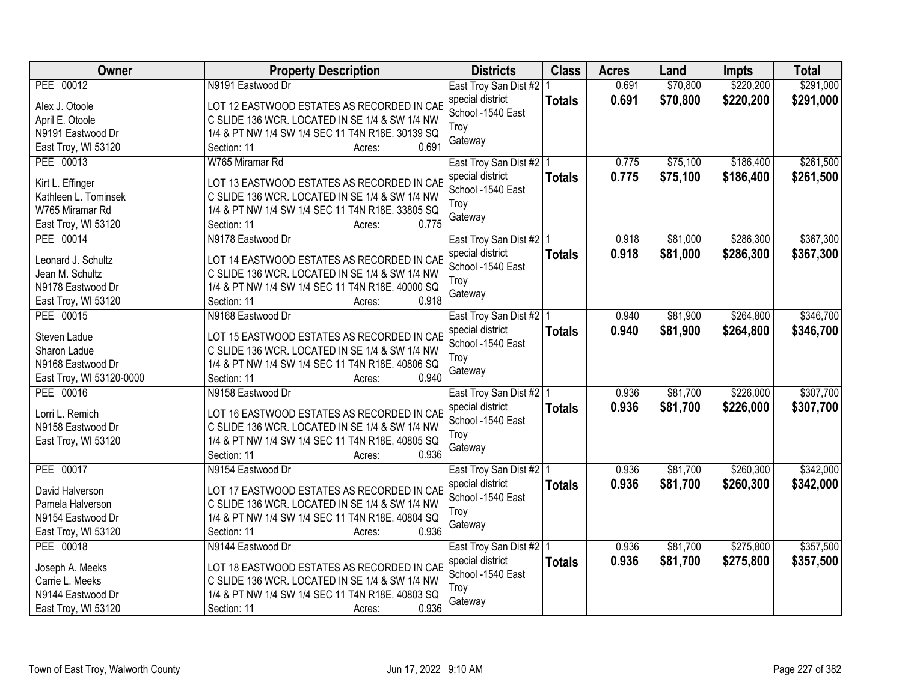| Owner                        | <b>Property Description</b>                                                                  | <b>Districts</b>          | <b>Class</b>  | <b>Acres</b> | Land     | <b>Impts</b> | <b>Total</b> |
|------------------------------|----------------------------------------------------------------------------------------------|---------------------------|---------------|--------------|----------|--------------|--------------|
| PEE 00012                    | N9191 Eastwood Dr                                                                            | East Troy San Dist #2   1 |               | 0.691        | \$70,800 | \$220,200    | \$291,000    |
| Alex J. Otoole               | LOT 12 EASTWOOD ESTATES AS RECORDED IN CAB                                                   | special district          | <b>Totals</b> | 0.691        | \$70,800 | \$220,200    | \$291,000    |
| April E. Otoole              | C SLIDE 136 WCR. LOCATED IN SE 1/4 & SW 1/4 NW                                               | School -1540 East         |               |              |          |              |              |
| N9191 Eastwood Dr            | 1/4 & PT NW 1/4 SW 1/4 SEC 11 T4N R18E. 30139 SQ                                             | Troy                      |               |              |          |              |              |
| East Troy, WI 53120          | 0.691<br>Section: 11<br>Acres:                                                               | Gateway                   |               |              |          |              |              |
| PEE 00013                    | W765 Miramar Rd                                                                              | East Troy San Dist #2   1 |               | 0.775        | \$75,100 | \$186,400    | \$261,500    |
|                              |                                                                                              | special district          | <b>Totals</b> | 0.775        | \$75,100 | \$186,400    | \$261,500    |
| Kirt L. Effinger             | LOT 13 EASTWOOD ESTATES AS RECORDED IN CAB                                                   | School -1540 East         |               |              |          |              |              |
| Kathleen L. Tominsek         | C SLIDE 136 WCR. LOCATED IN SE 1/4 & SW 1/4 NW                                               | Troy                      |               |              |          |              |              |
| W765 Miramar Rd              | 1/4 & PT NW 1/4 SW 1/4 SEC 11 T4N R18E. 33805 SQ                                             | Gateway                   |               |              |          |              |              |
| East Troy, WI 53120          | 0.775<br>Section: 11<br>Acres:                                                               |                           |               |              |          |              |              |
| PEE 00014                    | N9178 Eastwood Dr                                                                            | East Troy San Dist #2   1 |               | 0.918        | \$81,000 | \$286,300    | \$367,300    |
| Leonard J. Schultz           | LOT 14 EASTWOOD ESTATES AS RECORDED IN CAB                                                   | special district          | <b>Totals</b> | 0.918        | \$81,000 | \$286,300    | \$367,300    |
| Jean M. Schultz              | C SLIDE 136 WCR. LOCATED IN SE 1/4 & SW 1/4 NW                                               | School -1540 East         |               |              |          |              |              |
| N9178 Eastwood Dr            | 1/4 & PT NW 1/4 SW 1/4 SEC 11 T4N R18E. 40000 SQ                                             | Troy                      |               |              |          |              |              |
| East Troy, WI 53120          | Section: 11<br>0.918<br>Acres:                                                               | Gateway                   |               |              |          |              |              |
| PEE 00015                    | N9168 Eastwood Dr                                                                            | East Troy San Dist #2   1 |               | 0.940        | \$81,900 | \$264,800    | \$346,700    |
|                              |                                                                                              | special district          | <b>Totals</b> | 0.940        | \$81,900 | \$264,800    | \$346,700    |
| Steven Ladue<br>Sharon Ladue | LOT 15 EASTWOOD ESTATES AS RECORDED IN CAB<br>C SLIDE 136 WCR. LOCATED IN SE 1/4 & SW 1/4 NW | School -1540 East         |               |              |          |              |              |
| N9168 Eastwood Dr            | 1/4 & PT NW 1/4 SW 1/4 SEC 11 T4N R18E. 40806 SQ                                             | Troy                      |               |              |          |              |              |
| East Troy, WI 53120-0000     | 0.940<br>Section: 11<br>Acres:                                                               | Gateway                   |               |              |          |              |              |
| PEE 00016                    | N9158 Eastwood Dr                                                                            | East Troy San Dist #2 1   |               | 0.936        | \$81,700 | \$226,000    | \$307,700    |
|                              |                                                                                              | special district          |               | 0.936        | \$81,700 | \$226,000    | \$307,700    |
| Lorri L. Remich              | LOT 16 EASTWOOD ESTATES AS RECORDED IN CAB                                                   | School -1540 East         | <b>Totals</b> |              |          |              |              |
| N9158 Eastwood Dr            | C SLIDE 136 WCR. LOCATED IN SE 1/4 & SW 1/4 NW                                               | Troy                      |               |              |          |              |              |
| East Troy, WI 53120          | 1/4 & PT NW 1/4 SW 1/4 SEC 11 T4N R18E, 40805 SQ                                             | Gateway                   |               |              |          |              |              |
|                              | 0.936<br>Section: 11<br>Acres:                                                               |                           |               |              |          |              |              |
| PEE 00017                    | N9154 Eastwood Dr                                                                            | East Troy San Dist #2 1   |               | 0.936        | \$81,700 | \$260,300    | \$342,000    |
| David Halverson              | LOT 17 EASTWOOD ESTATES AS RECORDED IN CAB                                                   | special district          | <b>Totals</b> | 0.936        | \$81,700 | \$260,300    | \$342,000    |
| Pamela Halverson             | C SLIDE 136 WCR. LOCATED IN SE 1/4 & SW 1/4 NW                                               | School -1540 East         |               |              |          |              |              |
| N9154 Eastwood Dr            | 1/4 & PT NW 1/4 SW 1/4 SEC 11 T4N R18E. 40804 SQ                                             | Troy                      |               |              |          |              |              |
| East Troy, WI 53120          | 0.936<br>Section: 11<br>Acres:                                                               | Gateway                   |               |              |          |              |              |
| PEE 00018                    | N9144 Eastwood Dr                                                                            | East Troy San Dist #2   1 |               | 0.936        | \$81,700 | \$275,800    | \$357,500    |
|                              |                                                                                              | special district          | <b>Totals</b> | 0.936        | \$81,700 | \$275,800    | \$357,500    |
| Joseph A. Meeks              | LOT 18 EASTWOOD ESTATES AS RECORDED IN CAB                                                   | School -1540 East         |               |              |          |              |              |
| Carrie L. Meeks              | C SLIDE 136 WCR. LOCATED IN SE 1/4 & SW 1/4 NW                                               | Troy                      |               |              |          |              |              |
| N9144 Eastwood Dr            | 1/4 & PT NW 1/4 SW 1/4 SEC 11 T4N R18E. 40803 SQ                                             | Gateway                   |               |              |          |              |              |
| East Troy, WI 53120          | 0.936<br>Section: 11<br>Acres:                                                               |                           |               |              |          |              |              |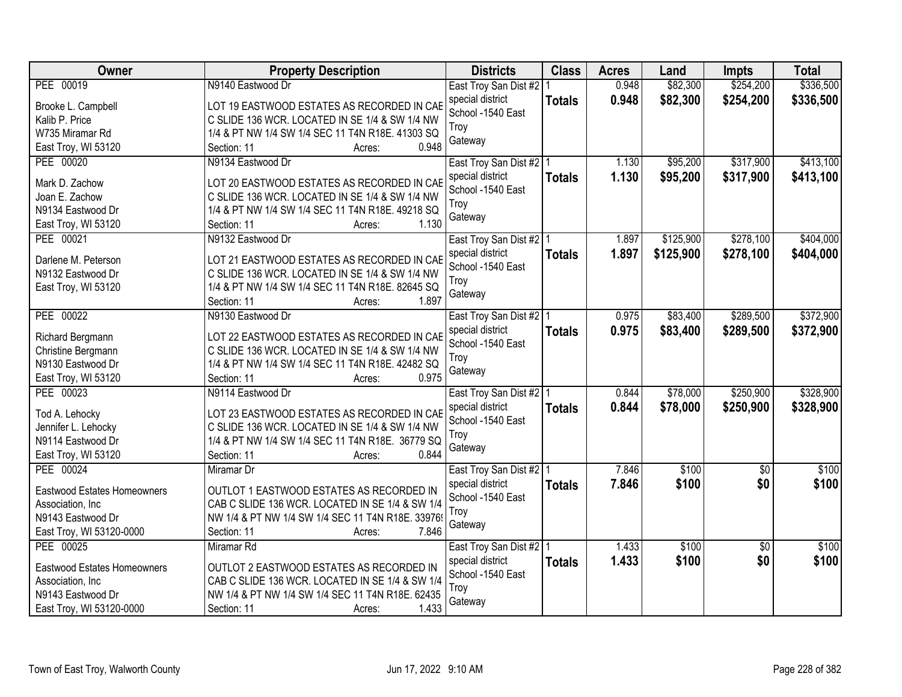| <b>Owner</b>                           | <b>Property Description</b>                                                                  | <b>Districts</b>                              | <b>Class</b>  | <b>Acres</b> | Land      | <b>Impts</b>    | <b>Total</b> |
|----------------------------------------|----------------------------------------------------------------------------------------------|-----------------------------------------------|---------------|--------------|-----------|-----------------|--------------|
| PEE 00019                              | N9140 Eastwood Dr                                                                            | East Troy San Dist #2   1                     |               | 0.948        | \$82,300  | \$254,200       | \$336,500    |
| Brooke L. Campbell                     | LOT 19 EASTWOOD ESTATES AS RECORDED IN CAB                                                   | special district                              | <b>Totals</b> | 0.948        | \$82,300  | \$254,200       | \$336,500    |
| Kalib P. Price                         | C SLIDE 136 WCR. LOCATED IN SE 1/4 & SW 1/4 NW                                               | School -1540 East                             |               |              |           |                 |              |
| W735 Miramar Rd                        | 1/4 & PT NW 1/4 SW 1/4 SEC 11 T4N R18E. 41303 SQ                                             | Troy                                          |               |              |           |                 |              |
| East Troy, WI 53120                    | 0.948<br>Section: 11<br>Acres:                                                               | Gateway                                       |               |              |           |                 |              |
| PEE 00020                              | N9134 Eastwood Dr                                                                            | East Troy San Dist #2   1                     |               | 1.130        | \$95,200  | \$317,900       | \$413,100    |
|                                        |                                                                                              | special district                              | <b>Totals</b> | 1.130        | \$95,200  | \$317,900       | \$413,100    |
| Mark D. Zachow                         | LOT 20 EASTWOOD ESTATES AS RECORDED IN CAE                                                   | School -1540 East                             |               |              |           |                 |              |
| Joan E. Zachow                         | C SLIDE 136 WCR. LOCATED IN SE 1/4 & SW 1/4 NW                                               | Troy                                          |               |              |           |                 |              |
| N9134 Eastwood Dr                      | 1/4 & PT NW 1/4 SW 1/4 SEC 11 T4N R18E. 49218 SQ                                             | Gateway                                       |               |              |           |                 |              |
| East Troy, WI 53120                    | 1.130<br>Section: 11<br>Acres:                                                               |                                               |               |              |           |                 |              |
| PEE 00021                              | N9132 Eastwood Dr                                                                            | East Troy San Dist #2   1                     |               | 1.897        | \$125,900 | \$278,100       | \$404,000    |
| Darlene M. Peterson                    | LOT 21 EASTWOOD ESTATES AS RECORDED IN CAB                                                   | special district                              | <b>Totals</b> | 1.897        | \$125,900 | \$278,100       | \$404,000    |
| N9132 Eastwood Dr                      | C SLIDE 136 WCR. LOCATED IN SE 1/4 & SW 1/4 NW                                               | School -1540 East                             |               |              |           |                 |              |
| East Troy, WI 53120                    | 1/4 & PT NW 1/4 SW 1/4 SEC 11 T4N R18E. 82645 SQ                                             | Troy                                          |               |              |           |                 |              |
|                                        | 1.897<br>Section: 11<br>Acres:                                                               | Gateway                                       |               |              |           |                 |              |
| PEE 00022                              | N9130 Eastwood Dr                                                                            | East Troy San Dist #2   1                     |               | 0.975        | \$83,400  | \$289,500       | \$372,900    |
|                                        |                                                                                              | special district                              | <b>Totals</b> | 0.975        | \$83,400  | \$289,500       | \$372,900    |
| Richard Bergmann<br>Christine Bergmann | LOT 22 EASTWOOD ESTATES AS RECORDED IN CAB<br>C SLIDE 136 WCR. LOCATED IN SE 1/4 & SW 1/4 NW | School -1540 East                             |               |              |           |                 |              |
| N9130 Eastwood Dr                      | 1/4 & PT NW 1/4 SW 1/4 SEC 11 T4N R18E. 42482 SQ                                             | Troy                                          |               |              |           |                 |              |
| East Troy, WI 53120                    | 0.975<br>Section: 11<br>Acres:                                                               | Gateway                                       |               |              |           |                 |              |
| PEE 00023                              | N9114 Eastwood Dr                                                                            |                                               |               | 0.844        | \$78,000  | \$250,900       | \$328,900    |
|                                        |                                                                                              | East Troy San Dist #2   1<br>special district |               | 0.844        |           |                 |              |
| Tod A. Lehocky                         | LOT 23 EASTWOOD ESTATES AS RECORDED IN CAE                                                   | School -1540 East                             | <b>Totals</b> |              | \$78,000  | \$250,900       | \$328,900    |
| Jennifer L. Lehocky                    | C SLIDE 136 WCR. LOCATED IN SE 1/4 & SW 1/4 NW                                               | Troy                                          |               |              |           |                 |              |
| N9114 Eastwood Dr                      | 1/4 & PT NW 1/4 SW 1/4 SEC 11 T4N R18E. 36779 SQ                                             | Gateway                                       |               |              |           |                 |              |
| East Troy, WI 53120                    | 0.844<br>Section: 11<br>Acres:                                                               |                                               |               |              |           |                 |              |
| PEE 00024                              | Miramar Dr                                                                                   | East Troy San Dist #2 1                       |               | 7.846        | \$100     | $\overline{50}$ | \$100        |
| <b>Eastwood Estates Homeowners</b>     | OUTLOT 1 EASTWOOD ESTATES AS RECORDED IN                                                     | special district                              | <b>Totals</b> | 7.846        | \$100     | \$0             | \$100        |
| Association, Inc                       | CAB C SLIDE 136 WCR. LOCATED IN SE 1/4 & SW 1/4                                              | School -1540 East                             |               |              |           |                 |              |
| N9143 Eastwood Dr                      | NW 1/4 & PT NW 1/4 SW 1/4 SEC 11 T4N R18E. 33976                                             | Troy                                          |               |              |           |                 |              |
| East Troy, WI 53120-0000               | 7.846<br>Section: 11<br>Acres:                                                               | Gateway                                       |               |              |           |                 |              |
| PEE 00025                              | Miramar Rd                                                                                   | East Troy San Dist #2   1                     |               | 1.433        | \$100     | $\overline{50}$ | \$100        |
|                                        |                                                                                              | special district                              | <b>Totals</b> | 1.433        | \$100     | \$0             | \$100        |
| Eastwood Estates Homeowners            | OUTLOT 2 EASTWOOD ESTATES AS RECORDED IN                                                     | School -1540 East                             |               |              |           |                 |              |
| Association, Inc                       | CAB C SLIDE 136 WCR. LOCATED IN SE 1/4 & SW 1/4                                              | Troy                                          |               |              |           |                 |              |
| N9143 Eastwood Dr                      | NW 1/4 & PT NW 1/4 SW 1/4 SEC 11 T4N R18E. 62435                                             | Gateway                                       |               |              |           |                 |              |
| East Troy, WI 53120-0000               | 1.433<br>Section: 11<br>Acres:                                                               |                                               |               |              |           |                 |              |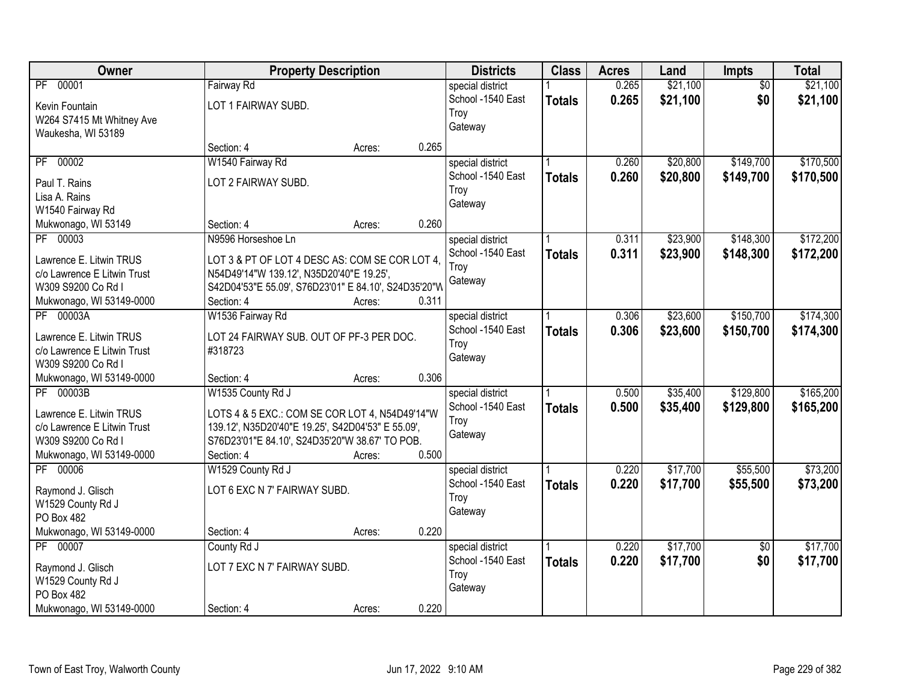| Owner                                           | <b>Property Description</b>                          |        |       | <b>Districts</b>                      | <b>Class</b>  | <b>Acres</b>   | Land                 | Impts                  | <b>Total</b>         |
|-------------------------------------------------|------------------------------------------------------|--------|-------|---------------------------------------|---------------|----------------|----------------------|------------------------|----------------------|
| PF 00001<br>Kevin Fountain                      | Fairway Rd<br>LOT 1 FAIRWAY SUBD.                    |        |       | special district<br>School -1540 East | <b>Totals</b> | 0.265<br>0.265 | \$21,100<br>\$21,100 | $\overline{50}$<br>\$0 | \$21,100<br>\$21,100 |
| W264 S7415 Mt Whitney Ave<br>Waukesha, WI 53189 |                                                      |        |       | Troy<br>Gateway                       |               |                |                      |                        |                      |
|                                                 | Section: 4                                           | Acres: | 0.265 |                                       |               |                |                      |                        |                      |
| 00002<br>PF                                     | W1540 Fairway Rd                                     |        |       | special district                      |               | 0.260          | \$20,800             | \$149,700              | \$170,500            |
| Paul T. Rains                                   | LOT 2 FAIRWAY SUBD.                                  |        |       | School -1540 East                     | <b>Totals</b> | 0.260          | \$20,800             | \$149,700              | \$170,500            |
| Lisa A. Rains                                   |                                                      |        |       | Troy                                  |               |                |                      |                        |                      |
| W1540 Fairway Rd                                |                                                      |        |       | Gateway                               |               |                |                      |                        |                      |
| Mukwonago, WI 53149                             | Section: 4                                           | Acres: | 0.260 |                                       |               |                |                      |                        |                      |
| PF 00003                                        | N9596 Horseshoe Ln                                   |        |       | special district                      |               | 0.311          | \$23,900             | \$148,300              | \$172,200            |
| Lawrence E. Litwin TRUS                         | LOT 3 & PT OF LOT 4 DESC AS: COM SE COR LOT 4,       |        |       | School -1540 East                     | <b>Totals</b> | 0.311          | \$23,900             | \$148,300              | \$172,200            |
| c/o Lawrence E Litwin Trust                     | N54D49'14"W 139.12', N35D20'40"E 19.25',             |        |       | Troy                                  |               |                |                      |                        |                      |
| W309 S9200 Co Rd I                              | S42D04'53"E 55.09', S76D23'01" E 84.10', S24D35'20"W |        |       | Gateway                               |               |                |                      |                        |                      |
| Mukwonago, WI 53149-0000                        | Section: 4                                           | Acres: | 0.311 |                                       |               |                |                      |                        |                      |
| PF 00003A                                       | W1536 Fairway Rd                                     |        |       | special district                      |               | 0.306          | \$23,600             | \$150,700              | \$174,300            |
| Lawrence E. Litwin TRUS                         | LOT 24 FAIRWAY SUB. OUT OF PF-3 PER DOC.             |        |       | School -1540 East                     | <b>Totals</b> | 0.306          | \$23,600             | \$150,700              | \$174,300            |
| c/o Lawrence E Litwin Trust                     | #318723                                              |        |       | Troy                                  |               |                |                      |                        |                      |
| W309 S9200 Co Rd I                              |                                                      |        |       | Gateway                               |               |                |                      |                        |                      |
| Mukwonago, WI 53149-0000                        | Section: 4                                           | Acres: | 0.306 |                                       |               |                |                      |                        |                      |
| PF 00003B                                       | W1535 County Rd J                                    |        |       | special district                      |               | 0.500          | \$35,400             | \$129,800              | \$165,200            |
| Lawrence E. Litwin TRUS                         | LOTS 4 & 5 EXC.: COM SE COR LOT 4, N54D49'14"W       |        |       | School -1540 East                     | <b>Totals</b> | 0.500          | \$35,400             | \$129,800              | \$165,200            |
| c/o Lawrence E Litwin Trust                     | 139.12', N35D20'40"E 19.25', S42D04'53" E 55.09',    |        |       | Troy                                  |               |                |                      |                        |                      |
| W309 S9200 Co Rd I                              | S76D23'01"E 84.10', S24D35'20"W 38.67' TO POB.       |        |       | Gateway                               |               |                |                      |                        |                      |
| Mukwonago, WI 53149-0000                        | Section: 4                                           | Acres: | 0.500 |                                       |               |                |                      |                        |                      |
| PF 00006                                        | W1529 County Rd J                                    |        |       | special district                      |               | 0.220          | \$17,700             | \$55,500               | \$73,200             |
| Raymond J. Glisch                               | LOT 6 EXC N 7' FAIRWAY SUBD.                         |        |       | School -1540 East                     | <b>Totals</b> | 0.220          | \$17,700             | \$55,500               | \$73,200             |
| W1529 County Rd J                               |                                                      |        |       | Troy                                  |               |                |                      |                        |                      |
| PO Box 482                                      |                                                      |        |       | Gateway                               |               |                |                      |                        |                      |
| Mukwonago, WI 53149-0000                        | Section: 4                                           | Acres: | 0.220 |                                       |               |                |                      |                        |                      |
| PF 00007                                        | County Rd J                                          |        |       | special district                      |               | 0.220          | \$17,700             | $\overline{50}$        | \$17,700             |
| Raymond J. Glisch                               | LOT 7 EXC N 7' FAIRWAY SUBD.                         |        |       | School -1540 East                     | <b>Totals</b> | 0.220          | \$17,700             | \$0                    | \$17,700             |
| W1529 County Rd J                               |                                                      |        |       | Troy                                  |               |                |                      |                        |                      |
| PO Box 482                                      |                                                      |        |       | Gateway                               |               |                |                      |                        |                      |
| Mukwonago, WI 53149-0000                        | Section: 4                                           | Acres: | 0.220 |                                       |               |                |                      |                        |                      |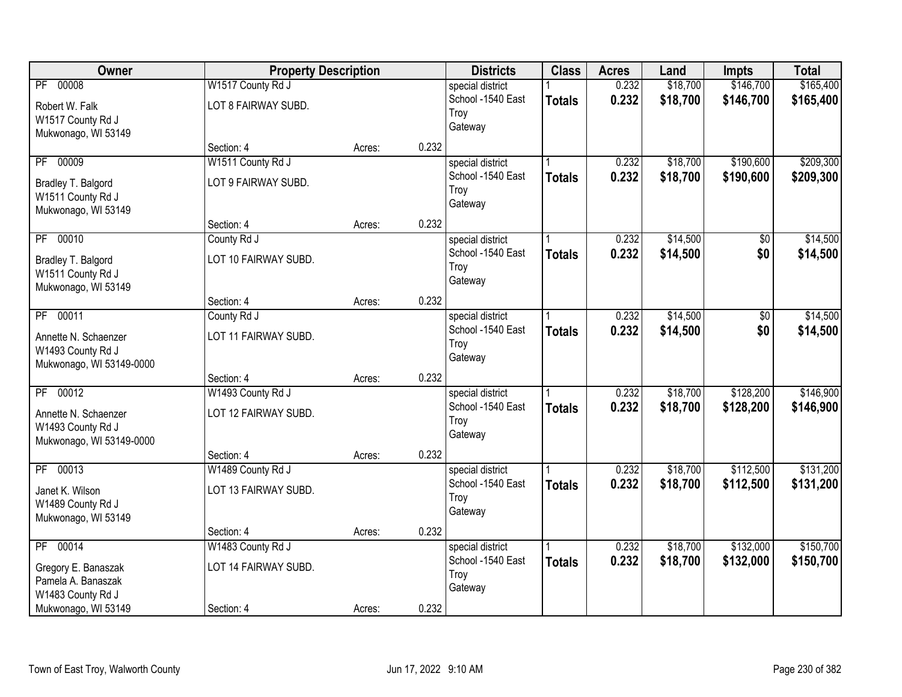| Owner                                                                                             | <b>Property Description</b>                             |        |       | <b>Districts</b>                                         | <b>Class</b>  | <b>Acres</b>   | Land                 | <b>Impts</b>           | <b>Total</b>           |
|---------------------------------------------------------------------------------------------------|---------------------------------------------------------|--------|-------|----------------------------------------------------------|---------------|----------------|----------------------|------------------------|------------------------|
| PF 00008<br>Robert W. Falk<br>W1517 County Rd J<br>Mukwonago, WI 53149                            | W1517 County Rd J<br>LOT 8 FAIRWAY SUBD.                |        |       | special district<br>School -1540 East<br>Troy<br>Gateway | <b>Totals</b> | 0.232<br>0.232 | \$18,700<br>\$18,700 | \$146,700<br>\$146,700 | \$165,400<br>\$165,400 |
|                                                                                                   | Section: 4                                              | Acres: | 0.232 |                                                          |               |                |                      |                        |                        |
| 00009<br>$\overline{PF}$<br>Bradley T. Balgord<br>W1511 County Rd J<br>Mukwonago, WI 53149        | W1511 County Rd J<br>LOT 9 FAIRWAY SUBD.                |        |       | special district<br>School -1540 East<br>Troy<br>Gateway | <b>Totals</b> | 0.232<br>0.232 | \$18,700<br>\$18,700 | \$190,600<br>\$190,600 | \$209,300<br>\$209,300 |
|                                                                                                   | Section: 4                                              | Acres: | 0.232 |                                                          |               |                |                      |                        |                        |
| 00010<br>PF<br>Bradley T. Balgord<br>W1511 County Rd J<br>Mukwonago, WI 53149                     | County Rd J<br>LOT 10 FAIRWAY SUBD.                     |        |       | special district<br>School -1540 East<br>Troy<br>Gateway | <b>Totals</b> | 0.232<br>0.232 | \$14,500<br>\$14,500 | \$0<br>\$0             | \$14,500<br>\$14,500   |
|                                                                                                   | Section: 4                                              | Acres: | 0.232 |                                                          |               |                |                      |                        |                        |
| PF 00011<br>Annette N. Schaenzer<br>W1493 County Rd J<br>Mukwonago, WI 53149-0000                 | County Rd J<br>LOT 11 FAIRWAY SUBD.                     |        |       | special district<br>School -1540 East<br>Troy<br>Gateway | <b>Totals</b> | 0.232<br>0.232 | \$14,500<br>\$14,500 | \$0<br>\$0             | \$14,500<br>\$14,500   |
|                                                                                                   | Section: 4                                              | Acres: | 0.232 |                                                          |               |                |                      |                        |                        |
| $\overline{PF}$<br>00012<br>Annette N. Schaenzer<br>W1493 County Rd J<br>Mukwonago, WI 53149-0000 | W1493 County Rd J<br>LOT 12 FAIRWAY SUBD.               |        |       | special district<br>School -1540 East<br>Troy<br>Gateway | <b>Totals</b> | 0.232<br>0.232 | \$18,700<br>\$18,700 | \$128,200<br>\$128,200 | \$146,900<br>\$146,900 |
|                                                                                                   | Section: 4                                              | Acres: | 0.232 |                                                          |               |                |                      |                        |                        |
| PF 00013<br>Janet K. Wilson<br>W1489 County Rd J<br>Mukwonago, WI 53149                           | W1489 County Rd J<br>LOT 13 FAIRWAY SUBD.               |        |       | special district<br>School -1540 East<br>Troy<br>Gateway | <b>Totals</b> | 0.232<br>0.232 | \$18,700<br>\$18,700 | \$112,500<br>\$112,500 | \$131,200<br>\$131,200 |
|                                                                                                   | Section: 4                                              | Acres: | 0.232 |                                                          |               |                |                      |                        |                        |
| PF 00014<br>Gregory E. Banaszak<br>Pamela A. Banaszak<br>W1483 County Rd J<br>Mukwonago, WI 53149 | W1483 County Rd J<br>LOT 14 FAIRWAY SUBD.<br>Section: 4 | Acres: | 0.232 | special district<br>School -1540 East<br>Troy<br>Gateway | <b>Totals</b> | 0.232<br>0.232 | \$18,700<br>\$18,700 | \$132,000<br>\$132,000 | \$150,700<br>\$150,700 |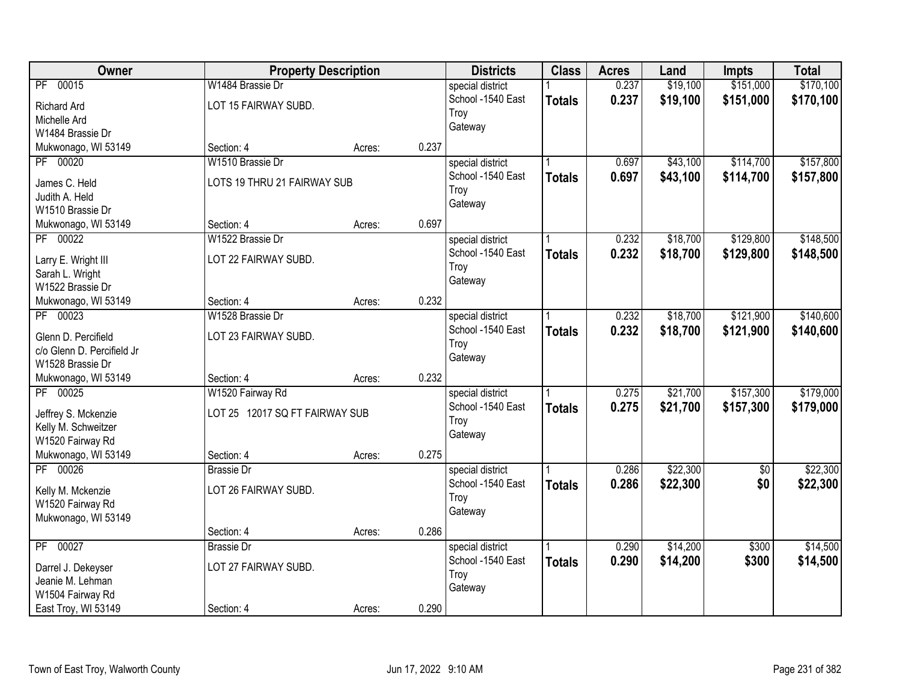| Owner                                      | <b>Property Description</b>    |        |       | <b>Districts</b>  | <b>Class</b>  | <b>Acres</b> | Land     | <b>Impts</b>    | <b>Total</b> |
|--------------------------------------------|--------------------------------|--------|-------|-------------------|---------------|--------------|----------|-----------------|--------------|
| PF 00015                                   | W1484 Brassie Dr               |        |       | special district  |               | 0.237        | \$19,100 | \$151,000       | \$170,100    |
| Richard Ard                                | LOT 15 FAIRWAY SUBD.           |        |       | School -1540 East | <b>Totals</b> | 0.237        | \$19,100 | \$151,000       | \$170,100    |
| Michelle Ard                               |                                |        |       | Troy              |               |              |          |                 |              |
| W1484 Brassie Dr                           |                                |        |       | Gateway           |               |              |          |                 |              |
| Mukwonago, WI 53149                        | Section: 4                     | Acres: | 0.237 |                   |               |              |          |                 |              |
| PF 00020                                   | W1510 Brassie Dr               |        |       | special district  |               | 0.697        | \$43,100 | \$114,700       | \$157,800    |
|                                            | LOTS 19 THRU 21 FAIRWAY SUB    |        |       | School -1540 East | <b>Totals</b> | 0.697        | \$43,100 | \$114,700       | \$157,800    |
| James C. Held<br>Judith A. Held            |                                |        |       | Troy              |               |              |          |                 |              |
| W1510 Brassie Dr                           |                                |        |       | Gateway           |               |              |          |                 |              |
| Mukwonago, WI 53149                        | Section: 4                     | Acres: | 0.697 |                   |               |              |          |                 |              |
| PF 00022                                   | W1522 Brassie Dr               |        |       | special district  |               | 0.232        | \$18,700 | \$129,800       | \$148,500    |
|                                            |                                |        |       | School -1540 East |               | 0.232        | \$18,700 | \$129,800       | \$148,500    |
| Larry E. Wright III                        | LOT 22 FAIRWAY SUBD.           |        |       | Troy              | <b>Totals</b> |              |          |                 |              |
| Sarah L. Wright                            |                                |        |       | Gateway           |               |              |          |                 |              |
| W1522 Brassie Dr                           |                                |        |       |                   |               |              |          |                 |              |
| Mukwonago, WI 53149                        | Section: 4                     | Acres: | 0.232 |                   |               |              |          |                 |              |
| PF 00023                                   | W1528 Brassie Dr               |        |       | special district  |               | 0.232        | \$18,700 | \$121,900       | \$140,600    |
| Glenn D. Percifield                        | LOT 23 FAIRWAY SUBD.           |        |       | School -1540 East | <b>Totals</b> | 0.232        | \$18,700 | \$121,900       | \$140,600    |
| c/o Glenn D. Percifield Jr                 |                                |        |       | Troy              |               |              |          |                 |              |
| W1528 Brassie Dr                           |                                |        |       | Gateway           |               |              |          |                 |              |
| Mukwonago, WI 53149                        | Section: 4                     | Acres: | 0.232 |                   |               |              |          |                 |              |
| PF 00025                                   | W1520 Fairway Rd               |        |       | special district  |               | 0.275        | \$21,700 | \$157,300       | \$179,000    |
|                                            | LOT 25 12017 SQ FT FAIRWAY SUB |        |       | School -1540 East | <b>Totals</b> | 0.275        | \$21,700 | \$157,300       | \$179,000    |
| Jeffrey S. Mckenzie<br>Kelly M. Schweitzer |                                |        |       | Troy              |               |              |          |                 |              |
| W1520 Fairway Rd                           |                                |        |       | Gateway           |               |              |          |                 |              |
| Mukwonago, WI 53149                        | Section: 4                     | Acres: | 0.275 |                   |               |              |          |                 |              |
| PF 00026                                   | <b>Brassie Dr</b>              |        |       | special district  |               | 0.286        | \$22,300 | $\overline{60}$ | \$22,300     |
|                                            |                                |        |       | School -1540 East | <b>Totals</b> | 0.286        | \$22,300 | \$0             | \$22,300     |
| Kelly M. Mckenzie                          | LOT 26 FAIRWAY SUBD.           |        |       | Troy              |               |              |          |                 |              |
| W1520 Fairway Rd                           |                                |        |       | Gateway           |               |              |          |                 |              |
| Mukwonago, WI 53149                        |                                |        |       |                   |               |              |          |                 |              |
|                                            | Section: 4                     | Acres: | 0.286 |                   |               |              |          |                 |              |
| PF 00027                                   | <b>Brassie Dr</b>              |        |       | special district  |               | 0.290        | \$14,200 | \$300           | \$14,500     |
| Darrel J. Dekeyser                         | LOT 27 FAIRWAY SUBD.           |        |       | School -1540 East | <b>Totals</b> | 0.290        | \$14,200 | \$300           | \$14,500     |
| Jeanie M. Lehman                           |                                |        |       | Troy              |               |              |          |                 |              |
| W1504 Fairway Rd                           |                                |        |       | Gateway           |               |              |          |                 |              |
| East Troy, WI 53149                        | Section: 4                     | Acres: | 0.290 |                   |               |              |          |                 |              |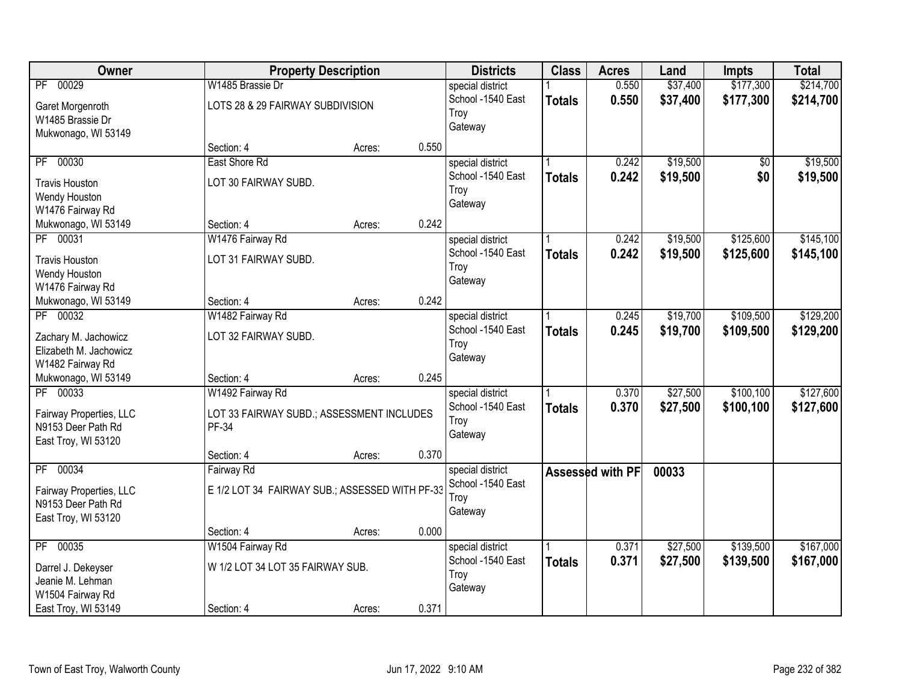| Owner                    |                                                | <b>Property Description</b> |       | <b>Districts</b>                      | <b>Class</b>  | <b>Acres</b>     | Land     | <b>Impts</b> | <b>Total</b> |
|--------------------------|------------------------------------------------|-----------------------------|-------|---------------------------------------|---------------|------------------|----------|--------------|--------------|
| PF 00029                 | W1485 Brassie Dr                               |                             |       | special district                      |               | 0.550            | \$37,400 | \$177,300    | \$214,700    |
| Garet Morgenroth         | LOTS 28 & 29 FAIRWAY SUBDIVISION               |                             |       | School -1540 East                     | <b>Totals</b> | 0.550            | \$37,400 | \$177,300    | \$214,700    |
| W1485 Brassie Dr         |                                                |                             |       | Troy                                  |               |                  |          |              |              |
| Mukwonago, WI 53149      |                                                |                             |       | Gateway                               |               |                  |          |              |              |
|                          | Section: 4                                     | Acres:                      | 0.550 |                                       |               |                  |          |              |              |
| 00030<br>$\overline{PF}$ | East Shore Rd                                  |                             |       | special district                      |               | 0.242            | \$19,500 | \$0          | \$19,500     |
| <b>Travis Houston</b>    | LOT 30 FAIRWAY SUBD.                           |                             |       | School -1540 East                     | <b>Totals</b> | 0.242            | \$19,500 | \$0          | \$19,500     |
| Wendy Houston            |                                                |                             |       | Troy                                  |               |                  |          |              |              |
| W1476 Fairway Rd         |                                                |                             |       | Gateway                               |               |                  |          |              |              |
| Mukwonago, WI 53149      | Section: 4                                     | Acres:                      | 0.242 |                                       |               |                  |          |              |              |
| PF 00031                 | W1476 Fairway Rd                               |                             |       | special district                      |               | 0.242            | \$19,500 | \$125,600    | \$145,100    |
| <b>Travis Houston</b>    | LOT 31 FAIRWAY SUBD.                           |                             |       | School -1540 East                     | <b>Totals</b> | 0.242            | \$19,500 | \$125,600    | \$145,100    |
| Wendy Houston            |                                                |                             |       | Troy                                  |               |                  |          |              |              |
| W1476 Fairway Rd         |                                                |                             |       | Gateway                               |               |                  |          |              |              |
| Mukwonago, WI 53149      | Section: 4                                     | Acres:                      | 0.242 |                                       |               |                  |          |              |              |
| PF 00032                 | W1482 Fairway Rd                               |                             |       | special district                      |               | 0.245            | \$19,700 | \$109,500    | \$129,200    |
| Zachary M. Jachowicz     | LOT 32 FAIRWAY SUBD.                           |                             |       | School -1540 East                     | <b>Totals</b> | 0.245            | \$19,700 | \$109,500    | \$129,200    |
| Elizabeth M. Jachowicz   |                                                |                             |       | Troy                                  |               |                  |          |              |              |
| W1482 Fairway Rd         |                                                |                             |       | Gateway                               |               |                  |          |              |              |
| Mukwonago, WI 53149      | Section: 4                                     | Acres:                      | 0.245 |                                       |               |                  |          |              |              |
| 00033<br>$\overline{PF}$ | W1492 Fairway Rd                               |                             |       | special district                      |               | 0.370            | \$27,500 | \$100, 100   | \$127,600    |
|                          |                                                |                             |       | School -1540 East                     | <b>Totals</b> | 0.370            | \$27,500 | \$100,100    | \$127,600    |
| Fairway Properties, LLC  | LOT 33 FAIRWAY SUBD.; ASSESSMENT INCLUDES      |                             |       | Troy                                  |               |                  |          |              |              |
| N9153 Deer Path Rd       | PF-34                                          |                             |       | Gateway                               |               |                  |          |              |              |
| East Troy, WI 53120      | Section: 4                                     | Acres:                      | 0.370 |                                       |               |                  |          |              |              |
| 00034<br>PF              | Fairway Rd                                     |                             |       | special district                      |               | Assessed with PF | 00033    |              |              |
|                          |                                                |                             |       | School -1540 East                     |               |                  |          |              |              |
| Fairway Properties, LLC  | E 1/2 LOT 34 FAIRWAY SUB.; ASSESSED WITH PF-33 |                             |       | Troy                                  |               |                  |          |              |              |
| N9153 Deer Path Rd       |                                                |                             |       | Gateway                               |               |                  |          |              |              |
| East Troy, WI 53120      |                                                |                             |       |                                       |               |                  |          |              |              |
| PF 00035                 | Section: 4                                     | Acres:                      | 0.000 |                                       |               | 0.371            | \$27,500 | \$139,500    | \$167,000    |
|                          | W1504 Fairway Rd                               |                             |       | special district<br>School -1540 East |               | 0.371            |          |              |              |
| Darrel J. Dekeyser       | W 1/2 LOT 34 LOT 35 FAIRWAY SUB.               |                             |       | Troy                                  | <b>Totals</b> |                  | \$27,500 | \$139,500    | \$167,000    |
| Jeanie M. Lehman         |                                                |                             |       | Gateway                               |               |                  |          |              |              |
| W1504 Fairway Rd         |                                                |                             |       |                                       |               |                  |          |              |              |
| East Troy, WI 53149      | Section: 4                                     | Acres:                      | 0.371 |                                       |               |                  |          |              |              |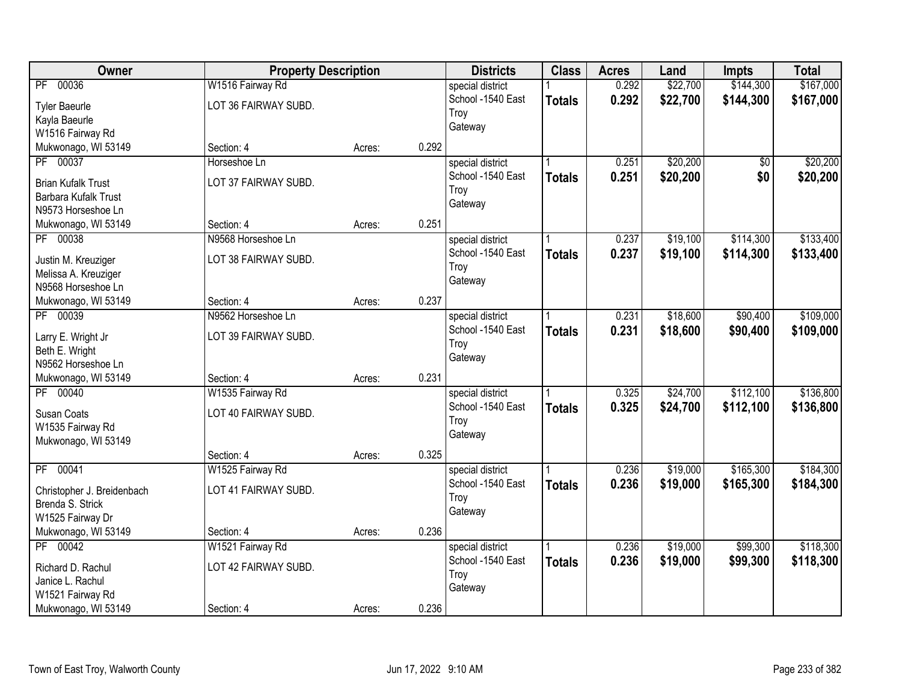| \$167,000<br>\$22,700<br>\$144,300<br>PF 00036<br>W1516 Fairway Rd<br>0.292<br>special district<br>0.292<br>\$22,700<br>School -1540 East<br>\$144,300<br>\$167,000<br><b>Totals</b><br>LOT 36 FAIRWAY SUBD.<br><b>Tyler Baeurle</b><br>Troy<br>Kayla Baeurle<br>Gateway<br>W1516 Fairway Rd<br>0.292<br>Mukwonago, WI 53149<br>Section: 4<br>Acres:<br>PF 00037<br>\$20,200<br>0.251<br>Horseshoe Ln<br>\$0<br>special district<br>School -1540 East<br>0.251<br>\$20,200<br>\$0<br><b>Totals</b><br>LOT 37 FAIRWAY SUBD.<br><b>Brian Kufalk Trust</b><br>Troy<br>Barbara Kufalk Trust<br>Gateway<br>N9573 Horseshoe Ln<br>0.251<br>Mukwonago, WI 53149<br>Section: 4<br>Acres:<br>PF 00038<br>N9568 Horseshoe Ln<br>0.237<br>\$19,100<br>\$114,300<br>special district<br>School -1540 East<br>0.237<br>\$19,100<br>\$114,300<br><b>Totals</b><br>LOT 38 FAIRWAY SUBD.<br>Justin M. Kreuziger<br>Troy<br>Melissa A. Kreuziger<br>Gateway<br>N9568 Horseshoe Ln<br>0.237<br>Section: 4<br>Acres: |
|---------------------------------------------------------------------------------------------------------------------------------------------------------------------------------------------------------------------------------------------------------------------------------------------------------------------------------------------------------------------------------------------------------------------------------------------------------------------------------------------------------------------------------------------------------------------------------------------------------------------------------------------------------------------------------------------------------------------------------------------------------------------------------------------------------------------------------------------------------------------------------------------------------------------------------------------------------------------------------------------------|
|                                                                                                                                                                                                                                                                                                                                                                                                                                                                                                                                                                                                                                                                                                                                                                                                                                                                                                                                                                                                   |
| \$20,200<br>\$20,200<br>\$133,400<br>\$133,400                                                                                                                                                                                                                                                                                                                                                                                                                                                                                                                                                                                                                                                                                                                                                                                                                                                                                                                                                    |
|                                                                                                                                                                                                                                                                                                                                                                                                                                                                                                                                                                                                                                                                                                                                                                                                                                                                                                                                                                                                   |
|                                                                                                                                                                                                                                                                                                                                                                                                                                                                                                                                                                                                                                                                                                                                                                                                                                                                                                                                                                                                   |
|                                                                                                                                                                                                                                                                                                                                                                                                                                                                                                                                                                                                                                                                                                                                                                                                                                                                                                                                                                                                   |
|                                                                                                                                                                                                                                                                                                                                                                                                                                                                                                                                                                                                                                                                                                                                                                                                                                                                                                                                                                                                   |
|                                                                                                                                                                                                                                                                                                                                                                                                                                                                                                                                                                                                                                                                                                                                                                                                                                                                                                                                                                                                   |
|                                                                                                                                                                                                                                                                                                                                                                                                                                                                                                                                                                                                                                                                                                                                                                                                                                                                                                                                                                                                   |
|                                                                                                                                                                                                                                                                                                                                                                                                                                                                                                                                                                                                                                                                                                                                                                                                                                                                                                                                                                                                   |
|                                                                                                                                                                                                                                                                                                                                                                                                                                                                                                                                                                                                                                                                                                                                                                                                                                                                                                                                                                                                   |
|                                                                                                                                                                                                                                                                                                                                                                                                                                                                                                                                                                                                                                                                                                                                                                                                                                                                                                                                                                                                   |
|                                                                                                                                                                                                                                                                                                                                                                                                                                                                                                                                                                                                                                                                                                                                                                                                                                                                                                                                                                                                   |
|                                                                                                                                                                                                                                                                                                                                                                                                                                                                                                                                                                                                                                                                                                                                                                                                                                                                                                                                                                                                   |
|                                                                                                                                                                                                                                                                                                                                                                                                                                                                                                                                                                                                                                                                                                                                                                                                                                                                                                                                                                                                   |
|                                                                                                                                                                                                                                                                                                                                                                                                                                                                                                                                                                                                                                                                                                                                                                                                                                                                                                                                                                                                   |
| Mukwonago, WI 53149                                                                                                                                                                                                                                                                                                                                                                                                                                                                                                                                                                                                                                                                                                                                                                                                                                                                                                                                                                               |
| PF 00039<br>\$18,600<br>\$90,400<br>\$109,000<br>N9562 Horseshoe Ln<br>0.231<br>special district                                                                                                                                                                                                                                                                                                                                                                                                                                                                                                                                                                                                                                                                                                                                                                                                                                                                                                  |
| School -1540 East<br>0.231<br>\$18,600<br>\$90,400<br>\$109,000<br><b>Totals</b><br>LOT 39 FAIRWAY SUBD.<br>Larry E. Wright Jr                                                                                                                                                                                                                                                                                                                                                                                                                                                                                                                                                                                                                                                                                                                                                                                                                                                                    |
| Troy<br>Beth E. Wright                                                                                                                                                                                                                                                                                                                                                                                                                                                                                                                                                                                                                                                                                                                                                                                                                                                                                                                                                                            |
| Gateway<br>N9562 Horseshoe Ln                                                                                                                                                                                                                                                                                                                                                                                                                                                                                                                                                                                                                                                                                                                                                                                                                                                                                                                                                                     |
| 0.231<br>Mukwonago, WI 53149<br>Section: 4<br>Acres:                                                                                                                                                                                                                                                                                                                                                                                                                                                                                                                                                                                                                                                                                                                                                                                                                                                                                                                                              |
| \$112,100<br>\$136,800<br>PF 00040<br>0.325<br>\$24,700<br>W1535 Fairway Rd<br>special district                                                                                                                                                                                                                                                                                                                                                                                                                                                                                                                                                                                                                                                                                                                                                                                                                                                                                                   |
| School -1540 East<br>0.325<br>\$24,700<br>\$112,100<br>\$136,800<br><b>Totals</b>                                                                                                                                                                                                                                                                                                                                                                                                                                                                                                                                                                                                                                                                                                                                                                                                                                                                                                                 |
| LOT 40 FAIRWAY SUBD.<br>Susan Coats<br>Troy                                                                                                                                                                                                                                                                                                                                                                                                                                                                                                                                                                                                                                                                                                                                                                                                                                                                                                                                                       |
| W1535 Fairway Rd<br>Gateway                                                                                                                                                                                                                                                                                                                                                                                                                                                                                                                                                                                                                                                                                                                                                                                                                                                                                                                                                                       |
| Mukwonago, WI 53149                                                                                                                                                                                                                                                                                                                                                                                                                                                                                                                                                                                                                                                                                                                                                                                                                                                                                                                                                                               |
| 0.325<br>Section: 4<br>Acres:                                                                                                                                                                                                                                                                                                                                                                                                                                                                                                                                                                                                                                                                                                                                                                                                                                                                                                                                                                     |
| \$165,300<br>\$184,300<br>00041<br>W1525 Fairway Rd<br>0.236<br>\$19,000<br>PF<br>special district                                                                                                                                                                                                                                                                                                                                                                                                                                                                                                                                                                                                                                                                                                                                                                                                                                                                                                |
| School -1540 East<br>0.236<br>\$19,000<br>\$165,300<br>\$184,300<br><b>Totals</b><br>LOT 41 FAIRWAY SUBD.<br>Christopher J. Breidenbach                                                                                                                                                                                                                                                                                                                                                                                                                                                                                                                                                                                                                                                                                                                                                                                                                                                           |
| Troy<br>Brenda S. Strick                                                                                                                                                                                                                                                                                                                                                                                                                                                                                                                                                                                                                                                                                                                                                                                                                                                                                                                                                                          |
| Gateway<br>W1525 Fairway Dr                                                                                                                                                                                                                                                                                                                                                                                                                                                                                                                                                                                                                                                                                                                                                                                                                                                                                                                                                                       |
| 0.236<br>Mukwonago, WI 53149<br>Section: 4<br>Acres:                                                                                                                                                                                                                                                                                                                                                                                                                                                                                                                                                                                                                                                                                                                                                                                                                                                                                                                                              |
| PF 00042<br>W1521 Fairway Rd<br>\$19,000<br>\$99,300<br>\$118,300<br>0.236<br>special district                                                                                                                                                                                                                                                                                                                                                                                                                                                                                                                                                                                                                                                                                                                                                                                                                                                                                                    |
| 0.236<br>School -1540 East<br>\$19,000<br>\$99,300<br>\$118,300<br><b>Totals</b><br>LOT 42 FAIRWAY SUBD.<br>Richard D. Rachul                                                                                                                                                                                                                                                                                                                                                                                                                                                                                                                                                                                                                                                                                                                                                                                                                                                                     |
| Troy<br>Janice L. Rachul                                                                                                                                                                                                                                                                                                                                                                                                                                                                                                                                                                                                                                                                                                                                                                                                                                                                                                                                                                          |
| Gateway<br>W1521 Fairway Rd                                                                                                                                                                                                                                                                                                                                                                                                                                                                                                                                                                                                                                                                                                                                                                                                                                                                                                                                                                       |
| 0.236<br>Mukwonago, WI 53149<br>Section: 4<br>Acres:                                                                                                                                                                                                                                                                                                                                                                                                                                                                                                                                                                                                                                                                                                                                                                                                                                                                                                                                              |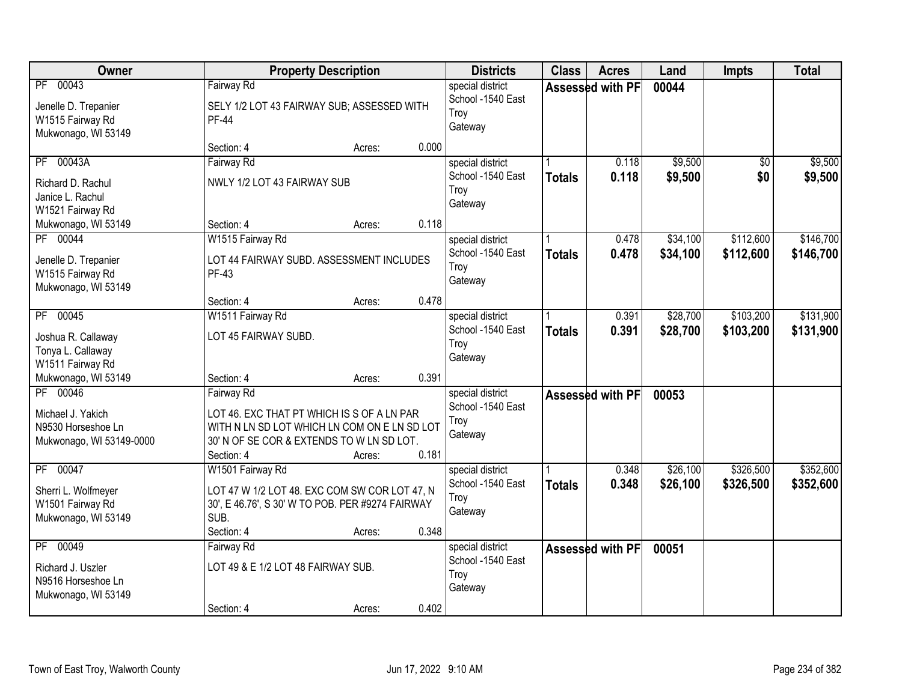| Owner                                                                           |                                                                                                                                                                     | <b>Property Description</b> |       | <b>Districts</b>                                         | <b>Class</b>  | <b>Acres</b>            | Land                 | Impts                  | <b>Total</b>           |
|---------------------------------------------------------------------------------|---------------------------------------------------------------------------------------------------------------------------------------------------------------------|-----------------------------|-------|----------------------------------------------------------|---------------|-------------------------|----------------------|------------------------|------------------------|
| PF 00043<br>Jenelle D. Trepanier<br>W1515 Fairway Rd<br>Mukwonago, WI 53149     | Fairway Rd<br>SELY 1/2 LOT 43 FAIRWAY SUB; ASSESSED WITH<br><b>PF-44</b>                                                                                            |                             |       | special district<br>School -1540 East<br>Troy<br>Gateway |               | Assessed with PF        | 00044                |                        |                        |
|                                                                                 | Section: 4                                                                                                                                                          | Acres:                      | 0.000 |                                                          |               |                         |                      |                        |                        |
| PF 00043A<br>Richard D. Rachul<br>Janice L. Rachul<br>W1521 Fairway Rd          | Fairway Rd<br>NWLY 1/2 LOT 43 FAIRWAY SUB                                                                                                                           |                             |       | special district<br>School -1540 East<br>Troy<br>Gateway | <b>Totals</b> | 0.118<br>0.118          | \$9,500<br>\$9,500   | \$0<br>\$0             | \$9,500<br>\$9,500     |
| Mukwonago, WI 53149                                                             | Section: 4                                                                                                                                                          | Acres:                      | 0.118 |                                                          |               |                         |                      |                        |                        |
| PF 00044<br>Jenelle D. Trepanier<br>W1515 Fairway Rd<br>Mukwonago, WI 53149     | W1515 Fairway Rd<br>LOT 44 FAIRWAY SUBD. ASSESSMENT INCLUDES<br>PF-43                                                                                               |                             |       | special district<br>School -1540 East<br>Troy<br>Gateway | <b>Totals</b> | 0.478<br>0.478          | \$34,100<br>\$34,100 | \$112,600<br>\$112,600 | \$146,700<br>\$146,700 |
|                                                                                 | Section: 4                                                                                                                                                          | Acres:                      | 0.478 |                                                          |               |                         |                      |                        |                        |
| PF 00045<br>Joshua R. Callaway<br>Tonya L. Callaway<br>W1511 Fairway Rd         | W1511 Fairway Rd<br>LOT 45 FAIRWAY SUBD.                                                                                                                            |                             |       | special district<br>School -1540 East<br>Troy<br>Gateway | <b>Totals</b> | 0.391<br>0.391          | \$28,700<br>\$28,700 | \$103,200<br>\$103,200 | \$131,900<br>\$131,900 |
| Mukwonago, WI 53149                                                             | Section: 4                                                                                                                                                          | Acres:                      | 0.391 |                                                          |               |                         |                      |                        |                        |
| PF 00046<br>Michael J. Yakich<br>N9530 Horseshoe Ln<br>Mukwonago, WI 53149-0000 | Fairway Rd<br>LOT 46. EXC THAT PT WHICH IS S OF A LN PAR<br>WITH N LN SD LOT WHICH LN COM ON E LN SD LOT<br>30' N OF SE COR & EXTENDS TO W LN SD LOT.<br>Section: 4 | Acres:                      | 0.181 | special district<br>School -1540 East<br>Troy<br>Gateway |               | Assessed with PF        | 00053                |                        |                        |
| PF 00047<br>Sherri L. Wolfmeyer<br>W1501 Fairway Rd<br>Mukwonago, WI 53149      | W1501 Fairway Rd<br>LOT 47 W 1/2 LOT 48. EXC COM SW COR LOT 47, N<br>30', E 46.76', S 30' W TO POB. PER #9274 FAIRWAY<br>SUB.<br>Section: 4                         | Acres:                      | 0.348 | special district<br>School -1540 East<br>Troy<br>Gateway | <b>Totals</b> | 0.348<br>0.348          | \$26,100<br>\$26,100 | \$326,500<br>\$326,500 | \$352,600<br>\$352,600 |
| PF 00049<br>Richard J. Uszler<br>N9516 Horseshoe Ln<br>Mukwonago, WI 53149      | Fairway Rd<br>LOT 49 & E 1/2 LOT 48 FAIRWAY SUB.<br>Section: 4                                                                                                      | Acres:                      | 0.402 | special district<br>School -1540 East<br>Troy<br>Gateway |               | <b>Assessed with PF</b> | 00051                |                        |                        |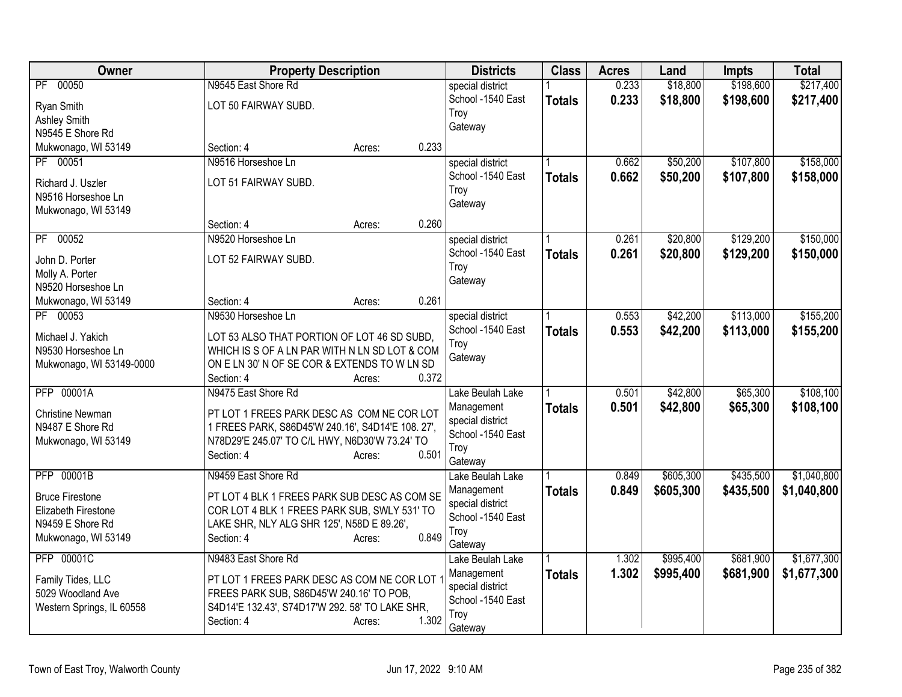| Owner                           | <b>Property Description</b>                       |                 | <b>Districts</b>                      | <b>Class</b>  | <b>Acres</b> | Land      | <b>Impts</b> | <b>Total</b> |
|---------------------------------|---------------------------------------------------|-----------------|---------------------------------------|---------------|--------------|-----------|--------------|--------------|
| PF 00050                        | N9545 East Shore Rd                               |                 | special district                      |               | 0.233        | \$18,800  | \$198,600    | \$217,400    |
| Ryan Smith                      | LOT 50 FAIRWAY SUBD.                              |                 | School -1540 East                     | <b>Totals</b> | 0.233        | \$18,800  | \$198,600    | \$217,400    |
| <b>Ashley Smith</b>             |                                                   |                 | Troy                                  |               |              |           |              |              |
| N9545 E Shore Rd                |                                                   |                 | Gateway                               |               |              |           |              |              |
| Mukwonago, WI 53149             | Section: 4                                        | 0.233<br>Acres: |                                       |               |              |           |              |              |
| PF 00051                        | N9516 Horseshoe Ln                                |                 | special district                      |               | 0.662        | \$50,200  | \$107,800    | \$158,000    |
| Richard J. Uszler               | LOT 51 FAIRWAY SUBD.                              |                 | School -1540 East                     | <b>Totals</b> | 0.662        | \$50,200  | \$107,800    | \$158,000    |
| N9516 Horseshoe Ln              |                                                   |                 | Troy                                  |               |              |           |              |              |
| Mukwonago, WI 53149             |                                                   |                 | Gateway                               |               |              |           |              |              |
|                                 | Section: 4                                        | 0.260<br>Acres: |                                       |               |              |           |              |              |
| PF 00052                        | N9520 Horseshoe Ln                                |                 | special district                      |               | 0.261        | \$20,800  | \$129,200    | \$150,000    |
|                                 |                                                   |                 | School -1540 East                     | <b>Totals</b> | 0.261        | \$20,800  | \$129,200    | \$150,000    |
| John D. Porter                  | LOT 52 FAIRWAY SUBD.                              |                 | Troy                                  |               |              |           |              |              |
| Molly A. Porter                 |                                                   |                 | Gateway                               |               |              |           |              |              |
| N9520 Horseshoe Ln              | Section: 4                                        | 0.261           |                                       |               |              |           |              |              |
| Mukwonago, WI 53149<br>PF 00053 | N9530 Horseshoe Ln                                | Acres:          |                                       |               | 0.553        | \$42,200  | \$113,000    | \$155,200    |
|                                 |                                                   |                 | special district<br>School -1540 East |               |              |           |              |              |
| Michael J. Yakich               | LOT 53 ALSO THAT PORTION OF LOT 46 SD SUBD.       |                 | Troy                                  | <b>Totals</b> | 0.553        | \$42,200  | \$113,000    | \$155,200    |
| N9530 Horseshoe Ln              | WHICH IS S OF A LN PAR WITH N LN SD LOT & COM     |                 | Gateway                               |               |              |           |              |              |
| Mukwonago, WI 53149-0000        | ON E LN 30' N OF SE COR & EXTENDS TO W LN SD      |                 |                                       |               |              |           |              |              |
|                                 | Section: 4                                        | 0.372<br>Acres: |                                       |               |              |           |              |              |
| <b>PFP 00001A</b>               | N9475 East Shore Rd                               |                 | Lake Beulah Lake                      |               | 0.501        | \$42,800  | \$65,300     | \$108,100    |
| <b>Christine Newman</b>         | PT LOT 1 FREES PARK DESC AS COM NE COR LOT        |                 | Management                            | <b>Totals</b> | 0.501        | \$42,800  | \$65,300     | \$108,100    |
| N9487 E Shore Rd                | 1 FREES PARK, S86D45'W 240.16', S4D14'E 108. 27', |                 | special district                      |               |              |           |              |              |
| Mukwonago, WI 53149             | N78D29'E 245.07' TO C/L HWY, N6D30'W 73.24' TO    |                 | School -1540 East                     |               |              |           |              |              |
|                                 | Section: 4                                        | 0.501<br>Acres: | Troy                                  |               |              |           |              |              |
|                                 |                                                   |                 | Gateway                               |               |              |           |              |              |
| <b>PFP 00001B</b>               | N9459 East Shore Rd                               |                 | Lake Beulah Lake                      |               | 0.849        | \$605,300 | \$435,500    | \$1,040,800  |
| <b>Bruce Firestone</b>          | PT LOT 4 BLK 1 FREES PARK SUB DESC AS COM SE      |                 | Management                            | <b>Totals</b> | 0.849        | \$605,300 | \$435,500    | \$1,040,800  |
| Elizabeth Firestone             | COR LOT 4 BLK 1 FREES PARK SUB, SWLY 531' TO      |                 | special district<br>School -1540 East |               |              |           |              |              |
| N9459 E Shore Rd                | LAKE SHR, NLY ALG SHR 125', N58D E 89.26',        |                 | Troy                                  |               |              |           |              |              |
| Mukwonago, WI 53149             | Section: 4                                        | 0.849<br>Acres: | Gateway                               |               |              |           |              |              |
| <b>PFP 00001C</b>               | N9483 East Shore Rd                               |                 | Lake Beulah Lake                      |               | 1.302        | \$995,400 | \$681,900    | \$1,677,300  |
|                                 |                                                   |                 | Management                            | <b>Totals</b> | 1.302        | \$995,400 | \$681,900    | \$1,677,300  |
| Family Tides, LLC               | PT LOT 1 FREES PARK DESC AS COM NE COR LOT        |                 | special district                      |               |              |           |              |              |
| 5029 Woodland Ave               | FREES PARK SUB, S86D45'W 240.16' TO POB,          |                 | School -1540 East                     |               |              |           |              |              |
| Western Springs, IL 60558       | S4D14'E 132.43', S74D17'W 292. 58' TO LAKE SHR,   |                 | Troy                                  |               |              |           |              |              |
|                                 | Section: 4                                        | 1.302<br>Acres: | Gateway                               |               |              |           |              |              |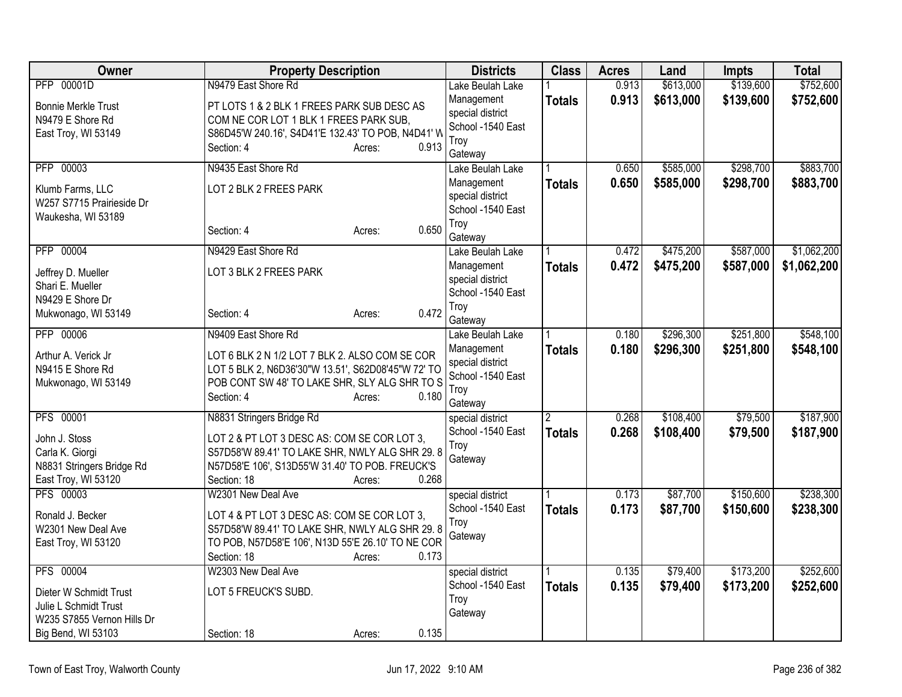| Owner                                                                                                                   | <b>Property Description</b>                                                                                                                                                                                     | <b>Districts</b>                                                                           | <b>Class</b>  | <b>Acres</b>   | Land                   | <b>Impts</b>           | <b>Total</b>               |
|-------------------------------------------------------------------------------------------------------------------------|-----------------------------------------------------------------------------------------------------------------------------------------------------------------------------------------------------------------|--------------------------------------------------------------------------------------------|---------------|----------------|------------------------|------------------------|----------------------------|
| PFP 00001D                                                                                                              | N9479 East Shore Rd                                                                                                                                                                                             | Lake Beulah Lake                                                                           |               | 0.913          | \$613,000              | \$139,600              | \$752,600                  |
| <b>Bonnie Merkle Trust</b><br>N9479 E Shore Rd<br>East Troy, WI 53149                                                   | PT LOTS 1 & 2 BLK 1 FREES PARK SUB DESC AS<br>COM NE COR LOT 1 BLK 1 FREES PARK SUB,<br>S86D45'W 240.16', S4D41'E 132.43' TO POB, N4D41' W<br>0.913<br>Section: 4<br>Acres:                                     | Management<br>special district<br>School -1540 East<br>Troy                                | <b>Totals</b> | 0.913          | \$613,000              | \$139,600              | \$752,600                  |
| PFP 00003                                                                                                               | N9435 East Shore Rd                                                                                                                                                                                             | Gateway<br>Lake Beulah Lake                                                                |               | 0.650          | \$585,000              | \$298,700              | \$883,700                  |
| Klumb Farms, LLC<br>W257 S7715 Prairieside Dr<br>Waukesha, WI 53189                                                     | LOT 2 BLK 2 FREES PARK                                                                                                                                                                                          | Management<br>special district<br>School -1540 East                                        | <b>Totals</b> | 0.650          | \$585,000              | \$298,700              | \$883,700                  |
|                                                                                                                         | 0.650<br>Section: 4<br>Acres:                                                                                                                                                                                   | Troy<br>Gateway                                                                            |               |                |                        |                        |                            |
| PFP 00004<br>Jeffrey D. Mueller<br>Shari E. Mueller<br>N9429 E Shore Dr                                                 | N9429 East Shore Rd<br>LOT 3 BLK 2 FREES PARK                                                                                                                                                                   | Lake Beulah Lake<br>Management<br>special district<br>School -1540 East                    | <b>Totals</b> | 0.472<br>0.472 | \$475,200<br>\$475,200 | \$587,000<br>\$587,000 | \$1,062,200<br>\$1,062,200 |
| Mukwonago, WI 53149                                                                                                     | 0.472<br>Section: 4<br>Acres:                                                                                                                                                                                   | Troy<br>Gateway                                                                            |               |                |                        |                        |                            |
| PFP 00006<br>Arthur A. Verick Jr<br>N9415 E Shore Rd<br>Mukwonago, WI 53149                                             | N9409 East Shore Rd<br>LOT 6 BLK 2 N 1/2 LOT 7 BLK 2. ALSO COM SE COR<br>LOT 5 BLK 2, N6D36'30"W 13.51', S62D08'45"W 72' TO<br>POB CONT SW 48' TO LAKE SHR, SLY ALG SHR TO S<br>0.180<br>Section: 4<br>Acres:   | Lake Beulah Lake<br>Management<br>special district<br>School -1540 East<br>Troy<br>Gateway | <b>Totals</b> | 0.180<br>0.180 | \$296,300<br>\$296,300 | \$251,800<br>\$251,800 | \$548,100<br>\$548,100     |
| <b>PFS 00001</b><br>John J. Stoss<br>Carla K. Giorgi<br>N8831 Stringers Bridge Rd<br>East Troy, WI 53120                | N8831 Stringers Bridge Rd<br>LOT 2 & PT LOT 3 DESC AS: COM SE COR LOT 3,<br>S57D58'W 89.41' TO LAKE SHR, NWLY ALG SHR 29.8<br>N57D58'E 106', S13D55'W 31.40' TO POB. FREUCK'S<br>0.268<br>Section: 18<br>Acres: | special district<br>School -1540 East<br>Troy<br>Gateway                                   | <b>Totals</b> | 0.268<br>0.268 | \$108,400<br>\$108,400 | \$79,500<br>\$79,500   | \$187,900<br>\$187,900     |
| PFS 00003<br>Ronald J. Becker<br>W2301 New Deal Ave<br>East Troy, WI 53120                                              | W2301 New Deal Ave<br>LOT 4 & PT LOT 3 DESC AS: COM SE COR LOT 3,<br>S57D58'W 89.41' TO LAKE SHR, NWLY ALG SHR 29.8<br>TO POB, N57D58'E 106', N13D 55'E 26.10' TO NE COR<br>Section: 18<br>0.173<br>Acres:      | special district<br>School -1540 East<br>Troy<br>Gateway                                   | <b>Totals</b> | 0.173<br>0.173 | \$87,700<br>\$87,700   | \$150,600<br>\$150,600 | \$238,300<br>\$238,300     |
| <b>PFS 00004</b><br>Dieter W Schmidt Trust<br>Julie L Schmidt Trust<br>W235 S7855 Vernon Hills Dr<br>Big Bend, WI 53103 | W2303 New Deal Ave<br>LOT 5 FREUCK'S SUBD.<br>0.135<br>Section: 18<br>Acres:                                                                                                                                    | special district<br>School -1540 East<br>Troy<br>Gateway                                   | <b>Totals</b> | 0.135<br>0.135 | \$79,400<br>\$79,400   | \$173,200<br>\$173,200 | \$252,600<br>\$252,600     |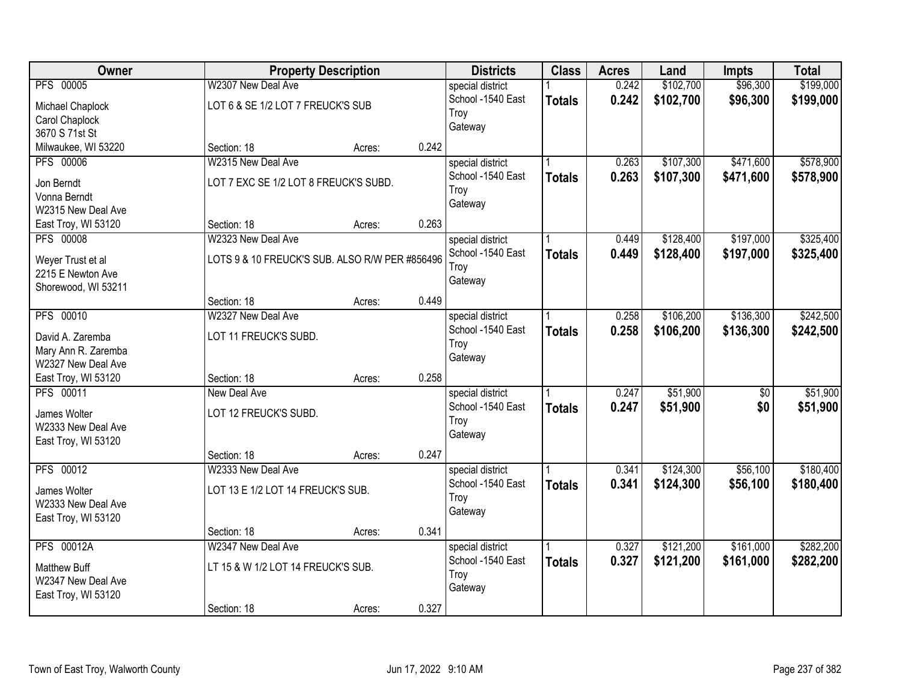| Owner                                     |                                                | <b>Property Description</b> |       | <b>Districts</b>  | <b>Class</b>  | <b>Acres</b> | Land      | <b>Impts</b>    | <b>Total</b> |
|-------------------------------------------|------------------------------------------------|-----------------------------|-------|-------------------|---------------|--------------|-----------|-----------------|--------------|
| <b>PFS 00005</b>                          | W2307 New Deal Ave                             |                             |       | special district  |               | 0.242        | \$102,700 | \$96,300        | \$199,000    |
| Michael Chaplock                          | LOT 6 & SE 1/2 LOT 7 FREUCK'S SUB              |                             |       | School -1540 East | <b>Totals</b> | 0.242        | \$102,700 | \$96,300        | \$199,000    |
| Carol Chaplock                            |                                                |                             |       | Troy              |               |              |           |                 |              |
| 3670 S 71st St                            |                                                |                             |       | Gateway           |               |              |           |                 |              |
| Milwaukee, WI 53220                       | Section: 18                                    | Acres:                      | 0.242 |                   |               |              |           |                 |              |
| <b>PFS 00006</b>                          | W2315 New Deal Ave                             |                             |       | special district  |               | 0.263        | \$107,300 | \$471,600       | \$578,900    |
| Jon Berndt                                | LOT 7 EXC SE 1/2 LOT 8 FREUCK'S SUBD.          |                             |       | School -1540 East | <b>Totals</b> | 0.263        | \$107,300 | \$471,600       | \$578,900    |
| Vonna Berndt                              |                                                |                             |       | Troy              |               |              |           |                 |              |
| W2315 New Deal Ave                        |                                                |                             |       | Gateway           |               |              |           |                 |              |
| East Troy, WI 53120                       | Section: 18                                    | Acres:                      | 0.263 |                   |               |              |           |                 |              |
| <b>PFS 00008</b>                          | W2323 New Deal Ave                             |                             |       | special district  |               | 0.449        | \$128,400 | \$197,000       | \$325,400    |
|                                           | LOTS 9 & 10 FREUCK'S SUB. ALSO R/W PER #856496 |                             |       | School -1540 East | <b>Totals</b> | 0.449        | \$128,400 | \$197,000       | \$325,400    |
| Weyer Trust et al<br>2215 E Newton Ave    |                                                |                             |       | Troy              |               |              |           |                 |              |
| Shorewood, WI 53211                       |                                                |                             |       | Gateway           |               |              |           |                 |              |
|                                           | Section: 18                                    | Acres:                      | 0.449 |                   |               |              |           |                 |              |
| PFS 00010                                 | W2327 New Deal Ave                             |                             |       | special district  |               | 0.258        | \$106,200 | \$136,300       | \$242,500    |
|                                           |                                                |                             |       | School -1540 East | <b>Totals</b> | 0.258        | \$106,200 | \$136,300       | \$242,500    |
| David A. Zaremba<br>Mary Ann R. Zaremba   | LOT 11 FREUCK'S SUBD.                          |                             |       | Troy              |               |              |           |                 |              |
| W2327 New Deal Ave                        |                                                |                             |       | Gateway           |               |              |           |                 |              |
| East Troy, WI 53120                       | Section: 18                                    | Acres:                      | 0.258 |                   |               |              |           |                 |              |
| PFS 00011                                 | New Deal Ave                                   |                             |       | special district  |               | 0.247        | \$51,900  | $\overline{50}$ | \$51,900     |
|                                           |                                                |                             |       | School -1540 East | <b>Totals</b> | 0.247        | \$51,900  | \$0             | \$51,900     |
| James Wolter<br>W2333 New Deal Ave        | LOT 12 FREUCK'S SUBD.                          |                             |       | Troy              |               |              |           |                 |              |
| East Troy, WI 53120                       |                                                |                             |       | Gateway           |               |              |           |                 |              |
|                                           | Section: 18                                    | Acres:                      | 0.247 |                   |               |              |           |                 |              |
| PFS 00012                                 | W2333 New Deal Ave                             |                             |       | special district  |               | 0.341        | \$124,300 | \$56,100        | \$180,400    |
|                                           |                                                |                             |       | School -1540 East | <b>Totals</b> | 0.341        | \$124,300 | \$56,100        | \$180,400    |
| James Wolter                              | LOT 13 E 1/2 LOT 14 FREUCK'S SUB.              |                             |       | Troy              |               |              |           |                 |              |
| W2333 New Deal Ave<br>East Troy, WI 53120 |                                                |                             |       | Gateway           |               |              |           |                 |              |
|                                           | Section: 18                                    | Acres:                      | 0.341 |                   |               |              |           |                 |              |
| <b>PFS 00012A</b>                         | W2347 New Deal Ave                             |                             |       | special district  |               | 0.327        | \$121,200 | \$161,000       | \$282,200    |
|                                           |                                                |                             |       | School -1540 East | <b>Totals</b> | 0.327        | \$121,200 | \$161,000       | \$282,200    |
| <b>Matthew Buff</b>                       | LT 15 & W 1/2 LOT 14 FREUCK'S SUB.             |                             |       | Troy              |               |              |           |                 |              |
| W2347 New Deal Ave<br>East Troy, WI 53120 |                                                |                             |       | Gateway           |               |              |           |                 |              |
|                                           | Section: 18                                    | Acres:                      | 0.327 |                   |               |              |           |                 |              |
|                                           |                                                |                             |       |                   |               |              |           |                 |              |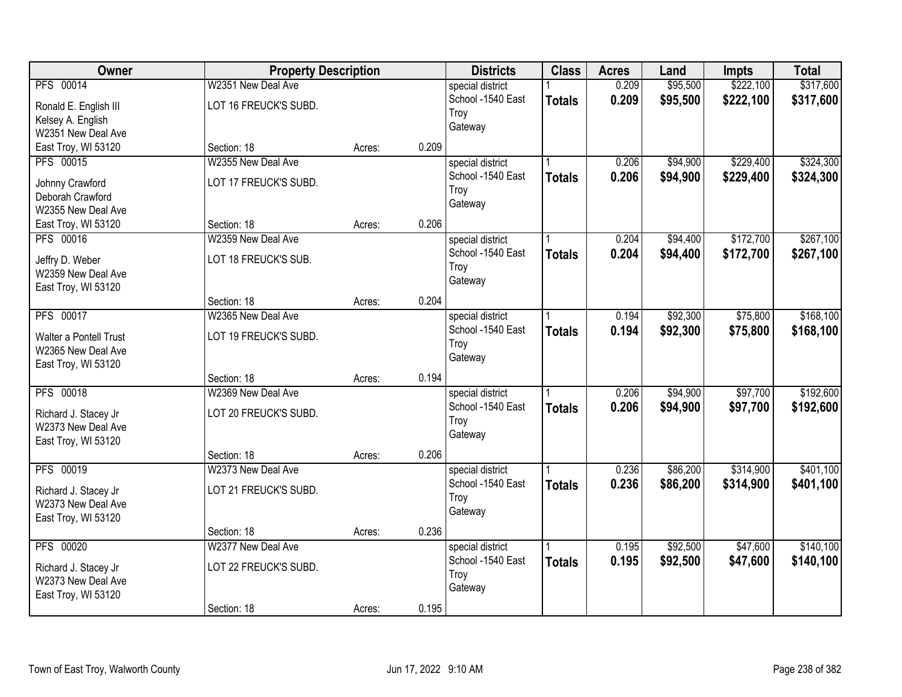| Owner                                                                                   | <b>Property Description</b>                                |        |       | <b>Districts</b>                                         | <b>Class</b>  | <b>Acres</b>   | Land                 | <b>Impts</b>           | <b>Total</b>           |
|-----------------------------------------------------------------------------------------|------------------------------------------------------------|--------|-------|----------------------------------------------------------|---------------|----------------|----------------------|------------------------|------------------------|
| PFS 00014<br>Ronald E. English III<br>Kelsey A. English<br>W2351 New Deal Ave           | W2351 New Deal Ave<br>LOT 16 FREUCK'S SUBD.                |        |       | special district<br>School -1540 East<br>Troy<br>Gateway | <b>Totals</b> | 0.209<br>0.209 | \$95,500<br>\$95,500 | \$222,100<br>\$222,100 | \$317,600<br>\$317,600 |
| East Troy, WI 53120                                                                     | Section: 18                                                | Acres: | 0.209 |                                                          |               |                |                      |                        |                        |
| PFS 00015<br>Johnny Crawford<br>Deborah Crawford<br>W2355 New Deal Ave                  | W2355 New Deal Ave<br>LOT 17 FREUCK'S SUBD.                |        |       | special district<br>School -1540 East<br>Troy<br>Gateway | <b>Totals</b> | 0.206<br>0.206 | \$94,900<br>\$94,900 | \$229,400<br>\$229,400 | \$324,300<br>\$324,300 |
| East Troy, WI 53120                                                                     | Section: 18                                                | Acres: | 0.206 |                                                          |               |                |                      |                        |                        |
| PFS 00016<br>Jeffry D. Weber<br>W2359 New Deal Ave<br>East Troy, WI 53120               | W2359 New Deal Ave<br>LOT 18 FREUCK'S SUB.                 |        |       | special district<br>School -1540 East<br>Troy<br>Gateway | <b>Totals</b> | 0.204<br>0.204 | \$94,400<br>\$94,400 | \$172,700<br>\$172,700 | \$267,100<br>\$267,100 |
|                                                                                         | Section: 18                                                | Acres: | 0.204 |                                                          |               |                |                      |                        |                        |
| <b>PFS 00017</b><br>Walter a Pontell Trust<br>W2365 New Deal Ave<br>East Troy, WI 53120 | W2365 New Deal Ave<br>LOT 19 FREUCK'S SUBD.                |        |       | special district<br>School -1540 East<br>Troy<br>Gateway | <b>Totals</b> | 0.194<br>0.194 | \$92,300<br>\$92,300 | \$75,800<br>\$75,800   | \$168,100<br>\$168,100 |
|                                                                                         | Section: 18                                                | Acres: | 0.194 |                                                          |               |                |                      |                        |                        |
| <b>PFS 00018</b><br>Richard J. Stacey Jr<br>W2373 New Deal Ave<br>East Troy, WI 53120   | W2369 New Deal Ave<br>LOT 20 FREUCK'S SUBD.                |        |       | special district<br>School -1540 East<br>Troy<br>Gateway | <b>Totals</b> | 0.206<br>0.206 | \$94,900<br>\$94,900 | \$97,700<br>\$97,700   | \$192,600<br>\$192,600 |
|                                                                                         | Section: 18                                                | Acres: | 0.206 |                                                          |               |                |                      |                        |                        |
| PFS 00019<br>Richard J. Stacey Jr<br>W2373 New Deal Ave<br>East Troy, WI 53120          | W2373 New Deal Ave<br>LOT 21 FREUCK'S SUBD.                |        |       | special district<br>School -1540 East<br>Troy<br>Gateway | <b>Totals</b> | 0.236<br>0.236 | \$86,200<br>\$86,200 | \$314,900<br>\$314,900 | \$401,100<br>\$401,100 |
|                                                                                         | Section: 18                                                | Acres: | 0.236 |                                                          |               |                |                      |                        |                        |
| PFS 00020<br>Richard J. Stacey Jr<br>W2373 New Deal Ave<br>East Troy, WI 53120          | W2377 New Deal Ave<br>LOT 22 FREUCK'S SUBD.<br>Section: 18 | Acres: | 0.195 | special district<br>School -1540 East<br>Troy<br>Gateway | <b>Totals</b> | 0.195<br>0.195 | \$92,500<br>\$92,500 | \$47,600<br>\$47,600   | \$140,100<br>\$140,100 |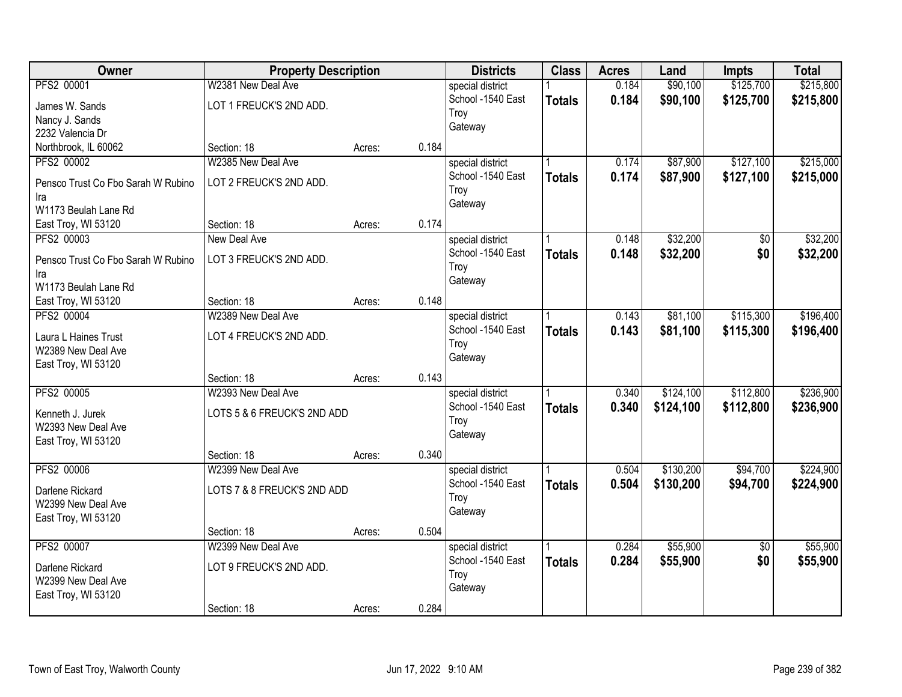| Owner                              | <b>Property Description</b>       |        |       | <b>Districts</b>                      | <b>Class</b>  | <b>Acres</b> | Land      | <b>Impts</b> | <b>Total</b> |
|------------------------------------|-----------------------------------|--------|-------|---------------------------------------|---------------|--------------|-----------|--------------|--------------|
| PFS2 00001                         | W2381 New Deal Ave                |        |       | special district                      |               | 0.184        | \$90,100  | \$125,700    | \$215,800    |
| James W. Sands                     | LOT 1 FREUCK'S 2ND ADD.           |        |       | School -1540 East                     | <b>Totals</b> | 0.184        | \$90,100  | \$125,700    | \$215,800    |
| Nancy J. Sands                     |                                   |        |       | Troy                                  |               |              |           |              |              |
| 2232 Valencia Dr                   |                                   |        |       | Gateway                               |               |              |           |              |              |
| Northbrook, IL 60062               | Section: 18                       | Acres: | 0.184 |                                       |               |              |           |              |              |
| PFS2 00002                         | W2385 New Deal Ave                |        |       | special district                      |               | 0.174        | \$87,900  | \$127,100    | \$215,000    |
| Pensco Trust Co Fbo Sarah W Rubino | LOT 2 FREUCK'S 2ND ADD.           |        |       | School -1540 East                     | <b>Totals</b> | 0.174        | \$87,900  | \$127,100    | \$215,000    |
| Ira                                |                                   |        |       | Troy                                  |               |              |           |              |              |
| W1173 Beulah Lane Rd               |                                   |        |       | Gateway                               |               |              |           |              |              |
| East Troy, WI 53120                | Section: 18                       | Acres: | 0.174 |                                       |               |              |           |              |              |
| PFS2 00003                         | New Deal Ave                      |        |       | special district                      |               | 0.148        | \$32,200  | \$0          | \$32,200     |
|                                    |                                   |        |       | School -1540 East                     | <b>Totals</b> | 0.148        | \$32,200  | \$0          | \$32,200     |
| Pensco Trust Co Fbo Sarah W Rubino | LOT 3 FREUCK'S 2ND ADD.           |        |       | Troy                                  |               |              |           |              |              |
| Ira<br>W1173 Beulah Lane Rd        |                                   |        |       | Gateway                               |               |              |           |              |              |
| East Troy, WI 53120                | Section: 18                       | Acres: | 0.148 |                                       |               |              |           |              |              |
| PFS2 00004                         | W2389 New Deal Ave                |        |       | special district                      |               | 0.143        | \$81,100  | \$115,300    | \$196,400    |
|                                    |                                   |        |       | School -1540 East                     | <b>Totals</b> | 0.143        | \$81,100  | \$115,300    | \$196,400    |
| Laura L Haines Trust               | LOT 4 FREUCK'S 2ND ADD.           |        |       | Troy                                  |               |              |           |              |              |
| W2389 New Deal Ave                 |                                   |        |       | Gateway                               |               |              |           |              |              |
| East Troy, WI 53120                |                                   |        | 0.143 |                                       |               |              |           |              |              |
| <b>PFS2 00005</b>                  | Section: 18<br>W2393 New Deal Ave | Acres: |       |                                       |               | 0.340        | \$124,100 | \$112,800    | \$236,900    |
|                                    |                                   |        |       | special district<br>School -1540 East |               |              |           |              |              |
| Kenneth J. Jurek                   | LOTS 5 & 6 FREUCK'S 2ND ADD       |        |       | Troy                                  | <b>Totals</b> | 0.340        | \$124,100 | \$112,800    | \$236,900    |
| W2393 New Deal Ave                 |                                   |        |       | Gateway                               |               |              |           |              |              |
| East Troy, WI 53120                |                                   |        |       |                                       |               |              |           |              |              |
|                                    | Section: 18                       | Acres: | 0.340 |                                       |               |              |           |              |              |
| PFS2 00006                         | W2399 New Deal Ave                |        |       | special district                      |               | 0.504        | \$130,200 | \$94,700     | \$224,900    |
| Darlene Rickard                    | LOTS 7 & 8 FREUCK'S 2ND ADD       |        |       | School -1540 East                     | <b>Totals</b> | 0.504        | \$130,200 | \$94,700     | \$224,900    |
| W2399 New Deal Ave                 |                                   |        |       | Troy                                  |               |              |           |              |              |
| East Troy, WI 53120                |                                   |        |       | Gateway                               |               |              |           |              |              |
|                                    | Section: 18                       | Acres: | 0.504 |                                       |               |              |           |              |              |
| PFS2 00007                         | W2399 New Deal Ave                |        |       | special district                      |               | 0.284        | \$55,900  | $\sqrt{$0}$  | \$55,900     |
| Darlene Rickard                    | LOT 9 FREUCK'S 2ND ADD.           |        |       | School -1540 East                     | <b>Totals</b> | 0.284        | \$55,900  | \$0          | \$55,900     |
| W2399 New Deal Ave                 |                                   |        |       | Troy                                  |               |              |           |              |              |
| East Troy, WI 53120                |                                   |        |       | Gateway                               |               |              |           |              |              |
|                                    | Section: 18                       | Acres: | 0.284 |                                       |               |              |           |              |              |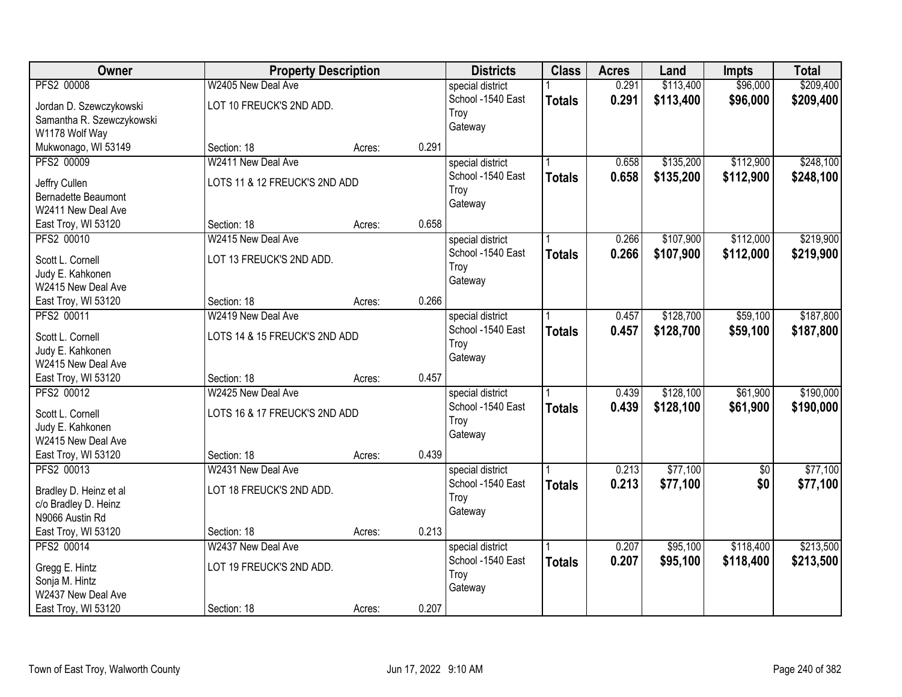| Owner                      | <b>Property Description</b>   |        |       | <b>Districts</b>  | <b>Class</b>  | <b>Acres</b> | Land      | <b>Impts</b>    | <b>Total</b> |
|----------------------------|-------------------------------|--------|-------|-------------------|---------------|--------------|-----------|-----------------|--------------|
| PFS2 00008                 | W2405 New Deal Ave            |        |       | special district  |               | 0.291        | \$113,400 | \$96,000        | \$209,400    |
| Jordan D. Szewczykowski    | LOT 10 FREUCK'S 2ND ADD.      |        |       | School -1540 East | <b>Totals</b> | 0.291        | \$113,400 | \$96,000        | \$209,400    |
| Samantha R. Szewczykowski  |                               |        |       | Troy              |               |              |           |                 |              |
| W1178 Wolf Way             |                               |        |       | Gateway           |               |              |           |                 |              |
| Mukwonago, WI 53149        | Section: 18                   | Acres: | 0.291 |                   |               |              |           |                 |              |
| PFS2 00009                 | W2411 New Deal Ave            |        |       | special district  |               | 0.658        | \$135,200 | \$112,900       | \$248,100    |
| Jeffry Cullen              | LOTS 11 & 12 FREUCK'S 2ND ADD |        |       | School -1540 East | <b>Totals</b> | 0.658        | \$135,200 | \$112,900       | \$248,100    |
| <b>Bernadette Beaumont</b> |                               |        |       | Troy              |               |              |           |                 |              |
| W2411 New Deal Ave         |                               |        |       | Gateway           |               |              |           |                 |              |
| East Troy, WI 53120        | Section: 18                   | Acres: | 0.658 |                   |               |              |           |                 |              |
| PFS2 00010                 | W2415 New Deal Ave            |        |       | special district  |               | 0.266        | \$107,900 | \$112,000       | \$219,900    |
|                            |                               |        |       | School -1540 East | <b>Totals</b> | 0.266        | \$107,900 | \$112,000       | \$219,900    |
| Scott L. Cornell           | LOT 13 FREUCK'S 2ND ADD.      |        |       | Troy              |               |              |           |                 |              |
| Judy E. Kahkonen           |                               |        |       | Gateway           |               |              |           |                 |              |
| W2415 New Deal Ave         |                               |        |       |                   |               |              |           |                 |              |
| East Troy, WI 53120        | Section: 18                   | Acres: | 0.266 |                   |               |              |           |                 |              |
| PFS2 00011                 | W2419 New Deal Ave            |        |       | special district  |               | 0.457        | \$128,700 | \$59,100        | \$187,800    |
| Scott L. Cornell           | LOTS 14 & 15 FREUCK'S 2ND ADD |        |       | School -1540 East | <b>Totals</b> | 0.457        | \$128,700 | \$59,100        | \$187,800    |
| Judy E. Kahkonen           |                               |        |       | Troy              |               |              |           |                 |              |
| W2415 New Deal Ave         |                               |        |       | Gateway           |               |              |           |                 |              |
| East Troy, WI 53120        | Section: 18                   | Acres: | 0.457 |                   |               |              |           |                 |              |
| PFS2 00012                 | W2425 New Deal Ave            |        |       | special district  |               | 0.439        | \$128,100 | \$61,900        | \$190,000    |
| Scott L. Cornell           | LOTS 16 & 17 FREUCK'S 2ND ADD |        |       | School -1540 East | <b>Totals</b> | 0.439        | \$128,100 | \$61,900        | \$190,000    |
| Judy E. Kahkonen           |                               |        |       | Troy              |               |              |           |                 |              |
| W2415 New Deal Ave         |                               |        |       | Gateway           |               |              |           |                 |              |
| East Troy, WI 53120        | Section: 18                   | Acres: | 0.439 |                   |               |              |           |                 |              |
| PFS2 00013                 | W2431 New Deal Ave            |        |       | special district  |               | 0.213        | \$77,100  | $\overline{60}$ | \$77,100     |
|                            |                               |        |       | School -1540 East | <b>Totals</b> | 0.213        | \$77,100  | \$0             | \$77,100     |
| Bradley D. Heinz et al     | LOT 18 FREUCK'S 2ND ADD.      |        |       | Troy              |               |              |           |                 |              |
| c/o Bradley D. Heinz       |                               |        |       | Gateway           |               |              |           |                 |              |
| N9066 Austin Rd            |                               |        |       |                   |               |              |           |                 |              |
| East Troy, WI 53120        | Section: 18                   | Acres: | 0.213 |                   |               |              |           |                 |              |
| PFS2 00014                 | W2437 New Deal Ave            |        |       | special district  |               | 0.207        | \$95,100  | \$118,400       | \$213,500    |
| Gregg E. Hintz             | LOT 19 FREUCK'S 2ND ADD.      |        |       | School -1540 East | <b>Totals</b> | 0.207        | \$95,100  | \$118,400       | \$213,500    |
| Sonja M. Hintz             |                               |        |       | Troy              |               |              |           |                 |              |
| W2437 New Deal Ave         |                               |        |       | Gateway           |               |              |           |                 |              |
| East Troy, WI 53120        | Section: 18                   | Acres: | 0.207 |                   |               |              |           |                 |              |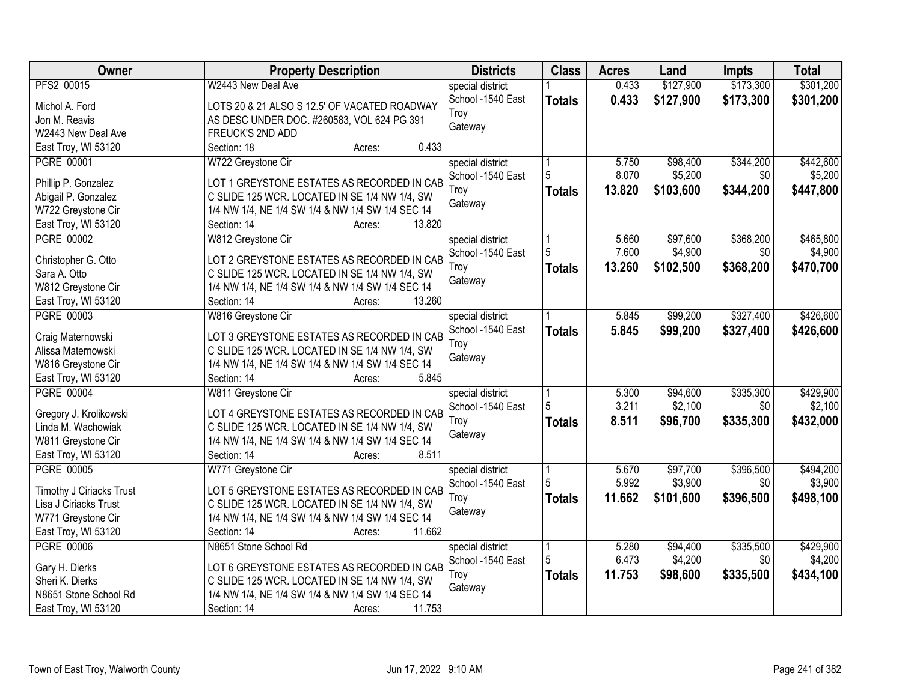| <b>Owner</b>             | <b>Property Description</b>                                | <b>Districts</b>  | <b>Class</b>  | <b>Acres</b> | Land      | <b>Impts</b> | <b>Total</b> |
|--------------------------|------------------------------------------------------------|-------------------|---------------|--------------|-----------|--------------|--------------|
| PFS2 00015               | W2443 New Deal Ave                                         | special district  |               | 0.433        | \$127,900 | \$173,300    | \$301,200    |
| Michol A. Ford           | LOTS 20 & 21 ALSO S 12.5' OF VACATED ROADWAY               | School -1540 East | <b>Totals</b> | 0.433        | \$127,900 | \$173,300    | \$301,200    |
| Jon M. Reavis            | AS DESC UNDER DOC. #260583, VOL 624 PG 391                 | Troy              |               |              |           |              |              |
| W2443 New Deal Ave       | FREUCK'S 2ND ADD                                           | Gateway           |               |              |           |              |              |
| East Troy, WI 53120      | 0.433<br>Section: 18<br>Acres:                             |                   |               |              |           |              |              |
| PGRE 00001               | W722 Greystone Cir                                         | special district  |               | 5.750        | \$98,400  | \$344,200    | \$442,600    |
|                          |                                                            | School -1540 East | 5             | 8.070        | \$5,200   | \$0          | \$5,200      |
| Phillip P. Gonzalez      | LOT 1 GREYSTONE ESTATES AS RECORDED IN CAB                 | Troy              |               | 13.820       | \$103,600 | \$344,200    | \$447,800    |
| Abigail P. Gonzalez      | C SLIDE 125 WCR. LOCATED IN SE 1/4 NW 1/4, SW              | Gateway           | <b>Totals</b> |              |           |              |              |
| W722 Greystone Cir       | 1/4 NW 1/4, NE 1/4 SW 1/4 & NW 1/4 SW 1/4 SEC 14           |                   |               |              |           |              |              |
| East Troy, WI 53120      | 13.820<br>Section: 14<br>Acres:                            |                   |               |              |           |              |              |
| <b>PGRE 00002</b>        | W812 Greystone Cir                                         | special district  |               | 5.660        | \$97,600  | \$368,200    | \$465,800    |
|                          |                                                            | School -1540 East |               | 7.600        | \$4,900   | \$0          | \$4,900      |
| Christopher G. Otto      | LOT 2 GREYSTONE ESTATES AS RECORDED IN CAB                 | Troy              | <b>Totals</b> | 13.260       | \$102,500 | \$368,200    | \$470,700    |
| Sara A. Otto             | C SLIDE 125 WCR. LOCATED IN SE 1/4 NW 1/4, SW              | Gateway           |               |              |           |              |              |
| W812 Greystone Cir       | 1/4 NW 1/4, NE 1/4 SW 1/4 & NW 1/4 SW 1/4 SEC 14<br>13.260 |                   |               |              |           |              |              |
| East Troy, WI 53120      | Section: 14<br>Acres:                                      |                   |               |              |           |              |              |
| PGRE 00003               | W816 Greystone Cir                                         | special district  |               | 5.845        | \$99,200  | \$327,400    | \$426,600    |
| Craig Maternowski        | LOT 3 GREYSTONE ESTATES AS RECORDED IN CAB                 | School -1540 East | <b>Totals</b> | 5.845        | \$99,200  | \$327,400    | \$426,600    |
| Alissa Maternowski       | C SLIDE 125 WCR. LOCATED IN SE 1/4 NW 1/4, SW              | Troy              |               |              |           |              |              |
| W816 Greystone Cir       | 1/4 NW 1/4, NE 1/4 SW 1/4 & NW 1/4 SW 1/4 SEC 14           | Gateway           |               |              |           |              |              |
| East Troy, WI 53120      | 5.845<br>Section: 14<br>Acres:                             |                   |               |              |           |              |              |
| <b>PGRE 00004</b>        | W811 Greystone Cir                                         | special district  |               | 5.300        | \$94,600  | \$335,300    | \$429,900    |
|                          |                                                            | School -1540 East | 5             | 3.211        | \$2,100   | \$0          | \$2,100      |
| Gregory J. Krolikowski   | LOT 4 GREYSTONE ESTATES AS RECORDED IN CAB                 | Troy              | <b>Totals</b> | 8.511        | \$96,700  | \$335,300    | \$432,000    |
| Linda M. Wachowiak       | C SLIDE 125 WCR. LOCATED IN SE 1/4 NW 1/4, SW              | Gateway           |               |              |           |              |              |
| W811 Greystone Cir       | 1/4 NW 1/4, NE 1/4 SW 1/4 & NW 1/4 SW 1/4 SEC 14           |                   |               |              |           |              |              |
| East Troy, WI 53120      | 8.511<br>Section: 14<br>Acres:                             |                   |               |              |           |              |              |
| <b>PGRE 00005</b>        | W771 Greystone Cir                                         | special district  |               | 5.670        | \$97,700  | \$396,500    | \$494,200    |
| Timothy J Ciriacks Trust | LOT 5 GREYSTONE ESTATES AS RECORDED IN CAB                 | School -1540 East | 5             | 5.992        | \$3,900   | \$0          | \$3,900      |
| Lisa J Ciriacks Trust    | C SLIDE 125 WCR. LOCATED IN SE 1/4 NW 1/4, SW              | Troy              | <b>Totals</b> | 11.662       | \$101,600 | \$396,500    | \$498,100    |
| W771 Greystone Cir       | 1/4 NW 1/4, NE 1/4 SW 1/4 & NW 1/4 SW 1/4 SEC 14           | Gateway           |               |              |           |              |              |
| East Troy, WI 53120      | 11.662<br>Section: 14<br>Acres:                            |                   |               |              |           |              |              |
| <b>PGRE 00006</b>        | N8651 Stone School Rd                                      | special district  |               | 5.280        | \$94,400  | \$335,500    | \$429,900    |
|                          |                                                            | School -1540 East |               | 6.473        | \$4,200   | \$0          | \$4,200      |
| Gary H. Dierks           | LOT 6 GREYSTONE ESTATES AS RECORDED IN CAB                 | Troy              | <b>Totals</b> | 11.753       | \$98,600  | \$335,500    | \$434,100    |
| Sheri K. Dierks          | C SLIDE 125 WCR. LOCATED IN SE 1/4 NW 1/4, SW              | Gateway           |               |              |           |              |              |
| N8651 Stone School Rd    | 1/4 NW 1/4, NE 1/4 SW 1/4 & NW 1/4 SW 1/4 SEC 14           |                   |               |              |           |              |              |
| East Troy, WI 53120      | 11.753<br>Section: 14<br>Acres:                            |                   |               |              |           |              |              |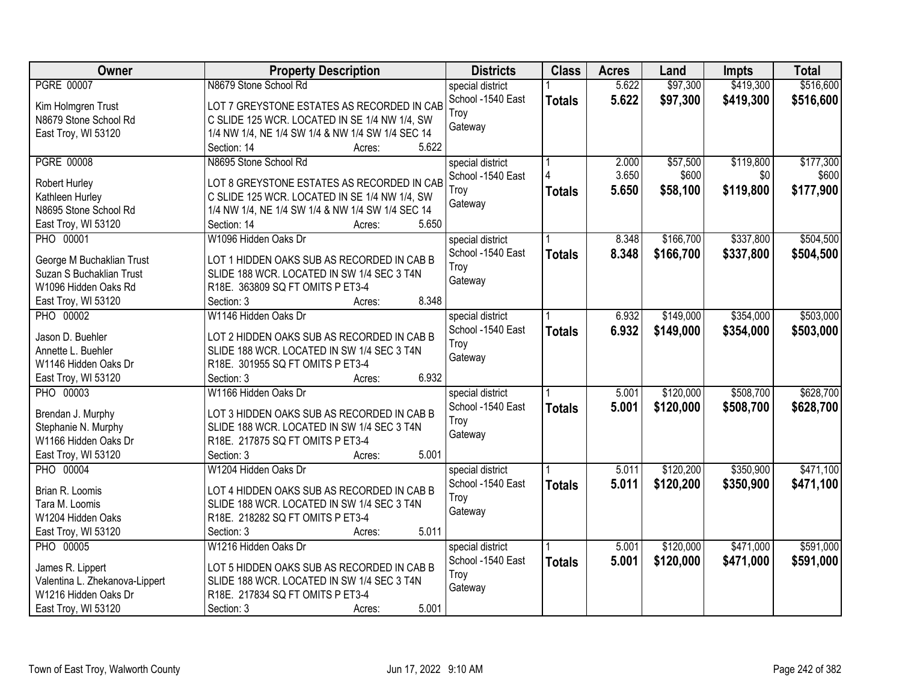| Owner                          | <b>Property Description</b>                      | <b>Districts</b>  | <b>Class</b>  | <b>Acres</b> | Land      | <b>Impts</b> | <b>Total</b> |
|--------------------------------|--------------------------------------------------|-------------------|---------------|--------------|-----------|--------------|--------------|
| <b>PGRE 00007</b>              | N8679 Stone School Rd                            | special district  |               | 5.622        | \$97,300  | \$419,300    | \$516,600    |
| Kim Holmgren Trust             | LOT 7 GREYSTONE ESTATES AS RECORDED IN CAB       | School -1540 East | <b>Totals</b> | 5.622        | \$97,300  | \$419,300    | \$516,600    |
| N8679 Stone School Rd          | C SLIDE 125 WCR. LOCATED IN SE 1/4 NW 1/4, SW    | Trov              |               |              |           |              |              |
| East Troy, WI 53120            | 1/4 NW 1/4, NE 1/4 SW 1/4 & NW 1/4 SW 1/4 SEC 14 | Gateway           |               |              |           |              |              |
|                                | 5.622<br>Section: 14<br>Acres:                   |                   |               |              |           |              |              |
| <b>PGRE 00008</b>              | N8695 Stone School Rd                            | special district  |               | 2.000        | \$57,500  | \$119,800    | \$177,300    |
|                                |                                                  | School -1540 East |               | 3.650        | \$600     | \$0          | \$600        |
| Robert Hurley                  | LOT 8 GREYSTONE ESTATES AS RECORDED IN CAB       | Troy              | <b>Totals</b> | 5.650        | \$58,100  | \$119,800    | \$177,900    |
| Kathleen Hurley                | C SLIDE 125 WCR. LOCATED IN SE 1/4 NW 1/4, SW    | Gateway           |               |              |           |              |              |
| N8695 Stone School Rd          | 1/4 NW 1/4, NE 1/4 SW 1/4 & NW 1/4 SW 1/4 SEC 14 |                   |               |              |           |              |              |
| East Troy, WI 53120            | 5.650<br>Section: 14<br>Acres:                   |                   |               |              |           |              |              |
| PHO 00001                      | W1096 Hidden Oaks Dr                             | special district  |               | 8.348        | \$166,700 | \$337,800    | \$504,500    |
| George M Buchaklian Trust      | LOT 1 HIDDEN OAKS SUB AS RECORDED IN CAB B       | School -1540 East | <b>Totals</b> | 8.348        | \$166,700 | \$337,800    | \$504,500    |
| Suzan S Buchaklian Trust       | SLIDE 188 WCR. LOCATED IN SW 1/4 SEC 3 T4N       | Troy              |               |              |           |              |              |
| W1096 Hidden Oaks Rd           | R18E. 363809 SQ FT OMITS P ET3-4                 | Gateway           |               |              |           |              |              |
| East Troy, WI 53120            | 8.348<br>Section: 3<br>Acres:                    |                   |               |              |           |              |              |
| <b>PHO 00002</b>               | W1146 Hidden Oaks Dr                             | special district  |               | 6.932        | \$149,000 | \$354,000    | \$503,000    |
|                                |                                                  | School -1540 East | <b>Totals</b> | 6.932        | \$149,000 | \$354,000    | \$503,000    |
| Jason D. Buehler               | LOT 2 HIDDEN OAKS SUB AS RECORDED IN CAB B       | Troy              |               |              |           |              |              |
| Annette L. Buehler             | SLIDE 188 WCR. LOCATED IN SW 1/4 SEC 3 T4N       | Gateway           |               |              |           |              |              |
| W1146 Hidden Oaks Dr           | R18E. 301955 SQ FT OMITS P ET3-4                 |                   |               |              |           |              |              |
| East Troy, WI 53120            | 6.932<br>Section: 3<br>Acres:                    |                   |               |              |           |              |              |
| <b>PHO 00003</b>               | W1166 Hidden Oaks Dr                             | special district  |               | 5.001        | \$120,000 | \$508,700    | \$628,700    |
| Brendan J. Murphy              | LOT 3 HIDDEN OAKS SUB AS RECORDED IN CAB B       | School -1540 East | <b>Totals</b> | 5.001        | \$120,000 | \$508,700    | \$628,700    |
| Stephanie N. Murphy            | SLIDE 188 WCR. LOCATED IN SW 1/4 SEC 3 T4N       | Troy              |               |              |           |              |              |
| W1166 Hidden Oaks Dr           | R18E. 217875 SQ FT OMITS P ET3-4                 | Gateway           |               |              |           |              |              |
| East Troy, WI 53120            | 5.001<br>Section: 3<br>Acres:                    |                   |               |              |           |              |              |
|                                |                                                  |                   |               |              |           |              |              |
| <b>PHO 00004</b>               | W1204 Hidden Oaks Dr                             | special district  |               | 5.011        | \$120,200 | \$350,900    | \$471,100    |
| Brian R. Loomis                | LOT 4 HIDDEN OAKS SUB AS RECORDED IN CAB B       | School -1540 East | <b>Totals</b> | 5.011        | \$120,200 | \$350,900    | \$471,100    |
| Tara M. Loomis                 | SLIDE 188 WCR. LOCATED IN SW 1/4 SEC 3 T4N       | Troy              |               |              |           |              |              |
| W1204 Hidden Oaks              | R18E. 218282 SQ FT OMITS P ET3-4                 | Gateway           |               |              |           |              |              |
| East Troy, WI 53120            | 5.011<br>Section: 3<br>Acres:                    |                   |               |              |           |              |              |
| <b>PHO 00005</b>               | W1216 Hidden Oaks Dr                             | special district  |               | 5.001        | \$120,000 | \$471,000    | \$591,000    |
| James R. Lippert               | LOT 5 HIDDEN OAKS SUB AS RECORDED IN CAB B       | School -1540 East | <b>Totals</b> | 5.001        | \$120,000 | \$471,000    | \$591,000    |
| Valentina L. Zhekanova-Lippert | SLIDE 188 WCR. LOCATED IN SW 1/4 SEC 3 T4N       | Troy              |               |              |           |              |              |
| W1216 Hidden Oaks Dr           | R18E. 217834 SQ FT OMITS P ET3-4                 | Gateway           |               |              |           |              |              |
|                                | 5.001                                            |                   |               |              |           |              |              |
| East Troy, WI 53120            | Section: 3<br>Acres:                             |                   |               |              |           |              |              |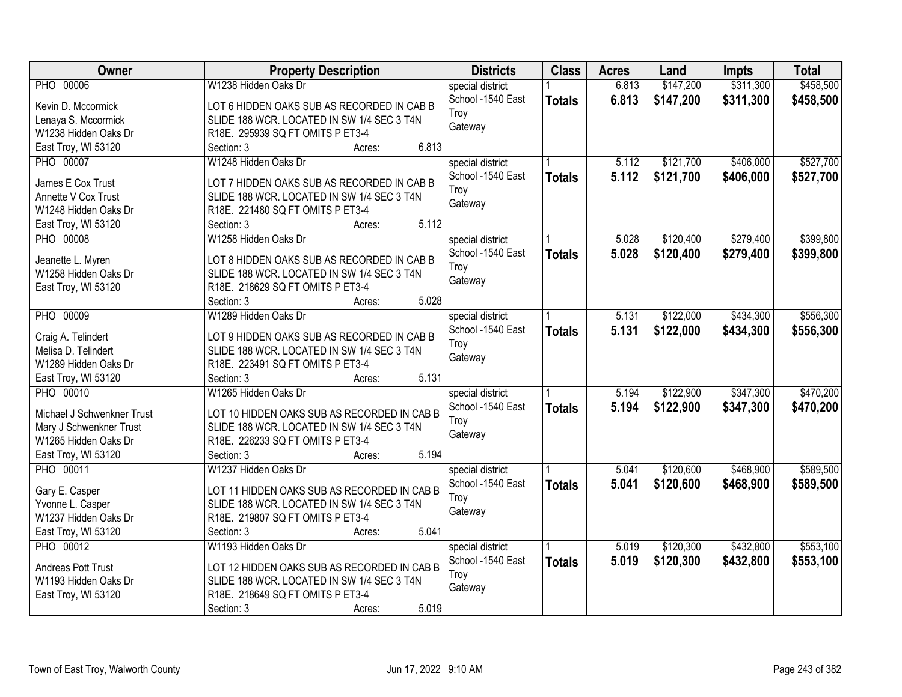| W1238 Hidden Oaks Dr<br>\$147,200<br>\$311,300<br>PHO 00006<br>6.813<br>special district<br>School -1540 East<br>6.813<br>\$147,200<br>\$311,300<br><b>Totals</b><br>Kevin D. Mccormick<br>LOT 6 HIDDEN OAKS SUB AS RECORDED IN CAB B<br>Troy<br>Lenaya S. Mccormick<br>SLIDE 188 WCR. LOCATED IN SW 1/4 SEC 3 T4N<br>Gateway<br>W1238 Hidden Oaks Dr<br>R18E. 295939 SQ FT OMITS P ET3-4<br>East Troy, WI 53120<br>6.813<br>Section: 3<br>Acres:<br>\$121,700<br>\$406,000<br><b>PHO 00007</b><br>W1248 Hidden Oaks Dr<br>5.112<br>special district<br>School -1540 East<br>5.112<br>\$121,700<br>\$406,000<br><b>Totals</b><br>James E Cox Trust<br>LOT 7 HIDDEN OAKS SUB AS RECORDED IN CAB B<br>Troy<br>Annette V Cox Trust<br>SLIDE 188 WCR. LOCATED IN SW 1/4 SEC 3 T4N<br>Gateway<br>W1248 Hidden Oaks Dr<br>R18E. 221480 SQ FT OMITS P ET3-4<br>5.112<br>East Troy, WI 53120<br>Section: 3<br>Acres:<br>\$120,400<br>\$279,400<br>PHO 00008<br>W1258 Hidden Oaks Dr<br>special district<br>5.028<br>School -1540 East<br>5.028<br>\$120,400<br>\$279,400<br><b>Totals</b><br>LOT 8 HIDDEN OAKS SUB AS RECORDED IN CAB B<br>Jeanette L. Myren<br>Troy<br>W1258 Hidden Oaks Dr<br>SLIDE 188 WCR. LOCATED IN SW 1/4 SEC 3 T4N<br>Gateway<br>R18E. 218629 SQ FT OMITS P ET3-4<br>East Troy, WI 53120<br>5.028<br>Section: 3<br>Acres:<br><b>PHO 00009</b><br>W1289 Hidden Oaks Dr<br>\$122,000<br>\$434,300<br>\$556,300<br>special district<br>5.131<br>School -1540 East<br>5.131<br>\$122,000<br>\$434,300<br><b>Totals</b><br>Craig A. Telindert<br>LOT 9 HIDDEN OAKS SUB AS RECORDED IN CAB B<br>Troy<br>Melisa D. Telindert<br>SLIDE 188 WCR. LOCATED IN SW 1/4 SEC 3 T4N<br>Gateway<br>W1289 Hidden Oaks Dr<br>R18E. 223491 SQ FT OMITS P ET3-4<br>5.131<br>Section: 3<br>East Troy, WI 53120<br>Acres:<br>\$122,900<br>\$347,300<br><b>PHO 00010</b><br>W1265 Hidden Oaks Dr<br>5.194<br>special district<br>5.194<br>\$122,900<br>\$347,300<br>School -1540 East<br><b>Totals</b><br>Michael J Schwenkner Trust<br>LOT 10 HIDDEN OAKS SUB AS RECORDED IN CAB B<br>Troy<br>Mary J Schwenkner Trust<br>SLIDE 188 WCR. LOCATED IN SW 1/4 SEC 3 T4N<br>Gateway<br>W1265 Hidden Oaks Dr<br>R18E. 226233 SQ FT OMITS P ET3-4<br>East Troy, WI 53120<br>5.194<br>Section: 3<br>Acres:<br><b>PHO 00011</b><br>\$120,600<br>\$468,900<br>W1237 Hidden Oaks Dr<br>special district<br>5.041<br>School -1540 East<br>5.041<br>\$120,600<br>\$468,900<br><b>Totals</b><br>Gary E. Casper<br>LOT 11 HIDDEN OAKS SUB AS RECORDED IN CAB B<br>Troy<br>SLIDE 188 WCR. LOCATED IN SW 1/4 SEC 3 T4N<br>Yvonne L. Casper<br>Gateway<br>W1237 Hidden Oaks Dr<br>R18E. 219807 SQ FT OMITS P ET3-4<br>5.041<br>East Troy, WI 53120<br>Section: 3<br>Acres:<br>\$120,300<br>\$432,800<br><b>PHO 00012</b><br>W1193 Hidden Oaks Dr<br>5.019<br>special district<br>School -1540 East<br>5.019<br>\$432,800<br>\$120,300<br><b>Totals</b><br>Andreas Pott Trust<br>LOT 12 HIDDEN OAKS SUB AS RECORDED IN CAB B<br>Troy<br>W1193 Hidden Oaks Dr<br>SLIDE 188 WCR. LOCATED IN SW 1/4 SEC 3 T4N<br>Gateway<br>R18E. 218649 SQ FT OMITS P ET3-4<br>East Troy, WI 53120 | Owner | <b>Property Description</b>   | <b>Districts</b> | <b>Class</b> | <b>Acres</b> | Land | <b>Impts</b> | <b>Total</b> |
|--------------------------------------------------------------------------------------------------------------------------------------------------------------------------------------------------------------------------------------------------------------------------------------------------------------------------------------------------------------------------------------------------------------------------------------------------------------------------------------------------------------------------------------------------------------------------------------------------------------------------------------------------------------------------------------------------------------------------------------------------------------------------------------------------------------------------------------------------------------------------------------------------------------------------------------------------------------------------------------------------------------------------------------------------------------------------------------------------------------------------------------------------------------------------------------------------------------------------------------------------------------------------------------------------------------------------------------------------------------------------------------------------------------------------------------------------------------------------------------------------------------------------------------------------------------------------------------------------------------------------------------------------------------------------------------------------------------------------------------------------------------------------------------------------------------------------------------------------------------------------------------------------------------------------------------------------------------------------------------------------------------------------------------------------------------------------------------------------------------------------------------------------------------------------------------------------------------------------------------------------------------------------------------------------------------------------------------------------------------------------------------------------------------------------------------------------------------------------------------------------------------------------------------------------------------------------------------------------------------------------------------------------------------------------------------------------------------------------------------------------------------------------------------------------------------------------------------------------------------------------------------------------------------------------------------------------------------------------------------------------------------------------------------------------------------------------------------------------------------------------------------------------------|-------|-------------------------------|------------------|--------------|--------------|------|--------------|--------------|
|                                                                                                                                                                                                                                                                                                                                                                                                                                                                                                                                                                                                                                                                                                                                                                                                                                                                                                                                                                                                                                                                                                                                                                                                                                                                                                                                                                                                                                                                                                                                                                                                                                                                                                                                                                                                                                                                                                                                                                                                                                                                                                                                                                                                                                                                                                                                                                                                                                                                                                                                                                                                                                                                                                                                                                                                                                                                                                                                                                                                                                                                                                                                                        |       |                               |                  |              |              |      |              | \$458,500    |
| \$527,700<br>\$527,700<br>\$399,800<br>\$399,800<br>\$556,300<br>\$470,200<br>\$470,200<br>\$589,500<br>\$589,500<br>\$553,100<br>\$553,100                                                                                                                                                                                                                                                                                                                                                                                                                                                                                                                                                                                                                                                                                                                                                                                                                                                                                                                                                                                                                                                                                                                                                                                                                                                                                                                                                                                                                                                                                                                                                                                                                                                                                                                                                                                                                                                                                                                                                                                                                                                                                                                                                                                                                                                                                                                                                                                                                                                                                                                                                                                                                                                                                                                                                                                                                                                                                                                                                                                                            |       |                               |                  |              |              |      |              | \$458,500    |
|                                                                                                                                                                                                                                                                                                                                                                                                                                                                                                                                                                                                                                                                                                                                                                                                                                                                                                                                                                                                                                                                                                                                                                                                                                                                                                                                                                                                                                                                                                                                                                                                                                                                                                                                                                                                                                                                                                                                                                                                                                                                                                                                                                                                                                                                                                                                                                                                                                                                                                                                                                                                                                                                                                                                                                                                                                                                                                                                                                                                                                                                                                                                                        |       |                               |                  |              |              |      |              |              |
|                                                                                                                                                                                                                                                                                                                                                                                                                                                                                                                                                                                                                                                                                                                                                                                                                                                                                                                                                                                                                                                                                                                                                                                                                                                                                                                                                                                                                                                                                                                                                                                                                                                                                                                                                                                                                                                                                                                                                                                                                                                                                                                                                                                                                                                                                                                                                                                                                                                                                                                                                                                                                                                                                                                                                                                                                                                                                                                                                                                                                                                                                                                                                        |       |                               |                  |              |              |      |              |              |
|                                                                                                                                                                                                                                                                                                                                                                                                                                                                                                                                                                                                                                                                                                                                                                                                                                                                                                                                                                                                                                                                                                                                                                                                                                                                                                                                                                                                                                                                                                                                                                                                                                                                                                                                                                                                                                                                                                                                                                                                                                                                                                                                                                                                                                                                                                                                                                                                                                                                                                                                                                                                                                                                                                                                                                                                                                                                                                                                                                                                                                                                                                                                                        |       |                               |                  |              |              |      |              |              |
|                                                                                                                                                                                                                                                                                                                                                                                                                                                                                                                                                                                                                                                                                                                                                                                                                                                                                                                                                                                                                                                                                                                                                                                                                                                                                                                                                                                                                                                                                                                                                                                                                                                                                                                                                                                                                                                                                                                                                                                                                                                                                                                                                                                                                                                                                                                                                                                                                                                                                                                                                                                                                                                                                                                                                                                                                                                                                                                                                                                                                                                                                                                                                        |       |                               |                  |              |              |      |              |              |
|                                                                                                                                                                                                                                                                                                                                                                                                                                                                                                                                                                                                                                                                                                                                                                                                                                                                                                                                                                                                                                                                                                                                                                                                                                                                                                                                                                                                                                                                                                                                                                                                                                                                                                                                                                                                                                                                                                                                                                                                                                                                                                                                                                                                                                                                                                                                                                                                                                                                                                                                                                                                                                                                                                                                                                                                                                                                                                                                                                                                                                                                                                                                                        |       |                               |                  |              |              |      |              |              |
|                                                                                                                                                                                                                                                                                                                                                                                                                                                                                                                                                                                                                                                                                                                                                                                                                                                                                                                                                                                                                                                                                                                                                                                                                                                                                                                                                                                                                                                                                                                                                                                                                                                                                                                                                                                                                                                                                                                                                                                                                                                                                                                                                                                                                                                                                                                                                                                                                                                                                                                                                                                                                                                                                                                                                                                                                                                                                                                                                                                                                                                                                                                                                        |       |                               |                  |              |              |      |              |              |
|                                                                                                                                                                                                                                                                                                                                                                                                                                                                                                                                                                                                                                                                                                                                                                                                                                                                                                                                                                                                                                                                                                                                                                                                                                                                                                                                                                                                                                                                                                                                                                                                                                                                                                                                                                                                                                                                                                                                                                                                                                                                                                                                                                                                                                                                                                                                                                                                                                                                                                                                                                                                                                                                                                                                                                                                                                                                                                                                                                                                                                                                                                                                                        |       |                               |                  |              |              |      |              |              |
|                                                                                                                                                                                                                                                                                                                                                                                                                                                                                                                                                                                                                                                                                                                                                                                                                                                                                                                                                                                                                                                                                                                                                                                                                                                                                                                                                                                                                                                                                                                                                                                                                                                                                                                                                                                                                                                                                                                                                                                                                                                                                                                                                                                                                                                                                                                                                                                                                                                                                                                                                                                                                                                                                                                                                                                                                                                                                                                                                                                                                                                                                                                                                        |       |                               |                  |              |              |      |              |              |
|                                                                                                                                                                                                                                                                                                                                                                                                                                                                                                                                                                                                                                                                                                                                                                                                                                                                                                                                                                                                                                                                                                                                                                                                                                                                                                                                                                                                                                                                                                                                                                                                                                                                                                                                                                                                                                                                                                                                                                                                                                                                                                                                                                                                                                                                                                                                                                                                                                                                                                                                                                                                                                                                                                                                                                                                                                                                                                                                                                                                                                                                                                                                                        |       |                               |                  |              |              |      |              |              |
|                                                                                                                                                                                                                                                                                                                                                                                                                                                                                                                                                                                                                                                                                                                                                                                                                                                                                                                                                                                                                                                                                                                                                                                                                                                                                                                                                                                                                                                                                                                                                                                                                                                                                                                                                                                                                                                                                                                                                                                                                                                                                                                                                                                                                                                                                                                                                                                                                                                                                                                                                                                                                                                                                                                                                                                                                                                                                                                                                                                                                                                                                                                                                        |       |                               |                  |              |              |      |              |              |
|                                                                                                                                                                                                                                                                                                                                                                                                                                                                                                                                                                                                                                                                                                                                                                                                                                                                                                                                                                                                                                                                                                                                                                                                                                                                                                                                                                                                                                                                                                                                                                                                                                                                                                                                                                                                                                                                                                                                                                                                                                                                                                                                                                                                                                                                                                                                                                                                                                                                                                                                                                                                                                                                                                                                                                                                                                                                                                                                                                                                                                                                                                                                                        |       |                               |                  |              |              |      |              |              |
|                                                                                                                                                                                                                                                                                                                                                                                                                                                                                                                                                                                                                                                                                                                                                                                                                                                                                                                                                                                                                                                                                                                                                                                                                                                                                                                                                                                                                                                                                                                                                                                                                                                                                                                                                                                                                                                                                                                                                                                                                                                                                                                                                                                                                                                                                                                                                                                                                                                                                                                                                                                                                                                                                                                                                                                                                                                                                                                                                                                                                                                                                                                                                        |       |                               |                  |              |              |      |              |              |
|                                                                                                                                                                                                                                                                                                                                                                                                                                                                                                                                                                                                                                                                                                                                                                                                                                                                                                                                                                                                                                                                                                                                                                                                                                                                                                                                                                                                                                                                                                                                                                                                                                                                                                                                                                                                                                                                                                                                                                                                                                                                                                                                                                                                                                                                                                                                                                                                                                                                                                                                                                                                                                                                                                                                                                                                                                                                                                                                                                                                                                                                                                                                                        |       |                               |                  |              |              |      |              |              |
|                                                                                                                                                                                                                                                                                                                                                                                                                                                                                                                                                                                                                                                                                                                                                                                                                                                                                                                                                                                                                                                                                                                                                                                                                                                                                                                                                                                                                                                                                                                                                                                                                                                                                                                                                                                                                                                                                                                                                                                                                                                                                                                                                                                                                                                                                                                                                                                                                                                                                                                                                                                                                                                                                                                                                                                                                                                                                                                                                                                                                                                                                                                                                        |       |                               |                  |              |              |      |              |              |
|                                                                                                                                                                                                                                                                                                                                                                                                                                                                                                                                                                                                                                                                                                                                                                                                                                                                                                                                                                                                                                                                                                                                                                                                                                                                                                                                                                                                                                                                                                                                                                                                                                                                                                                                                                                                                                                                                                                                                                                                                                                                                                                                                                                                                                                                                                                                                                                                                                                                                                                                                                                                                                                                                                                                                                                                                                                                                                                                                                                                                                                                                                                                                        |       |                               |                  |              |              |      |              |              |
|                                                                                                                                                                                                                                                                                                                                                                                                                                                                                                                                                                                                                                                                                                                                                                                                                                                                                                                                                                                                                                                                                                                                                                                                                                                                                                                                                                                                                                                                                                                                                                                                                                                                                                                                                                                                                                                                                                                                                                                                                                                                                                                                                                                                                                                                                                                                                                                                                                                                                                                                                                                                                                                                                                                                                                                                                                                                                                                                                                                                                                                                                                                                                        |       |                               |                  |              |              |      |              |              |
|                                                                                                                                                                                                                                                                                                                                                                                                                                                                                                                                                                                                                                                                                                                                                                                                                                                                                                                                                                                                                                                                                                                                                                                                                                                                                                                                                                                                                                                                                                                                                                                                                                                                                                                                                                                                                                                                                                                                                                                                                                                                                                                                                                                                                                                                                                                                                                                                                                                                                                                                                                                                                                                                                                                                                                                                                                                                                                                                                                                                                                                                                                                                                        |       |                               |                  |              |              |      |              |              |
|                                                                                                                                                                                                                                                                                                                                                                                                                                                                                                                                                                                                                                                                                                                                                                                                                                                                                                                                                                                                                                                                                                                                                                                                                                                                                                                                                                                                                                                                                                                                                                                                                                                                                                                                                                                                                                                                                                                                                                                                                                                                                                                                                                                                                                                                                                                                                                                                                                                                                                                                                                                                                                                                                                                                                                                                                                                                                                                                                                                                                                                                                                                                                        |       |                               |                  |              |              |      |              |              |
|                                                                                                                                                                                                                                                                                                                                                                                                                                                                                                                                                                                                                                                                                                                                                                                                                                                                                                                                                                                                                                                                                                                                                                                                                                                                                                                                                                                                                                                                                                                                                                                                                                                                                                                                                                                                                                                                                                                                                                                                                                                                                                                                                                                                                                                                                                                                                                                                                                                                                                                                                                                                                                                                                                                                                                                                                                                                                                                                                                                                                                                                                                                                                        |       |                               |                  |              |              |      |              |              |
|                                                                                                                                                                                                                                                                                                                                                                                                                                                                                                                                                                                                                                                                                                                                                                                                                                                                                                                                                                                                                                                                                                                                                                                                                                                                                                                                                                                                                                                                                                                                                                                                                                                                                                                                                                                                                                                                                                                                                                                                                                                                                                                                                                                                                                                                                                                                                                                                                                                                                                                                                                                                                                                                                                                                                                                                                                                                                                                                                                                                                                                                                                                                                        |       |                               |                  |              |              |      |              |              |
|                                                                                                                                                                                                                                                                                                                                                                                                                                                                                                                                                                                                                                                                                                                                                                                                                                                                                                                                                                                                                                                                                                                                                                                                                                                                                                                                                                                                                                                                                                                                                                                                                                                                                                                                                                                                                                                                                                                                                                                                                                                                                                                                                                                                                                                                                                                                                                                                                                                                                                                                                                                                                                                                                                                                                                                                                                                                                                                                                                                                                                                                                                                                                        |       |                               |                  |              |              |      |              |              |
|                                                                                                                                                                                                                                                                                                                                                                                                                                                                                                                                                                                                                                                                                                                                                                                                                                                                                                                                                                                                                                                                                                                                                                                                                                                                                                                                                                                                                                                                                                                                                                                                                                                                                                                                                                                                                                                                                                                                                                                                                                                                                                                                                                                                                                                                                                                                                                                                                                                                                                                                                                                                                                                                                                                                                                                                                                                                                                                                                                                                                                                                                                                                                        |       |                               |                  |              |              |      |              |              |
|                                                                                                                                                                                                                                                                                                                                                                                                                                                                                                                                                                                                                                                                                                                                                                                                                                                                                                                                                                                                                                                                                                                                                                                                                                                                                                                                                                                                                                                                                                                                                                                                                                                                                                                                                                                                                                                                                                                                                                                                                                                                                                                                                                                                                                                                                                                                                                                                                                                                                                                                                                                                                                                                                                                                                                                                                                                                                                                                                                                                                                                                                                                                                        |       |                               |                  |              |              |      |              |              |
|                                                                                                                                                                                                                                                                                                                                                                                                                                                                                                                                                                                                                                                                                                                                                                                                                                                                                                                                                                                                                                                                                                                                                                                                                                                                                                                                                                                                                                                                                                                                                                                                                                                                                                                                                                                                                                                                                                                                                                                                                                                                                                                                                                                                                                                                                                                                                                                                                                                                                                                                                                                                                                                                                                                                                                                                                                                                                                                                                                                                                                                                                                                                                        |       |                               |                  |              |              |      |              |              |
|                                                                                                                                                                                                                                                                                                                                                                                                                                                                                                                                                                                                                                                                                                                                                                                                                                                                                                                                                                                                                                                                                                                                                                                                                                                                                                                                                                                                                                                                                                                                                                                                                                                                                                                                                                                                                                                                                                                                                                                                                                                                                                                                                                                                                                                                                                                                                                                                                                                                                                                                                                                                                                                                                                                                                                                                                                                                                                                                                                                                                                                                                                                                                        |       |                               |                  |              |              |      |              |              |
|                                                                                                                                                                                                                                                                                                                                                                                                                                                                                                                                                                                                                                                                                                                                                                                                                                                                                                                                                                                                                                                                                                                                                                                                                                                                                                                                                                                                                                                                                                                                                                                                                                                                                                                                                                                                                                                                                                                                                                                                                                                                                                                                                                                                                                                                                                                                                                                                                                                                                                                                                                                                                                                                                                                                                                                                                                                                                                                                                                                                                                                                                                                                                        |       |                               |                  |              |              |      |              |              |
|                                                                                                                                                                                                                                                                                                                                                                                                                                                                                                                                                                                                                                                                                                                                                                                                                                                                                                                                                                                                                                                                                                                                                                                                                                                                                                                                                                                                                                                                                                                                                                                                                                                                                                                                                                                                                                                                                                                                                                                                                                                                                                                                                                                                                                                                                                                                                                                                                                                                                                                                                                                                                                                                                                                                                                                                                                                                                                                                                                                                                                                                                                                                                        |       |                               |                  |              |              |      |              |              |
|                                                                                                                                                                                                                                                                                                                                                                                                                                                                                                                                                                                                                                                                                                                                                                                                                                                                                                                                                                                                                                                                                                                                                                                                                                                                                                                                                                                                                                                                                                                                                                                                                                                                                                                                                                                                                                                                                                                                                                                                                                                                                                                                                                                                                                                                                                                                                                                                                                                                                                                                                                                                                                                                                                                                                                                                                                                                                                                                                                                                                                                                                                                                                        |       |                               |                  |              |              |      |              |              |
|                                                                                                                                                                                                                                                                                                                                                                                                                                                                                                                                                                                                                                                                                                                                                                                                                                                                                                                                                                                                                                                                                                                                                                                                                                                                                                                                                                                                                                                                                                                                                                                                                                                                                                                                                                                                                                                                                                                                                                                                                                                                                                                                                                                                                                                                                                                                                                                                                                                                                                                                                                                                                                                                                                                                                                                                                                                                                                                                                                                                                                                                                                                                                        |       |                               |                  |              |              |      |              |              |
|                                                                                                                                                                                                                                                                                                                                                                                                                                                                                                                                                                                                                                                                                                                                                                                                                                                                                                                                                                                                                                                                                                                                                                                                                                                                                                                                                                                                                                                                                                                                                                                                                                                                                                                                                                                                                                                                                                                                                                                                                                                                                                                                                                                                                                                                                                                                                                                                                                                                                                                                                                                                                                                                                                                                                                                                                                                                                                                                                                                                                                                                                                                                                        |       |                               |                  |              |              |      |              |              |
|                                                                                                                                                                                                                                                                                                                                                                                                                                                                                                                                                                                                                                                                                                                                                                                                                                                                                                                                                                                                                                                                                                                                                                                                                                                                                                                                                                                                                                                                                                                                                                                                                                                                                                                                                                                                                                                                                                                                                                                                                                                                                                                                                                                                                                                                                                                                                                                                                                                                                                                                                                                                                                                                                                                                                                                                                                                                                                                                                                                                                                                                                                                                                        |       |                               |                  |              |              |      |              |              |
|                                                                                                                                                                                                                                                                                                                                                                                                                                                                                                                                                                                                                                                                                                                                                                                                                                                                                                                                                                                                                                                                                                                                                                                                                                                                                                                                                                                                                                                                                                                                                                                                                                                                                                                                                                                                                                                                                                                                                                                                                                                                                                                                                                                                                                                                                                                                                                                                                                                                                                                                                                                                                                                                                                                                                                                                                                                                                                                                                                                                                                                                                                                                                        |       |                               |                  |              |              |      |              |              |
|                                                                                                                                                                                                                                                                                                                                                                                                                                                                                                                                                                                                                                                                                                                                                                                                                                                                                                                                                                                                                                                                                                                                                                                                                                                                                                                                                                                                                                                                                                                                                                                                                                                                                                                                                                                                                                                                                                                                                                                                                                                                                                                                                                                                                                                                                                                                                                                                                                                                                                                                                                                                                                                                                                                                                                                                                                                                                                                                                                                                                                                                                                                                                        |       |                               |                  |              |              |      |              |              |
|                                                                                                                                                                                                                                                                                                                                                                                                                                                                                                                                                                                                                                                                                                                                                                                                                                                                                                                                                                                                                                                                                                                                                                                                                                                                                                                                                                                                                                                                                                                                                                                                                                                                                                                                                                                                                                                                                                                                                                                                                                                                                                                                                                                                                                                                                                                                                                                                                                                                                                                                                                                                                                                                                                                                                                                                                                                                                                                                                                                                                                                                                                                                                        |       |                               |                  |              |              |      |              |              |
|                                                                                                                                                                                                                                                                                                                                                                                                                                                                                                                                                                                                                                                                                                                                                                                                                                                                                                                                                                                                                                                                                                                                                                                                                                                                                                                                                                                                                                                                                                                                                                                                                                                                                                                                                                                                                                                                                                                                                                                                                                                                                                                                                                                                                                                                                                                                                                                                                                                                                                                                                                                                                                                                                                                                                                                                                                                                                                                                                                                                                                                                                                                                                        |       |                               |                  |              |              |      |              |              |
|                                                                                                                                                                                                                                                                                                                                                                                                                                                                                                                                                                                                                                                                                                                                                                                                                                                                                                                                                                                                                                                                                                                                                                                                                                                                                                                                                                                                                                                                                                                                                                                                                                                                                                                                                                                                                                                                                                                                                                                                                                                                                                                                                                                                                                                                                                                                                                                                                                                                                                                                                                                                                                                                                                                                                                                                                                                                                                                                                                                                                                                                                                                                                        |       | 5.019<br>Section: 3<br>Acres: |                  |              |              |      |              |              |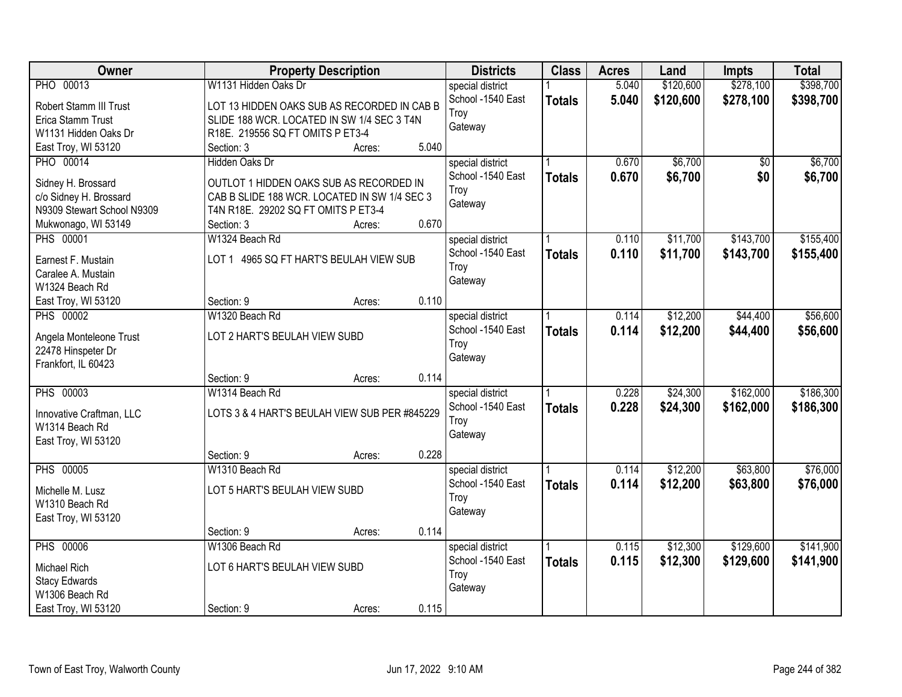| Owner                      | <b>Property Description</b>                   |       | <b>Districts</b>  | <b>Class</b>  | <b>Acres</b> | Land      | <b>Impts</b> | <b>Total</b> |
|----------------------------|-----------------------------------------------|-------|-------------------|---------------|--------------|-----------|--------------|--------------|
| PHO 00013                  | W1131 Hidden Oaks Dr                          |       | special district  |               | 5.040        | \$120,600 | \$278,100    | \$398,700    |
| Robert Stamm III Trust     | LOT 13 HIDDEN OAKS SUB AS RECORDED IN CAB B   |       | School -1540 East | <b>Totals</b> | 5.040        | \$120,600 | \$278,100    | \$398,700    |
| Erica Stamm Trust          | SLIDE 188 WCR. LOCATED IN SW 1/4 SEC 3 T4N    |       | Troy              |               |              |           |              |              |
| W1131 Hidden Oaks Dr       | R18E. 219556 SQ FT OMITS P ET3-4              |       | Gateway           |               |              |           |              |              |
| East Troy, WI 53120        | Section: 3<br>Acres:                          | 5.040 |                   |               |              |           |              |              |
| <b>PHO 00014</b>           | Hidden Oaks Dr                                |       | special district  |               | 0.670        | \$6,700   | \$0          | \$6,700      |
|                            |                                               |       | School -1540 East | <b>Totals</b> | 0.670        | \$6,700   | \$0          | \$6,700      |
| Sidney H. Brossard         | OUTLOT 1 HIDDEN OAKS SUB AS RECORDED IN       |       | Troy              |               |              |           |              |              |
| c/o Sidney H. Brossard     | CAB B SLIDE 188 WCR. LOCATED IN SW 1/4 SEC 3  |       | Gateway           |               |              |           |              |              |
| N9309 Stewart School N9309 | T4N R18E. 29202 SQ FT OMITS P ET3-4           |       |                   |               |              |           |              |              |
| Mukwonago, WI 53149        | Section: 3<br>Acres:                          | 0.670 |                   |               |              |           |              |              |
| <b>PHS 00001</b>           | W1324 Beach Rd                                |       | special district  |               | 0.110        | \$11,700  | \$143,700    | \$155,400    |
| Earnest F. Mustain         | LOT 1 4965 SQ FT HART'S BEULAH VIEW SUB       |       | School -1540 East | <b>Totals</b> | 0.110        | \$11,700  | \$143,700    | \$155,400    |
| Caralee A. Mustain         |                                               |       | Troy              |               |              |           |              |              |
| W1324 Beach Rd             |                                               |       | Gateway           |               |              |           |              |              |
| East Troy, WI 53120        | Section: 9<br>Acres:                          | 0.110 |                   |               |              |           |              |              |
| <b>PHS 00002</b>           | W1320 Beach Rd                                |       | special district  |               | 0.114        | \$12,200  | \$44,400     | \$56,600     |
| Angela Monteleone Trust    | LOT 2 HART'S BEULAH VIEW SUBD                 |       | School -1540 East | <b>Totals</b> | 0.114        | \$12,200  | \$44,400     | \$56,600     |
| 22478 Hinspeter Dr         |                                               |       | Troy              |               |              |           |              |              |
| Frankfort, IL 60423        |                                               |       | Gateway           |               |              |           |              |              |
|                            | Section: 9<br>Acres:                          | 0.114 |                   |               |              |           |              |              |
| <b>PHS 00003</b>           | W1314 Beach Rd                                |       | special district  |               | 0.228        | \$24,300  | \$162,000    | \$186,300    |
|                            |                                               |       | School -1540 East | <b>Totals</b> | 0.228        | \$24,300  | \$162,000    | \$186,300    |
| Innovative Craftman, LLC   | LOTS 3 & 4 HART'S BEULAH VIEW SUB PER #845229 |       | Troy              |               |              |           |              |              |
| W1314 Beach Rd             |                                               |       | Gateway           |               |              |           |              |              |
| East Troy, WI 53120        |                                               |       |                   |               |              |           |              |              |
|                            | Section: 9<br>Acres:                          | 0.228 |                   |               |              |           |              |              |
| <b>PHS 00005</b>           | W1310 Beach Rd                                |       | special district  |               | 0.114        | \$12,200  | \$63,800     | \$76,000     |
| Michelle M. Lusz           | LOT 5 HART'S BEULAH VIEW SUBD                 |       | School -1540 East | <b>Totals</b> | 0.114        | \$12,200  | \$63,800     | \$76,000     |
| W1310 Beach Rd             |                                               |       | Troy              |               |              |           |              |              |
| East Troy, WI 53120        |                                               |       | Gateway           |               |              |           |              |              |
|                            | Section: 9<br>Acres:                          | 0.114 |                   |               |              |           |              |              |
| <b>PHS 00006</b>           | W1306 Beach Rd                                |       | special district  |               | 0.115        | \$12,300  | \$129,600    | \$141,900    |
| Michael Rich               | LOT 6 HART'S BEULAH VIEW SUBD                 |       | School -1540 East | <b>Totals</b> | 0.115        | \$12,300  | \$129,600    | \$141,900    |
| <b>Stacy Edwards</b>       |                                               |       | Troy              |               |              |           |              |              |
| W1306 Beach Rd             |                                               |       | Gateway           |               |              |           |              |              |
| East Troy, WI 53120        | Section: 9<br>Acres:                          | 0.115 |                   |               |              |           |              |              |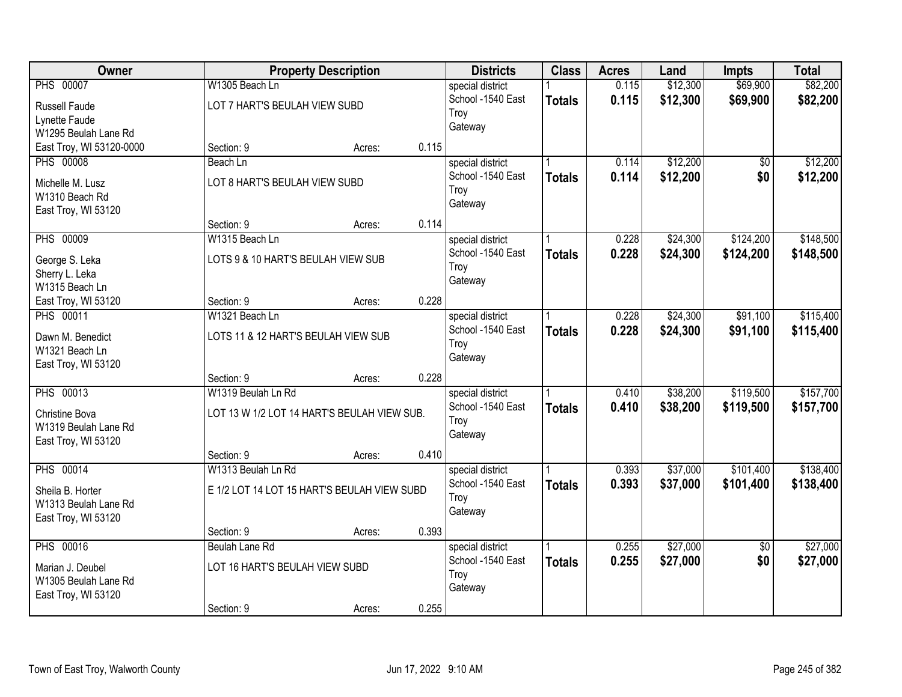| <b>Owner</b>                       |                                     | <b>Property Description</b>                 |       | <b>Districts</b>          | <b>Class</b>  | <b>Acres</b> | Land     | <b>Impts</b>    | <b>Total</b> |
|------------------------------------|-------------------------------------|---------------------------------------------|-------|---------------------------|---------------|--------------|----------|-----------------|--------------|
| <b>PHS 00007</b>                   | W1305 Beach Ln                      |                                             |       | special district          |               | 0.115        | \$12,300 | \$69,900        | \$82,200     |
| Russell Faude                      | LOT 7 HART'S BEULAH VIEW SUBD       |                                             |       | School -1540 East<br>Troy | <b>Totals</b> | 0.115        | \$12,300 | \$69,900        | \$82,200     |
| Lynette Faude                      |                                     |                                             |       | Gateway                   |               |              |          |                 |              |
| W1295 Beulah Lane Rd               |                                     |                                             |       |                           |               |              |          |                 |              |
| East Troy, WI 53120-0000           | Section: 9                          | Acres:                                      | 0.115 |                           |               |              |          |                 |              |
| <b>PHS 00008</b>                   | Beach Ln                            |                                             |       | special district          |               | 0.114        | \$12,200 | \$0             | \$12,200     |
| Michelle M. Lusz                   | LOT 8 HART'S BEULAH VIEW SUBD       |                                             |       | School -1540 East         | <b>Totals</b> | 0.114        | \$12,200 | \$0             | \$12,200     |
| W1310 Beach Rd                     |                                     |                                             |       | Troy                      |               |              |          |                 |              |
| East Troy, WI 53120                |                                     |                                             |       | Gateway                   |               |              |          |                 |              |
|                                    | Section: 9                          | Acres:                                      | 0.114 |                           |               |              |          |                 |              |
| <b>PHS 00009</b>                   | W1315 Beach Ln                      |                                             |       | special district          |               | 0.228        | \$24,300 | \$124,200       | \$148,500    |
| George S. Leka                     | LOTS 9 & 10 HART'S BEULAH VIEW SUB  |                                             |       | School -1540 East         | <b>Totals</b> | 0.228        | \$24,300 | \$124,200       | \$148,500    |
| Sherry L. Leka                     |                                     |                                             |       | Troy                      |               |              |          |                 |              |
| W1315 Beach Ln                     |                                     |                                             |       | Gateway                   |               |              |          |                 |              |
| East Troy, WI 53120                | Section: 9                          | Acres:                                      | 0.228 |                           |               |              |          |                 |              |
| <b>PHS 00011</b>                   | W1321 Beach Ln                      |                                             |       | special district          |               | 0.228        | \$24,300 | \$91,100        | \$115,400    |
|                                    |                                     |                                             |       | School -1540 East         | <b>Totals</b> | 0.228        | \$24,300 | \$91,100        | \$115,400    |
| Dawn M. Benedict<br>W1321 Beach Ln | LOTS 11 & 12 HART'S BEULAH VIEW SUB |                                             |       | Troy                      |               |              |          |                 |              |
| East Troy, WI 53120                |                                     |                                             |       | Gateway                   |               |              |          |                 |              |
|                                    | Section: 9                          | Acres:                                      | 0.228 |                           |               |              |          |                 |              |
| <b>PHS 00013</b>                   | W1319 Beulah Ln Rd                  |                                             |       | special district          |               | 0.410        | \$38,200 | \$119,500       | \$157,700    |
|                                    |                                     |                                             |       | School -1540 East         | <b>Totals</b> | 0.410        | \$38,200 | \$119,500       | \$157,700    |
| Christine Bova                     |                                     | LOT 13 W 1/2 LOT 14 HART'S BEULAH VIEW SUB. |       | Troy                      |               |              |          |                 |              |
| W1319 Beulah Lane Rd               |                                     |                                             |       | Gateway                   |               |              |          |                 |              |
| East Troy, WI 53120                |                                     |                                             |       |                           |               |              |          |                 |              |
|                                    | Section: 9                          | Acres:                                      | 0.410 |                           |               |              |          |                 |              |
| <b>PHS 00014</b>                   | W1313 Beulah Ln Rd                  |                                             |       | special district          |               | 0.393        | \$37,000 | \$101,400       | \$138,400    |
| Sheila B. Horter                   |                                     | E 1/2 LOT 14 LOT 15 HART'S BEULAH VIEW SUBD |       | School -1540 East         | <b>Totals</b> | 0.393        | \$37,000 | \$101,400       | \$138,400    |
| W1313 Beulah Lane Rd               |                                     |                                             |       | Troy                      |               |              |          |                 |              |
| East Troy, WI 53120                |                                     |                                             |       | Gateway                   |               |              |          |                 |              |
|                                    | Section: 9                          | Acres:                                      | 0.393 |                           |               |              |          |                 |              |
| <b>PHS 00016</b>                   | Beulah Lane Rd                      |                                             |       | special district          |               | 0.255        | \$27,000 | $\overline{50}$ | \$27,000     |
| Marian J. Deubel                   | LOT 16 HART'S BEULAH VIEW SUBD      |                                             |       | School -1540 East         | <b>Totals</b> | 0.255        | \$27,000 | \$0             | \$27,000     |
| W1305 Beulah Lane Rd               |                                     |                                             |       | Troy                      |               |              |          |                 |              |
| East Troy, WI 53120                |                                     |                                             |       | Gateway                   |               |              |          |                 |              |
|                                    | Section: 9                          | Acres:                                      | 0.255 |                           |               |              |          |                 |              |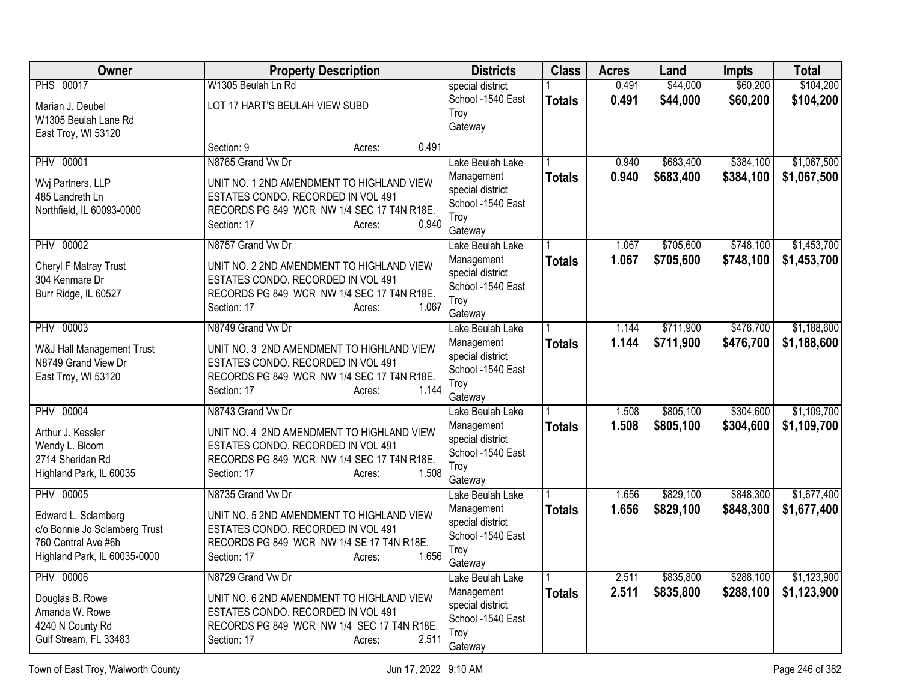| Owner                                   | <b>Property Description</b>                                                     | <b>Districts</b>                      | <b>Class</b>  | <b>Acres</b> | Land      | <b>Impts</b> | <b>Total</b> |
|-----------------------------------------|---------------------------------------------------------------------------------|---------------------------------------|---------------|--------------|-----------|--------------|--------------|
| <b>PHS 00017</b>                        | W1305 Beulah Ln Rd                                                              | special district                      |               | 0.491        | \$44,000  | \$60,200     | \$104,200    |
| Marian J. Deubel                        | LOT 17 HART'S BEULAH VIEW SUBD                                                  | School -1540 East<br>Troy             | <b>Totals</b> | 0.491        | \$44,000  | \$60,200     | \$104,200    |
| W1305 Beulah Lane Rd                    |                                                                                 | Gateway                               |               |              |           |              |              |
| East Troy, WI 53120                     | 0.491<br>Section: 9                                                             |                                       |               |              |           |              |              |
| <b>PHV 00001</b>                        | Acres:<br>N8765 Grand Vw Dr                                                     | Lake Beulah Lake                      |               | 0.940        | \$683,400 | \$384,100    | \$1,067,500  |
|                                         |                                                                                 | Management                            | <b>Totals</b> | 0.940        | \$683,400 | \$384,100    | \$1,067,500  |
| Wvj Partners, LLP<br>485 Landreth Ln    | UNIT NO. 1 2ND AMENDMENT TO HIGHLAND VIEW<br>ESTATES CONDO. RECORDED IN VOL 491 | special district                      |               |              |           |              |              |
| Northfield, IL 60093-0000               | RECORDS PG 849 WCR NW 1/4 SEC 17 T4N R18E.                                      | School -1540 East                     |               |              |           |              |              |
|                                         | 0.940<br>Section: 17<br>Acres:                                                  | Troy<br>Gateway                       |               |              |           |              |              |
| <b>PHV 00002</b>                        | N8757 Grand Vw Dr                                                               | Lake Beulah Lake                      |               | 1.067        | \$705,600 | \$748,100    | \$1,453,700  |
|                                         |                                                                                 | Management                            | <b>Totals</b> | 1.067        | \$705,600 | \$748,100    | \$1,453,700  |
| Cheryl F Matray Trust<br>304 Kenmare Dr | UNIT NO. 2 2ND AMENDMENT TO HIGHLAND VIEW<br>ESTATES CONDO. RECORDED IN VOL 491 | special district                      |               |              |           |              |              |
| Burr Ridge, IL 60527                    | RECORDS PG 849 WCR NW 1/4 SEC 17 T4N R18E.                                      | School -1540 East                     |               |              |           |              |              |
|                                         | 1.067<br>Section: 17<br>Acres:                                                  | Troy<br>Gateway                       |               |              |           |              |              |
| <b>PHV 00003</b>                        | N8749 Grand Vw Dr                                                               | Lake Beulah Lake                      |               | 1.144        | \$711,900 | \$476,700    | \$1,188,600  |
| W&J Hall Management Trust               | UNIT NO. 3 2ND AMENDMENT TO HIGHLAND VIEW                                       | Management                            | <b>Totals</b> | 1.144        | \$711,900 | \$476,700    | \$1,188,600  |
| N8749 Grand View Dr                     | ESTATES CONDO. RECORDED IN VOL 491                                              | special district                      |               |              |           |              |              |
| East Troy, WI 53120                     | RECORDS PG 849 WCR NW 1/4 SEC 17 T4N R18E.                                      | School -1540 East<br>Troy             |               |              |           |              |              |
|                                         | 1.144<br>Section: 17<br>Acres:                                                  | Gateway                               |               |              |           |              |              |
| <b>PHV 00004</b>                        | N8743 Grand Vw Dr                                                               | Lake Beulah Lake                      |               | 1.508        | \$805,100 | \$304,600    | \$1,109,700  |
| Arthur J. Kessler                       | UNIT NO. 4 2ND AMENDMENT TO HIGHLAND VIEW                                       | Management                            | <b>Totals</b> | 1.508        | \$805,100 | \$304,600    | \$1,109,700  |
| Wendy L. Bloom                          | ESTATES CONDO. RECORDED IN VOL 491                                              | special district<br>School -1540 East |               |              |           |              |              |
| 2714 Sheridan Rd                        | RECORDS PG 849 WCR NW 1/4 SEC 17 T4N R18E.                                      | Troy                                  |               |              |           |              |              |
| Highland Park, IL 60035                 | 1.508<br>Section: 17<br>Acres:                                                  | Gateway                               |               |              |           |              |              |
| <b>PHV 00005</b>                        | N8735 Grand Vw Dr                                                               | Lake Beulah Lake                      |               | 1.656        | \$829,100 | \$848,300    | \$1,677,400  |
| Edward L. Sclamberg                     | UNIT NO. 5 2ND AMENDMENT TO HIGHLAND VIEW                                       | Management                            | <b>Totals</b> | 1.656        | \$829,100 | \$848,300    | \$1,677,400  |
| c/o Bonnie Jo Sclamberg Trust           | ESTATES CONDO. RECORDED IN VOL 491                                              | special district<br>School -1540 East |               |              |           |              |              |
| 760 Central Ave #6h                     | RECORDS PG 849 WCR NW 1/4 SE 17 T4N R18E.                                       | Troy                                  |               |              |           |              |              |
| Highland Park, IL 60035-0000            | 1.656<br>Section: 17<br>Acres:                                                  | Gateway                               |               |              |           |              |              |
| <b>PHV 00006</b>                        | N8729 Grand Vw Dr                                                               | Lake Beulah Lake                      |               | 2.511        | \$835,800 | \$288,100    | \$1,123,900  |
| Douglas B. Rowe                         | UNIT NO. 6 2ND AMENDMENT TO HIGHLAND VIEW                                       | Management<br>special district        | <b>Totals</b> | 2.511        | \$835,800 | \$288,100    | \$1,123,900  |
| Amanda W. Rowe                          | ESTATES CONDO. RECORDED IN VOL 491                                              | School -1540 East                     |               |              |           |              |              |
| 4240 N County Rd                        | RECORDS PG 849 WCR NW 1/4 SEC 17 T4N R18E.                                      | Troy                                  |               |              |           |              |              |
| Gulf Stream, FL 33483                   | 2.511<br>Section: 17<br>Acres:                                                  | Gateway                               |               |              |           |              |              |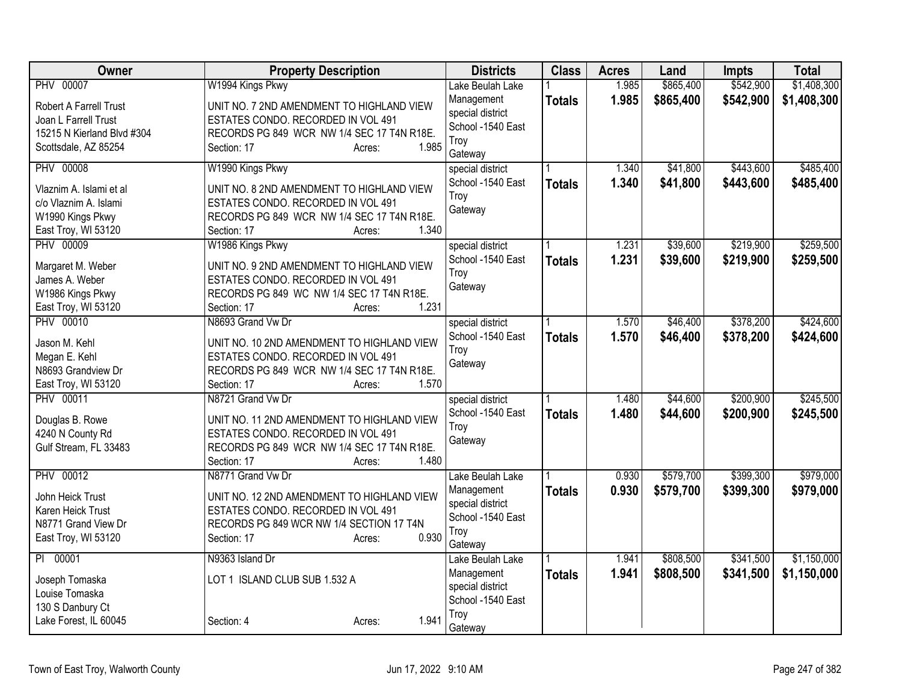| Owner                      | <b>Property Description</b>                | <b>Districts</b>  | <b>Class</b>  | <b>Acres</b> | Land      | <b>Impts</b> | <b>Total</b> |
|----------------------------|--------------------------------------------|-------------------|---------------|--------------|-----------|--------------|--------------|
| <b>PHV 00007</b>           | W1994 Kings Pkwy                           | Lake Beulah Lake  |               | 1.985        | \$865,400 | \$542,900    | \$1,408,300  |
| Robert A Farrell Trust     | UNIT NO. 7 2ND AMENDMENT TO HIGHLAND VIEW  | Management        | <b>Totals</b> | 1.985        | \$865,400 | \$542,900    | \$1,408,300  |
| Joan L Farrell Trust       | ESTATES CONDO. RECORDED IN VOL 491         | special district  |               |              |           |              |              |
| 15215 N Kierland Blvd #304 | RECORDS PG 849 WCR NW 1/4 SEC 17 T4N R18E. | School -1540 East |               |              |           |              |              |
| Scottsdale, AZ 85254       | 1.985<br>Section: 17<br>Acres:             | Troy<br>Gateway   |               |              |           |              |              |
| <b>PHV 00008</b>           | W1990 Kings Pkwy                           | special district  |               | 1.340        | \$41,800  | \$443,600    | \$485,400    |
| Vlaznim A. Islami et al    | UNIT NO. 8 2ND AMENDMENT TO HIGHLAND VIEW  | School -1540 East | <b>Totals</b> | 1.340        | \$41,800  | \$443,600    | \$485,400    |
| c/o Vlaznim A. Islami      | ESTATES CONDO. RECORDED IN VOL 491         | Troy              |               |              |           |              |              |
| W1990 Kings Pkwy           | RECORDS PG 849 WCR NW 1/4 SEC 17 T4N R18E. | Gateway           |               |              |           |              |              |
| East Troy, WI 53120        | 1.340<br>Section: 17<br>Acres:             |                   |               |              |           |              |              |
| <b>PHV 00009</b>           | W1986 Kings Pkwy                           | special district  |               | 1.231        | \$39,600  | \$219,900    | \$259,500    |
|                            |                                            | School -1540 East | <b>Totals</b> | 1.231        | \$39,600  | \$219,900    | \$259,500    |
| Margaret M. Weber          | UNIT NO. 9 2ND AMENDMENT TO HIGHLAND VIEW  | Troy              |               |              |           |              |              |
| James A. Weber             | ESTATES CONDO. RECORDED IN VOL 491         | Gateway           |               |              |           |              |              |
| W1986 Kings Pkwy           | RECORDS PG 849 WC NW 1/4 SEC 17 T4N R18E.  |                   |               |              |           |              |              |
| East Troy, WI 53120        | 1.231<br>Section: 17<br>Acres:             |                   |               |              |           |              |              |
| PHV 00010                  | N8693 Grand Vw Dr                          | special district  |               | 1.570        | \$46,400  | \$378,200    | \$424,600    |
| Jason M. Kehl              | UNIT NO. 10 2ND AMENDMENT TO HIGHLAND VIEW | School -1540 East | <b>Totals</b> | 1.570        | \$46,400  | \$378,200    | \$424,600    |
| Megan E. Kehl              | ESTATES CONDO. RECORDED IN VOL 491         | Troy              |               |              |           |              |              |
| N8693 Grandview Dr         | RECORDS PG 849 WCR NW 1/4 SEC 17 T4N R18E. | Gateway           |               |              |           |              |              |
| East Troy, WI 53120        | Section: 17<br>1.570<br>Acres:             |                   |               |              |           |              |              |
| <b>PHV 00011</b>           | N8721 Grand Vw Dr                          | special district  |               | 1.480        | \$44,600  | \$200,900    | \$245,500    |
|                            |                                            | School -1540 East | <b>Totals</b> | 1.480        | \$44,600  | \$200,900    | \$245,500    |
| Douglas B. Rowe            | UNIT NO. 11 2ND AMENDMENT TO HIGHLAND VIEW | Troy              |               |              |           |              |              |
| 4240 N County Rd           | ESTATES CONDO. RECORDED IN VOL 491         | Gateway           |               |              |           |              |              |
| Gulf Stream, FL 33483      | RECORDS PG 849 WCR NW 1/4 SEC 17 T4N R18E. |                   |               |              |           |              |              |
|                            | 1.480<br>Section: 17<br>Acres:             |                   |               |              |           |              |              |
| <b>PHV 00012</b>           | N8771 Grand Vw Dr                          | Lake Beulah Lake  |               | 0.930        | \$579,700 | \$399,300    | \$979,000    |
| John Heick Trust           | UNIT NO. 12 2ND AMENDMENT TO HIGHLAND VIEW | Management        | <b>Totals</b> | 0.930        | \$579,700 | \$399,300    | \$979,000    |
| Karen Heick Trust          | ESTATES CONDO. RECORDED IN VOL 491         | special district  |               |              |           |              |              |
| N8771 Grand View Dr        | RECORDS PG 849 WCR NW 1/4 SECTION 17 T4N   | School -1540 East |               |              |           |              |              |
| East Troy, WI 53120        | 0.930<br>Section: 17<br>Acres:             | Troy              |               |              |           |              |              |
|                            |                                            | Gateway           |               |              |           |              |              |
| PI 00001                   | N9363 Island Dr                            | Lake Beulah Lake  |               | 1.941        | \$808,500 | \$341,500    | \$1,150,000  |
| Joseph Tomaska             | LOT 1 ISLAND CLUB SUB 1.532 A              | Management        | <b>Totals</b> | 1.941        | \$808,500 | \$341,500    | \$1,150,000  |
| Louise Tomaska             |                                            | special district  |               |              |           |              |              |
| 130 S Danbury Ct           |                                            | School -1540 East |               |              |           |              |              |
| Lake Forest, IL 60045      | 1.941<br>Section: 4<br>Acres:              | Troy              |               |              |           |              |              |
|                            |                                            | Gateway           |               |              |           |              |              |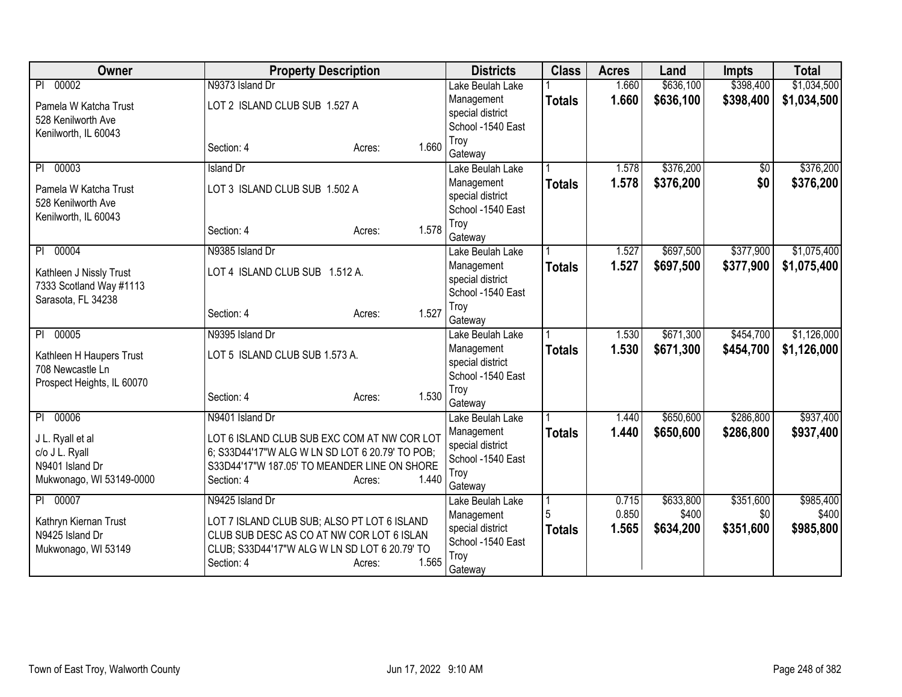| Owner                                              | <b>Property Description</b>                                |       | <b>Districts</b>                      | <b>Class</b>  | <b>Acres</b> | Land      | <b>Impts</b>    | <b>Total</b> |
|----------------------------------------------------|------------------------------------------------------------|-------|---------------------------------------|---------------|--------------|-----------|-----------------|--------------|
| 00002<br>PI                                        | N9373 Island Dr                                            |       | Lake Beulah Lake                      |               | 1.660        | \$636,100 | \$398,400       | \$1,034,500  |
| Pamela W Katcha Trust                              | LOT 2 ISLAND CLUB SUB 1.527 A                              |       | Management                            | <b>Totals</b> | 1.660        | \$636,100 | \$398,400       | \$1,034,500  |
| 528 Kenilworth Ave                                 |                                                            |       | special district                      |               |              |           |                 |              |
| Kenilworth, IL 60043                               |                                                            |       | School -1540 East                     |               |              |           |                 |              |
|                                                    | Section: 4<br>Acres:                                       | 1.660 | Troy                                  |               |              |           |                 |              |
| 00003<br>P <sub>1</sub>                            | <b>Island Dr</b>                                           |       | Gateway<br>Lake Beulah Lake           |               | 1.578        | \$376,200 | $\overline{50}$ | \$376,200    |
|                                                    |                                                            |       |                                       |               | 1.578        |           | \$0             |              |
| Pamela W Katcha Trust                              | LOT 3 ISLAND CLUB SUB 1.502 A                              |       | Management<br>special district        | <b>Totals</b> |              | \$376,200 |                 | \$376,200    |
| 528 Kenilworth Ave                                 |                                                            |       | School -1540 East                     |               |              |           |                 |              |
| Kenilworth, IL 60043                               |                                                            |       | Troy                                  |               |              |           |                 |              |
|                                                    | Section: 4<br>Acres:                                       | 1.578 | Gateway                               |               |              |           |                 |              |
| 00004<br>P <sub>1</sub>                            | N9385 Island Dr                                            |       | Lake Beulah Lake                      |               | 1.527        | \$697,500 | \$377,900       | \$1,075,400  |
|                                                    | LOT 4 ISLAND CLUB SUB 1.512 A.                             |       | Management                            | <b>Totals</b> | 1.527        | \$697,500 | \$377,900       | \$1,075,400  |
| Kathleen J Nissly Trust<br>7333 Scotland Way #1113 |                                                            |       | special district                      |               |              |           |                 |              |
| Sarasota, FL 34238                                 |                                                            |       | School -1540 East                     |               |              |           |                 |              |
|                                                    | Section: 4<br>Acres:                                       | 1.527 | Troy                                  |               |              |           |                 |              |
|                                                    |                                                            |       | Gateway                               |               |              |           |                 |              |
| 00005<br>PI                                        | N9395 Island Dr                                            |       | Lake Beulah Lake                      |               | 1.530        | \$671,300 | \$454,700       | \$1,126,000  |
| Kathleen H Haupers Trust                           | LOT 5 ISLAND CLUB SUB 1.573 A.                             |       | Management                            | <b>Totals</b> | 1.530        | \$671,300 | \$454,700       | \$1,126,000  |
| 708 Newcastle Ln                                   |                                                            |       | special district<br>School -1540 East |               |              |           |                 |              |
| Prospect Heights, IL 60070                         |                                                            |       | Troy                                  |               |              |           |                 |              |
|                                                    | Section: 4<br>Acres:                                       | 1.530 | Gateway                               |               |              |           |                 |              |
| 00006<br>PI                                        | N9401 Island Dr                                            |       | Lake Beulah Lake                      |               | 1.440        | \$650,600 | \$286,800       | \$937,400    |
|                                                    |                                                            |       | Management                            | <b>Totals</b> | 1.440        | \$650,600 | \$286,800       | \$937,400    |
| J L. Ryall et al                                   | LOT 6 ISLAND CLUB SUB EXC COM AT NW COR LOT                |       | special district                      |               |              |           |                 |              |
| c/o J L. Ryall                                     | 6; S33D44'17"W ALG W LN SD LOT 6 20.79' TO POB;            |       | School -1540 East                     |               |              |           |                 |              |
| N9401 Island Dr<br>Mukwonago, WI 53149-0000        | S33D44'17"W 187.05' TO MEANDER LINE ON SHORE<br>Section: 4 | 1.440 | Troy                                  |               |              |           |                 |              |
|                                                    | Acres:                                                     |       | Gateway                               |               |              |           |                 |              |
| PI 00007                                           | N9425 Island Dr                                            |       | Lake Beulah Lake                      |               | 0.715        | \$633,800 | \$351,600       | \$985,400    |
| Kathryn Kiernan Trust                              | LOT 7 ISLAND CLUB SUB; ALSO PT LOT 6 ISLAND                |       | Management                            |               | 0.850        | \$400     | \$0             | \$400        |
| N9425 Island Dr                                    | CLUB SUB DESC AS CO AT NW COR LOT 6 ISLAN                  |       | special district                      | <b>Totals</b> | 1.565        | \$634,200 | \$351,600       | \$985,800    |
| Mukwonago, WI 53149                                | CLUB; S33D44'17"W ALG W LN SD LOT 6 20.79' TO              |       | School -1540 East                     |               |              |           |                 |              |
|                                                    | Section: 4<br>Acres:                                       | 1.565 | Troy                                  |               |              |           |                 |              |
|                                                    |                                                            |       | Gateway                               |               |              |           |                 |              |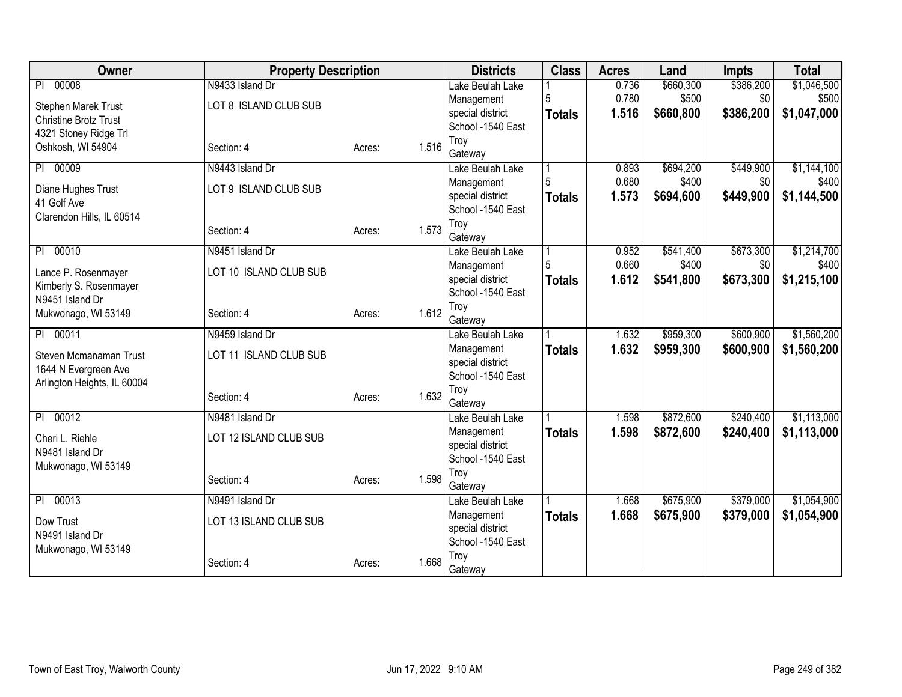| Owner                        | <b>Property Description</b> |                 | <b>Districts</b>               | <b>Class</b>  | <b>Acres</b> | Land      | <b>Impts</b> | <b>Total</b> |
|------------------------------|-----------------------------|-----------------|--------------------------------|---------------|--------------|-----------|--------------|--------------|
| 00008<br>$\overline{PI}$     | N9433 Island Dr             |                 | Lake Beulah Lake               |               | 0.736        | \$660,300 | \$386,200    | \$1,046,500  |
| Stephen Marek Trust          | LOT 8 ISLAND CLUB SUB       |                 | Management                     | 5             | 0.780        | \$500     | \$0          | \$500        |
| <b>Christine Brotz Trust</b> |                             |                 | special district               | <b>Totals</b> | 1.516        | \$660,800 | \$386,200    | \$1,047,000  |
| 4321 Stoney Ridge Trl        |                             |                 | School -1540 East              |               |              |           |              |              |
| Oshkosh, WI 54904            | Section: 4                  | 1.516<br>Acres: | Troy                           |               |              |           |              |              |
| PI 00009                     | N9443 Island Dr             |                 | Gateway<br>Lake Beulah Lake    |               | 0.893        | \$694,200 | \$449,900    | \$1,144,100  |
|                              |                             |                 | Management                     |               | 0.680        | \$400     | \$0          | \$400        |
| Diane Hughes Trust           | LOT 9 ISLAND CLUB SUB       |                 | special district               | <b>Totals</b> | 1.573        | \$694,600 | \$449,900    | \$1,144,500  |
| 41 Golf Ave                  |                             |                 | School -1540 East              |               |              |           |              |              |
| Clarendon Hills, IL 60514    |                             |                 | Troy                           |               |              |           |              |              |
|                              | Section: 4                  | 1.573<br>Acres: | Gateway                        |               |              |           |              |              |
| 00010<br>$\overline{P}$      | N9451 Island Dr             |                 | Lake Beulah Lake               |               | 0.952        | \$541,400 | \$673,300    | \$1,214,700  |
| Lance P. Rosenmayer          | LOT 10 ISLAND CLUB SUB      |                 | Management                     |               | 0.660        | \$400     | \$0          | \$400        |
| Kimberly S. Rosenmayer       |                             |                 | special district               | <b>Totals</b> | 1.612        | \$541,800 | \$673,300    | \$1,215,100  |
| N9451 Island Dr              |                             |                 | School -1540 East              |               |              |           |              |              |
| Mukwonago, WI 53149          | Section: 4                  | 1.612<br>Acres: | Troy                           |               |              |           |              |              |
| 00011                        | N9459 Island Dr             |                 | Gateway                        |               | 1.632        |           | \$600,900    | \$1,560,200  |
| P                            |                             |                 | Lake Beulah Lake               |               | 1.632        | \$959,300 |              |              |
| Steven Mcmanaman Trust       | LOT 11 ISLAND CLUB SUB      |                 | Management<br>special district | <b>Totals</b> |              | \$959,300 | \$600,900    | \$1,560,200  |
| 1644 N Evergreen Ave         |                             |                 | School -1540 East              |               |              |           |              |              |
| Arlington Heights, IL 60004  |                             |                 | Troy                           |               |              |           |              |              |
|                              | Section: 4                  | 1.632<br>Acres: | Gateway                        |               |              |           |              |              |
| 00012<br>PI                  | N9481 Island Dr             |                 | Lake Beulah Lake               |               | 1.598        | \$872,600 | \$240,400    | \$1,113,000  |
| Cheri L. Riehle              | LOT 12 ISLAND CLUB SUB      |                 | Management                     | <b>Totals</b> | 1.598        | \$872,600 | \$240,400    | \$1,113,000  |
| N9481 Island Dr              |                             |                 | special district               |               |              |           |              |              |
| Mukwonago, WI 53149          |                             |                 | School -1540 East              |               |              |           |              |              |
|                              | Section: 4                  | 1.598<br>Acres: | Troy                           |               |              |           |              |              |
|                              |                             |                 | Gateway                        |               |              |           |              |              |
| 00013<br>P                   | N9491 Island Dr             |                 | Lake Beulah Lake               |               | 1.668        | \$675,900 | \$379,000    | \$1,054,900  |
| Dow Trust                    | LOT 13 ISLAND CLUB SUB      |                 | Management<br>special district | <b>Totals</b> | 1.668        | \$675,900 | \$379,000    | \$1,054,900  |
| N9491 Island Dr              |                             |                 | School -1540 East              |               |              |           |              |              |
| Mukwonago, WI 53149          |                             |                 | Troy                           |               |              |           |              |              |
|                              | Section: 4                  | 1.668<br>Acres: | Gateway                        |               |              |           |              |              |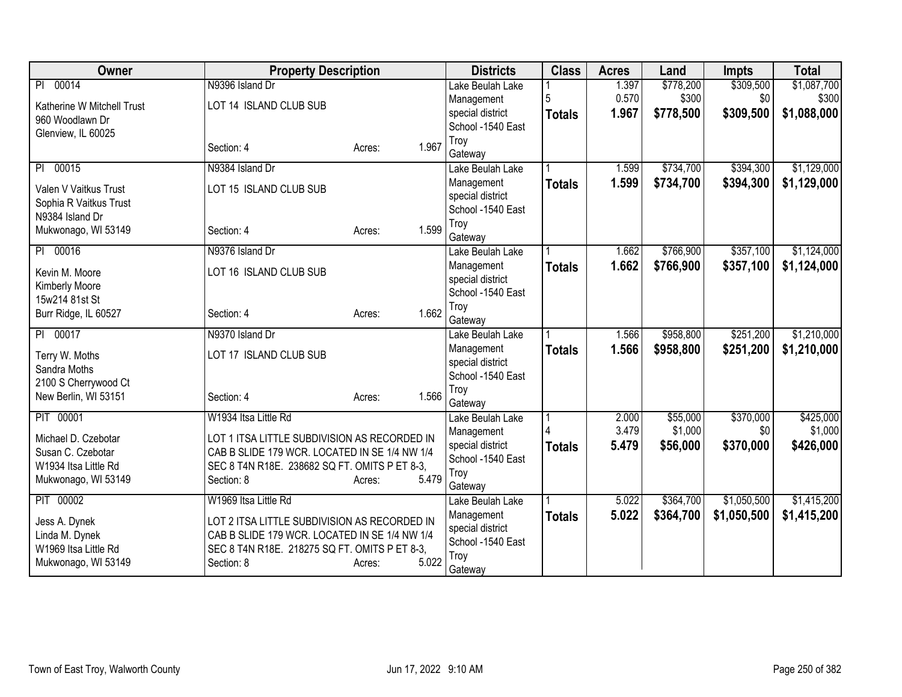| Owner                                     | <b>Property Description</b>                   |                 | <b>Districts</b>          | <b>Class</b>  | <b>Acres</b> | Land      | Impts       | <b>Total</b> |
|-------------------------------------------|-----------------------------------------------|-----------------|---------------------------|---------------|--------------|-----------|-------------|--------------|
| 00014<br>PI                               | N9396 Island Dr                               |                 | Lake Beulah Lake          |               | 1.397        | \$778,200 | \$309,500   | \$1,087,700  |
| Katherine W Mitchell Trust                | LOT 14 ISLAND CLUB SUB                        |                 | Management                |               | 0.570        | \$300     | \$0         | \$300        |
| 960 Woodlawn Dr                           |                                               |                 | special district          | <b>Totals</b> | 1.967        | \$778,500 | \$309,500   | \$1,088,000  |
| Glenview, IL 60025                        |                                               |                 | School -1540 East         |               |              |           |             |              |
|                                           | Section: 4                                    | 1.967<br>Acres: | Troy<br>Gateway           |               |              |           |             |              |
| 00015<br>P <sub>1</sub>                   | N9384 Island Dr                               |                 | Lake Beulah Lake          |               | 1.599        | \$734,700 | \$394,300   | \$1,129,000  |
|                                           |                                               |                 | Management                | <b>Totals</b> | 1.599        | \$734,700 | \$394,300   | \$1,129,000  |
| Valen V Vaitkus Trust                     | LOT 15 ISLAND CLUB SUB                        |                 | special district          |               |              |           |             |              |
| Sophia R Vaitkus Trust<br>N9384 Island Dr |                                               |                 | School -1540 East         |               |              |           |             |              |
| Mukwonago, WI 53149                       | Section: 4                                    | 1.599<br>Acres: | Troy                      |               |              |           |             |              |
|                                           |                                               |                 | Gateway                   |               |              |           |             |              |
| PI 00016                                  | N9376 Island Dr                               |                 | Lake Beulah Lake          |               | 1.662        | \$766,900 | \$357,100   | \$1,124,000  |
| Kevin M. Moore                            | LOT 16 ISLAND CLUB SUB                        |                 | Management                | <b>Totals</b> | 1.662        | \$766,900 | \$357,100   | \$1,124,000  |
| Kimberly Moore                            |                                               |                 | special district          |               |              |           |             |              |
| 15w214 81st St                            |                                               |                 | School -1540 East<br>Troy |               |              |           |             |              |
| Burr Ridge, IL 60527                      | Section: 4                                    | 1.662<br>Acres: | Gateway                   |               |              |           |             |              |
| PI 00017                                  | N9370 Island Dr                               |                 | Lake Beulah Lake          |               | 1.566        | \$958,800 | \$251,200   | \$1,210,000  |
|                                           |                                               |                 | Management                | <b>Totals</b> | 1.566        | \$958,800 | \$251,200   | \$1,210,000  |
| Terry W. Moths                            | LOT 17 ISLAND CLUB SUB                        |                 | special district          |               |              |           |             |              |
| Sandra Moths<br>2100 S Cherrywood Ct      |                                               |                 | School -1540 East         |               |              |           |             |              |
| New Berlin, WI 53151                      | Section: 4                                    | 1.566<br>Acres: | Troy                      |               |              |           |             |              |
|                                           |                                               |                 | Gateway                   |               |              |           |             |              |
| PIT 00001                                 | W1934 Itsa Little Rd                          |                 | Lake Beulah Lake          |               | 2.000        | \$55,000  | \$370,000   | \$425,000    |
| Michael D. Czebotar                       | LOT 1 ITSA LITTLE SUBDIVISION AS RECORDED IN  |                 | Management                |               | 3.479        | \$1,000   | \$0         | \$1,000      |
| Susan C. Czebotar                         | CAB B SLIDE 179 WCR. LOCATED IN SE 1/4 NW 1/4 |                 | special district          | <b>Totals</b> | 5.479        | \$56,000  | \$370,000   | \$426,000    |
| W1934 Itsa Little Rd                      | SEC 8 T4N R18E. 238682 SQ FT. OMITS P ET 8-3, |                 | School -1540 East         |               |              |           |             |              |
| Mukwonago, WI 53149                       | Section: 8                                    | 5.479<br>Acres: | Troy<br>Gateway           |               |              |           |             |              |
| PIT 00002                                 | W1969 Itsa Little Rd                          |                 | Lake Beulah Lake          |               | 5.022        | \$364,700 | \$1,050,500 | \$1,415,200  |
| Jess A. Dynek                             | LOT 2 ITSA LITTLE SUBDIVISION AS RECORDED IN  |                 | Management                | <b>Totals</b> | 5.022        | \$364,700 | \$1,050,500 | \$1,415,200  |
| Linda M. Dynek                            | CAB B SLIDE 179 WCR. LOCATED IN SE 1/4 NW 1/4 |                 | special district          |               |              |           |             |              |
| W1969 Itsa Little Rd                      | SEC 8 T4N R18E. 218275 SQ FT. OMITS P ET 8-3, |                 | School -1540 East         |               |              |           |             |              |
| Mukwonago, WI 53149                       | Section: 8                                    | 5.022<br>Acres: | Troy                      |               |              |           |             |              |
|                                           |                                               |                 | Gateway                   |               |              |           |             |              |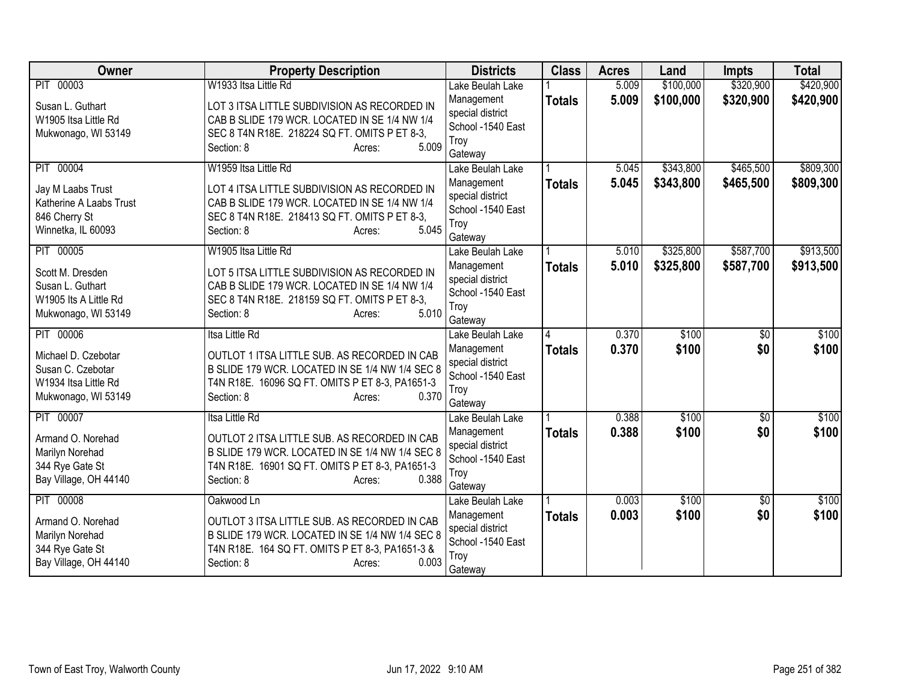| Owner                                     | <b>Property Description</b>                                                                        | <b>Districts</b>                      | <b>Class</b>  | <b>Acres</b> | Land      | <b>Impts</b>    | <b>Total</b> |
|-------------------------------------------|----------------------------------------------------------------------------------------------------|---------------------------------------|---------------|--------------|-----------|-----------------|--------------|
| PIT 00003                                 | W1933 Itsa Little Rd                                                                               | Lake Beulah Lake                      |               | 5.009        | \$100,000 | \$320,900       | \$420,900    |
| Susan L. Guthart                          | LOT 3 ITSA LITTLE SUBDIVISION AS RECORDED IN                                                       | Management                            | <b>Totals</b> | 5.009        | \$100,000 | \$320,900       | \$420,900    |
| W1905 Itsa Little Rd                      | CAB B SLIDE 179 WCR. LOCATED IN SE 1/4 NW 1/4                                                      | special district<br>School -1540 East |               |              |           |                 |              |
| Mukwonago, WI 53149                       | SEC 8 T4N R18E. 218224 SQ FT. OMITS P ET 8-3,                                                      | Troy                                  |               |              |           |                 |              |
|                                           | 5.009<br>Section: 8<br>Acres:                                                                      | Gateway                               |               |              |           |                 |              |
| PIT 00004                                 | W1959 Itsa Little Rd                                                                               | Lake Beulah Lake                      |               | 5.045        | \$343,800 | \$465,500       | \$809,300    |
| Jay M Laabs Trust                         | LOT 4 ITSA LITTLE SUBDIVISION AS RECORDED IN                                                       | Management                            | <b>Totals</b> | 5.045        | \$343,800 | \$465,500       | \$809,300    |
| Katherine A Laabs Trust                   | CAB B SLIDE 179 WCR. LOCATED IN SE 1/4 NW 1/4                                                      | special district                      |               |              |           |                 |              |
| 846 Cherry St                             | SEC 8 T4N R18E. 218413 SQ FT. OMITS P ET 8-3,                                                      | School -1540 East                     |               |              |           |                 |              |
| Winnetka, IL 60093                        | 5.045<br>Section: 8<br>Acres:                                                                      | Troy<br>Gateway                       |               |              |           |                 |              |
| PIT 00005                                 | W1905 Itsa Little Rd                                                                               | Lake Beulah Lake                      |               | 5.010        | \$325,800 | \$587,700       | \$913,500    |
| Scott M. Dresden                          | LOT 5 ITSA LITTLE SUBDIVISION AS RECORDED IN                                                       | Management                            | <b>Totals</b> | 5.010        | \$325,800 | \$587,700       | \$913,500    |
| Susan L. Guthart                          | CAB B SLIDE 179 WCR. LOCATED IN SE 1/4 NW 1/4                                                      | special district                      |               |              |           |                 |              |
| W1905 Its A Little Rd                     | SEC 8 T4N R18E. 218159 SQ FT. OMITS P ET 8-3,                                                      | School -1540 East                     |               |              |           |                 |              |
| Mukwonago, WI 53149                       | 5.010<br>Section: 8<br>Acres:                                                                      | Troy                                  |               |              |           |                 |              |
| PIT 00006                                 | Itsa Little Rd                                                                                     | Gateway<br>Lake Beulah Lake           |               | 0.370        | \$100     | $\overline{50}$ | \$100        |
|                                           |                                                                                                    | Management                            | <b>Totals</b> | 0.370        | \$100     | \$0             | \$100        |
| Michael D. Czebotar                       | OUTLOT 1 ITSA LITTLE SUB. AS RECORDED IN CAB                                                       | special district                      |               |              |           |                 |              |
| Susan C. Czebotar<br>W1934 Itsa Little Rd | B SLIDE 179 WCR. LOCATED IN SE 1/4 NW 1/4 SEC 8<br>T4N R18E. 16096 SQ FT. OMITS P ET 8-3, PA1651-3 | School -1540 East                     |               |              |           |                 |              |
| Mukwonago, WI 53149                       | 0.370<br>Section: 8<br>Acres:                                                                      | Troy                                  |               |              |           |                 |              |
|                                           |                                                                                                    | Gateway                               |               |              |           |                 |              |
| PIT 00007                                 | <b>Itsa Little Rd</b>                                                                              | Lake Beulah Lake                      |               | 0.388        | \$100     | $\overline{50}$ | \$100        |
| Armand O. Norehad                         | OUTLOT 2 ITSA LITTLE SUB. AS RECORDED IN CAB                                                       | Management<br>special district        | <b>Totals</b> | 0.388        | \$100     | \$0             | \$100        |
| Marilyn Norehad                           | B SLIDE 179 WCR. LOCATED IN SE 1/4 NW 1/4 SEC 8                                                    | School -1540 East                     |               |              |           |                 |              |
| 344 Rye Gate St                           | T4N R18E. 16901 SQ FT. OMITS P ET 8-3, PA1651-3                                                    | Troy                                  |               |              |           |                 |              |
| Bay Village, OH 44140                     | 0.388<br>Section: 8<br>Acres:                                                                      | Gateway                               |               |              |           |                 |              |
| PIT 00008                                 | Oakwood Ln                                                                                         | Lake Beulah Lake                      |               | 0.003        | \$100     | \$0             | \$100        |
| Armand O. Norehad                         | OUTLOT 3 ITSA LITTLE SUB. AS RECORDED IN CAB                                                       | Management                            | <b>Totals</b> | 0.003        | \$100     | \$0             | \$100        |
| Marilyn Norehad                           | B SLIDE 179 WCR. LOCATED IN SE 1/4 NW 1/4 SEC 8                                                    | special district                      |               |              |           |                 |              |
| 344 Rye Gate St                           | T4N R18E. 164 SQ FT. OMITS P ET 8-3, PA1651-3 &                                                    | School -1540 East<br>Troy             |               |              |           |                 |              |
| Bay Village, OH 44140                     | 0.003<br>Section: 8<br>Acres:                                                                      | Gateway                               |               |              |           |                 |              |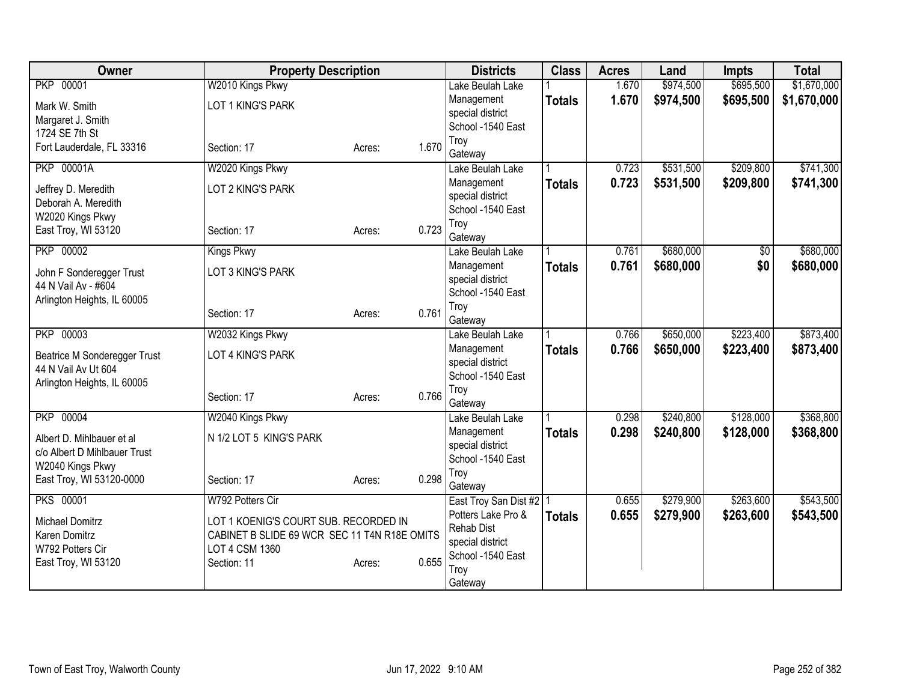| Owner                                           | <b>Property Description</b>                  |        |       | <b>Districts</b>               | <b>Class</b>  | <b>Acres</b> | Land      | <b>Impts</b> | <b>Total</b> |
|-------------------------------------------------|----------------------------------------------|--------|-------|--------------------------------|---------------|--------------|-----------|--------------|--------------|
| <b>PKP 00001</b>                                | W2010 Kings Pkwy                             |        |       | Lake Beulah Lake               |               | 1.670        | \$974,500 | \$695,500    | \$1,670,000  |
| Mark W. Smith                                   | LOT 1 KING'S PARK                            |        |       | Management                     | <b>Totals</b> | 1.670        | \$974,500 | \$695,500    | \$1,670,000  |
| Margaret J. Smith                               |                                              |        |       | special district               |               |              |           |              |              |
| 1724 SE 7th St                                  |                                              |        |       | School -1540 East              |               |              |           |              |              |
| Fort Lauderdale, FL 33316                       | Section: 17                                  | Acres: | 1.670 | Troy                           |               |              |           |              |              |
| <b>PKP 00001A</b>                               |                                              |        |       | Gateway                        |               |              |           | \$209,800    | \$741,300    |
|                                                 | W2020 Kings Pkwy                             |        |       | Lake Beulah Lake               |               | 0.723        | \$531,500 |              |              |
| Jeffrey D. Meredith                             | LOT 2 KING'S PARK                            |        |       | Management<br>special district | <b>Totals</b> | 0.723        | \$531,500 | \$209,800    | \$741,300    |
| Deborah A. Meredith                             |                                              |        |       | School -1540 East              |               |              |           |              |              |
| W2020 Kings Pkwy                                |                                              |        |       | Troy                           |               |              |           |              |              |
| East Troy, WI 53120                             | Section: 17                                  | Acres: | 0.723 | Gateway                        |               |              |           |              |              |
| PKP 00002                                       | <b>Kings Pkwy</b>                            |        |       | Lake Beulah Lake               |               | 0.761        | \$680,000 | \$0          | \$680,000    |
|                                                 |                                              |        |       | Management                     | <b>Totals</b> | 0.761        | \$680,000 | \$0          | \$680,000    |
| John F Sonderegger Trust<br>44 N Vail Av - #604 | LOT 3 KING'S PARK                            |        |       | special district               |               |              |           |              |              |
| Arlington Heights, IL 60005                     |                                              |        |       | School -1540 East              |               |              |           |              |              |
|                                                 | Section: 17                                  | Acres: | 0.761 | Troy                           |               |              |           |              |              |
|                                                 |                                              |        |       | Gateway                        |               |              |           |              |              |
| PKP 00003                                       | W2032 Kings Pkwy                             |        |       | Lake Beulah Lake               |               | 0.766        | \$650,000 | \$223,400    | \$873,400    |
| Beatrice M Sonderegger Trust                    | LOT 4 KING'S PARK                            |        |       | Management                     | <b>Totals</b> | 0.766        | \$650,000 | \$223,400    | \$873,400    |
| 44 N Vail Av Ut 604                             |                                              |        |       | special district               |               |              |           |              |              |
| Arlington Heights, IL 60005                     |                                              |        |       | School -1540 East<br>Troy      |               |              |           |              |              |
|                                                 | Section: 17                                  | Acres: | 0.766 | Gateway                        |               |              |           |              |              |
| <b>PKP 00004</b>                                | W2040 Kings Pkwy                             |        |       | Lake Beulah Lake               |               | 0.298        | \$240,800 | \$128,000    | \$368,800    |
|                                                 |                                              |        |       | Management                     | <b>Totals</b> | 0.298        | \$240,800 | \$128,000    | \$368,800    |
| Albert D. Mihlbauer et al                       | N 1/2 LOT 5 KING'S PARK                      |        |       | special district               |               |              |           |              |              |
| c/o Albert D Mihlbauer Trust                    |                                              |        |       | School -1540 East              |               |              |           |              |              |
| W2040 Kings Pkwy                                |                                              |        | 0.298 | Troy                           |               |              |           |              |              |
| East Troy, WI 53120-0000                        | Section: 17                                  | Acres: |       | Gateway                        |               |              |           |              |              |
| <b>PKS 00001</b>                                | W792 Potters Cir                             |        |       | East Troy San Dist #2   1      |               | 0.655        | \$279,900 | \$263,600    | \$543,500    |
| Michael Domitrz                                 | LOT 1 KOENIG'S COURT SUB. RECORDED IN        |        |       | Potters Lake Pro &             | <b>Totals</b> | 0.655        | \$279,900 | \$263,600    | \$543,500    |
| Karen Domitrz                                   | CABINET B SLIDE 69 WCR SEC 11 T4N R18E OMITS |        |       | <b>Rehab Dist</b>              |               |              |           |              |              |
| W792 Potters Cir                                | LOT 4 CSM 1360                               |        |       | special district               |               |              |           |              |              |
| East Troy, WI 53120                             | Section: 11                                  | Acres: | 0.655 | School -1540 East              |               |              |           |              |              |
|                                                 |                                              |        |       | Troy                           |               |              |           |              |              |
|                                                 |                                              |        |       | Gateway                        |               |              |           |              |              |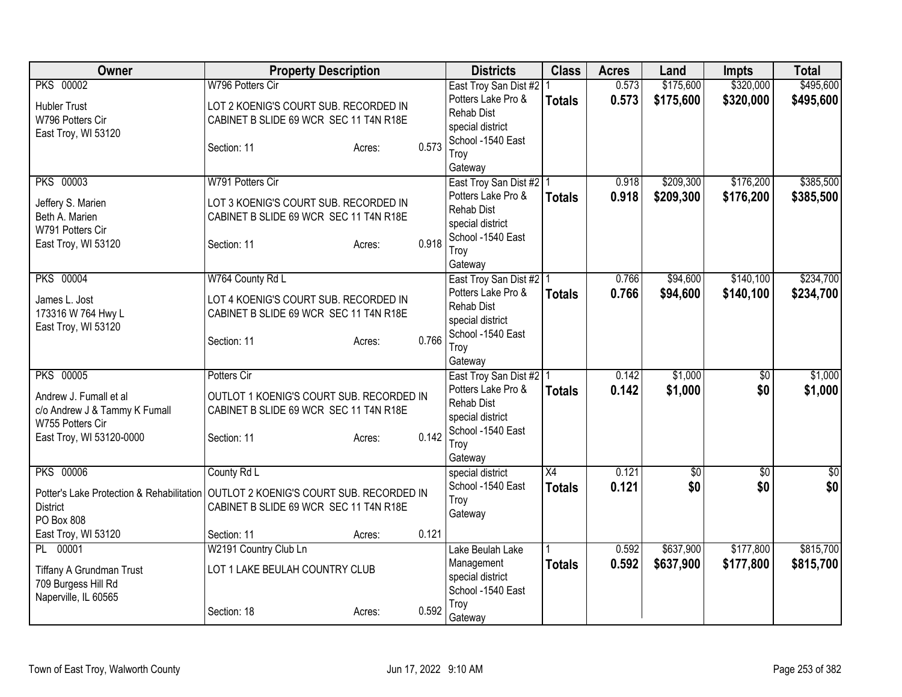| Owner                                     | <b>Property Description</b>              |                 | <b>Districts</b>                                | <b>Class</b>  | <b>Acres</b> | Land            | <b>Impts</b>    | <b>Total</b>     |
|-------------------------------------------|------------------------------------------|-----------------|-------------------------------------------------|---------------|--------------|-----------------|-----------------|------------------|
| <b>PKS 00002</b>                          | W796 Potters Cir                         |                 | East Troy San Dist #2   1                       |               | 0.573        | \$175,600       | \$320,000       | \$495,600        |
| <b>Hubler Trust</b>                       | LOT 2 KOENIG'S COURT SUB. RECORDED IN    |                 | Potters Lake Pro &                              | <b>Totals</b> | 0.573        | \$175,600       | \$320,000       | \$495,600        |
| W796 Potters Cir                          | CABINET B SLIDE 69 WCR SEC 11 T4N R18E   |                 | <b>Rehab Dist</b>                               |               |              |                 |                 |                  |
| East Troy, WI 53120                       |                                          |                 | special district                                |               |              |                 |                 |                  |
|                                           | Section: 11                              | 0.573<br>Acres: | School -1540 East                               |               |              |                 |                 |                  |
|                                           |                                          |                 | Troy                                            |               |              |                 |                 |                  |
| <b>PKS 00003</b>                          | W791 Potters Cir                         |                 | Gateway                                         |               | 0.918        | \$209,300       | \$176,200       | \$385,500        |
|                                           |                                          |                 | East Troy San Dist #2   1<br>Potters Lake Pro & |               | 0.918        | \$209,300       | \$176,200       | \$385,500        |
| Jeffery S. Marien                         | LOT 3 KOENIG'S COURT SUB. RECORDED IN    |                 | <b>Rehab Dist</b>                               | <b>Totals</b> |              |                 |                 |                  |
| Beth A. Marien                            | CABINET B SLIDE 69 WCR SEC 11 T4N R18E   |                 | special district                                |               |              |                 |                 |                  |
| W791 Potters Cir                          |                                          |                 | School -1540 East                               |               |              |                 |                 |                  |
| East Troy, WI 53120                       | Section: 11                              | 0.918<br>Acres: | Troy                                            |               |              |                 |                 |                  |
|                                           |                                          |                 | Gateway                                         |               |              |                 |                 |                  |
| <b>PKS 00004</b>                          | W764 County Rd L                         |                 | East Troy San Dist #2   1                       |               | 0.766        | \$94,600        | \$140,100       | \$234,700        |
| James L. Jost                             | LOT 4 KOENIG'S COURT SUB. RECORDED IN    |                 | Potters Lake Pro &                              | <b>Totals</b> | 0.766        | \$94,600        | \$140,100       | \$234,700        |
| 173316 W 764 Hwy L                        | CABINET B SLIDE 69 WCR SEC 11 T4N R18E   |                 | <b>Rehab Dist</b>                               |               |              |                 |                 |                  |
| East Troy, WI 53120                       |                                          |                 | special district                                |               |              |                 |                 |                  |
|                                           | Section: 11                              | 0.766<br>Acres: | School -1540 East                               |               |              |                 |                 |                  |
|                                           |                                          |                 | Troy                                            |               |              |                 |                 |                  |
|                                           |                                          |                 | Gateway                                         |               |              |                 |                 |                  |
| <b>PKS 00005</b>                          | Potters Cir                              |                 | East Troy San Dist #2   1                       |               | 0.142        | \$1,000         | $\overline{50}$ | \$1,000          |
| Andrew J. Fumall et al                    | OUTLOT 1 KOENIG'S COURT SUB. RECORDED IN |                 | Potters Lake Pro &                              | <b>Totals</b> | 0.142        | \$1,000         | \$0             | \$1,000          |
| c/o Andrew J & Tammy K Fumall             | CABINET B SLIDE 69 WCR SEC 11 T4N R18E   |                 | <b>Rehab Dist</b><br>special district           |               |              |                 |                 |                  |
| W755 Potters Cir                          |                                          |                 | School -1540 East                               |               |              |                 |                 |                  |
| East Troy, WI 53120-0000                  | Section: 11                              | 0.142<br>Acres: | Troy                                            |               |              |                 |                 |                  |
|                                           |                                          |                 | Gateway                                         |               |              |                 |                 |                  |
| <b>PKS 00006</b>                          | County Rd L                              |                 | special district                                | X4            | 0.121        | $\overline{60}$ | $\overline{50}$ | $\overline{\$0}$ |
|                                           |                                          |                 | School -1540 East                               | <b>Totals</b> | 0.121        | \$0             | \$0             | \$0              |
| Potter's Lake Protection & Rehabilitation | OUTLOT 2 KOENIG'S COURT SUB. RECORDED IN |                 | Troy                                            |               |              |                 |                 |                  |
| <b>District</b><br>PO Box 808             | CABINET B SLIDE 69 WCR SEC 11 T4N R18E   |                 | Gateway                                         |               |              |                 |                 |                  |
| East Troy, WI 53120                       | Section: 11                              | 0.121<br>Acres: |                                                 |               |              |                 |                 |                  |
| PL 00001                                  | W2191 Country Club Ln                    |                 | Lake Beulah Lake                                |               | 0.592        | \$637,900       | \$177,800       | \$815,700        |
|                                           |                                          |                 | Management                                      | <b>Totals</b> | 0.592        | \$637,900       | \$177,800       | \$815,700        |
| Tiffany A Grundman Trust                  | LOT 1 LAKE BEULAH COUNTRY CLUB           |                 | special district                                |               |              |                 |                 |                  |
| 709 Burgess Hill Rd                       |                                          |                 | School -1540 East                               |               |              |                 |                 |                  |
| Naperville, IL 60565                      |                                          |                 | Troy                                            |               |              |                 |                 |                  |
|                                           | Section: 18                              | 0.592<br>Acres: | Gateway                                         |               |              |                 |                 |                  |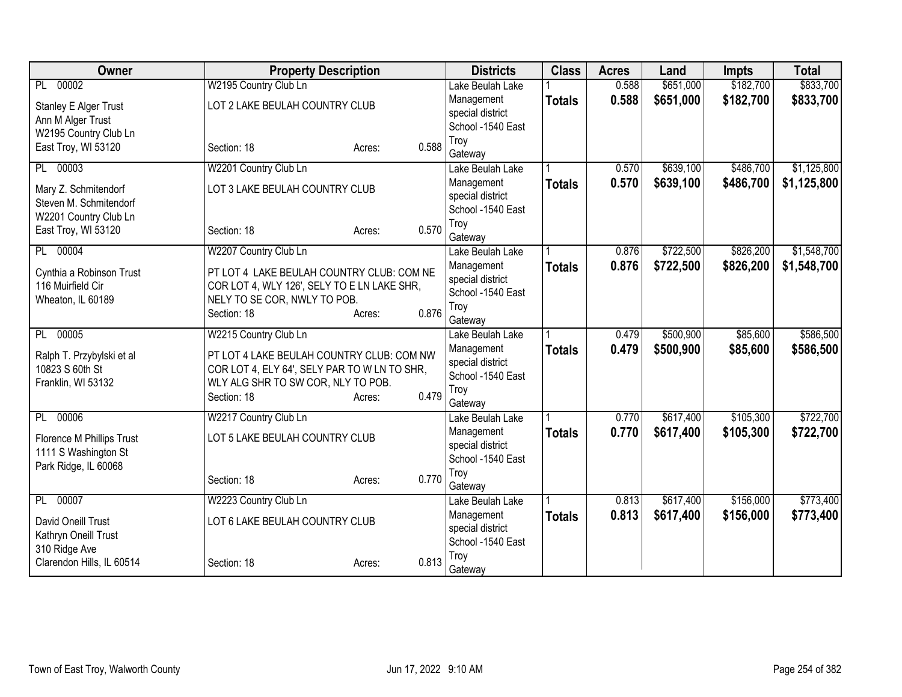| Owner                                         | <b>Property Description</b>                       |                 | <b>Districts</b>            | <b>Class</b>  | <b>Acres</b> | Land      | <b>Impts</b> | <b>Total</b> |
|-----------------------------------------------|---------------------------------------------------|-----------------|-----------------------------|---------------|--------------|-----------|--------------|--------------|
| 00002<br>PL                                   | W2195 Country Club Ln                             |                 | Lake Beulah Lake            |               | 0.588        | \$651,000 | \$182,700    | \$833,700    |
| <b>Stanley E Alger Trust</b>                  | LOT 2 LAKE BEULAH COUNTRY CLUB                    |                 | Management                  | <b>Totals</b> | 0.588        | \$651,000 | \$182,700    | \$833,700    |
| Ann M Alger Trust                             |                                                   |                 | special district            |               |              |           |              |              |
| W2195 Country Club Ln                         |                                                   |                 | School -1540 East<br>Troy   |               |              |           |              |              |
| East Troy, WI 53120                           | Section: 18                                       | 0.588<br>Acres: | Gateway                     |               |              |           |              |              |
| 00003<br>PL                                   | W2201 Country Club Ln                             |                 | Lake Beulah Lake            |               | 0.570        | \$639,100 | \$486,700    | \$1,125,800  |
| Mary Z. Schmitendorf                          | LOT 3 LAKE BEULAH COUNTRY CLUB                    |                 | Management                  | <b>Totals</b> | 0.570        | \$639,100 | \$486,700    | \$1,125,800  |
| Steven M. Schmitendorf                        |                                                   |                 | special district            |               |              |           |              |              |
| W2201 Country Club Ln                         |                                                   |                 | School -1540 East           |               |              |           |              |              |
| East Troy, WI 53120                           | Section: 18                                       | 0.570<br>Acres: | Troy<br>Gateway             |               |              |           |              |              |
| 00004<br>PL                                   | W2207 Country Club Ln                             |                 | Lake Beulah Lake            |               | 0.876        | \$722,500 | \$826,200    | \$1,548,700  |
|                                               | PT LOT 4 LAKE BEULAH COUNTRY CLUB: COM NE         |                 | Management                  | <b>Totals</b> | 0.876        | \$722,500 | \$826,200    | \$1,548,700  |
| Cynthia a Robinson Trust<br>116 Muirfield Cir | COR LOT 4, WLY 126', SELY TO E LN LAKE SHR,       |                 | special district            |               |              |           |              |              |
| Wheaton, IL 60189                             | NELY TO SE COR, NWLY TO POB.                      |                 | School -1540 East           |               |              |           |              |              |
|                                               | Section: 18                                       | 0.876<br>Acres: | Troy                        |               |              |           |              |              |
| 00005<br>PL                                   | W2215 Country Club Ln                             |                 | Gateway<br>Lake Beulah Lake |               | 0.479        | \$500,900 | \$85,600     | \$586,500    |
|                                               |                                                   |                 | Management                  | <b>Totals</b> | 0.479        | \$500,900 | \$85,600     | \$586,500    |
| Ralph T. Przybylski et al                     | PT LOT 4 LAKE BEULAH COUNTRY CLUB: COM NW         |                 | special district            |               |              |           |              |              |
| 10823 S 60th St                               | COR LOT 4, ELY 64', SELY PAR TO W LN TO SHR,      |                 | School -1540 East           |               |              |           |              |              |
| Franklin, WI 53132                            | WLY ALG SHR TO SW COR, NLY TO POB.<br>Section: 18 | 0.479           | Troy                        |               |              |           |              |              |
|                                               |                                                   | Acres:          | Gateway                     |               |              |           |              |              |
| 00006<br>PL                                   | W2217 Country Club Ln                             |                 | Lake Beulah Lake            |               | 0.770        | \$617,400 | \$105,300    | \$722,700    |
| Florence M Phillips Trust                     | LOT 5 LAKE BEULAH COUNTRY CLUB                    |                 | Management                  | <b>Totals</b> | 0.770        | \$617,400 | \$105,300    | \$722,700    |
| 1111 S Washington St                          |                                                   |                 | special district            |               |              |           |              |              |
| Park Ridge, IL 60068                          |                                                   |                 | School -1540 East<br>Troy   |               |              |           |              |              |
|                                               | Section: 18                                       | 0.770<br>Acres: | Gateway                     |               |              |           |              |              |
| 00007<br>PL                                   | W2223 Country Club Ln                             |                 | Lake Beulah Lake            |               | 0.813        | \$617,400 | \$156,000    | \$773,400    |
| David Oneill Trust                            | LOT 6 LAKE BEULAH COUNTRY CLUB                    |                 | Management                  | Totals        | 0.813        | \$617,400 | \$156,000    | \$773,400    |
| Kathryn Oneill Trust                          |                                                   |                 | special district            |               |              |           |              |              |
| 310 Ridge Ave                                 |                                                   |                 | School -1540 East           |               |              |           |              |              |
| Clarendon Hills, IL 60514                     | Section: 18                                       | 0.813<br>Acres: | Troy<br>Gateway             |               |              |           |              |              |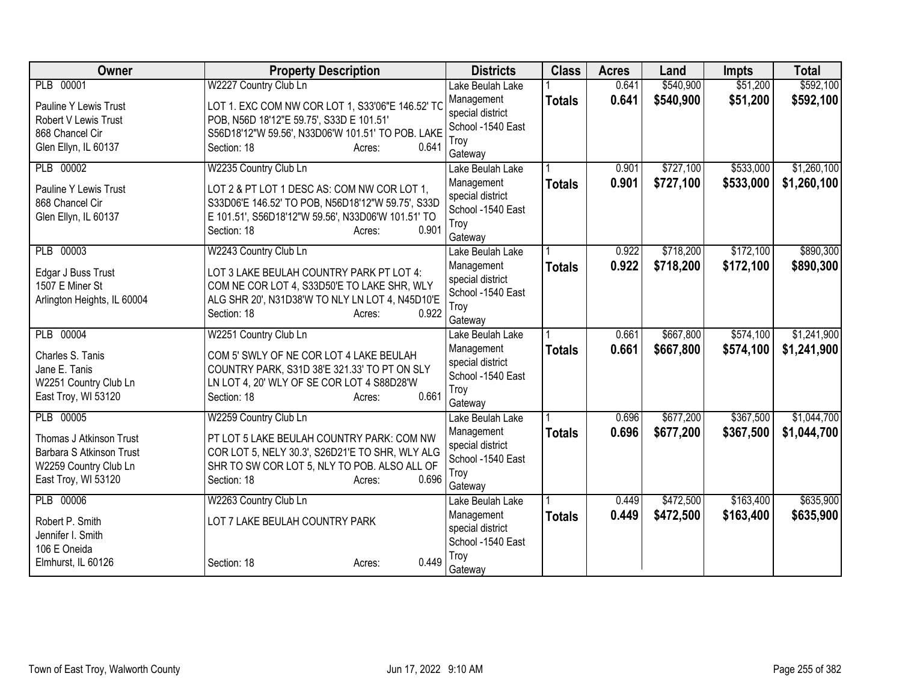| Owner                       | <b>Property Description</b>                        | <b>Districts</b>               | <b>Class</b>  | <b>Acres</b> | Land      | <b>Impts</b> | <b>Total</b> |
|-----------------------------|----------------------------------------------------|--------------------------------|---------------|--------------|-----------|--------------|--------------|
| PLB 00001                   | W2227 Country Club Ln                              | Lake Beulah Lake               |               | 0.641        | \$540,900 | \$51,200     | \$592,100    |
| Pauline Y Lewis Trust       | LOT 1. EXC COM NW COR LOT 1, S33'06"E 146.52' TC   | Management                     | <b>Totals</b> | 0.641        | \$540,900 | \$51,200     | \$592,100    |
| Robert V Lewis Trust        | POB, N56D 18'12"E 59.75', S33D E 101.51'           | special district               |               |              |           |              |              |
| 868 Chancel Cir             | S56D18'12"W 59.56', N33D06'W 101.51' TO POB. LAKE  | School -1540 East<br>Troy      |               |              |           |              |              |
| Glen Ellyn, IL 60137        | 0.641<br>Section: 18<br>Acres:                     | Gateway                        |               |              |           |              |              |
| PLB 00002                   | W2235 Country Club Ln                              | Lake Beulah Lake               |               | 0.901        | \$727,100 | \$533,000    | \$1,260,100  |
| Pauline Y Lewis Trust       | LOT 2 & PT LOT 1 DESC AS: COM NW COR LOT 1,        | Management                     | <b>Totals</b> | 0.901        | \$727,100 | \$533,000    | \$1,260,100  |
| 868 Chancel Cir             | S33D06'E 146.52' TO POB, N56D18'12"W 59.75', S33D  | special district               |               |              |           |              |              |
| Glen Ellyn, IL 60137        | E 101.51', S56D18'12"W 59.56', N33D06'W 101.51' TO | School -1540 East              |               |              |           |              |              |
|                             | Section: 18<br>0.901<br>Acres:                     | Troy                           |               |              |           |              |              |
| PLB 00003                   |                                                    | Gateway                        |               | 0.922        | \$718,200 | \$172,100    | \$890,300    |
|                             | W2243 Country Club Ln                              | Lake Beulah Lake<br>Management |               | 0.922        |           |              |              |
| Edgar J Buss Trust          | LOT 3 LAKE BEULAH COUNTRY PARK PT LOT 4:           | special district               | <b>Totals</b> |              | \$718,200 | \$172,100    | \$890,300    |
| 1507 E Miner St             | COM NE COR LOT 4, S33D50'E TO LAKE SHR, WLY        | School -1540 East              |               |              |           |              |              |
| Arlington Heights, IL 60004 | ALG SHR 20', N31D38'W TO NLY LN LOT 4, N45D10'E    | Troy                           |               |              |           |              |              |
|                             | 0.922<br>Section: 18<br>Acres:                     | Gateway                        |               |              |           |              |              |
| PLB 00004                   | W2251 Country Club Ln                              | Lake Beulah Lake               |               | 0.661        | \$667,800 | \$574,100    | \$1,241,900  |
| Charles S. Tanis            | COM 5' SWLY OF NE COR LOT 4 LAKE BEULAH            | Management                     | <b>Totals</b> | 0.661        | \$667,800 | \$574,100    | \$1,241,900  |
| Jane E. Tanis               | COUNTRY PARK, S31D 38'E 321.33' TO PT ON SLY       | special district               |               |              |           |              |              |
| W2251 Country Club Ln       | LN LOT 4, 20' WLY OF SE COR LOT 4 S88D28'W         | School -1540 East              |               |              |           |              |              |
| East Troy, WI 53120         | 0.661<br>Section: 18<br>Acres:                     | Troy                           |               |              |           |              |              |
| PLB 00005                   | W2259 Country Club Ln                              | Gateway<br>Lake Beulah Lake    |               | 0.696        | \$677,200 | \$367,500    | \$1,044,700  |
|                             |                                                    | Management                     | <b>Totals</b> | 0.696        | \$677,200 | \$367,500    | \$1,044,700  |
| Thomas J Atkinson Trust     | PT LOT 5 LAKE BEULAH COUNTRY PARK: COM NW          | special district               |               |              |           |              |              |
| Barbara S Atkinson Trust    | COR LOT 5, NELY 30.3', S26D21'E TO SHR, WLY ALG    | School -1540 East              |               |              |           |              |              |
| W2259 Country Club Ln       | SHR TO SW COR LOT 5, NLY TO POB. ALSO ALL OF       | Troy                           |               |              |           |              |              |
| East Troy, WI 53120         | 0.696<br>Section: 18<br>Acres:                     | Gateway                        |               |              |           |              |              |
| PLB 00006                   | W2263 Country Club Ln                              | Lake Beulah Lake               |               | 0.449        | \$472,500 | \$163,400    | \$635,900    |
| Robert P. Smith             | LOT 7 LAKE BEULAH COUNTRY PARK                     | Management                     | <b>Totals</b> | 0.449        | \$472,500 | \$163,400    | \$635,900    |
| Jennifer I. Smith           |                                                    | special district               |               |              |           |              |              |
| 106 E Oneida                |                                                    | School -1540 East              |               |              |           |              |              |
| Elmhurst, IL 60126          | 0.449<br>Section: 18<br>Acres:                     | Troy<br>Gateway                |               |              |           |              |              |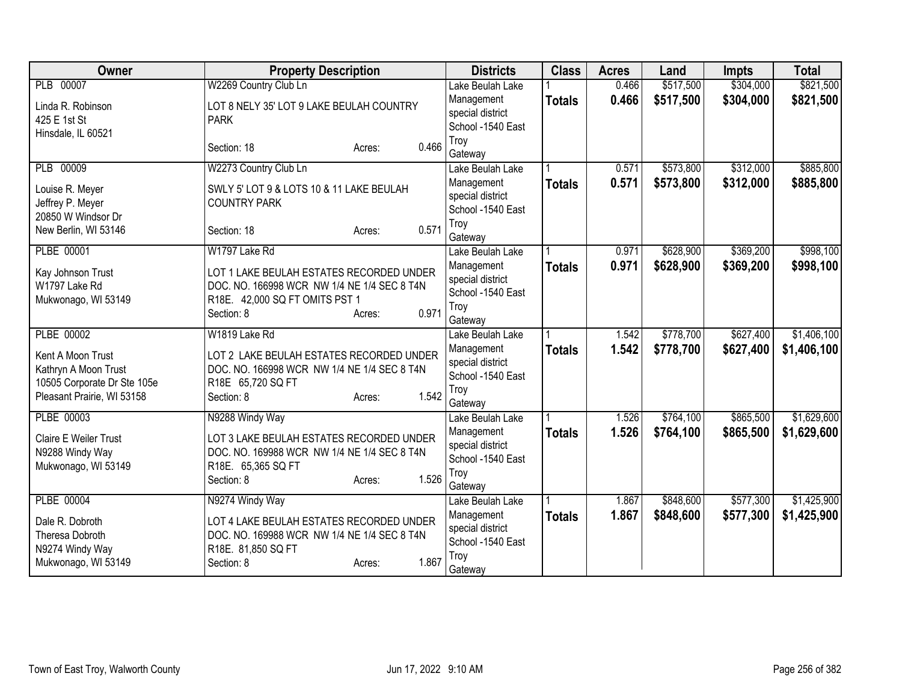| Owner                               | <b>Property Description</b>                 | <b>Districts</b>                      | <b>Class</b>  | <b>Acres</b> | Land      | <b>Impts</b> | <b>Total</b> |
|-------------------------------------|---------------------------------------------|---------------------------------------|---------------|--------------|-----------|--------------|--------------|
| PLB 00007                           | W2269 Country Club Ln                       | Lake Beulah Lake                      |               | 0.466        | \$517,500 | \$304,000    | \$821,500    |
| Linda R. Robinson                   | LOT 8 NELY 35' LOT 9 LAKE BEULAH COUNTRY    | Management                            | <b>Totals</b> | 0.466        | \$517,500 | \$304,000    | \$821,500    |
| 425 E 1st St                        | <b>PARK</b>                                 | special district                      |               |              |           |              |              |
| Hinsdale, IL 60521                  |                                             | School -1540 East                     |               |              |           |              |              |
|                                     | 0.466<br>Section: 18<br>Acres:              | Troy<br>Gateway                       |               |              |           |              |              |
| PLB 00009                           | W2273 Country Club Ln                       | Lake Beulah Lake                      |               | 0.571        | \$573,800 | \$312,000    | \$885,800    |
|                                     | SWLY 5' LOT 9 & LOTS 10 & 11 LAKE BEULAH    | Management                            | <b>Totals</b> | 0.571        | \$573,800 | \$312,000    | \$885,800    |
| Louise R. Meyer<br>Jeffrey P. Meyer | <b>COUNTRY PARK</b>                         | special district                      |               |              |           |              |              |
| 20850 W Windsor Dr                  |                                             | School -1540 East                     |               |              |           |              |              |
| New Berlin, WI 53146                | 0.571<br>Section: 18<br>Acres:              | Troy                                  |               |              |           |              |              |
|                                     |                                             | Gateway                               |               |              |           |              |              |
| PLBE 00001                          | W1797 Lake Rd                               | Lake Beulah Lake                      |               | 0.971        | \$628,900 | \$369,200    | \$998,100    |
| Kay Johnson Trust                   | LOT 1 LAKE BEULAH ESTATES RECORDED UNDER    | Management                            | <b>Totals</b> | 0.971        | \$628,900 | \$369,200    | \$998,100    |
| W1797 Lake Rd                       | DOC. NO. 166998 WCR NW 1/4 NE 1/4 SEC 8 T4N | special district<br>School -1540 East |               |              |           |              |              |
| Mukwonago, WI 53149                 | R18E. 42,000 SQ FT OMITS PST 1              | Troy                                  |               |              |           |              |              |
|                                     | 0.971<br>Section: 8<br>Acres:               | Gateway                               |               |              |           |              |              |
| PLBE 00002                          | W1819 Lake Rd                               | Lake Beulah Lake                      |               | 1.542        | \$778,700 | \$627,400    | \$1,406,100  |
| Kent A Moon Trust                   | LOT 2 LAKE BEULAH ESTATES RECORDED UNDER    | Management                            | <b>Totals</b> | 1.542        | \$778,700 | \$627,400    | \$1,406,100  |
| Kathryn A Moon Trust                | DOC. NO. 166998 WCR NW 1/4 NE 1/4 SEC 8 T4N | special district                      |               |              |           |              |              |
| 10505 Corporate Dr Ste 105e         | R18E 65,720 SQ FT                           | School -1540 East                     |               |              |           |              |              |
| Pleasant Prairie, WI 53158          | 1.542<br>Section: 8<br>Acres:               | Troy                                  |               |              |           |              |              |
|                                     |                                             | Gateway                               |               |              |           |              |              |
| PLBE 00003                          | N9288 Windy Way                             | Lake Beulah Lake                      |               | 1.526        | \$764,100 | \$865,500    | \$1,629,600  |
| Claire E Weiler Trust               | LOT 3 LAKE BEULAH ESTATES RECORDED UNDER    | Management                            | <b>Totals</b> | 1.526        | \$764,100 | \$865,500    | \$1,629,600  |
| N9288 Windy Way                     | DOC. NO. 169988 WCR NW 1/4 NE 1/4 SEC 8 T4N | special district<br>School -1540 East |               |              |           |              |              |
| Mukwonago, WI 53149                 | R18E. 65,365 SQ FT                          | Troy                                  |               |              |           |              |              |
|                                     | 1.526<br>Section: 8<br>Acres:               | Gateway                               |               |              |           |              |              |
| <b>PLBE 00004</b>                   | N9274 Windy Way                             | Lake Beulah Lake                      |               | 1.867        | \$848,600 | \$577,300    | \$1,425,900  |
| Dale R. Dobroth                     | LOT 4 LAKE BEULAH ESTATES RECORDED UNDER    | Management                            | <b>Totals</b> | 1.867        | \$848,600 | \$577,300    | \$1,425,900  |
| Theresa Dobroth                     | DOC. NO. 169988 WCR NW 1/4 NE 1/4 SEC 8 T4N | special district                      |               |              |           |              |              |
| N9274 Windy Way                     | R18E. 81,850 SQ FT                          | School -1540 East                     |               |              |           |              |              |
| Mukwonago, WI 53149                 | 1.867<br>Section: 8<br>Acres:               | Troy                                  |               |              |           |              |              |
|                                     |                                             | Gateway                               |               |              |           |              |              |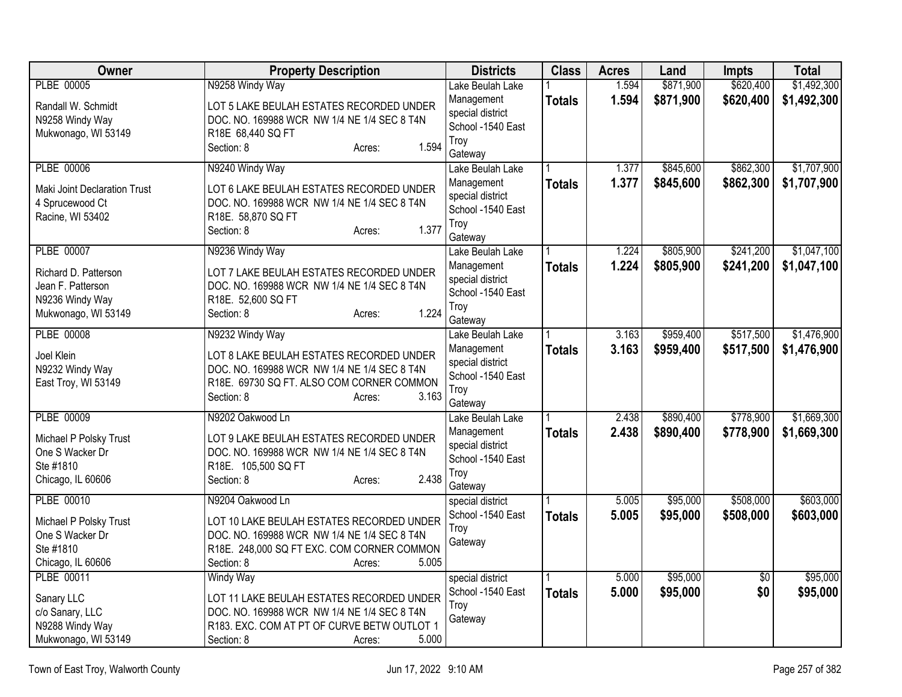| <b>Owner</b>                 | <b>Property Description</b>                         | <b>Districts</b>                      | <b>Class</b>  | <b>Acres</b> | Land      | <b>Impts</b> | <b>Total</b> |
|------------------------------|-----------------------------------------------------|---------------------------------------|---------------|--------------|-----------|--------------|--------------|
| PLBE 00005                   | N9258 Windy Way                                     | Lake Beulah Lake                      |               | 1.594        | \$871,900 | \$620,400    | \$1,492,300  |
| Randall W. Schmidt           | LOT 5 LAKE BEULAH ESTATES RECORDED UNDER            | Management                            | <b>Totals</b> | 1.594        | \$871,900 | \$620,400    | \$1,492,300  |
| N9258 Windy Way              | DOC. NO. 169988 WCR NW 1/4 NE 1/4 SEC 8 T4N         | special district                      |               |              |           |              |              |
| Mukwonago, WI 53149          | R18E 68,440 SQ FT                                   | School -1540 East                     |               |              |           |              |              |
|                              | 1.594<br>Section: 8<br>Acres:                       | Troy                                  |               |              |           |              |              |
|                              |                                                     | Gateway                               |               |              |           |              |              |
| PLBE 00006                   | N9240 Windy Way                                     | Lake Beulah Lake                      |               | 1.377        | \$845,600 | \$862,300    | \$1,707,900  |
| Maki Joint Declaration Trust | LOT 6 LAKE BEULAH ESTATES RECORDED UNDER            | Management<br>special district        | <b>Totals</b> | 1.377        | \$845,600 | \$862,300    | \$1,707,900  |
| 4 Sprucewood Ct              | DOC. NO. 169988 WCR NW 1/4 NE 1/4 SEC 8 T4N         | School -1540 East                     |               |              |           |              |              |
| Racine, WI 53402             | R18E. 58,870 SQ FT                                  | Troy                                  |               |              |           |              |              |
|                              | 1.377<br>Section: 8<br>Acres:                       | Gateway                               |               |              |           |              |              |
| PLBE 00007                   | N9236 Windy Way                                     | Lake Beulah Lake                      |               | 1.224        | \$805,900 | \$241,200    | \$1,047,100  |
|                              |                                                     | Management                            | <b>Totals</b> | 1.224        | \$805,900 | \$241,200    | \$1,047,100  |
| Richard D. Patterson         | LOT 7 LAKE BEULAH ESTATES RECORDED UNDER            | special district                      |               |              |           |              |              |
| Jean F. Patterson            | DOC. NO. 169988 WCR NW 1/4 NE 1/4 SEC 8 T4N         | School -1540 East                     |               |              |           |              |              |
| N9236 Windy Way              | R18E. 52,600 SQ FT<br>1.224                         | Troy                                  |               |              |           |              |              |
| Mukwonago, WI 53149          | Section: 8<br>Acres:                                | Gateway                               |               |              |           |              |              |
| PLBE 00008                   | N9232 Windy Way                                     | Lake Beulah Lake                      |               | 3.163        | \$959,400 | \$517,500    | \$1,476,900  |
| Joel Klein                   | LOT 8 LAKE BEULAH ESTATES RECORDED UNDER            | Management                            | <b>Totals</b> | 3.163        | \$959,400 | \$517,500    | \$1,476,900  |
| N9232 Windy Way              | DOC. NO. 169988 WCR NW 1/4 NE 1/4 SEC 8 T4N         | special district                      |               |              |           |              |              |
| East Troy, WI 53149          | R18E. 69730 SQ FT. ALSO COM CORNER COMMON           | School -1540 East                     |               |              |           |              |              |
|                              | 3.163<br>Section: 8<br>Acres:                       | Troy                                  |               |              |           |              |              |
|                              |                                                     | Gateway                               |               |              |           |              |              |
| <b>PLBE 00009</b>            | N9202 Oakwood Ln                                    | Lake Beulah Lake                      |               | 2.438        | \$890,400 | \$778,900    | \$1,669,300  |
| Michael P Polsky Trust       | LOT 9 LAKE BEULAH ESTATES RECORDED UNDER            | Management                            | <b>Totals</b> | 2.438        | \$890,400 | \$778,900    | \$1,669,300  |
| One S Wacker Dr              | DOC. NO. 169988 WCR NW 1/4 NE 1/4 SEC 8 T4N         | special district<br>School -1540 East |               |              |           |              |              |
| Ste #1810                    | R18E. 105,500 SQ FT                                 | Troy                                  |               |              |           |              |              |
| Chicago, IL 60606            | 2.438<br>Section: 8<br>Acres:                       | Gateway                               |               |              |           |              |              |
| PLBE 00010                   | N9204 Oakwood Ln                                    | special district                      |               | 5.005        | \$95,000  | \$508,000    | \$603,000    |
|                              |                                                     | School -1540 East                     | <b>Totals</b> | 5.005        | \$95,000  | \$508,000    | \$603,000    |
| Michael P Polsky Trust       | LOT 10 LAKE BEULAH ESTATES RECORDED UNDER           | Troy                                  |               |              |           |              |              |
| One S Wacker Dr              | DOC. NO. 169988 WCR NW 1/4 NE 1/4 SEC 8 T4N         | Gateway                               |               |              |           |              |              |
| Ste #1810                    | R18E. 248,000 SQ FT EXC. COM CORNER COMMON<br>5.005 |                                       |               |              |           |              |              |
| Chicago, IL 60606            | Section: 8<br>Acres:                                |                                       |               |              |           |              |              |
| PLBE 00011                   | Windy Way                                           | special district<br>School -1540 East |               | 5.000        | \$95,000  | \$0          | \$95,000     |
| Sanary LLC                   | LOT 11 LAKE BEULAH ESTATES RECORDED UNDER           | Troy                                  | <b>Totals</b> | 5.000        | \$95,000  | \$0          | \$95,000     |
| c/o Sanary, LLC              | DOC. NO. 169988 WCR NW 1/4 NE 1/4 SEC 8 T4N         | Gateway                               |               |              |           |              |              |
| N9288 Windy Way              | R183. EXC. COM AT PT OF CURVE BETW OUTLOT 1         |                                       |               |              |           |              |              |
| Mukwonago, WI 53149          | 5.000<br>Section: 8<br>Acres:                       |                                       |               |              |           |              |              |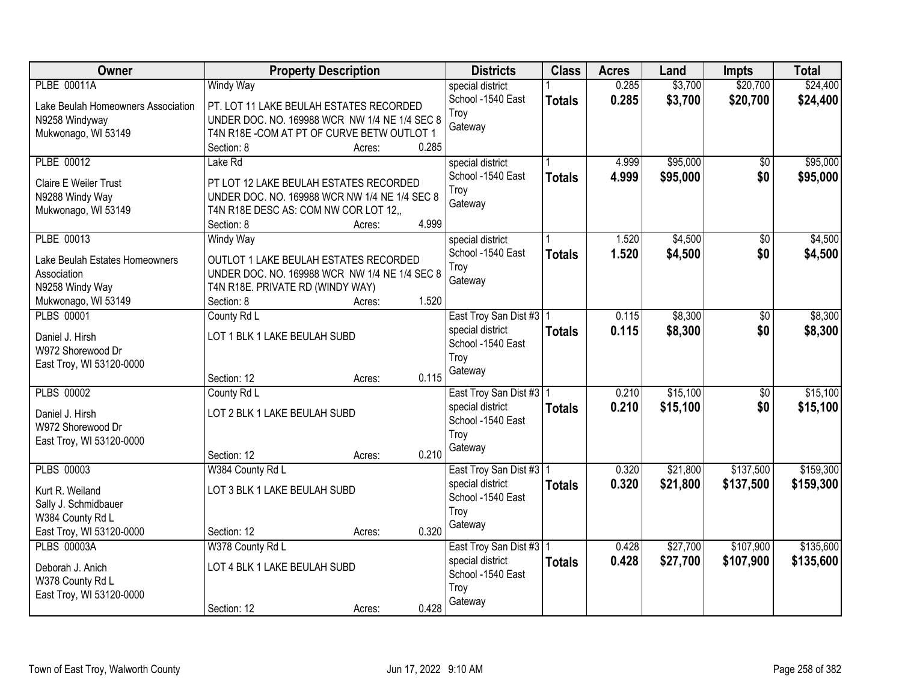| Owner                                | <b>Property Description</b>                   |        | <b>Districts</b>                      | <b>Class</b>  | <b>Acres</b> | Land     | <b>Impts</b>    | <b>Total</b> |
|--------------------------------------|-----------------------------------------------|--------|---------------------------------------|---------------|--------------|----------|-----------------|--------------|
| <b>PLBE 00011A</b>                   | <b>Windy Way</b>                              |        | special district                      |               | 0.285        | \$3,700  | \$20,700        | \$24,400     |
| Lake Beulah Homeowners Association   | PT. LOT 11 LAKE BEULAH ESTATES RECORDED       |        | School -1540 East                     | <b>Totals</b> | 0.285        | \$3,700  | \$20,700        | \$24,400     |
| N9258 Windyway                       | UNDER DOC. NO. 169988 WCR NW 1/4 NE 1/4 SEC 8 |        | Troy                                  |               |              |          |                 |              |
| Mukwonago, WI 53149                  | T4N R18E-COM AT PT OF CURVE BETW OUTLOT 1     |        | Gateway                               |               |              |          |                 |              |
|                                      | Section: 8                                    | Acres: | 0.285                                 |               |              |          |                 |              |
| PLBE 00012                           | Lake Rd                                       |        | special district                      |               | 4.999        | \$95,000 | \$0             | \$95,000     |
| <b>Claire E Weiler Trust</b>         | PT LOT 12 LAKE BEULAH ESTATES RECORDED        |        | School -1540 East                     | <b>Totals</b> | 4.999        | \$95,000 | \$0             | \$95,000     |
| N9288 Windy Way                      | UNDER DOC. NO. 169988 WCR NW 1/4 NE 1/4 SEC 8 |        | Troy                                  |               |              |          |                 |              |
| Mukwonago, WI 53149                  | T4N R18E DESC AS: COM NW COR LOT 12,,         |        | Gateway                               |               |              |          |                 |              |
|                                      | Section: 8                                    | Acres: | 4.999                                 |               |              |          |                 |              |
| PLBE 00013                           | <b>Windy Way</b>                              |        | special district                      |               | 1.520        | \$4,500  | $\overline{50}$ | \$4,500      |
| Lake Beulah Estates Homeowners       | OUTLOT 1 LAKE BEULAH ESTATES RECORDED         |        | School -1540 East                     | <b>Totals</b> | 1.520        | \$4,500  | \$0             | \$4,500      |
| Association                          | UNDER DOC. NO. 169988 WCR NW 1/4 NE 1/4 SEC 8 |        | Troy                                  |               |              |          |                 |              |
| N9258 Windy Way                      | T4N R18E. PRIVATE RD (WINDY WAY)              |        | Gateway                               |               |              |          |                 |              |
| Mukwonago, WI 53149                  | Section: 8                                    | Acres: | 1.520                                 |               |              |          |                 |              |
| <b>PLBS 00001</b>                    | County Rd L                                   |        | East Troy San Dist #3   1             |               | 0.115        | \$8,300  | \$0             | \$8,300      |
|                                      |                                               |        | special district                      | <b>Totals</b> | 0.115        | \$8,300  | \$0             | \$8,300      |
| Daniel J. Hirsh<br>W972 Shorewood Dr | LOT 1 BLK 1 LAKE BEULAH SUBD                  |        | School -1540 East                     |               |              |          |                 |              |
| East Troy, WI 53120-0000             |                                               |        | Troy                                  |               |              |          |                 |              |
|                                      | Section: 12                                   | Acres: | Gateway<br>0.115                      |               |              |          |                 |              |
| <b>PLBS 00002</b>                    | County Rd L                                   |        | East Troy San Dist #3 1               |               | 0.210        | \$15,100 | $\overline{50}$ | \$15,100     |
|                                      |                                               |        | special district                      | <b>Totals</b> | 0.210        | \$15,100 | \$0             | \$15,100     |
| Daniel J. Hirsh                      | LOT 2 BLK 1 LAKE BEULAH SUBD                  |        | School -1540 East                     |               |              |          |                 |              |
| W972 Shorewood Dr                    |                                               |        | Troy                                  |               |              |          |                 |              |
| East Troy, WI 53120-0000             | Section: 12                                   | Acres: | Gateway<br>0.210                      |               |              |          |                 |              |
| <b>PLBS 00003</b>                    | W384 County Rd L                              |        | East Troy San Dist #3   1             |               | 0.320        | \$21,800 | \$137,500       | \$159,300    |
|                                      |                                               |        | special district                      | <b>Totals</b> | 0.320        | \$21,800 | \$137,500       | \$159,300    |
| Kurt R. Weiland                      | LOT 3 BLK 1 LAKE BEULAH SUBD                  |        | School -1540 East                     |               |              |          |                 |              |
| Sally J. Schmidbauer                 |                                               |        | Troy                                  |               |              |          |                 |              |
| W384 County Rd L                     |                                               |        | Gateway                               |               |              |          |                 |              |
| East Troy, WI 53120-0000             | Section: 12                                   | Acres: | 0.320                                 |               |              |          |                 |              |
| <b>PLBS 00003A</b>                   | W378 County Rd L                              |        | East Troy San Dist #3   1             |               | 0.428        | \$27,700 | \$107,900       | \$135,600    |
| Deborah J. Anich                     | LOT 4 BLK 1 LAKE BEULAH SUBD                  |        | special district<br>School -1540 East | <b>Totals</b> | 0.428        | \$27,700 | \$107,900       | \$135,600    |
| W378 County Rd L                     |                                               |        | Troy                                  |               |              |          |                 |              |
| East Troy, WI 53120-0000             |                                               |        | Gateway                               |               |              |          |                 |              |
|                                      | Section: 12                                   | Acres: | 0.428                                 |               |              |          |                 |              |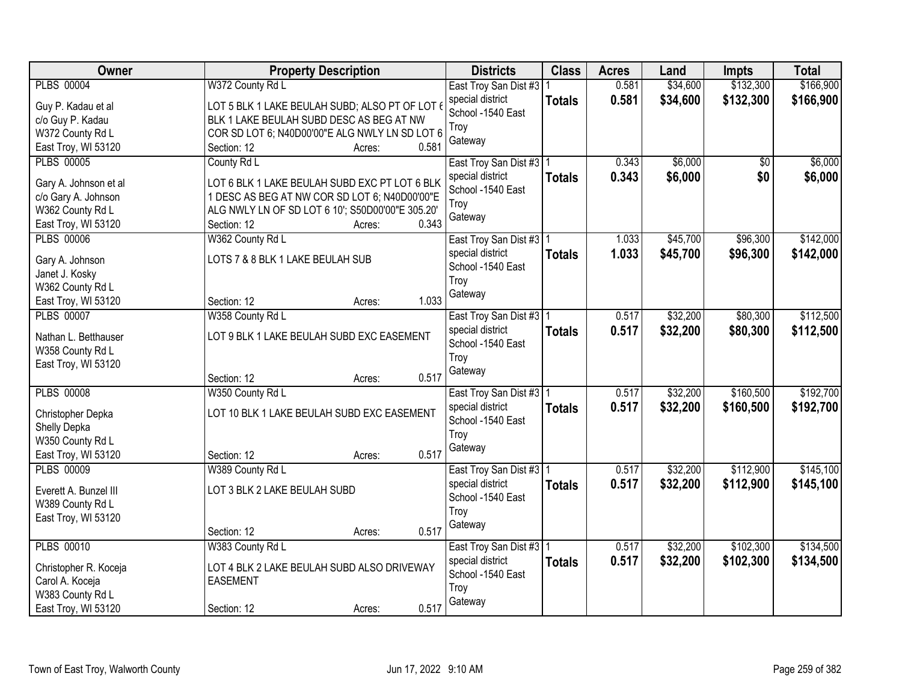| \$166,900<br><b>PLBS 00004</b><br>W372 County Rd L<br>0.581<br>\$34,600<br>East Troy San Dist #3   1<br>\$34,600<br>\$132,300<br>special district<br>0.581<br>\$166,900<br><b>Totals</b><br>Guy P. Kadau et al<br>LOT 5 BLK 1 LAKE BEULAH SUBD; ALSO PT OF LOT<br>School -1540 East<br>c/o Guy P. Kadau<br>BLK 1 LAKE BEULAH SUBD DESC AS BEG AT NW<br>Troy<br>W372 County Rd L<br>COR SD LOT 6; N40D00'00"E ALG NWLY LN SD LOT 6<br>Gateway<br>0.581<br>East Troy, WI 53120<br>Section: 12<br>Acres:<br>\$6,000<br><b>PLBS 00005</b><br>\$6,000<br>County Rd L<br>0.343<br>\$0<br>East Troy San Dist #3   1<br>0.343<br>\$6,000<br>\$0<br>\$6,000<br>special district<br><b>Totals</b><br>LOT 6 BLK 1 LAKE BEULAH SUBD EXC PT LOT 6 BLK<br>Gary A. Johnson et al<br>School -1540 East<br>1 DESC AS BEG AT NW COR SD LOT 6; N40D00'00"E<br>c/o Gary A. Johnson<br>Troy<br>W362 County Rd L<br>ALG NWLY LN OF SD LOT 6 10'; S50D00'00"E 305.20'<br>Gateway<br>0.343<br>East Troy, WI 53120<br>Section: 12<br>Acres:<br>\$45,700<br>\$142,000<br>W362 County Rd L<br>\$96,300<br><b>PLBS 00006</b><br>East Troy San Dist #3   1<br>1.033<br>special district<br>1.033<br>\$45,700<br>\$96,300<br>\$142,000<br><b>Totals</b><br>LOTS 7 & 8 BLK 1 LAKE BEULAH SUB<br>Gary A. Johnson<br>School -1540 East<br>Janet J. Kosky<br>Troy<br>W362 County Rd L<br>Gateway<br>1.033<br>Section: 12<br>East Troy, WI 53120<br>Acres:<br><b>PLBS 00007</b><br>\$32,200<br>\$80,300<br>\$112,500<br>W358 County Rd L<br>0.517<br>East Troy San Dist #3   1<br>0.517<br>\$32,200<br>special district<br>\$80,300<br>\$112,500<br><b>Totals</b><br>LOT 9 BLK 1 LAKE BEULAH SUBD EXC EASEMENT<br>Nathan L. Betthauser<br>School -1540 East<br>W358 County Rd L<br>Troy<br>East Troy, WI 53120<br>Gateway<br>0.517<br>Section: 12<br>Acres:<br>\$32,200<br>\$160,500<br><b>PLBS 00008</b><br>0.517<br>W350 County Rd L<br>East Troy San Dist #3   1<br>0.517<br>\$32,200<br>\$160,500<br>special district<br><b>Totals</b> | Owner             | <b>Property Description</b>                | <b>Districts</b> | <b>Class</b> | <b>Acres</b> | Land | <b>Impts</b> | <b>Total</b> |
|---------------------------------------------------------------------------------------------------------------------------------------------------------------------------------------------------------------------------------------------------------------------------------------------------------------------------------------------------------------------------------------------------------------------------------------------------------------------------------------------------------------------------------------------------------------------------------------------------------------------------------------------------------------------------------------------------------------------------------------------------------------------------------------------------------------------------------------------------------------------------------------------------------------------------------------------------------------------------------------------------------------------------------------------------------------------------------------------------------------------------------------------------------------------------------------------------------------------------------------------------------------------------------------------------------------------------------------------------------------------------------------------------------------------------------------------------------------------------------------------------------------------------------------------------------------------------------------------------------------------------------------------------------------------------------------------------------------------------------------------------------------------------------------------------------------------------------------------------------------------------------------------------------------------------------------------------------------------------------------------------------|-------------------|--------------------------------------------|------------------|--------------|--------------|------|--------------|--------------|
|                                                                                                                                                                                                                                                                                                                                                                                                                                                                                                                                                                                                                                                                                                                                                                                                                                                                                                                                                                                                                                                                                                                                                                                                                                                                                                                                                                                                                                                                                                                                                                                                                                                                                                                                                                                                                                                                                                                                                                                                         |                   |                                            |                  |              |              |      | \$132,300    |              |
|                                                                                                                                                                                                                                                                                                                                                                                                                                                                                                                                                                                                                                                                                                                                                                                                                                                                                                                                                                                                                                                                                                                                                                                                                                                                                                                                                                                                                                                                                                                                                                                                                                                                                                                                                                                                                                                                                                                                                                                                         |                   |                                            |                  |              |              |      |              |              |
|                                                                                                                                                                                                                                                                                                                                                                                                                                                                                                                                                                                                                                                                                                                                                                                                                                                                                                                                                                                                                                                                                                                                                                                                                                                                                                                                                                                                                                                                                                                                                                                                                                                                                                                                                                                                                                                                                                                                                                                                         |                   |                                            |                  |              |              |      |              |              |
|                                                                                                                                                                                                                                                                                                                                                                                                                                                                                                                                                                                                                                                                                                                                                                                                                                                                                                                                                                                                                                                                                                                                                                                                                                                                                                                                                                                                                                                                                                                                                                                                                                                                                                                                                                                                                                                                                                                                                                                                         |                   |                                            |                  |              |              |      |              |              |
|                                                                                                                                                                                                                                                                                                                                                                                                                                                                                                                                                                                                                                                                                                                                                                                                                                                                                                                                                                                                                                                                                                                                                                                                                                                                                                                                                                                                                                                                                                                                                                                                                                                                                                                                                                                                                                                                                                                                                                                                         |                   |                                            |                  |              |              |      |              |              |
|                                                                                                                                                                                                                                                                                                                                                                                                                                                                                                                                                                                                                                                                                                                                                                                                                                                                                                                                                                                                                                                                                                                                                                                                                                                                                                                                                                                                                                                                                                                                                                                                                                                                                                                                                                                                                                                                                                                                                                                                         |                   |                                            |                  |              |              |      |              |              |
|                                                                                                                                                                                                                                                                                                                                                                                                                                                                                                                                                                                                                                                                                                                                                                                                                                                                                                                                                                                                                                                                                                                                                                                                                                                                                                                                                                                                                                                                                                                                                                                                                                                                                                                                                                                                                                                                                                                                                                                                         |                   |                                            |                  |              |              |      |              |              |
|                                                                                                                                                                                                                                                                                                                                                                                                                                                                                                                                                                                                                                                                                                                                                                                                                                                                                                                                                                                                                                                                                                                                                                                                                                                                                                                                                                                                                                                                                                                                                                                                                                                                                                                                                                                                                                                                                                                                                                                                         |                   |                                            |                  |              |              |      |              |              |
|                                                                                                                                                                                                                                                                                                                                                                                                                                                                                                                                                                                                                                                                                                                                                                                                                                                                                                                                                                                                                                                                                                                                                                                                                                                                                                                                                                                                                                                                                                                                                                                                                                                                                                                                                                                                                                                                                                                                                                                                         |                   |                                            |                  |              |              |      |              |              |
|                                                                                                                                                                                                                                                                                                                                                                                                                                                                                                                                                                                                                                                                                                                                                                                                                                                                                                                                                                                                                                                                                                                                                                                                                                                                                                                                                                                                                                                                                                                                                                                                                                                                                                                                                                                                                                                                                                                                                                                                         |                   |                                            |                  |              |              |      |              |              |
|                                                                                                                                                                                                                                                                                                                                                                                                                                                                                                                                                                                                                                                                                                                                                                                                                                                                                                                                                                                                                                                                                                                                                                                                                                                                                                                                                                                                                                                                                                                                                                                                                                                                                                                                                                                                                                                                                                                                                                                                         |                   |                                            |                  |              |              |      |              |              |
|                                                                                                                                                                                                                                                                                                                                                                                                                                                                                                                                                                                                                                                                                                                                                                                                                                                                                                                                                                                                                                                                                                                                                                                                                                                                                                                                                                                                                                                                                                                                                                                                                                                                                                                                                                                                                                                                                                                                                                                                         |                   |                                            |                  |              |              |      |              |              |
|                                                                                                                                                                                                                                                                                                                                                                                                                                                                                                                                                                                                                                                                                                                                                                                                                                                                                                                                                                                                                                                                                                                                                                                                                                                                                                                                                                                                                                                                                                                                                                                                                                                                                                                                                                                                                                                                                                                                                                                                         |                   |                                            |                  |              |              |      |              |              |
|                                                                                                                                                                                                                                                                                                                                                                                                                                                                                                                                                                                                                                                                                                                                                                                                                                                                                                                                                                                                                                                                                                                                                                                                                                                                                                                                                                                                                                                                                                                                                                                                                                                                                                                                                                                                                                                                                                                                                                                                         |                   |                                            |                  |              |              |      |              |              |
|                                                                                                                                                                                                                                                                                                                                                                                                                                                                                                                                                                                                                                                                                                                                                                                                                                                                                                                                                                                                                                                                                                                                                                                                                                                                                                                                                                                                                                                                                                                                                                                                                                                                                                                                                                                                                                                                                                                                                                                                         |                   |                                            |                  |              |              |      |              |              |
|                                                                                                                                                                                                                                                                                                                                                                                                                                                                                                                                                                                                                                                                                                                                                                                                                                                                                                                                                                                                                                                                                                                                                                                                                                                                                                                                                                                                                                                                                                                                                                                                                                                                                                                                                                                                                                                                                                                                                                                                         |                   |                                            |                  |              |              |      |              |              |
|                                                                                                                                                                                                                                                                                                                                                                                                                                                                                                                                                                                                                                                                                                                                                                                                                                                                                                                                                                                                                                                                                                                                                                                                                                                                                                                                                                                                                                                                                                                                                                                                                                                                                                                                                                                                                                                                                                                                                                                                         |                   |                                            |                  |              |              |      |              |              |
|                                                                                                                                                                                                                                                                                                                                                                                                                                                                                                                                                                                                                                                                                                                                                                                                                                                                                                                                                                                                                                                                                                                                                                                                                                                                                                                                                                                                                                                                                                                                                                                                                                                                                                                                                                                                                                                                                                                                                                                                         |                   |                                            |                  |              |              |      |              |              |
|                                                                                                                                                                                                                                                                                                                                                                                                                                                                                                                                                                                                                                                                                                                                                                                                                                                                                                                                                                                                                                                                                                                                                                                                                                                                                                                                                                                                                                                                                                                                                                                                                                                                                                                                                                                                                                                                                                                                                                                                         |                   |                                            |                  |              |              |      |              |              |
| \$192,700<br>\$192,700                                                                                                                                                                                                                                                                                                                                                                                                                                                                                                                                                                                                                                                                                                                                                                                                                                                                                                                                                                                                                                                                                                                                                                                                                                                                                                                                                                                                                                                                                                                                                                                                                                                                                                                                                                                                                                                                                                                                                                                  |                   |                                            |                  |              |              |      |              |              |
|                                                                                                                                                                                                                                                                                                                                                                                                                                                                                                                                                                                                                                                                                                                                                                                                                                                                                                                                                                                                                                                                                                                                                                                                                                                                                                                                                                                                                                                                                                                                                                                                                                                                                                                                                                                                                                                                                                                                                                                                         |                   |                                            |                  |              |              |      |              |              |
|                                                                                                                                                                                                                                                                                                                                                                                                                                                                                                                                                                                                                                                                                                                                                                                                                                                                                                                                                                                                                                                                                                                                                                                                                                                                                                                                                                                                                                                                                                                                                                                                                                                                                                                                                                                                                                                                                                                                                                                                         |                   |                                            |                  |              |              |      |              |              |
|                                                                                                                                                                                                                                                                                                                                                                                                                                                                                                                                                                                                                                                                                                                                                                                                                                                                                                                                                                                                                                                                                                                                                                                                                                                                                                                                                                                                                                                                                                                                                                                                                                                                                                                                                                                                                                                                                                                                                                                                         |                   |                                            |                  |              |              |      |              |              |
| School -1540 East                                                                                                                                                                                                                                                                                                                                                                                                                                                                                                                                                                                                                                                                                                                                                                                                                                                                                                                                                                                                                                                                                                                                                                                                                                                                                                                                                                                                                                                                                                                                                                                                                                                                                                                                                                                                                                                                                                                                                                                       | Christopher Depka | LOT 10 BLK 1 LAKE BEULAH SUBD EXC EASEMENT |                  |              |              |      |              |              |
| Shelly Depka<br>Troy                                                                                                                                                                                                                                                                                                                                                                                                                                                                                                                                                                                                                                                                                                                                                                                                                                                                                                                                                                                                                                                                                                                                                                                                                                                                                                                                                                                                                                                                                                                                                                                                                                                                                                                                                                                                                                                                                                                                                                                    |                   |                                            |                  |              |              |      |              |              |
| W350 County Rd L<br>Gateway                                                                                                                                                                                                                                                                                                                                                                                                                                                                                                                                                                                                                                                                                                                                                                                                                                                                                                                                                                                                                                                                                                                                                                                                                                                                                                                                                                                                                                                                                                                                                                                                                                                                                                                                                                                                                                                                                                                                                                             |                   |                                            |                  |              |              |      |              |              |
| 0.517<br>East Troy, WI 53120<br>Section: 12<br>Acres:                                                                                                                                                                                                                                                                                                                                                                                                                                                                                                                                                                                                                                                                                                                                                                                                                                                                                                                                                                                                                                                                                                                                                                                                                                                                                                                                                                                                                                                                                                                                                                                                                                                                                                                                                                                                                                                                                                                                                   |                   |                                            |                  |              |              |      |              |              |
| <b>PLBS 00009</b><br>\$32,200<br>\$112,900<br>\$145,100<br>W389 County Rd L<br>0.517<br>East Troy San Dist #3   1                                                                                                                                                                                                                                                                                                                                                                                                                                                                                                                                                                                                                                                                                                                                                                                                                                                                                                                                                                                                                                                                                                                                                                                                                                                                                                                                                                                                                                                                                                                                                                                                                                                                                                                                                                                                                                                                                       |                   |                                            |                  |              |              |      |              |              |
| \$32,200<br>special district<br>0.517<br>\$112,900<br>\$145,100<br><b>Totals</b><br>LOT 3 BLK 2 LAKE BEULAH SUBD<br>Everett A. Bunzel III                                                                                                                                                                                                                                                                                                                                                                                                                                                                                                                                                                                                                                                                                                                                                                                                                                                                                                                                                                                                                                                                                                                                                                                                                                                                                                                                                                                                                                                                                                                                                                                                                                                                                                                                                                                                                                                               |                   |                                            |                  |              |              |      |              |              |
| School -1540 East<br>W389 County Rd L                                                                                                                                                                                                                                                                                                                                                                                                                                                                                                                                                                                                                                                                                                                                                                                                                                                                                                                                                                                                                                                                                                                                                                                                                                                                                                                                                                                                                                                                                                                                                                                                                                                                                                                                                                                                                                                                                                                                                                   |                   |                                            |                  |              |              |      |              |              |
| Troy<br>East Troy, WI 53120                                                                                                                                                                                                                                                                                                                                                                                                                                                                                                                                                                                                                                                                                                                                                                                                                                                                                                                                                                                                                                                                                                                                                                                                                                                                                                                                                                                                                                                                                                                                                                                                                                                                                                                                                                                                                                                                                                                                                                             |                   |                                            |                  |              |              |      |              |              |
| Gateway<br>0.517<br>Section: 12<br>Acres:                                                                                                                                                                                                                                                                                                                                                                                                                                                                                                                                                                                                                                                                                                                                                                                                                                                                                                                                                                                                                                                                                                                                                                                                                                                                                                                                                                                                                                                                                                                                                                                                                                                                                                                                                                                                                                                                                                                                                               |                   |                                            |                  |              |              |      |              |              |
| <b>PLBS 00010</b><br>\$102,300<br>W383 County Rd L<br>\$32,200<br>\$134,500<br>East Troy San Dist #3   1<br>0.517                                                                                                                                                                                                                                                                                                                                                                                                                                                                                                                                                                                                                                                                                                                                                                                                                                                                                                                                                                                                                                                                                                                                                                                                                                                                                                                                                                                                                                                                                                                                                                                                                                                                                                                                                                                                                                                                                       |                   |                                            |                  |              |              |      |              |              |
| 0.517<br>\$32,200<br>\$102,300<br>special district<br>\$134,500<br><b>Totals</b><br>Christopher R. Koceja<br>LOT 4 BLK 2 LAKE BEULAH SUBD ALSO DRIVEWAY                                                                                                                                                                                                                                                                                                                                                                                                                                                                                                                                                                                                                                                                                                                                                                                                                                                                                                                                                                                                                                                                                                                                                                                                                                                                                                                                                                                                                                                                                                                                                                                                                                                                                                                                                                                                                                                 |                   |                                            |                  |              |              |      |              |              |
| School -1540 East<br><b>EASEMENT</b><br>Carol A. Koceja                                                                                                                                                                                                                                                                                                                                                                                                                                                                                                                                                                                                                                                                                                                                                                                                                                                                                                                                                                                                                                                                                                                                                                                                                                                                                                                                                                                                                                                                                                                                                                                                                                                                                                                                                                                                                                                                                                                                                 |                   |                                            |                  |              |              |      |              |              |
| Troy<br>W383 County Rd L                                                                                                                                                                                                                                                                                                                                                                                                                                                                                                                                                                                                                                                                                                                                                                                                                                                                                                                                                                                                                                                                                                                                                                                                                                                                                                                                                                                                                                                                                                                                                                                                                                                                                                                                                                                                                                                                                                                                                                                |                   |                                            |                  |              |              |      |              |              |
| Gateway<br>0.517<br>East Troy, WI 53120<br>Section: 12<br>Acres:                                                                                                                                                                                                                                                                                                                                                                                                                                                                                                                                                                                                                                                                                                                                                                                                                                                                                                                                                                                                                                                                                                                                                                                                                                                                                                                                                                                                                                                                                                                                                                                                                                                                                                                                                                                                                                                                                                                                        |                   |                                            |                  |              |              |      |              |              |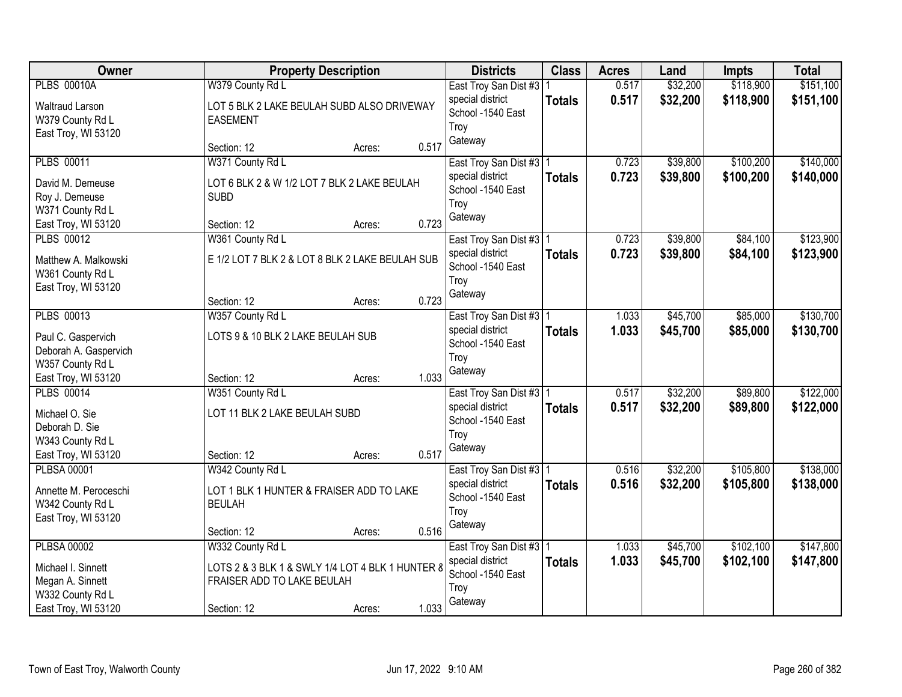| Owner                                                                                                       |                                                                                                                   | <b>Property Description</b> |                | <b>Districts</b>                                                                      | <b>Class</b>  | <b>Acres</b>   | Land                 | Impts                  | <b>Total</b>           |
|-------------------------------------------------------------------------------------------------------------|-------------------------------------------------------------------------------------------------------------------|-----------------------------|----------------|---------------------------------------------------------------------------------------|---------------|----------------|----------------------|------------------------|------------------------|
| <b>PLBS 00010A</b><br><b>Waltraud Larson</b><br>W379 County Rd L<br>East Troy, WI 53120                     | W379 County Rd L<br>LOT 5 BLK 2 LAKE BEULAH SUBD ALSO DRIVEWAY<br><b>EASEMENT</b>                                 |                             |                | East Troy San Dist #3   1<br>special district<br>School -1540 East<br>Troy            | <b>Totals</b> | 0.517<br>0.517 | \$32,200<br>\$32,200 | \$118,900<br>\$118,900 | \$151,100<br>\$151,100 |
|                                                                                                             | Section: 12                                                                                                       | Acres:                      | 0.517          | Gateway                                                                               |               |                |                      |                        |                        |
| <b>PLBS 00011</b><br>David M. Demeuse<br>Roy J. Demeuse<br>W371 County Rd L                                 | W371 County Rd L<br>LOT 6 BLK 2 & W 1/2 LOT 7 BLK 2 LAKE BEULAH<br><b>SUBD</b>                                    |                             |                | East Troy San Dist #3   1<br>special district<br>School -1540 East<br>Troy<br>Gateway | <b>Totals</b> | 0.723<br>0.723 | \$39,800<br>\$39,800 | \$100,200<br>\$100,200 | \$140,000<br>\$140,000 |
| East Troy, WI 53120<br><b>PLBS 00012</b><br>Matthew A. Malkowski<br>W361 County Rd L<br>East Troy, WI 53120 | Section: 12<br>W361 County Rd L<br>E 1/2 LOT 7 BLK 2 & LOT 8 BLK 2 LAKE BEULAH SUB<br>Section: 12                 | Acres:<br>Acres:            | 0.723<br>0.723 | East Troy San Dist #3   1<br>special district<br>School -1540 East<br>Troy<br>Gateway | <b>Totals</b> | 0.723<br>0.723 | \$39,800<br>\$39,800 | \$84,100<br>\$84,100   | \$123,900<br>\$123,900 |
| <b>PLBS 00013</b><br>Paul C. Gaspervich<br>Deborah A. Gaspervich<br>W357 County Rd L<br>East Troy, WI 53120 | W357 County Rd L<br>LOTS 9 & 10 BLK 2 LAKE BEULAH SUB<br>Section: 12                                              | Acres:                      | 1.033          | East Troy San Dist #3   1<br>special district<br>School -1540 East<br>Troy<br>Gateway | <b>Totals</b> | 1.033<br>1.033 | \$45,700<br>\$45,700 | \$85,000<br>\$85,000   | \$130,700<br>\$130,700 |
| <b>PLBS 00014</b><br>Michael O. Sie<br>Deborah D. Sie<br>W343 County Rd L<br>East Troy, WI 53120            | W351 County Rd L<br>LOT 11 BLK 2 LAKE BEULAH SUBD<br>Section: 12                                                  | Acres:                      | 0.517          | East Troy San Dist #3 1<br>special district<br>School -1540 East<br>Troy<br>Gateway   | <b>Totals</b> | 0.517<br>0.517 | \$32,200<br>\$32,200 | \$89,800<br>\$89,800   | \$122,000<br>\$122,000 |
| <b>PLBSA 00001</b><br>Annette M. Peroceschi<br>W342 County Rd L<br>East Troy, WI 53120                      | W342 County Rd L<br>LOT 1 BLK 1 HUNTER & FRAISER ADD TO LAKE<br><b>BEULAH</b><br>Section: 12                      | Acres:                      | 0.516          | East Troy San Dist #3 1<br>special district<br>School -1540 East<br>Troy<br>Gateway   | <b>Totals</b> | 0.516<br>0.516 | \$32,200<br>\$32,200 | \$105,800<br>\$105,800 | \$138,000<br>\$138,000 |
| <b>PLBSA 00002</b><br>Michael I. Sinnett<br>Megan A. Sinnett<br>W332 County Rd L<br>East Troy, WI 53120     | W332 County Rd L<br>LOTS 2 & 3 BLK 1 & SWLY 1/4 LOT 4 BLK 1 HUNTER 8<br>FRAISER ADD TO LAKE BEULAH<br>Section: 12 | Acres:                      | 1.033          | East Troy San Dist #3   1<br>special district<br>School -1540 East<br>Troy<br>Gateway | <b>Totals</b> | 1.033<br>1.033 | \$45,700<br>\$45,700 | \$102,100<br>\$102,100 | \$147,800<br>\$147,800 |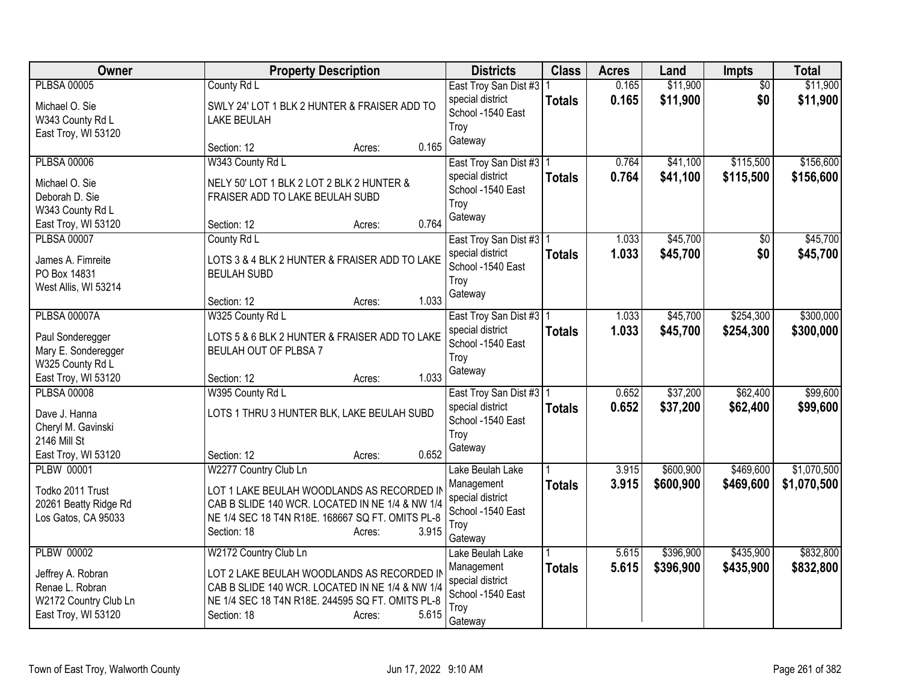| Owner                 | <b>Property Description</b>                      | <b>Districts</b>                      | <b>Class</b>  | <b>Acres</b> | Land      | Impts           | <b>Total</b> |
|-----------------------|--------------------------------------------------|---------------------------------------|---------------|--------------|-----------|-----------------|--------------|
| <b>PLBSA 00005</b>    | County Rd L                                      | East Troy San Dist #3   1             |               | 0.165        | \$11,900  | $\overline{50}$ | \$11,900     |
| Michael O. Sie        | SWLY 24' LOT 1 BLK 2 HUNTER & FRAISER ADD TO     | special district<br>School -1540 East | <b>Totals</b> | 0.165        | \$11,900  | \$0             | \$11,900     |
| W343 County Rd L      | <b>LAKE BEULAH</b>                               | Troy                                  |               |              |           |                 |              |
| East Troy, WI 53120   |                                                  | Gateway                               |               |              |           |                 |              |
|                       | 0.165<br>Section: 12<br>Acres:                   |                                       |               |              |           |                 |              |
| <b>PLBSA 00006</b>    | W343 County Rd L                                 | East Troy San Dist #3   1             |               | 0.764        | \$41,100  | \$115,500       | \$156,600    |
| Michael O. Sie        | NELY 50' LOT 1 BLK 2 LOT 2 BLK 2 HUNTER &        | special district<br>School -1540 East | <b>Totals</b> | 0.764        | \$41,100  | \$115,500       | \$156,600    |
| Deborah D. Sie        | FRAISER ADD TO LAKE BEULAH SUBD                  | Troy                                  |               |              |           |                 |              |
| W343 County Rd L      |                                                  | Gateway                               |               |              |           |                 |              |
| East Troy, WI 53120   | 0.764<br>Section: 12<br>Acres:                   |                                       |               |              |           |                 |              |
| <b>PLBSA 00007</b>    | County Rd L                                      | East Troy San Dist #3   1             |               | 1.033        | \$45,700  | $\overline{50}$ | \$45,700     |
| James A. Fimreite     | LOTS 3 & 4 BLK 2 HUNTER & FRAISER ADD TO LAKE    | special district                      | <b>Totals</b> | 1.033        | \$45,700  | \$0             | \$45,700     |
| PO Box 14831          | <b>BEULAH SUBD</b>                               | School -1540 East<br>Troy             |               |              |           |                 |              |
| West Allis, WI 53214  |                                                  | Gateway                               |               |              |           |                 |              |
|                       | 1.033<br>Section: 12<br>Acres:                   |                                       |               |              |           |                 |              |
| <b>PLBSA 00007A</b>   | W325 County Rd L                                 | East Troy San Dist #3   1             |               | 1.033        | \$45,700  | \$254,300       | \$300,000    |
| Paul Sonderegger      | LOTS 5 & 6 BLK 2 HUNTER & FRAISER ADD TO LAKE    | special district                      | <b>Totals</b> | 1.033        | \$45,700  | \$254,300       | \$300,000    |
| Mary E. Sonderegger   | BEULAH OUT OF PLBSA 7                            | School -1540 East                     |               |              |           |                 |              |
| W325 County Rd L      |                                                  | Troy                                  |               |              |           |                 |              |
| East Troy, WI 53120   | 1.033<br>Section: 12<br>Acres:                   | Gateway                               |               |              |           |                 |              |
| <b>PLBSA 00008</b>    | W395 County Rd L                                 | East Troy San Dist #3   1             |               | 0.652        | \$37,200  | \$62,400        | \$99,600     |
| Dave J. Hanna         | LOTS 1 THRU 3 HUNTER BLK, LAKE BEULAH SUBD       | special district                      | <b>Totals</b> | 0.652        | \$37,200  | \$62,400        | \$99,600     |
| Cheryl M. Gavinski    |                                                  | School -1540 East                     |               |              |           |                 |              |
| 2146 Mill St          |                                                  | Troy                                  |               |              |           |                 |              |
| East Troy, WI 53120   | 0.652<br>Section: 12<br>Acres:                   | Gateway                               |               |              |           |                 |              |
| <b>PLBW 00001</b>     | W2277 Country Club Ln                            | Lake Beulah Lake                      |               | 3.915        | \$600,900 | \$469,600       | \$1,070,500  |
| Todko 2011 Trust      | LOT 1 LAKE BEULAH WOODLANDS AS RECORDED II       | Management                            | <b>Totals</b> | 3.915        | \$600,900 | \$469,600       | \$1,070,500  |
| 20261 Beatty Ridge Rd | CAB B SLIDE 140 WCR. LOCATED IN NE 1/4 & NW 1/4  | special district                      |               |              |           |                 |              |
| Los Gatos, CA 95033   | NE 1/4 SEC 18 T4N R18E. 168667 SQ FT. OMITS PL-8 | School -1540 East                     |               |              |           |                 |              |
|                       | 3.915<br>Section: 18<br>Acres:                   | Troy                                  |               |              |           |                 |              |
|                       |                                                  | Gateway                               |               |              |           |                 |              |
| <b>PLBW 00002</b>     | W2172 Country Club Ln                            | Lake Beulah Lake                      |               | 5.615        | \$396,900 | \$435,900       | \$832,800    |
| Jeffrey A. Robran     | LOT 2 LAKE BEULAH WOODLANDS AS RECORDED II       | Management<br>special district        | <b>Totals</b> | 5.615        | \$396,900 | \$435,900       | \$832,800    |
| Renae L. Robran       | CAB B SLIDE 140 WCR. LOCATED IN NE 1/4 & NW 1/4  | School -1540 East                     |               |              |           |                 |              |
| W2172 Country Club Ln | NE 1/4 SEC 18 T4N R18E. 244595 SQ FT. OMITS PL-8 | Troy                                  |               |              |           |                 |              |
| East Troy, WI 53120   | 5.615<br>Section: 18<br>Acres:                   | Gateway                               |               |              |           |                 |              |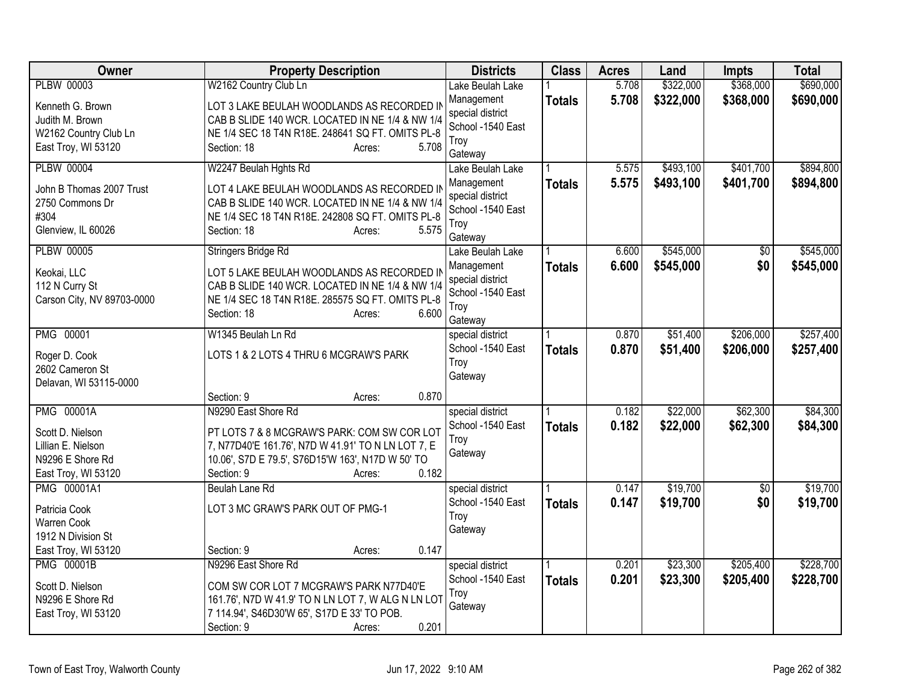| <b>Owner</b>                       | <b>Property Description</b>                        | <b>Districts</b>                      | <b>Class</b>  | <b>Acres</b> | Land      | <b>Impts</b>           | <b>Total</b> |
|------------------------------------|----------------------------------------------------|---------------------------------------|---------------|--------------|-----------|------------------------|--------------|
| <b>PLBW 00003</b>                  | W2162 Country Club Ln                              | Lake Beulah Lake                      |               | 5.708        | \$322,000 | \$368,000              | \$690,000    |
| Kenneth G. Brown                   | LOT 3 LAKE BEULAH WOODLANDS AS RECORDED II         | Management                            | <b>Totals</b> | 5.708        | \$322,000 | \$368,000              | \$690,000    |
| Judith M. Brown                    | CAB B SLIDE 140 WCR. LOCATED IN NE 1/4 & NW 1/4    | special district<br>School -1540 East |               |              |           |                        |              |
| W2162 Country Club Ln              | NE 1/4 SEC 18 T4N R18E. 248641 SQ FT. OMITS PL-8   | Troy                                  |               |              |           |                        |              |
| East Troy, WI 53120                | 5.708<br>Section: 18<br>Acres:                     | Gateway                               |               |              |           |                        |              |
| <b>PLBW 00004</b>                  | W2247 Beulah Hghts Rd                              | Lake Beulah Lake                      |               | 5.575        | \$493,100 | \$401,700              | \$894,800    |
| John B Thomas 2007 Trust           | LOT 4 LAKE BEULAH WOODLANDS AS RECORDED II         | Management                            | <b>Totals</b> | 5.575        | \$493,100 | \$401,700              | \$894,800    |
| 2750 Commons Dr                    | CAB B SLIDE 140 WCR. LOCATED IN NE 1/4 & NW 1/4    | special district                      |               |              |           |                        |              |
| #304                               | NE 1/4 SEC 18 T4N R18E. 242808 SQ FT. OMITS PL-8   | School -1540 East<br>Troy             |               |              |           |                        |              |
| Glenview, IL 60026                 | 5.575<br>Section: 18<br>Acres:                     | Gateway                               |               |              |           |                        |              |
| <b>PLBW 00005</b>                  | Stringers Bridge Rd                                | Lake Beulah Lake                      |               | 6.600        | \$545,000 | \$0                    | \$545,000    |
| Keokai, LLC                        | LOT 5 LAKE BEULAH WOODLANDS AS RECORDED II         | Management                            | <b>Totals</b> | 6.600        | \$545,000 | \$0                    | \$545,000    |
| 112 N Curry St                     | CAB B SLIDE 140 WCR. LOCATED IN NE 1/4 & NW 1/4    | special district                      |               |              |           |                        |              |
| Carson City, NV 89703-0000         | NE 1/4 SEC 18 T4N R18E. 285575 SQ FT. OMITS PL-8   | School -1540 East                     |               |              |           |                        |              |
|                                    | 6.600<br>Section: 18<br>Acres:                     | Troy<br>Gateway                       |               |              |           |                        |              |
| PMG 00001                          | W1345 Beulah Ln Rd                                 | special district                      |               | 0.870        | \$51,400  | \$206,000              | \$257,400    |
|                                    |                                                    | School -1540 East                     | <b>Totals</b> | 0.870        | \$51,400  | \$206,000              | \$257,400    |
| Roger D. Cook                      | LOTS 1 & 2 LOTS 4 THRU 6 MCGRAW'S PARK             | Troy                                  |               |              |           |                        |              |
| 2602 Cameron St                    |                                                    | Gateway                               |               |              |           |                        |              |
| Delavan, WI 53115-0000             | Section: 9<br>0.870                                |                                       |               |              |           |                        |              |
| PMG 00001A                         | Acres:<br>N9290 East Shore Rd                      | special district                      |               | 0.182        | \$22,000  | \$62,300               | \$84,300     |
|                                    |                                                    | School -1540 East                     | <b>Totals</b> | 0.182        | \$22,000  | \$62,300               | \$84,300     |
| Scott D. Nielson                   | PT LOTS 7 & 8 MCGRAW'S PARK: COM SW COR LOT        | Troy                                  |               |              |           |                        |              |
| Lillian E. Nielson                 | 7, N77D40'E 161.76', N7D W 41.91' TO N LN LOT 7, E | Gateway                               |               |              |           |                        |              |
| N9296 E Shore Rd                   | 10.06', S7D E 79.5', S76D15'W 163', N17D W 50' TO  |                                       |               |              |           |                        |              |
| East Troy, WI 53120<br>PMG 00001A1 | Section: 9<br>0.182<br>Acres:<br>Beulah Lane Rd    |                                       |               | 0.147        | \$19,700  |                        | \$19,700     |
|                                    |                                                    | special district<br>School -1540 East |               | 0.147        |           | $\overline{50}$<br>\$0 |              |
| Patricia Cook                      | LOT 3 MC GRAW'S PARK OUT OF PMG-1                  | Troy                                  | <b>Totals</b> |              | \$19,700  |                        | \$19,700     |
| <b>Warren Cook</b>                 |                                                    | Gateway                               |               |              |           |                        |              |
| 1912 N Division St                 |                                                    |                                       |               |              |           |                        |              |
| East Troy, WI 53120                | 0.147<br>Section: 9<br>Acres:                      |                                       |               |              |           |                        |              |
| PMG 00001B                         | N9296 East Shore Rd                                | special district                      |               | 0.201        | \$23,300  | \$205,400              | \$228,700    |
| Scott D. Nielson                   | COM SW COR LOT 7 MCGRAW'S PARK N77D40'E            | School -1540 East                     | <b>Totals</b> | 0.201        | \$23,300  | \$205,400              | \$228,700    |
| N9296 E Shore Rd                   | 161.76', N7D W 41.9' TO N LN LOT 7, W ALG N LN LOT | Troy<br>Gateway                       |               |              |           |                        |              |
| East Troy, WI 53120                | 7 114.94', S46D30'W 65', S17D E 33' TO POB.        |                                       |               |              |           |                        |              |
|                                    | 0.201<br>Section: 9<br>Acres:                      |                                       |               |              |           |                        |              |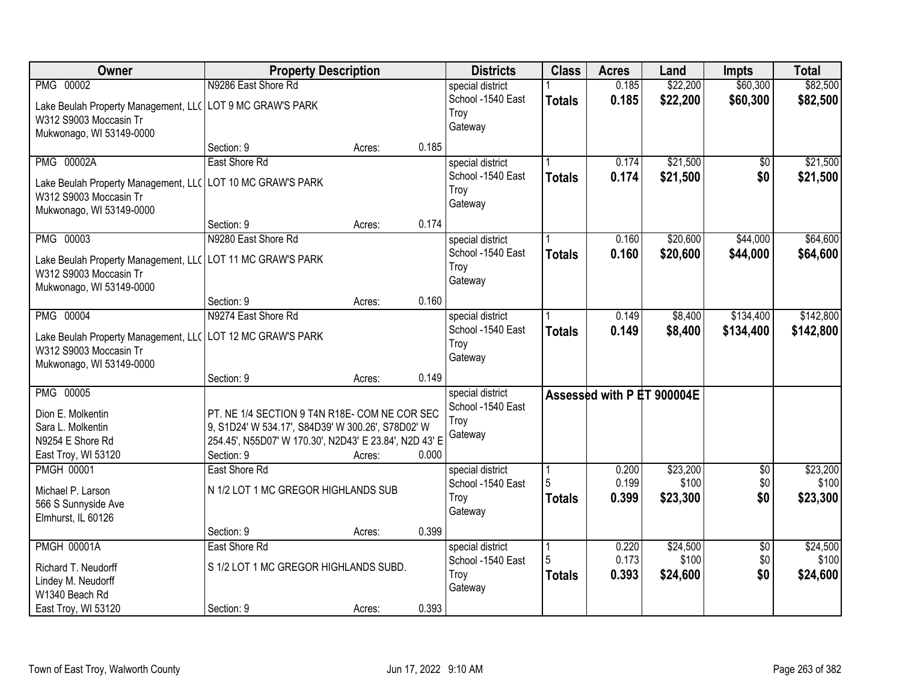| Owner                                                      | <b>Property Description</b>                            |        |       | <b>Districts</b>  | <b>Class</b>  | <b>Acres</b>               | Land     | <b>Impts</b>    | <b>Total</b> |
|------------------------------------------------------------|--------------------------------------------------------|--------|-------|-------------------|---------------|----------------------------|----------|-----------------|--------------|
| PMG 00002                                                  | N9286 East Shore Rd                                    |        |       | special district  |               | 0.185                      | \$22,200 | \$60,300        | \$82,500     |
| Lake Beulah Property Management, LL( LOT 9 MC GRAW'S PARK  |                                                        |        |       | School -1540 East | <b>Totals</b> | 0.185                      | \$22,200 | \$60,300        | \$82,500     |
| W312 S9003 Moccasin Tr                                     |                                                        |        |       | Troy              |               |                            |          |                 |              |
| Mukwonago, WI 53149-0000                                   |                                                        |        |       | Gateway           |               |                            |          |                 |              |
|                                                            | Section: 9                                             | Acres: | 0.185 |                   |               |                            |          |                 |              |
| <b>PMG 00002A</b>                                          | East Shore Rd                                          |        |       | special district  |               | 0.174                      | \$21,500 | \$0             | \$21,500     |
| Lake Beulah Property Management, LLC                       | LOT 10 MC GRAW'S PARK                                  |        |       | School -1540 East | <b>Totals</b> | 0.174                      | \$21,500 | \$0             | \$21,500     |
| W312 S9003 Moccasin Tr                                     |                                                        |        |       | Troy              |               |                            |          |                 |              |
| Mukwonago, WI 53149-0000                                   |                                                        |        |       | Gateway           |               |                            |          |                 |              |
|                                                            | Section: 9                                             | Acres: | 0.174 |                   |               |                            |          |                 |              |
| PMG 00003                                                  | N9280 East Shore Rd                                    |        |       | special district  |               | 0.160                      | \$20,600 | \$44,000        | \$64,600     |
| Lake Beulah Property Management, LL( LOT 11 MC GRAW'S PARK |                                                        |        |       | School -1540 East | <b>Totals</b> | 0.160                      | \$20,600 | \$44,000        | \$64,600     |
| W312 S9003 Moccasin Tr                                     |                                                        |        |       | Troy              |               |                            |          |                 |              |
| Mukwonago, WI 53149-0000                                   |                                                        |        |       | Gateway           |               |                            |          |                 |              |
|                                                            | Section: 9                                             | Acres: | 0.160 |                   |               |                            |          |                 |              |
| PMG 00004                                                  | N9274 East Shore Rd                                    |        |       | special district  |               | 0.149                      | \$8,400  | \$134,400       | \$142,800    |
| Lake Beulah Property Management, LL( LOT 12 MC GRAW'S PARK |                                                        |        |       | School -1540 East | <b>Totals</b> | 0.149                      | \$8,400  | \$134,400       | \$142,800    |
| W312 S9003 Moccasin Tr                                     |                                                        |        |       | Troy              |               |                            |          |                 |              |
| Mukwonago, WI 53149-0000                                   |                                                        |        |       | Gateway           |               |                            |          |                 |              |
|                                                            | Section: 9                                             | Acres: | 0.149 |                   |               |                            |          |                 |              |
| PMG 00005                                                  |                                                        |        |       | special district  |               | Assessed with P ET 900004E |          |                 |              |
| Dion E. Molkentin                                          | PT. NE 1/4 SECTION 9 T4N R18E- COM NE COR SEC          |        |       | School -1540 East |               |                            |          |                 |              |
| Sara L. Molkentin                                          | 9, S1D24' W 534.17', S84D39' W 300.26', S78D02' W      |        |       | Troy              |               |                            |          |                 |              |
| N9254 E Shore Rd                                           | 254.45', N55D07' W 170.30', N2D43' E 23.84', N2D 43' E |        |       | Gateway           |               |                            |          |                 |              |
| East Troy, WI 53120                                        | Section: 9                                             | Acres: | 0.000 |                   |               |                            |          |                 |              |
| <b>PMGH 00001</b>                                          | East Shore Rd                                          |        |       | special district  |               | 0.200                      | \$23,200 | $\overline{50}$ | \$23,200     |
| Michael P. Larson                                          | N 1/2 LOT 1 MC GREGOR HIGHLANDS SUB                    |        |       | School -1540 East | 5             | 0.199                      | \$100    | \$0             | \$100        |
| 566 S Sunnyside Ave                                        |                                                        |        |       | Troy              | <b>Totals</b> | 0.399                      | \$23,300 | \$0             | \$23,300     |
| Elmhurst, IL 60126                                         |                                                        |        |       | Gateway           |               |                            |          |                 |              |
|                                                            | Section: 9                                             | Acres: | 0.399 |                   |               |                            |          |                 |              |
| <b>PMGH 00001A</b>                                         | East Shore Rd                                          |        |       | special district  |               | 0.220                      | \$24,500 | $\overline{50}$ | \$24,500     |
| Richard T. Neudorff                                        | S 1/2 LOT 1 MC GREGOR HIGHLANDS SUBD.                  |        |       | School -1540 East |               | 0.173                      | \$100    | \$0             | \$100        |
| Lindey M. Neudorff                                         |                                                        |        |       | Troy              | <b>Totals</b> | 0.393                      | \$24,600 | \$0             | \$24,600     |
| W1340 Beach Rd                                             |                                                        |        |       | Gateway           |               |                            |          |                 |              |
| East Troy, WI 53120                                        | Section: 9                                             | Acres: | 0.393 |                   |               |                            |          |                 |              |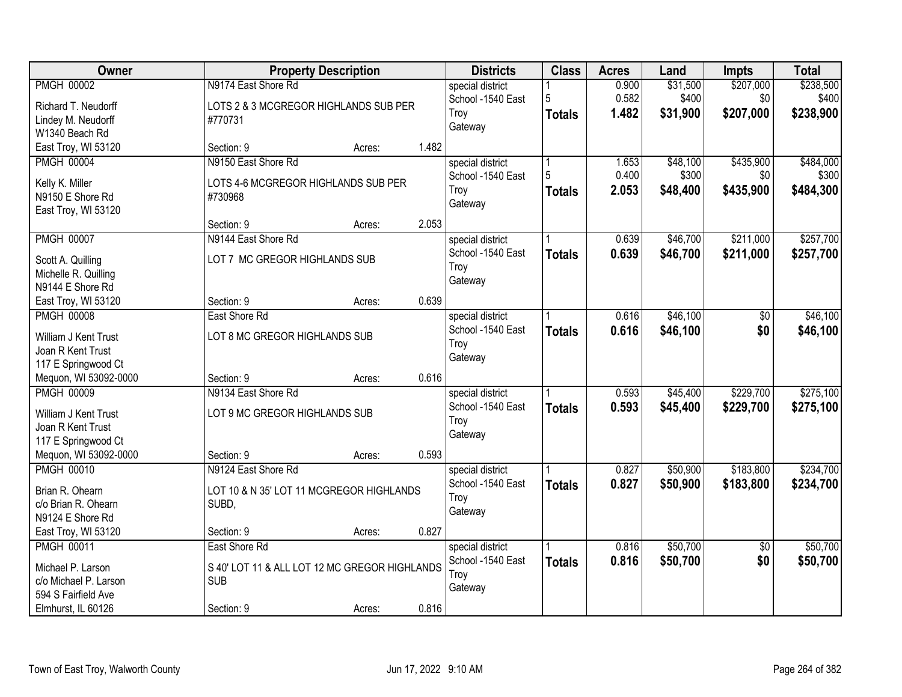| Owner                 |                               | <b>Property Description</b>                   |       | <b>Districts</b>  | <b>Class</b>  | <b>Acres</b> | Land     | Impts           | <b>Total</b> |
|-----------------------|-------------------------------|-----------------------------------------------|-------|-------------------|---------------|--------------|----------|-----------------|--------------|
| <b>PMGH 00002</b>     | N9174 East Shore Rd           |                                               |       | special district  |               | 0.900        | \$31,500 | \$207,000       | \$238,500    |
| Richard T. Neudorff   |                               | LOTS 2 & 3 MCGREGOR HIGHLANDS SUB PER         |       | School -1540 East | 5             | 0.582        | \$400    | \$0             | \$400        |
| Lindey M. Neudorff    | #770731                       |                                               |       | Troy              | <b>Totals</b> | 1.482        | \$31,900 | \$207,000       | \$238,900    |
| W1340 Beach Rd        |                               |                                               |       | Gateway           |               |              |          |                 |              |
| East Troy, WI 53120   | Section: 9                    | Acres:                                        | 1.482 |                   |               |              |          |                 |              |
| <b>PMGH 00004</b>     | N9150 East Shore Rd           |                                               |       | special district  |               | 1.653        | \$48,100 | \$435,900       | \$484,000    |
| Kelly K. Miller       |                               | LOTS 4-6 MCGREGOR HIGHLANDS SUB PER           |       | School -1540 East | 5             | 0.400        | \$300    | \$0             | \$300        |
| N9150 E Shore Rd      | #730968                       |                                               |       | Troy              | <b>Totals</b> | 2.053        | \$48,400 | \$435,900       | \$484,300    |
| East Troy, WI 53120   |                               |                                               |       | Gateway           |               |              |          |                 |              |
|                       | Section: 9                    | Acres:                                        | 2.053 |                   |               |              |          |                 |              |
| <b>PMGH 00007</b>     | N9144 East Shore Rd           |                                               |       | special district  |               | 0.639        | \$46,700 | \$211,000       | \$257,700    |
| Scott A. Quilling     | LOT 7 MC GREGOR HIGHLANDS SUB |                                               |       | School -1540 East | <b>Totals</b> | 0.639        | \$46,700 | \$211,000       | \$257,700    |
| Michelle R. Quilling  |                               |                                               |       | Troy              |               |              |          |                 |              |
| N9144 E Shore Rd      |                               |                                               |       | Gateway           |               |              |          |                 |              |
| East Troy, WI 53120   | Section: 9                    | Acres:                                        | 0.639 |                   |               |              |          |                 |              |
| <b>PMGH 00008</b>     | East Shore Rd                 |                                               |       | special district  |               | 0.616        | \$46,100 | \$0             | \$46,100     |
|                       |                               |                                               |       | School -1540 East | <b>Totals</b> | 0.616        | \$46,100 | \$0             | \$46,100     |
| William J Kent Trust  | LOT 8 MC GREGOR HIGHLANDS SUB |                                               |       | Troy              |               |              |          |                 |              |
| Joan R Kent Trust     |                               |                                               |       | Gateway           |               |              |          |                 |              |
| 117 E Springwood Ct   |                               |                                               |       |                   |               |              |          |                 |              |
| Mequon, WI 53092-0000 | Section: 9                    | Acres:                                        | 0.616 |                   |               |              |          |                 |              |
| <b>PMGH 00009</b>     | N9134 East Shore Rd           |                                               |       | special district  |               | 0.593        | \$45,400 | \$229,700       | \$275,100    |
| William J Kent Trust  | LOT 9 MC GREGOR HIGHLANDS SUB |                                               |       | School -1540 East | <b>Totals</b> | 0.593        | \$45,400 | \$229,700       | \$275,100    |
| Joan R Kent Trust     |                               |                                               |       | Troy<br>Gateway   |               |              |          |                 |              |
| 117 E Springwood Ct   |                               |                                               |       |                   |               |              |          |                 |              |
| Mequon, WI 53092-0000 | Section: 9                    | Acres:                                        | 0.593 |                   |               |              |          |                 |              |
| <b>PMGH 00010</b>     | N9124 East Shore Rd           |                                               |       | special district  |               | 0.827        | \$50,900 | \$183,800       | \$234,700    |
| Brian R. Ohearn       |                               | LOT 10 & N 35' LOT 11 MCGREGOR HIGHLANDS      |       | School -1540 East | <b>Totals</b> | 0.827        | \$50,900 | \$183,800       | \$234,700    |
| c/o Brian R. Ohearn   | SUBD,                         |                                               |       | Troy              |               |              |          |                 |              |
| N9124 E Shore Rd      |                               |                                               |       | Gateway           |               |              |          |                 |              |
| East Troy, WI 53120   | Section: 9                    | Acres:                                        | 0.827 |                   |               |              |          |                 |              |
| <b>PMGH 00011</b>     | East Shore Rd                 |                                               |       | special district  |               | 0.816        | \$50,700 | $\overline{50}$ | \$50,700     |
| Michael P. Larson     |                               | S 40' LOT 11 & ALL LOT 12 MC GREGOR HIGHLANDS |       | School -1540 East | <b>Totals</b> | 0.816        | \$50,700 | \$0             | \$50,700     |
| c/o Michael P. Larson | <b>SUB</b>                    |                                               |       | Troy              |               |              |          |                 |              |
| 594 S Fairfield Ave   |                               |                                               |       | Gateway           |               |              |          |                 |              |
| Elmhurst, IL 60126    | Section: 9                    | Acres:                                        | 0.816 |                   |               |              |          |                 |              |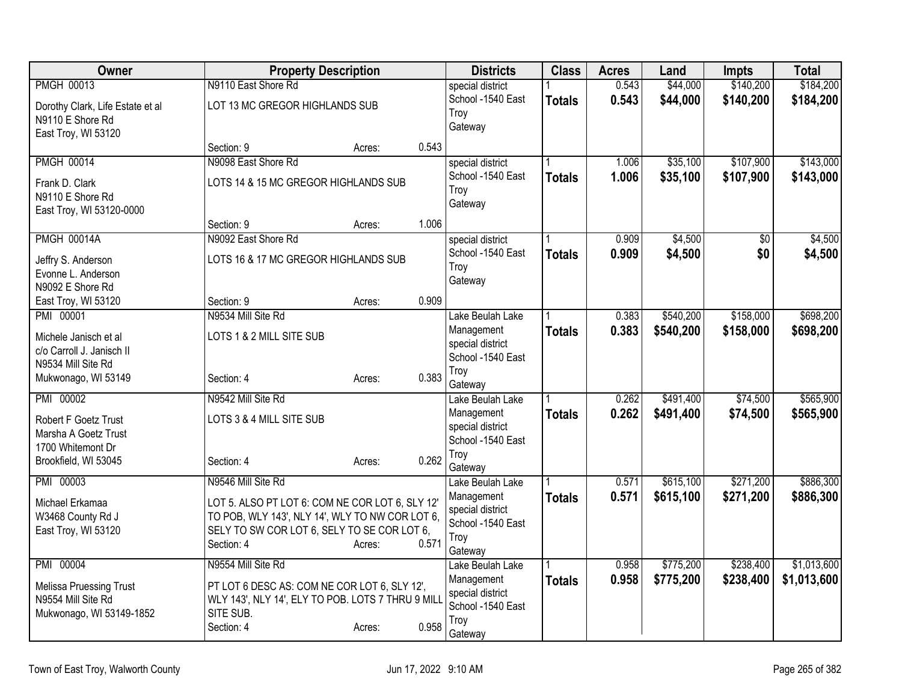| Owner                                              |                                                   | <b>Property Description</b> |       | <b>Districts</b>                      | <b>Class</b>  | <b>Acres</b>   | Land                   | <b>Impts</b>         | <b>Total</b>           |
|----------------------------------------------------|---------------------------------------------------|-----------------------------|-------|---------------------------------------|---------------|----------------|------------------------|----------------------|------------------------|
| <b>PMGH 00013</b>                                  | N9110 East Shore Rd                               |                             |       | special district                      |               | 0.543          | \$44,000               | \$140,200            | \$184,200              |
| Dorothy Clark, Life Estate et al                   | LOT 13 MC GREGOR HIGHLANDS SUB                    |                             |       | School -1540 East                     | <b>Totals</b> | 0.543          | \$44,000               | \$140,200            | \$184,200              |
| N9110 E Shore Rd                                   |                                                   |                             |       | Troy<br>Gateway                       |               |                |                        |                      |                        |
| East Troy, WI 53120                                |                                                   |                             |       |                                       |               |                |                        |                      |                        |
|                                                    | Section: 9                                        | Acres:                      | 0.543 |                                       |               |                |                        |                      |                        |
| <b>PMGH 00014</b>                                  | N9098 East Shore Rd                               |                             |       | special district                      |               | 1.006          | \$35,100               | \$107,900            | \$143,000              |
| Frank D. Clark                                     | LOTS 14 & 15 MC GREGOR HIGHLANDS SUB              |                             |       | School -1540 East<br>Troy             | <b>Totals</b> | 1.006          | \$35,100               | \$107,900            | \$143,000              |
| N9110 E Shore Rd                                   |                                                   |                             |       | Gateway                               |               |                |                        |                      |                        |
| East Troy, WI 53120-0000                           |                                                   |                             |       |                                       |               |                |                        |                      |                        |
| <b>PMGH 00014A</b>                                 | Section: 9<br>N9092 East Shore Rd                 | Acres:                      | 1.006 |                                       |               | 0.909          | \$4,500                |                      | \$4,500                |
|                                                    |                                                   |                             |       | special district<br>School -1540 East | <b>Totals</b> | 0.909          | \$4,500                | \$0<br>\$0           | \$4,500                |
| Jeffry S. Anderson                                 | LOTS 16 & 17 MC GREGOR HIGHLANDS SUB              |                             |       | Troy                                  |               |                |                        |                      |                        |
| Evonne L. Anderson                                 |                                                   |                             |       | Gateway                               |               |                |                        |                      |                        |
| N9092 E Shore Rd<br>East Troy, WI 53120            | Section: 9                                        | Acres:                      | 0.909 |                                       |               |                |                        |                      |                        |
| PMI 00001                                          | N9534 Mill Site Rd                                |                             |       | Lake Beulah Lake                      |               | 0.383          | \$540,200              | \$158,000            | \$698,200              |
|                                                    |                                                   |                             |       | Management                            | <b>Totals</b> | 0.383          | \$540,200              | \$158,000            | \$698,200              |
| Michele Janisch et al<br>c/o Carroll J. Janisch II | LOTS 1 & 2 MILL SITE SUB                          |                             |       | special district                      |               |                |                        |                      |                        |
| N9534 Mill Site Rd                                 |                                                   |                             |       | School -1540 East                     |               |                |                        |                      |                        |
| Mukwonago, WI 53149                                | Section: 4                                        | Acres:                      | 0.383 | Troy                                  |               |                |                        |                      |                        |
|                                                    |                                                   |                             |       | Gateway                               |               |                |                        |                      |                        |
| PMI 00002                                          | N9542 Mill Site Rd                                |                             |       | Lake Beulah Lake<br>Management        | <b>Totals</b> | 0.262<br>0.262 | \$491,400<br>\$491,400 | \$74,500<br>\$74,500 | \$565,900<br>\$565,900 |
| Robert F Goetz Trust                               | LOTS 3 & 4 MILL SITE SUB                          |                             |       | special district                      |               |                |                        |                      |                        |
| Marsha A Goetz Trust                               |                                                   |                             |       | School -1540 East                     |               |                |                        |                      |                        |
| 1700 Whitemont Dr<br>Brookfield, WI 53045          | Section: 4                                        | Acres:                      | 0.262 | Troy                                  |               |                |                        |                      |                        |
|                                                    |                                                   |                             |       | Gateway                               |               |                |                        |                      |                        |
| PMI 00003                                          | N9546 Mill Site Rd                                |                             |       | Lake Beulah Lake                      |               | 0.571          | \$615,100              | \$271,200            | \$886,300              |
| Michael Erkamaa                                    | LOT 5. ALSO PT LOT 6: COM NE COR LOT 6, SLY 12'   |                             |       | Management                            | <b>Totals</b> | 0.571          | \$615,100              | \$271,200            | \$886,300              |
| W3468 County Rd J                                  | TO POB, WLY 143', NLY 14', WLY TO NW COR LOT 6,   |                             |       | special district<br>School -1540 East |               |                |                        |                      |                        |
| East Troy, WI 53120                                | SELY TO SW COR LOT 6, SELY TO SE COR LOT 6,       |                             |       | Troy                                  |               |                |                        |                      |                        |
|                                                    | Section: 4                                        | Acres:                      | 0.571 | Gateway                               |               |                |                        |                      |                        |
| PMI 00004                                          | N9554 Mill Site Rd                                |                             |       | Lake Beulah Lake                      |               | 0.958          | \$775,200              | \$238,400            | \$1,013,600            |
| Melissa Pruessing Trust                            | PT LOT 6 DESC AS: COM NE COR LOT 6, SLY 12',      |                             |       | Management                            | <b>Totals</b> | 0.958          | \$775,200              | \$238,400            | \$1,013,600            |
| N9554 Mill Site Rd                                 | WLY 143', NLY 14', ELY TO POB. LOTS 7 THRU 9 MILL |                             |       | special district                      |               |                |                        |                      |                        |
| Mukwonago, WI 53149-1852                           | SITE SUB.                                         |                             |       | School -1540 East<br>Troy             |               |                |                        |                      |                        |
|                                                    | Section: 4                                        | Acres:                      | 0.958 | Gateway                               |               |                |                        |                      |                        |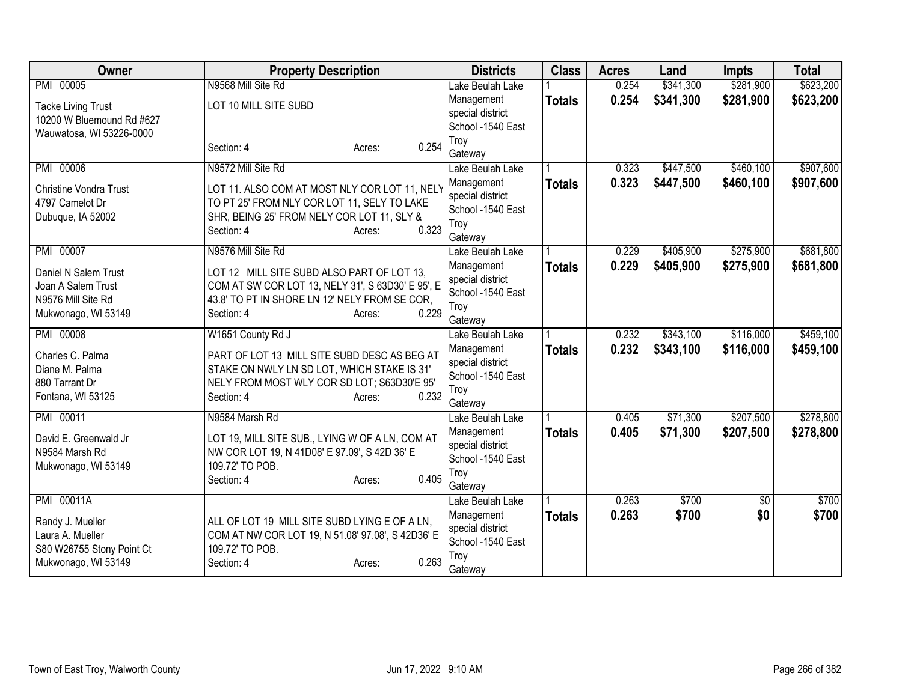| Owner                         | <b>Property Description</b>                       | <b>Districts</b>               | <b>Class</b>  | <b>Acres</b> | Land      | <b>Impts</b> | <b>Total</b> |
|-------------------------------|---------------------------------------------------|--------------------------------|---------------|--------------|-----------|--------------|--------------|
| PMI 00005                     | N9568 Mill Site Rd                                | Lake Beulah Lake               |               | 0.254        | \$341,300 | \$281,900    | \$623,200    |
| <b>Tacke Living Trust</b>     | LOT 10 MILL SITE SUBD                             | Management                     | <b>Totals</b> | 0.254        | \$341,300 | \$281,900    | \$623,200    |
| 10200 W Bluemound Rd #627     |                                                   | special district               |               |              |           |              |              |
| Wauwatosa, WI 53226-0000      |                                                   | School -1540 East<br>Troy      |               |              |           |              |              |
|                               | 0.254<br>Section: 4<br>Acres:                     | Gateway                        |               |              |           |              |              |
| PMI 00006                     | N9572 Mill Site Rd                                | Lake Beulah Lake               |               | 0.323        | \$447,500 | \$460,100    | \$907,600    |
| <b>Christine Vondra Trust</b> | LOT 11. ALSO COM AT MOST NLY COR LOT 11, NELY     | Management                     | <b>Totals</b> | 0.323        | \$447,500 | \$460,100    | \$907,600    |
| 4797 Camelot Dr               | TO PT 25' FROM NLY COR LOT 11, SELY TO LAKE       | special district               |               |              |           |              |              |
| Dubuque, IA 52002             | SHR, BEING 25' FROM NELY COR LOT 11, SLY &        | School -1540 East              |               |              |           |              |              |
|                               | 0.323<br>Section: 4<br>Acres:                     | Troy                           |               |              |           |              |              |
| PMI 00007                     | N9576 Mill Site Rd                                | Gateway<br>Lake Beulah Lake    |               | 0.229        | \$405,900 | \$275,900    | \$681,800    |
|                               |                                                   | Management                     |               | 0.229        | \$405,900 | \$275,900    | \$681,800    |
| Daniel N Salem Trust          | LOT 12 MILL SITE SUBD ALSO PART OF LOT 13,        | special district               | <b>Totals</b> |              |           |              |              |
| Joan A Salem Trust            | COM AT SW COR LOT 13, NELY 31', S 63D30' E 95', E | School -1540 East              |               |              |           |              |              |
| N9576 Mill Site Rd            | 43.8' TO PT IN SHORE LN 12' NELY FROM SE COR,     | Troy                           |               |              |           |              |              |
| Mukwonago, WI 53149           | 0.229<br>Section: 4<br>Acres:                     | Gateway                        |               |              |           |              |              |
| PMI 00008                     | W1651 County Rd J                                 | Lake Beulah Lake               |               | 0.232        | \$343,100 | \$116,000    | \$459,100    |
| Charles C. Palma              | PART OF LOT 13 MILL SITE SUBD DESC AS BEG AT      | Management                     | <b>Totals</b> | 0.232        | \$343,100 | \$116,000    | \$459,100    |
| Diane M. Palma                | STAKE ON NWLY LN SD LOT, WHICH STAKE IS 31'       | special district               |               |              |           |              |              |
| 880 Tarrant Dr                | NELY FROM MOST WLY COR SD LOT; S63D30'E 95'       | School -1540 East              |               |              |           |              |              |
| Fontana, WI 53125             | 0.232<br>Section: 4<br>Acres:                     | Troy                           |               |              |           |              |              |
| PMI 00011                     | N9584 Marsh Rd                                    | Gateway                        |               | 0.405        | \$71,300  | \$207,500    | \$278,800    |
|                               |                                                   | Lake Beulah Lake<br>Management |               | 0.405        | \$71,300  | \$207,500    | \$278,800    |
| David E. Greenwald Jr         | LOT 19, MILL SITE SUB., LYING W OF A LN, COM AT   | special district               | <b>Totals</b> |              |           |              |              |
| N9584 Marsh Rd                | NW COR LOT 19, N 41D08' E 97.09', S 42D 36' E     | School -1540 East              |               |              |           |              |              |
| Mukwonago, WI 53149           | 109.72' TO POB.                                   | Troy                           |               |              |           |              |              |
|                               | 0.405<br>Section: 4<br>Acres:                     | Gateway                        |               |              |           |              |              |
| PMI 00011A                    |                                                   | Lake Beulah Lake               |               | 0.263        | \$700     | \$0          | \$700        |
| Randy J. Mueller              | ALL OF LOT 19 MILL SITE SUBD LYING E OF A LN,     | Management                     | <b>Totals</b> | 0.263        | \$700     | \$0          | \$700        |
| Laura A. Mueller              | COM AT NW COR LOT 19, N 51.08' 97.08', S 42D36' E | special district               |               |              |           |              |              |
| S80 W26755 Stony Point Ct     | 109.72' TO POB.                                   | School -1540 East              |               |              |           |              |              |
| Mukwonago, WI 53149           | 0.263<br>Section: 4<br>Acres:                     | Troy                           |               |              |           |              |              |
|                               |                                                   | Gateway                        |               |              |           |              |              |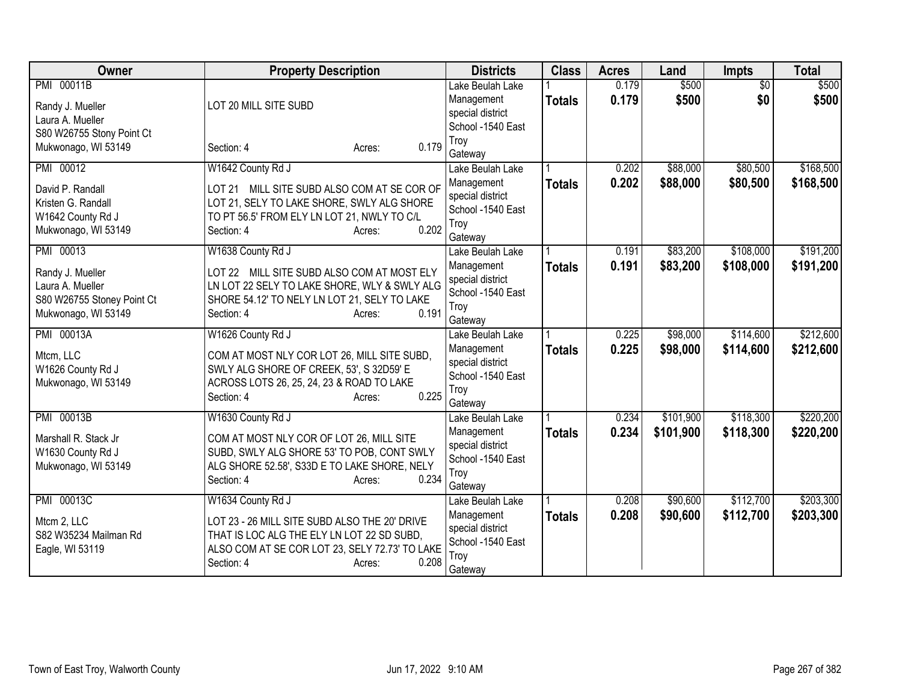| Owner                                                                                                  | <b>Property Description</b>                                                                                                                                                                         | <b>Districts</b>                                                                           | <b>Class</b>  | <b>Acres</b>   | Land                   | <b>Impts</b>           | <b>Total</b>           |
|--------------------------------------------------------------------------------------------------------|-----------------------------------------------------------------------------------------------------------------------------------------------------------------------------------------------------|--------------------------------------------------------------------------------------------|---------------|----------------|------------------------|------------------------|------------------------|
| PMI 00011B<br>Randy J. Mueller<br>Laura A. Mueller                                                     | LOT 20 MILL SITE SUBD                                                                                                                                                                               | Lake Beulah Lake<br>Management<br>special district<br>School -1540 East                    | <b>Totals</b> | 0.179<br>0.179 | \$500<br>\$500         | $\overline{30}$<br>\$0 | \$500<br>\$500         |
| S80 W26755 Stony Point Ct<br>Mukwonago, WI 53149                                                       | 0.179<br>Section: 4<br>Acres:                                                                                                                                                                       | Troy<br>Gateway                                                                            |               |                |                        |                        |                        |
| PMI 00012<br>David P. Randall<br>Kristen G. Randall<br>W1642 County Rd J<br>Mukwonago, WI 53149        | W1642 County Rd J<br>LOT 21 MILL SITE SUBD ALSO COM AT SE COR OF<br>LOT 21, SELY TO LAKE SHORE, SWLY ALG SHORE<br>TO PT 56.5' FROM ELY LN LOT 21, NWLY TO C/L<br>0.202<br>Section: 4<br>Acres:      | Lake Beulah Lake<br>Management<br>special district<br>School -1540 East<br>Troy<br>Gateway | <b>Totals</b> | 0.202<br>0.202 | \$88,000<br>\$88,000   | \$80,500<br>\$80,500   | \$168,500<br>\$168,500 |
| PMI 00013<br>Randy J. Mueller<br>Laura A. Mueller<br>S80 W26755 Stoney Point Ct<br>Mukwonago, WI 53149 | W1638 County Rd J<br>LOT 22 MILL SITE SUBD ALSO COM AT MOST ELY<br>LN LOT 22 SELY TO LAKE SHORE, WLY & SWLY ALG<br>SHORE 54.12' TO NELY LN LOT 21, SELY TO LAKE<br>0.191<br>Section: 4<br>Acres:    | Lake Beulah Lake<br>Management<br>special district<br>School -1540 East<br>Troy<br>Gateway | <b>Totals</b> | 0.191<br>0.191 | \$83,200<br>\$83,200   | \$108,000<br>\$108,000 | \$191,200<br>\$191,200 |
| PMI 00013A<br>Mtcm, LLC<br>W1626 County Rd J<br>Mukwonago, WI 53149                                    | W1626 County Rd J<br>COM AT MOST NLY COR LOT 26, MILL SITE SUBD,<br>SWLY ALG SHORE OF CREEK, 53', S 32D59' E<br>ACROSS LOTS 26, 25, 24, 23 & ROAD TO LAKE<br>0.225<br>Section: 4<br>Acres:          | Lake Beulah Lake<br>Management<br>special district<br>School -1540 East<br>Troy<br>Gateway | <b>Totals</b> | 0.225<br>0.225 | \$98,000<br>\$98,000   | \$114,600<br>\$114,600 | \$212,600<br>\$212,600 |
| PMI 00013B<br>Marshall R. Stack Jr<br>W1630 County Rd J<br>Mukwonago, WI 53149                         | W1630 County Rd J<br>COM AT MOST NLY COR OF LOT 26, MILL SITE<br>SUBD, SWLY ALG SHORE 53' TO POB, CONT SWLY<br>ALG SHORE 52.58', S33D E TO LAKE SHORE, NELY<br>0.234<br>Section: 4<br>Acres:        | Lake Beulah Lake<br>Management<br>special district<br>School -1540 East<br>Troy<br>Gateway | <b>Totals</b> | 0.234<br>0.234 | \$101,900<br>\$101,900 | \$118,300<br>\$118,300 | \$220,200<br>\$220,200 |
| PMI 00013C<br>Mtcm 2, LLC<br>S82 W35234 Mailman Rd<br>Eagle, WI 53119                                  | W1634 County Rd J<br>LOT 23 - 26 MILL SITE SUBD ALSO THE 20' DRIVE<br>THAT IS LOC ALG THE ELY LN LOT 22 SD SUBD,<br>ALSO COM AT SE COR LOT 23, SELY 72.73' TO LAKE<br>0.208<br>Section: 4<br>Acres: | Lake Beulah Lake<br>Management<br>special district<br>School -1540 East<br>Troy<br>Gateway | <b>Totals</b> | 0.208<br>0.208 | \$90,600<br>\$90,600   | \$112,700<br>\$112,700 | \$203,300<br>\$203,300 |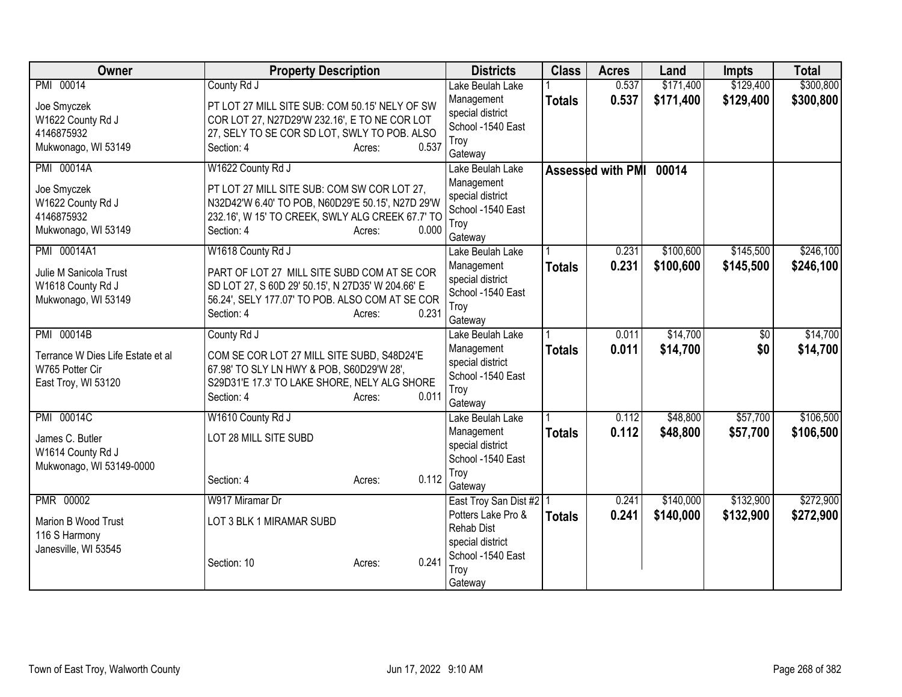| Owner                                    | <b>Property Description</b>                                                                          |       | <b>Districts</b>                     | <b>Class</b>  | <b>Acres</b>            | Land      | <b>Impts</b>    | <b>Total</b> |
|------------------------------------------|------------------------------------------------------------------------------------------------------|-------|--------------------------------------|---------------|-------------------------|-----------|-----------------|--------------|
| PMI 00014                                | County Rd J                                                                                          |       | Lake Beulah Lake                     |               | 0.537                   | \$171,400 | \$129,400       | \$300,800    |
| Joe Smyczek                              | PT LOT 27 MILL SITE SUB: COM 50.15' NELY OF SW                                                       |       | Management<br>special district       | <b>Totals</b> | 0.537                   | \$171,400 | \$129,400       | \$300,800    |
| W1622 County Rd J                        | COR LOT 27, N27D29'W 232.16', E TO NE COR LOT                                                        |       | School -1540 East                    |               |                         |           |                 |              |
| 4146875932                               | 27, SELY TO SE COR SD LOT, SWLY TO POB. ALSO                                                         | 0.537 | Troy                                 |               |                         |           |                 |              |
| Mukwonago, WI 53149                      | Section: 4<br>Acres:                                                                                 |       | Gateway                              |               |                         |           |                 |              |
| <b>PMI 00014A</b>                        | W1622 County Rd J                                                                                    |       | Lake Beulah Lake                     |               | Assessed with PMI 00014 |           |                 |              |
| Joe Smyczek                              | PT LOT 27 MILL SITE SUB: COM SW COR LOT 27,                                                          |       | Management                           |               |                         |           |                 |              |
| W1622 County Rd J                        | N32D42'W 6.40' TO POB, N60D29'E 50.15', N27D 29'W                                                    |       | special district                     |               |                         |           |                 |              |
| 4146875932                               | 232.16', W 15' TO CREEK, SWLY ALG CREEK 67.7' TO                                                     |       | School -1540 East                    |               |                         |           |                 |              |
| Mukwonago, WI 53149                      | Section: 4<br>Acres:                                                                                 | 0.000 | Troy<br>Gateway                      |               |                         |           |                 |              |
| PMI 00014A1                              | W1618 County Rd J                                                                                    |       | Lake Beulah Lake                     |               | 0.231                   | \$100,600 | \$145,500       | \$246,100    |
|                                          |                                                                                                      |       | Management                           | <b>Totals</b> | 0.231                   | \$100,600 | \$145,500       | \$246,100    |
| Julie M Sanicola Trust                   | PART OF LOT 27 MILL SITE SUBD COM AT SE COR                                                          |       | special district                     |               |                         |           |                 |              |
| W1618 County Rd J<br>Mukwonago, WI 53149 | SD LOT 27, S 60D 29' 50.15', N 27D35' W 204.66' E<br>56.24', SELY 177.07' TO POB. ALSO COM AT SE COR |       | School -1540 East                    |               |                         |           |                 |              |
|                                          | Section: 4<br>Acres:                                                                                 | 0.231 | Troy                                 |               |                         |           |                 |              |
|                                          |                                                                                                      |       | Gateway                              |               |                         |           |                 |              |
| PMI 00014B                               | County Rd J                                                                                          |       | Lake Beulah Lake                     |               | 0.011                   | \$14,700  | $\overline{50}$ | \$14,700     |
| Terrance W Dies Life Estate et al        | COM SE COR LOT 27 MILL SITE SUBD, S48D24'E                                                           |       | Management<br>special district       | <b>Totals</b> | 0.011                   | \$14,700  | \$0             | \$14,700     |
| W765 Potter Cir                          | 67.98' TO SLY LN HWY & POB, S60D29'W 28',                                                            |       | School -1540 East                    |               |                         |           |                 |              |
| East Troy, WI 53120                      | S29D31'E 17.3' TO LAKE SHORE, NELY ALG SHORE                                                         |       | Troy                                 |               |                         |           |                 |              |
|                                          | Section: 4<br>Acres:                                                                                 | 0.011 | Gateway                              |               |                         |           |                 |              |
| PMI 00014C                               | W1610 County Rd J                                                                                    |       | Lake Beulah Lake                     |               | 0.112                   | \$48,800  | \$57,700        | \$106,500    |
| James C. Butler                          | LOT 28 MILL SITE SUBD                                                                                |       | Management                           | <b>Totals</b> | 0.112                   | \$48,800  | \$57,700        | \$106,500    |
| W1614 County Rd J                        |                                                                                                      |       | special district                     |               |                         |           |                 |              |
| Mukwonago, WI 53149-0000                 |                                                                                                      |       | School -1540 East                    |               |                         |           |                 |              |
|                                          | Section: 4<br>Acres:                                                                                 | 0.112 | Troy                                 |               |                         |           |                 |              |
| PMR 00002                                | W917 Miramar Dr                                                                                      |       | Gateway<br>East Troy San Dist #2   1 |               | 0.241                   | \$140,000 | \$132,900       | \$272,900    |
|                                          |                                                                                                      |       | Potters Lake Pro &                   | <b>Totals</b> | 0.241                   | \$140,000 | \$132,900       | \$272,900    |
| Marion B Wood Trust                      | LOT 3 BLK 1 MIRAMAR SUBD                                                                             |       | <b>Rehab Dist</b>                    |               |                         |           |                 |              |
| 116 S Harmony                            |                                                                                                      |       | special district                     |               |                         |           |                 |              |
| Janesville, WI 53545                     |                                                                                                      | 0.241 | School -1540 East                    |               |                         |           |                 |              |
|                                          | Section: 10<br>Acres:                                                                                |       | Troy                                 |               |                         |           |                 |              |
|                                          |                                                                                                      |       | Gateway                              |               |                         |           |                 |              |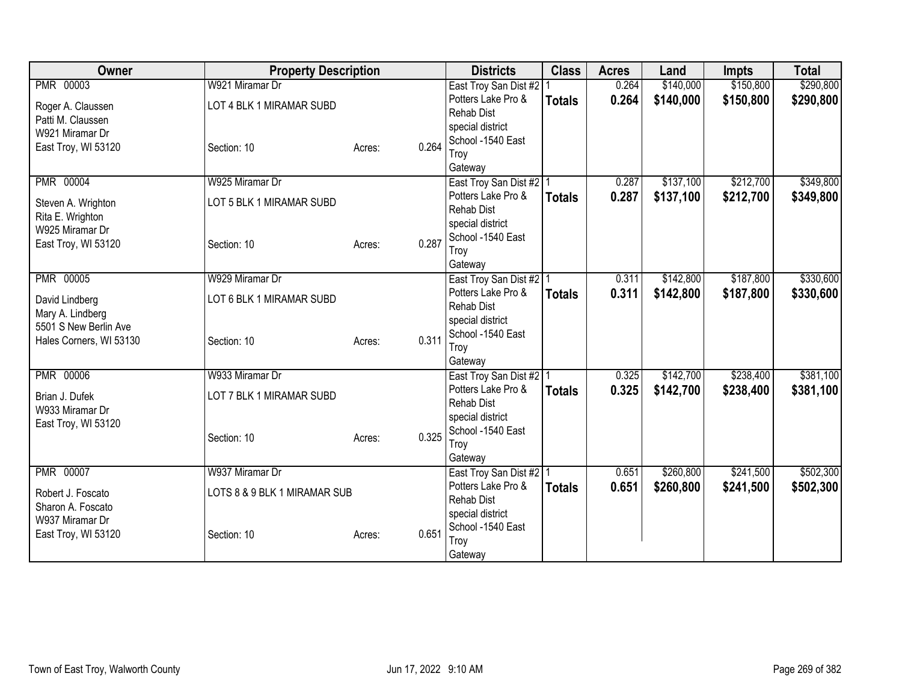| Owner                                  | <b>Property Description</b>                 |                 | <b>Districts</b>                            | <b>Class</b>  | <b>Acres</b>   | Land                   | <b>Impts</b>           | <b>Total</b>           |
|----------------------------------------|---------------------------------------------|-----------------|---------------------------------------------|---------------|----------------|------------------------|------------------------|------------------------|
| <b>PMR 00003</b>                       | W921 Miramar Dr<br>LOT 4 BLK 1 MIRAMAR SUBD |                 | East Troy San Dist #2<br>Potters Lake Pro & | <b>Totals</b> | 0.264<br>0.264 | \$140,000<br>\$140,000 | \$150,800<br>\$150,800 | \$290,800<br>\$290,800 |
| Roger A. Claussen<br>Patti M. Claussen |                                             |                 | <b>Rehab Dist</b>                           |               |                |                        |                        |                        |
| W921 Miramar Dr                        |                                             |                 | special district                            |               |                |                        |                        |                        |
| East Troy, WI 53120                    | Section: 10                                 | Acres:          | School -1540 East<br>0.264                  |               |                |                        |                        |                        |
|                                        |                                             |                 | Troy<br>Gateway                             |               |                |                        |                        |                        |
| <b>PMR 00004</b>                       | W925 Miramar Dr                             |                 | East Troy San Dist #2   1                   |               | 0.287          | \$137,100              | \$212,700              | \$349,800              |
| Steven A. Wrighton                     | LOT 5 BLK 1 MIRAMAR SUBD                    |                 | Potters Lake Pro &                          | <b>Totals</b> | 0.287          | \$137,100              | \$212,700              | \$349,800              |
| Rita E. Wrighton                       |                                             |                 | <b>Rehab Dist</b><br>special district       |               |                |                        |                        |                        |
| W925 Miramar Dr                        |                                             |                 | School -1540 East                           |               |                |                        |                        |                        |
| East Troy, WI 53120                    | Section: 10                                 | Acres:          | 0.287<br>Troy                               |               |                |                        |                        |                        |
|                                        |                                             |                 | Gateway                                     |               |                |                        |                        |                        |
| <b>PMR 00005</b>                       | W929 Miramar Dr                             |                 | East Troy San Dist #2   1                   |               | 0.311          | \$142,800              | \$187,800              | \$330,600              |
| David Lindberg                         | LOT 6 BLK 1 MIRAMAR SUBD                    |                 | Potters Lake Pro &                          | <b>Totals</b> | 0.311          | \$142,800              | \$187,800              | \$330,600              |
| Mary A. Lindberg                       |                                             |                 | <b>Rehab Dist</b><br>special district       |               |                |                        |                        |                        |
| 5501 S New Berlin Ave                  |                                             |                 | School -1540 East                           |               |                |                        |                        |                        |
| Hales Corners, WI 53130                | Section: 10                                 | 0.311<br>Acres: | Troy                                        |               |                |                        |                        |                        |
|                                        |                                             |                 | Gateway                                     |               |                |                        |                        |                        |
| <b>PMR 00006</b>                       | W933 Miramar Dr                             |                 | East Troy San Dist #2 1                     |               | 0.325          | \$142,700              | \$238,400              | \$381,100              |
| Brian J. Dufek                         | LOT 7 BLK 1 MIRAMAR SUBD                    |                 | Potters Lake Pro &                          | <b>Totals</b> | 0.325          | \$142,700              | \$238,400              | \$381,100              |
| W933 Miramar Dr                        |                                             |                 | <b>Rehab Dist</b><br>special district       |               |                |                        |                        |                        |
| East Troy, WI 53120                    |                                             |                 | School -1540 East                           |               |                |                        |                        |                        |
|                                        | Section: 10                                 | Acres:          | 0.325<br>Troy                               |               |                |                        |                        |                        |
|                                        |                                             |                 | Gateway                                     |               |                |                        |                        |                        |
| <b>PMR 00007</b>                       | W937 Miramar Dr                             |                 | East Troy San Dist #2   1                   |               | 0.651          | \$260,800              | \$241,500              | \$502,300              |
| Robert J. Foscato                      | LOTS 8 & 9 BLK 1 MIRAMAR SUB                |                 | Potters Lake Pro &                          | <b>Totals</b> | 0.651          | \$260,800              | \$241,500              | \$502,300              |
| Sharon A. Foscato                      |                                             |                 | <b>Rehab Dist</b><br>special district       |               |                |                        |                        |                        |
| W937 Miramar Dr                        |                                             |                 | School -1540 East                           |               |                |                        |                        |                        |
| East Troy, WI 53120                    | Section: 10                                 | 0.651<br>Acres: | Troy                                        |               |                |                        |                        |                        |
|                                        |                                             |                 | Gateway                                     |               |                |                        |                        |                        |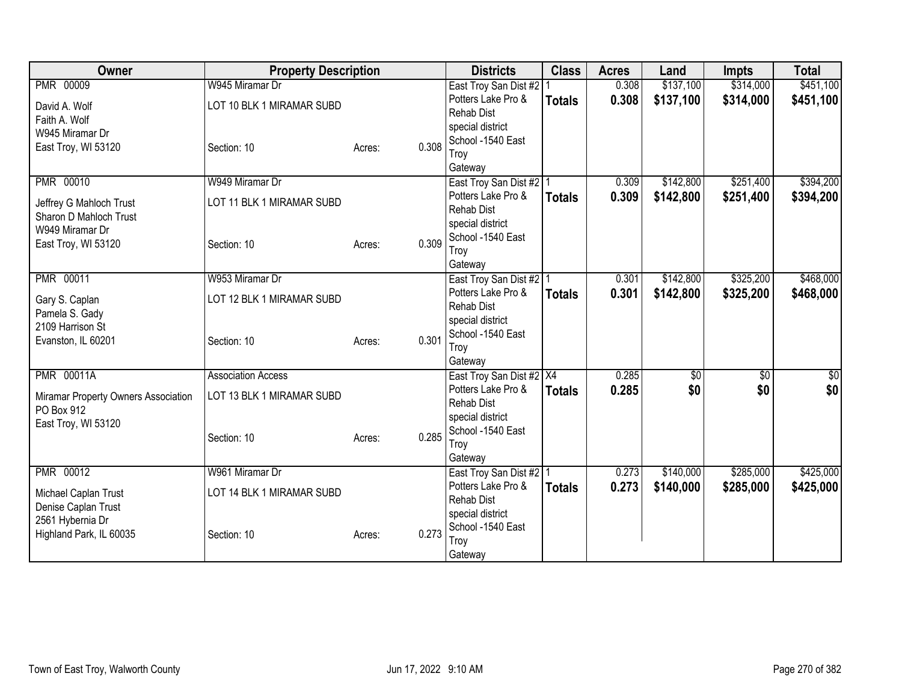| Owner                                                                                                          | <b>Property Description</b>                                           |                 | <b>Districts</b>                                                                                                                 | <b>Class</b>  | <b>Acres</b>   | Land                   | <b>Impts</b>           | <b>Total</b>           |
|----------------------------------------------------------------------------------------------------------------|-----------------------------------------------------------------------|-----------------|----------------------------------------------------------------------------------------------------------------------------------|---------------|----------------|------------------------|------------------------|------------------------|
| <b>PMR 00009</b><br>David A. Wolf                                                                              | W945 Miramar Dr<br>LOT 10 BLK 1 MIRAMAR SUBD                          |                 | East Troy San Dist #2<br>Potters Lake Pro &<br><b>Rehab Dist</b>                                                                 | <b>Totals</b> | 0.308<br>0.308 | \$137,100<br>\$137,100 | \$314,000<br>\$314,000 | \$451,100<br>\$451,100 |
| Faith A. Wolf<br>W945 Miramar Dr<br>East Troy, WI 53120                                                        | Section: 10                                                           | 0.308<br>Acres: | special district<br>School -1540 East<br>Troy<br>Gateway                                                                         |               |                |                        |                        |                        |
| PMR 00010<br>Jeffrey G Mahloch Trust<br>Sharon D Mahloch Trust<br>W949 Miramar Dr<br>East Troy, WI 53120       | W949 Miramar Dr<br>LOT 11 BLK 1 MIRAMAR SUBD<br>Section: 10           | 0.309<br>Acres: | East Troy San Dist #2   1<br>Potters Lake Pro &<br><b>Rehab Dist</b><br>special district<br>School -1540 East<br>Troy<br>Gateway | <b>Totals</b> | 0.309<br>0.309 | \$142,800<br>\$142,800 | \$251,400<br>\$251,400 | \$394,200<br>\$394,200 |
| <b>PMR 00011</b><br>Gary S. Caplan<br>Pamela S. Gady<br>2109 Harrison St<br>Evanston, IL 60201                 | W953 Miramar Dr<br>LOT 12 BLK 1 MIRAMAR SUBD<br>Section: 10           | 0.301<br>Acres: | East Troy San Dist #2   1<br>Potters Lake Pro &<br><b>Rehab Dist</b><br>special district<br>School -1540 East<br>Troy<br>Gateway | <b>Totals</b> | 0.301<br>0.301 | \$142,800<br>\$142,800 | \$325,200<br>\$325,200 | \$468,000<br>\$468,000 |
| <b>PMR 00011A</b><br>Miramar Property Owners Association<br>PO Box 912<br>East Troy, WI 53120                  | <b>Association Access</b><br>LOT 13 BLK 1 MIRAMAR SUBD<br>Section: 10 | 0.285<br>Acres: | East Troy San Dist #2 X4<br>Potters Lake Pro &<br><b>Rehab Dist</b><br>special district<br>School -1540 East<br>Troy<br>Gateway  | <b>Totals</b> | 0.285<br>0.285 | \$0<br>\$0             | $\overline{50}$<br>\$0 | \$0<br>\$0             |
| <b>PMR 00012</b><br>Michael Caplan Trust<br>Denise Caplan Trust<br>2561 Hybernia Dr<br>Highland Park, IL 60035 | W961 Miramar Dr<br>LOT 14 BLK 1 MIRAMAR SUBD<br>Section: 10           | 0.273<br>Acres: | East Troy San Dist #2   1<br>Potters Lake Pro &<br><b>Rehab Dist</b><br>special district<br>School -1540 East<br>Troy<br>Gateway | <b>Totals</b> | 0.273<br>0.273 | \$140,000<br>\$140,000 | \$285,000<br>\$285,000 | \$425,000<br>\$425,000 |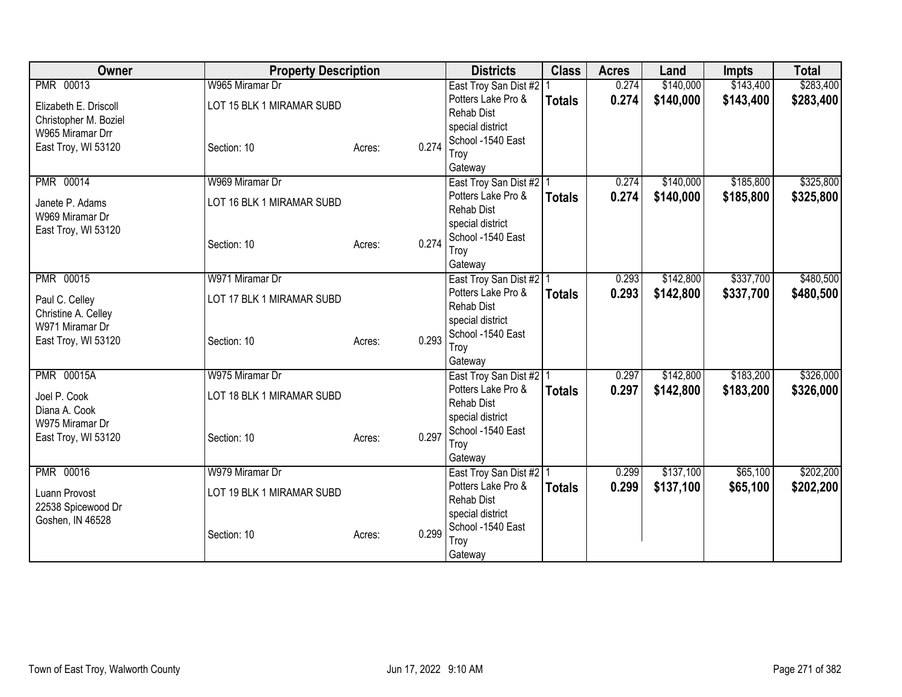| Owner                              | <b>Property Description</b> |                 | <b>Districts</b>                                | <b>Class</b>  | <b>Acres</b> | Land      | <b>Impts</b> | <b>Total</b> |
|------------------------------------|-----------------------------|-----------------|-------------------------------------------------|---------------|--------------|-----------|--------------|--------------|
| PMR 00013                          | W965 Miramar Dr             |                 | East Troy San Dist #2                           |               | 0.274        | \$140,000 | \$143,400    | \$283,400    |
| Elizabeth E. Driscoll              | LOT 15 BLK 1 MIRAMAR SUBD   |                 | Potters Lake Pro &                              | <b>Totals</b> | 0.274        | \$140,000 | \$143,400    | \$283,400    |
| Christopher M. Boziel              |                             |                 | <b>Rehab Dist</b>                               |               |              |           |              |              |
| W965 Miramar Drr                   |                             |                 | special district<br>School -1540 East           |               |              |           |              |              |
| East Troy, WI 53120                | Section: 10                 | 0.274<br>Acres: | Troy                                            |               |              |           |              |              |
|                                    |                             |                 | Gateway                                         |               |              |           |              |              |
| PMR 00014                          | W969 Miramar Dr             |                 | East Troy San Dist #2   1                       |               | 0.274        | \$140,000 | \$185,800    | \$325,800    |
|                                    | LOT 16 BLK 1 MIRAMAR SUBD   |                 | Potters Lake Pro &                              | <b>Totals</b> | 0.274        | \$140,000 | \$185,800    | \$325,800    |
| Janete P. Adams<br>W969 Miramar Dr |                             |                 | <b>Rehab Dist</b>                               |               |              |           |              |              |
| East Troy, WI 53120                |                             |                 | special district                                |               |              |           |              |              |
|                                    | Section: 10                 | 0.274<br>Acres: | School -1540 East                               |               |              |           |              |              |
|                                    |                             |                 | Troy                                            |               |              |           |              |              |
|                                    | W971 Miramar Dr             |                 | Gateway                                         |               |              |           |              |              |
| <b>PMR 00015</b>                   |                             |                 | East Troy San Dist #2   1<br>Potters Lake Pro & |               | 0.293        | \$142,800 | \$337,700    | \$480,500    |
| Paul C. Celley                     | LOT 17 BLK 1 MIRAMAR SUBD   |                 | <b>Rehab Dist</b>                               | <b>Totals</b> | 0.293        | \$142,800 | \$337,700    | \$480,500    |
| Christine A. Celley                |                             |                 | special district                                |               |              |           |              |              |
| W971 Miramar Dr                    |                             |                 | School -1540 East                               |               |              |           |              |              |
| East Troy, WI 53120                | Section: 10                 | 0.293<br>Acres: | Troy                                            |               |              |           |              |              |
|                                    |                             |                 | Gateway                                         |               |              |           |              |              |
| <b>PMR 00015A</b>                  | W975 Miramar Dr             |                 | East Troy San Dist #2   1                       |               | 0.297        | \$142,800 | \$183,200    | \$326,000    |
| Joel P. Cook                       | LOT 18 BLK 1 MIRAMAR SUBD   |                 | Potters Lake Pro &                              | <b>Totals</b> | 0.297        | \$142,800 | \$183,200    | \$326,000    |
| Diana A. Cook                      |                             |                 | <b>Rehab Dist</b>                               |               |              |           |              |              |
| W975 Miramar Dr                    |                             |                 | special district<br>School -1540 East           |               |              |           |              |              |
| East Troy, WI 53120                | Section: 10                 | 0.297<br>Acres: | Troy                                            |               |              |           |              |              |
|                                    |                             |                 | Gateway                                         |               |              |           |              |              |
| PMR 00016                          | W979 Miramar Dr             |                 | East Troy San Dist #2   1                       |               | 0.299        | \$137,100 | \$65,100     | \$202,200    |
| Luann Provost                      | LOT 19 BLK 1 MIRAMAR SUBD   |                 | Potters Lake Pro &                              | <b>Totals</b> | 0.299        | \$137,100 | \$65,100     | \$202,200    |
| 22538 Spicewood Dr                 |                             |                 | <b>Rehab Dist</b>                               |               |              |           |              |              |
| Goshen, IN 46528                   |                             |                 | special district                                |               |              |           |              |              |
|                                    | Section: 10                 | 0.299<br>Acres: | School -1540 East                               |               |              |           |              |              |
|                                    |                             |                 | Troy                                            |               |              |           |              |              |
|                                    |                             |                 | Gateway                                         |               |              |           |              |              |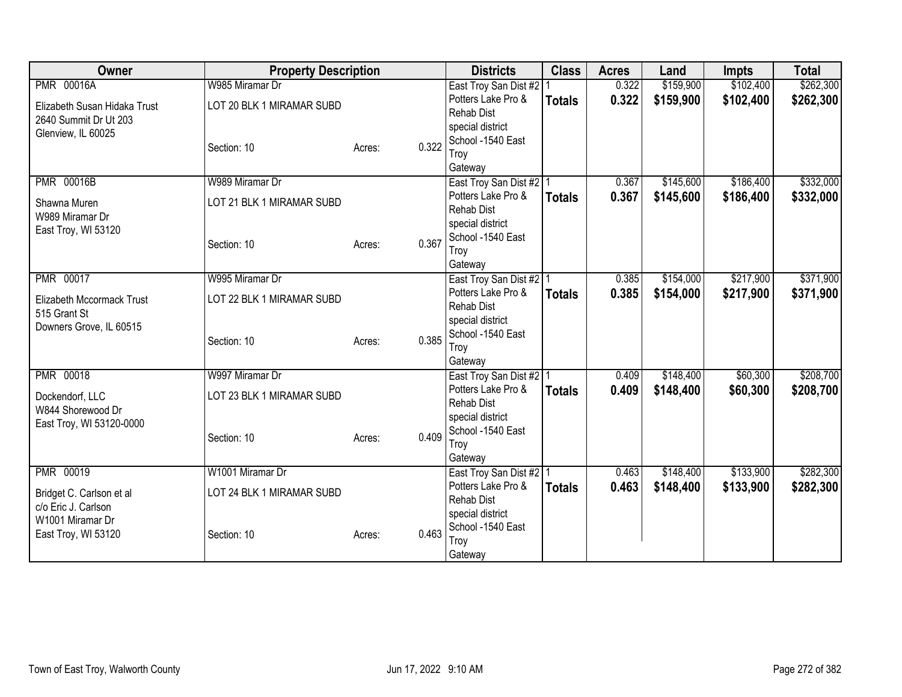| Owner                                                                       | <b>Property Description</b>                  |                 | <b>Districts</b>                                                                         | <b>Class</b>  | <b>Acres</b>   | Land                   | <b>Impts</b>           | <b>Total</b>           |
|-----------------------------------------------------------------------------|----------------------------------------------|-----------------|------------------------------------------------------------------------------------------|---------------|----------------|------------------------|------------------------|------------------------|
| <b>PMR 00016A</b><br>Elizabeth Susan Hidaka Trust<br>2640 Summit Dr Ut 203  | W985 Miramar Dr<br>LOT 20 BLK 1 MIRAMAR SUBD |                 | East Troy San Dist #2<br>Potters Lake Pro &<br><b>Rehab Dist</b><br>special district     | <b>Totals</b> | 0.322<br>0.322 | \$159,900<br>\$159,900 | \$102,400<br>\$102,400 | \$262,300<br>\$262,300 |
| Glenview, IL 60025                                                          | Section: 10                                  | 0.322<br>Acres: | School -1540 East<br>Troy<br>Gateway                                                     |               |                |                        |                        |                        |
| <b>PMR 00016B</b><br>Shawna Muren<br>W989 Miramar Dr<br>East Troy, WI 53120 | W989 Miramar Dr<br>LOT 21 BLK 1 MIRAMAR SUBD |                 | East Troy San Dist #2   1<br>Potters Lake Pro &<br><b>Rehab Dist</b><br>special district | <b>Totals</b> | 0.367<br>0.367 | \$145,600<br>\$145,600 | \$186,400<br>\$186,400 | \$332,000<br>\$332,000 |
|                                                                             | Section: 10                                  | 0.367<br>Acres: | School -1540 East<br>Troy<br>Gateway                                                     |               |                |                        |                        |                        |
| <b>PMR 00017</b><br>Elizabeth Mccormack Trust<br>515 Grant St               | W995 Miramar Dr<br>LOT 22 BLK 1 MIRAMAR SUBD |                 | East Troy San Dist #2   1<br>Potters Lake Pro &<br><b>Rehab Dist</b><br>special district | <b>Totals</b> | 0.385<br>0.385 | \$154,000<br>\$154,000 | \$217,900<br>\$217,900 | \$371,900<br>\$371,900 |
| Downers Grove, IL 60515                                                     | Section: 10                                  | 0.385<br>Acres: | School -1540 East<br>Troy<br>Gateway                                                     |               |                |                        |                        |                        |
| <b>PMR 00018</b>                                                            | W997 Miramar Dr                              |                 | East Troy San Dist #2 1<br>Potters Lake Pro &                                            |               | 0.409<br>0.409 | \$148,400<br>\$148,400 | \$60,300<br>\$60,300   | \$208,700<br>\$208,700 |
| Dockendorf, LLC<br>W844 Shorewood Dr<br>East Troy, WI 53120-0000            | LOT 23 BLK 1 MIRAMAR SUBD                    |                 | <b>Rehab Dist</b><br>special district<br>School -1540 East                               | <b>Totals</b> |                |                        |                        |                        |
|                                                                             | Section: 10                                  | 0.409<br>Acres: | Troy<br>Gateway                                                                          |               |                |                        |                        |                        |
| PMR 00019                                                                   | W1001 Miramar Dr                             |                 | East Troy San Dist #2   1<br>Potters Lake Pro &                                          |               | 0.463<br>0.463 | \$148,400<br>\$148,400 | \$133,900<br>\$133,900 | \$282,300<br>\$282,300 |
| Bridget C. Carlson et al<br>c/o Eric J. Carlson<br>W1001 Miramar Dr         | LOT 24 BLK 1 MIRAMAR SUBD                    |                 | <b>Rehab Dist</b><br>special district                                                    | <b>Totals</b> |                |                        |                        |                        |
| East Troy, WI 53120                                                         | Section: 10                                  | 0.463<br>Acres: | School -1540 East<br>Troy<br>Gateway                                                     |               |                |                        |                        |                        |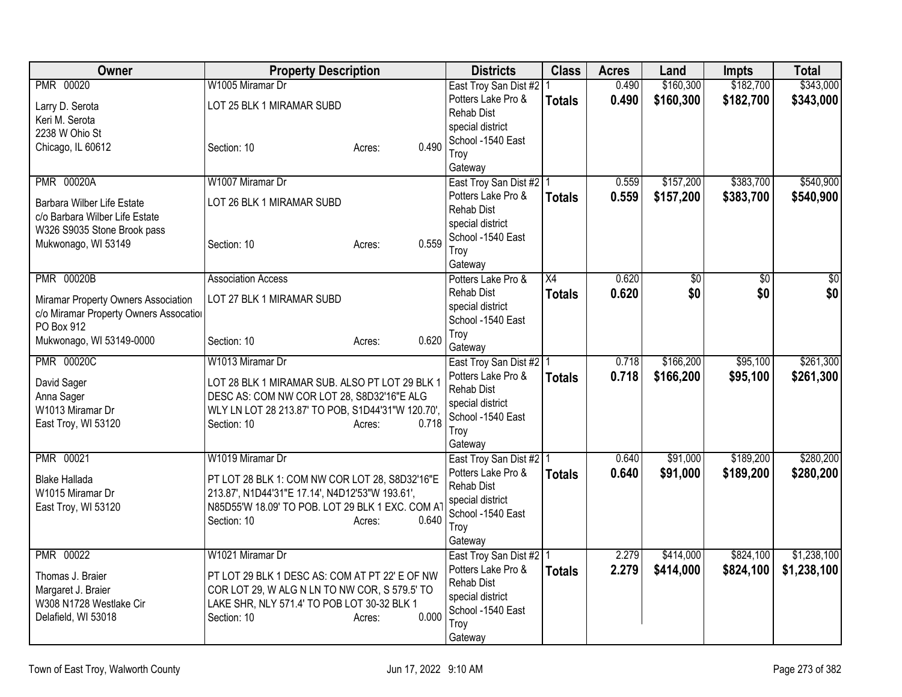| Owner                                  | <b>Property Description</b>                       |                 | <b>Districts</b>                     | <b>Class</b>  | <b>Acres</b> | Land      | <b>Impts</b>    | <b>Total</b>    |
|----------------------------------------|---------------------------------------------------|-----------------|--------------------------------------|---------------|--------------|-----------|-----------------|-----------------|
| PMR 00020                              | W1005 Miramar Dr                                  |                 | East Troy San Dist #2   1            |               | 0.490        | \$160,300 | \$182,700       | \$343,000       |
| Larry D. Serota                        | LOT 25 BLK 1 MIRAMAR SUBD                         |                 | Potters Lake Pro &                   | <b>Totals</b> | 0.490        | \$160,300 | \$182,700       | \$343,000       |
| Keri M. Serota                         |                                                   |                 | <b>Rehab Dist</b>                    |               |              |           |                 |                 |
| 2238 W Ohio St                         |                                                   |                 | special district                     |               |              |           |                 |                 |
| Chicago, IL 60612                      | Section: 10                                       | 0.490<br>Acres: | School -1540 East                    |               |              |           |                 |                 |
|                                        |                                                   |                 | Troy<br>Gateway                      |               |              |           |                 |                 |
| <b>PMR 00020A</b>                      | W1007 Miramar Dr                                  |                 | East Troy San Dist #2   1            |               | 0.559        | \$157,200 | \$383,700       | \$540,900       |
|                                        |                                                   |                 | Potters Lake Pro &                   | <b>Totals</b> | 0.559        | \$157,200 | \$383,700       | \$540,900       |
| Barbara Wilber Life Estate             | LOT 26 BLK 1 MIRAMAR SUBD                         |                 | <b>Rehab Dist</b>                    |               |              |           |                 |                 |
| c/o Barbara Wilber Life Estate         |                                                   |                 | special district                     |               |              |           |                 |                 |
| W326 S9035 Stone Brook pass            | Section: 10                                       | 0.559           | School -1540 East                    |               |              |           |                 |                 |
| Mukwonago, WI 53149                    |                                                   | Acres:          | Troy                                 |               |              |           |                 |                 |
|                                        |                                                   |                 | Gateway                              |               |              |           |                 |                 |
| <b>PMR 00020B</b>                      | <b>Association Access</b>                         |                 | Potters Lake Pro &                   | X4            | 0.620        | \$0       | $\overline{50}$ | $\overline{50}$ |
| Miramar Property Owners Association    | LOT 27 BLK 1 MIRAMAR SUBD                         |                 | Rehab Dist                           | <b>Totals</b> | 0.620        | \$0       | \$0             | \$0             |
| c/o Miramar Property Owners Assocation |                                                   |                 | special district                     |               |              |           |                 |                 |
| PO Box 912                             |                                                   |                 | School -1540 East                    |               |              |           |                 |                 |
| Mukwonago, WI 53149-0000               | Section: 10                                       | 0.620<br>Acres: | Troy                                 |               |              |           |                 |                 |
| <b>PMR 00020C</b>                      | W1013 Miramar Dr                                  |                 | Gateway<br>East Troy San Dist #2   1 |               | 0.718        | \$166,200 | \$95,100        | \$261,300       |
|                                        |                                                   |                 | Potters Lake Pro &                   |               | 0.718        | \$166,200 | \$95,100        | \$261,300       |
| David Sager                            | LOT 28 BLK 1 MIRAMAR SUB. ALSO PT LOT 29 BLK 1    |                 | Rehab Dist                           | <b>Totals</b> |              |           |                 |                 |
| Anna Sager                             | DESC AS: COM NW COR LOT 28, S8D32'16"E ALG        |                 | special district                     |               |              |           |                 |                 |
| W1013 Miramar Dr                       | WLY LN LOT 28 213.87' TO POB, S1D44'31"W 120.70', |                 | School -1540 East                    |               |              |           |                 |                 |
| East Troy, WI 53120                    | Section: 10                                       | 0.718<br>Acres: | Troy                                 |               |              |           |                 |                 |
|                                        |                                                   |                 | Gateway                              |               |              |           |                 |                 |
| <b>PMR 00021</b>                       | W1019 Miramar Dr                                  |                 | East Troy San Dist #2   1            |               | 0.640        | \$91,000  | \$189,200       | \$280,200       |
| <b>Blake Hallada</b>                   | PT LOT 28 BLK 1: COM NW COR LOT 28, S8D32'16"E    |                 | Potters Lake Pro &                   | <b>Totals</b> | 0.640        | \$91,000  | \$189,200       | \$280,200       |
| W1015 Miramar Dr                       | 213.87', N1D44'31"E 17.14', N4D12'53"W 193.61',   |                 | <b>Rehab Dist</b>                    |               |              |           |                 |                 |
| East Troy, WI 53120                    | N85D55'W 18.09' TO POB. LOT 29 BLK 1 EXC. COM A   |                 | special district                     |               |              |           |                 |                 |
|                                        | Section: 10                                       | 0.640<br>Acres: | School -1540 East                    |               |              |           |                 |                 |
|                                        |                                                   |                 | Troy                                 |               |              |           |                 |                 |
|                                        |                                                   |                 | Gateway                              |               |              |           |                 |                 |
| PMR 00022                              | W1021 Miramar Dr                                  |                 | East Troy San Dist #2   1            |               | 2.279        | \$414,000 | \$824,100       | \$1,238,100     |
| Thomas J. Braier                       | PT LOT 29 BLK 1 DESC AS: COM AT PT 22' E OF NW    |                 | Potters Lake Pro &                   | <b>Totals</b> | 2.279        | \$414,000 | \$824,100       | \$1,238,100     |
| Margaret J. Braier                     | COR LOT 29, W ALG N LN TO NW COR, S 579.5' TO     |                 | Rehab Dist<br>special district       |               |              |           |                 |                 |
| W308 N1728 Westlake Cir                | LAKE SHR, NLY 571.4' TO POB LOT 30-32 BLK 1       |                 | School -1540 East                    |               |              |           |                 |                 |
| Delafield, WI 53018                    | Section: 10                                       | 0.000<br>Acres: | Troy                                 |               |              |           |                 |                 |
|                                        |                                                   |                 | Gateway                              |               |              |           |                 |                 |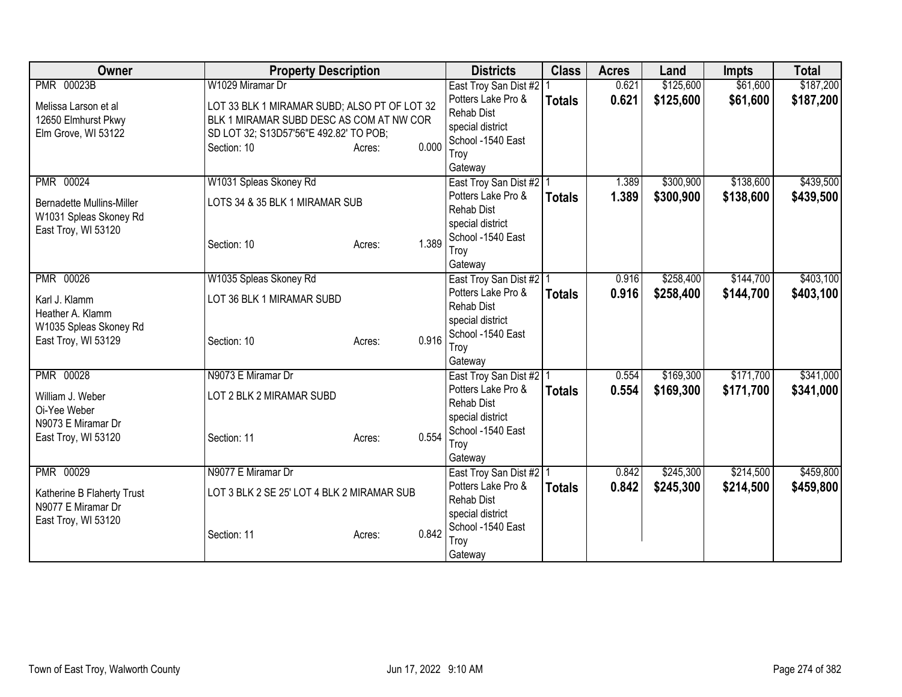| Owner                                                                                           | <b>Property Description</b>                                                                                                                                                              | <b>Districts</b>                                                                                                                 | <b>Class</b>  | <b>Acres</b>   | Land                   | <b>Impts</b>           | <b>Total</b>           |
|-------------------------------------------------------------------------------------------------|------------------------------------------------------------------------------------------------------------------------------------------------------------------------------------------|----------------------------------------------------------------------------------------------------------------------------------|---------------|----------------|------------------------|------------------------|------------------------|
| <b>PMR 00023B</b><br>Melissa Larson et al<br>12650 Elmhurst Pkwy<br>Elm Grove, WI 53122         | W1029 Miramar Dr<br>LOT 33 BLK 1 MIRAMAR SUBD; ALSO PT OF LOT 32<br>BLK 1 MIRAMAR SUBD DESC AS COM AT NW COR<br>SD LOT 32; S13D57'56"E 492.82' TO POB;<br>0.000<br>Section: 10<br>Acres: | East Troy San Dist #2<br>Potters Lake Pro &<br><b>Rehab Dist</b><br>special district<br>School -1540 East<br>Troy<br>Gateway     | <b>Totals</b> | 0.621<br>0.621 | \$125,600<br>\$125,600 | \$61,600<br>\$61,600   | \$187,200<br>\$187,200 |
| PMR 00024<br><b>Bernadette Mullins-Miller</b><br>W1031 Spleas Skoney Rd<br>East Troy, WI 53120  | W1031 Spleas Skoney Rd<br>LOTS 34 & 35 BLK 1 MIRAMAR SUB<br>1.389<br>Section: 10<br>Acres:                                                                                               | East Troy San Dist #2 1<br>Potters Lake Pro &<br><b>Rehab Dist</b><br>special district<br>School -1540 East<br>Troy<br>Gateway   | <b>Totals</b> | 1.389<br>1.389 | \$300,900<br>\$300,900 | \$138,600<br>\$138,600 | \$439,500<br>\$439,500 |
| PMR 00026<br>Karl J. Klamm<br>Heather A. Klamm<br>W1035 Spleas Skoney Rd<br>East Troy, WI 53129 | W1035 Spleas Skoney Rd<br>LOT 36 BLK 1 MIRAMAR SUBD<br>0.916<br>Section: 10<br>Acres:                                                                                                    | East Troy San Dist #2   1<br>Potters Lake Pro &<br><b>Rehab Dist</b><br>special district<br>School -1540 East<br>Troy<br>Gateway | <b>Totals</b> | 0.916<br>0.916 | \$258,400<br>\$258,400 | \$144,700<br>\$144,700 | \$403,100<br>\$403,100 |
| PMR 00028<br>William J. Weber<br>Oi-Yee Weber<br>N9073 E Miramar Dr<br>East Troy, WI 53120      | N9073 E Miramar Dr<br>LOT 2 BLK 2 MIRAMAR SUBD<br>0.554<br>Section: 11<br>Acres:                                                                                                         | East Troy San Dist #2   1<br>Potters Lake Pro &<br><b>Rehab Dist</b><br>special district<br>School -1540 East<br>Troy<br>Gateway | <b>Totals</b> | 0.554<br>0.554 | \$169,300<br>\$169,300 | \$171,700<br>\$171,700 | \$341,000<br>\$341,000 |
| PMR 00029<br>Katherine B Flaherty Trust<br>N9077 E Miramar Dr<br>East Troy, WI 53120            | N9077 E Miramar Dr<br>LOT 3 BLK 2 SE 25' LOT 4 BLK 2 MIRAMAR SUB<br>0.842<br>Section: 11<br>Acres:                                                                                       | East Troy San Dist #2   1<br>Potters Lake Pro &<br><b>Rehab Dist</b><br>special district<br>School -1540 East<br>Troy<br>Gateway | <b>Totals</b> | 0.842<br>0.842 | \$245,300<br>\$245,300 | \$214,500<br>\$214,500 | \$459,800<br>\$459,800 |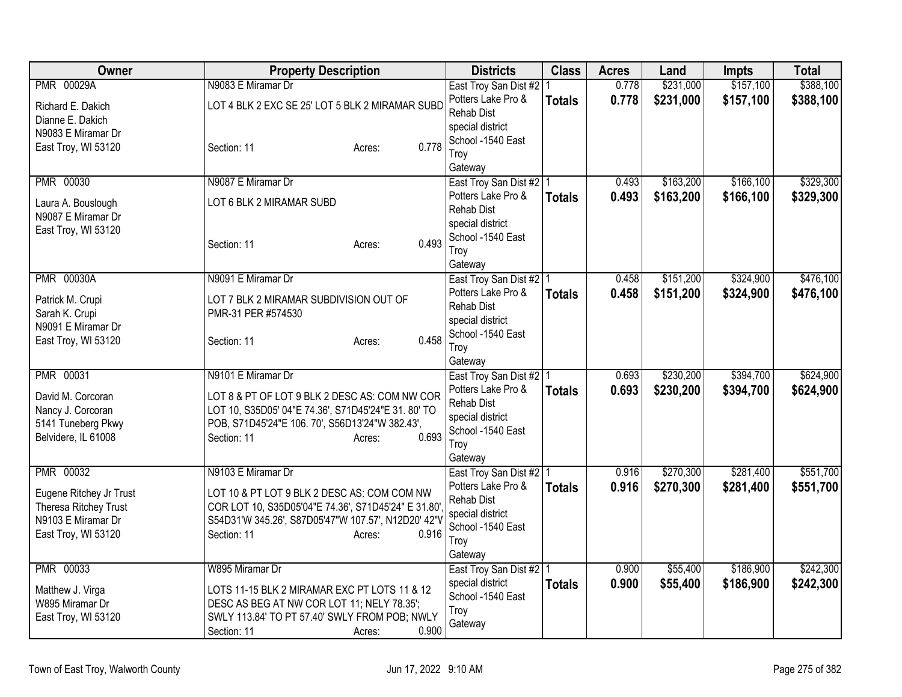| <b>Owner</b>                                                                                  | <b>Property Description</b>                                                                                                                                              |                 | <b>Districts</b>                                                                                    | <b>Class</b>  | <b>Acres</b> | Land      | <b>Impts</b> | <b>Total</b> |
|-----------------------------------------------------------------------------------------------|--------------------------------------------------------------------------------------------------------------------------------------------------------------------------|-----------------|-----------------------------------------------------------------------------------------------------|---------------|--------------|-----------|--------------|--------------|
| <b>PMR 00029A</b>                                                                             | N9083 E Miramar Dr                                                                                                                                                       |                 | East Troy San Dist #2   1                                                                           |               | 0.778        | \$231,000 | \$157,100    | \$388,100    |
| Richard E. Dakich<br>Dianne E. Dakich<br>N9083 E Miramar Dr<br>East Troy, WI 53120            | LOT 4 BLK 2 EXC SE 25' LOT 5 BLK 2 MIRAMAR SUBD<br>Section: 11                                                                                                           | 0.778<br>Acres: | Potters Lake Pro &<br><b>Rehab Dist</b><br>special district<br>School -1540 East<br>Troy<br>Gateway | <b>Totals</b> | 0.778        | \$231,000 | \$157,100    | \$388,100    |
| <b>PMR 00030</b>                                                                              | N9087 E Miramar Dr                                                                                                                                                       |                 | East Troy San Dist #2   1                                                                           |               | 0.493        | \$163,200 | \$166,100    | \$329,300    |
| Laura A. Bouslough<br>N9087 E Miramar Dr<br>East Troy, WI 53120                               | LOT 6 BLK 2 MIRAMAR SUBD<br>Section: 11                                                                                                                                  | 0.493<br>Acres: | Potters Lake Pro &<br>Rehab Dist<br>special district<br>School -1540 East<br>Troy<br>Gateway        | <b>Totals</b> | 0.493        | \$163,200 | \$166,100    | \$329,300    |
| <b>PMR 00030A</b>                                                                             | N9091 E Miramar Dr                                                                                                                                                       |                 | East Troy San Dist #2 1                                                                             |               | 0.458        | \$151,200 | \$324,900    | \$476,100    |
| Patrick M. Crupi<br>Sarah K. Crupi<br>N9091 E Miramar Dr<br>East Troy, WI 53120               | LOT 7 BLK 2 MIRAMAR SUBDIVISION OUT OF<br>PMR-31 PER #574530<br>Section: 11                                                                                              | 0.458<br>Acres: | Potters Lake Pro &<br><b>Rehab Dist</b><br>special district<br>School -1540 East<br>Troy<br>Gateway | <b>Totals</b> | 0.458        | \$151,200 | \$324,900    | \$476,100    |
| PMR 00031                                                                                     | N9101 E Miramar Dr                                                                                                                                                       |                 | East Troy San Dist #2   1                                                                           |               | 0.693        | \$230,200 | \$394,700    | \$624,900    |
| David M. Corcoran<br>Nancy J. Corcoran<br>5141 Tuneberg Pkwy<br>Belvidere, IL 61008           | LOT 8 & PT OF LOT 9 BLK 2 DESC AS: COM NW COR<br>LOT 10, S35D05' 04"E 74.36', S71D45'24"E 31. 80' TO<br>POB, S71D45'24"E 106. 70', S56D13'24"W 382.43',<br>Section: 11   | 0.693<br>Acres: | Potters Lake Pro &<br><b>Rehab Dist</b><br>special district<br>School -1540 East<br>Troy<br>Gateway | <b>Totals</b> | 0.693        | \$230,200 | \$394,700    | \$624,900    |
| <b>PMR 00032</b>                                                                              | N9103 E Miramar Dr                                                                                                                                                       |                 | East Troy San Dist #2   1                                                                           |               | 0.916        | \$270,300 | \$281,400    | \$551,700    |
| Eugene Ritchey Jr Trust<br>Theresa Ritchey Trust<br>N9103 E Miramar Dr<br>East Troy, WI 53120 | LOT 10 & PT LOT 9 BLK 2 DESC AS: COM COM NW<br>COR LOT 10, S35D05'04"E 74.36', S71D45'24" E 31.80'<br>S54D31'W 345.26', S87D05'47"W 107.57', N12D20' 42"V<br>Section: 11 | 0.916<br>Acres: | Potters Lake Pro &<br><b>Rehab Dist</b><br>special district<br>School -1540 East<br>Troy<br>Gateway | <b>Totals</b> | 0.916        | \$270,300 | \$281,400    | \$551,700    |
| PMR 00033                                                                                     | W895 Miramar Dr                                                                                                                                                          |                 | East Troy San Dist #2   1                                                                           |               | 0.900        | \$55,400  | \$186,900    | \$242,300    |
| Matthew J. Virga<br>W895 Miramar Dr<br>East Troy, WI 53120                                    | LOTS 11-15 BLK 2 MIRAMAR EXC PT LOTS 11 & 12<br>DESC AS BEG AT NW COR LOT 11; NELY 78.35';<br>SWLY 113.84' TO PT 57.40' SWLY FROM POB; NWLY<br>Section: 11               | 0.900<br>Acres: | special district<br>School -1540 East<br>Troy<br>Gateway                                            | <b>Totals</b> | 0.900        | \$55,400  | \$186,900    | \$242,300    |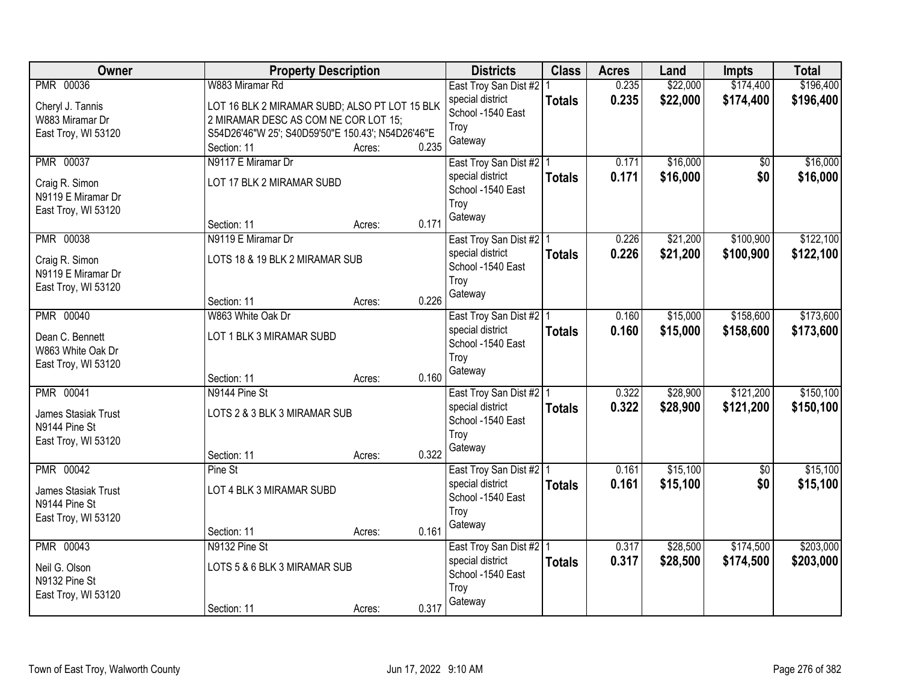| Owner                                | <b>Property Description</b>                       |                 | <b>Districts</b>                              | <b>Class</b>  | <b>Acres</b> | Land     | <b>Impts</b> | <b>Total</b> |
|--------------------------------------|---------------------------------------------------|-----------------|-----------------------------------------------|---------------|--------------|----------|--------------|--------------|
| <b>PMR 00036</b>                     | W883 Miramar Rd                                   |                 | East Troy San Dist #2                         |               | 0.235        | \$22,000 | \$174,400    | \$196,400    |
| Cheryl J. Tannis                     | LOT 16 BLK 2 MIRAMAR SUBD; ALSO PT LOT 15 BLK     |                 | special district<br>School -1540 East         | <b>Totals</b> | 0.235        | \$22,000 | \$174,400    | \$196,400    |
| W883 Miramar Dr                      | 2 MIRAMAR DESC AS COM NE COR LOT 15;              |                 | Troy                                          |               |              |          |              |              |
| East Troy, WI 53120                  | S54D26'46"W 25'; S40D59'50"E 150.43'; N54D26'46"E |                 | Gateway                                       |               |              |          |              |              |
|                                      | Section: 11                                       | 0.235<br>Acres: |                                               |               |              |          |              |              |
| <b>PMR 00037</b>                     | N9117 E Miramar Dr                                |                 | East Troy San Dist #2   1                     |               | 0.171        | \$16,000 | \$0          | \$16,000     |
| Craig R. Simon                       | LOT 17 BLK 2 MIRAMAR SUBD                         |                 | special district                              | <b>Totals</b> | 0.171        | \$16,000 | \$0          | \$16,000     |
| N9119 E Miramar Dr                   |                                                   |                 | School -1540 East                             |               |              |          |              |              |
| East Troy, WI 53120                  |                                                   |                 | Troy                                          |               |              |          |              |              |
|                                      | Section: 11                                       | 0.171<br>Acres: | Gateway                                       |               |              |          |              |              |
| <b>PMR 00038</b>                     | N9119 E Miramar Dr                                |                 | East Troy San Dist #2   1                     |               | 0.226        | \$21,200 | \$100,900    | \$122,100    |
| Craig R. Simon                       | LOTS 18 & 19 BLK 2 MIRAMAR SUB                    |                 | special district                              | <b>Totals</b> | 0.226        | \$21,200 | \$100,900    | \$122,100    |
| N9119 E Miramar Dr                   |                                                   |                 | School -1540 East                             |               |              |          |              |              |
| East Troy, WI 53120                  |                                                   |                 | Troy                                          |               |              |          |              |              |
|                                      | Section: 11                                       | 0.226<br>Acres: | Gateway                                       |               |              |          |              |              |
| <b>PMR 00040</b>                     | W863 White Oak Dr                                 |                 | East Troy San Dist #2   1                     |               | 0.160        | \$15,000 | \$158,600    | \$173,600    |
|                                      |                                                   |                 | special district                              | <b>Totals</b> | 0.160        | \$15,000 | \$158,600    | \$173,600    |
| Dean C. Bennett<br>W863 White Oak Dr | LOT 1 BLK 3 MIRAMAR SUBD                          |                 | School -1540 East                             |               |              |          |              |              |
| East Troy, WI 53120                  |                                                   |                 | Troy                                          |               |              |          |              |              |
|                                      | Section: 11                                       | 0.160<br>Acres: | Gateway                                       |               |              |          |              |              |
| <b>PMR 00041</b>                     | N9144 Pine St                                     |                 | East Troy San Dist #2 1                       |               | 0.322        | \$28,900 | \$121,200    | \$150,100    |
|                                      |                                                   |                 | special district                              | <b>Totals</b> | 0.322        | \$28,900 | \$121,200    | \$150,100    |
| James Stasiak Trust                  | LOTS 2 & 3 BLK 3 MIRAMAR SUB                      |                 | School -1540 East                             |               |              |          |              |              |
| N9144 Pine St                        |                                                   |                 | Troy                                          |               |              |          |              |              |
| East Troy, WI 53120                  |                                                   | 0.322           | Gateway                                       |               |              |          |              |              |
| PMR 00042                            | Section: 11<br>Pine St                            | Acres:          |                                               |               | 0.161        | \$15,100 | $\sqrt{6}$   | \$15,100     |
|                                      |                                                   |                 | East Troy San Dist #2   1<br>special district |               | 0.161        | \$15,100 | \$0          |              |
| James Stasiak Trust                  | LOT 4 BLK 3 MIRAMAR SUBD                          |                 | School -1540 East                             | <b>Totals</b> |              |          |              | \$15,100     |
| N9144 Pine St                        |                                                   |                 | Troy                                          |               |              |          |              |              |
| East Troy, WI 53120                  |                                                   |                 | Gateway                                       |               |              |          |              |              |
|                                      | Section: 11                                       | 0.161<br>Acres: |                                               |               |              |          |              |              |
| <b>PMR 00043</b>                     | N9132 Pine St                                     |                 | East Troy San Dist #2   1                     |               | 0.317        | \$28,500 | \$174,500    | \$203,000    |
| Neil G. Olson                        | LOTS 5 & 6 BLK 3 MIRAMAR SUB                      |                 | special district                              | <b>Totals</b> | 0.317        | \$28,500 | \$174,500    | \$203,000    |
| N9132 Pine St                        |                                                   |                 | School -1540 East                             |               |              |          |              |              |
| East Troy, WI 53120                  |                                                   |                 | Troy                                          |               |              |          |              |              |
|                                      | Section: 11                                       | 0.317<br>Acres: | Gateway                                       |               |              |          |              |              |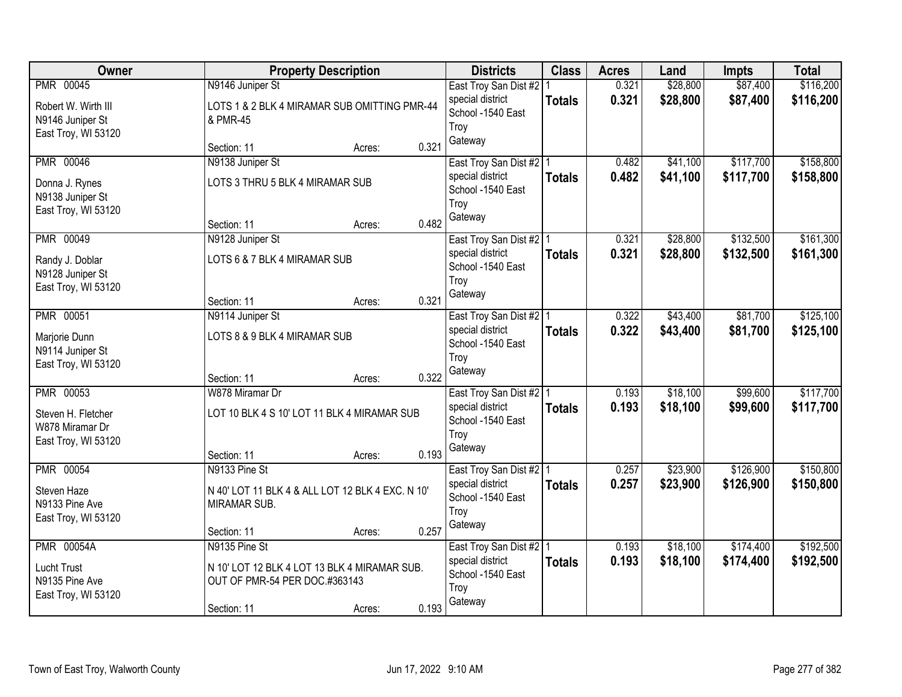| Owner                              | <b>Property Description</b>                                      |                 | <b>Districts</b>                      | <b>Class</b>  | <b>Acres</b> | Land     | <b>Impts</b> | <b>Total</b> |
|------------------------------------|------------------------------------------------------------------|-----------------|---------------------------------------|---------------|--------------|----------|--------------|--------------|
| PMR 00045                          | N9146 Juniper St                                                 |                 | East Troy San Dist #2                 |               | 0.321        | \$28,800 | \$87,400     | \$116,200    |
| Robert W. Wirth III                | LOTS 1 & 2 BLK 4 MIRAMAR SUB OMITTING PMR-44                     |                 | special district<br>School -1540 East | <b>Totals</b> | 0.321        | \$28,800 | \$87,400     | \$116,200    |
| N9146 Juniper St                   | & PMR-45                                                         |                 | Troy                                  |               |              |          |              |              |
| East Troy, WI 53120                | Section: 11                                                      | 0.321<br>Acres: | Gateway                               |               |              |          |              |              |
| <b>PMR 00046</b>                   | N9138 Juniper St                                                 |                 | East Troy San Dist #2   1             |               | 0.482        | \$41,100 | \$117,700    | \$158,800    |
|                                    | LOTS 3 THRU 5 BLK 4 MIRAMAR SUB                                  |                 | special district                      | <b>Totals</b> | 0.482        | \$41,100 | \$117,700    | \$158,800    |
| Donna J. Rynes<br>N9138 Juniper St |                                                                  |                 | School -1540 East                     |               |              |          |              |              |
| East Troy, WI 53120                |                                                                  |                 | Troy                                  |               |              |          |              |              |
|                                    | Section: 11                                                      | 0.482<br>Acres: | Gateway                               |               |              |          |              |              |
| PMR 00049                          | N9128 Juniper St                                                 |                 | East Troy San Dist #2   1             |               | 0.321        | \$28,800 | \$132,500    | \$161,300    |
| Randy J. Doblar                    | LOTS 6 & 7 BLK 4 MIRAMAR SUB                                     |                 | special district<br>School -1540 East | <b>Totals</b> | 0.321        | \$28,800 | \$132,500    | \$161,300    |
| N9128 Juniper St                   |                                                                  |                 | Troy                                  |               |              |          |              |              |
| East Troy, WI 53120                | Section: 11                                                      | 0.321           | Gateway                               |               |              |          |              |              |
| <b>PMR 00051</b>                   | N9114 Juniper St                                                 | Acres:          | East Troy San Dist #2   1             |               | 0.322        | \$43,400 | \$81,700     | \$125,100    |
|                                    |                                                                  |                 | special district                      | <b>Totals</b> | 0.322        | \$43,400 | \$81,700     | \$125,100    |
| Marjorie Dunn<br>N9114 Juniper St  | LOTS 8 & 9 BLK 4 MIRAMAR SUB                                     |                 | School -1540 East                     |               |              |          |              |              |
| East Troy, WI 53120                |                                                                  |                 | Troy                                  |               |              |          |              |              |
|                                    | Section: 11                                                      | 0.322<br>Acres: | Gateway                               |               |              |          |              |              |
| <b>PMR 00053</b>                   | W878 Miramar Dr                                                  |                 | East Troy San Dist #2 1               |               | 0.193        | \$18,100 | \$99,600     | \$117,700    |
| Steven H. Fletcher                 | LOT 10 BLK 4 S 10' LOT 11 BLK 4 MIRAMAR SUB                      |                 | special district                      | <b>Totals</b> | 0.193        | \$18,100 | \$99,600     | \$117,700    |
| W878 Miramar Dr                    |                                                                  |                 | School -1540 East<br>Troy             |               |              |          |              |              |
| East Troy, WI 53120                |                                                                  |                 | Gateway                               |               |              |          |              |              |
| <b>PMR 00054</b>                   | Section: 11<br>N9133 Pine St                                     | 0.193<br>Acres: | East Troy San Dist #2 1               |               | 0.257        | \$23,900 | \$126,900    | \$150,800    |
|                                    |                                                                  |                 | special district                      | <b>Totals</b> | 0.257        | \$23,900 | \$126,900    | \$150,800    |
| Steven Haze<br>N9133 Pine Ave      | N 40' LOT 11 BLK 4 & ALL LOT 12 BLK 4 EXC. N 10'<br>MIRAMAR SUB. |                 | School -1540 East                     |               |              |          |              |              |
| East Troy, WI 53120                |                                                                  |                 | Troy                                  |               |              |          |              |              |
|                                    | Section: 11                                                      | 0.257<br>Acres: | Gateway                               |               |              |          |              |              |
| <b>PMR 00054A</b>                  | N9135 Pine St                                                    |                 | East Troy San Dist #2   1             |               | 0.193        | \$18,100 | \$174,400    | \$192,500    |
| <b>Lucht Trust</b>                 | N 10' LOT 12 BLK 4 LOT 13 BLK 4 MIRAMAR SUB.                     |                 | special district                      | <b>Totals</b> | 0.193        | \$18,100 | \$174,400    | \$192,500    |
| N9135 Pine Ave                     | OUT OF PMR-54 PER DOC.#363143                                    |                 | School -1540 East<br>Troy             |               |              |          |              |              |
| East Troy, WI 53120                |                                                                  |                 | Gateway                               |               |              |          |              |              |
|                                    | Section: 11                                                      | 0.193<br>Acres: |                                       |               |              |          |              |              |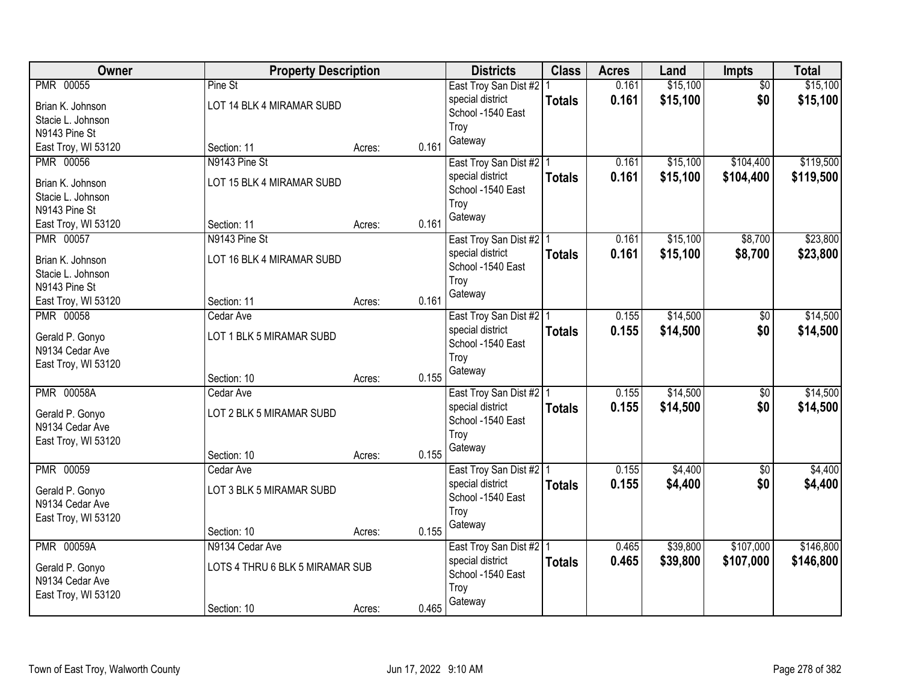| Owner                              | <b>Property Description</b>     |        |       | <b>Districts</b>                              | <b>Class</b>  | <b>Acres</b> | Land     | Impts           | <b>Total</b> |
|------------------------------------|---------------------------------|--------|-------|-----------------------------------------------|---------------|--------------|----------|-----------------|--------------|
| <b>PMR 00055</b>                   | Pine St                         |        |       | East Troy San Dist #2   1                     |               | 0.161        | \$15,100 | $\overline{50}$ | \$15,100     |
| Brian K. Johnson                   | LOT 14 BLK 4 MIRAMAR SUBD       |        |       | special district                              | <b>Totals</b> | 0.161        | \$15,100 | \$0             | \$15,100     |
| Stacie L. Johnson                  |                                 |        |       | School -1540 East                             |               |              |          |                 |              |
| N9143 Pine St                      |                                 |        |       | Troy                                          |               |              |          |                 |              |
| East Troy, WI 53120                | Section: 11                     | Acres: | 0.161 | Gateway                                       |               |              |          |                 |              |
| <b>PMR 00056</b>                   | N9143 Pine St                   |        |       | East Troy San Dist #2   1                     |               | 0.161        | \$15,100 | \$104,400       | \$119,500    |
| Brian K. Johnson                   | LOT 15 BLK 4 MIRAMAR SUBD       |        |       | special district                              | <b>Totals</b> | 0.161        | \$15,100 | \$104,400       | \$119,500    |
| Stacie L. Johnson                  |                                 |        |       | School -1540 East                             |               |              |          |                 |              |
| N9143 Pine St                      |                                 |        |       | Troy                                          |               |              |          |                 |              |
| East Troy, WI 53120                | Section: 11                     | Acres: | 0.161 | Gateway                                       |               |              |          |                 |              |
| PMR 00057                          | N9143 Pine St                   |        |       | East Troy San Dist #2   1                     |               | 0.161        | \$15,100 | \$8,700         | \$23,800     |
| Brian K. Johnson                   | LOT 16 BLK 4 MIRAMAR SUBD       |        |       | special district                              | <b>Totals</b> | 0.161        | \$15,100 | \$8,700         | \$23,800     |
| Stacie L. Johnson                  |                                 |        |       | School -1540 East                             |               |              |          |                 |              |
| N9143 Pine St                      |                                 |        |       | Troy                                          |               |              |          |                 |              |
| East Troy, WI 53120                | Section: 11                     | Acres: | 0.161 | Gateway                                       |               |              |          |                 |              |
| <b>PMR 00058</b>                   | Cedar Ave                       |        |       | East Troy San Dist #2   1                     |               | 0.155        | \$14,500 | \$0             | \$14,500     |
|                                    |                                 |        |       | special district                              | <b>Totals</b> | 0.155        | \$14,500 | \$0             | \$14,500     |
| Gerald P. Gonyo<br>N9134 Cedar Ave | LOT 1 BLK 5 MIRAMAR SUBD        |        |       | School -1540 East                             |               |              |          |                 |              |
| East Troy, WI 53120                |                                 |        |       | Troy                                          |               |              |          |                 |              |
|                                    | Section: 10                     | Acres: | 0.155 | Gateway                                       |               |              |          |                 |              |
| <b>PMR 00058A</b>                  | Cedar Ave                       |        |       | East Troy San Dist #2   1                     |               | 0.155        | \$14,500 | \$0             | \$14,500     |
|                                    |                                 |        |       | special district                              | <b>Totals</b> | 0.155        | \$14,500 | \$0             | \$14,500     |
| Gerald P. Gonyo                    | LOT 2 BLK 5 MIRAMAR SUBD        |        |       | School -1540 East                             |               |              |          |                 |              |
| N9134 Cedar Ave                    |                                 |        |       | Troy                                          |               |              |          |                 |              |
| East Troy, WI 53120                | Section: 10                     | Acres: | 0.155 | Gateway                                       |               |              |          |                 |              |
| <b>PMR 00059</b>                   | Cedar Ave                       |        |       | East Troy San Dist #2 1                       |               | 0.155        | \$4,400  | $\overline{60}$ | \$4,400      |
|                                    |                                 |        |       | special district                              | <b>Totals</b> | 0.155        | \$4,400  | \$0             | \$4,400      |
| Gerald P. Gonyo                    | LOT 3 BLK 5 MIRAMAR SUBD        |        |       | School -1540 East                             |               |              |          |                 |              |
| N9134 Cedar Ave                    |                                 |        |       | Troy                                          |               |              |          |                 |              |
| East Troy, WI 53120                |                                 |        | 0.155 | Gateway                                       |               |              |          |                 |              |
| <b>PMR 00059A</b>                  | Section: 10<br>N9134 Cedar Ave  | Acres: |       |                                               |               | 0.465        | \$39,800 | \$107,000       | \$146,800    |
|                                    |                                 |        |       | East Troy San Dist #2   1<br>special district |               | 0.465        | \$39,800 | \$107,000       | \$146,800    |
| Gerald P. Gonyo                    | LOTS 4 THRU 6 BLK 5 MIRAMAR SUB |        |       | School -1540 East                             | <b>Totals</b> |              |          |                 |              |
| N9134 Cedar Ave                    |                                 |        |       | Troy                                          |               |              |          |                 |              |
| East Troy, WI 53120                |                                 |        |       | Gateway                                       |               |              |          |                 |              |
|                                    | Section: 10                     | Acres: | 0.465 |                                               |               |              |          |                 |              |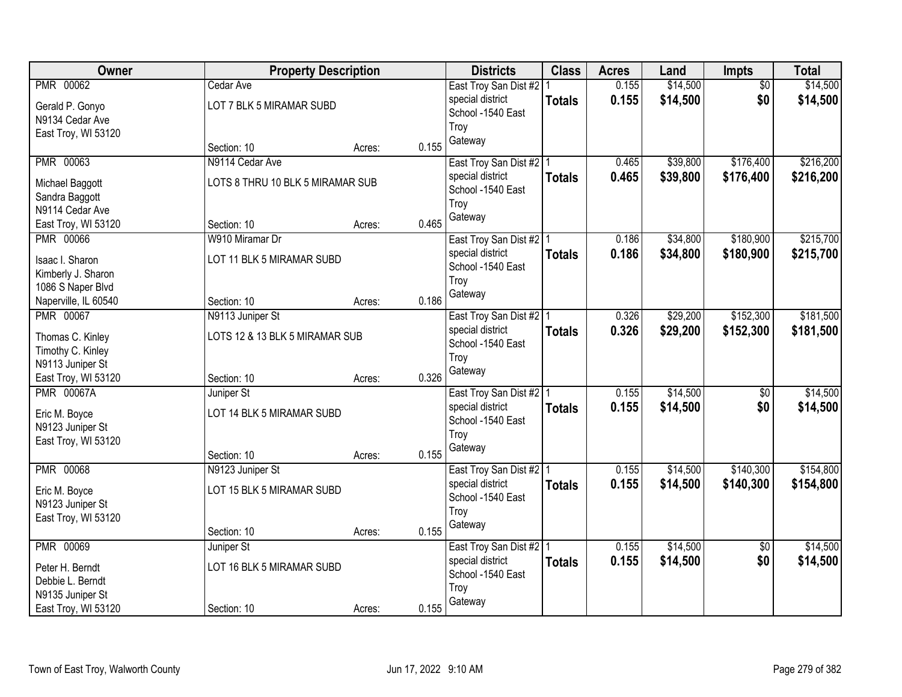| <b>Owner</b>                          | <b>Property Description</b>      |        |       | <b>Districts</b>          | <b>Class</b>  | <b>Acres</b> | Land     | Impts           | <b>Total</b> |
|---------------------------------------|----------------------------------|--------|-------|---------------------------|---------------|--------------|----------|-----------------|--------------|
| PMR 00062                             | Cedar Ave                        |        |       | East Troy San Dist #2   1 |               | 0.155        | \$14,500 | $\overline{50}$ | \$14,500     |
| Gerald P. Gonyo                       | LOT 7 BLK 5 MIRAMAR SUBD         |        |       | special district          | <b>Totals</b> | 0.155        | \$14,500 | \$0             | \$14,500     |
| N9134 Cedar Ave                       |                                  |        |       | School -1540 East         |               |              |          |                 |              |
| East Troy, WI 53120                   |                                  |        |       | Troy                      |               |              |          |                 |              |
|                                       | Section: 10                      | Acres: | 0.155 | Gateway                   |               |              |          |                 |              |
| PMR 00063                             | N9114 Cedar Ave                  |        |       | East Troy San Dist #2   1 |               | 0.465        | \$39,800 | \$176,400       | \$216,200    |
| Michael Baggott                       | LOTS 8 THRU 10 BLK 5 MIRAMAR SUB |        |       | special district          | <b>Totals</b> | 0.465        | \$39,800 | \$176,400       | \$216,200    |
| Sandra Baggott                        |                                  |        |       | School -1540 East         |               |              |          |                 |              |
| N9114 Cedar Ave                       |                                  |        |       | Troy                      |               |              |          |                 |              |
| East Troy, WI 53120                   | Section: 10                      | Acres: | 0.465 | Gateway                   |               |              |          |                 |              |
| <b>PMR 00066</b>                      | W910 Miramar Dr                  |        |       | East Troy San Dist #2   1 |               | 0.186        | \$34,800 | \$180,900       | \$215,700    |
| Isaac I. Sharon                       | LOT 11 BLK 5 MIRAMAR SUBD        |        |       | special district          | <b>Totals</b> | 0.186        | \$34,800 | \$180,900       | \$215,700    |
| Kimberly J. Sharon                    |                                  |        |       | School -1540 East         |               |              |          |                 |              |
| 1086 S Naper Blvd                     |                                  |        |       | Troy                      |               |              |          |                 |              |
| Naperville, IL 60540                  | Section: 10                      | Acres: | 0.186 | Gateway                   |               |              |          |                 |              |
| <b>PMR 00067</b>                      | N9113 Juniper St                 |        |       | East Troy San Dist #2   1 |               | 0.326        | \$29,200 | \$152,300       | \$181,500    |
|                                       |                                  |        |       | special district          | <b>Totals</b> | 0.326        | \$29,200 | \$152,300       | \$181,500    |
| Thomas C. Kinley<br>Timothy C. Kinley | LOTS 12 & 13 BLK 5 MIRAMAR SUB   |        |       | School -1540 East         |               |              |          |                 |              |
| N9113 Juniper St                      |                                  |        |       | Troy                      |               |              |          |                 |              |
| East Troy, WI 53120                   | Section: 10                      | Acres: | 0.326 | Gateway                   |               |              |          |                 |              |
| <b>PMR 00067A</b>                     | Juniper St                       |        |       | East Troy San Dist #2   1 |               | 0.155        | \$14,500 | $\overline{50}$ | \$14,500     |
|                                       |                                  |        |       | special district          | <b>Totals</b> | 0.155        | \$14,500 | \$0             | \$14,500     |
| Eric M. Boyce                         | LOT 14 BLK 5 MIRAMAR SUBD        |        |       | School -1540 East         |               |              |          |                 |              |
| N9123 Juniper St                      |                                  |        |       | Troy                      |               |              |          |                 |              |
| East Troy, WI 53120                   |                                  |        | 0.155 | Gateway                   |               |              |          |                 |              |
| <b>PMR 00068</b>                      | Section: 10<br>N9123 Juniper St  | Acres: |       | East Troy San Dist #2 1   |               | 0.155        | \$14,500 | \$140,300       | \$154,800    |
|                                       |                                  |        |       | special district          | <b>Totals</b> | 0.155        | \$14,500 | \$140,300       | \$154,800    |
| Eric M. Boyce                         | LOT 15 BLK 5 MIRAMAR SUBD        |        |       | School -1540 East         |               |              |          |                 |              |
| N9123 Juniper St                      |                                  |        |       | Troy                      |               |              |          |                 |              |
| East Troy, WI 53120                   |                                  |        |       | Gateway                   |               |              |          |                 |              |
|                                       | Section: 10                      | Acres: | 0.155 |                           |               |              |          |                 |              |
| PMR 00069                             | Juniper St                       |        |       | East Troy San Dist #2   1 |               | 0.155        | \$14,500 | $\sqrt{6}$      | \$14,500     |
| Peter H. Berndt                       | LOT 16 BLK 5 MIRAMAR SUBD        |        |       | special district          | <b>Totals</b> | 0.155        | \$14,500 | \$0             | \$14,500     |
| Debbie L. Berndt                      |                                  |        |       | School -1540 East         |               |              |          |                 |              |
| N9135 Juniper St                      |                                  |        |       | Troy                      |               |              |          |                 |              |
| East Troy, WI 53120                   | Section: 10                      | Acres: | 0.155 | Gateway                   |               |              |          |                 |              |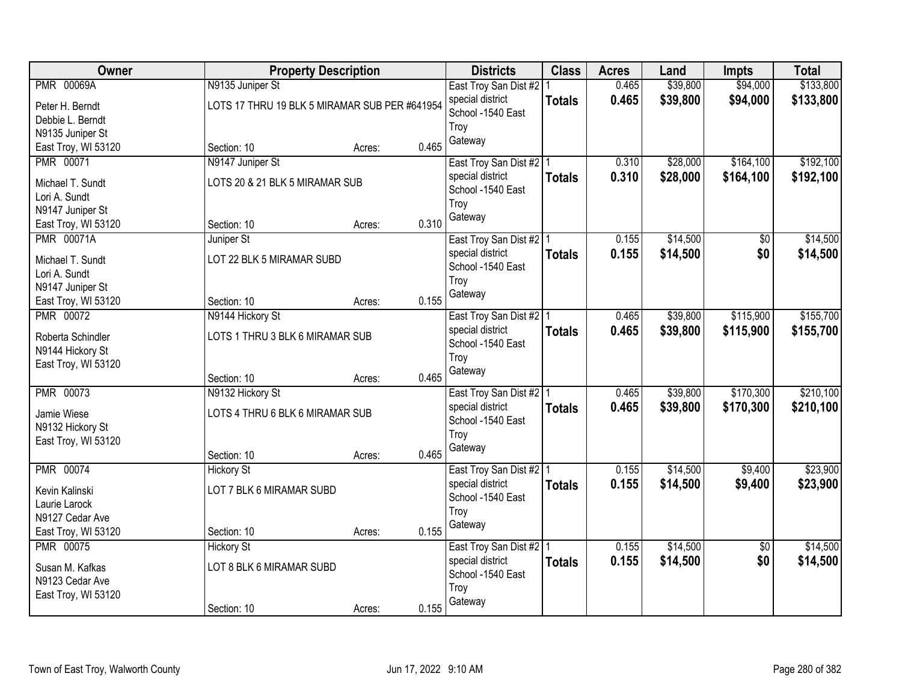| Owner                            |                                               | <b>Property Description</b> |       | <b>Districts</b>          | <b>Class</b>  | <b>Acres</b> | Land     | <b>Impts</b>    | <b>Total</b> |
|----------------------------------|-----------------------------------------------|-----------------------------|-------|---------------------------|---------------|--------------|----------|-----------------|--------------|
| <b>PMR 00069A</b>                | N9135 Juniper St                              |                             |       | East Troy San Dist #2   1 |               | 0.465        | \$39,800 | \$94,000        | \$133,800    |
| Peter H. Berndt                  | LOTS 17 THRU 19 BLK 5 MIRAMAR SUB PER #641954 |                             |       | special district          | <b>Totals</b> | 0.465        | \$39,800 | \$94,000        | \$133,800    |
| Debbie L. Berndt                 |                                               |                             |       | School -1540 East         |               |              |          |                 |              |
| N9135 Juniper St                 |                                               |                             |       | Troy                      |               |              |          |                 |              |
| East Troy, WI 53120              | Section: 10                                   | Acres:                      | 0.465 | Gateway                   |               |              |          |                 |              |
| <b>PMR 00071</b>                 | N9147 Juniper St                              |                             |       | East Troy San Dist #2   1 |               | 0.310        | \$28,000 | \$164,100       | \$192,100    |
| Michael T. Sundt                 | LOTS 20 & 21 BLK 5 MIRAMAR SUB                |                             |       | special district          | <b>Totals</b> | 0.310        | \$28,000 | \$164,100       | \$192,100    |
| Lori A. Sundt                    |                                               |                             |       | School -1540 East         |               |              |          |                 |              |
| N9147 Juniper St                 |                                               |                             |       | Troy                      |               |              |          |                 |              |
| East Troy, WI 53120              | Section: 10                                   | Acres:                      | 0.310 | Gateway                   |               |              |          |                 |              |
| <b>PMR 00071A</b>                | Juniper St                                    |                             |       | East Troy San Dist #2   1 |               | 0.155        | \$14,500 | $\overline{50}$ | \$14,500     |
|                                  |                                               |                             |       | special district          | <b>Totals</b> | 0.155        | \$14,500 | \$0             | \$14,500     |
| Michael T. Sundt                 | LOT 22 BLK 5 MIRAMAR SUBD                     |                             |       | School -1540 East         |               |              |          |                 |              |
| Lori A. Sundt                    |                                               |                             |       | Troy                      |               |              |          |                 |              |
| N9147 Juniper St                 |                                               |                             |       | Gateway                   |               |              |          |                 |              |
| East Troy, WI 53120              | Section: 10                                   | Acres:                      | 0.155 |                           |               |              |          |                 |              |
| <b>PMR 00072</b>                 | N9144 Hickory St                              |                             |       | East Troy San Dist #2   1 |               | 0.465        | \$39,800 | \$115,900       | \$155,700    |
| Roberta Schindler                | LOTS 1 THRU 3 BLK 6 MIRAMAR SUB               |                             |       | special district          | <b>Totals</b> | 0.465        | \$39,800 | \$115,900       | \$155,700    |
| N9144 Hickory St                 |                                               |                             |       | School -1540 East         |               |              |          |                 |              |
| East Troy, WI 53120              |                                               |                             |       | Troy                      |               |              |          |                 |              |
|                                  | Section: 10                                   | Acres:                      | 0.465 | Gateway                   |               |              |          |                 |              |
| <b>PMR 00073</b>                 | N9132 Hickory St                              |                             |       | East Troy San Dist #2 1   |               | 0.465        | \$39,800 | \$170,300       | \$210,100    |
| Jamie Wiese                      | LOTS 4 THRU 6 BLK 6 MIRAMAR SUB               |                             |       | special district          | <b>Totals</b> | 0.465        | \$39,800 | \$170,300       | \$210,100    |
| N9132 Hickory St                 |                                               |                             |       | School -1540 East         |               |              |          |                 |              |
| East Troy, WI 53120              |                                               |                             |       | Troy                      |               |              |          |                 |              |
|                                  | Section: 10                                   | Acres:                      | 0.465 | Gateway                   |               |              |          |                 |              |
| <b>PMR 00074</b>                 | <b>Hickory St</b>                             |                             |       | East Troy San Dist #2 1   |               | 0.155        | \$14,500 | \$9,400         | \$23,900     |
|                                  | LOT 7 BLK 6 MIRAMAR SUBD                      |                             |       | special district          | <b>Totals</b> | 0.155        | \$14,500 | \$9,400         | \$23,900     |
| Kevin Kalinski                   |                                               |                             |       | School -1540 East         |               |              |          |                 |              |
| Laurie Larock<br>N9127 Cedar Ave |                                               |                             |       | Troy                      |               |              |          |                 |              |
| East Troy, WI 53120              | Section: 10                                   | Acres:                      | 0.155 | Gateway                   |               |              |          |                 |              |
| PMR 00075                        | <b>Hickory St</b>                             |                             |       | East Troy San Dist #2   1 |               | 0.155        | \$14,500 | $\overline{50}$ | \$14,500     |
|                                  |                                               |                             |       | special district          |               | 0.155        | \$14,500 | \$0             | \$14,500     |
| Susan M. Kafkas                  | LOT 8 BLK 6 MIRAMAR SUBD                      |                             |       | School -1540 East         | <b>Totals</b> |              |          |                 |              |
| N9123 Cedar Ave                  |                                               |                             |       | Troy                      |               |              |          |                 |              |
| East Troy, WI 53120              |                                               |                             |       | Gateway                   |               |              |          |                 |              |
|                                  | Section: 10                                   | Acres:                      | 0.155 |                           |               |              |          |                 |              |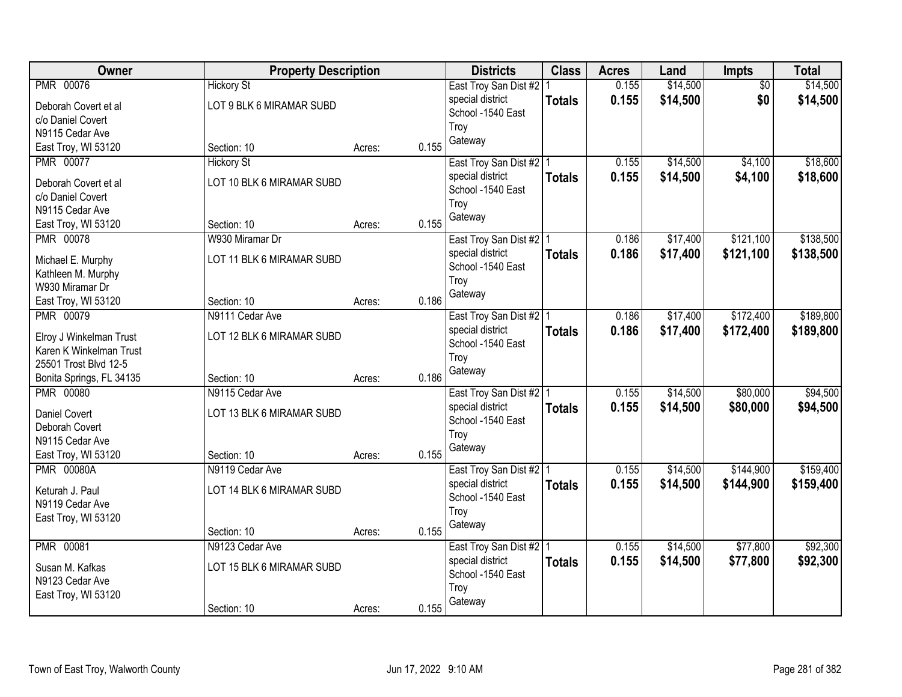| Owner                    | <b>Property Description</b> |        |       | <b>Districts</b>          | <b>Class</b>  | <b>Acres</b> | Land     | <b>Impts</b> | <b>Total</b> |
|--------------------------|-----------------------------|--------|-------|---------------------------|---------------|--------------|----------|--------------|--------------|
| PMR 00076                | <b>Hickory St</b>           |        |       | East Troy San Dist #2   1 |               | 0.155        | \$14,500 | \$0          | \$14,500     |
| Deborah Covert et al     | LOT 9 BLK 6 MIRAMAR SUBD    |        |       | special district          | <b>Totals</b> | 0.155        | \$14,500 | \$0          | \$14,500     |
| c/o Daniel Covert        |                             |        |       | School -1540 East         |               |              |          |              |              |
| N9115 Cedar Ave          |                             |        |       | Troy                      |               |              |          |              |              |
| East Troy, WI 53120      | Section: 10                 | Acres: | 0.155 | Gateway                   |               |              |          |              |              |
| <b>PMR 00077</b>         | <b>Hickory St</b>           |        |       | East Troy San Dist #2 1   |               | 0.155        | \$14,500 | \$4,100      | \$18,600     |
| Deborah Covert et al     | LOT 10 BLK 6 MIRAMAR SUBD   |        |       | special district          | <b>Totals</b> | 0.155        | \$14,500 | \$4,100      | \$18,600     |
| c/o Daniel Covert        |                             |        |       | School -1540 East         |               |              |          |              |              |
| N9115 Cedar Ave          |                             |        |       | Trov                      |               |              |          |              |              |
| East Troy, WI 53120      | Section: 10                 | Acres: | 0.155 | Gateway                   |               |              |          |              |              |
| <b>PMR 00078</b>         | W930 Miramar Dr             |        |       | East Troy San Dist #2   1 |               | 0.186        | \$17,400 | \$121,100    | \$138,500    |
|                          |                             |        |       | special district          | <b>Totals</b> | 0.186        | \$17,400 | \$121,100    | \$138,500    |
| Michael E. Murphy        | LOT 11 BLK 6 MIRAMAR SUBD   |        |       | School -1540 East         |               |              |          |              |              |
| Kathleen M. Murphy       |                             |        |       | Troy                      |               |              |          |              |              |
| W930 Miramar Dr          |                             |        |       | Gateway                   |               |              |          |              |              |
| East Troy, WI 53120      | Section: 10                 | Acres: | 0.186 |                           |               |              |          |              |              |
| PMR 00079                | N9111 Cedar Ave             |        |       | East Troy San Dist #2   1 |               | 0.186        | \$17,400 | \$172,400    | \$189,800    |
| Elroy J Winkelman Trust  | LOT 12 BLK 6 MIRAMAR SUBD   |        |       | special district          | <b>Totals</b> | 0.186        | \$17,400 | \$172,400    | \$189,800    |
| Karen K Winkelman Trust  |                             |        |       | School -1540 East         |               |              |          |              |              |
| 25501 Trost Blvd 12-5    |                             |        |       | Troy                      |               |              |          |              |              |
| Bonita Springs, FL 34135 | Section: 10                 | Acres: | 0.186 | Gateway                   |               |              |          |              |              |
| <b>PMR 00080</b>         | N9115 Cedar Ave             |        |       | East Troy San Dist #2   1 |               | 0.155        | \$14,500 | \$80,000     | \$94,500     |
| <b>Daniel Covert</b>     | LOT 13 BLK 6 MIRAMAR SUBD   |        |       | special district          | <b>Totals</b> | 0.155        | \$14,500 | \$80,000     | \$94,500     |
| Deborah Covert           |                             |        |       | School -1540 East         |               |              |          |              |              |
| N9115 Cedar Ave          |                             |        |       | Troy                      |               |              |          |              |              |
| East Troy, WI 53120      | Section: 10                 | Acres: | 0.155 | Gateway                   |               |              |          |              |              |
| <b>PMR 00080A</b>        | N9119 Cedar Ave             |        |       | East Troy San Dist #2 1   |               | 0.155        | \$14,500 | \$144,900    | \$159,400    |
|                          |                             |        |       | special district          | <b>Totals</b> | 0.155        | \$14,500 | \$144,900    | \$159,400    |
| Keturah J. Paul          | LOT 14 BLK 6 MIRAMAR SUBD   |        |       | School -1540 East         |               |              |          |              |              |
| N9119 Cedar Ave          |                             |        |       | Troy                      |               |              |          |              |              |
| East Troy, WI 53120      |                             |        |       | Gateway                   |               |              |          |              |              |
|                          | Section: 10                 | Acres: | 0.155 |                           |               |              |          |              |              |
| <b>PMR 00081</b>         | N9123 Cedar Ave             |        |       | East Troy San Dist #2   1 |               | 0.155        | \$14,500 | \$77,800     | \$92,300     |
| Susan M. Kafkas          | LOT 15 BLK 6 MIRAMAR SUBD   |        |       | special district          | <b>Totals</b> | 0.155        | \$14,500 | \$77,800     | \$92,300     |
| N9123 Cedar Ave          |                             |        |       | School -1540 East         |               |              |          |              |              |
| East Troy, WI 53120      |                             |        |       | Troy                      |               |              |          |              |              |
|                          | Section: 10                 | Acres: | 0.155 | Gateway                   |               |              |          |              |              |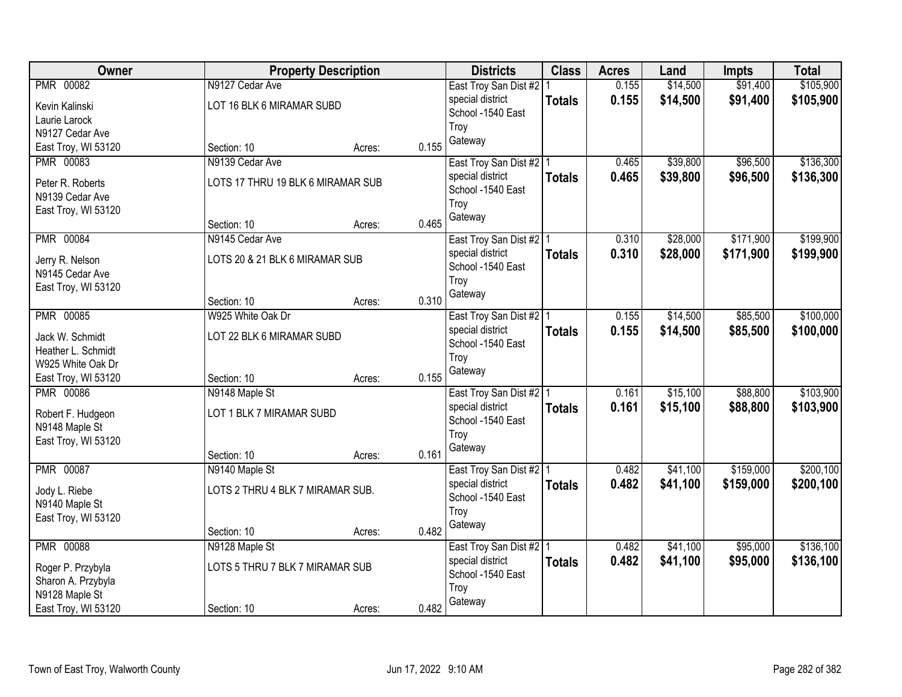| Owner                                 |                                   | <b>Property Description</b> |       | <b>Districts</b>                      | <b>Class</b>  | <b>Acres</b> | Land     | <b>Impts</b> | <b>Total</b> |
|---------------------------------------|-----------------------------------|-----------------------------|-------|---------------------------------------|---------------|--------------|----------|--------------|--------------|
| <b>PMR 00082</b>                      | N9127 Cedar Ave                   |                             |       | East Troy San Dist #2   1             |               | 0.155        | \$14,500 | \$91,400     | \$105,900    |
| Kevin Kalinski                        | LOT 16 BLK 6 MIRAMAR SUBD         |                             |       | special district                      | <b>Totals</b> | 0.155        | \$14,500 | \$91,400     | \$105,900    |
| Laurie Larock                         |                                   |                             |       | School -1540 East                     |               |              |          |              |              |
| N9127 Cedar Ave                       |                                   |                             |       | Troy                                  |               |              |          |              |              |
| East Troy, WI 53120                   | Section: 10                       | Acres:                      | 0.155 | Gateway                               |               |              |          |              |              |
| PMR 00083                             | N9139 Cedar Ave                   |                             |       | East Troy San Dist #2   1             |               | 0.465        | \$39,800 | \$96,500     | \$136,300    |
| Peter R. Roberts                      | LOTS 17 THRU 19 BLK 6 MIRAMAR SUB |                             |       | special district                      | <b>Totals</b> | 0.465        | \$39,800 | \$96,500     | \$136,300    |
| N9139 Cedar Ave                       |                                   |                             |       | School -1540 East                     |               |              |          |              |              |
| East Troy, WI 53120                   |                                   |                             |       | Troy                                  |               |              |          |              |              |
|                                       | Section: 10                       | Acres:                      | 0.465 | Gateway                               |               |              |          |              |              |
| <b>PMR 00084</b>                      | N9145 Cedar Ave                   |                             |       | East Troy San Dist #2   1             |               | 0.310        | \$28,000 | \$171,900    | \$199,900    |
| Jerry R. Nelson                       | LOTS 20 & 21 BLK 6 MIRAMAR SUB    |                             |       | special district                      | <b>Totals</b> | 0.310        | \$28,000 | \$171,900    | \$199,900    |
| N9145 Cedar Ave                       |                                   |                             |       | School -1540 East                     |               |              |          |              |              |
| East Troy, WI 53120                   |                                   |                             |       | Troy                                  |               |              |          |              |              |
|                                       | Section: 10                       | Acres:                      | 0.310 | Gateway                               |               |              |          |              |              |
| <b>PMR 00085</b>                      | W925 White Oak Dr                 |                             |       | East Troy San Dist #2   1             |               | 0.155        | \$14,500 | \$85,500     | \$100,000    |
|                                       |                                   |                             |       | special district                      | <b>Totals</b> | 0.155        | \$14,500 | \$85,500     | \$100,000    |
| Jack W. Schmidt<br>Heather L. Schmidt | LOT 22 BLK 6 MIRAMAR SUBD         |                             |       | School -1540 East                     |               |              |          |              |              |
| W925 White Oak Dr                     |                                   |                             |       | Troy                                  |               |              |          |              |              |
| East Troy, WI 53120                   | Section: 10                       | Acres:                      | 0.155 | Gateway                               |               |              |          |              |              |
| <b>PMR 00086</b>                      | N9148 Maple St                    |                             |       | East Troy San Dist #2   1             |               | 0.161        | \$15,100 | \$88,800     | \$103,900    |
|                                       |                                   |                             |       | special district                      | <b>Totals</b> | 0.161        | \$15,100 | \$88,800     | \$103,900    |
| Robert F. Hudgeon                     | LOT 1 BLK 7 MIRAMAR SUBD          |                             |       | School -1540 East                     |               |              |          |              |              |
| N9148 Maple St                        |                                   |                             |       | Troy                                  |               |              |          |              |              |
| East Troy, WI 53120                   |                                   |                             | 0.161 | Gateway                               |               |              |          |              |              |
| <b>PMR 00087</b>                      | Section: 10<br>N9140 Maple St     | Acres:                      |       | East Troy San Dist #2 1               |               | 0.482        | \$41,100 | \$159,000    | \$200,100    |
|                                       |                                   |                             |       | special district                      | <b>Totals</b> | 0.482        | \$41,100 | \$159,000    | \$200,100    |
| Jody L. Riebe                         | LOTS 2 THRU 4 BLK 7 MIRAMAR SUB.  |                             |       | School -1540 East                     |               |              |          |              |              |
| N9140 Maple St                        |                                   |                             |       | Troy                                  |               |              |          |              |              |
| East Troy, WI 53120                   |                                   |                             |       | Gateway                               |               |              |          |              |              |
|                                       | Section: 10                       | Acres:                      | 0.482 |                                       |               |              |          |              |              |
| <b>PMR 00088</b>                      | N9128 Maple St                    |                             |       | East Troy San Dist #2   1             |               | 0.482        | \$41,100 | \$95,000     | \$136,100    |
| Roger P. Przybyla                     | LOTS 5 THRU 7 BLK 7 MIRAMAR SUB   |                             |       | special district<br>School -1540 East | <b>Totals</b> | 0.482        | \$41,100 | \$95,000     | \$136,100    |
| Sharon A. Przybyla                    |                                   |                             |       | Troy                                  |               |              |          |              |              |
| N9128 Maple St                        |                                   |                             |       | Gateway                               |               |              |          |              |              |
| East Troy, WI 53120                   | Section: 10                       | Acres:                      | 0.482 |                                       |               |              |          |              |              |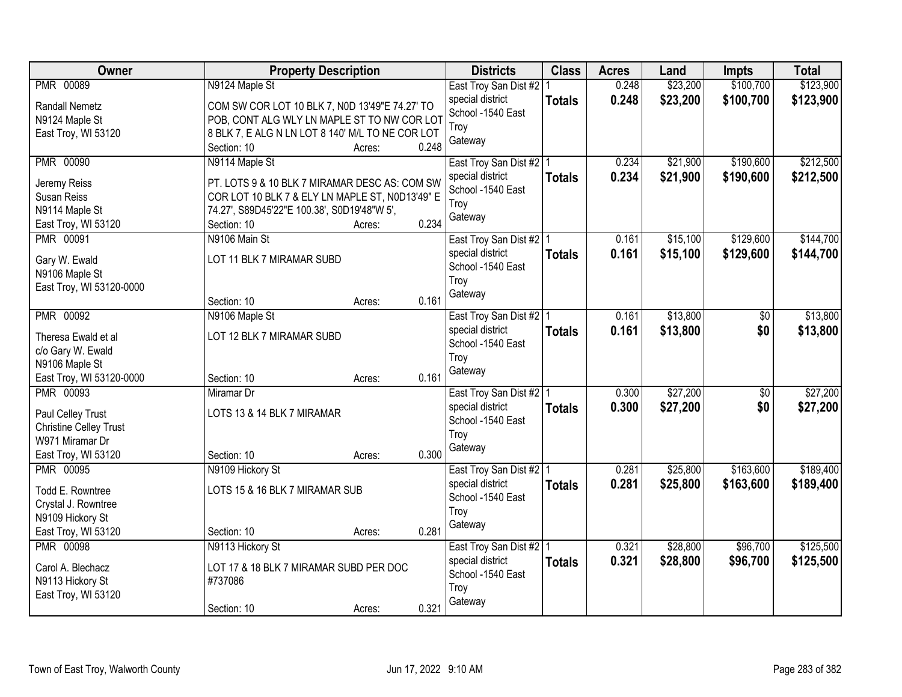| <b>PMR 00089</b><br>0.248<br>\$23,200<br>N9124 Maple St<br>East Troy San Dist #2<br>0.248<br>\$23,200<br>\$100,700<br>\$123,900<br>special district<br><b>Totals</b><br>COM SW COR LOT 10 BLK 7, N0D 13'49"E 74.27' TO<br><b>Randall Nemetz</b><br>School -1540 East<br>POB, CONT ALG WLY LN MAPLE ST TO NW COR LOT<br>N9124 Maple St<br>Troy<br>8 BLK 7, E ALG N LN LOT 8 140' M/L TO NE COR LOT<br>East Troy, WI 53120<br>Gateway<br>0.248<br>Section: 10<br>Acres:<br><b>PMR 00090</b><br>\$190,600<br>N9114 Maple St<br>0.234<br>\$21,900<br>East Troy San Dist #2   1<br>0.234<br>\$21,900<br>\$190,600<br>special district<br><b>Totals</b><br>PT. LOTS 9 & 10 BLK 7 MIRAMAR DESC AS: COM SW<br>Jeremy Reiss<br>School -1540 East<br>COR LOT 10 BLK 7 & ELY LN MAPLE ST, N0D13'49" E<br>Susan Reiss<br>Troy<br>N9114 Maple St<br>74.27', S89D45'22"E 100.38', S0D19'48"W 5',<br>Gateway<br>0.234<br>East Troy, WI 53120<br>Section: 10<br>Acres:<br>N9106 Main St<br>\$15,100<br>\$129,600<br>PMR 00091<br>East Troy San Dist #2 1<br>0.161<br>\$15,100<br>\$129,600<br>special district<br>0.161<br><b>Totals</b><br>LOT 11 BLK 7 MIRAMAR SUBD<br>Gary W. Ewald<br>School -1540 East<br>N9106 Maple St<br>Troy<br>East Troy, WI 53120-0000<br>Gateway<br>0.161<br>Section: 10<br>Acres:<br>\$13,800<br><b>PMR 00092</b><br>N9106 Maple St<br>East Troy San Dist #2   1<br>0.161<br>\$0<br>0.161<br>\$0<br>special district<br>\$13,800<br><b>Totals</b><br>LOT 12 BLK 7 MIRAMAR SUBD<br>Theresa Ewald et al<br>School -1540 East<br>c/o Gary W. Ewald<br>Troy<br>N9106 Maple St<br>Gateway<br>0.161<br>East Troy, WI 53120-0000<br>Section: 10<br>Acres:<br>\$27,200<br><b>PMR 00093</b><br>0.300<br>\$0<br>Miramar Dr<br>East Troy San Dist #2   1<br>0.300<br>\$27,200<br>special district<br>\$0<br><b>Totals</b><br>LOTS 13 & 14 BLK 7 MIRAMAR<br>Paul Celley Trust<br>School -1540 East<br><b>Christine Celley Trust</b> | <b>Owner</b> | <b>Property Description</b> | <b>Districts</b> | <b>Class</b> | <b>Acres</b> | Land | <b>Impts</b> | <b>Total</b> |
|--------------------------------------------------------------------------------------------------------------------------------------------------------------------------------------------------------------------------------------------------------------------------------------------------------------------------------------------------------------------------------------------------------------------------------------------------------------------------------------------------------------------------------------------------------------------------------------------------------------------------------------------------------------------------------------------------------------------------------------------------------------------------------------------------------------------------------------------------------------------------------------------------------------------------------------------------------------------------------------------------------------------------------------------------------------------------------------------------------------------------------------------------------------------------------------------------------------------------------------------------------------------------------------------------------------------------------------------------------------------------------------------------------------------------------------------------------------------------------------------------------------------------------------------------------------------------------------------------------------------------------------------------------------------------------------------------------------------------------------------------------------------------------------------------------------------------------------------------------------------------------------------------------------------------------------|--------------|-----------------------------|------------------|--------------|--------------|------|--------------|--------------|
|                                                                                                                                                                                                                                                                                                                                                                                                                                                                                                                                                                                                                                                                                                                                                                                                                                                                                                                                                                                                                                                                                                                                                                                                                                                                                                                                                                                                                                                                                                                                                                                                                                                                                                                                                                                                                                                                                                                                      |              |                             |                  |              |              |      | \$100,700    | \$123,900    |
|                                                                                                                                                                                                                                                                                                                                                                                                                                                                                                                                                                                                                                                                                                                                                                                                                                                                                                                                                                                                                                                                                                                                                                                                                                                                                                                                                                                                                                                                                                                                                                                                                                                                                                                                                                                                                                                                                                                                      |              |                             |                  |              |              |      |              |              |
| \$212,500<br>\$212,500<br>\$144,700<br>\$144,700<br>\$13,800<br>\$13,800<br>\$27,200<br>\$27,200                                                                                                                                                                                                                                                                                                                                                                                                                                                                                                                                                                                                                                                                                                                                                                                                                                                                                                                                                                                                                                                                                                                                                                                                                                                                                                                                                                                                                                                                                                                                                                                                                                                                                                                                                                                                                                     |              |                             |                  |              |              |      |              |              |
|                                                                                                                                                                                                                                                                                                                                                                                                                                                                                                                                                                                                                                                                                                                                                                                                                                                                                                                                                                                                                                                                                                                                                                                                                                                                                                                                                                                                                                                                                                                                                                                                                                                                                                                                                                                                                                                                                                                                      |              |                             |                  |              |              |      |              |              |
|                                                                                                                                                                                                                                                                                                                                                                                                                                                                                                                                                                                                                                                                                                                                                                                                                                                                                                                                                                                                                                                                                                                                                                                                                                                                                                                                                                                                                                                                                                                                                                                                                                                                                                                                                                                                                                                                                                                                      |              |                             |                  |              |              |      |              |              |
|                                                                                                                                                                                                                                                                                                                                                                                                                                                                                                                                                                                                                                                                                                                                                                                                                                                                                                                                                                                                                                                                                                                                                                                                                                                                                                                                                                                                                                                                                                                                                                                                                                                                                                                                                                                                                                                                                                                                      |              |                             |                  |              |              |      |              |              |
|                                                                                                                                                                                                                                                                                                                                                                                                                                                                                                                                                                                                                                                                                                                                                                                                                                                                                                                                                                                                                                                                                                                                                                                                                                                                                                                                                                                                                                                                                                                                                                                                                                                                                                                                                                                                                                                                                                                                      |              |                             |                  |              |              |      |              |              |
|                                                                                                                                                                                                                                                                                                                                                                                                                                                                                                                                                                                                                                                                                                                                                                                                                                                                                                                                                                                                                                                                                                                                                                                                                                                                                                                                                                                                                                                                                                                                                                                                                                                                                                                                                                                                                                                                                                                                      |              |                             |                  |              |              |      |              |              |
|                                                                                                                                                                                                                                                                                                                                                                                                                                                                                                                                                                                                                                                                                                                                                                                                                                                                                                                                                                                                                                                                                                                                                                                                                                                                                                                                                                                                                                                                                                                                                                                                                                                                                                                                                                                                                                                                                                                                      |              |                             |                  |              |              |      |              |              |
|                                                                                                                                                                                                                                                                                                                                                                                                                                                                                                                                                                                                                                                                                                                                                                                                                                                                                                                                                                                                                                                                                                                                                                                                                                                                                                                                                                                                                                                                                                                                                                                                                                                                                                                                                                                                                                                                                                                                      |              |                             |                  |              |              |      |              |              |
|                                                                                                                                                                                                                                                                                                                                                                                                                                                                                                                                                                                                                                                                                                                                                                                                                                                                                                                                                                                                                                                                                                                                                                                                                                                                                                                                                                                                                                                                                                                                                                                                                                                                                                                                                                                                                                                                                                                                      |              |                             |                  |              |              |      |              |              |
|                                                                                                                                                                                                                                                                                                                                                                                                                                                                                                                                                                                                                                                                                                                                                                                                                                                                                                                                                                                                                                                                                                                                                                                                                                                                                                                                                                                                                                                                                                                                                                                                                                                                                                                                                                                                                                                                                                                                      |              |                             |                  |              |              |      |              |              |
|                                                                                                                                                                                                                                                                                                                                                                                                                                                                                                                                                                                                                                                                                                                                                                                                                                                                                                                                                                                                                                                                                                                                                                                                                                                                                                                                                                                                                                                                                                                                                                                                                                                                                                                                                                                                                                                                                                                                      |              |                             |                  |              |              |      |              |              |
|                                                                                                                                                                                                                                                                                                                                                                                                                                                                                                                                                                                                                                                                                                                                                                                                                                                                                                                                                                                                                                                                                                                                                                                                                                                                                                                                                                                                                                                                                                                                                                                                                                                                                                                                                                                                                                                                                                                                      |              |                             |                  |              |              |      |              |              |
|                                                                                                                                                                                                                                                                                                                                                                                                                                                                                                                                                                                                                                                                                                                                                                                                                                                                                                                                                                                                                                                                                                                                                                                                                                                                                                                                                                                                                                                                                                                                                                                                                                                                                                                                                                                                                                                                                                                                      |              |                             |                  |              |              |      |              |              |
|                                                                                                                                                                                                                                                                                                                                                                                                                                                                                                                                                                                                                                                                                                                                                                                                                                                                                                                                                                                                                                                                                                                                                                                                                                                                                                                                                                                                                                                                                                                                                                                                                                                                                                                                                                                                                                                                                                                                      |              |                             |                  |              |              |      |              |              |
|                                                                                                                                                                                                                                                                                                                                                                                                                                                                                                                                                                                                                                                                                                                                                                                                                                                                                                                                                                                                                                                                                                                                                                                                                                                                                                                                                                                                                                                                                                                                                                                                                                                                                                                                                                                                                                                                                                                                      |              |                             |                  |              |              |      |              |              |
|                                                                                                                                                                                                                                                                                                                                                                                                                                                                                                                                                                                                                                                                                                                                                                                                                                                                                                                                                                                                                                                                                                                                                                                                                                                                                                                                                                                                                                                                                                                                                                                                                                                                                                                                                                                                                                                                                                                                      |              |                             |                  |              |              |      |              |              |
|                                                                                                                                                                                                                                                                                                                                                                                                                                                                                                                                                                                                                                                                                                                                                                                                                                                                                                                                                                                                                                                                                                                                                                                                                                                                                                                                                                                                                                                                                                                                                                                                                                                                                                                                                                                                                                                                                                                                      |              |                             |                  |              |              |      |              |              |
|                                                                                                                                                                                                                                                                                                                                                                                                                                                                                                                                                                                                                                                                                                                                                                                                                                                                                                                                                                                                                                                                                                                                                                                                                                                                                                                                                                                                                                                                                                                                                                                                                                                                                                                                                                                                                                                                                                                                      |              |                             |                  |              |              |      |              |              |
|                                                                                                                                                                                                                                                                                                                                                                                                                                                                                                                                                                                                                                                                                                                                                                                                                                                                                                                                                                                                                                                                                                                                                                                                                                                                                                                                                                                                                                                                                                                                                                                                                                                                                                                                                                                                                                                                                                                                      |              |                             |                  |              |              |      |              |              |
|                                                                                                                                                                                                                                                                                                                                                                                                                                                                                                                                                                                                                                                                                                                                                                                                                                                                                                                                                                                                                                                                                                                                                                                                                                                                                                                                                                                                                                                                                                                                                                                                                                                                                                                                                                                                                                                                                                                                      |              |                             |                  |              |              |      |              |              |
|                                                                                                                                                                                                                                                                                                                                                                                                                                                                                                                                                                                                                                                                                                                                                                                                                                                                                                                                                                                                                                                                                                                                                                                                                                                                                                                                                                                                                                                                                                                                                                                                                                                                                                                                                                                                                                                                                                                                      |              |                             |                  |              |              |      |              |              |
|                                                                                                                                                                                                                                                                                                                                                                                                                                                                                                                                                                                                                                                                                                                                                                                                                                                                                                                                                                                                                                                                                                                                                                                                                                                                                                                                                                                                                                                                                                                                                                                                                                                                                                                                                                                                                                                                                                                                      |              |                             |                  |              |              |      |              |              |
| Troy<br>W971 Miramar Dr                                                                                                                                                                                                                                                                                                                                                                                                                                                                                                                                                                                                                                                                                                                                                                                                                                                                                                                                                                                                                                                                                                                                                                                                                                                                                                                                                                                                                                                                                                                                                                                                                                                                                                                                                                                                                                                                                                              |              |                             |                  |              |              |      |              |              |
| Gateway<br>0.300<br>East Troy, WI 53120<br>Section: 10<br>Acres:                                                                                                                                                                                                                                                                                                                                                                                                                                                                                                                                                                                                                                                                                                                                                                                                                                                                                                                                                                                                                                                                                                                                                                                                                                                                                                                                                                                                                                                                                                                                                                                                                                                                                                                                                                                                                                                                     |              |                             |                  |              |              |      |              |              |
| \$163,600<br>\$189,400<br><b>PMR 00095</b><br>N9109 Hickory St<br>0.281<br>\$25,800<br>East Troy San Dist #2   1                                                                                                                                                                                                                                                                                                                                                                                                                                                                                                                                                                                                                                                                                                                                                                                                                                                                                                                                                                                                                                                                                                                                                                                                                                                                                                                                                                                                                                                                                                                                                                                                                                                                                                                                                                                                                     |              |                             |                  |              |              |      |              |              |
| special district<br>0.281<br>\$25,800<br>\$163,600<br>\$189,400<br><b>Totals</b><br>LOTS 15 & 16 BLK 7 MIRAMAR SUB<br>Todd E. Rowntree                                                                                                                                                                                                                                                                                                                                                                                                                                                                                                                                                                                                                                                                                                                                                                                                                                                                                                                                                                                                                                                                                                                                                                                                                                                                                                                                                                                                                                                                                                                                                                                                                                                                                                                                                                                               |              |                             |                  |              |              |      |              |              |
| School -1540 East<br>Crystal J. Rowntree                                                                                                                                                                                                                                                                                                                                                                                                                                                                                                                                                                                                                                                                                                                                                                                                                                                                                                                                                                                                                                                                                                                                                                                                                                                                                                                                                                                                                                                                                                                                                                                                                                                                                                                                                                                                                                                                                             |              |                             |                  |              |              |      |              |              |
| Troy<br>N9109 Hickory St                                                                                                                                                                                                                                                                                                                                                                                                                                                                                                                                                                                                                                                                                                                                                                                                                                                                                                                                                                                                                                                                                                                                                                                                                                                                                                                                                                                                                                                                                                                                                                                                                                                                                                                                                                                                                                                                                                             |              |                             |                  |              |              |      |              |              |
| Gateway<br>0.281<br>East Troy, WI 53120<br>Section: 10<br>Acres:                                                                                                                                                                                                                                                                                                                                                                                                                                                                                                                                                                                                                                                                                                                                                                                                                                                                                                                                                                                                                                                                                                                                                                                                                                                                                                                                                                                                                                                                                                                                                                                                                                                                                                                                                                                                                                                                     |              |                             |                  |              |              |      |              |              |
| \$125,500<br><b>PMR 00098</b><br>N9113 Hickory St<br>\$28,800<br>\$96,700<br>East Troy San Dist #2   1<br>0.321                                                                                                                                                                                                                                                                                                                                                                                                                                                                                                                                                                                                                                                                                                                                                                                                                                                                                                                                                                                                                                                                                                                                                                                                                                                                                                                                                                                                                                                                                                                                                                                                                                                                                                                                                                                                                      |              |                             |                  |              |              |      |              |              |
| 0.321<br>\$28,800<br>special district<br>\$96,700<br>\$125,500<br><b>Totals</b><br>Carol A. Blechacz<br>LOT 17 & 18 BLK 7 MIRAMAR SUBD PER DOC                                                                                                                                                                                                                                                                                                                                                                                                                                                                                                                                                                                                                                                                                                                                                                                                                                                                                                                                                                                                                                                                                                                                                                                                                                                                                                                                                                                                                                                                                                                                                                                                                                                                                                                                                                                       |              |                             |                  |              |              |      |              |              |
| School -1540 East<br>N9113 Hickory St<br>#737086                                                                                                                                                                                                                                                                                                                                                                                                                                                                                                                                                                                                                                                                                                                                                                                                                                                                                                                                                                                                                                                                                                                                                                                                                                                                                                                                                                                                                                                                                                                                                                                                                                                                                                                                                                                                                                                                                     |              |                             |                  |              |              |      |              |              |
| Troy<br>East Troy, WI 53120                                                                                                                                                                                                                                                                                                                                                                                                                                                                                                                                                                                                                                                                                                                                                                                                                                                                                                                                                                                                                                                                                                                                                                                                                                                                                                                                                                                                                                                                                                                                                                                                                                                                                                                                                                                                                                                                                                          |              |                             |                  |              |              |      |              |              |
| Gateway<br>0.321<br>Section: 10<br>Acres:                                                                                                                                                                                                                                                                                                                                                                                                                                                                                                                                                                                                                                                                                                                                                                                                                                                                                                                                                                                                                                                                                                                                                                                                                                                                                                                                                                                                                                                                                                                                                                                                                                                                                                                                                                                                                                                                                            |              |                             |                  |              |              |      |              |              |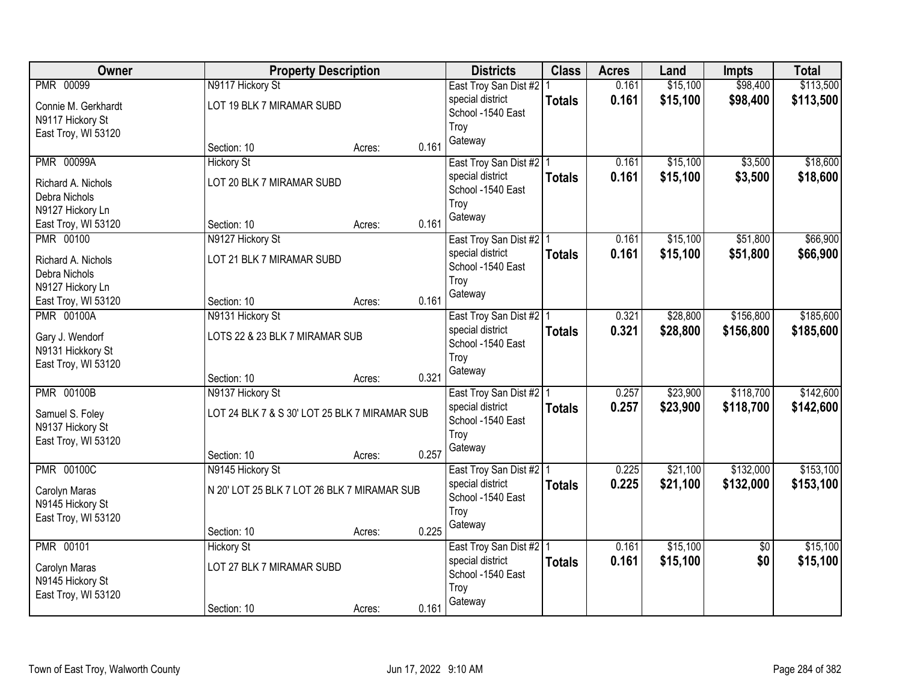| Owner                                   |                                               | <b>Property Description</b> |       | <b>Districts</b>          | <b>Class</b>  | <b>Acres</b> | Land     | <b>Impts</b>    | <b>Total</b> |
|-----------------------------------------|-----------------------------------------------|-----------------------------|-------|---------------------------|---------------|--------------|----------|-----------------|--------------|
| <b>PMR 00099</b>                        | N9117 Hickory St                              |                             |       | East Troy San Dist #2   1 |               | 0.161        | \$15,100 | \$98,400        | \$113,500    |
| Connie M. Gerkhardt                     | LOT 19 BLK 7 MIRAMAR SUBD                     |                             |       | special district          | <b>Totals</b> | 0.161        | \$15,100 | \$98,400        | \$113,500    |
| N9117 Hickory St                        |                                               |                             |       | School -1540 East         |               |              |          |                 |              |
| East Troy, WI 53120                     |                                               |                             |       | Troy                      |               |              |          |                 |              |
|                                         | Section: 10                                   | Acres:                      | 0.161 | Gateway                   |               |              |          |                 |              |
| <b>PMR 00099A</b>                       | <b>Hickory St</b>                             |                             |       | East Troy San Dist #2   1 |               | 0.161        | \$15,100 | \$3,500         | \$18,600     |
| Richard A. Nichols                      | LOT 20 BLK 7 MIRAMAR SUBD                     |                             |       | special district          | <b>Totals</b> | 0.161        | \$15,100 | \$3,500         | \$18,600     |
| Debra Nichols                           |                                               |                             |       | School -1540 East         |               |              |          |                 |              |
| N9127 Hickory Ln                        |                                               |                             |       | Troy                      |               |              |          |                 |              |
| East Troy, WI 53120                     | Section: 10                                   | Acres:                      | 0.161 | Gateway                   |               |              |          |                 |              |
| <b>PMR 00100</b>                        | N9127 Hickory St                              |                             |       | East Troy San Dist #2   1 |               | 0.161        | \$15,100 | \$51,800        | \$66,900     |
| Richard A. Nichols                      | LOT 21 BLK 7 MIRAMAR SUBD                     |                             |       | special district          | <b>Totals</b> | 0.161        | \$15,100 | \$51,800        | \$66,900     |
| Debra Nichols                           |                                               |                             |       | School -1540 East         |               |              |          |                 |              |
| N9127 Hickory Ln                        |                                               |                             |       | Troy                      |               |              |          |                 |              |
| East Troy, WI 53120                     | Section: 10                                   | Acres:                      | 0.161 | Gateway                   |               |              |          |                 |              |
| <b>PMR 00100A</b>                       | N9131 Hickory St                              |                             |       | East Troy San Dist #2   1 |               | 0.321        | \$28,800 | \$156,800       | \$185,600    |
|                                         |                                               |                             |       | special district          | <b>Totals</b> | 0.321        | \$28,800 | \$156,800       | \$185,600    |
| Gary J. Wendorf<br>N9131 Hickkory St    | LOTS 22 & 23 BLK 7 MIRAMAR SUB                |                             |       | School -1540 East         |               |              |          |                 |              |
| East Troy, WI 53120                     |                                               |                             |       | Troy                      |               |              |          |                 |              |
|                                         | Section: 10                                   | Acres:                      | 0.321 | Gateway                   |               |              |          |                 |              |
| <b>PMR 00100B</b>                       | N9137 Hickory St                              |                             |       | East Troy San Dist #2 1   |               | 0.257        | \$23,900 | \$118,700       | \$142,600    |
|                                         |                                               |                             |       | special district          | <b>Totals</b> | 0.257        | \$23,900 | \$118,700       | \$142,600    |
| Samuel S. Foley                         | LOT 24 BLK 7 & S 30' LOT 25 BLK 7 MIRAMAR SUB |                             |       | School -1540 East         |               |              |          |                 |              |
| N9137 Hickory St<br>East Troy, WI 53120 |                                               |                             |       | Troy                      |               |              |          |                 |              |
|                                         | Section: 10                                   | Acres:                      | 0.257 | Gateway                   |               |              |          |                 |              |
| <b>PMR 00100C</b>                       | N9145 Hickory St                              |                             |       | East Troy San Dist #2 1   |               | 0.225        | \$21,100 | \$132,000       | \$153,100    |
|                                         |                                               |                             |       | special district          | <b>Totals</b> | 0.225        | \$21,100 | \$132,000       | \$153,100    |
| Carolyn Maras                           | N 20' LOT 25 BLK 7 LOT 26 BLK 7 MIRAMAR SUB   |                             |       | School -1540 East         |               |              |          |                 |              |
| N9145 Hickory St                        |                                               |                             |       | Troy                      |               |              |          |                 |              |
| East Troy, WI 53120                     | Section: 10                                   | Acres:                      | 0.225 | Gateway                   |               |              |          |                 |              |
| <b>PMR 00101</b>                        | <b>Hickory St</b>                             |                             |       | East Troy San Dist #2   1 |               | 0.161        | \$15,100 | $\overline{30}$ | \$15,100     |
|                                         |                                               |                             |       | special district          | <b>Totals</b> | 0.161        | \$15,100 | \$0             | \$15,100     |
| Carolyn Maras                           | LOT 27 BLK 7 MIRAMAR SUBD                     |                             |       | School -1540 East         |               |              |          |                 |              |
| N9145 Hickory St                        |                                               |                             |       | Troy                      |               |              |          |                 |              |
| East Troy, WI 53120                     |                                               |                             |       | Gateway                   |               |              |          |                 |              |
|                                         | Section: 10                                   | Acres:                      | 0.161 |                           |               |              |          |                 |              |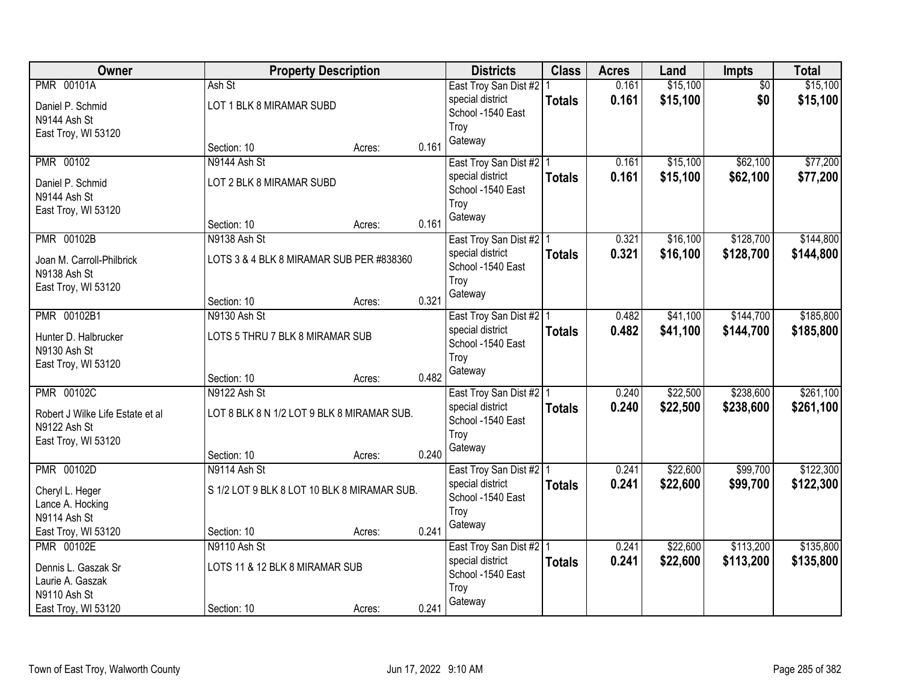| Owner                            |                                             | <b>Property Description</b> |       | <b>Districts</b>          | <b>Class</b>  | <b>Acres</b> | Land     | Impts           | <b>Total</b> |
|----------------------------------|---------------------------------------------|-----------------------------|-------|---------------------------|---------------|--------------|----------|-----------------|--------------|
| <b>PMR 00101A</b>                | Ash St                                      |                             |       | East Troy San Dist #2   1 |               | 0.161        | \$15,100 | $\overline{50}$ | \$15,100     |
| Daniel P. Schmid                 | LOT 1 BLK 8 MIRAMAR SUBD                    |                             |       | special district          | <b>Totals</b> | 0.161        | \$15,100 | \$0             | \$15,100     |
| N9144 Ash St                     |                                             |                             |       | School -1540 East         |               |              |          |                 |              |
| East Troy, WI 53120              |                                             |                             |       | Troy                      |               |              |          |                 |              |
|                                  | Section: 10                                 | Acres:                      | 0.161 | Gateway                   |               |              |          |                 |              |
| <b>PMR 00102</b>                 | N9144 Ash St                                |                             |       | East Troy San Dist #2 1   |               | 0.161        | \$15,100 | \$62,100        | \$77,200     |
| Daniel P. Schmid                 | LOT 2 BLK 8 MIRAMAR SUBD                    |                             |       | special district          | <b>Totals</b> | 0.161        | \$15,100 | \$62,100        | \$77,200     |
| N9144 Ash St                     |                                             |                             |       | School -1540 East         |               |              |          |                 |              |
| East Troy, WI 53120              |                                             |                             |       | Troy                      |               |              |          |                 |              |
|                                  | Section: 10                                 | Acres:                      | 0.161 | Gateway                   |               |              |          |                 |              |
| <b>PMR 00102B</b>                | N9138 Ash St                                |                             |       | East Troy San Dist #2   1 |               | 0.321        | \$16,100 | \$128,700       | \$144,800    |
| Joan M. Carroll-Philbrick        | LOTS 3 & 4 BLK 8 MIRAMAR SUB PER #838360    |                             |       | special district          | <b>Totals</b> | 0.321        | \$16,100 | \$128,700       | \$144,800    |
| N9138 Ash St                     |                                             |                             |       | School -1540 East         |               |              |          |                 |              |
| East Troy, WI 53120              |                                             |                             |       | Troy                      |               |              |          |                 |              |
|                                  | Section: 10                                 | Acres:                      | 0.321 | Gateway                   |               |              |          |                 |              |
| PMR 00102B1                      | N9130 Ash St                                |                             |       | East Troy San Dist #2   1 |               | 0.482        | \$41,100 | \$144,700       | \$185,800    |
| Hunter D. Halbrucker             | LOTS 5 THRU 7 BLK 8 MIRAMAR SUB             |                             |       | special district          | <b>Totals</b> | 0.482        | \$41,100 | \$144,700       | \$185,800    |
| N9130 Ash St                     |                                             |                             |       | School -1540 East         |               |              |          |                 |              |
| East Troy, WI 53120              |                                             |                             |       | Troy                      |               |              |          |                 |              |
|                                  | Section: 10                                 | Acres:                      | 0.482 | Gateway                   |               |              |          |                 |              |
| <b>PMR 00102C</b>                | N9122 Ash St                                |                             |       | East Troy San Dist #2 1   |               | 0.240        | \$22,500 | \$238,600       | \$261,100    |
| Robert J Wilke Life Estate et al | LOT 8 BLK 8 N 1/2 LOT 9 BLK 8 MIRAMAR SUB.  |                             |       | special district          | <b>Totals</b> | 0.240        | \$22,500 | \$238,600       | \$261,100    |
| N9122 Ash St                     |                                             |                             |       | School -1540 East         |               |              |          |                 |              |
| East Troy, WI 53120              |                                             |                             |       | Troy                      |               |              |          |                 |              |
|                                  | Section: 10                                 | Acres:                      | 0.240 | Gateway                   |               |              |          |                 |              |
| <b>PMR 00102D</b>                | N9114 Ash St                                |                             |       | East Troy San Dist #2 1   |               | 0.241        | \$22,600 | \$99,700        | \$122,300    |
| Cheryl L. Heger                  | S 1/2 LOT 9 BLK 8 LOT 10 BLK 8 MIRAMAR SUB. |                             |       | special district          | <b>Totals</b> | 0.241        | \$22,600 | \$99,700        | \$122,300    |
| Lance A. Hocking                 |                                             |                             |       | School -1540 East         |               |              |          |                 |              |
| N9114 Ash St                     |                                             |                             |       | Troy                      |               |              |          |                 |              |
| East Troy, WI 53120              | Section: 10                                 | Acres:                      | 0.241 | Gateway                   |               |              |          |                 |              |
| <b>PMR 00102E</b>                | N9110 Ash St                                |                             |       | East Troy San Dist #2   1 |               | 0.241        | \$22,600 | \$113,200       | \$135,800    |
| Dennis L. Gaszak Sr              | LOTS 11 & 12 BLK 8 MIRAMAR SUB              |                             |       | special district          | <b>Totals</b> | 0.241        | \$22,600 | \$113,200       | \$135,800    |
| Laurie A. Gaszak                 |                                             |                             |       | School -1540 East         |               |              |          |                 |              |
| N9110 Ash St                     |                                             |                             |       | Troy                      |               |              |          |                 |              |
| East Troy, WI 53120              | Section: 10                                 | Acres:                      | 0.241 | Gateway                   |               |              |          |                 |              |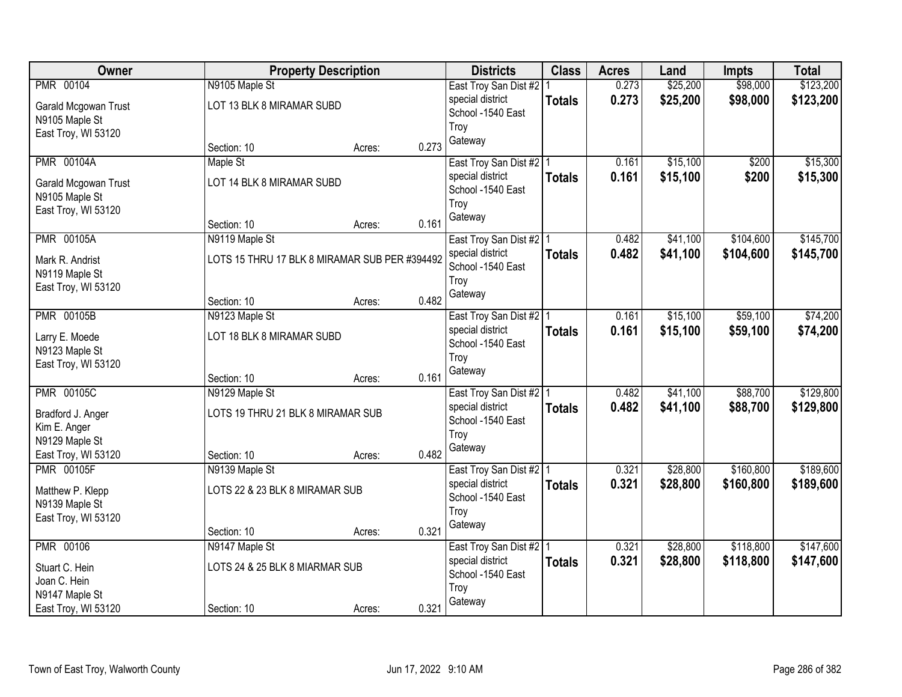| Owner                              |                                               | <b>Property Description</b> |       | <b>Districts</b>          | <b>Class</b>  | <b>Acres</b> | Land     | <b>Impts</b> | <b>Total</b> |
|------------------------------------|-----------------------------------------------|-----------------------------|-------|---------------------------|---------------|--------------|----------|--------------|--------------|
| PMR 00104                          | N9105 Maple St                                |                             |       | East Troy San Dist #2   1 |               | 0.273        | \$25,200 | \$98,000     | \$123,200    |
| Garald Mcgowan Trust               | LOT 13 BLK 8 MIRAMAR SUBD                     |                             |       | special district          | <b>Totals</b> | 0.273        | \$25,200 | \$98,000     | \$123,200    |
| N9105 Maple St                     |                                               |                             |       | School -1540 East         |               |              |          |              |              |
| East Troy, WI 53120                |                                               |                             |       | Troy                      |               |              |          |              |              |
|                                    | Section: 10                                   | Acres:                      | 0.273 | Gateway                   |               |              |          |              |              |
| <b>PMR 00104A</b>                  | Maple St                                      |                             |       | East Troy San Dist #2   1 |               | 0.161        | \$15,100 | \$200        | \$15,300     |
| Garald Mcgowan Trust               | LOT 14 BLK 8 MIRAMAR SUBD                     |                             |       | special district          | <b>Totals</b> | 0.161        | \$15,100 | \$200        | \$15,300     |
| N9105 Maple St                     |                                               |                             |       | School -1540 East         |               |              |          |              |              |
| East Troy, WI 53120                |                                               |                             |       | Troy                      |               |              |          |              |              |
|                                    | Section: 10                                   | Acres:                      | 0.161 | Gateway                   |               |              |          |              |              |
| <b>PMR 00105A</b>                  | N9119 Maple St                                |                             |       | East Troy San Dist #2   1 |               | 0.482        | \$41,100 | \$104,600    | \$145,700    |
| Mark R. Andrist                    | LOTS 15 THRU 17 BLK 8 MIRAMAR SUB PER #394492 |                             |       | special district          | <b>Totals</b> | 0.482        | \$41,100 | \$104,600    | \$145,700    |
| N9119 Maple St                     |                                               |                             |       | School -1540 East         |               |              |          |              |              |
| East Troy, WI 53120                |                                               |                             |       | Troy                      |               |              |          |              |              |
|                                    | Section: 10                                   | Acres:                      | 0.482 | Gateway                   |               |              |          |              |              |
| <b>PMR 00105B</b>                  | N9123 Maple St                                |                             |       | East Troy San Dist #2   1 |               | 0.161        | \$15,100 | \$59,100     | \$74,200     |
| Larry E. Moede                     | LOT 18 BLK 8 MIRAMAR SUBD                     |                             |       | special district          | <b>Totals</b> | 0.161        | \$15,100 | \$59,100     | \$74,200     |
| N9123 Maple St                     |                                               |                             |       | School -1540 East         |               |              |          |              |              |
| East Troy, WI 53120                |                                               |                             |       | Troy                      |               |              |          |              |              |
|                                    | Section: 10                                   | Acres:                      | 0.161 | Gateway                   |               |              |          |              |              |
| <b>PMR 00105C</b>                  | N9129 Maple St                                |                             |       | East Troy San Dist #2 1   |               | 0.482        | \$41,100 | \$88,700     | \$129,800    |
|                                    | LOTS 19 THRU 21 BLK 8 MIRAMAR SUB             |                             |       | special district          | <b>Totals</b> | 0.482        | \$41,100 | \$88,700     | \$129,800    |
| Bradford J. Anger<br>Kim E. Anger  |                                               |                             |       | School -1540 East         |               |              |          |              |              |
| N9129 Maple St                     |                                               |                             |       | Troy                      |               |              |          |              |              |
| East Troy, WI 53120                | Section: 10                                   | Acres:                      | 0.482 | Gateway                   |               |              |          |              |              |
| <b>PMR 00105F</b>                  | N9139 Maple St                                |                             |       | East Troy San Dist #2 1   |               | 0.321        | \$28,800 | \$160,800    | \$189,600    |
|                                    | LOTS 22 & 23 BLK 8 MIRAMAR SUB                |                             |       | special district          | <b>Totals</b> | 0.321        | \$28,800 | \$160,800    | \$189,600    |
| Matthew P. Klepp<br>N9139 Maple St |                                               |                             |       | School -1540 East         |               |              |          |              |              |
| East Troy, WI 53120                |                                               |                             |       | Troy                      |               |              |          |              |              |
|                                    | Section: 10                                   | Acres:                      | 0.321 | Gateway                   |               |              |          |              |              |
| <b>PMR 00106</b>                   | N9147 Maple St                                |                             |       | East Troy San Dist #2   1 |               | 0.321        | \$28,800 | \$118,800    | \$147,600    |
|                                    |                                               |                             |       | special district          | <b>Totals</b> | 0.321        | \$28,800 | \$118,800    | \$147,600    |
| Stuart C. Hein<br>Joan C. Hein     | LOTS 24 & 25 BLK 8 MIARMAR SUB                |                             |       | School -1540 East         |               |              |          |              |              |
| N9147 Maple St                     |                                               |                             |       | Troy                      |               |              |          |              |              |
| East Troy, WI 53120                | Section: 10                                   | Acres:                      | 0.321 | Gateway                   |               |              |          |              |              |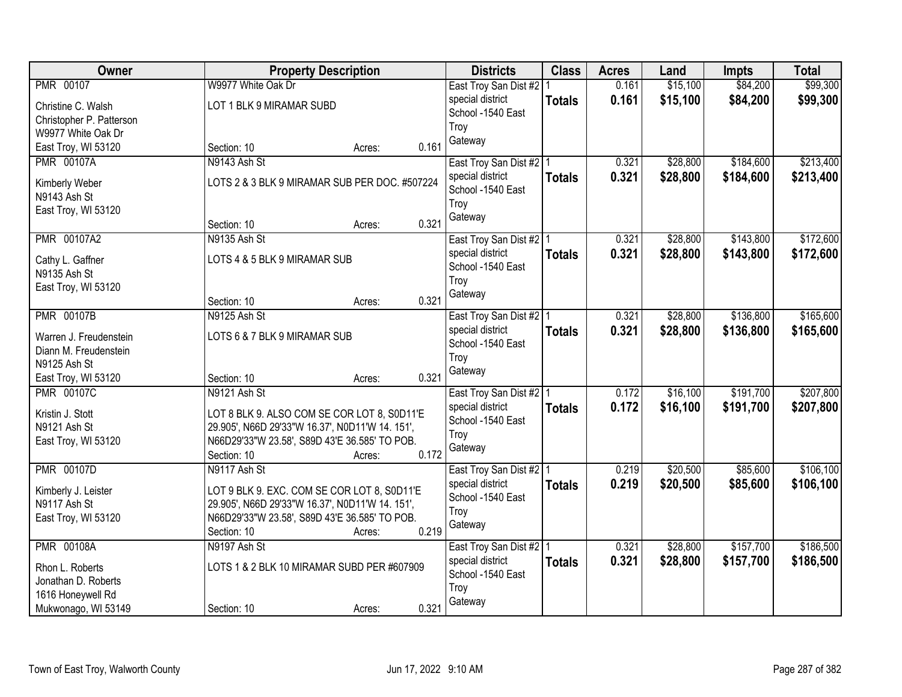| Owner                                           | <b>Property Description</b>                                                     | <b>Districts</b>                              | <b>Class</b>  | <b>Acres</b> | Land     | <b>Impts</b> | <b>Total</b> |
|-------------------------------------------------|---------------------------------------------------------------------------------|-----------------------------------------------|---------------|--------------|----------|--------------|--------------|
| <b>PMR 00107</b>                                | W9977 White Oak Dr                                                              | East Troy San Dist #2                         |               | 0.161        | \$15,100 | \$84,200     | \$99,300     |
| Christine C. Walsh                              | LOT 1 BLK 9 MIRAMAR SUBD                                                        | special district                              | <b>Totals</b> | 0.161        | \$15,100 | \$84,200     | \$99,300     |
| Christopher P. Patterson                        |                                                                                 | School -1540 East                             |               |              |          |              |              |
| W9977 White Oak Dr                              |                                                                                 | Troy                                          |               |              |          |              |              |
| East Troy, WI 53120                             | 0.161<br>Section: 10<br>Acres:                                                  | Gateway                                       |               |              |          |              |              |
| <b>PMR 00107A</b>                               | N9143 Ash St                                                                    | East Troy San Dist #2   1                     |               | 0.321        | \$28,800 | \$184,600    | \$213,400    |
| Kimberly Weber                                  | LOTS 2 & 3 BLK 9 MIRAMAR SUB PER DOC. #507224                                   | special district                              | <b>Totals</b> | 0.321        | \$28,800 | \$184,600    | \$213,400    |
| N9143 Ash St                                    |                                                                                 | School -1540 East                             |               |              |          |              |              |
| East Troy, WI 53120                             |                                                                                 | Troy                                          |               |              |          |              |              |
|                                                 | 0.321<br>Section: 10<br>Acres:                                                  | Gateway                                       |               |              |          |              |              |
| PMR 00107A2                                     | N9135 Ash St                                                                    | East Troy San Dist #2   1                     |               | 0.321        | \$28,800 | \$143,800    | \$172,600    |
|                                                 | LOTS 4 & 5 BLK 9 MIRAMAR SUB                                                    | special district                              | <b>Totals</b> | 0.321        | \$28,800 | \$143,800    | \$172,600    |
| Cathy L. Gaffner<br>N9135 Ash St                |                                                                                 | School -1540 East                             |               |              |          |              |              |
| East Troy, WI 53120                             |                                                                                 | Troy                                          |               |              |          |              |              |
|                                                 | 0.321<br>Section: 10<br>Acres:                                                  | Gateway                                       |               |              |          |              |              |
| <b>PMR 00107B</b>                               | N9125 Ash St                                                                    | East Troy San Dist #2   1                     |               | 0.321        | \$28,800 | \$136,800    | \$165,600    |
|                                                 |                                                                                 | special district                              | <b>Totals</b> | 0.321        | \$28,800 | \$136,800    | \$165,600    |
| Warren J. Freudenstein<br>Diann M. Freudenstein | LOTS 6 & 7 BLK 9 MIRAMAR SUB                                                    | School -1540 East                             |               |              |          |              |              |
| N9125 Ash St                                    |                                                                                 | Troy                                          |               |              |          |              |              |
| East Troy, WI 53120                             | 0.321<br>Section: 10<br>Acres:                                                  | Gateway                                       |               |              |          |              |              |
| <b>PMR 00107C</b>                               | N9121 Ash St                                                                    | East Troy San Dist #2   1                     |               | 0.172        | \$16,100 | \$191,700    | \$207,800    |
|                                                 |                                                                                 | special district                              | <b>Totals</b> | 0.172        | \$16,100 | \$191,700    | \$207,800    |
| Kristin J. Stott                                | LOT 8 BLK 9. ALSO COM SE COR LOT 8, S0D11'E                                     | School -1540 East                             |               |              |          |              |              |
| N9121 Ash St                                    | 29.905', N66D 29'33"W 16.37', N0D11'W 14. 151',                                 | Troy                                          |               |              |          |              |              |
| East Troy, WI 53120                             | N66D29'33"W 23.58', S89D 43'E 36.585' TO POB.<br>Section: 10<br>0.172<br>Acres: | Gateway                                       |               |              |          |              |              |
| <b>PMR 00107D</b>                               | N9117 Ash St                                                                    | East Troy San Dist #2   1                     |               | 0.219        | \$20,500 | \$85,600     | \$106,100    |
|                                                 |                                                                                 | special district                              | <b>Totals</b> | 0.219        | \$20,500 | \$85,600     | \$106,100    |
| Kimberly J. Leister                             | LOT 9 BLK 9. EXC. COM SE COR LOT 8, S0D11'E                                     | School -1540 East                             |               |              |          |              |              |
| N9117 Ash St                                    | 29.905', N66D 29'33"W 16.37', N0D11'W 14. 151',                                 | Troy                                          |               |              |          |              |              |
| East Troy, WI 53120                             | N66D29'33"W 23.58', S89D 43'E 36.585' TO POB.<br>0.219                          | Gateway                                       |               |              |          |              |              |
| <b>PMR 00108A</b>                               | Section: 10<br>Acres:<br>N9197 Ash St                                           |                                               |               | 0.321        | \$28,800 | \$157,700    | \$186,500    |
|                                                 |                                                                                 | East Troy San Dist #2   1<br>special district |               | 0.321        | \$28,800 | \$157,700    | \$186,500    |
| Rhon L. Roberts                                 | LOTS 1 & 2 BLK 10 MIRAMAR SUBD PER #607909                                      | School -1540 East                             | <b>Totals</b> |              |          |              |              |
| Jonathan D. Roberts                             |                                                                                 | Troy                                          |               |              |          |              |              |
| 1616 Honeywell Rd                               |                                                                                 | Gateway                                       |               |              |          |              |              |
| Mukwonago, WI 53149                             | 0.321<br>Section: 10<br>Acres:                                                  |                                               |               |              |          |              |              |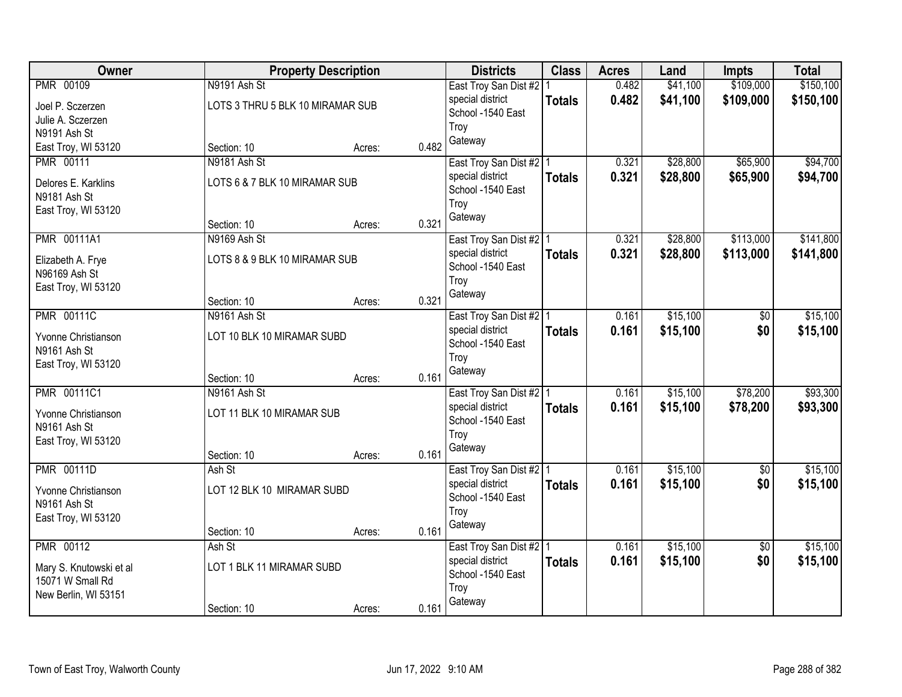| \$109,000<br>PMR 00109<br>0.482<br>\$41,100<br>N9191 Ash St<br>East Troy San Dist #2   1<br>0.482<br>\$41,100<br>\$109,000<br>special district<br><b>Totals</b><br>LOTS 3 THRU 5 BLK 10 MIRAMAR SUB<br>Joel P. Sczerzen<br>School -1540 East<br>Julie A. Sczerzen<br>Troy<br>N9191 Ash St<br>Gateway<br>0.482<br>East Troy, WI 53120<br>Section: 10<br>Acres:<br>\$28,800<br>\$65,900<br><b>PMR 00111</b><br>N9181 Ash St<br>0.321<br>East Troy San Dist #2   1<br>0.321<br>\$65,900<br>\$28,800<br>special district<br><b>Totals</b><br>LOTS 6 & 7 BLK 10 MIRAMAR SUB<br>Delores E. Karklins<br>School -1540 East<br>N9181 Ash St<br>Troy<br>East Troy, WI 53120<br>Gateway<br>0.321<br>Section: 10<br>Acres:<br><b>PMR 00111A1</b><br>\$113,000<br>N9169 Ash St<br>0.321<br>\$28,800<br>East Troy San Dist #2   1<br>special district<br>0.321<br>\$28,800<br>\$113,000<br><b>Totals</b><br>LOTS 8 & 9 BLK 10 MIRAMAR SUB<br>Elizabeth A. Frye<br>School -1540 East<br>N96169 Ash St<br>Troy<br>East Troy, WI 53120<br>Gateway<br>0.321<br>Section: 10<br>Acres:<br><b>PMR 00111C</b><br>N9161 Ash St<br>\$15,100<br>East Troy San Dist #2   1<br>0.161<br>\$0<br>special district<br>0.161<br>\$15,100<br>\$0<br><b>Totals</b><br>Yvonne Christianson<br>LOT 10 BLK 10 MIRAMAR SUBD<br>School -1540 East<br>N9161 Ash St<br>Troy<br>East Troy, WI 53120<br>Gateway<br>0.161<br>Section: 10<br>Acres:<br>PMR 00111C1<br>\$15,100<br>\$78,200<br>N9161 Ash St<br>0.161<br>East Troy San Dist #2   1<br>special district<br>0.161<br>\$15,100<br>\$78,200<br><b>Totals</b><br>Yvonne Christianson<br>LOT 11 BLK 10 MIRAMAR SUB<br>School -1540 East<br>N9161 Ash St<br>Troy<br>East Troy, WI 53120<br>Gateway<br>0.161<br>Section: 10<br>Acres:<br><b>PMR 00111D</b><br>\$15,100<br>Ash St<br>0.161<br>$\sqrt{6}$<br>East Troy San Dist #2 1<br>\$15,100<br>special district<br>0.161<br>\$0<br><b>Totals</b><br>LOT 12 BLK 10 MIRAMAR SUBD<br>Yvonne Christianson<br>School -1540 East<br>N9161 Ash St<br>Troy<br>East Troy, WI 53120<br>Gateway<br>0.161<br>Section: 10<br>Acres:<br><b>PMR 00112</b><br>\$15,100<br>Ash St<br>East Troy San Dist #2   1<br>0.161<br>$\overline{50}$<br>0.161<br>\$0<br>\$15,100<br>special district<br><b>Totals</b><br>LOT 1 BLK 11 MIRAMAR SUBD<br>Mary S. Knutowski et al<br>School -1540 East<br>15071 W Small Rd<br>Troy<br>New Berlin, WI 53151<br>Gateway | Owner |             | <b>Property Description</b> |       | <b>Districts</b> | <b>Class</b> | <b>Acres</b> | Land | <b>Impts</b> | <b>Total</b> |
|-----------------------------------------------------------------------------------------------------------------------------------------------------------------------------------------------------------------------------------------------------------------------------------------------------------------------------------------------------------------------------------------------------------------------------------------------------------------------------------------------------------------------------------------------------------------------------------------------------------------------------------------------------------------------------------------------------------------------------------------------------------------------------------------------------------------------------------------------------------------------------------------------------------------------------------------------------------------------------------------------------------------------------------------------------------------------------------------------------------------------------------------------------------------------------------------------------------------------------------------------------------------------------------------------------------------------------------------------------------------------------------------------------------------------------------------------------------------------------------------------------------------------------------------------------------------------------------------------------------------------------------------------------------------------------------------------------------------------------------------------------------------------------------------------------------------------------------------------------------------------------------------------------------------------------------------------------------------------------------------------------------------------------------------------------------------------------------------------------------------------------------------------------------------------------------------------------------------------------------------------------------------------------------------------------------------------------------------------------------------------------------------------------|-------|-------------|-----------------------------|-------|------------------|--------------|--------------|------|--------------|--------------|
|                                                                                                                                                                                                                                                                                                                                                                                                                                                                                                                                                                                                                                                                                                                                                                                                                                                                                                                                                                                                                                                                                                                                                                                                                                                                                                                                                                                                                                                                                                                                                                                                                                                                                                                                                                                                                                                                                                                                                                                                                                                                                                                                                                                                                                                                                                                                                                                                     |       |             |                             |       |                  |              |              |      |              | \$150,100    |
| \$94,700<br>\$94,700<br>\$141,800<br>\$141,800                                                                                                                                                                                                                                                                                                                                                                                                                                                                                                                                                                                                                                                                                                                                                                                                                                                                                                                                                                                                                                                                                                                                                                                                                                                                                                                                                                                                                                                                                                                                                                                                                                                                                                                                                                                                                                                                                                                                                                                                                                                                                                                                                                                                                                                                                                                                                      |       |             |                             |       |                  |              |              |      |              | \$150,100    |
|                                                                                                                                                                                                                                                                                                                                                                                                                                                                                                                                                                                                                                                                                                                                                                                                                                                                                                                                                                                                                                                                                                                                                                                                                                                                                                                                                                                                                                                                                                                                                                                                                                                                                                                                                                                                                                                                                                                                                                                                                                                                                                                                                                                                                                                                                                                                                                                                     |       |             |                             |       |                  |              |              |      |              |              |
|                                                                                                                                                                                                                                                                                                                                                                                                                                                                                                                                                                                                                                                                                                                                                                                                                                                                                                                                                                                                                                                                                                                                                                                                                                                                                                                                                                                                                                                                                                                                                                                                                                                                                                                                                                                                                                                                                                                                                                                                                                                                                                                                                                                                                                                                                                                                                                                                     |       |             |                             |       |                  |              |              |      |              |              |
|                                                                                                                                                                                                                                                                                                                                                                                                                                                                                                                                                                                                                                                                                                                                                                                                                                                                                                                                                                                                                                                                                                                                                                                                                                                                                                                                                                                                                                                                                                                                                                                                                                                                                                                                                                                                                                                                                                                                                                                                                                                                                                                                                                                                                                                                                                                                                                                                     |       |             |                             |       |                  |              |              |      |              |              |
|                                                                                                                                                                                                                                                                                                                                                                                                                                                                                                                                                                                                                                                                                                                                                                                                                                                                                                                                                                                                                                                                                                                                                                                                                                                                                                                                                                                                                                                                                                                                                                                                                                                                                                                                                                                                                                                                                                                                                                                                                                                                                                                                                                                                                                                                                                                                                                                                     |       |             |                             |       |                  |              |              |      |              |              |
|                                                                                                                                                                                                                                                                                                                                                                                                                                                                                                                                                                                                                                                                                                                                                                                                                                                                                                                                                                                                                                                                                                                                                                                                                                                                                                                                                                                                                                                                                                                                                                                                                                                                                                                                                                                                                                                                                                                                                                                                                                                                                                                                                                                                                                                                                                                                                                                                     |       |             |                             |       |                  |              |              |      |              |              |
|                                                                                                                                                                                                                                                                                                                                                                                                                                                                                                                                                                                                                                                                                                                                                                                                                                                                                                                                                                                                                                                                                                                                                                                                                                                                                                                                                                                                                                                                                                                                                                                                                                                                                                                                                                                                                                                                                                                                                                                                                                                                                                                                                                                                                                                                                                                                                                                                     |       |             |                             |       |                  |              |              |      |              |              |
|                                                                                                                                                                                                                                                                                                                                                                                                                                                                                                                                                                                                                                                                                                                                                                                                                                                                                                                                                                                                                                                                                                                                                                                                                                                                                                                                                                                                                                                                                                                                                                                                                                                                                                                                                                                                                                                                                                                                                                                                                                                                                                                                                                                                                                                                                                                                                                                                     |       |             |                             |       |                  |              |              |      |              |              |
|                                                                                                                                                                                                                                                                                                                                                                                                                                                                                                                                                                                                                                                                                                                                                                                                                                                                                                                                                                                                                                                                                                                                                                                                                                                                                                                                                                                                                                                                                                                                                                                                                                                                                                                                                                                                                                                                                                                                                                                                                                                                                                                                                                                                                                                                                                                                                                                                     |       |             |                             |       |                  |              |              |      |              |              |
|                                                                                                                                                                                                                                                                                                                                                                                                                                                                                                                                                                                                                                                                                                                                                                                                                                                                                                                                                                                                                                                                                                                                                                                                                                                                                                                                                                                                                                                                                                                                                                                                                                                                                                                                                                                                                                                                                                                                                                                                                                                                                                                                                                                                                                                                                                                                                                                                     |       |             |                             |       |                  |              |              |      |              |              |
| \$15,100<br>\$15,100<br>\$93,300<br>\$93,300<br>\$15,100<br>\$15,100<br>\$15,100<br>\$15,100                                                                                                                                                                                                                                                                                                                                                                                                                                                                                                                                                                                                                                                                                                                                                                                                                                                                                                                                                                                                                                                                                                                                                                                                                                                                                                                                                                                                                                                                                                                                                                                                                                                                                                                                                                                                                                                                                                                                                                                                                                                                                                                                                                                                                                                                                                        |       |             |                             |       |                  |              |              |      |              |              |
|                                                                                                                                                                                                                                                                                                                                                                                                                                                                                                                                                                                                                                                                                                                                                                                                                                                                                                                                                                                                                                                                                                                                                                                                                                                                                                                                                                                                                                                                                                                                                                                                                                                                                                                                                                                                                                                                                                                                                                                                                                                                                                                                                                                                                                                                                                                                                                                                     |       |             |                             |       |                  |              |              |      |              |              |
|                                                                                                                                                                                                                                                                                                                                                                                                                                                                                                                                                                                                                                                                                                                                                                                                                                                                                                                                                                                                                                                                                                                                                                                                                                                                                                                                                                                                                                                                                                                                                                                                                                                                                                                                                                                                                                                                                                                                                                                                                                                                                                                                                                                                                                                                                                                                                                                                     |       |             |                             |       |                  |              |              |      |              |              |
|                                                                                                                                                                                                                                                                                                                                                                                                                                                                                                                                                                                                                                                                                                                                                                                                                                                                                                                                                                                                                                                                                                                                                                                                                                                                                                                                                                                                                                                                                                                                                                                                                                                                                                                                                                                                                                                                                                                                                                                                                                                                                                                                                                                                                                                                                                                                                                                                     |       |             |                             |       |                  |              |              |      |              |              |
|                                                                                                                                                                                                                                                                                                                                                                                                                                                                                                                                                                                                                                                                                                                                                                                                                                                                                                                                                                                                                                                                                                                                                                                                                                                                                                                                                                                                                                                                                                                                                                                                                                                                                                                                                                                                                                                                                                                                                                                                                                                                                                                                                                                                                                                                                                                                                                                                     |       |             |                             |       |                  |              |              |      |              |              |
|                                                                                                                                                                                                                                                                                                                                                                                                                                                                                                                                                                                                                                                                                                                                                                                                                                                                                                                                                                                                                                                                                                                                                                                                                                                                                                                                                                                                                                                                                                                                                                                                                                                                                                                                                                                                                                                                                                                                                                                                                                                                                                                                                                                                                                                                                                                                                                                                     |       |             |                             |       |                  |              |              |      |              |              |
|                                                                                                                                                                                                                                                                                                                                                                                                                                                                                                                                                                                                                                                                                                                                                                                                                                                                                                                                                                                                                                                                                                                                                                                                                                                                                                                                                                                                                                                                                                                                                                                                                                                                                                                                                                                                                                                                                                                                                                                                                                                                                                                                                                                                                                                                                                                                                                                                     |       |             |                             |       |                  |              |              |      |              |              |
|                                                                                                                                                                                                                                                                                                                                                                                                                                                                                                                                                                                                                                                                                                                                                                                                                                                                                                                                                                                                                                                                                                                                                                                                                                                                                                                                                                                                                                                                                                                                                                                                                                                                                                                                                                                                                                                                                                                                                                                                                                                                                                                                                                                                                                                                                                                                                                                                     |       |             |                             |       |                  |              |              |      |              |              |
|                                                                                                                                                                                                                                                                                                                                                                                                                                                                                                                                                                                                                                                                                                                                                                                                                                                                                                                                                                                                                                                                                                                                                                                                                                                                                                                                                                                                                                                                                                                                                                                                                                                                                                                                                                                                                                                                                                                                                                                                                                                                                                                                                                                                                                                                                                                                                                                                     |       |             |                             |       |                  |              |              |      |              |              |
|                                                                                                                                                                                                                                                                                                                                                                                                                                                                                                                                                                                                                                                                                                                                                                                                                                                                                                                                                                                                                                                                                                                                                                                                                                                                                                                                                                                                                                                                                                                                                                                                                                                                                                                                                                                                                                                                                                                                                                                                                                                                                                                                                                                                                                                                                                                                                                                                     |       |             |                             |       |                  |              |              |      |              |              |
|                                                                                                                                                                                                                                                                                                                                                                                                                                                                                                                                                                                                                                                                                                                                                                                                                                                                                                                                                                                                                                                                                                                                                                                                                                                                                                                                                                                                                                                                                                                                                                                                                                                                                                                                                                                                                                                                                                                                                                                                                                                                                                                                                                                                                                                                                                                                                                                                     |       |             |                             |       |                  |              |              |      |              |              |
|                                                                                                                                                                                                                                                                                                                                                                                                                                                                                                                                                                                                                                                                                                                                                                                                                                                                                                                                                                                                                                                                                                                                                                                                                                                                                                                                                                                                                                                                                                                                                                                                                                                                                                                                                                                                                                                                                                                                                                                                                                                                                                                                                                                                                                                                                                                                                                                                     |       |             |                             |       |                  |              |              |      |              |              |
|                                                                                                                                                                                                                                                                                                                                                                                                                                                                                                                                                                                                                                                                                                                                                                                                                                                                                                                                                                                                                                                                                                                                                                                                                                                                                                                                                                                                                                                                                                                                                                                                                                                                                                                                                                                                                                                                                                                                                                                                                                                                                                                                                                                                                                                                                                                                                                                                     |       |             |                             |       |                  |              |              |      |              |              |
|                                                                                                                                                                                                                                                                                                                                                                                                                                                                                                                                                                                                                                                                                                                                                                                                                                                                                                                                                                                                                                                                                                                                                                                                                                                                                                                                                                                                                                                                                                                                                                                                                                                                                                                                                                                                                                                                                                                                                                                                                                                                                                                                                                                                                                                                                                                                                                                                     |       |             |                             |       |                  |              |              |      |              |              |
|                                                                                                                                                                                                                                                                                                                                                                                                                                                                                                                                                                                                                                                                                                                                                                                                                                                                                                                                                                                                                                                                                                                                                                                                                                                                                                                                                                                                                                                                                                                                                                                                                                                                                                                                                                                                                                                                                                                                                                                                                                                                                                                                                                                                                                                                                                                                                                                                     |       |             |                             |       |                  |              |              |      |              |              |
|                                                                                                                                                                                                                                                                                                                                                                                                                                                                                                                                                                                                                                                                                                                                                                                                                                                                                                                                                                                                                                                                                                                                                                                                                                                                                                                                                                                                                                                                                                                                                                                                                                                                                                                                                                                                                                                                                                                                                                                                                                                                                                                                                                                                                                                                                                                                                                                                     |       |             |                             |       |                  |              |              |      |              |              |
|                                                                                                                                                                                                                                                                                                                                                                                                                                                                                                                                                                                                                                                                                                                                                                                                                                                                                                                                                                                                                                                                                                                                                                                                                                                                                                                                                                                                                                                                                                                                                                                                                                                                                                                                                                                                                                                                                                                                                                                                                                                                                                                                                                                                                                                                                                                                                                                                     |       |             |                             |       |                  |              |              |      |              |              |
|                                                                                                                                                                                                                                                                                                                                                                                                                                                                                                                                                                                                                                                                                                                                                                                                                                                                                                                                                                                                                                                                                                                                                                                                                                                                                                                                                                                                                                                                                                                                                                                                                                                                                                                                                                                                                                                                                                                                                                                                                                                                                                                                                                                                                                                                                                                                                                                                     |       |             |                             |       |                  |              |              |      |              |              |
|                                                                                                                                                                                                                                                                                                                                                                                                                                                                                                                                                                                                                                                                                                                                                                                                                                                                                                                                                                                                                                                                                                                                                                                                                                                                                                                                                                                                                                                                                                                                                                                                                                                                                                                                                                                                                                                                                                                                                                                                                                                                                                                                                                                                                                                                                                                                                                                                     |       |             |                             |       |                  |              |              |      |              |              |
|                                                                                                                                                                                                                                                                                                                                                                                                                                                                                                                                                                                                                                                                                                                                                                                                                                                                                                                                                                                                                                                                                                                                                                                                                                                                                                                                                                                                                                                                                                                                                                                                                                                                                                                                                                                                                                                                                                                                                                                                                                                                                                                                                                                                                                                                                                                                                                                                     |       |             |                             |       |                  |              |              |      |              |              |
|                                                                                                                                                                                                                                                                                                                                                                                                                                                                                                                                                                                                                                                                                                                                                                                                                                                                                                                                                                                                                                                                                                                                                                                                                                                                                                                                                                                                                                                                                                                                                                                                                                                                                                                                                                                                                                                                                                                                                                                                                                                                                                                                                                                                                                                                                                                                                                                                     |       |             |                             |       |                  |              |              |      |              |              |
|                                                                                                                                                                                                                                                                                                                                                                                                                                                                                                                                                                                                                                                                                                                                                                                                                                                                                                                                                                                                                                                                                                                                                                                                                                                                                                                                                                                                                                                                                                                                                                                                                                                                                                                                                                                                                                                                                                                                                                                                                                                                                                                                                                                                                                                                                                                                                                                                     |       |             |                             |       |                  |              |              |      |              |              |
|                                                                                                                                                                                                                                                                                                                                                                                                                                                                                                                                                                                                                                                                                                                                                                                                                                                                                                                                                                                                                                                                                                                                                                                                                                                                                                                                                                                                                                                                                                                                                                                                                                                                                                                                                                                                                                                                                                                                                                                                                                                                                                                                                                                                                                                                                                                                                                                                     |       |             |                             |       |                  |              |              |      |              |              |
|                                                                                                                                                                                                                                                                                                                                                                                                                                                                                                                                                                                                                                                                                                                                                                                                                                                                                                                                                                                                                                                                                                                                                                                                                                                                                                                                                                                                                                                                                                                                                                                                                                                                                                                                                                                                                                                                                                                                                                                                                                                                                                                                                                                                                                                                                                                                                                                                     |       |             |                             |       |                  |              |              |      |              |              |
|                                                                                                                                                                                                                                                                                                                                                                                                                                                                                                                                                                                                                                                                                                                                                                                                                                                                                                                                                                                                                                                                                                                                                                                                                                                                                                                                                                                                                                                                                                                                                                                                                                                                                                                                                                                                                                                                                                                                                                                                                                                                                                                                                                                                                                                                                                                                                                                                     |       | Section: 10 | Acres:                      | 0.161 |                  |              |              |      |              |              |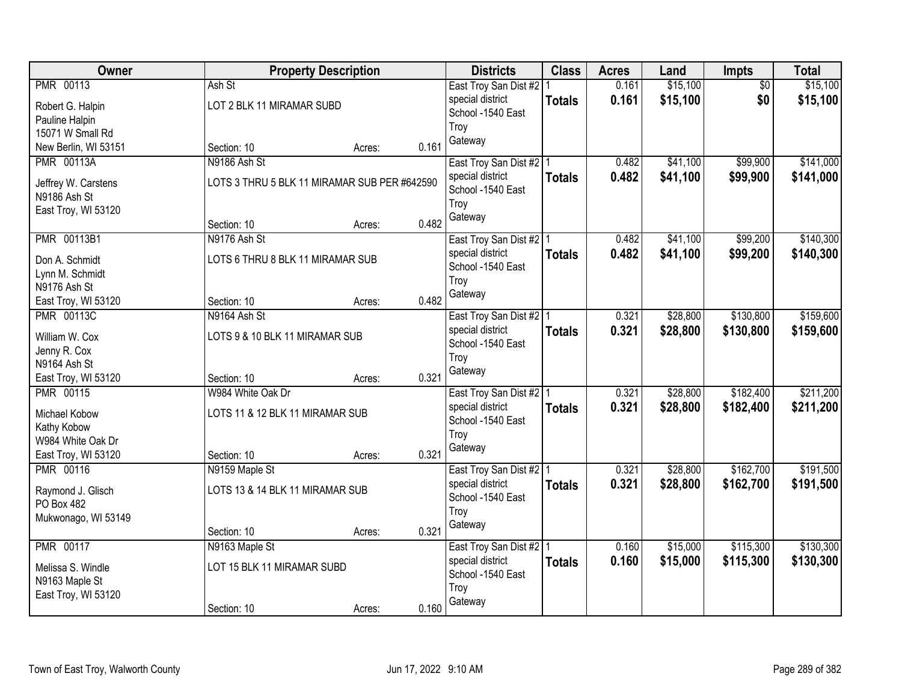| Owner                |                                              | <b>Property Description</b> |       | <b>Districts</b>                      | <b>Class</b>  | <b>Acres</b> | Land     | <b>Impts</b>    | <b>Total</b> |
|----------------------|----------------------------------------------|-----------------------------|-------|---------------------------------------|---------------|--------------|----------|-----------------|--------------|
| <b>PMR 00113</b>     | Ash St                                       |                             |       | East Troy San Dist #2   1             |               | 0.161        | \$15,100 | $\overline{50}$ | \$15,100     |
| Robert G. Halpin     | LOT 2 BLK 11 MIRAMAR SUBD                    |                             |       | special district                      | <b>Totals</b> | 0.161        | \$15,100 | \$0             | \$15,100     |
| Pauline Halpin       |                                              |                             |       | School -1540 East                     |               |              |          |                 |              |
| 15071 W Small Rd     |                                              |                             |       | Troy                                  |               |              |          |                 |              |
| New Berlin, WI 53151 | Section: 10                                  | Acres:                      | 0.161 | Gateway                               |               |              |          |                 |              |
| <b>PMR 00113A</b>    | N9186 Ash St                                 |                             |       | East Troy San Dist #2   1             |               | 0.482        | \$41,100 | \$99,900        | \$141,000    |
| Jeffrey W. Carstens  | LOTS 3 THRU 5 BLK 11 MIRAMAR SUB PER #642590 |                             |       | special district                      | <b>Totals</b> | 0.482        | \$41,100 | \$99,900        | \$141,000    |
| N9186 Ash St         |                                              |                             |       | School -1540 East                     |               |              |          |                 |              |
| East Troy, WI 53120  |                                              |                             |       | Troy                                  |               |              |          |                 |              |
|                      | Section: 10                                  | Acres:                      | 0.482 | Gateway                               |               |              |          |                 |              |
| PMR 00113B1          | N9176 Ash St                                 |                             |       | East Troy San Dist #2   1             |               | 0.482        | \$41,100 | \$99,200        | \$140,300    |
| Don A. Schmidt       | LOTS 6 THRU 8 BLK 11 MIRAMAR SUB             |                             |       | special district                      | <b>Totals</b> | 0.482        | \$41,100 | \$99,200        | \$140,300    |
| Lynn M. Schmidt      |                                              |                             |       | School -1540 East                     |               |              |          |                 |              |
| N9176 Ash St         |                                              |                             |       | Troy                                  |               |              |          |                 |              |
| East Troy, WI 53120  | Section: 10                                  | Acres:                      | 0.482 | Gateway                               |               |              |          |                 |              |
| <b>PMR 00113C</b>    | N9164 Ash St                                 |                             |       | East Troy San Dist #2   1             |               | 0.321        | \$28,800 | \$130,800       | \$159,600    |
|                      |                                              |                             |       | special district                      | <b>Totals</b> | 0.321        | \$28,800 | \$130,800       | \$159,600    |
| William W. Cox       | LOTS 9 & 10 BLK 11 MIRAMAR SUB               |                             |       | School -1540 East                     |               |              |          |                 |              |
| Jenny R. Cox         |                                              |                             |       | Troy                                  |               |              |          |                 |              |
| N9164 Ash St         |                                              |                             |       | Gateway                               |               |              |          |                 |              |
| East Troy, WI 53120  | Section: 10                                  | Acres:                      | 0.321 |                                       |               |              |          |                 |              |
| <b>PMR 00115</b>     | W984 White Oak Dr                            |                             |       | East Troy San Dist #2   1             |               | 0.321        | \$28,800 | \$182,400       | \$211,200    |
| Michael Kobow        | LOTS 11 & 12 BLK 11 MIRAMAR SUB              |                             |       | special district<br>School -1540 East | <b>Totals</b> | 0.321        | \$28,800 | \$182,400       | \$211,200    |
| Kathy Kobow          |                                              |                             |       | Troy                                  |               |              |          |                 |              |
| W984 White Oak Dr    |                                              |                             |       | Gateway                               |               |              |          |                 |              |
| East Troy, WI 53120  | Section: 10                                  | Acres:                      | 0.321 |                                       |               |              |          |                 |              |
| <b>PMR 00116</b>     | N9159 Maple St                               |                             |       | East Troy San Dist #2 1               |               | 0.321        | \$28,800 | \$162,700       | \$191,500    |
| Raymond J. Glisch    | LOTS 13 & 14 BLK 11 MIRAMAR SUB              |                             |       | special district                      | <b>Totals</b> | 0.321        | \$28,800 | \$162,700       | \$191,500    |
| PO Box 482           |                                              |                             |       | School -1540 East                     |               |              |          |                 |              |
| Mukwonago, WI 53149  |                                              |                             |       | Troy                                  |               |              |          |                 |              |
|                      | Section: 10                                  | Acres:                      | 0.321 | Gateway                               |               |              |          |                 |              |
| <b>PMR 00117</b>     | N9163 Maple St                               |                             |       | East Troy San Dist #2   1             |               | 0.160        | \$15,000 | \$115,300       | \$130,300    |
| Melissa S. Windle    | LOT 15 BLK 11 MIRAMAR SUBD                   |                             |       | special district                      | <b>Totals</b> | 0.160        | \$15,000 | \$115,300       | \$130,300    |
| N9163 Maple St       |                                              |                             |       | School -1540 East                     |               |              |          |                 |              |
| East Troy, WI 53120  |                                              |                             |       | Troy                                  |               |              |          |                 |              |
|                      | Section: 10                                  | Acres:                      | 0.160 | Gateway                               |               |              |          |                 |              |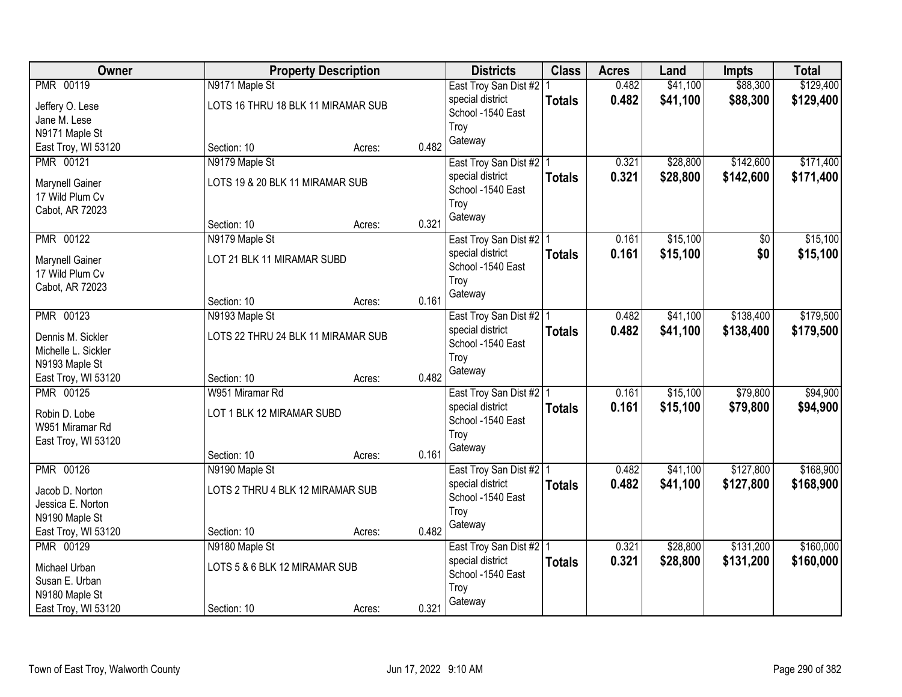| Owner                              |                                    | <b>Property Description</b> |       | <b>Districts</b>          | <b>Class</b>  | <b>Acres</b> | Land     | <b>Impts</b>   | <b>Total</b> |
|------------------------------------|------------------------------------|-----------------------------|-------|---------------------------|---------------|--------------|----------|----------------|--------------|
| PMR 00119                          | N9171 Maple St                     |                             |       | East Troy San Dist #2     |               | 0.482        | \$41,100 | \$88,300       | \$129,400    |
| Jeffery O. Lese                    | LOTS 16 THRU 18 BLK 11 MIRAMAR SUB |                             |       | special district          | <b>Totals</b> | 0.482        | \$41,100 | \$88,300       | \$129,400    |
| Jane M. Lese                       |                                    |                             |       | School -1540 East         |               |              |          |                |              |
| N9171 Maple St                     |                                    |                             |       | Troy                      |               |              |          |                |              |
| East Troy, WI 53120                | Section: 10                        | Acres:                      | 0.482 | Gateway                   |               |              |          |                |              |
| PMR 00121                          | N9179 Maple St                     |                             |       | East Troy San Dist #2   1 |               | 0.321        | \$28,800 | \$142,600      | \$171,400    |
|                                    | LOTS 19 & 20 BLK 11 MIRAMAR SUB    |                             |       | special district          | <b>Totals</b> | 0.321        | \$28,800 | \$142,600      | \$171,400    |
| Marynell Gainer<br>17 Wild Plum Cv |                                    |                             |       | School -1540 East         |               |              |          |                |              |
| Cabot, AR 72023                    |                                    |                             |       | Troy                      |               |              |          |                |              |
|                                    | Section: 10                        | Acres:                      | 0.321 | Gateway                   |               |              |          |                |              |
| <b>PMR 00122</b>                   | N9179 Maple St                     |                             |       | East Troy San Dist #2   1 |               | 0.161        | \$15,100 | $\frac{1}{20}$ | \$15,100     |
|                                    | LOT 21 BLK 11 MIRAMAR SUBD         |                             |       | special district          | <b>Totals</b> | 0.161        | \$15,100 | \$0            | \$15,100     |
| Marynell Gainer<br>17 Wild Plum Cv |                                    |                             |       | School -1540 East         |               |              |          |                |              |
| Cabot, AR 72023                    |                                    |                             |       | Troy                      |               |              |          |                |              |
|                                    | Section: 10                        | Acres:                      | 0.161 | Gateway                   |               |              |          |                |              |
| PMR 00123                          | N9193 Maple St                     |                             |       | East Troy San Dist #2   1 |               | 0.482        | \$41,100 | \$138,400      | \$179,500    |
|                                    |                                    |                             |       | special district          | <b>Totals</b> | 0.482        | \$41,100 | \$138,400      | \$179,500    |
| Dennis M. Sickler                  | LOTS 22 THRU 24 BLK 11 MIRAMAR SUB |                             |       | School -1540 East         |               |              |          |                |              |
| Michelle L. Sickler                |                                    |                             |       | Troy                      |               |              |          |                |              |
| N9193 Maple St                     |                                    |                             |       | Gateway                   |               |              |          |                |              |
| East Troy, WI 53120                | Section: 10                        | Acres:                      | 0.482 |                           |               |              |          |                |              |
| <b>PMR 00125</b>                   | W951 Miramar Rd                    |                             |       | East Troy San Dist #2 1   |               | 0.161        | \$15,100 | \$79,800       | \$94,900     |
| Robin D. Lobe                      | LOT 1 BLK 12 MIRAMAR SUBD          |                             |       | special district          | <b>Totals</b> | 0.161        | \$15,100 | \$79,800       | \$94,900     |
| W951 Miramar Rd                    |                                    |                             |       | School -1540 East         |               |              |          |                |              |
| East Troy, WI 53120                |                                    |                             |       | Troy<br>Gateway           |               |              |          |                |              |
|                                    | Section: 10                        | Acres:                      | 0.161 |                           |               |              |          |                |              |
| PMR 00126                          | N9190 Maple St                     |                             |       | East Troy San Dist #2   1 |               | 0.482        | \$41,100 | \$127,800      | \$168,900    |
| Jacob D. Norton                    | LOTS 2 THRU 4 BLK 12 MIRAMAR SUB   |                             |       | special district          | <b>Totals</b> | 0.482        | \$41,100 | \$127,800      | \$168,900    |
| Jessica E. Norton                  |                                    |                             |       | School -1540 East         |               |              |          |                |              |
| N9190 Maple St                     |                                    |                             |       | Troy                      |               |              |          |                |              |
| East Troy, WI 53120                | Section: 10                        | Acres:                      | 0.482 | Gateway                   |               |              |          |                |              |
| PMR 00129                          | N9180 Maple St                     |                             |       | East Troy San Dist #2   1 |               | 0.321        | \$28,800 | \$131,200      | \$160,000    |
| Michael Urban                      | LOTS 5 & 6 BLK 12 MIRAMAR SUB      |                             |       | special district          | <b>Totals</b> | 0.321        | \$28,800 | \$131,200      | \$160,000    |
| Susan E. Urban                     |                                    |                             |       | School -1540 East         |               |              |          |                |              |
| N9180 Maple St                     |                                    |                             |       | Troy                      |               |              |          |                |              |
| East Troy, WI 53120                | Section: 10                        | Acres:                      | 0.321 | Gateway                   |               |              |          |                |              |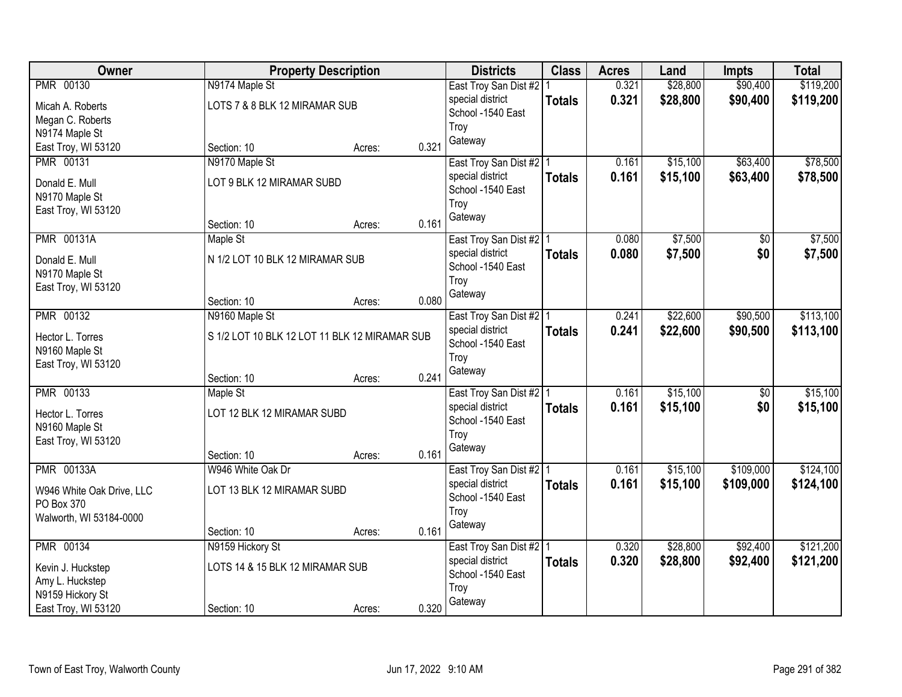| Owner                     |                                               | <b>Property Description</b> |       | <b>Districts</b>          | <b>Class</b>  | <b>Acres</b> | Land     | <b>Impts</b>    | <b>Total</b> |
|---------------------------|-----------------------------------------------|-----------------------------|-------|---------------------------|---------------|--------------|----------|-----------------|--------------|
| PMR 00130                 | N9174 Maple St                                |                             |       | East Troy San Dist #2   1 |               | 0.321        | \$28,800 | \$90,400        | \$119,200    |
| Micah A. Roberts          | LOTS 7 & 8 BLK 12 MIRAMAR SUB                 |                             |       | special district          | <b>Totals</b> | 0.321        | \$28,800 | \$90,400        | \$119,200    |
| Megan C. Roberts          |                                               |                             |       | School -1540 East         |               |              |          |                 |              |
| N9174 Maple St            |                                               |                             |       | Troy                      |               |              |          |                 |              |
| East Troy, WI 53120       | Section: 10                                   | Acres:                      | 0.321 | Gateway                   |               |              |          |                 |              |
| PMR 00131                 | N9170 Maple St                                |                             |       | East Troy San Dist #2   1 |               | 0.161        | \$15,100 | \$63,400        | \$78,500     |
| Donald E. Mull            | LOT 9 BLK 12 MIRAMAR SUBD                     |                             |       | special district          | <b>Totals</b> | 0.161        | \$15,100 | \$63,400        | \$78,500     |
| N9170 Maple St            |                                               |                             |       | School -1540 East         |               |              |          |                 |              |
| East Troy, WI 53120       |                                               |                             |       | Troy                      |               |              |          |                 |              |
|                           | Section: 10                                   | Acres:                      | 0.161 | Gateway                   |               |              |          |                 |              |
| <b>PMR 00131A</b>         | Maple St                                      |                             |       | East Troy San Dist #2   1 |               | 0.080        | \$7,500  | $\overline{50}$ | \$7,500      |
| Donald E. Mull            | N 1/2 LOT 10 BLK 12 MIRAMAR SUB               |                             |       | special district          | <b>Totals</b> | 0.080        | \$7,500  | \$0             | \$7,500      |
| N9170 Maple St            |                                               |                             |       | School -1540 East         |               |              |          |                 |              |
| East Troy, WI 53120       |                                               |                             |       | Troy                      |               |              |          |                 |              |
|                           | Section: 10                                   | Acres:                      | 0.080 | Gateway                   |               |              |          |                 |              |
| <b>PMR 00132</b>          | N9160 Maple St                                |                             |       | East Troy San Dist #2   1 |               | 0.241        | \$22,600 | \$90,500        | \$113,100    |
| Hector L. Torres          | S 1/2 LOT 10 BLK 12 LOT 11 BLK 12 MIRAMAR SUB |                             |       | special district          | <b>Totals</b> | 0.241        | \$22,600 | \$90,500        | \$113,100    |
| N9160 Maple St            |                                               |                             |       | School -1540 East         |               |              |          |                 |              |
| East Troy, WI 53120       |                                               |                             |       | Troy                      |               |              |          |                 |              |
|                           | Section: 10                                   | Acres:                      | 0.241 | Gateway                   |               |              |          |                 |              |
| <b>PMR 00133</b>          | Maple St                                      |                             |       | East Troy San Dist #2   1 |               | 0.161        | \$15,100 | $\overline{50}$ | \$15,100     |
| Hector L. Torres          | LOT 12 BLK 12 MIRAMAR SUBD                    |                             |       | special district          | <b>Totals</b> | 0.161        | \$15,100 | \$0             | \$15,100     |
| N9160 Maple St            |                                               |                             |       | School -1540 East         |               |              |          |                 |              |
| East Troy, WI 53120       |                                               |                             |       | Troy                      |               |              |          |                 |              |
|                           | Section: 10                                   | Acres:                      | 0.161 | Gateway                   |               |              |          |                 |              |
| <b>PMR 00133A</b>         | W946 White Oak Dr                             |                             |       | East Troy San Dist #2 1   |               | 0.161        | \$15,100 | \$109,000       | \$124,100    |
| W946 White Oak Drive, LLC | LOT 13 BLK 12 MIRAMAR SUBD                    |                             |       | special district          | <b>Totals</b> | 0.161        | \$15,100 | \$109,000       | \$124,100    |
| PO Box 370                |                                               |                             |       | School -1540 East         |               |              |          |                 |              |
| Walworth, WI 53184-0000   |                                               |                             |       | Troy                      |               |              |          |                 |              |
|                           | Section: 10                                   | Acres:                      | 0.161 | Gateway                   |               |              |          |                 |              |
| <b>PMR 00134</b>          | N9159 Hickory St                              |                             |       | East Troy San Dist #2   1 |               | 0.320        | \$28,800 | \$92,400        | \$121,200    |
| Kevin J. Huckstep         | LOTS 14 & 15 BLK 12 MIRAMAR SUB               |                             |       | special district          | <b>Totals</b> | 0.320        | \$28,800 | \$92,400        | \$121,200    |
| Amy L. Huckstep           |                                               |                             |       | School -1540 East         |               |              |          |                 |              |
| N9159 Hickory St          |                                               |                             |       | Troy                      |               |              |          |                 |              |
| East Troy, WI 53120       | Section: 10                                   | Acres:                      | 0.320 | Gateway                   |               |              |          |                 |              |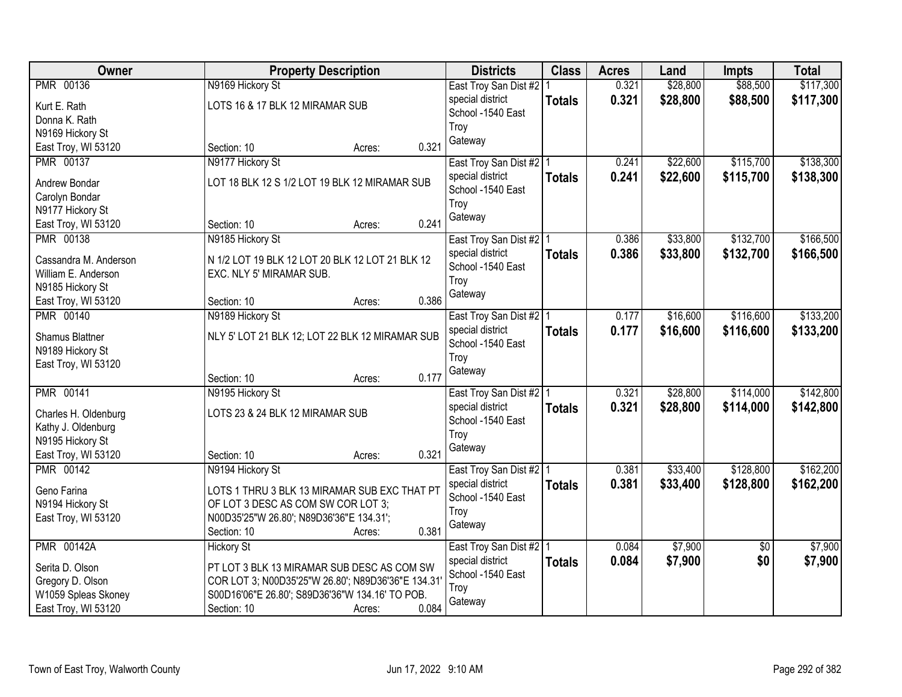| Owner                 |                                                   | <b>Property Description</b> |       | <b>Districts</b>          | <b>Class</b>  | <b>Acres</b> | Land     | <b>Impts</b>    | <b>Total</b> |
|-----------------------|---------------------------------------------------|-----------------------------|-------|---------------------------|---------------|--------------|----------|-----------------|--------------|
| <b>PMR 00136</b>      | N9169 Hickory St                                  |                             |       | East Troy San Dist #2     |               | 0.321        | \$28,800 | \$88,500        | \$117,300    |
| Kurt E. Rath          | LOTS 16 & 17 BLK 12 MIRAMAR SUB                   |                             |       | special district          | <b>Totals</b> | 0.321        | \$28,800 | \$88,500        | \$117,300    |
| Donna K. Rath         |                                                   |                             |       | School -1540 East         |               |              |          |                 |              |
| N9169 Hickory St      |                                                   |                             |       | Troy                      |               |              |          |                 |              |
| East Troy, WI 53120   | Section: 10                                       | Acres:                      | 0.321 | Gateway                   |               |              |          |                 |              |
| <b>PMR 00137</b>      | N9177 Hickory St                                  |                             |       | East Troy San Dist #2   1 |               | 0.241        | \$22,600 | \$115,700       | \$138,300    |
| Andrew Bondar         | LOT 18 BLK 12 S 1/2 LOT 19 BLK 12 MIRAMAR SUB     |                             |       | special district          | <b>Totals</b> | 0.241        | \$22,600 | \$115,700       | \$138,300    |
| Carolyn Bondar        |                                                   |                             |       | School -1540 East         |               |              |          |                 |              |
| N9177 Hickory St      |                                                   |                             |       | Troy                      |               |              |          |                 |              |
| East Troy, WI 53120   | Section: 10                                       | Acres:                      | 0.241 | Gateway                   |               |              |          |                 |              |
| <b>PMR 00138</b>      | N9185 Hickory St                                  |                             |       | East Troy San Dist #2   1 |               | 0.386        | \$33,800 | \$132,700       | \$166,500    |
|                       |                                                   |                             |       | special district          | <b>Totals</b> | 0.386        | \$33,800 | \$132,700       | \$166,500    |
| Cassandra M. Anderson | N 1/2 LOT 19 BLK 12 LOT 20 BLK 12 LOT 21 BLK 12   |                             |       | School -1540 East         |               |              |          |                 |              |
| William E. Anderson   | EXC. NLY 5' MIRAMAR SUB.                          |                             |       | Troy                      |               |              |          |                 |              |
| N9185 Hickory St      |                                                   |                             |       | Gateway                   |               |              |          |                 |              |
| East Troy, WI 53120   | Section: 10                                       | Acres:                      | 0.386 |                           |               |              |          |                 |              |
| <b>PMR 00140</b>      | N9189 Hickory St                                  |                             |       | East Troy San Dist #2   1 |               | 0.177        | \$16,600 | \$116,600       | \$133,200    |
| Shamus Blattner       | NLY 5' LOT 21 BLK 12; LOT 22 BLK 12 MIRAMAR SUB   |                             |       | special district          | <b>Totals</b> | 0.177        | \$16,600 | \$116,600       | \$133,200    |
| N9189 Hickory St      |                                                   |                             |       | School -1540 East         |               |              |          |                 |              |
| East Troy, WI 53120   |                                                   |                             |       | Troy                      |               |              |          |                 |              |
|                       | Section: 10                                       | Acres:                      | 0.177 | Gateway                   |               |              |          |                 |              |
| <b>PMR 00141</b>      | N9195 Hickory St                                  |                             |       | East Troy San Dist #2 1   |               | 0.321        | \$28,800 | \$114,000       | \$142,800    |
| Charles H. Oldenburg  | LOTS 23 & 24 BLK 12 MIRAMAR SUB                   |                             |       | special district          | <b>Totals</b> | 0.321        | \$28,800 | \$114,000       | \$142,800    |
| Kathy J. Oldenburg    |                                                   |                             |       | School -1540 East         |               |              |          |                 |              |
| N9195 Hickory St      |                                                   |                             |       | Troy                      |               |              |          |                 |              |
| East Troy, WI 53120   | Section: 10                                       | Acres:                      | 0.321 | Gateway                   |               |              |          |                 |              |
| <b>PMR 00142</b>      | N9194 Hickory St                                  |                             |       | East Troy San Dist #2   1 |               | 0.381        | \$33,400 | \$128,800       | \$162,200    |
|                       |                                                   |                             |       | special district          | <b>Totals</b> | 0.381        | \$33,400 | \$128,800       | \$162,200    |
| Geno Farina           | LOTS 1 THRU 3 BLK 13 MIRAMAR SUB EXC THAT PT      |                             |       | School -1540 East         |               |              |          |                 |              |
| N9194 Hickory St      | OF LOT 3 DESC AS COM SW COR LOT 3;                |                             |       | Troy                      |               |              |          |                 |              |
| East Troy, WI 53120   | N00D35'25"W 26.80"; N89D36'36"E 134.31";          |                             |       | Gateway                   |               |              |          |                 |              |
|                       | Section: 10                                       | Acres:                      | 0.381 |                           |               |              |          |                 |              |
| <b>PMR 00142A</b>     | <b>Hickory St</b>                                 |                             |       | East Troy San Dist #2   1 |               | 0.084        | \$7,900  | $\overline{50}$ | \$7,900      |
| Serita D. Olson       | PT LOT 3 BLK 13 MIRAMAR SUB DESC AS COM SW        |                             |       | special district          | <b>Totals</b> | 0.084        | \$7,900  | \$0             | \$7,900      |
| Gregory D. Olson      | COR LOT 3; N00D35'25"W 26.80'; N89D36'36"E 134.31 |                             |       | School -1540 East         |               |              |          |                 |              |
| W1059 Spleas Skoney   | S00D16'06"E 26.80'; S89D36'36"W 134.16' TO POB.   |                             |       | Troy                      |               |              |          |                 |              |
| East Troy, WI 53120   | Section: 10                                       | Acres:                      | 0.084 | Gateway                   |               |              |          |                 |              |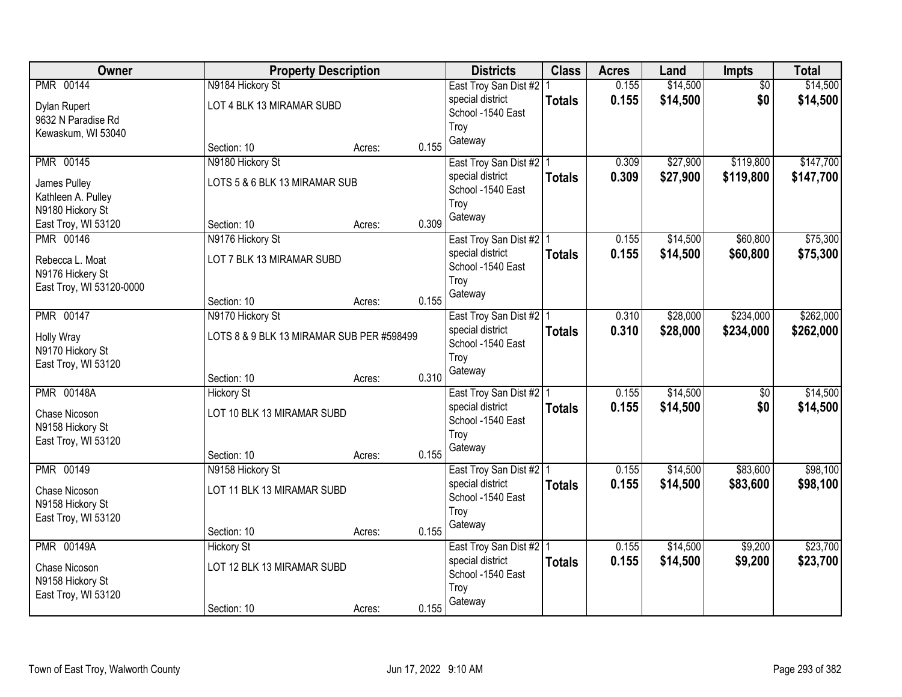| Owner                                 |                                           | <b>Property Description</b> |       | <b>Districts</b>          | <b>Class</b>  | <b>Acres</b> | Land     | <b>Impts</b>    | <b>Total</b> |
|---------------------------------------|-------------------------------------------|-----------------------------|-------|---------------------------|---------------|--------------|----------|-----------------|--------------|
| <b>PMR 00144</b>                      | N9184 Hickory St                          |                             |       | East Troy San Dist #2   1 |               | 0.155        | \$14,500 | $\overline{50}$ | \$14,500     |
| Dylan Rupert                          | LOT 4 BLK 13 MIRAMAR SUBD                 |                             |       | special district          | <b>Totals</b> | 0.155        | \$14,500 | \$0             | \$14,500     |
| 9632 N Paradise Rd                    |                                           |                             |       | School -1540 East         |               |              |          |                 |              |
| Kewaskum, WI 53040                    |                                           |                             |       | Troy                      |               |              |          |                 |              |
|                                       | Section: 10                               | Acres:                      | 0.155 | Gateway                   |               |              |          |                 |              |
| <b>PMR 00145</b>                      | N9180 Hickory St                          |                             |       | East Troy San Dist #2   1 |               | 0.309        | \$27,900 | \$119,800       | \$147,700    |
| James Pulley                          | LOTS 5 & 6 BLK 13 MIRAMAR SUB             |                             |       | special district          | <b>Totals</b> | 0.309        | \$27,900 | \$119,800       | \$147,700    |
| Kathleen A. Pulley                    |                                           |                             |       | School -1540 East         |               |              |          |                 |              |
| N9180 Hickory St                      |                                           |                             |       | Troy                      |               |              |          |                 |              |
| East Troy, WI 53120                   | Section: 10                               | Acres:                      | 0.309 | Gateway                   |               |              |          |                 |              |
| <b>PMR 00146</b>                      | N9176 Hickory St                          |                             |       | East Troy San Dist #2   1 |               | 0.155        | \$14,500 | \$60,800        | \$75,300     |
| Rebecca L. Moat                       | LOT 7 BLK 13 MIRAMAR SUBD                 |                             |       | special district          | <b>Totals</b> | 0.155        | \$14,500 | \$60,800        | \$75,300     |
| N9176 Hickery St                      |                                           |                             |       | School -1540 East         |               |              |          |                 |              |
| East Troy, WI 53120-0000              |                                           |                             |       | Troy                      |               |              |          |                 |              |
|                                       | Section: 10                               | Acres:                      | 0.155 | Gateway                   |               |              |          |                 |              |
| <b>PMR 00147</b>                      | N9170 Hickory St                          |                             |       | East Troy San Dist #2   1 |               | 0.310        | \$28,000 | \$234,000       | \$262,000    |
|                                       | LOTS 8 & 9 BLK 13 MIRAMAR SUB PER #598499 |                             |       | special district          | <b>Totals</b> | 0.310        | \$28,000 | \$234,000       | \$262,000    |
| <b>Holly Wray</b><br>N9170 Hickory St |                                           |                             |       | School -1540 East         |               |              |          |                 |              |
| East Troy, WI 53120                   |                                           |                             |       | Troy                      |               |              |          |                 |              |
|                                       | Section: 10                               | Acres:                      | 0.310 | Gateway                   |               |              |          |                 |              |
| <b>PMR 00148A</b>                     | <b>Hickory St</b>                         |                             |       | East Troy San Dist #2 1   |               | 0.155        | \$14,500 | $\overline{50}$ | \$14,500     |
| Chase Nicoson                         | LOT 10 BLK 13 MIRAMAR SUBD                |                             |       | special district          | <b>Totals</b> | 0.155        | \$14,500 | \$0             | \$14,500     |
| N9158 Hickory St                      |                                           |                             |       | School -1540 East         |               |              |          |                 |              |
| East Troy, WI 53120                   |                                           |                             |       | Troy                      |               |              |          |                 |              |
|                                       | Section: 10                               | Acres:                      | 0.155 | Gateway                   |               |              |          |                 |              |
| PMR 00149                             | N9158 Hickory St                          |                             |       | East Troy San Dist #2 1   |               | 0.155        | \$14,500 | \$83,600        | \$98,100     |
| Chase Nicoson                         | LOT 11 BLK 13 MIRAMAR SUBD                |                             |       | special district          | <b>Totals</b> | 0.155        | \$14,500 | \$83,600        | \$98,100     |
| N9158 Hickory St                      |                                           |                             |       | School -1540 East         |               |              |          |                 |              |
| East Troy, WI 53120                   |                                           |                             |       | Troy                      |               |              |          |                 |              |
|                                       | Section: 10                               | Acres:                      | 0.155 | Gateway                   |               |              |          |                 |              |
| <b>PMR 00149A</b>                     | <b>Hickory St</b>                         |                             |       | East Troy San Dist #2   1 |               | 0.155        | \$14,500 | \$9,200         | \$23,700     |
| Chase Nicoson                         | LOT 12 BLK 13 MIRAMAR SUBD                |                             |       | special district          | <b>Totals</b> | 0.155        | \$14,500 | \$9,200         | \$23,700     |
| N9158 Hickory St                      |                                           |                             |       | School -1540 East         |               |              |          |                 |              |
| East Troy, WI 53120                   |                                           |                             |       | Troy                      |               |              |          |                 |              |
|                                       | Section: 10                               | Acres:                      | 0.155 | Gateway                   |               |              |          |                 |              |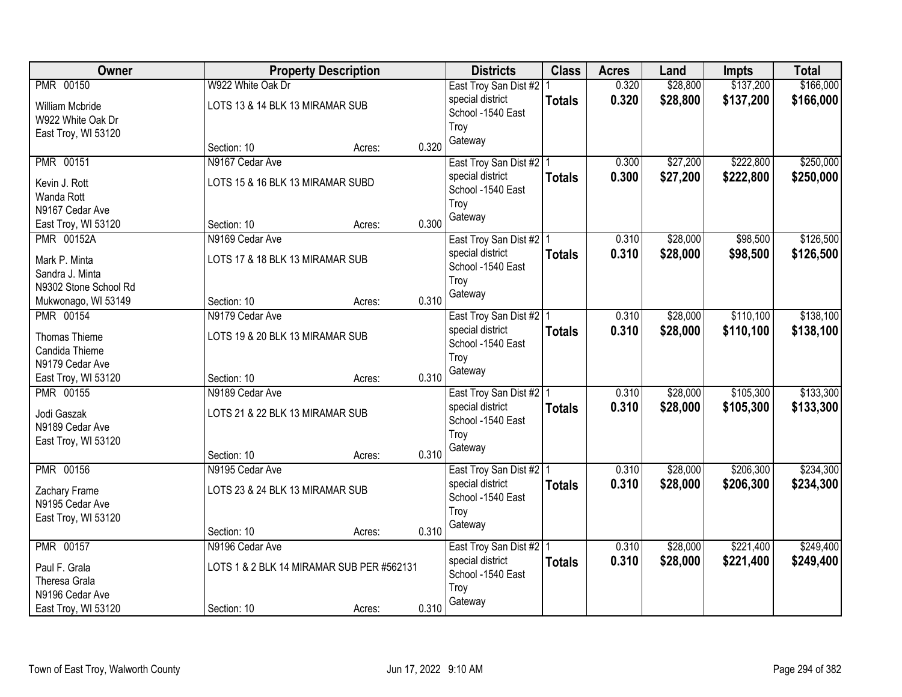| Owner                 | <b>Property Description</b>               |        |       | <b>Districts</b>          | <b>Class</b>  | <b>Acres</b> | Land     | <b>Impts</b> | <b>Total</b> |
|-----------------------|-------------------------------------------|--------|-------|---------------------------|---------------|--------------|----------|--------------|--------------|
| PMR 00150             | W922 White Oak Dr                         |        |       | East Troy San Dist #2   1 |               | 0.320        | \$28,800 | \$137,200    | \$166,000    |
| William Mcbride       | LOTS 13 & 14 BLK 13 MIRAMAR SUB           |        |       | special district          | <b>Totals</b> | 0.320        | \$28,800 | \$137,200    | \$166,000    |
| W922 White Oak Dr     |                                           |        |       | School -1540 East         |               |              |          |              |              |
| East Troy, WI 53120   |                                           |        |       | Troy                      |               |              |          |              |              |
|                       | Section: 10                               | Acres: | 0.320 | Gateway                   |               |              |          |              |              |
| <b>PMR 00151</b>      | N9167 Cedar Ave                           |        |       | East Troy San Dist #2 1   |               | 0.300        | \$27,200 | \$222,800    | \$250,000    |
| Kevin J. Rott         | LOTS 15 & 16 BLK 13 MIRAMAR SUBD          |        |       | special district          | <b>Totals</b> | 0.300        | \$27,200 | \$222,800    | \$250,000    |
| Wanda Rott            |                                           |        |       | School -1540 East         |               |              |          |              |              |
| N9167 Cedar Ave       |                                           |        |       | Troy                      |               |              |          |              |              |
| East Troy, WI 53120   | Section: 10                               | Acres: | 0.300 | Gateway                   |               |              |          |              |              |
| <b>PMR 00152A</b>     | N9169 Cedar Ave                           |        |       | East Troy San Dist #2   1 |               | 0.310        | \$28,000 | \$98,500     | \$126,500    |
| Mark P. Minta         | LOTS 17 & 18 BLK 13 MIRAMAR SUB           |        |       | special district          | <b>Totals</b> | 0.310        | \$28,000 | \$98,500     | \$126,500    |
| Sandra J. Minta       |                                           |        |       | School -1540 East         |               |              |          |              |              |
| N9302 Stone School Rd |                                           |        |       | Troy                      |               |              |          |              |              |
| Mukwonago, WI 53149   | Section: 10                               | Acres: | 0.310 | Gateway                   |               |              |          |              |              |
| PMR 00154             | N9179 Cedar Ave                           |        |       | East Troy San Dist #2   1 |               | 0.310        | \$28,000 | \$110,100    | \$138,100    |
|                       |                                           |        |       | special district          | <b>Totals</b> | 0.310        | \$28,000 | \$110,100    | \$138,100    |
| Thomas Thieme         | LOTS 19 & 20 BLK 13 MIRAMAR SUB           |        |       | School -1540 East         |               |              |          |              |              |
| Candida Thieme        |                                           |        |       | Troy                      |               |              |          |              |              |
| N9179 Cedar Ave       |                                           |        |       | Gateway                   |               |              |          |              |              |
| East Troy, WI 53120   | Section: 10                               | Acres: | 0.310 |                           |               |              |          |              |              |
| <b>PMR 00155</b>      | N9189 Cedar Ave                           |        |       | East Troy San Dist #2   1 |               | 0.310        | \$28,000 | \$105,300    | \$133,300    |
| Jodi Gaszak           | LOTS 21 & 22 BLK 13 MIRAMAR SUB           |        |       | special district          | <b>Totals</b> | 0.310        | \$28,000 | \$105,300    | \$133,300    |
| N9189 Cedar Ave       |                                           |        |       | School -1540 East         |               |              |          |              |              |
| East Troy, WI 53120   |                                           |        |       | Troy                      |               |              |          |              |              |
|                       | Section: 10                               | Acres: | 0.310 | Gateway                   |               |              |          |              |              |
| <b>PMR 00156</b>      | N9195 Cedar Ave                           |        |       | East Troy San Dist #2   1 |               | 0.310        | \$28,000 | \$206,300    | \$234,300    |
| Zachary Frame         | LOTS 23 & 24 BLK 13 MIRAMAR SUB           |        |       | special district          | <b>Totals</b> | 0.310        | \$28,000 | \$206,300    | \$234,300    |
| N9195 Cedar Ave       |                                           |        |       | School -1540 East         |               |              |          |              |              |
| East Troy, WI 53120   |                                           |        |       | Troy                      |               |              |          |              |              |
|                       | Section: 10                               | Acres: | 0.310 | Gateway                   |               |              |          |              |              |
| <b>PMR 00157</b>      | N9196 Cedar Ave                           |        |       | East Troy San Dist #2 1   |               | 0.310        | \$28,000 | \$221,400    | \$249,400    |
| Paul F. Grala         | LOTS 1 & 2 BLK 14 MIRAMAR SUB PER #562131 |        |       | special district          | <b>Totals</b> | 0.310        | \$28,000 | \$221,400    | \$249,400    |
| Theresa Grala         |                                           |        |       | School -1540 East         |               |              |          |              |              |
| N9196 Cedar Ave       |                                           |        |       | Troy                      |               |              |          |              |              |
| East Troy, WI 53120   | Section: 10                               | Acres: | 0.310 | Gateway                   |               |              |          |              |              |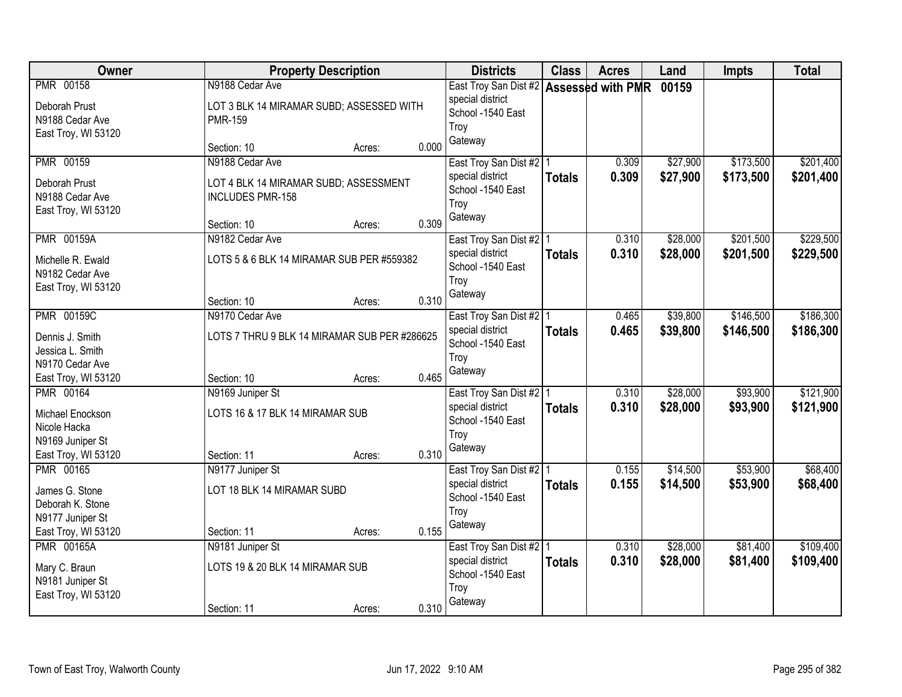| Owner               |                                              | <b>Property Description</b> |       | <b>Districts</b>                              | <b>Class</b>  | <b>Acres</b> | Land     | <b>Impts</b> | <b>Total</b> |
|---------------------|----------------------------------------------|-----------------------------|-------|-----------------------------------------------|---------------|--------------|----------|--------------|--------------|
| <b>PMR 00158</b>    | N9188 Cedar Ave                              |                             |       | East Troy San Dist #2 Assessed with PMR 00159 |               |              |          |              |              |
| Deborah Prust       | LOT 3 BLK 14 MIRAMAR SUBD; ASSESSED WITH     |                             |       | special district                              |               |              |          |              |              |
| N9188 Cedar Ave     | <b>PMR-159</b>                               |                             |       | School -1540 East                             |               |              |          |              |              |
| East Troy, WI 53120 |                                              |                             |       | Troy<br>Gateway                               |               |              |          |              |              |
|                     | Section: 10                                  | Acres:                      | 0.000 |                                               |               |              |          |              |              |
| <b>PMR 00159</b>    | N9188 Cedar Ave                              |                             |       | East Troy San Dist #2   1                     |               | 0.309        | \$27,900 | \$173,500    | \$201,400    |
| Deborah Prust       | LOT 4 BLK 14 MIRAMAR SUBD; ASSESSMENT        |                             |       | special district                              | <b>Totals</b> | 0.309        | \$27,900 | \$173,500    | \$201,400    |
| N9188 Cedar Ave     | <b>INCLUDES PMR-158</b>                      |                             |       | School -1540 East                             |               |              |          |              |              |
| East Troy, WI 53120 |                                              |                             |       | Troy                                          |               |              |          |              |              |
|                     | Section: 10                                  | Acres:                      | 0.309 | Gateway                                       |               |              |          |              |              |
| <b>PMR 00159A</b>   | N9182 Cedar Ave                              |                             |       | East Troy San Dist #2   1                     |               | 0.310        | \$28,000 | \$201,500    | \$229,500    |
| Michelle R. Ewald   | LOTS 5 & 6 BLK 14 MIRAMAR SUB PER #559382    |                             |       | special district                              | <b>Totals</b> | 0.310        | \$28,000 | \$201,500    | \$229,500    |
| N9182 Cedar Ave     |                                              |                             |       | School -1540 East                             |               |              |          |              |              |
| East Troy, WI 53120 |                                              |                             |       | Troy                                          |               |              |          |              |              |
|                     | Section: 10                                  | Acres:                      | 0.310 | Gateway                                       |               |              |          |              |              |
| <b>PMR 00159C</b>   | N9170 Cedar Ave                              |                             |       | East Troy San Dist #2   1                     |               | 0.465        | \$39,800 | \$146,500    | \$186,300    |
| Dennis J. Smith     | LOTS 7 THRU 9 BLK 14 MIRAMAR SUB PER #286625 |                             |       | special district                              | <b>Totals</b> | 0.465        | \$39,800 | \$146,500    | \$186,300    |
| Jessica L. Smith    |                                              |                             |       | School -1540 East                             |               |              |          |              |              |
| N9170 Cedar Ave     |                                              |                             |       | Troy                                          |               |              |          |              |              |
| East Troy, WI 53120 | Section: 10                                  | Acres:                      | 0.465 | Gateway                                       |               |              |          |              |              |
| PMR 00164           | N9169 Juniper St                             |                             |       | East Troy San Dist #2   1                     |               | 0.310        | \$28,000 | \$93,900     | \$121,900    |
| Michael Enockson    | LOTS 16 & 17 BLK 14 MIRAMAR SUB              |                             |       | special district                              | <b>Totals</b> | 0.310        | \$28,000 | \$93,900     | \$121,900    |
| Nicole Hacka        |                                              |                             |       | School -1540 East                             |               |              |          |              |              |
| N9169 Juniper St    |                                              |                             |       | Troy                                          |               |              |          |              |              |
| East Troy, WI 53120 | Section: 11                                  | Acres:                      | 0.310 | Gateway                                       |               |              |          |              |              |
| PMR 00165           | N9177 Juniper St                             |                             |       | East Troy San Dist #2 1                       |               | 0.155        | \$14,500 | \$53,900     | \$68,400     |
| James G. Stone      | LOT 18 BLK 14 MIRAMAR SUBD                   |                             |       | special district                              | <b>Totals</b> | 0.155        | \$14,500 | \$53,900     | \$68,400     |
| Deborah K. Stone    |                                              |                             |       | School -1540 East                             |               |              |          |              |              |
| N9177 Juniper St    |                                              |                             |       | Troy                                          |               |              |          |              |              |
| East Troy, WI 53120 | Section: 11                                  | Acres:                      | 0.155 | Gateway                                       |               |              |          |              |              |
| <b>PMR 00165A</b>   | N9181 Juniper St                             |                             |       | East Troy San Dist #2   1                     |               | 0.310        | \$28,000 | \$81,400     | \$109,400    |
| Mary C. Braun       | LOTS 19 & 20 BLK 14 MIRAMAR SUB              |                             |       | special district                              | <b>Totals</b> | 0.310        | \$28,000 | \$81,400     | \$109,400    |
| N9181 Juniper St    |                                              |                             |       | School -1540 East                             |               |              |          |              |              |
| East Troy, WI 53120 |                                              |                             |       | Troy                                          |               |              |          |              |              |
|                     | Section: 11                                  | Acres:                      | 0.310 | Gateway                                       |               |              |          |              |              |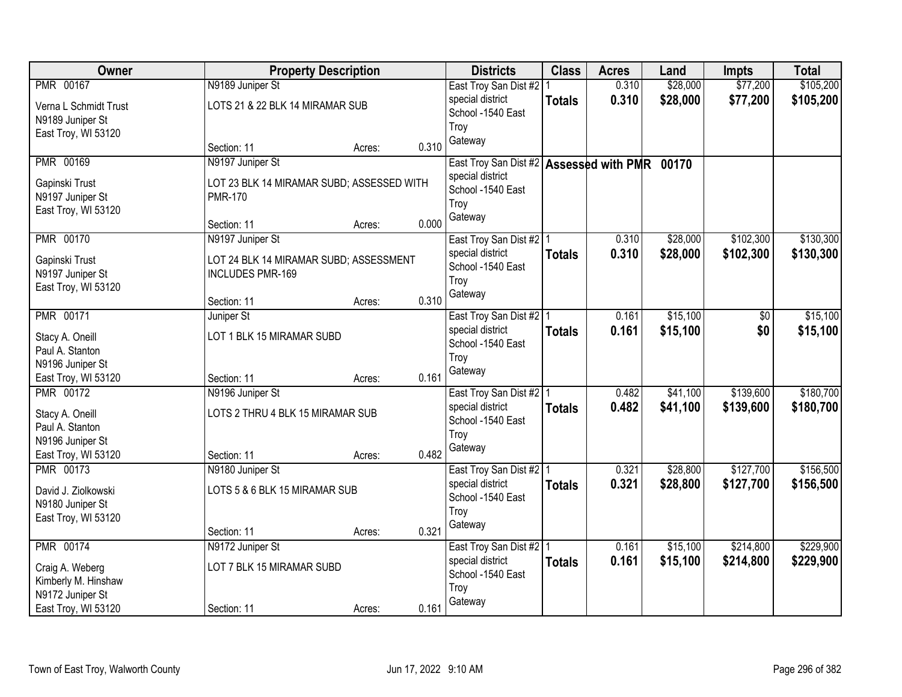| Owner                 |                                  | <b>Property Description</b>               |       | <b>Districts</b>                              | <b>Class</b>  | <b>Acres</b> | Land     | <b>Impts</b> | <b>Total</b> |
|-----------------------|----------------------------------|-------------------------------------------|-------|-----------------------------------------------|---------------|--------------|----------|--------------|--------------|
| PMR 00167             | N9189 Juniper St                 |                                           |       | East Troy San Dist #2                         |               | 0.310        | \$28,000 | \$77,200     | \$105,200    |
| Verna L Schmidt Trust | LOTS 21 & 22 BLK 14 MIRAMAR SUB  |                                           |       | special district                              | <b>Totals</b> | 0.310        | \$28,000 | \$77,200     | \$105,200    |
| N9189 Juniper St      |                                  |                                           |       | School -1540 East                             |               |              |          |              |              |
| East Troy, WI 53120   |                                  |                                           |       | Troy                                          |               |              |          |              |              |
|                       | Section: 11                      | Acres:                                    | 0.310 | Gateway                                       |               |              |          |              |              |
| PMR 00169             | N9197 Juniper St                 |                                           |       | East Troy San Dist #2 Assessed with PMR 00170 |               |              |          |              |              |
| Gapinski Trust        |                                  | LOT 23 BLK 14 MIRAMAR SUBD; ASSESSED WITH |       | special district                              |               |              |          |              |              |
| N9197 Juniper St      | <b>PMR-170</b>                   |                                           |       | School -1540 East                             |               |              |          |              |              |
| East Troy, WI 53120   |                                  |                                           |       | Troy                                          |               |              |          |              |              |
|                       | Section: 11                      | Acres:                                    | 0.000 | Gateway                                       |               |              |          |              |              |
| <b>PMR 00170</b>      | N9197 Juniper St                 |                                           |       | East Troy San Dist #2   1                     |               | 0.310        | \$28,000 | \$102,300    | \$130,300    |
| Gapinski Trust        |                                  | LOT 24 BLK 14 MIRAMAR SUBD; ASSESSMENT    |       | special district                              | <b>Totals</b> | 0.310        | \$28,000 | \$102,300    | \$130,300    |
| N9197 Juniper St      | <b>INCLUDES PMR-169</b>          |                                           |       | School -1540 East                             |               |              |          |              |              |
| East Troy, WI 53120   |                                  |                                           |       | Troy                                          |               |              |          |              |              |
|                       | Section: 11                      | Acres:                                    | 0.310 | Gateway                                       |               |              |          |              |              |
| <b>PMR 00171</b>      | Juniper St                       |                                           |       | East Troy San Dist #2   1                     |               | 0.161        | \$15,100 | \$0          | \$15,100     |
| Stacy A. Oneill       | LOT 1 BLK 15 MIRAMAR SUBD        |                                           |       | special district                              | <b>Totals</b> | 0.161        | \$15,100 | \$0          | \$15,100     |
| Paul A. Stanton       |                                  |                                           |       | School -1540 East                             |               |              |          |              |              |
| N9196 Juniper St      |                                  |                                           |       | Troy                                          |               |              |          |              |              |
| East Troy, WI 53120   | Section: 11                      | Acres:                                    | 0.161 | Gateway                                       |               |              |          |              |              |
| <b>PMR 00172</b>      | N9196 Juniper St                 |                                           |       | East Troy San Dist #2   1                     |               | 0.482        | \$41,100 | \$139,600    | \$180,700    |
| Stacy A. Oneill       | LOTS 2 THRU 4 BLK 15 MIRAMAR SUB |                                           |       | special district                              | <b>Totals</b> | 0.482        | \$41,100 | \$139,600    | \$180,700    |
| Paul A. Stanton       |                                  |                                           |       | School -1540 East                             |               |              |          |              |              |
| N9196 Juniper St      |                                  |                                           |       | Troy                                          |               |              |          |              |              |
| East Troy, WI 53120   | Section: 11                      | Acres:                                    | 0.482 | Gateway                                       |               |              |          |              |              |
| <b>PMR 00173</b>      | N9180 Juniper St                 |                                           |       | East Troy San Dist #2   1                     |               | 0.321        | \$28,800 | \$127,700    | \$156,500    |
| David J. Ziolkowski   | LOTS 5 & 6 BLK 15 MIRAMAR SUB    |                                           |       | special district                              | <b>Totals</b> | 0.321        | \$28,800 | \$127,700    | \$156,500    |
| N9180 Juniper St      |                                  |                                           |       | School -1540 East                             |               |              |          |              |              |
| East Troy, WI 53120   |                                  |                                           |       | Troy                                          |               |              |          |              |              |
|                       | Section: 11                      | Acres:                                    | 0.321 | Gateway                                       |               |              |          |              |              |
| <b>PMR 00174</b>      | N9172 Juniper St                 |                                           |       | East Troy San Dist #2   1                     |               | 0.161        | \$15,100 | \$214,800    | \$229,900    |
| Craig A. Weberg       | LOT 7 BLK 15 MIRAMAR SUBD        |                                           |       | special district                              | <b>Totals</b> | 0.161        | \$15,100 | \$214,800    | \$229,900    |
| Kimberly M. Hinshaw   |                                  |                                           |       | School -1540 East                             |               |              |          |              |              |
| N9172 Juniper St      |                                  |                                           |       | Troy                                          |               |              |          |              |              |
| East Troy, WI 53120   | Section: 11                      | Acres:                                    | 0.161 | Gateway                                       |               |              |          |              |              |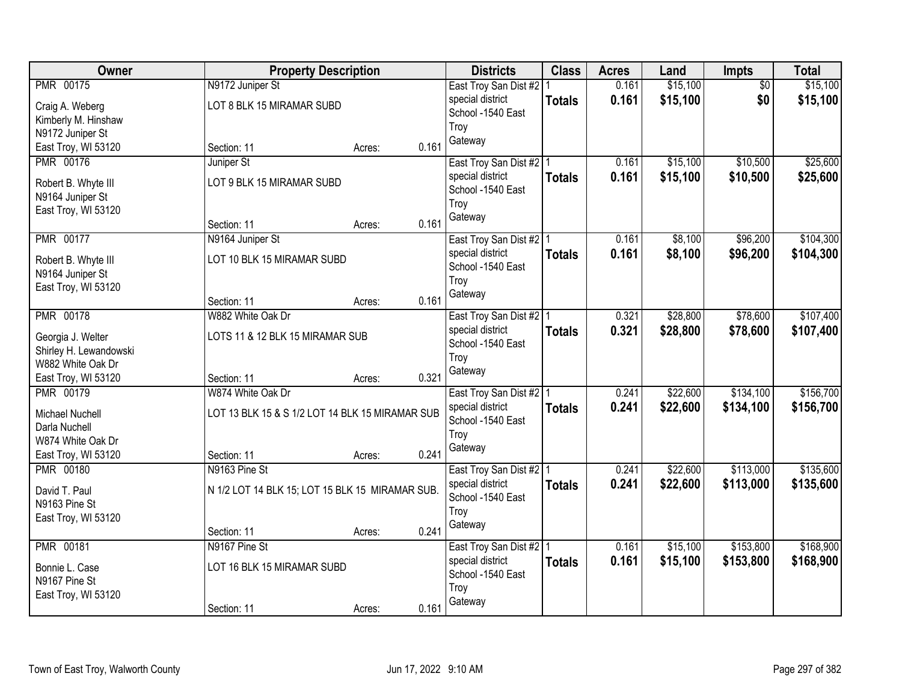| Owner                                   |                                                 | <b>Property Description</b> |       | <b>Districts</b>                              | <b>Class</b>  | <b>Acres</b> | Land     | <b>Impts</b> | <b>Total</b> |
|-----------------------------------------|-------------------------------------------------|-----------------------------|-------|-----------------------------------------------|---------------|--------------|----------|--------------|--------------|
| PMR 00175                               | N9172 Juniper St                                |                             |       | East Troy San Dist #2   1                     |               | 0.161        | \$15,100 | \$0          | \$15,100     |
| Craig A. Weberg                         | LOT 8 BLK 15 MIRAMAR SUBD                       |                             |       | special district                              | <b>Totals</b> | 0.161        | \$15,100 | \$0          | \$15,100     |
| Kimberly M. Hinshaw                     |                                                 |                             |       | School -1540 East                             |               |              |          |              |              |
| N9172 Juniper St                        |                                                 |                             |       | Troy                                          |               |              |          |              |              |
| East Troy, WI 53120                     | Section: 11                                     | Acres:                      | 0.161 | Gateway                                       |               |              |          |              |              |
| <b>PMR 00176</b>                        | Juniper St                                      |                             |       | East Troy San Dist #2 1                       |               | 0.161        | \$15,100 | \$10,500     | \$25,600     |
|                                         | LOT 9 BLK 15 MIRAMAR SUBD                       |                             |       | special district                              | <b>Totals</b> | 0.161        | \$15,100 | \$10,500     | \$25,600     |
| Robert B. Whyte III<br>N9164 Juniper St |                                                 |                             |       | School -1540 East                             |               |              |          |              |              |
| East Troy, WI 53120                     |                                                 |                             |       | Troy                                          |               |              |          |              |              |
|                                         | Section: 11                                     | Acres:                      | 0.161 | Gateway                                       |               |              |          |              |              |
| PMR 00177                               | N9164 Juniper St                                |                             |       | East Troy San Dist #2   1                     |               | 0.161        | \$8,100  | \$96,200     | \$104,300    |
|                                         |                                                 |                             |       | special district                              | <b>Totals</b> | 0.161        | \$8,100  | \$96,200     | \$104,300    |
| Robert B. Whyte III                     | LOT 10 BLK 15 MIRAMAR SUBD                      |                             |       | School -1540 East                             |               |              |          |              |              |
| N9164 Juniper St                        |                                                 |                             |       | Troy                                          |               |              |          |              |              |
| East Troy, WI 53120                     | Section: 11                                     |                             | 0.161 | Gateway                                       |               |              |          |              |              |
| <b>PMR 00178</b>                        | W882 White Oak Dr                               | Acres:                      |       |                                               |               | 0.321        | \$28,800 | \$78,600     | \$107,400    |
|                                         |                                                 |                             |       | East Troy San Dist #2   1<br>special district |               |              |          |              |              |
| Georgia J. Welter                       | LOTS 11 & 12 BLK 15 MIRAMAR SUB                 |                             |       | School -1540 East                             | <b>Totals</b> | 0.321        | \$28,800 | \$78,600     | \$107,400    |
| Shirley H. Lewandowski                  |                                                 |                             |       | Troy                                          |               |              |          |              |              |
| W882 White Oak Dr                       |                                                 |                             |       | Gateway                                       |               |              |          |              |              |
| East Troy, WI 53120                     | Section: 11                                     | Acres:                      | 0.321 |                                               |               |              |          |              |              |
| <b>PMR 00179</b>                        | W874 White Oak Dr                               |                             |       | East Troy San Dist #2   1                     |               | 0.241        | \$22,600 | \$134,100    | \$156,700    |
| Michael Nuchell                         | LOT 13 BLK 15 & S 1/2 LOT 14 BLK 15 MIRAMAR SUB |                             |       | special district                              | <b>Totals</b> | 0.241        | \$22,600 | \$134,100    | \$156,700    |
| Darla Nuchell                           |                                                 |                             |       | School -1540 East                             |               |              |          |              |              |
| W874 White Oak Dr                       |                                                 |                             |       | Troy                                          |               |              |          |              |              |
| East Troy, WI 53120                     | Section: 11                                     | Acres:                      | 0.241 | Gateway                                       |               |              |          |              |              |
| <b>PMR 00180</b>                        | N9163 Pine St                                   |                             |       | East Troy San Dist #2 1                       |               | 0.241        | \$22,600 | \$113,000    | \$135,600    |
| David T. Paul                           | N 1/2 LOT 14 BLK 15; LOT 15 BLK 15 MIRAMAR SUB. |                             |       | special district                              | <b>Totals</b> | 0.241        | \$22,600 | \$113,000    | \$135,600    |
| N9163 Pine St                           |                                                 |                             |       | School -1540 East                             |               |              |          |              |              |
| East Troy, WI 53120                     |                                                 |                             |       | Troy                                          |               |              |          |              |              |
|                                         | Section: 11                                     | Acres:                      | 0.241 | Gateway                                       |               |              |          |              |              |
| PMR 00181                               | N9167 Pine St                                   |                             |       | East Troy San Dist #2   1                     |               | 0.161        | \$15,100 | \$153,800    | \$168,900    |
|                                         | LOT 16 BLK 15 MIRAMAR SUBD                      |                             |       | special district                              | <b>Totals</b> | 0.161        | \$15,100 | \$153,800    | \$168,900    |
| Bonnie L. Case<br>N9167 Pine St         |                                                 |                             |       | School -1540 East                             |               |              |          |              |              |
| East Troy, WI 53120                     |                                                 |                             |       | Troy                                          |               |              |          |              |              |
|                                         | Section: 11                                     | Acres:                      | 0.161 | Gateway                                       |               |              |          |              |              |
|                                         |                                                 |                             |       |                                               |               |              |          |              |              |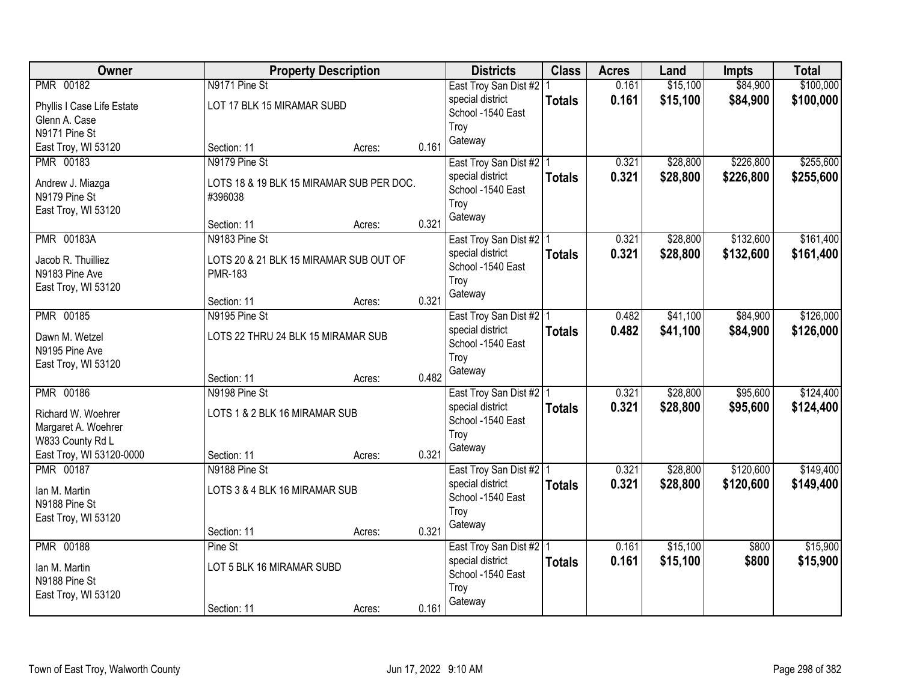| Owner                                |                                                          | <b>Property Description</b> |       | <b>Districts</b>          | <b>Class</b>  | <b>Acres</b> | Land     | <b>Impts</b> | <b>Total</b> |
|--------------------------------------|----------------------------------------------------------|-----------------------------|-------|---------------------------|---------------|--------------|----------|--------------|--------------|
| PMR 00182                            | N9171 Pine St                                            |                             |       | East Troy San Dist #2   1 |               | 0.161        | \$15,100 | \$84,900     | \$100,000    |
| Phyllis I Case Life Estate           | LOT 17 BLK 15 MIRAMAR SUBD                               |                             |       | special district          | <b>Totals</b> | 0.161        | \$15,100 | \$84,900     | \$100,000    |
| Glenn A. Case                        |                                                          |                             |       | School -1540 East         |               |              |          |              |              |
| N9171 Pine St                        |                                                          |                             |       | Troy                      |               |              |          |              |              |
| East Troy, WI 53120                  | Section: 11                                              | Acres:                      | 0.161 | Gateway                   |               |              |          |              |              |
| PMR 00183                            | N9179 Pine St                                            |                             |       | East Troy San Dist #2   1 |               | 0.321        | \$28,800 | \$226,800    | \$255,600    |
| Andrew J. Miazga                     | LOTS 18 & 19 BLK 15 MIRAMAR SUB PER DOC.                 |                             |       | special district          | <b>Totals</b> | 0.321        | \$28,800 | \$226,800    | \$255,600    |
| N9179 Pine St                        | #396038                                                  |                             |       | School -1540 East         |               |              |          |              |              |
| East Troy, WI 53120                  |                                                          |                             |       | Troy                      |               |              |          |              |              |
|                                      | Section: 11                                              | Acres:                      | 0.321 | Gateway                   |               |              |          |              |              |
| <b>PMR 00183A</b>                    | N9183 Pine St                                            |                             |       | East Troy San Dist #2   1 |               | 0.321        | \$28,800 | \$132,600    | \$161,400    |
|                                      |                                                          |                             |       | special district          | <b>Totals</b> | 0.321        | \$28,800 | \$132,600    | \$161,400    |
| Jacob R. Thuilliez<br>N9183 Pine Ave | LOTS 20 & 21 BLK 15 MIRAMAR SUB OUT OF<br><b>PMR-183</b> |                             |       | School -1540 East         |               |              |          |              |              |
| East Troy, WI 53120                  |                                                          |                             |       | Troy                      |               |              |          |              |              |
|                                      | Section: 11                                              | Acres:                      | 0.321 | Gateway                   |               |              |          |              |              |
| <b>PMR 00185</b>                     | N9195 Pine St                                            |                             |       | East Troy San Dist #2   1 |               | 0.482        | \$41,100 | \$84,900     | \$126,000    |
|                                      |                                                          |                             |       | special district          | <b>Totals</b> | 0.482        | \$41,100 | \$84,900     | \$126,000    |
| Dawn M. Wetzel                       | LOTS 22 THRU 24 BLK 15 MIRAMAR SUB                       |                             |       | School -1540 East         |               |              |          |              |              |
| N9195 Pine Ave                       |                                                          |                             |       | Troy                      |               |              |          |              |              |
| East Troy, WI 53120                  | Section: 11                                              | Acres:                      | 0.482 | Gateway                   |               |              |          |              |              |
| <b>PMR 00186</b>                     | N9198 Pine St                                            |                             |       | East Troy San Dist #2   1 |               | 0.321        | \$28,800 | \$95,600     | \$124,400    |
|                                      |                                                          |                             |       | special district          | <b>Totals</b> | 0.321        | \$28,800 | \$95,600     | \$124,400    |
| Richard W. Woehrer                   | LOTS 1 & 2 BLK 16 MIRAMAR SUB                            |                             |       | School -1540 East         |               |              |          |              |              |
| Margaret A. Woehrer                  |                                                          |                             |       | Troy                      |               |              |          |              |              |
| W833 County Rd L                     |                                                          |                             |       | Gateway                   |               |              |          |              |              |
| East Troy, WI 53120-0000             | Section: 11                                              | Acres:                      | 0.321 |                           |               |              |          |              |              |
| <b>PMR 00187</b>                     | N9188 Pine St                                            |                             |       | East Troy San Dist #2 1   |               | 0.321        | \$28,800 | \$120,600    | \$149,400    |
| Ian M. Martin                        | LOTS 3 & 4 BLK 16 MIRAMAR SUB                            |                             |       | special district          | <b>Totals</b> | 0.321        | \$28,800 | \$120,600    | \$149,400    |
| N9188 Pine St                        |                                                          |                             |       | School -1540 East         |               |              |          |              |              |
| East Troy, WI 53120                  |                                                          |                             |       | Troy                      |               |              |          |              |              |
|                                      | Section: 11                                              | Acres:                      | 0.321 | Gateway                   |               |              |          |              |              |
| <b>PMR 00188</b>                     | Pine St                                                  |                             |       | East Troy San Dist #2   1 |               | 0.161        | \$15,100 | \$800        | \$15,900     |
| Ian M. Martin                        | LOT 5 BLK 16 MIRAMAR SUBD                                |                             |       | special district          | <b>Totals</b> | 0.161        | \$15,100 | \$800        | \$15,900     |
| N9188 Pine St                        |                                                          |                             |       | School -1540 East         |               |              |          |              |              |
| East Troy, WI 53120                  |                                                          |                             |       | Troy                      |               |              |          |              |              |
|                                      | Section: 11                                              | Acres:                      | 0.161 | Gateway                   |               |              |          |              |              |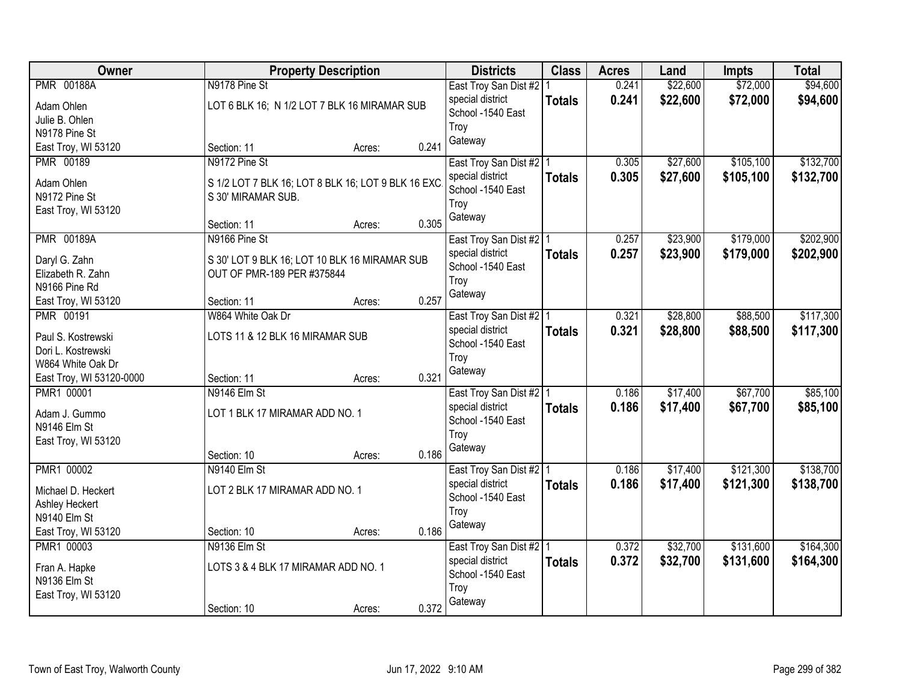| Owner                           |                                                               | <b>Property Description</b> |       | <b>Districts</b>                              | <b>Class</b>  | <b>Acres</b>   | Land                 | <b>Impts</b>         | <b>Total</b>         |
|---------------------------------|---------------------------------------------------------------|-----------------------------|-------|-----------------------------------------------|---------------|----------------|----------------------|----------------------|----------------------|
| <b>PMR 00188A</b><br>Adam Ohlen | N9178 Pine St<br>LOT 6 BLK 16; N 1/2 LOT 7 BLK 16 MIRAMAR SUB |                             |       | East Troy San Dist #2   1<br>special district | <b>Totals</b> | 0.241<br>0.241 | \$22,600<br>\$22,600 | \$72,000<br>\$72,000 | \$94,600<br>\$94,600 |
| Julie B. Ohlen                  |                                                               |                             |       | School -1540 East                             |               |                |                      |                      |                      |
| N9178 Pine St                   |                                                               |                             |       | Troy<br>Gateway                               |               |                |                      |                      |                      |
| East Troy, WI 53120             | Section: 11                                                   | Acres:                      | 0.241 |                                               |               |                |                      |                      |                      |
| <b>PMR 00189</b>                | N9172 Pine St                                                 |                             |       | East Troy San Dist #2 1                       |               | 0.305          | \$27,600             | \$105,100            | \$132,700            |
| Adam Ohlen                      | S 1/2 LOT 7 BLK 16; LOT 8 BLK 16; LOT 9 BLK 16 EXC            |                             |       | special district                              | <b>Totals</b> | 0.305          | \$27,600             | \$105,100            | \$132,700            |
| N9172 Pine St                   | S 30' MIRAMAR SUB.                                            |                             |       | School -1540 East                             |               |                |                      |                      |                      |
| East Troy, WI 53120             |                                                               |                             |       | Troy<br>Gateway                               |               |                |                      |                      |                      |
|                                 | Section: 11                                                   | Acres:                      | 0.305 |                                               |               |                |                      |                      |                      |
| <b>PMR 00189A</b>               | N9166 Pine St                                                 |                             |       | East Troy San Dist #2   1                     |               | 0.257          | \$23,900             | \$179,000            | \$202,900            |
| Daryl G. Zahn                   | S 30' LOT 9 BLK 16; LOT 10 BLK 16 MIRAMAR SUB                 |                             |       | special district                              | <b>Totals</b> | 0.257          | \$23,900             | \$179,000            | \$202,900            |
| Elizabeth R. Zahn               | OUT OF PMR-189 PER #375844                                    |                             |       | School -1540 East                             |               |                |                      |                      |                      |
| N9166 Pine Rd                   |                                                               |                             |       | Troy                                          |               |                |                      |                      |                      |
| East Troy, WI 53120             | Section: 11                                                   | Acres:                      | 0.257 | Gateway                                       |               |                |                      |                      |                      |
| <b>PMR 00191</b>                | W864 White Oak Dr                                             |                             |       | East Troy San Dist #2   1                     |               | 0.321          | \$28,800             | \$88,500             | \$117,300            |
| Paul S. Kostrewski              | LOTS 11 & 12 BLK 16 MIRAMAR SUB                               |                             |       | special district                              | <b>Totals</b> | 0.321          | \$28,800             | \$88,500             | \$117,300            |
| Dori L. Kostrewski              |                                                               |                             |       | School -1540 East                             |               |                |                      |                      |                      |
| W864 White Oak Dr               |                                                               |                             |       | Troy                                          |               |                |                      |                      |                      |
| East Troy, WI 53120-0000        | Section: 11                                                   | Acres:                      | 0.321 | Gateway                                       |               |                |                      |                      |                      |
| PMR1 00001                      | N9146 Elm St                                                  |                             |       | East Troy San Dist #2   1                     |               | 0.186          | \$17,400             | \$67,700             | \$85,100             |
| Adam J. Gummo                   | LOT 1 BLK 17 MIRAMAR ADD NO. 1                                |                             |       | special district                              | <b>Totals</b> | 0.186          | \$17,400             | \$67,700             | \$85,100             |
| N9146 Elm St                    |                                                               |                             |       | School -1540 East                             |               |                |                      |                      |                      |
| East Troy, WI 53120             |                                                               |                             |       | Troy                                          |               |                |                      |                      |                      |
|                                 | Section: 10                                                   | Acres:                      | 0.186 | Gateway                                       |               |                |                      |                      |                      |
| PMR1 00002                      | N9140 Elm St                                                  |                             |       | East Troy San Dist #2 1                       |               | 0.186          | \$17,400             | \$121,300            | \$138,700            |
| Michael D. Heckert              | LOT 2 BLK 17 MIRAMAR ADD NO. 1                                |                             |       | special district                              | <b>Totals</b> | 0.186          | \$17,400             | \$121,300            | \$138,700            |
| Ashley Heckert                  |                                                               |                             |       | School -1540 East                             |               |                |                      |                      |                      |
| N9140 Elm St                    |                                                               |                             |       | Troy                                          |               |                |                      |                      |                      |
| East Troy, WI 53120             | Section: 10                                                   | Acres:                      | 0.186 | Gateway                                       |               |                |                      |                      |                      |
| PMR1 00003                      | N9136 Elm St                                                  |                             |       | East Troy San Dist #2   1                     |               | 0.372          | \$32,700             | \$131,600            | \$164,300            |
| Fran A. Hapke                   | LOTS 3 & 4 BLK 17 MIRAMAR ADD NO. 1                           |                             |       | special district                              | <b>Totals</b> | 0.372          | \$32,700             | \$131,600            | \$164,300            |
| N9136 Elm St                    |                                                               |                             |       | School -1540 East                             |               |                |                      |                      |                      |
| East Troy, WI 53120             |                                                               |                             |       | Troy                                          |               |                |                      |                      |                      |
|                                 | Section: 10                                                   | Acres:                      | 0.372 | Gateway                                       |               |                |                      |                      |                      |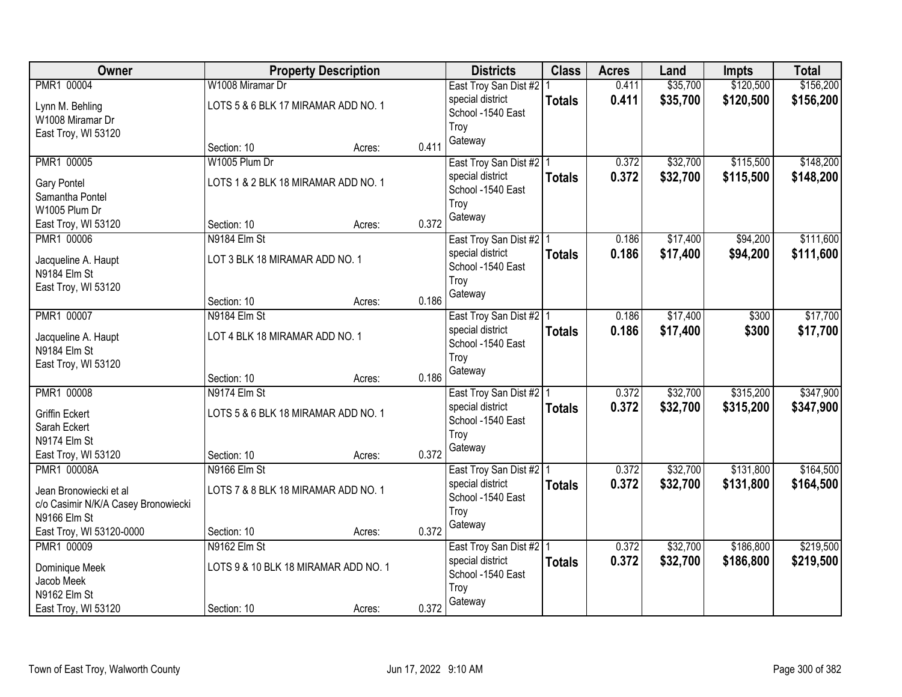| Owner                                    |                                      | <b>Property Description</b> |       | <b>Districts</b>          | <b>Class</b>  | <b>Acres</b> | Land     | <b>Impts</b> | <b>Total</b> |
|------------------------------------------|--------------------------------------|-----------------------------|-------|---------------------------|---------------|--------------|----------|--------------|--------------|
| PMR1 00004                               | W1008 Miramar Dr                     |                             |       | East Troy San Dist #2     |               | 0.411        | \$35,700 | \$120,500    | \$156,200    |
| Lynn M. Behling                          | LOTS 5 & 6 BLK 17 MIRAMAR ADD NO. 1  |                             |       | special district          | <b>Totals</b> | 0.411        | \$35,700 | \$120,500    | \$156,200    |
| W1008 Miramar Dr                         |                                      |                             |       | School -1540 East         |               |              |          |              |              |
| East Troy, WI 53120                      |                                      |                             |       | Troy                      |               |              |          |              |              |
|                                          | Section: 10                          | Acres:                      | 0.411 | Gateway                   |               |              |          |              |              |
| PMR1 00005                               | W1005 Plum Dr                        |                             |       | East Troy San Dist #2   1 |               | 0.372        | \$32,700 | \$115,500    | \$148,200    |
| <b>Gary Pontel</b>                       | LOTS 1 & 2 BLK 18 MIRAMAR ADD NO. 1  |                             |       | special district          | <b>Totals</b> | 0.372        | \$32,700 | \$115,500    | \$148,200    |
| Samantha Pontel                          |                                      |                             |       | School -1540 East         |               |              |          |              |              |
| W1005 Plum Dr                            |                                      |                             |       | Troy                      |               |              |          |              |              |
| East Troy, WI 53120                      | Section: 10                          | Acres:                      | 0.372 | Gateway                   |               |              |          |              |              |
| PMR1 00006                               | N9184 Elm St                         |                             |       | East Troy San Dist #2   1 |               | 0.186        | \$17,400 | \$94,200     | \$111,600    |
| Jacqueline A. Haupt                      | LOT 3 BLK 18 MIRAMAR ADD NO. 1       |                             |       | special district          | <b>Totals</b> | 0.186        | \$17,400 | \$94,200     | \$111,600    |
| N9184 Elm St                             |                                      |                             |       | School -1540 East         |               |              |          |              |              |
| East Troy, WI 53120                      |                                      |                             |       | Troy                      |               |              |          |              |              |
|                                          | Section: 10                          | Acres:                      | 0.186 | Gateway                   |               |              |          |              |              |
| PMR1 00007                               | N9184 Elm St                         |                             |       | East Troy San Dist #2   1 |               | 0.186        | \$17,400 | \$300        | \$17,700     |
|                                          | LOT 4 BLK 18 MIRAMAR ADD NO. 1       |                             |       | special district          | <b>Totals</b> | 0.186        | \$17,400 | \$300        | \$17,700     |
| Jacqueline A. Haupt<br>N9184 Elm St      |                                      |                             |       | School -1540 East         |               |              |          |              |              |
| East Troy, WI 53120                      |                                      |                             |       | Troy                      |               |              |          |              |              |
|                                          | Section: 10                          | Acres:                      | 0.186 | Gateway                   |               |              |          |              |              |
| PMR1 00008                               | N9174 Elm St                         |                             |       | East Troy San Dist #2 1   |               | 0.372        | \$32,700 | \$315,200    | \$347,900    |
|                                          |                                      |                             |       | special district          | <b>Totals</b> | 0.372        | \$32,700 | \$315,200    | \$347,900    |
| <b>Griffin Eckert</b><br>Sarah Eckert    | LOTS 5 & 6 BLK 18 MIRAMAR ADD NO. 1  |                             |       | School -1540 East         |               |              |          |              |              |
| N9174 Elm St                             |                                      |                             |       | Troy                      |               |              |          |              |              |
| East Troy, WI 53120                      | Section: 10                          | Acres:                      | 0.372 | Gateway                   |               |              |          |              |              |
| PMR1 00008A                              | N9166 Elm St                         |                             |       | East Troy San Dist #2   1 |               | 0.372        | \$32,700 | \$131,800    | \$164,500    |
|                                          |                                      |                             |       | special district          | <b>Totals</b> | 0.372        | \$32,700 | \$131,800    | \$164,500    |
| Jean Bronowiecki et al                   | LOTS 7 & 8 BLK 18 MIRAMAR ADD NO. 1  |                             |       | School -1540 East         |               |              |          |              |              |
| c/o Casimir N/K/A Casey Bronowiecki      |                                      |                             |       | Troy                      |               |              |          |              |              |
| N9166 Elm St<br>East Troy, WI 53120-0000 | Section: 10                          | Acres:                      | 0.372 | Gateway                   |               |              |          |              |              |
| PMR1 00009                               | N9162 Elm St                         |                             |       | East Troy San Dist #2   1 |               | 0.372        | \$32,700 | \$186,800    | \$219,500    |
|                                          |                                      |                             |       | special district          | <b>Totals</b> | 0.372        | \$32,700 | \$186,800    | \$219,500    |
| Dominique Meek                           | LOTS 9 & 10 BLK 18 MIRAMAR ADD NO. 1 |                             |       | School -1540 East         |               |              |          |              |              |
| Jacob Meek                               |                                      |                             |       | Troy                      |               |              |          |              |              |
| N9162 Elm St                             |                                      |                             |       | Gateway                   |               |              |          |              |              |
| East Troy, WI 53120                      | Section: 10                          | Acres:                      | 0.372 |                           |               |              |          |              |              |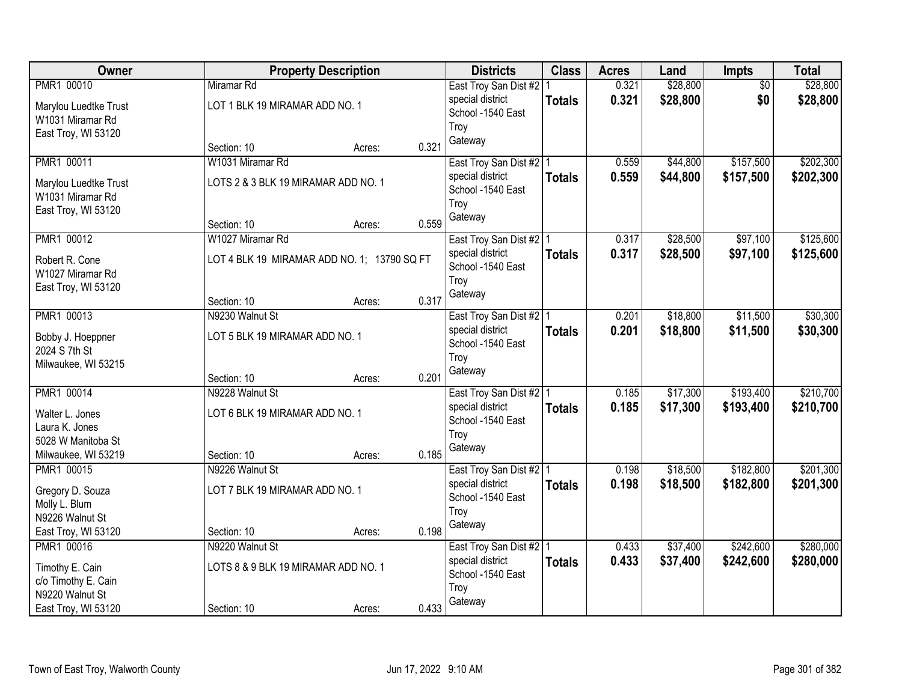| Owner                 |                                             | <b>Property Description</b> |       | <b>Districts</b>          | <b>Class</b>  | <b>Acres</b> | Land     | Impts           | <b>Total</b> |
|-----------------------|---------------------------------------------|-----------------------------|-------|---------------------------|---------------|--------------|----------|-----------------|--------------|
| PMR1 00010            | Miramar Rd                                  |                             |       | East Troy San Dist #2   1 |               | 0.321        | \$28,800 | $\overline{50}$ | \$28,800     |
| Marylou Luedtke Trust | LOT 1 BLK 19 MIRAMAR ADD NO. 1              |                             |       | special district          | <b>Totals</b> | 0.321        | \$28,800 | \$0             | \$28,800     |
| W1031 Miramar Rd      |                                             |                             |       | School -1540 East         |               |              |          |                 |              |
| East Troy, WI 53120   |                                             |                             |       | Troy                      |               |              |          |                 |              |
|                       | Section: 10                                 | Acres:                      | 0.321 | Gateway                   |               |              |          |                 |              |
| PMR1 00011            | W1031 Miramar Rd                            |                             |       | East Troy San Dist #2   1 |               | 0.559        | \$44,800 | \$157,500       | \$202,300    |
| Marylou Luedtke Trust | LOTS 2 & 3 BLK 19 MIRAMAR ADD NO. 1         |                             |       | special district          | <b>Totals</b> | 0.559        | \$44,800 | \$157,500       | \$202,300    |
| W1031 Miramar Rd      |                                             |                             |       | School -1540 East         |               |              |          |                 |              |
| East Troy, WI 53120   |                                             |                             |       | Troy                      |               |              |          |                 |              |
|                       | Section: 10                                 | Acres:                      | 0.559 | Gateway                   |               |              |          |                 |              |
| PMR1 00012            | W1027 Miramar Rd                            |                             |       | East Troy San Dist #2   1 |               | 0.317        | \$28,500 | \$97,100        | \$125,600    |
| Robert R. Cone        | LOT 4 BLK 19 MIRAMAR ADD NO. 1; 13790 SQ FT |                             |       | special district          | <b>Totals</b> | 0.317        | \$28,500 | \$97,100        | \$125,600    |
| W1027 Miramar Rd      |                                             |                             |       | School -1540 East         |               |              |          |                 |              |
| East Troy, WI 53120   |                                             |                             |       | Troy                      |               |              |          |                 |              |
|                       | Section: 10                                 | Acres:                      | 0.317 | Gateway                   |               |              |          |                 |              |
| PMR1 00013            | N9230 Walnut St                             |                             |       | East Troy San Dist #2   1 |               | 0.201        | \$18,800 | \$11,500        | \$30,300     |
| Bobby J. Hoeppner     | LOT 5 BLK 19 MIRAMAR ADD NO. 1              |                             |       | special district          | <b>Totals</b> | 0.201        | \$18,800 | \$11,500        | \$30,300     |
| 2024 S 7th St         |                                             |                             |       | School -1540 East         |               |              |          |                 |              |
| Milwaukee, WI 53215   |                                             |                             |       | Troy                      |               |              |          |                 |              |
|                       | Section: 10                                 | Acres:                      | 0.201 | Gateway                   |               |              |          |                 |              |
| PMR1 00014            | N9228 Walnut St                             |                             |       | East Troy San Dist #2   1 |               | 0.185        | \$17,300 | \$193,400       | \$210,700    |
| Walter L. Jones       | LOT 6 BLK 19 MIRAMAR ADD NO. 1              |                             |       | special district          | <b>Totals</b> | 0.185        | \$17,300 | \$193,400       | \$210,700    |
| Laura K. Jones        |                                             |                             |       | School -1540 East         |               |              |          |                 |              |
| 5028 W Manitoba St    |                                             |                             |       | Troy                      |               |              |          |                 |              |
| Milwaukee, WI 53219   | Section: 10                                 | Acres:                      | 0.185 | Gateway                   |               |              |          |                 |              |
| PMR1 00015            | N9226 Walnut St                             |                             |       | East Troy San Dist #2 1   |               | 0.198        | \$18,500 | \$182,800       | \$201,300    |
| Gregory D. Souza      | LOT 7 BLK 19 MIRAMAR ADD NO. 1              |                             |       | special district          | <b>Totals</b> | 0.198        | \$18,500 | \$182,800       | \$201,300    |
| Molly L. Blum         |                                             |                             |       | School -1540 East         |               |              |          |                 |              |
| N9226 Walnut St       |                                             |                             |       | Troy                      |               |              |          |                 |              |
| East Troy, WI 53120   | Section: 10                                 | Acres:                      | 0.198 | Gateway                   |               |              |          |                 |              |
| PMR1 00016            | N9220 Walnut St                             |                             |       | East Troy San Dist #2   1 |               | 0.433        | \$37,400 | \$242,600       | \$280,000    |
| Timothy E. Cain       | LOTS 8 & 9 BLK 19 MIRAMAR ADD NO. 1         |                             |       | special district          | <b>Totals</b> | 0.433        | \$37,400 | \$242,600       | \$280,000    |
| c/o Timothy E. Cain   |                                             |                             |       | School -1540 East         |               |              |          |                 |              |
| N9220 Walnut St       |                                             |                             |       | Troy                      |               |              |          |                 |              |
| East Troy, WI 53120   | Section: 10                                 | Acres:                      | 0.433 | Gateway                   |               |              |          |                 |              |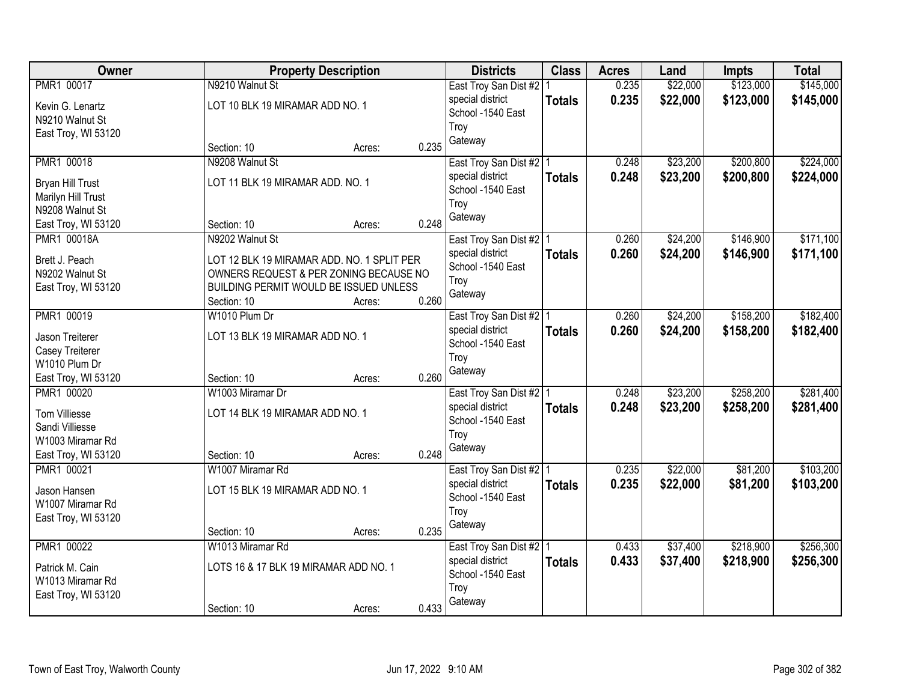| Owner                              | <b>Property Description</b>                |       | <b>Districts</b>                            | <b>Class</b>  | <b>Acres</b> | Land     | <b>Impts</b> | <b>Total</b> |
|------------------------------------|--------------------------------------------|-------|---------------------------------------------|---------------|--------------|----------|--------------|--------------|
| PMR1 00017                         | N9210 Walnut St                            |       | East Troy San Dist #2   1                   |               | 0.235        | \$22,000 | \$123,000    | \$145,000    |
| Kevin G. Lenartz                   | LOT 10 BLK 19 MIRAMAR ADD NO. 1            |       | special district                            | <b>Totals</b> | 0.235        | \$22,000 | \$123,000    | \$145,000    |
| N9210 Walnut St                    |                                            |       | School -1540 East                           |               |              |          |              |              |
| East Troy, WI 53120                |                                            |       | Troy                                        |               |              |          |              |              |
|                                    | Section: 10<br>Acres:                      | 0.235 | Gateway                                     |               |              |          |              |              |
| PMR1 00018                         | N9208 Walnut St                            |       | East Troy San Dist #2   1                   |               | 0.248        | \$23,200 | \$200,800    | \$224,000    |
| Bryan Hill Trust                   | LOT 11 BLK 19 MIRAMAR ADD. NO. 1           |       | special district                            | <b>Totals</b> | 0.248        | \$23,200 | \$200,800    | \$224,000    |
| Marilyn Hill Trust                 |                                            |       | School -1540 East                           |               |              |          |              |              |
| N9208 Walnut St                    |                                            |       | Troy                                        |               |              |          |              |              |
| East Troy, WI 53120                | Section: 10<br>Acres:                      | 0.248 | Gateway                                     |               |              |          |              |              |
| PMR1 00018A                        | N9202 Walnut St                            |       | East Troy San Dist #2   1                   |               | 0.260        | \$24,200 | \$146,900    | \$171,100    |
| Brett J. Peach                     | LOT 12 BLK 19 MIRAMAR ADD. NO. 1 SPLIT PER |       | special district                            | <b>Totals</b> | 0.260        | \$24,200 | \$146,900    | \$171,100    |
| N9202 Walnut St                    | OWNERS REQUEST & PER ZONING BECAUSE NO     |       | School -1540 East                           |               |              |          |              |              |
| East Troy, WI 53120                | BUILDING PERMIT WOULD BE ISSUED UNLESS     |       | Troy                                        |               |              |          |              |              |
|                                    | Section: 10<br>Acres:                      | 0.260 | Gateway                                     |               |              |          |              |              |
| PMR1 00019                         | W1010 Plum Dr                              |       | East Troy San Dist #2   1                   |               | 0.260        | \$24,200 | \$158,200    | \$182,400    |
|                                    |                                            |       | special district                            | <b>Totals</b> | 0.260        | \$24,200 | \$158,200    | \$182,400    |
| Jason Treiterer<br>Casey Treiterer | LOT 13 BLK 19 MIRAMAR ADD NO. 1            |       | School -1540 East                           |               |              |          |              |              |
| W1010 Plum Dr                      |                                            |       | Troy                                        |               |              |          |              |              |
| East Troy, WI 53120                | Section: 10<br>Acres:                      | 0.260 | Gateway                                     |               |              |          |              |              |
| PMR1 00020                         | W1003 Miramar Dr                           |       | East Troy San Dist #2   1                   |               | 0.248        | \$23,200 | \$258,200    | \$281,400    |
|                                    |                                            |       | special district                            | <b>Totals</b> | 0.248        | \$23,200 | \$258,200    | \$281,400    |
| <b>Tom Villiesse</b>               | LOT 14 BLK 19 MIRAMAR ADD NO. 1            |       | School -1540 East                           |               |              |          |              |              |
| Sandi Villiesse                    |                                            |       | Troy                                        |               |              |          |              |              |
| W1003 Miramar Rd                   |                                            | 0.248 | Gateway                                     |               |              |          |              |              |
| East Troy, WI 53120<br>PMR1 00021  | Section: 10<br>Acres:<br>W1007 Miramar Rd  |       |                                             |               | 0.235        | \$22,000 | \$81,200     | \$103,200    |
|                                    |                                            |       | East Troy San Dist #2 1<br>special district |               | 0.235        | \$22,000 | \$81,200     | \$103,200    |
| Jason Hansen                       | LOT 15 BLK 19 MIRAMAR ADD NO. 1            |       | School -1540 East                           | <b>Totals</b> |              |          |              |              |
| W1007 Miramar Rd                   |                                            |       | Troy                                        |               |              |          |              |              |
| East Troy, WI 53120                |                                            |       | Gateway                                     |               |              |          |              |              |
|                                    | Section: 10<br>Acres:                      | 0.235 |                                             |               |              |          |              |              |
| PMR1 00022                         | W1013 Miramar Rd                           |       | East Troy San Dist #2   1                   |               | 0.433        | \$37,400 | \$218,900    | \$256,300    |
| Patrick M. Cain                    | LOTS 16 & 17 BLK 19 MIRAMAR ADD NO. 1      |       | special district                            | <b>Totals</b> | 0.433        | \$37,400 | \$218,900    | \$256,300    |
| W1013 Miramar Rd                   |                                            |       | School -1540 East                           |               |              |          |              |              |
| East Troy, WI 53120                |                                            |       | Troy                                        |               |              |          |              |              |
|                                    | Section: 10<br>Acres:                      | 0.433 | Gateway                                     |               |              |          |              |              |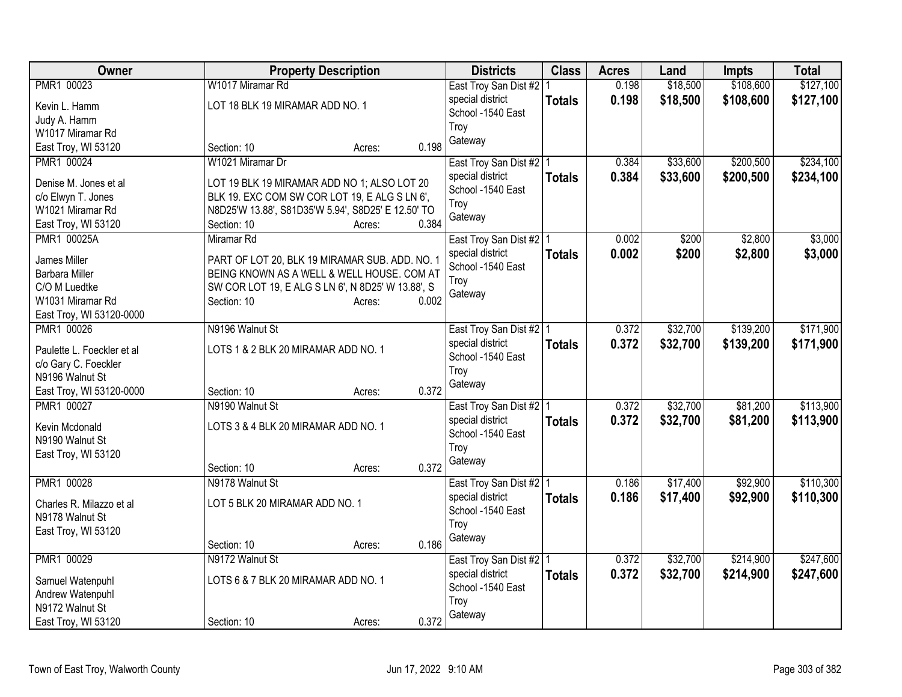| Owner                                   | <b>Property Description</b>                        | <b>Districts</b>                              | <b>Class</b>  | <b>Acres</b> | Land     | <b>Impts</b> | <b>Total</b> |
|-----------------------------------------|----------------------------------------------------|-----------------------------------------------|---------------|--------------|----------|--------------|--------------|
| PMR1 00023                              | W1017 Miramar Rd                                   | East Troy San Dist #2   1                     |               | 0.198        | \$18,500 | \$108,600    | \$127,100    |
| Kevin L. Hamm                           | LOT 18 BLK 19 MIRAMAR ADD NO. 1                    | special district                              | <b>Totals</b> | 0.198        | \$18,500 | \$108,600    | \$127,100    |
| Judy A. Hamm                            |                                                    | School -1540 East                             |               |              |          |              |              |
| W1017 Miramar Rd                        |                                                    | Troy                                          |               |              |          |              |              |
| East Troy, WI 53120                     | 0.198<br>Section: 10<br>Acres:                     | Gateway                                       |               |              |          |              |              |
| PMR1 00024                              | W1021 Miramar Dr                                   | East Troy San Dist #2   1                     |               | 0.384        | \$33,600 | \$200,500    | \$234,100    |
|                                         |                                                    | special district                              | <b>Totals</b> | 0.384        | \$33,600 | \$200,500    | \$234,100    |
| Denise M. Jones et al                   | LOT 19 BLK 19 MIRAMAR ADD NO 1; ALSO LOT 20        | School -1540 East                             |               |              |          |              |              |
| c/o Elwyn T. Jones                      | BLK 19. EXC COM SW COR LOT 19, E ALG S LN 6',      | Troy                                          |               |              |          |              |              |
| W1021 Miramar Rd                        | N8D25'W 13.88', S81D35'W 5.94', S8D25' E 12.50' TO | Gateway                                       |               |              |          |              |              |
| East Troy, WI 53120                     | 0.384<br>Section: 10<br>Acres:                     |                                               |               |              |          |              |              |
| PMR1 00025A                             | Miramar Rd                                         | East Troy San Dist #2   1                     |               | 0.002        | \$200    | \$2,800      | \$3,000      |
| James Miller                            | PART OF LOT 20, BLK 19 MIRAMAR SUB. ADD. NO. 1     | special district                              | <b>Totals</b> | 0.002        | \$200    | \$2,800      | \$3,000      |
| Barbara Miller                          | BEING KNOWN AS A WELL & WELL HOUSE. COM AT         | School -1540 East                             |               |              |          |              |              |
| C/O M Luedtke                           | SW COR LOT 19, E ALG S LN 6', N 8D25' W 13.88', S  | Troy                                          |               |              |          |              |              |
| W1031 Miramar Rd                        | 0.002<br>Section: 10<br>Acres:                     | Gateway                                       |               |              |          |              |              |
| East Troy, WI 53120-0000                |                                                    |                                               |               |              |          |              |              |
| PMR1 00026                              | N9196 Walnut St                                    | East Troy San Dist #2   1                     |               | 0.372        | \$32,700 | \$139,200    | \$171,900    |
|                                         |                                                    | special district                              | <b>Totals</b> | 0.372        | \$32,700 | \$139,200    | \$171,900    |
| Paulette L. Foeckler et al              | LOTS 1 & 2 BLK 20 MIRAMAR ADD NO. 1                | School -1540 East                             |               |              |          |              |              |
| c/o Gary C. Foeckler<br>N9196 Walnut St |                                                    | Troy                                          |               |              |          |              |              |
| East Troy, WI 53120-0000                | 0.372<br>Section: 10                               | Gateway                                       |               |              |          |              |              |
| PMR1 00027                              | Acres:<br>N9190 Walnut St                          |                                               |               | 0.372        | \$32,700 | \$81,200     | \$113,900    |
|                                         |                                                    | East Troy San Dist #2   1<br>special district |               |              |          |              |              |
| Kevin Mcdonald                          | LOTS 3 & 4 BLK 20 MIRAMAR ADD NO. 1                | School -1540 East                             | <b>Totals</b> | 0.372        | \$32,700 | \$81,200     | \$113,900    |
| N9190 Walnut St                         |                                                    | Troy                                          |               |              |          |              |              |
| East Troy, WI 53120                     |                                                    | Gateway                                       |               |              |          |              |              |
|                                         | 0.372<br>Section: 10<br>Acres:                     |                                               |               |              |          |              |              |
| PMR1 00028                              | N9178 Walnut St                                    | East Troy San Dist #2 1                       |               | 0.186        | \$17,400 | \$92,900     | \$110,300    |
| Charles R. Milazzo et al                | LOT 5 BLK 20 MIRAMAR ADD NO. 1                     | special district                              | <b>Totals</b> | 0.186        | \$17,400 | \$92,900     | \$110,300    |
| N9178 Walnut St                         |                                                    | School -1540 East                             |               |              |          |              |              |
| East Troy, WI 53120                     |                                                    | Troy                                          |               |              |          |              |              |
|                                         | 0.186<br>Section: 10<br>Acres:                     | Gateway                                       |               |              |          |              |              |
| PMR1 00029                              | N9172 Walnut St                                    | East Troy San Dist #2   1                     |               | 0.372        | \$32,700 | \$214,900    | \$247,600    |
|                                         |                                                    | special district                              | <b>Totals</b> | 0.372        | \$32,700 | \$214,900    | \$247,600    |
| Samuel Watenpuhl                        | LOTS 6 & 7 BLK 20 MIRAMAR ADD NO. 1                | School -1540 East                             |               |              |          |              |              |
| Andrew Watenpuhl                        |                                                    | Troy                                          |               |              |          |              |              |
| N9172 Walnut St                         |                                                    | Gateway                                       |               |              |          |              |              |
| East Troy, WI 53120                     | 0.372<br>Section: 10<br>Acres:                     |                                               |               |              |          |              |              |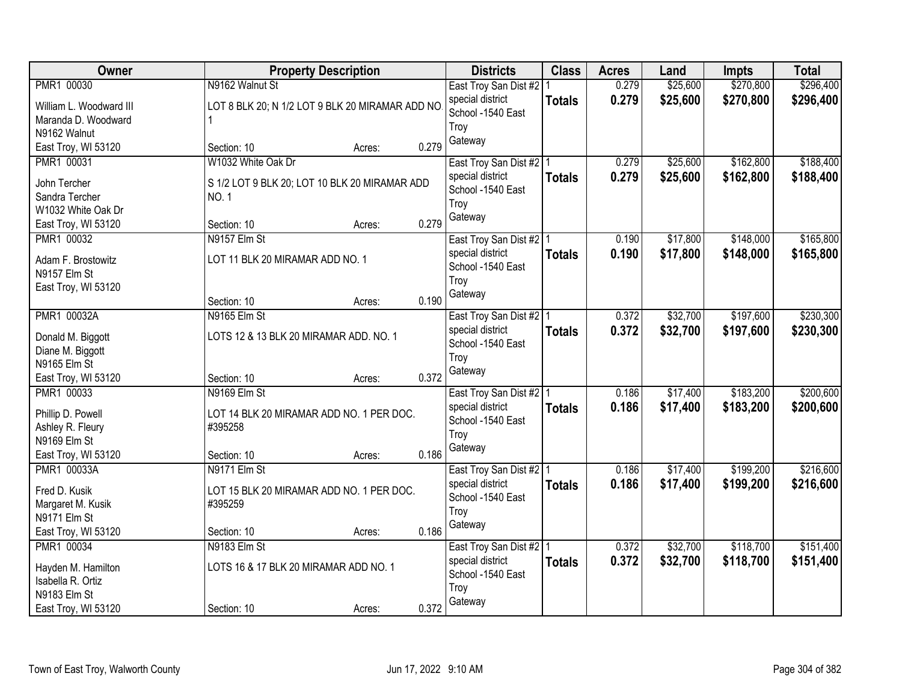| Owner                                   | <b>Property Description</b>                         |        |       | <b>Districts</b>          | <b>Class</b>  | <b>Acres</b> | Land     | <b>Impts</b> | <b>Total</b> |
|-----------------------------------------|-----------------------------------------------------|--------|-------|---------------------------|---------------|--------------|----------|--------------|--------------|
| PMR1 00030                              | N9162 Walnut St                                     |        |       | East Troy San Dist #2   1 |               | 0.279        | \$25,600 | \$270,800    | \$296,400    |
| William L. Woodward III                 | LOT 8 BLK 20; N 1/2 LOT 9 BLK 20 MIRAMAR ADD NO     |        |       | special district          | <b>Totals</b> | 0.279        | \$25,600 | \$270,800    | \$296,400    |
| Maranda D. Woodward                     |                                                     |        |       | School -1540 East         |               |              |          |              |              |
| N9162 Walnut                            |                                                     |        |       | Troy                      |               |              |          |              |              |
| East Troy, WI 53120                     | Section: 10                                         | Acres: | 0.279 | Gateway                   |               |              |          |              |              |
| PMR1 00031                              | W1032 White Oak Dr                                  |        |       | East Troy San Dist #2   1 |               | 0.279        | \$25,600 | \$162,800    | \$188,400    |
| John Tercher                            | S 1/2 LOT 9 BLK 20; LOT 10 BLK 20 MIRAMAR ADD       |        |       | special district          | <b>Totals</b> | 0.279        | \$25,600 | \$162,800    | \$188,400    |
| Sandra Tercher                          | <b>NO.1</b>                                         |        |       | School -1540 East         |               |              |          |              |              |
| W1032 White Oak Dr                      |                                                     |        |       | Troy                      |               |              |          |              |              |
| East Troy, WI 53120                     | Section: 10                                         | Acres: | 0.279 | Gateway                   |               |              |          |              |              |
| PMR1 00032                              | N9157 Elm St                                        |        |       | East Troy San Dist #2   1 |               | 0.190        | \$17,800 | \$148,000    | \$165,800    |
| Adam F. Brostowitz                      | LOT 11 BLK 20 MIRAMAR ADD NO. 1                     |        |       | special district          | <b>Totals</b> | 0.190        | \$17,800 | \$148,000    | \$165,800    |
| N9157 Elm St                            |                                                     |        |       | School -1540 East         |               |              |          |              |              |
| East Troy, WI 53120                     |                                                     |        |       | Troy                      |               |              |          |              |              |
|                                         | Section: 10                                         | Acres: | 0.190 | Gateway                   |               |              |          |              |              |
| PMR1 00032A                             | N9165 Elm St                                        |        |       | East Troy San Dist #2   1 |               | 0.372        | \$32,700 | \$197,600    | \$230,300    |
| Donald M. Biggott                       | LOTS 12 & 13 BLK 20 MIRAMAR ADD. NO. 1              |        |       | special district          | <b>Totals</b> | 0.372        | \$32,700 | \$197,600    | \$230,300    |
| Diane M. Biggott                        |                                                     |        |       | School -1540 East         |               |              |          |              |              |
| N9165 Elm St                            |                                                     |        |       | Troy                      |               |              |          |              |              |
| East Troy, WI 53120                     | Section: 10                                         | Acres: | 0.372 | Gateway                   |               |              |          |              |              |
| PMR1 00033                              | N9169 Elm St                                        |        |       | East Troy San Dist #2   1 |               | 0.186        | \$17,400 | \$183,200    | \$200,600    |
| Phillip D. Powell                       | LOT 14 BLK 20 MIRAMAR ADD NO. 1 PER DOC.            |        |       | special district          | <b>Totals</b> | 0.186        | \$17,400 | \$183,200    | \$200,600    |
| Ashley R. Fleury                        | #395258                                             |        |       | School -1540 East         |               |              |          |              |              |
| N9169 Elm St                            |                                                     |        |       | Troy                      |               |              |          |              |              |
| East Troy, WI 53120                     | Section: 10                                         | Acres: | 0.186 | Gateway                   |               |              |          |              |              |
| PMR1 00033A                             | N9171 Elm St                                        |        |       | East Troy San Dist #2 1   |               | 0.186        | \$17,400 | \$199,200    | \$216,600    |
| Fred D. Kusik                           |                                                     |        |       | special district          | <b>Totals</b> | 0.186        | \$17,400 | \$199,200    | \$216,600    |
| Margaret M. Kusik                       | LOT 15 BLK 20 MIRAMAR ADD NO. 1 PER DOC.<br>#395259 |        |       | School -1540 East         |               |              |          |              |              |
| N9171 Elm St                            |                                                     |        |       | Troy                      |               |              |          |              |              |
| East Troy, WI 53120                     | Section: 10                                         | Acres: | 0.186 | Gateway                   |               |              |          |              |              |
| PMR1 00034                              | N9183 Elm St                                        |        |       | East Troy San Dist #2   1 |               | 0.372        | \$32,700 | \$118,700    | \$151,400    |
|                                         |                                                     |        |       | special district          | <b>Totals</b> | 0.372        | \$32,700 | \$118,700    | \$151,400    |
| Hayden M. Hamilton<br>Isabella R. Ortiz | LOTS 16 & 17 BLK 20 MIRAMAR ADD NO. 1               |        |       | School -1540 East         |               |              |          |              |              |
| N9183 Elm St                            |                                                     |        |       | Troy                      |               |              |          |              |              |
| East Troy, WI 53120                     | Section: 10                                         | Acres: | 0.372 | Gateway                   |               |              |          |              |              |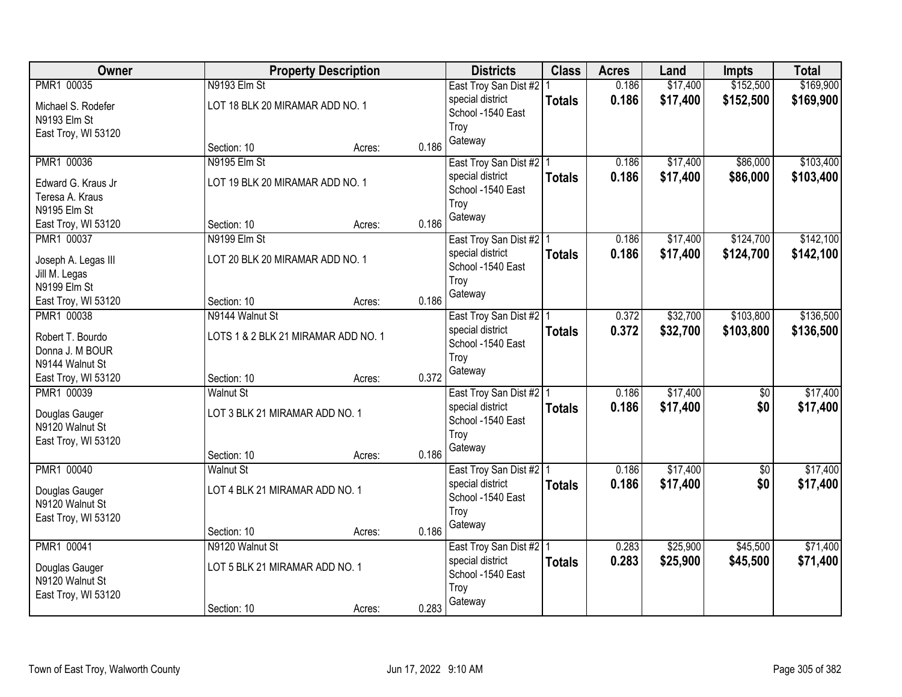| Owner                              |                                     | <b>Property Description</b> |       | <b>Districts</b>                            | <b>Class</b>  | <b>Acres</b>   | Land     | <b>Impts</b>           | <b>Total</b> |
|------------------------------------|-------------------------------------|-----------------------------|-------|---------------------------------------------|---------------|----------------|----------|------------------------|--------------|
| PMR1 00035                         | N9193 Elm St                        |                             |       | East Troy San Dist #2   1                   |               | 0.186          | \$17,400 | \$152,500              | \$169,900    |
| Michael S. Rodefer                 | LOT 18 BLK 20 MIRAMAR ADD NO. 1     |                             |       | special district                            | <b>Totals</b> | 0.186          | \$17,400 | \$152,500              | \$169,900    |
| N9193 Elm St                       |                                     |                             |       | School -1540 East                           |               |                |          |                        |              |
| East Troy, WI 53120                |                                     |                             |       | Troy                                        |               |                |          |                        |              |
|                                    | Section: 10                         | Acres:                      | 0.186 | Gateway                                     |               |                |          |                        |              |
| PMR1 00036                         | N9195 Elm St                        |                             |       | East Troy San Dist #2   1                   |               | 0.186          | \$17,400 | \$86,000               | \$103,400    |
| Edward G. Kraus Jr                 | LOT 19 BLK 20 MIRAMAR ADD NO. 1     |                             |       | special district                            | <b>Totals</b> | 0.186          | \$17,400 | \$86,000               | \$103,400    |
| Teresa A. Kraus                    |                                     |                             |       | School -1540 East                           |               |                |          |                        |              |
| N9195 Elm St                       |                                     |                             |       | Troy                                        |               |                |          |                        |              |
| East Troy, WI 53120                | Section: 10                         | Acres:                      | 0.186 | Gateway                                     |               |                |          |                        |              |
| PMR1 00037                         | N9199 Elm St                        |                             |       | East Troy San Dist #2   1                   |               | 0.186          | \$17,400 | \$124,700              | \$142,100    |
| Joseph A. Legas III                | LOT 20 BLK 20 MIRAMAR ADD NO. 1     |                             |       | special district                            | <b>Totals</b> | 0.186          | \$17,400 | \$124,700              | \$142,100    |
| Jill M. Legas                      |                                     |                             |       | School -1540 East                           |               |                |          |                        |              |
| N9199 Elm St                       |                                     |                             |       | Troy                                        |               |                |          |                        |              |
| East Troy, WI 53120                | Section: 10                         | Acres:                      | 0.186 | Gateway                                     |               |                |          |                        |              |
| PMR1 00038                         | N9144 Walnut St                     |                             |       | East Troy San Dist #2   1                   |               | 0.372          | \$32,700 | \$103,800              | \$136,500    |
|                                    |                                     |                             |       | special district                            | <b>Totals</b> | 0.372          | \$32,700 | \$103,800              | \$136,500    |
| Robert T. Bourdo                   | LOTS 1 & 2 BLK 21 MIRAMAR ADD NO. 1 |                             |       | School -1540 East                           |               |                |          |                        |              |
| Donna J. M BOUR<br>N9144 Walnut St |                                     |                             |       | Troy                                        |               |                |          |                        |              |
| East Troy, WI 53120                | Section: 10                         | Acres:                      | 0.372 | Gateway                                     |               |                |          |                        |              |
| PMR1 00039                         | <b>Walnut St</b>                    |                             |       | East Troy San Dist #2 1                     |               | 0.186          | \$17,400 | \$0                    | \$17,400     |
|                                    |                                     |                             |       | special district                            | <b>Totals</b> | 0.186          | \$17,400 | \$0                    | \$17,400     |
| Douglas Gauger                     | LOT 3 BLK 21 MIRAMAR ADD NO. 1      |                             |       | School -1540 East                           |               |                |          |                        |              |
| N9120 Walnut St                    |                                     |                             |       | Troy                                        |               |                |          |                        |              |
| East Troy, WI 53120                |                                     |                             |       | Gateway                                     |               |                |          |                        |              |
|                                    | Section: 10                         | Acres:                      | 0.186 |                                             |               |                | \$17,400 |                        | \$17,400     |
| PMR1 00040                         | <b>Walnut St</b>                    |                             |       | East Troy San Dist #2 1<br>special district |               | 0.186<br>0.186 | \$17,400 | $\overline{50}$<br>\$0 | \$17,400     |
| Douglas Gauger                     | LOT 4 BLK 21 MIRAMAR ADD NO. 1      |                             |       | School -1540 East                           | <b>Totals</b> |                |          |                        |              |
| N9120 Walnut St                    |                                     |                             |       | Troy                                        |               |                |          |                        |              |
| East Troy, WI 53120                |                                     |                             |       | Gateway                                     |               |                |          |                        |              |
|                                    | Section: 10                         | Acres:                      | 0.186 |                                             |               |                |          |                        |              |
| PMR1 00041                         | N9120 Walnut St                     |                             |       | East Troy San Dist #2   1                   |               | 0.283          | \$25,900 | \$45,500               | \$71,400     |
| Douglas Gauger                     | LOT 5 BLK 21 MIRAMAR ADD NO. 1      |                             |       | special district                            | <b>Totals</b> | 0.283          | \$25,900 | \$45,500               | \$71,400     |
| N9120 Walnut St                    |                                     |                             |       | School -1540 East<br>Troy                   |               |                |          |                        |              |
| East Troy, WI 53120                |                                     |                             |       | Gateway                                     |               |                |          |                        |              |
|                                    | Section: 10                         | Acres:                      | 0.283 |                                             |               |                |          |                        |              |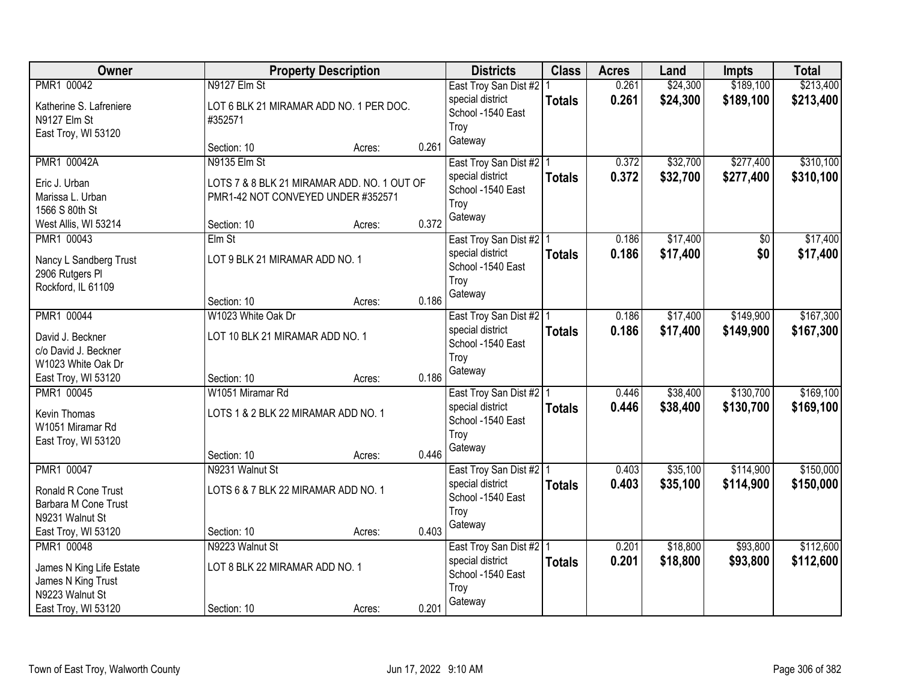| Owner                                  |                                             | <b>Property Description</b> |       | <b>Districts</b>          | <b>Class</b>  | <b>Acres</b> | Land     | <b>Impts</b> | <b>Total</b> |
|----------------------------------------|---------------------------------------------|-----------------------------|-------|---------------------------|---------------|--------------|----------|--------------|--------------|
| PMR1 00042                             | N9127 Elm St                                |                             |       | East Troy San Dist #2     |               | 0.261        | \$24,300 | \$189,100    | \$213,400    |
| Katherine S. Lafreniere                | LOT 6 BLK 21 MIRAMAR ADD NO. 1 PER DOC.     |                             |       | special district          | <b>Totals</b> | 0.261        | \$24,300 | \$189,100    | \$213,400    |
| N9127 Elm St                           | #352571                                     |                             |       | School -1540 East         |               |              |          |              |              |
| East Troy, WI 53120                    |                                             |                             |       | Troy                      |               |              |          |              |              |
|                                        | Section: 10                                 | Acres:                      | 0.261 | Gateway                   |               |              |          |              |              |
| <b>PMR1 00042A</b>                     | N9135 Elm St                                |                             |       | East Troy San Dist #2   1 |               | 0.372        | \$32,700 | \$277,400    | \$310,100    |
| Eric J. Urban                          | LOTS 7 & 8 BLK 21 MIRAMAR ADD. NO. 1 OUT OF |                             |       | special district          | <b>Totals</b> | 0.372        | \$32,700 | \$277,400    | \$310,100    |
| Marissa L. Urban                       | PMR1-42 NOT CONVEYED UNDER #352571          |                             |       | School -1540 East         |               |              |          |              |              |
| 1566 S 80th St                         |                                             |                             |       | Troy                      |               |              |          |              |              |
| West Allis, WI 53214                   | Section: 10                                 | Acres:                      | 0.372 | Gateway                   |               |              |          |              |              |
| PMR1 00043                             | Elm St                                      |                             |       | East Troy San Dist #2   1 |               | 0.186        | \$17,400 | \$0          | \$17,400     |
| Nancy L Sandberg Trust                 | LOT 9 BLK 21 MIRAMAR ADD NO. 1              |                             |       | special district          | <b>Totals</b> | 0.186        | \$17,400 | \$0          | \$17,400     |
| 2906 Rutgers PI                        |                                             |                             |       | School -1540 East         |               |              |          |              |              |
| Rockford, IL 61109                     |                                             |                             |       | Troy                      |               |              |          |              |              |
|                                        | Section: 10                                 | Acres:                      | 0.186 | Gateway                   |               |              |          |              |              |
| PMR1 00044                             | W1023 White Oak Dr                          |                             |       | East Troy San Dist #2   1 |               | 0.186        | \$17,400 | \$149,900    | \$167,300    |
| David J. Beckner                       | LOT 10 BLK 21 MIRAMAR ADD NO. 1             |                             |       | special district          | <b>Totals</b> | 0.186        | \$17,400 | \$149,900    | \$167,300    |
| c/o David J. Beckner                   |                                             |                             |       | School -1540 East         |               |              |          |              |              |
| W1023 White Oak Dr                     |                                             |                             |       | Troy                      |               |              |          |              |              |
| East Troy, WI 53120                    | Section: 10                                 | Acres:                      | 0.186 | Gateway                   |               |              |          |              |              |
| PMR1 00045                             | W1051 Miramar Rd                            |                             |       | East Troy San Dist #2   1 |               | 0.446        | \$38,400 | \$130,700    | \$169,100    |
|                                        |                                             |                             |       | special district          | <b>Totals</b> | 0.446        | \$38,400 | \$130,700    | \$169,100    |
| Kevin Thomas<br>W1051 Miramar Rd       | LOTS 1 & 2 BLK 22 MIRAMAR ADD NO. 1         |                             |       | School -1540 East         |               |              |          |              |              |
| East Troy, WI 53120                    |                                             |                             |       | Troy                      |               |              |          |              |              |
|                                        | Section: 10                                 | Acres:                      | 0.446 | Gateway                   |               |              |          |              |              |
| PMR1 00047                             | N9231 Walnut St                             |                             |       | East Troy San Dist #2   1 |               | 0.403        | \$35,100 | \$114,900    | \$150,000    |
|                                        |                                             |                             |       | special district          | <b>Totals</b> | 0.403        | \$35,100 | \$114,900    | \$150,000    |
| Ronald R Cone Trust                    | LOTS 6 & 7 BLK 22 MIRAMAR ADD NO. 1         |                             |       | School -1540 East         |               |              |          |              |              |
| Barbara M Cone Trust                   |                                             |                             |       | Troy                      |               |              |          |              |              |
| N9231 Walnut St<br>East Troy, WI 53120 | Section: 10                                 | Acres:                      | 0.403 | Gateway                   |               |              |          |              |              |
| PMR1 00048                             | N9223 Walnut St                             |                             |       | East Troy San Dist #2   1 |               | 0.201        | \$18,800 | \$93,800     | \$112,600    |
|                                        |                                             |                             |       | special district          | <b>Totals</b> | 0.201        | \$18,800 | \$93,800     | \$112,600    |
| James N King Life Estate               | LOT 8 BLK 22 MIRAMAR ADD NO. 1              |                             |       | School -1540 East         |               |              |          |              |              |
| James N King Trust                     |                                             |                             |       | Troy                      |               |              |          |              |              |
| N9223 Walnut St                        |                                             |                             |       | Gateway                   |               |              |          |              |              |
| East Troy, WI 53120                    | Section: 10                                 | Acres:                      | 0.201 |                           |               |              |          |              |              |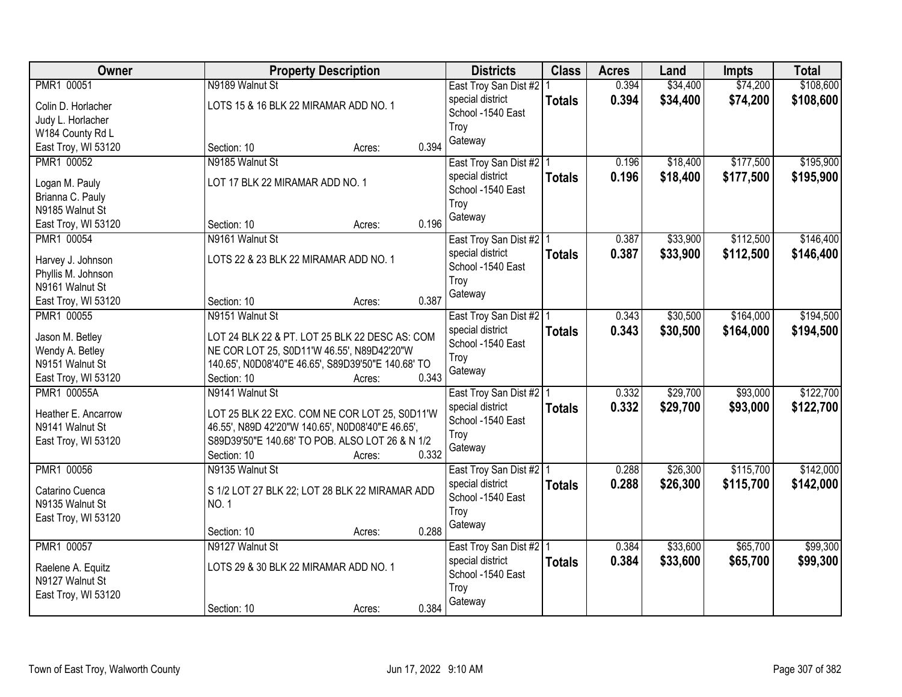| \$108,600<br>PMR1 00051<br>N9189 Walnut St<br>0.394<br>\$34,400<br>\$74,200<br>East Troy San Dist #2   1<br>0.394<br>\$34,400<br>\$74,200<br>special district<br>\$108,600<br><b>Totals</b><br>LOTS 15 & 16 BLK 22 MIRAMAR ADD NO. 1<br>Colin D. Horlacher<br>School -1540 East<br>Judy L. Horlacher<br>Troy<br>W184 County Rd L<br>Gateway<br>0.394<br>East Troy, WI 53120<br>Section: 10<br>Acres:<br>PMR1 00052<br>N9185 Walnut St<br>\$18,400<br>\$177,500<br>East Troy San Dist #2   1<br>0.196<br>0.196<br>\$18,400<br>\$177,500<br>special district<br><b>Totals</b><br>LOT 17 BLK 22 MIRAMAR ADD NO. 1<br>Logan M. Pauly<br>School -1540 East<br>Brianna C. Pauly<br>Troy<br>N9185 Walnut St<br>Gateway<br>0.196<br>East Troy, WI 53120<br>Section: 10<br>Acres:<br>\$112,500<br>PMR1 00054<br>N9161 Walnut St<br>0.387<br>\$33,900<br>East Troy San Dist #2   1<br>special district<br>0.387<br>\$33,900<br>\$112,500<br><b>Totals</b><br>LOTS 22 & 23 BLK 22 MIRAMAR ADD NO. 1<br>Harvey J. Johnson<br>School -1540 East<br>Phyllis M. Johnson<br>Troy<br>N9161 Walnut St<br>Gateway<br>0.387<br>Section: 10<br>East Troy, WI 53120<br>Acres:<br>N9151 Walnut St<br>\$30,500<br>\$164,000<br>PMR1 00055<br>East Troy San Dist #2   1<br>0.343<br>special district<br>0.343<br>\$30,500<br>\$164,000<br><b>Totals</b><br>Jason M. Betley<br>LOT 24 BLK 22 & PT. LOT 25 BLK 22 DESC AS: COM<br>School -1540 East<br>Wendy A. Betley<br>NE COR LOT 25, S0D11'W 46.55', N89D42'20"W<br>Troy<br>N9151 Walnut St<br>140.65', N0D08'40"E 46.65', S89D39'50"E 140.68' TO<br>Gateway<br>0.343<br>East Troy, WI 53120<br>Section: 10<br>Acres:<br>\$29,700<br>\$93,000<br><b>PMR1 00055A</b><br>N9141 Walnut St<br>0.332<br>East Troy San Dist #2   1<br>special district<br>0.332<br>\$29,700<br>\$93,000<br><b>Totals</b><br>Heather E. Ancarrow<br>LOT 25 BLK 22 EXC. COM NE COR LOT 25, S0D11'W<br>School -1540 East<br>N9141 Walnut St<br>46.55', N89D 42'20"W 140.65', N0D08'40"E 46.65',<br>Troy<br>S89D39'50"E 140.68' TO POB. ALSO LOT 26 & N 1/2<br>East Troy, WI 53120<br>Gateway<br>0.332<br>Section: 10<br>Acres:<br>\$26,300<br>\$115,700<br>PMR1 00056<br>0.288<br>N9135 Walnut St<br>East Troy San Dist #2 1<br>0.288<br>special district<br>\$26,300<br>\$115,700<br><b>Totals</b><br>S 1/2 LOT 27 BLK 22; LOT 28 BLK 22 MIRAMAR ADD<br>Catarino Cuenca<br>School -1540 East<br>N9135 Walnut St<br><b>NO.1</b><br>Troy<br>East Troy, WI 53120<br>Gateway<br>0.288<br>Section: 10<br>Acres:<br>PMR1 00057<br>\$65,700<br>\$33,600<br>N9127 Walnut St<br>East Troy San Dist #2   1<br>0.384<br>0.384<br>\$33,600<br>\$65,700<br>special district<br><b>Totals</b><br>LOTS 29 & 30 BLK 22 MIRAMAR ADD NO. 1<br>Raelene A. Equitz<br>School -1540 East<br>N9127 Walnut St<br>Troy<br>East Troy, WI 53120 | Owner | <b>Property Description</b>    | <b>Districts</b> | <b>Class</b> | <b>Acres</b> | Land | <b>Impts</b> | <b>Total</b> |
|-----------------------------------------------------------------------------------------------------------------------------------------------------------------------------------------------------------------------------------------------------------------------------------------------------------------------------------------------------------------------------------------------------------------------------------------------------------------------------------------------------------------------------------------------------------------------------------------------------------------------------------------------------------------------------------------------------------------------------------------------------------------------------------------------------------------------------------------------------------------------------------------------------------------------------------------------------------------------------------------------------------------------------------------------------------------------------------------------------------------------------------------------------------------------------------------------------------------------------------------------------------------------------------------------------------------------------------------------------------------------------------------------------------------------------------------------------------------------------------------------------------------------------------------------------------------------------------------------------------------------------------------------------------------------------------------------------------------------------------------------------------------------------------------------------------------------------------------------------------------------------------------------------------------------------------------------------------------------------------------------------------------------------------------------------------------------------------------------------------------------------------------------------------------------------------------------------------------------------------------------------------------------------------------------------------------------------------------------------------------------------------------------------------------------------------------------------------------------------------------------------------------------------------------------------------------------------------------------------------------------------------------------------------------------------------------------------------------------------------------------------------------------------------------------------------------------|-------|--------------------------------|------------------|--------------|--------------|------|--------------|--------------|
|                                                                                                                                                                                                                                                                                                                                                                                                                                                                                                                                                                                                                                                                                                                                                                                                                                                                                                                                                                                                                                                                                                                                                                                                                                                                                                                                                                                                                                                                                                                                                                                                                                                                                                                                                                                                                                                                                                                                                                                                                                                                                                                                                                                                                                                                                                                                                                                                                                                                                                                                                                                                                                                                                                                                                                                                                       |       |                                |                  |              |              |      |              |              |
|                                                                                                                                                                                                                                                                                                                                                                                                                                                                                                                                                                                                                                                                                                                                                                                                                                                                                                                                                                                                                                                                                                                                                                                                                                                                                                                                                                                                                                                                                                                                                                                                                                                                                                                                                                                                                                                                                                                                                                                                                                                                                                                                                                                                                                                                                                                                                                                                                                                                                                                                                                                                                                                                                                                                                                                                                       |       |                                |                  |              |              |      |              |              |
| \$195,900<br>\$195,900<br>\$194,500<br>\$122,700<br>\$99,300<br>\$99,300                                                                                                                                                                                                                                                                                                                                                                                                                                                                                                                                                                                                                                                                                                                                                                                                                                                                                                                                                                                                                                                                                                                                                                                                                                                                                                                                                                                                                                                                                                                                                                                                                                                                                                                                                                                                                                                                                                                                                                                                                                                                                                                                                                                                                                                                                                                                                                                                                                                                                                                                                                                                                                                                                                                                              |       |                                |                  |              |              |      |              |              |
|                                                                                                                                                                                                                                                                                                                                                                                                                                                                                                                                                                                                                                                                                                                                                                                                                                                                                                                                                                                                                                                                                                                                                                                                                                                                                                                                                                                                                                                                                                                                                                                                                                                                                                                                                                                                                                                                                                                                                                                                                                                                                                                                                                                                                                                                                                                                                                                                                                                                                                                                                                                                                                                                                                                                                                                                                       |       |                                |                  |              |              |      |              |              |
|                                                                                                                                                                                                                                                                                                                                                                                                                                                                                                                                                                                                                                                                                                                                                                                                                                                                                                                                                                                                                                                                                                                                                                                                                                                                                                                                                                                                                                                                                                                                                                                                                                                                                                                                                                                                                                                                                                                                                                                                                                                                                                                                                                                                                                                                                                                                                                                                                                                                                                                                                                                                                                                                                                                                                                                                                       |       |                                |                  |              |              |      |              |              |
|                                                                                                                                                                                                                                                                                                                                                                                                                                                                                                                                                                                                                                                                                                                                                                                                                                                                                                                                                                                                                                                                                                                                                                                                                                                                                                                                                                                                                                                                                                                                                                                                                                                                                                                                                                                                                                                                                                                                                                                                                                                                                                                                                                                                                                                                                                                                                                                                                                                                                                                                                                                                                                                                                                                                                                                                                       |       |                                |                  |              |              |      |              |              |
|                                                                                                                                                                                                                                                                                                                                                                                                                                                                                                                                                                                                                                                                                                                                                                                                                                                                                                                                                                                                                                                                                                                                                                                                                                                                                                                                                                                                                                                                                                                                                                                                                                                                                                                                                                                                                                                                                                                                                                                                                                                                                                                                                                                                                                                                                                                                                                                                                                                                                                                                                                                                                                                                                                                                                                                                                       |       |                                |                  |              |              |      |              |              |
|                                                                                                                                                                                                                                                                                                                                                                                                                                                                                                                                                                                                                                                                                                                                                                                                                                                                                                                                                                                                                                                                                                                                                                                                                                                                                                                                                                                                                                                                                                                                                                                                                                                                                                                                                                                                                                                                                                                                                                                                                                                                                                                                                                                                                                                                                                                                                                                                                                                                                                                                                                                                                                                                                                                                                                                                                       |       |                                |                  |              |              |      |              |              |
| \$146,400<br>\$146,400<br>\$194,500<br>\$122,700<br>\$142,000<br>\$142,000                                                                                                                                                                                                                                                                                                                                                                                                                                                                                                                                                                                                                                                                                                                                                                                                                                                                                                                                                                                                                                                                                                                                                                                                                                                                                                                                                                                                                                                                                                                                                                                                                                                                                                                                                                                                                                                                                                                                                                                                                                                                                                                                                                                                                                                                                                                                                                                                                                                                                                                                                                                                                                                                                                                                            |       |                                |                  |              |              |      |              |              |
|                                                                                                                                                                                                                                                                                                                                                                                                                                                                                                                                                                                                                                                                                                                                                                                                                                                                                                                                                                                                                                                                                                                                                                                                                                                                                                                                                                                                                                                                                                                                                                                                                                                                                                                                                                                                                                                                                                                                                                                                                                                                                                                                                                                                                                                                                                                                                                                                                                                                                                                                                                                                                                                                                                                                                                                                                       |       |                                |                  |              |              |      |              |              |
|                                                                                                                                                                                                                                                                                                                                                                                                                                                                                                                                                                                                                                                                                                                                                                                                                                                                                                                                                                                                                                                                                                                                                                                                                                                                                                                                                                                                                                                                                                                                                                                                                                                                                                                                                                                                                                                                                                                                                                                                                                                                                                                                                                                                                                                                                                                                                                                                                                                                                                                                                                                                                                                                                                                                                                                                                       |       |                                |                  |              |              |      |              |              |
|                                                                                                                                                                                                                                                                                                                                                                                                                                                                                                                                                                                                                                                                                                                                                                                                                                                                                                                                                                                                                                                                                                                                                                                                                                                                                                                                                                                                                                                                                                                                                                                                                                                                                                                                                                                                                                                                                                                                                                                                                                                                                                                                                                                                                                                                                                                                                                                                                                                                                                                                                                                                                                                                                                                                                                                                                       |       |                                |                  |              |              |      |              |              |
|                                                                                                                                                                                                                                                                                                                                                                                                                                                                                                                                                                                                                                                                                                                                                                                                                                                                                                                                                                                                                                                                                                                                                                                                                                                                                                                                                                                                                                                                                                                                                                                                                                                                                                                                                                                                                                                                                                                                                                                                                                                                                                                                                                                                                                                                                                                                                                                                                                                                                                                                                                                                                                                                                                                                                                                                                       |       |                                |                  |              |              |      |              |              |
|                                                                                                                                                                                                                                                                                                                                                                                                                                                                                                                                                                                                                                                                                                                                                                                                                                                                                                                                                                                                                                                                                                                                                                                                                                                                                                                                                                                                                                                                                                                                                                                                                                                                                                                                                                                                                                                                                                                                                                                                                                                                                                                                                                                                                                                                                                                                                                                                                                                                                                                                                                                                                                                                                                                                                                                                                       |       |                                |                  |              |              |      |              |              |
|                                                                                                                                                                                                                                                                                                                                                                                                                                                                                                                                                                                                                                                                                                                                                                                                                                                                                                                                                                                                                                                                                                                                                                                                                                                                                                                                                                                                                                                                                                                                                                                                                                                                                                                                                                                                                                                                                                                                                                                                                                                                                                                                                                                                                                                                                                                                                                                                                                                                                                                                                                                                                                                                                                                                                                                                                       |       |                                |                  |              |              |      |              |              |
|                                                                                                                                                                                                                                                                                                                                                                                                                                                                                                                                                                                                                                                                                                                                                                                                                                                                                                                                                                                                                                                                                                                                                                                                                                                                                                                                                                                                                                                                                                                                                                                                                                                                                                                                                                                                                                                                                                                                                                                                                                                                                                                                                                                                                                                                                                                                                                                                                                                                                                                                                                                                                                                                                                                                                                                                                       |       |                                |                  |              |              |      |              |              |
|                                                                                                                                                                                                                                                                                                                                                                                                                                                                                                                                                                                                                                                                                                                                                                                                                                                                                                                                                                                                                                                                                                                                                                                                                                                                                                                                                                                                                                                                                                                                                                                                                                                                                                                                                                                                                                                                                                                                                                                                                                                                                                                                                                                                                                                                                                                                                                                                                                                                                                                                                                                                                                                                                                                                                                                                                       |       |                                |                  |              |              |      |              |              |
|                                                                                                                                                                                                                                                                                                                                                                                                                                                                                                                                                                                                                                                                                                                                                                                                                                                                                                                                                                                                                                                                                                                                                                                                                                                                                                                                                                                                                                                                                                                                                                                                                                                                                                                                                                                                                                                                                                                                                                                                                                                                                                                                                                                                                                                                                                                                                                                                                                                                                                                                                                                                                                                                                                                                                                                                                       |       |                                |                  |              |              |      |              |              |
|                                                                                                                                                                                                                                                                                                                                                                                                                                                                                                                                                                                                                                                                                                                                                                                                                                                                                                                                                                                                                                                                                                                                                                                                                                                                                                                                                                                                                                                                                                                                                                                                                                                                                                                                                                                                                                                                                                                                                                                                                                                                                                                                                                                                                                                                                                                                                                                                                                                                                                                                                                                                                                                                                                                                                                                                                       |       |                                |                  |              |              |      |              |              |
|                                                                                                                                                                                                                                                                                                                                                                                                                                                                                                                                                                                                                                                                                                                                                                                                                                                                                                                                                                                                                                                                                                                                                                                                                                                                                                                                                                                                                                                                                                                                                                                                                                                                                                                                                                                                                                                                                                                                                                                                                                                                                                                                                                                                                                                                                                                                                                                                                                                                                                                                                                                                                                                                                                                                                                                                                       |       |                                |                  |              |              |      |              |              |
|                                                                                                                                                                                                                                                                                                                                                                                                                                                                                                                                                                                                                                                                                                                                                                                                                                                                                                                                                                                                                                                                                                                                                                                                                                                                                                                                                                                                                                                                                                                                                                                                                                                                                                                                                                                                                                                                                                                                                                                                                                                                                                                                                                                                                                                                                                                                                                                                                                                                                                                                                                                                                                                                                                                                                                                                                       |       |                                |                  |              |              |      |              |              |
|                                                                                                                                                                                                                                                                                                                                                                                                                                                                                                                                                                                                                                                                                                                                                                                                                                                                                                                                                                                                                                                                                                                                                                                                                                                                                                                                                                                                                                                                                                                                                                                                                                                                                                                                                                                                                                                                                                                                                                                                                                                                                                                                                                                                                                                                                                                                                                                                                                                                                                                                                                                                                                                                                                                                                                                                                       |       |                                |                  |              |              |      |              |              |
|                                                                                                                                                                                                                                                                                                                                                                                                                                                                                                                                                                                                                                                                                                                                                                                                                                                                                                                                                                                                                                                                                                                                                                                                                                                                                                                                                                                                                                                                                                                                                                                                                                                                                                                                                                                                                                                                                                                                                                                                                                                                                                                                                                                                                                                                                                                                                                                                                                                                                                                                                                                                                                                                                                                                                                                                                       |       |                                |                  |              |              |      |              |              |
|                                                                                                                                                                                                                                                                                                                                                                                                                                                                                                                                                                                                                                                                                                                                                                                                                                                                                                                                                                                                                                                                                                                                                                                                                                                                                                                                                                                                                                                                                                                                                                                                                                                                                                                                                                                                                                                                                                                                                                                                                                                                                                                                                                                                                                                                                                                                                                                                                                                                                                                                                                                                                                                                                                                                                                                                                       |       |                                |                  |              |              |      |              |              |
|                                                                                                                                                                                                                                                                                                                                                                                                                                                                                                                                                                                                                                                                                                                                                                                                                                                                                                                                                                                                                                                                                                                                                                                                                                                                                                                                                                                                                                                                                                                                                                                                                                                                                                                                                                                                                                                                                                                                                                                                                                                                                                                                                                                                                                                                                                                                                                                                                                                                                                                                                                                                                                                                                                                                                                                                                       |       |                                |                  |              |              |      |              |              |
|                                                                                                                                                                                                                                                                                                                                                                                                                                                                                                                                                                                                                                                                                                                                                                                                                                                                                                                                                                                                                                                                                                                                                                                                                                                                                                                                                                                                                                                                                                                                                                                                                                                                                                                                                                                                                                                                                                                                                                                                                                                                                                                                                                                                                                                                                                                                                                                                                                                                                                                                                                                                                                                                                                                                                                                                                       |       |                                |                  |              |              |      |              |              |
|                                                                                                                                                                                                                                                                                                                                                                                                                                                                                                                                                                                                                                                                                                                                                                                                                                                                                                                                                                                                                                                                                                                                                                                                                                                                                                                                                                                                                                                                                                                                                                                                                                                                                                                                                                                                                                                                                                                                                                                                                                                                                                                                                                                                                                                                                                                                                                                                                                                                                                                                                                                                                                                                                                                                                                                                                       |       |                                |                  |              |              |      |              |              |
|                                                                                                                                                                                                                                                                                                                                                                                                                                                                                                                                                                                                                                                                                                                                                                                                                                                                                                                                                                                                                                                                                                                                                                                                                                                                                                                                                                                                                                                                                                                                                                                                                                                                                                                                                                                                                                                                                                                                                                                                                                                                                                                                                                                                                                                                                                                                                                                                                                                                                                                                                                                                                                                                                                                                                                                                                       |       |                                |                  |              |              |      |              |              |
|                                                                                                                                                                                                                                                                                                                                                                                                                                                                                                                                                                                                                                                                                                                                                                                                                                                                                                                                                                                                                                                                                                                                                                                                                                                                                                                                                                                                                                                                                                                                                                                                                                                                                                                                                                                                                                                                                                                                                                                                                                                                                                                                                                                                                                                                                                                                                                                                                                                                                                                                                                                                                                                                                                                                                                                                                       |       |                                |                  |              |              |      |              |              |
|                                                                                                                                                                                                                                                                                                                                                                                                                                                                                                                                                                                                                                                                                                                                                                                                                                                                                                                                                                                                                                                                                                                                                                                                                                                                                                                                                                                                                                                                                                                                                                                                                                                                                                                                                                                                                                                                                                                                                                                                                                                                                                                                                                                                                                                                                                                                                                                                                                                                                                                                                                                                                                                                                                                                                                                                                       |       |                                |                  |              |              |      |              |              |
|                                                                                                                                                                                                                                                                                                                                                                                                                                                                                                                                                                                                                                                                                                                                                                                                                                                                                                                                                                                                                                                                                                                                                                                                                                                                                                                                                                                                                                                                                                                                                                                                                                                                                                                                                                                                                                                                                                                                                                                                                                                                                                                                                                                                                                                                                                                                                                                                                                                                                                                                                                                                                                                                                                                                                                                                                       |       |                                |                  |              |              |      |              |              |
|                                                                                                                                                                                                                                                                                                                                                                                                                                                                                                                                                                                                                                                                                                                                                                                                                                                                                                                                                                                                                                                                                                                                                                                                                                                                                                                                                                                                                                                                                                                                                                                                                                                                                                                                                                                                                                                                                                                                                                                                                                                                                                                                                                                                                                                                                                                                                                                                                                                                                                                                                                                                                                                                                                                                                                                                                       |       |                                |                  |              |              |      |              |              |
|                                                                                                                                                                                                                                                                                                                                                                                                                                                                                                                                                                                                                                                                                                                                                                                                                                                                                                                                                                                                                                                                                                                                                                                                                                                                                                                                                                                                                                                                                                                                                                                                                                                                                                                                                                                                                                                                                                                                                                                                                                                                                                                                                                                                                                                                                                                                                                                                                                                                                                                                                                                                                                                                                                                                                                                                                       |       |                                |                  |              |              |      |              |              |
|                                                                                                                                                                                                                                                                                                                                                                                                                                                                                                                                                                                                                                                                                                                                                                                                                                                                                                                                                                                                                                                                                                                                                                                                                                                                                                                                                                                                                                                                                                                                                                                                                                                                                                                                                                                                                                                                                                                                                                                                                                                                                                                                                                                                                                                                                                                                                                                                                                                                                                                                                                                                                                                                                                                                                                                                                       |       |                                |                  |              |              |      |              |              |
|                                                                                                                                                                                                                                                                                                                                                                                                                                                                                                                                                                                                                                                                                                                                                                                                                                                                                                                                                                                                                                                                                                                                                                                                                                                                                                                                                                                                                                                                                                                                                                                                                                                                                                                                                                                                                                                                                                                                                                                                                                                                                                                                                                                                                                                                                                                                                                                                                                                                                                                                                                                                                                                                                                                                                                                                                       |       |                                |                  |              |              |      |              |              |
|                                                                                                                                                                                                                                                                                                                                                                                                                                                                                                                                                                                                                                                                                                                                                                                                                                                                                                                                                                                                                                                                                                                                                                                                                                                                                                                                                                                                                                                                                                                                                                                                                                                                                                                                                                                                                                                                                                                                                                                                                                                                                                                                                                                                                                                                                                                                                                                                                                                                                                                                                                                                                                                                                                                                                                                                                       |       |                                |                  |              |              |      |              |              |
|                                                                                                                                                                                                                                                                                                                                                                                                                                                                                                                                                                                                                                                                                                                                                                                                                                                                                                                                                                                                                                                                                                                                                                                                                                                                                                                                                                                                                                                                                                                                                                                                                                                                                                                                                                                                                                                                                                                                                                                                                                                                                                                                                                                                                                                                                                                                                                                                                                                                                                                                                                                                                                                                                                                                                                                                                       |       | 0.384<br>Section: 10<br>Acres: | Gateway          |              |              |      |              |              |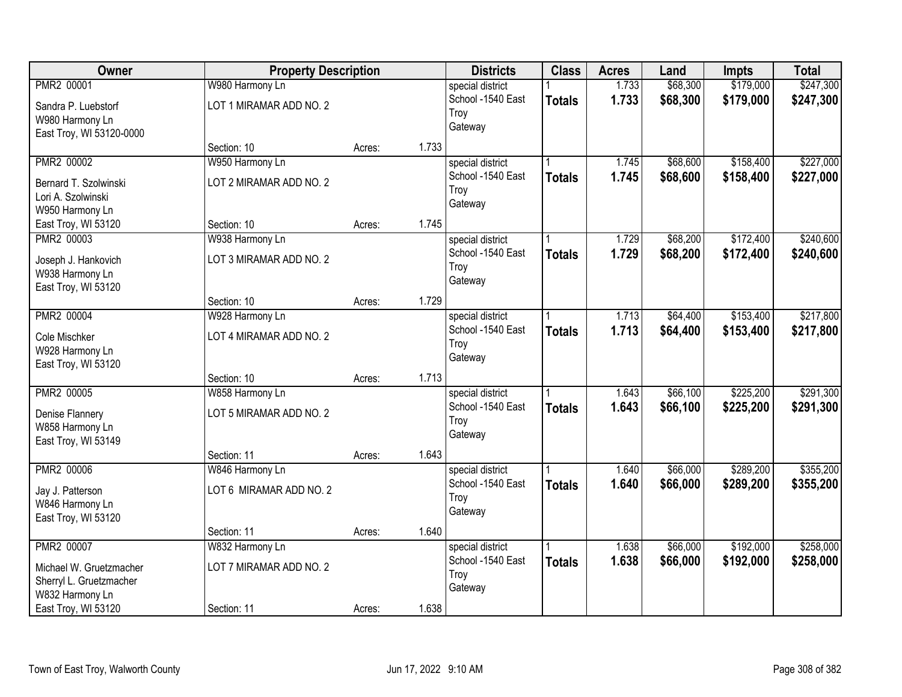| Owner                                                                                                      | <b>Property Description</b>                               |        |       | <b>Districts</b>                                         | <b>Class</b>  | <b>Acres</b>   | Land                 | <b>Impts</b>           | <b>Total</b>           |
|------------------------------------------------------------------------------------------------------------|-----------------------------------------------------------|--------|-------|----------------------------------------------------------|---------------|----------------|----------------------|------------------------|------------------------|
| PMR2 00001<br>Sandra P. Luebstorf<br>W980 Harmony Ln                                                       | W980 Harmony Ln<br>LOT 1 MIRAMAR ADD NO. 2                |        |       | special district<br>School -1540 East<br>Troy<br>Gateway | <b>Totals</b> | 1.733<br>1.733 | \$68,300<br>\$68,300 | \$179,000<br>\$179,000 | \$247,300<br>\$247,300 |
| East Troy, WI 53120-0000                                                                                   | Section: 10                                               | Acres: | 1.733 |                                                          |               |                |                      |                        |                        |
| PMR2 00002<br>Bernard T. Szolwinski<br>Lori A. Szolwinski<br>W950 Harmony Ln                               | W950 Harmony Ln<br>LOT 2 MIRAMAR ADD NO. 2                |        |       | special district<br>School -1540 East<br>Troy<br>Gateway | <b>Totals</b> | 1.745<br>1.745 | \$68,600<br>\$68,600 | \$158,400<br>\$158,400 | \$227,000<br>\$227,000 |
| East Troy, WI 53120                                                                                        | Section: 10                                               | Acres: | 1.745 |                                                          |               |                |                      |                        |                        |
| PMR2 00003<br>Joseph J. Hankovich<br>W938 Harmony Ln<br>East Troy, WI 53120                                | W938 Harmony Ln<br>LOT 3 MIRAMAR ADD NO. 2                |        |       | special district<br>School -1540 East<br>Troy<br>Gateway | <b>Totals</b> | 1.729<br>1.729 | \$68,200<br>\$68,200 | \$172,400<br>\$172,400 | \$240,600<br>\$240,600 |
|                                                                                                            | Section: 10                                               | Acres: | 1.729 |                                                          |               |                |                      |                        |                        |
| PMR2 00004<br>Cole Mischker<br>W928 Harmony Ln<br>East Troy, WI 53120                                      | W928 Harmony Ln<br>LOT 4 MIRAMAR ADD NO. 2                |        |       | special district<br>School -1540 East<br>Troy<br>Gateway | <b>Totals</b> | 1.713<br>1.713 | \$64,400<br>\$64,400 | \$153,400<br>\$153,400 | \$217,800<br>\$217,800 |
|                                                                                                            | Section: 10                                               | Acres: | 1.713 |                                                          |               |                |                      |                        |                        |
| PMR2 00005<br>Denise Flannery<br>W858 Harmony Ln<br>East Troy, WI 53149                                    | W858 Harmony Ln<br>LOT 5 MIRAMAR ADD NO. 2                |        |       | special district<br>School -1540 East<br>Troy<br>Gateway | <b>Totals</b> | 1.643<br>1.643 | \$66,100<br>\$66,100 | \$225,200<br>\$225,200 | \$291,300<br>\$291,300 |
|                                                                                                            | Section: 11                                               | Acres: | 1.643 |                                                          |               |                |                      |                        |                        |
| PMR2 00006<br>Jay J. Patterson<br>W846 Harmony Ln<br>East Troy, WI 53120                                   | W846 Harmony Ln<br>LOT 6 MIRAMAR ADD NO. 2                |        |       | special district<br>School -1540 East<br>Troy<br>Gateway | <b>Totals</b> | 1.640<br>1.640 | \$66,000<br>\$66,000 | \$289,200<br>\$289,200 | \$355,200<br>\$355,200 |
|                                                                                                            | Section: 11                                               | Acres: | 1.640 |                                                          |               |                |                      |                        |                        |
| PMR2 00007<br>Michael W. Gruetzmacher<br>Sherryl L. Gruetzmacher<br>W832 Harmony Ln<br>East Troy, WI 53120 | W832 Harmony Ln<br>LOT 7 MIRAMAR ADD NO. 2<br>Section: 11 | Acres: | 1.638 | special district<br>School -1540 East<br>Troy<br>Gateway | <b>Totals</b> | 1.638<br>1.638 | \$66,000<br>\$66,000 | \$192,000<br>\$192,000 | \$258,000<br>\$258,000 |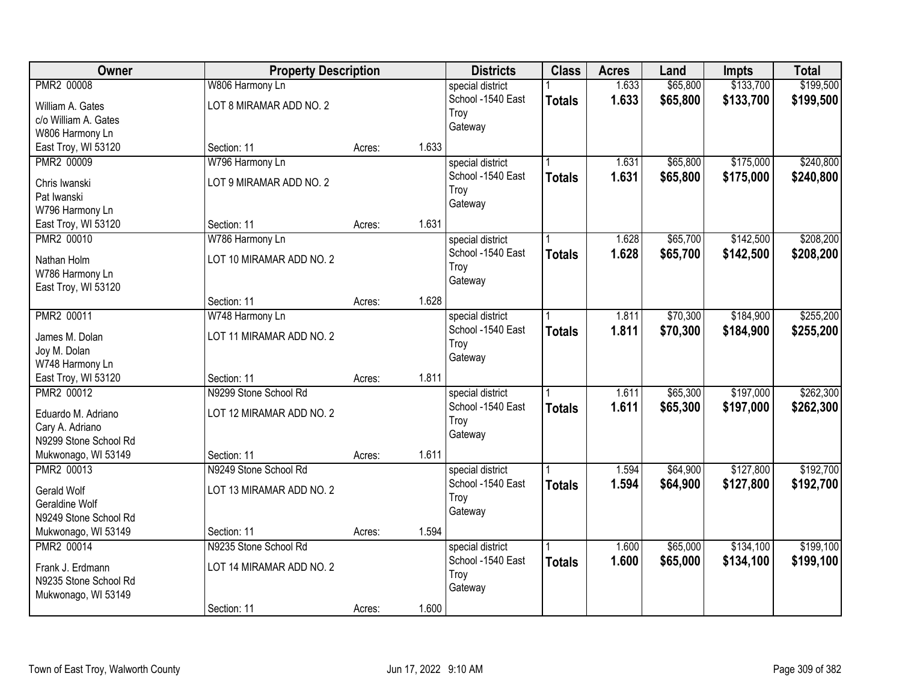| Owner                                     | <b>Property Description</b> |        |       | <b>Districts</b>          | <b>Class</b>  | <b>Acres</b> | Land     | <b>Impts</b> | <b>Total</b> |
|-------------------------------------------|-----------------------------|--------|-------|---------------------------|---------------|--------------|----------|--------------|--------------|
| PMR2 00008                                | W806 Harmony Ln             |        |       | special district          |               | 1.633        | \$65,800 | \$133,700    | \$199,500    |
| William A. Gates                          | LOT 8 MIRAMAR ADD NO. 2     |        |       | School -1540 East<br>Troy | <b>Totals</b> | 1.633        | \$65,800 | \$133,700    | \$199,500    |
| c/o William A. Gates                      |                             |        |       | Gateway                   |               |              |          |              |              |
| W806 Harmony Ln                           |                             |        |       |                           |               |              |          |              |              |
| East Troy, WI 53120                       | Section: 11                 | Acres: | 1.633 |                           |               |              |          |              |              |
| PMR2 00009                                | W796 Harmony Ln             |        |       | special district          |               | 1.631        | \$65,800 | \$175,000    | \$240,800    |
| Chris Iwanski                             | LOT 9 MIRAMAR ADD NO. 2     |        |       | School -1540 East         | <b>Totals</b> | 1.631        | \$65,800 | \$175,000    | \$240,800    |
| Pat Iwanski                               |                             |        |       | Troy                      |               |              |          |              |              |
| W796 Harmony Ln                           |                             |        |       | Gateway                   |               |              |          |              |              |
| East Troy, WI 53120                       | Section: 11                 | Acres: | 1.631 |                           |               |              |          |              |              |
| PMR2 00010                                | W786 Harmony Ln             |        |       | special district          |               | 1.628        | \$65,700 | \$142,500    | \$208,200    |
|                                           |                             |        |       | School -1540 East         | <b>Totals</b> | 1.628        | \$65,700 | \$142,500    | \$208,200    |
| Nathan Holm                               | LOT 10 MIRAMAR ADD NO. 2    |        |       | Troy                      |               |              |          |              |              |
| W786 Harmony Ln<br>East Troy, WI 53120    |                             |        |       | Gateway                   |               |              |          |              |              |
|                                           | Section: 11                 | Acres: | 1.628 |                           |               |              |          |              |              |
| <b>PMR2 00011</b>                         | W748 Harmony Ln             |        |       | special district          |               | 1.811        | \$70,300 | \$184,900    | \$255,200    |
|                                           |                             |        |       | School -1540 East         | <b>Totals</b> | 1.811        | \$70,300 | \$184,900    | \$255,200    |
| James M. Dolan                            | LOT 11 MIRAMAR ADD NO. 2    |        |       | Troy                      |               |              |          |              |              |
| Joy M. Dolan                              |                             |        |       | Gateway                   |               |              |          |              |              |
| W748 Harmony Ln                           |                             |        |       |                           |               |              |          |              |              |
| East Troy, WI 53120                       | Section: 11                 | Acres: | 1.811 |                           |               |              |          |              |              |
| PMR2 00012                                | N9299 Stone School Rd       |        |       | special district          |               | 1.611        | \$65,300 | \$197,000    | \$262,300    |
| Eduardo M. Adriano                        | LOT 12 MIRAMAR ADD NO. 2    |        |       | School -1540 East         | <b>Totals</b> | 1.611        | \$65,300 | \$197,000    | \$262,300    |
| Cary A. Adriano                           |                             |        |       | Troy                      |               |              |          |              |              |
| N9299 Stone School Rd                     |                             |        |       | Gateway                   |               |              |          |              |              |
| Mukwonago, WI 53149                       | Section: 11                 | Acres: | 1.611 |                           |               |              |          |              |              |
| PMR2 00013                                | N9249 Stone School Rd       |        |       | special district          |               | 1.594        | \$64,900 | \$127,800    | \$192,700    |
| Gerald Wolf                               | LOT 13 MIRAMAR ADD NO. 2    |        |       | School -1540 East         | <b>Totals</b> | 1.594        | \$64,900 | \$127,800    | \$192,700    |
| Geraldine Wolf                            |                             |        |       | Troy                      |               |              |          |              |              |
| N9249 Stone School Rd                     |                             |        |       | Gateway                   |               |              |          |              |              |
| Mukwonago, WI 53149                       | Section: 11                 | Acres: | 1.594 |                           |               |              |          |              |              |
| PMR2 00014                                | N9235 Stone School Rd       |        |       | special district          |               | 1.600        | \$65,000 | \$134,100    | \$199,100    |
|                                           |                             |        |       | School -1540 East         | <b>Totals</b> | 1.600        | \$65,000 | \$134,100    | \$199,100    |
| Frank J. Erdmann<br>N9235 Stone School Rd | LOT 14 MIRAMAR ADD NO. 2    |        |       | Troy                      |               |              |          |              |              |
| Mukwonago, WI 53149                       |                             |        |       | Gateway                   |               |              |          |              |              |
|                                           | Section: 11                 | Acres: | 1.600 |                           |               |              |          |              |              |
|                                           |                             |        |       |                           |               |              |          |              |              |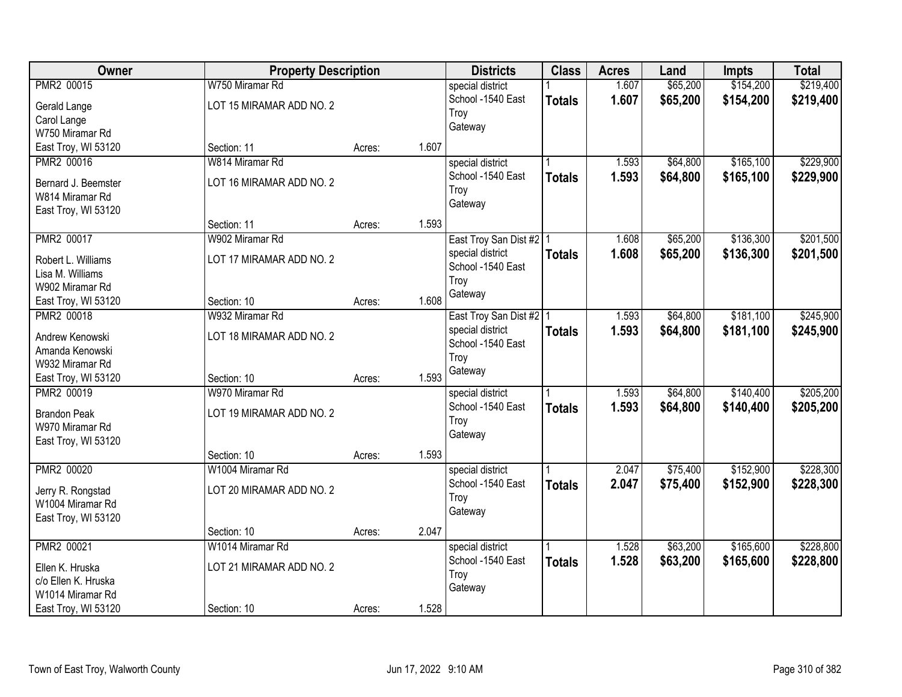| Owner                             | <b>Property Description</b>    |        |       | <b>Districts</b>                      | <b>Class</b>  | <b>Acres</b> | Land     | <b>Impts</b> | <b>Total</b> |
|-----------------------------------|--------------------------------|--------|-------|---------------------------------------|---------------|--------------|----------|--------------|--------------|
| PMR2 00015                        | W750 Miramar Rd                |        |       | special district                      |               | 1.607        | \$65,200 | \$154,200    | \$219,400    |
| Gerald Lange                      | LOT 15 MIRAMAR ADD NO. 2       |        |       | School -1540 East                     | <b>Totals</b> | 1.607        | \$65,200 | \$154,200    | \$219,400    |
| Carol Lange                       |                                |        |       | Troy                                  |               |              |          |              |              |
| W750 Miramar Rd                   |                                |        |       | Gateway                               |               |              |          |              |              |
| East Troy, WI 53120               | Section: 11                    | Acres: | 1.607 |                                       |               |              |          |              |              |
| PMR2 00016                        | W814 Miramar Rd                |        |       | special district                      |               | 1.593        | \$64,800 | \$165,100    | \$229,900    |
| Bernard J. Beemster               | LOT 16 MIRAMAR ADD NO. 2       |        |       | School -1540 East                     | <b>Totals</b> | 1.593        | \$64,800 | \$165,100    | \$229,900    |
| W814 Miramar Rd                   |                                |        |       | Troy                                  |               |              |          |              |              |
| East Troy, WI 53120               |                                |        |       | Gateway                               |               |              |          |              |              |
|                                   | Section: 11                    | Acres: | 1.593 |                                       |               |              |          |              |              |
| PMR2 00017                        | W902 Miramar Rd                |        |       | East Troy San Dist #2   1             |               | 1.608        | \$65,200 | \$136,300    | \$201,500    |
|                                   |                                |        |       | special district                      | <b>Totals</b> | 1.608        | \$65,200 | \$136,300    | \$201,500    |
| Robert L. Williams                | LOT 17 MIRAMAR ADD NO. 2       |        |       | School -1540 East                     |               |              |          |              |              |
| Lisa M. Williams                  |                                |        |       | Troy                                  |               |              |          |              |              |
| W902 Miramar Rd                   |                                |        | 1.608 | Gateway                               |               |              |          |              |              |
| East Troy, WI 53120<br>PMR2 00018 | Section: 10<br>W932 Miramar Rd | Acres: |       |                                       |               |              |          |              |              |
|                                   |                                |        |       | East Troy San Dist #2   1             |               | 1.593        | \$64,800 | \$181,100    | \$245,900    |
| Andrew Kenowski                   | LOT 18 MIRAMAR ADD NO. 2       |        |       | special district<br>School -1540 East | <b>Totals</b> | 1.593        | \$64,800 | \$181,100    | \$245,900    |
| Amanda Kenowski                   |                                |        |       | Troy                                  |               |              |          |              |              |
| W932 Miramar Rd                   |                                |        |       | Gateway                               |               |              |          |              |              |
| East Troy, WI 53120               | Section: 10                    | Acres: | 1.593 |                                       |               |              |          |              |              |
| PMR2 00019                        | W970 Miramar Rd                |        |       | special district                      |               | 1.593        | \$64,800 | \$140,400    | \$205,200    |
| <b>Brandon Peak</b>               | LOT 19 MIRAMAR ADD NO. 2       |        |       | School -1540 East                     | <b>Totals</b> | 1.593        | \$64,800 | \$140,400    | \$205,200    |
| W970 Miramar Rd                   |                                |        |       | Troy                                  |               |              |          |              |              |
| East Troy, WI 53120               |                                |        |       | Gateway                               |               |              |          |              |              |
|                                   | Section: 10                    | Acres: | 1.593 |                                       |               |              |          |              |              |
| PMR2 00020                        | W1004 Miramar Rd               |        |       | special district                      |               | 2.047        | \$75,400 | \$152,900    | \$228,300    |
| Jerry R. Rongstad                 | LOT 20 MIRAMAR ADD NO. 2       |        |       | School -1540 East                     | <b>Totals</b> | 2.047        | \$75,400 | \$152,900    | \$228,300    |
| W1004 Miramar Rd                  |                                |        |       | Troy                                  |               |              |          |              |              |
| East Troy, WI 53120               |                                |        |       | Gateway                               |               |              |          |              |              |
|                                   | Section: 10                    | Acres: | 2.047 |                                       |               |              |          |              |              |
| PMR2 00021                        | W1014 Miramar Rd               |        |       | special district                      |               | 1.528        | \$63,200 | \$165,600    | \$228,800    |
|                                   |                                |        |       | School -1540 East                     | <b>Totals</b> | 1.528        | \$63,200 | \$165,600    | \$228,800    |
| Ellen K. Hruska                   | LOT 21 MIRAMAR ADD NO. 2       |        |       | Troy                                  |               |              |          |              |              |
| c/o Ellen K. Hruska               |                                |        |       | Gateway                               |               |              |          |              |              |
| W1014 Miramar Rd                  |                                |        |       |                                       |               |              |          |              |              |
| East Troy, WI 53120               | Section: 10                    | Acres: | 1.528 |                                       |               |              |          |              |              |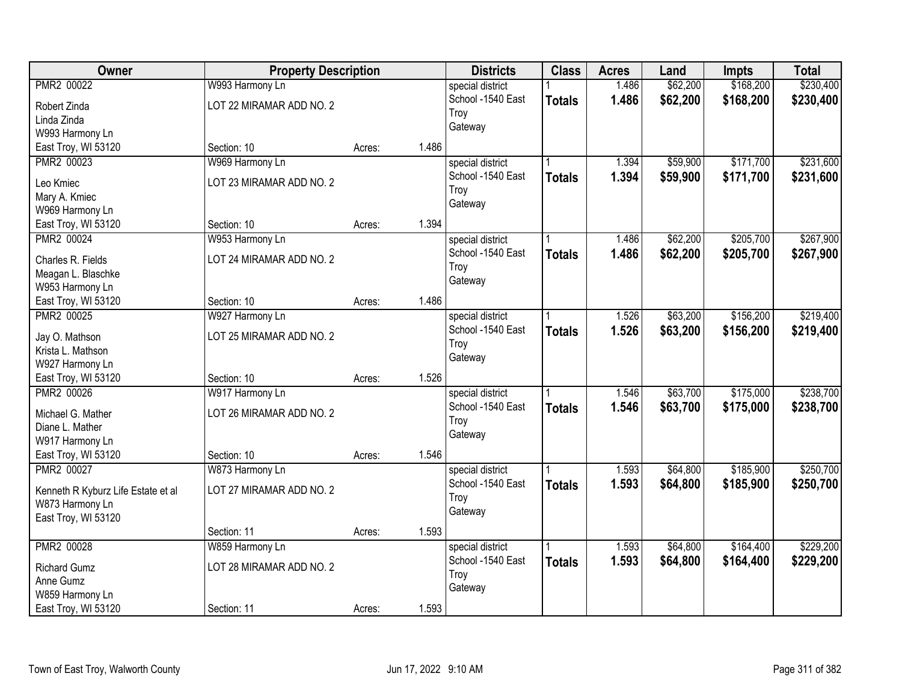| Owner                              | <b>Property Description</b> |        |       | <b>Districts</b>  | <b>Class</b>  | <b>Acres</b> | Land     | <b>Impts</b> | <b>Total</b> |
|------------------------------------|-----------------------------|--------|-------|-------------------|---------------|--------------|----------|--------------|--------------|
| PMR2 00022                         | W993 Harmony Ln             |        |       | special district  |               | 1.486        | \$62,200 | \$168,200    | \$230,400    |
| Robert Zinda                       | LOT 22 MIRAMAR ADD NO. 2    |        |       | School -1540 East | <b>Totals</b> | 1.486        | \$62,200 | \$168,200    | \$230,400    |
| Linda Zinda                        |                             |        |       | Troy              |               |              |          |              |              |
| W993 Harmony Ln                    |                             |        |       | Gateway           |               |              |          |              |              |
| East Troy, WI 53120                | Section: 10                 | Acres: | 1.486 |                   |               |              |          |              |              |
| PMR2 00023                         | W969 Harmony Ln             |        |       | special district  |               | 1.394        | \$59,900 | \$171,700    | \$231,600    |
|                                    | LOT 23 MIRAMAR ADD NO. 2    |        |       | School -1540 East | <b>Totals</b> | 1.394        | \$59,900 | \$171,700    | \$231,600    |
| Leo Kmiec                          |                             |        |       | Troy              |               |              |          |              |              |
| Mary A. Kmiec                      |                             |        |       | Gateway           |               |              |          |              |              |
| W969 Harmony Ln                    | Section: 10                 |        | 1.394 |                   |               |              |          |              |              |
| East Troy, WI 53120                |                             | Acres: |       |                   |               |              |          |              |              |
| PMR2 00024                         | W953 Harmony Ln             |        |       | special district  |               | 1.486        | \$62,200 | \$205,700    | \$267,900    |
| Charles R. Fields                  | LOT 24 MIRAMAR ADD NO. 2    |        |       | School -1540 East | <b>Totals</b> | 1.486        | \$62,200 | \$205,700    | \$267,900    |
| Meagan L. Blaschke                 |                             |        |       | Troy              |               |              |          |              |              |
| W953 Harmony Ln                    |                             |        |       | Gateway           |               |              |          |              |              |
| East Troy, WI 53120                | Section: 10                 | Acres: | 1.486 |                   |               |              |          |              |              |
| PMR2 00025                         | W927 Harmony Ln             |        |       | special district  |               | 1.526        | \$63,200 | \$156,200    | \$219,400    |
|                                    |                             |        |       | School -1540 East | <b>Totals</b> | 1.526        | \$63,200 | \$156,200    | \$219,400    |
| Jay O. Mathson                     | LOT 25 MIRAMAR ADD NO. 2    |        |       | Troy              |               |              |          |              |              |
| Krista L. Mathson                  |                             |        |       | Gateway           |               |              |          |              |              |
| W927 Harmony Ln                    |                             |        | 1.526 |                   |               |              |          |              |              |
| East Troy, WI 53120                | Section: 10                 | Acres: |       |                   |               |              |          |              |              |
| PMR2 00026                         | W917 Harmony Ln             |        |       | special district  |               | 1.546        | \$63,700 | \$175,000    | \$238,700    |
| Michael G. Mather                  | LOT 26 MIRAMAR ADD NO. 2    |        |       | School -1540 East | <b>Totals</b> | 1.546        | \$63,700 | \$175,000    | \$238,700    |
| Diane L. Mather                    |                             |        |       | Troy              |               |              |          |              |              |
| W917 Harmony Ln                    |                             |        |       | Gateway           |               |              |          |              |              |
| East Troy, WI 53120                | Section: 10                 | Acres: | 1.546 |                   |               |              |          |              |              |
| PMR2 00027                         | W873 Harmony Ln             |        |       | special district  |               | 1.593        | \$64,800 | \$185,900    | \$250,700    |
|                                    | LOT 27 MIRAMAR ADD NO. 2    |        |       | School -1540 East | <b>Totals</b> | 1.593        | \$64,800 | \$185,900    | \$250,700    |
| Kenneth R Kyburz Life Estate et al |                             |        |       | Troy              |               |              |          |              |              |
| W873 Harmony Ln                    |                             |        |       | Gateway           |               |              |          |              |              |
| East Troy, WI 53120                |                             |        | 1.593 |                   |               |              |          |              |              |
|                                    | Section: 11                 | Acres: |       |                   |               |              |          |              |              |
| PMR2 00028                         | W859 Harmony Ln             |        |       | special district  |               | 1.593        | \$64,800 | \$164,400    | \$229,200    |
| <b>Richard Gumz</b>                | LOT 28 MIRAMAR ADD NO. 2    |        |       | School -1540 East | <b>Totals</b> | 1.593        | \$64,800 | \$164,400    | \$229,200    |
| Anne Gumz                          |                             |        |       | Troy              |               |              |          |              |              |
| W859 Harmony Ln                    |                             |        |       | Gateway           |               |              |          |              |              |
| East Troy, WI 53120                | Section: 11                 | Acres: | 1.593 |                   |               |              |          |              |              |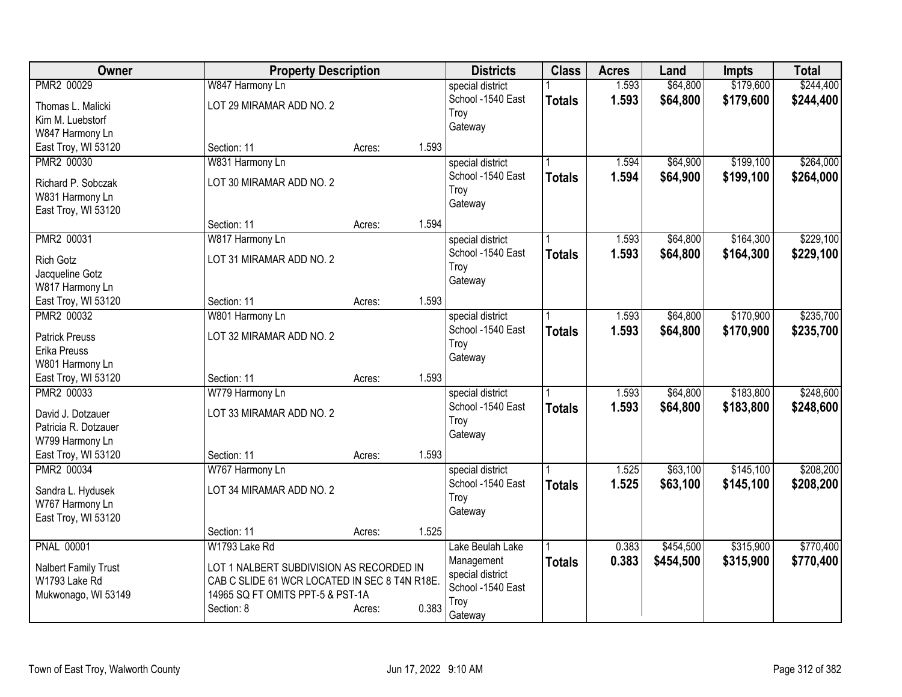| Owner                                | <b>Property Description</b>                   |        |       | <b>Districts</b>  | <b>Class</b>  | <b>Acres</b> | Land      | <b>Impts</b> | <b>Total</b> |
|--------------------------------------|-----------------------------------------------|--------|-------|-------------------|---------------|--------------|-----------|--------------|--------------|
| PMR2 00029                           | W847 Harmony Ln                               |        |       | special district  |               | 1.593        | \$64,800  | \$179,600    | \$244,400    |
| Thomas L. Malicki                    | LOT 29 MIRAMAR ADD NO. 2                      |        |       | School -1540 East | <b>Totals</b> | 1.593        | \$64,800  | \$179,600    | \$244,400    |
| Kim M. Luebstorf                     |                                               |        |       | Troy              |               |              |           |              |              |
| W847 Harmony Ln                      |                                               |        |       | Gateway           |               |              |           |              |              |
| East Troy, WI 53120                  | Section: 11                                   | Acres: | 1.593 |                   |               |              |           |              |              |
| PMR2 00030                           | W831 Harmony Ln                               |        |       | special district  |               | 1.594        | \$64,900  | \$199,100    | \$264,000    |
| Richard P. Sobczak                   | LOT 30 MIRAMAR ADD NO. 2                      |        |       | School -1540 East | <b>Totals</b> | 1.594        | \$64,900  | \$199,100    | \$264,000    |
| W831 Harmony Ln                      |                                               |        |       | Troy              |               |              |           |              |              |
| East Troy, WI 53120                  |                                               |        |       | Gateway           |               |              |           |              |              |
|                                      | Section: 11                                   | Acres: | 1.594 |                   |               |              |           |              |              |
| PMR2 00031                           | W817 Harmony Ln                               |        |       | special district  |               | 1.593        | \$64,800  | \$164,300    | \$229,100    |
|                                      |                                               |        |       | School -1540 East | <b>Totals</b> | 1.593        | \$64,800  | \$164,300    | \$229,100    |
| <b>Rich Gotz</b>                     | LOT 31 MIRAMAR ADD NO. 2                      |        |       | Troy              |               |              |           |              |              |
| Jacqueline Gotz<br>W817 Harmony Ln   |                                               |        |       | Gateway           |               |              |           |              |              |
| East Troy, WI 53120                  | Section: 11                                   | Acres: | 1.593 |                   |               |              |           |              |              |
| PMR2 00032                           | W801 Harmony Ln                               |        |       | special district  |               | 1.593        | \$64,800  | \$170,900    | \$235,700    |
|                                      |                                               |        |       | School -1540 East |               | 1.593        | \$64,800  | \$170,900    | \$235,700    |
| <b>Patrick Preuss</b>                | LOT 32 MIRAMAR ADD NO. 2                      |        |       | Troy              | <b>Totals</b> |              |           |              |              |
| Erika Preuss                         |                                               |        |       | Gateway           |               |              |           |              |              |
| W801 Harmony Ln                      |                                               |        |       |                   |               |              |           |              |              |
| East Troy, WI 53120                  | Section: 11                                   | Acres: | 1.593 |                   |               |              |           |              |              |
| PMR2 00033                           | W779 Harmony Ln                               |        |       | special district  |               | 1.593        | \$64,800  | \$183,800    | \$248,600    |
| David J. Dotzauer                    | LOT 33 MIRAMAR ADD NO. 2                      |        |       | School -1540 East | <b>Totals</b> | 1.593        | \$64,800  | \$183,800    | \$248,600    |
| Patricia R. Dotzauer                 |                                               |        |       | Troy              |               |              |           |              |              |
| W799 Harmony Ln                      |                                               |        |       | Gateway           |               |              |           |              |              |
| East Troy, WI 53120                  | Section: 11                                   | Acres: | 1.593 |                   |               |              |           |              |              |
| PMR2 00034                           | W767 Harmony Ln                               |        |       | special district  |               | 1.525        | \$63,100  | \$145,100    | \$208,200    |
|                                      | LOT 34 MIRAMAR ADD NO. 2                      |        |       | School -1540 East | <b>Totals</b> | 1.525        | \$63,100  | \$145,100    | \$208,200    |
| Sandra L. Hydusek<br>W767 Harmony Ln |                                               |        |       | Troy              |               |              |           |              |              |
| East Troy, WI 53120                  |                                               |        |       | Gateway           |               |              |           |              |              |
|                                      | Section: 11                                   | Acres: | 1.525 |                   |               |              |           |              |              |
| <b>PNAL 00001</b>                    | W1793 Lake Rd                                 |        |       | Lake Beulah Lake  |               | 0.383        | \$454,500 | \$315,900    | \$770,400    |
|                                      |                                               |        |       | Management        | Totals        | 0.383        | \$454,500 | \$315,900    | \$770,400    |
| Nalbert Family Trust                 | LOT 1 NALBERT SUBDIVISION AS RECORDED IN      |        |       | special district  |               |              |           |              |              |
| W1793 Lake Rd                        | CAB C SLIDE 61 WCR LOCATED IN SEC 8 T4N R18E. |        |       | School -1540 East |               |              |           |              |              |
| Mukwonago, WI 53149                  | 14965 SQ FT OMITS PPT-5 & PST-1A              |        |       | Troy              |               |              |           |              |              |
|                                      | Section: 8                                    | Acres: | 0.383 | Gateway           |               |              |           |              |              |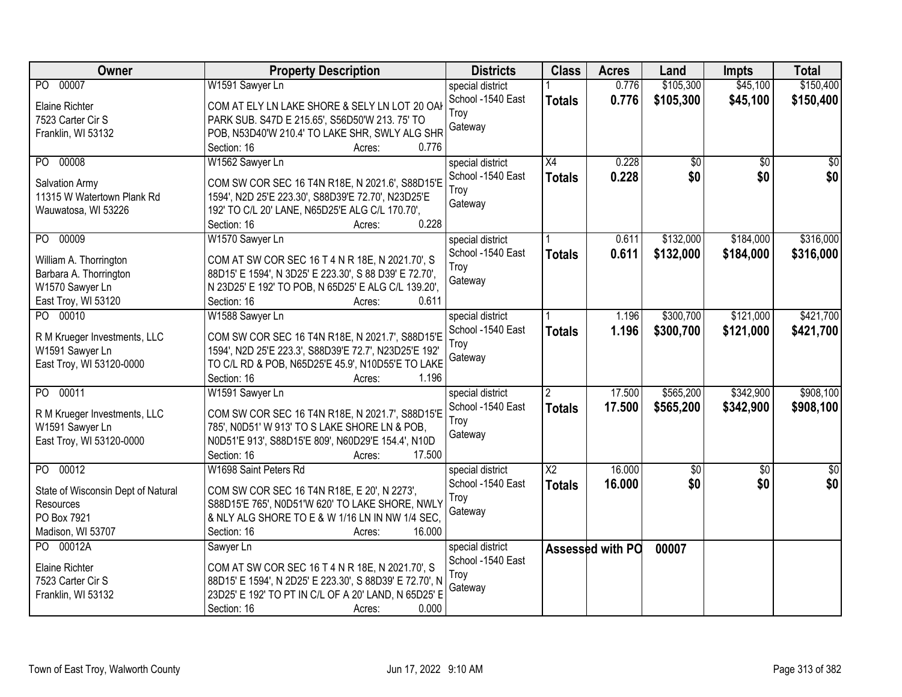| Owner                              | <b>Property Description</b>                             | <b>Districts</b>  | <b>Class</b>           | <b>Acres</b>     | Land        | <b>Impts</b>    | <b>Total</b>    |
|------------------------------------|---------------------------------------------------------|-------------------|------------------------|------------------|-------------|-----------------|-----------------|
| 00007<br>PO.                       | W1591 Sawyer Ln                                         | special district  |                        | 0.776            | \$105,300   | \$45,100        | \$150,400       |
| Elaine Richter                     | COM AT ELY LN LAKE SHORE & SELY LN LOT 20 OAK           | School -1540 East | <b>Totals</b>          | 0.776            | \$105,300   | \$45,100        | \$150,400       |
| 7523 Carter Cir S                  | PARK SUB. S47D E 215.65', S56D50'W 213.75' TO           | Trov              |                        |                  |             |                 |                 |
| Franklin, WI 53132                 | POB, N53D40'W 210.4' TO LAKE SHR, SWLY ALG SHR          | Gateway           |                        |                  |             |                 |                 |
|                                    | 0.776<br>Section: 16<br>Acres:                          |                   |                        |                  |             |                 |                 |
| 00008<br>PO.                       | W1562 Sawyer Ln                                         | special district  | $\overline{X4}$        | 0.228            | \$0         | $\overline{50}$ | \$0             |
|                                    |                                                         | School -1540 East | <b>Totals</b>          | 0.228            | \$0         | \$0             | \$0             |
| Salvation Army                     | COM SW COR SEC 16 T4N R18E, N 2021.6', S88D15'E         | Troy              |                        |                  |             |                 |                 |
| 11315 W Watertown Plank Rd         | 1594', N2D 25'E 223.30', S88D39'E 72.70', N23D25'E      | Gateway           |                        |                  |             |                 |                 |
| Wauwatosa, WI 53226                | 192' TO C/L 20' LANE, N65D25'E ALG C/L 170.70',         |                   |                        |                  |             |                 |                 |
|                                    | 0.228<br>Section: 16<br>Acres:                          |                   |                        |                  |             |                 |                 |
| 00009<br>PO.                       | W1570 Sawyer Ln                                         | special district  |                        | 0.611            | \$132,000   | \$184,000       | \$316,000       |
| William A. Thorrington             | COM AT SW COR SEC 16 T 4 N R 18E, N 2021.70', S         | School -1540 East | <b>Totals</b>          | 0.611            | \$132,000   | \$184,000       | \$316,000       |
| Barbara A. Thorrington             | 88D15' E 1594', N 3D25' E 223.30', S 88 D39' E 72.70',  | Troy              |                        |                  |             |                 |                 |
| W1570 Sawyer Ln                    | N 23D25' E 192' TO POB, N 65D25' E ALG C/L 139.20',     | Gateway           |                        |                  |             |                 |                 |
| East Troy, WI 53120                | Section: 16<br>0.611<br>Acres:                          |                   |                        |                  |             |                 |                 |
| PO 00010                           | W1588 Sawyer Ln                                         | special district  |                        | 1.196            | \$300,700   | \$121,000       | \$421,700       |
|                                    |                                                         | School -1540 East | <b>Totals</b>          | 1.196            | \$300,700   | \$121,000       | \$421,700       |
| R M Krueger Investments, LLC       | COM SW COR SEC 16 T4N R18E, N 2021.7', S88D15'E         | Troy              |                        |                  |             |                 |                 |
| W1591 Sawyer Ln                    | 1594', N2D 25'E 223.3', S88D39'E 72.7', N23D25'E 192'   | Gateway           |                        |                  |             |                 |                 |
| East Troy, WI 53120-0000           | TO C/L RD & POB, N65D25'E 45.9', N10D55'E TO LAKE       |                   |                        |                  |             |                 |                 |
|                                    | Section: 16<br>1.196<br>Acres:                          |                   |                        |                  |             |                 |                 |
| 00011<br>PO                        | W1591 Sawyer Ln                                         | special district  | $\overline{2}$         | 17.500           | \$565,200   | \$342,900       | \$908,100       |
| R M Krueger Investments, LLC       | COM SW COR SEC 16 T4N R18E, N 2021.7', S88D15'E         | School -1540 East | <b>Totals</b>          | 17.500           | \$565,200   | \$342,900       | \$908,100       |
| W1591 Sawyer Ln                    | 785', N0D51' W 913' TO S LAKE SHORE LN & POB,           | Troy              |                        |                  |             |                 |                 |
| East Troy, WI 53120-0000           | N0D51'E 913', S88D15'E 809', N60D29'E 154.4', N10D      | Gateway           |                        |                  |             |                 |                 |
|                                    | 17.500<br>Section: 16<br>Acres:                         |                   |                        |                  |             |                 |                 |
| 00012<br>PO.                       | W1698 Saint Peters Rd                                   | special district  | $\overline{\text{X2}}$ | 16.000           | $\sqrt{30}$ | $\overline{50}$ | $\overline{50}$ |
|                                    |                                                         | School -1540 East | <b>Totals</b>          | 16.000           | \$0         | \$0             | \$0             |
| State of Wisconsin Dept of Natural | COM SW COR SEC 16 T4N R18E, E 20', N 2273',             | Troy              |                        |                  |             |                 |                 |
| Resources                          | S88D15'E 765', N0D51'W 620' TO LAKE SHORE, NWLY         | Gateway           |                        |                  |             |                 |                 |
| PO Box 7921                        | & NLY ALG SHORE TO E & W 1/16 LN IN NW 1/4 SEC,         |                   |                        |                  |             |                 |                 |
| Madison, WI 53707                  | 16.000<br>Section: 16<br>Acres:                         |                   |                        |                  |             |                 |                 |
| PO 00012A                          | Sawyer Ln                                               | special district  |                        | Assessed with PO | 00007       |                 |                 |
| <b>Elaine Richter</b>              | COM AT SW COR SEC 16 T 4 N R 18E, N 2021.70', S         | School -1540 East |                        |                  |             |                 |                 |
| 7523 Carter Cir S                  | 88D15' E 1594', N 2D25' E 223.30', S 88D39' E 72.70', N | Troy              |                        |                  |             |                 |                 |
| Franklin, WI 53132                 | 23D25' E 192' TO PT IN C/L OF A 20' LAND, N 65D25' E    | Gateway           |                        |                  |             |                 |                 |
|                                    | 0.000<br>Section: 16<br>Acres:                          |                   |                        |                  |             |                 |                 |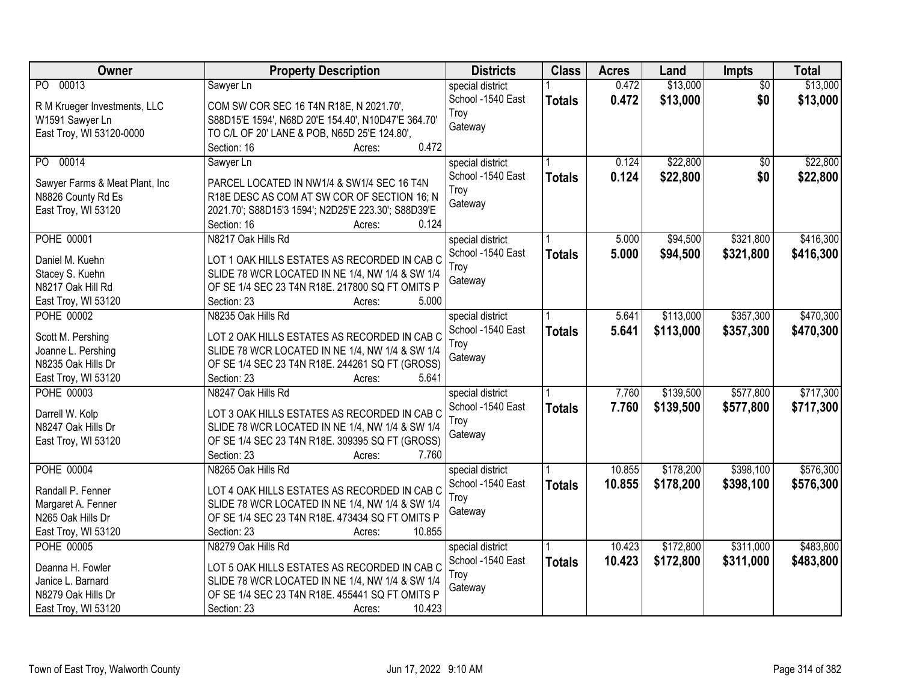| Owner                          | <b>Property Description</b>                         | <b>Districts</b>  | <b>Class</b>  | <b>Acres</b> | Land      | Impts           | <b>Total</b> |
|--------------------------------|-----------------------------------------------------|-------------------|---------------|--------------|-----------|-----------------|--------------|
| PO 00013                       | Sawyer Ln                                           | special district  |               | 0.472        | \$13,000  | $\overline{50}$ | \$13,000     |
| R M Krueger Investments, LLC   | COM SW COR SEC 16 T4N R18E, N 2021.70',             | School -1540 East | <b>Totals</b> | 0.472        | \$13,000  | \$0             | \$13,000     |
| W1591 Sawyer Ln                | S88D15'E 1594', N68D 20'E 154.40', N10D47'E 364.70' | Troy              |               |              |           |                 |              |
| East Troy, WI 53120-0000       | TO C/L OF 20' LANE & POB, N65D 25'E 124.80',        | Gateway           |               |              |           |                 |              |
|                                | 0.472<br>Section: 16<br>Acres:                      |                   |               |              |           |                 |              |
| 00014<br>PO.                   | Sawyer Ln                                           | special district  |               | 0.124        | \$22,800  | $\overline{50}$ | \$22,800     |
|                                |                                                     | School -1540 East | <b>Totals</b> | 0.124        | \$22,800  | \$0             | \$22,800     |
| Sawyer Farms & Meat Plant, Inc | PARCEL LOCATED IN NW1/4 & SW1/4 SEC 16 T4N          | Troy              |               |              |           |                 |              |
| N8826 County Rd Es             | R18E DESC AS COM AT SW COR OF SECTION 16; N         | Gateway           |               |              |           |                 |              |
| East Troy, WI 53120            | 2021.70'; S88D15'3 1594'; N2D25'E 223.30'; S88D39'E |                   |               |              |           |                 |              |
|                                | 0.124<br>Section: 16<br>Acres:                      |                   |               |              |           |                 |              |
| <b>POHE 00001</b>              | N8217 Oak Hills Rd                                  | special district  |               | 5.000        | \$94,500  | \$321,800       | \$416,300    |
| Daniel M. Kuehn                | LOT 1 OAK HILLS ESTATES AS RECORDED IN CAB C        | School -1540 East | <b>Totals</b> | 5.000        | \$94,500  | \$321,800       | \$416,300    |
| Stacey S. Kuehn                | SLIDE 78 WCR LOCATED IN NE 1/4, NW 1/4 & SW 1/4     | Troy              |               |              |           |                 |              |
| N8217 Oak Hill Rd              | OF SE 1/4 SEC 23 T4N R18E. 217800 SQ FT OMITS P     | Gateway           |               |              |           |                 |              |
| East Troy, WI 53120            | 5.000<br>Section: 23<br>Acres:                      |                   |               |              |           |                 |              |
| <b>POHE 00002</b>              | N8235 Oak Hills Rd                                  | special district  |               | 5.641        | \$113,000 | \$357,300       | \$470,300    |
|                                |                                                     | School -1540 East | <b>Totals</b> | 5.641        | \$113,000 | \$357,300       | \$470,300    |
| Scott M. Pershing              | LOT 2 OAK HILLS ESTATES AS RECORDED IN CAB C        | Troy              |               |              |           |                 |              |
| Joanne L. Pershing             | SLIDE 78 WCR LOCATED IN NE 1/4, NW 1/4 & SW 1/4     | Gateway           |               |              |           |                 |              |
| N8235 Oak Hills Dr             | OF SE 1/4 SEC 23 T4N R18E. 244261 SQ FT (GROSS)     |                   |               |              |           |                 |              |
| East Troy, WI 53120            | Section: 23<br>5.641<br>Acres:                      |                   |               |              |           |                 |              |
| <b>POHE 00003</b>              | N8247 Oak Hills Rd                                  | special district  |               | 7.760        | \$139,500 | \$577,800       | \$717,300    |
| Darrell W. Kolp                | LOT 3 OAK HILLS ESTATES AS RECORDED IN CAB C        | School -1540 East | <b>Totals</b> | 7.760        | \$139,500 | \$577,800       | \$717,300    |
| N8247 Oak Hills Dr             | SLIDE 78 WCR LOCATED IN NE 1/4, NW 1/4 & SW 1/4     | Troy              |               |              |           |                 |              |
| East Troy, WI 53120            | OF SE 1/4 SEC 23 T4N R18E. 309395 SQ FT (GROSS)     | Gateway           |               |              |           |                 |              |
|                                | 7.760<br>Section: 23<br>Acres:                      |                   |               |              |           |                 |              |
| <b>POHE 00004</b>              | N8265 Oak Hills Rd                                  | special district  |               | 10.855       | \$178,200 | \$398,100       | \$576,300    |
|                                |                                                     | School -1540 East | <b>Totals</b> | 10.855       | \$178,200 | \$398,100       | \$576,300    |
| Randall P. Fenner              | LOT 4 OAK HILLS ESTATES AS RECORDED IN CAB C        | Trov              |               |              |           |                 |              |
| Margaret A. Fenner             | SLIDE 78 WCR LOCATED IN NE 1/4, NW 1/4 & SW 1/4     | Gateway           |               |              |           |                 |              |
| N265 Oak Hills Dr              | OF SE 1/4 SEC 23 T4N R18E. 473434 SQ FT OMITS P     |                   |               |              |           |                 |              |
| East Troy, WI 53120            | Section: 23<br>10.855<br>Acres:                     |                   |               |              |           |                 |              |
| <b>POHE 00005</b>              | N8279 Oak Hills Rd                                  | special district  |               | 10.423       | \$172,800 | \$311,000       | \$483,800    |
| Deanna H. Fowler               | LOT 5 OAK HILLS ESTATES AS RECORDED IN CAB C        | School -1540 East | <b>Totals</b> | 10.423       | \$172,800 | \$311,000       | \$483,800    |
| Janice L. Barnard              | SLIDE 78 WCR LOCATED IN NE 1/4, NW 1/4 & SW 1/4     | Troy              |               |              |           |                 |              |
| N8279 Oak Hills Dr             | OF SE 1/4 SEC 23 T4N R18E. 455441 SQ FT OMITS P     | Gateway           |               |              |           |                 |              |
| East Troy, WI 53120            | 10.423<br>Section: 23<br>Acres:                     |                   |               |              |           |                 |              |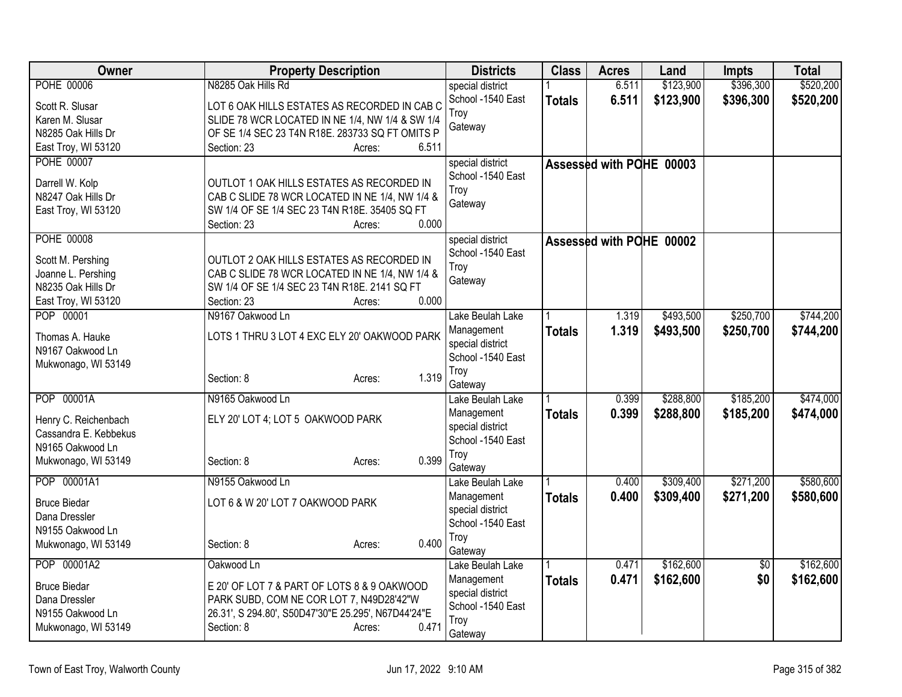| special district<br>School -1540 East<br>6.511<br>\$123,900<br>\$396,300<br>\$520,200<br><b>Totals</b><br>LOT 6 OAK HILLS ESTATES AS RECORDED IN CAB C<br>Scott R. Slusar<br>Troy<br>Karen M. Slusar<br>SLIDE 78 WCR LOCATED IN NE 1/4, NW 1/4 & SW 1/4<br>Gateway<br>N8285 Oak Hills Dr<br>OF SE 1/4 SEC 23 T4N R18E. 283733 SQ FT OMITS P<br>East Troy, WI 53120<br>Section: 23<br>6.511<br>Acres:<br><b>POHE 00007</b><br>special district<br>Assessed with POHE 00003<br>School -1540 East<br>Darrell W. Kolp<br>OUTLOT 1 OAK HILLS ESTATES AS RECORDED IN<br>Troy<br>CAB C SLIDE 78 WCR LOCATED IN NE 1/4, NW 1/4 &<br>N8247 Oak Hills Dr<br>Gateway<br>SW 1/4 OF SE 1/4 SEC 23 T4N R18E. 35405 SQ FT<br>East Troy, WI 53120<br>0.000<br>Section: 23<br>Acres:<br><b>POHE 00008</b><br>special district<br>Assessed with POHE 00002<br>School -1540 East<br>Scott M. Pershing<br>OUTLOT 2 OAK HILLS ESTATES AS RECORDED IN<br>Troy<br>CAB C SLIDE 78 WCR LOCATED IN NE 1/4, NW 1/4 &<br>Joanne L. Pershing<br>Gateway<br>N8235 Oak Hills Dr<br>SW 1/4 OF SE 1/4 SEC 23 T4N R18E. 2141 SQ FT<br>0.000<br>Section: 23<br>East Troy, WI 53120<br>Acres:<br>POP 00001<br>N9167 Oakwood Ln<br>\$493,500<br>\$250,700<br>Lake Beulah Lake<br>1.319<br>1.319<br>\$493,500<br>\$250,700<br>Management<br><b>Totals</b><br>LOTS 1 THRU 3 LOT 4 EXC ELY 20' OAKWOOD PARK<br>Thomas A. Hauke<br>special district<br>N9167 Oakwood Ln<br>School -1540 East<br>Mukwonago, WI 53149<br>Troy<br>1.319<br>Section: 8<br>Acres:<br>Gateway<br>POP 00001A<br>\$288,800<br>\$185,200<br>N9165 Oakwood Ln<br>0.399<br>Lake Beulah Lake<br>0.399<br>\$288,800<br>\$185,200<br>Management<br><b>Totals</b><br>ELY 20' LOT 4; LOT 5 OAKWOOD PARK<br>Henry C. Reichenbach<br>special district<br>Cassandra E. Kebbekus<br>School -1540 East<br>N9165 Oakwood Ln<br>Troy<br>0.399<br>Mukwonago, WI 53149<br>Section: 8<br>Acres:<br>Gateway<br>POP 00001A1<br>\$309,400<br>\$271,200<br>N9155 Oakwood Ln<br>Lake Beulah Lake<br>0.400<br>0.400<br>\$309,400<br>\$271,200<br>Management<br><b>Totals</b><br><b>Bruce Biedar</b><br>LOT 6 & W 20' LOT 7 OAKWOOD PARK<br>special district<br>Dana Dressler<br>School -1540 East<br>N9155 Oakwood Ln<br>Troy<br>0.400<br>Section: 8<br>Mukwonago, WI 53149<br>Acres:<br>Gateway<br>\$162,600<br>POP 00001A2<br>0.471<br>$\overline{50}$<br>Oakwood Ln<br>Lake Beulah Lake<br>\$162,600<br>\$0<br>Management<br>0.471<br><b>Totals</b><br><b>Bruce Biedar</b><br>E 20' OF LOT 7 & PART OF LOTS 8 & 9 OAKWOOD<br>special district<br>PARK SUBD, COM NE COR LOT 7, N49D28'42"W<br>Dana Dressler<br>School -1540 East<br>N9155 Oakwood Ln<br>26.31', S 294.80', S50D47'30"E 25.295', N67D44'24"E<br>Troy<br>0.471<br>Mukwonago, WI 53149<br>Section: 8<br>Acres:<br>Gateway | <b>Owner</b>      | <b>Property Description</b> | <b>Districts</b> | <b>Class</b> | <b>Acres</b> | Land      | <b>Impts</b> | <b>Total</b> |
|-------------------------------------------------------------------------------------------------------------------------------------------------------------------------------------------------------------------------------------------------------------------------------------------------------------------------------------------------------------------------------------------------------------------------------------------------------------------------------------------------------------------------------------------------------------------------------------------------------------------------------------------------------------------------------------------------------------------------------------------------------------------------------------------------------------------------------------------------------------------------------------------------------------------------------------------------------------------------------------------------------------------------------------------------------------------------------------------------------------------------------------------------------------------------------------------------------------------------------------------------------------------------------------------------------------------------------------------------------------------------------------------------------------------------------------------------------------------------------------------------------------------------------------------------------------------------------------------------------------------------------------------------------------------------------------------------------------------------------------------------------------------------------------------------------------------------------------------------------------------------------------------------------------------------------------------------------------------------------------------------------------------------------------------------------------------------------------------------------------------------------------------------------------------------------------------------------------------------------------------------------------------------------------------------------------------------------------------------------------------------------------------------------------------------------------------------------------------------------------------------------------------------------------------------------------------------------------------------------------------------------------------------------------------------------------------------------------------------------------------------------------------------------------------------|-------------------|-----------------------------|------------------|--------------|--------------|-----------|--------------|--------------|
|                                                                                                                                                                                                                                                                                                                                                                                                                                                                                                                                                                                                                                                                                                                                                                                                                                                                                                                                                                                                                                                                                                                                                                                                                                                                                                                                                                                                                                                                                                                                                                                                                                                                                                                                                                                                                                                                                                                                                                                                                                                                                                                                                                                                                                                                                                                                                                                                                                                                                                                                                                                                                                                                                                                                                                                                 | <b>POHE 00006</b> | N8285 Oak Hills Rd          |                  |              | 6.511        | \$123,900 | \$396,300    | \$520,200    |
|                                                                                                                                                                                                                                                                                                                                                                                                                                                                                                                                                                                                                                                                                                                                                                                                                                                                                                                                                                                                                                                                                                                                                                                                                                                                                                                                                                                                                                                                                                                                                                                                                                                                                                                                                                                                                                                                                                                                                                                                                                                                                                                                                                                                                                                                                                                                                                                                                                                                                                                                                                                                                                                                                                                                                                                                 |                   |                             |                  |              |              |           |              |              |
|                                                                                                                                                                                                                                                                                                                                                                                                                                                                                                                                                                                                                                                                                                                                                                                                                                                                                                                                                                                                                                                                                                                                                                                                                                                                                                                                                                                                                                                                                                                                                                                                                                                                                                                                                                                                                                                                                                                                                                                                                                                                                                                                                                                                                                                                                                                                                                                                                                                                                                                                                                                                                                                                                                                                                                                                 |                   |                             |                  |              |              |           |              |              |
|                                                                                                                                                                                                                                                                                                                                                                                                                                                                                                                                                                                                                                                                                                                                                                                                                                                                                                                                                                                                                                                                                                                                                                                                                                                                                                                                                                                                                                                                                                                                                                                                                                                                                                                                                                                                                                                                                                                                                                                                                                                                                                                                                                                                                                                                                                                                                                                                                                                                                                                                                                                                                                                                                                                                                                                                 |                   |                             |                  |              |              |           |              |              |
| \$744,200<br>\$744,200<br>\$474,000<br>\$474,000<br>\$580,600<br>\$580,600                                                                                                                                                                                                                                                                                                                                                                                                                                                                                                                                                                                                                                                                                                                                                                                                                                                                                                                                                                                                                                                                                                                                                                                                                                                                                                                                                                                                                                                                                                                                                                                                                                                                                                                                                                                                                                                                                                                                                                                                                                                                                                                                                                                                                                                                                                                                                                                                                                                                                                                                                                                                                                                                                                                      |                   |                             |                  |              |              |           |              |              |
|                                                                                                                                                                                                                                                                                                                                                                                                                                                                                                                                                                                                                                                                                                                                                                                                                                                                                                                                                                                                                                                                                                                                                                                                                                                                                                                                                                                                                                                                                                                                                                                                                                                                                                                                                                                                                                                                                                                                                                                                                                                                                                                                                                                                                                                                                                                                                                                                                                                                                                                                                                                                                                                                                                                                                                                                 |                   |                             |                  |              |              |           |              |              |
|                                                                                                                                                                                                                                                                                                                                                                                                                                                                                                                                                                                                                                                                                                                                                                                                                                                                                                                                                                                                                                                                                                                                                                                                                                                                                                                                                                                                                                                                                                                                                                                                                                                                                                                                                                                                                                                                                                                                                                                                                                                                                                                                                                                                                                                                                                                                                                                                                                                                                                                                                                                                                                                                                                                                                                                                 |                   |                             |                  |              |              |           |              |              |
|                                                                                                                                                                                                                                                                                                                                                                                                                                                                                                                                                                                                                                                                                                                                                                                                                                                                                                                                                                                                                                                                                                                                                                                                                                                                                                                                                                                                                                                                                                                                                                                                                                                                                                                                                                                                                                                                                                                                                                                                                                                                                                                                                                                                                                                                                                                                                                                                                                                                                                                                                                                                                                                                                                                                                                                                 |                   |                             |                  |              |              |           |              |              |
|                                                                                                                                                                                                                                                                                                                                                                                                                                                                                                                                                                                                                                                                                                                                                                                                                                                                                                                                                                                                                                                                                                                                                                                                                                                                                                                                                                                                                                                                                                                                                                                                                                                                                                                                                                                                                                                                                                                                                                                                                                                                                                                                                                                                                                                                                                                                                                                                                                                                                                                                                                                                                                                                                                                                                                                                 |                   |                             |                  |              |              |           |              |              |
|                                                                                                                                                                                                                                                                                                                                                                                                                                                                                                                                                                                                                                                                                                                                                                                                                                                                                                                                                                                                                                                                                                                                                                                                                                                                                                                                                                                                                                                                                                                                                                                                                                                                                                                                                                                                                                                                                                                                                                                                                                                                                                                                                                                                                                                                                                                                                                                                                                                                                                                                                                                                                                                                                                                                                                                                 |                   |                             |                  |              |              |           |              |              |
|                                                                                                                                                                                                                                                                                                                                                                                                                                                                                                                                                                                                                                                                                                                                                                                                                                                                                                                                                                                                                                                                                                                                                                                                                                                                                                                                                                                                                                                                                                                                                                                                                                                                                                                                                                                                                                                                                                                                                                                                                                                                                                                                                                                                                                                                                                                                                                                                                                                                                                                                                                                                                                                                                                                                                                                                 |                   |                             |                  |              |              |           |              |              |
|                                                                                                                                                                                                                                                                                                                                                                                                                                                                                                                                                                                                                                                                                                                                                                                                                                                                                                                                                                                                                                                                                                                                                                                                                                                                                                                                                                                                                                                                                                                                                                                                                                                                                                                                                                                                                                                                                                                                                                                                                                                                                                                                                                                                                                                                                                                                                                                                                                                                                                                                                                                                                                                                                                                                                                                                 |                   |                             |                  |              |              |           |              |              |
|                                                                                                                                                                                                                                                                                                                                                                                                                                                                                                                                                                                                                                                                                                                                                                                                                                                                                                                                                                                                                                                                                                                                                                                                                                                                                                                                                                                                                                                                                                                                                                                                                                                                                                                                                                                                                                                                                                                                                                                                                                                                                                                                                                                                                                                                                                                                                                                                                                                                                                                                                                                                                                                                                                                                                                                                 |                   |                             |                  |              |              |           |              |              |
|                                                                                                                                                                                                                                                                                                                                                                                                                                                                                                                                                                                                                                                                                                                                                                                                                                                                                                                                                                                                                                                                                                                                                                                                                                                                                                                                                                                                                                                                                                                                                                                                                                                                                                                                                                                                                                                                                                                                                                                                                                                                                                                                                                                                                                                                                                                                                                                                                                                                                                                                                                                                                                                                                                                                                                                                 |                   |                             |                  |              |              |           |              |              |
|                                                                                                                                                                                                                                                                                                                                                                                                                                                                                                                                                                                                                                                                                                                                                                                                                                                                                                                                                                                                                                                                                                                                                                                                                                                                                                                                                                                                                                                                                                                                                                                                                                                                                                                                                                                                                                                                                                                                                                                                                                                                                                                                                                                                                                                                                                                                                                                                                                                                                                                                                                                                                                                                                                                                                                                                 |                   |                             |                  |              |              |           |              |              |
|                                                                                                                                                                                                                                                                                                                                                                                                                                                                                                                                                                                                                                                                                                                                                                                                                                                                                                                                                                                                                                                                                                                                                                                                                                                                                                                                                                                                                                                                                                                                                                                                                                                                                                                                                                                                                                                                                                                                                                                                                                                                                                                                                                                                                                                                                                                                                                                                                                                                                                                                                                                                                                                                                                                                                                                                 |                   |                             |                  |              |              |           |              |              |
|                                                                                                                                                                                                                                                                                                                                                                                                                                                                                                                                                                                                                                                                                                                                                                                                                                                                                                                                                                                                                                                                                                                                                                                                                                                                                                                                                                                                                                                                                                                                                                                                                                                                                                                                                                                                                                                                                                                                                                                                                                                                                                                                                                                                                                                                                                                                                                                                                                                                                                                                                                                                                                                                                                                                                                                                 |                   |                             |                  |              |              |           |              |              |
|                                                                                                                                                                                                                                                                                                                                                                                                                                                                                                                                                                                                                                                                                                                                                                                                                                                                                                                                                                                                                                                                                                                                                                                                                                                                                                                                                                                                                                                                                                                                                                                                                                                                                                                                                                                                                                                                                                                                                                                                                                                                                                                                                                                                                                                                                                                                                                                                                                                                                                                                                                                                                                                                                                                                                                                                 |                   |                             |                  |              |              |           |              |              |
| \$162,600<br>\$162,600                                                                                                                                                                                                                                                                                                                                                                                                                                                                                                                                                                                                                                                                                                                                                                                                                                                                                                                                                                                                                                                                                                                                                                                                                                                                                                                                                                                                                                                                                                                                                                                                                                                                                                                                                                                                                                                                                                                                                                                                                                                                                                                                                                                                                                                                                                                                                                                                                                                                                                                                                                                                                                                                                                                                                                          |                   |                             |                  |              |              |           |              |              |
|                                                                                                                                                                                                                                                                                                                                                                                                                                                                                                                                                                                                                                                                                                                                                                                                                                                                                                                                                                                                                                                                                                                                                                                                                                                                                                                                                                                                                                                                                                                                                                                                                                                                                                                                                                                                                                                                                                                                                                                                                                                                                                                                                                                                                                                                                                                                                                                                                                                                                                                                                                                                                                                                                                                                                                                                 |                   |                             |                  |              |              |           |              |              |
|                                                                                                                                                                                                                                                                                                                                                                                                                                                                                                                                                                                                                                                                                                                                                                                                                                                                                                                                                                                                                                                                                                                                                                                                                                                                                                                                                                                                                                                                                                                                                                                                                                                                                                                                                                                                                                                                                                                                                                                                                                                                                                                                                                                                                                                                                                                                                                                                                                                                                                                                                                                                                                                                                                                                                                                                 |                   |                             |                  |              |              |           |              |              |
|                                                                                                                                                                                                                                                                                                                                                                                                                                                                                                                                                                                                                                                                                                                                                                                                                                                                                                                                                                                                                                                                                                                                                                                                                                                                                                                                                                                                                                                                                                                                                                                                                                                                                                                                                                                                                                                                                                                                                                                                                                                                                                                                                                                                                                                                                                                                                                                                                                                                                                                                                                                                                                                                                                                                                                                                 |                   |                             |                  |              |              |           |              |              |
|                                                                                                                                                                                                                                                                                                                                                                                                                                                                                                                                                                                                                                                                                                                                                                                                                                                                                                                                                                                                                                                                                                                                                                                                                                                                                                                                                                                                                                                                                                                                                                                                                                                                                                                                                                                                                                                                                                                                                                                                                                                                                                                                                                                                                                                                                                                                                                                                                                                                                                                                                                                                                                                                                                                                                                                                 |                   |                             |                  |              |              |           |              |              |
|                                                                                                                                                                                                                                                                                                                                                                                                                                                                                                                                                                                                                                                                                                                                                                                                                                                                                                                                                                                                                                                                                                                                                                                                                                                                                                                                                                                                                                                                                                                                                                                                                                                                                                                                                                                                                                                                                                                                                                                                                                                                                                                                                                                                                                                                                                                                                                                                                                                                                                                                                                                                                                                                                                                                                                                                 |                   |                             |                  |              |              |           |              |              |
|                                                                                                                                                                                                                                                                                                                                                                                                                                                                                                                                                                                                                                                                                                                                                                                                                                                                                                                                                                                                                                                                                                                                                                                                                                                                                                                                                                                                                                                                                                                                                                                                                                                                                                                                                                                                                                                                                                                                                                                                                                                                                                                                                                                                                                                                                                                                                                                                                                                                                                                                                                                                                                                                                                                                                                                                 |                   |                             |                  |              |              |           |              |              |
|                                                                                                                                                                                                                                                                                                                                                                                                                                                                                                                                                                                                                                                                                                                                                                                                                                                                                                                                                                                                                                                                                                                                                                                                                                                                                                                                                                                                                                                                                                                                                                                                                                                                                                                                                                                                                                                                                                                                                                                                                                                                                                                                                                                                                                                                                                                                                                                                                                                                                                                                                                                                                                                                                                                                                                                                 |                   |                             |                  |              |              |           |              |              |
|                                                                                                                                                                                                                                                                                                                                                                                                                                                                                                                                                                                                                                                                                                                                                                                                                                                                                                                                                                                                                                                                                                                                                                                                                                                                                                                                                                                                                                                                                                                                                                                                                                                                                                                                                                                                                                                                                                                                                                                                                                                                                                                                                                                                                                                                                                                                                                                                                                                                                                                                                                                                                                                                                                                                                                                                 |                   |                             |                  |              |              |           |              |              |
|                                                                                                                                                                                                                                                                                                                                                                                                                                                                                                                                                                                                                                                                                                                                                                                                                                                                                                                                                                                                                                                                                                                                                                                                                                                                                                                                                                                                                                                                                                                                                                                                                                                                                                                                                                                                                                                                                                                                                                                                                                                                                                                                                                                                                                                                                                                                                                                                                                                                                                                                                                                                                                                                                                                                                                                                 |                   |                             |                  |              |              |           |              |              |
|                                                                                                                                                                                                                                                                                                                                                                                                                                                                                                                                                                                                                                                                                                                                                                                                                                                                                                                                                                                                                                                                                                                                                                                                                                                                                                                                                                                                                                                                                                                                                                                                                                                                                                                                                                                                                                                                                                                                                                                                                                                                                                                                                                                                                                                                                                                                                                                                                                                                                                                                                                                                                                                                                                                                                                                                 |                   |                             |                  |              |              |           |              |              |
|                                                                                                                                                                                                                                                                                                                                                                                                                                                                                                                                                                                                                                                                                                                                                                                                                                                                                                                                                                                                                                                                                                                                                                                                                                                                                                                                                                                                                                                                                                                                                                                                                                                                                                                                                                                                                                                                                                                                                                                                                                                                                                                                                                                                                                                                                                                                                                                                                                                                                                                                                                                                                                                                                                                                                                                                 |                   |                             |                  |              |              |           |              |              |
|                                                                                                                                                                                                                                                                                                                                                                                                                                                                                                                                                                                                                                                                                                                                                                                                                                                                                                                                                                                                                                                                                                                                                                                                                                                                                                                                                                                                                                                                                                                                                                                                                                                                                                                                                                                                                                                                                                                                                                                                                                                                                                                                                                                                                                                                                                                                                                                                                                                                                                                                                                                                                                                                                                                                                                                                 |                   |                             |                  |              |              |           |              |              |
|                                                                                                                                                                                                                                                                                                                                                                                                                                                                                                                                                                                                                                                                                                                                                                                                                                                                                                                                                                                                                                                                                                                                                                                                                                                                                                                                                                                                                                                                                                                                                                                                                                                                                                                                                                                                                                                                                                                                                                                                                                                                                                                                                                                                                                                                                                                                                                                                                                                                                                                                                                                                                                                                                                                                                                                                 |                   |                             |                  |              |              |           |              |              |
|                                                                                                                                                                                                                                                                                                                                                                                                                                                                                                                                                                                                                                                                                                                                                                                                                                                                                                                                                                                                                                                                                                                                                                                                                                                                                                                                                                                                                                                                                                                                                                                                                                                                                                                                                                                                                                                                                                                                                                                                                                                                                                                                                                                                                                                                                                                                                                                                                                                                                                                                                                                                                                                                                                                                                                                                 |                   |                             |                  |              |              |           |              |              |
|                                                                                                                                                                                                                                                                                                                                                                                                                                                                                                                                                                                                                                                                                                                                                                                                                                                                                                                                                                                                                                                                                                                                                                                                                                                                                                                                                                                                                                                                                                                                                                                                                                                                                                                                                                                                                                                                                                                                                                                                                                                                                                                                                                                                                                                                                                                                                                                                                                                                                                                                                                                                                                                                                                                                                                                                 |                   |                             |                  |              |              |           |              |              |
|                                                                                                                                                                                                                                                                                                                                                                                                                                                                                                                                                                                                                                                                                                                                                                                                                                                                                                                                                                                                                                                                                                                                                                                                                                                                                                                                                                                                                                                                                                                                                                                                                                                                                                                                                                                                                                                                                                                                                                                                                                                                                                                                                                                                                                                                                                                                                                                                                                                                                                                                                                                                                                                                                                                                                                                                 |                   |                             |                  |              |              |           |              |              |
|                                                                                                                                                                                                                                                                                                                                                                                                                                                                                                                                                                                                                                                                                                                                                                                                                                                                                                                                                                                                                                                                                                                                                                                                                                                                                                                                                                                                                                                                                                                                                                                                                                                                                                                                                                                                                                                                                                                                                                                                                                                                                                                                                                                                                                                                                                                                                                                                                                                                                                                                                                                                                                                                                                                                                                                                 |                   |                             |                  |              |              |           |              |              |
|                                                                                                                                                                                                                                                                                                                                                                                                                                                                                                                                                                                                                                                                                                                                                                                                                                                                                                                                                                                                                                                                                                                                                                                                                                                                                                                                                                                                                                                                                                                                                                                                                                                                                                                                                                                                                                                                                                                                                                                                                                                                                                                                                                                                                                                                                                                                                                                                                                                                                                                                                                                                                                                                                                                                                                                                 |                   |                             |                  |              |              |           |              |              |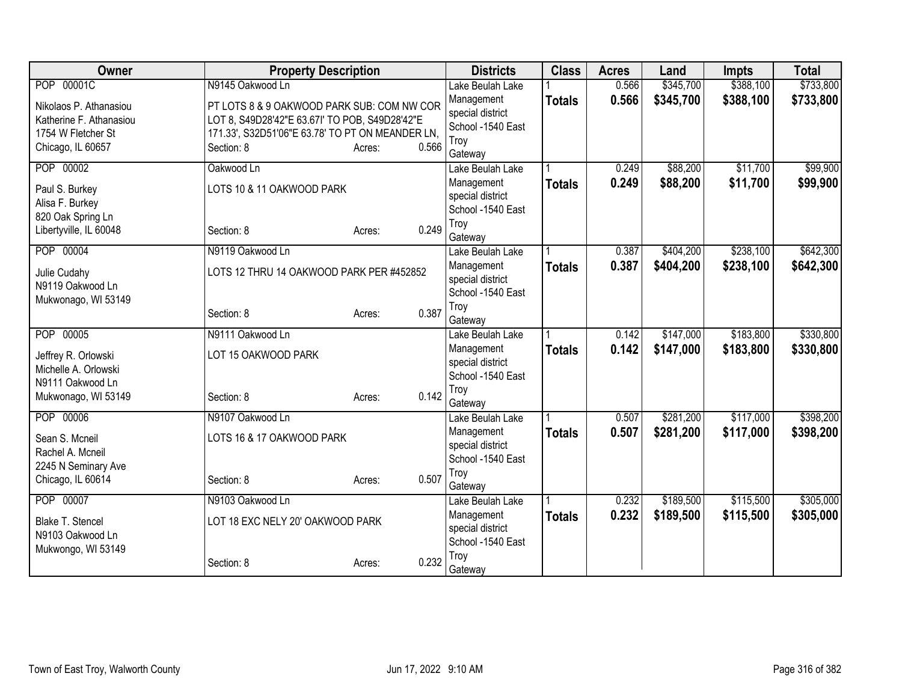| Owner                             | <b>Property Description</b>                      |                 | <b>Districts</b>                      | <b>Class</b>  | <b>Acres</b> | Land      | <b>Impts</b> | <b>Total</b> |
|-----------------------------------|--------------------------------------------------|-----------------|---------------------------------------|---------------|--------------|-----------|--------------|--------------|
| POP 00001C                        | N9145 Oakwood Ln                                 |                 | Lake Beulah Lake                      |               | 0.566        | \$345,700 | \$388,100    | \$733,800    |
| Nikolaos P. Athanasiou            | PT LOTS 8 & 9 OAKWOOD PARK SUB: COM NW COR       |                 | Management                            | <b>Totals</b> | 0.566        | \$345,700 | \$388,100    | \$733,800    |
| Katherine F. Athanasiou           | LOT 8, S49D28'42"E 63.67I' TO POB, S49D28'42"E   |                 | special district                      |               |              |           |              |              |
| 1754 W Fletcher St                | 171.33', S32D51'06"E 63.78' TO PT ON MEANDER LN, |                 | School -1540 East<br>Troy             |               |              |           |              |              |
| Chicago, IL 60657                 | Section: 8                                       | 0.566<br>Acres: | Gateway                               |               |              |           |              |              |
| POP 00002                         | Oakwood Ln                                       |                 | Lake Beulah Lake                      |               | 0.249        | \$88,200  | \$11,700     | \$99,900     |
|                                   | LOTS 10 & 11 OAKWOOD PARK                        |                 | Management                            | <b>Totals</b> | 0.249        | \$88,200  | \$11,700     | \$99,900     |
| Paul S. Burkey<br>Alisa F. Burkey |                                                  |                 | special district                      |               |              |           |              |              |
| 820 Oak Spring Ln                 |                                                  |                 | School -1540 East                     |               |              |           |              |              |
| Libertyville, IL 60048            | Section: 8                                       | 0.249<br>Acres: | Troy                                  |               |              |           |              |              |
|                                   |                                                  |                 | Gateway                               |               |              |           |              |              |
| POP 00004                         | N9119 Oakwood Ln                                 |                 | Lake Beulah Lake                      |               | 0.387        | \$404,200 | \$238,100    | \$642,300    |
| Julie Cudahy                      | LOTS 12 THRU 14 OAKWOOD PARK PER #452852         |                 | Management                            | <b>Totals</b> | 0.387        | \$404,200 | \$238,100    | \$642,300    |
| N9119 Oakwood Ln                  |                                                  |                 | special district<br>School -1540 East |               |              |           |              |              |
| Mukwonago, WI 53149               |                                                  |                 | Troy                                  |               |              |           |              |              |
|                                   | Section: 8                                       | 0.387<br>Acres: | Gateway                               |               |              |           |              |              |
| POP 00005                         | N9111 Oakwood Ln                                 |                 | Lake Beulah Lake                      |               | 0.142        | \$147,000 | \$183,800    | \$330,800    |
| Jeffrey R. Orlowski               | LOT 15 OAKWOOD PARK                              |                 | Management                            | <b>Totals</b> | 0.142        | \$147,000 | \$183,800    | \$330,800    |
| Michelle A. Orlowski              |                                                  |                 | special district                      |               |              |           |              |              |
| N9111 Oakwood Ln                  |                                                  |                 | School -1540 East                     |               |              |           |              |              |
| Mukwonago, WI 53149               | Section: 8                                       | 0.142<br>Acres: | Troy                                  |               |              |           |              |              |
|                                   |                                                  |                 | Gateway                               |               |              |           |              |              |
| POP 00006                         | N9107 Oakwood Ln                                 |                 | Lake Beulah Lake                      |               | 0.507        | \$281,200 | \$117,000    | \$398,200    |
| Sean S. Mcneil                    | LOTS 16 & 17 OAKWOOD PARK                        |                 | Management<br>special district        | <b>Totals</b> | 0.507        | \$281,200 | \$117,000    | \$398,200    |
| Rachel A. Mcneil                  |                                                  |                 | School -1540 East                     |               |              |           |              |              |
| 2245 N Seminary Ave               |                                                  |                 | Troy                                  |               |              |           |              |              |
| Chicago, IL 60614                 | Section: 8                                       | 0.507<br>Acres: | Gateway                               |               |              |           |              |              |
| POP 00007                         | N9103 Oakwood Ln                                 |                 | Lake Beulah Lake                      |               | 0.232        | \$189,500 | \$115,500    | \$305,000    |
| <b>Blake T. Stencel</b>           | LOT 18 EXC NELY 20' OAKWOOD PARK                 |                 | Management                            | <b>Totals</b> | 0.232        | \$189,500 | \$115,500    | \$305,000    |
| N9103 Oakwood Ln                  |                                                  |                 | special district                      |               |              |           |              |              |
| Mukwongo, WI 53149                |                                                  |                 | School -1540 East                     |               |              |           |              |              |
|                                   | Section: 8                                       | 0.232<br>Acres: | Troy                                  |               |              |           |              |              |
|                                   |                                                  |                 | Gateway                               |               |              |           |              |              |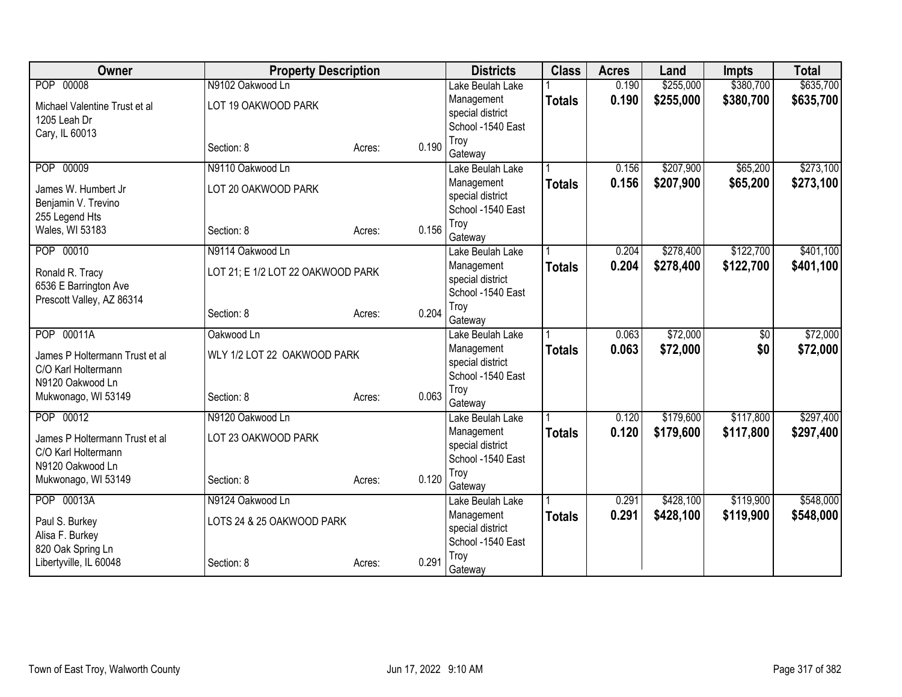| Owner                          | <b>Property Description</b>       |        |       | <b>Districts</b>            | <b>Class</b>  | <b>Acres</b> | Land      | <b>Impts</b>    | <b>Total</b> |
|--------------------------------|-----------------------------------|--------|-------|-----------------------------|---------------|--------------|-----------|-----------------|--------------|
| POP 00008                      | N9102 Oakwood Ln                  |        |       | Lake Beulah Lake            |               | 0.190        | \$255,000 | \$380,700       | \$635,700    |
| Michael Valentine Trust et al  | LOT 19 OAKWOOD PARK               |        |       | Management                  | <b>Totals</b> | 0.190        | \$255,000 | \$380,700       | \$635,700    |
| 1205 Leah Dr                   |                                   |        |       | special district            |               |              |           |                 |              |
| Cary, IL 60013                 |                                   |        |       | School -1540 East           |               |              |           |                 |              |
|                                | Section: 8                        | Acres: | 0.190 | Troy                        |               |              |           |                 |              |
| POP 00009                      | N9110 Oakwood Ln                  |        |       | Gateway<br>Lake Beulah Lake |               | 0.156        | \$207,900 | \$65,200        | \$273,100    |
|                                |                                   |        |       | Management                  |               | 0.156        | \$207,900 | \$65,200        | \$273,100    |
| James W. Humbert Jr            | LOT 20 OAKWOOD PARK               |        |       | special district            | <b>Totals</b> |              |           |                 |              |
| Benjamin V. Trevino            |                                   |        |       | School -1540 East           |               |              |           |                 |              |
| 255 Legend Hts                 |                                   |        |       | Troy                        |               |              |           |                 |              |
| Wales, WI 53183                | Section: 8                        | Acres: | 0.156 | Gateway                     |               |              |           |                 |              |
| POP 00010                      | N9114 Oakwood Ln                  |        |       | Lake Beulah Lake            |               | 0.204        | \$278,400 | \$122,700       | \$401,100    |
| Ronald R. Tracy                | LOT 21; E 1/2 LOT 22 OAKWOOD PARK |        |       | Management                  | <b>Totals</b> | 0.204        | \$278,400 | \$122,700       | \$401,100    |
| 6536 E Barrington Ave          |                                   |        |       | special district            |               |              |           |                 |              |
| Prescott Valley, AZ 86314      |                                   |        |       | School -1540 East           |               |              |           |                 |              |
|                                | Section: 8                        | Acres: | 0.204 | Troy                        |               |              |           |                 |              |
|                                |                                   |        |       | Gateway                     |               |              |           |                 |              |
| POP 00011A                     | Oakwood Ln                        |        |       | Lake Beulah Lake            |               | 0.063        | \$72,000  | $\overline{50}$ | \$72,000     |
| James P Holtermann Trust et al | WLY 1/2 LOT 22 OAKWOOD PARK       |        |       | Management                  | <b>Totals</b> | 0.063        | \$72,000  | \$0             | \$72,000     |
| C/O Karl Holtermann            |                                   |        |       | special district            |               |              |           |                 |              |
| N9120 Oakwood Ln               |                                   |        |       | School -1540 East           |               |              |           |                 |              |
| Mukwonago, WI 53149            | Section: 8                        | Acres: | 0.063 | Troy<br>Gateway             |               |              |           |                 |              |
| POP 00012                      | N9120 Oakwood Ln                  |        |       | Lake Beulah Lake            |               | 0.120        | \$179,600 | \$117,800       | \$297,400    |
|                                |                                   |        |       | Management                  |               | 0.120        | \$179,600 | \$117,800       | \$297,400    |
| James P Holtermann Trust et al | LOT 23 OAKWOOD PARK               |        |       | special district            | <b>Totals</b> |              |           |                 |              |
| C/O Karl Holtermann            |                                   |        |       | School -1540 East           |               |              |           |                 |              |
| N9120 Oakwood Ln               |                                   |        |       | Troy                        |               |              |           |                 |              |
| Mukwonago, WI 53149            | Section: 8                        | Acres: | 0.120 | Gateway                     |               |              |           |                 |              |
| POP 00013A                     | N9124 Oakwood Ln                  |        |       | Lake Beulah Lake            |               | 0.291        | \$428,100 | \$119,900       | \$548,000    |
| Paul S. Burkey                 | LOTS 24 & 25 OAKWOOD PARK         |        |       | Management                  | <b>Totals</b> | 0.291        | \$428,100 | \$119,900       | \$548,000    |
| Alisa F. Burkey                |                                   |        |       | special district            |               |              |           |                 |              |
| 820 Oak Spring Ln              |                                   |        |       | School -1540 East           |               |              |           |                 |              |
| Libertyville, IL 60048         | Section: 8                        | Acres: | 0.291 | Troy                        |               |              |           |                 |              |
|                                |                                   |        |       | Gateway                     |               |              |           |                 |              |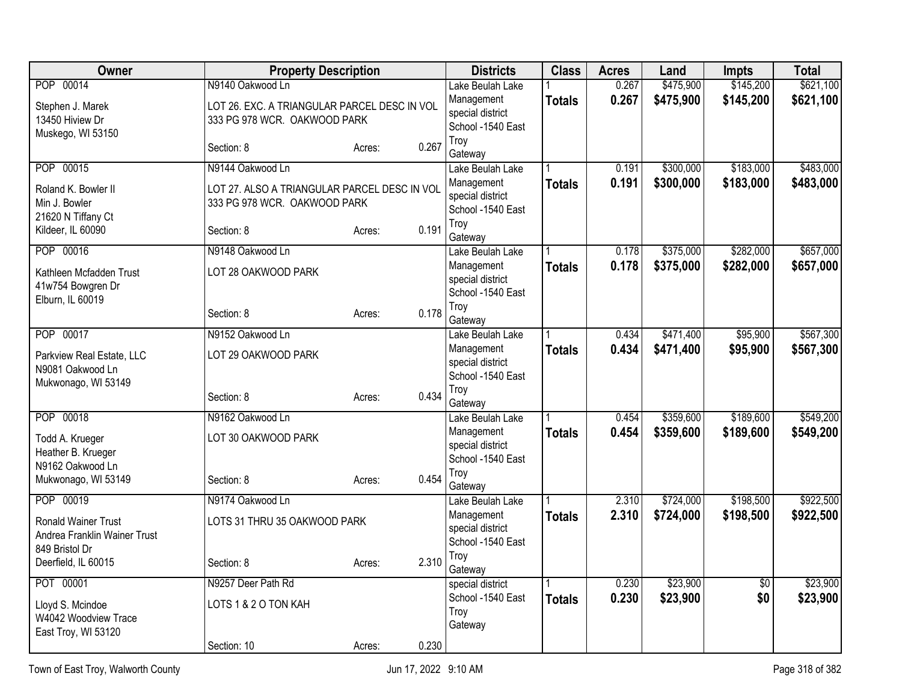| Owner                                                      | <b>Property Description</b>                  |        |       | <b>Districts</b>                      | <b>Class</b>  | <b>Acres</b> | Land      | <b>Impts</b> | <b>Total</b> |
|------------------------------------------------------------|----------------------------------------------|--------|-------|---------------------------------------|---------------|--------------|-----------|--------------|--------------|
| 00014<br><b>POP</b>                                        | N9140 Oakwood Ln                             |        |       | Lake Beulah Lake                      |               | 0.267        | \$475,900 | \$145,200    | \$621,100    |
| Stephen J. Marek                                           | LOT 26. EXC. A TRIANGULAR PARCEL DESC IN VOL |        |       | Management<br>special district        | <b>Totals</b> | 0.267        | \$475,900 | \$145,200    | \$621,100    |
| 13450 Hiview Dr                                            | 333 PG 978 WCR. OAKWOOD PARK                 |        |       | School -1540 East                     |               |              |           |              |              |
| Muskego, WI 53150                                          |                                              |        | 0.267 | Troy                                  |               |              |           |              |              |
|                                                            | Section: 8                                   | Acres: |       | Gateway                               |               |              |           |              |              |
| POP 00015                                                  | N9144 Oakwood Ln                             |        |       | Lake Beulah Lake                      |               | 0.191        | \$300,000 | \$183,000    | \$483,000    |
| Roland K. Bowler II                                        | LOT 27. ALSO A TRIANGULAR PARCEL DESC IN VOL |        |       | Management                            | <b>Totals</b> | 0.191        | \$300,000 | \$183,000    | \$483,000    |
| Min J. Bowler                                              | 333 PG 978 WCR. OAKWOOD PARK                 |        |       | special district<br>School -1540 East |               |              |           |              |              |
| 21620 N Tiffany Ct                                         |                                              |        |       | Troy                                  |               |              |           |              |              |
| Kildeer, IL 60090                                          | Section: 8                                   | Acres: | 0.191 | Gateway                               |               |              |           |              |              |
| POP 00016                                                  | N9148 Oakwood Ln                             |        |       | Lake Beulah Lake                      |               | 0.178        | \$375,000 | \$282,000    | \$657,000    |
| Kathleen Mcfadden Trust                                    | LOT 28 OAKWOOD PARK                          |        |       | Management                            | <b>Totals</b> | 0.178        | \$375,000 | \$282,000    | \$657,000    |
| 41w754 Bowgren Dr                                          |                                              |        |       | special district                      |               |              |           |              |              |
| Elburn, IL 60019                                           |                                              |        |       | School -1540 East<br>Troy             |               |              |           |              |              |
|                                                            | Section: 8                                   | Acres: | 0.178 | Gateway                               |               |              |           |              |              |
| POP 00017                                                  | N9152 Oakwood Ln                             |        |       | Lake Beulah Lake                      |               | 0.434        | \$471,400 | \$95,900     | \$567,300    |
| Parkview Real Estate, LLC                                  | LOT 29 OAKWOOD PARK                          |        |       | Management                            | <b>Totals</b> | 0.434        | \$471,400 | \$95,900     | \$567,300    |
| N9081 Oakwood Ln                                           |                                              |        |       | special district                      |               |              |           |              |              |
| Mukwonago, WI 53149                                        |                                              |        |       | School -1540 East<br>Troy             |               |              |           |              |              |
|                                                            | Section: 8                                   | Acres: | 0.434 | Gateway                               |               |              |           |              |              |
| POP 00018                                                  | N9162 Oakwood Ln                             |        |       | Lake Beulah Lake                      |               | 0.454        | \$359,600 | \$189,600    | \$549,200    |
| Todd A. Krueger                                            | LOT 30 OAKWOOD PARK                          |        |       | Management                            | <b>Totals</b> | 0.454        | \$359,600 | \$189,600    | \$549,200    |
| Heather B. Krueger                                         |                                              |        |       | special district                      |               |              |           |              |              |
| N9162 Oakwood Ln                                           |                                              |        |       | School -1540 East                     |               |              |           |              |              |
| Mukwonago, WI 53149                                        | Section: 8                                   | Acres: | 0.454 | Troy<br>Gateway                       |               |              |           |              |              |
| POP 00019                                                  | N9174 Oakwood Ln                             |        |       | Lake Beulah Lake                      |               | 2.310        | \$724,000 | \$198,500    | \$922,500    |
|                                                            |                                              |        |       | Management                            | <b>Totals</b> | 2.310        | \$724,000 | \$198,500    | \$922,500    |
| <b>Ronald Wainer Trust</b><br>Andrea Franklin Wainer Trust | LOTS 31 THRU 35 OAKWOOD PARK                 |        |       | special district                      |               |              |           |              |              |
| 849 Bristol Dr                                             |                                              |        |       | School -1540 East                     |               |              |           |              |              |
| Deerfield, IL 60015                                        | Section: 8                                   | Acres: | 2.310 | Troy                                  |               |              |           |              |              |
| POT 00001                                                  | N9257 Deer Path Rd                           |        |       | Gateway<br>special district           |               | 0.230        | \$23,900  | \$0          | \$23,900     |
|                                                            |                                              |        |       | School -1540 East                     | <b>Totals</b> | 0.230        | \$23,900  | \$0          | \$23,900     |
| Lloyd S. Mcindoe<br>W4042 Woodview Trace                   | LOTS 1 & 2 O TON KAH                         |        |       | Troy                                  |               |              |           |              |              |
| East Troy, WI 53120                                        |                                              |        |       | Gateway                               |               |              |           |              |              |
|                                                            | Section: 10                                  | Acres: | 0.230 |                                       |               |              |           |              |              |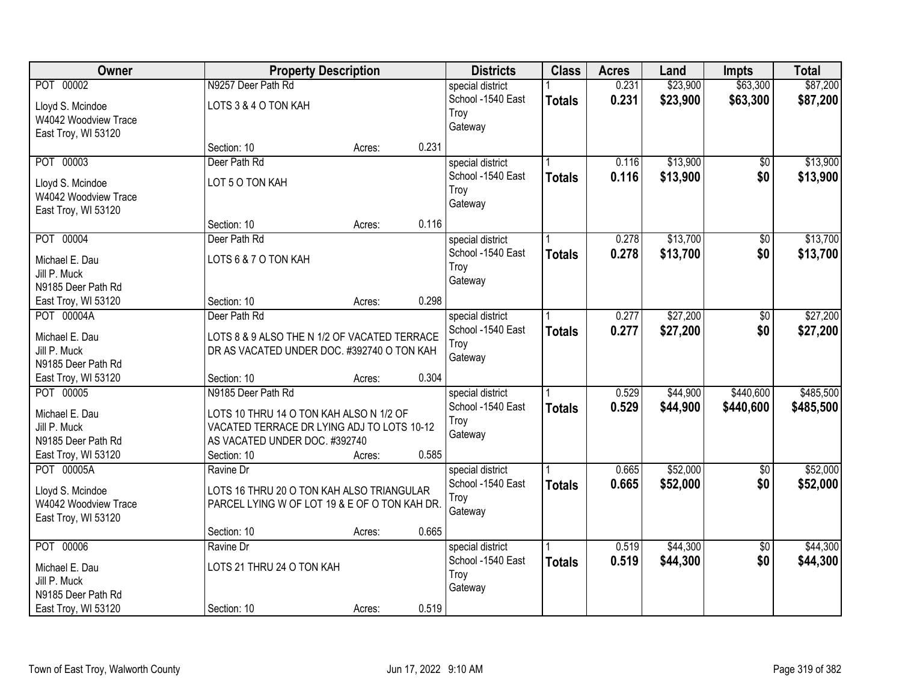| Owner                          |                                               | <b>Property Description</b> |       | <b>Districts</b>  | <b>Class</b>  | <b>Acres</b> | Land     | <b>Impts</b>    | <b>Total</b> |
|--------------------------------|-----------------------------------------------|-----------------------------|-------|-------------------|---------------|--------------|----------|-----------------|--------------|
| POT 00002                      | N9257 Deer Path Rd                            |                             |       | special district  |               | 0.231        | \$23,900 | \$63,300        | \$87,200     |
| Lloyd S. Mcindoe               | LOTS 3 & 4 O TON KAH                          |                             |       | School -1540 East | <b>Totals</b> | 0.231        | \$23,900 | \$63,300        | \$87,200     |
| W4042 Woodview Trace           |                                               |                             |       | Troy              |               |              |          |                 |              |
| East Troy, WI 53120            |                                               |                             |       | Gateway           |               |              |          |                 |              |
|                                | Section: 10                                   | Acres:                      | 0.231 |                   |               |              |          |                 |              |
| POT 00003                      | Deer Path Rd                                  |                             |       | special district  |               | 0.116        | \$13,900 | \$0             | \$13,900     |
| Lloyd S. Mcindoe               | LOT 5 O TON KAH                               |                             |       | School -1540 East | <b>Totals</b> | 0.116        | \$13,900 | \$0             | \$13,900     |
| W4042 Woodview Trace           |                                               |                             |       | Troy              |               |              |          |                 |              |
| East Troy, WI 53120            |                                               |                             |       | Gateway           |               |              |          |                 |              |
|                                | Section: 10                                   | Acres:                      | 0.116 |                   |               |              |          |                 |              |
| POT 00004                      | Deer Path Rd                                  |                             |       | special district  |               | 0.278        | \$13,700 | \$0             | \$13,700     |
| Michael E. Dau                 | LOTS 6 & 7 O TON KAH                          |                             |       | School -1540 East | <b>Totals</b> | 0.278        | \$13,700 | \$0             | \$13,700     |
| Jill P. Muck                   |                                               |                             |       | Troy              |               |              |          |                 |              |
| N9185 Deer Path Rd             |                                               |                             |       | Gateway           |               |              |          |                 |              |
| East Troy, WI 53120            | Section: 10                                   | Acres:                      | 0.298 |                   |               |              |          |                 |              |
| POT 00004A                     | Deer Path Rd                                  |                             |       | special district  |               | 0.277        | \$27,200 | \$0             | \$27,200     |
|                                |                                               |                             |       | School -1540 East | <b>Totals</b> | 0.277        | \$27,200 | \$0             | \$27,200     |
| Michael E. Dau                 | LOTS 8 & 9 ALSO THE N 1/2 OF VACATED TERRACE  |                             |       | Troy              |               |              |          |                 |              |
| Jill P. Muck                   | DR AS VACATED UNDER DOC. #392740 O TON KAH    |                             |       | Gateway           |               |              |          |                 |              |
| N9185 Deer Path Rd             |                                               |                             |       |                   |               |              |          |                 |              |
| East Troy, WI 53120            | Section: 10                                   | Acres:                      | 0.304 |                   |               |              |          |                 |              |
| POT 00005                      | N9185 Deer Path Rd                            |                             |       | special district  |               | 0.529        | \$44,900 | \$440,600       | \$485,500    |
| Michael E. Dau                 | LOTS 10 THRU 14 O TON KAH ALSO N 1/2 OF       |                             |       | School -1540 East | <b>Totals</b> | 0.529        | \$44,900 | \$440,600       | \$485,500    |
| Jill P. Muck                   | VACATED TERRACE DR LYING ADJ TO LOTS 10-12    |                             |       | Troy              |               |              |          |                 |              |
| N9185 Deer Path Rd             | AS VACATED UNDER DOC. #392740                 |                             |       | Gateway           |               |              |          |                 |              |
| East Troy, WI 53120            | Section: 10                                   | Acres:                      | 0.585 |                   |               |              |          |                 |              |
| POT 00005A                     | Ravine Dr                                     |                             |       | special district  |               | 0.665        | \$52,000 | $\sqrt{6}$      | \$52,000     |
| Lloyd S. Mcindoe               | LOTS 16 THRU 20 O TON KAH ALSO TRIANGULAR     |                             |       | School -1540 East | <b>Totals</b> | 0.665        | \$52,000 | \$0             | \$52,000     |
| W4042 Woodview Trace           | PARCEL LYING W OF LOT 19 & E OF O TON KAH DR. |                             |       | Troy              |               |              |          |                 |              |
| East Troy, WI 53120            |                                               |                             |       | Gateway           |               |              |          |                 |              |
|                                | Section: 10                                   | Acres:                      | 0.665 |                   |               |              |          |                 |              |
| POT 00006                      | Ravine Dr                                     |                             |       | special district  |               | 0.519        | \$44,300 | $\overline{50}$ | \$44,300     |
|                                | LOTS 21 THRU 24 O TON KAH                     |                             |       | School -1540 East | <b>Totals</b> | 0.519        | \$44,300 | \$0             | \$44,300     |
| Michael E. Dau<br>Jill P. Muck |                                               |                             |       | Troy              |               |              |          |                 |              |
| N9185 Deer Path Rd             |                                               |                             |       | Gateway           |               |              |          |                 |              |
| East Troy, WI 53120            | Section: 10                                   | Acres:                      | 0.519 |                   |               |              |          |                 |              |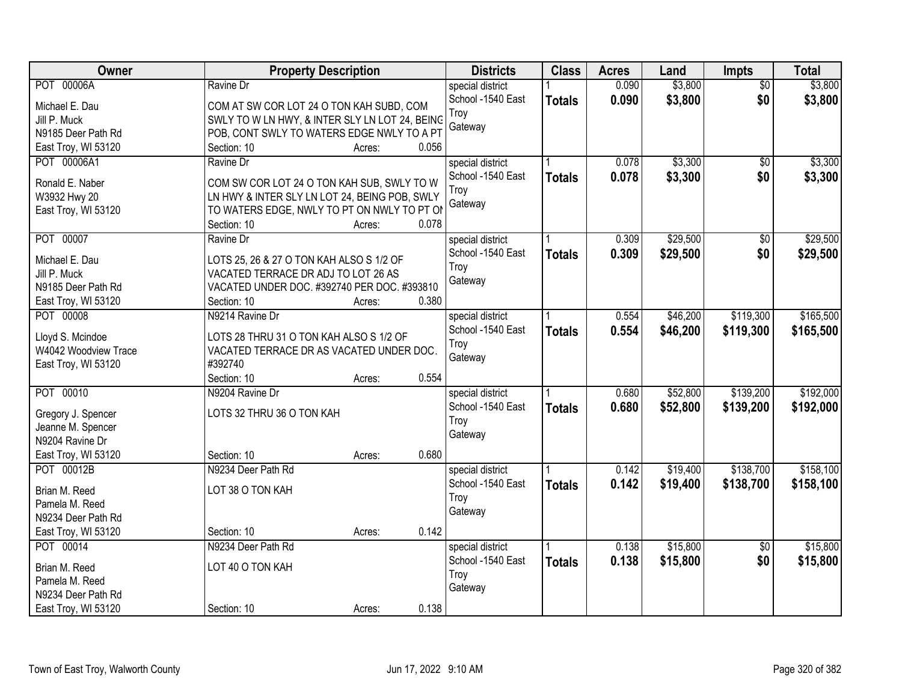| Owner                | <b>Property Description</b>                    | <b>Districts</b>  | <b>Class</b>  | <b>Acres</b> | Land     | Impts           | <b>Total</b> |
|----------------------|------------------------------------------------|-------------------|---------------|--------------|----------|-----------------|--------------|
| POT 00006A           | Ravine Dr                                      | special district  |               | 0.090        | \$3,800  | $\overline{50}$ | \$3,800      |
| Michael E. Dau       | COM AT SW COR LOT 24 O TON KAH SUBD, COM       | School -1540 East | <b>Totals</b> | 0.090        | \$3,800  | \$0             | \$3,800      |
| Jill P. Muck         | SWLY TO W LN HWY, & INTER SLY LN LOT 24, BEING | Troy              |               |              |          |                 |              |
| N9185 Deer Path Rd   | POB, CONT SWLY TO WATERS EDGE NWLY TO A PT     | Gateway           |               |              |          |                 |              |
| East Troy, WI 53120  | Section: 10<br>Acres:<br>0.056                 |                   |               |              |          |                 |              |
| POT 00006A1          | Ravine Dr                                      | special district  |               | 0.078        | \$3,300  | $\overline{50}$ | \$3,300      |
|                      |                                                | School -1540 East | <b>Totals</b> | 0.078        | \$3,300  | \$0             | \$3,300      |
| Ronald E. Naber      | COM SW COR LOT 24 O TON KAH SUB, SWLY TO W     | Troy              |               |              |          |                 |              |
| W3932 Hwy 20         | LN HWY & INTER SLY LN LOT 24, BEING POB, SWLY  | Gateway           |               |              |          |                 |              |
| East Troy, WI 53120  | TO WATERS EDGE, NWLY TO PT ON NWLY TO PT ON    |                   |               |              |          |                 |              |
|                      | 0.078<br>Section: 10<br>Acres:                 |                   |               |              |          |                 |              |
| POT 00007            | Ravine Dr                                      | special district  |               | 0.309        | \$29,500 | $\overline{50}$ | \$29,500     |
| Michael E. Dau       | LOTS 25, 26 & 27 O TON KAH ALSO S 1/2 OF       | School -1540 East | <b>Totals</b> | 0.309        | \$29,500 | \$0             | \$29,500     |
| Jill P. Muck         | VACATED TERRACE DR ADJ TO LOT 26 AS            | Troy              |               |              |          |                 |              |
| N9185 Deer Path Rd   | VACATED UNDER DOC. #392740 PER DOC. #393810    | Gateway           |               |              |          |                 |              |
| East Troy, WI 53120  | 0.380<br>Section: 10<br>Acres:                 |                   |               |              |          |                 |              |
| POT 00008            | N9214 Ravine Dr                                | special district  |               | 0.554        | \$46,200 | \$119,300       | \$165,500    |
|                      |                                                | School -1540 East | <b>Totals</b> | 0.554        | \$46,200 | \$119,300       | \$165,500    |
| Lloyd S. Mcindoe     | LOTS 28 THRU 31 O TON KAH ALSO S 1/2 OF        | Troy              |               |              |          |                 |              |
| W4042 Woodview Trace | VACATED TERRACE DR AS VACATED UNDER DOC.       | Gateway           |               |              |          |                 |              |
| East Troy, WI 53120  | #392740                                        |                   |               |              |          |                 |              |
|                      | 0.554<br>Section: 10<br>Acres:                 |                   |               |              |          |                 |              |
| POT 00010            | N9204 Ravine Dr                                | special district  |               | 0.680        | \$52,800 | \$139,200       | \$192,000    |
| Gregory J. Spencer   | LOTS 32 THRU 36 O TON KAH                      | School -1540 East | <b>Totals</b> | 0.680        | \$52,800 | \$139,200       | \$192,000    |
| Jeanne M. Spencer    |                                                | Troy              |               |              |          |                 |              |
| N9204 Ravine Dr      |                                                | Gateway           |               |              |          |                 |              |
| East Troy, WI 53120  | 0.680<br>Section: 10<br>Acres:                 |                   |               |              |          |                 |              |
| POT 00012B           | N9234 Deer Path Rd                             | special district  |               | 0.142        | \$19,400 | \$138,700       | \$158,100    |
|                      |                                                | School -1540 East | <b>Totals</b> | 0.142        | \$19,400 | \$138,700       | \$158,100    |
| Brian M. Reed        | LOT 38 O TON KAH                               | Troy              |               |              |          |                 |              |
| Pamela M. Reed       |                                                | Gateway           |               |              |          |                 |              |
| N9234 Deer Path Rd   |                                                |                   |               |              |          |                 |              |
| East Troy, WI 53120  | 0.142<br>Section: 10<br>Acres:                 |                   |               |              |          |                 |              |
| POT 00014            | N9234 Deer Path Rd                             | special district  |               | 0.138        | \$15,800 | $\overline{50}$ | \$15,800     |
| Brian M. Reed        | LOT 40 O TON KAH                               | School -1540 East | <b>Totals</b> | 0.138        | \$15,800 | \$0             | \$15,800     |
| Pamela M. Reed       |                                                | Troy              |               |              |          |                 |              |
| N9234 Deer Path Rd   |                                                | Gateway           |               |              |          |                 |              |
| East Troy, WI 53120  | 0.138<br>Section: 10<br>Acres:                 |                   |               |              |          |                 |              |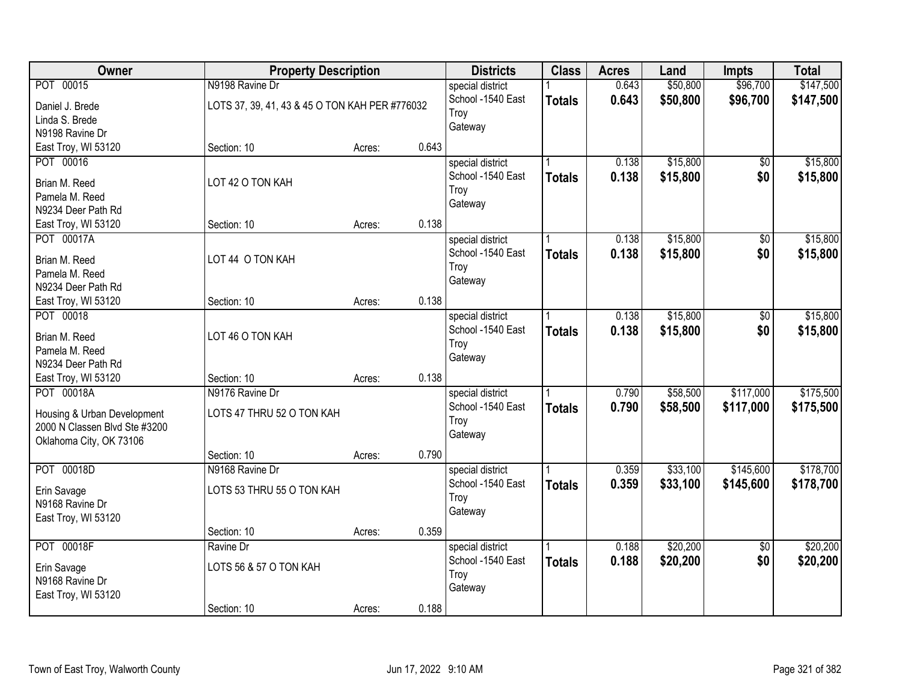| Owner                         | <b>Property Description</b>                    |        |       | <b>Districts</b>  | <b>Class</b>  | <b>Acres</b> | Land     | <b>Impts</b>    | <b>Total</b> |
|-------------------------------|------------------------------------------------|--------|-------|-------------------|---------------|--------------|----------|-----------------|--------------|
| POT 00015                     | N9198 Ravine Dr                                |        |       | special district  |               | 0.643        | \$50,800 | \$96,700        | \$147,500    |
| Daniel J. Brede               | LOTS 37, 39, 41, 43 & 45 O TON KAH PER #776032 |        |       | School -1540 East | <b>Totals</b> | 0.643        | \$50,800 | \$96,700        | \$147,500    |
| Linda S. Brede                |                                                |        |       | Troy              |               |              |          |                 |              |
| N9198 Ravine Dr               |                                                |        |       | Gateway           |               |              |          |                 |              |
| East Troy, WI 53120           | Section: 10                                    | Acres: | 0.643 |                   |               |              |          |                 |              |
| POT 00016                     |                                                |        |       | special district  |               | 0.138        | \$15,800 | \$0             | \$15,800     |
|                               |                                                |        |       | School -1540 East | <b>Totals</b> | 0.138        | \$15,800 | \$0             | \$15,800     |
| Brian M. Reed                 | LOT 42 O TON KAH                               |        |       | Troy              |               |              |          |                 |              |
| Pamela M. Reed                |                                                |        |       | Gateway           |               |              |          |                 |              |
| N9234 Deer Path Rd            |                                                |        |       |                   |               |              |          |                 |              |
| East Troy, WI 53120           | Section: 10                                    | Acres: | 0.138 |                   |               |              |          |                 |              |
| POT 00017A                    |                                                |        |       | special district  |               | 0.138        | \$15,800 | \$0             | \$15,800     |
| Brian M. Reed                 | LOT 44 O TON KAH                               |        |       | School -1540 East | <b>Totals</b> | 0.138        | \$15,800 | \$0             | \$15,800     |
| Pamela M. Reed                |                                                |        |       | Troy              |               |              |          |                 |              |
| N9234 Deer Path Rd            |                                                |        |       | Gateway           |               |              |          |                 |              |
| East Troy, WI 53120           | Section: 10                                    | Acres: | 0.138 |                   |               |              |          |                 |              |
| POT 00018                     |                                                |        |       | special district  |               | 0.138        | \$15,800 | \$0             | \$15,800     |
|                               |                                                |        |       | School -1540 East | <b>Totals</b> | 0.138        | \$15,800 | \$0             | \$15,800     |
| Brian M. Reed                 | LOT 46 O TON KAH                               |        |       | Troy              |               |              |          |                 |              |
| Pamela M. Reed                |                                                |        |       | Gateway           |               |              |          |                 |              |
| N9234 Deer Path Rd            |                                                |        |       |                   |               |              |          |                 |              |
| East Troy, WI 53120           | Section: 10                                    | Acres: | 0.138 |                   |               |              |          |                 |              |
| POT 00018A                    | N9176 Ravine Dr                                |        |       | special district  |               | 0.790        | \$58,500 | \$117,000       | \$175,500    |
| Housing & Urban Development   | LOTS 47 THRU 52 O TON KAH                      |        |       | School -1540 East | <b>Totals</b> | 0.790        | \$58,500 | \$117,000       | \$175,500    |
| 2000 N Classen Blvd Ste #3200 |                                                |        |       | Troy              |               |              |          |                 |              |
| Oklahoma City, OK 73106       |                                                |        |       | Gateway           |               |              |          |                 |              |
|                               | Section: 10                                    | Acres: | 0.790 |                   |               |              |          |                 |              |
| POT 00018D                    | N9168 Ravine Dr                                |        |       | special district  |               | 0.359        | \$33,100 | \$145,600       | \$178,700    |
|                               |                                                |        |       | School -1540 East | <b>Totals</b> | 0.359        | \$33,100 | \$145,600       | \$178,700    |
| Erin Savage                   | LOTS 53 THRU 55 O TON KAH                      |        |       | Troy              |               |              |          |                 |              |
| N9168 Ravine Dr               |                                                |        |       | Gateway           |               |              |          |                 |              |
| East Troy, WI 53120           |                                                |        |       |                   |               |              |          |                 |              |
|                               | Section: 10                                    | Acres: | 0.359 |                   |               |              |          |                 |              |
| POT 00018F                    | Ravine Dr                                      |        |       | special district  |               | 0.188        | \$20,200 | $\overline{50}$ | \$20,200     |
| Erin Savage                   | LOTS 56 & 57 O TON KAH                         |        |       | School -1540 East | <b>Totals</b> | 0.188        | \$20,200 | \$0             | \$20,200     |
| N9168 Ravine Dr               |                                                |        |       | Troy              |               |              |          |                 |              |
| East Troy, WI 53120           |                                                |        |       | Gateway           |               |              |          |                 |              |
|                               | Section: 10                                    | Acres: | 0.188 |                   |               |              |          |                 |              |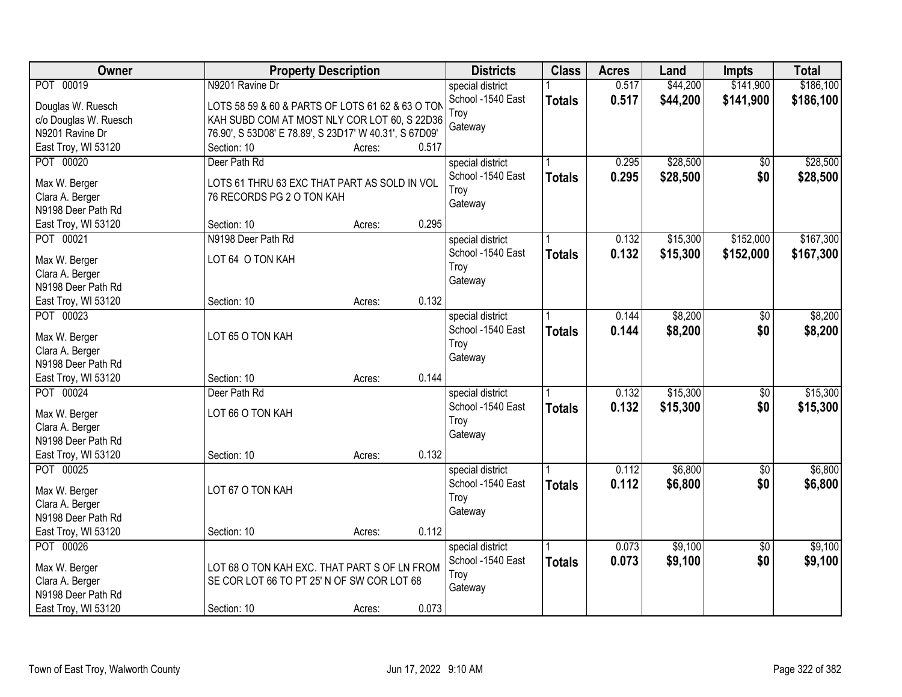| Owner                                 | <b>Property Description</b>                            | <b>Districts</b> | <b>Class</b>                          | <b>Acres</b>  | Land  | <b>Impts</b> | <b>Total</b>    |           |
|---------------------------------------|--------------------------------------------------------|------------------|---------------------------------------|---------------|-------|--------------|-----------------|-----------|
| POT 00019                             | N9201 Ravine Dr                                        |                  | special district                      |               | 0.517 | \$44,200     | \$141,900       | \$186,100 |
| Douglas W. Ruesch                     | LOTS 58 59 & 60 & PARTS OF LOTS 61 62 & 63 O TON       |                  | School -1540 East                     | <b>Totals</b> | 0.517 | \$44,200     | \$141,900       | \$186,100 |
| c/o Douglas W. Ruesch                 | KAH SUBD COM AT MOST NLY COR LOT 60, S 22D36           |                  | Troy                                  |               |       |              |                 |           |
| N9201 Ravine Dr                       | 76.90', S 53D08' E 78.89', S 23D17' W 40.31', S 67D09' |                  | Gateway                               |               |       |              |                 |           |
| East Troy, WI 53120                   | Section: 10                                            | Acres:           | 0.517                                 |               |       |              |                 |           |
| POT 00020                             | Deer Path Rd                                           |                  | special district                      |               | 0.295 | \$28,500     | $\overline{50}$ | \$28,500  |
|                                       |                                                        |                  | School -1540 East                     | <b>Totals</b> | 0.295 | \$28,500     | \$0             | \$28,500  |
| Max W. Berger                         | LOTS 61 THRU 63 EXC THAT PART AS SOLD IN VOL           |                  | Troy                                  |               |       |              |                 |           |
| Clara A. Berger                       | 76 RECORDS PG 2 O TON KAH                              |                  | Gateway                               |               |       |              |                 |           |
| N9198 Deer Path Rd                    |                                                        |                  |                                       |               |       |              |                 |           |
| East Troy, WI 53120                   | Section: 10                                            | Acres:           | 0.295                                 |               |       |              |                 |           |
| POT 00021                             | N9198 Deer Path Rd                                     |                  | special district                      |               | 0.132 | \$15,300     | \$152,000       | \$167,300 |
| Max W. Berger                         | LOT 64 O TON KAH                                       |                  | School -1540 East                     | <b>Totals</b> | 0.132 | \$15,300     | \$152,000       | \$167,300 |
| Clara A. Berger                       |                                                        |                  | Troy                                  |               |       |              |                 |           |
| N9198 Deer Path Rd                    |                                                        |                  | Gateway                               |               |       |              |                 |           |
| East Troy, WI 53120                   | Section: 10                                            | Acres:           | 0.132                                 |               |       |              |                 |           |
| POT 00023                             |                                                        |                  | special district                      |               | 0.144 | \$8,200      | \$0             | \$8,200   |
|                                       |                                                        |                  | School -1540 East                     | <b>Totals</b> | 0.144 | \$8,200      | \$0             | \$8,200   |
| Max W. Berger                         | LOT 65 O TON KAH                                       |                  | Troy                                  |               |       |              |                 |           |
| Clara A. Berger                       |                                                        |                  | Gateway                               |               |       |              |                 |           |
| N9198 Deer Path Rd                    |                                                        |                  |                                       |               |       |              |                 |           |
| East Troy, WI 53120                   | Section: 10                                            | Acres:           | 0.144                                 |               |       |              |                 |           |
| POT 00024                             | Deer Path Rd                                           |                  | special district                      |               | 0.132 | \$15,300     | $\overline{50}$ | \$15,300  |
| Max W. Berger                         | LOT 66 O TON KAH                                       |                  | School -1540 East                     | <b>Totals</b> | 0.132 | \$15,300     | \$0             | \$15,300  |
| Clara A. Berger                       |                                                        |                  | Troy                                  |               |       |              |                 |           |
| N9198 Deer Path Rd                    |                                                        |                  | Gateway                               |               |       |              |                 |           |
| East Troy, WI 53120                   | Section: 10                                            | Acres:           | 0.132                                 |               |       |              |                 |           |
| POT 00025                             |                                                        |                  |                                       |               | 0.112 | \$6,800      | $\sqrt{6}$      | \$6,800   |
|                                       |                                                        |                  | special district<br>School -1540 East |               |       |              |                 |           |
| Max W. Berger                         | LOT 67 O TON KAH                                       |                  |                                       | <b>Totals</b> | 0.112 | \$6,800      | \$0             | \$6,800   |
| Clara A. Berger                       |                                                        |                  | Troy                                  |               |       |              |                 |           |
| N9198 Deer Path Rd                    |                                                        |                  | Gateway                               |               |       |              |                 |           |
| East Troy, WI 53120                   | Section: 10                                            | Acres:           | 0.112                                 |               |       |              |                 |           |
| POT 00026                             |                                                        |                  | special district                      |               | 0.073 | \$9,100      | $\overline{50}$ | \$9,100   |
|                                       |                                                        |                  | School -1540 East                     | <b>Totals</b> | 0.073 | \$9,100      | \$0             | \$9,100   |
| Max W. Berger                         | LOT 68 O TON KAH EXC. THAT PART S OF LN FROM           |                  | Troy                                  |               |       |              |                 |           |
| Clara A. Berger<br>N9198 Deer Path Rd | SE COR LOT 66 TO PT 25' N OF SW COR LOT 68             |                  | Gateway                               |               |       |              |                 |           |
|                                       |                                                        |                  | 0.073                                 |               |       |              |                 |           |
| East Troy, WI 53120                   | Section: 10                                            | Acres:           |                                       |               |       |              |                 |           |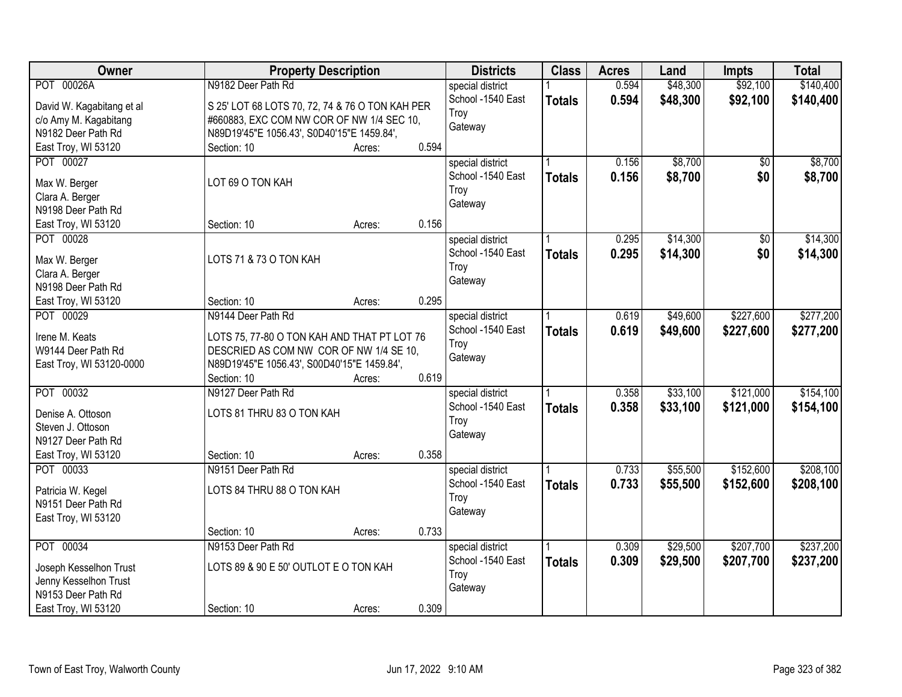| Owner                     | <b>Property Description</b>                     |        |       | <b>Districts</b>  | <b>Class</b>  | <b>Acres</b> | Land     | <b>Impts</b> | <b>Total</b> |
|---------------------------|-------------------------------------------------|--------|-------|-------------------|---------------|--------------|----------|--------------|--------------|
| POT 00026A                | N9182 Deer Path Rd                              |        |       | special district  |               | 0.594        | \$48,300 | \$92,100     | \$140,400    |
| David W. Kagabitang et al | S 25' LOT 68 LOTS 70, 72, 74 & 76 O TON KAH PER |        |       | School -1540 East | <b>Totals</b> | 0.594        | \$48,300 | \$92,100     | \$140,400    |
| c/o Amy M. Kagabitang     | #660883, EXC COM NW COR OF NW 1/4 SEC 10,       |        |       | Troy              |               |              |          |              |              |
| N9182 Deer Path Rd        | N89D19'45"E 1056.43', S0D40'15"E 1459.84',      |        |       | Gateway           |               |              |          |              |              |
| East Troy, WI 53120       | Section: 10                                     | Acres: | 0.594 |                   |               |              |          |              |              |
| POT 00027                 |                                                 |        |       | special district  |               | 0.156        | \$8,700  | \$0          | \$8,700      |
|                           |                                                 |        |       | School -1540 East | <b>Totals</b> | 0.156        | \$8,700  | \$0          | \$8,700      |
| Max W. Berger             | LOT 69 O TON KAH                                |        |       | Troy              |               |              |          |              |              |
| Clara A. Berger           |                                                 |        |       | Gateway           |               |              |          |              |              |
| N9198 Deer Path Rd        |                                                 |        |       |                   |               |              |          |              |              |
| East Troy, WI 53120       | Section: 10                                     | Acres: | 0.156 |                   |               |              |          |              |              |
| POT 00028                 |                                                 |        |       | special district  |               | 0.295        | \$14,300 | \$0          | \$14,300     |
| Max W. Berger             | LOTS 71 & 73 O TON KAH                          |        |       | School -1540 East | <b>Totals</b> | 0.295        | \$14,300 | \$0          | \$14,300     |
| Clara A. Berger           |                                                 |        |       | Troy              |               |              |          |              |              |
| N9198 Deer Path Rd        |                                                 |        |       | Gateway           |               |              |          |              |              |
| East Troy, WI 53120       | Section: 10                                     | Acres: | 0.295 |                   |               |              |          |              |              |
| POT 00029                 | N9144 Deer Path Rd                              |        |       | special district  |               | 0.619        | \$49,600 | \$227,600    | \$277,200    |
|                           |                                                 |        |       | School -1540 East |               | 0.619        | \$49,600 |              |              |
| Irene M. Keats            | LOTS 75, 77-80 O TON KAH AND THAT PT LOT 76     |        |       | Troy              | <b>Totals</b> |              |          | \$227,600    | \$277,200    |
| W9144 Deer Path Rd        | DESCRIED AS COM NW COR OF NW 1/4 SE 10,         |        |       | Gateway           |               |              |          |              |              |
| East Troy, WI 53120-0000  | N89D19'45"E 1056.43', S00D40'15"E 1459.84',     |        |       |                   |               |              |          |              |              |
|                           | Section: 10                                     | Acres: | 0.619 |                   |               |              |          |              |              |
| POT 00032                 | N9127 Deer Path Rd                              |        |       | special district  |               | 0.358        | \$33,100 | \$121,000    | \$154,100    |
| Denise A. Ottoson         | LOTS 81 THRU 83 O TON KAH                       |        |       | School -1540 East | <b>Totals</b> | 0.358        | \$33,100 | \$121,000    | \$154,100    |
| Steven J. Ottoson         |                                                 |        |       | Troy              |               |              |          |              |              |
| N9127 Deer Path Rd        |                                                 |        |       | Gateway           |               |              |          |              |              |
| East Troy, WI 53120       | Section: 10                                     | Acres: | 0.358 |                   |               |              |          |              |              |
| POT 00033                 | N9151 Deer Path Rd                              |        |       | special district  |               | 0.733        | \$55,500 | \$152,600    | \$208,100    |
|                           |                                                 |        |       | School -1540 East |               |              |          |              |              |
| Patricia W. Kegel         | LOTS 84 THRU 88 O TON KAH                       |        |       |                   | <b>Totals</b> | 0.733        | \$55,500 | \$152,600    | \$208,100    |
| N9151 Deer Path Rd        |                                                 |        |       | Troy              |               |              |          |              |              |
| East Troy, WI 53120       |                                                 |        |       | Gateway           |               |              |          |              |              |
|                           | Section: 10                                     | Acres: | 0.733 |                   |               |              |          |              |              |
| POT 00034                 | N9153 Deer Path Rd                              |        |       | special district  |               | 0.309        | \$29,500 | \$207,700    | \$237,200    |
| Joseph Kesselhon Trust    | LOTS 89 & 90 E 50' OUTLOT E O TON KAH           |        |       | School -1540 East | <b>Totals</b> | 0.309        | \$29,500 | \$207,700    | \$237,200    |
| Jenny Kesselhon Trust     |                                                 |        |       | Troy              |               |              |          |              |              |
| N9153 Deer Path Rd        |                                                 |        |       | Gateway           |               |              |          |              |              |
|                           |                                                 |        |       |                   |               |              |          |              |              |
| East Troy, WI 53120       | Section: 10                                     | Acres: | 0.309 |                   |               |              |          |              |              |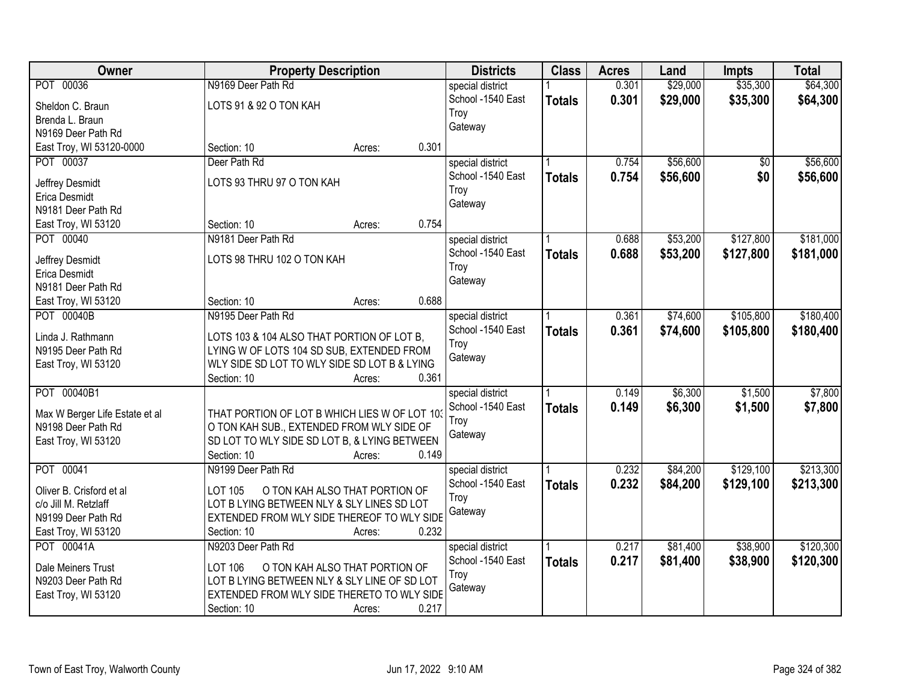| <b>Owner</b>                   | <b>Property Description</b>                   |                                |       | <b>Districts</b>  | <b>Class</b>  | <b>Acres</b> | Land     | <b>Impts</b> | <b>Total</b> |
|--------------------------------|-----------------------------------------------|--------------------------------|-------|-------------------|---------------|--------------|----------|--------------|--------------|
| POT 00036                      | N9169 Deer Path Rd                            |                                |       | special district  |               | 0.301        | \$29,000 | \$35,300     | \$64,300     |
| Sheldon C. Braun               | LOTS 91 & 92 O TON KAH                        |                                |       | School -1540 East | <b>Totals</b> | 0.301        | \$29,000 | \$35,300     | \$64,300     |
| Brenda L. Braun                |                                               |                                |       | Troy              |               |              |          |              |              |
| N9169 Deer Path Rd             |                                               |                                |       | Gateway           |               |              |          |              |              |
| East Troy, WI 53120-0000       | Section: 10                                   | Acres:                         | 0.301 |                   |               |              |          |              |              |
| POT 00037                      | Deer Path Rd                                  |                                |       | special district  |               | 0.754        | \$56,600 | \$0          | \$56,600     |
| Jeffrey Desmidt                | LOTS 93 THRU 97 O TON KAH                     |                                |       | School -1540 East | <b>Totals</b> | 0.754        | \$56,600 | \$0          | \$56,600     |
| Erica Desmidt                  |                                               |                                |       | Troy              |               |              |          |              |              |
| N9181 Deer Path Rd             |                                               |                                |       | Gateway           |               |              |          |              |              |
| East Troy, WI 53120            | Section: 10                                   | Acres:                         | 0.754 |                   |               |              |          |              |              |
| POT 00040                      | N9181 Deer Path Rd                            |                                |       | special district  |               | 0.688        | \$53,200 | \$127,800    | \$181,000    |
|                                |                                               |                                |       | School -1540 East | <b>Totals</b> | 0.688        | \$53,200 | \$127,800    | \$181,000    |
| Jeffrey Desmidt                | LOTS 98 THRU 102 O TON KAH                    |                                |       | Troy              |               |              |          |              |              |
| Erica Desmidt                  |                                               |                                |       | Gateway           |               |              |          |              |              |
| N9181 Deer Path Rd             |                                               |                                |       |                   |               |              |          |              |              |
| East Troy, WI 53120            | Section: 10                                   | Acres:                         | 0.688 |                   |               |              |          |              |              |
| POT 00040B                     | N9195 Deer Path Rd                            |                                |       | special district  |               | 0.361        | \$74,600 | \$105,800    | \$180,400    |
| Linda J. Rathmann              | LOTS 103 & 104 ALSO THAT PORTION OF LOT B,    |                                |       | School -1540 East | <b>Totals</b> | 0.361        | \$74,600 | \$105,800    | \$180,400    |
| N9195 Deer Path Rd             | LYING W OF LOTS 104 SD SUB, EXTENDED FROM     |                                |       | Troy              |               |              |          |              |              |
| East Troy, WI 53120            | WLY SIDE SD LOT TO WLY SIDE SD LOT B & LYING  |                                |       | Gateway           |               |              |          |              |              |
|                                | Section: 10                                   | Acres:                         | 0.361 |                   |               |              |          |              |              |
| POT 00040B1                    |                                               |                                |       | special district  |               | 0.149        | \$6,300  | \$1,500      | \$7,800      |
| Max W Berger Life Estate et al | THAT PORTION OF LOT B WHICH LIES W OF LOT 103 |                                |       | School -1540 East | <b>Totals</b> | 0.149        | \$6,300  | \$1,500      | \$7,800      |
| N9198 Deer Path Rd             | O TON KAH SUB., EXTENDED FROM WLY SIDE OF     |                                |       | Troy              |               |              |          |              |              |
| East Troy, WI 53120            | SD LOT TO WLY SIDE SD LOT B, & LYING BETWEEN  |                                |       | Gateway           |               |              |          |              |              |
|                                | Section: 10                                   | Acres:                         | 0.149 |                   |               |              |          |              |              |
| POT 00041                      | N9199 Deer Path Rd                            |                                |       | special district  |               | 0.232        | \$84,200 | \$129,100    | \$213,300    |
| Oliver B. Crisford et al       | LOT 105                                       | O TON KAH ALSO THAT PORTION OF |       | School -1540 East | <b>Totals</b> | 0.232        | \$84,200 | \$129,100    | \$213,300    |
| c/o Jill M. Retzlaff           | LOT B LYING BETWEEN NLY & SLY LINES SD LOT    |                                |       | Troy              |               |              |          |              |              |
| N9199 Deer Path Rd             | EXTENDED FROM WLY SIDE THEREOF TO WLY SIDE    |                                |       | Gateway           |               |              |          |              |              |
| East Troy, WI 53120            | Section: 10                                   | Acres:                         | 0.232 |                   |               |              |          |              |              |
| POT 00041A                     | N9203 Deer Path Rd                            |                                |       | special district  |               | 0.217        | \$81,400 | \$38,900     | \$120,300    |
|                                |                                               |                                |       | School -1540 East | <b>Totals</b> | 0.217        | \$81,400 | \$38,900     | \$120,300    |
| Dale Meiners Trust             | LOT 106                                       | O TON KAH ALSO THAT PORTION OF |       | Troy              |               |              |          |              |              |
| N9203 Deer Path Rd             | LOT B LYING BETWEEN NLY & SLY LINE OF SD LOT  |                                |       | Gateway           |               |              |          |              |              |
| East Troy, WI 53120            | EXTENDED FROM WLY SIDE THERETO TO WLY SIDE    |                                |       |                   |               |              |          |              |              |
|                                | Section: 10                                   | Acres:                         | 0.217 |                   |               |              |          |              |              |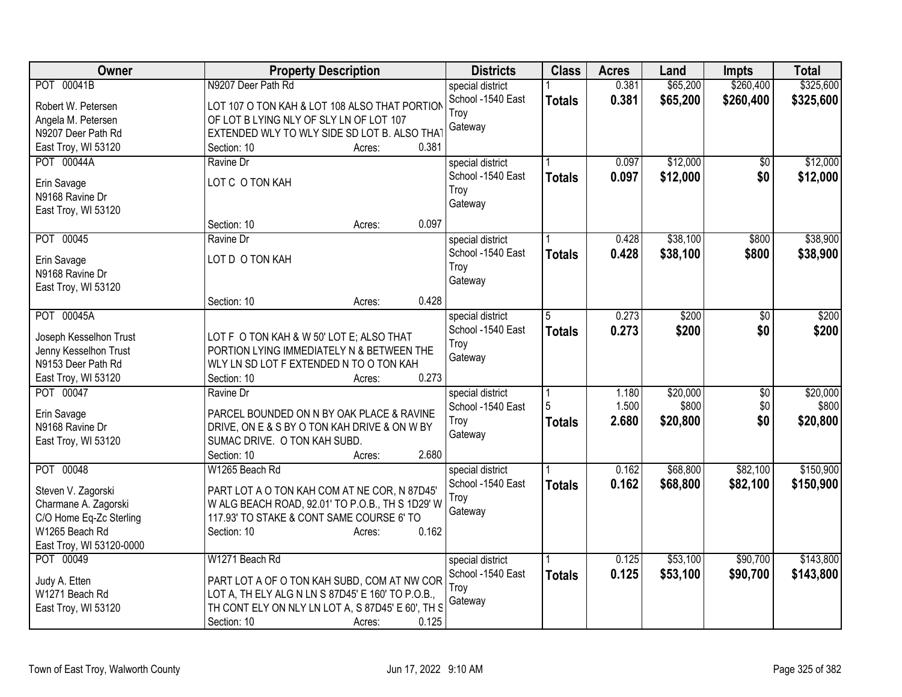| Owner                          | <b>Property Description</b>                       | <b>Districts</b>  | <b>Class</b>  | <b>Acres</b> | Land     | <b>Impts</b>    | <b>Total</b> |
|--------------------------------|---------------------------------------------------|-------------------|---------------|--------------|----------|-----------------|--------------|
| POT 00041B                     | N9207 Deer Path Rd                                | special district  |               | 0.381        | \$65,200 | \$260,400       | \$325,600    |
| Robert W. Petersen             | LOT 107 O TON KAH & LOT 108 ALSO THAT PORTION     | School -1540 East | <b>Totals</b> | 0.381        | \$65,200 | \$260,400       | \$325,600    |
| Angela M. Petersen             | OF LOT B LYING NLY OF SLY LN OF LOT 107           | Troy              |               |              |          |                 |              |
| N9207 Deer Path Rd             | EXTENDED WLY TO WLY SIDE SD LOT B. ALSO THAT      | Gateway           |               |              |          |                 |              |
| East Troy, WI 53120            | 0.381<br>Section: 10<br>Acres:                    |                   |               |              |          |                 |              |
| POT 00044A                     | Ravine Dr                                         | special district  |               | 0.097        | \$12,000 | \$0             | \$12,000     |
|                                | LOT C O TON KAH                                   | School -1540 East | <b>Totals</b> | 0.097        | \$12,000 | \$0             | \$12,000     |
| Erin Savage<br>N9168 Ravine Dr |                                                   | Troy              |               |              |          |                 |              |
| East Troy, WI 53120            |                                                   | Gateway           |               |              |          |                 |              |
|                                | 0.097<br>Section: 10<br>Acres:                    |                   |               |              |          |                 |              |
| POT 00045                      | Ravine Dr                                         | special district  |               | 0.428        | \$38,100 | \$800           | \$38,900     |
|                                |                                                   | School -1540 East | <b>Totals</b> | 0.428        | \$38,100 | \$800           | \$38,900     |
| Erin Savage                    | LOT D O TON KAH                                   | Troy              |               |              |          |                 |              |
| N9168 Ravine Dr                |                                                   | Gateway           |               |              |          |                 |              |
| East Troy, WI 53120            | 0.428<br>Section: 10<br>Acres:                    |                   |               |              |          |                 |              |
| POT 00045A                     |                                                   | special district  | 5             | 0.273        | \$200    | $\overline{30}$ | \$200        |
|                                |                                                   | School -1540 East | <b>Totals</b> | 0.273        | \$200    | \$0             | \$200        |
| Joseph Kesselhon Trust         | LOT F O TON KAH & W 50' LOT E; ALSO THAT          | Troy              |               |              |          |                 |              |
| Jenny Kesselhon Trust          | PORTION LYING IMMEDIATELY N & BETWEEN THE         | Gateway           |               |              |          |                 |              |
| N9153 Deer Path Rd             | WLY LN SD LOT F EXTENDED N TO O TON KAH           |                   |               |              |          |                 |              |
| East Troy, WI 53120            | 0.273<br>Section: 10<br>Acres:                    |                   |               |              |          |                 |              |
| POT 00047                      | Ravine Dr                                         | special district  |               | 1.180        | \$20,000 | $\overline{50}$ | \$20,000     |
| Erin Savage                    | PARCEL BOUNDED ON N BY OAK PLACE & RAVINE         | School -1540 East | 5             | 1.500        | \$800    | \$0             | \$800        |
| N9168 Ravine Dr                | DRIVE, ON E & S BY O TON KAH DRIVE & ON W BY      | Troy              | <b>Totals</b> | 2.680        | \$20,800 | \$0             | \$20,800     |
| East Troy, WI 53120            | SUMAC DRIVE. O TON KAH SUBD.                      | Gateway           |               |              |          |                 |              |
|                                | 2.680<br>Section: 10<br>Acres:                    |                   |               |              |          |                 |              |
| POT 00048                      | W1265 Beach Rd                                    | special district  |               | 0.162        | \$68,800 | \$82,100        | \$150,900    |
| Steven V. Zagorski             | PART LOT A O TON KAH COM AT NE COR, N 87D45'      | School -1540 East | <b>Totals</b> | 0.162        | \$68,800 | \$82,100        | \$150,900    |
| Charmane A. Zagorski           | W ALG BEACH ROAD, 92.01' TO P.O.B., TH S 1D29' W  | Troy              |               |              |          |                 |              |
| C/O Home Eq-Zc Sterling        | 117.93' TO STAKE & CONT SAME COURSE 6' TO         | Gateway           |               |              |          |                 |              |
| W1265 Beach Rd                 | 0.162<br>Section: 10<br>Acres:                    |                   |               |              |          |                 |              |
| East Troy, WI 53120-0000       |                                                   |                   |               |              |          |                 |              |
| POT 00049                      | W1271 Beach Rd                                    | special district  |               | 0.125        | \$53,100 | \$90,700        | \$143,800    |
| Judy A. Etten                  | PART LOT A OF O TON KAH SUBD, COM AT NW COR       | School -1540 East | <b>Totals</b> | 0.125        | \$53,100 | \$90,700        | \$143,800    |
| W1271 Beach Rd                 | LOT A, TH ELY ALG N LN S 87D45' E 160' TO P.O.B., | Troy              |               |              |          |                 |              |
| East Troy, WI 53120            | TH CONT ELY ON NLY LN LOT A, S 87D45' E 60', TH S | Gateway           |               |              |          |                 |              |
|                                | 0.125<br>Section: 10<br>Acres:                    |                   |               |              |          |                 |              |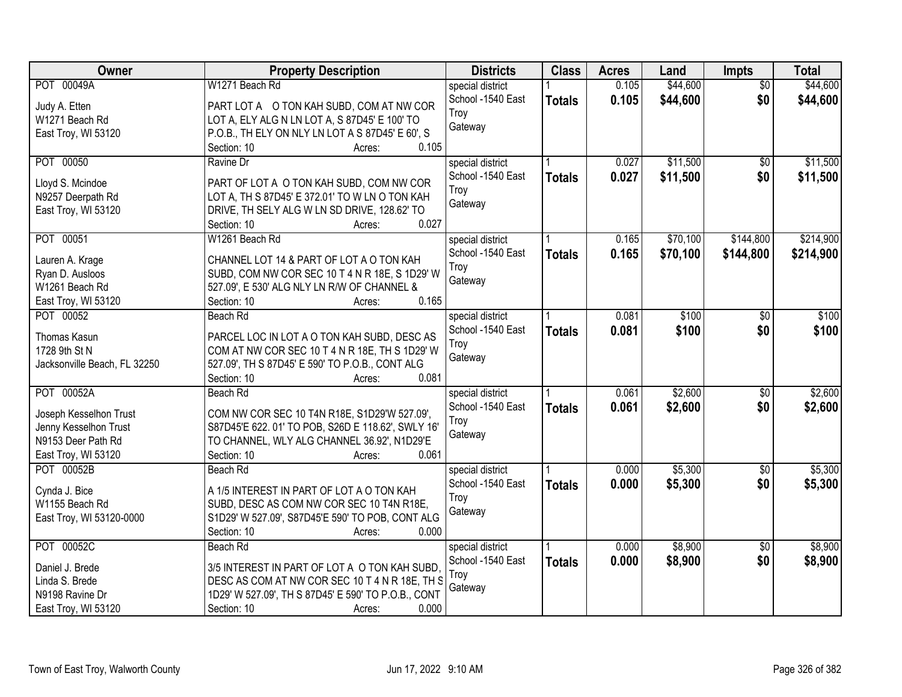| Owner                        | <b>Property Description</b>                         | <b>Districts</b>  | <b>Class</b>  | <b>Acres</b> | Land     | Impts           | <b>Total</b> |
|------------------------------|-----------------------------------------------------|-------------------|---------------|--------------|----------|-----------------|--------------|
| POT 00049A                   | W1271 Beach Rd                                      | special district  |               | 0.105        | \$44,600 | $\overline{50}$ | \$44,600     |
| Judy A. Etten                | PART LOT A O TON KAH SUBD, COM AT NW COR            | School -1540 East | <b>Totals</b> | 0.105        | \$44,600 | \$0             | \$44,600     |
| W1271 Beach Rd               | LOT A, ELY ALG N LN LOT A, S 87D45' E 100' TO       | Troy              |               |              |          |                 |              |
| East Troy, WI 53120          | P.O.B., TH ELY ON NLY LN LOT A S 87D45' E 60', S    | Gateway           |               |              |          |                 |              |
|                              | 0.105<br>Section: 10<br>Acres:                      |                   |               |              |          |                 |              |
| POT 00050                    | Ravine Dr                                           | special district  |               | 0.027        | \$11,500 | $\overline{50}$ | \$11,500     |
|                              |                                                     | School -1540 East | <b>Totals</b> | 0.027        | \$11,500 | \$0             | \$11,500     |
| Lloyd S. Mcindoe             | PART OF LOT A O TON KAH SUBD, COM NW COR            | Troy              |               |              |          |                 |              |
| N9257 Deerpath Rd            | LOT A, TH S 87D45' E 372.01' TO W LN O TON KAH      | Gateway           |               |              |          |                 |              |
| East Troy, WI 53120          | DRIVE, TH SELY ALG W LN SD DRIVE, 128.62' TO        |                   |               |              |          |                 |              |
|                              | 0.027<br>Section: 10<br>Acres:                      |                   |               |              |          |                 |              |
| POT 00051                    | W1261 Beach Rd                                      | special district  |               | 0.165        | \$70,100 | \$144,800       | \$214,900    |
| Lauren A. Krage              | CHANNEL LOT 14 & PART OF LOT A O TON KAH            | School -1540 East | <b>Totals</b> | 0.165        | \$70,100 | \$144,800       | \$214,900    |
| Ryan D. Ausloos              | SUBD, COM NW COR SEC 10 T 4 N R 18E, S 1D29' W      | Troy              |               |              |          |                 |              |
| W1261 Beach Rd               | 527.09', E 530' ALG NLY LN R/W OF CHANNEL &         | Gateway           |               |              |          |                 |              |
| East Troy, WI 53120          | 0.165<br>Section: 10<br>Acres:                      |                   |               |              |          |                 |              |
| POT 00052                    | Beach Rd                                            | special district  |               | 0.081        | \$100    | \$0             | \$100        |
|                              |                                                     | School -1540 East | <b>Totals</b> | 0.081        | \$100    | \$0             | \$100        |
| Thomas Kasun                 | PARCEL LOC IN LOT A O TON KAH SUBD, DESC AS         | Troy              |               |              |          |                 |              |
| 1728 9th St N                | COM AT NW COR SEC 10 T 4 N R 18E, TH S 1D29' W      | Gateway           |               |              |          |                 |              |
| Jacksonville Beach, FL 32250 | 527.09', TH S 87D45' E 590' TO P.O.B., CONT ALG     |                   |               |              |          |                 |              |
|                              | 0.081<br>Section: 10<br>Acres:                      |                   |               |              |          |                 |              |
| POT 00052A                   | <b>Beach Rd</b>                                     | special district  |               | 0.061        | \$2,600  | \$0             | \$2,600      |
| Joseph Kesselhon Trust       | COM NW COR SEC 10 T4N R18E, S1D29'W 527.09',        | School -1540 East | <b>Totals</b> | 0.061        | \$2,600  | \$0             | \$2,600      |
| Jenny Kesselhon Trust        | S87D45'E 622. 01' TO POB, S26D E 118.62', SWLY 16'  | Troy              |               |              |          |                 |              |
| N9153 Deer Path Rd           | TO CHANNEL, WLY ALG CHANNEL 36.92', N1D29'E         | Gateway           |               |              |          |                 |              |
| East Troy, WI 53120          | 0.061<br>Section: 10<br>Acres:                      |                   |               |              |          |                 |              |
| POT 00052B                   | Beach Rd                                            | special district  |               | 0.000        | \$5,300  | $\overline{50}$ | \$5,300      |
|                              |                                                     | School -1540 East | <b>Totals</b> | 0.000        | \$5,300  | \$0             | \$5,300      |
| Cynda J. Bice                | A 1/5 INTEREST IN PART OF LOT A O TON KAH           | Troy              |               |              |          |                 |              |
| W1155 Beach Rd               | SUBD, DESC AS COM NW COR SEC 10 T4N R18E,           | Gateway           |               |              |          |                 |              |
| East Troy, WI 53120-0000     | S1D29' W 527.09', S87D45'E 590' TO POB, CONT ALG    |                   |               |              |          |                 |              |
|                              | 0.000<br>Section: 10<br>Acres:                      |                   |               |              |          |                 |              |
| POT 00052C                   | Beach Rd                                            | special district  |               | 0.000        | \$8,900  | $\overline{50}$ | \$8,900      |
| Daniel J. Brede              | 3/5 INTEREST IN PART OF LOT A O TON KAH SUBD.       | School -1540 East | <b>Totals</b> | 0.000        | \$8,900  | \$0             | \$8,900      |
| Linda S. Brede               | DESC AS COM AT NW COR SEC 10 T 4 N R 18E, TH S      | Troy              |               |              |          |                 |              |
| N9198 Ravine Dr              | 1D29' W 527.09', TH S 87D45' E 590' TO P.O.B., CONT | Gateway           |               |              |          |                 |              |
| East Troy, WI 53120          | 0.000<br>Section: 10<br>Acres:                      |                   |               |              |          |                 |              |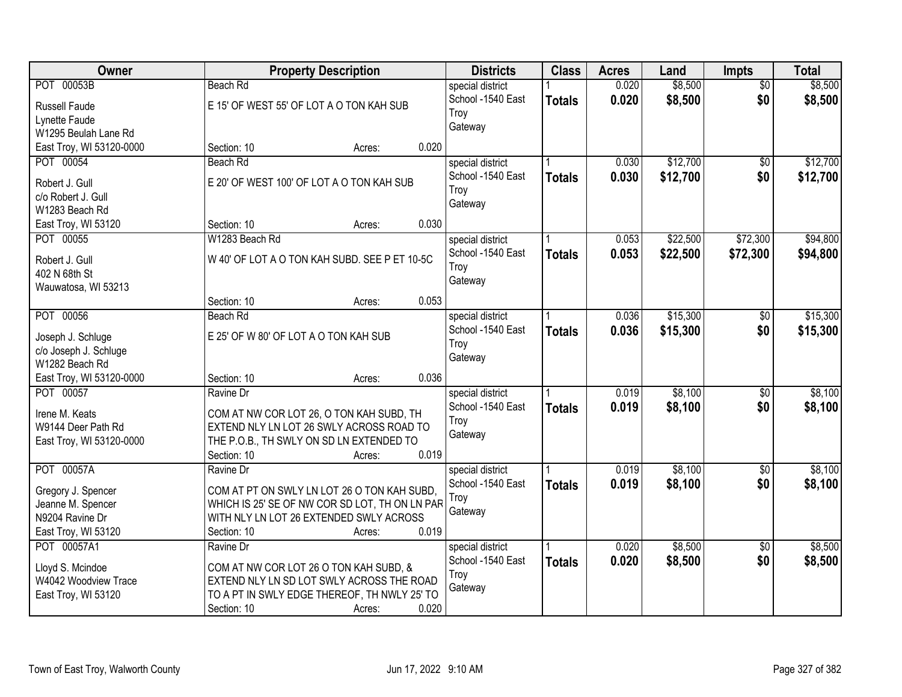| Owner                                |                                       | <b>Property Description</b>                       | <b>Districts</b>  | <b>Class</b>  | <b>Acres</b> | Land     | Impts           | <b>Total</b> |
|--------------------------------------|---------------------------------------|---------------------------------------------------|-------------------|---------------|--------------|----------|-----------------|--------------|
| POT 00053B                           | <b>Beach Rd</b>                       |                                                   | special district  |               | 0.020        | \$8,500  | $\overline{50}$ | \$8,500      |
| Russell Faude                        |                                       | E 15' OF WEST 55' OF LOT A O TON KAH SUB          | School -1540 East | <b>Totals</b> | 0.020        | \$8,500  | \$0             | \$8,500      |
| Lynette Faude                        |                                       |                                                   | Troy              |               |              |          |                 |              |
| W1295 Beulah Lane Rd                 |                                       |                                                   | Gateway           |               |              |          |                 |              |
| East Troy, WI 53120-0000             | Section: 10                           | 0.020<br>Acres:                                   |                   |               |              |          |                 |              |
| POT 00054                            | Beach Rd                              |                                                   | special district  |               | 0.030        | \$12,700 | $\overline{50}$ | \$12,700     |
|                                      |                                       | E 20' OF WEST 100' OF LOT A O TON KAH SUB         | School -1540 East | <b>Totals</b> | 0.030        | \$12,700 | \$0             | \$12,700     |
| Robert J. Gull                       |                                       |                                                   | Troy              |               |              |          |                 |              |
| c/o Robert J. Gull<br>W1283 Beach Rd |                                       |                                                   | Gateway           |               |              |          |                 |              |
| East Troy, WI 53120                  | Section: 10                           | 0.030<br>Acres:                                   |                   |               |              |          |                 |              |
| POT 00055                            | W1283 Beach Rd                        |                                                   | special district  |               | 0.053        | \$22,500 | \$72,300        | \$94,800     |
|                                      |                                       |                                                   | School -1540 East |               | 0.053        | \$22,500 | \$72,300        | \$94,800     |
| Robert J. Gull                       |                                       | W 40' OF LOT A O TON KAH SUBD. SEE P ET 10-5C     | Troy              | <b>Totals</b> |              |          |                 |              |
| 402 N 68th St                        |                                       |                                                   | Gateway           |               |              |          |                 |              |
| Wauwatosa, WI 53213                  |                                       |                                                   |                   |               |              |          |                 |              |
|                                      | Section: 10                           | 0.053<br>Acres:                                   |                   |               |              |          |                 |              |
| POT 00056                            | Beach Rd                              |                                                   | special district  |               | 0.036        | \$15,300 | \$0             | \$15,300     |
| Joseph J. Schluge                    | E 25' OF W 80' OF LOT A O TON KAH SUB |                                                   | School -1540 East | <b>Totals</b> | 0.036        | \$15,300 | \$0             | \$15,300     |
| c/o Joseph J. Schluge                |                                       |                                                   | Troy              |               |              |          |                 |              |
| W1282 Beach Rd                       |                                       |                                                   | Gateway           |               |              |          |                 |              |
| East Troy, WI 53120-0000             | Section: 10                           | 0.036<br>Acres:                                   |                   |               |              |          |                 |              |
| POT 00057                            | Ravine Dr                             |                                                   | special district  |               | 0.019        | \$8,100  | $\overline{50}$ | \$8,100      |
|                                      |                                       |                                                   | School -1540 East | <b>Totals</b> | 0.019        | \$8,100  | \$0             | \$8,100      |
| Irene M. Keats                       |                                       | COM AT NW COR LOT 26, O TON KAH SUBD, TH          | Troy              |               |              |          |                 |              |
| W9144 Deer Path Rd                   |                                       | EXTEND NLY LN LOT 26 SWLY ACROSS ROAD TO          | Gateway           |               |              |          |                 |              |
| East Troy, WI 53120-0000             | Section: 10                           | THE P.O.B., TH SWLY ON SD LN EXTENDED TO<br>0.019 |                   |               |              |          |                 |              |
| POT 00057A                           | Ravine Dr                             | Acres:                                            | special district  |               | 0.019        | \$8,100  | $\overline{60}$ | \$8,100      |
|                                      |                                       |                                                   | School -1540 East |               | 0.019        | \$8,100  | \$0             | \$8,100      |
| Gregory J. Spencer                   |                                       | COM AT PT ON SWLY LN LOT 26 O TON KAH SUBD,       | Troy              | <b>Totals</b> |              |          |                 |              |
| Jeanne M. Spencer                    |                                       | WHICH IS 25' SE OF NW COR SD LOT, TH ON LN PAR    | Gateway           |               |              |          |                 |              |
| N9204 Ravine Dr                      |                                       | WITH NLY LN LOT 26 EXTENDED SWLY ACROSS           |                   |               |              |          |                 |              |
| East Troy, WI 53120                  | Section: 10                           | 0.019<br>Acres:                                   |                   |               |              |          |                 |              |
| POT 00057A1                          | Ravine Dr                             |                                                   | special district  |               | 0.020        | \$8,500  | $\overline{50}$ | \$8,500      |
| Lloyd S. Mcindoe                     |                                       | COM AT NW COR LOT 26 O TON KAH SUBD, &            | School -1540 East | <b>Totals</b> | 0.020        | \$8,500  | \$0             | \$8,500      |
| W4042 Woodview Trace                 |                                       | EXTEND NLY LN SD LOT SWLY ACROSS THE ROAD         | Troy              |               |              |          |                 |              |
| East Troy, WI 53120                  |                                       | TO A PT IN SWLY EDGE THEREOF, TH NWLY 25' TO      | Gateway           |               |              |          |                 |              |
|                                      | Section: 10                           | 0.020<br>Acres:                                   |                   |               |              |          |                 |              |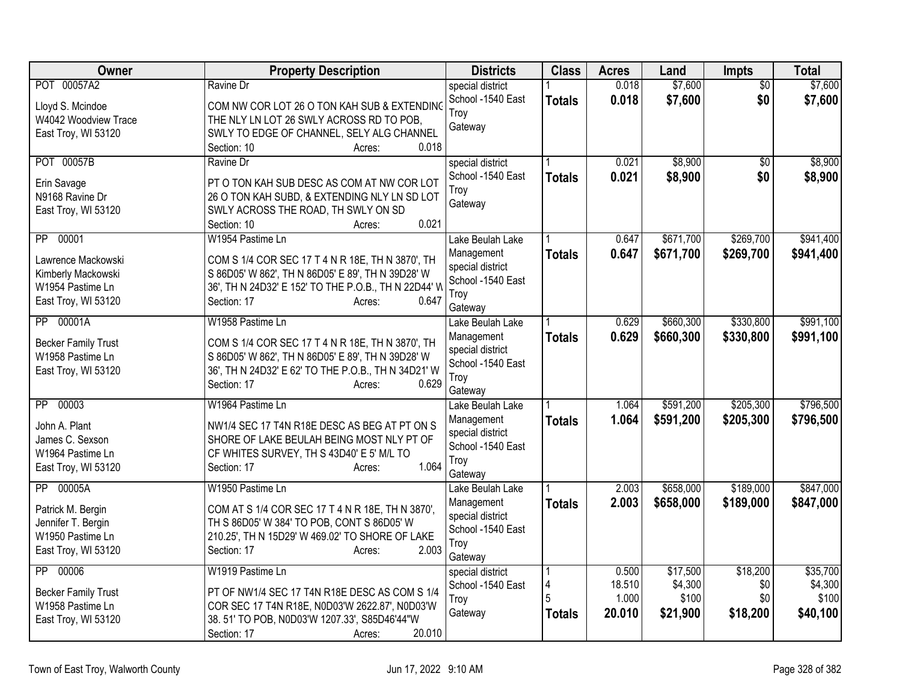| <b>Owner</b>                                                                                            | <b>Property Description</b>                                                                                                                                                                                         | <b>Districts</b>                                                                           | <b>Class</b>       | <b>Acres</b>                       | Land                                     | Impts                              | <b>Total</b>                             |
|---------------------------------------------------------------------------------------------------------|---------------------------------------------------------------------------------------------------------------------------------------------------------------------------------------------------------------------|--------------------------------------------------------------------------------------------|--------------------|------------------------------------|------------------------------------------|------------------------------------|------------------------------------------|
| POT 00057A2<br>Lloyd S. Mcindoe<br>W4042 Woodview Trace<br>East Troy, WI 53120                          | Ravine Dr<br>COM NW COR LOT 26 O TON KAH SUB & EXTENDING<br>THE NLY LN LOT 26 SWLY ACROSS RD TO POB,<br>SWLY TO EDGE OF CHANNEL, SELY ALG CHANNEL<br>0.018<br>Section: 10<br>Acres:                                 | special district<br>School -1540 East<br>Troy<br>Gateway                                   | <b>Totals</b>      | 0.018<br>0.018                     | \$7,600<br>\$7,600                       | \$0<br>\$0                         | \$7,600<br>\$7,600                       |
| POT 00057B<br>Erin Savage<br>N9168 Ravine Dr<br>East Troy, WI 53120                                     | Ravine Dr<br>PT O TON KAH SUB DESC AS COM AT NW COR LOT<br>26 O TON KAH SUBD, & EXTENDING NLY LN SD LOT<br>SWLY ACROSS THE ROAD, TH SWLY ON SD<br>0.021<br>Section: 10<br>Acres:                                    | special district<br>School -1540 East<br>Troy<br>Gateway                                   | <b>Totals</b>      | 0.021<br>0.021                     | \$8,900<br>\$8,900                       | $\overline{50}$<br>\$0             | \$8,900<br>\$8,900                       |
| 00001<br>PP<br>Lawrence Mackowski<br>Kimberly Mackowski<br>W1954 Pastime Ln<br>East Troy, WI 53120      | W1954 Pastime Ln<br>COM S 1/4 COR SEC 17 T 4 N R 18E, TH N 3870', TH<br>S 86D05' W 862', TH N 86D05' E 89', TH N 39D28' W<br>36', TH N 24D32' E 152' TO THE P.O.B., TH N 22D44' W<br>Section: 17<br>0.647<br>Acres: | Lake Beulah Lake<br>Management<br>special district<br>School -1540 East<br>Troy<br>Gateway | <b>Totals</b>      | 0.647<br>0.647                     | \$671,700<br>\$671,700                   | \$269,700<br>\$269,700             | \$941,400<br>\$941,400                   |
| 00001A<br>$\overline{PP}$<br><b>Becker Family Trust</b><br>W1958 Pastime Ln<br>East Troy, WI 53120      | W1958 Pastime Ln<br>COM S 1/4 COR SEC 17 T 4 N R 18E, TH N 3870', TH<br>S 86D05' W 862', TH N 86D05' E 89', TH N 39D28' W<br>36', TH N 24D32' E 62' TO THE P.O.B., TH N 34D21' W<br>0.629<br>Section: 17<br>Acres:  | Lake Beulah Lake<br>Management<br>special district<br>School -1540 East<br>Troy<br>Gateway | <b>Totals</b>      | 0.629<br>0.629                     | \$660,300<br>\$660,300                   | \$330,800<br>\$330,800             | \$991,100<br>\$991,100                   |
| 00003<br>$\overline{PP}$<br>John A. Plant<br>James C. Sexson<br>W1964 Pastime Ln<br>East Troy, WI 53120 | W1964 Pastime Ln<br>NW1/4 SEC 17 T4N R18E DESC AS BEG AT PT ON S<br>SHORE OF LAKE BEULAH BEING MOST NLY PT OF<br>CF WHITES SURVEY, TH S 43D40' E 5' M/L TO<br>1.064<br>Section: 17<br>Acres:                        | Lake Beulah Lake<br>Management<br>special district<br>School -1540 East<br>Troy<br>Gateway | <b>Totals</b>      | 1.064<br>1.064                     | \$591,200<br>\$591,200                   | \$205,300<br>\$205,300             | \$796,500<br>\$796,500                   |
| PP 00005A<br>Patrick M. Bergin<br>Jennifer T. Bergin<br>W1950 Pastime Ln<br>East Troy, WI 53120         | W1950 Pastime Ln<br>COM AT S 1/4 COR SEC 17 T 4 N R 18E, TH N 3870',<br>TH S 86D05' W 384' TO POB, CONT S 86D05' W<br>210.25', TH N 15D29' W 469.02' TO SHORE OF LAKE<br>2.003<br>Section: 17<br>Acres:             | Lake Beulah Lake<br>Management<br>special district<br>School -1540 East<br>Troy<br>Gateway | <b>Totals</b>      | 2.003<br>2.003                     | \$658,000<br>\$658,000                   | \$189,000<br>\$189,000             | \$847,000<br>\$847,000                   |
| 00006<br>$\overline{PP}$<br><b>Becker Family Trust</b><br>W1958 Pastime Ln<br>East Troy, WI 53120       | W1919 Pastime Ln<br>PT OF NW1/4 SEC 17 T4N R18E DESC AS COM S 1/4<br>COR SEC 17 T4N R18E, N0D03'W 2622.87', N0D03'W<br>38.51' TO POB, N0D03'W 1207.33', S85D46'44"W<br>20.010<br>Section: 17<br>Acres:              | special district<br>School -1540 East<br>Troy<br>Gateway                                   | 4<br><b>Totals</b> | 0.500<br>18.510<br>1.000<br>20.010 | \$17,500<br>\$4,300<br>\$100<br>\$21,900 | \$18,200<br>\$0<br>\$0<br>\$18,200 | \$35,700<br>\$4,300<br>\$100<br>\$40,100 |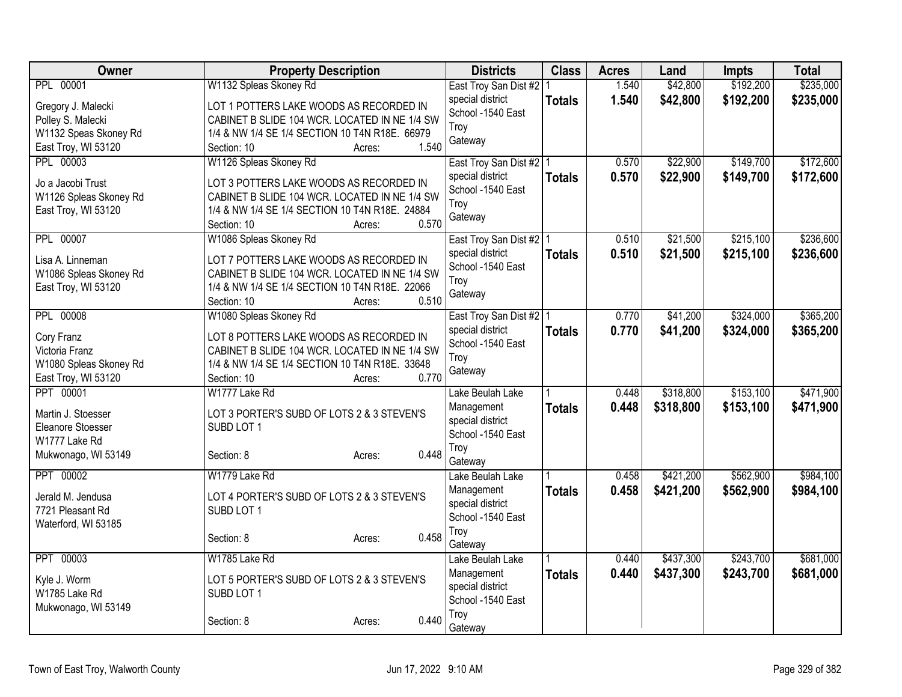| Owner                                   | <b>Property Description</b>                                                              | <b>Districts</b>                      | <b>Class</b>  | <b>Acres</b> | Land      | <b>Impts</b> | <b>Total</b> |
|-----------------------------------------|------------------------------------------------------------------------------------------|---------------------------------------|---------------|--------------|-----------|--------------|--------------|
| <b>PPL 00001</b>                        | W1132 Spleas Skoney Rd                                                                   | East Troy San Dist #2 1               |               | 1.540        | \$42,800  | \$192,200    | \$235,000    |
| Gregory J. Malecki                      | LOT 1 POTTERS LAKE WOODS AS RECORDED IN                                                  | special district                      | <b>Totals</b> | 1.540        | \$42,800  | \$192,200    | \$235,000    |
| Polley S. Malecki                       | CABINET B SLIDE 104 WCR. LOCATED IN NE 1/4 SW                                            | School -1540 East                     |               |              |           |              |              |
| W1132 Speas Skoney Rd                   | 1/4 & NW 1/4 SE 1/4 SECTION 10 T4N R18E. 66979                                           | Troy                                  |               |              |           |              |              |
| East Troy, WI 53120                     | 1.540<br>Section: 10<br>Acres:                                                           | Gateway                               |               |              |           |              |              |
| <b>PPL 00003</b>                        | W1126 Spleas Skoney Rd                                                                   | East Troy San Dist #2   1             |               | 0.570        | \$22,900  | \$149,700    | \$172,600    |
| Jo a Jacobi Trust                       | LOT 3 POTTERS LAKE WOODS AS RECORDED IN                                                  | special district                      | <b>Totals</b> | 0.570        | \$22,900  | \$149,700    | \$172,600    |
| W1126 Spleas Skoney Rd                  | CABINET B SLIDE 104 WCR. LOCATED IN NE 1/4 SW                                            | School -1540 East                     |               |              |           |              |              |
| East Troy, WI 53120                     | 1/4 & NW 1/4 SE 1/4 SECTION 10 T4N R18E. 24884                                           | Troy                                  |               |              |           |              |              |
|                                         | 0.570<br>Section: 10<br>Acres:                                                           | Gateway                               |               |              |           |              |              |
| PPL 00007                               | W1086 Spleas Skoney Rd                                                                   | East Troy San Dist #2   1             |               | 0.510        | \$21,500  | \$215,100    | \$236,600    |
| Lisa A. Linneman                        | LOT 7 POTTERS LAKE WOODS AS RECORDED IN                                                  | special district                      | <b>Totals</b> | 0.510        | \$21,500  | \$215,100    | \$236,600    |
| W1086 Spleas Skoney Rd                  | CABINET B SLIDE 104 WCR. LOCATED IN NE 1/4 SW                                            | School -1540 East                     |               |              |           |              |              |
| East Troy, WI 53120                     | 1/4 & NW 1/4 SE 1/4 SECTION 10 T4N R18E. 22066                                           | Troy                                  |               |              |           |              |              |
|                                         | 0.510<br>Section: 10<br>Acres:                                                           | Gateway                               |               |              |           |              |              |
| <b>PPL 00008</b>                        | W1080 Spleas Skoney Rd                                                                   | East Troy San Dist #2   1             |               | 0.770        | \$41,200  | \$324,000    | \$365,200    |
|                                         |                                                                                          | special district                      | <b>Totals</b> | 0.770        | \$41,200  | \$324,000    | \$365,200    |
| Cory Franz<br>Victoria Franz            | LOT 8 POTTERS LAKE WOODS AS RECORDED IN<br>CABINET B SLIDE 104 WCR. LOCATED IN NE 1/4 SW | School -1540 East                     |               |              |           |              |              |
| W1080 Spleas Skoney Rd                  | 1/4 & NW 1/4 SE 1/4 SECTION 10 T4N R18E. 33648                                           | Troy                                  |               |              |           |              |              |
| East Troy, WI 53120                     | 0.770<br>Section: 10<br>Acres:                                                           | Gateway                               |               |              |           |              |              |
| PPT 00001                               | W1777 Lake Rd                                                                            | Lake Beulah Lake                      |               | 0.448        | \$318,800 | \$153,100    | \$471,900    |
|                                         |                                                                                          | Management                            | <b>Totals</b> | 0.448        | \$318,800 | \$153,100    | \$471,900    |
| Martin J. Stoesser<br>Eleanore Stoesser | LOT 3 PORTER'S SUBD OF LOTS 2 & 3 STEVEN'S<br>SUBD LOT 1                                 | special district                      |               |              |           |              |              |
| W1777 Lake Rd                           |                                                                                          | School -1540 East                     |               |              |           |              |              |
| Mukwonago, WI 53149                     | 0.448<br>Section: 8<br>Acres:                                                            | Troy                                  |               |              |           |              |              |
|                                         |                                                                                          | Gateway                               |               |              |           |              |              |
| PPT 00002                               | W1779 Lake Rd                                                                            | Lake Beulah Lake                      |               | 0.458        | \$421,200 | \$562,900    | \$984,100    |
| Jerald M. Jendusa                       | LOT 4 PORTER'S SUBD OF LOTS 2 & 3 STEVEN'S                                               | Management                            | <b>Totals</b> | 0.458        | \$421,200 | \$562,900    | \$984,100    |
| 7721 Pleasant Rd                        | SUBD LOT 1                                                                               | special district<br>School -1540 East |               |              |           |              |              |
| Waterford, WI 53185                     |                                                                                          | Troy                                  |               |              |           |              |              |
|                                         | 0.458<br>Section: 8<br>Acres:                                                            | Gateway                               |               |              |           |              |              |
| PPT 00003                               | W1785 Lake Rd                                                                            | Lake Beulah Lake                      |               | 0.440        | \$437,300 | \$243,700    | \$681,000    |
| Kyle J. Worm                            | LOT 5 PORTER'S SUBD OF LOTS 2 & 3 STEVEN'S                                               | Management                            | <b>Totals</b> | 0.440        | \$437,300 | \$243,700    | \$681,000    |
| W1785 Lake Rd                           | SUBD LOT 1                                                                               | special district                      |               |              |           |              |              |
| Mukwonago, WI 53149                     |                                                                                          | School -1540 East                     |               |              |           |              |              |
|                                         | 0.440<br>Section: 8<br>Acres:                                                            | Troy                                  |               |              |           |              |              |
|                                         |                                                                                          | Gateway                               |               |              |           |              |              |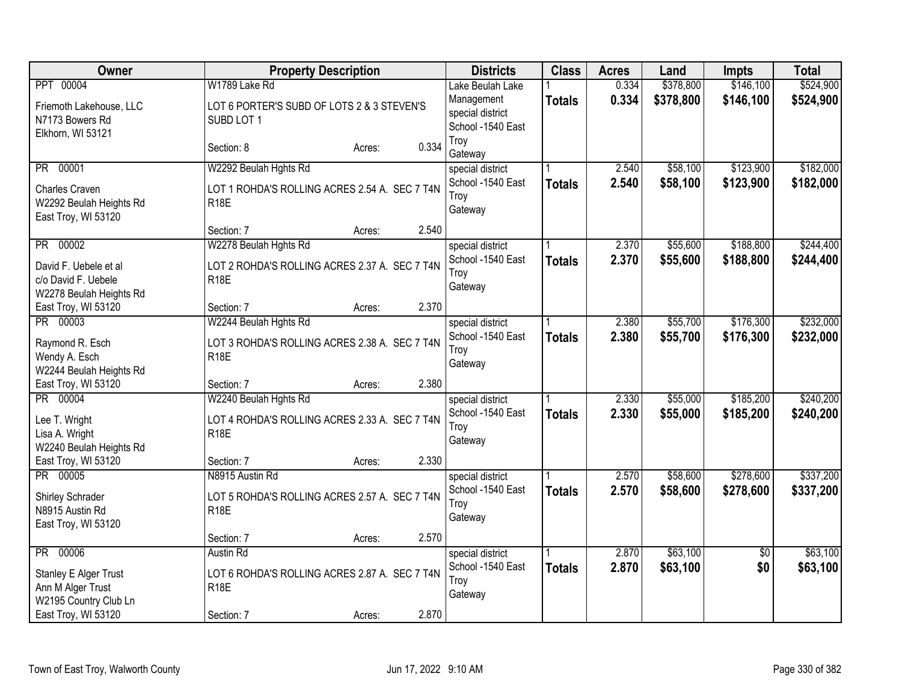| Owner                                                                   | <b>Property Description</b>                                  | <b>Districts</b>                                    | <b>Class</b>  | <b>Acres</b>   | Land                 | <b>Impts</b>           | <b>Total</b> |
|-------------------------------------------------------------------------|--------------------------------------------------------------|-----------------------------------------------------|---------------|----------------|----------------------|------------------------|--------------|
| PPT 00004                                                               | W1789 Lake Rd                                                | Lake Beulah Lake                                    |               | 0.334          | \$378,800            | \$146,100              | \$524,900    |
| Friemoth Lakehouse, LLC<br>N7173 Bowers Rd<br>Elkhorn, WI 53121         | LOT 6 PORTER'S SUBD OF LOTS 2 & 3 STEVEN'S<br>SUBD LOT 1     | Management<br>special district<br>School -1540 East | <b>Totals</b> | 0.334          | \$378,800            | \$146,100              | \$524,900    |
|                                                                         | Section: 8<br>Acres:                                         | Troy<br>0.334<br>Gateway                            |               |                |                      |                        |              |
| PR 00001                                                                | W2292 Beulah Hghts Rd                                        | special district                                    |               | 2.540          | \$58,100             | \$123,900              | \$182,000    |
| Charles Craven<br>W2292 Beulah Heights Rd<br>East Troy, WI 53120        | LOT 1 ROHDA'S ROLLING ACRES 2.54 A. SEC 7 T4N<br><b>R18E</b> | School -1540 East<br>Troy<br>Gateway                | <b>Totals</b> | 2.540          | \$58,100             | \$123,900              | \$182,000    |
|                                                                         | Section: 7<br>Acres:                                         | 2.540                                               |               |                |                      |                        |              |
| PR 00002                                                                | W2278 Beulah Hghts Rd                                        | special district                                    |               | 2.370          | \$55,600             | \$188,800              | \$244,400    |
| David F. Uebele et al<br>c/o David F. Uebele<br>W2278 Beulah Heights Rd | LOT 2 ROHDA'S ROLLING ACRES 2.37 A. SEC 7 T4N<br><b>R18E</b> | School -1540 East<br>Troy<br>Gateway                | <b>Totals</b> | 2.370          | \$55,600             | \$188,800              | \$244,400    |
| East Troy, WI 53120                                                     | Section: 7<br>Acres:                                         | 2.370                                               |               |                |                      |                        |              |
| PR 00003                                                                | W2244 Beulah Hghts Rd                                        | special district                                    |               | 2.380          | \$55,700             | \$176,300              | \$232,000    |
| Raymond R. Esch<br>Wendy A. Esch<br>W2244 Beulah Heights Rd             | LOT 3 ROHDA'S ROLLING ACRES 2.38 A. SEC 7 T4N<br><b>R18E</b> | School -1540 East<br>Troy<br>Gateway                | <b>Totals</b> | 2.380          | \$55,700             | \$176,300              | \$232,000    |
| East Troy, WI 53120                                                     | Section: 7<br>Acres:                                         | 2.380                                               |               |                |                      |                        |              |
| PR 00004                                                                | W2240 Beulah Hghts Rd                                        | special district<br>School -1540 East               |               | 2.330<br>2.330 | \$55,000<br>\$55,000 | \$185,200<br>\$185,200 | \$240,200    |
| Lee T. Wright<br>Lisa A. Wright<br>W2240 Beulah Heights Rd              | LOT 4 ROHDA'S ROLLING ACRES 2.33 A. SEC 7 T4N<br><b>R18E</b> | Trov<br>Gateway                                     | <b>Totals</b> |                |                      |                        | \$240,200    |
| East Troy, WI 53120                                                     | Section: 7<br>Acres:                                         | 2.330                                               |               |                |                      |                        |              |
| PR 00005                                                                | N8915 Austin Rd                                              | special district                                    |               | 2.570          | \$58,600             | \$278,600              | \$337,200    |
| Shirley Schrader<br>N8915 Austin Rd<br>East Troy, WI 53120              | LOT 5 ROHDA'S ROLLING ACRES 2.57 A. SEC 7 T4N<br><b>R18E</b> | School -1540 East<br>Troy<br>Gateway                | <b>Totals</b> | 2.570          | \$58,600             | \$278,600              | \$337,200    |
|                                                                         | Section: 7<br>Acres:                                         | 2.570                                               |               |                |                      |                        |              |
| PR 00006                                                                | Austin Rd                                                    | special district                                    |               | 2.870          | \$63,100             | \$0                    | \$63,100     |
| Stanley E Alger Trust<br>Ann M Alger Trust<br>W2195 Country Club Ln     | LOT 6 ROHDA'S ROLLING ACRES 2.87 A. SEC 7 T4N<br><b>R18E</b> | School -1540 East<br>Troy<br>Gateway                | <b>Totals</b> | 2.870          | \$63,100             | \$0                    | \$63,100     |
| East Troy, WI 53120                                                     | Section: 7<br>Acres:                                         | 2.870                                               |               |                |                      |                        |              |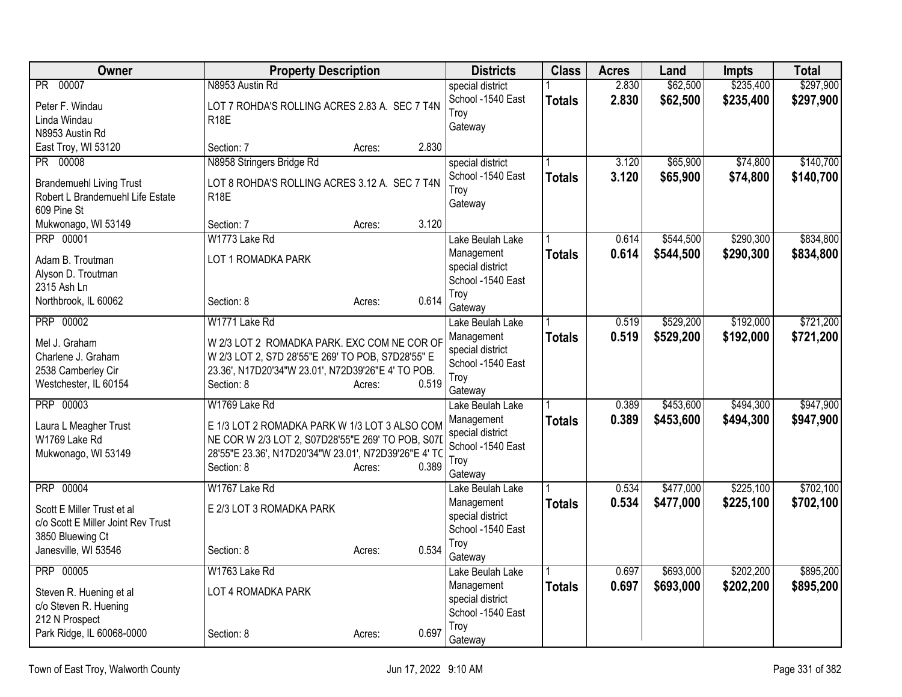| special district<br>School -1540 East<br>2.830<br>\$62,500<br>\$235,400<br><b>Totals</b><br>LOT 7 ROHDA'S ROLLING ACRES 2.83 A. SEC 7 T4N<br>Peter F. Windau<br>Troy<br><b>R18E</b><br>Linda Windau<br>Gateway<br>N8953 Austin Rd<br>2.830<br>East Troy, WI 53120<br>Section: 7<br>Acres:<br>PR 00008<br>N8958 Stringers Bridge Rd<br>\$65,900<br>\$74,800<br>special district<br>3.120<br>3.120<br>School -1540 East<br>\$65,900<br>\$74,800<br><b>Totals</b><br>LOT 8 ROHDA'S ROLLING ACRES 3.12 A. SEC 7 T4N<br><b>Brandemuehl Living Trust</b><br>Troy<br>Robert L Brandemuehl Life Estate<br><b>R18E</b><br>Gateway<br>609 Pine St<br>3.120<br>Mukwonago, WI 53149<br>Section: 7<br>Acres:<br>PRP 00001<br>\$290,300<br>W1773 Lake Rd<br>\$544,500<br>Lake Beulah Lake<br>0.614<br>Management<br>0.614<br>\$544,500<br>\$290,300<br><b>Totals</b><br>LOT 1 ROMADKA PARK<br>Adam B. Troutman<br>special district<br>Alyson D. Troutman<br>School -1540 East<br>2315 Ash Ln<br>Troy<br>0.614<br>Northbrook, IL 60062<br>Section: 8<br>Acres:<br>Gateway<br>PRP 00002<br>\$529,200<br>\$192,000<br>W1771 Lake Rd<br>0.519<br>Lake Beulah Lake<br>0.519<br>\$529,200<br>\$192,000<br>Management<br><b>Totals</b><br>W 2/3 LOT 2 ROMADKA PARK. EXC COM NE COR OF<br>Mel J. Graham<br>special district<br>W 2/3 LOT 2, S7D 28'55"E 269' TO POB, S7D28'55" E<br>Charlene J. Graham<br>School -1540 East<br>2538 Camberley Cir<br>23.36', N17D20'34"W 23.01', N72D39'26"E 4' TO POB.<br>Troy<br>0.519<br>Westchester, IL 60154<br>Section: 8<br>Acres:<br>Gateway<br>PRP 00003<br>\$453,600<br>\$494,300<br>W1769 Lake Rd<br>0.389<br>Lake Beulah Lake<br>0.389<br>\$453,600<br>\$494,300<br>Management<br><b>Totals</b><br>E 1/3 LOT 2 ROMADKA PARK W 1/3 LOT 3 ALSO COM<br>Laura L Meagher Trust<br>special district<br>W1769 Lake Rd<br>NE COR W 2/3 LOT 2, S07D28'55"E 269' TO POB, S07D<br>School -1540 East<br>28'55"E 23.36', N17D20'34"W 23.01', N72D39'26"E 4' TC<br>Mukwonago, WI 53149<br>Troy<br>0.389<br>Section: 8<br>Acres:<br>Gateway<br>\$225,100<br><b>PRP 00004</b><br>W1767 Lake Rd<br>0.534<br>\$477,000<br>Lake Beulah Lake<br>0.534<br>Management<br>\$477,000<br>\$225,100<br><b>Totals</b><br>E 2/3 LOT 3 ROMADKA PARK<br>Scott E Miller Trust et al<br>special district<br>c/o Scott E Miller Joint Rev Trust<br>School -1540 East<br>3850 Bluewing Ct<br>Troy<br>0.534<br>Janesville, WI 53546<br>Section: 8<br>Acres:<br>Gateway<br>\$202,200<br>PRP 00005<br>\$693,000<br>W1763 Lake Rd<br>0.697<br>Lake Beulah Lake<br>0.697<br>\$693,000<br>\$202,200<br>Management<br><b>Totals</b><br>LOT 4 ROMADKA PARK<br>Steven R. Huening et al<br>special district<br>c/o Steven R. Huening | Owner          | <b>Property Description</b> | <b>Districts</b>  | <b>Class</b> | <b>Acres</b> | Land     | <b>Impts</b> | <b>Total</b>           |
|----------------------------------------------------------------------------------------------------------------------------------------------------------------------------------------------------------------------------------------------------------------------------------------------------------------------------------------------------------------------------------------------------------------------------------------------------------------------------------------------------------------------------------------------------------------------------------------------------------------------------------------------------------------------------------------------------------------------------------------------------------------------------------------------------------------------------------------------------------------------------------------------------------------------------------------------------------------------------------------------------------------------------------------------------------------------------------------------------------------------------------------------------------------------------------------------------------------------------------------------------------------------------------------------------------------------------------------------------------------------------------------------------------------------------------------------------------------------------------------------------------------------------------------------------------------------------------------------------------------------------------------------------------------------------------------------------------------------------------------------------------------------------------------------------------------------------------------------------------------------------------------------------------------------------------------------------------------------------------------------------------------------------------------------------------------------------------------------------------------------------------------------------------------------------------------------------------------------------------------------------------------------------------------------------------------------------------------------------------------------------------------------------------------------------------------------------------------------------------------------------------------------------------------------------------------------------------------------------------------------------------------------------------------------------------------------------------------|----------------|-----------------------------|-------------------|--------------|--------------|----------|--------------|------------------------|
|                                                                                                                                                                                                                                                                                                                                                                                                                                                                                                                                                                                                                                                                                                                                                                                                                                                                                                                                                                                                                                                                                                                                                                                                                                                                                                                                                                                                                                                                                                                                                                                                                                                                                                                                                                                                                                                                                                                                                                                                                                                                                                                                                                                                                                                                                                                                                                                                                                                                                                                                                                                                                                                                                                                | PR 00007       | N8953 Austin Rd             |                   |              | 2.830        | \$62,500 | \$235,400    | \$297,900<br>\$297,900 |
|                                                                                                                                                                                                                                                                                                                                                                                                                                                                                                                                                                                                                                                                                                                                                                                                                                                                                                                                                                                                                                                                                                                                                                                                                                                                                                                                                                                                                                                                                                                                                                                                                                                                                                                                                                                                                                                                                                                                                                                                                                                                                                                                                                                                                                                                                                                                                                                                                                                                                                                                                                                                                                                                                                                |                |                             |                   |              |              |          |              |                        |
|                                                                                                                                                                                                                                                                                                                                                                                                                                                                                                                                                                                                                                                                                                                                                                                                                                                                                                                                                                                                                                                                                                                                                                                                                                                                                                                                                                                                                                                                                                                                                                                                                                                                                                                                                                                                                                                                                                                                                                                                                                                                                                                                                                                                                                                                                                                                                                                                                                                                                                                                                                                                                                                                                                                |                |                             |                   |              |              |          |              |                        |
|                                                                                                                                                                                                                                                                                                                                                                                                                                                                                                                                                                                                                                                                                                                                                                                                                                                                                                                                                                                                                                                                                                                                                                                                                                                                                                                                                                                                                                                                                                                                                                                                                                                                                                                                                                                                                                                                                                                                                                                                                                                                                                                                                                                                                                                                                                                                                                                                                                                                                                                                                                                                                                                                                                                |                |                             |                   |              |              |          |              | \$140,700              |
|                                                                                                                                                                                                                                                                                                                                                                                                                                                                                                                                                                                                                                                                                                                                                                                                                                                                                                                                                                                                                                                                                                                                                                                                                                                                                                                                                                                                                                                                                                                                                                                                                                                                                                                                                                                                                                                                                                                                                                                                                                                                                                                                                                                                                                                                                                                                                                                                                                                                                                                                                                                                                                                                                                                |                |                             |                   |              |              |          |              | \$140,700              |
|                                                                                                                                                                                                                                                                                                                                                                                                                                                                                                                                                                                                                                                                                                                                                                                                                                                                                                                                                                                                                                                                                                                                                                                                                                                                                                                                                                                                                                                                                                                                                                                                                                                                                                                                                                                                                                                                                                                                                                                                                                                                                                                                                                                                                                                                                                                                                                                                                                                                                                                                                                                                                                                                                                                |                |                             |                   |              |              |          |              |                        |
|                                                                                                                                                                                                                                                                                                                                                                                                                                                                                                                                                                                                                                                                                                                                                                                                                                                                                                                                                                                                                                                                                                                                                                                                                                                                                                                                                                                                                                                                                                                                                                                                                                                                                                                                                                                                                                                                                                                                                                                                                                                                                                                                                                                                                                                                                                                                                                                                                                                                                                                                                                                                                                                                                                                |                |                             |                   |              |              |          |              | \$834,800<br>\$834,800 |
|                                                                                                                                                                                                                                                                                                                                                                                                                                                                                                                                                                                                                                                                                                                                                                                                                                                                                                                                                                                                                                                                                                                                                                                                                                                                                                                                                                                                                                                                                                                                                                                                                                                                                                                                                                                                                                                                                                                                                                                                                                                                                                                                                                                                                                                                                                                                                                                                                                                                                                                                                                                                                                                                                                                |                |                             |                   |              |              |          |              |                        |
|                                                                                                                                                                                                                                                                                                                                                                                                                                                                                                                                                                                                                                                                                                                                                                                                                                                                                                                                                                                                                                                                                                                                                                                                                                                                                                                                                                                                                                                                                                                                                                                                                                                                                                                                                                                                                                                                                                                                                                                                                                                                                                                                                                                                                                                                                                                                                                                                                                                                                                                                                                                                                                                                                                                |                |                             |                   |              |              |          |              | \$721,200<br>\$721,200 |
|                                                                                                                                                                                                                                                                                                                                                                                                                                                                                                                                                                                                                                                                                                                                                                                                                                                                                                                                                                                                                                                                                                                                                                                                                                                                                                                                                                                                                                                                                                                                                                                                                                                                                                                                                                                                                                                                                                                                                                                                                                                                                                                                                                                                                                                                                                                                                                                                                                                                                                                                                                                                                                                                                                                |                |                             |                   |              |              |          |              | \$947,900<br>\$947,900 |
|                                                                                                                                                                                                                                                                                                                                                                                                                                                                                                                                                                                                                                                                                                                                                                                                                                                                                                                                                                                                                                                                                                                                                                                                                                                                                                                                                                                                                                                                                                                                                                                                                                                                                                                                                                                                                                                                                                                                                                                                                                                                                                                                                                                                                                                                                                                                                                                                                                                                                                                                                                                                                                                                                                                |                |                             |                   |              |              |          |              | \$702,100<br>\$702,100 |
|                                                                                                                                                                                                                                                                                                                                                                                                                                                                                                                                                                                                                                                                                                                                                                                                                                                                                                                                                                                                                                                                                                                                                                                                                                                                                                                                                                                                                                                                                                                                                                                                                                                                                                                                                                                                                                                                                                                                                                                                                                                                                                                                                                                                                                                                                                                                                                                                                                                                                                                                                                                                                                                                                                                |                |                             |                   |              |              |          |              |                        |
| Troy<br>0.697<br>Park Ridge, IL 60068-0000<br>Section: 8<br>Acres:<br>Gateway                                                                                                                                                                                                                                                                                                                                                                                                                                                                                                                                                                                                                                                                                                                                                                                                                                                                                                                                                                                                                                                                                                                                                                                                                                                                                                                                                                                                                                                                                                                                                                                                                                                                                                                                                                                                                                                                                                                                                                                                                                                                                                                                                                                                                                                                                                                                                                                                                                                                                                                                                                                                                                  | 212 N Prospect |                             | School -1540 East |              |              |          |              | \$895,200<br>\$895,200 |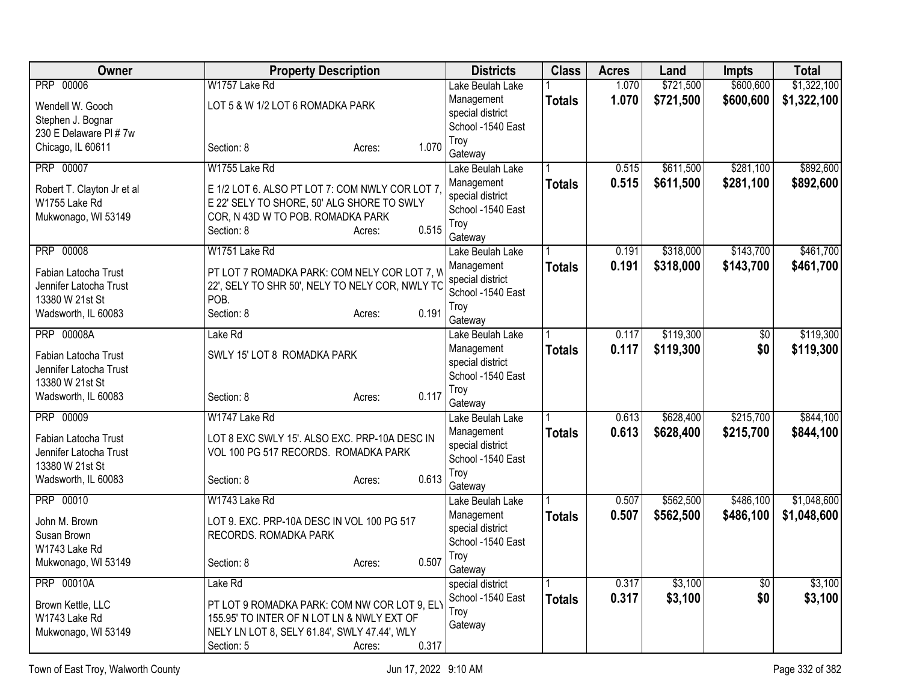| <b>PRP 00006</b><br>W1757 Lake Rd<br>1.070<br>\$721,500<br>\$600,600<br>Lake Beulah Lake<br>1.070<br>\$721,500<br>\$600,600<br>Management<br><b>Totals</b><br>LOT 5 & W 1/2 LOT 6 ROMADKA PARK<br>Wendell W. Gooch<br>special district<br>Stephen J. Bognar<br>School -1540 East<br>230 E Delaware PI # 7w<br>Troy<br>1.070<br>Chicago, IL 60611<br>Section: 8<br>Acres:<br>Gateway<br><b>PRP 00007</b><br>W1755 Lake Rd<br>\$611,500<br>\$281,100<br>0.515<br>Lake Beulah Lake<br>0.515<br>\$611,500<br>\$281,100<br>Management<br><b>Totals</b><br>E 1/2 LOT 6. ALSO PT LOT 7: COM NWLY COR LOT 7<br>Robert T. Clayton Jr et al<br>special district<br>W1755 Lake Rd<br>E 22' SELY TO SHORE, 50' ALG SHORE TO SWLY<br>School -1540 East<br>Mukwonago, WI 53149<br>COR, N 43D W TO POB. ROMADKA PARK<br>Troy<br>0.515<br>Section: 8<br>Acres:<br>Gateway<br><b>PRP 00008</b><br>W1751 Lake Rd<br>\$318,000<br>\$143,700<br>0.191<br>Lake Beulah Lake<br>0.191<br>\$318,000<br>\$143,700<br>Management<br><b>Totals</b><br>PT LOT 7 ROMADKA PARK: COM NELY COR LOT 7, W<br>Fabian Latocha Trust<br>special district<br>22', SELY TO SHR 50', NELY TO NELY COR, NWLY TC<br>Jennifer Latocha Trust<br>School -1540 East<br>13380 W 21st St<br>POB.<br>Troy<br>0.191<br>Wadsworth, IL 60083<br>Section: 8<br>Acres:<br>Gateway<br>\$119,300<br><b>PRP 00008A</b><br>Lake Rd<br>$\overline{50}$<br>0.117<br>Lake Beulah Lake<br>0.117<br>\$0<br>\$119,300<br>Management<br><b>Totals</b><br>SWLY 15' LOT 8 ROMADKA PARK<br>Fabian Latocha Trust<br>special district<br>Jennifer Latocha Trust<br>School -1540 East<br>13380 W 21st St<br>Troy<br>0.117<br>Wadsworth, IL 60083<br>Section: 8<br>Acres:<br>Gateway<br>\$628,400<br>\$215,700<br><b>PRP 00009</b><br>W1747 Lake Rd<br>0.613<br>Lake Beulah Lake<br>0.613<br>\$628,400<br>\$215,700<br>Management<br><b>Totals</b><br>LOT 8 EXC SWLY 15'. ALSO EXC. PRP-10A DESC IN<br>Fabian Latocha Trust<br>special district<br>VOL 100 PG 517 RECORDS. ROMADKA PARK<br>Jennifer Latocha Trust<br>School -1540 East<br>13380 W 21st St<br>Troy<br>0.613<br>Wadsworth, IL 60083<br>Section: 8<br>Acres:<br>Gateway<br>PRP 00010<br>W1743 Lake Rd<br>\$562,500<br>\$486,100<br>0.507<br>Lake Beulah Lake<br>0.507<br>Management<br>\$562,500<br>\$486,100<br><b>Totals</b><br>John M. Brown<br>LOT 9. EXC. PRP-10A DESC IN VOL 100 PG 517<br>special district<br>Susan Brown<br>RECORDS. ROMADKA PARK<br>School -1540 East<br>W1743 Lake Rd<br>Troy<br>0.507<br>Mukwonago, WI 53149<br>Section: 8<br>Acres:<br>Gateway | Owner | <b>Property Description</b> | <b>Districts</b> | <b>Class</b> | <b>Acres</b> | Land | <b>Impts</b> | <b>Total</b> |
|-----------------------------------------------------------------------------------------------------------------------------------------------------------------------------------------------------------------------------------------------------------------------------------------------------------------------------------------------------------------------------------------------------------------------------------------------------------------------------------------------------------------------------------------------------------------------------------------------------------------------------------------------------------------------------------------------------------------------------------------------------------------------------------------------------------------------------------------------------------------------------------------------------------------------------------------------------------------------------------------------------------------------------------------------------------------------------------------------------------------------------------------------------------------------------------------------------------------------------------------------------------------------------------------------------------------------------------------------------------------------------------------------------------------------------------------------------------------------------------------------------------------------------------------------------------------------------------------------------------------------------------------------------------------------------------------------------------------------------------------------------------------------------------------------------------------------------------------------------------------------------------------------------------------------------------------------------------------------------------------------------------------------------------------------------------------------------------------------------------------------------------------------------------------------------------------------------------------------------------------------------------------------------------------------------------------------------------------------------------------------------------------------------------------------------------------------------------------------------------------------------------------------------------------------------------------|-------|-----------------------------|------------------|--------------|--------------|------|--------------|--------------|
| \$1,322,100                                                                                                                                                                                                                                                                                                                                                                                                                                                                                                                                                                                                                                                                                                                                                                                                                                                                                                                                                                                                                                                                                                                                                                                                                                                                                                                                                                                                                                                                                                                                                                                                                                                                                                                                                                                                                                                                                                                                                                                                                                                                                                                                                                                                                                                                                                                                                                                                                                                                                                                                                     |       |                             |                  |              |              |      |              | \$1,322,100  |
|                                                                                                                                                                                                                                                                                                                                                                                                                                                                                                                                                                                                                                                                                                                                                                                                                                                                                                                                                                                                                                                                                                                                                                                                                                                                                                                                                                                                                                                                                                                                                                                                                                                                                                                                                                                                                                                                                                                                                                                                                                                                                                                                                                                                                                                                                                                                                                                                                                                                                                                                                                 |       |                             |                  |              |              |      |              |              |
|                                                                                                                                                                                                                                                                                                                                                                                                                                                                                                                                                                                                                                                                                                                                                                                                                                                                                                                                                                                                                                                                                                                                                                                                                                                                                                                                                                                                                                                                                                                                                                                                                                                                                                                                                                                                                                                                                                                                                                                                                                                                                                                                                                                                                                                                                                                                                                                                                                                                                                                                                                 |       |                             |                  |              |              |      |              |              |
| \$892,600<br>\$892,600<br>\$461,700<br>\$461,700<br>\$119,300<br>\$119,300<br>\$1,048,600<br>\$1,048,600                                                                                                                                                                                                                                                                                                                                                                                                                                                                                                                                                                                                                                                                                                                                                                                                                                                                                                                                                                                                                                                                                                                                                                                                                                                                                                                                                                                                                                                                                                                                                                                                                                                                                                                                                                                                                                                                                                                                                                                                                                                                                                                                                                                                                                                                                                                                                                                                                                                        |       |                             |                  |              |              |      |              |              |
|                                                                                                                                                                                                                                                                                                                                                                                                                                                                                                                                                                                                                                                                                                                                                                                                                                                                                                                                                                                                                                                                                                                                                                                                                                                                                                                                                                                                                                                                                                                                                                                                                                                                                                                                                                                                                                                                                                                                                                                                                                                                                                                                                                                                                                                                                                                                                                                                                                                                                                                                                                 |       |                             |                  |              |              |      |              |              |
|                                                                                                                                                                                                                                                                                                                                                                                                                                                                                                                                                                                                                                                                                                                                                                                                                                                                                                                                                                                                                                                                                                                                                                                                                                                                                                                                                                                                                                                                                                                                                                                                                                                                                                                                                                                                                                                                                                                                                                                                                                                                                                                                                                                                                                                                                                                                                                                                                                                                                                                                                                 |       |                             |                  |              |              |      |              |              |
|                                                                                                                                                                                                                                                                                                                                                                                                                                                                                                                                                                                                                                                                                                                                                                                                                                                                                                                                                                                                                                                                                                                                                                                                                                                                                                                                                                                                                                                                                                                                                                                                                                                                                                                                                                                                                                                                                                                                                                                                                                                                                                                                                                                                                                                                                                                                                                                                                                                                                                                                                                 |       |                             |                  |              |              |      |              |              |
|                                                                                                                                                                                                                                                                                                                                                                                                                                                                                                                                                                                                                                                                                                                                                                                                                                                                                                                                                                                                                                                                                                                                                                                                                                                                                                                                                                                                                                                                                                                                                                                                                                                                                                                                                                                                                                                                                                                                                                                                                                                                                                                                                                                                                                                                                                                                                                                                                                                                                                                                                                 |       |                             |                  |              |              |      |              |              |
|                                                                                                                                                                                                                                                                                                                                                                                                                                                                                                                                                                                                                                                                                                                                                                                                                                                                                                                                                                                                                                                                                                                                                                                                                                                                                                                                                                                                                                                                                                                                                                                                                                                                                                                                                                                                                                                                                                                                                                                                                                                                                                                                                                                                                                                                                                                                                                                                                                                                                                                                                                 |       |                             |                  |              |              |      |              |              |
|                                                                                                                                                                                                                                                                                                                                                                                                                                                                                                                                                                                                                                                                                                                                                                                                                                                                                                                                                                                                                                                                                                                                                                                                                                                                                                                                                                                                                                                                                                                                                                                                                                                                                                                                                                                                                                                                                                                                                                                                                                                                                                                                                                                                                                                                                                                                                                                                                                                                                                                                                                 |       |                             |                  |              |              |      |              |              |
|                                                                                                                                                                                                                                                                                                                                                                                                                                                                                                                                                                                                                                                                                                                                                                                                                                                                                                                                                                                                                                                                                                                                                                                                                                                                                                                                                                                                                                                                                                                                                                                                                                                                                                                                                                                                                                                                                                                                                                                                                                                                                                                                                                                                                                                                                                                                                                                                                                                                                                                                                                 |       |                             |                  |              |              |      |              |              |
|                                                                                                                                                                                                                                                                                                                                                                                                                                                                                                                                                                                                                                                                                                                                                                                                                                                                                                                                                                                                                                                                                                                                                                                                                                                                                                                                                                                                                                                                                                                                                                                                                                                                                                                                                                                                                                                                                                                                                                                                                                                                                                                                                                                                                                                                                                                                                                                                                                                                                                                                                                 |       |                             |                  |              |              |      |              |              |
|                                                                                                                                                                                                                                                                                                                                                                                                                                                                                                                                                                                                                                                                                                                                                                                                                                                                                                                                                                                                                                                                                                                                                                                                                                                                                                                                                                                                                                                                                                                                                                                                                                                                                                                                                                                                                                                                                                                                                                                                                                                                                                                                                                                                                                                                                                                                                                                                                                                                                                                                                                 |       |                             |                  |              |              |      |              |              |
|                                                                                                                                                                                                                                                                                                                                                                                                                                                                                                                                                                                                                                                                                                                                                                                                                                                                                                                                                                                                                                                                                                                                                                                                                                                                                                                                                                                                                                                                                                                                                                                                                                                                                                                                                                                                                                                                                                                                                                                                                                                                                                                                                                                                                                                                                                                                                                                                                                                                                                                                                                 |       |                             |                  |              |              |      |              |              |
|                                                                                                                                                                                                                                                                                                                                                                                                                                                                                                                                                                                                                                                                                                                                                                                                                                                                                                                                                                                                                                                                                                                                                                                                                                                                                                                                                                                                                                                                                                                                                                                                                                                                                                                                                                                                                                                                                                                                                                                                                                                                                                                                                                                                                                                                                                                                                                                                                                                                                                                                                                 |       |                             |                  |              |              |      |              |              |
|                                                                                                                                                                                                                                                                                                                                                                                                                                                                                                                                                                                                                                                                                                                                                                                                                                                                                                                                                                                                                                                                                                                                                                                                                                                                                                                                                                                                                                                                                                                                                                                                                                                                                                                                                                                                                                                                                                                                                                                                                                                                                                                                                                                                                                                                                                                                                                                                                                                                                                                                                                 |       |                             |                  |              |              |      |              |              |
|                                                                                                                                                                                                                                                                                                                                                                                                                                                                                                                                                                                                                                                                                                                                                                                                                                                                                                                                                                                                                                                                                                                                                                                                                                                                                                                                                                                                                                                                                                                                                                                                                                                                                                                                                                                                                                                                                                                                                                                                                                                                                                                                                                                                                                                                                                                                                                                                                                                                                                                                                                 |       |                             |                  |              |              |      |              |              |
|                                                                                                                                                                                                                                                                                                                                                                                                                                                                                                                                                                                                                                                                                                                                                                                                                                                                                                                                                                                                                                                                                                                                                                                                                                                                                                                                                                                                                                                                                                                                                                                                                                                                                                                                                                                                                                                                                                                                                                                                                                                                                                                                                                                                                                                                                                                                                                                                                                                                                                                                                                 |       |                             |                  |              |              |      |              |              |
|                                                                                                                                                                                                                                                                                                                                                                                                                                                                                                                                                                                                                                                                                                                                                                                                                                                                                                                                                                                                                                                                                                                                                                                                                                                                                                                                                                                                                                                                                                                                                                                                                                                                                                                                                                                                                                                                                                                                                                                                                                                                                                                                                                                                                                                                                                                                                                                                                                                                                                                                                                 |       |                             |                  |              |              |      |              |              |
| \$844,100<br>\$844,100                                                                                                                                                                                                                                                                                                                                                                                                                                                                                                                                                                                                                                                                                                                                                                                                                                                                                                                                                                                                                                                                                                                                                                                                                                                                                                                                                                                                                                                                                                                                                                                                                                                                                                                                                                                                                                                                                                                                                                                                                                                                                                                                                                                                                                                                                                                                                                                                                                                                                                                                          |       |                             |                  |              |              |      |              |              |
|                                                                                                                                                                                                                                                                                                                                                                                                                                                                                                                                                                                                                                                                                                                                                                                                                                                                                                                                                                                                                                                                                                                                                                                                                                                                                                                                                                                                                                                                                                                                                                                                                                                                                                                                                                                                                                                                                                                                                                                                                                                                                                                                                                                                                                                                                                                                                                                                                                                                                                                                                                 |       |                             |                  |              |              |      |              |              |
|                                                                                                                                                                                                                                                                                                                                                                                                                                                                                                                                                                                                                                                                                                                                                                                                                                                                                                                                                                                                                                                                                                                                                                                                                                                                                                                                                                                                                                                                                                                                                                                                                                                                                                                                                                                                                                                                                                                                                                                                                                                                                                                                                                                                                                                                                                                                                                                                                                                                                                                                                                 |       |                             |                  |              |              |      |              |              |
|                                                                                                                                                                                                                                                                                                                                                                                                                                                                                                                                                                                                                                                                                                                                                                                                                                                                                                                                                                                                                                                                                                                                                                                                                                                                                                                                                                                                                                                                                                                                                                                                                                                                                                                                                                                                                                                                                                                                                                                                                                                                                                                                                                                                                                                                                                                                                                                                                                                                                                                                                                 |       |                             |                  |              |              |      |              |              |
|                                                                                                                                                                                                                                                                                                                                                                                                                                                                                                                                                                                                                                                                                                                                                                                                                                                                                                                                                                                                                                                                                                                                                                                                                                                                                                                                                                                                                                                                                                                                                                                                                                                                                                                                                                                                                                                                                                                                                                                                                                                                                                                                                                                                                                                                                                                                                                                                                                                                                                                                                                 |       |                             |                  |              |              |      |              |              |
|                                                                                                                                                                                                                                                                                                                                                                                                                                                                                                                                                                                                                                                                                                                                                                                                                                                                                                                                                                                                                                                                                                                                                                                                                                                                                                                                                                                                                                                                                                                                                                                                                                                                                                                                                                                                                                                                                                                                                                                                                                                                                                                                                                                                                                                                                                                                                                                                                                                                                                                                                                 |       |                             |                  |              |              |      |              |              |
|                                                                                                                                                                                                                                                                                                                                                                                                                                                                                                                                                                                                                                                                                                                                                                                                                                                                                                                                                                                                                                                                                                                                                                                                                                                                                                                                                                                                                                                                                                                                                                                                                                                                                                                                                                                                                                                                                                                                                                                                                                                                                                                                                                                                                                                                                                                                                                                                                                                                                                                                                                 |       |                             |                  |              |              |      |              |              |
|                                                                                                                                                                                                                                                                                                                                                                                                                                                                                                                                                                                                                                                                                                                                                                                                                                                                                                                                                                                                                                                                                                                                                                                                                                                                                                                                                                                                                                                                                                                                                                                                                                                                                                                                                                                                                                                                                                                                                                                                                                                                                                                                                                                                                                                                                                                                                                                                                                                                                                                                                                 |       |                             |                  |              |              |      |              |              |
|                                                                                                                                                                                                                                                                                                                                                                                                                                                                                                                                                                                                                                                                                                                                                                                                                                                                                                                                                                                                                                                                                                                                                                                                                                                                                                                                                                                                                                                                                                                                                                                                                                                                                                                                                                                                                                                                                                                                                                                                                                                                                                                                                                                                                                                                                                                                                                                                                                                                                                                                                                 |       |                             |                  |              |              |      |              |              |
|                                                                                                                                                                                                                                                                                                                                                                                                                                                                                                                                                                                                                                                                                                                                                                                                                                                                                                                                                                                                                                                                                                                                                                                                                                                                                                                                                                                                                                                                                                                                                                                                                                                                                                                                                                                                                                                                                                                                                                                                                                                                                                                                                                                                                                                                                                                                                                                                                                                                                                                                                                 |       |                             |                  |              |              |      |              |              |
|                                                                                                                                                                                                                                                                                                                                                                                                                                                                                                                                                                                                                                                                                                                                                                                                                                                                                                                                                                                                                                                                                                                                                                                                                                                                                                                                                                                                                                                                                                                                                                                                                                                                                                                                                                                                                                                                                                                                                                                                                                                                                                                                                                                                                                                                                                                                                                                                                                                                                                                                                                 |       |                             |                  |              |              |      |              |              |
|                                                                                                                                                                                                                                                                                                                                                                                                                                                                                                                                                                                                                                                                                                                                                                                                                                                                                                                                                                                                                                                                                                                                                                                                                                                                                                                                                                                                                                                                                                                                                                                                                                                                                                                                                                                                                                                                                                                                                                                                                                                                                                                                                                                                                                                                                                                                                                                                                                                                                                                                                                 |       |                             |                  |              |              |      |              |              |
|                                                                                                                                                                                                                                                                                                                                                                                                                                                                                                                                                                                                                                                                                                                                                                                                                                                                                                                                                                                                                                                                                                                                                                                                                                                                                                                                                                                                                                                                                                                                                                                                                                                                                                                                                                                                                                                                                                                                                                                                                                                                                                                                                                                                                                                                                                                                                                                                                                                                                                                                                                 |       |                             |                  |              |              |      |              |              |
|                                                                                                                                                                                                                                                                                                                                                                                                                                                                                                                                                                                                                                                                                                                                                                                                                                                                                                                                                                                                                                                                                                                                                                                                                                                                                                                                                                                                                                                                                                                                                                                                                                                                                                                                                                                                                                                                                                                                                                                                                                                                                                                                                                                                                                                                                                                                                                                                                                                                                                                                                                 |       |                             |                  |              |              |      |              |              |
| <b>PRP 00010A</b><br>\$3,100<br>\$3,100<br>Lake Rd<br>0.317<br>$\overline{50}$<br>special district                                                                                                                                                                                                                                                                                                                                                                                                                                                                                                                                                                                                                                                                                                                                                                                                                                                                                                                                                                                                                                                                                                                                                                                                                                                                                                                                                                                                                                                                                                                                                                                                                                                                                                                                                                                                                                                                                                                                                                                                                                                                                                                                                                                                                                                                                                                                                                                                                                                              |       |                             |                  |              |              |      |              |              |
| School -1540 East<br>0.317<br>\$3,100<br>\$0<br>\$3,100<br><b>Totals</b>                                                                                                                                                                                                                                                                                                                                                                                                                                                                                                                                                                                                                                                                                                                                                                                                                                                                                                                                                                                                                                                                                                                                                                                                                                                                                                                                                                                                                                                                                                                                                                                                                                                                                                                                                                                                                                                                                                                                                                                                                                                                                                                                                                                                                                                                                                                                                                                                                                                                                        |       |                             |                  |              |              |      |              |              |
| PT LOT 9 ROMADKA PARK: COM NW COR LOT 9, EL'<br>Brown Kettle, LLC<br>Troy<br>W1743 Lake Rd<br>155.95' TO INTER OF N LOT LN & NWLY EXT OF                                                                                                                                                                                                                                                                                                                                                                                                                                                                                                                                                                                                                                                                                                                                                                                                                                                                                                                                                                                                                                                                                                                                                                                                                                                                                                                                                                                                                                                                                                                                                                                                                                                                                                                                                                                                                                                                                                                                                                                                                                                                                                                                                                                                                                                                                                                                                                                                                        |       |                             |                  |              |              |      |              |              |
| Gateway<br>NELY LN LOT 8, SELY 61.84', SWLY 47.44', WLY<br>Mukwonago, WI 53149                                                                                                                                                                                                                                                                                                                                                                                                                                                                                                                                                                                                                                                                                                                                                                                                                                                                                                                                                                                                                                                                                                                                                                                                                                                                                                                                                                                                                                                                                                                                                                                                                                                                                                                                                                                                                                                                                                                                                                                                                                                                                                                                                                                                                                                                                                                                                                                                                                                                                  |       |                             |                  |              |              |      |              |              |
| 0.317<br>Section: 5<br>Acres:                                                                                                                                                                                                                                                                                                                                                                                                                                                                                                                                                                                                                                                                                                                                                                                                                                                                                                                                                                                                                                                                                                                                                                                                                                                                                                                                                                                                                                                                                                                                                                                                                                                                                                                                                                                                                                                                                                                                                                                                                                                                                                                                                                                                                                                                                                                                                                                                                                                                                                                                   |       |                             |                  |              |              |      |              |              |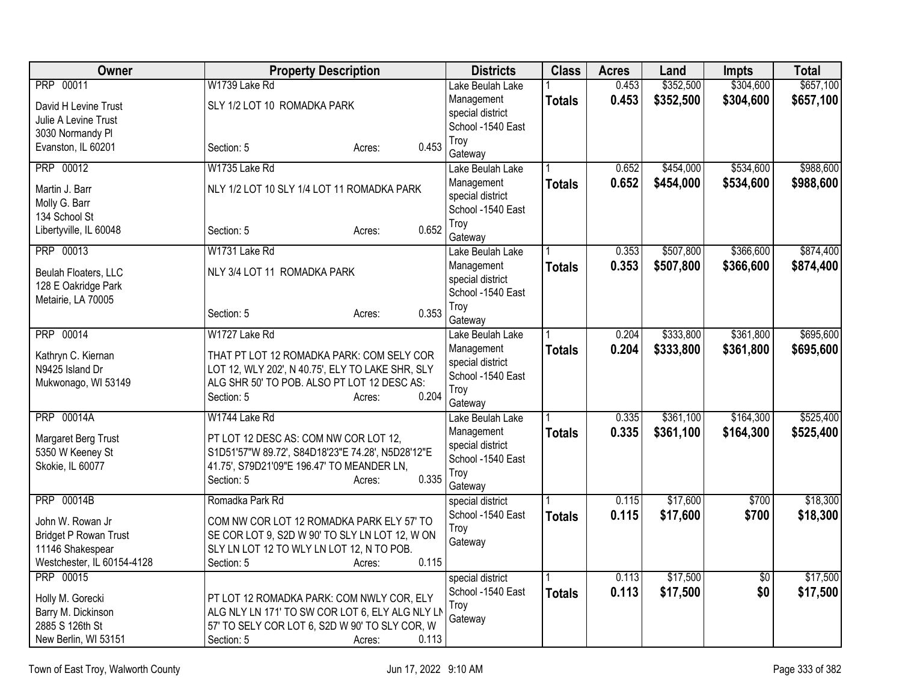| Owner                                  | <b>Property Description</b>                       | <b>Districts</b>               | <b>Class</b>  | <b>Acres</b> | Land      | <b>Impts</b> | <b>Total</b> |
|----------------------------------------|---------------------------------------------------|--------------------------------|---------------|--------------|-----------|--------------|--------------|
| <b>PRP 00011</b>                       | W1739 Lake Rd                                     | Lake Beulah Lake               |               | 0.453        | \$352,500 | \$304,600    | \$657,100    |
| David H Levine Trust                   | SLY 1/2 LOT 10 ROMADKA PARK                       | Management                     | <b>Totals</b> | 0.453        | \$352,500 | \$304,600    | \$657,100    |
| Julie A Levine Trust                   |                                                   | special district               |               |              |           |              |              |
| 3030 Normandy PI                       |                                                   | School -1540 East              |               |              |           |              |              |
| Evanston, IL 60201                     | 0.453<br>Section: 5<br>Acres:                     | Troy                           |               |              |           |              |              |
|                                        |                                                   | Gateway                        |               |              |           |              |              |
| <b>PRP 00012</b>                       | W1735 Lake Rd                                     | Lake Beulah Lake               |               | 0.652        | \$454,000 | \$534,600    | \$988,600    |
| Martin J. Barr                         | NLY 1/2 LOT 10 SLY 1/4 LOT 11 ROMADKA PARK        | Management                     | <b>Totals</b> | 0.652        | \$454,000 | \$534,600    | \$988,600    |
| Molly G. Barr                          |                                                   | special district               |               |              |           |              |              |
| 134 School St                          |                                                   | School -1540 East              |               |              |           |              |              |
| Libertyville, IL 60048                 | 0.652<br>Section: 5<br>Acres:                     | Troy                           |               |              |           |              |              |
| PRP 00013                              | W1731 Lake Rd                                     | Gateway<br>Lake Beulah Lake    |               | 0.353        | \$507,800 | \$366,600    | \$874,400    |
|                                        |                                                   |                                |               |              |           |              |              |
| Beulah Floaters, LLC                   | NLY 3/4 LOT 11 ROMADKA PARK                       | Management<br>special district | <b>Totals</b> | 0.353        | \$507,800 | \$366,600    | \$874,400    |
| 128 E Oakridge Park                    |                                                   | School -1540 East              |               |              |           |              |              |
| Metairie, LA 70005                     |                                                   | Troy                           |               |              |           |              |              |
|                                        | 0.353<br>Section: 5<br>Acres:                     | Gateway                        |               |              |           |              |              |
| PRP 00014                              | W1727 Lake Rd                                     | Lake Beulah Lake               |               | 0.204        | \$333,800 | \$361,800    | \$695,600    |
|                                        |                                                   | Management                     | <b>Totals</b> | 0.204        | \$333,800 | \$361,800    | \$695,600    |
| Kathryn C. Kiernan                     | THAT PT LOT 12 ROMADKA PARK: COM SELY COR         | special district               |               |              |           |              |              |
| N9425 Island Dr                        | LOT 12, WLY 202', N 40.75', ELY TO LAKE SHR, SLY  | School -1540 East              |               |              |           |              |              |
| Mukwonago, WI 53149                    | ALG SHR 50' TO POB. ALSO PT LOT 12 DESC AS:       | Troy                           |               |              |           |              |              |
|                                        | 0.204<br>Section: 5<br>Acres:                     | Gateway                        |               |              |           |              |              |
| <b>PRP 00014A</b>                      | W1744 Lake Rd                                     | Lake Beulah Lake               |               | 0.335        | \$361,100 | \$164,300    | \$525,400    |
| Margaret Berg Trust                    | PT LOT 12 DESC AS: COM NW COR LOT 12,             | Management                     | <b>Totals</b> | 0.335        | \$361,100 | \$164,300    | \$525,400    |
| 5350 W Keeney St                       | S1D51'57"W 89.72', S84D18'23"E 74.28', N5D28'12"E | special district               |               |              |           |              |              |
| Skokie, IL 60077                       | 41.75', S79D21'09"E 196.47' TO MEANDER LN,        | School -1540 East              |               |              |           |              |              |
|                                        | 0.335<br>Section: 5<br>Acres:                     | Troy                           |               |              |           |              |              |
|                                        |                                                   | Gateway                        |               |              |           |              |              |
| <b>PRP 00014B</b>                      | Romadka Park Rd                                   | special district               |               | 0.115        | \$17,600  | \$700        | \$18,300     |
| John W. Rowan Jr                       | COM NW COR LOT 12 ROMADKA PARK ELY 57' TO         | School -1540 East              | <b>Totals</b> | 0.115        | \$17,600  | \$700        | \$18,300     |
| <b>Bridget P Rowan Trust</b>           | SE COR LOT 9, S2D W 90' TO SLY LN LOT 12, W ON    | Troy                           |               |              |           |              |              |
| 11146 Shakespear                       | SLY LN LOT 12 TO WLY LN LOT 12, N TO POB.         | Gateway                        |               |              |           |              |              |
| Westchester, IL 60154-4128             | 0.115<br>Section: 5<br>Acres:                     |                                |               |              |           |              |              |
| <b>PRP 00015</b>                       |                                                   | special district               |               | 0.113        | \$17,500  | \$0          | \$17,500     |
|                                        | PT LOT 12 ROMADKA PARK: COM NWLY COR, ELY         | School -1540 East              | <b>Totals</b> | 0.113        | \$17,500  | \$0          | \$17,500     |
| Holly M. Gorecki<br>Barry M. Dickinson | ALG NLY LN 171' TO SW COR LOT 6, ELY ALG NLY LN   | Troy                           |               |              |           |              |              |
| 2885 S 126th St                        | 57' TO SELY COR LOT 6, S2D W 90' TO SLY COR, W    | Gateway                        |               |              |           |              |              |
| New Berlin, WI 53151                   | 0.113<br>Section: 5<br>Acres:                     |                                |               |              |           |              |              |
|                                        |                                                   |                                |               |              |           |              |              |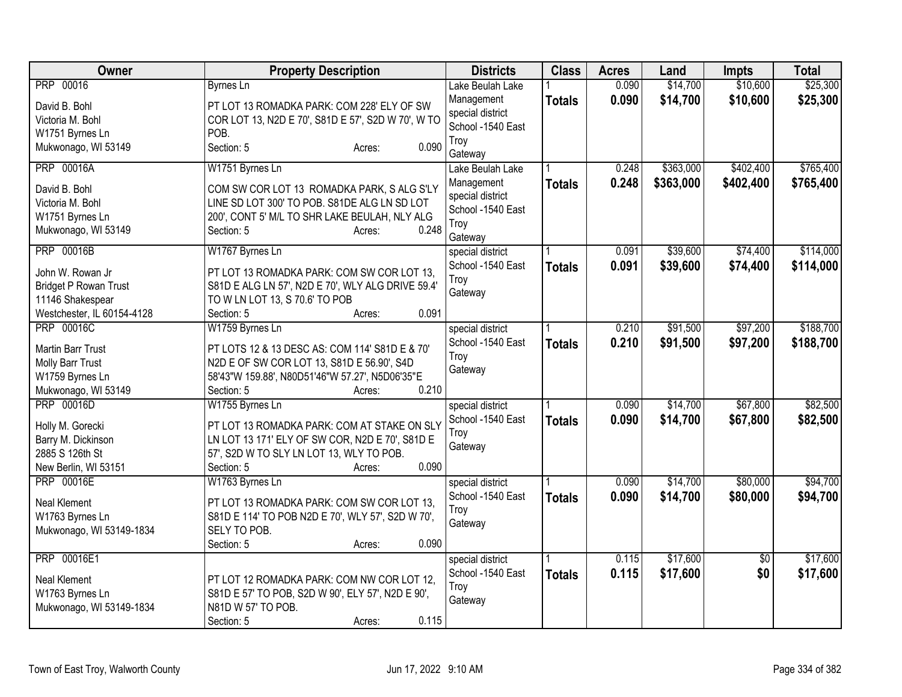| Owner                        | <b>Property Description</b>                        | <b>Districts</b>  | <b>Class</b>  | <b>Acres</b> | Land      | <b>Impts</b>    | <b>Total</b> |
|------------------------------|----------------------------------------------------|-------------------|---------------|--------------|-----------|-----------------|--------------|
| PRP 00016                    | <b>Byrnes Ln</b>                                   | Lake Beulah Lake  |               | 0.090        | \$14,700  | \$10,600        | \$25,300     |
| David B. Bohl                | PT LOT 13 ROMADKA PARK: COM 228' ELY OF SW         | Management        | <b>Totals</b> | 0.090        | \$14,700  | \$10,600        | \$25,300     |
| Victoria M. Bohl             | COR LOT 13, N2D E 70', S81D E 57', S2D W 70', W TO | special district  |               |              |           |                 |              |
| W1751 Byrnes Ln              | POB.                                               | School -1540 East |               |              |           |                 |              |
| Mukwonago, WI 53149          | 0.090<br>Section: 5<br>Acres:                      | Troy              |               |              |           |                 |              |
|                              |                                                    | Gateway           |               |              |           |                 |              |
| <b>PRP 00016A</b>            | W1751 Byrnes Ln                                    | Lake Beulah Lake  |               | 0.248        | \$363,000 | \$402,400       | \$765,400    |
| David B. Bohl                | COM SW COR LOT 13 ROMADKA PARK, S ALG S'LY         | Management        | <b>Totals</b> | 0.248        | \$363,000 | \$402,400       | \$765,400    |
| Victoria M. Bohl             | LINE SD LOT 300' TO POB. S81DE ALG LN SD LOT       | special district  |               |              |           |                 |              |
| W1751 Byrnes Ln              | 200', CONT 5' M/L TO SHR LAKE BEULAH, NLY ALG      | School -1540 East |               |              |           |                 |              |
| Mukwonago, WI 53149          | 0.248<br>Section: 5<br>Acres:                      | Troy              |               |              |           |                 |              |
|                              |                                                    | Gateway           |               |              |           |                 |              |
| <b>PRP 00016B</b>            | W1767 Byrnes Ln                                    | special district  |               | 0.091        | \$39,600  | \$74,400        | \$114,000    |
| John W. Rowan Jr             | PT LOT 13 ROMADKA PARK: COM SW COR LOT 13,         | School -1540 East | <b>Totals</b> | 0.091        | \$39,600  | \$74,400        | \$114,000    |
| <b>Bridget P Rowan Trust</b> | S81D E ALG LN 57', N2D E 70', WLY ALG DRIVE 59.4'  | Troy              |               |              |           |                 |              |
| 11146 Shakespear             | TO W LN LOT 13, S 70.6' TO POB                     | Gateway           |               |              |           |                 |              |
| Westchester, IL 60154-4128   | 0.091<br>Section: 5<br>Acres:                      |                   |               |              |           |                 |              |
| <b>PRP 00016C</b>            | W1759 Byrnes Ln                                    | special district  |               | 0.210        | \$91,500  | \$97,200        | \$188,700    |
| <b>Martin Barr Trust</b>     | PT LOTS 12 & 13 DESC AS: COM 114' S81D E & 70'     | School -1540 East | <b>Totals</b> | 0.210        | \$91,500  | \$97,200        | \$188,700    |
| Molly Barr Trust             | N2D E OF SW COR LOT 13, S81D E 56.90', S4D         | Troy              |               |              |           |                 |              |
| W1759 Byrnes Ln              | 58'43"W 159.88', N80D51'46"W 57.27', N5D06'35"E    | Gateway           |               |              |           |                 |              |
| Mukwonago, WI 53149          | 0.210<br>Section: 5<br>Acres:                      |                   |               |              |           |                 |              |
| <b>PRP 00016D</b>            | W1755 Byrnes Ln                                    | special district  |               | 0.090        | \$14,700  | \$67,800        | \$82,500     |
|                              |                                                    | School -1540 East | <b>Totals</b> | 0.090        | \$14,700  | \$67,800        | \$82,500     |
| Holly M. Gorecki             | PT LOT 13 ROMADKA PARK: COM AT STAKE ON SLY        | Troy              |               |              |           |                 |              |
| Barry M. Dickinson           | LN LOT 13 171' ELY OF SW COR, N2D E 70', S81D E    | Gateway           |               |              |           |                 |              |
| 2885 S 126th St              | 57', S2D W TO SLY LN LOT 13, WLY TO POB.           |                   |               |              |           |                 |              |
| New Berlin, WI 53151         | 0.090<br>Section: 5<br>Acres:                      |                   |               |              |           |                 |              |
| <b>PRP 00016E</b>            | W1763 Byrnes Ln                                    | special district  |               | 0.090        | \$14,700  | \$80,000        | \$94,700     |
| Neal Klement                 | PT LOT 13 ROMADKA PARK: COM SW COR LOT 13,         | School -1540 East | <b>Totals</b> | 0.090        | \$14,700  | \$80,000        | \$94,700     |
| W1763 Byrnes Ln              | S81D E 114' TO POB N2D E 70', WLY 57', S2D W 70',  | Troy              |               |              |           |                 |              |
| Mukwonago, WI 53149-1834     | SELY TO POB.                                       | Gateway           |               |              |           |                 |              |
|                              | 0.090<br>Section: 5<br>Acres:                      |                   |               |              |           |                 |              |
| PRP 00016E1                  |                                                    | special district  |               | 0.115        | \$17,600  | $\overline{30}$ | \$17,600     |
|                              |                                                    | School -1540 East | <b>Totals</b> | 0.115        | \$17,600  | \$0             | \$17,600     |
| <b>Neal Klement</b>          | PT LOT 12 ROMADKA PARK: COM NW COR LOT 12,         | Troy              |               |              |           |                 |              |
| W1763 Byrnes Ln              | S81D E 57' TO POB, S2D W 90', ELY 57', N2D E 90',  | Gateway           |               |              |           |                 |              |
| Mukwonago, WI 53149-1834     | N81D W 57' TO POB.                                 |                   |               |              |           |                 |              |
|                              | Section: 5<br>0.115<br>Acres:                      |                   |               |              |           |                 |              |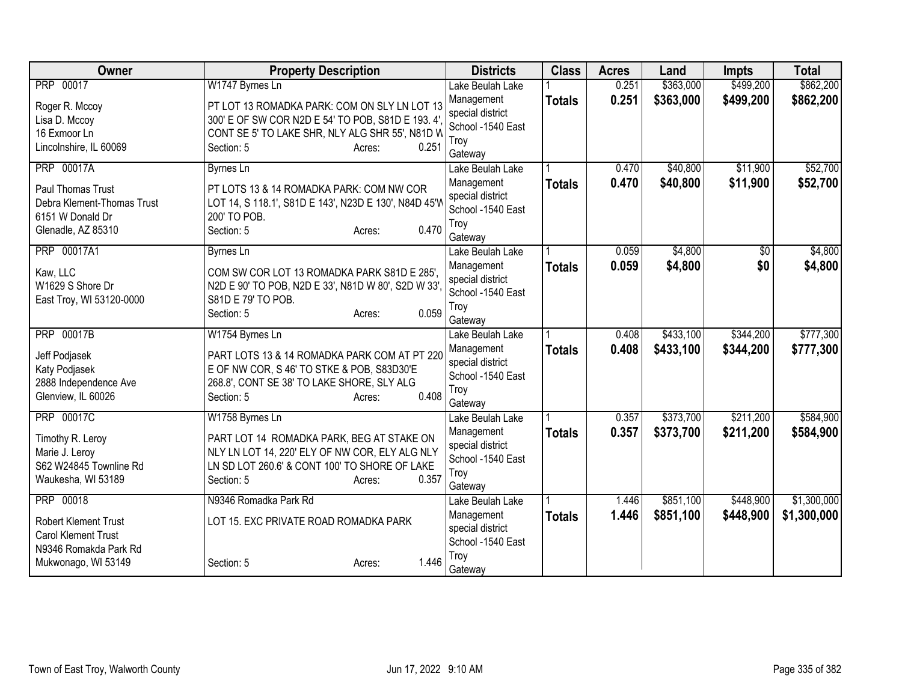| <b>Owner</b>                                                                                     | <b>Property Description</b>                                                                                                                                                   | <b>Districts</b>                                                       | <b>Class</b>  | <b>Acres</b> | Land      | <b>Impts</b> | <b>Total</b> |
|--------------------------------------------------------------------------------------------------|-------------------------------------------------------------------------------------------------------------------------------------------------------------------------------|------------------------------------------------------------------------|---------------|--------------|-----------|--------------|--------------|
| PRP 00017                                                                                        | W1747 Byrnes Ln                                                                                                                                                               | Lake Beulah Lake                                                       |               | 0.251        | \$363,000 | \$499,200    | \$862,200    |
| Roger R. Mccoy<br>Lisa D. Mccoy<br>16 Exmoor Ln                                                  | PT LOT 13 ROMADKA PARK: COM ON SLY LN LOT 13<br>300' E OF SW COR N2D E 54' TO POB, S81D E 193. 4'<br>CONT SE 5' TO LAKE SHR, NLY ALG SHR 55', N81D W                          | Management<br>special district<br>School -1540 East                    | <b>Totals</b> | 0.251        | \$363,000 | \$499,200    | \$862,200    |
| Lincolnshire, IL 60069                                                                           | 0.251<br>Section: 5<br>Acres:                                                                                                                                                 | Troy<br>Gateway                                                        |               |              |           |              |              |
| <b>PRP 00017A</b>                                                                                | <b>Byrnes Ln</b>                                                                                                                                                              | Lake Beulah Lake                                                       |               | 0.470        | \$40,800  | \$11,900     | \$52,700     |
| <b>Paul Thomas Trust</b><br>Debra Klement-Thomas Trust<br>6151 W Donald Dr<br>Glenadle, AZ 85310 | PT LOTS 13 & 14 ROMADKA PARK: COM NW COR<br>LOT 14, S 118.1', S81D E 143', N23D E 130', N84D 45'W<br>200' TO POB.<br>0.470<br>Section: 5<br>Acres:                            | Management<br>special district<br>School -1540 East<br>Troy<br>Gateway | <b>Totals</b> | 0.470        | \$40,800  | \$11,900     | \$52,700     |
| PRP 00017A1                                                                                      | <b>Byrnes Ln</b>                                                                                                                                                              | Lake Beulah Lake                                                       |               | 0.059        | \$4,800   | \$0          | \$4,800      |
| Kaw, LLC<br>W1629 S Shore Dr<br>East Troy, WI 53120-0000                                         | COM SW COR LOT 13 ROMADKA PARK S81D E 285'.<br>N2D E 90' TO POB, N2D E 33', N81D W 80', S2D W 33'<br>S81D E 79' TO POB.<br>0.059<br>Section: 5<br>Acres:                      | Management<br>special district<br>School -1540 East<br>Troy<br>Gateway | <b>Totals</b> | 0.059        | \$4,800   | \$0          | \$4,800      |
| <b>PRP 00017B</b>                                                                                | W1754 Byrnes Ln                                                                                                                                                               | Lake Beulah Lake                                                       |               | 0.408        | \$433,100 | \$344,200    | \$777,300    |
| Jeff Podjasek<br>Katy Podjasek<br>2888 Independence Ave<br>Glenview, IL 60026                    | PART LOTS 13 & 14 ROMADKA PARK COM AT PT 220<br>E OF NW COR, S 46' TO STKE & POB, S83D30'E<br>268.8', CONT SE 38' TO LAKE SHORE, SLY ALG<br>0.408<br>Section: 5<br>Acres:     | Management<br>special district<br>School -1540 East<br>Troy<br>Gateway | <b>Totals</b> | 0.408        | \$433,100 | \$344,200    | \$777,300    |
| <b>PRP 00017C</b>                                                                                | W1758 Byrnes Ln                                                                                                                                                               | Lake Beulah Lake                                                       |               | 0.357        | \$373,700 | \$211,200    | \$584,900    |
| Timothy R. Leroy<br>Marie J. Leroy<br>S62 W24845 Townline Rd<br>Waukesha, WI 53189               | PART LOT 14 ROMADKA PARK, BEG AT STAKE ON<br>NLY LN LOT 14, 220' ELY OF NW COR, ELY ALG NLY<br>LN SD LOT 260.6' & CONT 100' TO SHORE OF LAKE<br>0.357<br>Section: 5<br>Acres: | Management<br>special district<br>School -1540 East<br>Troy<br>Gateway | <b>Totals</b> | 0.357        | \$373,700 | \$211,200    | \$584,900    |
| PRP 00018                                                                                        | N9346 Romadka Park Rd                                                                                                                                                         | Lake Beulah Lake                                                       |               | 1.446        | \$851,100 | \$448,900    | \$1,300,000  |
| <b>Robert Klement Trust</b><br>Carol Klement Trust<br>N9346 Romakda Park Rd                      | LOT 15. EXC PRIVATE ROAD ROMADKA PARK                                                                                                                                         | Management<br>special district<br>School -1540 East                    | <b>Totals</b> | 1.446        | \$851,100 | \$448,900    | \$1,300,000  |
| Mukwonago, WI 53149                                                                              | 1.446<br>Section: 5<br>Acres:                                                                                                                                                 | Troy<br>Gateway                                                        |               |              |           |              |              |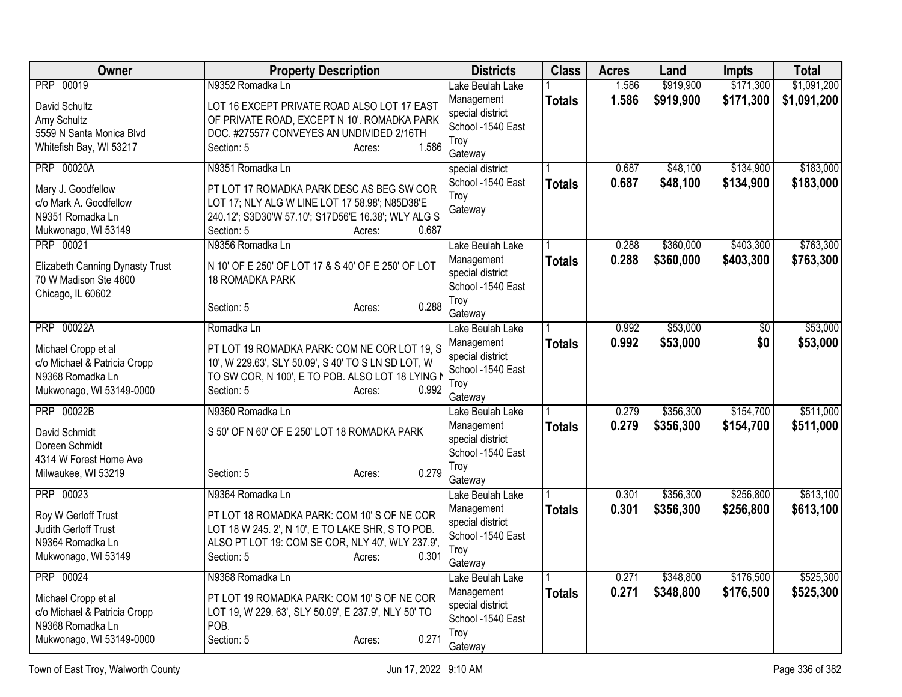| Owner                                                    | <b>Property Description</b>                          | <b>Districts</b>            | <b>Class</b>  | <b>Acres</b> | Land      | <b>Impts</b> | <b>Total</b> |
|----------------------------------------------------------|------------------------------------------------------|-----------------------------|---------------|--------------|-----------|--------------|--------------|
| PRP 00019                                                | N9352 Romadka Ln                                     | Lake Beulah Lake            |               | 1.586        | \$919,900 | \$171,300    | \$1,091,200  |
| David Schultz                                            | LOT 16 EXCEPT PRIVATE ROAD ALSO LOT 17 EAST          | Management                  | <b>Totals</b> | 1.586        | \$919,900 | \$171,300    | \$1,091,200  |
| Amy Schultz                                              | OF PRIVATE ROAD, EXCEPT N 10'. ROMADKA PARK          | special district            |               |              |           |              |              |
| 5559 N Santa Monica Blvd                                 | DOC. #275577 CONVEYES AN UNDIVIDED 2/16TH            | School -1540 East           |               |              |           |              |              |
| Whitefish Bay, WI 53217                                  | 1.586<br>Section: 5<br>Acres:                        | Troy<br>Gateway             |               |              |           |              |              |
| <b>PRP 00020A</b>                                        | N9351 Romadka Ln                                     | special district            |               | 0.687        | \$48,100  | \$134,900    | \$183,000    |
| Mary J. Goodfellow                                       | PT LOT 17 ROMADKA PARK DESC AS BEG SW COR            | School -1540 East           | <b>Totals</b> | 0.687        | \$48,100  | \$134,900    | \$183,000    |
| c/o Mark A. Goodfellow                                   | LOT 17; NLY ALG W LINE LOT 17 58.98'; N85D38'E       | Troy                        |               |              |           |              |              |
| N9351 Romadka Ln                                         | 240.12'; S3D30'W 57.10'; S17D56'E 16.38'; WLY ALG S  | Gateway                     |               |              |           |              |              |
| Mukwonago, WI 53149                                      | 0.687<br>Section: 5<br>Acres:                        |                             |               |              |           |              |              |
| <b>PRP 00021</b>                                         | N9356 Romadka Ln                                     | Lake Beulah Lake            |               | 0.288        | \$360,000 | \$403,300    | \$763,300    |
|                                                          | N 10' OF E 250' OF LOT 17 & S 40' OF E 250' OF LOT   | Management                  | <b>Totals</b> | 0.288        | \$360,000 | \$403,300    | \$763,300    |
| Elizabeth Canning Dynasty Trust<br>70 W Madison Ste 4600 | 18 ROMADKA PARK                                      | special district            |               |              |           |              |              |
| Chicago, IL 60602                                        |                                                      | School -1540 East           |               |              |           |              |              |
|                                                          | 0.288<br>Section: 5<br>Acres:                        | Troy                        |               |              |           |              |              |
|                                                          |                                                      | Gateway                     |               |              |           |              |              |
| <b>PRP 00022A</b>                                        | Romadka Ln                                           | Lake Beulah Lake            |               | 0.992        | \$53,000  | \$0          | \$53,000     |
| Michael Cropp et al                                      | PT LOT 19 ROMADKA PARK: COM NE COR LOT 19, S         | Management                  | <b>Totals</b> | 0.992        | \$53,000  | \$0          | \$53,000     |
| c/o Michael & Patricia Cropp                             | 10', W 229.63', SLY 50.09', S 40' TO S LN SD LOT, W  | special district            |               |              |           |              |              |
| N9368 Romadka Ln                                         | TO SW COR, N 100', E TO POB. ALSO LOT 18 LYING N     | School -1540 East<br>Troy   |               |              |           |              |              |
| Mukwonago, WI 53149-0000                                 | 0.992<br>Section: 5<br>Acres:                        | Gateway                     |               |              |           |              |              |
| <b>PRP 00022B</b>                                        | N9360 Romadka Ln                                     | Lake Beulah Lake            |               | 0.279        | \$356,300 | \$154,700    | \$511,000    |
|                                                          |                                                      | Management                  | <b>Totals</b> | 0.279        | \$356,300 | \$154,700    | \$511,000    |
| David Schmidt                                            | S 50' OF N 60' OF E 250' LOT 18 ROMADKA PARK         | special district            |               |              |           |              |              |
| Doreen Schmidt                                           |                                                      | School -1540 East           |               |              |           |              |              |
| 4314 W Forest Home Ave                                   | 0.279                                                | Troy                        |               |              |           |              |              |
| Milwaukee, WI 53219                                      | Section: 5<br>Acres:                                 | Gateway                     |               |              |           |              |              |
| PRP 00023                                                | N9364 Romadka Ln                                     | Lake Beulah Lake            |               | 0.301        | \$356,300 | \$256,800    | \$613,100    |
| Roy W Gerloff Trust                                      | PT LOT 18 ROMADKA PARK: COM 10'S OF NE COR           | Management                  | <b>Totals</b> | 0.301        | \$356,300 | \$256,800    | \$613,100    |
| Judith Gerloff Trust                                     | LOT 18 W 245. 2', N 10', E TO LAKE SHR, S TO POB.    | special district            |               |              |           |              |              |
| N9364 Romadka Ln                                         | ALSO PT LOT 19: COM SE COR, NLY 40', WLY 237.9',     | School -1540 East           |               |              |           |              |              |
| Mukwonago, WI 53149                                      | Section: 5<br>0.301<br>Acres:                        | Troy                        |               |              |           |              |              |
| <b>PRP 00024</b>                                         | N9368 Romadka Ln                                     | Gateway<br>Lake Beulah Lake |               | 0.271        | \$348,800 | \$176,500    | \$525,300    |
|                                                          |                                                      | Management                  | <b>Totals</b> | 0.271        | \$348,800 | \$176,500    | \$525,300    |
| Michael Cropp et al                                      | PT LOT 19 ROMADKA PARK: COM 10'S OF NE COR           | special district            |               |              |           |              |              |
| c/o Michael & Patricia Cropp                             | LOT 19, W 229. 63', SLY 50.09', E 237.9', NLY 50' TO | School -1540 East           |               |              |           |              |              |
| N9368 Romadka Ln                                         | POB.                                                 | Troy                        |               |              |           |              |              |
| Mukwonago, WI 53149-0000                                 | Section: 5<br>0.271<br>Acres:                        | Gateway                     |               |              |           |              |              |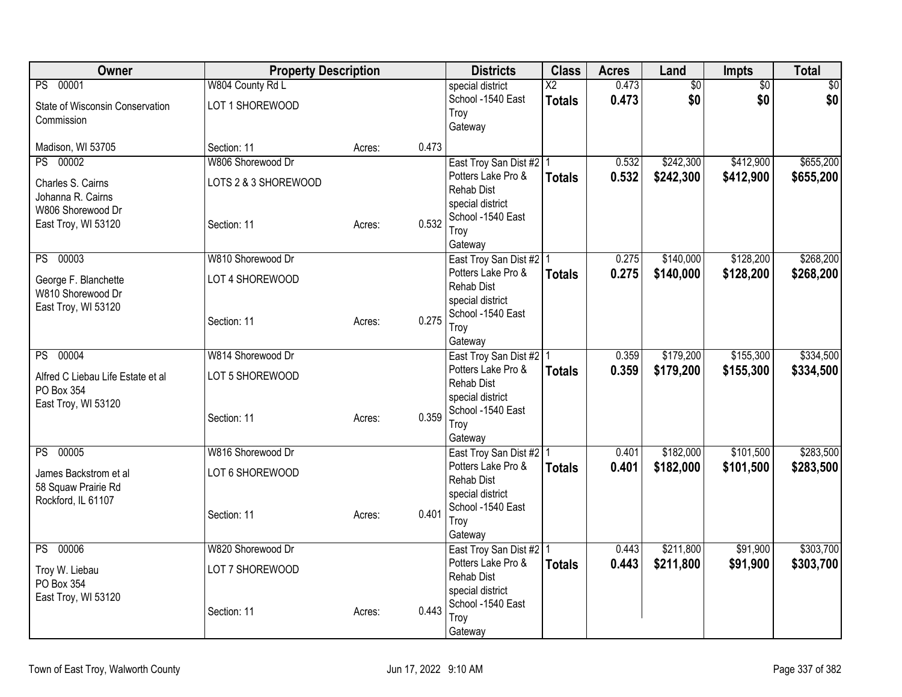| <b>Owner</b>                                  | <b>Property Description</b> |        |       | <b>Districts</b>                        | <b>Class</b>                     | <b>Acres</b>   | Land                   | Impts      | <b>Total</b>       |
|-----------------------------------------------|-----------------------------|--------|-------|-----------------------------------------|----------------------------------|----------------|------------------------|------------|--------------------|
| PS 00001                                      | W804 County Rd L            |        |       | special district<br>School -1540 East   | $\overline{X2}$<br><b>Totals</b> | 0.473<br>0.473 | $\overline{60}$<br>\$0 | \$0<br>\$0 | $\sqrt{50}$<br>\$0 |
| State of Wisconsin Conservation<br>Commission | LOT 1 SHOREWOOD             |        |       | Troy                                    |                                  |                |                        |            |                    |
|                                               |                             |        |       | Gateway                                 |                                  |                |                        |            |                    |
| Madison, WI 53705                             | Section: 11                 | Acres: | 0.473 |                                         |                                  |                |                        |            |                    |
| PS 00002                                      | W806 Shorewood Dr           |        |       | East Troy San Dist #2   1               |                                  | 0.532          | \$242,300              | \$412,900  | \$655,200          |
| Charles S. Cairns                             | LOTS 2 & 3 SHOREWOOD        |        |       | Potters Lake Pro &<br><b>Rehab Dist</b> | <b>Totals</b>                    | 0.532          | \$242,300              | \$412,900  | \$655,200          |
| Johanna R. Cairns                             |                             |        |       | special district                        |                                  |                |                        |            |                    |
| W806 Shorewood Dr                             |                             |        |       | School -1540 East                       |                                  |                |                        |            |                    |
| East Troy, WI 53120                           | Section: 11                 | Acres: | 0.532 | Troy                                    |                                  |                |                        |            |                    |
|                                               |                             |        |       | Gateway                                 |                                  |                |                        |            |                    |
| PS 00003                                      | W810 Shorewood Dr           |        |       | East Troy San Dist #2   1               |                                  | 0.275          | \$140,000              | \$128,200  | \$268,200          |
| George F. Blanchette                          | LOT 4 SHOREWOOD             |        |       | Potters Lake Pro &                      | <b>Totals</b>                    | 0.275          | \$140,000              | \$128,200  | \$268,200          |
| W810 Shorewood Dr                             |                             |        |       | <b>Rehab Dist</b><br>special district   |                                  |                |                        |            |                    |
| East Troy, WI 53120                           |                             |        |       | School -1540 East                       |                                  |                |                        |            |                    |
|                                               | Section: 11                 | Acres: | 0.275 | Troy                                    |                                  |                |                        |            |                    |
|                                               |                             |        |       | Gateway                                 |                                  |                |                        |            |                    |
| PS 00004                                      | W814 Shorewood Dr           |        |       | East Troy San Dist #2   1               |                                  | 0.359          | \$179,200              | \$155,300  | \$334,500          |
| Alfred C Liebau Life Estate et al             | LOT 5 SHOREWOOD             |        |       | Potters Lake Pro &                      | <b>Totals</b>                    | 0.359          | \$179,200              | \$155,300  | \$334,500          |
| PO Box 354                                    |                             |        |       | <b>Rehab Dist</b><br>special district   |                                  |                |                        |            |                    |
| East Troy, WI 53120                           |                             |        |       | School -1540 East                       |                                  |                |                        |            |                    |
|                                               | Section: 11                 | Acres: | 0.359 | Trov                                    |                                  |                |                        |            |                    |
|                                               |                             |        |       | Gateway                                 |                                  |                |                        |            |                    |
| PS 00005                                      | W816 Shorewood Dr           |        |       | East Troy San Dist #2 1                 |                                  | 0.401          | \$182,000              | \$101,500  | \$283,500          |
| James Backstrom et al                         | LOT 6 SHOREWOOD             |        |       | Potters Lake Pro &                      | Totals                           | 0.401          | \$182,000              | \$101,500  | \$283,500          |
| 58 Squaw Prairie Rd                           |                             |        |       | <b>Rehab Dist</b>                       |                                  |                |                        |            |                    |
| Rockford, IL 61107                            |                             |        |       | special district<br>School -1540 East   |                                  |                |                        |            |                    |
|                                               | Section: 11                 | Acres: | 0.401 | Troy                                    |                                  |                |                        |            |                    |
|                                               |                             |        |       | Gateway                                 |                                  |                |                        |            |                    |
| PS 00006                                      | W820 Shorewood Dr           |        |       | East Troy San Dist #2   1               |                                  | 0.443          | \$211,800              | \$91,900   | \$303,700          |
| Troy W. Liebau                                | LOT 7 SHOREWOOD             |        |       | Potters Lake Pro &                      | <b>Totals</b>                    | 0.443          | \$211,800              | \$91,900   | \$303,700          |
| PO Box 354                                    |                             |        |       | Rehab Dist                              |                                  |                |                        |            |                    |
| East Troy, WI 53120                           |                             |        |       | special district<br>School -1540 East   |                                  |                |                        |            |                    |
|                                               | Section: 11                 | Acres: | 0.443 | Troy                                    |                                  |                |                        |            |                    |
|                                               |                             |        |       | Gateway                                 |                                  |                |                        |            |                    |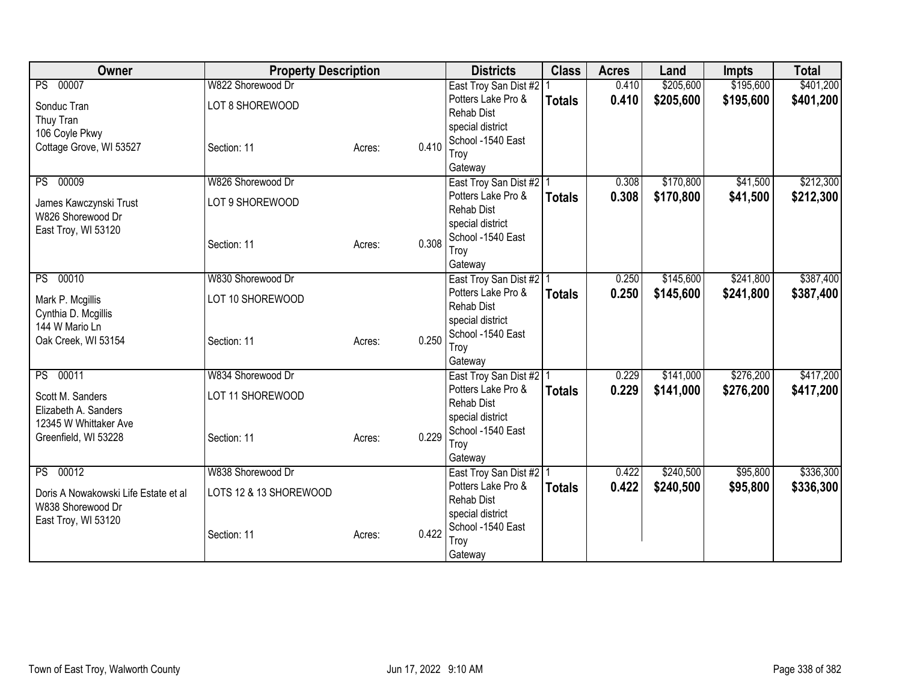| Owner                                       | <b>Property Description</b> |        |       | <b>Districts</b>                                | <b>Class</b>  | <b>Acres</b> | Land      | <b>Impts</b> | <b>Total</b> |
|---------------------------------------------|-----------------------------|--------|-------|-------------------------------------------------|---------------|--------------|-----------|--------------|--------------|
| PS 00007                                    | W822 Shorewood Dr           |        |       | East Troy San Dist #2                           |               | 0.410        | \$205,600 | \$195,600    | \$401,200    |
| Sonduc Tran                                 | LOT 8 SHOREWOOD             |        |       | Potters Lake Pro &                              | <b>Totals</b> | 0.410        | \$205,600 | \$195,600    | \$401,200    |
| Thuy Tran                                   |                             |        |       | <b>Rehab Dist</b>                               |               |              |           |              |              |
| 106 Coyle Pkwy                              |                             |        |       | special district                                |               |              |           |              |              |
| Cottage Grove, WI 53527                     | Section: 11                 | Acres: | 0.410 | School -1540 East                               |               |              |           |              |              |
|                                             |                             |        |       | Troy<br>Gateway                                 |               |              |           |              |              |
| 00009<br>PS                                 | W826 Shorewood Dr           |        |       | East Troy San Dist #2   1                       |               | 0.308        | \$170,800 | \$41,500     | \$212,300    |
|                                             | LOT 9 SHOREWOOD             |        |       | Potters Lake Pro &                              | <b>Totals</b> | 0.308        | \$170,800 | \$41,500     | \$212,300    |
| James Kawczynski Trust<br>W826 Shorewood Dr |                             |        |       | <b>Rehab Dist</b>                               |               |              |           |              |              |
| East Troy, WI 53120                         |                             |        |       | special district                                |               |              |           |              |              |
|                                             | Section: 11                 | Acres: | 0.308 | School -1540 East                               |               |              |           |              |              |
|                                             |                             |        |       | Troy                                            |               |              |           |              |              |
| 00010                                       | W830 Shorewood Dr           |        |       | Gateway                                         |               |              |           | \$241,800    | \$387,400    |
| PS                                          |                             |        |       | East Troy San Dist #2   1<br>Potters Lake Pro & |               | 0.250        | \$145,600 |              |              |
| Mark P. Mcgillis                            | LOT 10 SHOREWOOD            |        |       | <b>Rehab Dist</b>                               | <b>Totals</b> | 0.250        | \$145,600 | \$241,800    | \$387,400    |
| Cynthia D. Mcgillis                         |                             |        |       | special district                                |               |              |           |              |              |
| 144 W Mario Ln                              |                             |        |       | School -1540 East                               |               |              |           |              |              |
| Oak Creek, WI 53154                         | Section: 11                 | Acres: | 0.250 | Troy                                            |               |              |           |              |              |
|                                             |                             |        |       | Gateway                                         |               |              |           |              |              |
| PS 00011                                    | W834 Shorewood Dr           |        |       | East Troy San Dist #2   1                       |               | 0.229        | \$141,000 | \$276,200    | \$417,200    |
| Scott M. Sanders                            | LOT 11 SHOREWOOD            |        |       | Potters Lake Pro &                              | <b>Totals</b> | 0.229        | \$141,000 | \$276,200    | \$417,200    |
| Elizabeth A. Sanders                        |                             |        |       | <b>Rehab Dist</b>                               |               |              |           |              |              |
| 12345 W Whittaker Ave                       |                             |        |       | special district<br>School -1540 East           |               |              |           |              |              |
| Greenfield, WI 53228                        | Section: 11                 | Acres: | 0.229 | Troy                                            |               |              |           |              |              |
|                                             |                             |        |       | Gateway                                         |               |              |           |              |              |
| PS 00012                                    | W838 Shorewood Dr           |        |       | East Troy San Dist #2   1                       |               | 0.422        | \$240,500 | \$95,800     | \$336,300    |
| Doris A Nowakowski Life Estate et al        | LOTS 12 & 13 SHOREWOOD      |        |       | Potters Lake Pro &                              | <b>Totals</b> | 0.422        | \$240,500 | \$95,800     | \$336,300    |
| W838 Shorewood Dr                           |                             |        |       | <b>Rehab Dist</b>                               |               |              |           |              |              |
| East Troy, WI 53120                         |                             |        |       | special district                                |               |              |           |              |              |
|                                             | Section: 11                 | Acres: | 0.422 | School -1540 East                               |               |              |           |              |              |
|                                             |                             |        |       | Troy                                            |               |              |           |              |              |
|                                             |                             |        |       | Gateway                                         |               |              |           |              |              |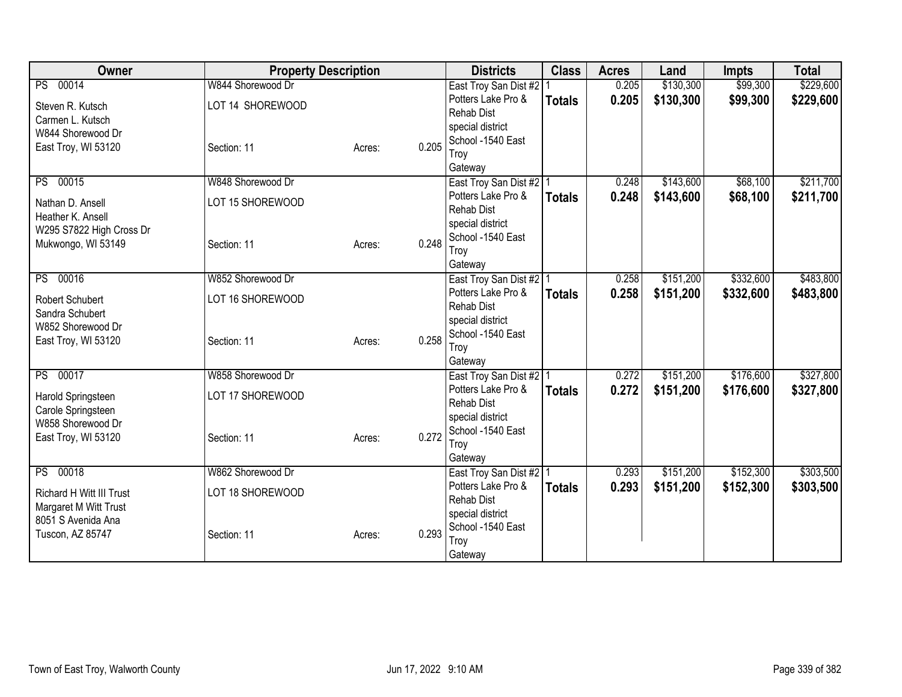| Owner                                                    | <b>Property Description</b> |        |       | <b>Districts</b>                      | <b>Class</b>  | <b>Acres</b> | Land      | <b>Impts</b> | <b>Total</b> |
|----------------------------------------------------------|-----------------------------|--------|-------|---------------------------------------|---------------|--------------|-----------|--------------|--------------|
| PS 00014                                                 | W844 Shorewood Dr           |        |       | East Troy San Dist #2                 |               | 0.205        | \$130,300 | \$99,300     | \$229,600    |
| Steven R. Kutsch                                         | LOT 14 SHOREWOOD            |        |       | Potters Lake Pro &                    | <b>Totals</b> | 0.205        | \$130,300 | \$99,300     | \$229,600    |
| Carmen L. Kutsch                                         |                             |        |       | <b>Rehab Dist</b>                     |               |              |           |              |              |
| W844 Shorewood Dr                                        |                             |        |       | special district<br>School -1540 East |               |              |           |              |              |
| East Troy, WI 53120                                      | Section: 11                 | Acres: | 0.205 | Troy                                  |               |              |           |              |              |
|                                                          |                             |        |       | Gateway                               |               |              |           |              |              |
| PS 00015                                                 | W848 Shorewood Dr           |        |       | East Troy San Dist #2 1               |               | 0.248        | \$143,600 | \$68,100     | \$211,700    |
| Nathan D. Ansell                                         | LOT 15 SHOREWOOD            |        |       | Potters Lake Pro &                    | <b>Totals</b> | 0.248        | \$143,600 | \$68,100     | \$211,700    |
| Heather K. Ansell                                        |                             |        |       | <b>Rehab Dist</b>                     |               |              |           |              |              |
| W295 S7822 High Cross Dr                                 |                             |        |       | special district                      |               |              |           |              |              |
| Mukwongo, WI 53149                                       | Section: 11                 | Acres: | 0.248 | School -1540 East<br>Troy             |               |              |           |              |              |
|                                                          |                             |        |       | Gateway                               |               |              |           |              |              |
| PS 00016                                                 | W852 Shorewood Dr           |        |       | East Troy San Dist #2   1             |               | 0.258        | \$151,200 | \$332,600    | \$483,800    |
| Robert Schubert                                          | LOT 16 SHOREWOOD            |        |       | Potters Lake Pro &                    | <b>Totals</b> | 0.258        | \$151,200 | \$332,600    | \$483,800    |
| Sandra Schubert                                          |                             |        |       | <b>Rehab Dist</b>                     |               |              |           |              |              |
| W852 Shorewood Dr                                        |                             |        |       | special district                      |               |              |           |              |              |
| East Troy, WI 53120                                      | Section: 11                 | Acres: | 0.258 | School -1540 East                     |               |              |           |              |              |
|                                                          |                             |        |       | Troy<br>Gateway                       |               |              |           |              |              |
| PS 00017                                                 | W858 Shorewood Dr           |        |       | East Troy San Dist #2 1               |               | 0.272        | \$151,200 | \$176,600    | \$327,800    |
| Harold Springsteen                                       | LOT 17 SHOREWOOD            |        |       | Potters Lake Pro &                    | <b>Totals</b> | 0.272        | \$151,200 | \$176,600    | \$327,800    |
| Carole Springsteen                                       |                             |        |       | <b>Rehab Dist</b>                     |               |              |           |              |              |
| W858 Shorewood Dr                                        |                             |        |       | special district                      |               |              |           |              |              |
| East Troy, WI 53120                                      | Section: 11                 | Acres: | 0.272 | School -1540 East                     |               |              |           |              |              |
|                                                          |                             |        |       | Troy<br>Gateway                       |               |              |           |              |              |
| PS 00018                                                 | W862 Shorewood Dr           |        |       | East Troy San Dist #2   1             |               | 0.293        | \$151,200 | \$152,300    | \$303,500    |
|                                                          |                             |        |       | Potters Lake Pro &                    | <b>Totals</b> | 0.293        | \$151,200 | \$152,300    | \$303,500    |
| <b>Richard H Witt III Trust</b><br>Margaret M Witt Trust | LOT 18 SHOREWOOD            |        |       | <b>Rehab Dist</b>                     |               |              |           |              |              |
| 8051 S Avenida Ana                                       |                             |        |       | special district                      |               |              |           |              |              |
| Tuscon, AZ 85747                                         | Section: 11                 | Acres: | 0.293 | School -1540 East                     |               |              |           |              |              |
|                                                          |                             |        |       | Troy                                  |               |              |           |              |              |
|                                                          |                             |        |       | Gateway                               |               |              |           |              |              |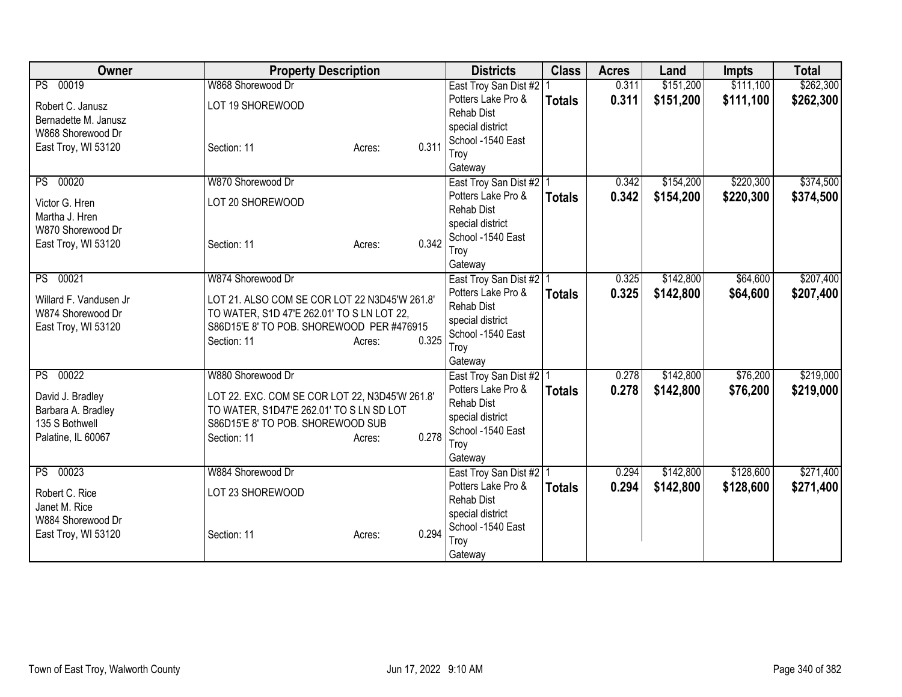| <b>Owner</b>                    | <b>Property Description</b>                    |                 | <b>Districts</b>                                | <b>Class</b>  | <b>Acres</b> | Land      | <b>Impts</b> | <b>Total</b> |
|---------------------------------|------------------------------------------------|-----------------|-------------------------------------------------|---------------|--------------|-----------|--------------|--------------|
| PS 00019                        | W868 Shorewood Dr                              |                 | East Troy San Dist #2                           |               | 0.311        | \$151,200 | \$111,100    | \$262,300    |
| Robert C. Janusz                | LOT 19 SHOREWOOD                               |                 | Potters Lake Pro &                              | <b>Totals</b> | 0.311        | \$151,200 | \$111,100    | \$262,300    |
| Bernadette M. Janusz            |                                                |                 | <b>Rehab Dist</b>                               |               |              |           |              |              |
| W868 Shorewood Dr               |                                                |                 | special district                                |               |              |           |              |              |
| East Troy, WI 53120             | Section: 11                                    | 0.311<br>Acres: | School -1540 East                               |               |              |           |              |              |
|                                 |                                                |                 | Troy                                            |               |              |           |              |              |
| PS 00020                        | W870 Shorewood Dr                              |                 | Gateway<br>East Troy San Dist #2   1            |               | 0.342        | \$154,200 | \$220,300    | \$374,500    |
|                                 |                                                |                 | Potters Lake Pro &                              | <b>Totals</b> | 0.342        | \$154,200 | \$220,300    | \$374,500    |
| Victor G. Hren                  | LOT 20 SHOREWOOD                               |                 | <b>Rehab Dist</b>                               |               |              |           |              |              |
| Martha J. Hren                  |                                                |                 | special district                                |               |              |           |              |              |
| W870 Shorewood Dr               |                                                |                 | School -1540 East                               |               |              |           |              |              |
| East Troy, WI 53120             | Section: 11                                    | 0.342<br>Acres: | Troy                                            |               |              |           |              |              |
|                                 |                                                |                 | Gateway                                         |               |              |           |              |              |
| PS 00021                        | W874 Shorewood Dr                              |                 | East Troy San Dist #2   1                       |               | 0.325        | \$142,800 | \$64,600     | \$207,400    |
| Willard F. Vandusen Jr.         | LOT 21. ALSO COM SE COR LOT 22 N3D45'W 261.8'  |                 | Potters Lake Pro &                              | <b>Totals</b> | 0.325        | \$142,800 | \$64,600     | \$207,400    |
| W874 Shorewood Dr               | TO WATER, S1D 47'E 262.01' TO S LN LOT 22,     |                 | <b>Rehab Dist</b>                               |               |              |           |              |              |
| East Troy, WI 53120             | S86D15'E 8' TO POB. SHOREWOOD PER #476915      |                 | special district                                |               |              |           |              |              |
|                                 | Section: 11                                    | 0.325<br>Acres: | School -1540 East                               |               |              |           |              |              |
|                                 |                                                |                 | Troy                                            |               |              |           |              |              |
| PS 00022                        | W880 Shorewood Dr                              |                 | Gateway                                         |               | 0.278        | \$142,800 | \$76,200     | \$219,000    |
|                                 |                                                |                 | East Troy San Dist #2   1<br>Potters Lake Pro & |               |              |           |              |              |
| David J. Bradley                | LOT 22. EXC. COM SE COR LOT 22, N3D45'W 261.8' |                 | <b>Rehab Dist</b>                               | <b>Totals</b> | 0.278        | \$142,800 | \$76,200     | \$219,000    |
| Barbara A. Bradley              | TO WATER, S1D47'E 262.01' TO S LN SD LOT       |                 | special district                                |               |              |           |              |              |
| 135 S Bothwell                  | S86D15'E 8' TO POB. SHOREWOOD SUB              |                 | School -1540 East                               |               |              |           |              |              |
| Palatine, IL 60067              | Section: 11                                    | 0.278<br>Acres: | Troy                                            |               |              |           |              |              |
|                                 |                                                |                 | Gateway                                         |               |              |           |              |              |
| PS 00023                        | W884 Shorewood Dr                              |                 | East Troy San Dist #2 1                         |               | 0.294        | \$142,800 | \$128,600    | \$271,400    |
|                                 | LOT 23 SHOREWOOD                               |                 | Potters Lake Pro &                              | <b>Totals</b> | 0.294        | \$142,800 | \$128,600    | \$271,400    |
| Robert C. Rice<br>Janet M. Rice |                                                |                 | <b>Rehab Dist</b>                               |               |              |           |              |              |
| W884 Shorewood Dr               |                                                |                 | special district                                |               |              |           |              |              |
| East Troy, WI 53120             | Section: 11                                    | 0.294<br>Acres: | School -1540 East                               |               |              |           |              |              |
|                                 |                                                |                 | Troy                                            |               |              |           |              |              |
|                                 |                                                |                 | Gateway                                         |               |              |           |              |              |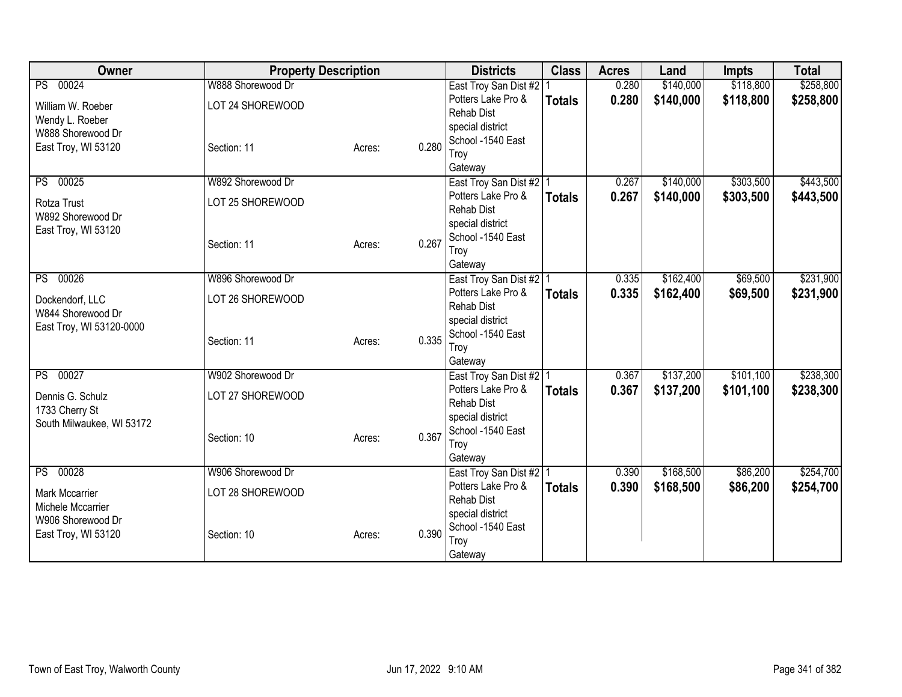| Owner                                       | <b>Property Description</b> |        |       | <b>Districts</b>                                | <b>Class</b>  | <b>Acres</b>   | Land      | <b>Impts</b> | <b>Total</b> |
|---------------------------------------------|-----------------------------|--------|-------|-------------------------------------------------|---------------|----------------|-----------|--------------|--------------|
| PS 00024                                    | W888 Shorewood Dr           |        |       | East Troy San Dist #2                           |               | 0.280          | \$140,000 | \$118,800    | \$258,800    |
| William W. Roeber                           | LOT 24 SHOREWOOD            |        |       | Potters Lake Pro &                              | <b>Totals</b> | 0.280          | \$140,000 | \$118,800    | \$258,800    |
| Wendy L. Roeber                             |                             |        |       | <b>Rehab Dist</b>                               |               |                |           |              |              |
| W888 Shorewood Dr                           |                             |        |       | special district<br>School -1540 East           |               |                |           |              |              |
| East Troy, WI 53120                         | Section: 11                 | Acres: | 0.280 | Troy                                            |               |                |           |              |              |
|                                             |                             |        |       | Gateway                                         |               |                |           |              |              |
| 00025<br>PS                                 | W892 Shorewood Dr           |        |       | East Troy San Dist #2   1                       |               | 0.267          | \$140,000 | \$303,500    | \$443,500    |
| Rotza Trust                                 | LOT 25 SHOREWOOD            |        |       | Potters Lake Pro &                              | <b>Totals</b> | 0.267          | \$140,000 | \$303,500    | \$443,500    |
| W892 Shorewood Dr                           |                             |        |       | <b>Rehab Dist</b>                               |               |                |           |              |              |
| East Troy, WI 53120                         |                             |        |       | special district                                |               |                |           |              |              |
|                                             | Section: 11                 | Acres: | 0.267 | School -1540 East<br>Troy                       |               |                |           |              |              |
|                                             |                             |        |       | Gateway                                         |               |                |           |              |              |
| 00026<br>PS                                 | W896 Shorewood Dr           |        |       | East Troy San Dist #2   1                       |               | 0.335          | \$162,400 | \$69,500     | \$231,900    |
|                                             |                             |        |       | Potters Lake Pro &                              | <b>Totals</b> | 0.335          | \$162,400 | \$69,500     | \$231,900    |
| Dockendorf, LLC<br>W844 Shorewood Dr        | LOT 26 SHOREWOOD            |        |       | <b>Rehab Dist</b>                               |               |                |           |              |              |
| East Troy, WI 53120-0000                    |                             |        |       | special district                                |               |                |           |              |              |
|                                             | Section: 11                 | Acres: | 0.335 | School -1540 East                               |               |                |           |              |              |
|                                             |                             |        |       | Troy                                            |               |                |           |              |              |
| PS 00027                                    | W902 Shorewood Dr           |        |       | Gateway<br>East Troy San Dist #2   1            |               | 0.367          | \$137,200 | \$101,100    | \$238,300    |
|                                             |                             |        |       | Potters Lake Pro &                              | <b>Totals</b> | 0.367          | \$137,200 | \$101,100    | \$238,300    |
| Dennis G. Schulz                            | LOT 27 SHOREWOOD            |        |       | <b>Rehab Dist</b>                               |               |                |           |              |              |
| 1733 Cherry St<br>South Milwaukee, WI 53172 |                             |        |       | special district                                |               |                |           |              |              |
|                                             | Section: 10                 | Acres: | 0.367 | School -1540 East                               |               |                |           |              |              |
|                                             |                             |        |       | Troy                                            |               |                |           |              |              |
|                                             |                             |        |       | Gateway                                         |               |                |           |              |              |
| PS 00028                                    | W906 Shorewood Dr           |        |       | East Troy San Dist #2   1<br>Potters Lake Pro & |               | 0.390<br>0.390 | \$168,500 | \$86,200     | \$254,700    |
| Mark Mccarrier                              | LOT 28 SHOREWOOD            |        |       | <b>Rehab Dist</b>                               | <b>Totals</b> |                | \$168,500 | \$86,200     | \$254,700    |
| Michele Mccarrier                           |                             |        |       | special district                                |               |                |           |              |              |
| W906 Shorewood Dr                           |                             |        |       | School -1540 East                               |               |                |           |              |              |
| East Troy, WI 53120                         | Section: 10                 | Acres: | 0.390 | Troy                                            |               |                |           |              |              |
|                                             |                             |        |       | Gateway                                         |               |                |           |              |              |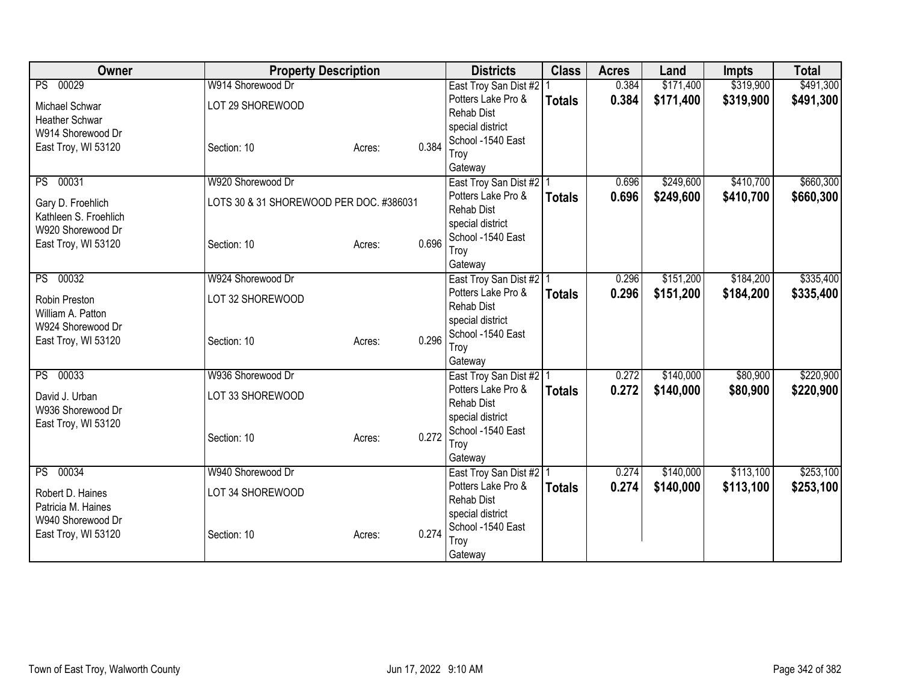| Owner                                      | <b>Property Description</b>             |        |       | <b>Districts</b>          | <b>Class</b>  | <b>Acres</b> | Land      | <b>Impts</b> | <b>Total</b> |
|--------------------------------------------|-----------------------------------------|--------|-------|---------------------------|---------------|--------------|-----------|--------------|--------------|
| PS 00029                                   | W914 Shorewood Dr                       |        |       | East Troy San Dist #2     |               | 0.384        | \$171,400 | \$319,900    | \$491,300    |
| Michael Schwar                             | LOT 29 SHOREWOOD                        |        |       | Potters Lake Pro &        | <b>Totals</b> | 0.384        | \$171,400 | \$319,900    | \$491,300    |
| <b>Heather Schwar</b>                      |                                         |        |       | <b>Rehab Dist</b>         |               |              |           |              |              |
| W914 Shorewood Dr                          |                                         |        |       | special district          |               |              |           |              |              |
| East Troy, WI 53120                        | Section: 10                             | Acres: | 0.384 | School -1540 East         |               |              |           |              |              |
|                                            |                                         |        |       | Troy<br>Gateway           |               |              |           |              |              |
| PS 00031                                   | W920 Shorewood Dr                       |        |       | East Troy San Dist #2   1 |               | 0.696        | \$249,600 | \$410,700    | \$660,300    |
|                                            |                                         |        |       | Potters Lake Pro &        | <b>Totals</b> | 0.696        | \$249,600 | \$410,700    | \$660,300    |
| Gary D. Froehlich                          | LOTS 30 & 31 SHOREWOOD PER DOC. #386031 |        |       | <b>Rehab Dist</b>         |               |              |           |              |              |
| Kathleen S. Froehlich<br>W920 Shorewood Dr |                                         |        |       | special district          |               |              |           |              |              |
| East Troy, WI 53120                        | Section: 10                             |        | 0.696 | School -1540 East         |               |              |           |              |              |
|                                            |                                         | Acres: |       | Troy                      |               |              |           |              |              |
|                                            |                                         |        |       | Gateway                   |               |              |           |              |              |
| PS 00032                                   | W924 Shorewood Dr                       |        |       | East Troy San Dist #2   1 |               | 0.296        | \$151,200 | \$184,200    | \$335,400    |
| Robin Preston                              | LOT 32 SHOREWOOD                        |        |       | Potters Lake Pro &        | <b>Totals</b> | 0.296        | \$151,200 | \$184,200    | \$335,400    |
| William A. Patton                          |                                         |        |       | <b>Rehab Dist</b>         |               |              |           |              |              |
| W924 Shorewood Dr                          |                                         |        |       | special district          |               |              |           |              |              |
| East Troy, WI 53120                        | Section: 10                             | Acres: | 0.296 | School -1540 East         |               |              |           |              |              |
|                                            |                                         |        |       | Troy<br>Gateway           |               |              |           |              |              |
| PS 00033                                   | W936 Shorewood Dr                       |        |       | East Troy San Dist #2 1   |               | 0.272        | \$140,000 | \$80,900     | \$220,900    |
|                                            |                                         |        |       | Potters Lake Pro &        | <b>Totals</b> | 0.272        | \$140,000 | \$80,900     | \$220,900    |
| David J. Urban<br>W936 Shorewood Dr        | LOT 33 SHOREWOOD                        |        |       | <b>Rehab Dist</b>         |               |              |           |              |              |
| East Troy, WI 53120                        |                                         |        |       | special district          |               |              |           |              |              |
|                                            | Section: 10                             | Acres: | 0.272 | School -1540 East         |               |              |           |              |              |
|                                            |                                         |        |       | Troy                      |               |              |           |              |              |
|                                            |                                         |        |       | Gateway                   |               |              |           |              |              |
| PS 00034                                   | W940 Shorewood Dr                       |        |       | East Troy San Dist #2   1 |               | 0.274        | \$140,000 | \$113,100    | \$253,100    |
| Robert D. Haines                           | LOT 34 SHOREWOOD                        |        |       | Potters Lake Pro &        | <b>Totals</b> | 0.274        | \$140,000 | \$113,100    | \$253,100    |
| Patricia M. Haines                         |                                         |        |       | <b>Rehab Dist</b>         |               |              |           |              |              |
| W940 Shorewood Dr                          |                                         |        |       | special district          |               |              |           |              |              |
| East Troy, WI 53120                        | Section: 10                             | Acres: | 0.274 | School -1540 East         |               |              |           |              |              |
|                                            |                                         |        |       | Troy                      |               |              |           |              |              |
|                                            |                                         |        |       | Gateway                   |               |              |           |              |              |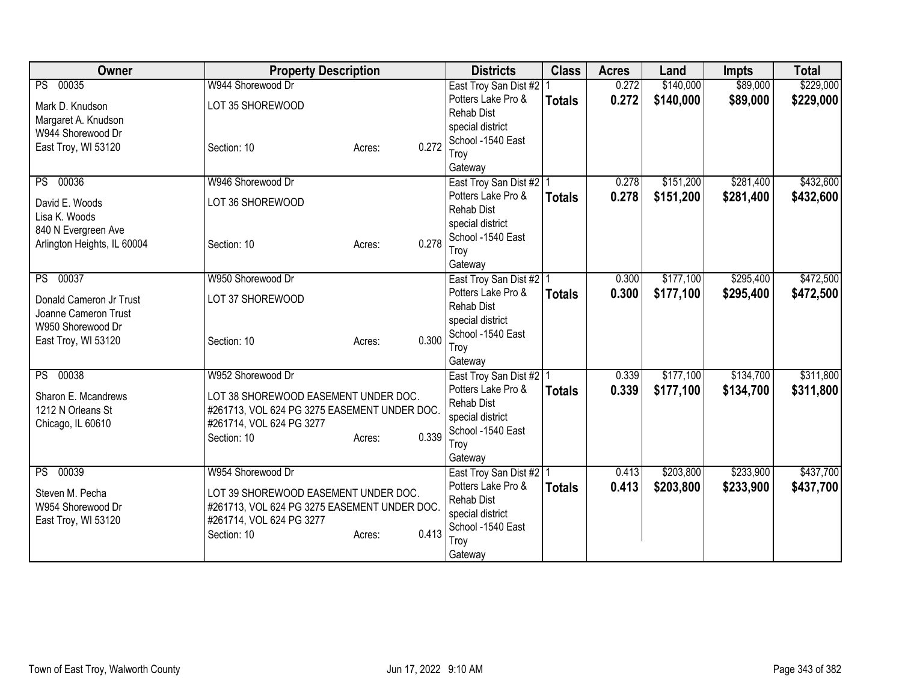| Owner                                                                                                   | <b>Property Description</b>                                                                                                                          |        | <b>Districts</b>                                                                                             | <b>Class</b>                               | <b>Acres</b>   | Land                   | <b>Impts</b>           | <b>Total</b>           |
|---------------------------------------------------------------------------------------------------------|------------------------------------------------------------------------------------------------------------------------------------------------------|--------|--------------------------------------------------------------------------------------------------------------|--------------------------------------------|----------------|------------------------|------------------------|------------------------|
| PS 00035<br>Mark D. Knudson<br>Margaret A. Knudson<br>W944 Shorewood Dr                                 | W944 Shorewood Dr<br>LOT 35 SHOREWOOD                                                                                                                |        | East Troy San Dist #2<br>Potters Lake Pro &<br><b>Rehab Dist</b><br>special district<br>School -1540 East    | <b>Totals</b>                              | 0.272<br>0.272 | \$140,000<br>\$140,000 | \$89,000<br>\$89,000   | \$229,000<br>\$229,000 |
| East Troy, WI 53120                                                                                     | Section: 10                                                                                                                                          | Acres: | 0.272<br>Troy<br>Gateway                                                                                     |                                            |                |                        |                        |                        |
| PS 00036<br>David E. Woods<br>Lisa K. Woods<br>840 N Evergreen Ave<br>Arlington Heights, IL 60004       | W946 Shorewood Dr<br>LOT 36 SHOREWOOD<br>Section: 10                                                                                                 | Acres: | Potters Lake Pro &<br><b>Rehab Dist</b><br>special district<br>School -1540 East<br>0.278<br>Troy<br>Gateway | East Troy San Dist #2   1<br><b>Totals</b> | 0.278<br>0.278 | \$151,200<br>\$151,200 | \$281,400<br>\$281,400 | \$432,600<br>\$432,600 |
| PS 00037<br>Donald Cameron Jr Trust<br>Joanne Cameron Trust<br>W950 Shorewood Dr<br>East Troy, WI 53120 | W950 Shorewood Dr<br>LOT 37 SHOREWOOD<br>Section: 10                                                                                                 | Acres: | Potters Lake Pro &<br><b>Rehab Dist</b><br>special district<br>School -1540 East<br>0.300<br>Troy<br>Gateway | East Troy San Dist #2   1<br><b>Totals</b> | 0.300<br>0.300 | \$177,100<br>\$177,100 | \$295,400<br>\$295,400 | \$472,500<br>\$472,500 |
| PS 00038<br>Sharon E. Mcandrews<br>1212 N Orleans St<br>Chicago, IL 60610                               | W952 Shorewood Dr<br>LOT 38 SHOREWOOD EASEMENT UNDER DOC.<br>#261713, VOL 624 PG 3275 EASEMENT UNDER DOC.<br>#261714, VOL 624 PG 3277<br>Section: 10 | Acres: | Potters Lake Pro &<br><b>Rehab Dist</b><br>special district<br>School -1540 East<br>0.339<br>Troy<br>Gateway | East Troy San Dist #2 1<br><b>Totals</b>   | 0.339<br>0.339 | \$177,100<br>\$177,100 | \$134,700<br>\$134,700 | \$311,800<br>\$311,800 |
| PS 00039<br>Steven M. Pecha<br>W954 Shorewood Dr<br>East Troy, WI 53120                                 | W954 Shorewood Dr<br>LOT 39 SHOREWOOD EASEMENT UNDER DOC.<br>#261713, VOL 624 PG 3275 EASEMENT UNDER DOC.<br>#261714, VOL 624 PG 3277<br>Section: 10 | Acres: | Potters Lake Pro &<br><b>Rehab Dist</b><br>special district<br>School -1540 East<br>0.413<br>Troy<br>Gateway | East Troy San Dist #2   1<br><b>Totals</b> | 0.413<br>0.413 | \$203,800<br>\$203,800 | \$233,900<br>\$233,900 | \$437,700<br>\$437,700 |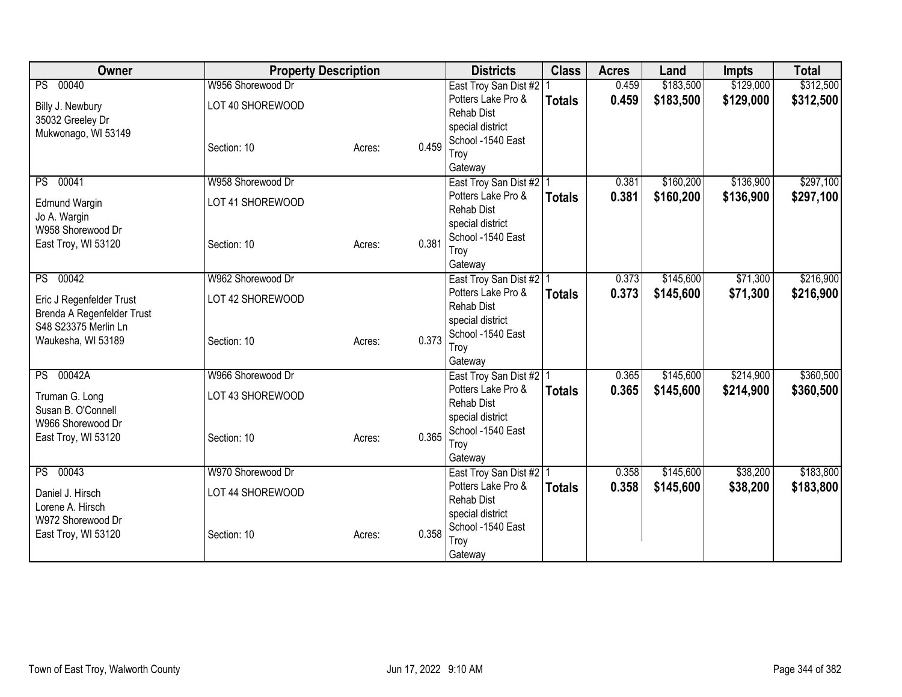| Owner                      | <b>Property Description</b> |        |       | <b>Districts</b>                      | <b>Class</b>  | <b>Acres</b> | Land      | <b>Impts</b> | <b>Total</b> |
|----------------------------|-----------------------------|--------|-------|---------------------------------------|---------------|--------------|-----------|--------------|--------------|
| PS 00040                   | W956 Shorewood Dr           |        |       | East Troy San Dist #2                 |               | 0.459        | \$183,500 | \$129,000    | \$312,500    |
| Billy J. Newbury           | LOT 40 SHOREWOOD            |        |       | Potters Lake Pro &                    | <b>Totals</b> | 0.459        | \$183,500 | \$129,000    | \$312,500    |
| 35032 Greeley Dr           |                             |        |       | <b>Rehab Dist</b>                     |               |              |           |              |              |
| Mukwonago, WI 53149        |                             |        |       | special district                      |               |              |           |              |              |
|                            | Section: 10                 | Acres: | 0.459 | School -1540 East<br>Troy             |               |              |           |              |              |
|                            |                             |        |       | Gateway                               |               |              |           |              |              |
| PS 00041                   | W958 Shorewood Dr           |        |       | East Troy San Dist #2 1               |               | 0.381        | \$160,200 | \$136,900    | \$297,100    |
| <b>Edmund Wargin</b>       | LOT 41 SHOREWOOD            |        |       | Potters Lake Pro &                    | <b>Totals</b> | 0.381        | \$160,200 | \$136,900    | \$297,100    |
| Jo A. Wargin               |                             |        |       | <b>Rehab Dist</b>                     |               |              |           |              |              |
| W958 Shorewood Dr          |                             |        |       | special district                      |               |              |           |              |              |
| East Troy, WI 53120        | Section: 10                 | Acres: | 0.381 | School -1540 East                     |               |              |           |              |              |
|                            |                             |        |       | Troy                                  |               |              |           |              |              |
| PS 00042                   | W962 Shorewood Dr           |        |       | Gateway<br>East Troy San Dist #2   1  |               | 0.373        | \$145,600 | \$71,300     | \$216,900    |
|                            |                             |        |       | Potters Lake Pro &                    | <b>Totals</b> | 0.373        | \$145,600 | \$71,300     | \$216,900    |
| Eric J Regenfelder Trust   | LOT 42 SHOREWOOD            |        |       | <b>Rehab Dist</b>                     |               |              |           |              |              |
| Brenda A Regenfelder Trust |                             |        |       | special district                      |               |              |           |              |              |
| S48 S23375 Merlin Ln       |                             |        | 0.373 | School -1540 East                     |               |              |           |              |              |
| Waukesha, WI 53189         | Section: 10                 | Acres: |       | Troy                                  |               |              |           |              |              |
|                            |                             |        |       | Gateway                               |               |              |           |              |              |
| PS 00042A                  | W966 Shorewood Dr           |        |       | East Troy San Dist #2 1               |               | 0.365        | \$145,600 | \$214,900    | \$360,500    |
| Truman G. Long             | LOT 43 SHOREWOOD            |        |       | Potters Lake Pro &                    | <b>Totals</b> | 0.365        | \$145,600 | \$214,900    | \$360,500    |
| Susan B. O'Connell         |                             |        |       | <b>Rehab Dist</b>                     |               |              |           |              |              |
| W966 Shorewood Dr          |                             |        |       | special district<br>School -1540 East |               |              |           |              |              |
| East Troy, WI 53120        | Section: 10                 | Acres: | 0.365 | Troy                                  |               |              |           |              |              |
|                            |                             |        |       | Gateway                               |               |              |           |              |              |
| PS 00043                   | W970 Shorewood Dr           |        |       | East Troy San Dist #2   1             |               | 0.358        | \$145,600 | \$38,200     | \$183,800    |
| Daniel J. Hirsch           | LOT 44 SHOREWOOD            |        |       | Potters Lake Pro &                    | <b>Totals</b> | 0.358        | \$145,600 | \$38,200     | \$183,800    |
| Lorene A. Hirsch           |                             |        |       | <b>Rehab Dist</b>                     |               |              |           |              |              |
| W972 Shorewood Dr          |                             |        |       | special district                      |               |              |           |              |              |
| East Troy, WI 53120        | Section: 10                 | Acres: | 0.358 | School -1540 East                     |               |              |           |              |              |
|                            |                             |        |       | Troy                                  |               |              |           |              |              |
|                            |                             |        |       | Gateway                               |               |              |           |              |              |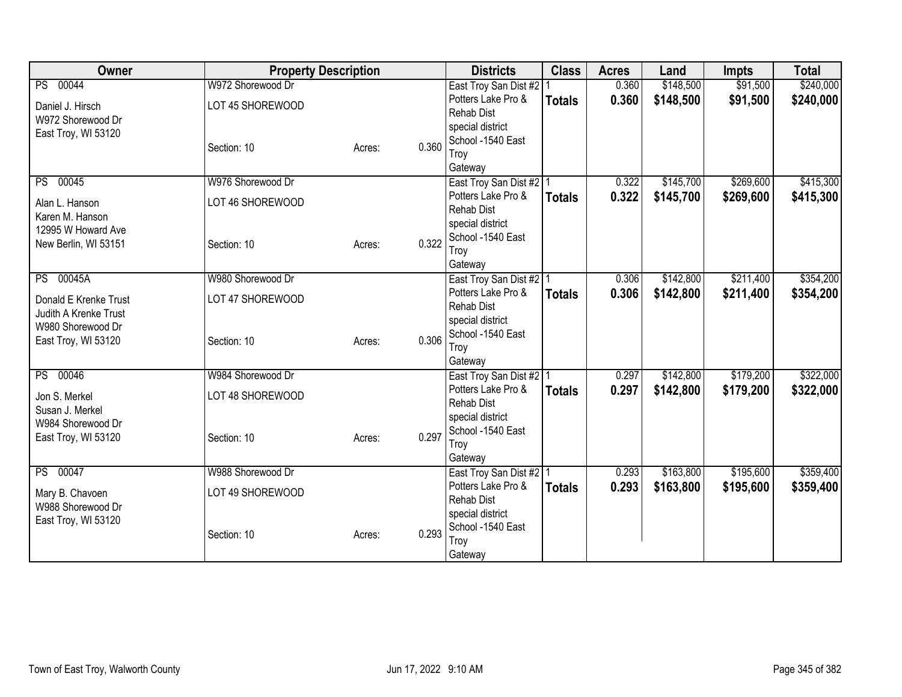| Owner                                          | <b>Property Description</b> |        |       | <b>Districts</b>                                | <b>Class</b>  | <b>Acres</b> | Land      | <b>Impts</b> | <b>Total</b> |
|------------------------------------------------|-----------------------------|--------|-------|-------------------------------------------------|---------------|--------------|-----------|--------------|--------------|
| PS 00044                                       | W972 Shorewood Dr           |        |       | East Troy San Dist #2                           |               | 0.360        | \$148,500 | \$91,500     | \$240,000    |
| Daniel J. Hirsch                               | LOT 45 SHOREWOOD            |        |       | Potters Lake Pro &                              | <b>Totals</b> | 0.360        | \$148,500 | \$91,500     | \$240,000    |
| W972 Shorewood Dr                              |                             |        |       | <b>Rehab Dist</b>                               |               |              |           |              |              |
| East Troy, WI 53120                            |                             |        |       | special district<br>School -1540 East           |               |              |           |              |              |
|                                                | Section: 10                 | Acres: | 0.360 | Troy                                            |               |              |           |              |              |
|                                                |                             |        |       | Gateway                                         |               |              |           |              |              |
| PS 00045                                       | W976 Shorewood Dr           |        |       | East Troy San Dist #2 1                         |               | 0.322        | \$145,700 | \$269,600    | \$415,300    |
| Alan L. Hanson                                 | LOT 46 SHOREWOOD            |        |       | Potters Lake Pro &                              | <b>Totals</b> | 0.322        | \$145,700 | \$269,600    | \$415,300    |
| Karen M. Hanson                                |                             |        |       | <b>Rehab Dist</b>                               |               |              |           |              |              |
| 12995 W Howard Ave                             |                             |        |       | special district                                |               |              |           |              |              |
| New Berlin, WI 53151                           | Section: 10                 | Acres: | 0.322 | School -1540 East<br>Troy                       |               |              |           |              |              |
|                                                |                             |        |       | Gateway                                         |               |              |           |              |              |
| PS 00045A                                      | W980 Shorewood Dr           |        |       | East Troy San Dist #2   1                       |               | 0.306        | \$142,800 | \$211,400    | \$354,200    |
|                                                |                             |        |       | Potters Lake Pro &                              | <b>Totals</b> | 0.306        | \$142,800 | \$211,400    | \$354,200    |
| Donald E Krenke Trust<br>Judith A Krenke Trust | LOT 47 SHOREWOOD            |        |       | <b>Rehab Dist</b>                               |               |              |           |              |              |
| W980 Shorewood Dr                              |                             |        |       | special district                                |               |              |           |              |              |
| East Troy, WI 53120                            | Section: 10                 | Acres: | 0.306 | School -1540 East                               |               |              |           |              |              |
|                                                |                             |        |       | Troy                                            |               |              |           |              |              |
| PS 00046                                       | W984 Shorewood Dr           |        |       | Gateway<br>East Troy San Dist #2 1              |               | 0.297        | \$142,800 | \$179,200    | \$322,000    |
|                                                |                             |        |       | Potters Lake Pro &                              | <b>Totals</b> | 0.297        | \$142,800 | \$179,200    | \$322,000    |
| Jon S. Merkel                                  | LOT 48 SHOREWOOD            |        |       | <b>Rehab Dist</b>                               |               |              |           |              |              |
| Susan J. Merkel<br>W984 Shorewood Dr           |                             |        |       | special district                                |               |              |           |              |              |
| East Troy, WI 53120                            | Section: 10                 | Acres: | 0.297 | School -1540 East                               |               |              |           |              |              |
|                                                |                             |        |       | Troy                                            |               |              |           |              |              |
|                                                |                             |        |       | Gateway                                         |               |              |           |              |              |
| PS 00047                                       | W988 Shorewood Dr           |        |       | East Troy San Dist #2   1<br>Potters Lake Pro & |               | 0.293        | \$163,800 | \$195,600    | \$359,400    |
| Mary B. Chavoen                                | LOT 49 SHOREWOOD            |        |       | <b>Rehab Dist</b>                               | <b>Totals</b> | 0.293        | \$163,800 | \$195,600    | \$359,400    |
| W988 Shorewood Dr                              |                             |        |       | special district                                |               |              |           |              |              |
| East Troy, WI 53120                            |                             |        |       | School -1540 East                               |               |              |           |              |              |
|                                                | Section: 10                 | Acres: | 0.293 | Troy                                            |               |              |           |              |              |
|                                                |                             |        |       | Gateway                                         |               |              |           |              |              |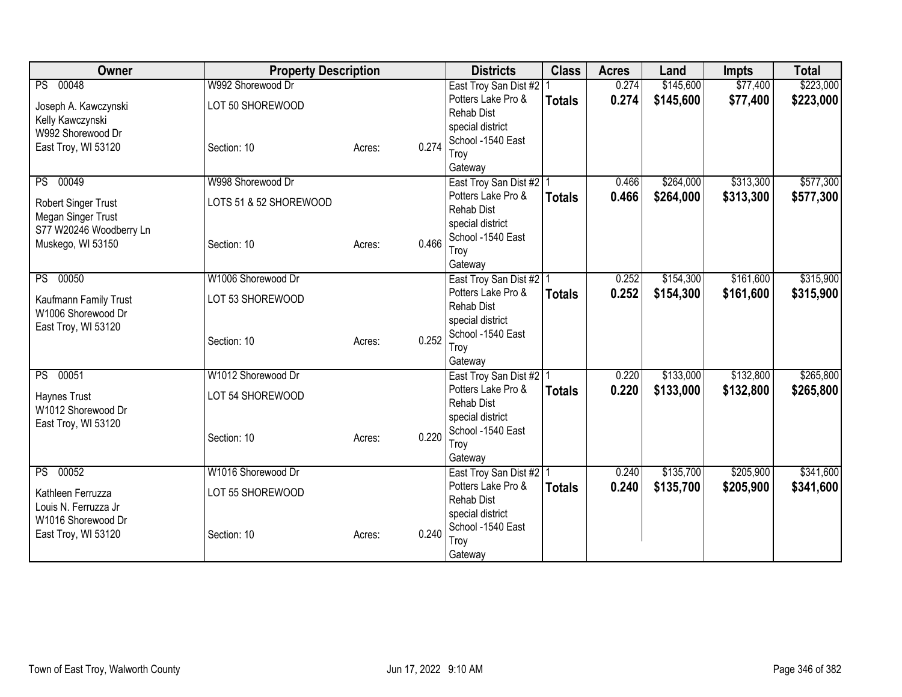| <b>Owner</b>                                     | <b>Property Description</b> |        |       | <b>Districts</b>                                | <b>Class</b>  | <b>Acres</b> | Land      | <b>Impts</b> | <b>Total</b> |
|--------------------------------------------------|-----------------------------|--------|-------|-------------------------------------------------|---------------|--------------|-----------|--------------|--------------|
| PS 00048                                         | W992 Shorewood Dr           |        |       | East Troy San Dist #2                           |               | 0.274        | \$145,600 | \$77,400     | \$223,000    |
| Joseph A. Kawczynski                             | LOT 50 SHOREWOOD            |        |       | Potters Lake Pro &                              | <b>Totals</b> | 0.274        | \$145,600 | \$77,400     | \$223,000    |
| Kelly Kawczynski                                 |                             |        |       | <b>Rehab Dist</b>                               |               |              |           |              |              |
| W992 Shorewood Dr                                |                             |        |       | special district<br>School -1540 East           |               |              |           |              |              |
| East Troy, WI 53120                              | Section: 10                 | Acres: | 0.274 | Troy                                            |               |              |           |              |              |
|                                                  |                             |        |       | Gateway                                         |               |              |           |              |              |
| PS 00049                                         | W998 Shorewood Dr           |        |       | East Troy San Dist #2 1                         |               | 0.466        | \$264,000 | \$313,300    | \$577,300    |
|                                                  | LOTS 51 & 52 SHOREWOOD      |        |       | Potters Lake Pro &                              | <b>Totals</b> | 0.466        | \$264,000 | \$313,300    | \$577,300    |
| <b>Robert Singer Trust</b><br>Megan Singer Trust |                             |        |       | <b>Rehab Dist</b>                               |               |              |           |              |              |
| S77 W20246 Woodberry Ln                          |                             |        |       | special district                                |               |              |           |              |              |
| Muskego, WI 53150                                | Section: 10                 | Acres: | 0.466 | School -1540 East                               |               |              |           |              |              |
|                                                  |                             |        |       | Troy                                            |               |              |           |              |              |
| PS 00050                                         | W1006 Shorewood Dr          |        |       | Gateway                                         |               | 0.252        | \$154,300 | \$161,600    | \$315,900    |
|                                                  |                             |        |       | East Troy San Dist #2   1<br>Potters Lake Pro & |               | 0.252        |           | \$161,600    |              |
| Kaufmann Family Trust                            | LOT 53 SHOREWOOD            |        |       | <b>Rehab Dist</b>                               | <b>Totals</b> |              | \$154,300 |              | \$315,900    |
| W1006 Shorewood Dr                               |                             |        |       | special district                                |               |              |           |              |              |
| East Troy, WI 53120                              |                             |        |       | School -1540 East                               |               |              |           |              |              |
|                                                  | Section: 10                 | Acres: | 0.252 | Troy                                            |               |              |           |              |              |
|                                                  |                             |        |       | Gateway                                         |               |              |           |              |              |
| PS 00051                                         | W1012 Shorewood Dr          |        |       | East Troy San Dist #2   1                       |               | 0.220        | \$133,000 | \$132,800    | \$265,800    |
| <b>Haynes Trust</b>                              | LOT 54 SHOREWOOD            |        |       | Potters Lake Pro &                              | <b>Totals</b> | 0.220        | \$133,000 | \$132,800    | \$265,800    |
| W1012 Shorewood Dr                               |                             |        |       | <b>Rehab Dist</b>                               |               |              |           |              |              |
| East Troy, WI 53120                              |                             |        |       | special district<br>School -1540 East           |               |              |           |              |              |
|                                                  | Section: 10                 | Acres: | 0.220 | Troy                                            |               |              |           |              |              |
|                                                  |                             |        |       | Gateway                                         |               |              |           |              |              |
| PS 00052                                         | W1016 Shorewood Dr          |        |       | East Troy San Dist #2   1                       |               | 0.240        | \$135,700 | \$205,900    | \$341,600    |
|                                                  |                             |        |       | Potters Lake Pro &                              | <b>Totals</b> | 0.240        | \$135,700 | \$205,900    | \$341,600    |
| Kathleen Ferruzza<br>Louis N. Ferruzza Jr        | LOT 55 SHOREWOOD            |        |       | <b>Rehab Dist</b>                               |               |              |           |              |              |
| W1016 Shorewood Dr                               |                             |        |       | special district                                |               |              |           |              |              |
| East Troy, WI 53120                              | Section: 10                 | Acres: | 0.240 | School -1540 East                               |               |              |           |              |              |
|                                                  |                             |        |       | Troy                                            |               |              |           |              |              |
|                                                  |                             |        |       | Gateway                                         |               |              |           |              |              |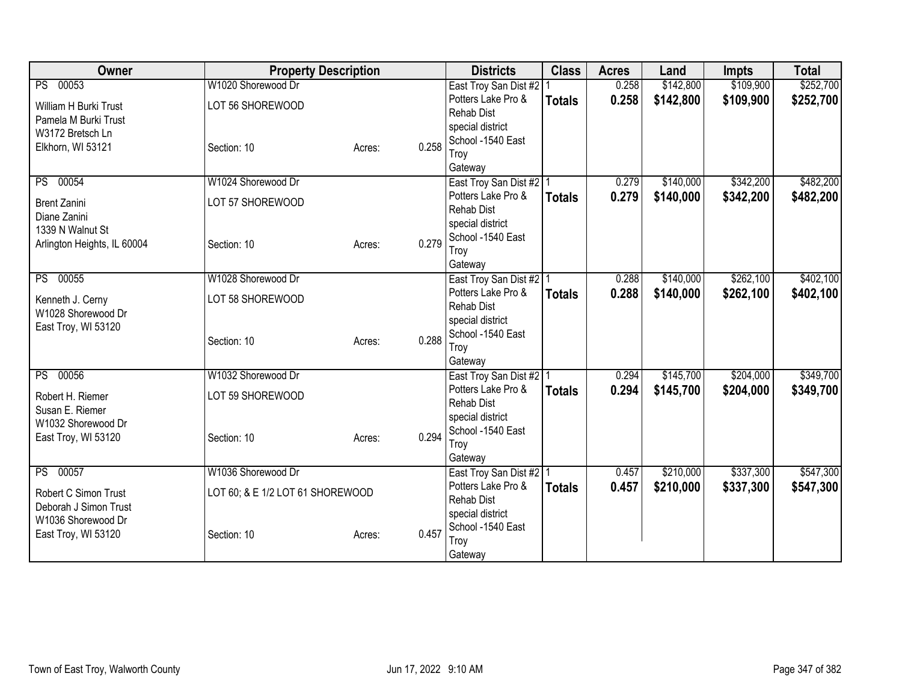| Owner                                         | <b>Property Description</b>      |        |       | <b>Districts</b>                      | <b>Class</b>  | <b>Acres</b> | Land      | <b>Impts</b> | <b>Total</b> |
|-----------------------------------------------|----------------------------------|--------|-------|---------------------------------------|---------------|--------------|-----------|--------------|--------------|
| PS 00053                                      | W1020 Shorewood Dr               |        |       | East Troy San Dist #2                 |               | 0.258        | \$142,800 | \$109,900    | \$252,700    |
| William H Burki Trust                         | LOT 56 SHOREWOOD                 |        |       | Potters Lake Pro &                    | <b>Totals</b> | 0.258        | \$142,800 | \$109,900    | \$252,700    |
| Pamela M Burki Trust                          |                                  |        |       | <b>Rehab Dist</b>                     |               |              |           |              |              |
| W3172 Bretsch Ln                              |                                  |        |       | special district<br>School -1540 East |               |              |           |              |              |
| Elkhorn, WI 53121                             | Section: 10                      | Acres: | 0.258 | Troy                                  |               |              |           |              |              |
|                                               |                                  |        |       | Gateway                               |               |              |           |              |              |
| PS 00054                                      | W1024 Shorewood Dr               |        |       | East Troy San Dist #2 1               |               | 0.279        | \$140,000 | \$342,200    | \$482,200    |
| <b>Brent Zanini</b>                           | LOT 57 SHOREWOOD                 |        |       | Potters Lake Pro &                    | <b>Totals</b> | 0.279        | \$140,000 | \$342,200    | \$482,200    |
| Diane Zanini                                  |                                  |        |       | <b>Rehab Dist</b>                     |               |              |           |              |              |
| 1339 N Walnut St                              |                                  |        |       | special district                      |               |              |           |              |              |
| Arlington Heights, IL 60004                   | Section: 10                      | Acres: | 0.279 | School -1540 East<br>Troy             |               |              |           |              |              |
|                                               |                                  |        |       | Gateway                               |               |              |           |              |              |
| PS 00055                                      | W1028 Shorewood Dr               |        |       | East Troy San Dist #2   1             |               | 0.288        | \$140,000 | \$262,100    | \$402,100    |
| Kenneth J. Cerny                              | LOT 58 SHOREWOOD                 |        |       | Potters Lake Pro &                    | <b>Totals</b> | 0.288        | \$140,000 | \$262,100    | \$402,100    |
| W1028 Shorewood Dr                            |                                  |        |       | <b>Rehab Dist</b>                     |               |              |           |              |              |
| East Troy, WI 53120                           |                                  |        |       | special district                      |               |              |           |              |              |
|                                               | Section: 10                      | Acres: | 0.288 | School -1540 East                     |               |              |           |              |              |
|                                               |                                  |        |       | Troy<br>Gateway                       |               |              |           |              |              |
| PS 00056                                      | W1032 Shorewood Dr               |        |       | East Troy San Dist #2 1               |               | 0.294        | \$145,700 | \$204,000    | \$349,700    |
| Robert H. Riemer                              | LOT 59 SHOREWOOD                 |        |       | Potters Lake Pro &                    | <b>Totals</b> | 0.294        | \$145,700 | \$204,000    | \$349,700    |
| Susan E. Riemer                               |                                  |        |       | <b>Rehab Dist</b>                     |               |              |           |              |              |
| W1032 Shorewood Dr                            |                                  |        |       | special district                      |               |              |           |              |              |
| East Troy, WI 53120                           | Section: 10                      | Acres: | 0.294 | School -1540 East                     |               |              |           |              |              |
|                                               |                                  |        |       | Troy<br>Gateway                       |               |              |           |              |              |
| PS 00057                                      | W1036 Shorewood Dr               |        |       | East Troy San Dist #2   1             |               | 0.457        | \$210,000 | \$337,300    | \$547,300    |
|                                               |                                  |        |       | Potters Lake Pro &                    | <b>Totals</b> | 0.457        | \$210,000 | \$337,300    | \$547,300    |
| Robert C Simon Trust<br>Deborah J Simon Trust | LOT 60; & E 1/2 LOT 61 SHOREWOOD |        |       | <b>Rehab Dist</b>                     |               |              |           |              |              |
| W1036 Shorewood Dr                            |                                  |        |       | special district                      |               |              |           |              |              |
| East Troy, WI 53120                           | Section: 10                      | Acres: | 0.457 | School -1540 East                     |               |              |           |              |              |
|                                               |                                  |        |       | Troy                                  |               |              |           |              |              |
|                                               |                                  |        |       | Gateway                               |               |              |           |              |              |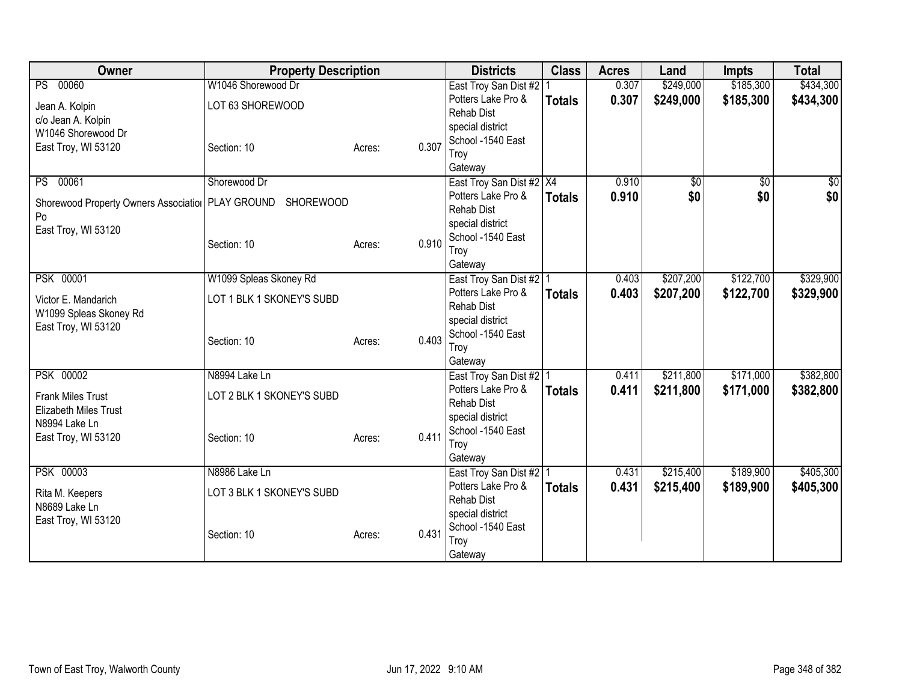| Owner                                                         | <b>Property Description</b> |                 | <b>Districts</b>                                | <b>Class</b>  | <b>Acres</b> | Land      | <b>Impts</b>    | <b>Total</b>  |
|---------------------------------------------------------------|-----------------------------|-----------------|-------------------------------------------------|---------------|--------------|-----------|-----------------|---------------|
| PS 00060                                                      | W1046 Shorewood Dr          |                 | East Troy San Dist #2                           |               | 0.307        | \$249,000 | \$185,300       | \$434,300     |
| Jean A. Kolpin                                                | LOT 63 SHOREWOOD            |                 | Potters Lake Pro &                              | <b>Totals</b> | 0.307        | \$249,000 | \$185,300       | \$434,300     |
| c/o Jean A. Kolpin                                            |                             |                 | <b>Rehab Dist</b>                               |               |              |           |                 |               |
| W1046 Shorewood Dr                                            |                             |                 | special district                                |               |              |           |                 |               |
| East Troy, WI 53120                                           | Section: 10                 | 0.307<br>Acres: | School -1540 East                               |               |              |           |                 |               |
|                                                               |                             |                 | Troy                                            |               |              |           |                 |               |
| 00061<br><b>PS</b>                                            | Shorewood Dr                |                 | Gateway<br>East Troy San Dist #2 X4             |               | 0.910        | \$0       | $\overline{50}$ | $\frac{1}{6}$ |
|                                                               |                             |                 | Potters Lake Pro &                              | <b>Totals</b> | 0.910        | \$0       | \$0             | \$0           |
| Shorewood Property Owners Association   PLAY GROUND SHOREWOOD |                             |                 | <b>Rehab Dist</b>                               |               |              |           |                 |               |
| Po                                                            |                             |                 | special district                                |               |              |           |                 |               |
| East Troy, WI 53120                                           |                             |                 | School -1540 East                               |               |              |           |                 |               |
|                                                               | Section: 10                 | 0.910<br>Acres: | Troy                                            |               |              |           |                 |               |
|                                                               |                             |                 | Gateway                                         |               |              |           |                 |               |
| <b>PSK 00001</b>                                              | W1099 Spleas Skoney Rd      |                 | East Troy San Dist #2 1                         |               | 0.403        | \$207,200 | \$122,700       | \$329,900     |
| Victor E. Mandarich                                           | LOT 1 BLK 1 SKONEY'S SUBD   |                 | Potters Lake Pro &                              | <b>Totals</b> | 0.403        | \$207,200 | \$122,700       | \$329,900     |
| W1099 Spleas Skoney Rd                                        |                             |                 | <b>Rehab Dist</b>                               |               |              |           |                 |               |
| East Troy, WI 53120                                           |                             |                 | special district                                |               |              |           |                 |               |
|                                                               | Section: 10                 | 0.403<br>Acres: | School -1540 East                               |               |              |           |                 |               |
|                                                               |                             |                 | Troy                                            |               |              |           |                 |               |
| <b>PSK 00002</b>                                              | N8994 Lake Ln               |                 | Gateway                                         |               | 0.411        | \$211,800 | \$171,000       | \$382,800     |
|                                                               |                             |                 | East Troy San Dist #2   1<br>Potters Lake Pro & |               | 0.411        | \$211,800 | \$171,000       |               |
| <b>Frank Miles Trust</b>                                      | LOT 2 BLK 1 SKONEY'S SUBD   |                 | <b>Rehab Dist</b>                               | <b>Totals</b> |              |           |                 | \$382,800     |
| <b>Elizabeth Miles Trust</b>                                  |                             |                 | special district                                |               |              |           |                 |               |
| N8994 Lake Ln                                                 |                             |                 | School -1540 East                               |               |              |           |                 |               |
| East Troy, WI 53120                                           | Section: 10                 | 0.411<br>Acres: | Troy                                            |               |              |           |                 |               |
|                                                               |                             |                 | Gateway                                         |               |              |           |                 |               |
| <b>PSK 00003</b>                                              | N8986 Lake Ln               |                 | East Troy San Dist #2   1                       |               | 0.431        | \$215,400 | \$189,900       | \$405,300     |
| Rita M. Keepers                                               | LOT 3 BLK 1 SKONEY'S SUBD   |                 | Potters Lake Pro &                              | <b>Totals</b> | 0.431        | \$215,400 | \$189,900       | \$405,300     |
| N8689 Lake Ln                                                 |                             |                 | Rehab Dist                                      |               |              |           |                 |               |
| East Troy, WI 53120                                           |                             |                 | special district                                |               |              |           |                 |               |
|                                                               | Section: 10                 | 0.431<br>Acres: | School -1540 East                               |               |              |           |                 |               |
|                                                               |                             |                 | Troy                                            |               |              |           |                 |               |
|                                                               |                             |                 | Gateway                                         |               |              |           |                 |               |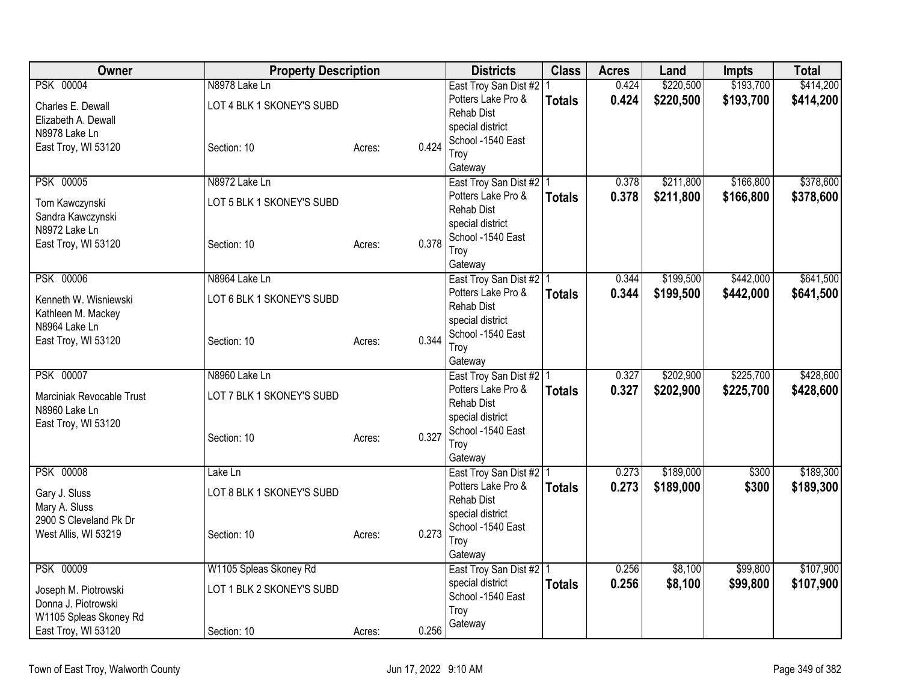| Owner                                                                         | <b>Property Description</b>                |        |       | <b>Districts</b>                                                                                              | <b>Class</b>  | <b>Acres</b>   | Land                   | <b>Impts</b>           | <b>Total</b>           |
|-------------------------------------------------------------------------------|--------------------------------------------|--------|-------|---------------------------------------------------------------------------------------------------------------|---------------|----------------|------------------------|------------------------|------------------------|
| <b>PSK 00004</b><br>Charles E. Dewall<br>Elizabeth A. Dewall<br>N8978 Lake Ln | N8978 Lake Ln<br>LOT 4 BLK 1 SKONEY'S SUBD |        |       | East Troy San Dist #2   1<br>Potters Lake Pro &<br><b>Rehab Dist</b><br>special district<br>School -1540 East | <b>Totals</b> | 0.424<br>0.424 | \$220,500<br>\$220,500 | \$193,700<br>\$193,700 | \$414,200<br>\$414,200 |
| East Troy, WI 53120                                                           | Section: 10                                | Acres: | 0.424 | Troy<br>Gateway                                                                                               |               |                |                        |                        |                        |
| <b>PSK 00005</b>                                                              | N8972 Lake Ln                              |        |       | East Troy San Dist #2   1                                                                                     |               | 0.378          | \$211,800              | \$166,800              | \$378,600              |
| Tom Kawczynski<br>Sandra Kawczynski<br>N8972 Lake Ln<br>East Troy, WI 53120   | LOT 5 BLK 1 SKONEY'S SUBD<br>Section: 10   | Acres: | 0.378 | Potters Lake Pro &<br><b>Rehab Dist</b><br>special district<br>School -1540 East<br>Troy<br>Gateway           | <b>Totals</b> | 0.378          | \$211,800              | \$166,800              | \$378,600              |
| <b>PSK 00006</b>                                                              | N8964 Lake Ln                              |        |       | East Troy San Dist #2   1                                                                                     |               | 0.344          | \$199,500              | \$442,000              | \$641,500              |
| Kenneth W. Wisniewski<br>Kathleen M. Mackey<br>N8964 Lake Ln                  | LOT 6 BLK 1 SKONEY'S SUBD                  |        |       | Potters Lake Pro &<br><b>Rehab Dist</b><br>special district                                                   | <b>Totals</b> | 0.344          | \$199,500              | \$442,000              | \$641,500              |
| East Troy, WI 53120                                                           | Section: 10                                | Acres: | 0.344 | School -1540 East<br>Troy<br>Gateway                                                                          |               |                |                        |                        |                        |
| <b>PSK 00007</b>                                                              | N8960 Lake Ln                              |        |       | East Troy San Dist #2   1                                                                                     |               | 0.327          | \$202,900              | \$225,700              | \$428,600              |
| Marciniak Revocable Trust<br>N8960 Lake Ln<br>East Troy, WI 53120             | LOT 7 BLK 1 SKONEY'S SUBD<br>Section: 10   | Acres: | 0.327 | Potters Lake Pro &<br><b>Rehab Dist</b><br>special district<br>School -1540 East<br>Troy<br>Gateway           | <b>Totals</b> | 0.327          | \$202,900              | \$225,700              | \$428,600              |
| <b>PSK 00008</b>                                                              | Lake Ln                                    |        |       | East Troy San Dist #2   1                                                                                     |               | 0.273          | \$189,000              | \$300                  | \$189,300              |
| Gary J. Sluss<br>Mary A. Sluss<br>2900 S Cleveland Pk Dr                      | LOT 8 BLK 1 SKONEY'S SUBD                  |        |       | Potters Lake Pro &<br>Rehab Dist<br>special district<br>School -1540 East                                     | <b>Totals</b> | 0.273          | \$189,000              | \$300                  | \$189,300              |
| West Allis, WI 53219                                                          | Section: 10                                | Acres: | 0.273 | Troy<br>Gateway                                                                                               |               |                |                        |                        |                        |
| <b>PSK 00009</b>                                                              | W1105 Spleas Skoney Rd                     |        |       | East Troy San Dist #2 1                                                                                       |               | 0.256          | \$8,100                | \$99,800               | \$107,900              |
| Joseph M. Piotrowski<br>Donna J. Piotrowski<br>W1105 Spleas Skoney Rd         | LOT 1 BLK 2 SKONEY'S SUBD                  |        |       | special district<br>School -1540 East<br>Troy                                                                 | <b>Totals</b> | 0.256          | \$8,100                | \$99,800               | \$107,900              |
| East Troy, WI 53120                                                           | Section: 10                                | Acres: | 0.256 | Gateway                                                                                                       |               |                |                        |                        |                        |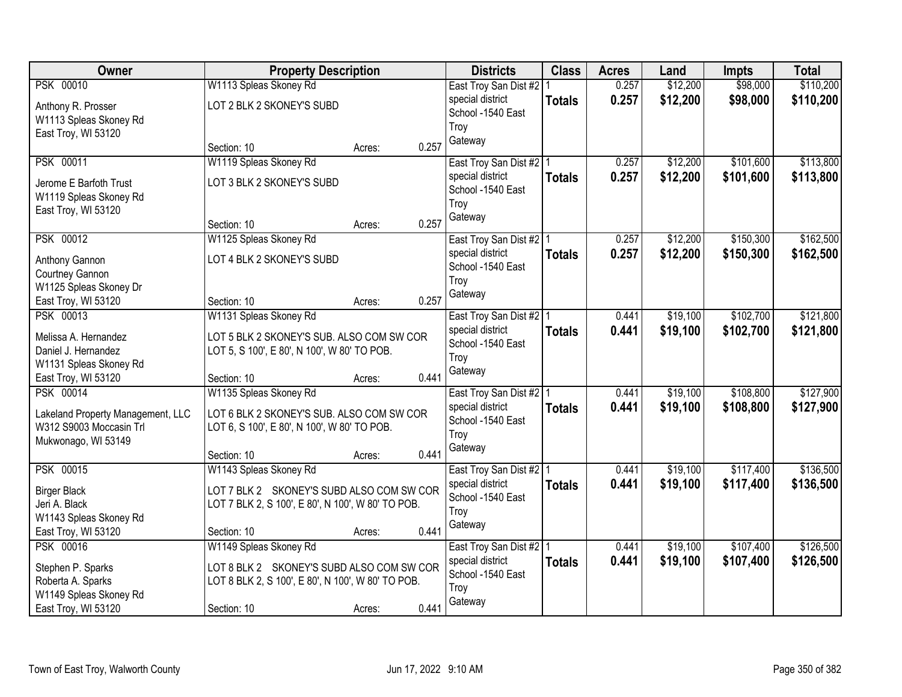| Owner                                                        |                                                   | <b>Property Description</b> |       | <b>Districts</b>          | <b>Class</b>  | <b>Acres</b> | Land     | <b>Impts</b> | <b>Total</b> |
|--------------------------------------------------------------|---------------------------------------------------|-----------------------------|-------|---------------------------|---------------|--------------|----------|--------------|--------------|
| <b>PSK 00010</b>                                             | W1113 Spleas Skoney Rd                            |                             |       | East Troy San Dist #2   1 |               | 0.257        | \$12,200 | \$98,000     | \$110,200    |
| Anthony R. Prosser                                           | LOT 2 BLK 2 SKONEY'S SUBD                         |                             |       | special district          | <b>Totals</b> | 0.257        | \$12,200 | \$98,000     | \$110,200    |
| W1113 Spleas Skoney Rd                                       |                                                   |                             |       | School -1540 East         |               |              |          |              |              |
| East Troy, WI 53120                                          |                                                   |                             |       | Troy                      |               |              |          |              |              |
|                                                              | Section: 10                                       | Acres:                      | 0.257 | Gateway                   |               |              |          |              |              |
| PSK 00011                                                    | W1119 Spleas Skoney Rd                            |                             |       | East Troy San Dist #2 1   |               | 0.257        | \$12,200 | \$101,600    | \$113,800    |
| Jerome E Barfoth Trust                                       | LOT 3 BLK 2 SKONEY'S SUBD                         |                             |       | special district          | <b>Totals</b> | 0.257        | \$12,200 | \$101,600    | \$113,800    |
| W1119 Spleas Skoney Rd                                       |                                                   |                             |       | School -1540 East         |               |              |          |              |              |
| East Troy, WI 53120                                          |                                                   |                             |       | Troy                      |               |              |          |              |              |
|                                                              | Section: 10                                       | Acres:                      | 0.257 | Gateway                   |               |              |          |              |              |
| PSK 00012                                                    | W1125 Spleas Skoney Rd                            |                             |       | East Troy San Dist #2   1 |               | 0.257        | \$12,200 | \$150,300    | \$162,500    |
| Anthony Gannon                                               | LOT 4 BLK 2 SKONEY'S SUBD                         |                             |       | special district          | <b>Totals</b> | 0.257        | \$12,200 | \$150,300    | \$162,500    |
| Courtney Gannon                                              |                                                   |                             |       | School -1540 East         |               |              |          |              |              |
| W1125 Spleas Skoney Dr                                       |                                                   |                             |       | Troy                      |               |              |          |              |              |
| East Troy, WI 53120                                          | Section: 10                                       | Acres:                      | 0.257 | Gateway                   |               |              |          |              |              |
| PSK 00013                                                    | W1131 Spleas Skoney Rd                            |                             |       | East Troy San Dist #2   1 |               | 0.441        | \$19,100 | \$102,700    | \$121,800    |
| Melissa A. Hernandez                                         | LOT 5 BLK 2 SKONEY'S SUB. ALSO COM SW COR         |                             |       | special district          | <b>Totals</b> | 0.441        | \$19,100 | \$102,700    | \$121,800    |
| Daniel J. Hernandez                                          | LOT 5, S 100', E 80', N 100', W 80' TO POB.       |                             |       | School -1540 East         |               |              |          |              |              |
| W1131 Spleas Skoney Rd                                       |                                                   |                             |       | Troy                      |               |              |          |              |              |
| East Troy, WI 53120                                          | Section: 10                                       | Acres:                      | 0.441 | Gateway                   |               |              |          |              |              |
| <b>PSK 00014</b>                                             | W1135 Spleas Skoney Rd                            |                             |       | East Troy San Dist #2   1 |               | 0.441        | \$19,100 | \$108,800    | \$127,900    |
|                                                              | LOT 6 BLK 2 SKONEY'S SUB. ALSO COM SW COR         |                             |       | special district          | <b>Totals</b> | 0.441        | \$19,100 | \$108,800    | \$127,900    |
| Lakeland Property Management, LLC<br>W312 S9003 Moccasin Trl | LOT 6, S 100', E 80', N 100', W 80' TO POB.       |                             |       | School -1540 East         |               |              |          |              |              |
| Mukwonago, WI 53149                                          |                                                   |                             |       | Troy                      |               |              |          |              |              |
|                                                              | Section: 10                                       | Acres:                      | 0.441 | Gateway                   |               |              |          |              |              |
| <b>PSK 00015</b>                                             | W1143 Spleas Skoney Rd                            |                             |       | East Troy San Dist #2 1   |               | 0.441        | \$19,100 | \$117,400    | \$136,500    |
| <b>Birger Black</b>                                          | LOT 7 BLK 2 SKONEY'S SUBD ALSO COM SW COR         |                             |       | special district          | <b>Totals</b> | 0.441        | \$19,100 | \$117,400    | \$136,500    |
| Jeri A. Black                                                | LOT 7 BLK 2, S 100', E 80', N 100', W 80' TO POB. |                             |       | School -1540 East         |               |              |          |              |              |
| W1143 Spleas Skoney Rd                                       |                                                   |                             |       | Troy                      |               |              |          |              |              |
| East Troy, WI 53120                                          | Section: 10                                       | Acres:                      | 0.441 | Gateway                   |               |              |          |              |              |
| <b>PSK 00016</b>                                             | W1149 Spleas Skoney Rd                            |                             |       | East Troy San Dist #2   1 |               | 0.441        | \$19,100 | \$107,400    | \$126,500    |
| Stephen P. Sparks                                            | LOT 8 BLK 2 SKONEY'S SUBD ALSO COM SW COR         |                             |       | special district          | <b>Totals</b> | 0.441        | \$19,100 | \$107,400    | \$126,500    |
| Roberta A. Sparks                                            | LOT 8 BLK 2, S 100', E 80', N 100', W 80' TO POB. |                             |       | School -1540 East         |               |              |          |              |              |
| W1149 Spleas Skoney Rd                                       |                                                   |                             |       | Troy                      |               |              |          |              |              |
| East Troy, WI 53120                                          | Section: 10                                       | Acres:                      | 0.441 | Gateway                   |               |              |          |              |              |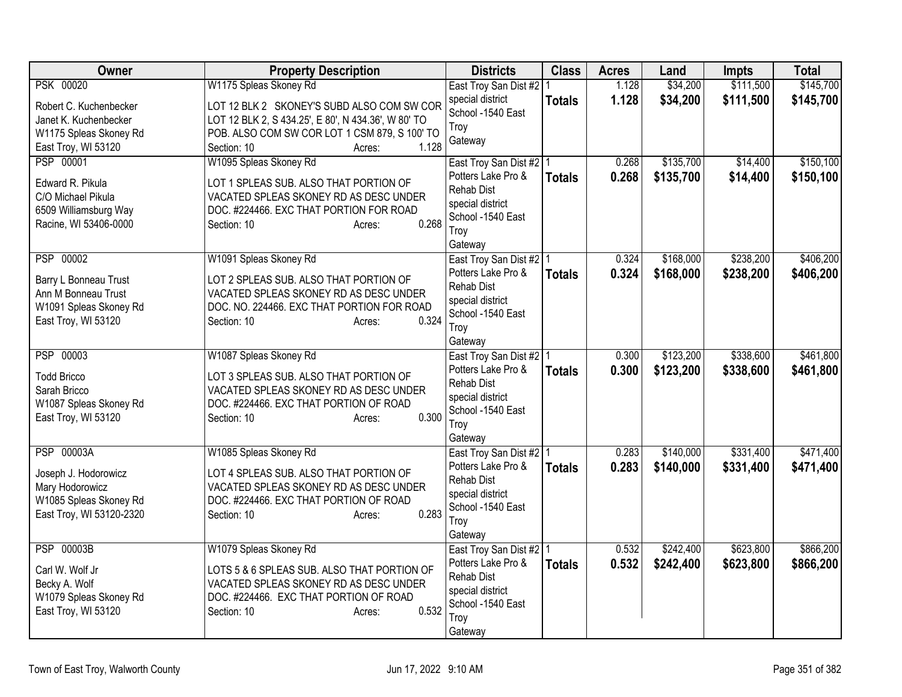| Owner                                                                                                                | <b>Property Description</b>                                                                                                                                                                                    | <b>Districts</b>                                                                                                                 | <b>Class</b>  | <b>Acres</b>   | Land                   | <b>Impts</b>           | <b>Total</b>           |
|----------------------------------------------------------------------------------------------------------------------|----------------------------------------------------------------------------------------------------------------------------------------------------------------------------------------------------------------|----------------------------------------------------------------------------------------------------------------------------------|---------------|----------------|------------------------|------------------------|------------------------|
| <b>PSK 00020</b><br>Robert C. Kuchenbecker<br>Janet K. Kuchenbecker<br>W1175 Spleas Skoney Rd<br>East Troy, WI 53120 | W1175 Spleas Skoney Rd<br>LOT 12 BLK 2 SKONEY'S SUBD ALSO COM SW COR<br>LOT 12 BLK 2, S 434.25', E 80', N 434.36', W 80' TO<br>POB. ALSO COM SW COR LOT 1 CSM 879, S 100' TO<br>1.128<br>Section: 10<br>Acres: | East Troy San Dist #2   1<br>special district<br>School -1540 East<br>Troy<br>Gateway                                            | <b>Totals</b> | 1.128<br>1.128 | \$34,200<br>\$34,200   | \$111,500<br>\$111,500 | \$145,700<br>\$145,700 |
| PSP 00001<br>Edward R. Pikula<br>C/O Michael Pikula<br>6509 Williamsburg Way<br>Racine, WI 53406-0000                | W1095 Spleas Skoney Rd<br>LOT 1 SPLEAS SUB. ALSO THAT PORTION OF<br>VACATED SPLEAS SKONEY RD AS DESC UNDER<br>DOC. #224466. EXC THAT PORTION FOR ROAD<br>0.268<br>Section: 10<br>Acres:                        | East Troy San Dist #2   1<br>Potters Lake Pro &<br><b>Rehab Dist</b><br>special district<br>School -1540 East<br>Troy<br>Gateway | <b>Totals</b> | 0.268<br>0.268 | \$135,700<br>\$135,700 | \$14,400<br>\$14,400   | \$150,100<br>\$150,100 |
| PSP 00002<br>Barry L Bonneau Trust<br>Ann M Bonneau Trust<br>W1091 Spleas Skoney Rd<br>East Troy, WI 53120           | W1091 Spleas Skoney Rd<br>LOT 2 SPLEAS SUB. ALSO THAT PORTION OF<br>VACATED SPLEAS SKONEY RD AS DESC UNDER<br>DOC. NO. 224466. EXC THAT PORTION FOR ROAD<br>0.324<br>Section: 10<br>Acres:                     | East Troy San Dist #2   1<br>Potters Lake Pro &<br><b>Rehab Dist</b><br>special district<br>School -1540 East<br>Troy<br>Gateway | <b>Totals</b> | 0.324<br>0.324 | \$168,000<br>\$168,000 | \$238,200<br>\$238,200 | \$406,200<br>\$406,200 |
| PSP 00003<br><b>Todd Bricco</b><br>Sarah Bricco<br>W1087 Spleas Skoney Rd<br>East Troy, WI 53120                     | W1087 Spleas Skoney Rd<br>LOT 3 SPLEAS SUB. ALSO THAT PORTION OF<br>VACATED SPLEAS SKONEY RD AS DESC UNDER<br>DOC. #224466. EXC THAT PORTION OF ROAD<br>0.300<br>Section: 10<br>Acres:                         | East Troy San Dist #2   1<br>Potters Lake Pro &<br><b>Rehab Dist</b><br>special district<br>School -1540 East<br>Troy<br>Gateway | <b>Totals</b> | 0.300<br>0.300 | \$123,200<br>\$123,200 | \$338,600<br>\$338,600 | \$461,800<br>\$461,800 |
| <b>PSP 00003A</b><br>Joseph J. Hodorowicz<br>Mary Hodorowicz<br>W1085 Spleas Skoney Rd<br>East Troy, WI 53120-2320   | W1085 Spleas Skoney Rd<br>LOT 4 SPLEAS SUB. ALSO THAT PORTION OF<br>VACATED SPLEAS SKONEY RD AS DESC UNDER<br>DOC. #224466. EXC THAT PORTION OF ROAD<br>0.283<br>Section: 10<br>Acres:                         | East Troy San Dist #2   1<br>Potters Lake Pro &<br><b>Rehab Dist</b><br>special district<br>School -1540 East<br>Troy<br>Gateway | <b>Totals</b> | 0.283<br>0.283 | \$140,000<br>\$140,000 | \$331,400<br>\$331,400 | \$471,400<br>\$471,400 |
| <b>PSP 00003B</b><br>Carl W. Wolf Jr<br>Becky A. Wolf<br>W1079 Spleas Skoney Rd<br>East Troy, WI 53120               | W1079 Spleas Skoney Rd<br>LOTS 5 & 6 SPLEAS SUB. ALSO THAT PORTION OF<br>VACATED SPLEAS SKONEY RD AS DESC UNDER<br>DOC. #224466. EXC THAT PORTION OF ROAD<br>0.532<br>Section: 10<br>Acres:                    | East Troy San Dist #2   1<br>Potters Lake Pro &<br>Rehab Dist<br>special district<br>School -1540 East<br>Troy<br>Gateway        | <b>Totals</b> | 0.532<br>0.532 | \$242,400<br>\$242,400 | \$623,800<br>\$623,800 | \$866,200<br>\$866,200 |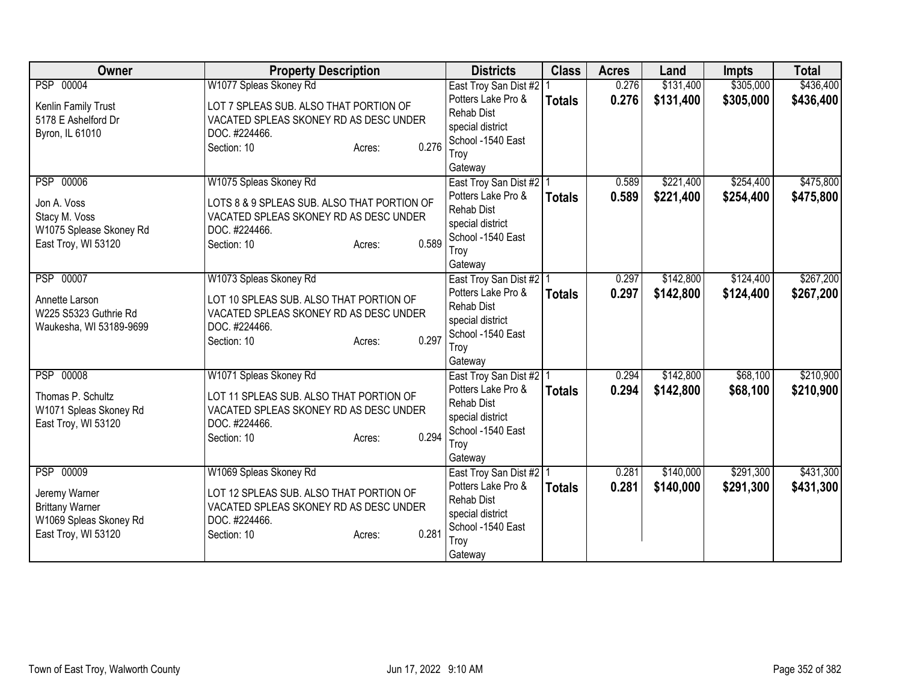| Owner                                                                                                 | <b>Property Description</b>                                                                                                                                        | <b>Districts</b>                                                                                                                 | <b>Class</b>  | <b>Acres</b>   | Land                   | <b>Impts</b>           | <b>Total</b>           |
|-------------------------------------------------------------------------------------------------------|--------------------------------------------------------------------------------------------------------------------------------------------------------------------|----------------------------------------------------------------------------------------------------------------------------------|---------------|----------------|------------------------|------------------------|------------------------|
| PSP 00004<br>Kenlin Family Trust                                                                      | W1077 Spleas Skoney Rd<br>LOT 7 SPLEAS SUB. ALSO THAT PORTION OF                                                                                                   | East Troy San Dist #2<br>Potters Lake Pro &                                                                                      | <b>Totals</b> | 0.276<br>0.276 | \$131,400<br>\$131,400 | \$305,000<br>\$305,000 | \$436,400<br>\$436,400 |
| 5178 E Ashelford Dr<br>Byron, IL 61010                                                                | VACATED SPLEAS SKONEY RD AS DESC UNDER<br>DOC. #224466.<br>0.276<br>Section: 10<br>Acres:                                                                          | <b>Rehab Dist</b><br>special district<br>School -1540 East<br>Troy<br>Gateway                                                    |               |                |                        |                        |                        |
| <b>PSP 00006</b><br>Jon A. Voss<br>Stacy M. Voss<br>W1075 Splease Skoney Rd<br>East Troy, WI 53120    | W1075 Spleas Skoney Rd<br>LOTS 8 & 9 SPLEAS SUB. ALSO THAT PORTION OF<br>VACATED SPLEAS SKONEY RD AS DESC UNDER<br>DOC. #224466.<br>0.589<br>Section: 10<br>Acres: | East Troy San Dist #2 1<br>Potters Lake Pro &<br><b>Rehab Dist</b><br>special district<br>School -1540 East<br>Troy<br>Gateway   | <b>Totals</b> | 0.589<br>0.589 | \$221,400<br>\$221,400 | \$254,400<br>\$254,400 | \$475,800<br>\$475,800 |
| PSP 00007<br>Annette Larson<br>W225 S5323 Guthrie Rd<br>Waukesha, WI 53189-9699                       | W1073 Spleas Skoney Rd<br>LOT 10 SPLEAS SUB. ALSO THAT PORTION OF<br>VACATED SPLEAS SKONEY RD AS DESC UNDER<br>DOC. #224466.<br>0.297<br>Section: 10<br>Acres:     | East Troy San Dist #2   1<br>Potters Lake Pro &<br>Rehab Dist<br>special district<br>School -1540 East<br>Troy<br>Gateway        | <b>Totals</b> | 0.297<br>0.297 | \$142,800<br>\$142,800 | \$124,400<br>\$124,400 | \$267,200<br>\$267,200 |
| PSP 00008<br>Thomas P. Schultz<br>W1071 Spleas Skoney Rd<br>East Troy, WI 53120                       | W1071 Spleas Skoney Rd<br>LOT 11 SPLEAS SUB. ALSO THAT PORTION OF<br>VACATED SPLEAS SKONEY RD AS DESC UNDER<br>DOC. #224466.<br>0.294<br>Section: 10<br>Acres:     | East Troy San Dist #2   1<br>Potters Lake Pro &<br><b>Rehab Dist</b><br>special district<br>School -1540 East<br>Troy<br>Gateway | <b>Totals</b> | 0.294<br>0.294 | \$142,800<br>\$142,800 | \$68,100<br>\$68,100   | \$210,900<br>\$210,900 |
| PSP 00009<br>Jeremy Warner<br><b>Brittany Warner</b><br>W1069 Spleas Skoney Rd<br>East Troy, WI 53120 | W1069 Spleas Skoney Rd<br>LOT 12 SPLEAS SUB. ALSO THAT PORTION OF<br>VACATED SPLEAS SKONEY RD AS DESC UNDER<br>DOC. #224466.<br>0.281<br>Section: 10<br>Acres:     | East Troy San Dist #2   1<br>Potters Lake Pro &<br>Rehab Dist<br>special district<br>School -1540 East<br>Troy<br>Gateway        | <b>Totals</b> | 0.281<br>0.281 | \$140,000<br>\$140,000 | \$291,300<br>\$291,300 | \$431,300<br>\$431,300 |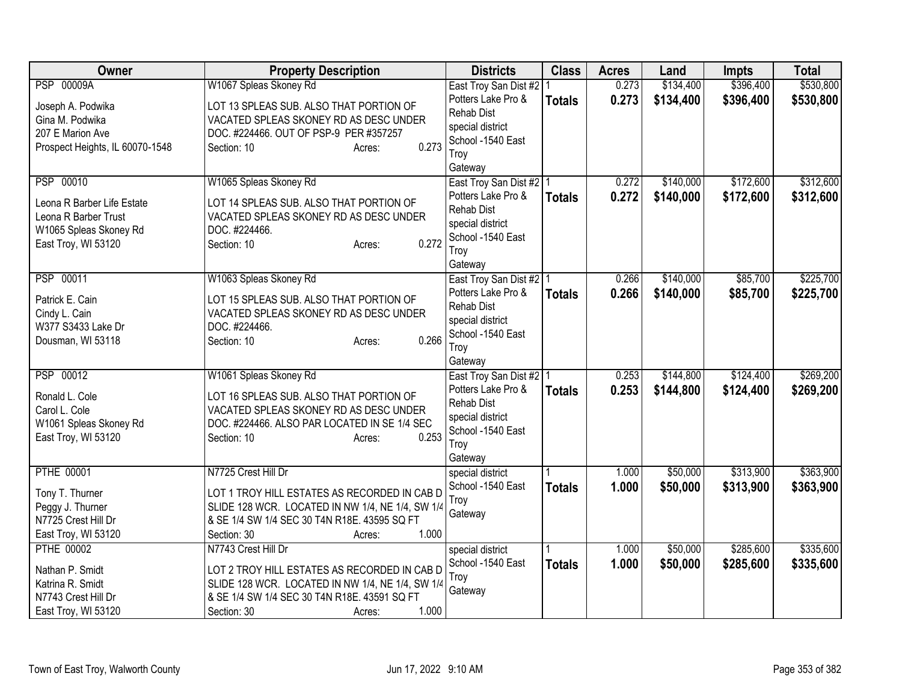| \$134,400<br>\$396,400<br><b>PSP 00009A</b><br>W1067 Spleas Skoney Rd<br>0.273<br>East Troy San Dist #2   1<br>Potters Lake Pro &<br>0.273<br>\$134,400<br>\$396,400<br>\$530,800<br><b>Totals</b><br>Joseph A. Podwika<br>LOT 13 SPLEAS SUB. ALSO THAT PORTION OF<br><b>Rehab Dist</b><br>Gina M. Podwika<br>VACATED SPLEAS SKONEY RD AS DESC UNDER<br>special district<br>207 E Marion Ave<br>DOC. #224466. OUT OF PSP-9 PER #357257<br>School -1540 East<br>0.273<br>Prospect Heights, IL 60070-1548<br>Section: 10<br>Acres:<br>Troy<br>Gateway<br>\$140,000<br>\$172,600<br>PSP 00010<br>W1065 Spleas Skoney Rd<br>0.272<br>East Troy San Dist #2   1<br>0.272<br>\$140,000<br>\$172,600<br>Potters Lake Pro &<br><b>Totals</b><br>Leona R Barber Life Estate<br>LOT 14 SPLEAS SUB. ALSO THAT PORTION OF<br><b>Rehab Dist</b><br>Leona R Barber Trust<br>VACATED SPLEAS SKONEY RD AS DESC UNDER<br>special district<br>W1065 Spleas Skoney Rd<br>DOC. #224466.<br>School -1540 East<br>0.272<br>East Troy, WI 53120<br>Section: 10<br>Acres:<br>Troy<br>Gateway<br>\$140,000<br>PSP 00011<br>W1063 Spleas Skoney Rd<br>0.266<br>\$85,700<br>East Troy San Dist #2   1<br>Potters Lake Pro &<br>0.266<br>\$140,000<br>\$85,700<br><b>Totals</b><br>Patrick E. Cain<br>LOT 15 SPLEAS SUB. ALSO THAT PORTION OF<br><b>Rehab Dist</b><br>VACATED SPLEAS SKONEY RD AS DESC UNDER<br>Cindy L. Cain<br>special district<br>W377 S3433 Lake Dr<br>DOC. #224466.<br>School -1540 East<br>0.266<br>Dousman, WI 53118<br>Section: 10<br>Acres:<br>Troy<br>Gateway<br>\$144,800<br>\$124,400<br>PSP 00012<br>W1061 Spleas Skoney Rd<br>0.253<br>East Troy San Dist #2   1<br>0.253<br>Potters Lake Pro &<br>\$144,800<br>\$124,400<br><b>Totals</b><br>LOT 16 SPLEAS SUB. ALSO THAT PORTION OF<br>Ronald L. Cole<br><b>Rehab Dist</b><br>VACATED SPLEAS SKONEY RD AS DESC UNDER<br>Carol L. Cole<br>special district<br>W1061 Spleas Skoney Rd<br>DOC. #224466. ALSO PAR LOCATED IN SE 1/4 SEC<br>School -1540 East<br>0.253<br>East Troy, WI 53120<br>Section: 10<br>Acres:<br>Troy<br>Gateway<br><b>PTHE 00001</b><br>\$50,000<br>\$313,900<br>N7725 Crest Hill Dr<br>1.000<br>special district<br>1.000<br>\$50,000<br>\$313,900<br>School -1540 East<br><b>Totals</b><br>Tony T. Thurner<br>LOT 1 TROY HILL ESTATES AS RECORDED IN CAB D<br>Troy | <b>Owner</b>        | <b>Property Description</b>                      | <b>Districts</b> | <b>Class</b> | <b>Acres</b> | Land | <b>Impts</b> | <b>Total</b> |
|-----------------------------------------------------------------------------------------------------------------------------------------------------------------------------------------------------------------------------------------------------------------------------------------------------------------------------------------------------------------------------------------------------------------------------------------------------------------------------------------------------------------------------------------------------------------------------------------------------------------------------------------------------------------------------------------------------------------------------------------------------------------------------------------------------------------------------------------------------------------------------------------------------------------------------------------------------------------------------------------------------------------------------------------------------------------------------------------------------------------------------------------------------------------------------------------------------------------------------------------------------------------------------------------------------------------------------------------------------------------------------------------------------------------------------------------------------------------------------------------------------------------------------------------------------------------------------------------------------------------------------------------------------------------------------------------------------------------------------------------------------------------------------------------------------------------------------------------------------------------------------------------------------------------------------------------------------------------------------------------------------------------------------------------------------------------------------------------------------------------------------------------------------------------------------------------------------------------------------------------------------------------------------------------------------------------------------------------------|---------------------|--------------------------------------------------|------------------|--------------|--------------|------|--------------|--------------|
|                                                                                                                                                                                                                                                                                                                                                                                                                                                                                                                                                                                                                                                                                                                                                                                                                                                                                                                                                                                                                                                                                                                                                                                                                                                                                                                                                                                                                                                                                                                                                                                                                                                                                                                                                                                                                                                                                                                                                                                                                                                                                                                                                                                                                                                                                                                                               |                     |                                                  |                  |              |              |      |              | \$530,800    |
| \$312,600<br>\$312,600<br>\$225,700<br>\$225,700                                                                                                                                                                                                                                                                                                                                                                                                                                                                                                                                                                                                                                                                                                                                                                                                                                                                                                                                                                                                                                                                                                                                                                                                                                                                                                                                                                                                                                                                                                                                                                                                                                                                                                                                                                                                                                                                                                                                                                                                                                                                                                                                                                                                                                                                                              |                     |                                                  |                  |              |              |      |              |              |
|                                                                                                                                                                                                                                                                                                                                                                                                                                                                                                                                                                                                                                                                                                                                                                                                                                                                                                                                                                                                                                                                                                                                                                                                                                                                                                                                                                                                                                                                                                                                                                                                                                                                                                                                                                                                                                                                                                                                                                                                                                                                                                                                                                                                                                                                                                                                               |                     |                                                  |                  |              |              |      |              |              |
|                                                                                                                                                                                                                                                                                                                                                                                                                                                                                                                                                                                                                                                                                                                                                                                                                                                                                                                                                                                                                                                                                                                                                                                                                                                                                                                                                                                                                                                                                                                                                                                                                                                                                                                                                                                                                                                                                                                                                                                                                                                                                                                                                                                                                                                                                                                                               |                     |                                                  |                  |              |              |      |              |              |
|                                                                                                                                                                                                                                                                                                                                                                                                                                                                                                                                                                                                                                                                                                                                                                                                                                                                                                                                                                                                                                                                                                                                                                                                                                                                                                                                                                                                                                                                                                                                                                                                                                                                                                                                                                                                                                                                                                                                                                                                                                                                                                                                                                                                                                                                                                                                               |                     |                                                  |                  |              |              |      |              |              |
|                                                                                                                                                                                                                                                                                                                                                                                                                                                                                                                                                                                                                                                                                                                                                                                                                                                                                                                                                                                                                                                                                                                                                                                                                                                                                                                                                                                                                                                                                                                                                                                                                                                                                                                                                                                                                                                                                                                                                                                                                                                                                                                                                                                                                                                                                                                                               |                     |                                                  |                  |              |              |      |              |              |
|                                                                                                                                                                                                                                                                                                                                                                                                                                                                                                                                                                                                                                                                                                                                                                                                                                                                                                                                                                                                                                                                                                                                                                                                                                                                                                                                                                                                                                                                                                                                                                                                                                                                                                                                                                                                                                                                                                                                                                                                                                                                                                                                                                                                                                                                                                                                               |                     |                                                  |                  |              |              |      |              |              |
|                                                                                                                                                                                                                                                                                                                                                                                                                                                                                                                                                                                                                                                                                                                                                                                                                                                                                                                                                                                                                                                                                                                                                                                                                                                                                                                                                                                                                                                                                                                                                                                                                                                                                                                                                                                                                                                                                                                                                                                                                                                                                                                                                                                                                                                                                                                                               |                     |                                                  |                  |              |              |      |              |              |
|                                                                                                                                                                                                                                                                                                                                                                                                                                                                                                                                                                                                                                                                                                                                                                                                                                                                                                                                                                                                                                                                                                                                                                                                                                                                                                                                                                                                                                                                                                                                                                                                                                                                                                                                                                                                                                                                                                                                                                                                                                                                                                                                                                                                                                                                                                                                               |                     |                                                  |                  |              |              |      |              |              |
|                                                                                                                                                                                                                                                                                                                                                                                                                                                                                                                                                                                                                                                                                                                                                                                                                                                                                                                                                                                                                                                                                                                                                                                                                                                                                                                                                                                                                                                                                                                                                                                                                                                                                                                                                                                                                                                                                                                                                                                                                                                                                                                                                                                                                                                                                                                                               |                     |                                                  |                  |              |              |      |              |              |
|                                                                                                                                                                                                                                                                                                                                                                                                                                                                                                                                                                                                                                                                                                                                                                                                                                                                                                                                                                                                                                                                                                                                                                                                                                                                                                                                                                                                                                                                                                                                                                                                                                                                                                                                                                                                                                                                                                                                                                                                                                                                                                                                                                                                                                                                                                                                               |                     |                                                  |                  |              |              |      |              |              |
|                                                                                                                                                                                                                                                                                                                                                                                                                                                                                                                                                                                                                                                                                                                                                                                                                                                                                                                                                                                                                                                                                                                                                                                                                                                                                                                                                                                                                                                                                                                                                                                                                                                                                                                                                                                                                                                                                                                                                                                                                                                                                                                                                                                                                                                                                                                                               |                     |                                                  |                  |              |              |      |              |              |
|                                                                                                                                                                                                                                                                                                                                                                                                                                                                                                                                                                                                                                                                                                                                                                                                                                                                                                                                                                                                                                                                                                                                                                                                                                                                                                                                                                                                                                                                                                                                                                                                                                                                                                                                                                                                                                                                                                                                                                                                                                                                                                                                                                                                                                                                                                                                               |                     |                                                  |                  |              |              |      |              |              |
|                                                                                                                                                                                                                                                                                                                                                                                                                                                                                                                                                                                                                                                                                                                                                                                                                                                                                                                                                                                                                                                                                                                                                                                                                                                                                                                                                                                                                                                                                                                                                                                                                                                                                                                                                                                                                                                                                                                                                                                                                                                                                                                                                                                                                                                                                                                                               |                     |                                                  |                  |              |              |      |              |              |
|                                                                                                                                                                                                                                                                                                                                                                                                                                                                                                                                                                                                                                                                                                                                                                                                                                                                                                                                                                                                                                                                                                                                                                                                                                                                                                                                                                                                                                                                                                                                                                                                                                                                                                                                                                                                                                                                                                                                                                                                                                                                                                                                                                                                                                                                                                                                               |                     |                                                  |                  |              |              |      |              |              |
| \$269,200<br>\$269,200<br>\$363,900<br>\$363,900                                                                                                                                                                                                                                                                                                                                                                                                                                                                                                                                                                                                                                                                                                                                                                                                                                                                                                                                                                                                                                                                                                                                                                                                                                                                                                                                                                                                                                                                                                                                                                                                                                                                                                                                                                                                                                                                                                                                                                                                                                                                                                                                                                                                                                                                                              |                     |                                                  |                  |              |              |      |              |              |
|                                                                                                                                                                                                                                                                                                                                                                                                                                                                                                                                                                                                                                                                                                                                                                                                                                                                                                                                                                                                                                                                                                                                                                                                                                                                                                                                                                                                                                                                                                                                                                                                                                                                                                                                                                                                                                                                                                                                                                                                                                                                                                                                                                                                                                                                                                                                               |                     |                                                  |                  |              |              |      |              |              |
|                                                                                                                                                                                                                                                                                                                                                                                                                                                                                                                                                                                                                                                                                                                                                                                                                                                                                                                                                                                                                                                                                                                                                                                                                                                                                                                                                                                                                                                                                                                                                                                                                                                                                                                                                                                                                                                                                                                                                                                                                                                                                                                                                                                                                                                                                                                                               |                     |                                                  |                  |              |              |      |              |              |
|                                                                                                                                                                                                                                                                                                                                                                                                                                                                                                                                                                                                                                                                                                                                                                                                                                                                                                                                                                                                                                                                                                                                                                                                                                                                                                                                                                                                                                                                                                                                                                                                                                                                                                                                                                                                                                                                                                                                                                                                                                                                                                                                                                                                                                                                                                                                               |                     |                                                  |                  |              |              |      |              |              |
|                                                                                                                                                                                                                                                                                                                                                                                                                                                                                                                                                                                                                                                                                                                                                                                                                                                                                                                                                                                                                                                                                                                                                                                                                                                                                                                                                                                                                                                                                                                                                                                                                                                                                                                                                                                                                                                                                                                                                                                                                                                                                                                                                                                                                                                                                                                                               |                     |                                                  |                  |              |              |      |              |              |
|                                                                                                                                                                                                                                                                                                                                                                                                                                                                                                                                                                                                                                                                                                                                                                                                                                                                                                                                                                                                                                                                                                                                                                                                                                                                                                                                                                                                                                                                                                                                                                                                                                                                                                                                                                                                                                                                                                                                                                                                                                                                                                                                                                                                                                                                                                                                               |                     |                                                  |                  |              |              |      |              |              |
|                                                                                                                                                                                                                                                                                                                                                                                                                                                                                                                                                                                                                                                                                                                                                                                                                                                                                                                                                                                                                                                                                                                                                                                                                                                                                                                                                                                                                                                                                                                                                                                                                                                                                                                                                                                                                                                                                                                                                                                                                                                                                                                                                                                                                                                                                                                                               |                     |                                                  |                  |              |              |      |              |              |
|                                                                                                                                                                                                                                                                                                                                                                                                                                                                                                                                                                                                                                                                                                                                                                                                                                                                                                                                                                                                                                                                                                                                                                                                                                                                                                                                                                                                                                                                                                                                                                                                                                                                                                                                                                                                                                                                                                                                                                                                                                                                                                                                                                                                                                                                                                                                               |                     |                                                  |                  |              |              |      |              |              |
|                                                                                                                                                                                                                                                                                                                                                                                                                                                                                                                                                                                                                                                                                                                                                                                                                                                                                                                                                                                                                                                                                                                                                                                                                                                                                                                                                                                                                                                                                                                                                                                                                                                                                                                                                                                                                                                                                                                                                                                                                                                                                                                                                                                                                                                                                                                                               |                     |                                                  |                  |              |              |      |              |              |
|                                                                                                                                                                                                                                                                                                                                                                                                                                                                                                                                                                                                                                                                                                                                                                                                                                                                                                                                                                                                                                                                                                                                                                                                                                                                                                                                                                                                                                                                                                                                                                                                                                                                                                                                                                                                                                                                                                                                                                                                                                                                                                                                                                                                                                                                                                                                               |                     |                                                  |                  |              |              |      |              |              |
|                                                                                                                                                                                                                                                                                                                                                                                                                                                                                                                                                                                                                                                                                                                                                                                                                                                                                                                                                                                                                                                                                                                                                                                                                                                                                                                                                                                                                                                                                                                                                                                                                                                                                                                                                                                                                                                                                                                                                                                                                                                                                                                                                                                                                                                                                                                                               |                     |                                                  |                  |              |              |      |              |              |
|                                                                                                                                                                                                                                                                                                                                                                                                                                                                                                                                                                                                                                                                                                                                                                                                                                                                                                                                                                                                                                                                                                                                                                                                                                                                                                                                                                                                                                                                                                                                                                                                                                                                                                                                                                                                                                                                                                                                                                                                                                                                                                                                                                                                                                                                                                                                               |                     |                                                  |                  |              |              |      |              |              |
|                                                                                                                                                                                                                                                                                                                                                                                                                                                                                                                                                                                                                                                                                                                                                                                                                                                                                                                                                                                                                                                                                                                                                                                                                                                                                                                                                                                                                                                                                                                                                                                                                                                                                                                                                                                                                                                                                                                                                                                                                                                                                                                                                                                                                                                                                                                                               |                     |                                                  |                  |              |              |      |              |              |
|                                                                                                                                                                                                                                                                                                                                                                                                                                                                                                                                                                                                                                                                                                                                                                                                                                                                                                                                                                                                                                                                                                                                                                                                                                                                                                                                                                                                                                                                                                                                                                                                                                                                                                                                                                                                                                                                                                                                                                                                                                                                                                                                                                                                                                                                                                                                               |                     |                                                  |                  |              |              |      |              |              |
|                                                                                                                                                                                                                                                                                                                                                                                                                                                                                                                                                                                                                                                                                                                                                                                                                                                                                                                                                                                                                                                                                                                                                                                                                                                                                                                                                                                                                                                                                                                                                                                                                                                                                                                                                                                                                                                                                                                                                                                                                                                                                                                                                                                                                                                                                                                                               | Peggy J. Thurner    | SLIDE 128 WCR. LOCATED IN NW 1/4, NE 1/4, SW 1/4 |                  |              |              |      |              |              |
| Gateway<br>& SE 1/4 SW 1/4 SEC 30 T4N R18E. 43595 SQ FT<br>N7725 Crest Hill Dr                                                                                                                                                                                                                                                                                                                                                                                                                                                                                                                                                                                                                                                                                                                                                                                                                                                                                                                                                                                                                                                                                                                                                                                                                                                                                                                                                                                                                                                                                                                                                                                                                                                                                                                                                                                                                                                                                                                                                                                                                                                                                                                                                                                                                                                                |                     |                                                  |                  |              |              |      |              |              |
| 1.000<br>East Troy, WI 53120<br>Section: 30<br>Acres:                                                                                                                                                                                                                                                                                                                                                                                                                                                                                                                                                                                                                                                                                                                                                                                                                                                                                                                                                                                                                                                                                                                                                                                                                                                                                                                                                                                                                                                                                                                                                                                                                                                                                                                                                                                                                                                                                                                                                                                                                                                                                                                                                                                                                                                                                         |                     |                                                  |                  |              |              |      |              |              |
| <b>PTHE 00002</b><br>\$285,600<br>\$335,600<br>N7743 Crest Hill Dr<br>\$50,000<br>special district<br>1.000                                                                                                                                                                                                                                                                                                                                                                                                                                                                                                                                                                                                                                                                                                                                                                                                                                                                                                                                                                                                                                                                                                                                                                                                                                                                                                                                                                                                                                                                                                                                                                                                                                                                                                                                                                                                                                                                                                                                                                                                                                                                                                                                                                                                                                   |                     |                                                  |                  |              |              |      |              |              |
| 1.000<br>School -1540 East<br>\$50,000<br>\$285,600<br>\$335,600<br><b>Totals</b><br>Nathan P. Smidt<br>LOT 2 TROY HILL ESTATES AS RECORDED IN CAB D                                                                                                                                                                                                                                                                                                                                                                                                                                                                                                                                                                                                                                                                                                                                                                                                                                                                                                                                                                                                                                                                                                                                                                                                                                                                                                                                                                                                                                                                                                                                                                                                                                                                                                                                                                                                                                                                                                                                                                                                                                                                                                                                                                                          |                     |                                                  |                  |              |              |      |              |              |
| Troy<br>SLIDE 128 WCR. LOCATED IN NW 1/4, NE 1/4, SW 1/4<br>Katrina R. Smidt                                                                                                                                                                                                                                                                                                                                                                                                                                                                                                                                                                                                                                                                                                                                                                                                                                                                                                                                                                                                                                                                                                                                                                                                                                                                                                                                                                                                                                                                                                                                                                                                                                                                                                                                                                                                                                                                                                                                                                                                                                                                                                                                                                                                                                                                  |                     |                                                  |                  |              |              |      |              |              |
| Gateway<br>& SE 1/4 SW 1/4 SEC 30 T4N R18E. 43591 SQ FT<br>N7743 Crest Hill Dr                                                                                                                                                                                                                                                                                                                                                                                                                                                                                                                                                                                                                                                                                                                                                                                                                                                                                                                                                                                                                                                                                                                                                                                                                                                                                                                                                                                                                                                                                                                                                                                                                                                                                                                                                                                                                                                                                                                                                                                                                                                                                                                                                                                                                                                                |                     |                                                  |                  |              |              |      |              |              |
|                                                                                                                                                                                                                                                                                                                                                                                                                                                                                                                                                                                                                                                                                                                                                                                                                                                                                                                                                                                                                                                                                                                                                                                                                                                                                                                                                                                                                                                                                                                                                                                                                                                                                                                                                                                                                                                                                                                                                                                                                                                                                                                                                                                                                                                                                                                                               | East Troy, WI 53120 | 1.000<br>Section: 30<br>Acres:                   |                  |              |              |      |              |              |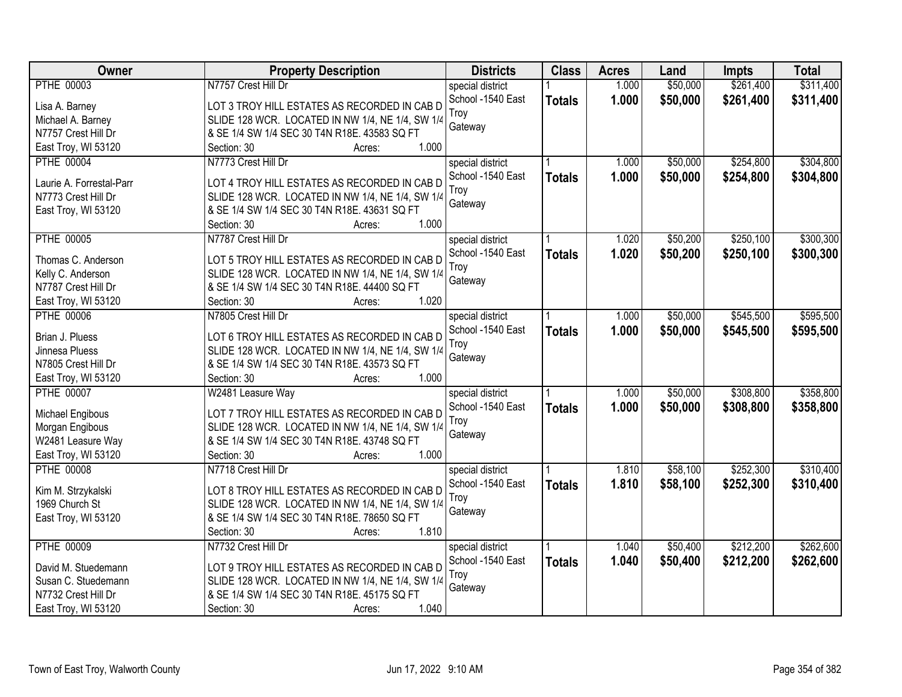| Owner                    | <b>Property Description</b>                           | <b>Districts</b>  | <b>Class</b>  | <b>Acres</b> | Land     | <b>Impts</b> | <b>Total</b> |
|--------------------------|-------------------------------------------------------|-------------------|---------------|--------------|----------|--------------|--------------|
| <b>PTHE 00003</b>        | N7757 Crest Hill Dr                                   | special district  |               | 1.000        | \$50,000 | \$261,400    | \$311,400    |
| Lisa A. Barney           | LOT 3 TROY HILL ESTATES AS RECORDED IN CAB D          | School -1540 East | <b>Totals</b> | 1.000        | \$50,000 | \$261,400    | \$311,400    |
| Michael A. Barney        | SLIDE 128 WCR. LOCATED IN NW 1/4, NE 1/4, SW 1/4      | Troy              |               |              |          |              |              |
| N7757 Crest Hill Dr      | & SE 1/4 SW 1/4 SEC 30 T4N R18E. 43583 SQ FT          | Gateway           |               |              |          |              |              |
| East Troy, WI 53120      | 1.000<br>Section: 30<br>Acres:                        |                   |               |              |          |              |              |
| <b>PTHE 00004</b>        | N7773 Crest Hill Dr                                   | special district  |               | 1.000        | \$50,000 | \$254,800    | \$304,800    |
|                          | LOT 4 TROY HILL ESTATES AS RECORDED IN CAB D          | School -1540 East | <b>Totals</b> | 1.000        | \$50,000 | \$254,800    | \$304,800    |
| Laurie A. Forrestal-Parr |                                                       | Troy              |               |              |          |              |              |
| N7773 Crest Hill Dr      | SLIDE 128 WCR. LOCATED IN NW 1/4, NE 1/4, SW 1/4      | Gateway           |               |              |          |              |              |
| East Troy, WI 53120      | & SE 1/4 SW 1/4 SEC 30 T4N R18E. 43631 SQ FT<br>1.000 |                   |               |              |          |              |              |
|                          | Section: 30<br>Acres:                                 |                   |               |              |          |              |              |
| <b>PTHE 00005</b>        | N7787 Crest Hill Dr                                   | special district  |               | 1.020        | \$50,200 | \$250,100    | \$300,300    |
| Thomas C. Anderson       | LOT 5 TROY HILL ESTATES AS RECORDED IN CAB D          | School -1540 East | <b>Totals</b> | 1.020        | \$50,200 | \$250,100    | \$300,300    |
| Kelly C. Anderson        | SLIDE 128 WCR. LOCATED IN NW 1/4, NE 1/4, SW 1/4      | Troy              |               |              |          |              |              |
| N7787 Crest Hill Dr      | & SE 1/4 SW 1/4 SEC 30 T4N R18E. 44400 SQ FT          | Gateway           |               |              |          |              |              |
| East Troy, WI 53120      | 1.020<br>Section: 30<br>Acres:                        |                   |               |              |          |              |              |
| <b>PTHE 00006</b>        | N7805 Crest Hill Dr                                   | special district  |               | 1.000        | \$50,000 | \$545,500    | \$595,500    |
|                          |                                                       | School -1540 East | <b>Totals</b> | 1.000        | \$50,000 | \$545,500    | \$595,500    |
| Brian J. Pluess          | LOT 6 TROY HILL ESTATES AS RECORDED IN CAB D          | Troy              |               |              |          |              |              |
| Jinnesa Pluess           | SLIDE 128 WCR. LOCATED IN NW 1/4, NE 1/4, SW 1/4      | Gateway           |               |              |          |              |              |
| N7805 Crest Hill Dr      | & SE 1/4 SW 1/4 SEC 30 T4N R18E. 43573 SQ FT          |                   |               |              |          |              |              |
| East Troy, WI 53120      | 1.000<br>Section: 30<br>Acres:                        |                   |               |              |          |              |              |
| <b>PTHE 00007</b>        | W2481 Leasure Way                                     | special district  |               | 1.000        | \$50,000 | \$308,800    | \$358,800    |
| Michael Engibous         | LOT 7 TROY HILL ESTATES AS RECORDED IN CAB D          | School -1540 East | <b>Totals</b> | 1.000        | \$50,000 | \$308,800    | \$358,800    |
| Morgan Engibous          | SLIDE 128 WCR. LOCATED IN NW 1/4, NE 1/4, SW 1/4      | Troy              |               |              |          |              |              |
| W2481 Leasure Way        | & SE 1/4 SW 1/4 SEC 30 T4N R18E. 43748 SQ FT          | Gateway           |               |              |          |              |              |
| East Troy, WI 53120      | 1.000<br>Section: 30<br>Acres:                        |                   |               |              |          |              |              |
| <b>PTHE 00008</b>        | N7718 Crest Hill Dr                                   | special district  |               | 1.810        | \$58,100 | \$252,300    | \$310,400    |
|                          |                                                       | School -1540 East | <b>Totals</b> | 1.810        | \$58,100 | \$252,300    | \$310,400    |
| Kim M. Strzykalski       | LOT 8 TROY HILL ESTATES AS RECORDED IN CAB D          | Troy              |               |              |          |              |              |
| 1969 Church St           | SLIDE 128 WCR. LOCATED IN NW 1/4, NE 1/4, SW 1/4      | Gateway           |               |              |          |              |              |
| East Troy, WI 53120      | & SE 1/4 SW 1/4 SEC 30 T4N R18E. 78650 SQ FT          |                   |               |              |          |              |              |
|                          | 1.810<br>Section: 30<br>Acres:                        |                   |               |              |          |              |              |
| <b>PTHE 00009</b>        | N7732 Crest Hill Dr                                   | special district  |               | 1.040        | \$50,400 | \$212,200    | \$262,600    |
| David M. Stuedemann      | LOT 9 TROY HILL ESTATES AS RECORDED IN CAB D          | School -1540 East | <b>Totals</b> | 1.040        | \$50,400 | \$212,200    | \$262,600    |
| Susan C. Stuedemann      | SLIDE 128 WCR. LOCATED IN NW 1/4, NE 1/4, SW 1/4      | Troy              |               |              |          |              |              |
| N7732 Crest Hill Dr      | & SE 1/4 SW 1/4 SEC 30 T4N R18E. 45175 SQ FT          | Gateway           |               |              |          |              |              |
| East Troy, WI 53120      | 1.040<br>Section: 30<br>Acres:                        |                   |               |              |          |              |              |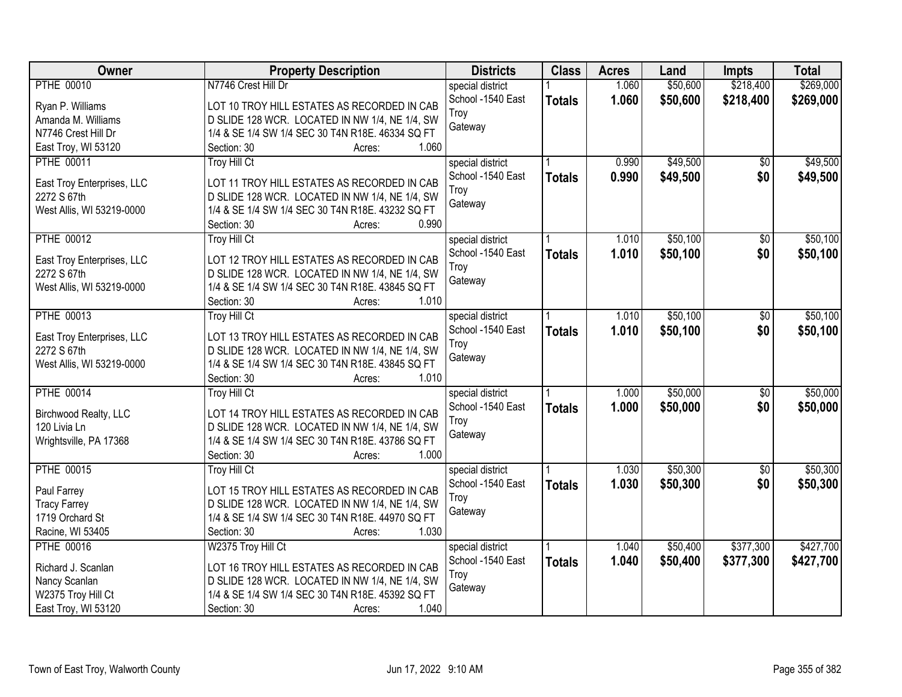| Owner                                     | <b>Property Description</b>                                                                        | <b>Districts</b>  | <b>Class</b>  | <b>Acres</b> | Land     | <b>Impts</b>    | <b>Total</b> |
|-------------------------------------------|----------------------------------------------------------------------------------------------------|-------------------|---------------|--------------|----------|-----------------|--------------|
| <b>PTHE 00010</b>                         | N7746 Crest Hill Dr                                                                                | special district  |               | 1.060        | \$50,600 | \$218,400       | \$269,000    |
| Ryan P. Williams                          | LOT 10 TROY HILL ESTATES AS RECORDED IN CAB                                                        | School -1540 East | <b>Totals</b> | 1.060        | \$50,600 | \$218,400       | \$269,000    |
| Amanda M. Williams                        | D SLIDE 128 WCR. LOCATED IN NW 1/4, NE 1/4, SW                                                     | Troy              |               |              |          |                 |              |
| N7746 Crest Hill Dr                       | 1/4 & SE 1/4 SW 1/4 SEC 30 T4N R18E. 46334 SQ FT                                                   | Gateway           |               |              |          |                 |              |
| East Troy, WI 53120                       | 1.060<br>Section: 30<br>Acres:                                                                     |                   |               |              |          |                 |              |
| <b>PTHE 00011</b>                         | <b>Troy Hill Ct</b>                                                                                | special district  |               | 0.990        | \$49,500 | $\overline{30}$ | \$49,500     |
|                                           |                                                                                                    | School -1540 East | <b>Totals</b> | 0.990        | \$49,500 | \$0             | \$49,500     |
| East Troy Enterprises, LLC                | LOT 11 TROY HILL ESTATES AS RECORDED IN CAB                                                        | Troy              |               |              |          |                 |              |
| 2272 S 67th                               | D SLIDE 128 WCR. LOCATED IN NW 1/4, NE 1/4, SW                                                     | Gateway           |               |              |          |                 |              |
| West Allis, WI 53219-0000                 | 1/4 & SE 1/4 SW 1/4 SEC 30 T4N R18E. 43232 SQ FT                                                   |                   |               |              |          |                 |              |
|                                           | 0.990<br>Section: 30<br>Acres:                                                                     |                   |               |              |          |                 |              |
| <b>PTHE 00012</b>                         | <b>Troy Hill Ct</b>                                                                                | special district  |               | 1.010        | \$50,100 | \$0             | \$50,100     |
| East Troy Enterprises, LLC                | LOT 12 TROY HILL ESTATES AS RECORDED IN CAB                                                        | School -1540 East | <b>Totals</b> | 1.010        | \$50,100 | \$0             | \$50,100     |
| 2272 S 67th                               | D SLIDE 128 WCR. LOCATED IN NW 1/4, NE 1/4, SW                                                     | Troy              |               |              |          |                 |              |
| West Allis, WI 53219-0000                 | 1/4 & SE 1/4 SW 1/4 SEC 30 T4N R18E. 43845 SQ FT                                                   | Gateway           |               |              |          |                 |              |
|                                           | Section: 30<br>1.010<br>Acres:                                                                     |                   |               |              |          |                 |              |
| <b>PTHE 00013</b>                         | <b>Troy Hill Ct</b>                                                                                | special district  |               | 1.010        | \$50,100 | \$0             | \$50,100     |
|                                           |                                                                                                    | School -1540 East | <b>Totals</b> | 1.010        | \$50,100 | \$0             | \$50,100     |
| East Troy Enterprises, LLC<br>2272 S 67th | LOT 13 TROY HILL ESTATES AS RECORDED IN CAB                                                        | Troy              |               |              |          |                 |              |
| West Allis, WI 53219-0000                 | D SLIDE 128 WCR. LOCATED IN NW 1/4, NE 1/4, SW<br>1/4 & SE 1/4 SW 1/4 SEC 30 T4N R18E. 43845 SQ FT | Gateway           |               |              |          |                 |              |
|                                           | 1.010<br>Section: 30                                                                               |                   |               |              |          |                 |              |
| <b>PTHE 00014</b>                         | Acres:<br><b>Troy Hill Ct</b>                                                                      |                   |               | 1.000        | \$50,000 | \$0             | \$50,000     |
|                                           |                                                                                                    | special district  |               |              |          |                 |              |
| Birchwood Realty, LLC                     | LOT 14 TROY HILL ESTATES AS RECORDED IN CAB                                                        | School -1540 East | <b>Totals</b> | 1.000        | \$50,000 | \$0             | \$50,000     |
| 120 Livia Ln                              | D SLIDE 128 WCR. LOCATED IN NW 1/4, NE 1/4, SW                                                     | Troy              |               |              |          |                 |              |
| Wrightsville, PA 17368                    | 1/4 & SE 1/4 SW 1/4 SEC 30 T4N R18E. 43786 SQ FT                                                   | Gateway           |               |              |          |                 |              |
|                                           | 1.000<br>Section: 30<br>Acres:                                                                     |                   |               |              |          |                 |              |
| <b>PTHE 00015</b>                         | <b>Troy Hill Ct</b>                                                                                | special district  |               | 1.030        | \$50,300 | $\overline{50}$ | \$50,300     |
| Paul Farrey                               | LOT 15 TROY HILL ESTATES AS RECORDED IN CAB                                                        | School -1540 East | <b>Totals</b> | 1.030        | \$50,300 | \$0             | \$50,300     |
| <b>Tracy Farrey</b>                       | D SLIDE 128 WCR. LOCATED IN NW 1/4, NE 1/4, SW                                                     | Troy              |               |              |          |                 |              |
| 1719 Orchard St                           | 1/4 & SE 1/4 SW 1/4 SEC 30 T4N R18E. 44970 SQ FT                                                   | Gateway           |               |              |          |                 |              |
| Racine, WI 53405                          | 1.030<br>Section: 30                                                                               |                   |               |              |          |                 |              |
| <b>PTHE 00016</b>                         | Acres:<br>W2375 Troy Hill Ct                                                                       |                   |               | 1.040        | \$50,400 | \$377,300       | \$427,700    |
|                                           |                                                                                                    | special district  |               |              |          |                 |              |
| Richard J. Scanlan                        | LOT 16 TROY HILL ESTATES AS RECORDED IN CAB                                                        | School -1540 East | <b>Totals</b> | 1.040        | \$50,400 | \$377,300       | \$427,700    |
| Nancy Scanlan                             | D SLIDE 128 WCR. LOCATED IN NW 1/4, NE 1/4, SW                                                     | Troy              |               |              |          |                 |              |
| W2375 Troy Hill Ct                        | 1/4 & SE 1/4 SW 1/4 SEC 30 T4N R18E. 45392 SQ FT                                                   | Gateway           |               |              |          |                 |              |
| East Troy, WI 53120                       | 1.040<br>Section: 30<br>Acres:                                                                     |                   |               |              |          |                 |              |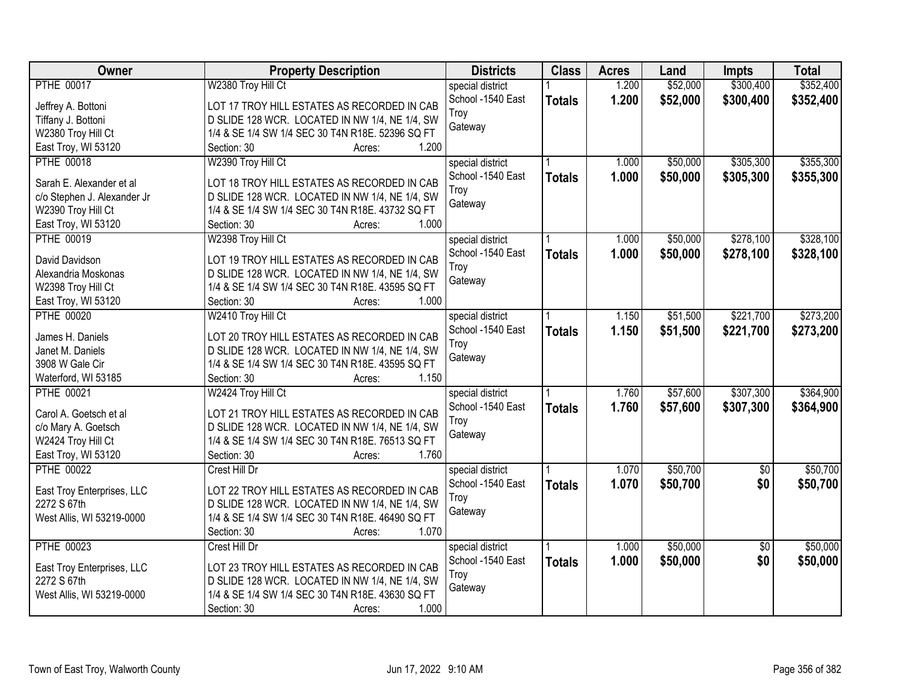| Owner                       | <b>Property Description</b>                      | <b>Districts</b>  | <b>Class</b>  | <b>Acres</b> | Land     | <b>Impts</b>    | <b>Total</b> |
|-----------------------------|--------------------------------------------------|-------------------|---------------|--------------|----------|-----------------|--------------|
| <b>PTHE 00017</b>           | W2380 Troy Hill Ct                               | special district  |               | 1.200        | \$52,000 | \$300,400       | \$352,400    |
| Jeffrey A. Bottoni          | LOT 17 TROY HILL ESTATES AS RECORDED IN CAB      | School -1540 East | <b>Totals</b> | 1.200        | \$52,000 | \$300,400       | \$352,400    |
| Tiffany J. Bottoni          | D SLIDE 128 WCR. LOCATED IN NW 1/4, NE 1/4, SW   | Troy              |               |              |          |                 |              |
| W2380 Troy Hill Ct          | 1/4 & SE 1/4 SW 1/4 SEC 30 T4N R18E. 52396 SQ FT | Gateway           |               |              |          |                 |              |
| East Troy, WI 53120         | 1.200<br>Section: 30<br>Acres:                   |                   |               |              |          |                 |              |
| <b>PTHE 00018</b>           | W2390 Troy Hill Ct                               | special district  |               | 1.000        | \$50,000 | \$305,300       | \$355,300    |
|                             |                                                  | School -1540 East | <b>Totals</b> | 1.000        | \$50,000 | \$305,300       | \$355,300    |
| Sarah E. Alexander et al    | LOT 18 TROY HILL ESTATES AS RECORDED IN CAB      | Troy              |               |              |          |                 |              |
| c/o Stephen J. Alexander Jr | D SLIDE 128 WCR. LOCATED IN NW 1/4, NE 1/4, SW   | Gateway           |               |              |          |                 |              |
| W2390 Troy Hill Ct          | 1/4 & SE 1/4 SW 1/4 SEC 30 T4N R18E. 43732 SQ FT |                   |               |              |          |                 |              |
| East Troy, WI 53120         | 1.000<br>Section: 30<br>Acres:                   |                   |               |              |          |                 |              |
| <b>PTHE 00019</b>           | W2398 Troy Hill Ct                               | special district  |               | 1.000        | \$50,000 | \$278,100       | \$328,100    |
| David Davidson              | LOT 19 TROY HILL ESTATES AS RECORDED IN CAB      | School -1540 East | <b>Totals</b> | 1.000        | \$50,000 | \$278,100       | \$328,100    |
| Alexandria Moskonas         | D SLIDE 128 WCR. LOCATED IN NW 1/4, NE 1/4, SW   | Troy              |               |              |          |                 |              |
| W2398 Troy Hill Ct          | 1/4 & SE 1/4 SW 1/4 SEC 30 T4N R18E. 43595 SQ FT | Gateway           |               |              |          |                 |              |
| East Troy, WI 53120         | Section: 30<br>1.000<br>Acres:                   |                   |               |              |          |                 |              |
| <b>PTHE 00020</b>           | W2410 Troy Hill Ct                               | special district  |               | 1.150        | \$51,500 | \$221,700       | \$273,200    |
|                             |                                                  | School -1540 East | <b>Totals</b> | 1.150        | \$51,500 | \$221,700       | \$273,200    |
| James H. Daniels            | LOT 20 TROY HILL ESTATES AS RECORDED IN CAB      | Troy              |               |              |          |                 |              |
| Janet M. Daniels            | D SLIDE 128 WCR. LOCATED IN NW 1/4, NE 1/4, SW   | Gateway           |               |              |          |                 |              |
| 3908 W Gale Cir             | 1/4 & SE 1/4 SW 1/4 SEC 30 T4N R18E. 43595 SQ FT |                   |               |              |          |                 |              |
| Waterford, WI 53185         | 1.150<br>Section: 30<br>Acres:                   |                   |               |              |          |                 |              |
| <b>PTHE 00021</b>           | W2424 Troy Hill Ct                               | special district  |               | 1.760        | \$57,600 | \$307,300       | \$364,900    |
| Carol A. Goetsch et al      | LOT 21 TROY HILL ESTATES AS RECORDED IN CAB      | School -1540 East | <b>Totals</b> | 1.760        | \$57,600 | \$307,300       | \$364,900    |
| c/o Mary A. Goetsch         | D SLIDE 128 WCR. LOCATED IN NW 1/4, NE 1/4, SW   | Troy              |               |              |          |                 |              |
| W2424 Troy Hill Ct          | 1/4 & SE 1/4 SW 1/4 SEC 30 T4N R18E. 76513 SQ FT | Gateway           |               |              |          |                 |              |
| East Troy, WI 53120         | 1.760<br>Section: 30<br>Acres:                   |                   |               |              |          |                 |              |
| <b>PTHE 00022</b>           | Crest Hill Dr                                    | special district  |               | 1.070        | \$50,700 | $\overline{50}$ | \$50,700     |
|                             |                                                  | School -1540 East | <b>Totals</b> | 1.070        | \$50,700 | \$0             | \$50,700     |
| East Troy Enterprises, LLC  | LOT 22 TROY HILL ESTATES AS RECORDED IN CAB      | Troy              |               |              |          |                 |              |
| 2272 S 67th                 | D SLIDE 128 WCR. LOCATED IN NW 1/4, NE 1/4, SW   | Gateway           |               |              |          |                 |              |
| West Allis, WI 53219-0000   | 1/4 & SE 1/4 SW 1/4 SEC 30 T4N R18E. 46490 SQ FT |                   |               |              |          |                 |              |
|                             | 1.070<br>Section: 30<br>Acres:                   |                   |               |              |          |                 |              |
| <b>PTHE 00023</b>           | Crest Hill Dr                                    | special district  |               | 1.000        | \$50,000 | $\overline{50}$ | \$50,000     |
| East Troy Enterprises, LLC  | LOT 23 TROY HILL ESTATES AS RECORDED IN CAB      | School -1540 East | <b>Totals</b> | 1.000        | \$50,000 | \$0             | \$50,000     |
| 2272 S 67th                 | D SLIDE 128 WCR. LOCATED IN NW 1/4, NE 1/4, SW   | Troy              |               |              |          |                 |              |
| West Allis, WI 53219-0000   | 1/4 & SE 1/4 SW 1/4 SEC 30 T4N R18E. 43630 SQ FT | Gateway           |               |              |          |                 |              |
|                             | 1.000<br>Section: 30<br>Acres:                   |                   |               |              |          |                 |              |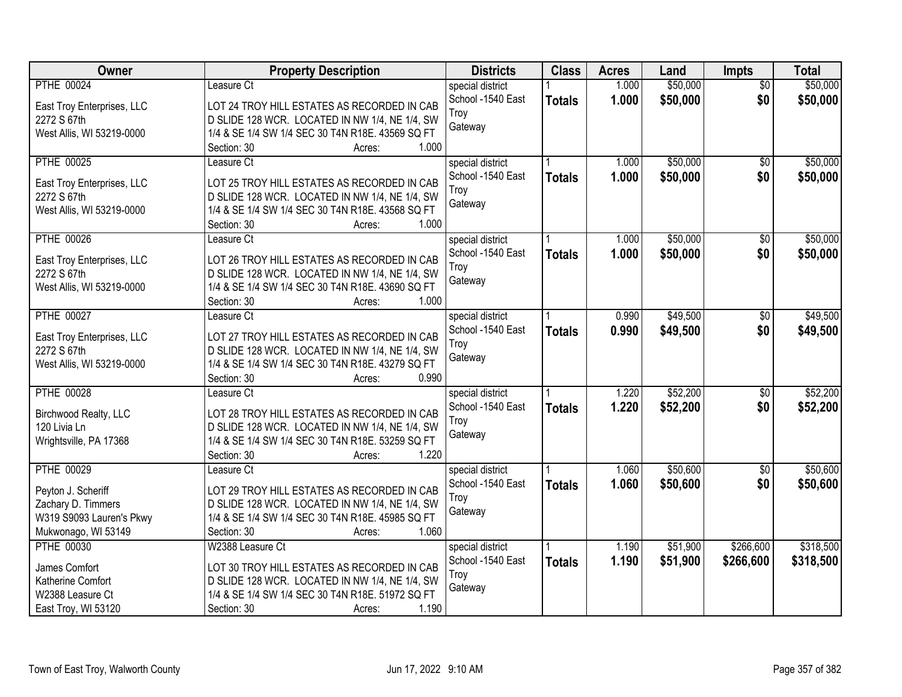| \$50,000<br>\$50,000<br><b>PTHE 00024</b><br>1.000<br>Leasure Ct<br>special district<br>$\overline{50}$<br>1.000<br>\$50,000<br>\$0<br>School -1540 East<br>\$50,000<br><b>Totals</b><br>East Troy Enterprises, LLC<br>LOT 24 TROY HILL ESTATES AS RECORDED IN CAB<br>Troy<br>D SLIDE 128 WCR. LOCATED IN NW 1/4, NE 1/4, SW<br>2272 S 67th<br>Gateway<br>West Allis, WI 53219-0000<br>1/4 & SE 1/4 SW 1/4 SEC 30 T4N R18E. 43569 SQ FT<br>1.000<br>Section: 30<br>Acres:<br>\$50,000<br>\$50,000<br><b>PTHE 00025</b><br>1.000<br>Leasure Ct<br>special district<br>$\overline{50}$<br>School -1540 East<br>1.000<br>\$50,000<br>\$0<br>\$50,000<br><b>Totals</b><br>LOT 25 TROY HILL ESTATES AS RECORDED IN CAB<br>East Troy Enterprises, LLC<br>Troy<br>D SLIDE 128 WCR. LOCATED IN NW 1/4, NE 1/4, SW<br>2272 S 67th<br>Gateway<br>West Allis, WI 53219-0000<br>1/4 & SE 1/4 SW 1/4 SEC 30 T4N R18E. 43568 SQ FT<br>1.000<br>Section: 30<br>Acres:<br>\$50,000<br>\$50,000<br><b>PTHE 00026</b><br>1.000<br>$\overline{50}$<br>Leasure Ct<br>special district<br>School -1540 East<br>\$50,000<br>\$0<br>1.000<br>\$50,000<br><b>Totals</b><br>LOT 26 TROY HILL ESTATES AS RECORDED IN CAB<br>East Troy Enterprises, LLC<br>Troy<br>D SLIDE 128 WCR. LOCATED IN NW 1/4, NE 1/4, SW<br>2272 S 67th<br>Gateway<br>West Allis, WI 53219-0000<br>1/4 & SE 1/4 SW 1/4 SEC 30 T4N R18E. 43690 SQ FT |
|---------------------------------------------------------------------------------------------------------------------------------------------------------------------------------------------------------------------------------------------------------------------------------------------------------------------------------------------------------------------------------------------------------------------------------------------------------------------------------------------------------------------------------------------------------------------------------------------------------------------------------------------------------------------------------------------------------------------------------------------------------------------------------------------------------------------------------------------------------------------------------------------------------------------------------------------------------------------------------------------------------------------------------------------------------------------------------------------------------------------------------------------------------------------------------------------------------------------------------------------------------------------------------------------------------------------------------------------------------------------------------------------------|
|                                                                                                                                                                                                                                                                                                                                                                                                                                                                                                                                                                                                                                                                                                                                                                                                                                                                                                                                                                                                                                                                                                                                                                                                                                                                                                                                                                                                   |
|                                                                                                                                                                                                                                                                                                                                                                                                                                                                                                                                                                                                                                                                                                                                                                                                                                                                                                                                                                                                                                                                                                                                                                                                                                                                                                                                                                                                   |
|                                                                                                                                                                                                                                                                                                                                                                                                                                                                                                                                                                                                                                                                                                                                                                                                                                                                                                                                                                                                                                                                                                                                                                                                                                                                                                                                                                                                   |
|                                                                                                                                                                                                                                                                                                                                                                                                                                                                                                                                                                                                                                                                                                                                                                                                                                                                                                                                                                                                                                                                                                                                                                                                                                                                                                                                                                                                   |
|                                                                                                                                                                                                                                                                                                                                                                                                                                                                                                                                                                                                                                                                                                                                                                                                                                                                                                                                                                                                                                                                                                                                                                                                                                                                                                                                                                                                   |
|                                                                                                                                                                                                                                                                                                                                                                                                                                                                                                                                                                                                                                                                                                                                                                                                                                                                                                                                                                                                                                                                                                                                                                                                                                                                                                                                                                                                   |
|                                                                                                                                                                                                                                                                                                                                                                                                                                                                                                                                                                                                                                                                                                                                                                                                                                                                                                                                                                                                                                                                                                                                                                                                                                                                                                                                                                                                   |
|                                                                                                                                                                                                                                                                                                                                                                                                                                                                                                                                                                                                                                                                                                                                                                                                                                                                                                                                                                                                                                                                                                                                                                                                                                                                                                                                                                                                   |
|                                                                                                                                                                                                                                                                                                                                                                                                                                                                                                                                                                                                                                                                                                                                                                                                                                                                                                                                                                                                                                                                                                                                                                                                                                                                                                                                                                                                   |
|                                                                                                                                                                                                                                                                                                                                                                                                                                                                                                                                                                                                                                                                                                                                                                                                                                                                                                                                                                                                                                                                                                                                                                                                                                                                                                                                                                                                   |
|                                                                                                                                                                                                                                                                                                                                                                                                                                                                                                                                                                                                                                                                                                                                                                                                                                                                                                                                                                                                                                                                                                                                                                                                                                                                                                                                                                                                   |
|                                                                                                                                                                                                                                                                                                                                                                                                                                                                                                                                                                                                                                                                                                                                                                                                                                                                                                                                                                                                                                                                                                                                                                                                                                                                                                                                                                                                   |
|                                                                                                                                                                                                                                                                                                                                                                                                                                                                                                                                                                                                                                                                                                                                                                                                                                                                                                                                                                                                                                                                                                                                                                                                                                                                                                                                                                                                   |
|                                                                                                                                                                                                                                                                                                                                                                                                                                                                                                                                                                                                                                                                                                                                                                                                                                                                                                                                                                                                                                                                                                                                                                                                                                                                                                                                                                                                   |
|                                                                                                                                                                                                                                                                                                                                                                                                                                                                                                                                                                                                                                                                                                                                                                                                                                                                                                                                                                                                                                                                                                                                                                                                                                                                                                                                                                                                   |
| Section: 30<br>1.000<br>Acres:                                                                                                                                                                                                                                                                                                                                                                                                                                                                                                                                                                                                                                                                                                                                                                                                                                                                                                                                                                                                                                                                                                                                                                                                                                                                                                                                                                    |
| \$49,500<br>\$49,500<br><b>PTHE 00027</b><br>0.990<br>Leasure Ct<br>special district<br>\$0                                                                                                                                                                                                                                                                                                                                                                                                                                                                                                                                                                                                                                                                                                                                                                                                                                                                                                                                                                                                                                                                                                                                                                                                                                                                                                       |
| School -1540 East<br>0.990<br>\$0<br>\$49,500<br>\$49,500<br><b>Totals</b><br>East Troy Enterprises, LLC<br>LOT 27 TROY HILL ESTATES AS RECORDED IN CAB                                                                                                                                                                                                                                                                                                                                                                                                                                                                                                                                                                                                                                                                                                                                                                                                                                                                                                                                                                                                                                                                                                                                                                                                                                           |
| Troy<br>2272 S 67th<br>D SLIDE 128 WCR. LOCATED IN NW 1/4, NE 1/4, SW<br>Gateway                                                                                                                                                                                                                                                                                                                                                                                                                                                                                                                                                                                                                                                                                                                                                                                                                                                                                                                                                                                                                                                                                                                                                                                                                                                                                                                  |
| 1/4 & SE 1/4 SW 1/4 SEC 30 T4N R18E. 43279 SQ FT<br>West Allis, WI 53219-0000                                                                                                                                                                                                                                                                                                                                                                                                                                                                                                                                                                                                                                                                                                                                                                                                                                                                                                                                                                                                                                                                                                                                                                                                                                                                                                                     |
| 0.990<br>Section: 30<br>Acres:                                                                                                                                                                                                                                                                                                                                                                                                                                                                                                                                                                                                                                                                                                                                                                                                                                                                                                                                                                                                                                                                                                                                                                                                                                                                                                                                                                    |
| \$52,200<br>\$52,200<br><b>PTHE 00028</b><br>1.220<br>\$0<br>Leasure Ct<br>special district                                                                                                                                                                                                                                                                                                                                                                                                                                                                                                                                                                                                                                                                                                                                                                                                                                                                                                                                                                                                                                                                                                                                                                                                                                                                                                       |
| 1.220<br>\$52,200<br>\$0<br>\$52,200<br>School -1540 East<br><b>Totals</b><br>LOT 28 TROY HILL ESTATES AS RECORDED IN CAB<br>Birchwood Realty, LLC                                                                                                                                                                                                                                                                                                                                                                                                                                                                                                                                                                                                                                                                                                                                                                                                                                                                                                                                                                                                                                                                                                                                                                                                                                                |
| Troy<br>120 Livia Ln<br>D SLIDE 128 WCR. LOCATED IN NW 1/4, NE 1/4, SW                                                                                                                                                                                                                                                                                                                                                                                                                                                                                                                                                                                                                                                                                                                                                                                                                                                                                                                                                                                                                                                                                                                                                                                                                                                                                                                            |
| Gateway<br>Wrightsville, PA 17368<br>1/4 & SE 1/4 SW 1/4 SEC 30 T4N R18E. 53259 SQ FT                                                                                                                                                                                                                                                                                                                                                                                                                                                                                                                                                                                                                                                                                                                                                                                                                                                                                                                                                                                                                                                                                                                                                                                                                                                                                                             |
| 1.220<br>Section: 30<br>Acres:                                                                                                                                                                                                                                                                                                                                                                                                                                                                                                                                                                                                                                                                                                                                                                                                                                                                                                                                                                                                                                                                                                                                                                                                                                                                                                                                                                    |
| <b>PTHE 00029</b><br>\$50,600<br>\$50,600<br>1.060<br>$\overline{60}$<br>special district<br>Leasure Ct                                                                                                                                                                                                                                                                                                                                                                                                                                                                                                                                                                                                                                                                                                                                                                                                                                                                                                                                                                                                                                                                                                                                                                                                                                                                                           |
| School -1540 East<br>1.060<br>\$50,600<br>\$0<br>\$50,600<br><b>Totals</b><br>Peyton J. Scheriff<br>LOT 29 TROY HILL ESTATES AS RECORDED IN CAB                                                                                                                                                                                                                                                                                                                                                                                                                                                                                                                                                                                                                                                                                                                                                                                                                                                                                                                                                                                                                                                                                                                                                                                                                                                   |
| Troy<br>D SLIDE 128 WCR. LOCATED IN NW 1/4, NE 1/4, SW<br>Zachary D. Timmers                                                                                                                                                                                                                                                                                                                                                                                                                                                                                                                                                                                                                                                                                                                                                                                                                                                                                                                                                                                                                                                                                                                                                                                                                                                                                                                      |
| Gateway<br>1/4 & SE 1/4 SW 1/4 SEC 30 T4N R18E. 45985 SQ FT<br>W319 S9093 Lauren's Pkwy                                                                                                                                                                                                                                                                                                                                                                                                                                                                                                                                                                                                                                                                                                                                                                                                                                                                                                                                                                                                                                                                                                                                                                                                                                                                                                           |
| Mukwonago, WI 53149<br>Section: 30<br>1.060<br>Acres:                                                                                                                                                                                                                                                                                                                                                                                                                                                                                                                                                                                                                                                                                                                                                                                                                                                                                                                                                                                                                                                                                                                                                                                                                                                                                                                                             |
| <b>PTHE 00030</b><br>W2388 Leasure Ct<br>\$51,900<br>\$266,600<br>\$318,500<br>special district<br>1.190                                                                                                                                                                                                                                                                                                                                                                                                                                                                                                                                                                                                                                                                                                                                                                                                                                                                                                                                                                                                                                                                                                                                                                                                                                                                                          |
| School -1540 East<br>1.190<br>\$51,900<br>\$266,600<br>\$318,500<br><b>Totals</b><br>LOT 30 TROY HILL ESTATES AS RECORDED IN CAB<br>James Comfort                                                                                                                                                                                                                                                                                                                                                                                                                                                                                                                                                                                                                                                                                                                                                                                                                                                                                                                                                                                                                                                                                                                                                                                                                                                 |
| Troy<br>D SLIDE 128 WCR. LOCATED IN NW 1/4, NE 1/4, SW<br>Katherine Comfort                                                                                                                                                                                                                                                                                                                                                                                                                                                                                                                                                                                                                                                                                                                                                                                                                                                                                                                                                                                                                                                                                                                                                                                                                                                                                                                       |
| Gateway<br>1/4 & SE 1/4 SW 1/4 SEC 30 T4N R18E. 51972 SQ FT<br>W2388 Leasure Ct                                                                                                                                                                                                                                                                                                                                                                                                                                                                                                                                                                                                                                                                                                                                                                                                                                                                                                                                                                                                                                                                                                                                                                                                                                                                                                                   |
| East Troy, WI 53120<br>1.190<br>Section: 30<br>Acres:                                                                                                                                                                                                                                                                                                                                                                                                                                                                                                                                                                                                                                                                                                                                                                                                                                                                                                                                                                                                                                                                                                                                                                                                                                                                                                                                             |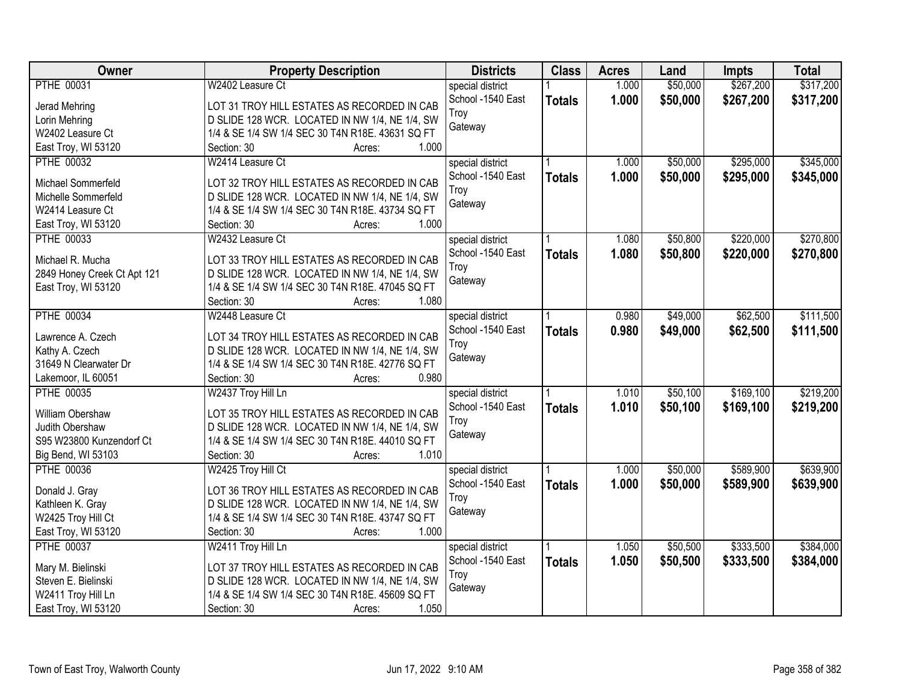| Owner                                              | <b>Property Description</b>                      | <b>Districts</b>  | <b>Class</b>  | <b>Acres</b> | Land     | <b>Impts</b> | <b>Total</b> |
|----------------------------------------------------|--------------------------------------------------|-------------------|---------------|--------------|----------|--------------|--------------|
| <b>PTHE 00031</b>                                  | W2402 Leasure Ct                                 | special district  |               | 1.000        | \$50,000 | \$267,200    | \$317,200    |
| Jerad Mehring                                      | LOT 31 TROY HILL ESTATES AS RECORDED IN CAB      | School -1540 East | <b>Totals</b> | 1.000        | \$50,000 | \$267,200    | \$317,200    |
| Lorin Mehring                                      | D SLIDE 128 WCR. LOCATED IN NW 1/4, NE 1/4, SW   | Troy              |               |              |          |              |              |
| W2402 Leasure Ct                                   | 1/4 & SE 1/4 SW 1/4 SEC 30 T4N R18E. 43631 SQ FT | Gateway           |               |              |          |              |              |
| East Troy, WI 53120                                | 1.000<br>Section: 30<br>Acres:                   |                   |               |              |          |              |              |
| <b>PTHE 00032</b>                                  | W2414 Leasure Ct                                 | special district  |               | 1.000        | \$50,000 | \$295,000    | \$345,000    |
|                                                    |                                                  | School -1540 East |               | 1.000        | \$50,000 | \$295,000    | \$345,000    |
| Michael Sommerfeld                                 | LOT 32 TROY HILL ESTATES AS RECORDED IN CAB      | Troy              | <b>Totals</b> |              |          |              |              |
| Michelle Sommerfeld                                | D SLIDE 128 WCR. LOCATED IN NW 1/4, NE 1/4, SW   | Gateway           |               |              |          |              |              |
| W2414 Leasure Ct                                   | 1/4 & SE 1/4 SW 1/4 SEC 30 T4N R18E. 43734 SQ FT |                   |               |              |          |              |              |
| East Troy, WI 53120                                | 1.000<br>Section: 30<br>Acres:                   |                   |               |              |          |              |              |
| <b>PTHE 00033</b>                                  | W2432 Leasure Ct                                 | special district  |               | 1.080        | \$50,800 | \$220,000    | \$270,800    |
| Michael R. Mucha                                   | LOT 33 TROY HILL ESTATES AS RECORDED IN CAB      | School -1540 East | <b>Totals</b> | 1.080        | \$50,800 | \$220,000    | \$270,800    |
|                                                    | D SLIDE 128 WCR. LOCATED IN NW 1/4, NE 1/4, SW   | Troy              |               |              |          |              |              |
| 2849 Honey Creek Ct Apt 121<br>East Troy, WI 53120 | 1/4 & SE 1/4 SW 1/4 SEC 30 T4N R18E. 47045 SQ FT | Gateway           |               |              |          |              |              |
|                                                    | 1.080<br>Section: 30<br>Acres:                   |                   |               |              |          |              |              |
| <b>PTHE 00034</b>                                  | W2448 Leasure Ct                                 |                   |               | 0.980        | \$49,000 | \$62,500     | \$111,500    |
|                                                    |                                                  | special district  |               |              |          |              |              |
| Lawrence A. Czech                                  | LOT 34 TROY HILL ESTATES AS RECORDED IN CAB      | School -1540 East | <b>Totals</b> | 0.980        | \$49,000 | \$62,500     | \$111,500    |
| Kathy A. Czech                                     | D SLIDE 128 WCR. LOCATED IN NW 1/4, NE 1/4, SW   | Troy              |               |              |          |              |              |
| 31649 N Clearwater Dr                              | 1/4 & SE 1/4 SW 1/4 SEC 30 T4N R18E. 42776 SQ FT | Gateway           |               |              |          |              |              |
| Lakemoor, IL 60051                                 | Section: 30<br>0.980<br>Acres:                   |                   |               |              |          |              |              |
| <b>PTHE 00035</b>                                  | W2437 Troy Hill Ln                               | special district  |               | 1.010        | \$50,100 | \$169,100    | \$219,200    |
|                                                    |                                                  | School -1540 East | <b>Totals</b> | 1.010        | \$50,100 | \$169,100    | \$219,200    |
| William Obershaw                                   | LOT 35 TROY HILL ESTATES AS RECORDED IN CAB      | Troy              |               |              |          |              |              |
| Judith Obershaw                                    | D SLIDE 128 WCR. LOCATED IN NW 1/4, NE 1/4, SW   | Gateway           |               |              |          |              |              |
| S95 W23800 Kunzendorf Ct                           | 1/4 & SE 1/4 SW 1/4 SEC 30 T4N R18E. 44010 SQ FT |                   |               |              |          |              |              |
| Big Bend, WI 53103                                 | 1.010<br>Section: 30<br>Acres:                   |                   |               |              |          |              |              |
| <b>PTHE 00036</b>                                  | W2425 Troy Hill Ct                               | special district  |               | 1.000        | \$50,000 | \$589,900    | \$639,900    |
| Donald J. Gray                                     | LOT 36 TROY HILL ESTATES AS RECORDED IN CAB      | School -1540 East | <b>Totals</b> | 1.000        | \$50,000 | \$589,900    | \$639,900    |
| Kathleen K. Gray                                   | D SLIDE 128 WCR. LOCATED IN NW 1/4, NE 1/4, SW   | Troy              |               |              |          |              |              |
| W2425 Troy Hill Ct                                 | 1/4 & SE 1/4 SW 1/4 SEC 30 T4N R18E. 43747 SQ FT | Gateway           |               |              |          |              |              |
| East Troy, WI 53120                                | Section: 30<br>1.000<br>Acres:                   |                   |               |              |          |              |              |
| <b>PTHE 00037</b>                                  | W2411 Troy Hill Ln                               | special district  |               | 1.050        | \$50,500 | \$333,500    | \$384,000    |
|                                                    |                                                  | School -1540 East | <b>Totals</b> | 1.050        | \$50,500 | \$333,500    | \$384,000    |
| Mary M. Bielinski                                  | LOT 37 TROY HILL ESTATES AS RECORDED IN CAB      | Troy              |               |              |          |              |              |
| Steven E. Bielinski                                | D SLIDE 128 WCR. LOCATED IN NW 1/4, NE 1/4, SW   | Gateway           |               |              |          |              |              |
| W2411 Troy Hill Ln                                 | 1/4 & SE 1/4 SW 1/4 SEC 30 T4N R18E. 45609 SQ FT |                   |               |              |          |              |              |
| East Troy, WI 53120                                | 1.050<br>Section: 30<br>Acres:                   |                   |               |              |          |              |              |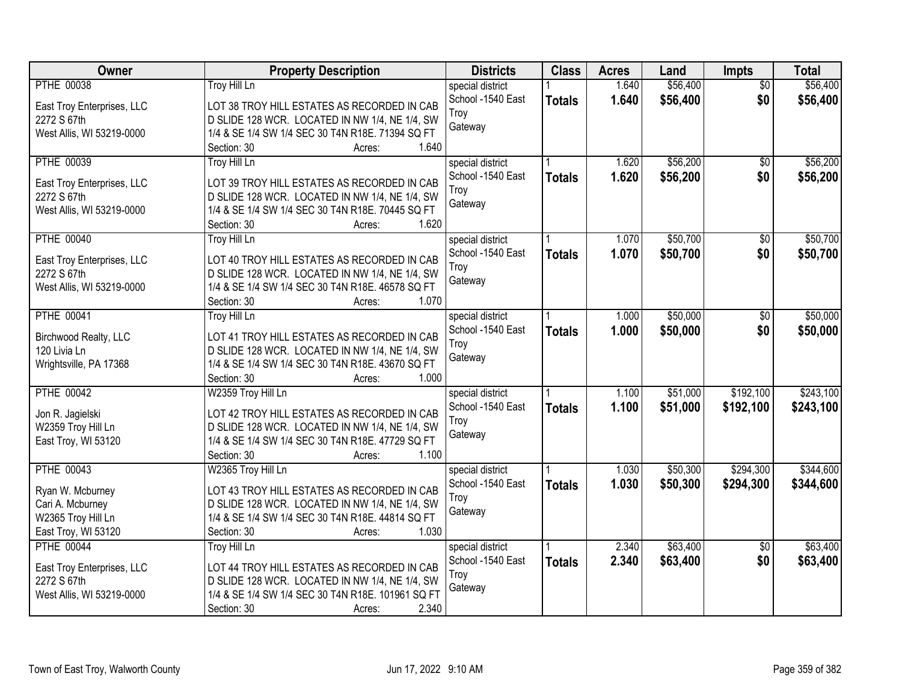| \$56,400<br><b>PTHE 00038</b><br><b>Troy Hill Ln</b><br>1.640<br>$\overline{50}$<br>special district<br>School -1540 East<br>1.640<br>\$56,400<br>\$0<br>\$56,400<br><b>Totals</b><br>LOT 38 TROY HILL ESTATES AS RECORDED IN CAB<br>East Troy Enterprises, LLC<br>Troy<br>D SLIDE 128 WCR. LOCATED IN NW 1/4, NE 1/4, SW<br>2272 S 67th<br>Gateway<br>1/4 & SE 1/4 SW 1/4 SEC 30 T4N R18E. 71394 SQ FT<br>West Allis, WI 53219-0000<br>1.640<br>Section: 30<br>Acres:<br><b>PTHE 00039</b><br><b>Troy Hill Ln</b><br>\$56,200<br>\$56,200<br>1.620<br>$\overline{50}$<br>special district<br>School -1540 East<br>1.620<br>\$56,200<br>\$0<br>\$56,200<br><b>Totals</b><br>LOT 39 TROY HILL ESTATES AS RECORDED IN CAB<br>East Troy Enterprises, LLC<br>Troy<br>D SLIDE 128 WCR. LOCATED IN NW 1/4, NE 1/4, SW<br>2272 S 67th<br>Gateway<br>1/4 & SE 1/4 SW 1/4 SEC 30 T4N R18E. 70445 SQ FT<br>West Allis, WI 53219-0000<br>1.620<br>Section: 30<br>Acres:<br>\$50,700<br><b>PTHE 00040</b><br>\$50,700<br><b>Troy Hill Ln</b><br>special district<br>1.070<br>\$0<br>\$0<br>School -1540 East<br>1.070<br>\$50,700<br>\$50,700<br><b>Totals</b><br>LOT 40 TROY HILL ESTATES AS RECORDED IN CAB<br>East Troy Enterprises, LLC<br>Troy<br>2272 S 67th<br>D SLIDE 128 WCR. LOCATED IN NW 1/4, NE 1/4, SW<br>Gateway<br>West Allis, WI 53219-0000<br>1/4 & SE 1/4 SW 1/4 SEC 30 T4N R18E. 46578 SQ FT<br>Section: 30<br>1.070<br>Acres:<br>\$50,000<br><b>PTHE 00041</b><br><b>Troy Hill Ln</b><br>special district<br>1.000<br>\$0<br>School -1540 East<br>1.000<br>\$50,000<br>\$0<br><b>Totals</b><br>LOT 41 TROY HILL ESTATES AS RECORDED IN CAB<br>Birchwood Realty, LLC<br>Troy<br>120 Livia Ln<br>D SLIDE 128 WCR. LOCATED IN NW 1/4, NE 1/4, SW<br>Gateway<br>1/4 & SE 1/4 SW 1/4 SEC 30 T4N R18E. 43670 SQ FT<br>Wrightsville, PA 17368<br>Section: 30<br>1.000<br>Acres:<br>\$192,100<br><b>PTHE 00042</b><br>\$51,000<br>W2359 Troy Hill Ln<br>1.100<br>special district<br>1.100<br>\$192,100<br>School -1540 East<br>\$51,000<br><b>Totals</b><br>LOT 42 TROY HILL ESTATES AS RECORDED IN CAB<br>Jon R. Jagielski<br>Troy<br>W2359 Troy Hill Ln<br>D SLIDE 128 WCR. LOCATED IN NW 1/4, NE 1/4, SW<br>Gateway<br>1/4 & SE 1/4 SW 1/4 SEC 30 T4N R18E. 47729 SQ FT<br>East Troy, WI 53120<br>1.100<br>Section: 30<br>Acres:<br><b>PTHE 00043</b><br>\$50,300<br>\$294,300<br>W2365 Troy Hill Ln<br>1.030<br>special district<br>1.030<br>\$50,300<br>\$294,300<br>School -1540 East<br><b>Totals</b><br>Ryan W. Mcburney<br>LOT 43 TROY HILL ESTATES AS RECORDED IN CAB<br>Troy<br>Cari A. Mcburney<br>D SLIDE 128 WCR. LOCATED IN NW 1/4, NE 1/4, SW<br>Gateway<br>1/4 & SE 1/4 SW 1/4 SEC 30 T4N R18E. 44814 SQ FT<br>W2365 Troy Hill Ln<br>1.030<br>East Troy, WI 53120<br>Section: 30<br>Acres:<br>\$63,400<br><b>PTHE 00044</b><br>2.340<br><b>Troy Hill Ln</b><br>$\overline{50}$<br>special district<br>2.340<br>\$0<br>School -1540 East<br>\$63,400<br><b>Totals</b><br>LOT 44 TROY HILL ESTATES AS RECORDED IN CAB<br>East Troy Enterprises, LLC<br>Troy<br>2272 S 67th<br>D SLIDE 128 WCR. LOCATED IN NW 1/4, NE 1/4, SW<br>Gateway<br>1/4 & SE 1/4 SW 1/4 SEC 30 T4N R18E. 101961 SQ FT<br>West Allis, WI 53219-0000 | Owner | <b>Property Description</b>    | <b>Districts</b> | <b>Class</b> | <b>Acres</b> | Land     | Impts | <b>Total</b> |
|--------------------------------------------------------------------------------------------------------------------------------------------------------------------------------------------------------------------------------------------------------------------------------------------------------------------------------------------------------------------------------------------------------------------------------------------------------------------------------------------------------------------------------------------------------------------------------------------------------------------------------------------------------------------------------------------------------------------------------------------------------------------------------------------------------------------------------------------------------------------------------------------------------------------------------------------------------------------------------------------------------------------------------------------------------------------------------------------------------------------------------------------------------------------------------------------------------------------------------------------------------------------------------------------------------------------------------------------------------------------------------------------------------------------------------------------------------------------------------------------------------------------------------------------------------------------------------------------------------------------------------------------------------------------------------------------------------------------------------------------------------------------------------------------------------------------------------------------------------------------------------------------------------------------------------------------------------------------------------------------------------------------------------------------------------------------------------------------------------------------------------------------------------------------------------------------------------------------------------------------------------------------------------------------------------------------------------------------------------------------------------------------------------------------------------------------------------------------------------------------------------------------------------------------------------------------------------------------------------------------------------------------------------------------------------------------------------------------------------------------------------------------------------------------------------------------------------------------------------------------------------------------------------------------------------------------------------------------------------------------------------------------------------------------------------------------------------------------------------------------------------------------------------------------------------------------------------------------------------------------|-------|--------------------------------|------------------|--------------|--------------|----------|-------|--------------|
|                                                                                                                                                                                                                                                                                                                                                                                                                                                                                                                                                                                                                                                                                                                                                                                                                                                                                                                                                                                                                                                                                                                                                                                                                                                                                                                                                                                                                                                                                                                                                                                                                                                                                                                                                                                                                                                                                                                                                                                                                                                                                                                                                                                                                                                                                                                                                                                                                                                                                                                                                                                                                                                                                                                                                                                                                                                                                                                                                                                                                                                                                                                                                                                                                                            |       |                                |                  |              |              | \$56,400 |       |              |
|                                                                                                                                                                                                                                                                                                                                                                                                                                                                                                                                                                                                                                                                                                                                                                                                                                                                                                                                                                                                                                                                                                                                                                                                                                                                                                                                                                                                                                                                                                                                                                                                                                                                                                                                                                                                                                                                                                                                                                                                                                                                                                                                                                                                                                                                                                                                                                                                                                                                                                                                                                                                                                                                                                                                                                                                                                                                                                                                                                                                                                                                                                                                                                                                                                            |       |                                |                  |              |              |          |       |              |
|                                                                                                                                                                                                                                                                                                                                                                                                                                                                                                                                                                                                                                                                                                                                                                                                                                                                                                                                                                                                                                                                                                                                                                                                                                                                                                                                                                                                                                                                                                                                                                                                                                                                                                                                                                                                                                                                                                                                                                                                                                                                                                                                                                                                                                                                                                                                                                                                                                                                                                                                                                                                                                                                                                                                                                                                                                                                                                                                                                                                                                                                                                                                                                                                                                            |       |                                |                  |              |              |          |       |              |
|                                                                                                                                                                                                                                                                                                                                                                                                                                                                                                                                                                                                                                                                                                                                                                                                                                                                                                                                                                                                                                                                                                                                                                                                                                                                                                                                                                                                                                                                                                                                                                                                                                                                                                                                                                                                                                                                                                                                                                                                                                                                                                                                                                                                                                                                                                                                                                                                                                                                                                                                                                                                                                                                                                                                                                                                                                                                                                                                                                                                                                                                                                                                                                                                                                            |       |                                |                  |              |              |          |       |              |
|                                                                                                                                                                                                                                                                                                                                                                                                                                                                                                                                                                                                                                                                                                                                                                                                                                                                                                                                                                                                                                                                                                                                                                                                                                                                                                                                                                                                                                                                                                                                                                                                                                                                                                                                                                                                                                                                                                                                                                                                                                                                                                                                                                                                                                                                                                                                                                                                                                                                                                                                                                                                                                                                                                                                                                                                                                                                                                                                                                                                                                                                                                                                                                                                                                            |       |                                |                  |              |              |          |       |              |
|                                                                                                                                                                                                                                                                                                                                                                                                                                                                                                                                                                                                                                                                                                                                                                                                                                                                                                                                                                                                                                                                                                                                                                                                                                                                                                                                                                                                                                                                                                                                                                                                                                                                                                                                                                                                                                                                                                                                                                                                                                                                                                                                                                                                                                                                                                                                                                                                                                                                                                                                                                                                                                                                                                                                                                                                                                                                                                                                                                                                                                                                                                                                                                                                                                            |       |                                |                  |              |              |          |       |              |
|                                                                                                                                                                                                                                                                                                                                                                                                                                                                                                                                                                                                                                                                                                                                                                                                                                                                                                                                                                                                                                                                                                                                                                                                                                                                                                                                                                                                                                                                                                                                                                                                                                                                                                                                                                                                                                                                                                                                                                                                                                                                                                                                                                                                                                                                                                                                                                                                                                                                                                                                                                                                                                                                                                                                                                                                                                                                                                                                                                                                                                                                                                                                                                                                                                            |       |                                |                  |              |              |          |       |              |
|                                                                                                                                                                                                                                                                                                                                                                                                                                                                                                                                                                                                                                                                                                                                                                                                                                                                                                                                                                                                                                                                                                                                                                                                                                                                                                                                                                                                                                                                                                                                                                                                                                                                                                                                                                                                                                                                                                                                                                                                                                                                                                                                                                                                                                                                                                                                                                                                                                                                                                                                                                                                                                                                                                                                                                                                                                                                                                                                                                                                                                                                                                                                                                                                                                            |       |                                |                  |              |              |          |       |              |
|                                                                                                                                                                                                                                                                                                                                                                                                                                                                                                                                                                                                                                                                                                                                                                                                                                                                                                                                                                                                                                                                                                                                                                                                                                                                                                                                                                                                                                                                                                                                                                                                                                                                                                                                                                                                                                                                                                                                                                                                                                                                                                                                                                                                                                                                                                                                                                                                                                                                                                                                                                                                                                                                                                                                                                                                                                                                                                                                                                                                                                                                                                                                                                                                                                            |       |                                |                  |              |              |          |       |              |
|                                                                                                                                                                                                                                                                                                                                                                                                                                                                                                                                                                                                                                                                                                                                                                                                                                                                                                                                                                                                                                                                                                                                                                                                                                                                                                                                                                                                                                                                                                                                                                                                                                                                                                                                                                                                                                                                                                                                                                                                                                                                                                                                                                                                                                                                                                                                                                                                                                                                                                                                                                                                                                                                                                                                                                                                                                                                                                                                                                                                                                                                                                                                                                                                                                            |       |                                |                  |              |              |          |       |              |
|                                                                                                                                                                                                                                                                                                                                                                                                                                                                                                                                                                                                                                                                                                                                                                                                                                                                                                                                                                                                                                                                                                                                                                                                                                                                                                                                                                                                                                                                                                                                                                                                                                                                                                                                                                                                                                                                                                                                                                                                                                                                                                                                                                                                                                                                                                                                                                                                                                                                                                                                                                                                                                                                                                                                                                                                                                                                                                                                                                                                                                                                                                                                                                                                                                            |       |                                |                  |              |              |          |       |              |
|                                                                                                                                                                                                                                                                                                                                                                                                                                                                                                                                                                                                                                                                                                                                                                                                                                                                                                                                                                                                                                                                                                                                                                                                                                                                                                                                                                                                                                                                                                                                                                                                                                                                                                                                                                                                                                                                                                                                                                                                                                                                                                                                                                                                                                                                                                                                                                                                                                                                                                                                                                                                                                                                                                                                                                                                                                                                                                                                                                                                                                                                                                                                                                                                                                            |       |                                |                  |              |              |          |       |              |
|                                                                                                                                                                                                                                                                                                                                                                                                                                                                                                                                                                                                                                                                                                                                                                                                                                                                                                                                                                                                                                                                                                                                                                                                                                                                                                                                                                                                                                                                                                                                                                                                                                                                                                                                                                                                                                                                                                                                                                                                                                                                                                                                                                                                                                                                                                                                                                                                                                                                                                                                                                                                                                                                                                                                                                                                                                                                                                                                                                                                                                                                                                                                                                                                                                            |       |                                |                  |              |              |          |       |              |
| \$50,000<br>\$50,000                                                                                                                                                                                                                                                                                                                                                                                                                                                                                                                                                                                                                                                                                                                                                                                                                                                                                                                                                                                                                                                                                                                                                                                                                                                                                                                                                                                                                                                                                                                                                                                                                                                                                                                                                                                                                                                                                                                                                                                                                                                                                                                                                                                                                                                                                                                                                                                                                                                                                                                                                                                                                                                                                                                                                                                                                                                                                                                                                                                                                                                                                                                                                                                                                       |       |                                |                  |              |              |          |       |              |
|                                                                                                                                                                                                                                                                                                                                                                                                                                                                                                                                                                                                                                                                                                                                                                                                                                                                                                                                                                                                                                                                                                                                                                                                                                                                                                                                                                                                                                                                                                                                                                                                                                                                                                                                                                                                                                                                                                                                                                                                                                                                                                                                                                                                                                                                                                                                                                                                                                                                                                                                                                                                                                                                                                                                                                                                                                                                                                                                                                                                                                                                                                                                                                                                                                            |       |                                |                  |              |              |          |       |              |
|                                                                                                                                                                                                                                                                                                                                                                                                                                                                                                                                                                                                                                                                                                                                                                                                                                                                                                                                                                                                                                                                                                                                                                                                                                                                                                                                                                                                                                                                                                                                                                                                                                                                                                                                                                                                                                                                                                                                                                                                                                                                                                                                                                                                                                                                                                                                                                                                                                                                                                                                                                                                                                                                                                                                                                                                                                                                                                                                                                                                                                                                                                                                                                                                                                            |       |                                |                  |              |              |          |       |              |
|                                                                                                                                                                                                                                                                                                                                                                                                                                                                                                                                                                                                                                                                                                                                                                                                                                                                                                                                                                                                                                                                                                                                                                                                                                                                                                                                                                                                                                                                                                                                                                                                                                                                                                                                                                                                                                                                                                                                                                                                                                                                                                                                                                                                                                                                                                                                                                                                                                                                                                                                                                                                                                                                                                                                                                                                                                                                                                                                                                                                                                                                                                                                                                                                                                            |       |                                |                  |              |              |          |       |              |
|                                                                                                                                                                                                                                                                                                                                                                                                                                                                                                                                                                                                                                                                                                                                                                                                                                                                                                                                                                                                                                                                                                                                                                                                                                                                                                                                                                                                                                                                                                                                                                                                                                                                                                                                                                                                                                                                                                                                                                                                                                                                                                                                                                                                                                                                                                                                                                                                                                                                                                                                                                                                                                                                                                                                                                                                                                                                                                                                                                                                                                                                                                                                                                                                                                            |       |                                |                  |              |              |          |       |              |
| \$243,100<br>\$243,100<br>\$344,600<br>\$344,600<br>\$63,400<br>\$63,400                                                                                                                                                                                                                                                                                                                                                                                                                                                                                                                                                                                                                                                                                                                                                                                                                                                                                                                                                                                                                                                                                                                                                                                                                                                                                                                                                                                                                                                                                                                                                                                                                                                                                                                                                                                                                                                                                                                                                                                                                                                                                                                                                                                                                                                                                                                                                                                                                                                                                                                                                                                                                                                                                                                                                                                                                                                                                                                                                                                                                                                                                                                                                                   |       |                                |                  |              |              |          |       |              |
|                                                                                                                                                                                                                                                                                                                                                                                                                                                                                                                                                                                                                                                                                                                                                                                                                                                                                                                                                                                                                                                                                                                                                                                                                                                                                                                                                                                                                                                                                                                                                                                                                                                                                                                                                                                                                                                                                                                                                                                                                                                                                                                                                                                                                                                                                                                                                                                                                                                                                                                                                                                                                                                                                                                                                                                                                                                                                                                                                                                                                                                                                                                                                                                                                                            |       |                                |                  |              |              |          |       |              |
|                                                                                                                                                                                                                                                                                                                                                                                                                                                                                                                                                                                                                                                                                                                                                                                                                                                                                                                                                                                                                                                                                                                                                                                                                                                                                                                                                                                                                                                                                                                                                                                                                                                                                                                                                                                                                                                                                                                                                                                                                                                                                                                                                                                                                                                                                                                                                                                                                                                                                                                                                                                                                                                                                                                                                                                                                                                                                                                                                                                                                                                                                                                                                                                                                                            |       |                                |                  |              |              |          |       |              |
|                                                                                                                                                                                                                                                                                                                                                                                                                                                                                                                                                                                                                                                                                                                                                                                                                                                                                                                                                                                                                                                                                                                                                                                                                                                                                                                                                                                                                                                                                                                                                                                                                                                                                                                                                                                                                                                                                                                                                                                                                                                                                                                                                                                                                                                                                                                                                                                                                                                                                                                                                                                                                                                                                                                                                                                                                                                                                                                                                                                                                                                                                                                                                                                                                                            |       |                                |                  |              |              |          |       |              |
|                                                                                                                                                                                                                                                                                                                                                                                                                                                                                                                                                                                                                                                                                                                                                                                                                                                                                                                                                                                                                                                                                                                                                                                                                                                                                                                                                                                                                                                                                                                                                                                                                                                                                                                                                                                                                                                                                                                                                                                                                                                                                                                                                                                                                                                                                                                                                                                                                                                                                                                                                                                                                                                                                                                                                                                                                                                                                                                                                                                                                                                                                                                                                                                                                                            |       |                                |                  |              |              |          |       |              |
|                                                                                                                                                                                                                                                                                                                                                                                                                                                                                                                                                                                                                                                                                                                                                                                                                                                                                                                                                                                                                                                                                                                                                                                                                                                                                                                                                                                                                                                                                                                                                                                                                                                                                                                                                                                                                                                                                                                                                                                                                                                                                                                                                                                                                                                                                                                                                                                                                                                                                                                                                                                                                                                                                                                                                                                                                                                                                                                                                                                                                                                                                                                                                                                                                                            |       |                                |                  |              |              |          |       |              |
|                                                                                                                                                                                                                                                                                                                                                                                                                                                                                                                                                                                                                                                                                                                                                                                                                                                                                                                                                                                                                                                                                                                                                                                                                                                                                                                                                                                                                                                                                                                                                                                                                                                                                                                                                                                                                                                                                                                                                                                                                                                                                                                                                                                                                                                                                                                                                                                                                                                                                                                                                                                                                                                                                                                                                                                                                                                                                                                                                                                                                                                                                                                                                                                                                                            |       |                                |                  |              |              |          |       |              |
|                                                                                                                                                                                                                                                                                                                                                                                                                                                                                                                                                                                                                                                                                                                                                                                                                                                                                                                                                                                                                                                                                                                                                                                                                                                                                                                                                                                                                                                                                                                                                                                                                                                                                                                                                                                                                                                                                                                                                                                                                                                                                                                                                                                                                                                                                                                                                                                                                                                                                                                                                                                                                                                                                                                                                                                                                                                                                                                                                                                                                                                                                                                                                                                                                                            |       |                                |                  |              |              |          |       |              |
|                                                                                                                                                                                                                                                                                                                                                                                                                                                                                                                                                                                                                                                                                                                                                                                                                                                                                                                                                                                                                                                                                                                                                                                                                                                                                                                                                                                                                                                                                                                                                                                                                                                                                                                                                                                                                                                                                                                                                                                                                                                                                                                                                                                                                                                                                                                                                                                                                                                                                                                                                                                                                                                                                                                                                                                                                                                                                                                                                                                                                                                                                                                                                                                                                                            |       |                                |                  |              |              |          |       |              |
|                                                                                                                                                                                                                                                                                                                                                                                                                                                                                                                                                                                                                                                                                                                                                                                                                                                                                                                                                                                                                                                                                                                                                                                                                                                                                                                                                                                                                                                                                                                                                                                                                                                                                                                                                                                                                                                                                                                                                                                                                                                                                                                                                                                                                                                                                                                                                                                                                                                                                                                                                                                                                                                                                                                                                                                                                                                                                                                                                                                                                                                                                                                                                                                                                                            |       |                                |                  |              |              |          |       |              |
|                                                                                                                                                                                                                                                                                                                                                                                                                                                                                                                                                                                                                                                                                                                                                                                                                                                                                                                                                                                                                                                                                                                                                                                                                                                                                                                                                                                                                                                                                                                                                                                                                                                                                                                                                                                                                                                                                                                                                                                                                                                                                                                                                                                                                                                                                                                                                                                                                                                                                                                                                                                                                                                                                                                                                                                                                                                                                                                                                                                                                                                                                                                                                                                                                                            |       |                                |                  |              |              |          |       |              |
|                                                                                                                                                                                                                                                                                                                                                                                                                                                                                                                                                                                                                                                                                                                                                                                                                                                                                                                                                                                                                                                                                                                                                                                                                                                                                                                                                                                                                                                                                                                                                                                                                                                                                                                                                                                                                                                                                                                                                                                                                                                                                                                                                                                                                                                                                                                                                                                                                                                                                                                                                                                                                                                                                                                                                                                                                                                                                                                                                                                                                                                                                                                                                                                                                                            |       |                                |                  |              |              |          |       |              |
|                                                                                                                                                                                                                                                                                                                                                                                                                                                                                                                                                                                                                                                                                                                                                                                                                                                                                                                                                                                                                                                                                                                                                                                                                                                                                                                                                                                                                                                                                                                                                                                                                                                                                                                                                                                                                                                                                                                                                                                                                                                                                                                                                                                                                                                                                                                                                                                                                                                                                                                                                                                                                                                                                                                                                                                                                                                                                                                                                                                                                                                                                                                                                                                                                                            |       |                                |                  |              |              |          |       |              |
|                                                                                                                                                                                                                                                                                                                                                                                                                                                                                                                                                                                                                                                                                                                                                                                                                                                                                                                                                                                                                                                                                                                                                                                                                                                                                                                                                                                                                                                                                                                                                                                                                                                                                                                                                                                                                                                                                                                                                                                                                                                                                                                                                                                                                                                                                                                                                                                                                                                                                                                                                                                                                                                                                                                                                                                                                                                                                                                                                                                                                                                                                                                                                                                                                                            |       |                                |                  |              |              |          |       |              |
|                                                                                                                                                                                                                                                                                                                                                                                                                                                                                                                                                                                                                                                                                                                                                                                                                                                                                                                                                                                                                                                                                                                                                                                                                                                                                                                                                                                                                                                                                                                                                                                                                                                                                                                                                                                                                                                                                                                                                                                                                                                                                                                                                                                                                                                                                                                                                                                                                                                                                                                                                                                                                                                                                                                                                                                                                                                                                                                                                                                                                                                                                                                                                                                                                                            |       |                                |                  |              |              |          |       |              |
|                                                                                                                                                                                                                                                                                                                                                                                                                                                                                                                                                                                                                                                                                                                                                                                                                                                                                                                                                                                                                                                                                                                                                                                                                                                                                                                                                                                                                                                                                                                                                                                                                                                                                                                                                                                                                                                                                                                                                                                                                                                                                                                                                                                                                                                                                                                                                                                                                                                                                                                                                                                                                                                                                                                                                                                                                                                                                                                                                                                                                                                                                                                                                                                                                                            |       |                                |                  |              |              |          |       |              |
|                                                                                                                                                                                                                                                                                                                                                                                                                                                                                                                                                                                                                                                                                                                                                                                                                                                                                                                                                                                                                                                                                                                                                                                                                                                                                                                                                                                                                                                                                                                                                                                                                                                                                                                                                                                                                                                                                                                                                                                                                                                                                                                                                                                                                                                                                                                                                                                                                                                                                                                                                                                                                                                                                                                                                                                                                                                                                                                                                                                                                                                                                                                                                                                                                                            |       |                                |                  |              |              |          |       |              |
|                                                                                                                                                                                                                                                                                                                                                                                                                                                                                                                                                                                                                                                                                                                                                                                                                                                                                                                                                                                                                                                                                                                                                                                                                                                                                                                                                                                                                                                                                                                                                                                                                                                                                                                                                                                                                                                                                                                                                                                                                                                                                                                                                                                                                                                                                                                                                                                                                                                                                                                                                                                                                                                                                                                                                                                                                                                                                                                                                                                                                                                                                                                                                                                                                                            |       |                                |                  |              |              |          |       |              |
|                                                                                                                                                                                                                                                                                                                                                                                                                                                                                                                                                                                                                                                                                                                                                                                                                                                                                                                                                                                                                                                                                                                                                                                                                                                                                                                                                                                                                                                                                                                                                                                                                                                                                                                                                                                                                                                                                                                                                                                                                                                                                                                                                                                                                                                                                                                                                                                                                                                                                                                                                                                                                                                                                                                                                                                                                                                                                                                                                                                                                                                                                                                                                                                                                                            |       | 2.340<br>Section: 30<br>Acres: |                  |              |              |          |       |              |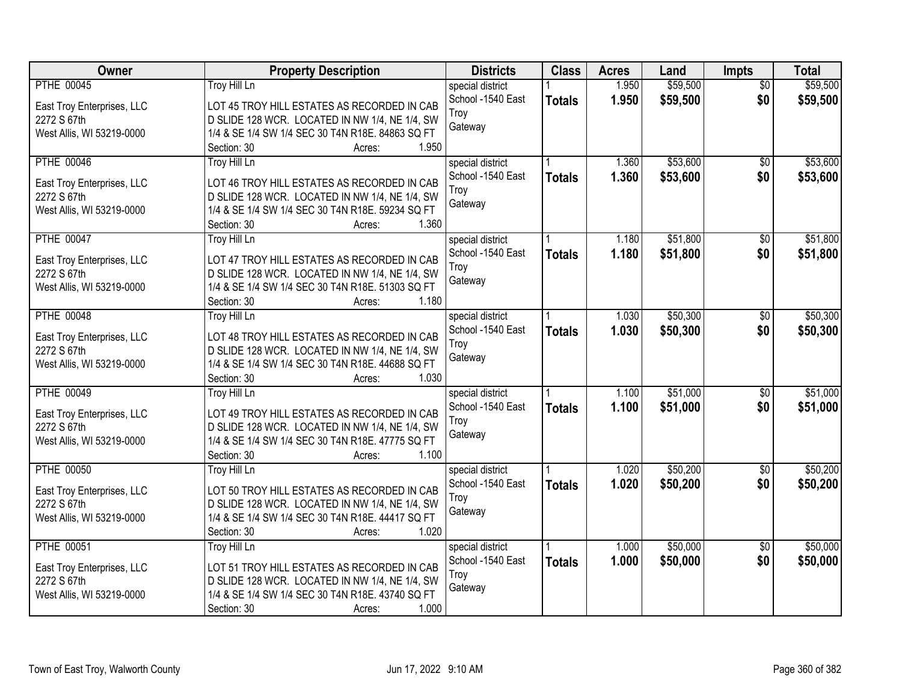| Owner                      | <b>Property Description</b>                                              | <b>Districts</b>                      | <b>Class</b>  | <b>Acres</b> | Land     | <b>Impts</b>    | <b>Total</b> |
|----------------------------|--------------------------------------------------------------------------|---------------------------------------|---------------|--------------|----------|-----------------|--------------|
| <b>PTHE 00045</b>          | <b>Troy Hill Ln</b>                                                      | special district                      |               | 1.950        | \$59,500 | $\overline{50}$ | \$59,500     |
| East Troy Enterprises, LLC | LOT 45 TROY HILL ESTATES AS RECORDED IN CAB                              | School -1540 East                     | <b>Totals</b> | 1.950        | \$59,500 | \$0             | \$59,500     |
| 2272 S 67th                | D SLIDE 128 WCR. LOCATED IN NW 1/4, NE 1/4, SW                           | Troy                                  |               |              |          |                 |              |
| West Allis, WI 53219-0000  | 1/4 & SE 1/4 SW 1/4 SEC 30 T4N R18E. 84863 SQ FT                         | Gateway                               |               |              |          |                 |              |
|                            | 1.950<br>Section: 30<br>Acres:                                           |                                       |               |              |          |                 |              |
| <b>PTHE 00046</b>          | <b>Troy Hill Ln</b>                                                      | special district                      |               | 1.360        | \$53,600 | $\overline{50}$ | \$53,600     |
|                            |                                                                          | School -1540 East                     | <b>Totals</b> | 1.360        | \$53,600 | \$0             | \$53,600     |
| East Troy Enterprises, LLC | LOT 46 TROY HILL ESTATES AS RECORDED IN CAB                              | Troy                                  |               |              |          |                 |              |
| 2272 S 67th                | D SLIDE 128 WCR. LOCATED IN NW 1/4, NE 1/4, SW                           | Gateway                               |               |              |          |                 |              |
| West Allis, WI 53219-0000  | 1/4 & SE 1/4 SW 1/4 SEC 30 T4N R18E. 59234 SQ FT<br>1.360<br>Section: 30 |                                       |               |              |          |                 |              |
|                            | Acres:                                                                   |                                       |               |              | \$51,800 |                 |              |
| <b>PTHE 00047</b>          | <b>Troy Hill Ln</b>                                                      | special district<br>School -1540 East |               | 1.180        |          | \$0             | \$51,800     |
| East Troy Enterprises, LLC | LOT 47 TROY HILL ESTATES AS RECORDED IN CAB                              |                                       | <b>Totals</b> | 1.180        | \$51,800 | \$0             | \$51,800     |
| 2272 S 67th                | D SLIDE 128 WCR. LOCATED IN NW 1/4, NE 1/4, SW                           | Troy                                  |               |              |          |                 |              |
| West Allis, WI 53219-0000  | 1/4 & SE 1/4 SW 1/4 SEC 30 T4N R18E. 51303 SQ FT                         | Gateway                               |               |              |          |                 |              |
|                            | Section: 30<br>1.180<br>Acres:                                           |                                       |               |              |          |                 |              |
| <b>PTHE 00048</b>          | Troy Hill Ln                                                             | special district                      |               | 1.030        | \$50,300 | \$0             | \$50,300     |
| East Troy Enterprises, LLC | LOT 48 TROY HILL ESTATES AS RECORDED IN CAB                              | School -1540 East                     | <b>Totals</b> | 1.030        | \$50,300 | \$0             | \$50,300     |
| 2272 S 67th                | D SLIDE 128 WCR. LOCATED IN NW 1/4, NE 1/4, SW                           | Troy                                  |               |              |          |                 |              |
| West Allis, WI 53219-0000  | 1/4 & SE 1/4 SW 1/4 SEC 30 T4N R18E. 44688 SQ FT                         | Gateway                               |               |              |          |                 |              |
|                            | 1.030<br>Section: 30<br>Acres:                                           |                                       |               |              |          |                 |              |
| <b>PTHE 00049</b>          | <b>Troy Hill Ln</b>                                                      | special district                      |               | 1.100        | \$51,000 | \$0             | \$51,000     |
|                            |                                                                          | School -1540 East                     | <b>Totals</b> | 1.100        | \$51,000 | \$0             | \$51,000     |
| East Troy Enterprises, LLC | LOT 49 TROY HILL ESTATES AS RECORDED IN CAB                              | Troy                                  |               |              |          |                 |              |
| 2272 S 67th                | D SLIDE 128 WCR. LOCATED IN NW 1/4, NE 1/4, SW                           | Gateway                               |               |              |          |                 |              |
| West Allis, WI 53219-0000  | 1/4 & SE 1/4 SW 1/4 SEC 30 T4N R18E. 47775 SQ FT                         |                                       |               |              |          |                 |              |
|                            | 1.100<br>Section: 30<br>Acres:                                           |                                       |               |              |          |                 |              |
| <b>PTHE 00050</b>          | Troy Hill Ln                                                             | special district                      |               | 1.020        | \$50,200 | $\sqrt{$0}$     | \$50,200     |
| East Troy Enterprises, LLC | LOT 50 TROY HILL ESTATES AS RECORDED IN CAB                              | School -1540 East                     | <b>Totals</b> | 1.020        | \$50,200 | \$0             | \$50,200     |
| 2272 S 67th                | D SLIDE 128 WCR. LOCATED IN NW 1/4, NE 1/4, SW                           | Troy                                  |               |              |          |                 |              |
| West Allis, WI 53219-0000  | 1/4 & SE 1/4 SW 1/4 SEC 30 T4N R18E. 44417 SQ FT                         | Gateway                               |               |              |          |                 |              |
|                            | 1.020<br>Section: 30<br>Acres:                                           |                                       |               |              |          |                 |              |
| <b>PTHE 00051</b>          | <b>Troy Hill Ln</b>                                                      | special district                      |               | 1.000        | \$50,000 | $\overline{50}$ | \$50,000     |
| East Troy Enterprises, LLC | LOT 51 TROY HILL ESTATES AS RECORDED IN CAB                              | School -1540 East                     | <b>Totals</b> | 1.000        | \$50,000 | \$0             | \$50,000     |
| 2272 S 67th                | D SLIDE 128 WCR. LOCATED IN NW 1/4, NE 1/4, SW                           | Troy                                  |               |              |          |                 |              |
| West Allis, WI 53219-0000  | 1/4 & SE 1/4 SW 1/4 SEC 30 T4N R18E. 43740 SQ FT                         | Gateway                               |               |              |          |                 |              |
|                            | 1.000<br>Section: 30<br>Acres:                                           |                                       |               |              |          |                 |              |
|                            |                                                                          |                                       |               |              |          |                 |              |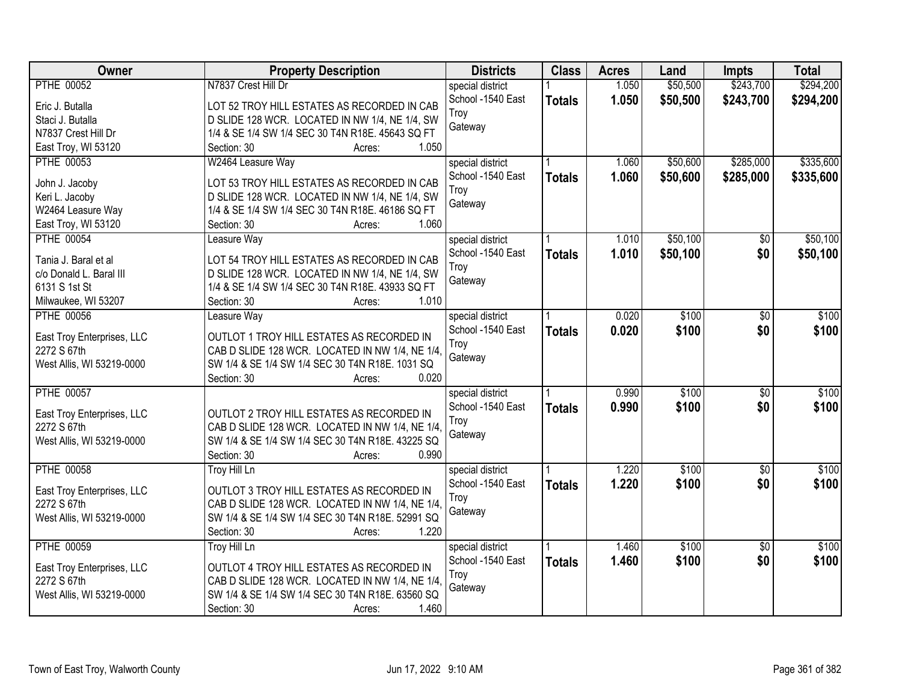| Owner                      | <b>Property Description</b>                      | <b>Districts</b>  | <b>Class</b>  | <b>Acres</b> | Land     | <b>Impts</b>    | <b>Total</b> |
|----------------------------|--------------------------------------------------|-------------------|---------------|--------------|----------|-----------------|--------------|
| <b>PTHE 00052</b>          | N7837 Crest Hill Dr                              | special district  |               | 1.050        | \$50,500 | \$243,700       | \$294,200    |
| Eric J. Butalla            | LOT 52 TROY HILL ESTATES AS RECORDED IN CAB      | School -1540 East | <b>Totals</b> | 1.050        | \$50,500 | \$243,700       | \$294,200    |
| Staci J. Butalla           | D SLIDE 128 WCR. LOCATED IN NW 1/4, NE 1/4, SW   | Troy              |               |              |          |                 |              |
| N7837 Crest Hill Dr        | 1/4 & SE 1/4 SW 1/4 SEC 30 T4N R18E. 45643 SQ FT | Gateway           |               |              |          |                 |              |
| East Troy, WI 53120        | 1.050<br>Section: 30<br>Acres:                   |                   |               |              |          |                 |              |
| <b>PTHE 00053</b>          | W2464 Leasure Way                                | special district  |               | 1.060        | \$50,600 | \$285,000       | \$335,600    |
|                            |                                                  | School -1540 East | <b>Totals</b> | 1.060        | \$50,600 | \$285,000       | \$335,600    |
| John J. Jacoby             | LOT 53 TROY HILL ESTATES AS RECORDED IN CAB      | Troy              |               |              |          |                 |              |
| Keri L. Jacoby             | D SLIDE 128 WCR. LOCATED IN NW 1/4, NE 1/4, SW   | Gateway           |               |              |          |                 |              |
| W2464 Leasure Way          | 1/4 & SE 1/4 SW 1/4 SEC 30 T4N R18E. 46186 SQ FT |                   |               |              |          |                 |              |
| East Troy, WI 53120        | 1.060<br>Section: 30<br>Acres:                   |                   |               |              |          |                 |              |
| <b>PTHE 00054</b>          | Leasure Way                                      | special district  |               | 1.010        | \$50,100 | \$0             | \$50,100     |
| Tania J. Baral et al       | LOT 54 TROY HILL ESTATES AS RECORDED IN CAB      | School -1540 East | <b>Totals</b> | 1.010        | \$50,100 | \$0             | \$50,100     |
| c/o Donald L. Baral III    | D SLIDE 128 WCR. LOCATED IN NW 1/4, NE 1/4, SW   | Troy              |               |              |          |                 |              |
| 6131 S 1st St              | 1/4 & SE 1/4 SW 1/4 SEC 30 T4N R18E. 43933 SQ FT | Gateway           |               |              |          |                 |              |
| Milwaukee, WI 53207        | 1.010<br>Section: 30<br>Acres:                   |                   |               |              |          |                 |              |
| <b>PTHE 00056</b>          | Leasure Way                                      | special district  |               | 0.020        | \$100    | \$0             | \$100        |
|                            |                                                  | School -1540 East | <b>Totals</b> | 0.020        | \$100    | \$0             | \$100        |
| East Troy Enterprises, LLC | OUTLOT 1 TROY HILL ESTATES AS RECORDED IN        | Troy              |               |              |          |                 |              |
| 2272 S 67th                | CAB D SLIDE 128 WCR. LOCATED IN NW 1/4, NE 1/4.  | Gateway           |               |              |          |                 |              |
| West Allis, WI 53219-0000  | SW 1/4 & SE 1/4 SW 1/4 SEC 30 T4N R18E. 1031 SQ  |                   |               |              |          |                 |              |
|                            | 0.020<br>Section: 30<br>Acres:                   |                   |               |              |          |                 |              |
| <b>PTHE 00057</b>          |                                                  | special district  |               | 0.990        | \$100    | $\overline{50}$ | \$100        |
| East Troy Enterprises, LLC | OUTLOT 2 TROY HILL ESTATES AS RECORDED IN        | School -1540 East | <b>Totals</b> | 0.990        | \$100    | \$0             | \$100        |
| 2272 S 67th                | CAB D SLIDE 128 WCR. LOCATED IN NW 1/4, NE 1/4.  | Troy              |               |              |          |                 |              |
| West Allis, WI 53219-0000  | SW 1/4 & SE 1/4 SW 1/4 SEC 30 T4N R18E. 43225 SQ | Gateway           |               |              |          |                 |              |
|                            | 0.990<br>Section: 30<br>Acres:                   |                   |               |              |          |                 |              |
| <b>PTHE 00058</b>          | Troy Hill Ln                                     | special district  |               | 1.220        | \$100    | $\overline{50}$ | \$100        |
|                            |                                                  | School -1540 East | <b>Totals</b> | 1.220        | \$100    | \$0             | \$100        |
| East Troy Enterprises, LLC | OUTLOT 3 TROY HILL ESTATES AS RECORDED IN        | Troy              |               |              |          |                 |              |
| 2272 S 67th                | CAB D SLIDE 128 WCR. LOCATED IN NW 1/4, NE 1/4.  | Gateway           |               |              |          |                 |              |
| West Allis, WI 53219-0000  | SW 1/4 & SE 1/4 SW 1/4 SEC 30 T4N R18E. 52991 SQ |                   |               |              |          |                 |              |
|                            | 1.220<br>Section: 30<br>Acres:                   |                   |               |              |          |                 |              |
| <b>PTHE 00059</b>          | <b>Troy Hill Ln</b>                              | special district  |               | 1.460        | \$100    | $\overline{50}$ | \$100        |
| East Troy Enterprises, LLC | OUTLOT 4 TROY HILL ESTATES AS RECORDED IN        | School -1540 East | <b>Totals</b> | 1.460        | \$100    | \$0             | \$100        |
| 2272 S 67th                | CAB D SLIDE 128 WCR. LOCATED IN NW 1/4, NE 1/4   | Troy              |               |              |          |                 |              |
| West Allis, WI 53219-0000  | SW 1/4 & SE 1/4 SW 1/4 SEC 30 T4N R18E. 63560 SQ | Gateway           |               |              |          |                 |              |
|                            | 1.460<br>Section: 30<br>Acres:                   |                   |               |              |          |                 |              |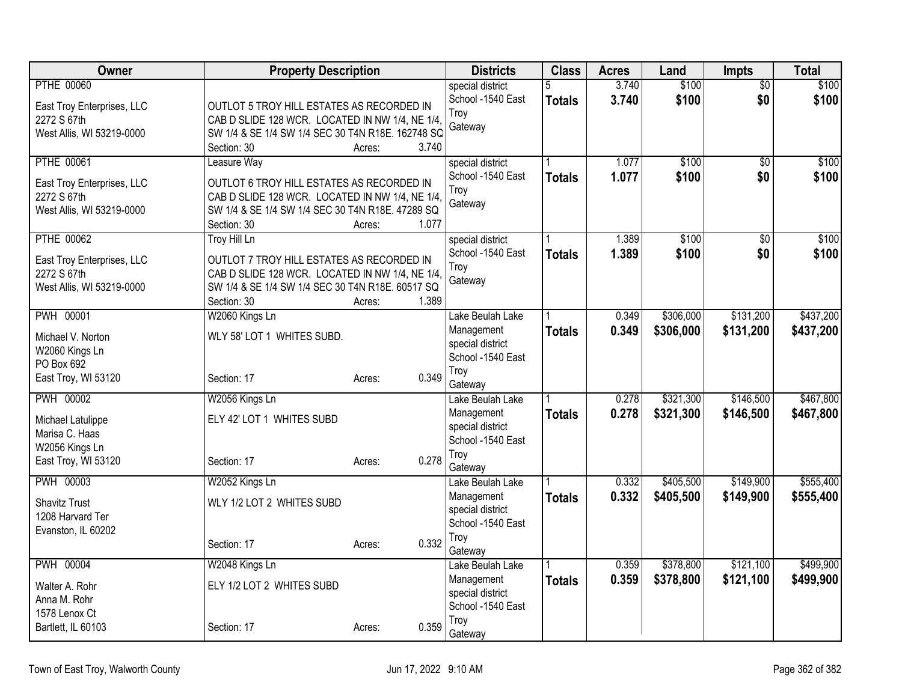| Owner                                 | <b>Property Description</b>                       |                 | <b>Districts</b>          | <b>Class</b>  | <b>Acres</b> | Land      | <b>Impts</b>    | <b>Total</b> |
|---------------------------------------|---------------------------------------------------|-----------------|---------------------------|---------------|--------------|-----------|-----------------|--------------|
| <b>PTHE 00060</b>                     |                                                   |                 | special district          | 5             | 3.740        | \$100     | $\overline{50}$ | \$100        |
| East Troy Enterprises, LLC            | OUTLOT 5 TROY HILL ESTATES AS RECORDED IN         |                 | School -1540 East         | <b>Totals</b> | 3.740        | \$100     | \$0             | \$100        |
| 2272 S 67th                           | CAB D SLIDE 128 WCR. LOCATED IN NW 1/4, NE 1/4,   |                 | Troy                      |               |              |           |                 |              |
| West Allis, WI 53219-0000             | SW 1/4 & SE 1/4 SW 1/4 SEC 30 T4N R18E. 162748 SQ |                 | Gateway                   |               |              |           |                 |              |
|                                       | Section: 30                                       | 3.740<br>Acres: |                           |               |              |           |                 |              |
| <b>PTHE 00061</b>                     | Leasure Way                                       |                 | special district          |               | 1.077        | \$100     | \$0             | \$100        |
| East Troy Enterprises, LLC            | OUTLOT 6 TROY HILL ESTATES AS RECORDED IN         |                 | School -1540 East         | <b>Totals</b> | 1.077        | \$100     | \$0             | \$100        |
| 2272 S 67th                           | CAB D SLIDE 128 WCR. LOCATED IN NW 1/4, NE 1/4,   |                 | Troy                      |               |              |           |                 |              |
| West Allis, WI 53219-0000             | SW 1/4 & SE 1/4 SW 1/4 SEC 30 T4N R18E. 47289 SQ  |                 | Gateway                   |               |              |           |                 |              |
|                                       | Section: 30                                       | 1.077<br>Acres: |                           |               |              |           |                 |              |
| <b>PTHE 00062</b>                     | <b>Troy Hill Ln</b>                               |                 | special district          |               | 1.389        | \$100     | \$0             | \$100        |
| East Troy Enterprises, LLC            | OUTLOT 7 TROY HILL ESTATES AS RECORDED IN         |                 | School -1540 East         | <b>Totals</b> | 1.389        | \$100     | \$0             | \$100        |
| 2272 S 67th                           | CAB D SLIDE 128 WCR. LOCATED IN NW 1/4, NE 1/4,   |                 | Troy                      |               |              |           |                 |              |
| West Allis, WI 53219-0000             | SW 1/4 & SE 1/4 SW 1/4 SEC 30 T4N R18E. 60517 SQ  |                 | Gateway                   |               |              |           |                 |              |
|                                       | Section: 30                                       | 1.389<br>Acres: |                           |               |              |           |                 |              |
| <b>PWH 00001</b>                      | W2060 Kings Ln                                    |                 | Lake Beulah Lake          |               | 0.349        | \$306,000 | \$131,200       | \$437,200    |
| Michael V. Norton                     | WLY 58' LOT 1 WHITES SUBD.                        |                 | Management                | <b>Totals</b> | 0.349        | \$306,000 | \$131,200       | \$437,200    |
| W2060 Kings Ln                        |                                                   |                 | special district          |               |              |           |                 |              |
| PO Box 692                            |                                                   |                 | School -1540 East         |               |              |           |                 |              |
| East Troy, WI 53120                   | Section: 17                                       | 0.349<br>Acres: | Troy<br>Gateway           |               |              |           |                 |              |
| PWH 00002                             | W2056 Kings Ln                                    |                 | Lake Beulah Lake          |               | 0.278        | \$321,300 | \$146,500       | \$467,800    |
|                                       |                                                   |                 | Management                | <b>Totals</b> | 0.278        | \$321,300 | \$146,500       | \$467,800    |
| Michael Latulippe                     | ELY 42' LOT 1 WHITES SUBD                         |                 | special district          |               |              |           |                 |              |
| Marisa C. Haas                        |                                                   |                 | School -1540 East         |               |              |           |                 |              |
| W2056 Kings Ln<br>East Troy, WI 53120 | Section: 17                                       | 0.278<br>Acres: | Troy                      |               |              |           |                 |              |
|                                       |                                                   |                 | Gateway                   |               |              |           |                 |              |
| <b>PWH 00003</b>                      | W2052 Kings Ln                                    |                 | Lake Beulah Lake          |               | 0.332        | \$405,500 | \$149,900       | \$555,400    |
| <b>Shavitz Trust</b>                  | WLY 1/2 LOT 2 WHITES SUBD                         |                 | Management                | Totals        | 0.332        | \$405,500 | \$149,900       | \$555,400    |
| 1208 Harvard Ter                      |                                                   |                 | special district          |               |              |           |                 |              |
| Evanston, IL 60202                    |                                                   |                 | School -1540 East<br>Troy |               |              |           |                 |              |
|                                       | Section: 17                                       | 0.332<br>Acres: | Gateway                   |               |              |           |                 |              |
| <b>PWH 00004</b>                      | W2048 Kings Ln                                    |                 | Lake Beulah Lake          |               | 0.359        | \$378,800 | \$121,100       | \$499,900    |
|                                       |                                                   |                 | Management                | <b>Totals</b> | 0.359        | \$378,800 | \$121,100       | \$499,900    |
| Walter A. Rohr<br>Anna M. Rohr        | ELY 1/2 LOT 2 WHITES SUBD                         |                 | special district          |               |              |           |                 |              |
| 1578 Lenox Ct                         |                                                   |                 | School -1540 East         |               |              |           |                 |              |
| Bartlett, IL 60103                    | Section: 17                                       | 0.359<br>Acres: | Troy                      |               |              |           |                 |              |
|                                       |                                                   |                 | Gateway                   |               |              |           |                 |              |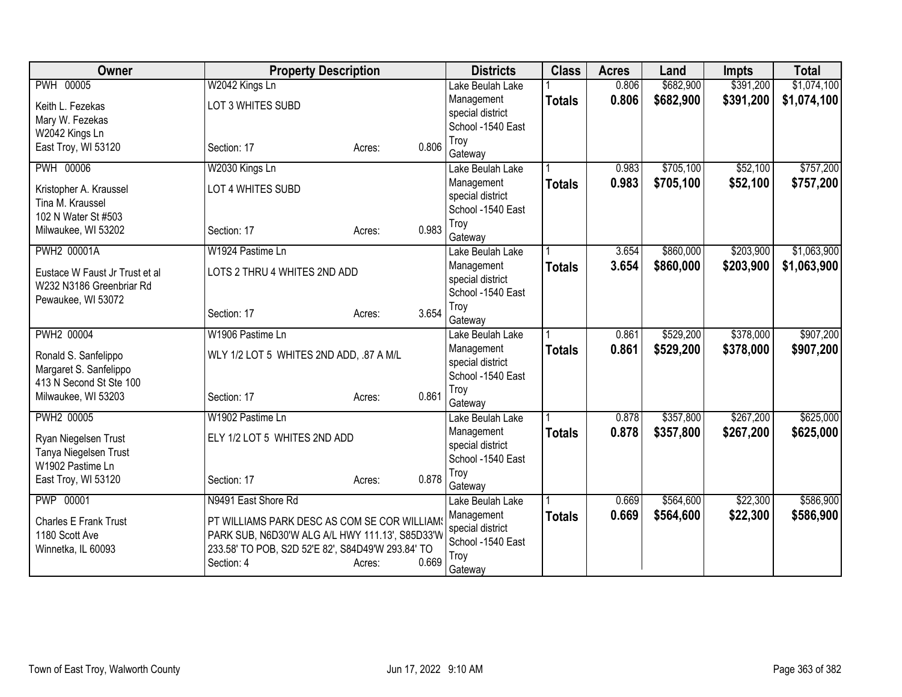| Owner                                          | <b>Property Description</b>                       |                 | <b>Districts</b>                      | <b>Class</b>  | <b>Acres</b> | Land      | <b>Impts</b> | <b>Total</b> |
|------------------------------------------------|---------------------------------------------------|-----------------|---------------------------------------|---------------|--------------|-----------|--------------|--------------|
| <b>PWH 00005</b>                               | W2042 Kings Ln                                    |                 | Lake Beulah Lake                      |               | 0.806        | \$682,900 | \$391,200    | \$1,074,100  |
| Keith L. Fezekas                               | LOT 3 WHITES SUBD                                 |                 | Management                            | <b>Totals</b> | 0.806        | \$682,900 | \$391,200    | \$1,074,100  |
| Mary W. Fezekas                                |                                                   |                 | special district                      |               |              |           |              |              |
| W2042 Kings Ln                                 |                                                   |                 | School -1540 East                     |               |              |           |              |              |
| East Troy, WI 53120                            | Section: 17                                       | 0.806<br>Acres: | Troy                                  |               |              |           |              |              |
|                                                |                                                   |                 | Gateway                               |               |              |           |              |              |
| <b>PWH 00006</b>                               | W2030 Kings Ln                                    |                 | Lake Beulah Lake                      |               | 0.983        | \$705,100 | \$52,100     | \$757,200    |
| Kristopher A. Kraussel                         | LOT 4 WHITES SUBD                                 |                 | Management                            | <b>Totals</b> | 0.983        | \$705,100 | \$52,100     | \$757,200    |
| Tina M. Kraussel                               |                                                   |                 | special district<br>School -1540 East |               |              |           |              |              |
| 102 N Water St #503                            |                                                   |                 | Troy                                  |               |              |           |              |              |
| Milwaukee, WI 53202                            | Section: 17                                       | 0.983<br>Acres: | Gateway                               |               |              |           |              |              |
| <b>PWH2 00001A</b>                             | W1924 Pastime Ln                                  |                 | Lake Beulah Lake                      |               | 3.654        | \$860,000 | \$203,900    | \$1,063,900  |
|                                                |                                                   |                 | Management                            | <b>Totals</b> | 3.654        | \$860,000 | \$203,900    | \$1,063,900  |
| Eustace W Faust Jr Trust et al                 | LOTS 2 THRU 4 WHITES 2ND ADD                      |                 | special district                      |               |              |           |              |              |
| W232 N3186 Greenbriar Rd<br>Pewaukee, WI 53072 |                                                   |                 | School -1540 East                     |               |              |           |              |              |
|                                                | Section: 17                                       | 3.654<br>Acres: | Troy                                  |               |              |           |              |              |
|                                                |                                                   |                 | Gateway                               |               |              |           |              |              |
| <b>PWH2 00004</b>                              | W1906 Pastime Ln                                  |                 | Lake Beulah Lake                      |               | 0.861        | \$529,200 | \$378,000    | \$907,200    |
| Ronald S. Sanfelippo                           | WLY 1/2 LOT 5 WHITES 2ND ADD, .87 A M/L           |                 | Management                            | <b>Totals</b> | 0.861        | \$529,200 | \$378,000    | \$907,200    |
| Margaret S. Sanfelippo                         |                                                   |                 | special district                      |               |              |           |              |              |
| 413 N Second St Ste 100                        |                                                   |                 | School -1540 East                     |               |              |           |              |              |
| Milwaukee, WI 53203                            | Section: 17                                       | 0.861<br>Acres: | Troy                                  |               |              |           |              |              |
| PWH2 00005                                     | W1902 Pastime Ln                                  |                 | Gateway                               |               | 0.878        | \$357,800 | \$267,200    | \$625,000    |
|                                                |                                                   |                 | Lake Beulah Lake                      |               | 0.878        |           |              |              |
| Ryan Niegelsen Trust                           | ELY 1/2 LOT 5 WHITES 2ND ADD                      |                 | Management<br>special district        | <b>Totals</b> |              | \$357,800 | \$267,200    | \$625,000    |
| Tanya Niegelsen Trust                          |                                                   |                 | School -1540 East                     |               |              |           |              |              |
| W1902 Pastime Ln                               |                                                   |                 | Troy                                  |               |              |           |              |              |
| East Troy, WI 53120                            | Section: 17                                       | 0.878<br>Acres: | Gateway                               |               |              |           |              |              |
| <b>PWP 00001</b>                               | N9491 East Shore Rd                               |                 | Lake Beulah Lake                      |               | 0.669        | \$564,600 | \$22,300     | \$586,900    |
| <b>Charles E Frank Trust</b>                   | PT WILLIAMS PARK DESC AS COM SE COR WILLIAM       |                 | Management                            | <b>Totals</b> | 0.669        | \$564,600 | \$22,300     | \$586,900    |
| 1180 Scott Ave                                 | PARK SUB, N6D30'W ALG A/L HWY 111.13', S85D33'W   |                 | special district                      |               |              |           |              |              |
| Winnetka, IL 60093                             | 233.58' TO POB, S2D 52'E 82', S84D49'W 293.84' TO |                 | School -1540 East                     |               |              |           |              |              |
|                                                | Section: 4                                        | 0.669<br>Acres: | Troy                                  |               |              |           |              |              |
|                                                |                                                   |                 | Gateway                               |               |              |           |              |              |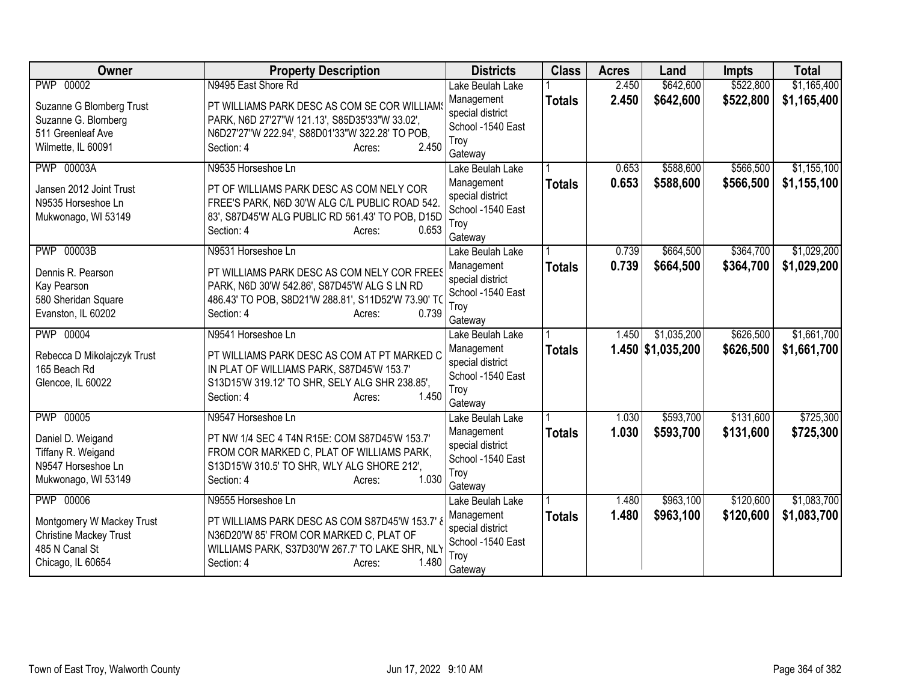| Owner                         | <b>Property Description</b>                         | <b>Districts</b>            | <b>Class</b>  | <b>Acres</b> | Land                | <b>Impts</b> | <b>Total</b> |
|-------------------------------|-----------------------------------------------------|-----------------------------|---------------|--------------|---------------------|--------------|--------------|
| PWP 00002                     | N9495 East Shore Rd                                 | Lake Beulah Lake            |               | 2.450        | \$642,600           | \$522,800    | \$1,165,400  |
| Suzanne G Blomberg Trust      | PT WILLIAMS PARK DESC AS COM SE COR WILLIAMS        | Management                  | <b>Totals</b> | 2.450        | \$642,600           | \$522,800    | \$1,165,400  |
| Suzanne G. Blomberg           | PARK, N6D 27'27"W 121.13', S85D35'33"W 33.02',      | special district            |               |              |                     |              |              |
| 511 Greenleaf Ave             | N6D27'27"W 222.94', S88D01'33"W 322.28' TO POB,     | School -1540 East<br>Troy   |               |              |                     |              |              |
| Wilmette, IL 60091            | 2.450<br>Section: 4<br>Acres:                       | Gateway                     |               |              |                     |              |              |
| <b>PWP 00003A</b>             | N9535 Horseshoe Ln                                  | Lake Beulah Lake            |               | 0.653        | \$588,600           | \$566,500    | \$1,155,100  |
| Jansen 2012 Joint Trust       | PT OF WILLIAMS PARK DESC AS COM NELY COR            | Management                  | <b>Totals</b> | 0.653        | \$588,600           | \$566,500    | \$1,155,100  |
| N9535 Horseshoe Ln            | FREE'S PARK, N6D 30'W ALG C/L PUBLIC ROAD 542.      | special district            |               |              |                     |              |              |
| Mukwonago, WI 53149           | 83', S87D45'W ALG PUBLIC RD 561.43' TO POB, D15D    | School -1540 East           |               |              |                     |              |              |
|                               | 0.653<br>Section: 4<br>Acres:                       | Troy                        |               |              |                     |              |              |
| <b>PWP 00003B</b>             | N9531 Horseshoe Ln                                  | Gateway<br>Lake Beulah Lake |               | 0.739        | \$664,500           | \$364,700    | \$1,029,200  |
|                               |                                                     | Management                  |               | 0.739        |                     |              |              |
| Dennis R. Pearson             | PT WILLIAMS PARK DESC AS COM NELY COR FREES         | special district            | <b>Totals</b> |              | \$664,500           | \$364,700    | \$1,029,200  |
| Kay Pearson                   | PARK, N6D 30'W 542.86', S87D45'W ALG S LN RD        | School -1540 East           |               |              |                     |              |              |
| 580 Sheridan Square           | 486.43' TO POB, S8D21'W 288.81', S11D52'W 73.90' TO | Troy                        |               |              |                     |              |              |
| Evanston, IL 60202            | 0.739<br>Section: 4<br>Acres:                       | Gateway                     |               |              |                     |              |              |
| <b>PWP 00004</b>              | N9541 Horseshoe Ln                                  | Lake Beulah Lake            |               | 1.450        | \$1,035,200         | \$626,500    | \$1,661,700  |
| Rebecca D Mikolajczyk Trust   | PT WILLIAMS PARK DESC AS COM AT PT MARKED C         | Management                  | <b>Totals</b> |              | $1.450$ \$1,035,200 | \$626,500    | \$1,661,700  |
| 165 Beach Rd                  | IN PLAT OF WILLIAMS PARK, S87D45'W 153.7'           | special district            |               |              |                     |              |              |
| Glencoe, IL 60022             | S13D15'W 319.12' TO SHR, SELY ALG SHR 238.85',      | School -1540 East           |               |              |                     |              |              |
|                               | 1.450<br>Section: 4<br>Acres:                       | Troy                        |               |              |                     |              |              |
| <b>PWP 00005</b>              | N9547 Horseshoe Ln                                  | Gateway<br>Lake Beulah Lake |               | 1.030        | \$593,700           | \$131,600    | \$725,300    |
|                               |                                                     | Management                  | <b>Totals</b> | 1.030        | \$593,700           | \$131,600    | \$725,300    |
| Daniel D. Weigand             | PT NW 1/4 SEC 4 T4N R15E: COM S87D45'W 153.7'       | special district            |               |              |                     |              |              |
| Tiffany R. Weigand            | FROM COR MARKED C, PLAT OF WILLIAMS PARK,           | School -1540 East           |               |              |                     |              |              |
| N9547 Horseshoe Ln            | S13D15'W 310.5' TO SHR, WLY ALG SHORE 212',         | Troy                        |               |              |                     |              |              |
| Mukwonago, WI 53149           | Section: 4<br>1.030<br>Acres:                       | Gateway                     |               |              |                     |              |              |
| <b>PWP 00006</b>              | N9555 Horseshoe Ln                                  | Lake Beulah Lake            |               | 1.480        | \$963,100           | \$120,600    | \$1,083,700  |
| Montgomery W Mackey Trust     | PT WILLIAMS PARK DESC AS COM S87D45'W 153.7'        | Management                  | <b>Totals</b> | 1.480        | \$963,100           | \$120,600    | \$1,083,700  |
| <b>Christine Mackey Trust</b> | N36D20'W 85' FROM COR MARKED C, PLAT OF             | special district            |               |              |                     |              |              |
| 485 N Canal St                | WILLIAMS PARK, S37D30'W 267.7' TO LAKE SHR, NLY     | School -1540 East           |               |              |                     |              |              |
| Chicago, IL 60654             | 1.480<br>Section: 4<br>Acres:                       | Troy<br>Gateway             |               |              |                     |              |              |
|                               |                                                     |                             |               |              |                     |              |              |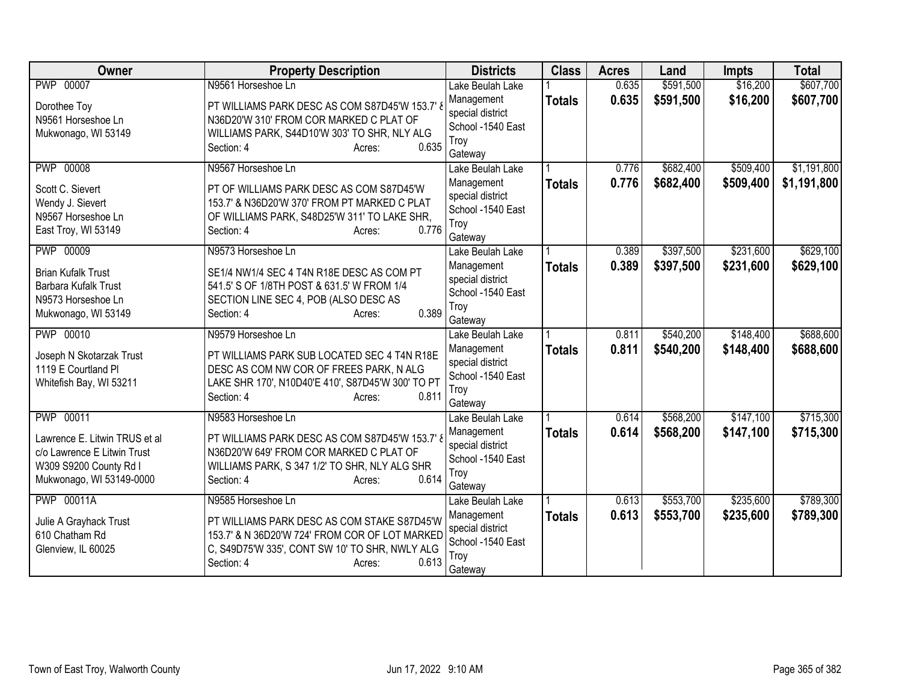| Owner                         | <b>Property Description</b>                                | <b>Districts</b>            | <b>Class</b>  | <b>Acres</b> | Land      | <b>Impts</b> | <b>Total</b> |
|-------------------------------|------------------------------------------------------------|-----------------------------|---------------|--------------|-----------|--------------|--------------|
| <b>PWP 00007</b>              | N9561 Horseshoe Ln                                         | Lake Beulah Lake            |               | 0.635        | \$591,500 | \$16,200     | \$607,700    |
| Dorothee Toy                  | PT WILLIAMS PARK DESC AS COM S87D45'W 153.7'               | Management                  | <b>Totals</b> | 0.635        | \$591,500 | \$16,200     | \$607,700    |
| N9561 Horseshoe Ln            | N36D20'W 310' FROM COR MARKED C PLAT OF                    | special district            |               |              |           |              |              |
| Mukwonago, WI 53149           | WILLIAMS PARK, S44D10'W 303' TO SHR, NLY ALG               | School -1540 East           |               |              |           |              |              |
|                               | 0.635<br>Section: 4<br>Acres:                              | Troy<br>Gateway             |               |              |           |              |              |
| <b>PWP 00008</b>              | N9567 Horseshoe Ln                                         | Lake Beulah Lake            |               | 0.776        | \$682,400 | \$509,400    | \$1,191,800  |
|                               |                                                            | Management                  | <b>Totals</b> | 0.776        | \$682,400 | \$509,400    | \$1,191,800  |
| Scott C. Sievert              | PT OF WILLIAMS PARK DESC AS COM S87D45'W                   | special district            |               |              |           |              |              |
| Wendy J. Sievert              | 153.7' & N36D20'W 370' FROM PT MARKED C PLAT               | School -1540 East           |               |              |           |              |              |
| N9567 Horseshoe Ln            | OF WILLIAMS PARK, S48D25'W 311' TO LAKE SHR,<br>0.776      | Troy                        |               |              |           |              |              |
| East Troy, WI 53149           | Section: 4<br>Acres:                                       | Gateway                     |               |              |           |              |              |
| <b>PWP 00009</b>              | N9573 Horseshoe Ln                                         | Lake Beulah Lake            |               | 0.389        | \$397,500 | \$231,600    | \$629,100    |
| <b>Brian Kufalk Trust</b>     | SE1/4 NW1/4 SEC 4 T4N R18E DESC AS COM PT                  | Management                  | <b>Totals</b> | 0.389        | \$397,500 | \$231,600    | \$629,100    |
| Barbara Kufalk Trust          | 541.5' S OF 1/8TH POST & 631.5' W FROM 1/4                 | special district            |               |              |           |              |              |
| N9573 Horseshoe Ln            | SECTION LINE SEC 4, POB (ALSO DESC AS                      | School -1540 East           |               |              |           |              |              |
| Mukwonago, WI 53149           | 0.389<br>Section: 4<br>Acres:                              | Troy                        |               |              |           |              |              |
| PWP 00010                     | N9579 Horseshoe Ln                                         | Gateway<br>Lake Beulah Lake |               | 0.811        | \$540,200 | \$148,400    | \$688,600    |
|                               |                                                            | Management                  | <b>Totals</b> | 0.811        | \$540,200 | \$148,400    | \$688,600    |
| Joseph N Skotarzak Trust      | PT WILLIAMS PARK SUB LOCATED SEC 4 T4N R18E                | special district            |               |              |           |              |              |
| 1119 E Courtland Pl           | DESC AS COM NW COR OF FREES PARK, N ALG                    | School -1540 East           |               |              |           |              |              |
| Whitefish Bay, WI 53211       | LAKE SHR 170', N10D40'E 410', S87D45'W 300' TO PT<br>0.811 | Troy                        |               |              |           |              |              |
|                               | Section: 4<br>Acres:                                       | Gateway                     |               |              |           |              |              |
| PWP 00011                     | N9583 Horseshoe Ln                                         | Lake Beulah Lake            |               | 0.614        | \$568,200 | \$147,100    | \$715,300    |
| Lawrence E. Litwin TRUS et al | PT WILLIAMS PARK DESC AS COM S87D45'W 153.7'               | Management                  | <b>Totals</b> | 0.614        | \$568,200 | \$147,100    | \$715,300    |
| c/o Lawrence E Litwin Trust   | N36D20'W 649' FROM COR MARKED C PLAT OF                    | special district            |               |              |           |              |              |
| W309 S9200 County Rd I        | WILLIAMS PARK, S 347 1/2' TO SHR, NLY ALG SHR              | School -1540 East           |               |              |           |              |              |
| Mukwonago, WI 53149-0000      | 0.614<br>Section: 4<br>Acres:                              | Troy                        |               |              |           |              |              |
| <b>PWP 00011A</b>             | N9585 Horseshoe Ln                                         | Gateway<br>Lake Beulah Lake |               | 0.613        | \$553,700 | \$235,600    | \$789,300    |
|                               |                                                            | Management                  | <b>Totals</b> | 0.613        | \$553,700 | \$235,600    | \$789,300    |
| Julie A Grayhack Trust        | PT WILLIAMS PARK DESC AS COM STAKE S87D45'W                | special district            |               |              |           |              |              |
| 610 Chatham Rd                | 153.7' & N 36D20'W 724' FROM COR OF LOT MARKED             | School -1540 East           |               |              |           |              |              |
| Glenview, IL 60025            | C, S49D75'W 335', CONT SW 10' TO SHR, NWLY ALG             | Troy                        |               |              |           |              |              |
|                               | 0.613<br>Section: 4<br>Acres:                              | Gateway                     |               |              |           |              |              |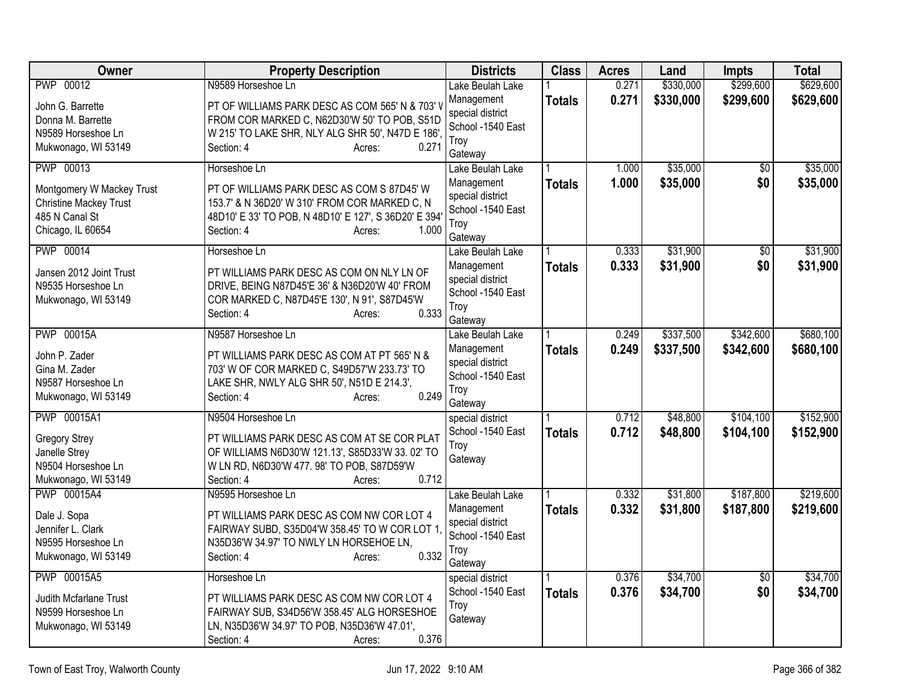| Owner                         | <b>Property Description</b>                           | <b>Districts</b>                      | <b>Class</b>  | <b>Acres</b> | Land      | <b>Impts</b>    | <b>Total</b> |
|-------------------------------|-------------------------------------------------------|---------------------------------------|---------------|--------------|-----------|-----------------|--------------|
| PWP 00012                     | N9589 Horseshoe Ln                                    | Lake Beulah Lake                      |               | 0.271        | \$330,000 | \$299,600       | \$629,600    |
| John G. Barrette              | PT OF WILLIAMS PARK DESC AS COM 565' N & 703' \       | Management                            | <b>Totals</b> | 0.271        | \$330,000 | \$299,600       | \$629,600    |
| Donna M. Barrette             | FROM COR MARKED C, N62D30'W 50' TO POB, S51D          | special district                      |               |              |           |                 |              |
| N9589 Horseshoe Ln            | W 215' TO LAKE SHR, NLY ALG SHR 50', N47D E 186',     | School -1540 East                     |               |              |           |                 |              |
| Mukwonago, WI 53149           | Section: 4<br>0.271<br>Acres:                         | Troy                                  |               |              |           |                 |              |
|                               |                                                       | Gateway                               |               |              |           |                 |              |
| <b>PWP 00013</b>              | Horseshoe Ln                                          | Lake Beulah Lake                      |               | 1.000        | \$35,000  | $\overline{50}$ | \$35,000     |
| Montgomery W Mackey Trust     | PT OF WILLIAMS PARK DESC AS COM S 87D45' W            | Management                            | <b>Totals</b> | 1.000        | \$35,000  | \$0             | \$35,000     |
| <b>Christine Mackey Trust</b> | 153.7' & N 36D20' W 310' FROM COR MARKED C, N         | special district                      |               |              |           |                 |              |
| 485 N Canal St                | 48D10' E 33' TO POB, N 48D10' E 127', S 36D20' E 394' | School -1540 East                     |               |              |           |                 |              |
| Chicago, IL 60654             | 1.000<br>Section: 4<br>Acres:                         | Troy                                  |               |              |           |                 |              |
|                               |                                                       | Gateway                               |               |              | \$31,900  |                 |              |
| PWP 00014                     | Horseshoe Ln                                          | Lake Beulah Lake                      |               | 0.333        |           | \$0             | \$31,900     |
| Jansen 2012 Joint Trust       | PT WILLIAMS PARK DESC AS COM ON NLY LN OF             | Management                            | <b>Totals</b> | 0.333        | \$31,900  | \$0             | \$31,900     |
| N9535 Horseshoe Ln            | DRIVE, BEING N87D45'E 36' & N36D20'W 40' FROM         | special district<br>School -1540 East |               |              |           |                 |              |
| Mukwonago, WI 53149           | COR MARKED C, N87D45'E 130', N 91', S87D45'W          | Troy                                  |               |              |           |                 |              |
|                               | 0.333<br>Section: 4<br>Acres:                         | Gateway                               |               |              |           |                 |              |
| <b>PWP 00015A</b>             | N9587 Horseshoe Ln                                    | Lake Beulah Lake                      |               | 0.249        | \$337,500 | \$342,600       | \$680,100    |
|                               |                                                       | Management                            | <b>Totals</b> | 0.249        | \$337,500 | \$342,600       | \$680,100    |
| John P. Zader                 | PT WILLIAMS PARK DESC AS COM AT PT 565' N &           | special district                      |               |              |           |                 |              |
| Gina M. Zader                 | 703' W OF COR MARKED C, S49D57'W 233.73' TO           | School -1540 East                     |               |              |           |                 |              |
| N9587 Horseshoe Ln            | LAKE SHR, NWLY ALG SHR 50', N51D E 214.3',            | Troy                                  |               |              |           |                 |              |
| Mukwonago, WI 53149           | 0.249<br>Section: 4<br>Acres:                         | Gateway                               |               |              |           |                 |              |
| PWP 00015A1                   | N9504 Horseshoe Ln                                    | special district                      |               | 0.712        | \$48,800  | \$104,100       | \$152,900    |
| <b>Gregory Strey</b>          | PT WILLIAMS PARK DESC AS COM AT SE COR PLAT           | School -1540 East                     | <b>Totals</b> | 0.712        | \$48,800  | \$104,100       | \$152,900    |
| Janelle Strey                 | OF WILLIAMS N6D30'W 121.13', S85D33'W 33.02' TO       | Troy                                  |               |              |           |                 |              |
| N9504 Horseshoe Ln            | W LN RD, N6D30'W 477.98' TO POB, S87D59'W             | Gateway                               |               |              |           |                 |              |
| Mukwonago, WI 53149           | 0.712<br>Section: 4<br>Acres:                         |                                       |               |              |           |                 |              |
| PWP 00015A4                   | N9595 Horseshoe Ln                                    | Lake Beulah Lake                      |               | 0.332        | \$31,800  | \$187,800       | \$219,600    |
|                               |                                                       | Management                            | <b>Totals</b> | 0.332        | \$31,800  | \$187,800       | \$219,600    |
| Dale J. Sopa                  | PT WILLIAMS PARK DESC AS COM NW COR LOT 4             | special district                      |               |              |           |                 |              |
| Jennifer L. Clark             | FAIRWAY SUBD, S35D04'W 358.45' TO W COR LOT 1         | School -1540 East                     |               |              |           |                 |              |
| N9595 Horseshoe Ln            | N35D36'W 34.97' TO NWLY LN HORSEHOE LN,               | Troy                                  |               |              |           |                 |              |
| Mukwonago, WI 53149           | 0.332<br>Section: 4<br>Acres:                         | Gateway                               |               |              |           |                 |              |
| PWP 00015A5                   | Horseshoe Ln                                          | special district                      |               | 0.376        | \$34,700  | $\overline{50}$ | \$34,700     |
| Judith Mcfarlane Trust        | PT WILLIAMS PARK DESC AS COM NW COR LOT 4             | School -1540 East                     | <b>Totals</b> | 0.376        | \$34,700  | \$0             | \$34,700     |
| N9599 Horseshoe Ln            | FAIRWAY SUB, S34D56'W 358.45' ALG HORSESHOE           | Troy                                  |               |              |           |                 |              |
| Mukwonago, WI 53149           | LN, N35D36'W 34.97' TO POB, N35D36'W 47.01',          | Gateway                               |               |              |           |                 |              |
|                               | 0.376<br>Section: 4<br>Acres:                         |                                       |               |              |           |                 |              |
|                               |                                                       |                                       |               |              |           |                 |              |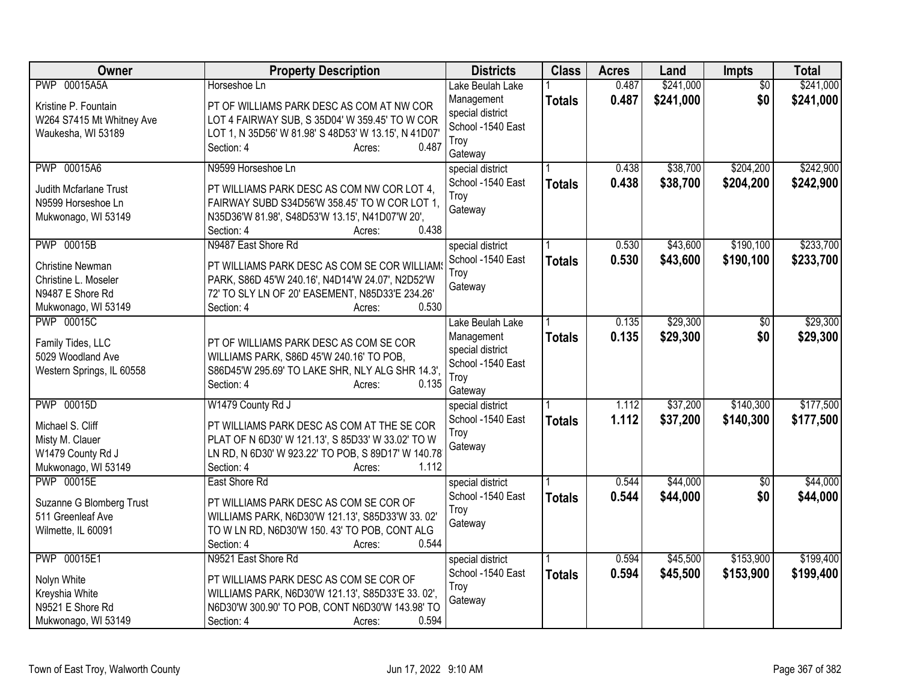| Owner                                                                                      | <b>Property Description</b>                                                                                                                                                             | <b>Districts</b>                                                       | <b>Class</b>  | <b>Acres</b> | Land      | <b>Impts</b>    | <b>Total</b> |
|--------------------------------------------------------------------------------------------|-----------------------------------------------------------------------------------------------------------------------------------------------------------------------------------------|------------------------------------------------------------------------|---------------|--------------|-----------|-----------------|--------------|
| <b>PWP 00015A5A</b>                                                                        | Horseshoe Ln                                                                                                                                                                            | Lake Beulah Lake                                                       |               | 0.487        | \$241,000 | $\overline{50}$ | \$241,000    |
| Kristine P. Fountain<br>W264 S7415 Mt Whitney Ave<br>Waukesha, WI 53189                    | PT OF WILLIAMS PARK DESC AS COM AT NW COR<br>LOT 4 FAIRWAY SUB, S 35D04' W 359.45' TO W COR<br>LOT 1, N 35D56' W 81.98' S 48D53' W 13.15', N 41D07'<br>0.487<br>Section: 4<br>Acres:    | Management<br>special district<br>School -1540 East<br>Troy<br>Gateway | <b>Totals</b> | 0.487        | \$241,000 | \$0             | \$241,000    |
| PWP 00015A6                                                                                | N9599 Horseshoe Ln                                                                                                                                                                      | special district                                                       |               | 0.438        | \$38,700  | \$204,200       | \$242,900    |
| Judith Mcfarlane Trust<br>N9599 Horseshoe Ln<br>Mukwonago, WI 53149                        | PT WILLIAMS PARK DESC AS COM NW COR LOT 4,<br>FAIRWAY SUBD S34D56'W 358.45' TO W COR LOT 1,<br>N35D36'W 81.98', S48D53'W 13.15', N41D07'W 20',<br>0.438<br>Section: 4<br>Acres:         | School -1540 East<br>Troy<br>Gateway                                   | <b>Totals</b> | 0.438        | \$38,700  | \$204,200       | \$242,900    |
| <b>PWP 00015B</b>                                                                          | N9487 East Shore Rd                                                                                                                                                                     | special district                                                       |               | 0.530        | \$43,600  | \$190,100       | \$233,700    |
| <b>Christine Newman</b><br>Christine L. Moseler<br>N9487 E Shore Rd<br>Mukwonago, WI 53149 | PT WILLIAMS PARK DESC AS COM SE COR WILLIAM<br>PARK, S86D 45'W 240.16', N4D14'W 24.07', N2D52'W<br>72' TO SLY LN OF 20' EASEMENT, N85D33'E 234.26'<br>0.530<br>Section: 4<br>Acres:     | School -1540 East<br>Trov<br>Gateway                                   | <b>Totals</b> | 0.530        | \$43,600  | \$190,100       | \$233,700    |
| <b>PWP 00015C</b>                                                                          |                                                                                                                                                                                         | Lake Beulah Lake                                                       |               | 0.135        | \$29,300  | $\overline{50}$ | \$29,300     |
| Family Tides, LLC<br>5029 Woodland Ave<br>Western Springs, IL 60558                        | PT OF WILLIAMS PARK DESC AS COM SE COR<br>WILLIAMS PARK, S86D 45'W 240.16' TO POB,<br>S86D45'W 295.69' TO LAKE SHR, NLY ALG SHR 14.3',<br>Section: 4<br>0.135<br>Acres:                 | Management<br>special district<br>School -1540 East<br>Troy<br>Gateway | <b>Totals</b> | 0.135        | \$29,300  | \$0             | \$29,300     |
| <b>PWP 00015D</b>                                                                          | W1479 County Rd J                                                                                                                                                                       | special district                                                       |               | 1.112        | \$37,200  | \$140,300       | \$177,500    |
| Michael S. Cliff<br>Misty M. Clauer<br>W1479 County Rd J<br>Mukwonago, WI 53149            | PT WILLIAMS PARK DESC AS COM AT THE SE COR<br>PLAT OF N 6D30' W 121.13', S 85D33' W 33.02' TO W<br>LN RD, N 6D30' W 923.22' TO POB, S 89D17' W 140.78'<br>1.112<br>Section: 4<br>Acres: | School -1540 East<br>Troy<br>Gateway                                   | <b>Totals</b> | 1.112        | \$37,200  | \$140,300       | \$177,500    |
| <b>PWP 00015E</b>                                                                          | East Shore Rd                                                                                                                                                                           | special district                                                       |               | 0.544        | \$44,000  | $\overline{50}$ | \$44,000     |
| Suzanne G Blomberg Trust<br>511 Greenleaf Ave<br>Wilmette, IL 60091                        | PT WILLIAMS PARK DESC AS COM SE COR OF<br>WILLIAMS PARK, N6D30'W 121.13', S85D33'W 33.02'<br>TO W LN RD, N6D30'W 150. 43' TO POB, CONT ALG<br>0.544<br>Section: 4<br>Acres:             | School -1540 East<br>Troy<br>Gateway                                   | <b>Totals</b> | 0.544        | \$44,000  | \$0             | \$44,000     |
| PWP 00015E1                                                                                | N9521 East Shore Rd                                                                                                                                                                     | special district                                                       |               | 0.594        | \$45,500  | \$153,900       | \$199,400    |
| Nolyn White<br>Kreyshia White<br>N9521 E Shore Rd<br>Mukwonago, WI 53149                   | PT WILLIAMS PARK DESC AS COM SE COR OF<br>WILLIAMS PARK, N6D30'W 121.13', S85D33'E 33.02',<br>N6D30'W 300.90' TO POB, CONT N6D30'W 143.98' TO<br>0.594<br>Section: 4<br>Acres:          | School -1540 East<br>Troy<br>Gateway                                   | <b>Totals</b> | 0.594        | \$45,500  | \$153,900       | \$199,400    |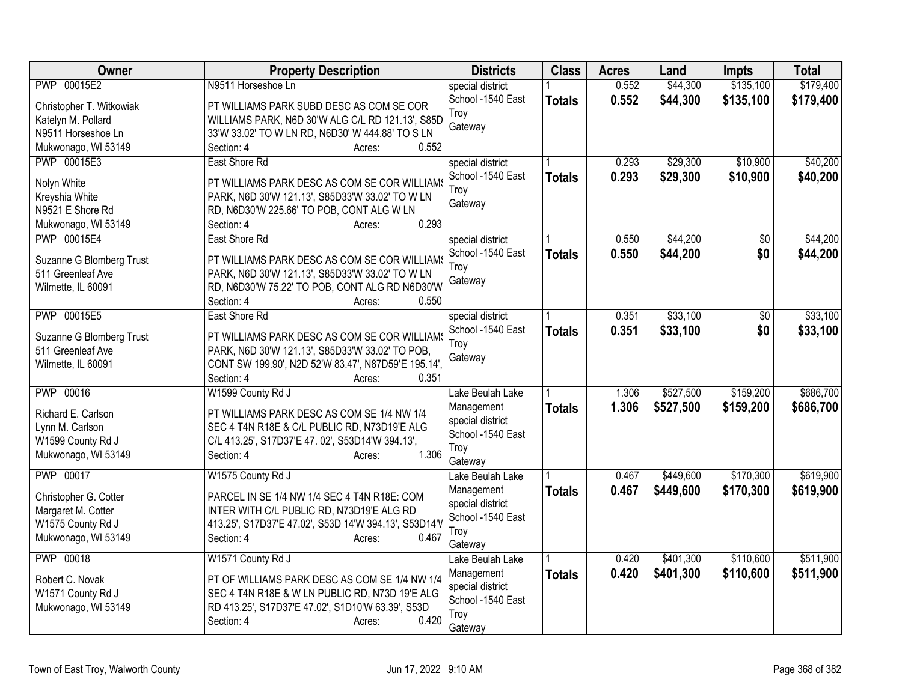| <b>Owner</b>                         | <b>Property Description</b>                                                                      | <b>Districts</b>  | <b>Class</b>  | <b>Acres</b> | Land      | <b>Impts</b> | <b>Total</b> |
|--------------------------------------|--------------------------------------------------------------------------------------------------|-------------------|---------------|--------------|-----------|--------------|--------------|
| PWP 00015E2                          | N9511 Horseshoe Ln                                                                               | special district  |               | 0.552        | \$44,300  | \$135,100    | \$179,400    |
| Christopher T. Witkowiak             | PT WILLIAMS PARK SUBD DESC AS COM SE COR                                                         | School -1540 East | <b>Totals</b> | 0.552        | \$44,300  | \$135,100    | \$179,400    |
| Katelyn M. Pollard                   | WILLIAMS PARK, N6D 30'W ALG C/L RD 121.13', S85D                                                 | Troy              |               |              |           |              |              |
| N9511 Horseshoe Ln                   | 33'W 33.02' TO W LN RD, N6D30' W 444.88' TO S LN                                                 | Gateway           |               |              |           |              |              |
| Mukwonago, WI 53149                  | 0.552<br>Section: 4<br>Acres:                                                                    |                   |               |              |           |              |              |
| PWP 00015E3                          | East Shore Rd                                                                                    | special district  |               | 0.293        | \$29,300  | \$10,900     | \$40,200     |
|                                      |                                                                                                  | School -1540 East | <b>Totals</b> | 0.293        | \$29,300  | \$10,900     | \$40,200     |
| Nolyn White<br>Kreyshia White        | PT WILLIAMS PARK DESC AS COM SE COR WILLIAM<br>PARK, N6D 30'W 121.13', S85D33'W 33.02' TO W LN   | Troy              |               |              |           |              |              |
| N9521 E Shore Rd                     | RD, N6D30'W 225.66' TO POB, CONT ALG W LN                                                        | Gateway           |               |              |           |              |              |
| Mukwonago, WI 53149                  | 0.293<br>Section: 4<br>Acres:                                                                    |                   |               |              |           |              |              |
| PWP 00015E4                          | East Shore Rd                                                                                    | special district  |               | 0.550        | \$44,200  | \$0          | \$44,200     |
|                                      |                                                                                                  | School -1540 East |               | 0.550        | \$44,200  | \$0          |              |
| Suzanne G Blomberg Trust             | PT WILLIAMS PARK DESC AS COM SE COR WILLIAMS                                                     | Troy              | <b>Totals</b> |              |           |              | \$44,200     |
| 511 Greenleaf Ave                    | PARK, N6D 30'W 121.13', S85D33'W 33.02' TO W LN                                                  | Gateway           |               |              |           |              |              |
| Wilmette, IL 60091                   | RD, N6D30'W 75.22' TO POB, CONT ALG RD N6D30'W                                                   |                   |               |              |           |              |              |
|                                      | Section: 4<br>0.550<br>Acres:                                                                    |                   |               |              |           |              |              |
| PWP 00015E5                          | East Shore Rd                                                                                    | special district  |               | 0.351        | \$33,100  | \$0          | \$33,100     |
| Suzanne G Blomberg Trust             | PT WILLIAMS PARK DESC AS COM SE COR WILLIAMS                                                     | School -1540 East | <b>Totals</b> | 0.351        | \$33,100  | \$0          | \$33,100     |
| 511 Greenleaf Ave                    | PARK, N6D 30'W 121.13', S85D33'W 33.02' TO POB,                                                  | Troy              |               |              |           |              |              |
| Wilmette, IL 60091                   | CONT SW 199.90', N2D 52'W 83.47', N87D59'E 195.14',                                              | Gateway           |               |              |           |              |              |
|                                      | Section: 4<br>0.351<br>Acres:                                                                    |                   |               |              |           |              |              |
| <b>PWP 00016</b>                     | W1599 County Rd J                                                                                | Lake Beulah Lake  |               | 1.306        | \$527,500 | \$159,200    | \$686,700    |
|                                      |                                                                                                  | Management        | <b>Totals</b> | 1.306        | \$527,500 | \$159,200    | \$686,700    |
| Richard E. Carlson                   | PT WILLIAMS PARK DESC AS COM SE 1/4 NW 1/4                                                       | special district  |               |              |           |              |              |
| Lynn M. Carlson<br>W1599 County Rd J | SEC 4 T4N R18E & C/L PUBLIC RD, N73D19'E ALG<br>C/L 413.25', S17D37'E 47. 02', S53D14'W 394.13', | School -1540 East |               |              |           |              |              |
| Mukwonago, WI 53149                  | 1.306<br>Section: 4<br>Acres:                                                                    | Troy              |               |              |           |              |              |
|                                      |                                                                                                  | Gateway           |               |              |           |              |              |
| PWP 00017                            | W1575 County Rd J                                                                                | Lake Beulah Lake  |               | 0.467        | \$449,600 | \$170,300    | \$619,900    |
| Christopher G. Cotter                | PARCEL IN SE 1/4 NW 1/4 SEC 4 T4N R18E: COM                                                      | Management        | <b>Totals</b> | 0.467        | \$449,600 | \$170,300    | \$619,900    |
| Margaret M. Cotter                   | INTER WITH C/L PUBLIC RD, N73D19'E ALG RD                                                        | special district  |               |              |           |              |              |
| W1575 County Rd J                    | 413.25', S17D37'E 47.02', S53D 14'W 394.13', S53D14'V                                            | School -1540 East |               |              |           |              |              |
| Mukwonago, WI 53149                  | 0.467<br>Section: 4<br>Acres:                                                                    | Troy              |               |              |           |              |              |
|                                      |                                                                                                  | Gateway           |               |              |           |              |              |
| <b>PWP 00018</b>                     | W1571 County Rd J                                                                                | Lake Beulah Lake  |               | 0.420        | \$401,300 | \$110,600    | \$511,900    |
| Robert C. Novak                      | PT OF WILLIAMS PARK DESC AS COM SE 1/4 NW 1/4                                                    | Management        | <b>Totals</b> | 0.420        | \$401,300 | \$110,600    | \$511,900    |
| W1571 County Rd J                    | SEC 4 T4N R18E & W LN PUBLIC RD, N73D 19'E ALG                                                   | special district  |               |              |           |              |              |
| Mukwonago, WI 53149                  | RD 413.25', S17D37'E 47.02', S1D10'W 63.39', S53D                                                | School -1540 East |               |              |           |              |              |
|                                      | 0.420<br>Section: 4<br>Acres:                                                                    | Troy<br>Gateway   |               |              |           |              |              |
|                                      |                                                                                                  |                   |               |              |           |              |              |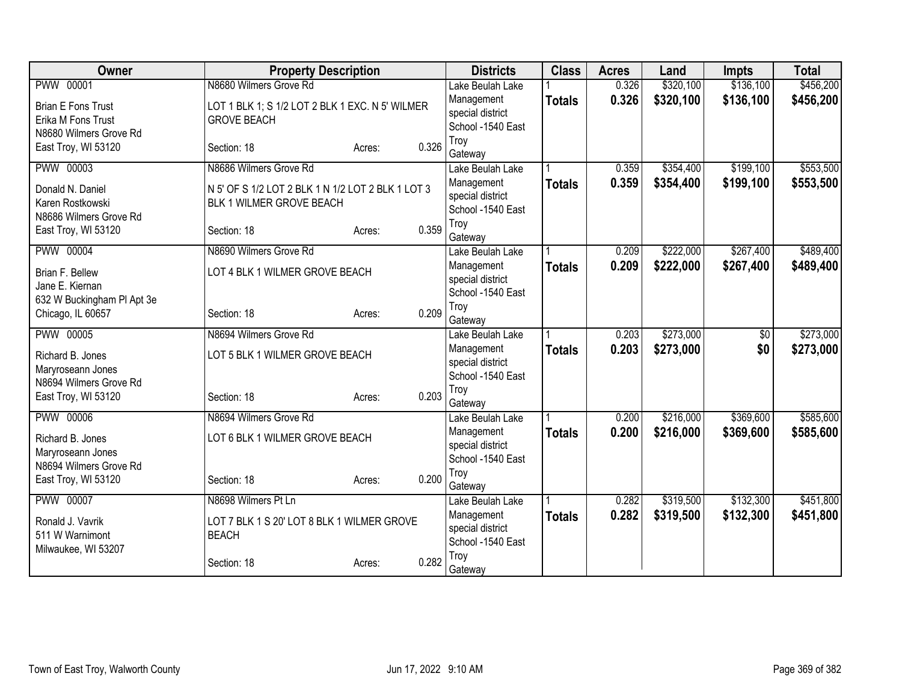| Owner                                 | <b>Property Description</b>                       |        |       | <b>Districts</b>                      | <b>Class</b>  | <b>Acres</b>   | Land      | Impts           | <b>Total</b> |
|---------------------------------------|---------------------------------------------------|--------|-------|---------------------------------------|---------------|----------------|-----------|-----------------|--------------|
| <b>PWW 00001</b>                      | N8680 Wilmers Grove Rd                            |        |       | Lake Beulah Lake                      |               | 0.326          | \$320,100 | \$136,100       | \$456,200    |
| <b>Brian E Fons Trust</b>             | LOT 1 BLK 1; S 1/2 LOT 2 BLK 1 EXC. N 5' WILMER   |        |       | Management                            | <b>Totals</b> | 0.326          | \$320,100 | \$136,100       | \$456,200    |
| Erika M Fons Trust                    | <b>GROVE BEACH</b>                                |        |       | special district                      |               |                |           |                 |              |
| N8680 Wilmers Grove Rd                |                                                   |        |       | School -1540 East                     |               |                |           |                 |              |
| East Troy, WI 53120                   | Section: 18                                       | Acres: | 0.326 | Troy                                  |               |                |           |                 |              |
| <b>PWW 00003</b>                      | N8686 Wilmers Grove Rd                            |        |       | Gateway                               |               |                |           | \$199,100       | \$553,500    |
|                                       |                                                   |        |       | Lake Beulah Lake                      |               | 0.359<br>0.359 | \$354,400 |                 |              |
| Donald N. Daniel                      | N 5' OF S 1/2 LOT 2 BLK 1 N 1/2 LOT 2 BLK 1 LOT 3 |        |       | Management<br>special district        | <b>Totals</b> |                | \$354,400 | \$199,100       | \$553,500    |
| Karen Rostkowski                      | BLK 1 WILMER GROVE BEACH                          |        |       | School -1540 East                     |               |                |           |                 |              |
| N8686 Wilmers Grove Rd                |                                                   |        |       | Troy                                  |               |                |           |                 |              |
| East Troy, WI 53120                   | Section: 18                                       | Acres: | 0.359 | Gateway                               |               |                |           |                 |              |
| <b>PWW 00004</b>                      | N8690 Wilmers Grove Rd                            |        |       | Lake Beulah Lake                      |               | 0.209          | \$222,000 | \$267,400       | \$489,400    |
| Brian F. Bellew                       | LOT 4 BLK 1 WILMER GROVE BEACH                    |        |       | Management                            | <b>Totals</b> | 0.209          | \$222,000 | \$267,400       | \$489,400    |
| Jane E. Kiernan                       |                                                   |        |       | special district                      |               |                |           |                 |              |
| 632 W Buckingham PI Apt 3e            |                                                   |        |       | School -1540 East                     |               |                |           |                 |              |
| Chicago, IL 60657                     | Section: 18                                       | Acres: | 0.209 | Troy                                  |               |                |           |                 |              |
|                                       |                                                   |        |       | Gateway                               |               |                |           |                 |              |
| <b>PWW 00005</b>                      | N8694 Wilmers Grove Rd                            |        |       | Lake Beulah Lake                      |               | 0.203          | \$273,000 | $\overline{50}$ | \$273,000    |
| Richard B. Jones                      | LOT 5 BLK 1 WILMER GROVE BEACH                    |        |       | Management                            | <b>Totals</b> | 0.203          | \$273,000 | \$0             | \$273,000    |
| Maryroseann Jones                     |                                                   |        |       | special district<br>School -1540 East |               |                |           |                 |              |
| N8694 Wilmers Grove Rd                |                                                   |        |       | Troy                                  |               |                |           |                 |              |
| East Troy, WI 53120                   | Section: 18                                       | Acres: | 0.203 | Gateway                               |               |                |           |                 |              |
| <b>PWW 00006</b>                      | N8694 Wilmers Grove Rd                            |        |       | Lake Beulah Lake                      |               | 0.200          | \$216,000 | \$369,600       | \$585,600    |
|                                       | LOT 6 BLK 1 WILMER GROVE BEACH                    |        |       | Management                            | <b>Totals</b> | 0.200          | \$216,000 | \$369,600       | \$585,600    |
| Richard B. Jones<br>Maryroseann Jones |                                                   |        |       | special district                      |               |                |           |                 |              |
| N8694 Wilmers Grove Rd                |                                                   |        |       | School -1540 East                     |               |                |           |                 |              |
| East Troy, WI 53120                   | Section: 18                                       | Acres: | 0.200 | Troy                                  |               |                |           |                 |              |
|                                       |                                                   |        |       | Gateway                               |               |                |           |                 |              |
| <b>PWW 00007</b>                      | N8698 Wilmers Pt Ln                               |        |       | Lake Beulah Lake                      |               | 0.282          | \$319,500 | \$132,300       | \$451,800    |
| Ronald J. Vavrik                      | LOT 7 BLK 1 S 20' LOT 8 BLK 1 WILMER GROVE        |        |       | Management                            | <b>Totals</b> | 0.282          | \$319,500 | \$132,300       | \$451,800    |
| 511 W Warnimont                       | <b>BEACH</b>                                      |        |       | special district<br>School -1540 East |               |                |           |                 |              |
| Milwaukee, WI 53207                   |                                                   |        |       | Troy                                  |               |                |           |                 |              |
|                                       | Section: 18                                       | Acres: | 0.282 | Gateway                               |               |                |           |                 |              |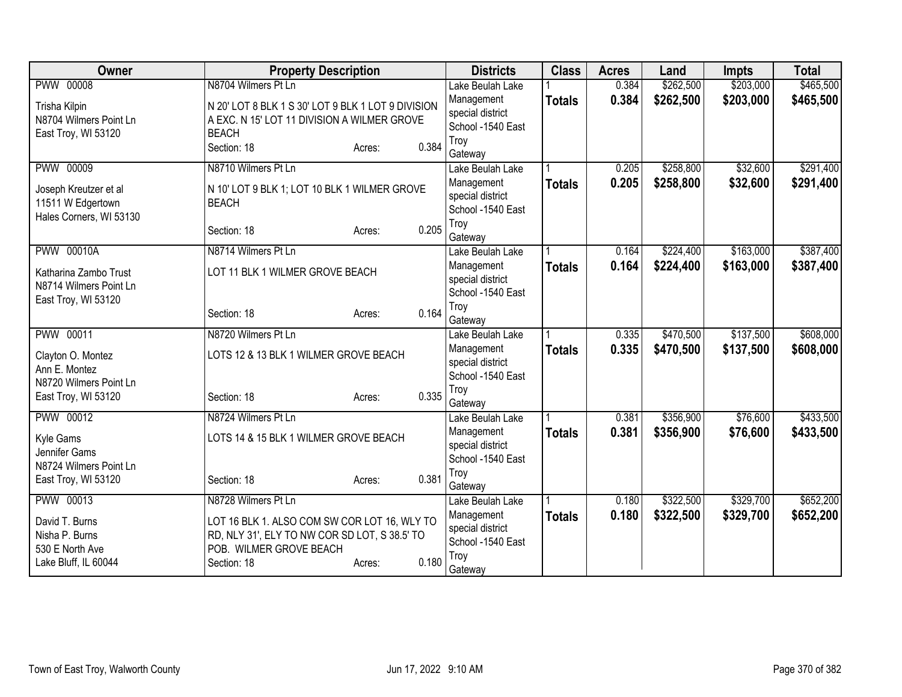| <b>PWW 00008</b><br>N8704 Wilmers Pt Ln<br>\$262,500<br>\$203,000<br>Lake Beulah Lake<br>0.384<br>0.384<br>\$262,500<br>\$203,000<br>Management<br><b>Totals</b><br>N 20' LOT 8 BLK 1 S 30' LOT 9 BLK 1 LOT 9 DIVISION<br>Trisha Kilpin<br>special district<br>N8704 Wilmers Point Ln<br>A EXC. N 15' LOT 11 DIVISION A WILMER GROVE<br>School -1540 East<br><b>BEACH</b><br>East Troy, WI 53120<br>Troy<br>0.384<br>Section: 18<br>Acres:<br>Gateway<br>\$32,600<br><b>PWW 00009</b><br>N8710 Wilmers Pt Ln<br>\$258,800<br>0.205<br>Lake Beulah Lake<br>0.205<br>\$258,800<br>\$32,600<br>Management<br><b>Totals</b><br>N 10' LOT 9 BLK 1; LOT 10 BLK 1 WILMER GROVE<br>Joseph Kreutzer et al<br>special district<br>11511 W Edgertown<br><b>BEACH</b><br>School -1540 East<br>Hales Corners, WI 53130<br>Troy<br>0.205<br>Section: 18<br>Acres:<br>Gateway<br><b>PWW 00010A</b><br>\$163,000<br>N8714 Wilmers Pt Ln<br>\$224,400<br>0.164<br>Lake Beulah Lake<br>0.164<br>\$224,400<br>\$163,000<br>Management<br>\$387,400<br><b>Totals</b><br>LOT 11 BLK 1 WILMER GROVE BEACH<br>Katharina Zambo Trust<br>special district<br>N8714 Wilmers Point Ln<br>School -1540 East<br>East Troy, WI 53120<br>Troy<br>0.164<br>Section: 18<br>Acres:<br>Gateway<br>\$137,500<br>PWW 00011<br>N8720 Wilmers Pt Ln<br>\$470,500<br>0.335<br>Lake Beulah Lake | <b>Owner</b>      | <b>Property Description</b>           | <b>Districts</b> | <b>Class</b>  | <b>Acres</b> | Land      | <b>Impts</b> | <b>Total</b> |
|--------------------------------------------------------------------------------------------------------------------------------------------------------------------------------------------------------------------------------------------------------------------------------------------------------------------------------------------------------------------------------------------------------------------------------------------------------------------------------------------------------------------------------------------------------------------------------------------------------------------------------------------------------------------------------------------------------------------------------------------------------------------------------------------------------------------------------------------------------------------------------------------------------------------------------------------------------------------------------------------------------------------------------------------------------------------------------------------------------------------------------------------------------------------------------------------------------------------------------------------------------------------------------------------------------------------------------------------------------|-------------------|---------------------------------------|------------------|---------------|--------------|-----------|--------------|--------------|
|                                                                                                                                                                                                                                                                                                                                                                                                                                                                                                                                                                                                                                                                                                                                                                                                                                                                                                                                                                                                                                                                                                                                                                                                                                                                                                                                                        |                   |                                       |                  |               |              |           |              | \$465,500    |
|                                                                                                                                                                                                                                                                                                                                                                                                                                                                                                                                                                                                                                                                                                                                                                                                                                                                                                                                                                                                                                                                                                                                                                                                                                                                                                                                                        |                   |                                       |                  |               |              |           |              | \$465,500    |
|                                                                                                                                                                                                                                                                                                                                                                                                                                                                                                                                                                                                                                                                                                                                                                                                                                                                                                                                                                                                                                                                                                                                                                                                                                                                                                                                                        |                   |                                       |                  |               |              |           |              |              |
|                                                                                                                                                                                                                                                                                                                                                                                                                                                                                                                                                                                                                                                                                                                                                                                                                                                                                                                                                                                                                                                                                                                                                                                                                                                                                                                                                        |                   |                                       |                  |               |              |           |              |              |
|                                                                                                                                                                                                                                                                                                                                                                                                                                                                                                                                                                                                                                                                                                                                                                                                                                                                                                                                                                                                                                                                                                                                                                                                                                                                                                                                                        |                   |                                       |                  |               |              |           |              |              |
|                                                                                                                                                                                                                                                                                                                                                                                                                                                                                                                                                                                                                                                                                                                                                                                                                                                                                                                                                                                                                                                                                                                                                                                                                                                                                                                                                        |                   |                                       |                  |               |              |           |              | \$291,400    |
|                                                                                                                                                                                                                                                                                                                                                                                                                                                                                                                                                                                                                                                                                                                                                                                                                                                                                                                                                                                                                                                                                                                                                                                                                                                                                                                                                        |                   |                                       |                  |               |              |           |              | \$291,400    |
|                                                                                                                                                                                                                                                                                                                                                                                                                                                                                                                                                                                                                                                                                                                                                                                                                                                                                                                                                                                                                                                                                                                                                                                                                                                                                                                                                        |                   |                                       |                  |               |              |           |              |              |
|                                                                                                                                                                                                                                                                                                                                                                                                                                                                                                                                                                                                                                                                                                                                                                                                                                                                                                                                                                                                                                                                                                                                                                                                                                                                                                                                                        |                   |                                       |                  |               |              |           |              |              |
|                                                                                                                                                                                                                                                                                                                                                                                                                                                                                                                                                                                                                                                                                                                                                                                                                                                                                                                                                                                                                                                                                                                                                                                                                                                                                                                                                        |                   |                                       |                  |               |              |           |              |              |
|                                                                                                                                                                                                                                                                                                                                                                                                                                                                                                                                                                                                                                                                                                                                                                                                                                                                                                                                                                                                                                                                                                                                                                                                                                                                                                                                                        |                   |                                       |                  |               |              |           |              | \$387,400    |
|                                                                                                                                                                                                                                                                                                                                                                                                                                                                                                                                                                                                                                                                                                                                                                                                                                                                                                                                                                                                                                                                                                                                                                                                                                                                                                                                                        |                   |                                       |                  |               |              |           |              |              |
|                                                                                                                                                                                                                                                                                                                                                                                                                                                                                                                                                                                                                                                                                                                                                                                                                                                                                                                                                                                                                                                                                                                                                                                                                                                                                                                                                        |                   |                                       |                  |               |              |           |              |              |
|                                                                                                                                                                                                                                                                                                                                                                                                                                                                                                                                                                                                                                                                                                                                                                                                                                                                                                                                                                                                                                                                                                                                                                                                                                                                                                                                                        |                   |                                       |                  |               |              |           |              |              |
|                                                                                                                                                                                                                                                                                                                                                                                                                                                                                                                                                                                                                                                                                                                                                                                                                                                                                                                                                                                                                                                                                                                                                                                                                                                                                                                                                        |                   |                                       |                  |               |              |           |              |              |
|                                                                                                                                                                                                                                                                                                                                                                                                                                                                                                                                                                                                                                                                                                                                                                                                                                                                                                                                                                                                                                                                                                                                                                                                                                                                                                                                                        |                   |                                       |                  |               |              |           |              |              |
|                                                                                                                                                                                                                                                                                                                                                                                                                                                                                                                                                                                                                                                                                                                                                                                                                                                                                                                                                                                                                                                                                                                                                                                                                                                                                                                                                        |                   |                                       |                  |               |              |           |              | \$608,000    |
|                                                                                                                                                                                                                                                                                                                                                                                                                                                                                                                                                                                                                                                                                                                                                                                                                                                                                                                                                                                                                                                                                                                                                                                                                                                                                                                                                        | Clayton O. Montez | LOTS 12 & 13 BLK 1 WILMER GROVE BEACH | Management       | <b>Totals</b> | 0.335        | \$470,500 | \$137,500    | \$608,000    |
| special district<br>Ann E. Montez                                                                                                                                                                                                                                                                                                                                                                                                                                                                                                                                                                                                                                                                                                                                                                                                                                                                                                                                                                                                                                                                                                                                                                                                                                                                                                                      |                   |                                       |                  |               |              |           |              |              |
| School -1540 East<br>N8720 Wilmers Point Ln                                                                                                                                                                                                                                                                                                                                                                                                                                                                                                                                                                                                                                                                                                                                                                                                                                                                                                                                                                                                                                                                                                                                                                                                                                                                                                            |                   |                                       |                  |               |              |           |              |              |
| Troy<br>0.335<br>East Troy, WI 53120<br>Section: 18<br>Acres:                                                                                                                                                                                                                                                                                                                                                                                                                                                                                                                                                                                                                                                                                                                                                                                                                                                                                                                                                                                                                                                                                                                                                                                                                                                                                          |                   |                                       |                  |               |              |           |              |              |
| Gateway<br><b>PWW 00012</b><br>N8724 Wilmers Pt Ln<br>\$356,900<br>\$76,600<br>0.381<br>Lake Beulah Lake                                                                                                                                                                                                                                                                                                                                                                                                                                                                                                                                                                                                                                                                                                                                                                                                                                                                                                                                                                                                                                                                                                                                                                                                                                               |                   |                                       |                  |               |              |           |              | \$433,500    |
| 0.381<br>\$356,900<br>\$76,600<br>Management<br><b>Totals</b>                                                                                                                                                                                                                                                                                                                                                                                                                                                                                                                                                                                                                                                                                                                                                                                                                                                                                                                                                                                                                                                                                                                                                                                                                                                                                          |                   |                                       |                  |               |              |           |              | \$433,500    |
| LOTS 14 & 15 BLK 1 WILMER GROVE BEACH<br>Kyle Gams<br>special district                                                                                                                                                                                                                                                                                                                                                                                                                                                                                                                                                                                                                                                                                                                                                                                                                                                                                                                                                                                                                                                                                                                                                                                                                                                                                 |                   |                                       |                  |               |              |           |              |              |
| Jennifer Gams<br>School -1540 East                                                                                                                                                                                                                                                                                                                                                                                                                                                                                                                                                                                                                                                                                                                                                                                                                                                                                                                                                                                                                                                                                                                                                                                                                                                                                                                     |                   |                                       |                  |               |              |           |              |              |
| N8724 Wilmers Point Ln<br>Troy<br>0.381                                                                                                                                                                                                                                                                                                                                                                                                                                                                                                                                                                                                                                                                                                                                                                                                                                                                                                                                                                                                                                                                                                                                                                                                                                                                                                                |                   |                                       |                  |               |              |           |              |              |
| East Troy, WI 53120<br>Section: 18<br>Acres:<br>Gateway                                                                                                                                                                                                                                                                                                                                                                                                                                                                                                                                                                                                                                                                                                                                                                                                                                                                                                                                                                                                                                                                                                                                                                                                                                                                                                |                   |                                       |                  |               |              |           |              |              |
| PWW 00013<br>N8728 Wilmers Pt Ln<br>\$322,500<br>\$329,700<br>0.180<br>Lake Beulah Lake                                                                                                                                                                                                                                                                                                                                                                                                                                                                                                                                                                                                                                                                                                                                                                                                                                                                                                                                                                                                                                                                                                                                                                                                                                                                |                   |                                       |                  |               |              |           |              | \$652,200    |
| 0.180<br>\$322,500<br>\$329,700<br>Management<br><b>Totals</b><br>David T. Burns<br>LOT 16 BLK 1. ALSO COM SW COR LOT 16, WLY TO                                                                                                                                                                                                                                                                                                                                                                                                                                                                                                                                                                                                                                                                                                                                                                                                                                                                                                                                                                                                                                                                                                                                                                                                                       |                   |                                       |                  |               |              |           |              | \$652,200    |
| special district<br>Nisha P. Burns<br>RD, NLY 31', ELY TO NW COR SD LOT, S 38.5' TO                                                                                                                                                                                                                                                                                                                                                                                                                                                                                                                                                                                                                                                                                                                                                                                                                                                                                                                                                                                                                                                                                                                                                                                                                                                                    |                   |                                       |                  |               |              |           |              |              |
| School -1540 East<br>POB. WILMER GROVE BEACH<br>530 E North Ave                                                                                                                                                                                                                                                                                                                                                                                                                                                                                                                                                                                                                                                                                                                                                                                                                                                                                                                                                                                                                                                                                                                                                                                                                                                                                        |                   |                                       |                  |               |              |           |              |              |
| Troy<br>0.180<br>Lake Bluff, IL 60044<br>Section: 18<br>Acres:<br>Gateway                                                                                                                                                                                                                                                                                                                                                                                                                                                                                                                                                                                                                                                                                                                                                                                                                                                                                                                                                                                                                                                                                                                                                                                                                                                                              |                   |                                       |                  |               |              |           |              |              |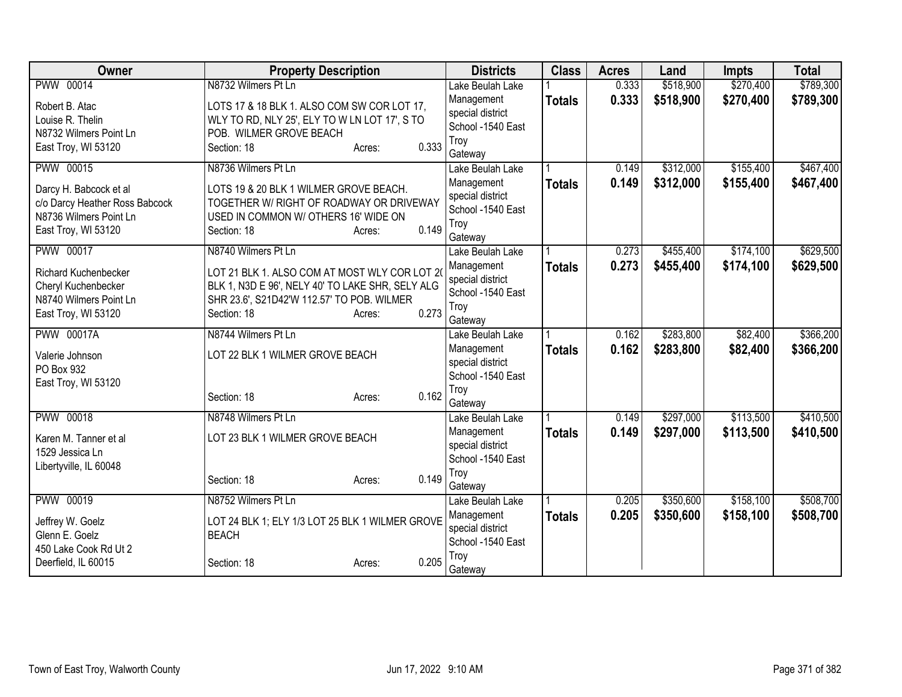| Owner                                                    | <b>Property Description</b>                         |                 | <b>Districts</b>  | <b>Class</b>  | <b>Acres</b> | Land      | <b>Impts</b> | <b>Total</b> |
|----------------------------------------------------------|-----------------------------------------------------|-----------------|-------------------|---------------|--------------|-----------|--------------|--------------|
| PWW 00014                                                | N8732 Wilmers Pt Ln                                 |                 | Lake Beulah Lake  |               | 0.333        | \$518,900 | \$270,400    | \$789,300    |
| Robert B. Atac                                           | LOTS 17 & 18 BLK 1. ALSO COM SW COR LOT 17,         |                 | Management        | <b>Totals</b> | 0.333        | \$518,900 | \$270,400    | \$789,300    |
| Louise R. Thelin                                         | WLY TO RD, NLY 25', ELY TO W LN LOT 17', S TO       |                 | special district  |               |              |           |              |              |
| N8732 Wilmers Point Ln                                   | POB. WILMER GROVE BEACH                             |                 | School -1540 East |               |              |           |              |              |
| East Troy, WI 53120                                      | Section: 18                                         | 0.333<br>Acres: | Troy<br>Gateway   |               |              |           |              |              |
| <b>PWW 00015</b>                                         | N8736 Wilmers Pt Ln                                 |                 | Lake Beulah Lake  |               | 0.149        | \$312,000 | \$155,400    | \$467,400    |
|                                                          |                                                     |                 | Management        | <b>Totals</b> | 0.149        | \$312,000 | \$155,400    | \$467,400    |
| Darcy H. Babcock et al                                   | LOTS 19 & 20 BLK 1 WILMER GROVE BEACH.              |                 | special district  |               |              |           |              |              |
| c/o Darcy Heather Ross Babcock<br>N8736 Wilmers Point Ln | TOGETHER W/ RIGHT OF ROADWAY OR DRIVEWAY            |                 | School -1540 East |               |              |           |              |              |
| East Troy, WI 53120                                      | USED IN COMMON W/ OTHERS 16' WIDE ON<br>Section: 18 | 0.149<br>Acres: | Troy              |               |              |           |              |              |
|                                                          |                                                     |                 | Gateway           |               |              |           |              |              |
| <b>PWW 00017</b>                                         | N8740 Wilmers Pt Ln                                 |                 | Lake Beulah Lake  |               | 0.273        | \$455,400 | \$174,100    | \$629,500    |
| <b>Richard Kuchenbecker</b>                              | LOT 21 BLK 1. ALSO COM AT MOST WLY COR LOT 20       |                 | Management        | <b>Totals</b> | 0.273        | \$455,400 | \$174,100    | \$629,500    |
| Cheryl Kuchenbecker                                      | BLK 1, N3D E 96', NELY 40' TO LAKE SHR, SELY ALG    |                 | special district  |               |              |           |              |              |
| N8740 Wilmers Point Ln                                   | SHR 23.6', S21D42'W 112.57' TO POB. WILMER          |                 | School -1540 East |               |              |           |              |              |
| East Troy, WI 53120                                      | Section: 18                                         | 0.273<br>Acres: | Troy<br>Gateway   |               |              |           |              |              |
| <b>PWW 00017A</b>                                        | N8744 Wilmers Pt Ln                                 |                 | Lake Beulah Lake  |               | 0.162        | \$283,800 | \$82,400     | \$366,200    |
|                                                          |                                                     |                 | Management        | <b>Totals</b> | 0.162        | \$283,800 | \$82,400     | \$366,200    |
| Valerie Johnson                                          | LOT 22 BLK 1 WILMER GROVE BEACH                     |                 | special district  |               |              |           |              |              |
| PO Box 932                                               |                                                     |                 | School -1540 East |               |              |           |              |              |
| East Troy, WI 53120                                      |                                                     | 0.162           | Troy              |               |              |           |              |              |
|                                                          | Section: 18                                         | Acres:          | Gateway           |               |              |           |              |              |
| PWW 00018                                                | N8748 Wilmers Pt Ln                                 |                 | Lake Beulah Lake  |               | 0.149        | \$297,000 | \$113,500    | \$410,500    |
| Karen M. Tanner et al                                    | LOT 23 BLK 1 WILMER GROVE BEACH                     |                 | Management        | <b>Totals</b> | 0.149        | \$297,000 | \$113,500    | \$410,500    |
| 1529 Jessica Ln                                          |                                                     |                 | special district  |               |              |           |              |              |
| Libertyville, IL 60048                                   |                                                     |                 | School -1540 East |               |              |           |              |              |
|                                                          | Section: 18                                         | 0.149<br>Acres: | Troy<br>Gateway   |               |              |           |              |              |
| PWW 00019                                                | N8752 Wilmers Pt Ln                                 |                 | Lake Beulah Lake  |               | 0.205        | \$350,600 | \$158,100    | \$508,700    |
|                                                          |                                                     |                 | Management        | <b>Totals</b> | 0.205        | \$350,600 | \$158,100    | \$508,700    |
| Jeffrey W. Goelz                                         | LOT 24 BLK 1; ELY 1/3 LOT 25 BLK 1 WILMER GROVE     |                 | special district  |               |              |           |              |              |
| Glenn E. Goelz                                           | <b>BEACH</b>                                        |                 | School -1540 East |               |              |           |              |              |
| 450 Lake Cook Rd Ut 2                                    |                                                     |                 | Troy              |               |              |           |              |              |
| Deerfield, IL 60015                                      | Section: 18                                         | 0.205<br>Acres: | Gateway           |               |              |           |              |              |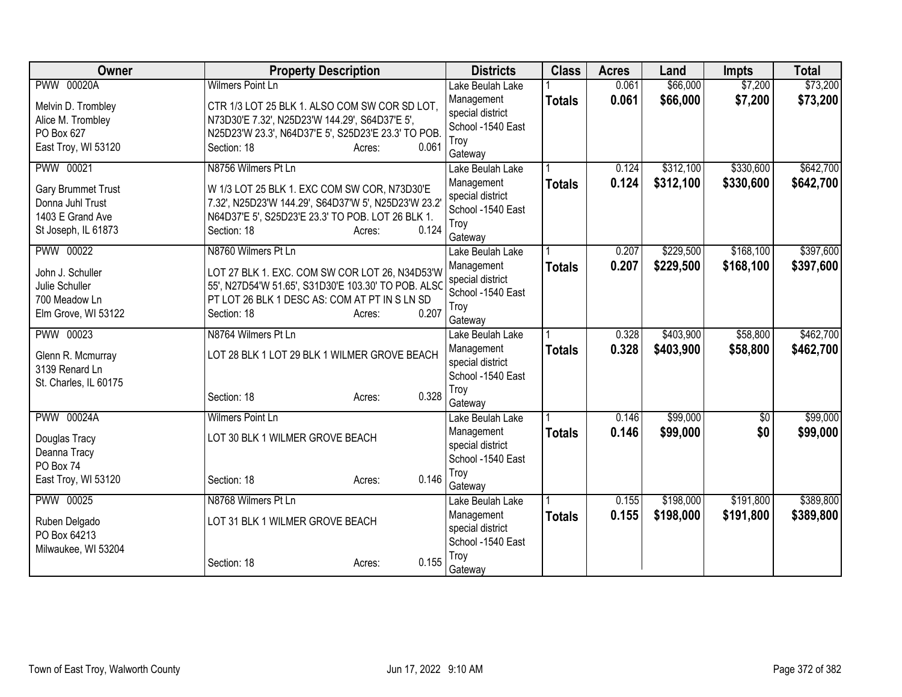| Owner                 | <b>Property Description</b>                          | <b>Districts</b>          | <b>Class</b>  | <b>Acres</b> | Land      | <b>Impts</b>    | <b>Total</b> |
|-----------------------|------------------------------------------------------|---------------------------|---------------|--------------|-----------|-----------------|--------------|
| <b>PWW 00020A</b>     | <b>Wilmers Point Ln</b>                              | Lake Beulah Lake          |               | 0.061        | \$66,000  | \$7,200         | \$73,200     |
| Melvin D. Trombley    | CTR 1/3 LOT 25 BLK 1. ALSO COM SW COR SD LOT,        | Management                | <b>Totals</b> | 0.061        | \$66,000  | \$7,200         | \$73,200     |
| Alice M. Trombley     | N73D30'E 7.32', N25D23'W 144.29', S64D37'E 5',       | special district          |               |              |           |                 |              |
| PO Box 627            | N25D23'W 23.3', N64D37'E 5', S25D23'E 23.3' TO POB.  | School -1540 East<br>Troy |               |              |           |                 |              |
| East Troy, WI 53120   | Section: 18<br>0.061<br>Acres:                       | Gateway                   |               |              |           |                 |              |
| <b>PWW 00021</b>      | N8756 Wilmers Pt Ln                                  | Lake Beulah Lake          |               | 0.124        | \$312,100 | \$330,600       | \$642,700    |
| Gary Brummet Trust    | W 1/3 LOT 25 BLK 1. EXC COM SW COR, N73D30'E         | Management                | <b>Totals</b> | 0.124        | \$312,100 | \$330,600       | \$642,700    |
| Donna Juhl Trust      | 7.32', N25D23'W 144.29', S64D37'W 5', N25D23'W 23.2' | special district          |               |              |           |                 |              |
| 1403 E Grand Ave      | N64D37'E 5', S25D23'E 23.3' TO POB. LOT 26 BLK 1.    | School -1540 East         |               |              |           |                 |              |
| St Joseph, IL 61873   | 0.124<br>Section: 18<br>Acres:                       | Troy                      |               |              |           |                 |              |
|                       |                                                      | Gateway                   |               |              |           |                 |              |
| <b>PWW 00022</b>      | N8760 Wilmers Pt Ln                                  | Lake Beulah Lake          |               | 0.207        | \$229,500 | \$168,100       | \$397,600    |
| John J. Schuller      | LOT 27 BLK 1. EXC. COM SW COR LOT 26, N34D53'W       | Management                | <b>Totals</b> | 0.207        | \$229,500 | \$168,100       | \$397,600    |
| Julie Schuller        | 55', N27D54'W 51.65', S31D30'E 103.30' TO POB. ALSO  | special district          |               |              |           |                 |              |
| 700 Meadow Ln         | PT LOT 26 BLK 1 DESC AS: COM AT PT IN S LN SD        | School -1540 East<br>Troy |               |              |           |                 |              |
| Elm Grove, WI 53122   | 0.207<br>Section: 18<br>Acres:                       | Gateway                   |               |              |           |                 |              |
| PWW 00023             | N8764 Wilmers Pt Ln                                  | Lake Beulah Lake          |               | 0.328        | \$403,900 | \$58,800        | \$462,700    |
|                       |                                                      | Management                | <b>Totals</b> | 0.328        | \$403,900 | \$58,800        | \$462,700    |
| Glenn R. Mcmurray     | LOT 28 BLK 1 LOT 29 BLK 1 WILMER GROVE BEACH         | special district          |               |              |           |                 |              |
| 3139 Renard Ln        |                                                      | School -1540 East         |               |              |           |                 |              |
| St. Charles, IL 60175 | 0.328<br>Section: 18<br>Acres:                       | Troy                      |               |              |           |                 |              |
|                       |                                                      | Gateway                   |               |              |           |                 |              |
| <b>PWW 00024A</b>     | Wilmers Point Ln                                     | Lake Beulah Lake          |               | 0.146        | \$99,000  | $\overline{60}$ | \$99,000     |
| Douglas Tracy         | LOT 30 BLK 1 WILMER GROVE BEACH                      | Management                | <b>Totals</b> | 0.146        | \$99,000  | \$0             | \$99,000     |
| Deanna Tracy          |                                                      | special district          |               |              |           |                 |              |
| PO Box 74             |                                                      | School -1540 East         |               |              |           |                 |              |
| East Troy, WI 53120   | 0.146<br>Section: 18<br>Acres:                       | Troy<br>Gateway           |               |              |           |                 |              |
| <b>PWW 00025</b>      | N8768 Wilmers Pt Ln                                  | Lake Beulah Lake          |               | 0.155        | \$198,000 | \$191,800       | \$389,800    |
|                       |                                                      | Management                | <b>Totals</b> | 0.155        | \$198,000 | \$191,800       | \$389,800    |
| Ruben Delgado         | LOT 31 BLK 1 WILMER GROVE BEACH                      | special district          |               |              |           |                 |              |
| PO Box 64213          |                                                      | School -1540 East         |               |              |           |                 |              |
| Milwaukee, WI 53204   | 0.155                                                | Troy                      |               |              |           |                 |              |
|                       | Section: 18<br>Acres:                                | Gateway                   |               |              |           |                 |              |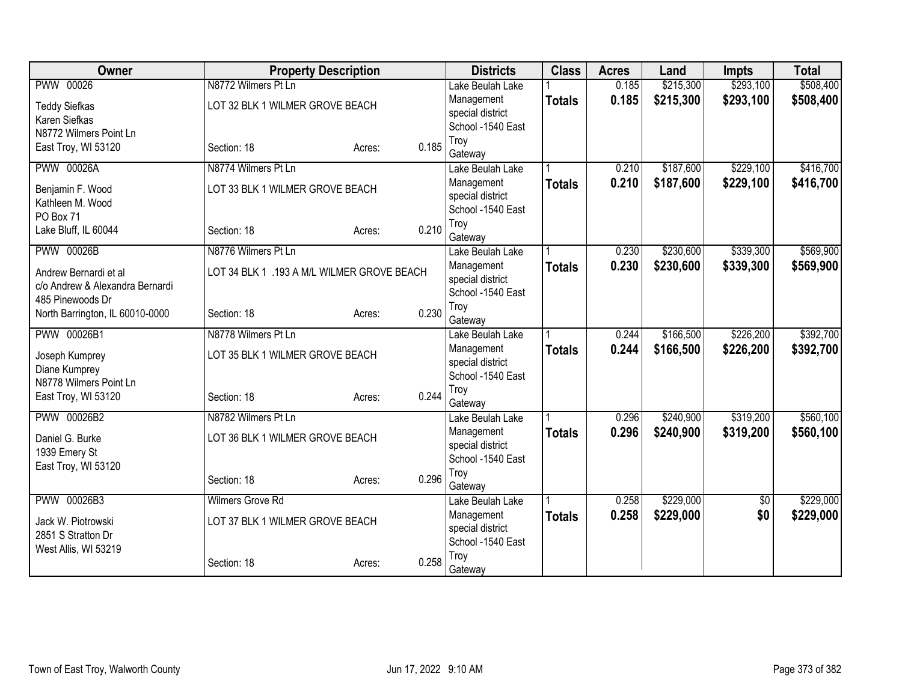| <b>PWW 00026</b><br>N8772 Wilmers Pt Ln<br>\$293,100<br>\$508,400<br>Lake Beulah Lake<br>0.185<br>\$293,100<br>0.185<br>\$215,300<br>\$508,400<br>Management<br><b>Totals</b><br>LOT 32 BLK 1 WILMER GROVE BEACH<br><b>Teddy Siefkas</b><br>special district<br>Karen Siefkas<br>School -1540 East<br>N8772 Wilmers Point Ln<br>Troy<br>0.185<br>East Troy, WI 53120<br>Section: 18<br>Acres:<br>Gateway<br><b>PWW 00026A</b><br>\$187,600<br>\$229,100<br>N8774 Wilmers Pt Ln<br>0.210<br>Lake Beulah Lake<br>0.210<br>\$187,600<br>\$229,100<br>Management<br><b>Totals</b><br>LOT 33 BLK 1 WILMER GROVE BEACH<br>Benjamin F. Wood<br>special district<br>Kathleen M. Wood<br>School -1540 East<br>PO Box 71<br>Troy<br>0.210<br>Lake Bluff, IL 60044<br>Section: 18<br>Acres:<br>Gateway<br><b>PWW 00026B</b><br>N8776 Wilmers Pt Ln<br>0.230<br>\$230,600<br>\$339,300<br>Lake Beulah Lake<br>0.230<br>Management<br>\$230,600<br>\$339,300<br><b>Totals</b><br>LOT 34 BLK 1 .193 A M/L WILMER GROVE BEACH<br>Andrew Bernardi et al<br>special district<br>c/o Andrew & Alexandra Bernardi<br>School -1540 East<br>485 Pinewoods Dr<br>Troy<br>0.230<br>North Barrington, IL 60010-0000<br>Section: 18<br>Acres:<br>Gateway<br>\$166,500<br>\$226,200<br>PWW 00026B1<br>N8778 Wilmers Pt Ln<br>0.244<br>Lake Beulah Lake<br>0.244<br>\$166,500<br>\$226,200<br>Management<br><b>Totals</b><br>LOT 35 BLK 1 WILMER GROVE BEACH<br>Joseph Kumprey<br>special district<br>Diane Kumprey<br>School -1540 East<br>N8778 Wilmers Point Ln<br>Troy<br>0.244<br>East Troy, WI 53120<br>Section: 18<br>Acres:<br>Gateway<br>\$319,200<br>PWW 00026B2<br>N8782 Wilmers Pt Ln<br>0.296<br>\$240,900<br>Lake Beulah Lake<br>0.296<br>\$240,900<br>\$319,200<br>Management<br><b>Totals</b><br>LOT 36 BLK 1 WILMER GROVE BEACH<br>Daniel G. Burke<br>special district<br>1939 Emery St<br>School -1540 East<br>East Troy, WI 53120<br>Troy<br>0.296<br>Section: 18<br>Acres:<br>Gateway<br>PWW 00026B3<br>\$229,000<br>Wilmers Grove Rd<br>0.258<br>\$0<br>Lake Beulah Lake<br>\$0<br>0.258<br>\$229,000<br>Management<br><b>Totals</b><br>LOT 37 BLK 1 WILMER GROVE BEACH<br>Jack W. Piotrowski<br>special district<br>2851 S Stratton Dr<br>School -1540 East<br>West Allis, WI 53219<br>Troy<br>0.258<br>Section: 18<br>Acres:<br>Gateway | Owner | <b>Property Description</b> | <b>Districts</b> | <b>Class</b> | <b>Acres</b> | Land      | <b>Impts</b> | <b>Total</b> |
|-------------------------------------------------------------------------------------------------------------------------------------------------------------------------------------------------------------------------------------------------------------------------------------------------------------------------------------------------------------------------------------------------------------------------------------------------------------------------------------------------------------------------------------------------------------------------------------------------------------------------------------------------------------------------------------------------------------------------------------------------------------------------------------------------------------------------------------------------------------------------------------------------------------------------------------------------------------------------------------------------------------------------------------------------------------------------------------------------------------------------------------------------------------------------------------------------------------------------------------------------------------------------------------------------------------------------------------------------------------------------------------------------------------------------------------------------------------------------------------------------------------------------------------------------------------------------------------------------------------------------------------------------------------------------------------------------------------------------------------------------------------------------------------------------------------------------------------------------------------------------------------------------------------------------------------------------------------------------------------------------------------------------------------------------------------------------------------------------------------------------------------------------------------------------------------------------------------------------------------------------------------------------------------------------------------------------------------|-------|-----------------------------|------------------|--------------|--------------|-----------|--------------|--------------|
|                                                                                                                                                                                                                                                                                                                                                                                                                                                                                                                                                                                                                                                                                                                                                                                                                                                                                                                                                                                                                                                                                                                                                                                                                                                                                                                                                                                                                                                                                                                                                                                                                                                                                                                                                                                                                                                                                                                                                                                                                                                                                                                                                                                                                                                                                                                                     |       |                             |                  |              |              | \$215,300 |              |              |
|                                                                                                                                                                                                                                                                                                                                                                                                                                                                                                                                                                                                                                                                                                                                                                                                                                                                                                                                                                                                                                                                                                                                                                                                                                                                                                                                                                                                                                                                                                                                                                                                                                                                                                                                                                                                                                                                                                                                                                                                                                                                                                                                                                                                                                                                                                                                     |       |                             |                  |              |              |           |              |              |
| \$416,700<br>\$416,700<br>\$569,900<br>\$569,900<br>\$392,700<br>\$392,700<br>\$560,100<br>\$560,100<br>\$229,000                                                                                                                                                                                                                                                                                                                                                                                                                                                                                                                                                                                                                                                                                                                                                                                                                                                                                                                                                                                                                                                                                                                                                                                                                                                                                                                                                                                                                                                                                                                                                                                                                                                                                                                                                                                                                                                                                                                                                                                                                                                                                                                                                                                                                   |       |                             |                  |              |              |           |              |              |
|                                                                                                                                                                                                                                                                                                                                                                                                                                                                                                                                                                                                                                                                                                                                                                                                                                                                                                                                                                                                                                                                                                                                                                                                                                                                                                                                                                                                                                                                                                                                                                                                                                                                                                                                                                                                                                                                                                                                                                                                                                                                                                                                                                                                                                                                                                                                     |       |                             |                  |              |              |           |              |              |
|                                                                                                                                                                                                                                                                                                                                                                                                                                                                                                                                                                                                                                                                                                                                                                                                                                                                                                                                                                                                                                                                                                                                                                                                                                                                                                                                                                                                                                                                                                                                                                                                                                                                                                                                                                                                                                                                                                                                                                                                                                                                                                                                                                                                                                                                                                                                     |       |                             |                  |              |              |           |              |              |
|                                                                                                                                                                                                                                                                                                                                                                                                                                                                                                                                                                                                                                                                                                                                                                                                                                                                                                                                                                                                                                                                                                                                                                                                                                                                                                                                                                                                                                                                                                                                                                                                                                                                                                                                                                                                                                                                                                                                                                                                                                                                                                                                                                                                                                                                                                                                     |       |                             |                  |              |              |           |              |              |
|                                                                                                                                                                                                                                                                                                                                                                                                                                                                                                                                                                                                                                                                                                                                                                                                                                                                                                                                                                                                                                                                                                                                                                                                                                                                                                                                                                                                                                                                                                                                                                                                                                                                                                                                                                                                                                                                                                                                                                                                                                                                                                                                                                                                                                                                                                                                     |       |                             |                  |              |              |           |              |              |
|                                                                                                                                                                                                                                                                                                                                                                                                                                                                                                                                                                                                                                                                                                                                                                                                                                                                                                                                                                                                                                                                                                                                                                                                                                                                                                                                                                                                                                                                                                                                                                                                                                                                                                                                                                                                                                                                                                                                                                                                                                                                                                                                                                                                                                                                                                                                     |       |                             |                  |              |              |           |              |              |
|                                                                                                                                                                                                                                                                                                                                                                                                                                                                                                                                                                                                                                                                                                                                                                                                                                                                                                                                                                                                                                                                                                                                                                                                                                                                                                                                                                                                                                                                                                                                                                                                                                                                                                                                                                                                                                                                                                                                                                                                                                                                                                                                                                                                                                                                                                                                     |       |                             |                  |              |              |           |              |              |
| \$229,000                                                                                                                                                                                                                                                                                                                                                                                                                                                                                                                                                                                                                                                                                                                                                                                                                                                                                                                                                                                                                                                                                                                                                                                                                                                                                                                                                                                                                                                                                                                                                                                                                                                                                                                                                                                                                                                                                                                                                                                                                                                                                                                                                                                                                                                                                                                           |       |                             |                  |              |              |           |              |              |
|                                                                                                                                                                                                                                                                                                                                                                                                                                                                                                                                                                                                                                                                                                                                                                                                                                                                                                                                                                                                                                                                                                                                                                                                                                                                                                                                                                                                                                                                                                                                                                                                                                                                                                                                                                                                                                                                                                                                                                                                                                                                                                                                                                                                                                                                                                                                     |       |                             |                  |              |              |           |              |              |
|                                                                                                                                                                                                                                                                                                                                                                                                                                                                                                                                                                                                                                                                                                                                                                                                                                                                                                                                                                                                                                                                                                                                                                                                                                                                                                                                                                                                                                                                                                                                                                                                                                                                                                                                                                                                                                                                                                                                                                                                                                                                                                                                                                                                                                                                                                                                     |       |                             |                  |              |              |           |              |              |
|                                                                                                                                                                                                                                                                                                                                                                                                                                                                                                                                                                                                                                                                                                                                                                                                                                                                                                                                                                                                                                                                                                                                                                                                                                                                                                                                                                                                                                                                                                                                                                                                                                                                                                                                                                                                                                                                                                                                                                                                                                                                                                                                                                                                                                                                                                                                     |       |                             |                  |              |              |           |              |              |
|                                                                                                                                                                                                                                                                                                                                                                                                                                                                                                                                                                                                                                                                                                                                                                                                                                                                                                                                                                                                                                                                                                                                                                                                                                                                                                                                                                                                                                                                                                                                                                                                                                                                                                                                                                                                                                                                                                                                                                                                                                                                                                                                                                                                                                                                                                                                     |       |                             |                  |              |              |           |              |              |
|                                                                                                                                                                                                                                                                                                                                                                                                                                                                                                                                                                                                                                                                                                                                                                                                                                                                                                                                                                                                                                                                                                                                                                                                                                                                                                                                                                                                                                                                                                                                                                                                                                                                                                                                                                                                                                                                                                                                                                                                                                                                                                                                                                                                                                                                                                                                     |       |                             |                  |              |              |           |              |              |
|                                                                                                                                                                                                                                                                                                                                                                                                                                                                                                                                                                                                                                                                                                                                                                                                                                                                                                                                                                                                                                                                                                                                                                                                                                                                                                                                                                                                                                                                                                                                                                                                                                                                                                                                                                                                                                                                                                                                                                                                                                                                                                                                                                                                                                                                                                                                     |       |                             |                  |              |              |           |              |              |
|                                                                                                                                                                                                                                                                                                                                                                                                                                                                                                                                                                                                                                                                                                                                                                                                                                                                                                                                                                                                                                                                                                                                                                                                                                                                                                                                                                                                                                                                                                                                                                                                                                                                                                                                                                                                                                                                                                                                                                                                                                                                                                                                                                                                                                                                                                                                     |       |                             |                  |              |              |           |              |              |
|                                                                                                                                                                                                                                                                                                                                                                                                                                                                                                                                                                                                                                                                                                                                                                                                                                                                                                                                                                                                                                                                                                                                                                                                                                                                                                                                                                                                                                                                                                                                                                                                                                                                                                                                                                                                                                                                                                                                                                                                                                                                                                                                                                                                                                                                                                                                     |       |                             |                  |              |              |           |              |              |
|                                                                                                                                                                                                                                                                                                                                                                                                                                                                                                                                                                                                                                                                                                                                                                                                                                                                                                                                                                                                                                                                                                                                                                                                                                                                                                                                                                                                                                                                                                                                                                                                                                                                                                                                                                                                                                                                                                                                                                                                                                                                                                                                                                                                                                                                                                                                     |       |                             |                  |              |              |           |              |              |
|                                                                                                                                                                                                                                                                                                                                                                                                                                                                                                                                                                                                                                                                                                                                                                                                                                                                                                                                                                                                                                                                                                                                                                                                                                                                                                                                                                                                                                                                                                                                                                                                                                                                                                                                                                                                                                                                                                                                                                                                                                                                                                                                                                                                                                                                                                                                     |       |                             |                  |              |              |           |              |              |
|                                                                                                                                                                                                                                                                                                                                                                                                                                                                                                                                                                                                                                                                                                                                                                                                                                                                                                                                                                                                                                                                                                                                                                                                                                                                                                                                                                                                                                                                                                                                                                                                                                                                                                                                                                                                                                                                                                                                                                                                                                                                                                                                                                                                                                                                                                                                     |       |                             |                  |              |              |           |              |              |
|                                                                                                                                                                                                                                                                                                                                                                                                                                                                                                                                                                                                                                                                                                                                                                                                                                                                                                                                                                                                                                                                                                                                                                                                                                                                                                                                                                                                                                                                                                                                                                                                                                                                                                                                                                                                                                                                                                                                                                                                                                                                                                                                                                                                                                                                                                                                     |       |                             |                  |              |              |           |              |              |
|                                                                                                                                                                                                                                                                                                                                                                                                                                                                                                                                                                                                                                                                                                                                                                                                                                                                                                                                                                                                                                                                                                                                                                                                                                                                                                                                                                                                                                                                                                                                                                                                                                                                                                                                                                                                                                                                                                                                                                                                                                                                                                                                                                                                                                                                                                                                     |       |                             |                  |              |              |           |              |              |
|                                                                                                                                                                                                                                                                                                                                                                                                                                                                                                                                                                                                                                                                                                                                                                                                                                                                                                                                                                                                                                                                                                                                                                                                                                                                                                                                                                                                                                                                                                                                                                                                                                                                                                                                                                                                                                                                                                                                                                                                                                                                                                                                                                                                                                                                                                                                     |       |                             |                  |              |              |           |              |              |
|                                                                                                                                                                                                                                                                                                                                                                                                                                                                                                                                                                                                                                                                                                                                                                                                                                                                                                                                                                                                                                                                                                                                                                                                                                                                                                                                                                                                                                                                                                                                                                                                                                                                                                                                                                                                                                                                                                                                                                                                                                                                                                                                                                                                                                                                                                                                     |       |                             |                  |              |              |           |              |              |
|                                                                                                                                                                                                                                                                                                                                                                                                                                                                                                                                                                                                                                                                                                                                                                                                                                                                                                                                                                                                                                                                                                                                                                                                                                                                                                                                                                                                                                                                                                                                                                                                                                                                                                                                                                                                                                                                                                                                                                                                                                                                                                                                                                                                                                                                                                                                     |       |                             |                  |              |              |           |              |              |
|                                                                                                                                                                                                                                                                                                                                                                                                                                                                                                                                                                                                                                                                                                                                                                                                                                                                                                                                                                                                                                                                                                                                                                                                                                                                                                                                                                                                                                                                                                                                                                                                                                                                                                                                                                                                                                                                                                                                                                                                                                                                                                                                                                                                                                                                                                                                     |       |                             |                  |              |              |           |              |              |
|                                                                                                                                                                                                                                                                                                                                                                                                                                                                                                                                                                                                                                                                                                                                                                                                                                                                                                                                                                                                                                                                                                                                                                                                                                                                                                                                                                                                                                                                                                                                                                                                                                                                                                                                                                                                                                                                                                                                                                                                                                                                                                                                                                                                                                                                                                                                     |       |                             |                  |              |              |           |              |              |
|                                                                                                                                                                                                                                                                                                                                                                                                                                                                                                                                                                                                                                                                                                                                                                                                                                                                                                                                                                                                                                                                                                                                                                                                                                                                                                                                                                                                                                                                                                                                                                                                                                                                                                                                                                                                                                                                                                                                                                                                                                                                                                                                                                                                                                                                                                                                     |       |                             |                  |              |              |           |              |              |
|                                                                                                                                                                                                                                                                                                                                                                                                                                                                                                                                                                                                                                                                                                                                                                                                                                                                                                                                                                                                                                                                                                                                                                                                                                                                                                                                                                                                                                                                                                                                                                                                                                                                                                                                                                                                                                                                                                                                                                                                                                                                                                                                                                                                                                                                                                                                     |       |                             |                  |              |              |           |              |              |
|                                                                                                                                                                                                                                                                                                                                                                                                                                                                                                                                                                                                                                                                                                                                                                                                                                                                                                                                                                                                                                                                                                                                                                                                                                                                                                                                                                                                                                                                                                                                                                                                                                                                                                                                                                                                                                                                                                                                                                                                                                                                                                                                                                                                                                                                                                                                     |       |                             |                  |              |              |           |              |              |
|                                                                                                                                                                                                                                                                                                                                                                                                                                                                                                                                                                                                                                                                                                                                                                                                                                                                                                                                                                                                                                                                                                                                                                                                                                                                                                                                                                                                                                                                                                                                                                                                                                                                                                                                                                                                                                                                                                                                                                                                                                                                                                                                                                                                                                                                                                                                     |       |                             |                  |              |              |           |              |              |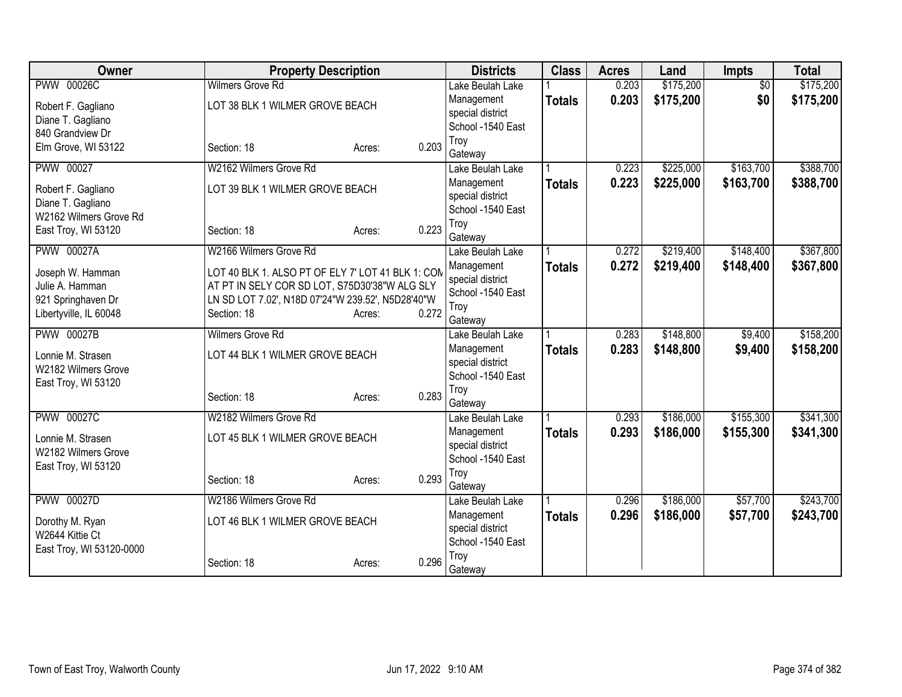| Owner                                      |                                                   | <b>Property Description</b> |       | <b>Districts</b>                      | <b>Class</b>  | <b>Acres</b>   | Land                   | <b>Impts</b>         | <b>Total</b>           |
|--------------------------------------------|---------------------------------------------------|-----------------------------|-------|---------------------------------------|---------------|----------------|------------------------|----------------------|------------------------|
| <b>PWW 00026C</b>                          | <b>Wilmers Grove Rd</b>                           |                             |       | Lake Beulah Lake                      |               | 0.203          | \$175,200              | $\overline{30}$      | \$175,200              |
| Robert F. Gagliano                         | LOT 38 BLK 1 WILMER GROVE BEACH                   |                             |       | Management                            | <b>Totals</b> | 0.203          | \$175,200              | \$0                  | \$175,200              |
| Diane T. Gagliano                          |                                                   |                             |       | special district<br>School -1540 East |               |                |                        |                      |                        |
| 840 Grandview Dr                           |                                                   |                             |       | Troy                                  |               |                |                        |                      |                        |
| Elm Grove, WI 53122                        | Section: 18                                       | Acres:                      | 0.203 | Gateway                               |               |                |                        |                      |                        |
| <b>PWW 00027</b>                           | W2162 Wilmers Grove Rd                            |                             |       | Lake Beulah Lake                      |               | 0.223          | \$225,000              | \$163,700            | \$388,700              |
| Robert F. Gagliano                         | LOT 39 BLK 1 WILMER GROVE BEACH                   |                             |       | Management                            | <b>Totals</b> | 0.223          | \$225,000              | \$163,700            | \$388,700              |
| Diane T. Gagliano                          |                                                   |                             |       | special district                      |               |                |                        |                      |                        |
| W2162 Wilmers Grove Rd                     |                                                   |                             |       | School -1540 East<br>Troy             |               |                |                        |                      |                        |
| East Troy, WI 53120                        | Section: 18                                       | Acres:                      | 0.223 | Gateway                               |               |                |                        |                      |                        |
| <b>PWW 00027A</b>                          | W2166 Wilmers Grove Rd                            |                             |       | Lake Beulah Lake                      |               | 0.272          | \$219,400              | \$148,400            | \$367,800              |
| Joseph W. Hamman                           | LOT 40 BLK 1. ALSO PT OF ELY 7' LOT 41 BLK 1: COM |                             |       | Management                            | <b>Totals</b> | 0.272          | \$219,400              | \$148,400            | \$367,800              |
| Julie A. Hamman                            | AT PT IN SELY COR SD LOT, S75D30'38"W ALG SLY     |                             |       | special district                      |               |                |                        |                      |                        |
| 921 Springhaven Dr                         | LN SD LOT 7.02', N18D 07'24"W 239.52', N5D28'40"W |                             |       | School -1540 East                     |               |                |                        |                      |                        |
| Libertyville, IL 60048                     | Section: 18                                       | Acres:                      | 0.272 | Troy<br>Gateway                       |               |                |                        |                      |                        |
| <b>PWW 00027B</b>                          | Wilmers Grove Rd                                  |                             |       | Lake Beulah Lake                      |               | 0.283          | \$148,800              | \$9,400              | \$158,200              |
| Lonnie M. Strasen                          | LOT 44 BLK 1 WILMER GROVE BEACH                   |                             |       | Management                            | <b>Totals</b> | 0.283          | \$148,800              | \$9,400              | \$158,200              |
| W2182 Wilmers Grove                        |                                                   |                             |       | special district                      |               |                |                        |                      |                        |
| East Troy, WI 53120                        |                                                   |                             |       | School -1540 East                     |               |                |                        |                      |                        |
|                                            | Section: 18                                       | Acres:                      | 0.283 | Troy                                  |               |                |                        |                      |                        |
| <b>PWW 00027C</b>                          | W2182 Wilmers Grove Rd                            |                             |       | Gateway<br>Lake Beulah Lake           |               | 0.293          | \$186,000              | \$155,300            | \$341,300              |
|                                            |                                                   |                             |       | Management                            | <b>Totals</b> | 0.293          | \$186,000              | \$155,300            | \$341,300              |
| Lonnie M. Strasen                          | LOT 45 BLK 1 WILMER GROVE BEACH                   |                             |       | special district                      |               |                |                        |                      |                        |
| W2182 Wilmers Grove<br>East Troy, WI 53120 |                                                   |                             |       | School -1540 East                     |               |                |                        |                      |                        |
|                                            | Section: 18                                       | Acres:                      | 0.293 | Troy                                  |               |                |                        |                      |                        |
|                                            |                                                   |                             |       | Gateway                               |               |                |                        |                      |                        |
| <b>PWW 00027D</b>                          | W2186 Wilmers Grove Rd                            |                             |       | Lake Beulah Lake<br>Management        |               | 0.296<br>0.296 | \$186,000<br>\$186,000 | \$57,700<br>\$57,700 | \$243,700<br>\$243,700 |
| Dorothy M. Ryan                            | LOT 46 BLK 1 WILMER GROVE BEACH                   |                             |       | special district                      | <b>Totals</b> |                |                        |                      |                        |
| W2644 Kittie Ct                            |                                                   |                             |       | School -1540 East                     |               |                |                        |                      |                        |
| East Troy, WI 53120-0000                   |                                                   |                             | 0.296 | Troy                                  |               |                |                        |                      |                        |
|                                            | Section: 18                                       | Acres:                      |       | Gateway                               |               |                |                        |                      |                        |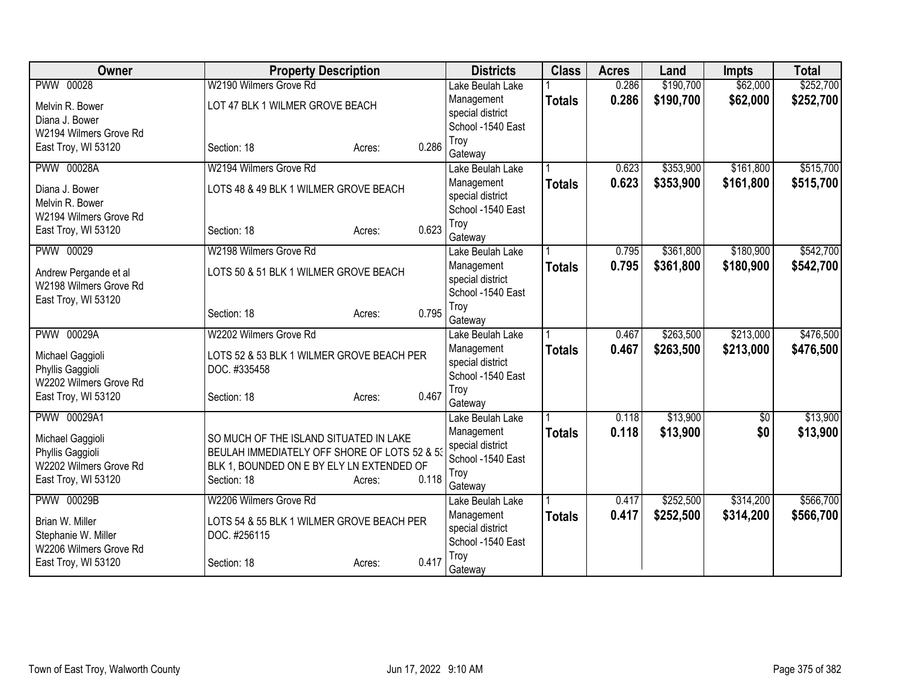| Owner                                           | <b>Property Description</b>                  |                 | <b>Districts</b>            | <b>Class</b>  | <b>Acres</b> | Land      | <b>Impts</b> | <b>Total</b> |
|-------------------------------------------------|----------------------------------------------|-----------------|-----------------------------|---------------|--------------|-----------|--------------|--------------|
| <b>PWW 00028</b>                                | W2190 Wilmers Grove Rd                       |                 | Lake Beulah Lake            |               | 0.286        | \$190,700 | \$62,000     | \$252,700    |
| Melvin R. Bower                                 | LOT 47 BLK 1 WILMER GROVE BEACH              |                 | Management                  | <b>Totals</b> | 0.286        | \$190,700 | \$62,000     | \$252,700    |
| Diana J. Bower                                  |                                              |                 | special district            |               |              |           |              |              |
| W2194 Wilmers Grove Rd                          |                                              |                 | School -1540 East           |               |              |           |              |              |
| East Troy, WI 53120                             | Section: 18                                  | 0.286<br>Acres: | Troy                        |               |              |           |              |              |
| <b>PWW 00028A</b>                               | W2194 Wilmers Grove Rd                       |                 | Gateway<br>Lake Beulah Lake |               | 0.623        | \$353,900 | \$161,800    | \$515,700    |
|                                                 |                                              |                 | Management                  |               | 0.623        | \$353,900 | \$161,800    |              |
| Diana J. Bower                                  | LOTS 48 & 49 BLK 1 WILMER GROVE BEACH        |                 | special district            | <b>Totals</b> |              |           |              | \$515,700    |
| Melvin R. Bower                                 |                                              |                 | School -1540 East           |               |              |           |              |              |
| W2194 Wilmers Grove Rd                          |                                              |                 | Troy                        |               |              |           |              |              |
| East Troy, WI 53120                             | Section: 18                                  | 0.623<br>Acres: | Gateway                     |               |              |           |              |              |
| PWW 00029                                       | W2198 Wilmers Grove Rd                       |                 | Lake Beulah Lake            |               | 0.795        | \$361,800 | \$180,900    | \$542,700    |
|                                                 |                                              |                 | Management                  | <b>Totals</b> | 0.795        | \$361,800 | \$180,900    | \$542,700    |
| Andrew Pergande et al<br>W2198 Wilmers Grove Rd | LOTS 50 & 51 BLK 1 WILMER GROVE BEACH        |                 | special district            |               |              |           |              |              |
| East Troy, WI 53120                             |                                              |                 | School -1540 East           |               |              |           |              |              |
|                                                 | Section: 18                                  | 0.795<br>Acres: | Troy                        |               |              |           |              |              |
|                                                 |                                              |                 | Gateway                     |               |              |           |              |              |
| <b>PWW 00029A</b>                               | W2202 Wilmers Grove Rd                       |                 | Lake Beulah Lake            |               | 0.467        | \$263,500 | \$213,000    | \$476,500    |
| Michael Gaggioli                                | LOTS 52 & 53 BLK 1 WILMER GROVE BEACH PER    |                 | Management                  | <b>Totals</b> | 0.467        | \$263,500 | \$213,000    | \$476,500    |
| Phyllis Gaggioli                                | DOC. #335458                                 |                 | special district            |               |              |           |              |              |
| W2202 Wilmers Grove Rd                          |                                              |                 | School -1540 East           |               |              |           |              |              |
| East Troy, WI 53120                             | Section: 18                                  | 0.467<br>Acres: | Troy                        |               |              |           |              |              |
| PWW 00029A1                                     |                                              |                 | Gateway<br>Lake Beulah Lake |               | 0.118        | \$13,900  | $\sqrt{6}$   | \$13,900     |
|                                                 |                                              |                 | Management                  |               | 0.118        | \$13,900  | \$0          | \$13,900     |
| Michael Gaggioli                                | SO MUCH OF THE ISLAND SITUATED IN LAKE       |                 | special district            | <b>Totals</b> |              |           |              |              |
| Phyllis Gaggioli                                | BEULAH IMMEDIATELY OFF SHORE OF LOTS 52 & 53 |                 | School -1540 East           |               |              |           |              |              |
| W2202 Wilmers Grove Rd                          | BLK 1, BOUNDED ON E BY ELY LN EXTENDED OF    |                 | Troy                        |               |              |           |              |              |
| East Troy, WI 53120                             | Section: 18                                  | 0.118<br>Acres: | Gateway                     |               |              |           |              |              |
| <b>PWW 00029B</b>                               | W2206 Wilmers Grove Rd                       |                 | Lake Beulah Lake            |               | 0.417        | \$252,500 | \$314,200    | \$566,700    |
| Brian W. Miller                                 | LOTS 54 & 55 BLK 1 WILMER GROVE BEACH PER    |                 | Management                  | <b>Totals</b> | 0.417        | \$252,500 | \$314,200    | \$566,700    |
| Stephanie W. Miller                             | DOC. #256115                                 |                 | special district            |               |              |           |              |              |
| W2206 Wilmers Grove Rd                          |                                              |                 | School -1540 East           |               |              |           |              |              |
| East Troy, WI 53120                             | Section: 18                                  | 0.417<br>Acres: | Troy                        |               |              |           |              |              |
|                                                 |                                              |                 | Gateway                     |               |              |           |              |              |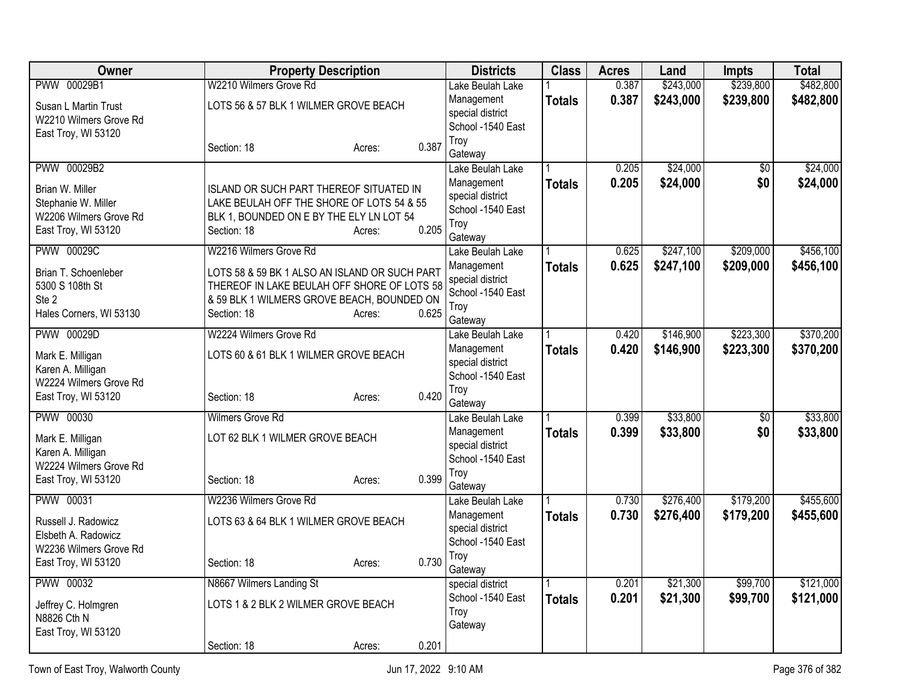| Owner                                                                                   | <b>Property Description</b>                                                                                                                               |                 | <b>Districts</b>                                                       | <b>Class</b>  | <b>Acres</b>   | Land                 | <b>Impts</b>           | <b>Total</b>         |
|-----------------------------------------------------------------------------------------|-----------------------------------------------------------------------------------------------------------------------------------------------------------|-----------------|------------------------------------------------------------------------|---------------|----------------|----------------------|------------------------|----------------------|
| PWW 00029B1                                                                             | W2210 Wilmers Grove Rd                                                                                                                                    |                 | Lake Beulah Lake                                                       |               | 0.387          | \$243,000            | \$239,800              | \$482,800            |
| Susan L Martin Trust<br>W2210 Wilmers Grove Rd                                          | LOTS 56 & 57 BLK 1 WILMER GROVE BEACH                                                                                                                     |                 | Management<br>special district<br>School -1540 East                    | <b>Totals</b> | 0.387          | \$243,000            | \$239,800              | \$482,800            |
| East Troy, WI 53120                                                                     | Section: 18                                                                                                                                               | 0.387<br>Acres: | Troy<br>Gateway                                                        |               |                |                      |                        |                      |
| PWW 00029B2                                                                             |                                                                                                                                                           |                 | Lake Beulah Lake<br>Management                                         | <b>Totals</b> | 0.205<br>0.205 | \$24,000<br>\$24,000 | $\overline{30}$<br>\$0 | \$24,000<br>\$24,000 |
| Brian W. Miller<br>Stephanie W. Miller<br>W2206 Wilmers Grove Rd<br>East Troy, WI 53120 | ISLAND OR SUCH PART THEREOF SITUATED IN<br>LAKE BEULAH OFF THE SHORE OF LOTS 54 & 55<br>BLK 1, BOUNDED ON E BY THE ELY LN LOT 54<br>Section: 18           | 0.205<br>Acres: | special district<br>School -1540 East<br>Troy                          |               |                |                      |                        |                      |
| <b>PWW 00029C</b>                                                                       | W2216 Wilmers Grove Rd                                                                                                                                    |                 | Gateway<br>Lake Beulah Lake                                            |               | 0.625          | \$247,100            | \$209,000              | \$456,100            |
| Brian T. Schoenleber<br>5300 S 108th St<br>Ste 2<br>Hales Corners, WI 53130             | LOTS 58 & 59 BK 1 ALSO AN ISLAND OR SUCH PART<br>THEREOF IN LAKE BEULAH OFF SHORE OF LOTS 58<br>& 59 BLK 1 WILMERS GROVE BEACH, BOUNDED ON<br>Section: 18 | 0.625<br>Acres: | Management<br>special district<br>School -1540 East<br>Troy<br>Gateway | <b>Totals</b> | 0.625          | \$247,100            | \$209,000              | \$456,100            |
| PWW 00029D                                                                              | W2224 Wilmers Grove Rd                                                                                                                                    |                 | Lake Beulah Lake                                                       |               | 0.420          | \$146,900            | \$223,300              | \$370,200            |
| Mark E. Milligan<br>Karen A. Milligan<br>W2224 Wilmers Grove Rd                         | LOTS 60 & 61 BLK 1 WILMER GROVE BEACH                                                                                                                     |                 | Management<br>special district<br>School -1540 East                    | <b>Totals</b> | 0.420          | \$146,900            | \$223,300              | \$370,200            |
| East Troy, WI 53120                                                                     | Section: 18                                                                                                                                               | 0.420<br>Acres: | Troy<br>Gateway                                                        |               |                |                      |                        |                      |
| PWW 00030                                                                               | Wilmers Grove Rd                                                                                                                                          |                 | Lake Beulah Lake                                                       |               | 0.399          | \$33,800             | $\overline{60}$        | \$33,800             |
| Mark E. Milligan<br>Karen A. Milligan<br>W2224 Wilmers Grove Rd                         | LOT 62 BLK 1 WILMER GROVE BEACH                                                                                                                           |                 | Management<br>special district<br>School -1540 East                    | <b>Totals</b> | 0.399          | \$33,800             | \$0                    | \$33,800             |
| East Troy, WI 53120                                                                     | Section: 18                                                                                                                                               | 0.399<br>Acres: | Troy<br>Gateway                                                        |               |                |                      |                        |                      |
| <b>PWW 00031</b>                                                                        | W2236 Wilmers Grove Rd                                                                                                                                    |                 | Lake Beulah Lake                                                       |               | 0.730          | \$276,400            | \$179,200              | \$455,600            |
| Russell J. Radowicz<br>Elsbeth A. Radowicz<br>W2236 Wilmers Grove Rd                    | LOTS 63 & 64 BLK 1 WILMER GROVE BEACH                                                                                                                     |                 | Management<br>special district<br>School -1540 East                    | <b>Totals</b> | 0.730          | \$276,400            | \$179,200              | \$455,600            |
| East Troy, WI 53120                                                                     | Section: 18                                                                                                                                               | 0.730<br>Acres: | Troy<br>Gateway                                                        |               |                |                      |                        |                      |
| PWW 00032                                                                               | N8667 Wilmers Landing St                                                                                                                                  |                 | special district                                                       |               | 0.201          | \$21,300             | \$99,700               | \$121,000            |
| Jeffrey C. Holmgren<br>N8826 Cth N<br>East Troy, WI 53120                               | LOTS 1 & 2 BLK 2 WILMER GROVE BEACH                                                                                                                       |                 | School -1540 East<br>Troy<br>Gateway                                   | <b>Totals</b> | 0.201          | \$21,300             | \$99,700               | \$121,000            |
|                                                                                         | Section: 18                                                                                                                                               | 0.201<br>Acres: |                                                                        |               |                |                      |                        |                      |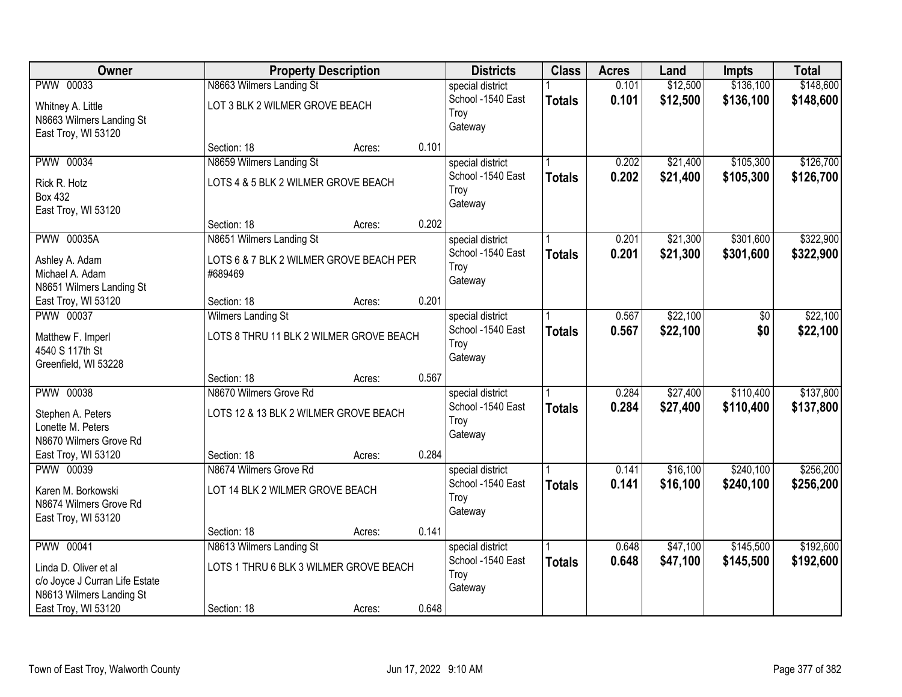| Owner                                                         |                                                                      | <b>Property Description</b> |       | <b>Districts</b>                              | <b>Class</b>  | <b>Acres</b>   | Land                 | <b>Impts</b> | <b>Total</b>         |
|---------------------------------------------------------------|----------------------------------------------------------------------|-----------------------------|-------|-----------------------------------------------|---------------|----------------|----------------------|--------------|----------------------|
| PWW 00033                                                     | N8663 Wilmers Landing St                                             |                             |       | special district                              |               | 0.101          | \$12,500             | \$136,100    | \$148,600            |
| Whitney A. Little<br>N8663 Wilmers Landing St                 | LOT 3 BLK 2 WILMER GROVE BEACH                                       |                             |       | School -1540 East<br>Troy<br>Gateway          | <b>Totals</b> | 0.101          | \$12,500             | \$136,100    | \$148,600            |
| East Troy, WI 53120                                           | Section: 18                                                          | Acres:                      | 0.101 |                                               |               |                |                      |              |                      |
| PWW 00034                                                     | N8659 Wilmers Landing St                                             |                             |       | special district                              |               | 0.202          | \$21,400             | \$105,300    | \$126,700            |
| Rick R. Hotz<br><b>Box 432</b><br>East Troy, WI 53120         | LOTS 4 & 5 BLK 2 WILMER GROVE BEACH                                  |                             |       | School -1540 East<br>Troy<br>Gateway          | <b>Totals</b> | 0.202          | \$21,400             | \$105,300    | \$126,700            |
|                                                               | Section: 18                                                          | Acres:                      | 0.202 |                                               |               |                |                      |              |                      |
| <b>PWW 00035A</b>                                             | N8651 Wilmers Landing St                                             |                             |       | special district                              |               | 0.201          | \$21,300             | \$301,600    | \$322,900            |
| Ashley A. Adam<br>Michael A. Adam<br>N8651 Wilmers Landing St | LOTS 6 & 7 BLK 2 WILMER GROVE BEACH PER<br>#689469                   |                             |       | School -1540 East<br>Troy<br>Gateway          | <b>Totals</b> | 0.201          | \$21,300             | \$301,600    | \$322,900            |
| East Troy, WI 53120                                           | Section: 18                                                          | Acres:                      | 0.201 |                                               |               |                |                      |              |                      |
| <b>PWW 00037</b><br>Matthew F. Imperl<br>4540 S 117th St      | <b>Wilmers Landing St</b><br>LOTS 8 THRU 11 BLK 2 WILMER GROVE BEACH |                             |       | special district<br>School -1540 East<br>Troy | <b>Totals</b> | 0.567<br>0.567 | \$22,100<br>\$22,100 | \$0<br>\$0   | \$22,100<br>\$22,100 |
| Greenfield, WI 53228                                          |                                                                      |                             |       | Gateway                                       |               |                |                      |              |                      |
|                                                               | Section: 18                                                          | Acres:                      | 0.567 |                                               |               |                |                      |              |                      |
| <b>PWW 00038</b>                                              | N8670 Wilmers Grove Rd                                               |                             |       | special district                              |               | 0.284          | \$27,400             | \$110,400    | \$137,800            |
| Stephen A. Peters<br>Lonette M. Peters                        | LOTS 12 & 13 BLK 2 WILMER GROVE BEACH                                |                             |       | School -1540 East<br>Troy<br>Gateway          | <b>Totals</b> | 0.284          | \$27,400             | \$110,400    | \$137,800            |
| N8670 Wilmers Grove Rd                                        | Section: 18                                                          |                             | 0.284 |                                               |               |                |                      |              |                      |
| East Troy, WI 53120<br><b>PWW 00039</b>                       | N8674 Wilmers Grove Rd                                               | Acres:                      |       | special district                              |               | 0.141          | \$16,100             | \$240,100    | \$256,200            |
| Karen M. Borkowski                                            | LOT 14 BLK 2 WILMER GROVE BEACH                                      |                             |       | School -1540 East<br>Troy                     | <b>Totals</b> | 0.141          | \$16,100             | \$240,100    | \$256,200            |
| N8674 Wilmers Grove Rd<br>East Troy, WI 53120                 |                                                                      |                             |       | Gateway                                       |               |                |                      |              |                      |
|                                                               | Section: 18                                                          | Acres:                      | 0.141 |                                               |               |                |                      |              |                      |
| <b>PWW 00041</b>                                              | N8613 Wilmers Landing St                                             |                             |       | special district                              |               | 0.648          | \$47,100             | \$145,500    | \$192,600            |
| Linda D. Oliver et al<br>c/o Joyce J Curran Life Estate       | LOTS 1 THRU 6 BLK 3 WILMER GROVE BEACH                               |                             |       | School -1540 East<br>Troy                     | <b>Totals</b> | 0.648          | \$47,100             | \$145,500    | \$192,600            |
| N8613 Wilmers Landing St                                      |                                                                      |                             |       | Gateway                                       |               |                |                      |              |                      |
| East Troy, WI 53120                                           | Section: 18                                                          | Acres:                      | 0.648 |                                               |               |                |                      |              |                      |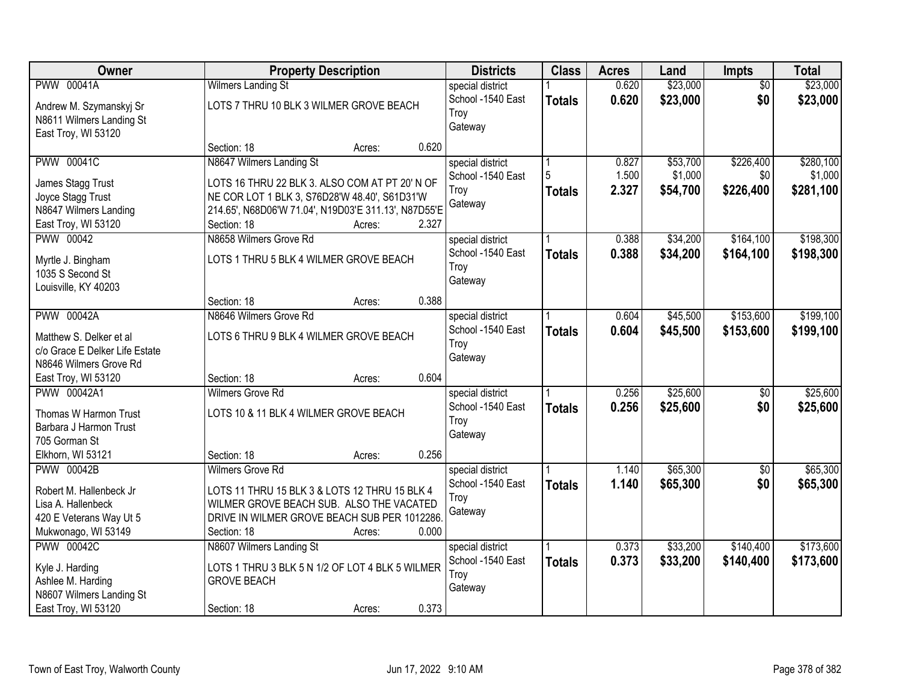| <b>Owner</b>                           | <b>Property Description</b>                          |        |       | <b>Districts</b>  | <b>Class</b>  | <b>Acres</b> | Land     | Impts           | <b>Total</b> |
|----------------------------------------|------------------------------------------------------|--------|-------|-------------------|---------------|--------------|----------|-----------------|--------------|
| <b>PWW 00041A</b>                      | <b>Wilmers Landing St</b>                            |        |       | special district  |               | 0.620        | \$23,000 | $\overline{50}$ | \$23,000     |
| Andrew M. Szymanskyj Sr                | LOTS 7 THRU 10 BLK 3 WILMER GROVE BEACH              |        |       | School -1540 East | <b>Totals</b> | 0.620        | \$23,000 | \$0             | \$23,000     |
| N8611 Wilmers Landing St               |                                                      |        |       | Troy              |               |              |          |                 |              |
| East Troy, WI 53120                    |                                                      |        |       | Gateway           |               |              |          |                 |              |
|                                        | Section: 18                                          | Acres: | 0.620 |                   |               |              |          |                 |              |
| <b>PWW 00041C</b>                      | N8647 Wilmers Landing St                             |        |       | special district  |               | 0.827        | \$53,700 | \$226,400       | \$280,100    |
|                                        | LOTS 16 THRU 22 BLK 3. ALSO COM AT PT 20' N OF       |        |       | School -1540 East | 5             | 1.500        | \$1,000  | \$0             | \$1,000      |
| James Stagg Trust<br>Joyce Stagg Trust | NE COR LOT 1 BLK 3, S76D28'W 48.40', S61D31'W        |        |       | Troy              | <b>Totals</b> | 2.327        | \$54,700 | \$226,400       | \$281,100    |
| N8647 Wilmers Landing                  | 214.65', N68D06'W 71.04', N19D03'E 311.13', N87D55'E |        |       | Gateway           |               |              |          |                 |              |
| East Troy, WI 53120                    | Section: 18                                          | Acres: | 2.327 |                   |               |              |          |                 |              |
| PWW 00042                              | N8658 Wilmers Grove Rd                               |        |       | special district  |               | 0.388        | \$34,200 | \$164,100       | \$198,300    |
|                                        |                                                      |        |       | School -1540 East | <b>Totals</b> | 0.388        | \$34,200 | \$164,100       | \$198,300    |
| Myrtle J. Bingham                      | LOTS 1 THRU 5 BLK 4 WILMER GROVE BEACH               |        |       | Troy              |               |              |          |                 |              |
| 1035 S Second St                       |                                                      |        |       | Gateway           |               |              |          |                 |              |
| Louisville, KY 40203                   |                                                      |        |       |                   |               |              |          |                 |              |
|                                        | Section: 18                                          | Acres: | 0.388 |                   |               |              |          |                 |              |
| <b>PWW 00042A</b>                      | N8646 Wilmers Grove Rd                               |        |       | special district  |               | 0.604        | \$45,500 | \$153,600       | \$199,100    |
| Matthew S. Delker et al                | LOTS 6 THRU 9 BLK 4 WILMER GROVE BEACH               |        |       | School -1540 East | <b>Totals</b> | 0.604        | \$45,500 | \$153,600       | \$199,100    |
| c/o Grace E Delker Life Estate         |                                                      |        |       | Troy<br>Gateway   |               |              |          |                 |              |
| N8646 Wilmers Grove Rd                 |                                                      |        |       |                   |               |              |          |                 |              |
| East Troy, WI 53120                    | Section: 18                                          | Acres: | 0.604 |                   |               |              |          |                 |              |
| <b>PWW 00042A1</b>                     | <b>Wilmers Grove Rd</b>                              |        |       | special district  |               | 0.256        | \$25,600 | $\overline{50}$ | \$25,600     |
| Thomas W Harmon Trust                  | LOTS 10 & 11 BLK 4 WILMER GROVE BEACH                |        |       | School -1540 East | <b>Totals</b> | 0.256        | \$25,600 | \$0             | \$25,600     |
| Barbara J Harmon Trust                 |                                                      |        |       | Troy              |               |              |          |                 |              |
| 705 Gorman St                          |                                                      |        |       | Gateway           |               |              |          |                 |              |
| Elkhorn, WI 53121                      | Section: 18                                          | Acres: | 0.256 |                   |               |              |          |                 |              |
| <b>PWW 00042B</b>                      | <b>Wilmers Grove Rd</b>                              |        |       | special district  |               | 1.140        | \$65,300 | $\overline{60}$ | \$65,300     |
| Robert M. Hallenbeck Jr                | LOTS 11 THRU 15 BLK 3 & LOTS 12 THRU 15 BLK 4        |        |       | School -1540 East | <b>Totals</b> | 1.140        | \$65,300 | \$0             | \$65,300     |
| Lisa A. Hallenbeck                     | WILMER GROVE BEACH SUB. ALSO THE VACATED             |        |       | Troy              |               |              |          |                 |              |
| 420 E Veterans Way Ut 5                | DRIVE IN WILMER GROVE BEACH SUB PER 1012286.         |        |       | Gateway           |               |              |          |                 |              |
| Mukwonago, WI 53149                    | Section: 18                                          | Acres: | 0.000 |                   |               |              |          |                 |              |
| <b>PWW 00042C</b>                      | N8607 Wilmers Landing St                             |        |       | special district  |               | 0.373        | \$33,200 | \$140,400       | \$173,600    |
|                                        | LOTS 1 THRU 3 BLK 5 N 1/2 OF LOT 4 BLK 5 WILMER      |        |       | School -1540 East | <b>Totals</b> | 0.373        | \$33,200 | \$140,400       | \$173,600    |
| Kyle J. Harding<br>Ashlee M. Harding   | <b>GROVE BEACH</b>                                   |        |       | Troy              |               |              |          |                 |              |
| N8607 Wilmers Landing St               |                                                      |        |       | Gateway           |               |              |          |                 |              |
| East Troy, WI 53120                    | Section: 18                                          | Acres: | 0.373 |                   |               |              |          |                 |              |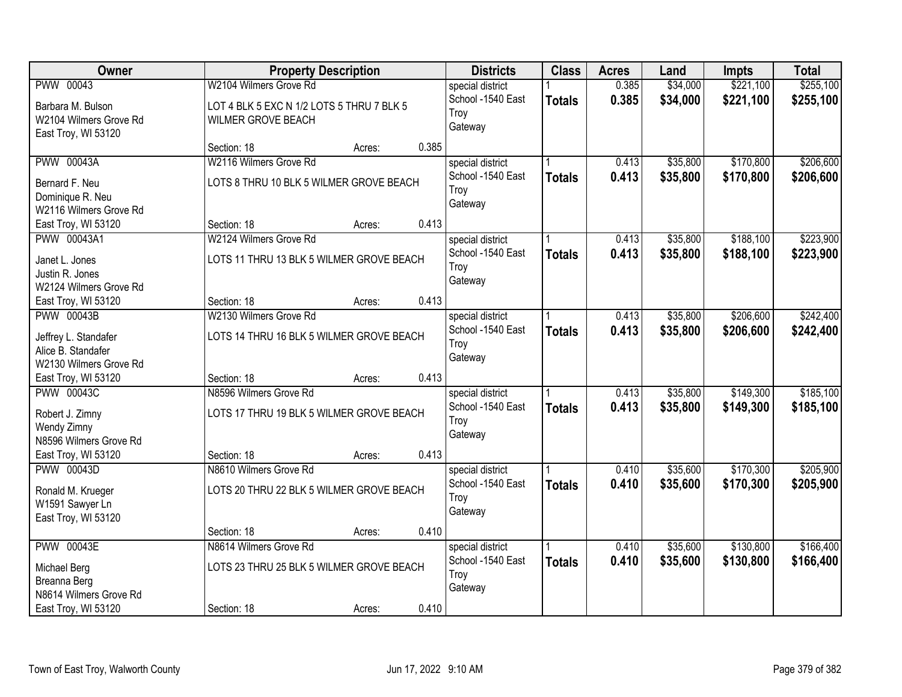| Owner                  |                                           | <b>Property Description</b> |       | <b>Districts</b>  | <b>Class</b>  | <b>Acres</b> | Land     | <b>Impts</b> | <b>Total</b> |
|------------------------|-------------------------------------------|-----------------------------|-------|-------------------|---------------|--------------|----------|--------------|--------------|
| PWW 00043              | W2104 Wilmers Grove Rd                    |                             |       | special district  |               | 0.385        | \$34,000 | \$221,100    | \$255,100    |
| Barbara M. Bulson      | LOT 4 BLK 5 EXC N 1/2 LOTS 5 THRU 7 BLK 5 |                             |       | School -1540 East | <b>Totals</b> | 0.385        | \$34,000 | \$221,100    | \$255,100    |
| W2104 Wilmers Grove Rd | WILMER GROVE BEACH                        |                             |       | Troy              |               |              |          |              |              |
| East Troy, WI 53120    |                                           |                             |       | Gateway           |               |              |          |              |              |
|                        | Section: 18                               | Acres:                      | 0.385 |                   |               |              |          |              |              |
| <b>PWW 00043A</b>      | W2116 Wilmers Grove Rd                    |                             |       | special district  |               | 0.413        | \$35,800 | \$170,800    | \$206,600    |
| Bernard F. Neu         | LOTS 8 THRU 10 BLK 5 WILMER GROVE BEACH   |                             |       | School -1540 East | <b>Totals</b> | 0.413        | \$35,800 | \$170,800    | \$206,600    |
| Dominique R. Neu       |                                           |                             |       | Troy              |               |              |          |              |              |
| W2116 Wilmers Grove Rd |                                           |                             |       | Gateway           |               |              |          |              |              |
| East Troy, WI 53120    | Section: 18                               | Acres:                      | 0.413 |                   |               |              |          |              |              |
| PWW 00043A1            | W2124 Wilmers Grove Rd                    |                             |       | special district  |               | 0.413        | \$35,800 | \$188,100    | \$223,900    |
| Janet L. Jones         | LOTS 11 THRU 13 BLK 5 WILMER GROVE BEACH  |                             |       | School -1540 East | <b>Totals</b> | 0.413        | \$35,800 | \$188,100    | \$223,900    |
| Justin R. Jones        |                                           |                             |       | Troy              |               |              |          |              |              |
| W2124 Wilmers Grove Rd |                                           |                             |       | Gateway           |               |              |          |              |              |
| East Troy, WI 53120    | Section: 18                               | Acres:                      | 0.413 |                   |               |              |          |              |              |
| <b>PWW 00043B</b>      | W2130 Wilmers Grove Rd                    |                             |       | special district  |               | 0.413        | \$35,800 | \$206,600    | \$242,400    |
| Jeffrey L. Standafer   | LOTS 14 THRU 16 BLK 5 WILMER GROVE BEACH  |                             |       | School -1540 East | <b>Totals</b> | 0.413        | \$35,800 | \$206,600    | \$242,400    |
| Alice B. Standafer     |                                           |                             |       | Troy              |               |              |          |              |              |
| W2130 Wilmers Grove Rd |                                           |                             |       | Gateway           |               |              |          |              |              |
| East Troy, WI 53120    | Section: 18                               | Acres:                      | 0.413 |                   |               |              |          |              |              |
| <b>PWW 00043C</b>      | N8596 Wilmers Grove Rd                    |                             |       | special district  |               | 0.413        | \$35,800 | \$149,300    | \$185,100    |
| Robert J. Zimny        | LOTS 17 THRU 19 BLK 5 WILMER GROVE BEACH  |                             |       | School -1540 East | <b>Totals</b> | 0.413        | \$35,800 | \$149,300    | \$185,100    |
| Wendy Zimny            |                                           |                             |       | Troy              |               |              |          |              |              |
| N8596 Wilmers Grove Rd |                                           |                             |       | Gateway           |               |              |          |              |              |
| East Troy, WI 53120    | Section: 18                               | Acres:                      | 0.413 |                   |               |              |          |              |              |
| <b>PWW 00043D</b>      | N8610 Wilmers Grove Rd                    |                             |       | special district  |               | 0.410        | \$35,600 | \$170,300    | \$205,900    |
| Ronald M. Krueger      | LOTS 20 THRU 22 BLK 5 WILMER GROVE BEACH  |                             |       | School -1540 East | <b>Totals</b> | 0.410        | \$35,600 | \$170,300    | \$205,900    |
| W1591 Sawyer Ln        |                                           |                             |       | Troy              |               |              |          |              |              |
| East Troy, WI 53120    |                                           |                             |       | Gateway           |               |              |          |              |              |
|                        | Section: 18                               | Acres:                      | 0.410 |                   |               |              |          |              |              |
| <b>PWW 00043E</b>      | N8614 Wilmers Grove Rd                    |                             |       | special district  |               | 0.410        | \$35,600 | \$130,800    | \$166,400    |
| Michael Berg           | LOTS 23 THRU 25 BLK 5 WILMER GROVE BEACH  |                             |       | School -1540 East | <b>Totals</b> | 0.410        | \$35,600 | \$130,800    | \$166,400    |
| Breanna Berg           |                                           |                             |       | Troy              |               |              |          |              |              |
| N8614 Wilmers Grove Rd |                                           |                             |       | Gateway           |               |              |          |              |              |
| East Troy, WI 53120    | Section: 18                               | Acres:                      | 0.410 |                   |               |              |          |              |              |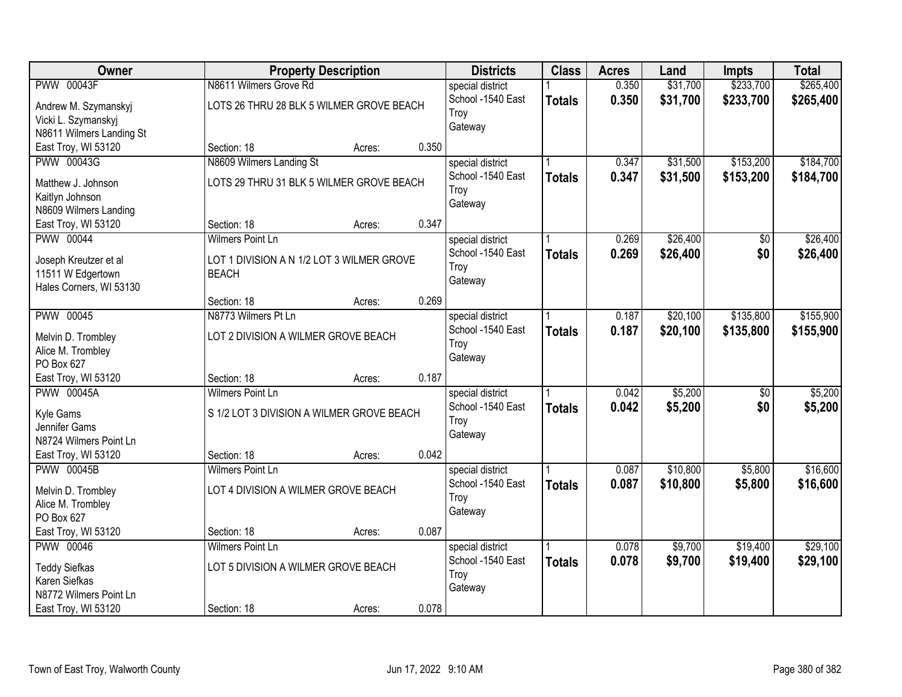| Owner                                   |                                           | <b>Property Description</b> |       | <b>Districts</b>  | <b>Class</b>  | <b>Acres</b> | Land     | <b>Impts</b>    | <b>Total</b> |
|-----------------------------------------|-------------------------------------------|-----------------------------|-------|-------------------|---------------|--------------|----------|-----------------|--------------|
| <b>PWW 00043F</b>                       | N8611 Wilmers Grove Rd                    |                             |       | special district  |               | 0.350        | \$31,700 | \$233,700       | \$265,400    |
| Andrew M. Szymanskyj                    | LOTS 26 THRU 28 BLK 5 WILMER GROVE BEACH  |                             |       | School -1540 East | <b>Totals</b> | 0.350        | \$31,700 | \$233,700       | \$265,400    |
| Vicki L. Szymanskyj                     |                                           |                             |       | Troy              |               |              |          |                 |              |
| N8611 Wilmers Landing St                |                                           |                             |       | Gateway           |               |              |          |                 |              |
| East Troy, WI 53120                     | Section: 18                               | Acres:                      | 0.350 |                   |               |              |          |                 |              |
| <b>PWW 00043G</b>                       | N8609 Wilmers Landing St                  |                             |       | special district  |               | 0.347        | \$31,500 | \$153,200       | \$184,700    |
| Matthew J. Johnson                      | LOTS 29 THRU 31 BLK 5 WILMER GROVE BEACH  |                             |       | School -1540 East | <b>Totals</b> | 0.347        | \$31,500 | \$153,200       | \$184,700    |
| Kaitlyn Johnson                         |                                           |                             |       | Troy              |               |              |          |                 |              |
| N8609 Wilmers Landing                   |                                           |                             |       | Gateway           |               |              |          |                 |              |
| East Troy, WI 53120                     | Section: 18                               | Acres:                      | 0.347 |                   |               |              |          |                 |              |
| PWW 00044                               | <b>Wilmers Point Ln</b>                   |                             |       | special district  |               | 0.269        | \$26,400 | \$0             | \$26,400     |
| Joseph Kreutzer et al                   | LOT 1 DIVISION A N 1/2 LOT 3 WILMER GROVE |                             |       | School -1540 East | <b>Totals</b> | 0.269        | \$26,400 | \$0             | \$26,400     |
| 11511 W Edgertown                       | <b>BEACH</b>                              |                             |       | Troy              |               |              |          |                 |              |
| Hales Corners, WI 53130                 |                                           |                             |       | Gateway           |               |              |          |                 |              |
|                                         | Section: 18                               | Acres:                      | 0.269 |                   |               |              |          |                 |              |
| <b>PWW 00045</b>                        | N8773 Wilmers Pt Ln                       |                             |       | special district  |               | 0.187        | \$20,100 | \$135,800       | \$155,900    |
|                                         | LOT 2 DIVISION A WILMER GROVE BEACH       |                             |       | School -1540 East | <b>Totals</b> | 0.187        | \$20,100 | \$135,800       | \$155,900    |
| Melvin D. Trombley<br>Alice M. Trombley |                                           |                             |       | Troy              |               |              |          |                 |              |
| PO Box 627                              |                                           |                             |       | Gateway           |               |              |          |                 |              |
| East Troy, WI 53120                     | Section: 18                               | Acres:                      | 0.187 |                   |               |              |          |                 |              |
| <b>PWW 00045A</b>                       | <b>Wilmers Point Ln</b>                   |                             |       | special district  |               | 0.042        | \$5,200  | $\overline{50}$ | \$5,200      |
|                                         |                                           |                             |       | School -1540 East | <b>Totals</b> | 0.042        | \$5,200  | \$0             | \$5,200      |
| Kyle Gams<br>Jennifer Gams              | S 1/2 LOT 3 DIVISION A WILMER GROVE BEACH |                             |       | Troy              |               |              |          |                 |              |
| N8724 Wilmers Point Ln                  |                                           |                             |       | Gateway           |               |              |          |                 |              |
| East Troy, WI 53120                     | Section: 18                               | Acres:                      | 0.042 |                   |               |              |          |                 |              |
| <b>PWW 00045B</b>                       | <b>Wilmers Point Ln</b>                   |                             |       | special district  |               | 0.087        | \$10,800 | \$5,800         | \$16,600     |
|                                         |                                           |                             |       | School -1540 East | <b>Totals</b> | 0.087        | \$10,800 | \$5,800         | \$16,600     |
| Melvin D. Trombley                      | LOT 4 DIVISION A WILMER GROVE BEACH       |                             |       | Troy              |               |              |          |                 |              |
| Alice M. Trombley<br>PO Box 627         |                                           |                             |       | Gateway           |               |              |          |                 |              |
| East Troy, WI 53120                     | Section: 18                               | Acres:                      | 0.087 |                   |               |              |          |                 |              |
| <b>PWW 00046</b>                        | <b>Wilmers Point Ln</b>                   |                             |       | special district  |               | 0.078        | \$9,700  | \$19,400        | \$29,100     |
|                                         |                                           |                             |       | School -1540 East | <b>Totals</b> | 0.078        | \$9,700  | \$19,400        | \$29,100     |
| <b>Teddy Siefkas</b>                    | LOT 5 DIVISION A WILMER GROVE BEACH       |                             |       | Troy              |               |              |          |                 |              |
| Karen Siefkas                           |                                           |                             |       | Gateway           |               |              |          |                 |              |
| N8772 Wilmers Point Ln                  |                                           |                             |       |                   |               |              |          |                 |              |
| East Troy, WI 53120                     | Section: 18                               | Acres:                      | 0.078 |                   |               |              |          |                 |              |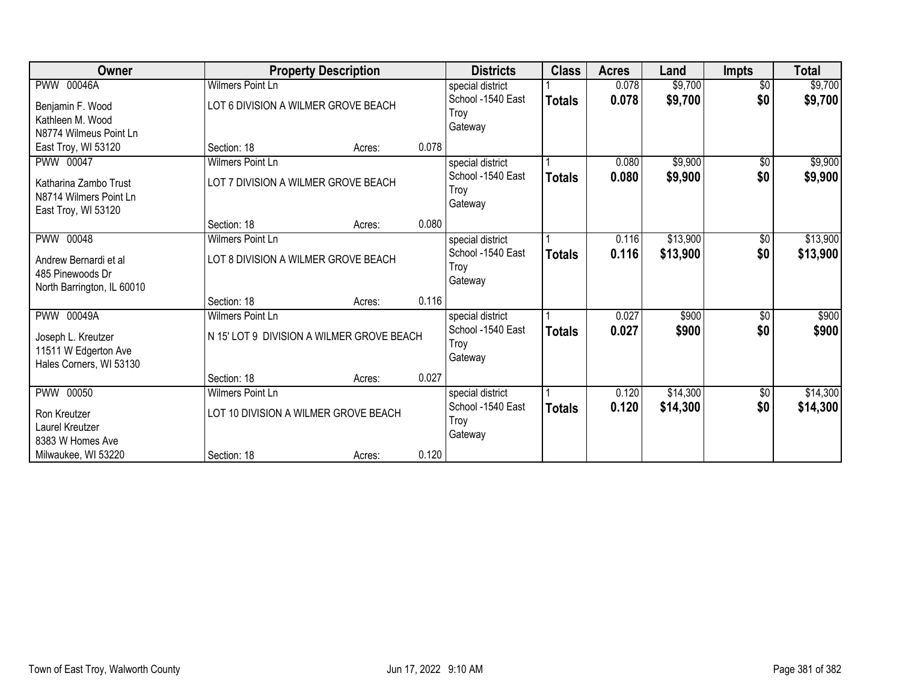| Owner                                                                                      |                                                                | <b>Property Description</b>               |       | <b>Districts</b>                                         | <b>Class</b>  | <b>Acres</b>   | Land                 | <b>Impts</b>         | <b>Total</b>         |
|--------------------------------------------------------------------------------------------|----------------------------------------------------------------|-------------------------------------------|-------|----------------------------------------------------------|---------------|----------------|----------------------|----------------------|----------------------|
| <b>PWW 00046A</b>                                                                          | <b>Wilmers Point Ln</b>                                        |                                           |       | special district                                         |               | 0.078          | \$9,700              | $\overline{50}$      | \$9,700              |
| Benjamin F. Wood<br>Kathleen M. Wood<br>N8774 Wilmeus Point Ln                             | LOT 6 DIVISION A WILMER GROVE BEACH                            |                                           |       | School -1540 East<br>Troy<br>Gateway                     | <b>Totals</b> | 0.078          | \$9,700              | \$0                  | \$9,700              |
| East Troy, WI 53120                                                                        | Section: 18                                                    | Acres:                                    | 0.078 |                                                          |               |                |                      |                      |                      |
| PWW 00047<br>Katharina Zambo Trust<br>N8714 Wilmers Point Ln<br>East Troy, WI 53120        | <b>Wilmers Point Ln</b><br>LOT 7 DIVISION A WILMER GROVE BEACH |                                           |       | special district<br>School -1540 East<br>Troy<br>Gateway | <b>Totals</b> | 0.080<br>0.080 | \$9,900<br>\$9,900   | $\sqrt{6}$<br>\$0    | \$9,900<br>\$9,900   |
|                                                                                            | Section: 18                                                    | Acres:                                    | 0.080 |                                                          |               |                |                      |                      |                      |
| PWW 00048<br>Andrew Bernardi et al<br>485 Pinewoods Dr                                     | Wilmers Point Ln<br>LOT 8 DIVISION A WILMER GROVE BEACH        |                                           |       | special district<br>School -1540 East<br>Troy<br>Gateway | <b>Totals</b> | 0.116<br>0.116 | \$13,900<br>\$13,900 | \$0<br>\$0           | \$13,900<br>\$13,900 |
| North Barrington, IL 60010                                                                 | Section: 18                                                    | Acres:                                    | 0.116 |                                                          |               |                |                      |                      |                      |
| <b>PWW 00049A</b><br>Joseph L. Kreutzer<br>11511 W Edgerton Ave<br>Hales Corners, WI 53130 | Wilmers Point Ln                                               | N 15' LOT 9 DIVISION A WILMER GROVE BEACH |       | special district<br>School -1540 East<br>Troy<br>Gateway | <b>Totals</b> | 0.027<br>0.027 | \$900<br>\$900       | $\sqrt[6]{3}$<br>\$0 | \$900<br>\$900       |
|                                                                                            | Section: 18                                                    | Acres:                                    | 0.027 |                                                          |               |                |                      |                      |                      |
| <b>PWW 00050</b><br>Ron Kreutzer<br>Laurel Kreutzer<br>8383 W Homes Ave                    | Wilmers Point Ln                                               | LOT 10 DIVISION A WILMER GROVE BEACH      |       | special district<br>School -1540 East<br>Troy<br>Gateway | <b>Totals</b> | 0.120<br>0.120 | \$14,300<br>\$14,300 | $\sqrt[6]{3}$<br>\$0 | \$14,300<br>\$14,300 |
| Milwaukee, WI 53220                                                                        | Section: 18                                                    | Acres:                                    | 0.120 |                                                          |               |                |                      |                      |                      |